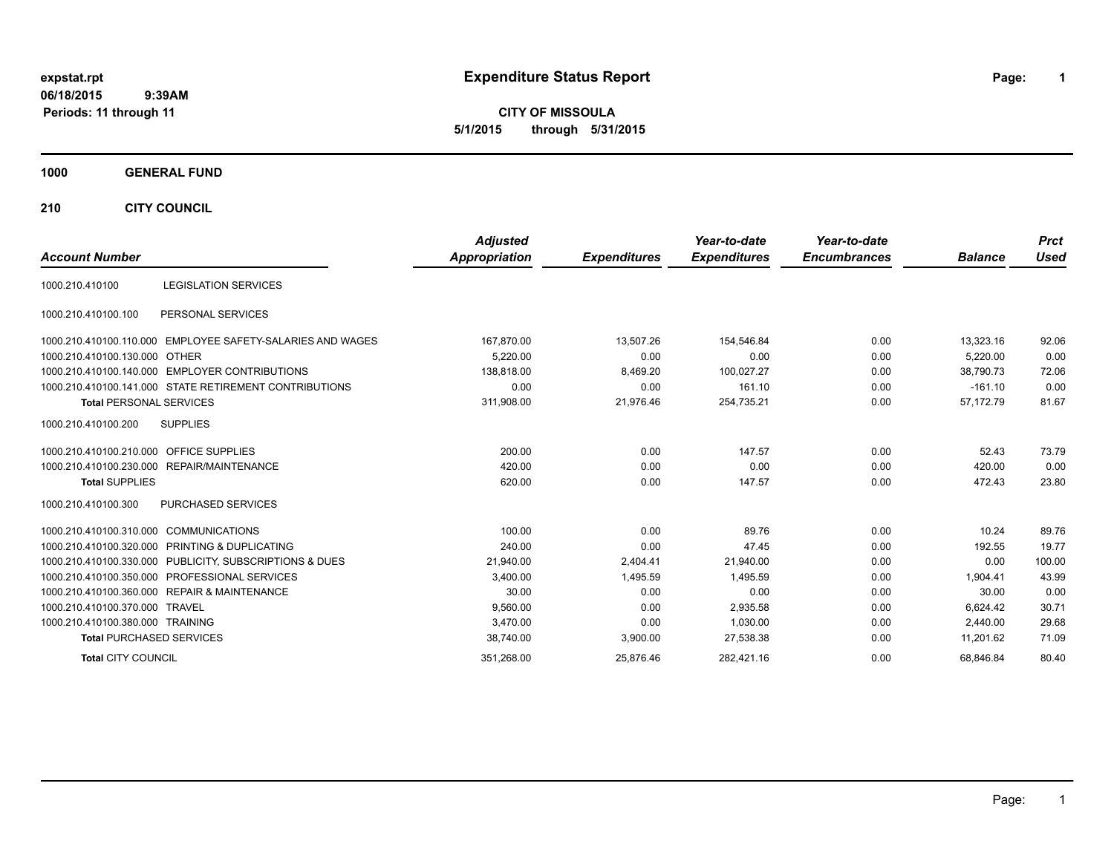**06/18/2015 9:39AM**

# **Periods: 11 through 11**

**1**

**CITY OF MISSOULA 5/1/2015 through 5/31/2015**

## **1000 GENERAL FUND**

**210 CITY COUNCIL**

|                                                            | <b>Adjusted</b>      |                     | Year-to-date        | Year-to-date        |                | <b>Prct</b> |
|------------------------------------------------------------|----------------------|---------------------|---------------------|---------------------|----------------|-------------|
| <b>Account Number</b>                                      | <b>Appropriation</b> | <b>Expenditures</b> | <b>Expenditures</b> | <b>Encumbrances</b> | <b>Balance</b> | <b>Used</b> |
| <b>LEGISLATION SERVICES</b><br>1000.210.410100             |                      |                     |                     |                     |                |             |
| PERSONAL SERVICES<br>1000.210.410100.100                   |                      |                     |                     |                     |                |             |
| 1000.210.410100.110.000 EMPLOYEE SAFETY-SALARIES AND WAGES | 167,870.00           | 13,507.26           | 154,546.84          | 0.00                | 13,323.16      | 92.06       |
| 1000.210.410100.130.000 OTHER                              | 5.220.00             | 0.00                | 0.00                | 0.00                | 5.220.00       | 0.00        |
| 1000.210.410100.140.000 EMPLOYER CONTRIBUTIONS             | 138.818.00           | 8,469.20            | 100,027.27          | 0.00                | 38.790.73      | 72.06       |
| 1000.210.410100.141.000 STATE RETIREMENT CONTRIBUTIONS     | 0.00                 | 0.00                | 161.10              | 0.00                | $-161.10$      | 0.00        |
| <b>Total PERSONAL SERVICES</b>                             | 311,908.00           | 21,976.46           | 254,735.21          | 0.00                | 57,172.79      | 81.67       |
| <b>SUPPLIES</b><br>1000.210.410100.200                     |                      |                     |                     |                     |                |             |
| 1000.210.410100.210.000 OFFICE SUPPLIES                    | 200.00               | 0.00                | 147.57              | 0.00                | 52.43          | 73.79       |
| 1000.210.410100.230.000 REPAIR/MAINTENANCE                 | 420.00               | 0.00                | 0.00                | 0.00                | 420.00         | 0.00        |
| <b>Total SUPPLIES</b>                                      | 620.00               | 0.00                | 147.57              | 0.00                | 472.43         | 23.80       |
| PURCHASED SERVICES<br>1000.210.410100.300                  |                      |                     |                     |                     |                |             |
| 1000.210.410100.310.000 COMMUNICATIONS                     | 100.00               | 0.00                | 89.76               | 0.00                | 10.24          | 89.76       |
| 1000.210.410100.320.000 PRINTING & DUPLICATING             | 240.00               | 0.00                | 47.45               | 0.00                | 192.55         | 19.77       |
| 1000.210.410100.330.000 PUBLICITY, SUBSCRIPTIONS & DUES    | 21,940.00            | 2,404.41            | 21,940.00           | 0.00                | 0.00           | 100.00      |
| 1000.210.410100.350.000 PROFESSIONAL SERVICES              | 3,400.00             | 1,495.59            | 1,495.59            | 0.00                | 1.904.41       | 43.99       |
| 1000.210.410100.360.000 REPAIR & MAINTENANCE               | 30.00                | 0.00                | 0.00                | 0.00                | 30.00          | 0.00        |
| 1000.210.410100.370.000 TRAVEL                             | 9,560.00             | 0.00                | 2,935.58            | 0.00                | 6.624.42       | 30.71       |
| 1000.210.410100.380.000 TRAINING                           | 3.470.00             | 0.00                | 1,030.00            | 0.00                | 2.440.00       | 29.68       |
| <b>Total PURCHASED SERVICES</b>                            | 38,740.00            | 3,900.00            | 27,538.38           | 0.00                | 11.201.62      | 71.09       |
| <b>Total CITY COUNCIL</b>                                  | 351,268.00           | 25,876.46           | 282,421.16          | 0.00                | 68.846.84      | 80.40       |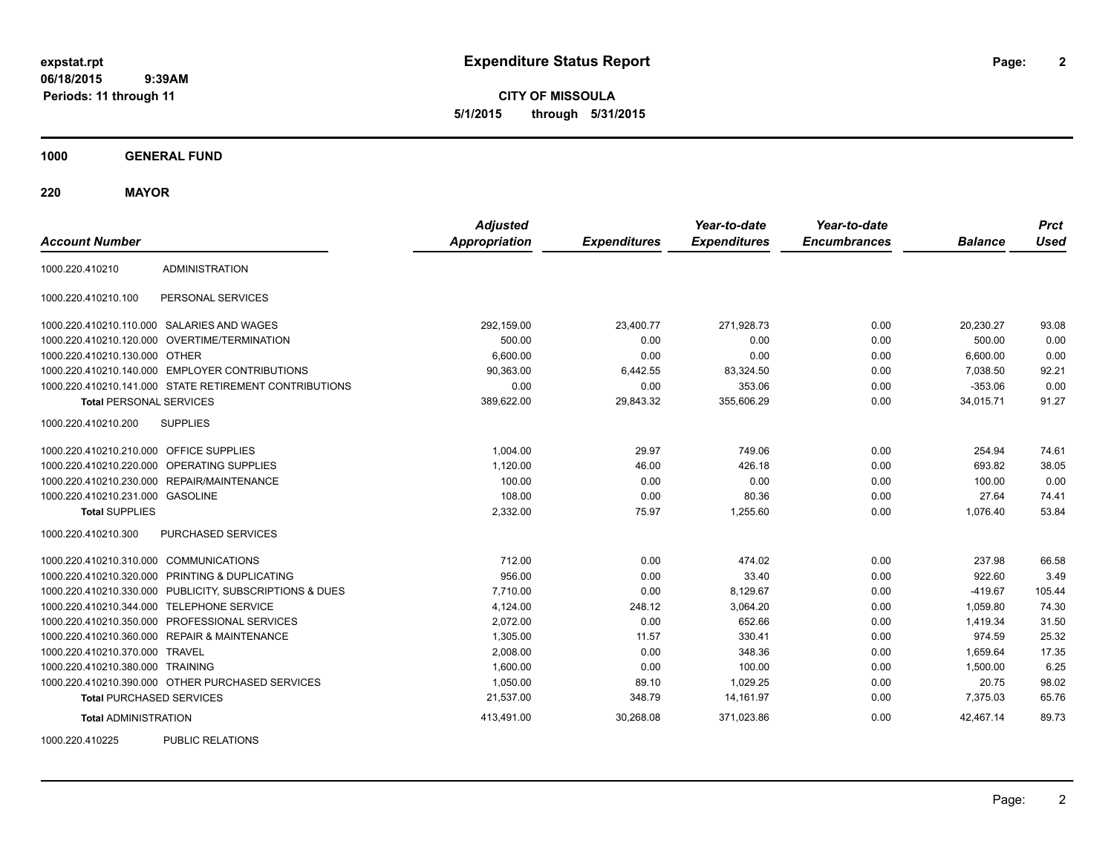**2**

**CITY OF MISSOULA 5/1/2015 through 5/31/2015**

**1000 GENERAL FUND**

**220 MAYOR**

| <b>Account Number</b>                   |                                                         | <b>Adjusted</b><br><b>Appropriation</b> | <b>Expenditures</b> | Year-to-date<br><b>Expenditures</b> | Year-to-date<br><b>Encumbrances</b> | <b>Balance</b> | <b>Prct</b><br><b>Used</b> |
|-----------------------------------------|---------------------------------------------------------|-----------------------------------------|---------------------|-------------------------------------|-------------------------------------|----------------|----------------------------|
| 1000.220.410210                         | <b>ADMINISTRATION</b>                                   |                                         |                     |                                     |                                     |                |                            |
| 1000.220.410210.100                     | PERSONAL SERVICES                                       |                                         |                     |                                     |                                     |                |                            |
|                                         | 1000.220.410210.110.000 SALARIES AND WAGES              | 292,159.00                              | 23,400.77           | 271,928.73                          | 0.00                                | 20.230.27      | 93.08                      |
|                                         | 1000.220.410210.120.000 OVERTIME/TERMINATION            | 500.00                                  | 0.00                | 0.00                                | 0.00                                | 500.00         | 0.00                       |
| 1000.220.410210.130.000 OTHER           |                                                         | 6,600.00                                | 0.00                | 0.00                                | 0.00                                | 6,600.00       | 0.00                       |
|                                         | 1000.220.410210.140.000 EMPLOYER CONTRIBUTIONS          | 90,363.00                               | 6,442.55            | 83,324.50                           | 0.00                                | 7,038.50       | 92.21                      |
|                                         | 1000.220.410210.141.000 STATE RETIREMENT CONTRIBUTIONS  | 0.00                                    | 0.00                | 353.06                              | 0.00                                | $-353.06$      | 0.00                       |
| <b>Total PERSONAL SERVICES</b>          |                                                         | 389,622.00                              | 29,843.32           | 355,606.29                          | 0.00                                | 34,015.71      | 91.27                      |
| 1000.220.410210.200                     | <b>SUPPLIES</b>                                         |                                         |                     |                                     |                                     |                |                            |
| 1000.220.410210.210.000 OFFICE SUPPLIES |                                                         | 1,004.00                                | 29.97               | 749.06                              | 0.00                                | 254.94         | 74.61                      |
|                                         | 1000.220.410210.220.000 OPERATING SUPPLIES              | 1,120.00                                | 46.00               | 426.18                              | 0.00                                | 693.82         | 38.05                      |
|                                         | 1000.220.410210.230.000 REPAIR/MAINTENANCE              | 100.00                                  | 0.00                | 0.00                                | 0.00                                | 100.00         | 0.00                       |
| 1000.220.410210.231.000 GASOLINE        |                                                         | 108.00                                  | 0.00                | 80.36                               | 0.00                                | 27.64          | 74.41                      |
| <b>Total SUPPLIES</b>                   |                                                         | 2,332.00                                | 75.97               | 1,255.60                            | 0.00                                | 1,076.40       | 53.84                      |
| 1000.220.410210.300                     | PURCHASED SERVICES                                      |                                         |                     |                                     |                                     |                |                            |
| 1000.220.410210.310.000 COMMUNICATIONS  |                                                         | 712.00                                  | 0.00                | 474.02                              | 0.00                                | 237.98         | 66.58                      |
|                                         | 1000.220.410210.320.000 PRINTING & DUPLICATING          | 956.00                                  | 0.00                | 33.40                               | 0.00                                | 922.60         | 3.49                       |
|                                         | 1000.220.410210.330.000 PUBLICITY, SUBSCRIPTIONS & DUES | 7,710.00                                | 0.00                | 8,129.67                            | 0.00                                | $-419.67$      | 105.44                     |
|                                         | 1000.220.410210.344.000 TELEPHONE SERVICE               | 4,124.00                                | 248.12              | 3,064.20                            | 0.00                                | 1,059.80       | 74.30                      |
|                                         | 1000.220.410210.350.000 PROFESSIONAL SERVICES           | 2,072.00                                | 0.00                | 652.66                              | 0.00                                | 1,419.34       | 31.50                      |
|                                         | 1000.220.410210.360.000 REPAIR & MAINTENANCE            | 1,305.00                                | 11.57               | 330.41                              | 0.00                                | 974.59         | 25.32                      |
| 1000.220.410210.370.000 TRAVEL          |                                                         | 2.008.00                                | 0.00                | 348.36                              | 0.00                                | 1.659.64       | 17.35                      |
| 1000.220.410210.380.000 TRAINING        |                                                         | 1,600.00                                | 0.00                | 100.00                              | 0.00                                | 1,500.00       | 6.25                       |
|                                         | 1000.220.410210.390.000 OTHER PURCHASED SERVICES        | 1,050.00                                | 89.10               | 1,029.25                            | 0.00                                | 20.75          | 98.02                      |
| <b>Total PURCHASED SERVICES</b>         |                                                         | 21,537.00                               | 348.79              | 14,161.97                           | 0.00                                | 7,375.03       | 65.76                      |
| <b>Total ADMINISTRATION</b>             |                                                         | 413,491.00                              | 30,268.08           | 371,023.86                          | 0.00                                | 42,467.14      | 89.73                      |
| 1000000110000                           | BURLIO BEL ITIOHO                                       |                                         |                     |                                     |                                     |                |                            |

1000.220.410225 PUBLIC RELATIONS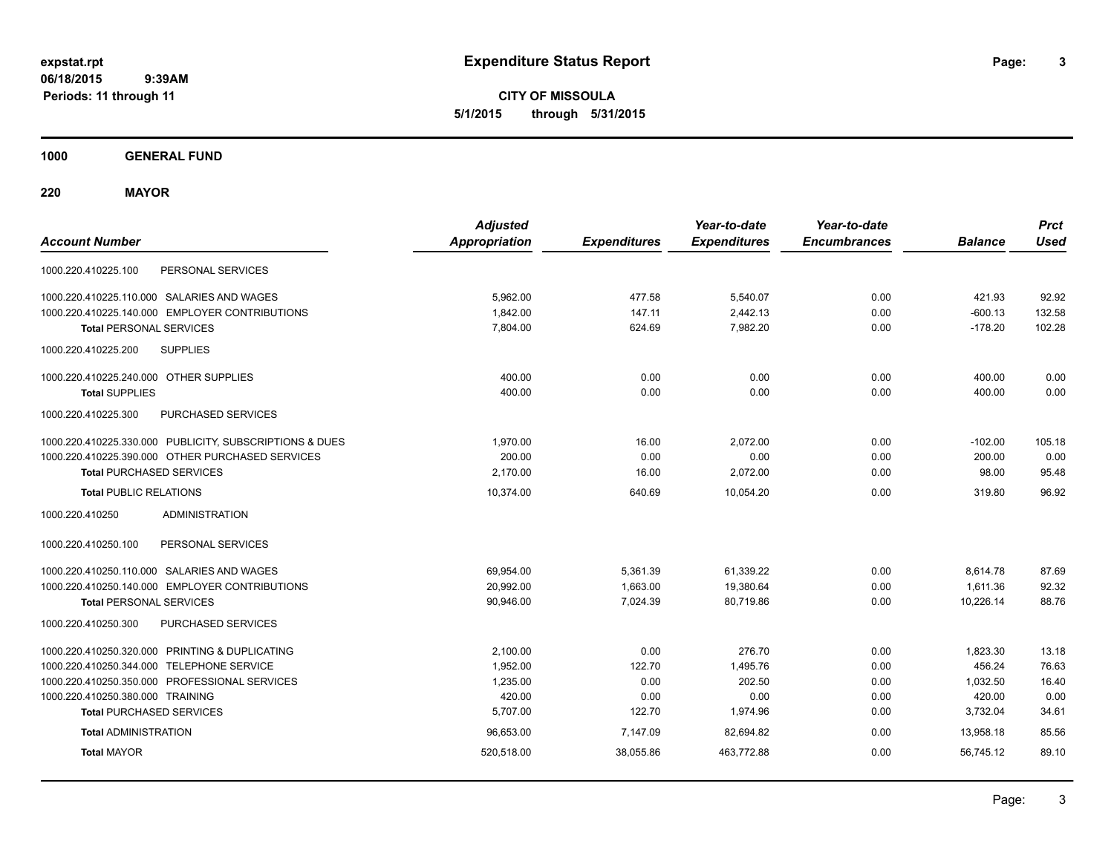**CITY OF MISSOULA 5/1/2015 through 5/31/2015**

**1000 GENERAL FUND**

**220 MAYOR**

| <b>Account Number</b>                                   | <b>Adjusted</b><br><b>Appropriation</b> | <b>Expenditures</b> | Year-to-date<br><b>Expenditures</b> | Year-to-date<br><b>Encumbrances</b> | <b>Balance</b> | <b>Prct</b><br><b>Used</b> |
|---------------------------------------------------------|-----------------------------------------|---------------------|-------------------------------------|-------------------------------------|----------------|----------------------------|
| 1000.220.410225.100<br>PERSONAL SERVICES                |                                         |                     |                                     |                                     |                |                            |
| 1000.220.410225.110.000 SALARIES AND WAGES              | 5,962.00                                | 477.58              | 5,540.07                            | 0.00                                | 421.93         | 92.92                      |
| 1000.220.410225.140.000 EMPLOYER CONTRIBUTIONS          | 1,842.00                                | 147.11              | 2,442.13                            | 0.00                                | $-600.13$      | 132.58                     |
| <b>Total PERSONAL SERVICES</b>                          | 7,804.00                                | 624.69              | 7,982.20                            | 0.00                                | $-178.20$      | 102.28                     |
| <b>SUPPLIES</b><br>1000.220.410225.200                  |                                         |                     |                                     |                                     |                |                            |
| 1000.220.410225.240.000 OTHER SUPPLIES                  | 400.00                                  | 0.00                | 0.00                                | 0.00                                | 400.00         | 0.00                       |
| <b>Total SUPPLIES</b>                                   | 400.00                                  | 0.00                | 0.00                                | 0.00                                | 400.00         | 0.00                       |
| <b>PURCHASED SERVICES</b><br>1000.220.410225.300        |                                         |                     |                                     |                                     |                |                            |
| 1000.220.410225.330.000 PUBLICITY, SUBSCRIPTIONS & DUES | 1,970.00                                | 16.00               | 2,072.00                            | 0.00                                | $-102.00$      | 105.18                     |
| 1000.220.410225.390.000 OTHER PURCHASED SERVICES        | 200.00                                  | 0.00                | 0.00                                | 0.00                                | 200.00         | 0.00                       |
| <b>Total PURCHASED SERVICES</b>                         | 2,170.00                                | 16.00               | 2,072.00                            | 0.00                                | 98.00          | 95.48                      |
| <b>Total PUBLIC RELATIONS</b>                           | 10.374.00                               | 640.69              | 10.054.20                           | 0.00                                | 319.80         | 96.92                      |
| <b>ADMINISTRATION</b><br>1000.220.410250                |                                         |                     |                                     |                                     |                |                            |
| 1000.220.410250.100<br>PERSONAL SERVICES                |                                         |                     |                                     |                                     |                |                            |
| 1000.220.410250.110.000 SALARIES AND WAGES              | 69,954.00                               | 5,361.39            | 61,339.22                           | 0.00                                | 8,614.78       | 87.69                      |
| 1000.220.410250.140.000 EMPLOYER CONTRIBUTIONS          | 20,992.00                               | 1,663.00            | 19,380.64                           | 0.00                                | 1,611.36       | 92.32                      |
| <b>Total PERSONAL SERVICES</b>                          | 90,946.00                               | 7,024.39            | 80,719.86                           | 0.00                                | 10,226.14      | 88.76                      |
| 1000.220.410250.300<br>PURCHASED SERVICES               |                                         |                     |                                     |                                     |                |                            |
| 1000.220.410250.320.000 PRINTING & DUPLICATING          | 2.100.00                                | 0.00                | 276.70                              | 0.00                                | 1,823.30       | 13.18                      |
| 1000.220.410250.344.000 TELEPHONE SERVICE               | 1,952.00                                | 122.70              | 1,495.76                            | 0.00                                | 456.24         | 76.63                      |
| 1000.220.410250.350.000 PROFESSIONAL SERVICES           | 1,235.00                                | 0.00                | 202.50                              | 0.00                                | 1,032.50       | 16.40                      |
| 1000.220.410250.380.000 TRAINING                        | 420.00                                  | 0.00                | 0.00                                | 0.00                                | 420.00         | 0.00                       |
| <b>Total PURCHASED SERVICES</b>                         | 5,707.00                                | 122.70              | 1,974.96                            | 0.00                                | 3,732.04       | 34.61                      |
| <b>Total ADMINISTRATION</b>                             | 96,653.00                               | 7,147.09            | 82,694.82                           | 0.00                                | 13.958.18      | 85.56                      |
| <b>Total MAYOR</b>                                      | 520,518.00                              | 38,055.86           | 463,772.88                          | 0.00                                | 56,745.12      | 89.10                      |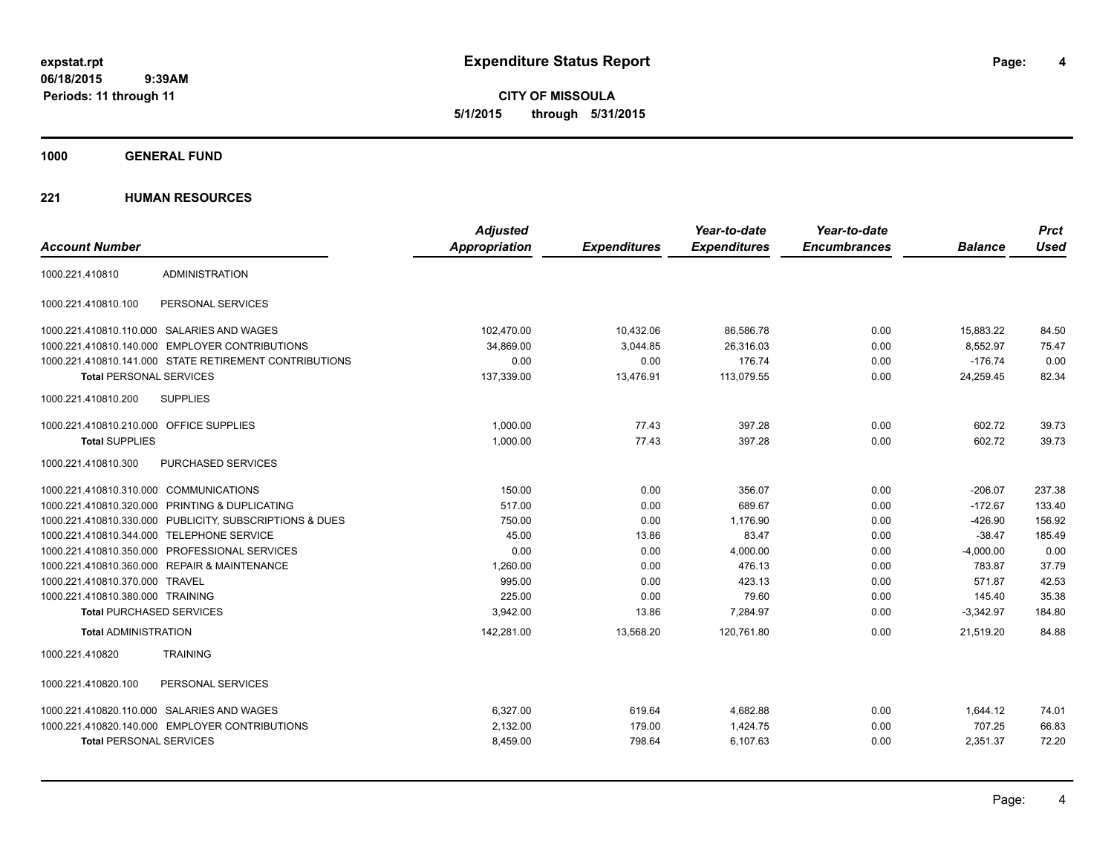**CITY OF MISSOULA 5/1/2015 through 5/31/2015**

**1000 GENERAL FUND**

|                                         |                                                         | <b>Adjusted</b>      |                     | Year-to-date        | Year-to-date        |                | <b>Prct</b> |
|-----------------------------------------|---------------------------------------------------------|----------------------|---------------------|---------------------|---------------------|----------------|-------------|
| <b>Account Number</b>                   |                                                         | <b>Appropriation</b> | <b>Expenditures</b> | <b>Expenditures</b> | <b>Encumbrances</b> | <b>Balance</b> | <b>Used</b> |
| 1000.221.410810                         | <b>ADMINISTRATION</b>                                   |                      |                     |                     |                     |                |             |
| 1000.221.410810.100                     | PERSONAL SERVICES                                       |                      |                     |                     |                     |                |             |
|                                         | 1000.221.410810.110.000 SALARIES AND WAGES              | 102,470.00           | 10,432.06           | 86,586.78           | 0.00                | 15,883.22      | 84.50       |
|                                         | 1000.221.410810.140.000 EMPLOYER CONTRIBUTIONS          | 34,869.00            | 3,044.85            | 26,316.03           | 0.00                | 8,552.97       | 75.47       |
|                                         | 1000.221.410810.141.000 STATE RETIREMENT CONTRIBUTIONS  | 0.00                 | 0.00                | 176.74              | 0.00                | $-176.74$      | 0.00        |
| <b>Total PERSONAL SERVICES</b>          |                                                         | 137,339.00           | 13,476.91           | 113,079.55          | 0.00                | 24,259.45      | 82.34       |
| 1000.221.410810.200                     | <b>SUPPLIES</b>                                         |                      |                     |                     |                     |                |             |
| 1000.221.410810.210.000 OFFICE SUPPLIES |                                                         | 1,000.00             | 77.43               | 397.28              | 0.00                | 602.72         | 39.73       |
| <b>Total SUPPLIES</b>                   |                                                         | 1.000.00             | 77.43               | 397.28              | 0.00                | 602.72         | 39.73       |
| 1000.221.410810.300                     | <b>PURCHASED SERVICES</b>                               |                      |                     |                     |                     |                |             |
| 1000.221.410810.310.000 COMMUNICATIONS  |                                                         | 150.00               | 0.00                | 356.07              | 0.00                | $-206.07$      | 237.38      |
|                                         | 1000.221.410810.320.000 PRINTING & DUPLICATING          | 517.00               | 0.00                | 689.67              | 0.00                | $-172.67$      | 133.40      |
|                                         | 1000.221.410810.330.000 PUBLICITY, SUBSCRIPTIONS & DUES | 750.00               | 0.00                | 1,176.90            | 0.00                | $-426.90$      | 156.92      |
|                                         | 1000.221.410810.344.000 TELEPHONE SERVICE               | 45.00                | 13.86               | 83.47               | 0.00                | $-38.47$       | 185.49      |
|                                         | 1000.221.410810.350.000 PROFESSIONAL SERVICES           | 0.00                 | 0.00                | 4,000.00            | 0.00                | $-4,000.00$    | 0.00        |
|                                         | 1000.221.410810.360.000 REPAIR & MAINTENANCE            | 1,260.00             | 0.00                | 476.13              | 0.00                | 783.87         | 37.79       |
| 1000.221.410810.370.000 TRAVEL          |                                                         | 995.00               | 0.00                | 423.13              | 0.00                | 571.87         | 42.53       |
| 1000.221.410810.380.000 TRAINING        |                                                         | 225.00               | 0.00                | 79.60               | 0.00                | 145.40         | 35.38       |
| <b>Total PURCHASED SERVICES</b>         |                                                         | 3,942.00             | 13.86               | 7,284.97            | 0.00                | $-3,342.97$    | 184.80      |
| <b>Total ADMINISTRATION</b>             |                                                         | 142,281.00           | 13,568.20           | 120.761.80          | 0.00                | 21,519.20      | 84.88       |
| 1000.221.410820                         | <b>TRAINING</b>                                         |                      |                     |                     |                     |                |             |
| 1000.221.410820.100                     | PERSONAL SERVICES                                       |                      |                     |                     |                     |                |             |
|                                         | 1000.221.410820.110.000 SALARIES AND WAGES              | 6,327.00             | 619.64              | 4,682.88            | 0.00                | 1,644.12       | 74.01       |
|                                         | 1000.221.410820.140.000 EMPLOYER CONTRIBUTIONS          | 2,132.00             | 179.00              | 1,424.75            | 0.00                | 707.25         | 66.83       |
| <b>Total PERSONAL SERVICES</b>          |                                                         | 8,459.00             | 798.64              | 6,107.63            | 0.00                | 2,351.37       | 72.20       |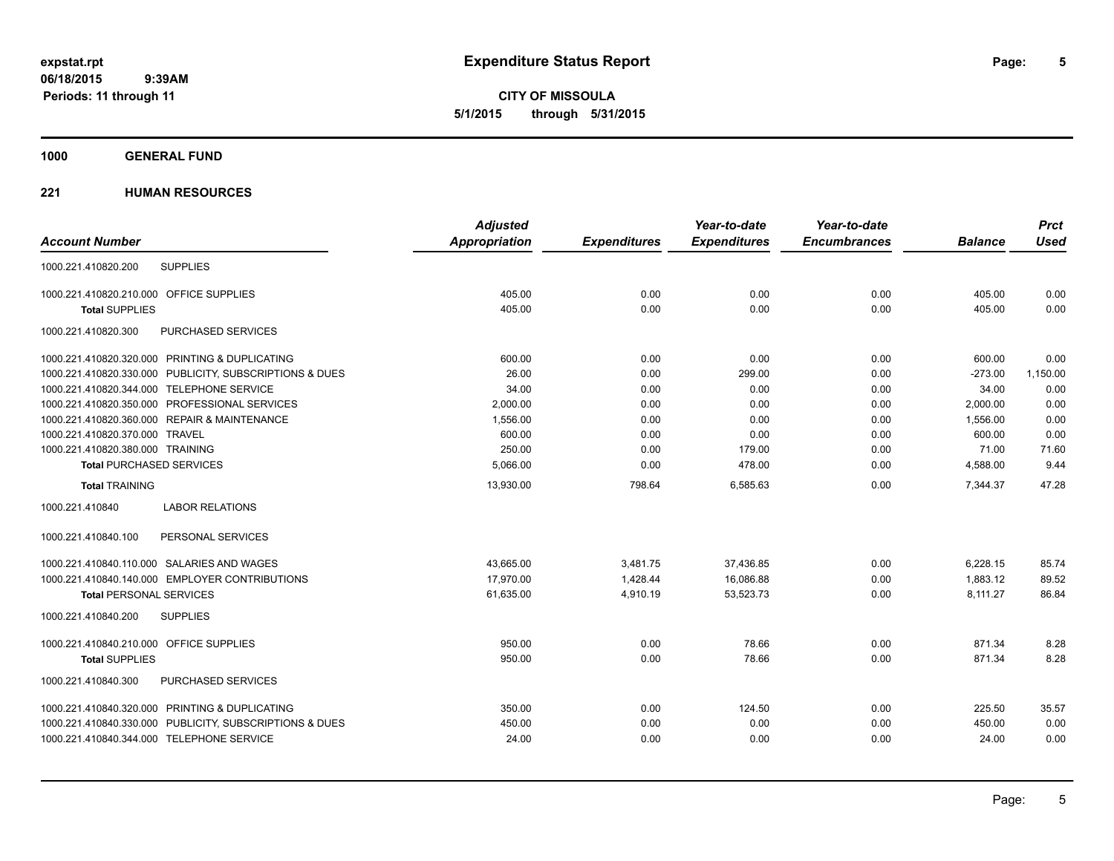**CITY OF MISSOULA 5/1/2015 through 5/31/2015**

## **1000 GENERAL FUND**

|                                           |                                                         | <b>Adjusted</b> |                     | Year-to-date        | Year-to-date        |                | <b>Prct</b> |
|-------------------------------------------|---------------------------------------------------------|-----------------|---------------------|---------------------|---------------------|----------------|-------------|
| <b>Account Number</b>                     |                                                         | Appropriation   | <b>Expenditures</b> | <b>Expenditures</b> | <b>Encumbrances</b> | <b>Balance</b> | <b>Used</b> |
| 1000.221.410820.200                       | <b>SUPPLIES</b>                                         |                 |                     |                     |                     |                |             |
| 1000.221.410820.210.000 OFFICE SUPPLIES   |                                                         | 405.00          | 0.00                | 0.00                | 0.00                | 405.00         | 0.00        |
| <b>Total SUPPLIES</b>                     |                                                         | 405.00          | 0.00                | 0.00                | 0.00                | 405.00         | 0.00        |
| 1000.221.410820.300                       | PURCHASED SERVICES                                      |                 |                     |                     |                     |                |             |
|                                           | 1000.221.410820.320.000 PRINTING & DUPLICATING          | 600.00          | 0.00                | 0.00                | 0.00                | 600.00         | 0.00        |
|                                           | 1000.221.410820.330.000 PUBLICITY, SUBSCRIPTIONS & DUES | 26.00           | 0.00                | 299.00              | 0.00                | $-273.00$      | 1,150.00    |
| 1000.221.410820.344.000 TELEPHONE SERVICE |                                                         | 34.00           | 0.00                | 0.00                | 0.00                | 34.00          | 0.00        |
|                                           | 1000.221.410820.350.000 PROFESSIONAL SERVICES           | 2,000.00        | 0.00                | 0.00                | 0.00                | 2,000.00       | 0.00        |
|                                           | 1000.221.410820.360.000 REPAIR & MAINTENANCE            | 1,556.00        | 0.00                | 0.00                | 0.00                | 1,556.00       | 0.00        |
| 1000.221.410820.370.000 TRAVEL            |                                                         | 600.00          | 0.00                | 0.00                | 0.00                | 600.00         | 0.00        |
| 1000.221.410820.380.000 TRAINING          |                                                         | 250.00          | 0.00                | 179.00              | 0.00                | 71.00          | 71.60       |
| <b>Total PURCHASED SERVICES</b>           |                                                         | 5,066.00        | 0.00                | 478.00              | 0.00                | 4,588.00       | 9.44        |
| <b>Total TRAINING</b>                     |                                                         | 13,930.00       | 798.64              | 6,585.63            | 0.00                | 7.344.37       | 47.28       |
| 1000.221.410840                           | <b>LABOR RELATIONS</b>                                  |                 |                     |                     |                     |                |             |
| 1000.221.410840.100                       | PERSONAL SERVICES                                       |                 |                     |                     |                     |                |             |
|                                           | 1000.221.410840.110.000 SALARIES AND WAGES              | 43,665.00       | 3,481.75            | 37,436.85           | 0.00                | 6,228.15       | 85.74       |
|                                           | 1000.221.410840.140.000 EMPLOYER CONTRIBUTIONS          | 17.970.00       | 1.428.44            | 16.086.88           | 0.00                | 1.883.12       | 89.52       |
| <b>Total PERSONAL SERVICES</b>            |                                                         | 61,635.00       | 4,910.19            | 53,523.73           | 0.00                | 8,111.27       | 86.84       |
| 1000.221.410840.200                       | <b>SUPPLIES</b>                                         |                 |                     |                     |                     |                |             |
| 1000.221.410840.210.000 OFFICE SUPPLIES   |                                                         | 950.00          | 0.00                | 78.66               | 0.00                | 871.34         | 8.28        |
| <b>Total SUPPLIES</b>                     |                                                         | 950.00          | 0.00                | 78.66               | 0.00                | 871.34         | 8.28        |
| 1000.221.410840.300                       | PURCHASED SERVICES                                      |                 |                     |                     |                     |                |             |
|                                           | 1000.221.410840.320.000 PRINTING & DUPLICATING          | 350.00          | 0.00                | 124.50              | 0.00                | 225.50         | 35.57       |
|                                           | 1000.221.410840.330.000 PUBLICITY, SUBSCRIPTIONS & DUES | 450.00          | 0.00                | 0.00                | 0.00                | 450.00         | 0.00        |
| 1000.221.410840.344.000 TELEPHONE SERVICE |                                                         | 24.00           | 0.00                | 0.00                | 0.00                | 24.00          | 0.00        |
|                                           |                                                         |                 |                     |                     |                     |                |             |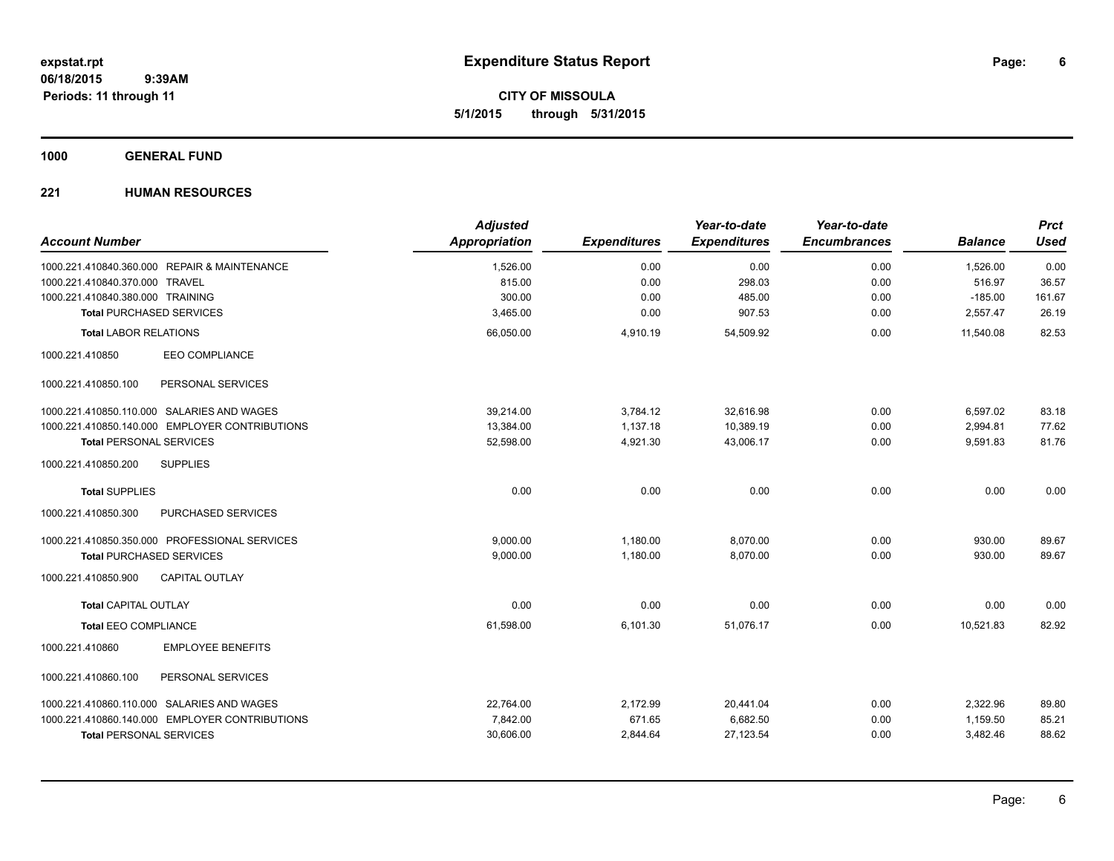**CITY OF MISSOULA 5/1/2015 through 5/31/2015**

## **1000 GENERAL FUND**

| <b>Account Number</b>                          | <b>Adjusted</b><br><b>Appropriation</b> | <b>Expenditures</b> | Year-to-date<br><b>Expenditures</b> | Year-to-date<br><b>Encumbrances</b> | <b>Balance</b> | <b>Prct</b><br><b>Used</b> |
|------------------------------------------------|-----------------------------------------|---------------------|-------------------------------------|-------------------------------------|----------------|----------------------------|
| 1000.221.410840.360.000 REPAIR & MAINTENANCE   | 1,526.00                                | 0.00                | 0.00                                | 0.00                                | 1,526.00       | 0.00                       |
| 1000.221.410840.370.000 TRAVEL                 | 815.00                                  | 0.00                | 298.03                              | 0.00                                | 516.97         | 36.57                      |
| 1000.221.410840.380.000 TRAINING               | 300.00                                  | 0.00                | 485.00                              | 0.00                                | $-185.00$      | 161.67                     |
| <b>Total PURCHASED SERVICES</b>                | 3,465.00                                | 0.00                | 907.53                              | 0.00                                | 2,557.47       | 26.19                      |
| <b>Total LABOR RELATIONS</b>                   | 66,050.00                               | 4,910.19            | 54,509.92                           | 0.00                                | 11,540.08      | 82.53                      |
| <b>EEO COMPLIANCE</b><br>1000.221.410850       |                                         |                     |                                     |                                     |                |                            |
| PERSONAL SERVICES<br>1000.221.410850.100       |                                         |                     |                                     |                                     |                |                            |
| 1000.221.410850.110.000 SALARIES AND WAGES     | 39.214.00                               | 3,784.12            | 32,616.98                           | 0.00                                | 6,597.02       | 83.18                      |
| 1000.221.410850.140.000 EMPLOYER CONTRIBUTIONS | 13,384.00                               | 1,137.18            | 10,389.19                           | 0.00                                | 2,994.81       | 77.62                      |
| <b>Total PERSONAL SERVICES</b>                 | 52,598.00                               | 4,921.30            | 43,006.17                           | 0.00                                | 9,591.83       | 81.76                      |
| 1000.221.410850.200<br><b>SUPPLIES</b>         |                                         |                     |                                     |                                     |                |                            |
| <b>Total SUPPLIES</b>                          | 0.00                                    | 0.00                | 0.00                                | 0.00                                | 0.00           | 0.00                       |
| 1000.221.410850.300<br>PURCHASED SERVICES      |                                         |                     |                                     |                                     |                |                            |
| 1000.221.410850.350.000 PROFESSIONAL SERVICES  | 9.000.00                                | 1,180.00            | 8,070.00                            | 0.00                                | 930.00         | 89.67                      |
| <b>Total PURCHASED SERVICES</b>                | 9,000.00                                | 1,180.00            | 8,070.00                            | 0.00                                | 930.00         | 89.67                      |
| <b>CAPITAL OUTLAY</b><br>1000.221.410850.900   |                                         |                     |                                     |                                     |                |                            |
| <b>Total CAPITAL OUTLAY</b>                    | 0.00                                    | 0.00                | 0.00                                | 0.00                                | 0.00           | 0.00                       |
| <b>Total EEO COMPLIANCE</b>                    | 61,598.00                               | 6,101.30            | 51,076.17                           | 0.00                                | 10,521.83      | 82.92                      |
| <b>EMPLOYEE BENEFITS</b><br>1000.221.410860    |                                         |                     |                                     |                                     |                |                            |
| 1000.221.410860.100<br>PERSONAL SERVICES       |                                         |                     |                                     |                                     |                |                            |
| 1000.221.410860.110.000 SALARIES AND WAGES     | 22,764.00                               | 2,172.99            | 20,441.04                           | 0.00                                | 2,322.96       | 89.80                      |
| 1000.221.410860.140.000 EMPLOYER CONTRIBUTIONS | 7,842.00                                | 671.65              | 6,682.50                            | 0.00                                | 1,159.50       | 85.21                      |
| <b>Total PERSONAL SERVICES</b>                 | 30,606.00                               | 2,844.64            | 27,123.54                           | 0.00                                | 3,482.46       | 88.62                      |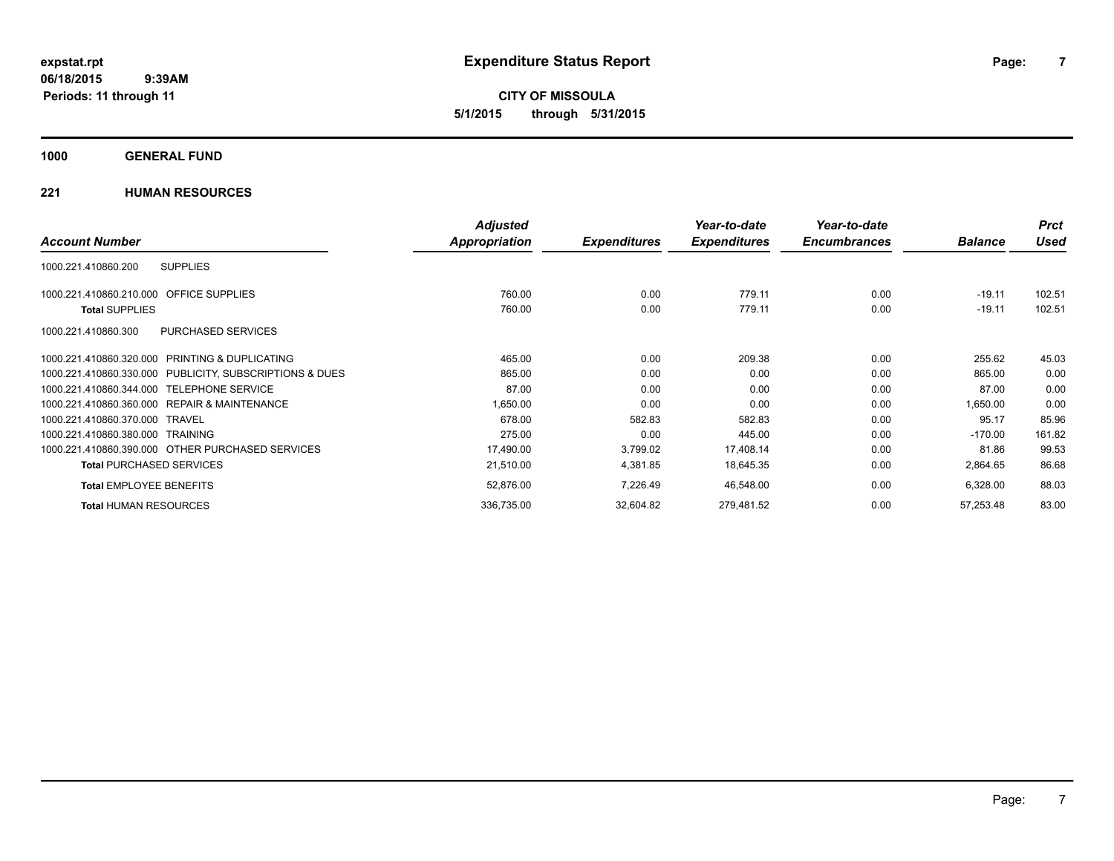**CITY OF MISSOULA 5/1/2015 through 5/31/2015**

## **1000 GENERAL FUND**

|                                                         | <b>Adjusted</b> |                     | Year-to-date        | Year-to-date        |                | <b>Prct</b> |
|---------------------------------------------------------|-----------------|---------------------|---------------------|---------------------|----------------|-------------|
| <b>Account Number</b>                                   | Appropriation   | <b>Expenditures</b> | <b>Expenditures</b> | <b>Encumbrances</b> | <b>Balance</b> | Used        |
| 1000.221.410860.200<br><b>SUPPLIES</b>                  |                 |                     |                     |                     |                |             |
| 1000.221.410860.210.000 OFFICE SUPPLIES                 | 760.00          | 0.00                | 779.11              | 0.00                | $-19.11$       | 102.51      |
| <b>Total SUPPLIES</b>                                   | 760.00          | 0.00                | 779.11              | 0.00                | $-19.11$       | 102.51      |
| 1000.221.410860.300<br>PURCHASED SERVICES               |                 |                     |                     |                     |                |             |
| 1000.221.410860.320.000 PRINTING & DUPLICATING          | 465.00          | 0.00                | 209.38              | 0.00                | 255.62         | 45.03       |
| 1000.221.410860.330.000 PUBLICITY, SUBSCRIPTIONS & DUES | 865.00          | 0.00                | 0.00                | 0.00                | 865.00         | 0.00        |
| 1000.221.410860.344.000 TELEPHONE SERVICE               | 87.00           | 0.00                | 0.00                | 0.00                | 87.00          | 0.00        |
| 1000.221.410860.360.000 REPAIR & MAINTENANCE            | 1,650.00        | 0.00                | 0.00                | 0.00                | 1,650.00       | 0.00        |
| 1000.221.410860.370.000 TRAVEL                          | 678.00          | 582.83              | 582.83              | 0.00                | 95.17          | 85.96       |
| 1000.221.410860.380.000 TRAINING                        | 275.00          | 0.00                | 445.00              | 0.00                | $-170.00$      | 161.82      |
| 1000.221.410860.390.000 OTHER PURCHASED SERVICES        | 17,490.00       | 3,799.02            | 17,408.14           | 0.00                | 81.86          | 99.53       |
| <b>Total PURCHASED SERVICES</b>                         | 21,510.00       | 4,381.85            | 18,645.35           | 0.00                | 2,864.65       | 86.68       |
| <b>Total EMPLOYEE BENEFITS</b>                          | 52,876.00       | 7,226.49            | 46,548.00           | 0.00                | 6,328.00       | 88.03       |
| <b>Total HUMAN RESOURCES</b>                            | 336,735.00      | 32,604.82           | 279,481.52          | 0.00                | 57,253.48      | 83.00       |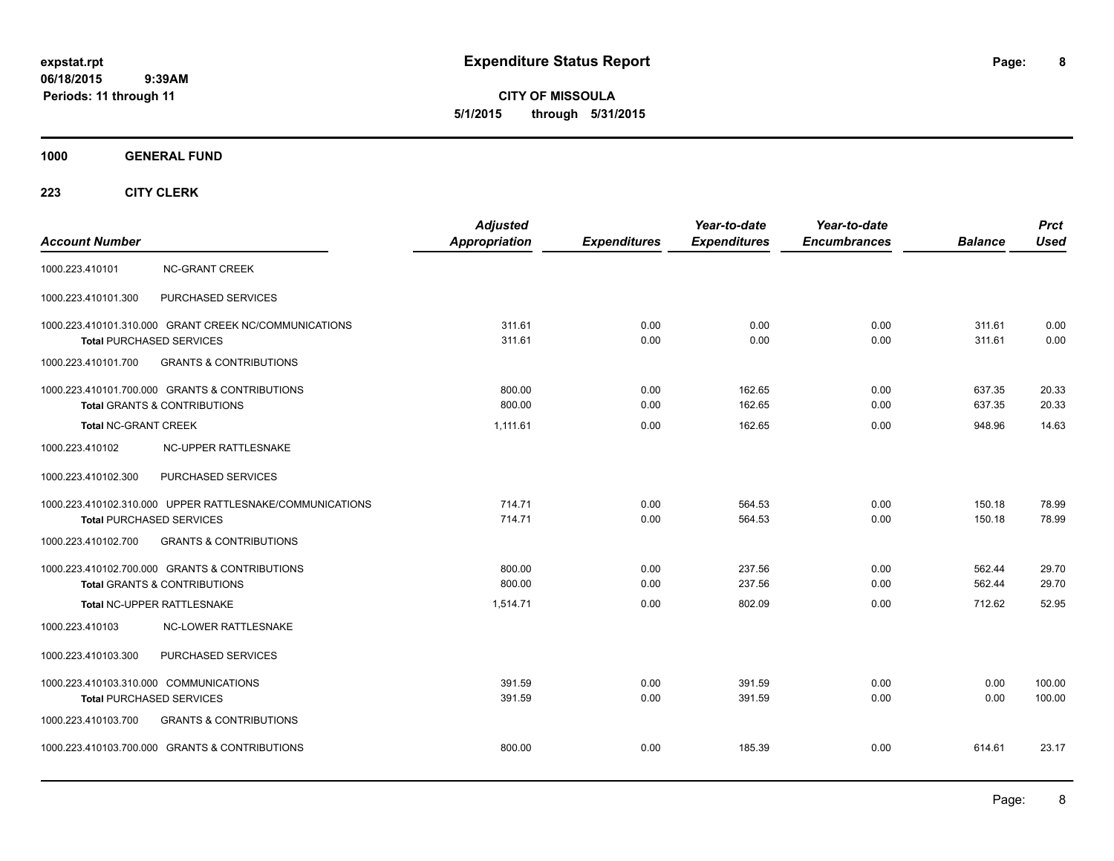**CITY OF MISSOULA 5/1/2015 through 5/31/2015**

## **1000 GENERAL FUND**

|                                                          | <b>Adjusted</b>      |                     | Year-to-date        | Year-to-date        |                | <b>Prct</b> |
|----------------------------------------------------------|----------------------|---------------------|---------------------|---------------------|----------------|-------------|
| <b>Account Number</b>                                    | <b>Appropriation</b> | <b>Expenditures</b> | <b>Expenditures</b> | <b>Encumbrances</b> | <b>Balance</b> | <b>Used</b> |
| <b>NC-GRANT CREEK</b><br>1000.223.410101                 |                      |                     |                     |                     |                |             |
| PURCHASED SERVICES<br>1000.223.410101.300                |                      |                     |                     |                     |                |             |
| 1000.223.410101.310.000 GRANT CREEK NC/COMMUNICATIONS    | 311.61               | 0.00                | 0.00                | 0.00                | 311.61         | 0.00        |
| <b>Total PURCHASED SERVICES</b>                          | 311.61               | 0.00                | 0.00                | 0.00                | 311.61         | 0.00        |
| 1000.223.410101.700<br><b>GRANTS &amp; CONTRIBUTIONS</b> |                      |                     |                     |                     |                |             |
| 1000.223.410101.700.000 GRANTS & CONTRIBUTIONS           | 800.00               | 0.00                | 162.65              | 0.00                | 637.35         | 20.33       |
| <b>Total GRANTS &amp; CONTRIBUTIONS</b>                  | 800.00               | 0.00                | 162.65              | 0.00                | 637.35         | 20.33       |
| <b>Total NC-GRANT CREEK</b>                              | 1,111.61             | 0.00                | 162.65              | 0.00                | 948.96         | 14.63       |
| 1000.223.410102<br>NC-UPPER RATTLESNAKE                  |                      |                     |                     |                     |                |             |
| 1000.223.410102.300<br>PURCHASED SERVICES                |                      |                     |                     |                     |                |             |
| 1000.223.410102.310.000 UPPER RATTLESNAKE/COMMUNICATIONS | 714.71               | 0.00                | 564.53              | 0.00                | 150.18         | 78.99       |
| <b>Total PURCHASED SERVICES</b>                          | 714.71               | 0.00                | 564.53              | 0.00                | 150.18         | 78.99       |
| 1000.223.410102.700<br><b>GRANTS &amp; CONTRIBUTIONS</b> |                      |                     |                     |                     |                |             |
| 1000.223.410102.700.000 GRANTS & CONTRIBUTIONS           | 800.00               | 0.00                | 237.56              | 0.00                | 562.44         | 29.70       |
| <b>Total GRANTS &amp; CONTRIBUTIONS</b>                  | 800.00               | 0.00                | 237.56              | 0.00                | 562.44         | 29.70       |
| Total NC-UPPER RATTLESNAKE                               | 1,514.71             | 0.00                | 802.09              | 0.00                | 712.62         | 52.95       |
| NC-LOWER RATTLESNAKE<br>1000.223.410103                  |                      |                     |                     |                     |                |             |
| PURCHASED SERVICES<br>1000.223.410103.300                |                      |                     |                     |                     |                |             |
| 1000.223.410103.310.000 COMMUNICATIONS                   | 391.59               | 0.00                | 391.59              | 0.00                | 0.00           | 100.00      |
| <b>Total PURCHASED SERVICES</b>                          | 391.59               | 0.00                | 391.59              | 0.00                | 0.00           | 100.00      |
| <b>GRANTS &amp; CONTRIBUTIONS</b><br>1000.223.410103.700 |                      |                     |                     |                     |                |             |
| 1000.223.410103.700.000 GRANTS & CONTRIBUTIONS           | 800.00               | 0.00                | 185.39              | 0.00                | 614.61         | 23.17       |
|                                                          |                      |                     |                     |                     |                |             |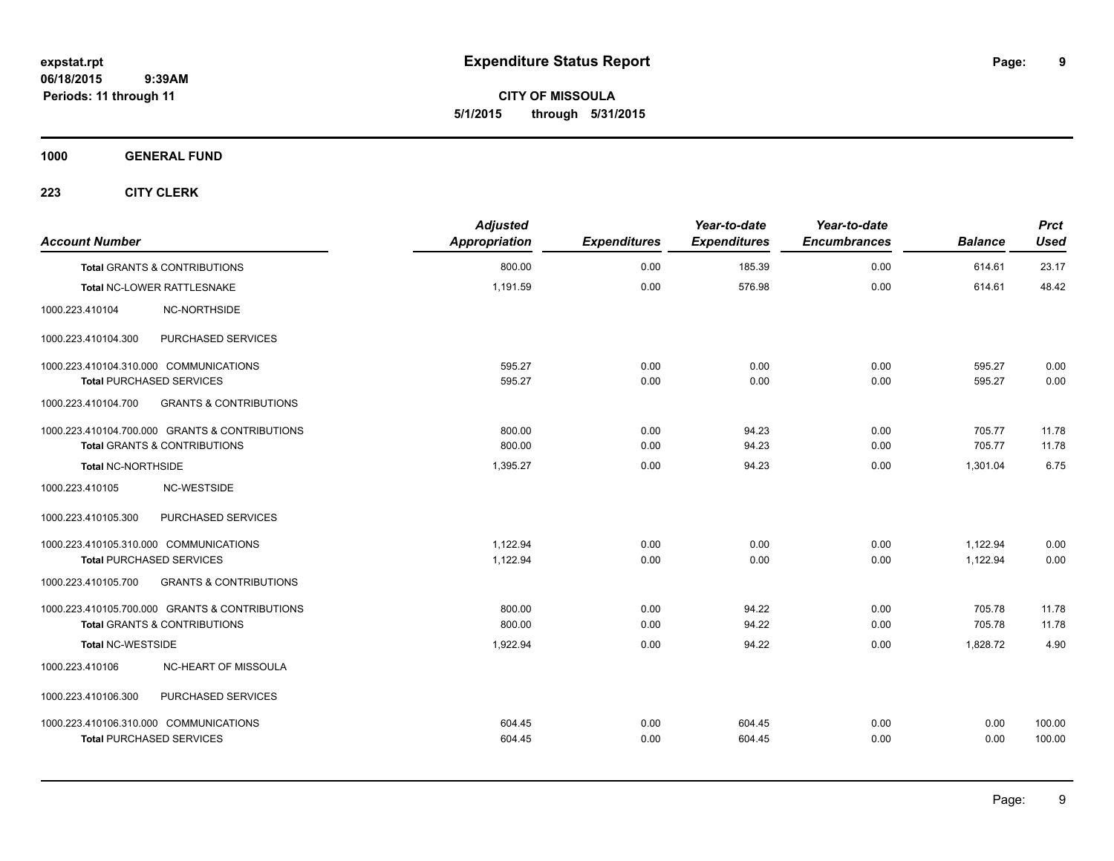**9**

**CITY OF MISSOULA 5/1/2015 through 5/31/2015**

**1000 GENERAL FUND**

| <b>Account Number</b>                                    | <b>Adjusted</b><br>Appropriation | <b>Expenditures</b> | Year-to-date<br><b>Expenditures</b> | Year-to-date<br><b>Encumbrances</b> | <b>Balance</b> | <b>Prct</b><br><b>Used</b> |
|----------------------------------------------------------|----------------------------------|---------------------|-------------------------------------|-------------------------------------|----------------|----------------------------|
| <b>Total GRANTS &amp; CONTRIBUTIONS</b>                  | 800.00                           | 0.00                | 185.39                              | 0.00                                | 614.61         | 23.17                      |
| Total NC-LOWER RATTLESNAKE                               | 1,191.59                         | 0.00                | 576.98                              | 0.00                                | 614.61         | 48.42                      |
| 1000.223.410104<br>NC-NORTHSIDE                          |                                  |                     |                                     |                                     |                |                            |
| 1000.223.410104.300<br>PURCHASED SERVICES                |                                  |                     |                                     |                                     |                |                            |
| 1000.223.410104.310.000 COMMUNICATIONS                   | 595.27                           | 0.00                | 0.00                                | 0.00                                | 595.27         | 0.00                       |
| <b>Total PURCHASED SERVICES</b>                          | 595.27                           | 0.00                | 0.00                                | 0.00                                | 595.27         | 0.00                       |
| <b>GRANTS &amp; CONTRIBUTIONS</b><br>1000.223.410104.700 |                                  |                     |                                     |                                     |                |                            |
| 1000.223.410104.700.000 GRANTS & CONTRIBUTIONS           | 800.00                           | 0.00                | 94.23                               | 0.00                                | 705.77         | 11.78                      |
| <b>Total GRANTS &amp; CONTRIBUTIONS</b>                  | 800.00                           | 0.00                | 94.23                               | 0.00                                | 705.77         | 11.78                      |
| Total NC-NORTHSIDE                                       | 1,395.27                         | 0.00                | 94.23                               | 0.00                                | 1,301.04       | 6.75                       |
| NC-WESTSIDE<br>1000.223.410105                           |                                  |                     |                                     |                                     |                |                            |
| PURCHASED SERVICES<br>1000.223.410105.300                |                                  |                     |                                     |                                     |                |                            |
| 1000.223.410105.310.000 COMMUNICATIONS                   | 1,122.94                         | 0.00                | 0.00                                | 0.00                                | 1,122.94       | 0.00                       |
| <b>Total PURCHASED SERVICES</b>                          | 1,122.94                         | 0.00                | 0.00                                | 0.00                                | 1,122.94       | 0.00                       |
| 1000.223.410105.700<br><b>GRANTS &amp; CONTRIBUTIONS</b> |                                  |                     |                                     |                                     |                |                            |
| 1000.223.410105.700.000 GRANTS & CONTRIBUTIONS           | 800.00                           | 0.00                | 94.22                               | 0.00                                | 705.78         | 11.78                      |
| <b>Total GRANTS &amp; CONTRIBUTIONS</b>                  | 800.00                           | 0.00                | 94.22                               | 0.00                                | 705.78         | 11.78                      |
| <b>Total NC-WESTSIDE</b>                                 | 1,922.94                         | 0.00                | 94.22                               | 0.00                                | 1,828.72       | 4.90                       |
| 1000.223.410106<br>NC-HEART OF MISSOULA                  |                                  |                     |                                     |                                     |                |                            |
| PURCHASED SERVICES<br>1000.223.410106.300                |                                  |                     |                                     |                                     |                |                            |
| 1000.223.410106.310.000 COMMUNICATIONS                   | 604.45                           | 0.00                | 604.45                              | 0.00                                | 0.00           | 100.00                     |
| <b>Total PURCHASED SERVICES</b>                          | 604.45                           | 0.00                | 604.45                              | 0.00                                | 0.00           | 100.00                     |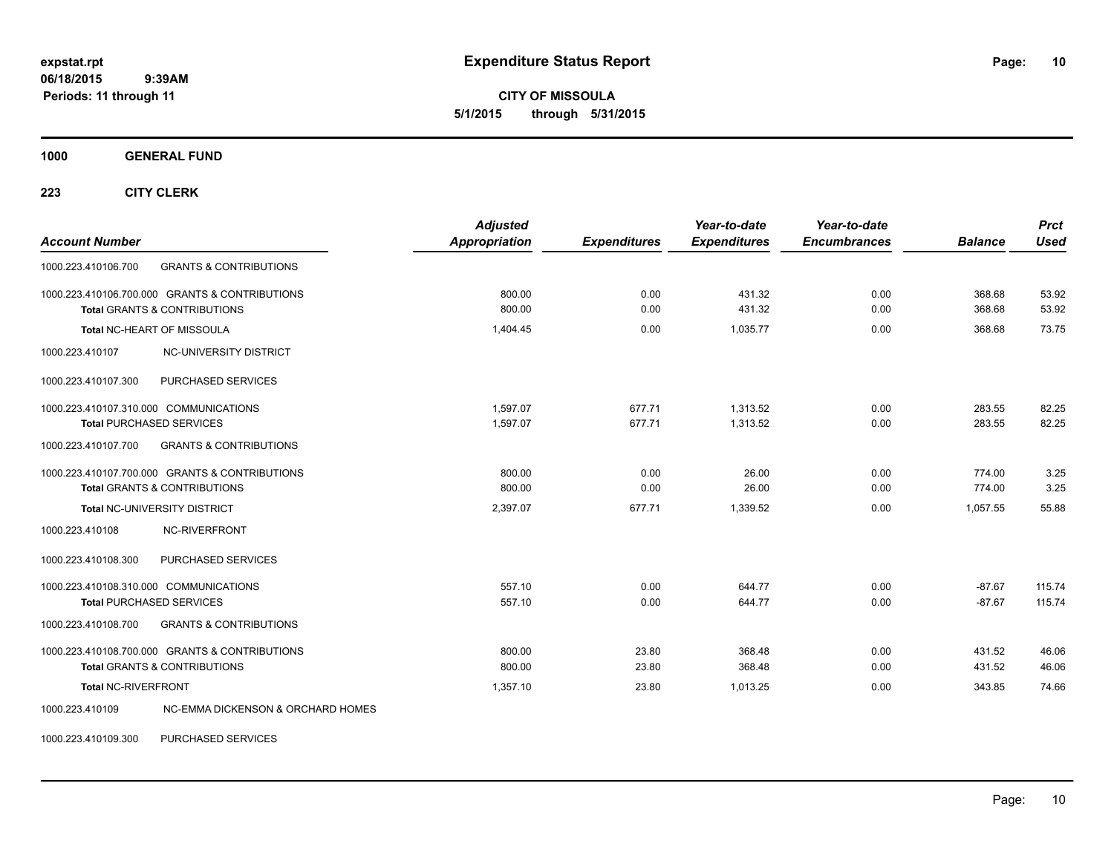**CITY OF MISSOULA 5/1/2015 through 5/31/2015**

**1000 GENERAL FUND**

**223 CITY CLERK**

| <b>Account Number</b>                                                                     | <b>Adjusted</b><br><b>Appropriation</b> | <b>Expenditures</b> | Year-to-date<br><b>Expenditures</b> | Year-to-date<br><b>Encumbrances</b> | <b>Balance</b>   | <b>Prct</b><br><b>Used</b> |
|-------------------------------------------------------------------------------------------|-----------------------------------------|---------------------|-------------------------------------|-------------------------------------|------------------|----------------------------|
| 1000.223.410106.700<br><b>GRANTS &amp; CONTRIBUTIONS</b>                                  |                                         |                     |                                     |                                     |                  |                            |
| 1000.223.410106.700.000 GRANTS & CONTRIBUTIONS<br><b>Total GRANTS &amp; CONTRIBUTIONS</b> | 800.00<br>800.00                        | 0.00<br>0.00        | 431.32<br>431.32                    | 0.00<br>0.00                        | 368.68<br>368.68 | 53.92<br>53.92             |
|                                                                                           |                                         |                     |                                     |                                     |                  |                            |
| Total NC-HEART OF MISSOULA                                                                | 1.404.45                                | 0.00                | 1.035.77                            | 0.00                                | 368.68           | 73.75                      |
| NC-UNIVERSITY DISTRICT<br>1000.223.410107                                                 |                                         |                     |                                     |                                     |                  |                            |
| PURCHASED SERVICES<br>1000.223.410107.300                                                 |                                         |                     |                                     |                                     |                  |                            |
| 1000.223.410107.310.000 COMMUNICATIONS                                                    | 1,597.07                                | 677.71              | 1,313.52                            | 0.00                                | 283.55           | 82.25                      |
| <b>Total PURCHASED SERVICES</b>                                                           | 1,597.07                                | 677.71              | 1,313.52                            | 0.00                                | 283.55           | 82.25                      |
| 1000.223.410107.700<br><b>GRANTS &amp; CONTRIBUTIONS</b>                                  |                                         |                     |                                     |                                     |                  |                            |
| 1000.223.410107.700.000 GRANTS & CONTRIBUTIONS                                            | 800.00                                  | 0.00                | 26.00                               | 0.00                                | 774.00           | 3.25                       |
| <b>Total GRANTS &amp; CONTRIBUTIONS</b>                                                   | 800.00                                  | 0.00                | 26.00                               | 0.00                                | 774.00           | 3.25                       |
| Total NC-UNIVERSITY DISTRICT                                                              | 2,397.07                                | 677.71              | 1.339.52                            | 0.00                                | 1.057.55         | 55.88                      |
| 1000.223.410108<br>NC-RIVERFRONT                                                          |                                         |                     |                                     |                                     |                  |                            |
| PURCHASED SERVICES<br>1000.223.410108.300                                                 |                                         |                     |                                     |                                     |                  |                            |
| 1000.223.410108.310.000 COMMUNICATIONS                                                    | 557.10                                  | 0.00                | 644.77                              | 0.00                                | $-87.67$         | 115.74                     |
| <b>Total PURCHASED SERVICES</b>                                                           | 557.10                                  | 0.00                | 644.77                              | 0.00                                | $-87.67$         | 115.74                     |
| <b>GRANTS &amp; CONTRIBUTIONS</b><br>1000.223.410108.700                                  |                                         |                     |                                     |                                     |                  |                            |
| 1000.223.410108.700.000 GRANTS & CONTRIBUTIONS                                            | 800.00                                  | 23.80               | 368.48                              | 0.00                                | 431.52           | 46.06                      |
| <b>Total GRANTS &amp; CONTRIBUTIONS</b>                                                   | 800.00                                  | 23.80               | 368.48                              | 0.00                                | 431.52           | 46.06                      |
| <b>Total NC-RIVERFRONT</b>                                                                | 1,357.10                                | 23.80               | 1.013.25                            | 0.00                                | 343.85           | 74.66                      |
| 1000.223.410109<br>NC-EMMA DICKENSON & ORCHARD HOMES                                      |                                         |                     |                                     |                                     |                  |                            |

1000.223.410109.300 PURCHASED SERVICES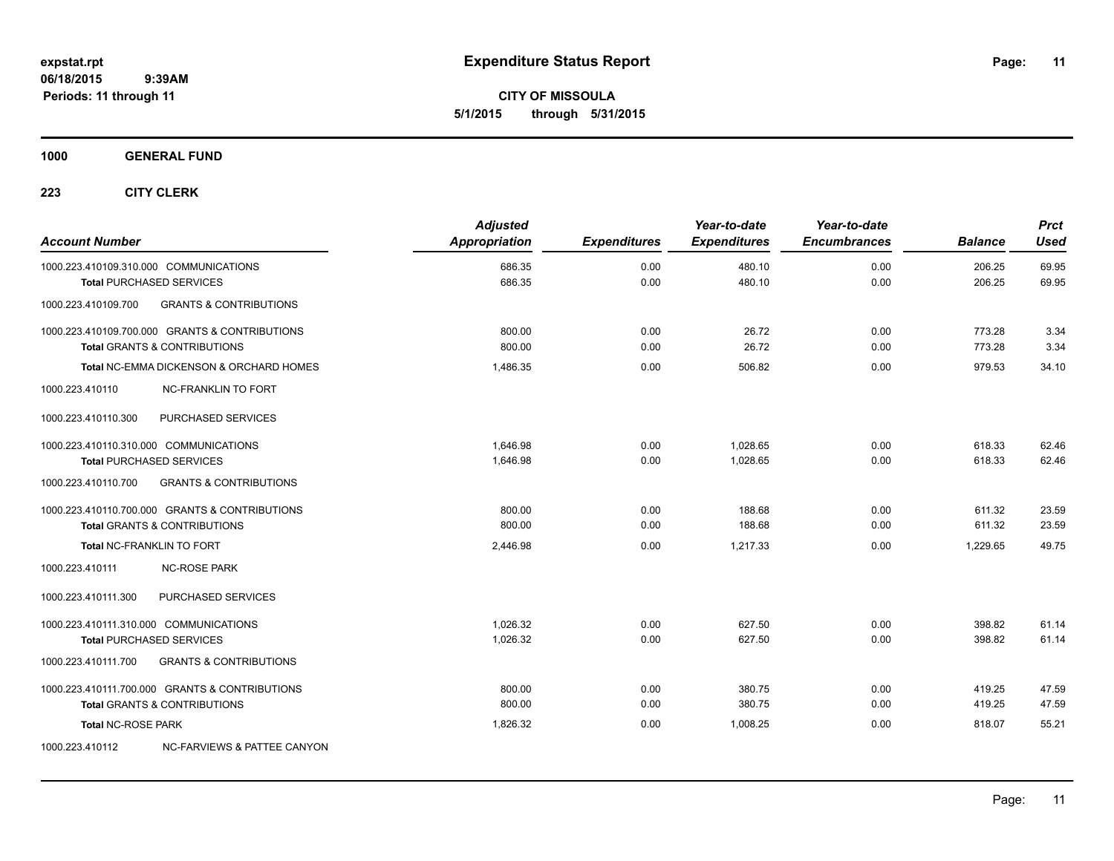**CITY OF MISSOULA 5/1/2015 through 5/31/2015**

## **1000 GENERAL FUND**

| <b>Account Number</b>                  |                                                                                           | <b>Adjusted</b><br><b>Appropriation</b> | <b>Expenditures</b> | Year-to-date<br><b>Expenditures</b> | Year-to-date<br><b>Encumbrances</b> | <b>Balance</b>   | <b>Prct</b><br><b>Used</b> |
|----------------------------------------|-------------------------------------------------------------------------------------------|-----------------------------------------|---------------------|-------------------------------------|-------------------------------------|------------------|----------------------------|
| 1000.223.410109.310.000 COMMUNICATIONS | <b>Total PURCHASED SERVICES</b>                                                           | 686.35<br>686.35                        | 0.00<br>0.00        | 480.10<br>480.10                    | 0.00<br>0.00                        | 206.25<br>206.25 | 69.95<br>69.95             |
| 1000.223.410109.700                    | <b>GRANTS &amp; CONTRIBUTIONS</b>                                                         |                                         |                     |                                     |                                     |                  |                            |
|                                        | 1000.223.410109.700.000 GRANTS & CONTRIBUTIONS<br><b>Total GRANTS &amp; CONTRIBUTIONS</b> | 800.00<br>800.00                        | 0.00<br>0.00        | 26.72<br>26.72                      | 0.00<br>0.00                        | 773.28<br>773.28 | 3.34<br>3.34               |
|                                        | Total NC-EMMA DICKENSON & ORCHARD HOMES                                                   | 1,486.35                                | 0.00                | 506.82                              | 0.00                                | 979.53           | 34.10                      |
| 1000.223.410110                        | <b>NC-FRANKLIN TO FORT</b>                                                                |                                         |                     |                                     |                                     |                  |                            |
| 1000.223.410110.300                    | PURCHASED SERVICES                                                                        |                                         |                     |                                     |                                     |                  |                            |
| 1000.223.410110.310.000 COMMUNICATIONS | <b>Total PURCHASED SERVICES</b>                                                           | 1,646.98<br>1.646.98                    | 0.00<br>0.00        | 1,028.65<br>1.028.65                | 0.00<br>0.00                        | 618.33<br>618.33 | 62.46<br>62.46             |
| 1000.223.410110.700                    | <b>GRANTS &amp; CONTRIBUTIONS</b>                                                         |                                         |                     |                                     |                                     |                  |                            |
|                                        | 1000.223.410110.700.000 GRANTS & CONTRIBUTIONS<br><b>Total GRANTS &amp; CONTRIBUTIONS</b> | 800.00<br>800.00                        | 0.00<br>0.00        | 188.68<br>188.68                    | 0.00<br>0.00                        | 611.32<br>611.32 | 23.59<br>23.59             |
|                                        | Total NC-FRANKLIN TO FORT                                                                 | 2,446.98                                | 0.00                | 1,217.33                            | 0.00                                | 1,229.65         | 49.75                      |
| 1000.223.410111                        | <b>NC-ROSE PARK</b>                                                                       |                                         |                     |                                     |                                     |                  |                            |
| 1000.223.410111.300                    | PURCHASED SERVICES                                                                        |                                         |                     |                                     |                                     |                  |                            |
| 1000.223.410111.310.000 COMMUNICATIONS | <b>Total PURCHASED SERVICES</b>                                                           | 1.026.32<br>1,026.32                    | 0.00<br>0.00        | 627.50<br>627.50                    | 0.00<br>0.00                        | 398.82<br>398.82 | 61.14<br>61.14             |
| 1000.223.410111.700                    | <b>GRANTS &amp; CONTRIBUTIONS</b>                                                         |                                         |                     |                                     |                                     |                  |                            |
|                                        | 1000.223.410111.700.000 GRANTS & CONTRIBUTIONS<br><b>Total GRANTS &amp; CONTRIBUTIONS</b> | 800.00<br>800.00                        | 0.00<br>0.00        | 380.75<br>380.75                    | 0.00<br>0.00                        | 419.25<br>419.25 | 47.59<br>47.59             |
| <b>Total NC-ROSE PARK</b>              |                                                                                           | 1,826.32                                | 0.00                | 1,008.25                            | 0.00                                | 818.07           | 55.21                      |
| 1000.223.410112                        | NC-FARVIEWS & PATTEE CANYON                                                               |                                         |                     |                                     |                                     |                  |                            |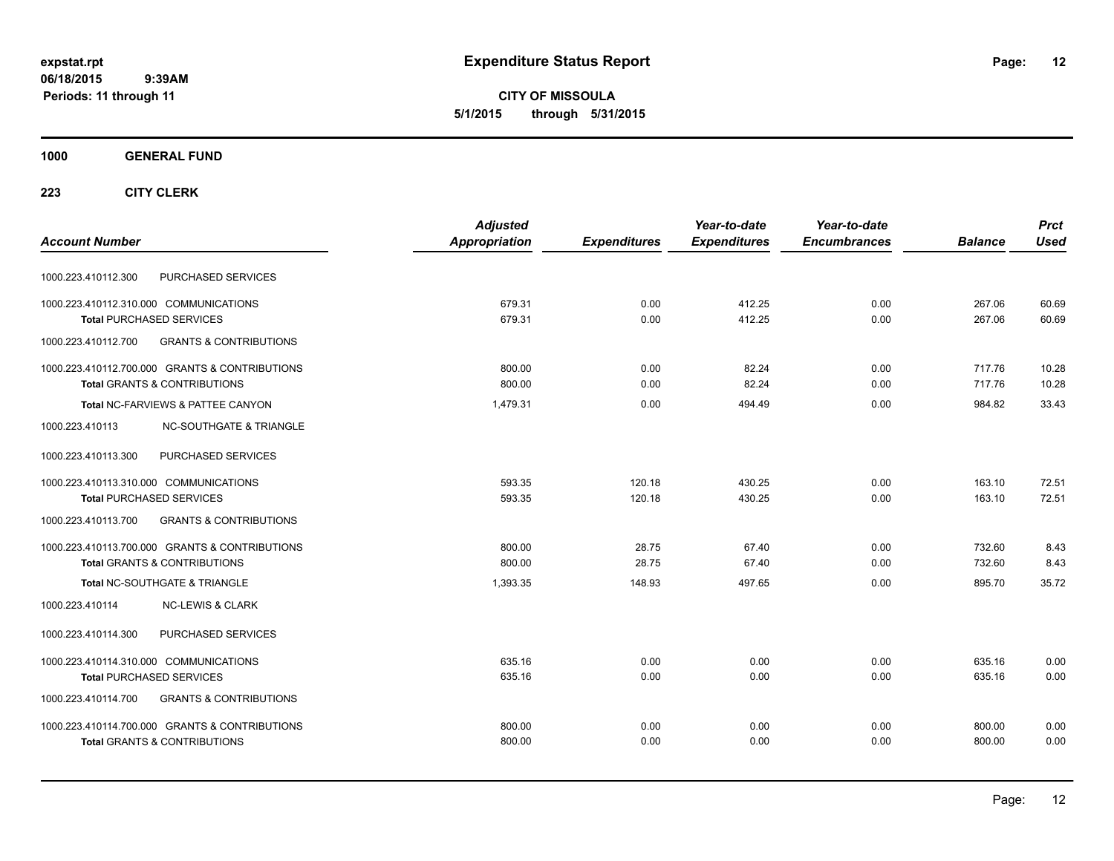**CITY OF MISSOULA 5/1/2015 through 5/31/2015**

## **1000 GENERAL FUND**

|                                                          | <b>Adjusted</b> |                     | Year-to-date        | Year-to-date        |                | <b>Prct</b> |
|----------------------------------------------------------|-----------------|---------------------|---------------------|---------------------|----------------|-------------|
| <b>Account Number</b>                                    | Appropriation   | <b>Expenditures</b> | <b>Expenditures</b> | <b>Encumbrances</b> | <b>Balance</b> | <b>Used</b> |
| PURCHASED SERVICES<br>1000.223.410112.300                |                 |                     |                     |                     |                |             |
| 1000.223.410112.310.000 COMMUNICATIONS                   | 679.31          | 0.00                | 412.25              | 0.00                | 267.06         | 60.69       |
| <b>Total PURCHASED SERVICES</b>                          | 679.31          | 0.00                | 412.25              | 0.00                | 267.06         | 60.69       |
| <b>GRANTS &amp; CONTRIBUTIONS</b><br>1000.223.410112.700 |                 |                     |                     |                     |                |             |
| 1000.223.410112.700.000 GRANTS & CONTRIBUTIONS           | 800.00          | 0.00                | 82.24               | 0.00                | 717.76         | 10.28       |
| <b>Total GRANTS &amp; CONTRIBUTIONS</b>                  | 800.00          | 0.00                | 82.24               | 0.00                | 717.76         | 10.28       |
| Total NC-FARVIEWS & PATTEE CANYON                        | 1,479.31        | 0.00                | 494.49              | 0.00                | 984.82         | 33.43       |
| <b>NC-SOUTHGATE &amp; TRIANGLE</b><br>1000.223.410113    |                 |                     |                     |                     |                |             |
| 1000.223.410113.300<br>PURCHASED SERVICES                |                 |                     |                     |                     |                |             |
| 1000.223.410113.310.000 COMMUNICATIONS                   | 593.35          | 120.18              | 430.25              | 0.00                | 163.10         | 72.51       |
| <b>Total PURCHASED SERVICES</b>                          | 593.35          | 120.18              | 430.25              | 0.00                | 163.10         | 72.51       |
| 1000.223.410113.700<br><b>GRANTS &amp; CONTRIBUTIONS</b> |                 |                     |                     |                     |                |             |
| 1000.223.410113.700.000 GRANTS & CONTRIBUTIONS           | 800.00          | 28.75               | 67.40               | 0.00                | 732.60         | 8.43        |
| <b>Total GRANTS &amp; CONTRIBUTIONS</b>                  | 800.00          | 28.75               | 67.40               | 0.00                | 732.60         | 8.43        |
| <b>Total NC-SOUTHGATE &amp; TRIANGLE</b>                 | 1,393.35        | 148.93              | 497.65              | 0.00                | 895.70         | 35.72       |
| 1000.223.410114<br><b>NC-LEWIS &amp; CLARK</b>           |                 |                     |                     |                     |                |             |
| PURCHASED SERVICES<br>1000.223.410114.300                |                 |                     |                     |                     |                |             |
| 1000.223.410114.310.000 COMMUNICATIONS                   | 635.16          | 0.00                | 0.00                | 0.00                | 635.16         | 0.00        |
| Total PURCHASED SERVICES                                 | 635.16          | 0.00                | 0.00                | 0.00                | 635.16         | 0.00        |
| <b>GRANTS &amp; CONTRIBUTIONS</b><br>1000.223.410114.700 |                 |                     |                     |                     |                |             |
| 1000.223.410114.700.000 GRANTS & CONTRIBUTIONS           | 800.00          | 0.00                | 0.00                | 0.00                | 800.00         | 0.00        |
| <b>Total GRANTS &amp; CONTRIBUTIONS</b>                  | 800.00          | 0.00                | 0.00                | 0.00                | 800.00         | 0.00        |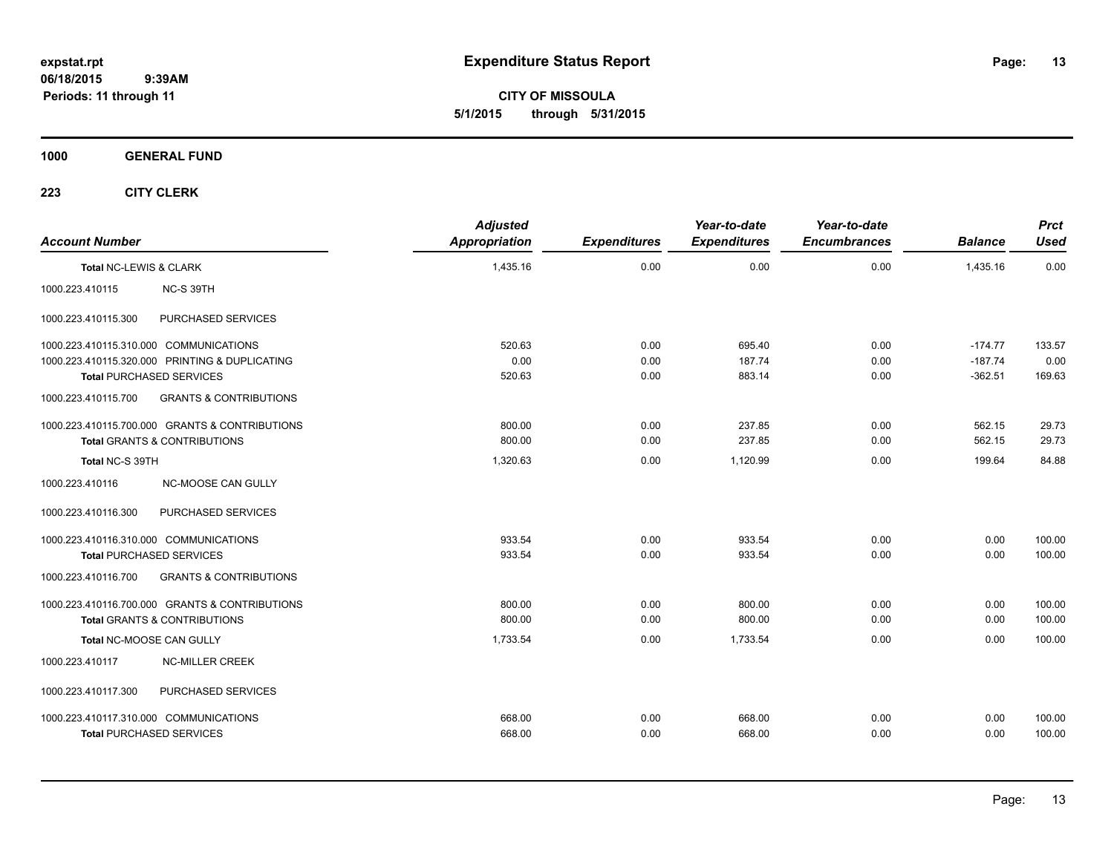**CITY OF MISSOULA 5/1/2015 through 5/31/2015**

## **1000 GENERAL FUND**

| <b>Account Number</b>                                    | <b>Adjusted</b><br><b>Appropriation</b> | <b>Expenditures</b> | Year-to-date<br><b>Expenditures</b> | Year-to-date<br><b>Encumbrances</b> | <b>Balance</b> | <b>Prct</b><br><b>Used</b> |
|----------------------------------------------------------|-----------------------------------------|---------------------|-------------------------------------|-------------------------------------|----------------|----------------------------|
| Total NC-LEWIS & CLARK                                   | 1,435.16                                | 0.00                | 0.00                                | 0.00                                | 1,435.16       | 0.00                       |
| 1000.223.410115<br>NC-S 39TH                             |                                         |                     |                                     |                                     |                |                            |
| PURCHASED SERVICES<br>1000.223.410115.300                |                                         |                     |                                     |                                     |                |                            |
| 1000.223.410115.310.000 COMMUNICATIONS                   | 520.63                                  | 0.00                | 695.40                              | 0.00                                | $-174.77$      | 133.57                     |
| 1000.223.410115.320.000 PRINTING & DUPLICATING           | 0.00                                    | 0.00                | 187.74                              | 0.00                                | $-187.74$      | 0.00                       |
| <b>Total PURCHASED SERVICES</b>                          | 520.63                                  | 0.00                | 883.14                              | 0.00                                | $-362.51$      | 169.63                     |
| 1000.223.410115.700<br><b>GRANTS &amp; CONTRIBUTIONS</b> |                                         |                     |                                     |                                     |                |                            |
| 1000.223.410115.700.000 GRANTS & CONTRIBUTIONS           | 800.00                                  | 0.00                | 237.85                              | 0.00                                | 562.15         | 29.73                      |
| Total GRANTS & CONTRIBUTIONS                             | 800.00                                  | 0.00                | 237.85                              | 0.00                                | 562.15         | 29.73                      |
| Total NC-S 39TH                                          | 1,320.63                                | 0.00                | 1,120.99                            | 0.00                                | 199.64         | 84.88                      |
| 1000.223.410116<br>NC-MOOSE CAN GULLY                    |                                         |                     |                                     |                                     |                |                            |
| PURCHASED SERVICES<br>1000.223.410116.300                |                                         |                     |                                     |                                     |                |                            |
| 1000.223.410116.310.000 COMMUNICATIONS                   | 933.54                                  | 0.00                | 933.54                              | 0.00                                | 0.00           | 100.00                     |
| <b>Total PURCHASED SERVICES</b>                          | 933.54                                  | 0.00                | 933.54                              | 0.00                                | 0.00           | 100.00                     |
| 1000.223.410116.700<br><b>GRANTS &amp; CONTRIBUTIONS</b> |                                         |                     |                                     |                                     |                |                            |
| 1000.223.410116.700.000 GRANTS & CONTRIBUTIONS           | 800.00                                  | 0.00                | 800.00                              | 0.00                                | 0.00           | 100.00                     |
| <b>Total GRANTS &amp; CONTRIBUTIONS</b>                  | 800.00                                  | 0.00                | 800.00                              | 0.00                                | 0.00           | 100.00                     |
| Total NC-MOOSE CAN GULLY                                 | 1,733.54                                | 0.00                | 1,733.54                            | 0.00                                | 0.00           | 100.00                     |
| 1000.223.410117<br><b>NC-MILLER CREEK</b>                |                                         |                     |                                     |                                     |                |                            |
| PURCHASED SERVICES<br>1000.223.410117.300                |                                         |                     |                                     |                                     |                |                            |
| 1000.223.410117.310.000 COMMUNICATIONS                   | 668.00                                  | 0.00                | 668.00                              | 0.00                                | 0.00           | 100.00                     |
| <b>Total PURCHASED SERVICES</b>                          | 668.00                                  | 0.00                | 668.00                              | 0.00                                | 0.00           | 100.00                     |
|                                                          |                                         |                     |                                     |                                     |                |                            |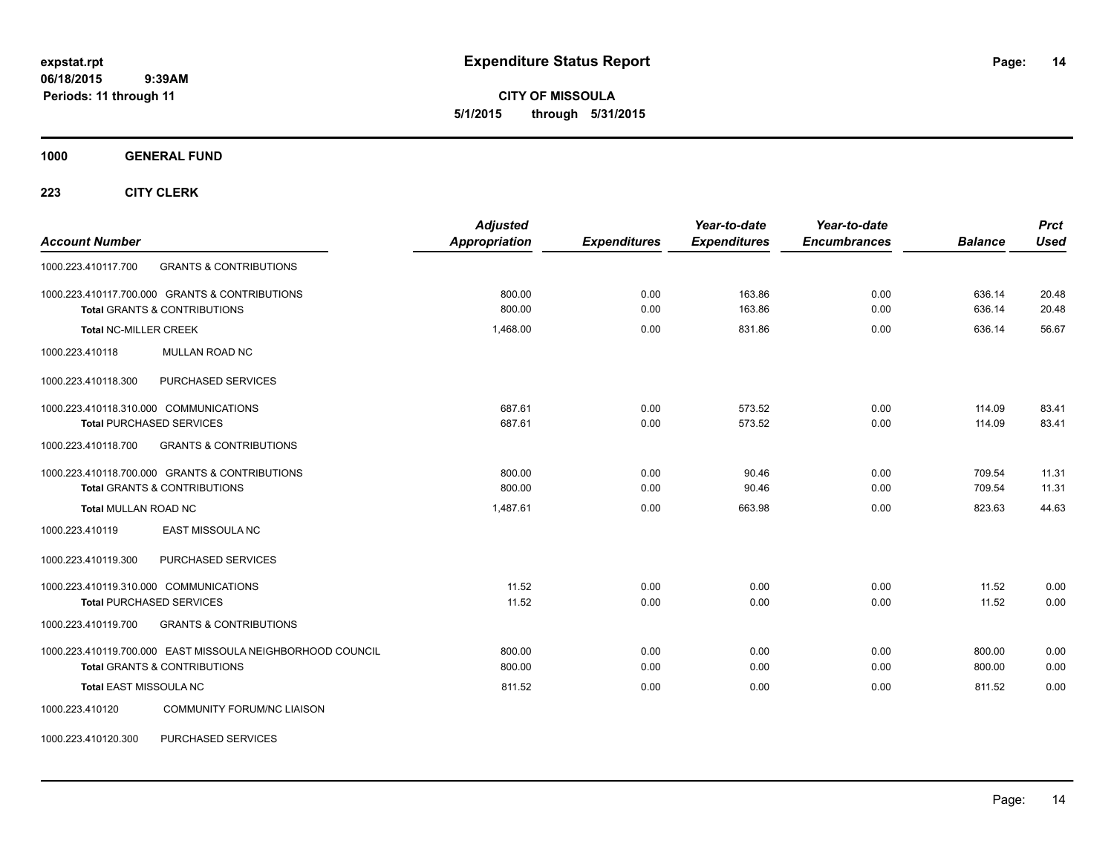**CITY OF MISSOULA 5/1/2015 through 5/31/2015**

**1000 GENERAL FUND**

**223 CITY CLERK**

| <b>Account Number</b>                                      | <b>Adjusted</b><br><b>Appropriation</b> | <b>Expenditures</b> | Year-to-date<br><b>Expenditures</b> | Year-to-date<br><b>Encumbrances</b> | <b>Balance</b> | <b>Prct</b><br><b>Used</b> |
|------------------------------------------------------------|-----------------------------------------|---------------------|-------------------------------------|-------------------------------------|----------------|----------------------------|
| <b>GRANTS &amp; CONTRIBUTIONS</b><br>1000.223.410117.700   |                                         |                     |                                     |                                     |                |                            |
| 1000.223.410117.700.000 GRANTS & CONTRIBUTIONS             | 800.00                                  | 0.00                | 163.86                              | 0.00                                | 636.14         | 20.48                      |
| <b>Total GRANTS &amp; CONTRIBUTIONS</b>                    | 800.00                                  | 0.00                | 163.86                              | 0.00                                | 636.14         | 20.48                      |
| <b>Total NC-MILLER CREEK</b>                               | 1,468.00                                | 0.00                | 831.86                              | 0.00                                | 636.14         | 56.67                      |
| MULLAN ROAD NC<br>1000.223.410118                          |                                         |                     |                                     |                                     |                |                            |
| PURCHASED SERVICES<br>1000.223.410118.300                  |                                         |                     |                                     |                                     |                |                            |
| 1000.223.410118.310.000 COMMUNICATIONS                     | 687.61                                  | 0.00                | 573.52                              | 0.00                                | 114.09         | 83.41                      |
| <b>Total PURCHASED SERVICES</b>                            | 687.61                                  | 0.00                | 573.52                              | 0.00                                | 114.09         | 83.41                      |
| 1000.223.410118.700<br><b>GRANTS &amp; CONTRIBUTIONS</b>   |                                         |                     |                                     |                                     |                |                            |
| 1000.223.410118.700.000 GRANTS & CONTRIBUTIONS             | 800.00                                  | 0.00                | 90.46                               | 0.00                                | 709.54         | 11.31                      |
| <b>Total GRANTS &amp; CONTRIBUTIONS</b>                    | 800.00                                  | 0.00                | 90.46                               | 0.00                                | 709.54         | 11.31                      |
| <b>Total MULLAN ROAD NC</b>                                | 1,487.61                                | 0.00                | 663.98                              | 0.00                                | 823.63         | 44.63                      |
| <b>EAST MISSOULA NC</b><br>1000.223.410119                 |                                         |                     |                                     |                                     |                |                            |
| PURCHASED SERVICES<br>1000.223.410119.300                  |                                         |                     |                                     |                                     |                |                            |
| 1000.223.410119.310.000 COMMUNICATIONS                     | 11.52                                   | 0.00                | 0.00                                | 0.00                                | 11.52          | 0.00                       |
| <b>Total PURCHASED SERVICES</b>                            | 11.52                                   | 0.00                | 0.00                                | 0.00                                | 11.52          | 0.00                       |
| <b>GRANTS &amp; CONTRIBUTIONS</b><br>1000.223.410119.700   |                                         |                     |                                     |                                     |                |                            |
| 1000.223.410119.700.000 EAST MISSOULA NEIGHBORHOOD COUNCIL | 800.00                                  | 0.00                | 0.00                                | 0.00                                | 800.00         | 0.00                       |
| <b>Total GRANTS &amp; CONTRIBUTIONS</b>                    | 800.00                                  | 0.00                | 0.00                                | 0.00                                | 800.00         | 0.00                       |
| Total EAST MISSOULA NC                                     | 811.52                                  | 0.00                | 0.00                                | 0.00                                | 811.52         | 0.00                       |
| <b>COMMUNITY FORUM/NC LIAISON</b><br>1000.223.410120       |                                         |                     |                                     |                                     |                |                            |

1000.223.410120.300 PURCHASED SERVICES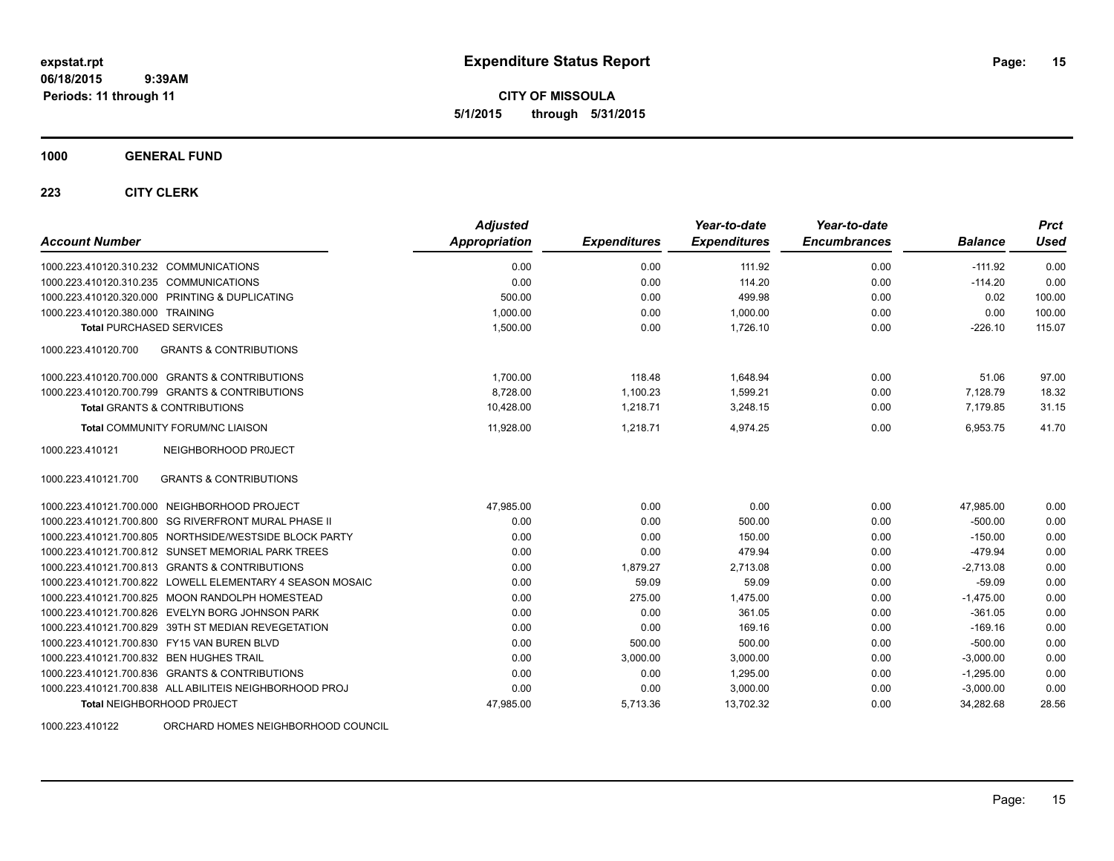**CITY OF MISSOULA 5/1/2015 through 5/31/2015**

#### **1000 GENERAL FUND**

## **223 CITY CLERK**

| <b>Account Number</b>                                     | <b>Adjusted</b><br><b>Appropriation</b> | <b>Expenditures</b> | Year-to-date<br><b>Expenditures</b> | Year-to-date<br><b>Encumbrances</b> | <b>Balance</b> | <b>Prct</b><br>Used |
|-----------------------------------------------------------|-----------------------------------------|---------------------|-------------------------------------|-------------------------------------|----------------|---------------------|
| 1000.223.410120.310.232 COMMUNICATIONS                    | 0.00                                    | 0.00                | 111.92                              | 0.00                                | $-111.92$      | 0.00                |
| 1000.223.410120.310.235 COMMUNICATIONS                    | 0.00                                    | 0.00                | 114.20                              | 0.00                                | $-114.20$      | 0.00                |
| 1000.223.410120.320.000 PRINTING & DUPLICATING            | 500.00                                  | 0.00                | 499.98                              | 0.00                                | 0.02           | 100.00              |
| 1000.223.410120.380.000 TRAINING                          | 1,000.00                                | 0.00                | 1,000.00                            | 0.00                                | 0.00           | 100.00              |
| <b>Total PURCHASED SERVICES</b>                           | 1,500.00                                | 0.00                | 1,726.10                            | 0.00                                | $-226.10$      | 115.07              |
| 1000.223.410120.700<br><b>GRANTS &amp; CONTRIBUTIONS</b>  |                                         |                     |                                     |                                     |                |                     |
| 1000.223.410120.700.000 GRANTS & CONTRIBUTIONS            | 1,700.00                                | 118.48              | 1.648.94                            | 0.00                                | 51.06          | 97.00               |
| 1000.223.410120.700.799 GRANTS & CONTRIBUTIONS            | 8,728.00                                | 1,100.23            | 1,599.21                            | 0.00                                | 7,128.79       | 18.32               |
| <b>Total GRANTS &amp; CONTRIBUTIONS</b>                   | 10,428.00                               | 1,218.71            | 3,248.15                            | 0.00                                | 7,179.85       | 31.15               |
| <b>Total COMMUNITY FORUM/NC LIAISON</b>                   | 11,928.00                               | 1,218.71            | 4,974.25                            | 0.00                                | 6,953.75       | 41.70               |
| 1000.223.410121<br>NEIGHBORHOOD PROJECT                   |                                         |                     |                                     |                                     |                |                     |
| <b>GRANTS &amp; CONTRIBUTIONS</b><br>1000.223.410121.700  |                                         |                     |                                     |                                     |                |                     |
| 1000.223.410121.700.000 NEIGHBORHOOD PROJECT              | 47,985.00                               | 0.00                | 0.00                                | 0.00                                | 47,985.00      | 0.00                |
| 1000.223.410121.700.800 SG RIVERFRONT MURAL PHASE II      | 0.00                                    | 0.00                | 500.00                              | 0.00                                | $-500.00$      | 0.00                |
| 1000.223.410121.700.805 NORTHSIDE/WESTSIDE BLOCK PARTY    | 0.00                                    | 0.00                | 150.00                              | 0.00                                | $-150.00$      | 0.00                |
| 1000.223.410121.700.812 SUNSET MEMORIAL PARK TREES        | 0.00                                    | 0.00                | 479.94                              | 0.00                                | $-479.94$      | 0.00                |
| 1000.223.410121.700.813 GRANTS & CONTRIBUTIONS            | 0.00                                    | 1,879.27            | 2,713.08                            | 0.00                                | $-2,713.08$    | 0.00                |
| 1000.223.410121.700.822 LOWELL ELEMENTARY 4 SEASON MOSAIC | 0.00                                    | 59.09               | 59.09                               | 0.00                                | $-59.09$       | 0.00                |
| 1000.223.410121.700.825 MOON RANDOLPH HOMESTEAD           | 0.00                                    | 275.00              | 1,475.00                            | 0.00                                | $-1,475.00$    | 0.00                |
| 1000.223.410121.700.826 EVELYN BORG JOHNSON PARK          | 0.00                                    | 0.00                | 361.05                              | 0.00                                | $-361.05$      | 0.00                |
| 1000.223.410121.700.829 39TH ST MEDIAN REVEGETATION       | 0.00                                    | 0.00                | 169.16                              | 0.00                                | $-169.16$      | 0.00                |
| 1000.223.410121.700.830 FY15 VAN BUREN BLVD               | 0.00                                    | 500.00              | 500.00                              | 0.00                                | $-500.00$      | 0.00                |
| 1000.223.410121.700.832 BEN HUGHES TRAIL                  | 0.00                                    | 3.000.00            | 3,000.00                            | 0.00                                | $-3.000.00$    | 0.00                |
| 1000.223.410121.700.836 GRANTS & CONTRIBUTIONS            | 0.00                                    | 0.00                | 1,295.00                            | 0.00                                | $-1,295.00$    | 0.00                |
| 1000.223.410121.700.838 ALL ABILITEIS NEIGHBORHOOD PROJ   | 0.00                                    | 0.00                | 3,000.00                            | 0.00                                | $-3,000.00$    | 0.00                |
| <b>Total NEIGHBORHOOD PROJECT</b>                         | 47,985.00                               | 5,713.36            | 13,702.32                           | 0.00                                | 34,282.68      | 28.56               |

1000.223.410122 ORCHARD HOMES NEIGHBORHOOD COUNCIL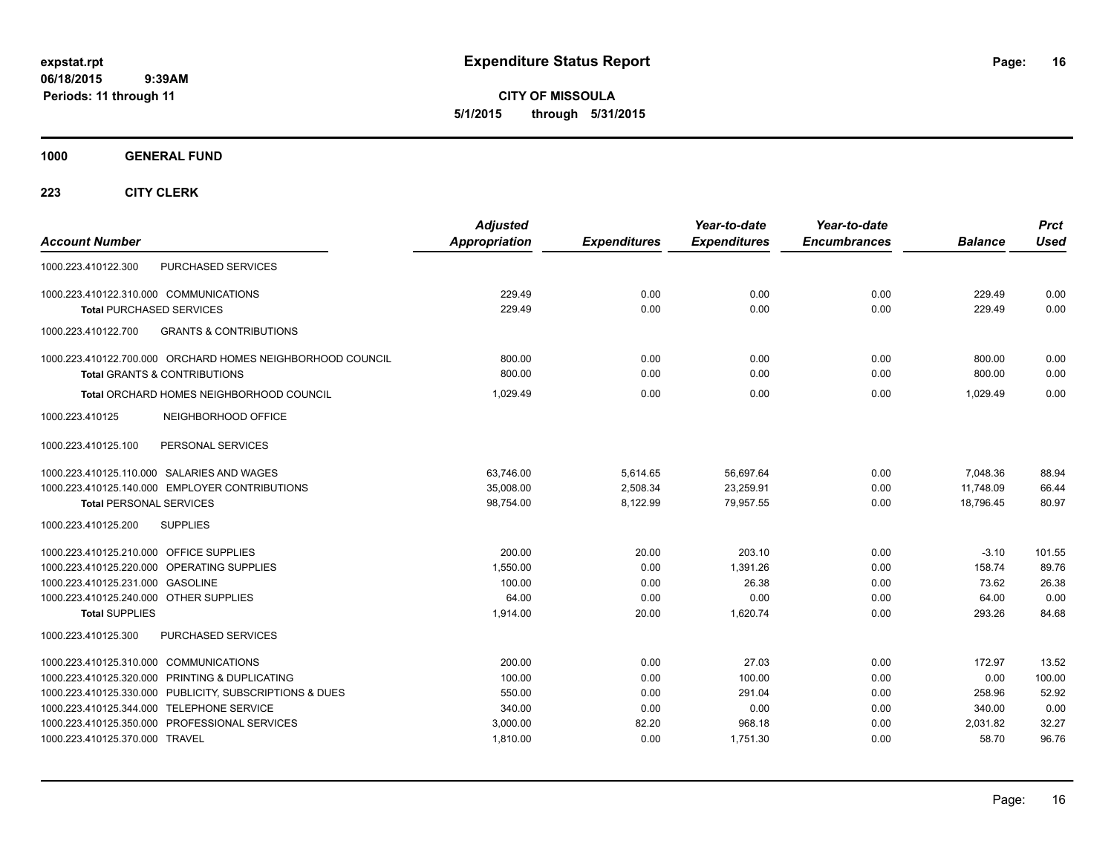**CITY OF MISSOULA 5/1/2015 through 5/31/2015**

**1000 GENERAL FUND**

| <b>Account Number</b>                                                                                                                                                                                                                                                               | <b>Adjusted</b><br><b>Appropriation</b>                      | <b>Expenditures</b>                           | Year-to-date<br><b>Expenditures</b>                     | Year-to-date<br><b>Encumbrances</b>          | <b>Balance</b>                                          | <b>Prct</b><br><b>Used</b>                         |
|-------------------------------------------------------------------------------------------------------------------------------------------------------------------------------------------------------------------------------------------------------------------------------------|--------------------------------------------------------------|-----------------------------------------------|---------------------------------------------------------|----------------------------------------------|---------------------------------------------------------|----------------------------------------------------|
| <b>PURCHASED SERVICES</b><br>1000.223.410122.300                                                                                                                                                                                                                                    |                                                              |                                               |                                                         |                                              |                                                         |                                                    |
| 1000.223.410122.310.000 COMMUNICATIONS<br><b>Total PURCHASED SERVICES</b>                                                                                                                                                                                                           | 229.49<br>229.49                                             | 0.00<br>0.00                                  | 0.00<br>0.00                                            | 0.00<br>0.00                                 | 229.49<br>229.49                                        | 0.00<br>0.00                                       |
| 1000.223.410122.700<br><b>GRANTS &amp; CONTRIBUTIONS</b>                                                                                                                                                                                                                            |                                                              |                                               |                                                         |                                              |                                                         |                                                    |
| 1000.223.410122.700.000 ORCHARD HOMES NEIGHBORHOOD COUNCIL<br><b>Total GRANTS &amp; CONTRIBUTIONS</b>                                                                                                                                                                               | 800.00<br>800.00                                             | 0.00<br>0.00                                  | 0.00<br>0.00                                            | 0.00<br>0.00                                 | 800.00<br>800.00                                        | 0.00<br>0.00                                       |
| Total ORCHARD HOMES NEIGHBORHOOD COUNCIL                                                                                                                                                                                                                                            | 1.029.49                                                     | 0.00                                          | 0.00                                                    | 0.00                                         | 1.029.49                                                | 0.00                                               |
| NEIGHBORHOOD OFFICE<br>1000.223.410125                                                                                                                                                                                                                                              |                                                              |                                               |                                                         |                                              |                                                         |                                                    |
| 1000.223.410125.100<br>PERSONAL SERVICES                                                                                                                                                                                                                                            |                                                              |                                               |                                                         |                                              |                                                         |                                                    |
| 1000.223.410125.110.000 SALARIES AND WAGES<br>1000.223.410125.140.000 EMPLOYER CONTRIBUTIONS<br><b>Total PERSONAL SERVICES</b>                                                                                                                                                      | 63.746.00<br>35,008.00<br>98,754.00                          | 5,614.65<br>2,508.34<br>8,122.99              | 56,697.64<br>23,259.91<br>79,957.55                     | 0.00<br>0.00<br>0.00                         | 7,048.36<br>11,748.09<br>18,796.45                      | 88.94<br>66.44<br>80.97                            |
| 1000.223.410125.200<br><b>SUPPLIES</b>                                                                                                                                                                                                                                              |                                                              |                                               |                                                         |                                              |                                                         |                                                    |
| 1000.223.410125.210.000 OFFICE SUPPLIES<br>1000.223.410125.220.000 OPERATING SUPPLIES<br>1000.223.410125.231.000 GASOLINE<br>1000.223.410125.240.000 OTHER SUPPLIES<br><b>Total SUPPLIES</b>                                                                                        | 200.00<br>1,550.00<br>100.00<br>64.00<br>1,914.00            | 20.00<br>0.00<br>0.00<br>0.00<br>20.00        | 203.10<br>1,391.26<br>26.38<br>0.00<br>1,620.74         | 0.00<br>0.00<br>0.00<br>0.00<br>0.00         | $-3.10$<br>158.74<br>73.62<br>64.00<br>293.26           | 101.55<br>89.76<br>26.38<br>0.00<br>84.68          |
| PURCHASED SERVICES<br>1000.223.410125.300                                                                                                                                                                                                                                           |                                                              |                                               |                                                         |                                              |                                                         |                                                    |
| 1000.223.410125.310.000 COMMUNICATIONS<br>1000.223.410125.320.000 PRINTING & DUPLICATING<br>1000.223.410125.330.000 PUBLICITY, SUBSCRIPTIONS & DUES<br>1000.223.410125.344.000 TELEPHONE SERVICE<br>1000.223.410125.350.000 PROFESSIONAL SERVICES<br>1000.223.410125.370.000 TRAVEL | 200.00<br>100.00<br>550.00<br>340.00<br>3,000.00<br>1,810.00 | 0.00<br>0.00<br>0.00<br>0.00<br>82.20<br>0.00 | 27.03<br>100.00<br>291.04<br>0.00<br>968.18<br>1,751.30 | 0.00<br>0.00<br>0.00<br>0.00<br>0.00<br>0.00 | 172.97<br>0.00<br>258.96<br>340.00<br>2,031.82<br>58.70 | 13.52<br>100.00<br>52.92<br>0.00<br>32.27<br>96.76 |
|                                                                                                                                                                                                                                                                                     |                                                              |                                               |                                                         |                                              |                                                         |                                                    |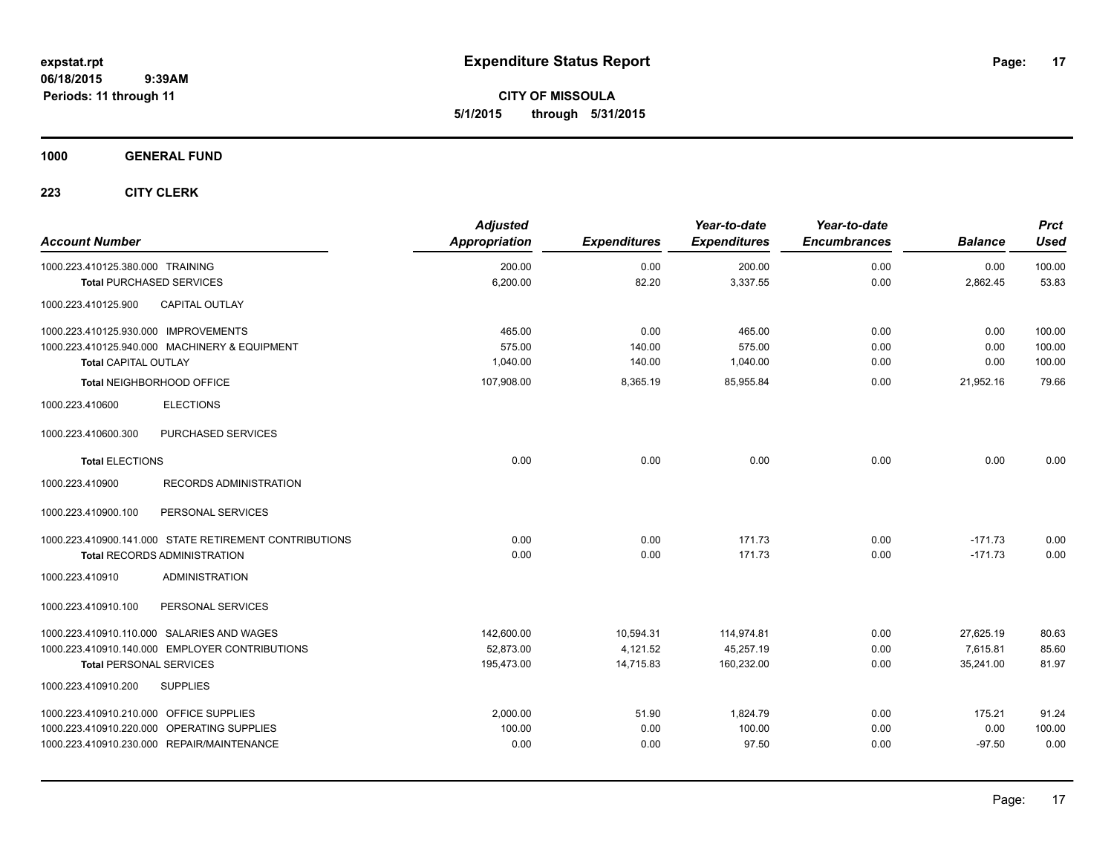**CITY OF MISSOULA 5/1/2015 through 5/31/2015**

**1000 GENERAL FUND**

| <b>Account Number</b>                   |                                                        | <b>Adjusted</b><br><b>Appropriation</b> | <b>Expenditures</b> | Year-to-date<br><b>Expenditures</b> | Year-to-date<br><b>Encumbrances</b> | <b>Balance</b> | <b>Prct</b><br>Used |
|-----------------------------------------|--------------------------------------------------------|-----------------------------------------|---------------------|-------------------------------------|-------------------------------------|----------------|---------------------|
| 1000.223.410125.380.000 TRAINING        |                                                        | 200.00                                  | 0.00                | 200.00                              | 0.00                                | 0.00           | 100.00              |
| <b>Total PURCHASED SERVICES</b>         |                                                        | 6,200.00                                | 82.20               | 3,337.55                            | 0.00                                | 2,862.45       | 53.83               |
| 1000.223.410125.900                     | <b>CAPITAL OUTLAY</b>                                  |                                         |                     |                                     |                                     |                |                     |
| 1000.223.410125.930.000 IMPROVEMENTS    |                                                        | 465.00                                  | 0.00                | 465.00                              | 0.00                                | 0.00           | 100.00              |
|                                         | 1000.223.410125.940.000 MACHINERY & EQUIPMENT          | 575.00                                  | 140.00              | 575.00                              | 0.00                                | 0.00           | 100.00              |
| <b>Total CAPITAL OUTLAY</b>             |                                                        | 1,040.00                                | 140.00              | 1,040.00                            | 0.00                                | 0.00           | 100.00              |
|                                         | Total NEIGHBORHOOD OFFICE                              | 107,908.00                              | 8,365.19            | 85,955.84                           | 0.00                                | 21,952.16      | 79.66               |
| 1000.223.410600                         | <b>ELECTIONS</b>                                       |                                         |                     |                                     |                                     |                |                     |
| 1000.223.410600.300                     | PURCHASED SERVICES                                     |                                         |                     |                                     |                                     |                |                     |
| <b>Total ELECTIONS</b>                  |                                                        | 0.00                                    | 0.00                | 0.00                                | 0.00                                | 0.00           | 0.00                |
| 1000.223.410900                         | <b>RECORDS ADMINISTRATION</b>                          |                                         |                     |                                     |                                     |                |                     |
| 1000.223.410900.100                     | PERSONAL SERVICES                                      |                                         |                     |                                     |                                     |                |                     |
|                                         | 1000.223.410900.141.000 STATE RETIREMENT CONTRIBUTIONS | 0.00                                    | 0.00                | 171.73                              | 0.00                                | $-171.73$      | 0.00                |
|                                         | <b>Total RECORDS ADMINISTRATION</b>                    | 0.00                                    | 0.00                | 171.73                              | 0.00                                | $-171.73$      | 0.00                |
| 1000.223.410910                         | <b>ADMINISTRATION</b>                                  |                                         |                     |                                     |                                     |                |                     |
| 1000.223.410910.100                     | PERSONAL SERVICES                                      |                                         |                     |                                     |                                     |                |                     |
|                                         | 1000.223.410910.110.000 SALARIES AND WAGES             | 142,600.00                              | 10,594.31           | 114,974.81                          | 0.00                                | 27,625.19      | 80.63               |
|                                         | 1000.223.410910.140.000 EMPLOYER CONTRIBUTIONS         | 52.873.00                               | 4,121.52            | 45,257.19                           | 0.00                                | 7.615.81       | 85.60               |
| <b>Total PERSONAL SERVICES</b>          |                                                        | 195,473.00                              | 14,715.83           | 160,232.00                          | 0.00                                | 35,241.00      | 81.97               |
| 1000.223.410910.200                     | <b>SUPPLIES</b>                                        |                                         |                     |                                     |                                     |                |                     |
| 1000.223.410910.210.000 OFFICE SUPPLIES |                                                        | 2,000.00                                | 51.90               | 1,824.79                            | 0.00                                | 175.21         | 91.24               |
|                                         | 1000.223.410910.220.000 OPERATING SUPPLIES             | 100.00                                  | 0.00                | 100.00                              | 0.00                                | 0.00           | 100.00              |
|                                         | 1000.223.410910.230.000 REPAIR/MAINTENANCE             | 0.00                                    | 0.00                | 97.50                               | 0.00                                | $-97.50$       | 0.00                |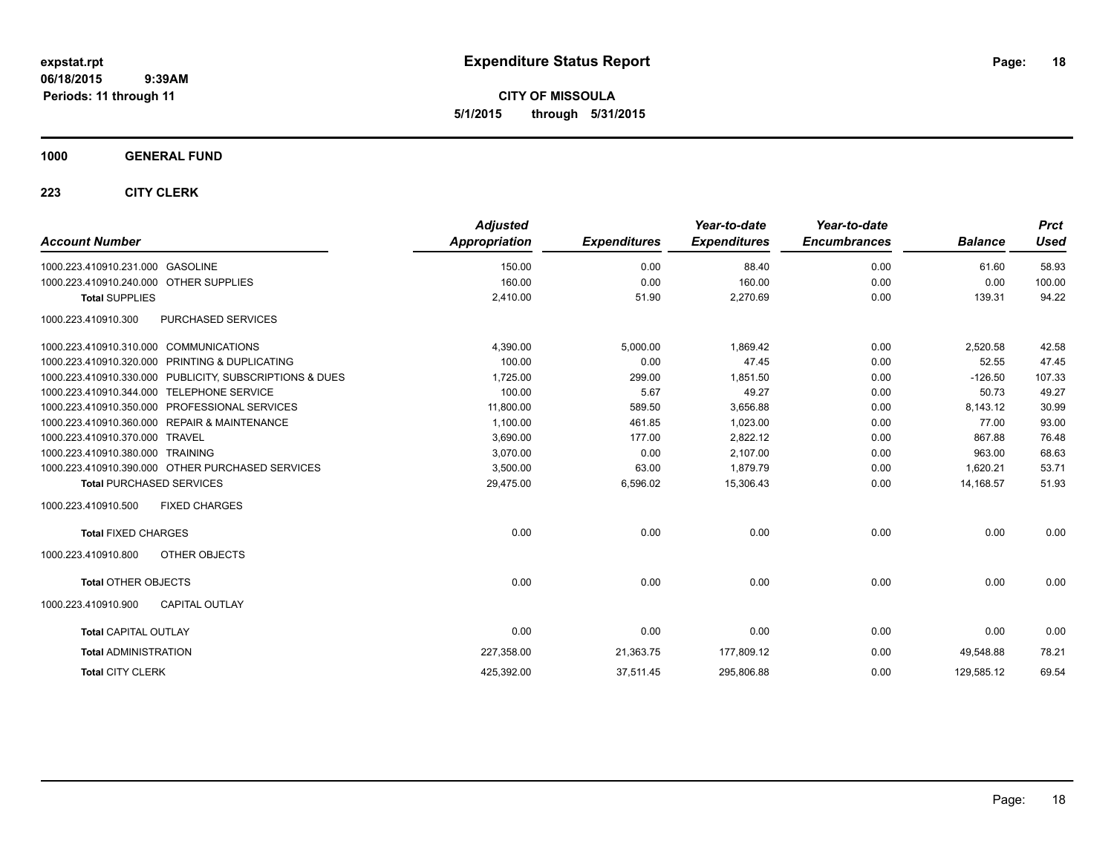**CITY OF MISSOULA 5/1/2015 through 5/31/2015**

## **1000 GENERAL FUND**

| <b>Account Number</b>                                   | <b>Adjusted</b><br><b>Appropriation</b> | <b>Expenditures</b> | Year-to-date<br><b>Expenditures</b> | Year-to-date<br><b>Encumbrances</b> | <b>Balance</b> | <b>Prct</b><br>Used |
|---------------------------------------------------------|-----------------------------------------|---------------------|-------------------------------------|-------------------------------------|----------------|---------------------|
| 1000.223.410910.231.000 GASOLINE                        | 150.00                                  | 0.00                | 88.40                               | 0.00                                | 61.60          | 58.93               |
| 1000.223.410910.240.000 OTHER SUPPLIES                  | 160.00                                  | 0.00                | 160.00                              | 0.00                                | 0.00           | 100.00              |
| <b>Total SUPPLIES</b>                                   | 2,410.00                                | 51.90               | 2,270.69                            | 0.00                                | 139.31         | 94.22               |
| 1000.223.410910.300<br>PURCHASED SERVICES               |                                         |                     |                                     |                                     |                |                     |
| 1000.223.410910.310.000 COMMUNICATIONS                  | 4,390.00                                | 5,000.00            | 1,869.42                            | 0.00                                | 2,520.58       | 42.58               |
| 1000.223.410910.320.000 PRINTING & DUPLICATING          | 100.00                                  | 0.00                | 47.45                               | 0.00                                | 52.55          | 47.45               |
| 1000.223.410910.330.000 PUBLICITY, SUBSCRIPTIONS & DUES | 1,725.00                                | 299.00              | 1,851.50                            | 0.00                                | $-126.50$      | 107.33              |
| <b>TELEPHONE SERVICE</b><br>1000.223.410910.344.000     | 100.00                                  | 5.67                | 49.27                               | 0.00                                | 50.73          | 49.27               |
| 1000.223.410910.350.000 PROFESSIONAL SERVICES           | 11,800.00                               | 589.50              | 3,656.88                            | 0.00                                | 8,143.12       | 30.99               |
| 1000.223.410910.360.000 REPAIR & MAINTENANCE            | 1,100.00                                | 461.85              | 1,023.00                            | 0.00                                | 77.00          | 93.00               |
| 1000.223.410910.370.000<br><b>TRAVEL</b>                | 3,690.00                                | 177.00              | 2,822.12                            | 0.00                                | 867.88         | 76.48               |
| 1000.223.410910.380.000<br><b>TRAINING</b>              | 3,070.00                                | 0.00                | 2,107.00                            | 0.00                                | 963.00         | 68.63               |
| 1000.223.410910.390.000 OTHER PURCHASED SERVICES        | 3,500.00                                | 63.00               | 1.879.79                            | 0.00                                | 1,620.21       | 53.71               |
| <b>Total PURCHASED SERVICES</b>                         | 29,475.00                               | 6,596.02            | 15,306.43                           | 0.00                                | 14,168.57      | 51.93               |
| 1000.223.410910.500<br><b>FIXED CHARGES</b>             |                                         |                     |                                     |                                     |                |                     |
| <b>Total FIXED CHARGES</b>                              | 0.00                                    | 0.00                | 0.00                                | 0.00                                | 0.00           | 0.00                |
| 1000.223.410910.800<br>OTHER OBJECTS                    |                                         |                     |                                     |                                     |                |                     |
| <b>Total OTHER OBJECTS</b>                              | 0.00                                    | 0.00                | 0.00                                | 0.00                                | 0.00           | 0.00                |
| <b>CAPITAL OUTLAY</b><br>1000.223.410910.900            |                                         |                     |                                     |                                     |                |                     |
| <b>Total CAPITAL OUTLAY</b>                             | 0.00                                    | 0.00                | 0.00                                | 0.00                                | 0.00           | 0.00                |
| <b>Total ADMINISTRATION</b>                             | 227,358.00                              | 21,363.75           | 177,809.12                          | 0.00                                | 49,548.88      | 78.21               |
| <b>Total CITY CLERK</b>                                 | 425,392.00                              | 37,511.45           | 295,806.88                          | 0.00                                | 129,585.12     | 69.54               |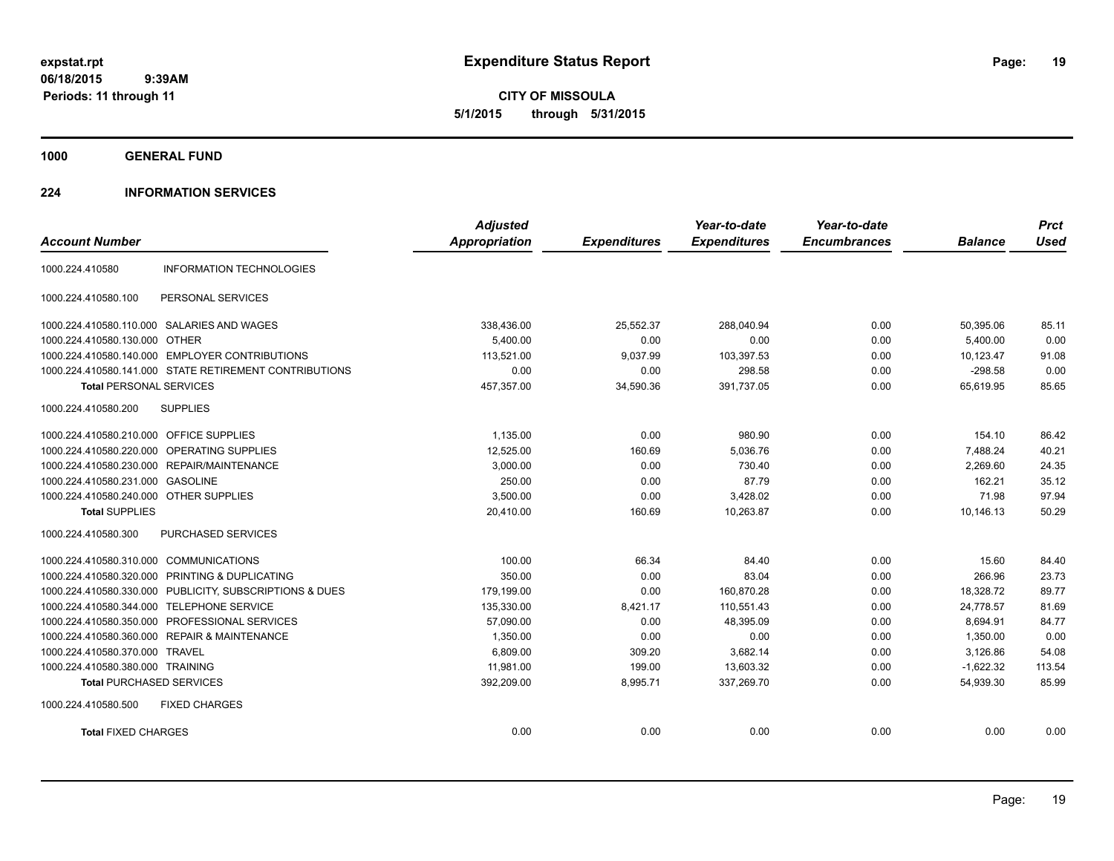**CITY OF MISSOULA 5/1/2015 through 5/31/2015**

**1000 GENERAL FUND**

## **224 INFORMATION SERVICES**

| <b>Account Number</b>                   |                                                        | <b>Adjusted</b><br>Appropriation | <b>Expenditures</b> | Year-to-date<br><b>Expenditures</b> | Year-to-date<br><b>Encumbrances</b> | <b>Balance</b> | <b>Prct</b><br><b>Used</b> |
|-----------------------------------------|--------------------------------------------------------|----------------------------------|---------------------|-------------------------------------|-------------------------------------|----------------|----------------------------|
| 1000.224.410580                         | <b>INFORMATION TECHNOLOGIES</b>                        |                                  |                     |                                     |                                     |                |                            |
|                                         |                                                        |                                  |                     |                                     |                                     |                |                            |
| 1000.224.410580.100                     | PERSONAL SERVICES                                      |                                  |                     |                                     |                                     |                |                            |
|                                         | 1000.224.410580.110.000 SALARIES AND WAGES             | 338,436.00                       | 25,552.37           | 288,040.94                          | 0.00                                | 50,395.06      | 85.11                      |
| 1000.224.410580.130.000 OTHER           |                                                        | 5.400.00                         | 0.00                | 0.00                                | 0.00                                | 5.400.00       | 0.00                       |
|                                         | 1000.224.410580.140.000 EMPLOYER CONTRIBUTIONS         | 113,521.00                       | 9,037.99            | 103,397.53                          | 0.00                                | 10,123.47      | 91.08                      |
|                                         | 1000.224.410580.141.000 STATE RETIREMENT CONTRIBUTIONS | 0.00                             | 0.00                | 298.58                              | 0.00                                | $-298.58$      | 0.00                       |
| <b>Total PERSONAL SERVICES</b>          |                                                        | 457,357.00                       | 34,590.36           | 391,737.05                          | 0.00                                | 65,619.95      | 85.65                      |
| 1000.224.410580.200                     | <b>SUPPLIES</b>                                        |                                  |                     |                                     |                                     |                |                            |
| 1000.224.410580.210.000 OFFICE SUPPLIES |                                                        | 1,135.00                         | 0.00                | 980.90                              | 0.00                                | 154.10         | 86.42                      |
| 1000.224.410580.220.000                 | OPERATING SUPPLIES                                     | 12,525.00                        | 160.69              | 5,036.76                            | 0.00                                | 7,488.24       | 40.21                      |
|                                         | 1000.224.410580.230.000 REPAIR/MAINTENANCE             | 3,000.00                         | 0.00                | 730.40                              | 0.00                                | 2,269.60       | 24.35                      |
| 1000.224.410580.231.000 GASOLINE        |                                                        | 250.00                           | 0.00                | 87.79                               | 0.00                                | 162.21         | 35.12                      |
| 1000.224.410580.240.000 OTHER SUPPLIES  |                                                        | 3,500.00                         | 0.00                | 3,428.02                            | 0.00                                | 71.98          | 97.94                      |
| <b>Total SUPPLIES</b>                   |                                                        | 20,410.00                        | 160.69              | 10.263.87                           | 0.00                                | 10.146.13      | 50.29                      |
| 1000.224.410580.300                     | PURCHASED SERVICES                                     |                                  |                     |                                     |                                     |                |                            |
| 1000.224.410580.310.000 COMMUNICATIONS  |                                                        | 100.00                           | 66.34               | 84.40                               | 0.00                                | 15.60          | 84.40                      |
| 1000.224.410580.320.000                 | PRINTING & DUPLICATING                                 | 350.00                           | 0.00                | 83.04                               | 0.00                                | 266.96         | 23.73                      |
| 1000.224.410580.330.000                 | PUBLICITY, SUBSCRIPTIONS & DUES                        | 179,199.00                       | 0.00                | 160,870.28                          | 0.00                                | 18,328.72      | 89.77                      |
| 1000.224.410580.344.000                 | <b>TELEPHONE SERVICE</b>                               | 135,330.00                       | 8,421.17            | 110,551.43                          | 0.00                                | 24,778.57      | 81.69                      |
| 1000.224.410580.350.000                 | PROFESSIONAL SERVICES                                  | 57,090.00                        | 0.00                | 48,395.09                           | 0.00                                | 8,694.91       | 84.77                      |
|                                         | 1000.224.410580.360.000 REPAIR & MAINTENANCE           | 1,350.00                         | 0.00                | 0.00                                | 0.00                                | 1,350.00       | 0.00                       |
| 1000.224.410580.370.000 TRAVEL          |                                                        | 6,809.00                         | 309.20              | 3,682.14                            | 0.00                                | 3.126.86       | 54.08                      |
| 1000.224.410580.380.000 TRAINING        |                                                        | 11,981.00                        | 199.00              | 13,603.32                           | 0.00                                | $-1,622.32$    | 113.54                     |
| <b>Total PURCHASED SERVICES</b>         |                                                        | 392,209.00                       | 8,995.71            | 337,269.70                          | 0.00                                | 54,939.30      | 85.99                      |
| 1000.224.410580.500                     | <b>FIXED CHARGES</b>                                   |                                  |                     |                                     |                                     |                |                            |
| <b>Total FIXED CHARGES</b>              |                                                        | 0.00                             | 0.00                | 0.00                                | 0.00                                | 0.00           | 0.00                       |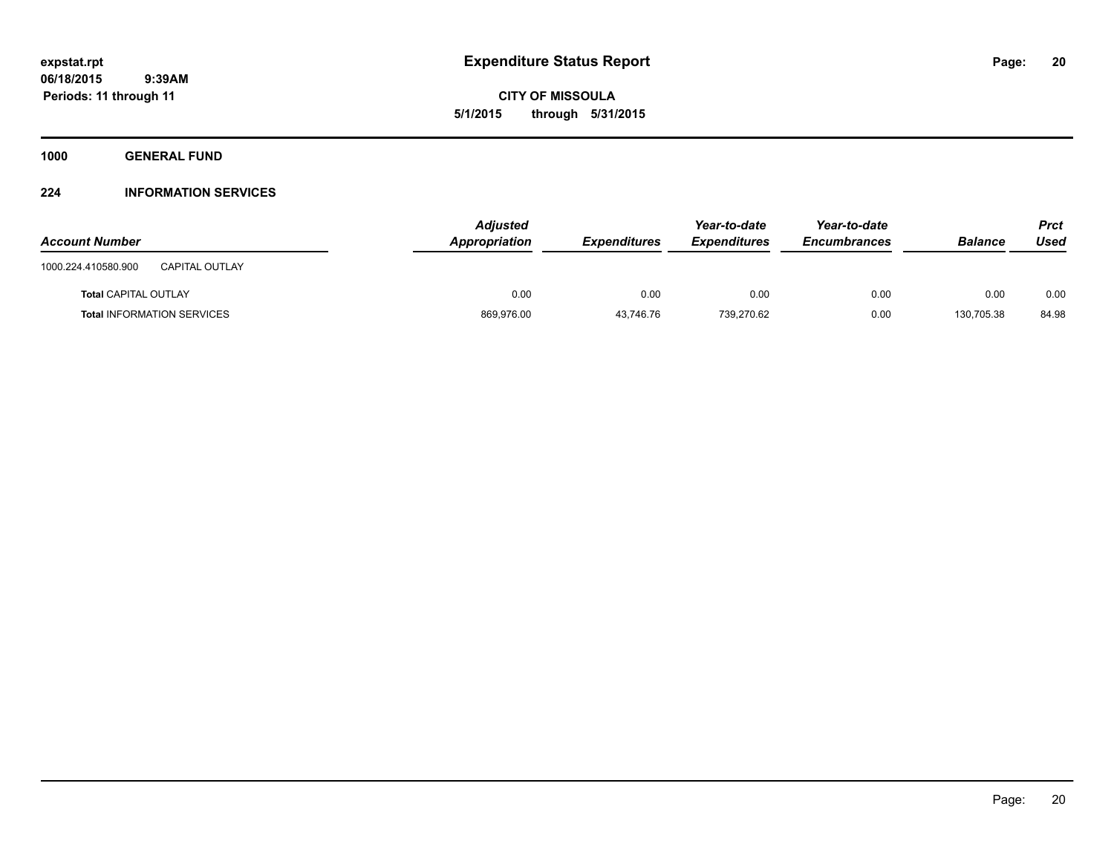**CITY OF MISSOULA 5/1/2015 through 5/31/2015**

**1000 GENERAL FUND**

## **224 INFORMATION SERVICES**

| <b>Account Number</b>                        | <b>Adjusted</b><br>Appropriation | <b>Expenditures</b> | Year-to-date<br><b>Expenditures</b> | Year-to-date<br>Encumbrances | <b>Balance</b> | <b>Prct</b><br>Used |
|----------------------------------------------|----------------------------------|---------------------|-------------------------------------|------------------------------|----------------|---------------------|
| <b>CAPITAL OUTLAY</b><br>1000.224.410580.900 |                                  |                     |                                     |                              |                |                     |
| <b>Total CAPITAL OUTLAY</b>                  | 0.00                             | 0.00                | 0.00                                | 0.00                         | 0.00           | 0.00                |
| <b>Total INFORMATION SERVICES</b>            | 869,976.00                       | 43,746.76           | 739,270.62                          | 0.00                         | 130,705.38     | 84.98               |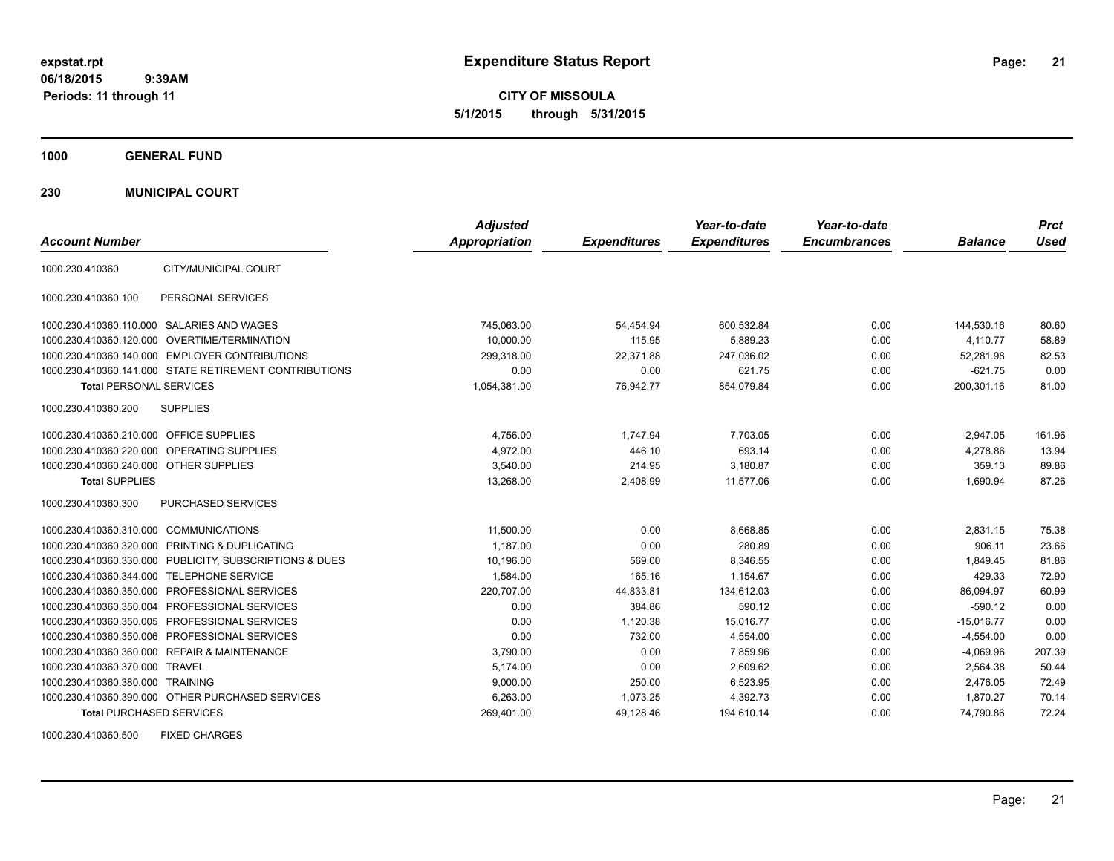**CITY OF MISSOULA 5/1/2015 through 5/31/2015**

**1000 GENERAL FUND**

**230 MUNICIPAL COURT**

| <b>Account Number</b>                   |                                                         | <b>Adjusted</b><br><b>Appropriation</b> | <b>Expenditures</b> | Year-to-date<br><b>Expenditures</b> | Year-to-date<br><b>Encumbrances</b> | <b>Balance</b> | <b>Prct</b><br>Used |
|-----------------------------------------|---------------------------------------------------------|-----------------------------------------|---------------------|-------------------------------------|-------------------------------------|----------------|---------------------|
| 1000.230.410360                         | CITY/MUNICIPAL COURT                                    |                                         |                     |                                     |                                     |                |                     |
| 1000.230.410360.100                     | PERSONAL SERVICES                                       |                                         |                     |                                     |                                     |                |                     |
|                                         | 1000.230.410360.110.000 SALARIES AND WAGES              | 745,063.00                              | 54,454.94           | 600,532.84                          | 0.00                                | 144,530.16     | 80.60               |
|                                         | 1000.230.410360.120.000 OVERTIME/TERMINATION            | 10.000.00                               | 115.95              | 5,889.23                            | 0.00                                | 4,110.77       | 58.89               |
|                                         | 1000.230.410360.140.000 EMPLOYER CONTRIBUTIONS          | 299,318.00                              | 22,371.88           | 247,036.02                          | 0.00                                | 52,281.98      | 82.53               |
|                                         | 1000.230.410360.141.000 STATE RETIREMENT CONTRIBUTIONS  | 0.00                                    | 0.00                | 621.75                              | 0.00                                | $-621.75$      | 0.00                |
| <b>Total PERSONAL SERVICES</b>          |                                                         | 1,054,381.00                            | 76,942.77           | 854,079.84                          | 0.00                                | 200,301.16     | 81.00               |
| 1000.230.410360.200                     | <b>SUPPLIES</b>                                         |                                         |                     |                                     |                                     |                |                     |
| 1000.230.410360.210.000 OFFICE SUPPLIES |                                                         | 4,756.00                                | 1.747.94            | 7,703.05                            | 0.00                                | $-2,947.05$    | 161.96              |
|                                         | 1000.230.410360.220.000 OPERATING SUPPLIES              | 4.972.00                                | 446.10              | 693.14                              | 0.00                                | 4,278.86       | 13.94               |
| 1000.230.410360.240.000 OTHER SUPPLIES  |                                                         | 3.540.00                                | 214.95              | 3,180.87                            | 0.00                                | 359.13         | 89.86               |
| <b>Total SUPPLIES</b>                   |                                                         | 13,268.00                               | 2,408.99            | 11,577.06                           | 0.00                                | 1,690.94       | 87.26               |
| 1000.230.410360.300                     | PURCHASED SERVICES                                      |                                         |                     |                                     |                                     |                |                     |
| 1000.230.410360.310.000 COMMUNICATIONS  |                                                         | 11,500.00                               | 0.00                | 8,668.85                            | 0.00                                | 2,831.15       | 75.38               |
|                                         | 1000.230.410360.320.000 PRINTING & DUPLICATING          | 1.187.00                                | 0.00                | 280.89                              | 0.00                                | 906.11         | 23.66               |
|                                         | 1000.230.410360.330.000 PUBLICITY, SUBSCRIPTIONS & DUES | 10.196.00                               | 569.00              | 8.346.55                            | 0.00                                | 1,849.45       | 81.86               |
|                                         | 1000.230.410360.344.000 TELEPHONE SERVICE               | 1,584.00                                | 165.16              | 1.154.67                            | 0.00                                | 429.33         | 72.90               |
|                                         | 1000.230.410360.350.000 PROFESSIONAL SERVICES           | 220,707.00                              | 44,833.81           | 134.612.03                          | 0.00                                | 86,094.97      | 60.99               |
|                                         | 1000.230.410360.350.004 PROFESSIONAL SERVICES           | 0.00                                    | 384.86              | 590.12                              | 0.00                                | $-590.12$      | 0.00                |
|                                         | 1000.230.410360.350.005 PROFESSIONAL SERVICES           | 0.00                                    | 1,120.38            | 15,016.77                           | 0.00                                | $-15,016.77$   | 0.00                |
|                                         | 1000.230.410360.350.006 PROFESSIONAL SERVICES           | 0.00                                    | 732.00              | 4,554.00                            | 0.00                                | $-4,554.00$    | 0.00                |
|                                         | 1000.230.410360.360.000 REPAIR & MAINTENANCE            | 3,790.00                                | 0.00                | 7,859.96                            | 0.00                                | $-4,069.96$    | 207.39              |
| 1000.230.410360.370.000 TRAVEL          |                                                         | 5,174.00                                | 0.00                | 2,609.62                            | 0.00                                | 2,564.38       | 50.44               |
| 1000.230.410360.380.000 TRAINING        |                                                         | 9,000.00                                | 250.00              | 6,523.95                            | 0.00                                | 2,476.05       | 72.49               |
|                                         | 1000.230.410360.390.000 OTHER PURCHASED SERVICES        | 6.263.00                                | 1,073.25            | 4,392.73                            | 0.00                                | 1,870.27       | 70.14               |
| <b>Total PURCHASED SERVICES</b>         |                                                         | 269,401.00                              | 49,128.46           | 194,610.14                          | 0.00                                | 74,790.86      | 72.24               |

1000.230.410360.500 FIXED CHARGES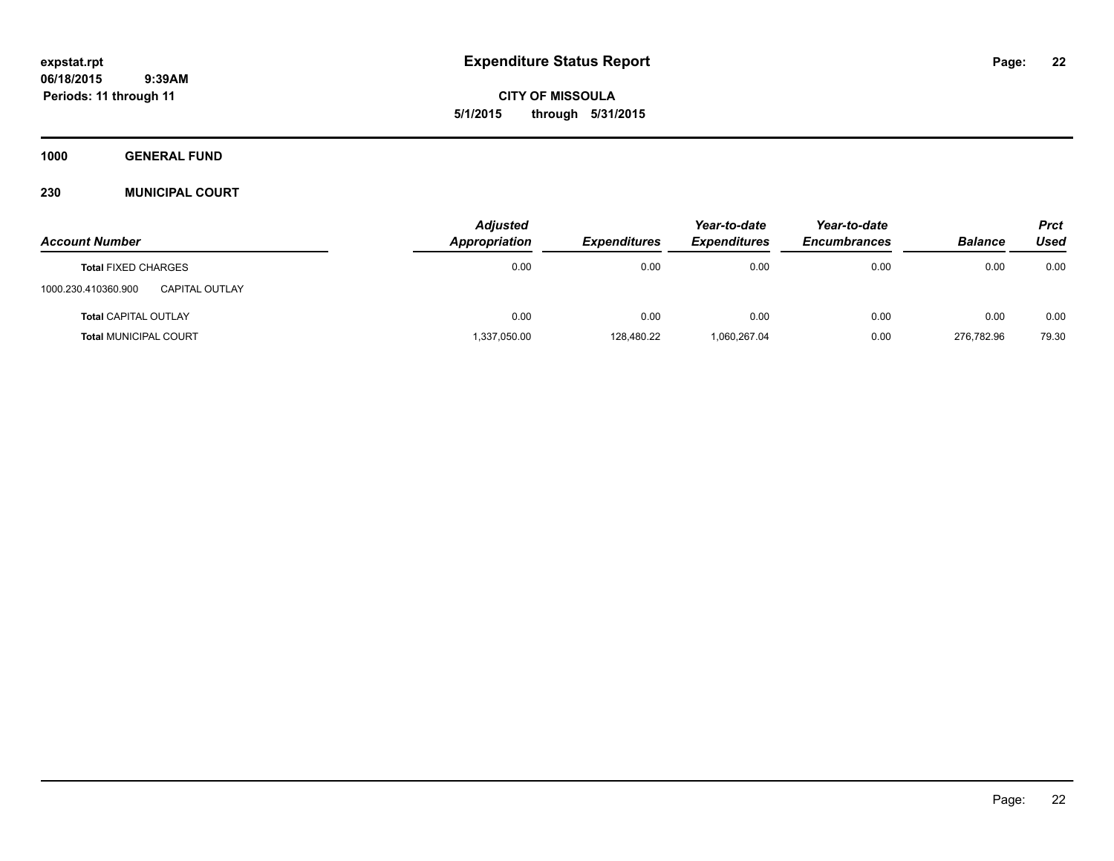**CITY OF MISSOULA 5/1/2015 through 5/31/2015**

**1000 GENERAL FUND**

## **230 MUNICIPAL COURT**

|                                       | <b>Adjusted</b> |                     | Year-to-date        | Year-to-date        |                | <b>Prct</b> |
|---------------------------------------|-----------------|---------------------|---------------------|---------------------|----------------|-------------|
| <b>Account Number</b>                 | Appropriation   | <b>Expenditures</b> | <b>Expenditures</b> | <b>Encumbrances</b> | <b>Balance</b> | Used        |
| <b>Total FIXED CHARGES</b>            | 0.00            | 0.00                | 0.00                | 0.00                | 0.00           | 0.00        |
| 1000.230.410360.900<br>CAPITAL OUTLAY |                 |                     |                     |                     |                |             |
| <b>Total CAPITAL OUTLAY</b>           | 0.00            | 0.00                | 0.00                | 0.00                | 0.00           | 0.00        |
| <b>Total MUNICIPAL COURT</b>          | 1,337,050.00    | 128,480.22          | 1,060,267.04        | 0.00                | 276.782.96     | 79.30       |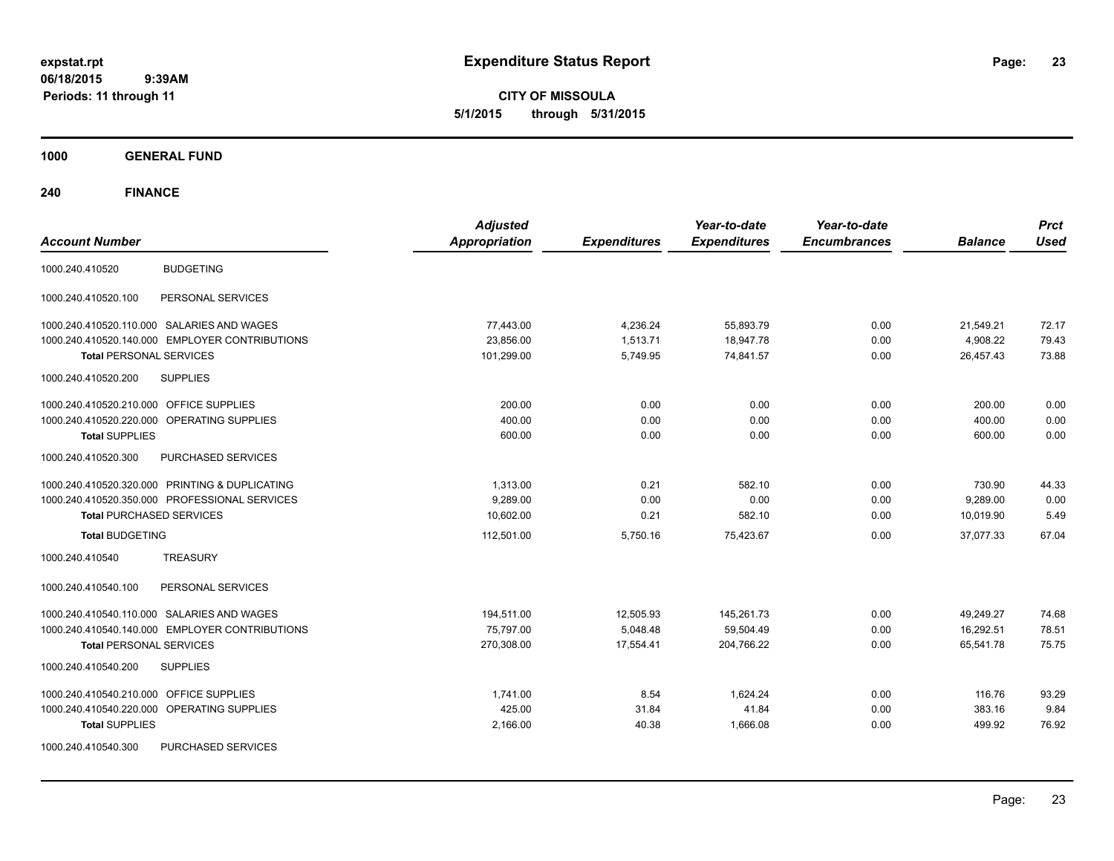**CITY OF MISSOULA 5/1/2015 through 5/31/2015**

**1000 GENERAL FUND**

| <b>Account Number</b>                                                    | <b>Adjusted</b><br><b>Appropriation</b> | <b>Expenditures</b> | Year-to-date<br><b>Expenditures</b> | Year-to-date<br><b>Encumbrances</b> | <b>Balance</b> | <b>Prct</b><br><b>Used</b> |
|--------------------------------------------------------------------------|-----------------------------------------|---------------------|-------------------------------------|-------------------------------------|----------------|----------------------------|
| <b>BUDGETING</b><br>1000.240.410520                                      |                                         |                     |                                     |                                     |                |                            |
| 1000.240.410520.100<br>PERSONAL SERVICES                                 |                                         |                     |                                     |                                     |                |                            |
| 1000.240.410520.110.000 SALARIES AND WAGES                               | 77,443.00                               | 4,236.24            | 55,893.79                           | 0.00                                | 21,549.21      | 72.17                      |
| 1000.240.410520.140.000 EMPLOYER CONTRIBUTIONS                           | 23,856.00                               | 1,513.71            | 18,947.78                           | 0.00                                | 4,908.22       | 79.43                      |
| <b>Total PERSONAL SERVICES</b><br>1000.240.410520.200<br><b>SUPPLIES</b> | 101,299.00                              | 5,749.95            | 74,841.57                           | 0.00                                | 26,457.43      | 73.88                      |
| OFFICE SUPPLIES<br>1000.240.410520.210.000                               | 200.00                                  | 0.00                | 0.00                                | 0.00                                | 200.00         | 0.00                       |
| 1000.240.410520.220.000 OPERATING SUPPLIES                               | 400.00                                  | 0.00                | 0.00                                | 0.00                                | 400.00         | 0.00                       |
| <b>Total SUPPLIES</b>                                                    | 600.00                                  | 0.00                | 0.00                                | 0.00                                | 600.00         | 0.00                       |
| 1000.240.410520.300<br>PURCHASED SERVICES                                |                                         |                     |                                     |                                     |                |                            |
| 1000.240.410520.320.000 PRINTING & DUPLICATING                           | 1,313.00                                | 0.21                | 582.10                              | 0.00                                | 730.90         | 44.33                      |
| 1000.240.410520.350.000 PROFESSIONAL SERVICES                            | 9,289.00                                | 0.00                | 0.00                                | 0.00                                | 9,289.00       | 0.00                       |
| <b>Total PURCHASED SERVICES</b>                                          | 10,602.00                               | 0.21                | 582.10                              | 0.00                                | 10,019.90      | 5.49                       |
| <b>Total BUDGETING</b>                                                   | 112,501.00                              | 5,750.16            | 75,423.67                           | 0.00                                | 37,077.33      | 67.04                      |
| <b>TREASURY</b><br>1000.240.410540                                       |                                         |                     |                                     |                                     |                |                            |
| 1000.240.410540.100<br>PERSONAL SERVICES                                 |                                         |                     |                                     |                                     |                |                            |
| 1000.240.410540.110.000 SALARIES AND WAGES                               | 194,511.00                              | 12,505.93           | 145,261.73                          | 0.00                                | 49,249.27      | 74.68                      |
| 1000.240.410540.140.000 EMPLOYER CONTRIBUTIONS                           | 75,797.00                               | 5,048.48            | 59,504.49                           | 0.00                                | 16,292.51      | 78.51                      |
| <b>Total PERSONAL SERVICES</b>                                           | 270,308.00                              | 17,554.41           | 204,766.22                          | 0.00                                | 65,541.78      | 75.75                      |
| <b>SUPPLIES</b><br>1000.240.410540.200                                   |                                         |                     |                                     |                                     |                |                            |
| <b>OFFICE SUPPLIES</b><br>1000.240.410540.210.000                        | 1,741.00                                | 8.54                | 1.624.24                            | 0.00                                | 116.76         | 93.29                      |
| OPERATING SUPPLIES<br>1000.240.410540.220.000                            | 425.00                                  | 31.84               | 41.84                               | 0.00                                | 383.16         | 9.84                       |
| <b>Total SUPPLIES</b>                                                    | 2,166.00                                | 40.38               | 1,666.08                            | 0.00                                | 499.92         | 76.92                      |
| PURCHASED SERVICES<br>1000.240.410540.300                                |                                         |                     |                                     |                                     |                |                            |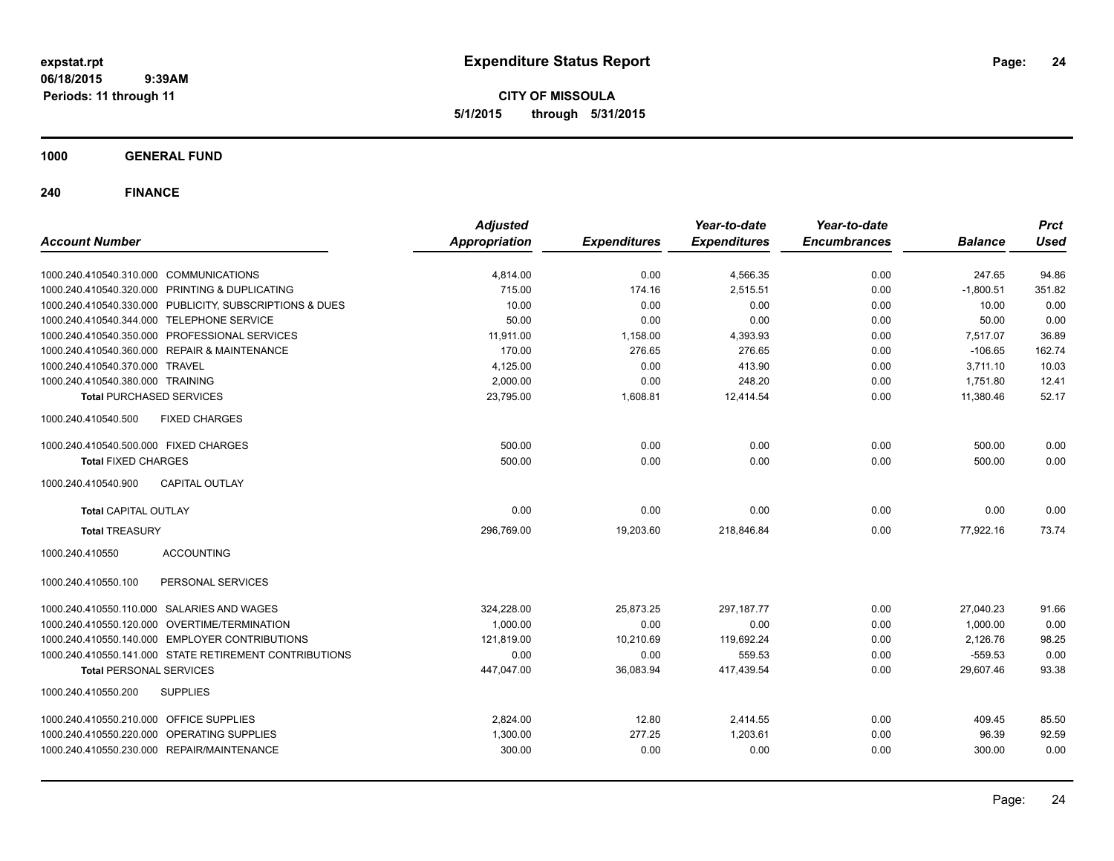**CITY OF MISSOULA 5/1/2015 through 5/31/2015**

**1000 GENERAL FUND**

| <b>Account Number</b>                                   | <b>Adjusted</b><br><b>Appropriation</b> | <b>Expenditures</b> | Year-to-date<br><b>Expenditures</b> | Year-to-date<br><b>Encumbrances</b> | <b>Balance</b> | <b>Prct</b><br><b>Used</b> |
|---------------------------------------------------------|-----------------------------------------|---------------------|-------------------------------------|-------------------------------------|----------------|----------------------------|
|                                                         |                                         |                     |                                     |                                     |                |                            |
| 1000.240.410540.310.000 COMMUNICATIONS                  | 4,814.00                                | 0.00                | 4,566.35                            | 0.00                                | 247.65         | 94.86                      |
| 1000.240.410540.320.000 PRINTING & DUPLICATING          | 715.00                                  | 174.16              | 2,515.51                            | 0.00                                | $-1,800.51$    | 351.82                     |
| 1000.240.410540.330.000 PUBLICITY, SUBSCRIPTIONS & DUES | 10.00                                   | 0.00                | 0.00                                | 0.00                                | 10.00          | 0.00                       |
| 1000.240.410540.344.000 TELEPHONE SERVICE               | 50.00                                   | 0.00                | 0.00                                | 0.00                                | 50.00          | 0.00                       |
| 1000.240.410540.350.000 PROFESSIONAL SERVICES           | 11,911.00                               | 1,158.00            | 4,393.93                            | 0.00                                | 7,517.07       | 36.89                      |
| 1000.240.410540.360.000 REPAIR & MAINTENANCE            | 170.00                                  | 276.65              | 276.65                              | 0.00                                | $-106.65$      | 162.74                     |
| 1000.240.410540.370.000 TRAVEL                          | 4,125.00                                | 0.00                | 413.90                              | 0.00                                | 3,711.10       | 10.03                      |
| 1000.240.410540.380.000 TRAINING                        | 2,000.00                                | 0.00                | 248.20                              | 0.00                                | 1,751.80       | 12.41                      |
| <b>Total PURCHASED SERVICES</b>                         | 23,795.00                               | 1,608.81            | 12,414.54                           | 0.00                                | 11,380.46      | 52.17                      |
| 1000.240.410540.500<br><b>FIXED CHARGES</b>             |                                         |                     |                                     |                                     |                |                            |
| 1000.240.410540.500.000 FIXED CHARGES                   | 500.00                                  | 0.00                | 0.00                                | 0.00                                | 500.00         | 0.00                       |
| <b>Total FIXED CHARGES</b>                              | 500.00                                  | 0.00                | 0.00                                | 0.00                                | 500.00         | 0.00                       |
| 1000.240.410540.900<br><b>CAPITAL OUTLAY</b>            |                                         |                     |                                     |                                     |                |                            |
| <b>Total CAPITAL OUTLAY</b>                             | 0.00                                    | 0.00                | 0.00                                | 0.00                                | 0.00           | 0.00                       |
| <b>Total TREASURY</b>                                   | 296,769.00                              | 19,203.60           | 218,846.84                          | 0.00                                | 77,922.16      | 73.74                      |
| 1000.240.410550<br><b>ACCOUNTING</b>                    |                                         |                     |                                     |                                     |                |                            |
| PERSONAL SERVICES<br>1000.240.410550.100                |                                         |                     |                                     |                                     |                |                            |
| 1000.240.410550.110.000 SALARIES AND WAGES              | 324,228.00                              | 25,873.25           | 297, 187. 77                        | 0.00                                | 27,040.23      | 91.66                      |
| 1000.240.410550.120.000 OVERTIME/TERMINATION            | 1,000.00                                | 0.00                | 0.00                                | 0.00                                | 1,000.00       | 0.00                       |
| 1000.240.410550.140.000 EMPLOYER CONTRIBUTIONS          | 121,819.00                              | 10,210.69           | 119,692.24                          | 0.00                                | 2,126.76       | 98.25                      |
| 1000.240.410550.141.000 STATE RETIREMENT CONTRIBUTIONS  | 0.00                                    | 0.00                | 559.53                              | 0.00                                | $-559.53$      | 0.00                       |
| <b>Total PERSONAL SERVICES</b>                          | 447,047.00                              | 36,083.94           | 417,439.54                          | 0.00                                | 29,607.46      | 93.38                      |
| 1000.240.410550.200<br><b>SUPPLIES</b>                  |                                         |                     |                                     |                                     |                |                            |
| 1000.240.410550.210.000 OFFICE SUPPLIES                 | 2,824.00                                | 12.80               | 2,414.55                            | 0.00                                | 409.45         | 85.50                      |
| 1000.240.410550.220.000 OPERATING SUPPLIES              | 1,300.00                                | 277.25              | 1.203.61                            | 0.00                                | 96.39          | 92.59                      |
| 1000.240.410550.230.000 REPAIR/MAINTENANCE              | 300.00                                  | 0.00                | 0.00                                | 0.00                                | 300.00         | 0.00                       |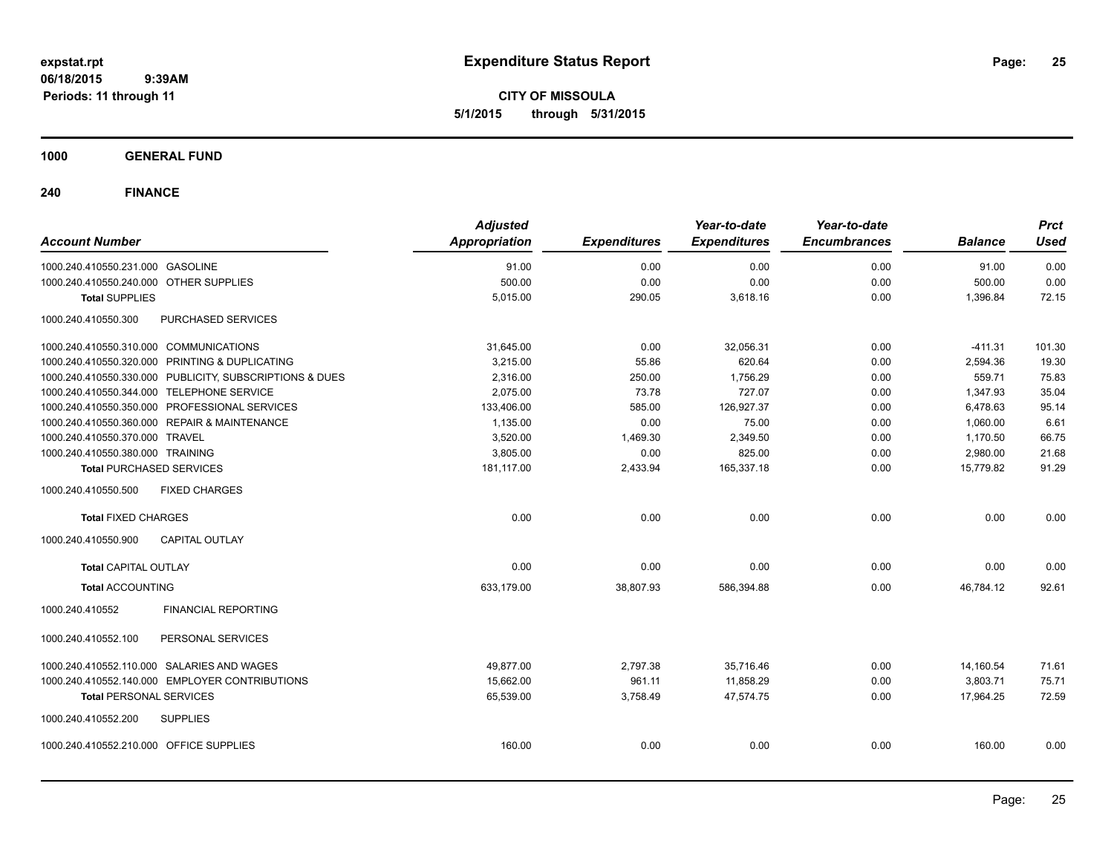**CITY OF MISSOULA 5/1/2015 through 5/31/2015**

**1000 GENERAL FUND**

| <b>Account Number</b>                   |                                                         | <b>Adjusted</b><br>Appropriation | <b>Expenditures</b> | Year-to-date<br><b>Expenditures</b> | Year-to-date<br><b>Encumbrances</b> | <b>Balance</b> | <b>Prct</b><br><b>Used</b> |
|-----------------------------------------|---------------------------------------------------------|----------------------------------|---------------------|-------------------------------------|-------------------------------------|----------------|----------------------------|
| 1000.240.410550.231.000 GASOLINE        |                                                         | 91.00                            | 0.00                | 0.00                                | 0.00                                | 91.00          | 0.00                       |
| 1000.240.410550.240.000 OTHER SUPPLIES  |                                                         | 500.00                           | 0.00                | 0.00                                | 0.00                                | 500.00         | 0.00                       |
| <b>Total SUPPLIES</b>                   |                                                         | 5,015.00                         | 290.05              | 3,618.16                            | 0.00                                | 1,396.84       | 72.15                      |
| 1000.240.410550.300                     | PURCHASED SERVICES                                      |                                  |                     |                                     |                                     |                |                            |
| 1000.240.410550.310.000 COMMUNICATIONS  |                                                         | 31,645.00                        | 0.00                | 32,056.31                           | 0.00                                | $-411.31$      | 101.30                     |
|                                         | 1000.240.410550.320.000 PRINTING & DUPLICATING          | 3,215.00                         | 55.86               | 620.64                              | 0.00                                | 2,594.36       | 19.30                      |
|                                         | 1000.240.410550.330.000 PUBLICITY, SUBSCRIPTIONS & DUES | 2,316.00                         | 250.00              | 1,756.29                            | 0.00                                | 559.71         | 75.83                      |
|                                         | 1000.240.410550.344.000 TELEPHONE SERVICE               | 2,075.00                         | 73.78               | 727.07                              | 0.00                                | 1,347.93       | 35.04                      |
|                                         | 1000.240.410550.350.000 PROFESSIONAL SERVICES           | 133,406.00                       | 585.00              | 126,927.37                          | 0.00                                | 6,478.63       | 95.14                      |
|                                         | 1000.240.410550.360.000 REPAIR & MAINTENANCE            | 1,135.00                         | 0.00                | 75.00                               | 0.00                                | 1,060.00       | 6.61                       |
| 1000.240.410550.370.000 TRAVEL          |                                                         | 3,520.00                         | 1,469.30            | 2,349.50                            | 0.00                                | 1.170.50       | 66.75                      |
| 1000.240.410550.380.000 TRAINING        |                                                         | 3,805.00                         | 0.00                | 825.00                              | 0.00                                | 2,980.00       | 21.68                      |
| <b>Total PURCHASED SERVICES</b>         |                                                         | 181,117.00                       | 2,433.94            | 165,337.18                          | 0.00                                | 15,779.82      | 91.29                      |
| 1000.240.410550.500                     | <b>FIXED CHARGES</b>                                    |                                  |                     |                                     |                                     |                |                            |
| <b>Total FIXED CHARGES</b>              |                                                         | 0.00                             | 0.00                | 0.00                                | 0.00                                | 0.00           | 0.00                       |
| 1000.240.410550.900                     | <b>CAPITAL OUTLAY</b>                                   |                                  |                     |                                     |                                     |                |                            |
| <b>Total CAPITAL OUTLAY</b>             |                                                         | 0.00                             | 0.00                | 0.00                                | 0.00                                | 0.00           | 0.00                       |
| <b>Total ACCOUNTING</b>                 |                                                         | 633.179.00                       | 38,807.93           | 586,394.88                          | 0.00                                | 46,784.12      | 92.61                      |
| 1000.240.410552                         | <b>FINANCIAL REPORTING</b>                              |                                  |                     |                                     |                                     |                |                            |
| 1000.240.410552.100                     | PERSONAL SERVICES                                       |                                  |                     |                                     |                                     |                |                            |
|                                         | 1000.240.410552.110.000 SALARIES AND WAGES              | 49.877.00                        | 2,797.38            | 35.716.46                           | 0.00                                | 14,160.54      | 71.61                      |
|                                         | 1000.240.410552.140.000 EMPLOYER CONTRIBUTIONS          | 15,662.00                        | 961.11              | 11,858.29                           | 0.00                                | 3,803.71       | 75.71                      |
| <b>Total PERSONAL SERVICES</b>          |                                                         | 65,539.00                        | 3,758.49            | 47,574.75                           | 0.00                                | 17,964.25      | 72.59                      |
| 1000.240.410552.200                     | <b>SUPPLIES</b>                                         |                                  |                     |                                     |                                     |                |                            |
| 1000.240.410552.210.000 OFFICE SUPPLIES |                                                         | 160.00                           | 0.00                | 0.00                                | 0.00                                | 160.00         | 0.00                       |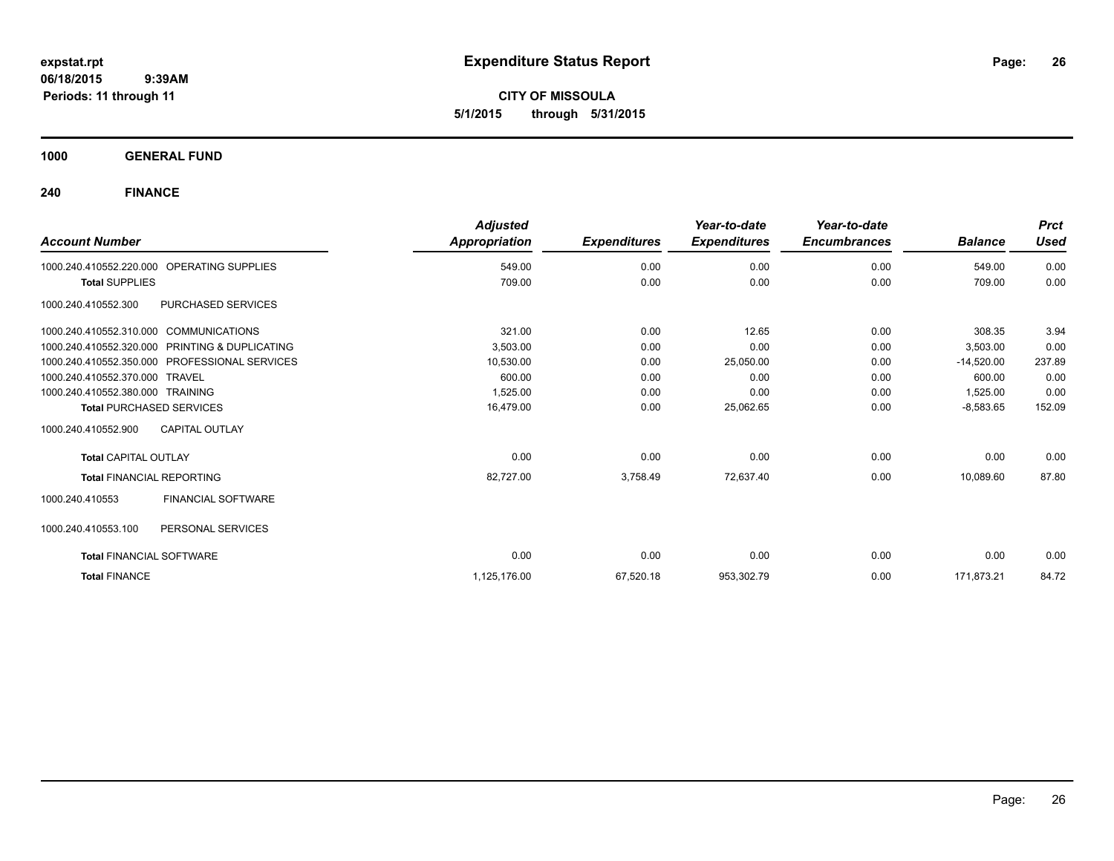**CITY OF MISSOULA 5/1/2015 through 5/31/2015**

**1000 GENERAL FUND**

| <b>Account Number</b>                  |                                               | <b>Adjusted</b><br>Appropriation | <b>Expenditures</b> | Year-to-date<br><b>Expenditures</b> | Year-to-date<br><b>Encumbrances</b> | <b>Balance</b> | <b>Prct</b><br><b>Used</b> |
|----------------------------------------|-----------------------------------------------|----------------------------------|---------------------|-------------------------------------|-------------------------------------|----------------|----------------------------|
| 1000.240.410552.220.000                | OPERATING SUPPLIES                            | 549.00                           | 0.00                | 0.00                                | 0.00                                | 549.00         | 0.00                       |
| <b>Total SUPPLIES</b>                  |                                               | 709.00                           | 0.00                | 0.00                                | 0.00                                | 709.00         | 0.00                       |
| 1000.240.410552.300                    | PURCHASED SERVICES                            |                                  |                     |                                     |                                     |                |                            |
| 1000.240.410552.310.000 COMMUNICATIONS |                                               | 321.00                           | 0.00                | 12.65                               | 0.00                                | 308.35         | 3.94                       |
| 1000.240.410552.320.000                | PRINTING & DUPLICATING                        | 3.503.00                         | 0.00                | 0.00                                | 0.00                                | 3,503.00       | 0.00                       |
|                                        | 1000.240.410552.350.000 PROFESSIONAL SERVICES | 10,530.00                        | 0.00                | 25,050.00                           | 0.00                                | $-14,520.00$   | 237.89                     |
| 1000.240.410552.370.000 TRAVEL         |                                               | 600.00                           | 0.00                | 0.00                                | 0.00                                | 600.00         | 0.00                       |
| 1000.240.410552.380.000 TRAINING       |                                               | 1,525.00                         | 0.00                | 0.00                                | 0.00                                | 1,525.00       | 0.00                       |
| <b>Total PURCHASED SERVICES</b>        |                                               | 16,479.00                        | 0.00                | 25,062.65                           | 0.00                                | $-8,583.65$    | 152.09                     |
| 1000.240.410552.900                    | <b>CAPITAL OUTLAY</b>                         |                                  |                     |                                     |                                     |                |                            |
| <b>Total CAPITAL OUTLAY</b>            |                                               | 0.00                             | 0.00                | 0.00                                | 0.00                                | 0.00           | 0.00                       |
| <b>Total FINANCIAL REPORTING</b>       |                                               | 82,727.00                        | 3,758.49            | 72,637.40                           | 0.00                                | 10.089.60      | 87.80                      |
| 1000.240.410553                        | <b>FINANCIAL SOFTWARE</b>                     |                                  |                     |                                     |                                     |                |                            |
| 1000.240.410553.100                    | PERSONAL SERVICES                             |                                  |                     |                                     |                                     |                |                            |
| <b>Total FINANCIAL SOFTWARE</b>        |                                               | 0.00                             | 0.00                | 0.00                                | 0.00                                | 0.00           | 0.00                       |
| <b>Total FINANCE</b>                   |                                               | 1,125,176.00                     | 67,520.18           | 953,302.79                          | 0.00                                | 171,873.21     | 84.72                      |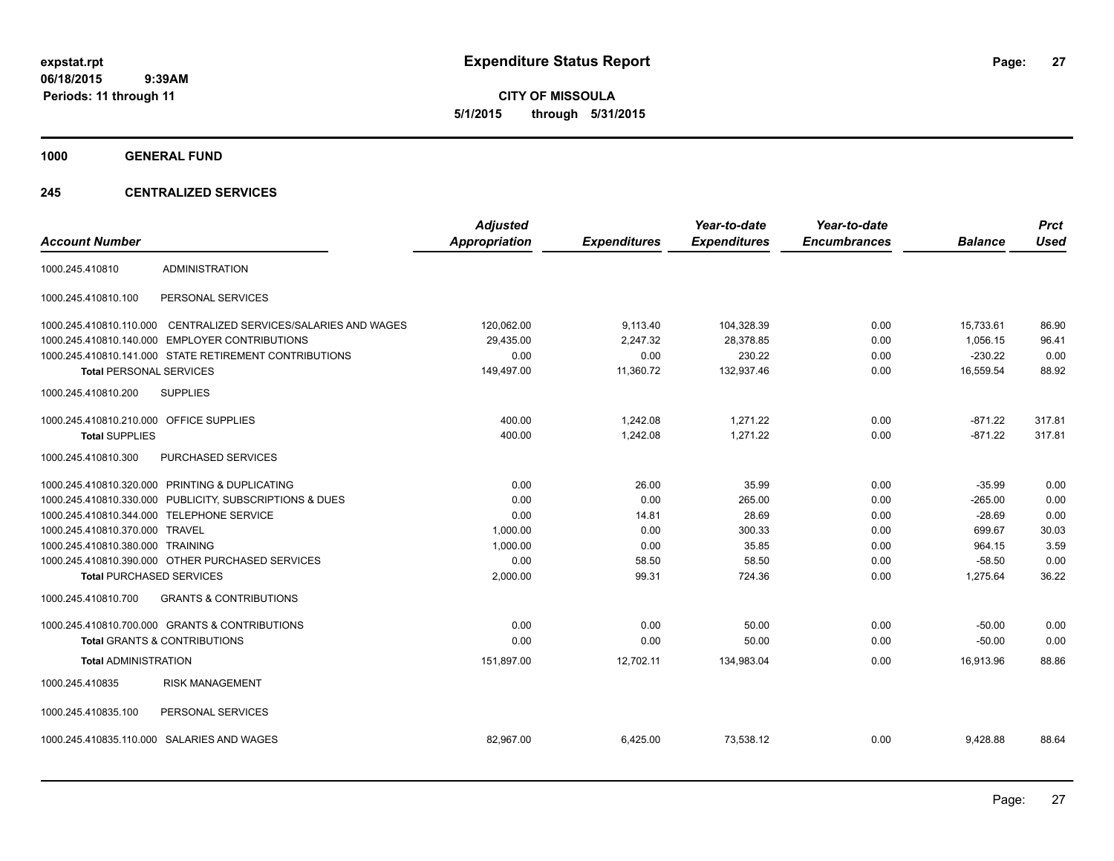**CITY OF MISSOULA 5/1/2015 through 5/31/2015**

**1000 GENERAL FUND**

## **245 CENTRALIZED SERVICES**

| <b>Account Number</b>                   |                                                         | <b>Adjusted</b><br><b>Appropriation</b> | <b>Expenditures</b> | Year-to-date<br><b>Expenditures</b> | Year-to-date<br><b>Encumbrances</b> | <b>Balance</b> | <b>Prct</b><br><b>Used</b> |
|-----------------------------------------|---------------------------------------------------------|-----------------------------------------|---------------------|-------------------------------------|-------------------------------------|----------------|----------------------------|
| 1000.245.410810                         | <b>ADMINISTRATION</b>                                   |                                         |                     |                                     |                                     |                |                            |
| 1000.245.410810.100                     | PERSONAL SERVICES                                       |                                         |                     |                                     |                                     |                |                            |
| 1000.245.410810.110.000                 | CENTRALIZED SERVICES/SALARIES AND WAGES                 | 120,062.00                              | 9,113.40            | 104,328.39                          | 0.00                                | 15,733.61      | 86.90                      |
|                                         | 1000.245.410810.140.000 EMPLOYER CONTRIBUTIONS          | 29,435.00                               | 2,247.32            | 28,378.85                           | 0.00                                | 1,056.15       | 96.41                      |
|                                         | 1000.245.410810.141.000 STATE RETIREMENT CONTRIBUTIONS  | 0.00                                    | 0.00                | 230.22                              | 0.00                                | $-230.22$      | 0.00                       |
| <b>Total PERSONAL SERVICES</b>          |                                                         | 149,497.00                              | 11,360.72           | 132,937.46                          | 0.00                                | 16,559.54      | 88.92                      |
| 1000.245.410810.200                     | <b>SUPPLIES</b>                                         |                                         |                     |                                     |                                     |                |                            |
| 1000.245.410810.210.000 OFFICE SUPPLIES |                                                         | 400.00                                  | 1.242.08            | 1.271.22                            | 0.00                                | $-871.22$      | 317.81                     |
| <b>Total SUPPLIES</b>                   |                                                         | 400.00                                  | 1,242.08            | 1,271.22                            | 0.00                                | $-871.22$      | 317.81                     |
| 1000.245.410810.300                     | PURCHASED SERVICES                                      |                                         |                     |                                     |                                     |                |                            |
|                                         | 1000.245.410810.320.000 PRINTING & DUPLICATING          | 0.00                                    | 26.00               | 35.99                               | 0.00                                | $-35.99$       | 0.00                       |
|                                         | 1000.245.410810.330.000 PUBLICITY, SUBSCRIPTIONS & DUES | 0.00                                    | 0.00                | 265.00                              | 0.00                                | $-265.00$      | 0.00                       |
|                                         | 1000.245.410810.344.000 TELEPHONE SERVICE               | 0.00                                    | 14.81               | 28.69                               | 0.00                                | $-28.69$       | 0.00                       |
| 1000.245.410810.370.000 TRAVEL          |                                                         | 1,000.00                                | 0.00                | 300.33                              | 0.00                                | 699.67         | 30.03                      |
| 1000.245.410810.380.000 TRAINING        |                                                         | 1,000.00                                | 0.00                | 35.85                               | 0.00                                | 964.15         | 3.59                       |
|                                         | 1000.245.410810.390.000 OTHER PURCHASED SERVICES        | 0.00                                    | 58.50               | 58.50                               | 0.00                                | $-58.50$       | 0.00                       |
| <b>Total PURCHASED SERVICES</b>         |                                                         | 2,000.00                                | 99.31               | 724.36                              | 0.00                                | 1,275.64       | 36.22                      |
| 1000.245.410810.700                     | <b>GRANTS &amp; CONTRIBUTIONS</b>                       |                                         |                     |                                     |                                     |                |                            |
|                                         | 1000.245.410810.700.000 GRANTS & CONTRIBUTIONS          | 0.00                                    | 0.00                | 50.00                               | 0.00                                | $-50.00$       | 0.00                       |
|                                         | <b>Total GRANTS &amp; CONTRIBUTIONS</b>                 | 0.00                                    | 0.00                | 50.00                               | 0.00                                | $-50.00$       | 0.00                       |
| <b>Total ADMINISTRATION</b>             |                                                         | 151,897.00                              | 12,702.11           | 134,983.04                          | 0.00                                | 16.913.96      | 88.86                      |
| 1000.245.410835                         | <b>RISK MANAGEMENT</b>                                  |                                         |                     |                                     |                                     |                |                            |
| 1000.245.410835.100                     | PERSONAL SERVICES                                       |                                         |                     |                                     |                                     |                |                            |
|                                         | 1000.245.410835.110.000 SALARIES AND WAGES              | 82,967.00                               | 6,425.00            | 73,538.12                           | 0.00                                | 9,428.88       | 88.64                      |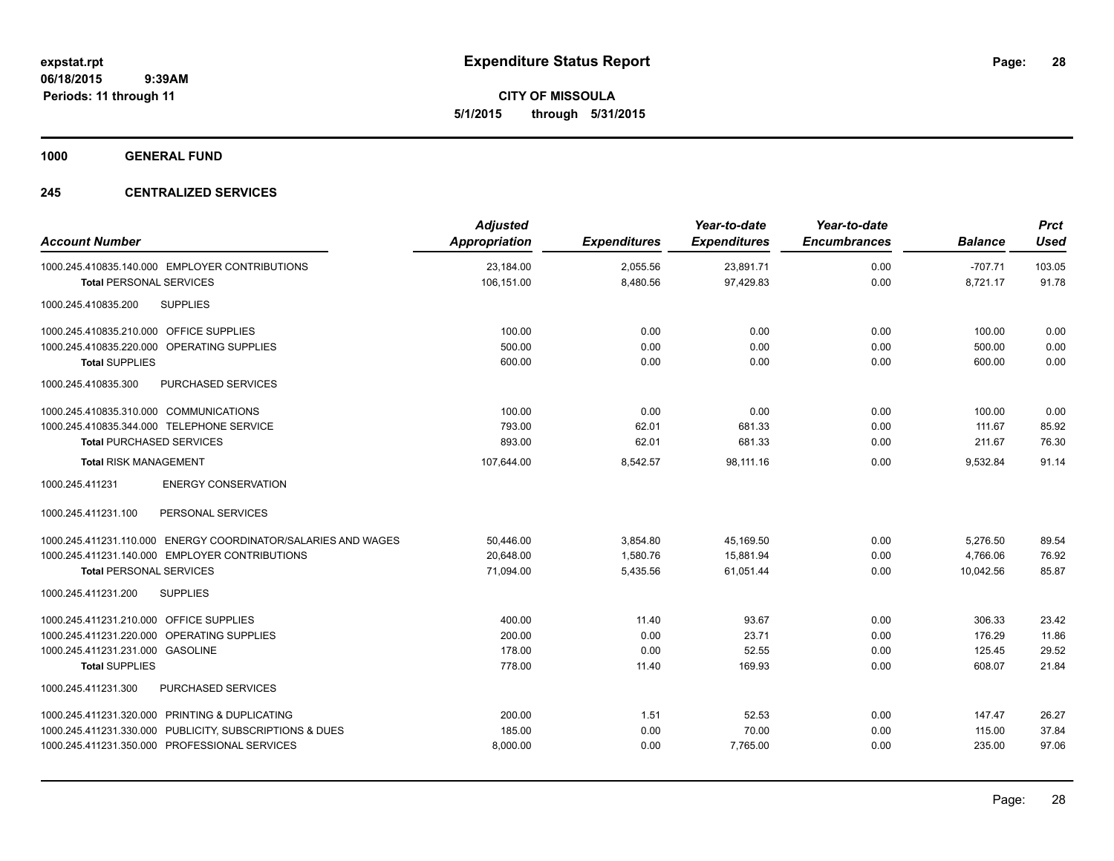**CITY OF MISSOULA 5/1/2015 through 5/31/2015**

**1000 GENERAL FUND**

## **245 CENTRALIZED SERVICES**

| <b>Account Number</b>                                         | <b>Adjusted</b><br><b>Appropriation</b> | <b>Expenditures</b> | Year-to-date<br><b>Expenditures</b> | Year-to-date<br><b>Encumbrances</b> | <b>Balance</b> | <b>Prct</b><br><b>Used</b> |
|---------------------------------------------------------------|-----------------------------------------|---------------------|-------------------------------------|-------------------------------------|----------------|----------------------------|
| 1000.245.410835.140.000 EMPLOYER CONTRIBUTIONS                | 23,184.00                               | 2,055.56            | 23,891.71                           | 0.00                                | $-707.71$      | 103.05                     |
| <b>Total PERSONAL SERVICES</b>                                | 106,151.00                              | 8,480.56            | 97,429.83                           | 0.00                                | 8,721.17       | 91.78                      |
| <b>SUPPLIES</b><br>1000.245.410835.200                        |                                         |                     |                                     |                                     |                |                            |
| 1000.245.410835.210.000 OFFICE SUPPLIES                       | 100.00                                  | 0.00                | 0.00                                | 0.00                                | 100.00         | 0.00                       |
| 1000.245.410835.220.000 OPERATING SUPPLIES                    | 500.00                                  | 0.00                | 0.00                                | 0.00                                | 500.00         | 0.00                       |
| <b>Total SUPPLIES</b>                                         | 600.00                                  | 0.00                | 0.00                                | 0.00                                | 600.00         | 0.00                       |
| PURCHASED SERVICES<br>1000.245.410835.300                     |                                         |                     |                                     |                                     |                |                            |
| 1000.245.410835.310.000 COMMUNICATIONS                        | 100.00                                  | 0.00                | 0.00                                | 0.00                                | 100.00         | 0.00                       |
| 1000.245.410835.344.000 TELEPHONE SERVICE                     | 793.00                                  | 62.01               | 681.33                              | 0.00                                | 111.67         | 85.92                      |
| <b>Total PURCHASED SERVICES</b>                               | 893.00                                  | 62.01               | 681.33                              | 0.00                                | 211.67         | 76.30                      |
| <b>Total RISK MANAGEMENT</b>                                  | 107,644.00                              | 8,542.57            | 98.111.16                           | 0.00                                | 9,532.84       | 91.14                      |
| <b>ENERGY CONSERVATION</b><br>1000.245.411231                 |                                         |                     |                                     |                                     |                |                            |
| PERSONAL SERVICES<br>1000.245.411231.100                      |                                         |                     |                                     |                                     |                |                            |
| 1000.245.411231.110.000 ENERGY COORDINATOR/SALARIES AND WAGES | 50.446.00                               | 3,854.80            | 45,169.50                           | 0.00                                | 5,276.50       | 89.54                      |
| 1000.245.411231.140.000 EMPLOYER CONTRIBUTIONS                | 20,648.00                               | 1,580.76            | 15,881.94                           | 0.00                                | 4,766.06       | 76.92                      |
| <b>Total PERSONAL SERVICES</b>                                | 71,094.00                               | 5,435.56            | 61,051.44                           | 0.00                                | 10,042.56      | 85.87                      |
| <b>SUPPLIES</b><br>1000.245.411231.200                        |                                         |                     |                                     |                                     |                |                            |
| 1000.245.411231.210.000 OFFICE SUPPLIES                       | 400.00                                  | 11.40               | 93.67                               | 0.00                                | 306.33         | 23.42                      |
| 1000.245.411231.220.000 OPERATING SUPPLIES                    | 200.00                                  | 0.00                | 23.71                               | 0.00                                | 176.29         | 11.86                      |
| 1000.245.411231.231.000 GASOLINE                              | 178.00                                  | 0.00                | 52.55                               | 0.00                                | 125.45         | 29.52                      |
| <b>Total SUPPLIES</b>                                         | 778.00                                  | 11.40               | 169.93                              | 0.00                                | 608.07         | 21.84                      |
| 1000.245.411231.300<br><b>PURCHASED SERVICES</b>              |                                         |                     |                                     |                                     |                |                            |
| 1000.245.411231.320.000 PRINTING & DUPLICATING                | 200.00                                  | 1.51                | 52.53                               | 0.00                                | 147.47         | 26.27                      |
| 1000.245.411231.330.000 PUBLICITY, SUBSCRIPTIONS & DUES       | 185.00                                  | 0.00                | 70.00                               | 0.00                                | 115.00         | 37.84                      |
| 1000.245.411231.350.000 PROFESSIONAL SERVICES                 | 8,000.00                                | 0.00                | 7,765.00                            | 0.00                                | 235.00         | 97.06                      |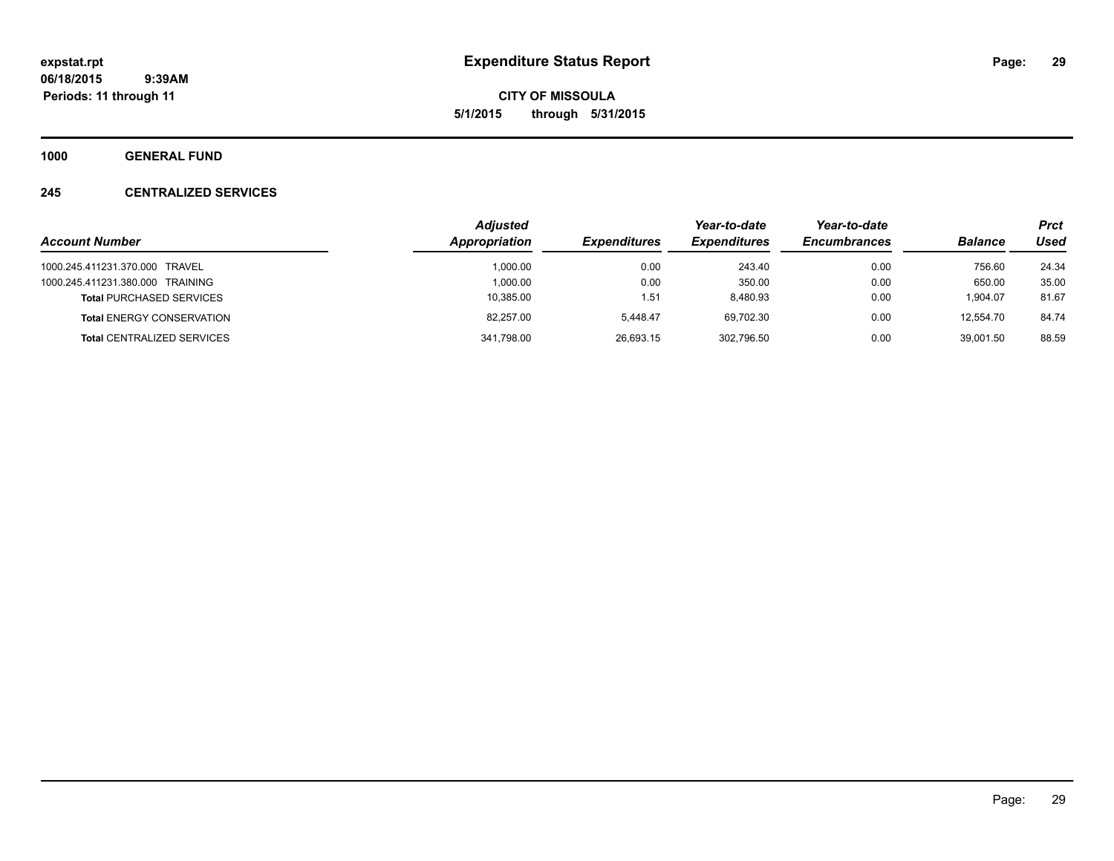**CITY OF MISSOULA 5/1/2015 through 5/31/2015**

**1000 GENERAL FUND**

## **245 CENTRALIZED SERVICES**

|                                   | <b>Adjusted</b> |                     | Year-to-date        | Year-to-date        |                | <b>Prct</b> |
|-----------------------------------|-----------------|---------------------|---------------------|---------------------|----------------|-------------|
| <b>Account Number</b>             | Appropriation   | <b>Expenditures</b> | <b>Expenditures</b> | <b>Encumbrances</b> | <b>Balance</b> | Used        |
| 1000.245.411231.370.000 TRAVEL    | 1.000.00        | 0.00                | 243.40              | 0.00                | 756.60         | 24.34       |
| 1000.245.411231.380.000 TRAINING  | 1.000.00        | 0.00                | 350.00              | 0.00                | 650.00         | 35.00       |
| <b>Total PURCHASED SERVICES</b>   | 10,385.00       | 1.51                | 8.480.93            | 0.00                | 1.904.07       | 81.67       |
| <b>Total ENERGY CONSERVATION</b>  | 82.257.00       | 5.448.47            | 69.702.30           | 0.00                | 12.554.70      | 84.74       |
| <b>Total CENTRALIZED SERVICES</b> | 341,798.00      | 26.693.15           | 302,796.50          | 0.00                | 39.001.50      | 88.59       |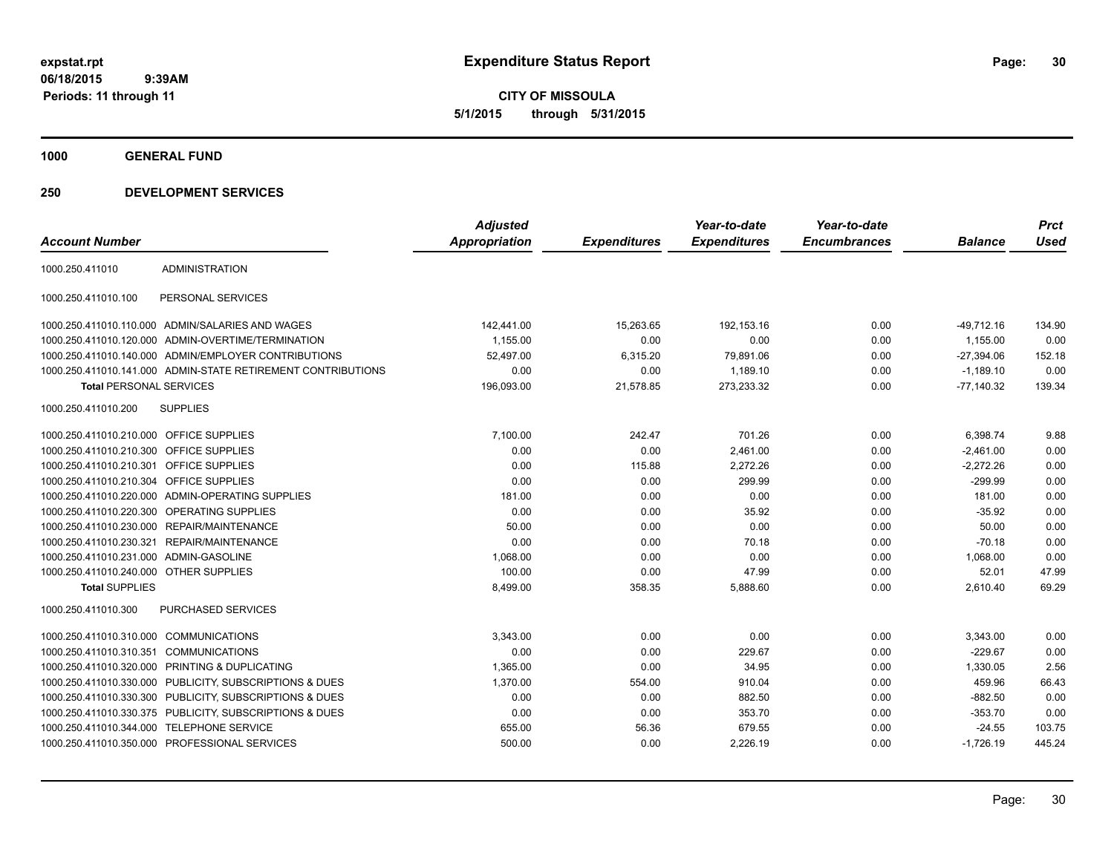**CITY OF MISSOULA 5/1/2015 through 5/31/2015**

**1000 GENERAL FUND**

|                                         |                                                              | <b>Adjusted</b>      |                     | Year-to-date        | Year-to-date        |                | <b>Prct</b> |
|-----------------------------------------|--------------------------------------------------------------|----------------------|---------------------|---------------------|---------------------|----------------|-------------|
| <b>Account Number</b>                   |                                                              | <b>Appropriation</b> | <b>Expenditures</b> | <b>Expenditures</b> | <b>Encumbrances</b> | <b>Balance</b> | <b>Used</b> |
| 1000.250.411010                         | <b>ADMINISTRATION</b>                                        |                      |                     |                     |                     |                |             |
| 1000.250.411010.100                     | PERSONAL SERVICES                                            |                      |                     |                     |                     |                |             |
|                                         | 1000.250.411010.110.000 ADMIN/SALARIES AND WAGES             | 142,441.00           | 15,263.65           | 192,153.16          | 0.00                | $-49,712.16$   | 134.90      |
|                                         | 1000.250.411010.120.000 ADMIN-OVERTIME/TERMINATION           | 1,155.00             | 0.00                | 0.00                | 0.00                | 1,155.00       | 0.00        |
|                                         | 1000.250.411010.140.000 ADMIN/EMPLOYER CONTRIBUTIONS         | 52,497.00            | 6,315.20            | 79,891.06           | 0.00                | $-27,394.06$   | 152.18      |
|                                         | 1000.250.411010.141.000 ADMIN-STATE RETIREMENT CONTRIBUTIONS | 0.00                 | 0.00                | 1,189.10            | 0.00                | $-1.189.10$    | 0.00        |
| <b>Total PERSONAL SERVICES</b>          |                                                              | 196,093.00           | 21,578.85           | 273,233.32          | 0.00                | $-77,140.32$   | 139.34      |
| 1000.250.411010.200                     | <b>SUPPLIES</b>                                              |                      |                     |                     |                     |                |             |
| 1000.250.411010.210.000 OFFICE SUPPLIES |                                                              | 7,100.00             | 242.47              | 701.26              | 0.00                | 6,398.74       | 9.88        |
| 1000.250.411010.210.300 OFFICE SUPPLIES |                                                              | 0.00                 | 0.00                | 2,461.00            | 0.00                | $-2,461.00$    | 0.00        |
| 1000.250.411010.210.301 OFFICE SUPPLIES |                                                              | 0.00                 | 115.88              | 2,272.26            | 0.00                | $-2,272.26$    | 0.00        |
| 1000.250.411010.210.304 OFFICE SUPPLIES |                                                              | 0.00                 | 0.00                | 299.99              | 0.00                | $-299.99$      | 0.00        |
|                                         | 1000.250.411010.220.000 ADMIN-OPERATING SUPPLIES             | 181.00               | 0.00                | 0.00                | 0.00                | 181.00         | 0.00        |
|                                         | 1000.250.411010.220.300 OPERATING SUPPLIES                   | 0.00                 | 0.00                | 35.92               | 0.00                | $-35.92$       | 0.00        |
|                                         | 1000.250.411010.230.000 REPAIR/MAINTENANCE                   | 50.00                | 0.00                | 0.00                | 0.00                | 50.00          | 0.00        |
|                                         | 1000.250.411010.230.321 REPAIR/MAINTENANCE                   | 0.00                 | 0.00                | 70.18               | 0.00                | $-70.18$       | 0.00        |
| 1000.250.411010.231.000 ADMIN-GASOLINE  |                                                              | 1,068.00             | 0.00                | 0.00                | 0.00                | 1,068.00       | 0.00        |
| 1000.250.411010.240.000 OTHER SUPPLIES  |                                                              | 100.00               | 0.00                | 47.99               | 0.00                | 52.01          | 47.99       |
| <b>Total SUPPLIES</b>                   |                                                              | 8,499.00             | 358.35              | 5,888.60            | 0.00                | 2,610.40       | 69.29       |
| 1000.250.411010.300                     | PURCHASED SERVICES                                           |                      |                     |                     |                     |                |             |
| 1000.250.411010.310.000 COMMUNICATIONS  |                                                              | 3,343.00             | 0.00                | 0.00                | 0.00                | 3,343.00       | 0.00        |
| 1000.250.411010.310.351                 | <b>COMMUNICATIONS</b>                                        | 0.00                 | 0.00                | 229.67              | 0.00                | $-229.67$      | 0.00        |
|                                         | 1000.250.411010.320.000 PRINTING & DUPLICATING               | 1,365.00             | 0.00                | 34.95               | 0.00                | 1,330.05       | 2.56        |
|                                         | 1000.250.411010.330.000 PUBLICITY, SUBSCRIPTIONS & DUES      | 1,370.00             | 554.00              | 910.04              | 0.00                | 459.96         | 66.43       |
|                                         | 1000.250.411010.330.300 PUBLICITY, SUBSCRIPTIONS & DUES      | 0.00                 | 0.00                | 882.50              | 0.00                | $-882.50$      | 0.00        |
|                                         | 1000.250.411010.330.375 PUBLICITY, SUBSCRIPTIONS & DUES      | 0.00                 | 0.00                | 353.70              | 0.00                | $-353.70$      | 0.00        |
|                                         | 1000.250.411010.344.000 TELEPHONE SERVICE                    | 655.00               | 56.36               | 679.55              | 0.00                | $-24.55$       | 103.75      |
|                                         | 1000.250.411010.350.000 PROFESSIONAL SERVICES                | 500.00               | 0.00                | 2,226.19            | 0.00                | $-1,726.19$    | 445.24      |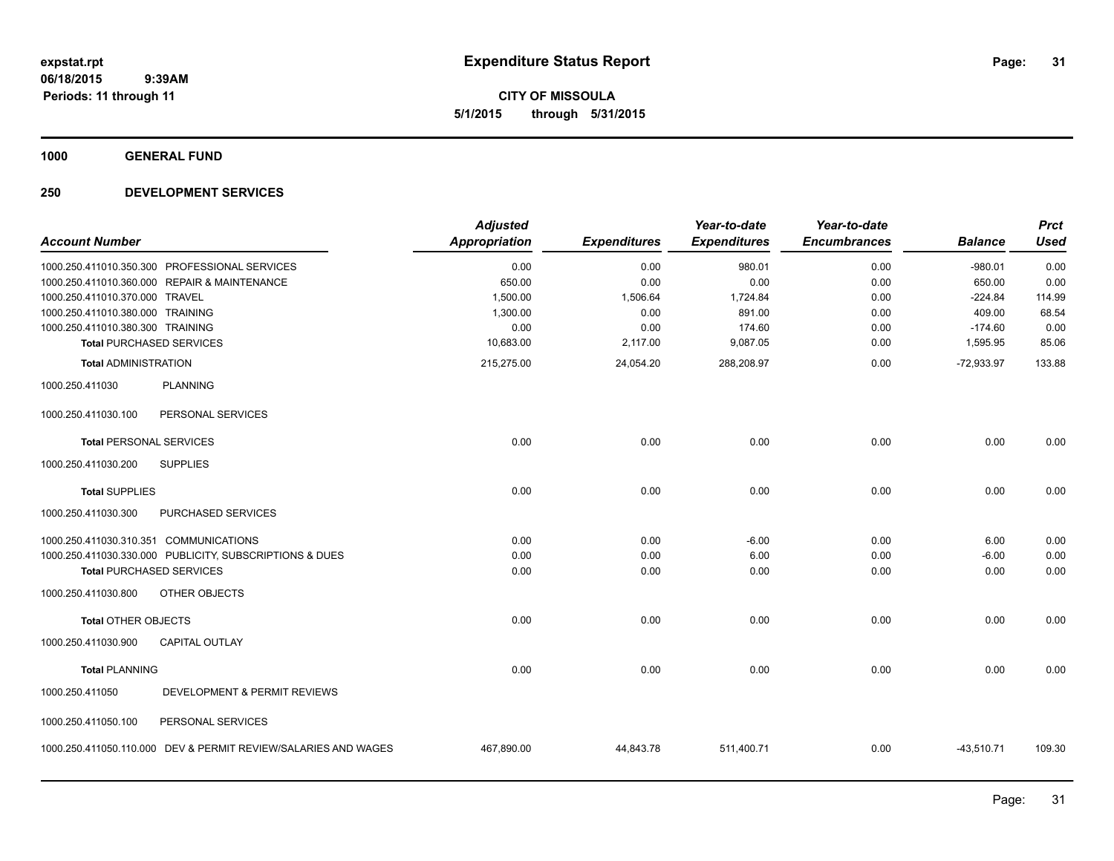**CITY OF MISSOULA 5/1/2015 through 5/31/2015**

**1000 GENERAL FUND**

| <b>Account Number</b>                  |                                                                | <b>Adjusted</b><br><b>Appropriation</b> | <b>Expenditures</b> | Year-to-date<br><b>Expenditures</b> | Year-to-date<br><b>Encumbrances</b> | <b>Balance</b> | <b>Prct</b><br><b>Used</b> |
|----------------------------------------|----------------------------------------------------------------|-----------------------------------------|---------------------|-------------------------------------|-------------------------------------|----------------|----------------------------|
|                                        | 1000.250.411010.350.300 PROFESSIONAL SERVICES                  | 0.00                                    | 0.00                | 980.01                              | 0.00                                | $-980.01$      | 0.00                       |
|                                        | 1000.250.411010.360.000 REPAIR & MAINTENANCE                   | 650.00                                  | 0.00                | 0.00                                | 0.00                                | 650.00         | 0.00                       |
| 1000.250.411010.370.000 TRAVEL         |                                                                | 1,500.00                                | 1,506.64            | 1,724.84                            | 0.00                                | $-224.84$      | 114.99                     |
| 1000.250.411010.380.000 TRAINING       |                                                                | 1,300.00                                | 0.00                | 891.00                              | 0.00                                | 409.00         | 68.54                      |
| 1000.250.411010.380.300 TRAINING       |                                                                | 0.00                                    | 0.00                | 174.60                              | 0.00                                | $-174.60$      | 0.00                       |
| <b>Total PURCHASED SERVICES</b>        |                                                                | 10,683.00                               | 2,117.00            | 9,087.05                            | 0.00                                | 1,595.95       | 85.06                      |
| <b>Total ADMINISTRATION</b>            |                                                                | 215,275.00                              | 24,054.20           | 288,208.97                          | 0.00                                | $-72,933.97$   | 133.88                     |
| 1000.250.411030                        | <b>PLANNING</b>                                                |                                         |                     |                                     |                                     |                |                            |
| 1000.250.411030.100                    | PERSONAL SERVICES                                              |                                         |                     |                                     |                                     |                |                            |
| <b>Total PERSONAL SERVICES</b>         |                                                                | 0.00                                    | 0.00                | 0.00                                | 0.00                                | 0.00           | 0.00                       |
| 1000.250.411030.200                    | <b>SUPPLIES</b>                                                |                                         |                     |                                     |                                     |                |                            |
| <b>Total SUPPLIES</b>                  |                                                                | 0.00                                    | 0.00                | 0.00                                | 0.00                                | 0.00           | 0.00                       |
| 1000.250.411030.300                    | <b>PURCHASED SERVICES</b>                                      |                                         |                     |                                     |                                     |                |                            |
| 1000.250.411030.310.351 COMMUNICATIONS |                                                                | 0.00                                    | 0.00                | $-6.00$                             | 0.00                                | 6.00           | 0.00                       |
|                                        | 1000.250.411030.330.000 PUBLICITY, SUBSCRIPTIONS & DUES        | 0.00                                    | 0.00                | 6.00                                | 0.00                                | $-6.00$        | 0.00                       |
| <b>Total PURCHASED SERVICES</b>        |                                                                | 0.00                                    | 0.00                | 0.00                                | 0.00                                | 0.00           | 0.00                       |
| 1000.250.411030.800                    | OTHER OBJECTS                                                  |                                         |                     |                                     |                                     |                |                            |
| Total OTHER OBJECTS                    |                                                                | 0.00                                    | 0.00                | 0.00                                | 0.00                                | 0.00           | 0.00                       |
| 1000.250.411030.900                    | <b>CAPITAL OUTLAY</b>                                          |                                         |                     |                                     |                                     |                |                            |
| <b>Total PLANNING</b>                  |                                                                | 0.00                                    | 0.00                | 0.00                                | 0.00                                | 0.00           | 0.00                       |
| 1000.250.411050                        | DEVELOPMENT & PERMIT REVIEWS                                   |                                         |                     |                                     |                                     |                |                            |
| 1000.250.411050.100                    | PERSONAL SERVICES                                              |                                         |                     |                                     |                                     |                |                            |
|                                        | 1000.250.411050.110.000 DEV & PERMIT REVIEW/SALARIES AND WAGES | 467,890.00                              | 44,843.78           | 511,400.71                          | 0.00                                | $-43,510.71$   | 109.30                     |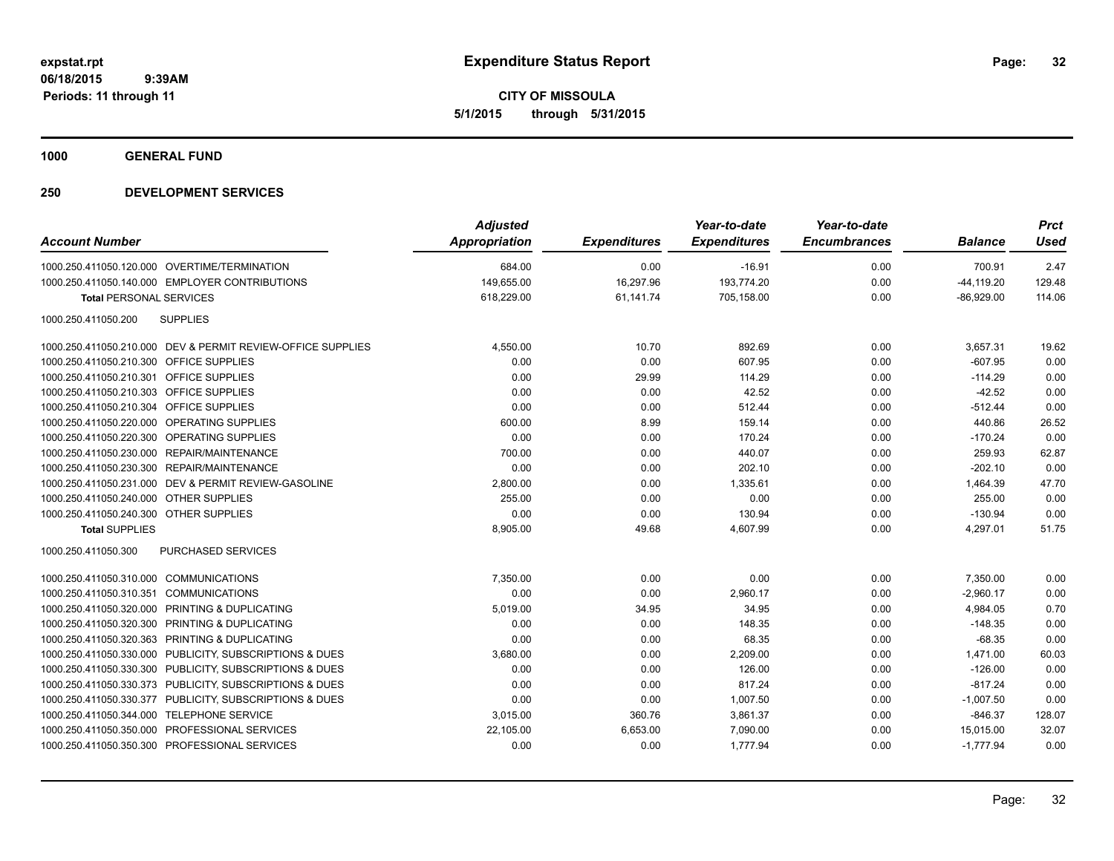**CITY OF MISSOULA 5/1/2015 through 5/31/2015**

**1000 GENERAL FUND**

| <b>Account Number</b>                                       | <b>Adjusted</b><br><b>Appropriation</b> | <b>Expenditures</b> | Year-to-date<br><b>Expenditures</b> | Year-to-date<br><b>Encumbrances</b> | <b>Balance</b> | <b>Prct</b><br><b>Used</b> |
|-------------------------------------------------------------|-----------------------------------------|---------------------|-------------------------------------|-------------------------------------|----------------|----------------------------|
| 1000.250.411050.120.000 OVERTIME/TERMINATION                | 684.00                                  | 0.00                | $-16.91$                            | 0.00                                | 700.91         | 2.47                       |
| 1000.250.411050.140.000 EMPLOYER CONTRIBUTIONS              | 149,655.00                              | 16,297.96           | 193,774.20                          | 0.00                                | $-44, 119.20$  | 129.48                     |
| <b>Total PERSONAL SERVICES</b>                              | 618,229.00                              | 61,141.74           | 705,158.00                          | 0.00                                | $-86,929.00$   | 114.06                     |
| 1000.250.411050.200<br><b>SUPPLIES</b>                      |                                         |                     |                                     |                                     |                |                            |
| 1000.250.411050.210.000 DEV & PERMIT REVIEW-OFFICE SUPPLIES | 4,550.00                                | 10.70               | 892.69                              | 0.00                                | 3,657.31       | 19.62                      |
| 1000.250.411050.210.300 OFFICE SUPPLIES                     | 0.00                                    | 0.00                | 607.95                              | 0.00                                | $-607.95$      | 0.00                       |
| 1000.250.411050.210.301 OFFICE SUPPLIES                     | 0.00                                    | 29.99               | 114.29                              | 0.00                                | $-114.29$      | 0.00                       |
| 1000.250.411050.210.303 OFFICE SUPPLIES                     | 0.00                                    | 0.00                | 42.52                               | 0.00                                | $-42.52$       | 0.00                       |
| 1000.250.411050.210.304 OFFICE SUPPLIES                     | 0.00                                    | 0.00                | 512.44                              | 0.00                                | $-512.44$      | 0.00                       |
| 1000.250.411050.220.000 OPERATING SUPPLIES                  | 600.00                                  | 8.99                | 159.14                              | 0.00                                | 440.86         | 26.52                      |
| 1000.250.411050.220.300 OPERATING SUPPLIES                  | 0.00                                    | 0.00                | 170.24                              | 0.00                                | $-170.24$      | 0.00                       |
| 1000.250.411050.230.000 REPAIR/MAINTENANCE                  | 700.00                                  | 0.00                | 440.07                              | 0.00                                | 259.93         | 62.87                      |
| 1000.250.411050.230.300 REPAIR/MAINTENANCE                  | 0.00                                    | 0.00                | 202.10                              | 0.00                                | $-202.10$      | 0.00                       |
| 1000.250.411050.231.000 DEV & PERMIT REVIEW-GASOLINE        | 2,800.00                                | 0.00                | 1,335.61                            | 0.00                                | 1,464.39       | 47.70                      |
| 1000.250.411050.240.000 OTHER SUPPLIES                      | 255.00                                  | 0.00                | 0.00                                | 0.00                                | 255.00         | 0.00                       |
| 1000.250.411050.240.300 OTHER SUPPLIES                      | 0.00                                    | 0.00                | 130.94                              | 0.00                                | $-130.94$      | 0.00                       |
| <b>Total SUPPLIES</b>                                       | 8,905.00                                | 49.68               | 4,607.99                            | 0.00                                | 4,297.01       | 51.75                      |
| 1000.250.411050.300<br><b>PURCHASED SERVICES</b>            |                                         |                     |                                     |                                     |                |                            |
| 1000.250.411050.310.000 COMMUNICATIONS                      | 7,350.00                                | 0.00                | 0.00                                | 0.00                                | 7,350.00       | 0.00                       |
| 1000.250.411050.310.351 COMMUNICATIONS                      | 0.00                                    | 0.00                | 2,960.17                            | 0.00                                | $-2,960.17$    | 0.00                       |
| 1000.250.411050.320.000 PRINTING & DUPLICATING              | 5,019.00                                | 34.95               | 34.95                               | 0.00                                | 4,984.05       | 0.70                       |
| 1000.250.411050.320.300 PRINTING & DUPLICATING              | 0.00                                    | 0.00                | 148.35                              | 0.00                                | $-148.35$      | 0.00                       |
| 1000.250.411050.320.363 PRINTING & DUPLICATING              | 0.00                                    | 0.00                | 68.35                               | 0.00                                | $-68.35$       | 0.00                       |
| 1000.250.411050.330.000 PUBLICITY, SUBSCRIPTIONS & DUES     | 3,680.00                                | 0.00                | 2,209.00                            | 0.00                                | 1,471.00       | 60.03                      |
| 1000.250.411050.330.300 PUBLICITY, SUBSCRIPTIONS & DUES     | 0.00                                    | 0.00                | 126.00                              | 0.00                                | $-126.00$      | 0.00                       |
| 1000.250.411050.330.373 PUBLICITY, SUBSCRIPTIONS & DUES     | 0.00                                    | 0.00                | 817.24                              | 0.00                                | $-817.24$      | 0.00                       |
| 1000.250.411050.330.377 PUBLICITY, SUBSCRIPTIONS & DUES     | 0.00                                    | 0.00                | 1,007.50                            | 0.00                                | $-1,007.50$    | 0.00                       |
| 1000.250.411050.344.000 TELEPHONE SERVICE                   | 3,015.00                                | 360.76              | 3,861.37                            | 0.00                                | $-846.37$      | 128.07                     |
| 1000.250.411050.350.000 PROFESSIONAL SERVICES               | 22.105.00                               | 6,653.00            | 7,090.00                            | 0.00                                | 15,015.00      | 32.07                      |
| 1000.250.411050.350.300 PROFESSIONAL SERVICES               | 0.00                                    | 0.00                | 1.777.94                            | 0.00                                | $-1,777.94$    | 0.00                       |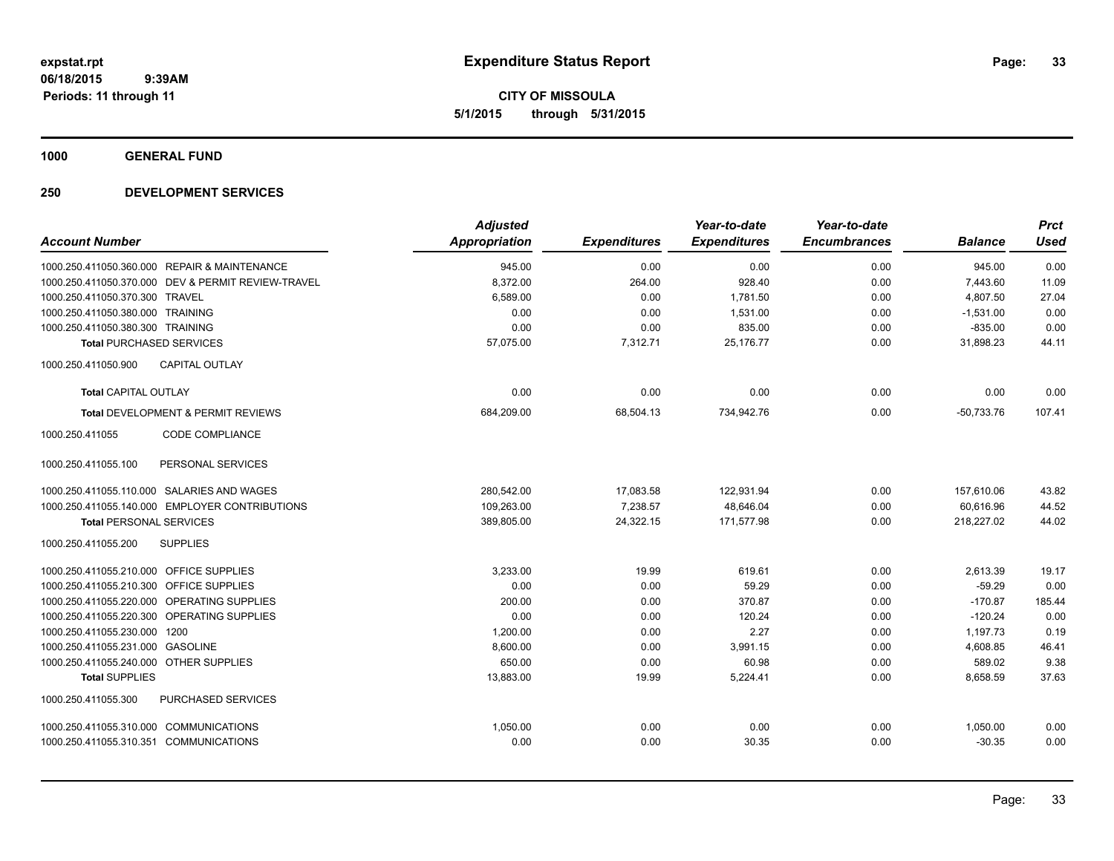**CITY OF MISSOULA 5/1/2015 through 5/31/2015**

**1000 GENERAL FUND**

|                                              |                                                    | <b>Adjusted</b>      |                     | Year-to-date        | Year-to-date        |                | <b>Prct</b> |
|----------------------------------------------|----------------------------------------------------|----------------------|---------------------|---------------------|---------------------|----------------|-------------|
| <b>Account Number</b>                        |                                                    | <b>Appropriation</b> | <b>Expenditures</b> | <b>Expenditures</b> | <b>Encumbrances</b> | <b>Balance</b> | <b>Used</b> |
| 1000.250.411050.360.000 REPAIR & MAINTENANCE |                                                    | 945.00               | 0.00                | 0.00                | 0.00                | 945.00         | 0.00        |
|                                              | 1000.250.411050.370.000 DEV & PERMIT REVIEW-TRAVEL | 8,372.00             | 264.00              | 928.40              | 0.00                | 7,443.60       | 11.09       |
| 1000.250.411050.370.300 TRAVEL               |                                                    | 6,589.00             | 0.00                | 1,781.50            | 0.00                | 4,807.50       | 27.04       |
| 1000.250.411050.380.000 TRAINING             |                                                    | 0.00                 | 0.00                | 1,531.00            | 0.00                | $-1,531.00$    | 0.00        |
| 1000.250.411050.380.300 TRAINING             |                                                    | 0.00                 | 0.00                | 835.00              | 0.00                | $-835.00$      | 0.00        |
| <b>Total PURCHASED SERVICES</b>              |                                                    | 57,075.00            | 7,312.71            | 25,176.77           | 0.00                | 31,898.23      | 44.11       |
| 1000.250.411050.900                          | <b>CAPITAL OUTLAY</b>                              |                      |                     |                     |                     |                |             |
| <b>Total CAPITAL OUTLAY</b>                  |                                                    | 0.00                 | 0.00                | 0.00                | 0.00                | 0.00           | 0.00        |
|                                              | Total DEVELOPMENT & PERMIT REVIEWS                 | 684,209.00           | 68,504.13           | 734,942.76          | 0.00                | $-50,733.76$   | 107.41      |
| 1000.250.411055                              | <b>CODE COMPLIANCE</b>                             |                      |                     |                     |                     |                |             |
| 1000.250.411055.100                          | PERSONAL SERVICES                                  |                      |                     |                     |                     |                |             |
| 1000.250.411055.110.000 SALARIES AND WAGES   |                                                    | 280,542.00           | 17,083.58           | 122,931.94          | 0.00                | 157,610.06     | 43.82       |
|                                              | 1000.250.411055.140.000 EMPLOYER CONTRIBUTIONS     | 109,263.00           | 7,238.57            | 48,646.04           | 0.00                | 60,616.96      | 44.52       |
| <b>Total PERSONAL SERVICES</b>               |                                                    | 389,805.00           | 24,322.15           | 171,577.98          | 0.00                | 218,227.02     | 44.02       |
| 1000.250.411055.200                          | <b>SUPPLIES</b>                                    |                      |                     |                     |                     |                |             |
| 1000.250.411055.210.000 OFFICE SUPPLIES      |                                                    | 3,233.00             | 19.99               | 619.61              | 0.00                | 2,613.39       | 19.17       |
| 1000.250.411055.210.300 OFFICE SUPPLIES      |                                                    | 0.00                 | 0.00                | 59.29               | 0.00                | $-59.29$       | 0.00        |
| 1000.250.411055.220.000 OPERATING SUPPLIES   |                                                    | 200.00               | 0.00                | 370.87              | 0.00                | $-170.87$      | 185.44      |
| 1000.250.411055.220.300 OPERATING SUPPLIES   |                                                    | 0.00                 | 0.00                | 120.24              | 0.00                | $-120.24$      | 0.00        |
| 1000.250.411055.230.000 1200                 |                                                    | 1,200.00             | 0.00                | 2.27                | 0.00                | 1,197.73       | 0.19        |
| 1000.250.411055.231.000 GASOLINE             |                                                    | 8,600.00             | 0.00                | 3,991.15            | 0.00                | 4,608.85       | 46.41       |
| 1000.250.411055.240.000 OTHER SUPPLIES       |                                                    | 650.00               | 0.00                | 60.98               | 0.00                | 589.02         | 9.38        |
| <b>Total SUPPLIES</b>                        |                                                    | 13,883.00            | 19.99               | 5,224.41            | 0.00                | 8,658.59       | 37.63       |
| 1000.250.411055.300                          | PURCHASED SERVICES                                 |                      |                     |                     |                     |                |             |
| 1000.250.411055.310.000 COMMUNICATIONS       |                                                    | 1.050.00             | 0.00                | 0.00                | 0.00                | 1,050.00       | 0.00        |
| 1000.250.411055.310.351 COMMUNICATIONS       |                                                    | 0.00                 | 0.00                | 30.35               | 0.00                | $-30.35$       | 0.00        |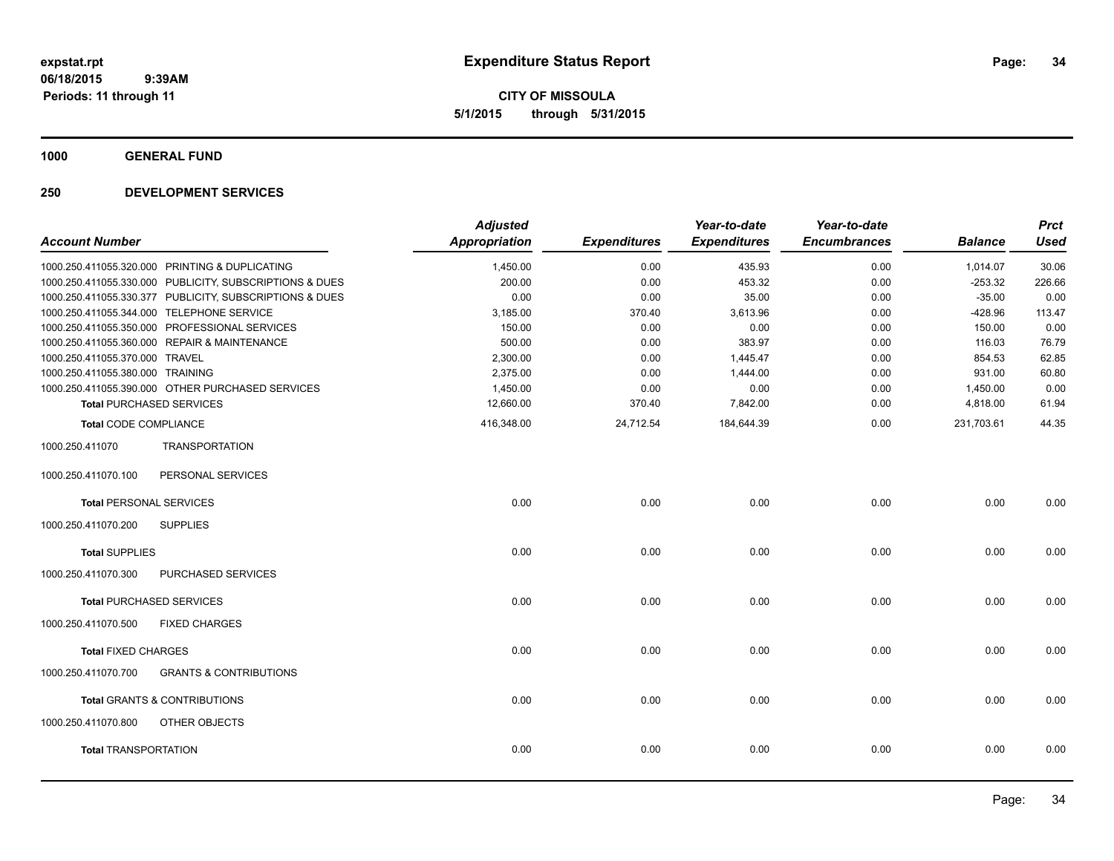**CITY OF MISSOULA 5/1/2015 through 5/31/2015**

**1000 GENERAL FUND**

| <b>Account Number</b>            |                                                         | <b>Adjusted</b><br><b>Appropriation</b> | <b>Expenditures</b> | Year-to-date<br><b>Expenditures</b> | Year-to-date<br><b>Encumbrances</b> | <b>Balance</b> | <b>Prct</b><br><b>Used</b> |
|----------------------------------|---------------------------------------------------------|-----------------------------------------|---------------------|-------------------------------------|-------------------------------------|----------------|----------------------------|
|                                  | 1000.250.411055.320.000 PRINTING & DUPLICATING          | 1,450.00                                | 0.00                | 435.93                              | 0.00                                | 1,014.07       | 30.06                      |
|                                  | 1000.250.411055.330.000 PUBLICITY, SUBSCRIPTIONS & DUES | 200.00                                  | 0.00                | 453.32                              | 0.00                                | $-253.32$      | 226.66                     |
|                                  | 1000.250.411055.330.377 PUBLICITY, SUBSCRIPTIONS & DUES | 0.00                                    | 0.00                | 35.00                               | 0.00                                | $-35.00$       | 0.00                       |
|                                  | 1000.250.411055.344.000 TELEPHONE SERVICE               | 3,185.00                                | 370.40              | 3,613.96                            | 0.00                                | $-428.96$      | 113.47                     |
|                                  | 1000.250.411055.350.000 PROFESSIONAL SERVICES           | 150.00                                  | 0.00                | 0.00                                | 0.00                                | 150.00         | 0.00                       |
|                                  | 1000.250.411055.360.000 REPAIR & MAINTENANCE            | 500.00                                  | 0.00                | 383.97                              | 0.00                                | 116.03         | 76.79                      |
| 1000.250.411055.370.000 TRAVEL   |                                                         | 2,300.00                                | 0.00                | 1,445.47                            | 0.00                                | 854.53         | 62.85                      |
| 1000.250.411055.380.000 TRAINING |                                                         | 2,375.00                                | 0.00                | 1,444.00                            | 0.00                                | 931.00         | 60.80                      |
|                                  | 1000.250.411055.390.000 OTHER PURCHASED SERVICES        | 1,450.00                                | 0.00                | 0.00                                | 0.00                                | 1,450.00       | 0.00                       |
|                                  | <b>Total PURCHASED SERVICES</b>                         | 12,660.00                               | 370.40              | 7,842.00                            | 0.00                                | 4,818.00       | 61.94                      |
| <b>Total CODE COMPLIANCE</b>     |                                                         | 416,348.00                              | 24,712.54           | 184,644.39                          | 0.00                                | 231,703.61     | 44.35                      |
| 1000.250.411070                  | <b>TRANSPORTATION</b>                                   |                                         |                     |                                     |                                     |                |                            |
| 1000.250.411070.100              | PERSONAL SERVICES                                       |                                         |                     |                                     |                                     |                |                            |
| <b>Total PERSONAL SERVICES</b>   |                                                         | 0.00                                    | 0.00                | 0.00                                | 0.00                                | 0.00           | 0.00                       |
| 1000.250.411070.200              | <b>SUPPLIES</b>                                         |                                         |                     |                                     |                                     |                |                            |
| <b>Total SUPPLIES</b>            |                                                         | 0.00                                    | 0.00                | 0.00                                | 0.00                                | 0.00           | 0.00                       |
| 1000.250.411070.300              | <b>PURCHASED SERVICES</b>                               |                                         |                     |                                     |                                     |                |                            |
|                                  | <b>Total PURCHASED SERVICES</b>                         | 0.00                                    | 0.00                | 0.00                                | 0.00                                | 0.00           | 0.00                       |
| 1000.250.411070.500              | <b>FIXED CHARGES</b>                                    |                                         |                     |                                     |                                     |                |                            |
| <b>Total FIXED CHARGES</b>       |                                                         | 0.00                                    | 0.00                | 0.00                                | 0.00                                | 0.00           | 0.00                       |
| 1000.250.411070.700              | <b>GRANTS &amp; CONTRIBUTIONS</b>                       |                                         |                     |                                     |                                     |                |                            |
|                                  | <b>Total GRANTS &amp; CONTRIBUTIONS</b>                 | 0.00                                    | 0.00                | 0.00                                | 0.00                                | 0.00           | 0.00                       |
| 1000.250.411070.800              | <b>OTHER OBJECTS</b>                                    |                                         |                     |                                     |                                     |                |                            |
| <b>Total TRANSPORTATION</b>      |                                                         | 0.00                                    | 0.00                | 0.00                                | 0.00                                | 0.00           | 0.00                       |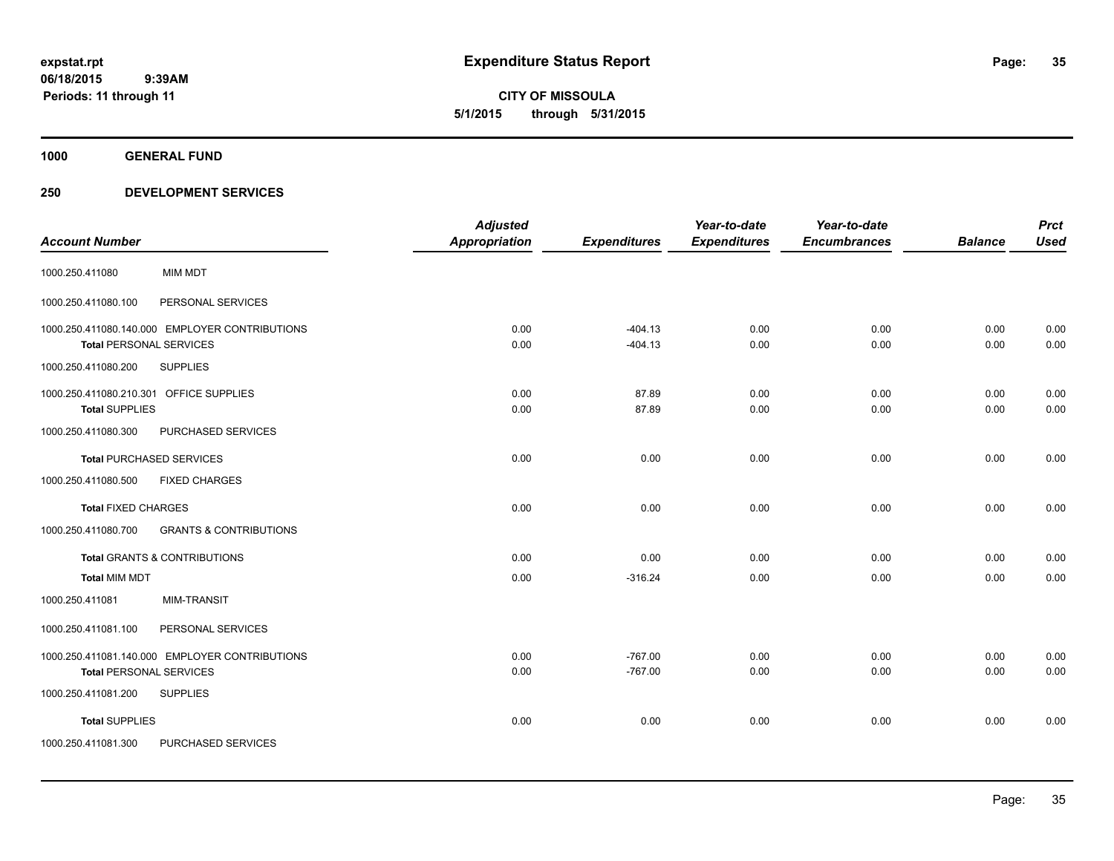**CITY OF MISSOULA 5/1/2015 through 5/31/2015**

**1000 GENERAL FUND**

| <b>Account Number</b>                                                                                                      | <b>Adjusted</b><br><b>Appropriation</b> | <b>Expenditures</b>    | Year-to-date<br><b>Expenditures</b> | Year-to-date<br><b>Encumbrances</b> | <b>Balance</b> | <b>Prct</b><br><b>Used</b> |
|----------------------------------------------------------------------------------------------------------------------------|-----------------------------------------|------------------------|-------------------------------------|-------------------------------------|----------------|----------------------------|
| <b>MIM MDT</b><br>1000.250.411080                                                                                          |                                         |                        |                                     |                                     |                |                            |
| PERSONAL SERVICES<br>1000.250.411080.100                                                                                   |                                         |                        |                                     |                                     |                |                            |
| 1000.250.411080.140.000 EMPLOYER CONTRIBUTIONS<br><b>Total PERSONAL SERVICES</b>                                           | 0.00<br>0.00                            | $-404.13$<br>$-404.13$ | 0.00<br>0.00                        | 0.00<br>0.00                        | 0.00<br>0.00   | 0.00<br>0.00               |
| 1000.250.411080.200<br><b>SUPPLIES</b>                                                                                     |                                         |                        |                                     |                                     |                |                            |
| 1000.250.411080.210.301 OFFICE SUPPLIES<br><b>Total SUPPLIES</b>                                                           | 0.00<br>0.00                            | 87.89<br>87.89         | 0.00<br>0.00                        | 0.00<br>0.00                        | 0.00<br>0.00   | 0.00<br>0.00               |
| 1000.250.411080.300<br>PURCHASED SERVICES                                                                                  |                                         |                        |                                     |                                     |                |                            |
| <b>Total PURCHASED SERVICES</b>                                                                                            | 0.00                                    | 0.00                   | 0.00                                | 0.00                                | 0.00           | 0.00                       |
| 1000.250.411080.500<br><b>FIXED CHARGES</b>                                                                                |                                         |                        |                                     |                                     |                |                            |
| <b>Total FIXED CHARGES</b>                                                                                                 | 0.00                                    | 0.00                   | 0.00                                | 0.00                                | 0.00           | 0.00                       |
| 1000.250.411080.700<br><b>GRANTS &amp; CONTRIBUTIONS</b>                                                                   |                                         |                        |                                     |                                     |                |                            |
| Total GRANTS & CONTRIBUTIONS                                                                                               | 0.00                                    | 0.00                   | 0.00                                | 0.00                                | 0.00           | 0.00                       |
| <b>Total MIM MDT</b>                                                                                                       | 0.00                                    | $-316.24$              | 0.00                                | 0.00                                | 0.00           | 0.00                       |
| <b>MIM-TRANSIT</b><br>1000.250.411081                                                                                      |                                         |                        |                                     |                                     |                |                            |
| PERSONAL SERVICES<br>1000.250.411081.100                                                                                   |                                         |                        |                                     |                                     |                |                            |
| 1000.250.411081.140.000 EMPLOYER CONTRIBUTIONS<br><b>Total PERSONAL SERVICES</b><br><b>SUPPLIES</b><br>1000.250.411081.200 | 0.00<br>0.00                            | $-767.00$<br>$-767.00$ | 0.00<br>0.00                        | 0.00<br>0.00                        | 0.00<br>0.00   | 0.00<br>0.00               |
| <b>Total SUPPLIES</b>                                                                                                      | 0.00                                    | 0.00                   | 0.00                                | 0.00                                | 0.00           | 0.00                       |
| PURCHASED SERVICES<br>1000.250.411081.300                                                                                  |                                         |                        |                                     |                                     |                |                            |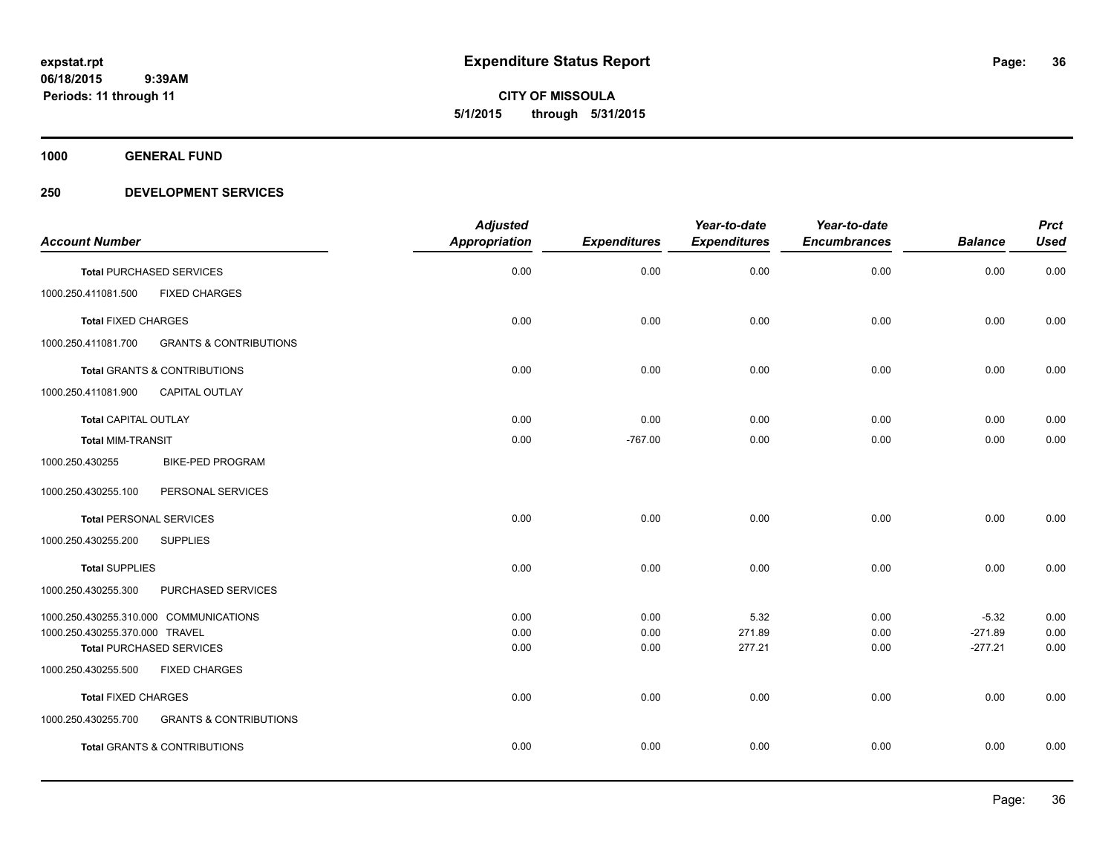**CITY OF MISSOULA 5/1/2015 through 5/31/2015**

**1000 GENERAL FUND**

|                                |                                         | <b>Adjusted</b>      |                     | Year-to-date        | Year-to-date        |                | <b>Prct</b> |
|--------------------------------|-----------------------------------------|----------------------|---------------------|---------------------|---------------------|----------------|-------------|
| <b>Account Number</b>          |                                         | <b>Appropriation</b> | <b>Expenditures</b> | <b>Expenditures</b> | <b>Encumbrances</b> | <b>Balance</b> | <b>Used</b> |
|                                | <b>Total PURCHASED SERVICES</b>         | 0.00                 | 0.00                | 0.00                | 0.00                | 0.00           | 0.00        |
| 1000.250.411081.500            | <b>FIXED CHARGES</b>                    |                      |                     |                     |                     |                |             |
| <b>Total FIXED CHARGES</b>     |                                         | 0.00                 | 0.00                | 0.00                | 0.00                | 0.00           | 0.00        |
| 1000.250.411081.700            | <b>GRANTS &amp; CONTRIBUTIONS</b>       |                      |                     |                     |                     |                |             |
|                                | Total GRANTS & CONTRIBUTIONS            | 0.00                 | 0.00                | 0.00                | 0.00                | 0.00           | 0.00        |
| 1000.250.411081.900            | CAPITAL OUTLAY                          |                      |                     |                     |                     |                |             |
| <b>Total CAPITAL OUTLAY</b>    |                                         | 0.00                 | 0.00                | 0.00                | 0.00                | 0.00           | 0.00        |
| <b>Total MIM-TRANSIT</b>       |                                         | 0.00                 | $-767.00$           | 0.00                | 0.00                | 0.00           | 0.00        |
| 1000.250.430255                | <b>BIKE-PED PROGRAM</b>                 |                      |                     |                     |                     |                |             |
| 1000.250.430255.100            | PERSONAL SERVICES                       |                      |                     |                     |                     |                |             |
| <b>Total PERSONAL SERVICES</b> |                                         | 0.00                 | 0.00                | 0.00                | 0.00                | 0.00           | 0.00        |
| 1000.250.430255.200            | <b>SUPPLIES</b>                         |                      |                     |                     |                     |                |             |
| <b>Total SUPPLIES</b>          |                                         | 0.00                 | 0.00                | 0.00                | 0.00                | 0.00           | $0.00\,$    |
| 1000.250.430255.300            | PURCHASED SERVICES                      |                      |                     |                     |                     |                |             |
|                                | 1000.250.430255.310.000 COMMUNICATIONS  | 0.00                 | 0.00                | 5.32                | 0.00                | $-5.32$        | 0.00        |
| 1000.250.430255.370.000 TRAVEL |                                         | 0.00                 | 0.00                | 271.89              | 0.00                | $-271.89$      | 0.00        |
|                                | <b>Total PURCHASED SERVICES</b>         | 0.00                 | 0.00                | 277.21              | 0.00                | $-277.21$      | 0.00        |
| 1000.250.430255.500            | <b>FIXED CHARGES</b>                    |                      |                     |                     |                     |                |             |
| <b>Total FIXED CHARGES</b>     |                                         | 0.00                 | 0.00                | 0.00                | 0.00                | 0.00           | 0.00        |
| 1000.250.430255.700            | <b>GRANTS &amp; CONTRIBUTIONS</b>       |                      |                     |                     |                     |                |             |
|                                | <b>Total GRANTS &amp; CONTRIBUTIONS</b> | 0.00                 | 0.00                | 0.00                | 0.00                | 0.00           | 0.00        |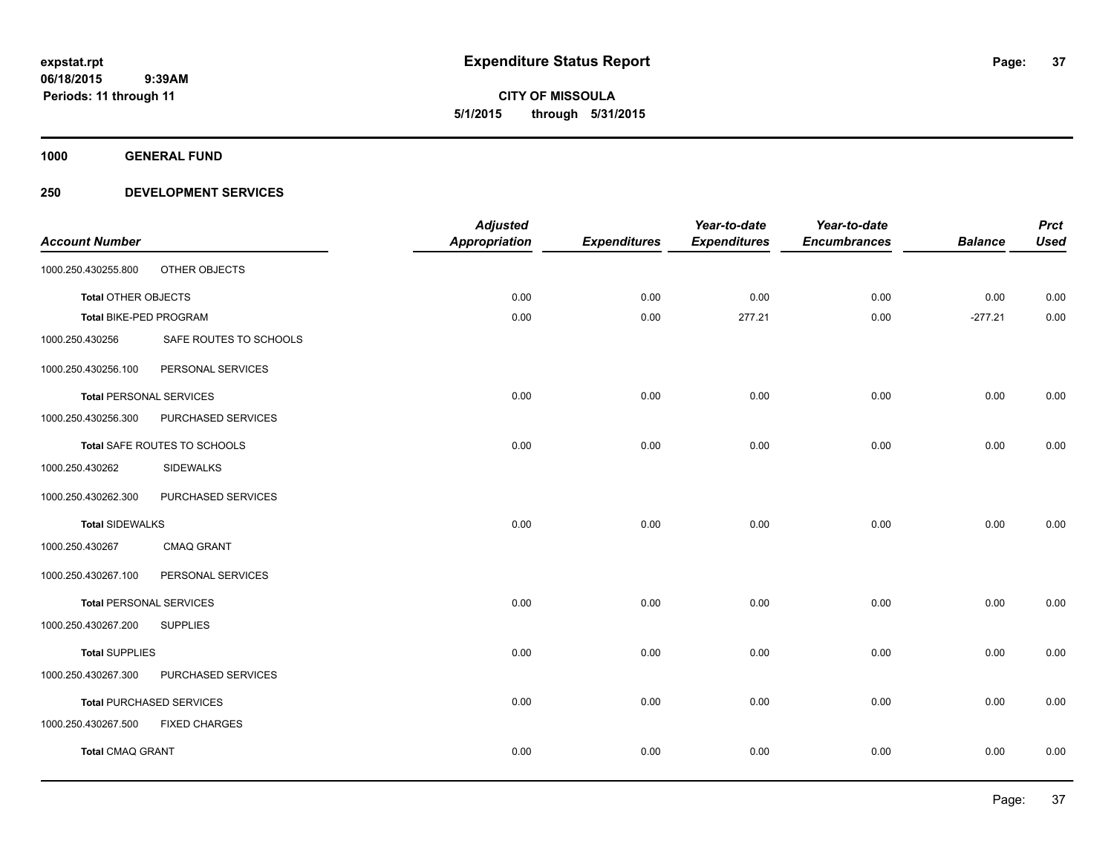**1000 GENERAL FUND**

### **250 DEVELOPMENT SERVICES**

|                                |                                 | <b>Adjusted</b>      |                     | Year-to-date        | Year-to-date        |                | <b>Prct</b> |
|--------------------------------|---------------------------------|----------------------|---------------------|---------------------|---------------------|----------------|-------------|
| <b>Account Number</b>          |                                 | <b>Appropriation</b> | <b>Expenditures</b> | <b>Expenditures</b> | <b>Encumbrances</b> | <b>Balance</b> | <b>Used</b> |
| 1000.250.430255.800            | OTHER OBJECTS                   |                      |                     |                     |                     |                |             |
| <b>Total OTHER OBJECTS</b>     |                                 | 0.00                 | 0.00                | 0.00                | 0.00                | 0.00           | 0.00        |
| Total BIKE-PED PROGRAM         |                                 | 0.00                 | 0.00                | 277.21              | 0.00                | $-277.21$      | 0.00        |
| 1000.250.430256                | SAFE ROUTES TO SCHOOLS          |                      |                     |                     |                     |                |             |
| 1000.250.430256.100            | PERSONAL SERVICES               |                      |                     |                     |                     |                |             |
| <b>Total PERSONAL SERVICES</b> |                                 | 0.00                 | 0.00                | 0.00                | 0.00                | 0.00           | 0.00        |
| 1000.250.430256.300            | PURCHASED SERVICES              |                      |                     |                     |                     |                |             |
|                                | Total SAFE ROUTES TO SCHOOLS    | 0.00                 | 0.00                | 0.00                | 0.00                | 0.00           | 0.00        |
| 1000.250.430262                | <b>SIDEWALKS</b>                |                      |                     |                     |                     |                |             |
| 1000.250.430262.300            | PURCHASED SERVICES              |                      |                     |                     |                     |                |             |
| <b>Total SIDEWALKS</b>         |                                 | 0.00                 | 0.00                | 0.00                | 0.00                | 0.00           | 0.00        |
| 1000.250.430267                | <b>CMAQ GRANT</b>               |                      |                     |                     |                     |                |             |
| 1000.250.430267.100            | PERSONAL SERVICES               |                      |                     |                     |                     |                |             |
| <b>Total PERSONAL SERVICES</b> |                                 | 0.00                 | 0.00                | 0.00                | 0.00                | 0.00           | 0.00        |
| 1000.250.430267.200            | <b>SUPPLIES</b>                 |                      |                     |                     |                     |                |             |
| <b>Total SUPPLIES</b>          |                                 | 0.00                 | 0.00                | 0.00                | 0.00                | 0.00           | 0.00        |
| 1000.250.430267.300            | PURCHASED SERVICES              |                      |                     |                     |                     |                |             |
|                                | <b>Total PURCHASED SERVICES</b> | 0.00                 | 0.00                | 0.00                | 0.00                | 0.00           | 0.00        |
| 1000.250.430267.500            | <b>FIXED CHARGES</b>            |                      |                     |                     |                     |                |             |
| <b>Total CMAQ GRANT</b>        |                                 | 0.00                 | 0.00                | 0.00                | 0.00                | 0.00           | 0.00        |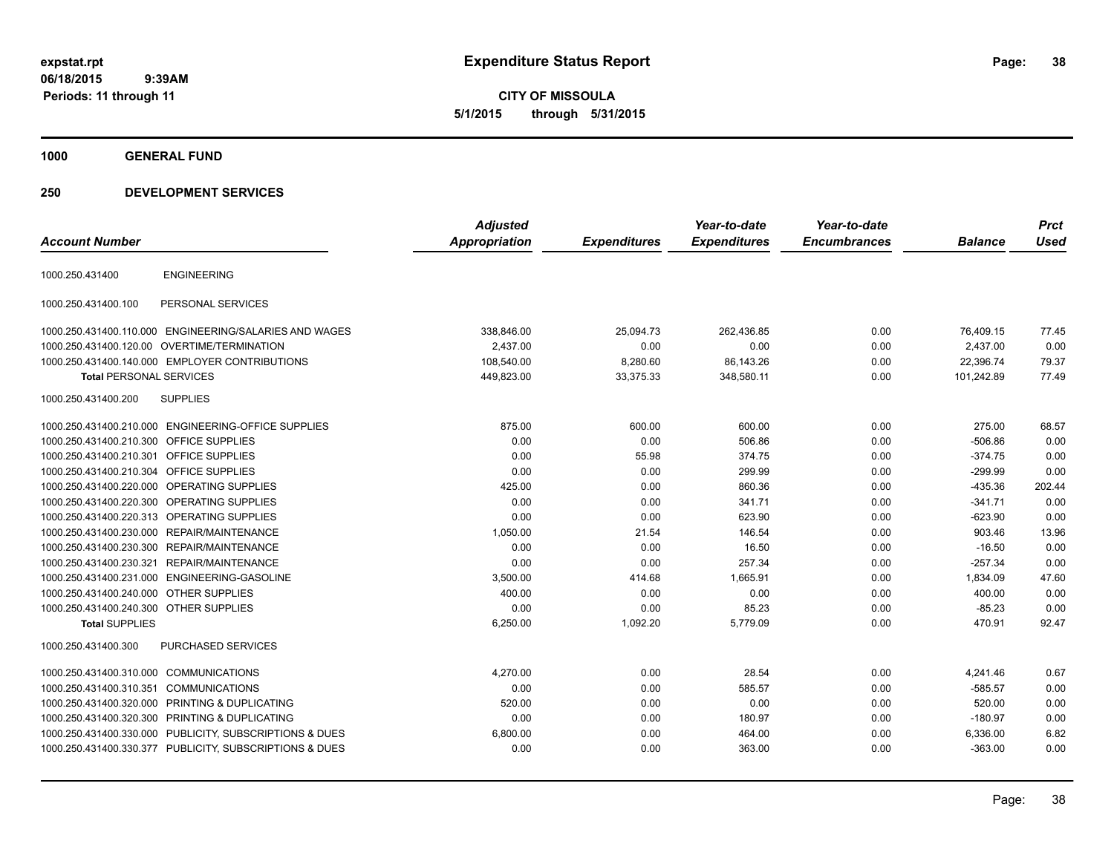**CITY OF MISSOULA 5/1/2015 through 5/31/2015**

**1000 GENERAL FUND**

### **250 DEVELOPMENT SERVICES**

| <b>Account Number</b>                  |                                                         | <b>Adjusted</b><br>Appropriation | <b>Expenditures</b> | Year-to-date<br><b>Expenditures</b> | Year-to-date<br><b>Encumbrances</b> | <b>Balance</b> | <b>Prct</b><br><b>Used</b> |
|----------------------------------------|---------------------------------------------------------|----------------------------------|---------------------|-------------------------------------|-------------------------------------|----------------|----------------------------|
|                                        |                                                         |                                  |                     |                                     |                                     |                |                            |
| 1000.250.431400                        | <b>ENGINEERING</b>                                      |                                  |                     |                                     |                                     |                |                            |
| 1000.250.431400.100                    | PERSONAL SERVICES                                       |                                  |                     |                                     |                                     |                |                            |
|                                        | 1000.250.431400.110.000 ENGINEERING/SALARIES AND WAGES  | 338,846.00                       | 25,094.73           | 262,436.85                          | 0.00                                | 76,409.15      | 77.45                      |
|                                        | 1000.250.431400.120.00 OVERTIME/TERMINATION             | 2,437.00                         | 0.00                | 0.00                                | 0.00                                | 2,437.00       | 0.00                       |
|                                        | 1000.250.431400.140.000 EMPLOYER CONTRIBUTIONS          | 108,540.00                       | 8,280.60            | 86,143.26                           | 0.00                                | 22,396.74      | 79.37                      |
| <b>Total PERSONAL SERVICES</b>         |                                                         | 449,823.00                       | 33,375.33           | 348,580.11                          | 0.00                                | 101,242.89     | 77.49                      |
| 1000.250.431400.200                    | <b>SUPPLIES</b>                                         |                                  |                     |                                     |                                     |                |                            |
|                                        | 1000.250.431400.210.000 ENGINEERING-OFFICE SUPPLIES     | 875.00                           | 600.00              | 600.00                              | 0.00                                | 275.00         | 68.57                      |
| 1000.250.431400.210.300                | <b>OFFICE SUPPLIES</b>                                  | 0.00                             | 0.00                | 506.86                              | 0.00                                | $-506.86$      | 0.00                       |
| 1000.250.431400.210.301                | <b>OFFICE SUPPLIES</b>                                  | 0.00                             | 55.98               | 374.75                              | 0.00                                | $-374.75$      | 0.00                       |
| 1000.250.431400.210.304                | <b>OFFICE SUPPLIES</b>                                  | 0.00                             | 0.00                | 299.99                              | 0.00                                | $-299.99$      | 0.00                       |
| 1000.250.431400.220.000                | OPERATING SUPPLIES                                      | 425.00                           | 0.00                | 860.36                              | 0.00                                | $-435.36$      | 202.44                     |
| 1000.250.431400.220.300                | <b>OPERATING SUPPLIES</b>                               | 0.00                             | 0.00                | 341.71                              | 0.00                                | $-341.71$      | 0.00                       |
|                                        | 1000.250.431400.220.313 OPERATING SUPPLIES              | 0.00                             | 0.00                | 623.90                              | 0.00                                | $-623.90$      | 0.00                       |
|                                        | 1000.250.431400.230.000 REPAIR/MAINTENANCE              | 1,050.00                         | 21.54               | 146.54                              | 0.00                                | 903.46         | 13.96                      |
|                                        | 1000.250.431400.230.300 REPAIR/MAINTENANCE              | 0.00                             | 0.00                | 16.50                               | 0.00                                | $-16.50$       | 0.00                       |
| 1000.250.431400.230.321                | REPAIR/MAINTENANCE                                      | 0.00                             | 0.00                | 257.34                              | 0.00                                | $-257.34$      | 0.00                       |
|                                        | 1000.250.431400.231.000 ENGINEERING-GASOLINE            | 3,500.00                         | 414.68              | 1,665.91                            | 0.00                                | 1,834.09       | 47.60                      |
| 1000.250.431400.240.000 OTHER SUPPLIES |                                                         | 400.00                           | 0.00                | 0.00                                | 0.00                                | 400.00         | 0.00                       |
| 1000.250.431400.240.300 OTHER SUPPLIES |                                                         | 0.00                             | 0.00                | 85.23                               | 0.00                                | $-85.23$       | 0.00                       |
| <b>Total SUPPLIES</b>                  |                                                         | 6,250.00                         | 1,092.20            | 5,779.09                            | 0.00                                | 470.91         | 92.47                      |
| 1000.250.431400.300                    | <b>PURCHASED SERVICES</b>                               |                                  |                     |                                     |                                     |                |                            |
| 1000.250.431400.310.000                | <b>COMMUNICATIONS</b>                                   | 4,270.00                         | 0.00                | 28.54                               | 0.00                                | 4,241.46       | 0.67                       |
| 1000.250.431400.310.351                | <b>COMMUNICATIONS</b>                                   | 0.00                             | 0.00                | 585.57                              | 0.00                                | $-585.57$      | 0.00                       |
| 1000.250.431400.320.000                | <b>PRINTING &amp; DUPLICATING</b>                       | 520.00                           | 0.00                | 0.00                                | 0.00                                | 520.00         | 0.00                       |
| 1000.250.431400.320.300                | PRINTING & DUPLICATING                                  | 0.00                             | 0.00                | 180.97                              | 0.00                                | $-180.97$      | 0.00                       |
| 1000.250.431400.330.000                | PUBLICITY, SUBSCRIPTIONS & DUES                         | 6,800.00                         | 0.00                | 464.00                              | 0.00                                | 6,336.00       | 6.82                       |
|                                        | 1000.250.431400.330.377 PUBLICITY, SUBSCRIPTIONS & DUES | 0.00                             | 0.00                | 363.00                              | 0.00                                | $-363.00$      | 0.00                       |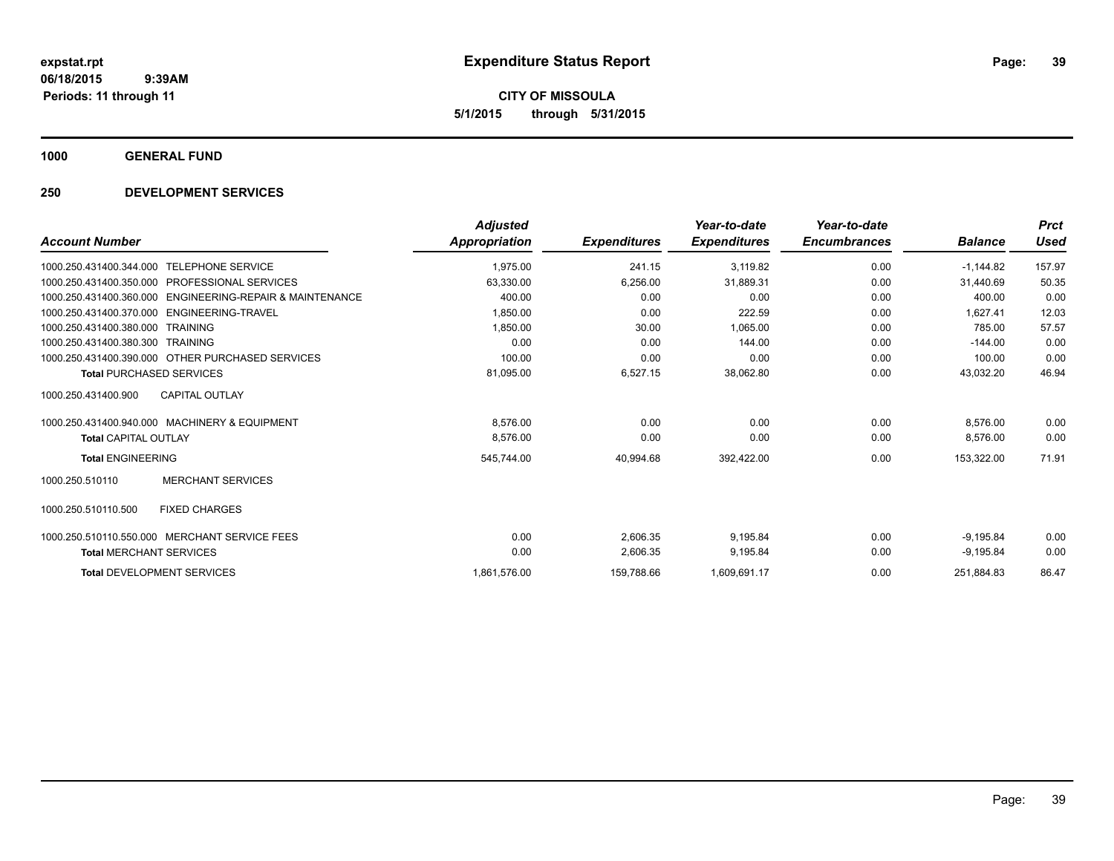**CITY OF MISSOULA 5/1/2015 through 5/31/2015**

**1000 GENERAL FUND**

### **250 DEVELOPMENT SERVICES**

|                                                             | <b>Adjusted</b> |                     | Year-to-date        | Year-to-date        |                | <b>Prct</b> |
|-------------------------------------------------------------|-----------------|---------------------|---------------------|---------------------|----------------|-------------|
| <b>Account Number</b>                                       | Appropriation   | <b>Expenditures</b> | <b>Expenditures</b> | <b>Encumbrances</b> | <b>Balance</b> | Used        |
| <b>TELEPHONE SERVICE</b><br>1000.250.431400.344.000         | 1,975.00        | 241.15              | 3,119.82            | 0.00                | $-1,144.82$    | 157.97      |
| 1000.250.431400.350.000<br><b>PROFESSIONAL SERVICES</b>     | 63,330.00       | 6,256.00            | 31,889.31           | 0.00                | 31,440.69      | 50.35       |
| ENGINEERING-REPAIR & MAINTENANCE<br>1000.250.431400.360.000 | 400.00          | 0.00                | 0.00                | 0.00                | 400.00         | 0.00        |
| ENGINEERING-TRAVEL<br>1000.250.431400.370.000               | 1,850.00        | 0.00                | 222.59              | 0.00                | 1.627.41       | 12.03       |
| 1000.250.431400.380.000<br><b>TRAINING</b>                  | 1,850.00        | 30.00               | 1.065.00            | 0.00                | 785.00         | 57.57       |
| 1000.250.431400.380.300<br><b>TRAINING</b>                  | 0.00            | 0.00                | 144.00              | 0.00                | $-144.00$      | 0.00        |
| 1000.250.431400.390.000 OTHER PURCHASED SERVICES            | 100.00          | 0.00                | 0.00                | 0.00                | 100.00         | 0.00        |
| <b>Total PURCHASED SERVICES</b>                             | 81,095.00       | 6,527.15            | 38,062.80           | 0.00                | 43,032.20      | 46.94       |
| CAPITAL OUTLAY<br>1000.250.431400.900                       |                 |                     |                     |                     |                |             |
| 1000.250.431400.940.000 MACHINERY & EQUIPMENT               | 8,576.00        | 0.00                | 0.00                | 0.00                | 8.576.00       | 0.00        |
| <b>Total CAPITAL OUTLAY</b>                                 | 8,576.00        | 0.00                | 0.00                | 0.00                | 8,576.00       | 0.00        |
| <b>Total ENGINEERING</b>                                    | 545,744.00      | 40,994.68           | 392,422.00          | 0.00                | 153,322.00     | 71.91       |
| <b>MERCHANT SERVICES</b><br>1000.250.510110                 |                 |                     |                     |                     |                |             |
| <b>FIXED CHARGES</b><br>1000.250.510110.500                 |                 |                     |                     |                     |                |             |
| 1000.250.510110.550.000 MERCHANT SERVICE FEES               | 0.00            | 2,606.35            | 9,195.84            | 0.00                | $-9,195.84$    | 0.00        |
| <b>Total MERCHANT SERVICES</b>                              | 0.00            | 2,606.35            | 9,195.84            | 0.00                | $-9,195.84$    | 0.00        |
| <b>Total DEVELOPMENT SERVICES</b>                           | 1,861,576.00    | 159,788.66          | 1,609,691.17        | 0.00                | 251,884.83     | 86.47       |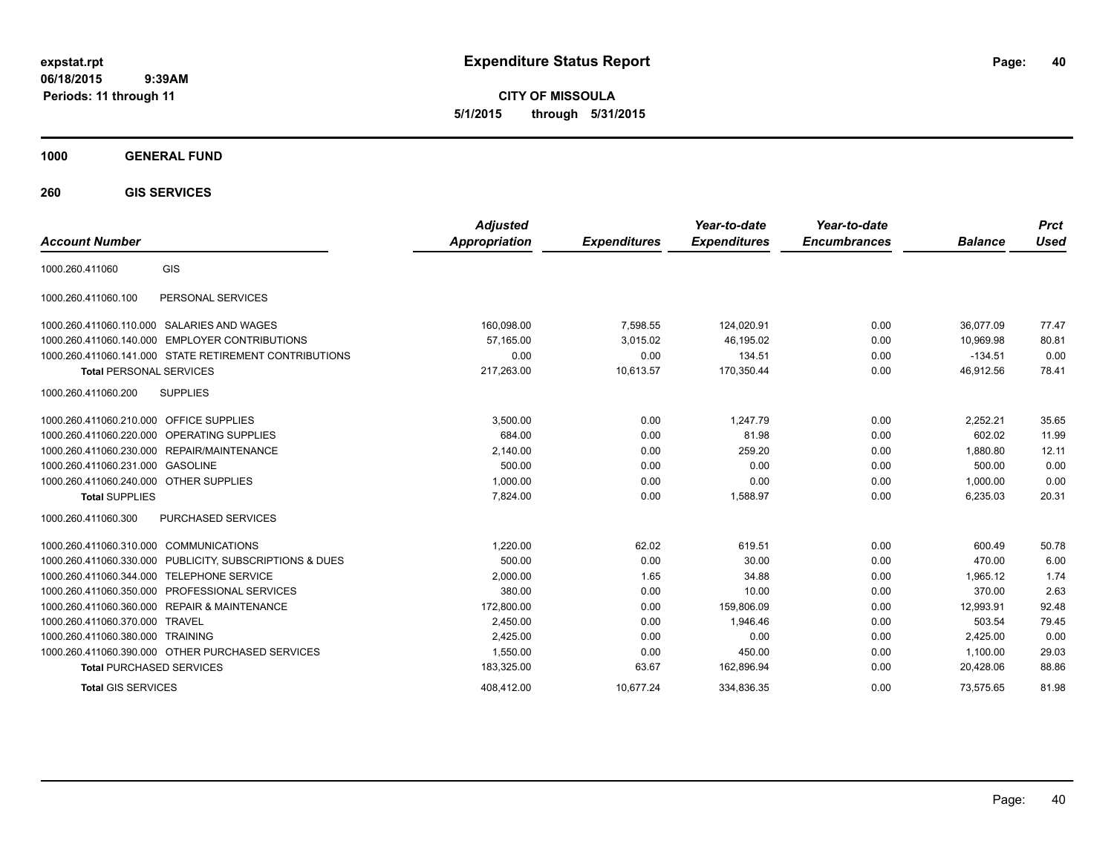**CITY OF MISSOULA 5/1/2015 through 5/31/2015**

### **1000 GENERAL FUND**

**260 GIS SERVICES**

| <b>Account Number</b>                      |                                                        | <b>Adjusted</b><br><b>Appropriation</b> | <b>Expenditures</b> | Year-to-date<br><b>Expenditures</b> | Year-to-date<br><b>Encumbrances</b> | <b>Balance</b> | <b>Prct</b><br>Used |
|--------------------------------------------|--------------------------------------------------------|-----------------------------------------|---------------------|-------------------------------------|-------------------------------------|----------------|---------------------|
| 1000.260.411060                            | GIS                                                    |                                         |                     |                                     |                                     |                |                     |
| 1000.260.411060.100                        | PERSONAL SERVICES                                      |                                         |                     |                                     |                                     |                |                     |
| 1000.260.411060.110.000                    | SALARIES AND WAGES                                     | 160,098.00                              | 7,598.55            | 124,020.91                          | 0.00                                | 36.077.09      | 77.47               |
| 1000.260.411060.140.000                    | <b>EMPLOYER CONTRIBUTIONS</b>                          | 57.165.00                               | 3.015.02            | 46,195.02                           | 0.00                                | 10.969.98      | 80.81               |
|                                            | 1000.260.411060.141.000 STATE RETIREMENT CONTRIBUTIONS | 0.00                                    | 0.00                | 134.51                              | 0.00                                | $-134.51$      | 0.00                |
| <b>Total PERSONAL SERVICES</b>             |                                                        | 217,263.00                              | 10,613.57           | 170,350.44                          | 0.00                                | 46,912.56      | 78.41               |
| 1000.260.411060.200                        | <b>SUPPLIES</b>                                        |                                         |                     |                                     |                                     |                |                     |
| 1000.260.411060.210.000 OFFICE SUPPLIES    |                                                        | 3,500.00                                | 0.00                | 1.247.79                            | 0.00                                | 2,252.21       | 35.65               |
| 1000.260.411060.220.000 OPERATING SUPPLIES |                                                        | 684.00                                  | 0.00                | 81.98                               | 0.00                                | 602.02         | 11.99               |
| 1000.260.411060.230.000                    | REPAIR/MAINTENANCE                                     | 2,140.00                                | 0.00                | 259.20                              | 0.00                                | 1,880.80       | 12.11               |
| 1000.260.411060.231.000                    | <b>GASOLINE</b>                                        | 500.00                                  | 0.00                | 0.00                                | 0.00                                | 500.00         | 0.00                |
| 1000.260.411060.240.000 OTHER SUPPLIES     |                                                        | 1,000.00                                | 0.00                | 0.00                                | 0.00                                | 1,000.00       | 0.00                |
| <b>Total SUPPLIES</b>                      |                                                        | 7,824.00                                | 0.00                | 1,588.97                            | 0.00                                | 6,235.03       | 20.31               |
| 1000.260.411060.300                        | PURCHASED SERVICES                                     |                                         |                     |                                     |                                     |                |                     |
| 1000.260.411060.310.000 COMMUNICATIONS     |                                                        | 1.220.00                                | 62.02               | 619.51                              | 0.00                                | 600.49         | 50.78               |
| 1000.260.411060.330.000                    | PUBLICITY, SUBSCRIPTIONS & DUES                        | 500.00                                  | 0.00                | 30.00                               | 0.00                                | 470.00         | 6.00                |
| 1000.260.411060.344.000                    | <b>TELEPHONE SERVICE</b>                               | 2,000.00                                | 1.65                | 34.88                               | 0.00                                | 1.965.12       | 1.74                |
| 1000.260.411060.350.000                    | PROFESSIONAL SERVICES                                  | 380.00                                  | 0.00                | 10.00                               | 0.00                                | 370.00         | 2.63                |
| 1000.260.411060.360.000                    | <b>REPAIR &amp; MAINTENANCE</b>                        | 172,800.00                              | 0.00                | 159,806.09                          | 0.00                                | 12,993.91      | 92.48               |
| 1000.260.411060.370.000                    | <b>TRAVEL</b>                                          | 2.450.00                                | 0.00                | 1.946.46                            | 0.00                                | 503.54         | 79.45               |
| 1000.260.411060.380.000                    | <b>TRAINING</b>                                        | 2,425.00                                | 0.00                | 0.00                                | 0.00                                | 2,425.00       | 0.00                |
|                                            | 1000.260.411060.390.000 OTHER PURCHASED SERVICES       | 1,550.00                                | 0.00                | 450.00                              | 0.00                                | 1,100.00       | 29.03               |
| <b>Total PURCHASED SERVICES</b>            |                                                        | 183,325.00                              | 63.67               | 162,896.94                          | 0.00                                | 20,428.06      | 88.86               |
| <b>Total GIS SERVICES</b>                  |                                                        | 408.412.00                              | 10.677.24           | 334.836.35                          | 0.00                                | 73.575.65      | 81.98               |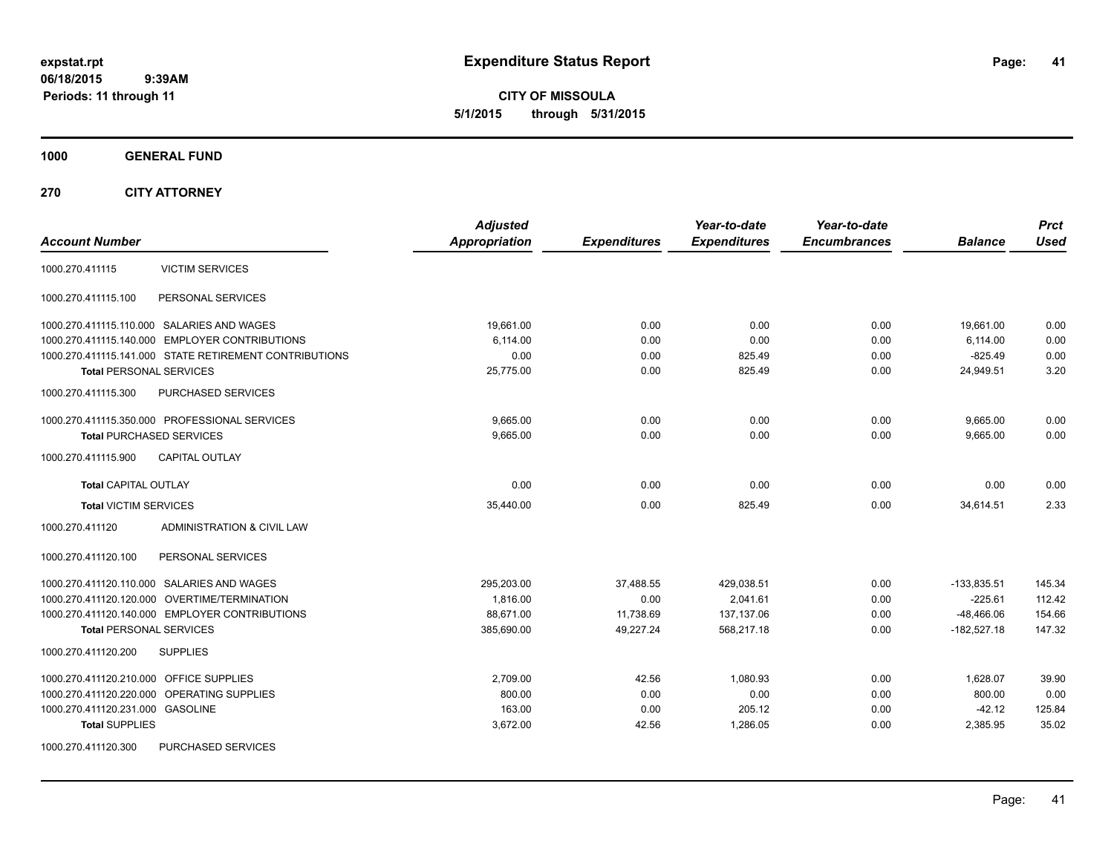**CITY OF MISSOULA 5/1/2015 through 5/31/2015**

**1000 GENERAL FUND**

**270 CITY ATTORNEY**

| <b>Account Number</b>                                  | <b>Adjusted</b><br><b>Appropriation</b> | <b>Expenditures</b> | Year-to-date<br><b>Expenditures</b> | Year-to-date<br><b>Encumbrances</b> | <b>Balance</b> | <b>Prct</b><br><b>Used</b> |
|--------------------------------------------------------|-----------------------------------------|---------------------|-------------------------------------|-------------------------------------|----------------|----------------------------|
| <b>VICTIM SERVICES</b><br>1000.270.411115              |                                         |                     |                                     |                                     |                |                            |
| 1000.270.411115.100<br>PERSONAL SERVICES               |                                         |                     |                                     |                                     |                |                            |
| 1000.270.411115.110.000 SALARIES AND WAGES             | 19,661.00                               | 0.00                | 0.00                                | 0.00                                | 19,661.00      | 0.00                       |
| 1000.270.411115.140.000 EMPLOYER CONTRIBUTIONS         | 6.114.00                                | 0.00                | 0.00                                | 0.00                                | 6,114.00       | 0.00                       |
| 1000.270.411115.141.000 STATE RETIREMENT CONTRIBUTIONS | 0.00                                    | 0.00                | 825.49                              | 0.00                                | $-825.49$      | 0.00                       |
| <b>Total PERSONAL SERVICES</b>                         | 25,775.00                               | 0.00                | 825.49                              | 0.00                                | 24,949.51      | 3.20                       |
| 1000.270.411115.300<br>PURCHASED SERVICES              |                                         |                     |                                     |                                     |                |                            |
| 1000.270.411115.350.000 PROFESSIONAL SERVICES          | 9.665.00                                | 0.00                | 0.00                                | 0.00                                | 9,665.00       | 0.00                       |
| <b>Total PURCHASED SERVICES</b>                        | 9,665.00                                | 0.00                | 0.00                                | 0.00                                | 9,665.00       | 0.00                       |
| 1000.270.411115.900<br><b>CAPITAL OUTLAY</b>           |                                         |                     |                                     |                                     |                |                            |
| <b>Total CAPITAL OUTLAY</b>                            | 0.00                                    | 0.00                | 0.00                                | 0.00                                | 0.00           | 0.00                       |
| <b>Total VICTIM SERVICES</b>                           | 35,440.00                               | 0.00                | 825.49                              | 0.00                                | 34,614.51      | 2.33                       |
| ADMINISTRATION & CIVIL LAW<br>1000.270.411120          |                                         |                     |                                     |                                     |                |                            |
| 1000.270.411120.100<br>PERSONAL SERVICES               |                                         |                     |                                     |                                     |                |                            |
| 1000.270.411120.110.000 SALARIES AND WAGES             | 295,203.00                              | 37,488.55           | 429,038.51                          | 0.00                                | $-133,835.51$  | 145.34                     |
| 1000.270.411120.120.000 OVERTIME/TERMINATION           | 1,816.00                                | 0.00                | 2,041.61                            | 0.00                                | $-225.61$      | 112.42                     |
| 1000.270.411120.140.000 EMPLOYER CONTRIBUTIONS         | 88,671.00                               | 11,738.69           | 137,137.06                          | 0.00                                | $-48,466.06$   | 154.66                     |
| <b>Total PERSONAL SERVICES</b>                         | 385,690.00                              | 49,227.24           | 568,217.18                          | 0.00                                | $-182,527.18$  | 147.32                     |
| 1000.270.411120.200<br><b>SUPPLIES</b>                 |                                         |                     |                                     |                                     |                |                            |
| 1000.270.411120.210.000<br><b>OFFICE SUPPLIES</b>      | 2,709.00                                | 42.56               | 1,080.93                            | 0.00                                | 1,628.07       | 39.90                      |
| OPERATING SUPPLIES<br>1000.270.411120.220.000          | 800.00                                  | 0.00                | 0.00                                | 0.00                                | 800.00         | 0.00                       |
| 1000.270.411120.231.000 GASOLINE                       | 163.00                                  | 0.00                | 205.12                              | 0.00                                | $-42.12$       | 125.84                     |
| <b>Total SUPPLIES</b>                                  | 3,672.00                                | 42.56               | 1.286.05                            | 0.00                                | 2,385.95       | 35.02                      |
| 1000.270.411120.300<br>PURCHASED SERVICES              |                                         |                     |                                     |                                     |                |                            |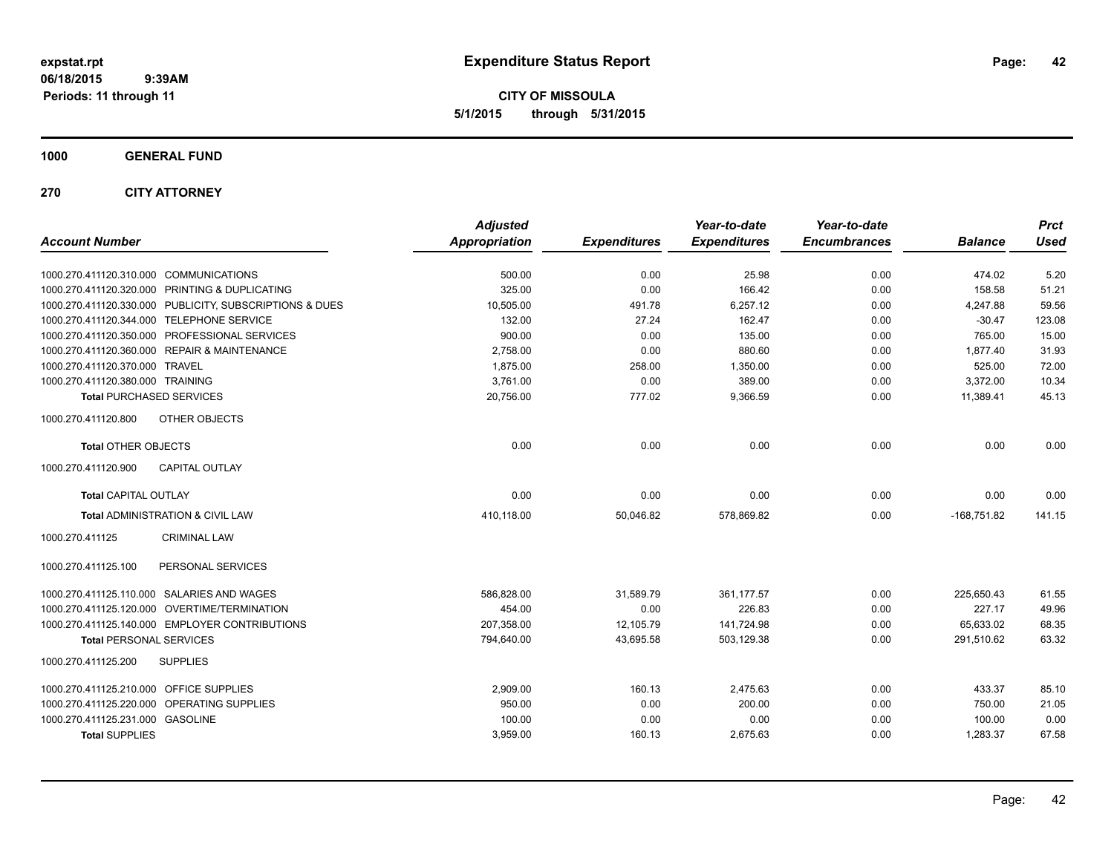**CITY OF MISSOULA 5/1/2015 through 5/31/2015**

### **1000 GENERAL FUND**

### **270 CITY ATTORNEY**

| <b>Account Number</b>                                   | <b>Adjusted</b><br><b>Appropriation</b> | <b>Expenditures</b> | Year-to-date<br><b>Expenditures</b> | Year-to-date<br><b>Encumbrances</b> | <b>Balance</b> | <b>Prct</b><br><b>Used</b> |
|---------------------------------------------------------|-----------------------------------------|---------------------|-------------------------------------|-------------------------------------|----------------|----------------------------|
|                                                         |                                         |                     |                                     |                                     |                |                            |
| 1000.270.411120.310.000 COMMUNICATIONS                  | 500.00                                  | 0.00                | 25.98                               | 0.00                                | 474.02         | 5.20                       |
| 1000.270.411120.320.000 PRINTING & DUPLICATING          | 325.00                                  | 0.00                | 166.42                              | 0.00                                | 158.58         | 51.21                      |
| 1000.270.411120.330.000 PUBLICITY, SUBSCRIPTIONS & DUES | 10,505.00                               | 491.78              | 6,257.12                            | 0.00                                | 4,247.88       | 59.56                      |
| 1000.270.411120.344.000 TELEPHONE SERVICE               | 132.00                                  | 27.24               | 162.47                              | 0.00                                | $-30.47$       | 123.08                     |
| 1000.270.411120.350.000 PROFESSIONAL SERVICES           | 900.00                                  | 0.00                | 135.00                              | 0.00                                | 765.00         | 15.00                      |
| 1000.270.411120.360.000 REPAIR & MAINTENANCE            | 2,758.00                                | 0.00                | 880.60                              | 0.00                                | 1.877.40       | 31.93                      |
| 1000.270.411120.370.000 TRAVEL                          | 1,875.00                                | 258.00              | 1,350.00                            | 0.00                                | 525.00         | 72.00                      |
| 1000.270.411120.380.000 TRAINING                        | 3,761.00                                | 0.00                | 389.00                              | 0.00                                | 3,372.00       | 10.34                      |
| <b>Total PURCHASED SERVICES</b>                         | 20,756.00                               | 777.02              | 9,366.59                            | 0.00                                | 11,389.41      | 45.13                      |
| 1000.270.411120.800<br>OTHER OBJECTS                    |                                         |                     |                                     |                                     |                |                            |
| <b>Total OTHER OBJECTS</b>                              | 0.00                                    | 0.00                | 0.00                                | 0.00                                | 0.00           | 0.00                       |
| 1000.270.411120.900<br><b>CAPITAL OUTLAY</b>            |                                         |                     |                                     |                                     |                |                            |
| <b>Total CAPITAL OUTLAY</b>                             | 0.00                                    | 0.00                | 0.00                                | 0.00                                | 0.00           | 0.00                       |
| Total ADMINISTRATION & CIVIL LAW                        | 410,118.00                              | 50,046.82           | 578,869.82                          | 0.00                                | $-168,751.82$  | 141.15                     |
| 1000.270.411125<br><b>CRIMINAL LAW</b>                  |                                         |                     |                                     |                                     |                |                            |
| PERSONAL SERVICES<br>1000.270.411125.100                |                                         |                     |                                     |                                     |                |                            |
| 1000.270.411125.110.000 SALARIES AND WAGES              | 586,828.00                              | 31.589.79           | 361.177.57                          | 0.00                                | 225,650.43     | 61.55                      |
| 1000.270.411125.120.000 OVERTIME/TERMINATION            | 454.00                                  | 0.00                | 226.83                              | 0.00                                | 227.17         | 49.96                      |
| 1000.270.411125.140.000 EMPLOYER CONTRIBUTIONS          | 207,358.00                              | 12,105.79           | 141,724.98                          | 0.00                                | 65,633.02      | 68.35                      |
| <b>Total PERSONAL SERVICES</b>                          | 794,640.00                              | 43,695.58           | 503,129.38                          | 0.00                                | 291,510.62     | 63.32                      |
| 1000.270.411125.200<br><b>SUPPLIES</b>                  |                                         |                     |                                     |                                     |                |                            |
| 1000.270.411125.210.000 OFFICE SUPPLIES                 | 2,909.00                                | 160.13              | 2,475.63                            | 0.00                                | 433.37         | 85.10                      |
| 1000.270.411125.220.000 OPERATING SUPPLIES              | 950.00                                  | 0.00                | 200.00                              | 0.00                                | 750.00         | 21.05                      |
| 1000.270.411125.231.000 GASOLINE                        | 100.00                                  | 0.00                | 0.00                                | 0.00                                | 100.00         | 0.00                       |
| <b>Total SUPPLIES</b>                                   | 3,959.00                                | 160.13              | 2,675.63                            | 0.00                                | 1,283.37       | 67.58                      |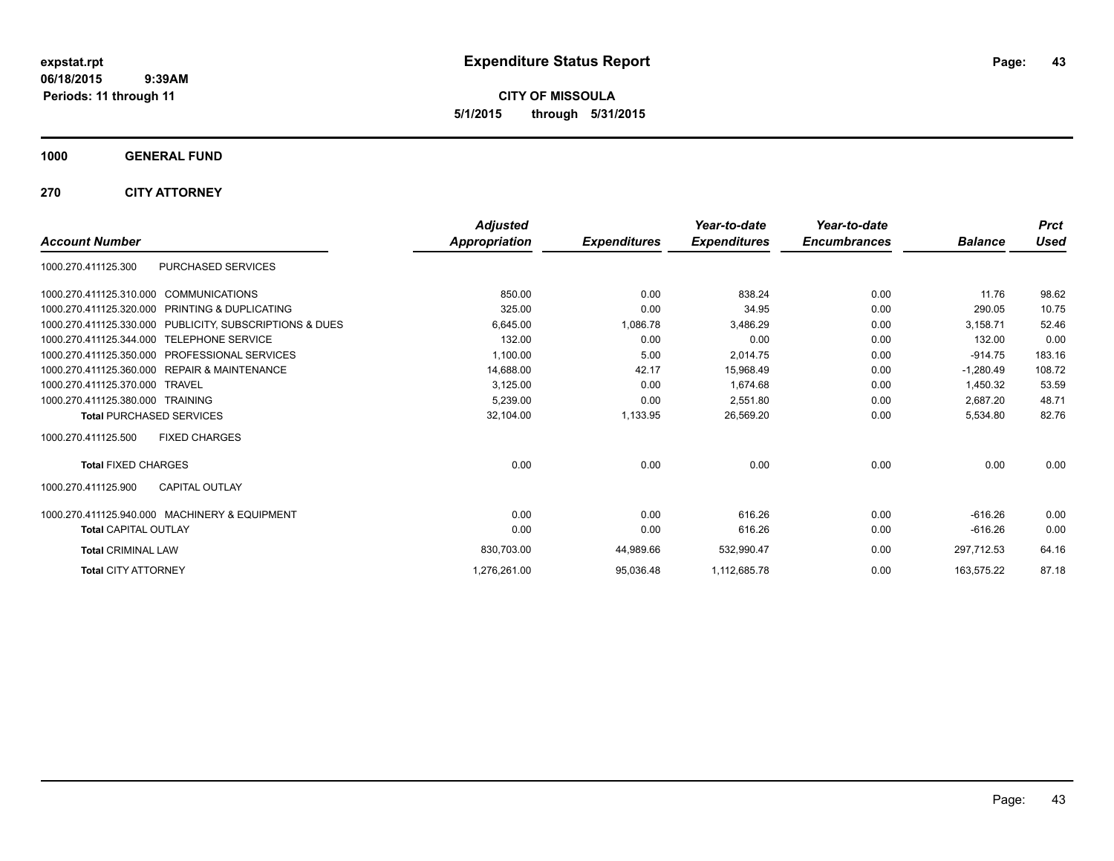**CITY OF MISSOULA 5/1/2015 through 5/31/2015**

### **1000 GENERAL FUND**

### **270 CITY ATTORNEY**

|                                                              | <b>Adjusted</b> |                     | Year-to-date        | Year-to-date        |                | <b>Prct</b> |
|--------------------------------------------------------------|-----------------|---------------------|---------------------|---------------------|----------------|-------------|
| <b>Account Number</b>                                        | Appropriation   | <b>Expenditures</b> | <b>Expenditures</b> | <b>Encumbrances</b> | <b>Balance</b> | <b>Used</b> |
| PURCHASED SERVICES<br>1000.270.411125.300                    |                 |                     |                     |                     |                |             |
| 1000.270.411125.310.000 COMMUNICATIONS                       | 850.00          | 0.00                | 838.24              | 0.00                | 11.76          | 98.62       |
| 1000.270.411125.320.000<br><b>PRINTING &amp; DUPLICATING</b> | 325.00          | 0.00                | 34.95               | 0.00                | 290.05         | 10.75       |
| 1000.270.411125.330.000 PUBLICITY, SUBSCRIPTIONS & DUES      | 6.645.00        | 1,086.78            | 3,486.29            | 0.00                | 3.158.71       | 52.46       |
| 1000.270.411125.344.000 TELEPHONE SERVICE                    | 132.00          | 0.00                | 0.00                | 0.00                | 132.00         | 0.00        |
| <b>PROFESSIONAL SERVICES</b><br>1000.270.411125.350.000      | 1,100.00        | 5.00                | 2,014.75            | 0.00                | $-914.75$      | 183.16      |
| <b>REPAIR &amp; MAINTENANCE</b><br>1000.270.411125.360.000   | 14,688.00       | 42.17               | 15,968.49           | 0.00                | $-1,280.49$    | 108.72      |
| 1000.270.411125.370.000<br><b>TRAVEL</b>                     | 3,125.00        | 0.00                | 1,674.68            | 0.00                | 1,450.32       | 53.59       |
| 1000.270.411125.380.000 TRAINING                             | 5,239.00        | 0.00                | 2,551.80            | 0.00                | 2,687.20       | 48.71       |
| <b>Total PURCHASED SERVICES</b>                              | 32,104.00       | 1,133.95            | 26,569.20           | 0.00                | 5,534.80       | 82.76       |
| <b>FIXED CHARGES</b><br>1000.270.411125.500                  |                 |                     |                     |                     |                |             |
| <b>Total FIXED CHARGES</b>                                   | 0.00            | 0.00                | 0.00                | 0.00                | 0.00           | 0.00        |
| <b>CAPITAL OUTLAY</b><br>1000.270.411125.900                 |                 |                     |                     |                     |                |             |
| 1000.270.411125.940.000 MACHINERY & EQUIPMENT                | 0.00            | 0.00                | 616.26              | 0.00                | $-616.26$      | 0.00        |
| <b>Total CAPITAL OUTLAY</b>                                  | 0.00            | 0.00                | 616.26              | 0.00                | $-616.26$      | 0.00        |
| <b>Total CRIMINAL LAW</b>                                    | 830,703.00      | 44,989.66           | 532,990.47          | 0.00                | 297,712.53     | 64.16       |
| <b>Total CITY ATTORNEY</b>                                   | 1,276,261.00    | 95,036.48           | 1,112,685.78        | 0.00                | 163.575.22     | 87.18       |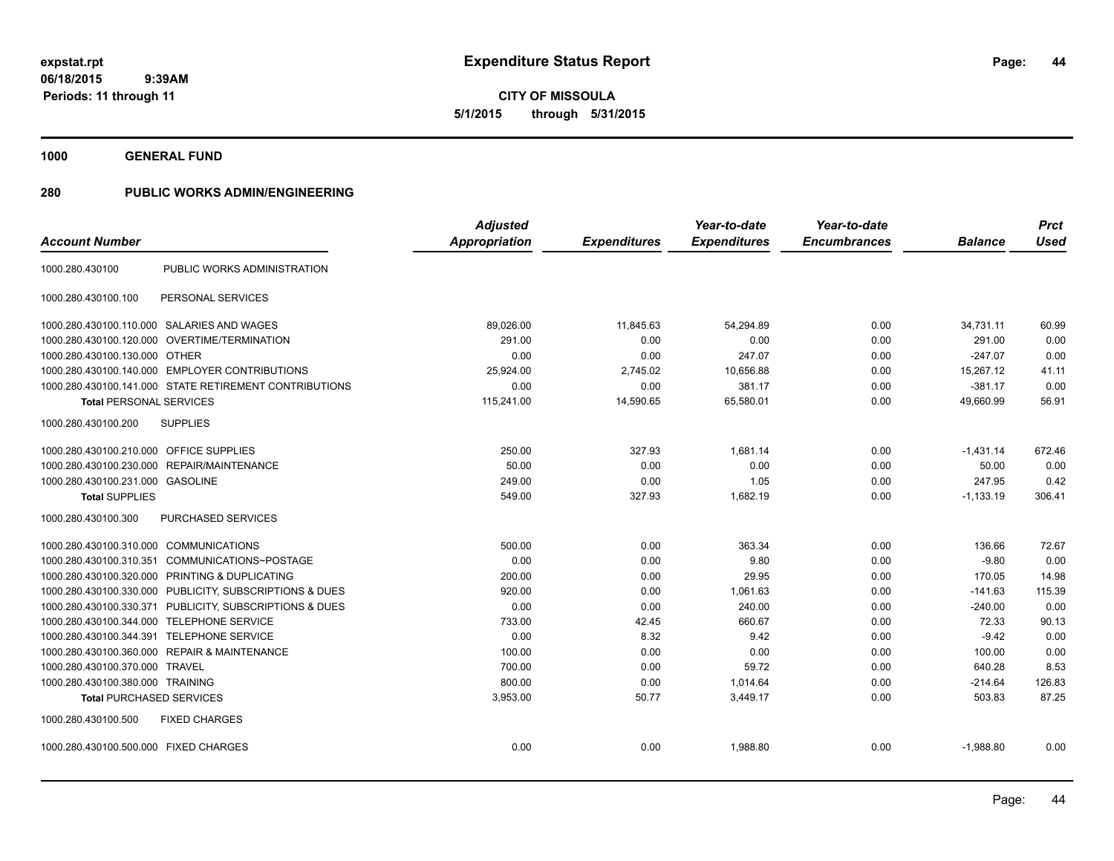**44**

**06/18/2015 9:39AM Periods: 11 through 11**

**CITY OF MISSOULA 5/1/2015 through 5/31/2015**

**1000 GENERAL FUND**

| <b>Account Number</b>                                   | <b>Adjusted</b><br><b>Appropriation</b> | <b>Expenditures</b> | Year-to-date<br><b>Expenditures</b> | Year-to-date<br><b>Encumbrances</b> | <b>Balance</b> | <b>Prct</b><br><b>Used</b> |
|---------------------------------------------------------|-----------------------------------------|---------------------|-------------------------------------|-------------------------------------|----------------|----------------------------|
| PUBLIC WORKS ADMINISTRATION<br>1000.280.430100          |                                         |                     |                                     |                                     |                |                            |
| PERSONAL SERVICES<br>1000.280.430100.100                |                                         |                     |                                     |                                     |                |                            |
| 1000.280.430100.110.000 SALARIES AND WAGES              | 89,026.00                               | 11,845.63           | 54,294.89                           | 0.00                                | 34,731.11      | 60.99                      |
| OVERTIME/TERMINATION<br>1000.280.430100.120.000         | 291.00                                  | 0.00                | 0.00                                | 0.00                                | 291.00         | 0.00                       |
| 1000.280.430100.130.000 OTHER                           | 0.00                                    | 0.00                | 247.07                              | 0.00                                | $-247.07$      | 0.00                       |
| 1000.280.430100.140.000 EMPLOYER CONTRIBUTIONS          | 25,924.00                               | 2,745.02            | 10,656.88                           | 0.00                                | 15,267.12      | 41.11                      |
| 1000.280.430100.141.000 STATE RETIREMENT CONTRIBUTIONS  | 0.00                                    | 0.00                | 381.17                              | 0.00                                | $-381.17$      | 0.00                       |
| <b>Total PERSONAL SERVICES</b>                          | 115,241.00                              | 14,590.65           | 65,580.01                           | 0.00                                | 49,660.99      | 56.91                      |
| <b>SUPPLIES</b><br>1000.280.430100.200                  |                                         |                     |                                     |                                     |                |                            |
| 1000.280.430100.210.000 OFFICE SUPPLIES                 | 250.00                                  | 327.93              | 1,681.14                            | 0.00                                | $-1.431.14$    | 672.46                     |
| REPAIR/MAINTENANCE<br>1000.280.430100.230.000           | 50.00                                   | 0.00                | 0.00                                | 0.00                                | 50.00          | 0.00                       |
| 1000.280.430100.231.000 GASOLINE                        | 249.00                                  | 0.00                | 1.05                                | 0.00                                | 247.95         | 0.42                       |
| <b>Total SUPPLIES</b>                                   | 549.00                                  | 327.93              | 1,682.19                            | 0.00                                | $-1,133.19$    | 306.41                     |
| 1000.280.430100.300<br><b>PURCHASED SERVICES</b>        |                                         |                     |                                     |                                     |                |                            |
| 1000.280.430100.310.000 COMMUNICATIONS                  | 500.00                                  | 0.00                | 363.34                              | 0.00                                | 136.66         | 72.67                      |
| 1000.280.430100.310.351 COMMUNICATIONS~POSTAGE          | 0.00                                    | 0.00                | 9.80                                | 0.00                                | $-9.80$        | 0.00                       |
| 1000.280.430100.320.000 PRINTING & DUPLICATING          | 200.00                                  | 0.00                | 29.95                               | 0.00                                | 170.05         | 14.98                      |
| 1000.280.430100.330.000 PUBLICITY, SUBSCRIPTIONS & DUES | 920.00                                  | 0.00                | 1,061.63                            | 0.00                                | $-141.63$      | 115.39                     |
| 1000.280.430100.330.371 PUBLICITY, SUBSCRIPTIONS & DUES | 0.00                                    | 0.00                | 240.00                              | 0.00                                | $-240.00$      | 0.00                       |
| 1000.280.430100.344.000 TELEPHONE SERVICE               | 733.00                                  | 42.45               | 660.67                              | 0.00                                | 72.33          | 90.13                      |
| 1000.280.430100.344.391 TELEPHONE SERVICE               | 0.00                                    | 8.32                | 9.42                                | 0.00                                | $-9.42$        | 0.00                       |
| 1000.280.430100.360.000 REPAIR & MAINTENANCE            | 100.00                                  | 0.00                | 0.00                                | 0.00                                | 100.00         | 0.00                       |
| 1000.280.430100.370.000<br><b>TRAVEL</b>                | 700.00                                  | 0.00                | 59.72                               | 0.00                                | 640.28         | 8.53                       |
| 1000.280.430100.380.000 TRAINING                        | 800.00                                  | 0.00                | 1,014.64                            | 0.00                                | $-214.64$      | 126.83                     |
| <b>Total PURCHASED SERVICES</b>                         | 3,953.00                                | 50.77               | 3,449.17                            | 0.00                                | 503.83         | 87.25                      |
| 1000.280.430100.500<br><b>FIXED CHARGES</b>             |                                         |                     |                                     |                                     |                |                            |
| 1000.280.430100.500.000 FIXED CHARGES                   | 0.00                                    | 0.00                | 1.988.80                            | 0.00                                | $-1.988.80$    | 0.00                       |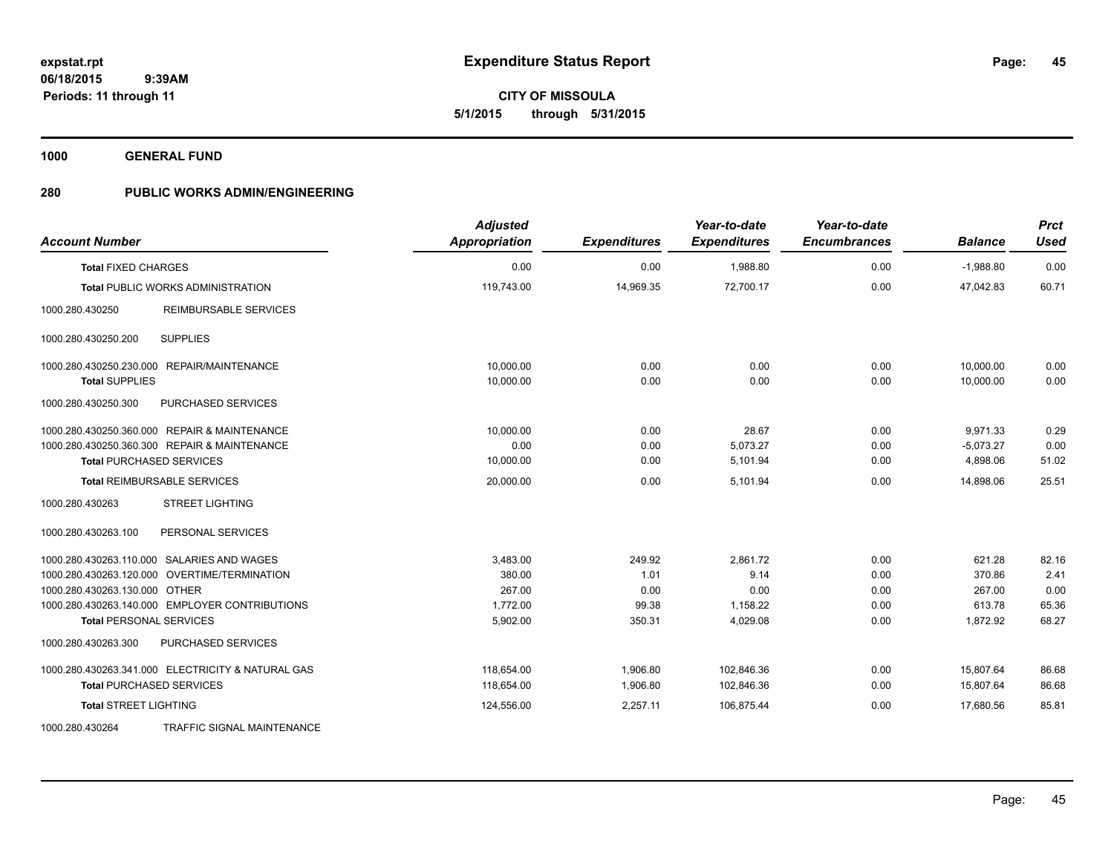**1000 GENERAL FUND**

| <b>Account Number</b>                             | <b>Adjusted</b><br>Appropriation | <b>Expenditures</b> | Year-to-date<br><b>Expenditures</b> | Year-to-date<br><b>Encumbrances</b> | <b>Balance</b> | <b>Prct</b><br><b>Used</b> |
|---------------------------------------------------|----------------------------------|---------------------|-------------------------------------|-------------------------------------|----------------|----------------------------|
| <b>Total FIXED CHARGES</b>                        | 0.00                             | 0.00                | 1,988.80                            | 0.00                                | $-1,988.80$    | 0.00                       |
| <b>Total PUBLIC WORKS ADMINISTRATION</b>          | 119,743.00                       | 14,969.35           | 72,700.17                           | 0.00                                | 47,042.83      | 60.71                      |
| 1000.280.430250<br><b>REIMBURSABLE SERVICES</b>   |                                  |                     |                                     |                                     |                |                            |
| <b>SUPPLIES</b><br>1000.280.430250.200            |                                  |                     |                                     |                                     |                |                            |
| 1000.280.430250.230.000 REPAIR/MAINTENANCE        | 10,000.00                        | 0.00                | 0.00                                | 0.00                                | 10,000.00      | 0.00                       |
| <b>Total SUPPLIES</b>                             | 10,000.00                        | 0.00                | 0.00                                | 0.00                                | 10.000.00      | 0.00                       |
| PURCHASED SERVICES<br>1000.280.430250.300         |                                  |                     |                                     |                                     |                |                            |
| 1000.280.430250.360.000 REPAIR & MAINTENANCE      | 10.000.00                        | 0.00                | 28.67                               | 0.00                                | 9,971.33       | 0.29                       |
| 1000.280.430250.360.300 REPAIR & MAINTENANCE      | 0.00                             | 0.00                | 5,073.27                            | 0.00                                | $-5,073.27$    | 0.00                       |
| <b>Total PURCHASED SERVICES</b>                   | 10,000.00                        | 0.00                | 5,101.94                            | 0.00                                | 4,898.06       | 51.02                      |
| <b>Total REIMBURSABLE SERVICES</b>                | 20,000.00                        | 0.00                | 5,101.94                            | 0.00                                | 14,898.06      | 25.51                      |
| 1000.280.430263<br><b>STREET LIGHTING</b>         |                                  |                     |                                     |                                     |                |                            |
| PERSONAL SERVICES<br>1000.280.430263.100          |                                  |                     |                                     |                                     |                |                            |
| 1000.280.430263.110.000 SALARIES AND WAGES        | 3,483.00                         | 249.92              | 2,861.72                            | 0.00                                | 621.28         | 82.16                      |
| 1000.280.430263.120.000 OVERTIME/TERMINATION      | 380.00                           | 1.01                | 9.14                                | 0.00                                | 370.86         | 2.41                       |
| 1000.280.430263.130.000 OTHER                     | 267.00                           | 0.00                | 0.00                                | 0.00                                | 267.00         | 0.00                       |
| 1000.280.430263.140.000 EMPLOYER CONTRIBUTIONS    | 1,772.00                         | 99.38               | 1,158.22                            | 0.00                                | 613.78         | 65.36                      |
| <b>Total PERSONAL SERVICES</b>                    | 5,902.00                         | 350.31              | 4,029.08                            | 0.00                                | 1,872.92       | 68.27                      |
| 1000.280.430263.300<br>PURCHASED SERVICES         |                                  |                     |                                     |                                     |                |                            |
| 1000.280.430263.341.000 ELECTRICITY & NATURAL GAS | 118,654.00                       | 1,906.80            | 102,846.36                          | 0.00                                | 15,807.64      | 86.68                      |
| <b>Total PURCHASED SERVICES</b>                   | 118,654.00                       | 1,906.80            | 102,846.36                          | 0.00                                | 15,807.64      | 86.68                      |
| <b>Total STREET LIGHTING</b>                      | 124,556.00                       | 2,257.11            | 106,875.44                          | 0.00                                | 17,680.56      | 85.81                      |
| 1000.280.430264<br>TRAFFIC SIGNAL MAINTENANCE     |                                  |                     |                                     |                                     |                |                            |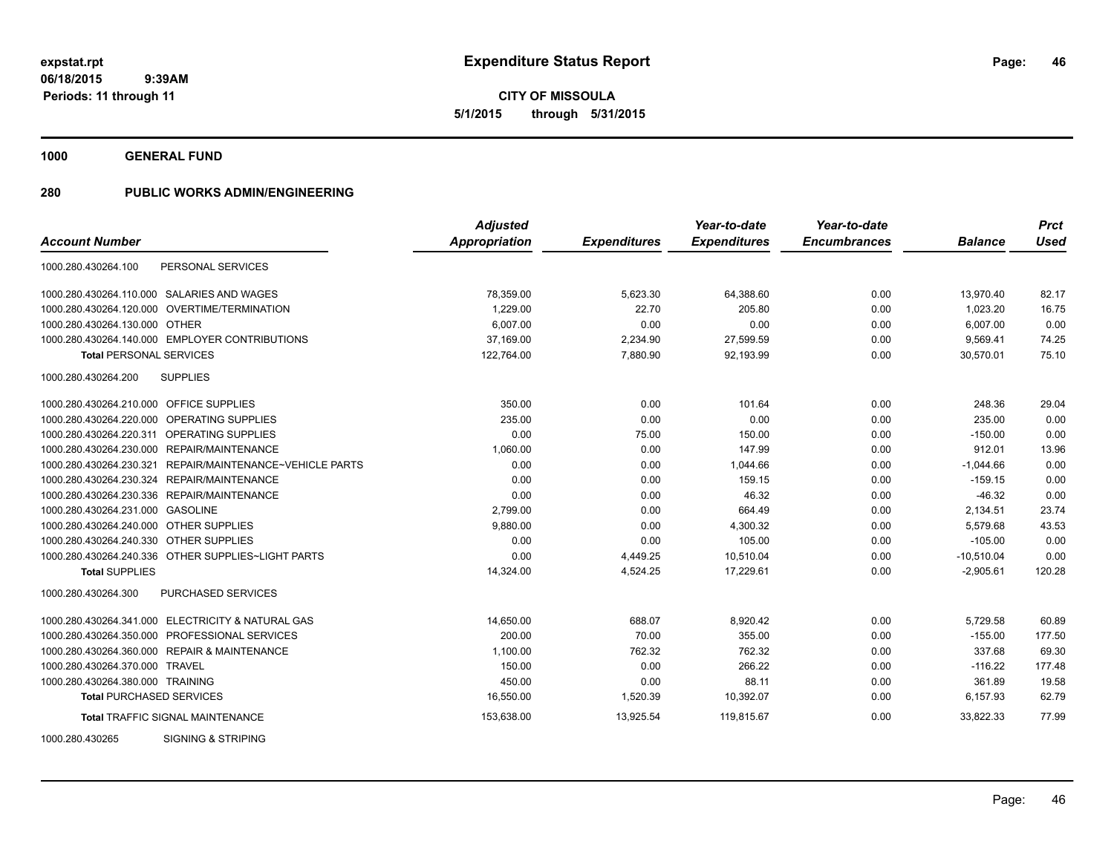**1000 GENERAL FUND**

|                                                             | <b>Adjusted</b> |                     | Year-to-date        | Year-to-date        |                | <b>Prct</b> |
|-------------------------------------------------------------|-----------------|---------------------|---------------------|---------------------|----------------|-------------|
| <b>Account Number</b>                                       | Appropriation   | <b>Expenditures</b> | <b>Expenditures</b> | <b>Encumbrances</b> | <b>Balance</b> | Used        |
| PERSONAL SERVICES<br>1000.280.430264.100                    |                 |                     |                     |                     |                |             |
| 1000.280.430264.110.000 SALARIES AND WAGES                  | 78,359.00       | 5,623.30            | 64,388.60           | 0.00                | 13,970.40      | 82.17       |
| 1000.280.430264.120.000 OVERTIME/TERMINATION                | 1.229.00        | 22.70               | 205.80              | 0.00                | 1,023.20       | 16.75       |
| 1000.280.430264.130.000 OTHER                               | 6,007.00        | 0.00                | 0.00                | 0.00                | 6,007.00       | 0.00        |
| 1000.280.430264.140.000 EMPLOYER CONTRIBUTIONS              | 37,169.00       | 2,234.90            | 27,599.59           | 0.00                | 9,569.41       | 74.25       |
| <b>Total PERSONAL SERVICES</b>                              | 122,764.00      | 7,880.90            | 92,193.99           | 0.00                | 30,570.01      | 75.10       |
| 1000.280.430264.200<br><b>SUPPLIES</b>                      |                 |                     |                     |                     |                |             |
| 1000.280.430264.210.000 OFFICE SUPPLIES                     | 350.00          | 0.00                | 101.64              | 0.00                | 248.36         | 29.04       |
| <b>OPERATING SUPPLIES</b><br>1000.280.430264.220.000        | 235.00          | 0.00                | 0.00                | 0.00                | 235.00         | 0.00        |
| 1000.280.430264.220.311 OPERATING SUPPLIES                  | 0.00            | 75.00               | 150.00              | 0.00                | $-150.00$      | 0.00        |
| 1000.280.430264.230.000 REPAIR/MAINTENANCE                  | 1,060.00        | 0.00                | 147.99              | 0.00                | 912.01         | 13.96       |
| REPAIR/MAINTENANCE~VEHICLE PARTS<br>1000.280.430264.230.321 | 0.00            | 0.00                | 1,044.66            | 0.00                | $-1,044.66$    | 0.00        |
| 1000.280.430264.230.324 REPAIR/MAINTENANCE                  | 0.00            | 0.00                | 159.15              | 0.00                | $-159.15$      | 0.00        |
| 1000.280.430264.230.336 REPAIR/MAINTENANCE                  | 0.00            | 0.00                | 46.32               | 0.00                | $-46.32$       | 0.00        |
| 1000.280.430264.231.000 GASOLINE                            | 2,799.00        | 0.00                | 664.49              | 0.00                | 2,134.51       | 23.74       |
| 1000.280.430264.240.000 OTHER SUPPLIES                      | 9,880.00        | 0.00                | 4,300.32            | 0.00                | 5,579.68       | 43.53       |
| 1000.280.430264.240.330 OTHER SUPPLIES                      | 0.00            | 0.00                | 105.00              | 0.00                | $-105.00$      | 0.00        |
| 1000.280.430264.240.336 OTHER SUPPLIES~LIGHT PARTS          | 0.00            | 4,449.25            | 10,510.04           | 0.00                | $-10,510.04$   | 0.00        |
| <b>Total SUPPLIES</b>                                       | 14,324.00       | 4,524.25            | 17,229.61           | 0.00                | $-2,905.61$    | 120.28      |
| 1000.280.430264.300<br><b>PURCHASED SERVICES</b>            |                 |                     |                     |                     |                |             |
| 1000.280.430264.341.000 ELECTRICITY & NATURAL GAS           | 14,650.00       | 688.07              | 8,920.42            | 0.00                | 5,729.58       | 60.89       |
| 1000.280.430264.350.000 PROFESSIONAL SERVICES               | 200.00          | 70.00               | 355.00              | 0.00                | $-155.00$      | 177.50      |
| 1000.280.430264.360.000 REPAIR & MAINTENANCE                | 1.100.00        | 762.32              | 762.32              | 0.00                | 337.68         | 69.30       |
| 1000.280.430264.370.000 TRAVEL                              | 150.00          | 0.00                | 266.22              | 0.00                | $-116.22$      | 177.48      |
| 1000.280.430264.380.000 TRAINING                            | 450.00          | 0.00                | 88.11               | 0.00                | 361.89         | 19.58       |
| <b>Total PURCHASED SERVICES</b>                             | 16,550.00       | 1,520.39            | 10,392.07           | 0.00                | 6,157.93       | 62.79       |
| <b>Total TRAFFIC SIGNAL MAINTENANCE</b>                     | 153,638.00      | 13,925.54           | 119,815.67          | 0.00                | 33,822.33      | 77.99       |
| <b>SIGNING &amp; STRIPING</b><br>1000.280.430265            |                 |                     |                     |                     |                |             |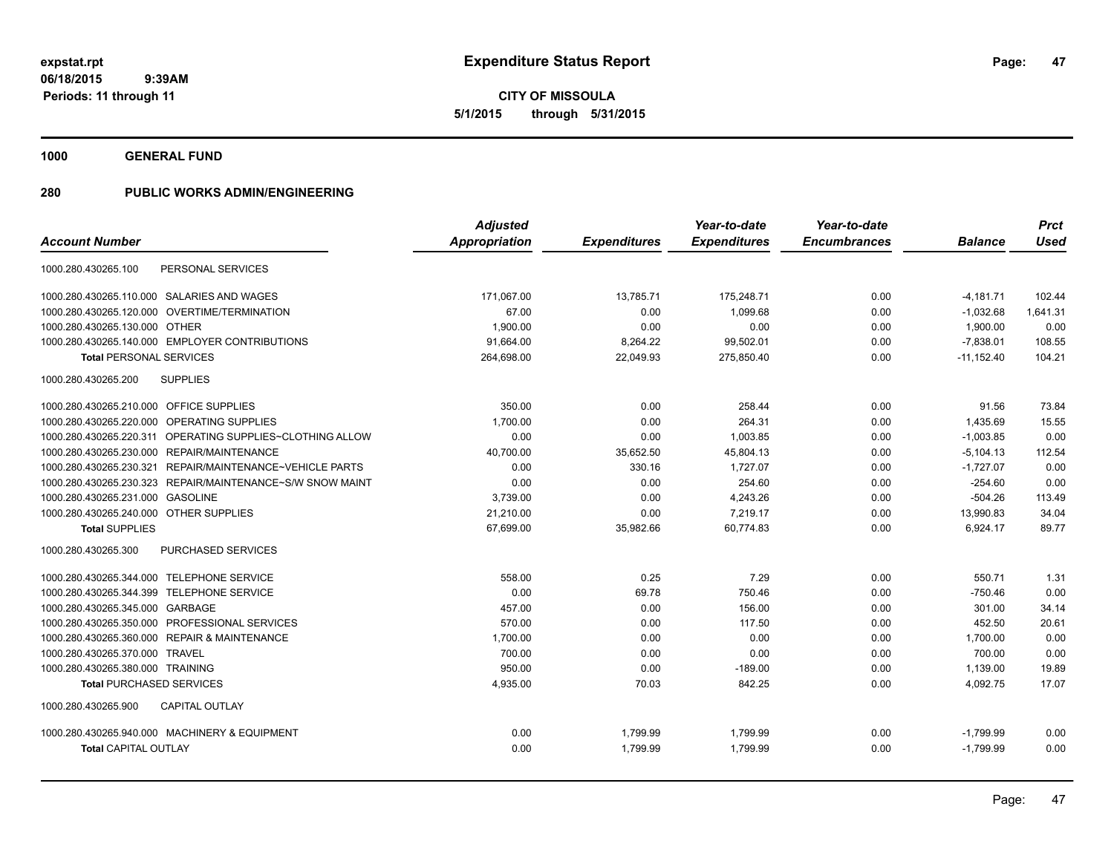**1000 GENERAL FUND**

|                                                              | <b>Adjusted</b>      |                     | Year-to-date        | Year-to-date        |                | <b>Prct</b> |
|--------------------------------------------------------------|----------------------|---------------------|---------------------|---------------------|----------------|-------------|
| <b>Account Number</b>                                        | <b>Appropriation</b> | <b>Expenditures</b> | <b>Expenditures</b> | <b>Encumbrances</b> | <b>Balance</b> | <b>Used</b> |
| PERSONAL SERVICES<br>1000.280.430265.100                     |                      |                     |                     |                     |                |             |
| 1000.280.430265.110.000 SALARIES AND WAGES                   | 171,067.00           | 13,785.71           | 175,248.71          | 0.00                | $-4,181.71$    | 102.44      |
| <b>OVERTIME/TERMINATION</b><br>1000.280.430265.120.000       | 67.00                | 0.00                | 1.099.68            | 0.00                | $-1,032.68$    | 1,641.31    |
| 1000.280.430265.130.000 OTHER                                | 1,900.00             | 0.00                | 0.00                | 0.00                | 1,900.00       | 0.00        |
| 1000.280.430265.140.000 EMPLOYER CONTRIBUTIONS               | 91,664.00            | 8,264.22            | 99,502.01           | 0.00                | $-7,838.01$    | 108.55      |
| <b>Total PERSONAL SERVICES</b>                               | 264,698.00           | 22,049.93           | 275,850.40          | 0.00                | $-11,152.40$   | 104.21      |
| <b>SUPPLIES</b><br>1000.280.430265.200                       |                      |                     |                     |                     |                |             |
| 1000.280.430265.210.000 OFFICE SUPPLIES                      | 350.00               | 0.00                | 258.44              | 0.00                | 91.56          | 73.84       |
| 1000.280.430265.220.000<br>OPERATING SUPPLIES                | 1,700.00             | 0.00                | 264.31              | 0.00                | 1,435.69       | 15.55       |
| 1000.280.430265.220.311<br>OPERATING SUPPLIES~CLOTHING ALLOW | 0.00                 | 0.00                | 1,003.85            | 0.00                | $-1,003.85$    | 0.00        |
| 1000.280.430265.230.000<br><b>REPAIR/MAINTENANCE</b>         | 40,700.00            | 35,652.50           | 45,804.13           | 0.00                | $-5,104.13$    | 112.54      |
| REPAIR/MAINTENANCE~VEHICLE PARTS<br>1000.280.430265.230.321  | 0.00                 | 330.16              | 1,727.07            | 0.00                | $-1,727.07$    | 0.00        |
| 1000.280.430265.230.323 REPAIR/MAINTENANCE~S/W SNOW MAINT    | 0.00                 | 0.00                | 254.60              | 0.00                | $-254.60$      | 0.00        |
| 1000.280.430265.231.000 GASOLINE                             | 3,739.00             | 0.00                | 4,243.26            | 0.00                | $-504.26$      | 113.49      |
| 1000.280.430265.240.000 OTHER SUPPLIES                       | 21,210.00            | 0.00                | 7,219.17            | 0.00                | 13,990.83      | 34.04       |
| <b>Total SUPPLIES</b>                                        | 67.699.00            | 35,982.66           | 60.774.83           | 0.00                | 6,924.17       | 89.77       |
| 1000.280.430265.300<br>PURCHASED SERVICES                    |                      |                     |                     |                     |                |             |
| 1000.280.430265.344.000 TELEPHONE SERVICE                    | 558.00               | 0.25                | 7.29                | 0.00                | 550.71         | 1.31        |
| 1000.280.430265.344.399 TELEPHONE SERVICE                    | 0.00                 | 69.78               | 750.46              | 0.00                | $-750.46$      | 0.00        |
| 1000.280.430265.345.000 GARBAGE                              | 457.00               | 0.00                | 156.00              | 0.00                | 301.00         | 34.14       |
| 1000.280.430265.350.000 PROFESSIONAL SERVICES                | 570.00               | 0.00                | 117.50              | 0.00                | 452.50         | 20.61       |
| <b>REPAIR &amp; MAINTENANCE</b><br>1000.280.430265.360.000   | 1,700.00             | 0.00                | 0.00                | 0.00                | 1,700.00       | 0.00        |
| 1000.280.430265.370.000<br><b>TRAVEL</b>                     | 700.00               | 0.00                | 0.00                | 0.00                | 700.00         | 0.00        |
| 1000.280.430265.380.000 TRAINING                             | 950.00               | 0.00                | $-189.00$           | 0.00                | 1,139.00       | 19.89       |
| <b>Total PURCHASED SERVICES</b>                              | 4,935.00             | 70.03               | 842.25              | 0.00                | 4,092.75       | 17.07       |
| 1000.280.430265.900<br><b>CAPITAL OUTLAY</b>                 |                      |                     |                     |                     |                |             |
| 1000.280.430265.940.000 MACHINERY & EQUIPMENT                | 0.00                 | 1,799.99            | 1,799.99            | 0.00                | $-1,799.99$    | 0.00        |
| <b>Total CAPITAL OUTLAY</b>                                  | 0.00                 | 1,799.99            | 1,799.99            | 0.00                | $-1,799.99$    | 0.00        |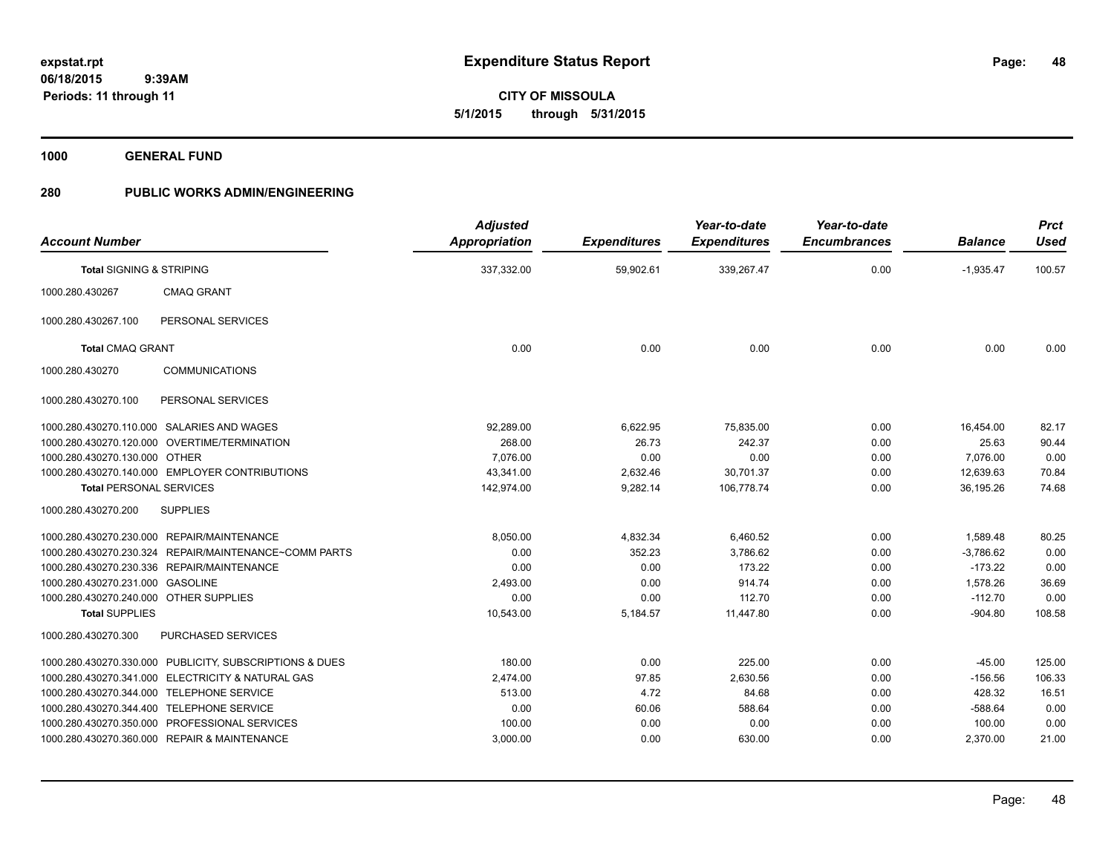**48**

**06/18/2015 9:39AM Periods: 11 through 11**

**CITY OF MISSOULA 5/1/2015 through 5/31/2015**

**1000 GENERAL FUND**

| <b>Account Number</b>                  |                                                         | <b>Adjusted</b><br><b>Appropriation</b> | <b>Expenditures</b> | Year-to-date<br><b>Expenditures</b> | Year-to-date<br><b>Encumbrances</b> | <b>Balance</b> | <b>Prct</b><br><b>Used</b> |
|----------------------------------------|---------------------------------------------------------|-----------------------------------------|---------------------|-------------------------------------|-------------------------------------|----------------|----------------------------|
| <b>Total SIGNING &amp; STRIPING</b>    |                                                         | 337,332.00                              | 59,902.61           | 339,267.47                          | 0.00                                | $-1,935.47$    | 100.57                     |
| 1000.280.430267                        | <b>CMAQ GRANT</b>                                       |                                         |                     |                                     |                                     |                |                            |
| 1000.280.430267.100                    | PERSONAL SERVICES                                       |                                         |                     |                                     |                                     |                |                            |
| <b>Total CMAQ GRANT</b>                |                                                         | 0.00                                    | 0.00                | 0.00                                | 0.00                                | 0.00           | 0.00                       |
| 1000.280.430270                        | <b>COMMUNICATIONS</b>                                   |                                         |                     |                                     |                                     |                |                            |
| 1000.280.430270.100                    | PERSONAL SERVICES                                       |                                         |                     |                                     |                                     |                |                            |
|                                        | 1000.280.430270.110.000 SALARIES AND WAGES              | 92,289.00                               | 6,622.95            | 75,835.00                           | 0.00                                | 16,454.00      | 82.17                      |
|                                        | 1000.280.430270.120.000 OVERTIME/TERMINATION            | 268.00                                  | 26.73               | 242.37                              | 0.00                                | 25.63          | 90.44                      |
| 1000.280.430270.130.000 OTHER          |                                                         | 7.076.00                                | 0.00                | 0.00                                | 0.00                                | 7,076.00       | 0.00                       |
|                                        | 1000.280.430270.140.000 EMPLOYER CONTRIBUTIONS          | 43,341.00                               | 2,632.46            | 30,701.37                           | 0.00                                | 12,639.63      | 70.84                      |
| <b>Total PERSONAL SERVICES</b>         |                                                         | 142,974.00                              | 9,282.14            | 106,778.74                          | 0.00                                | 36,195.26      | 74.68                      |
| 1000.280.430270.200                    | <b>SUPPLIES</b>                                         |                                         |                     |                                     |                                     |                |                            |
|                                        | 1000.280.430270.230.000 REPAIR/MAINTENANCE              | 8,050.00                                | 4,832.34            | 6,460.52                            | 0.00                                | 1,589.48       | 80.25                      |
|                                        | 1000.280.430270.230.324 REPAIR/MAINTENANCE~COMM PARTS   | 0.00                                    | 352.23              | 3,786.62                            | 0.00                                | $-3,786.62$    | 0.00                       |
|                                        | 1000.280.430270.230.336 REPAIR/MAINTENANCE              | 0.00                                    | 0.00                | 173.22                              | 0.00                                | $-173.22$      | 0.00                       |
| 1000.280.430270.231.000 GASOLINE       |                                                         | 2,493.00                                | 0.00                | 914.74                              | 0.00                                | 1,578.26       | 36.69                      |
| 1000.280.430270.240.000 OTHER SUPPLIES |                                                         | 0.00                                    | 0.00                | 112.70                              | 0.00                                | $-112.70$      | 0.00                       |
| <b>Total SUPPLIES</b>                  |                                                         | 10,543.00                               | 5,184.57            | 11,447.80                           | 0.00                                | $-904.80$      | 108.58                     |
| 1000.280.430270.300                    | PURCHASED SERVICES                                      |                                         |                     |                                     |                                     |                |                            |
|                                        | 1000.280.430270.330.000 PUBLICITY, SUBSCRIPTIONS & DUES | 180.00                                  | 0.00                | 225.00                              | 0.00                                | $-45.00$       | 125.00                     |
|                                        | 1000.280.430270.341.000 ELECTRICITY & NATURAL GAS       | 2,474.00                                | 97.85               | 2,630.56                            | 0.00                                | $-156.56$      | 106.33                     |
|                                        | 1000.280.430270.344.000 TELEPHONE SERVICE               | 513.00                                  | 4.72                | 84.68                               | 0.00                                | 428.32         | 16.51                      |
|                                        | 1000.280.430270.344.400 TELEPHONE SERVICE               | 0.00                                    | 60.06               | 588.64                              | 0.00                                | $-588.64$      | 0.00                       |
|                                        | 1000.280.430270.350.000 PROFESSIONAL SERVICES           | 100.00                                  | 0.00                | 0.00                                | 0.00                                | 100.00         | 0.00                       |
|                                        | 1000.280.430270.360.000 REPAIR & MAINTENANCE            | 3,000.00                                | 0.00                | 630.00                              | 0.00                                | 2,370.00       | 21.00                      |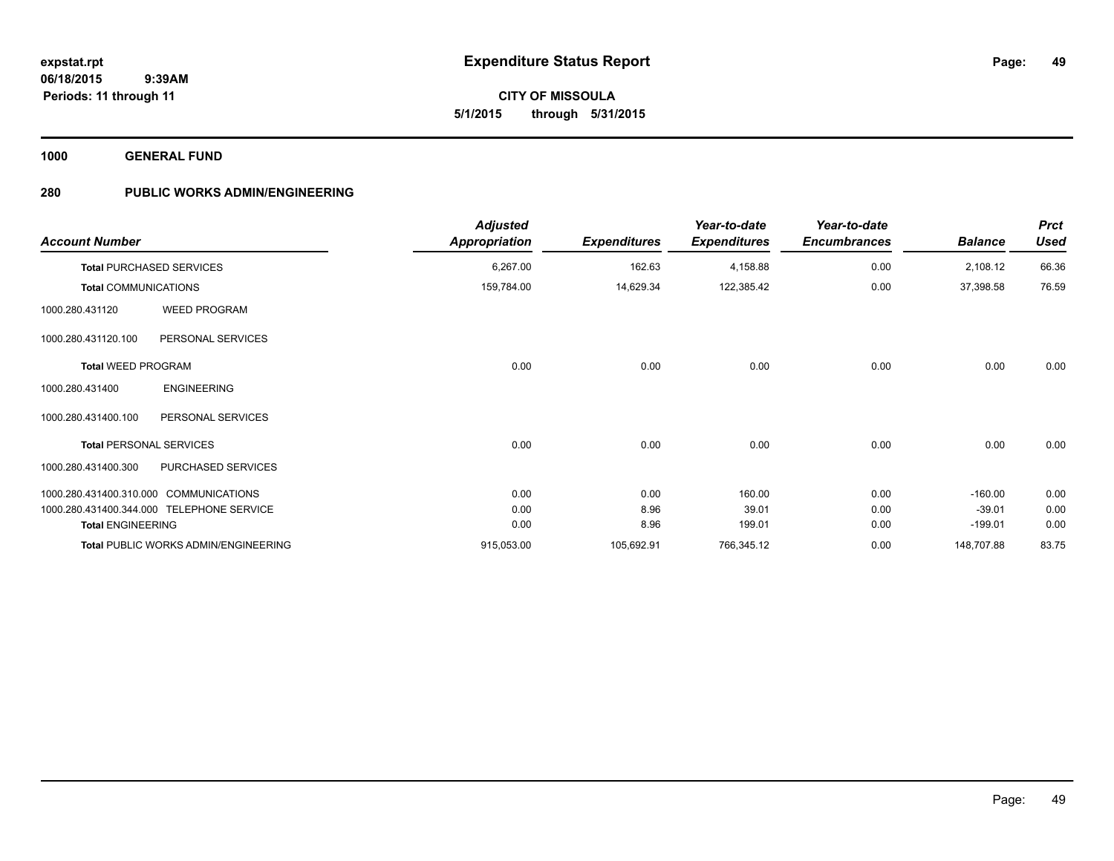**49**

**06/18/2015 9:39AM Periods: 11 through 11**

# **CITY OF MISSOULA 5/1/2015 through 5/31/2015**

**1000 GENERAL FUND**

| <b>Account Number</b>          |                                             | <b>Adjusted</b><br>Appropriation | <b>Expenditures</b> | Year-to-date<br><b>Expenditures</b> | Year-to-date<br><b>Encumbrances</b> | <b>Balance</b> | <b>Prct</b><br><b>Used</b> |
|--------------------------------|---------------------------------------------|----------------------------------|---------------------|-------------------------------------|-------------------------------------|----------------|----------------------------|
|                                | <b>Total PURCHASED SERVICES</b>             | 6,267.00                         | 162.63              | 4,158.88                            | 0.00                                | 2,108.12       | 66.36                      |
| <b>Total COMMUNICATIONS</b>    |                                             | 159,784.00                       | 14,629.34           | 122,385.42                          | 0.00                                | 37,398.58      | 76.59                      |
| 1000.280.431120                | <b>WEED PROGRAM</b>                         |                                  |                     |                                     |                                     |                |                            |
| 1000.280.431120.100            | PERSONAL SERVICES                           |                                  |                     |                                     |                                     |                |                            |
| <b>Total WEED PROGRAM</b>      |                                             | 0.00                             | 0.00                | 0.00                                | 0.00                                | 0.00           | 0.00                       |
| 1000.280.431400                | <b>ENGINEERING</b>                          |                                  |                     |                                     |                                     |                |                            |
| 1000.280.431400.100            | PERSONAL SERVICES                           |                                  |                     |                                     |                                     |                |                            |
| <b>Total PERSONAL SERVICES</b> |                                             | 0.00                             | 0.00                | 0.00                                | 0.00                                | 0.00           | 0.00                       |
| 1000.280.431400.300            | PURCHASED SERVICES                          |                                  |                     |                                     |                                     |                |                            |
|                                | 1000.280.431400.310.000 COMMUNICATIONS      | 0.00                             | 0.00                | 160.00                              | 0.00                                | $-160.00$      | 0.00                       |
|                                | 1000.280.431400.344.000 TELEPHONE SERVICE   | 0.00                             | 8.96                | 39.01                               | 0.00                                | $-39.01$       | 0.00                       |
| <b>Total ENGINEERING</b>       |                                             | 0.00                             | 8.96                | 199.01                              | 0.00                                | $-199.01$      | 0.00                       |
|                                | <b>Total PUBLIC WORKS ADMIN/ENGINEERING</b> | 915,053.00                       | 105,692.91          | 766,345.12                          | 0.00                                | 148,707.88     | 83.75                      |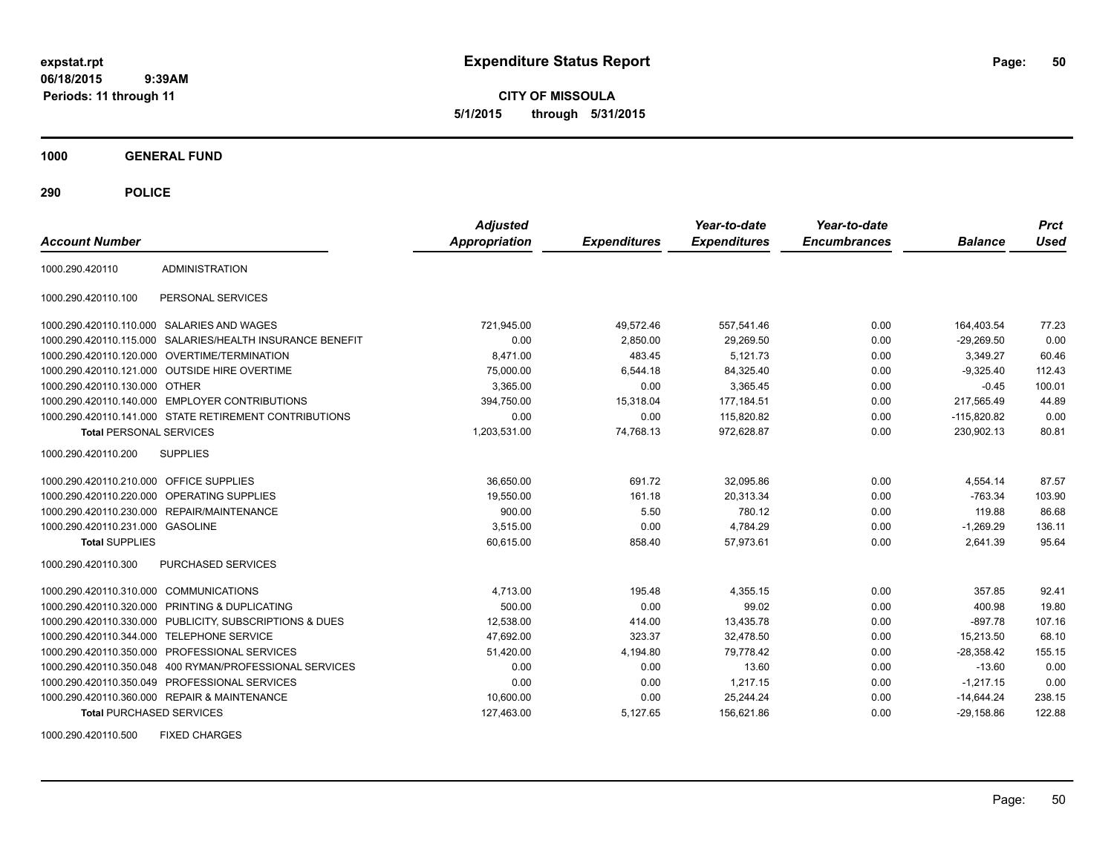**CITY OF MISSOULA 5/1/2015 through 5/31/2015**

**1000 GENERAL FUND**

**290 POLICE**

| <b>Account Number</b>                   |                                                           | <b>Adjusted</b><br><b>Appropriation</b> | <b>Expenditures</b> | Year-to-date<br><b>Expenditures</b> | Year-to-date<br><b>Encumbrances</b> | <b>Balance</b> | <b>Prct</b><br>Used |
|-----------------------------------------|-----------------------------------------------------------|-----------------------------------------|---------------------|-------------------------------------|-------------------------------------|----------------|---------------------|
| 1000.290.420110                         | <b>ADMINISTRATION</b>                                     |                                         |                     |                                     |                                     |                |                     |
| 1000.290.420110.100                     | PERSONAL SERVICES                                         |                                         |                     |                                     |                                     |                |                     |
|                                         | 1000.290.420110.110.000 SALARIES AND WAGES                | 721,945.00                              | 49,572.46           | 557,541.46                          | 0.00                                | 164,403.54     | 77.23               |
|                                         | 1000.290.420110.115.000 SALARIES/HEALTH INSURANCE BENEFIT | 0.00                                    | 2,850.00            | 29,269.50                           | 0.00                                | $-29,269.50$   | 0.00                |
|                                         | 1000.290.420110.120.000 OVERTIME/TERMINATION              | 8.471.00                                | 483.45              | 5.121.73                            | 0.00                                | 3,349.27       | 60.46               |
|                                         | 1000.290.420110.121.000 OUTSIDE HIRE OVERTIME             | 75,000.00                               | 6,544.18            | 84,325.40                           | 0.00                                | $-9,325.40$    | 112.43              |
| 1000.290.420110.130.000 OTHER           |                                                           | 3,365.00                                | 0.00                | 3.365.45                            | 0.00                                | $-0.45$        | 100.01              |
|                                         | 1000.290.420110.140.000 EMPLOYER CONTRIBUTIONS            | 394,750.00                              | 15,318.04           | 177,184.51                          | 0.00                                | 217,565.49     | 44.89               |
|                                         | 1000.290.420110.141.000 STATE RETIREMENT CONTRIBUTIONS    | 0.00                                    | 0.00                | 115,820.82                          | 0.00                                | $-115,820.82$  | 0.00                |
| <b>Total PERSONAL SERVICES</b>          |                                                           | 1,203,531.00                            | 74,768.13           | 972,628.87                          | 0.00                                | 230,902.13     | 80.81               |
| 1000.290.420110.200                     | <b>SUPPLIES</b>                                           |                                         |                     |                                     |                                     |                |                     |
| 1000.290.420110.210.000 OFFICE SUPPLIES |                                                           | 36,650.00                               | 691.72              | 32,095.86                           | 0.00                                | 4,554.14       | 87.57               |
| 1000.290.420110.220.000                 | <b>OPERATING SUPPLIES</b>                                 | 19,550.00                               | 161.18              | 20,313.34                           | 0.00                                | $-763.34$      | 103.90              |
|                                         | 1000.290.420110.230.000 REPAIR/MAINTENANCE                | 900.00                                  | 5.50                | 780.12                              | 0.00                                | 119.88         | 86.68               |
| 1000.290.420110.231.000 GASOLINE        |                                                           | 3.515.00                                | 0.00                | 4,784.29                            | 0.00                                | $-1.269.29$    | 136.11              |
| <b>Total SUPPLIES</b>                   |                                                           | 60,615.00                               | 858.40              | 57.973.61                           | 0.00                                | 2.641.39       | 95.64               |
| 1000.290.420110.300                     | <b>PURCHASED SERVICES</b>                                 |                                         |                     |                                     |                                     |                |                     |
| 1000.290.420110.310.000 COMMUNICATIONS  |                                                           | 4,713.00                                | 195.48              | 4.355.15                            | 0.00                                | 357.85         | 92.41               |
| 1000.290.420110.320.000                 | PRINTING & DUPLICATING                                    | 500.00                                  | 0.00                | 99.02                               | 0.00                                | 400.98         | 19.80               |
|                                         | 1000.290.420110.330.000 PUBLICITY, SUBSCRIPTIONS & DUES   | 12,538.00                               | 414.00              | 13,435.78                           | 0.00                                | $-897.78$      | 107.16              |
| 1000.290.420110.344.000                 | <b>TELEPHONE SERVICE</b>                                  | 47,692.00                               | 323.37              | 32,478.50                           | 0.00                                | 15,213.50      | 68.10               |
|                                         | 1000.290.420110.350.000 PROFESSIONAL SERVICES             | 51,420.00                               | 4,194.80            | 79,778.42                           | 0.00                                | $-28,358.42$   | 155.15              |
| 1000.290.420110.350.048                 | 400 RYMAN/PROFESSIONAL SERVICES                           | 0.00                                    | 0.00                | 13.60                               | 0.00                                | $-13.60$       | 0.00                |
|                                         | 1000.290.420110.350.049 PROFESSIONAL SERVICES             | 0.00                                    | 0.00                | 1,217.15                            | 0.00                                | $-1,217.15$    | 0.00                |
|                                         | 1000.290.420110.360.000 REPAIR & MAINTENANCE              | 10,600.00                               | 0.00                | 25,244.24                           | 0.00                                | $-14,644.24$   | 238.15              |
| <b>Total PURCHASED SERVICES</b>         |                                                           | 127,463.00                              | 5,127.65            | 156,621.86                          | 0.00                                | $-29,158.86$   | 122.88              |

1000.290.420110.500 FIXED CHARGES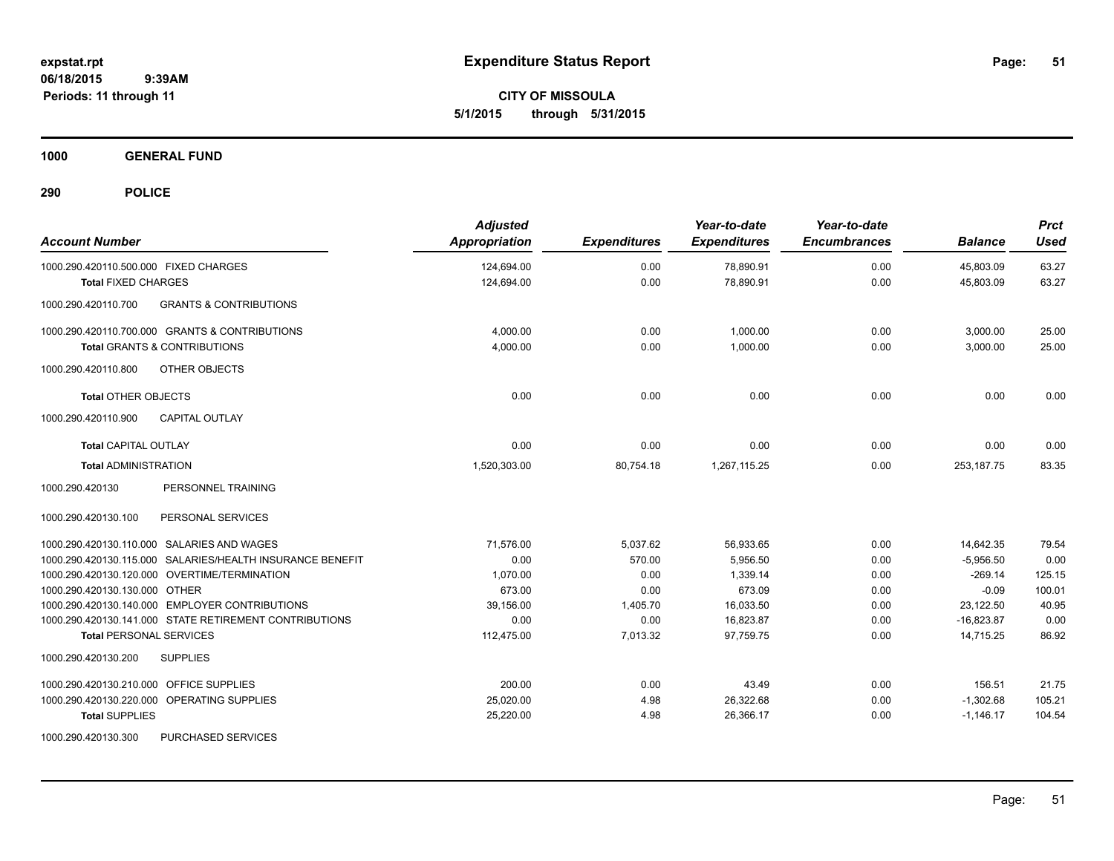**CITY OF MISSOULA 5/1/2015 through 5/31/2015**

**1000 GENERAL FUND**

| <b>Account Number</b>                                     | <b>Adjusted</b><br>Appropriation | <b>Expenditures</b> | Year-to-date<br><b>Expenditures</b> | Year-to-date<br><b>Encumbrances</b> | <b>Balance</b> | <b>Prct</b><br><b>Used</b> |
|-----------------------------------------------------------|----------------------------------|---------------------|-------------------------------------|-------------------------------------|----------------|----------------------------|
| 1000.290.420110.500.000 FIXED CHARGES                     | 124,694.00                       | 0.00                | 78,890.91                           | 0.00                                | 45,803.09      | 63.27                      |
| <b>Total FIXED CHARGES</b>                                | 124,694.00                       | 0.00                | 78,890.91                           | 0.00                                | 45,803.09      | 63.27                      |
| 1000.290.420110.700<br><b>GRANTS &amp; CONTRIBUTIONS</b>  |                                  |                     |                                     |                                     |                |                            |
| 1000.290.420110.700.000 GRANTS & CONTRIBUTIONS            | 4,000.00                         | 0.00                | 1,000.00                            | 0.00                                | 3,000.00       | 25.00                      |
| <b>Total GRANTS &amp; CONTRIBUTIONS</b>                   | 4,000.00                         | 0.00                | 1.000.00                            | 0.00                                | 3,000.00       | 25.00                      |
| OTHER OBJECTS<br>1000.290.420110.800                      |                                  |                     |                                     |                                     |                |                            |
| <b>Total OTHER OBJECTS</b>                                | 0.00                             | 0.00                | 0.00                                | 0.00                                | 0.00           | 0.00                       |
| <b>CAPITAL OUTLAY</b><br>1000.290.420110.900              |                                  |                     |                                     |                                     |                |                            |
| <b>Total CAPITAL OUTLAY</b>                               | 0.00                             | 0.00                | 0.00                                | 0.00                                | 0.00           | 0.00                       |
| <b>Total ADMINISTRATION</b>                               | 1,520,303.00                     | 80,754.18           | 1,267,115.25                        | 0.00                                | 253, 187. 75   | 83.35                      |
| PERSONNEL TRAINING<br>1000.290.420130                     |                                  |                     |                                     |                                     |                |                            |
| PERSONAL SERVICES<br>1000.290.420130.100                  |                                  |                     |                                     |                                     |                |                            |
| 1000.290.420130.110.000 SALARIES AND WAGES                | 71.576.00                        | 5,037.62            | 56,933.65                           | 0.00                                | 14.642.35      | 79.54                      |
| 1000.290.420130.115.000 SALARIES/HEALTH INSURANCE BENEFIT | 0.00                             | 570.00              | 5,956.50                            | 0.00                                | $-5,956.50$    | 0.00                       |
| 1000.290.420130.120.000 OVERTIME/TERMINATION              | 1,070.00                         | 0.00                | 1,339.14                            | 0.00                                | $-269.14$      | 125.15                     |
| 1000.290.420130.130.000 OTHER                             | 673.00                           | 0.00                | 673.09                              | 0.00                                | $-0.09$        | 100.01                     |
| 1000.290.420130.140.000 EMPLOYER CONTRIBUTIONS            | 39,156.00                        | 1,405.70            | 16,033.50                           | 0.00                                | 23,122.50      | 40.95                      |
| 1000.290.420130.141.000 STATE RETIREMENT CONTRIBUTIONS    | 0.00                             | 0.00                | 16,823.87                           | 0.00                                | $-16,823.87$   | 0.00                       |
| <b>Total PERSONAL SERVICES</b>                            | 112,475.00                       | 7,013.32            | 97,759.75                           | 0.00                                | 14,715.25      | 86.92                      |
| 1000.290.420130.200<br><b>SUPPLIES</b>                    |                                  |                     |                                     |                                     |                |                            |
| 1000.290.420130.210.000 OFFICE SUPPLIES                   | 200.00                           | 0.00                | 43.49                               | 0.00                                | 156.51         | 21.75                      |
| 1000.290.420130.220.000 OPERATING SUPPLIES                | 25,020.00                        | 4.98                | 26,322.68                           | 0.00                                | $-1,302.68$    | 105.21                     |
| <b>Total SUPPLIES</b>                                     | 25,220.00                        | 4.98                | 26,366.17                           | 0.00                                | $-1,146.17$    | 104.54                     |
| 1000.290.420130.300<br>PURCHASED SERVICES                 |                                  |                     |                                     |                                     |                |                            |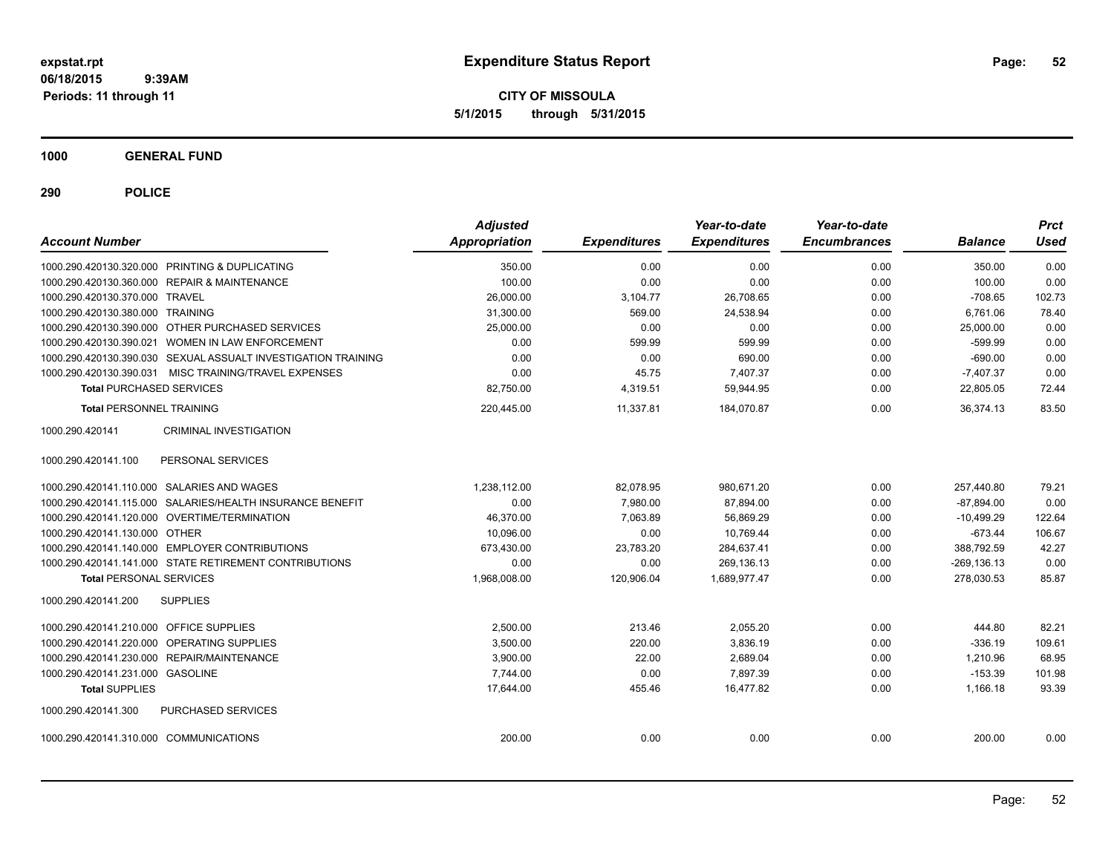**CITY OF MISSOULA 5/1/2015 through 5/31/2015**

**1000 GENERAL FUND**

| <b>Account Number</b>                          |                                                               | <b>Adjusted</b><br><b>Appropriation</b> | <b>Expenditures</b> | Year-to-date<br><b>Expenditures</b> | Year-to-date<br><b>Encumbrances</b> | <b>Balance</b> | <b>Prct</b><br>Used |
|------------------------------------------------|---------------------------------------------------------------|-----------------------------------------|---------------------|-------------------------------------|-------------------------------------|----------------|---------------------|
| 1000.290.420130.320.000 PRINTING & DUPLICATING |                                                               | 350.00                                  | 0.00                | 0.00                                | 0.00                                | 350.00         | 0.00                |
| 1000.290.420130.360.000 REPAIR & MAINTENANCE   |                                                               | 100.00                                  | 0.00                | 0.00                                | 0.00                                | 100.00         | 0.00                |
| 1000.290.420130.370.000 TRAVEL                 |                                                               | 26,000.00                               | 3,104.77            | 26,708.65                           | 0.00                                | $-708.65$      | 102.73              |
| 1000.290.420130.380.000 TRAINING               |                                                               | 31,300.00                               | 569.00              | 24,538.94                           | 0.00                                | 6,761.06       | 78.40               |
|                                                | 1000.290.420130.390.000 OTHER PURCHASED SERVICES              | 25,000.00                               | 0.00                | 0.00                                | 0.00                                | 25,000.00      | 0.00                |
|                                                | 1000.290.420130.390.021 WOMEN IN LAW ENFORCEMENT              | 0.00                                    | 599.99              | 599.99                              | 0.00                                | $-599.99$      | 0.00                |
|                                                | 1000.290.420130.390.030 SEXUAL ASSUALT INVESTIGATION TRAINING | 0.00                                    | 0.00                | 690.00                              | 0.00                                | $-690.00$      | 0.00                |
|                                                | 1000.290.420130.390.031 MISC TRAINING/TRAVEL EXPENSES         | 0.00                                    | 45.75               | 7,407.37                            | 0.00                                | $-7.407.37$    | 0.00                |
| <b>Total PURCHASED SERVICES</b>                |                                                               | 82,750.00                               | 4,319.51            | 59,944.95                           | 0.00                                | 22,805.05      | 72.44               |
| <b>Total PERSONNEL TRAINING</b>                |                                                               | 220,445.00                              | 11,337.81           | 184,070.87                          | 0.00                                | 36.374.13      | 83.50               |
| 1000.290.420141                                | <b>CRIMINAL INVESTIGATION</b>                                 |                                         |                     |                                     |                                     |                |                     |
| 1000.290.420141.100                            | PERSONAL SERVICES                                             |                                         |                     |                                     |                                     |                |                     |
| 1000.290.420141.110.000 SALARIES AND WAGES     |                                                               | 1,238,112.00                            | 82,078.95           | 980.671.20                          | 0.00                                | 257,440.80     | 79.21               |
|                                                | 1000.290.420141.115.000 SALARIES/HEALTH INSURANCE BENEFIT     | 0.00                                    | 7.980.00            | 87,894.00                           | 0.00                                | $-87.894.00$   | 0.00                |
| 1000.290.420141.120.000 OVERTIME/TERMINATION   |                                                               | 46,370.00                               | 7,063.89            | 56,869.29                           | 0.00                                | $-10,499.29$   | 122.64              |
| 1000.290.420141.130.000 OTHER                  |                                                               | 10,096.00                               | 0.00                | 10,769.44                           | 0.00                                | $-673.44$      | 106.67              |
|                                                | 1000.290.420141.140.000 EMPLOYER CONTRIBUTIONS                | 673,430.00                              | 23,783.20           | 284,637.41                          | 0.00                                | 388,792.59     | 42.27               |
|                                                | 1000.290.420141.141.000 STATE RETIREMENT CONTRIBUTIONS        | 0.00                                    | 0.00                | 269,136.13                          | 0.00                                | $-269, 136.13$ | 0.00                |
| <b>Total PERSONAL SERVICES</b>                 |                                                               | 1,968,008.00                            | 120,906.04          | 1,689,977.47                        | 0.00                                | 278,030.53     | 85.87               |
| 1000.290.420141.200                            | <b>SUPPLIES</b>                                               |                                         |                     |                                     |                                     |                |                     |
| 1000.290.420141.210.000 OFFICE SUPPLIES        |                                                               | 2,500.00                                | 213.46              | 2,055.20                            | 0.00                                | 444.80         | 82.21               |
| 1000.290.420141.220.000 OPERATING SUPPLIES     |                                                               | 3,500.00                                | 220.00              | 3,836.19                            | 0.00                                | $-336.19$      | 109.61              |
| 1000.290.420141.230.000 REPAIR/MAINTENANCE     |                                                               | 3,900.00                                | 22.00               | 2.689.04                            | 0.00                                | 1,210.96       | 68.95               |
| 1000.290.420141.231.000 GASOLINE               |                                                               | 7,744.00                                | 0.00                | 7.897.39                            | 0.00                                | $-153.39$      | 101.98              |
| <b>Total SUPPLIES</b>                          |                                                               | 17,644.00                               | 455.46              | 16,477.82                           | 0.00                                | 1,166.18       | 93.39               |
| 1000.290.420141.300                            | PURCHASED SERVICES                                            |                                         |                     |                                     |                                     |                |                     |
| 1000.290.420141.310.000 COMMUNICATIONS         |                                                               | 200.00                                  | 0.00                | 0.00                                | 0.00                                | 200.00         | 0.00                |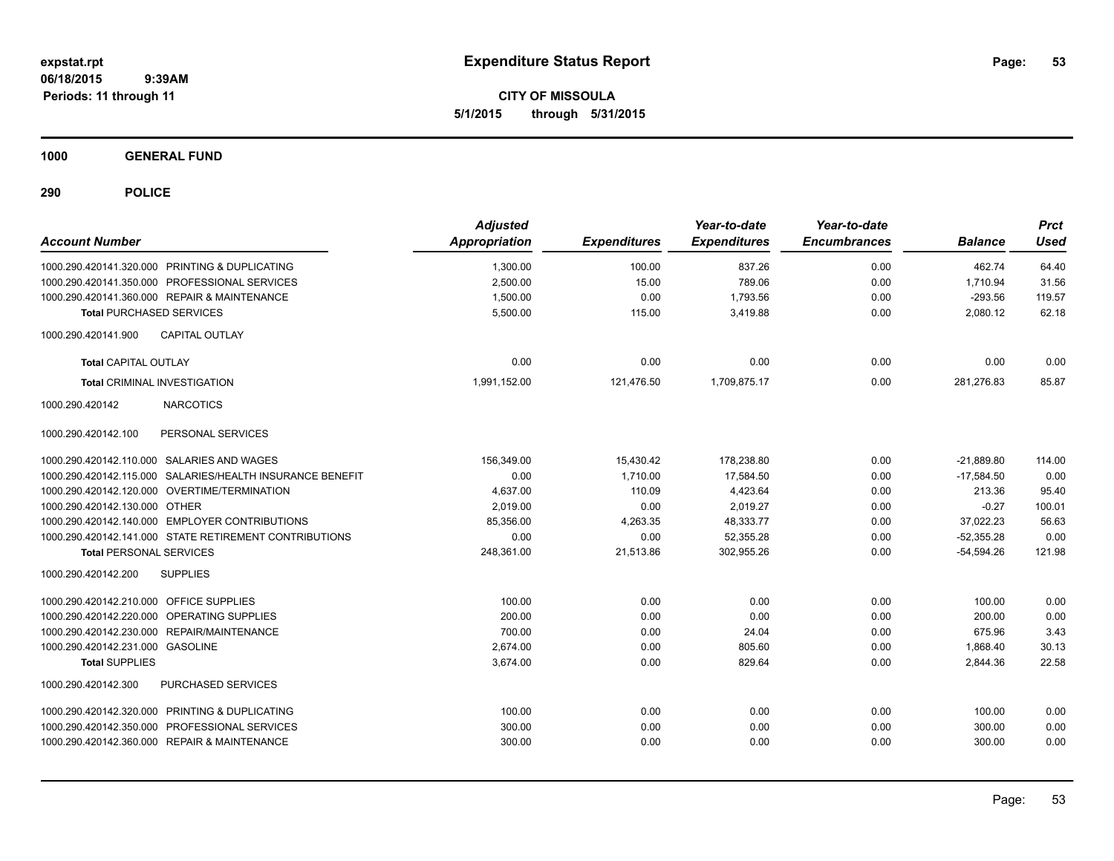**CITY OF MISSOULA 5/1/2015 through 5/31/2015**

**1000 GENERAL FUND**

| <b>Account Number</b>                   |                                                           | <b>Adjusted</b><br>Appropriation | <b>Expenditures</b> | Year-to-date<br><b>Expenditures</b> | Year-to-date<br><b>Encumbrances</b> | <b>Balance</b> | <b>Prct</b><br><b>Used</b> |
|-----------------------------------------|-----------------------------------------------------------|----------------------------------|---------------------|-------------------------------------|-------------------------------------|----------------|----------------------------|
|                                         | 1000.290.420141.320.000 PRINTING & DUPLICATING            | 1,300.00                         | 100.00              | 837.26                              | 0.00                                | 462.74         | 64.40                      |
|                                         | 1000.290.420141.350.000 PROFESSIONAL SERVICES             | 2,500.00                         | 15.00               | 789.06                              | 0.00                                | 1,710.94       | 31.56                      |
|                                         | 1000.290.420141.360.000 REPAIR & MAINTENANCE              | 1,500.00                         | 0.00                | 1,793.56                            | 0.00                                | $-293.56$      | 119.57                     |
| <b>Total PURCHASED SERVICES</b>         |                                                           | 5,500.00                         | 115.00              | 3.419.88                            | 0.00                                | 2,080.12       | 62.18                      |
| 1000.290.420141.900                     | <b>CAPITAL OUTLAY</b>                                     |                                  |                     |                                     |                                     |                |                            |
| <b>Total CAPITAL OUTLAY</b>             |                                                           | 0.00                             | 0.00                | 0.00                                | 0.00                                | 0.00           | 0.00                       |
|                                         | <b>Total CRIMINAL INVESTIGATION</b>                       | 1,991,152.00                     | 121,476.50          | 1,709,875.17                        | 0.00                                | 281,276.83     | 85.87                      |
| 1000.290.420142                         | <b>NARCOTICS</b>                                          |                                  |                     |                                     |                                     |                |                            |
| 1000.290.420142.100                     | PERSONAL SERVICES                                         |                                  |                     |                                     |                                     |                |                            |
|                                         | 1000.290.420142.110.000 SALARIES AND WAGES                | 156,349.00                       | 15,430.42           | 178,238.80                          | 0.00                                | $-21.889.80$   | 114.00                     |
|                                         | 1000.290.420142.115.000 SALARIES/HEALTH INSURANCE BENEFIT | 0.00                             | 1.710.00            | 17,584.50                           | 0.00                                | $-17.584.50$   | 0.00                       |
|                                         | 1000.290.420142.120.000 OVERTIME/TERMINATION              | 4,637.00                         | 110.09              | 4,423.64                            | 0.00                                | 213.36         | 95.40                      |
| 1000.290.420142.130.000 OTHER           |                                                           | 2.019.00                         | 0.00                | 2.019.27                            | 0.00                                | $-0.27$        | 100.01                     |
|                                         | 1000.290.420142.140.000 EMPLOYER CONTRIBUTIONS            | 85.356.00                        | 4,263.35            | 48,333.77                           | 0.00                                | 37.022.23      | 56.63                      |
|                                         | 1000.290.420142.141.000 STATE RETIREMENT CONTRIBUTIONS    | 0.00                             | 0.00                | 52,355.28                           | 0.00                                | $-52,355.28$   | 0.00                       |
| <b>Total PERSONAL SERVICES</b>          |                                                           | 248,361.00                       | 21,513.86           | 302,955.26                          | 0.00                                | $-54,594.26$   | 121.98                     |
| 1000.290.420142.200                     | <b>SUPPLIES</b>                                           |                                  |                     |                                     |                                     |                |                            |
| 1000.290.420142.210.000 OFFICE SUPPLIES |                                                           | 100.00                           | 0.00                | 0.00                                | 0.00                                | 100.00         | 0.00                       |
| 1000.290.420142.220.000                 | OPERATING SUPPLIES                                        | 200.00                           | 0.00                | 0.00                                | 0.00                                | 200.00         | 0.00                       |
| 1000.290.420142.230.000                 | REPAIR/MAINTENANCE                                        | 700.00                           | 0.00                | 24.04                               | 0.00                                | 675.96         | 3.43                       |
| 1000.290.420142.231.000                 | <b>GASOLINE</b>                                           | 2,674.00                         | 0.00                | 805.60                              | 0.00                                | 1,868.40       | 30.13                      |
| <b>Total SUPPLIES</b>                   |                                                           | 3,674.00                         | 0.00                | 829.64                              | 0.00                                | 2,844.36       | 22.58                      |
| 1000.290.420142.300                     | PURCHASED SERVICES                                        |                                  |                     |                                     |                                     |                |                            |
|                                         | 1000.290.420142.320.000 PRINTING & DUPLICATING            | 100.00                           | 0.00                | 0.00                                | 0.00                                | 100.00         | 0.00                       |
| 1000.290.420142.350.000                 | PROFESSIONAL SERVICES                                     | 300.00                           | 0.00                | 0.00                                | 0.00                                | 300.00         | 0.00                       |
|                                         | 1000.290.420142.360.000 REPAIR & MAINTENANCE              | 300.00                           | 0.00                | 0.00                                | 0.00                                | 300.00         | 0.00                       |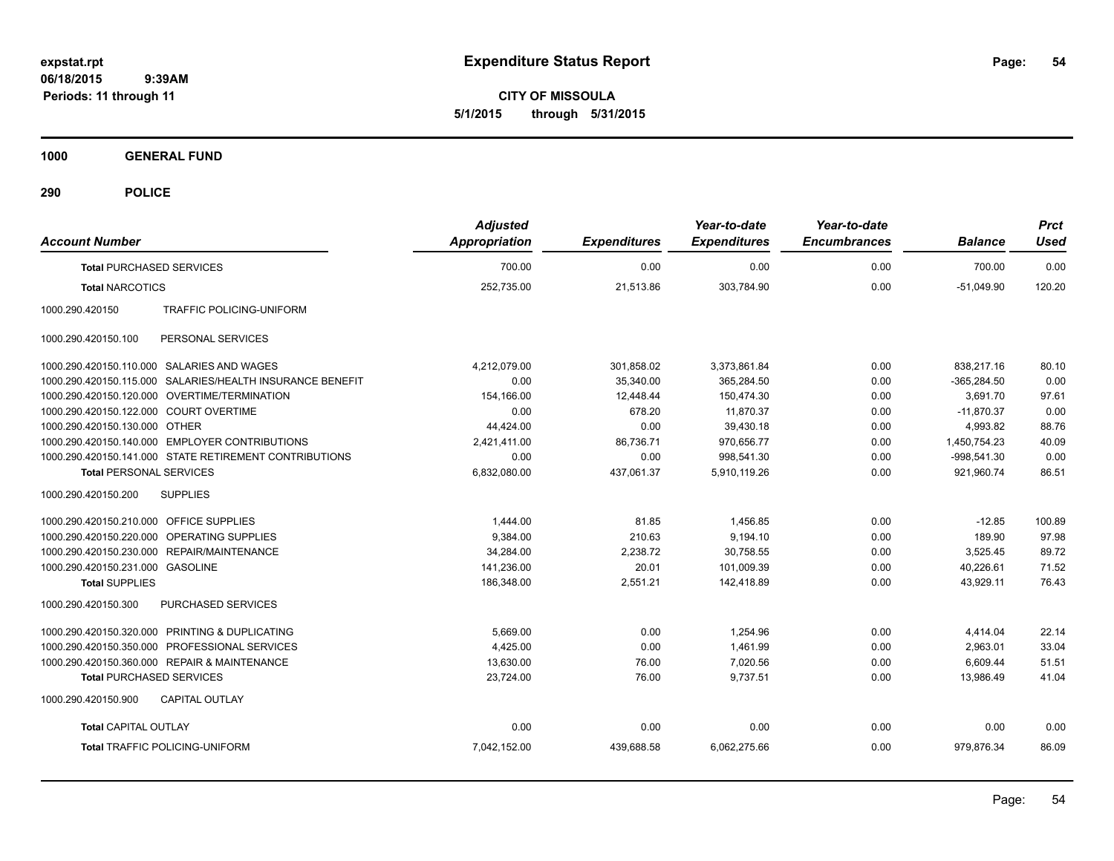**CITY OF MISSOULA 5/1/2015 through 5/31/2015**

**1000 GENERAL FUND**

| <b>Account Number</b>                   |                                                           | <b>Adjusted</b><br><b>Appropriation</b> | <b>Expenditures</b> | Year-to-date<br><b>Expenditures</b> | Year-to-date<br><b>Encumbrances</b> | <b>Balance</b> | <b>Prct</b><br><b>Used</b> |
|-----------------------------------------|-----------------------------------------------------------|-----------------------------------------|---------------------|-------------------------------------|-------------------------------------|----------------|----------------------------|
| <b>Total PURCHASED SERVICES</b>         |                                                           | 700.00                                  | 0.00                | 0.00                                | 0.00                                | 700.00         | 0.00                       |
| <b>Total NARCOTICS</b>                  |                                                           | 252,735.00                              | 21,513.86           | 303,784.90                          | 0.00                                | $-51,049.90$   | 120.20                     |
| 1000.290.420150                         | <b>TRAFFIC POLICING-UNIFORM</b>                           |                                         |                     |                                     |                                     |                |                            |
| 1000.290.420150.100                     | PERSONAL SERVICES                                         |                                         |                     |                                     |                                     |                |                            |
|                                         | 1000.290.420150.110.000 SALARIES AND WAGES                | 4,212,079.00                            | 301,858.02          | 3,373,861.84                        | 0.00                                | 838,217.16     | 80.10                      |
|                                         | 1000.290.420150.115.000 SALARIES/HEALTH INSURANCE BENEFIT | 0.00                                    | 35,340.00           | 365,284.50                          | 0.00                                | $-365,284.50$  | 0.00                       |
|                                         | 1000.290.420150.120.000 OVERTIME/TERMINATION              | 154,166.00                              | 12,448.44           | 150,474.30                          | 0.00                                | 3,691.70       | 97.61                      |
| 1000.290.420150.122.000 COURT OVERTIME  |                                                           | 0.00                                    | 678.20              | 11.870.37                           | 0.00                                | $-11,870.37$   | 0.00                       |
| 1000.290.420150.130.000 OTHER           |                                                           | 44,424.00                               | 0.00                | 39,430.18                           | 0.00                                | 4,993.82       | 88.76                      |
|                                         | 1000.290.420150.140.000 EMPLOYER CONTRIBUTIONS            | 2,421,411.00                            | 86,736.71           | 970,656.77                          | 0.00                                | 1,450,754.23   | 40.09                      |
|                                         | 1000.290.420150.141.000 STATE RETIREMENT CONTRIBUTIONS    | 0.00                                    | 0.00                | 998,541.30                          | 0.00                                | $-998,541.30$  | 0.00                       |
| <b>Total PERSONAL SERVICES</b>          |                                                           | 6,832,080.00                            | 437,061.37          | 5,910,119.26                        | 0.00                                | 921,960.74     | 86.51                      |
| 1000.290.420150.200                     | <b>SUPPLIES</b>                                           |                                         |                     |                                     |                                     |                |                            |
| 1000.290.420150.210.000 OFFICE SUPPLIES |                                                           | 1,444.00                                | 81.85               | 1,456.85                            | 0.00                                | $-12.85$       | 100.89                     |
|                                         | 1000.290.420150.220.000 OPERATING SUPPLIES                | 9,384.00                                | 210.63              | 9,194.10                            | 0.00                                | 189.90         | 97.98                      |
|                                         | 1000.290.420150.230.000 REPAIR/MAINTENANCE                | 34,284.00                               | 2,238.72            | 30,758.55                           | 0.00                                | 3,525.45       | 89.72                      |
| 1000.290.420150.231.000 GASOLINE        |                                                           | 141,236.00                              | 20.01               | 101,009.39                          | 0.00                                | 40,226.61      | 71.52                      |
| <b>Total SUPPLIES</b>                   |                                                           | 186.348.00                              | 2,551.21            | 142.418.89                          | 0.00                                | 43.929.11      | 76.43                      |
| 1000.290.420150.300                     | PURCHASED SERVICES                                        |                                         |                     |                                     |                                     |                |                            |
|                                         | 1000.290.420150.320.000 PRINTING & DUPLICATING            | 5.669.00                                | 0.00                | 1.254.96                            | 0.00                                | 4,414.04       | 22.14                      |
|                                         | 1000.290.420150.350.000 PROFESSIONAL SERVICES             | 4,425.00                                | 0.00                | 1,461.99                            | 0.00                                | 2,963.01       | 33.04                      |
|                                         | 1000.290.420150.360.000 REPAIR & MAINTENANCE              | 13,630.00                               | 76.00               | 7.020.56                            | 0.00                                | 6,609.44       | 51.51                      |
| <b>Total PURCHASED SERVICES</b>         |                                                           | 23.724.00                               | 76.00               | 9,737.51                            | 0.00                                | 13.986.49      | 41.04                      |
| 1000.290.420150.900                     | <b>CAPITAL OUTLAY</b>                                     |                                         |                     |                                     |                                     |                |                            |
| <b>Total CAPITAL OUTLAY</b>             |                                                           | 0.00                                    | 0.00                | 0.00                                | 0.00                                | 0.00           | 0.00                       |
|                                         | <b>Total TRAFFIC POLICING-UNIFORM</b>                     | 7,042,152.00                            | 439,688.58          | 6,062,275.66                        | 0.00                                | 979,876.34     | 86.09                      |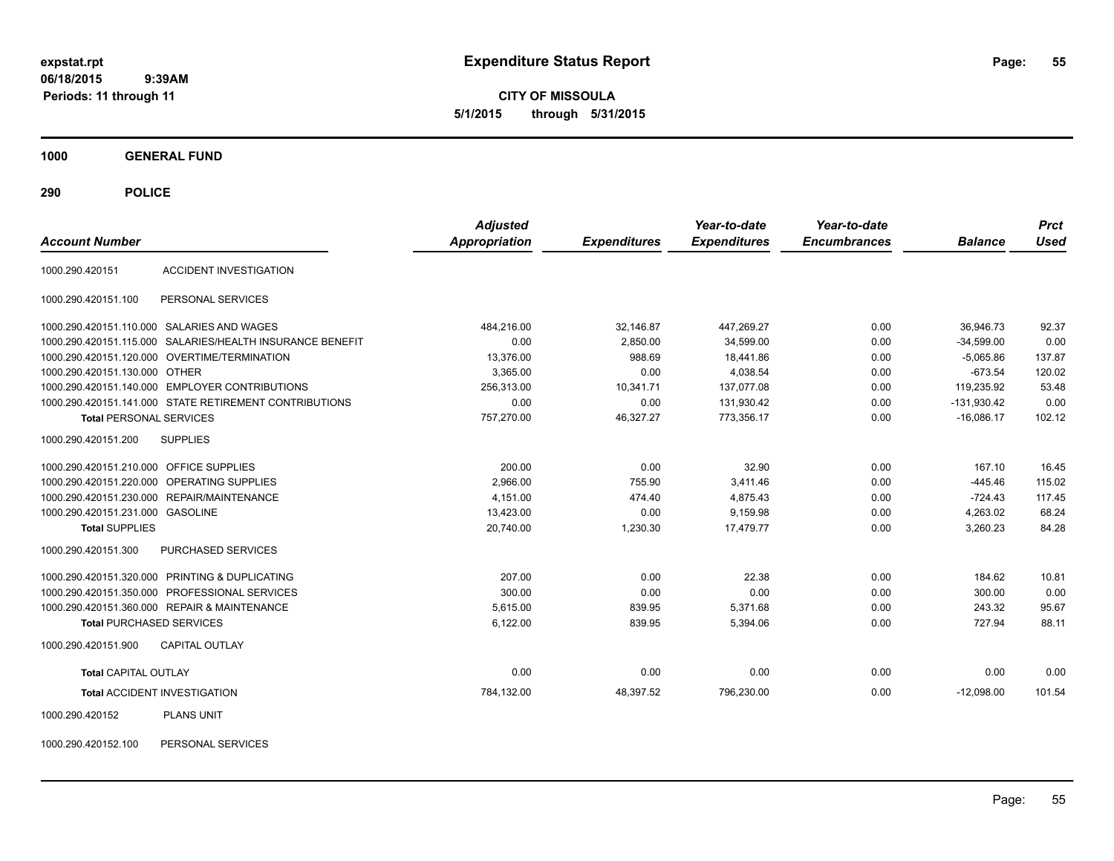**CITY OF MISSOULA 5/1/2015 through 5/31/2015**

**1000 GENERAL FUND**

**290 POLICE**

| <b>Account Number</b>                      |                                                        | <b>Adjusted</b><br><b>Appropriation</b> | <b>Expenditures</b> | Year-to-date<br><b>Expenditures</b> | Year-to-date<br><b>Encumbrances</b> | <b>Balance</b> | <b>Prct</b><br><b>Used</b> |
|--------------------------------------------|--------------------------------------------------------|-----------------------------------------|---------------------|-------------------------------------|-------------------------------------|----------------|----------------------------|
| 1000.290.420151                            | <b>ACCIDENT INVESTIGATION</b>                          |                                         |                     |                                     |                                     |                |                            |
| 1000.290.420151.100                        | PERSONAL SERVICES                                      |                                         |                     |                                     |                                     |                |                            |
| 1000.290.420151.110.000 SALARIES AND WAGES |                                                        | 484,216.00                              | 32,146.87           | 447,269.27                          | 0.00                                | 36.946.73      | 92.37                      |
| 1000.290.420151.115.000                    | SALARIES/HEALTH INSURANCE BENEFIT                      | 0.00                                    | 2.850.00            | 34.599.00                           | 0.00                                | $-34.599.00$   | 0.00                       |
| 1000.290.420151.120.000                    | OVERTIME/TERMINATION                                   | 13,376.00                               | 988.69              | 18,441.86                           | 0.00                                | $-5,065.86$    | 137.87                     |
| 1000.290.420151.130.000                    | OTHER                                                  | 3,365.00                                | 0.00                | 4,038.54                            | 0.00                                | $-673.54$      | 120.02                     |
|                                            | 1000.290.420151.140.000 EMPLOYER CONTRIBUTIONS         | 256,313.00                              | 10,341.71           | 137,077.08                          | 0.00                                | 119,235.92     | 53.48                      |
|                                            | 1000.290.420151.141.000 STATE RETIREMENT CONTRIBUTIONS | 0.00                                    | 0.00                | 131,930.42                          | 0.00                                | $-131,930.42$  | 0.00                       |
| <b>Total PERSONAL SERVICES</b>             |                                                        | 757,270.00                              | 46,327.27           | 773,356.17                          | 0.00                                | $-16,086.17$   | 102.12                     |
| 1000.290.420151.200                        | <b>SUPPLIES</b>                                        |                                         |                     |                                     |                                     |                |                            |
| 1000.290.420151.210.000                    | <b>OFFICE SUPPLIES</b>                                 | 200.00                                  | 0.00                | 32.90                               | 0.00                                | 167.10         | 16.45                      |
| 1000.290.420151.220.000                    | OPERATING SUPPLIES                                     | 2,966.00                                | 755.90              | 3,411.46                            | 0.00                                | $-445.46$      | 115.02                     |
| 1000.290.420151.230.000                    | REPAIR/MAINTENANCE                                     | 4,151.00                                | 474.40              | 4,875.43                            | 0.00                                | $-724.43$      | 117.45                     |
| 1000.290.420151.231.000 GASOLINE           |                                                        | 13,423.00                               | 0.00                | 9.159.98                            | 0.00                                | 4,263.02       | 68.24                      |
| <b>Total SUPPLIES</b>                      |                                                        | 20,740.00                               | 1,230.30            | 17,479.77                           | 0.00                                | 3,260.23       | 84.28                      |
| 1000.290.420151.300                        | PURCHASED SERVICES                                     |                                         |                     |                                     |                                     |                |                            |
|                                            | 1000.290.420151.320.000 PRINTING & DUPLICATING         | 207.00                                  | 0.00                | 22.38                               | 0.00                                | 184.62         | 10.81                      |
| 1000.290.420151.350.000                    | PROFESSIONAL SERVICES                                  | 300.00                                  | 0.00                | 0.00                                | 0.00                                | 300.00         | 0.00                       |
|                                            | 1000.290.420151.360.000 REPAIR & MAINTENANCE           | 5.615.00                                | 839.95              | 5,371.68                            | 0.00                                | 243.32         | 95.67                      |
| <b>Total PURCHASED SERVICES</b>            |                                                        | 6,122.00                                | 839.95              | 5,394.06                            | 0.00                                | 727.94         | 88.11                      |
| 1000.290.420151.900                        | <b>CAPITAL OUTLAY</b>                                  |                                         |                     |                                     |                                     |                |                            |
| <b>Total CAPITAL OUTLAY</b>                |                                                        | 0.00                                    | 0.00                | 0.00                                | 0.00                                | 0.00           | 0.00                       |
| <b>Total ACCIDENT INVESTIGATION</b>        |                                                        | 784,132.00                              | 48,397.52           | 796,230.00                          | 0.00                                | $-12,098.00$   | 101.54                     |
| 1000.290.420152                            | <b>PLANS UNIT</b>                                      |                                         |                     |                                     |                                     |                |                            |

1000.290.420152.100 PERSONAL SERVICES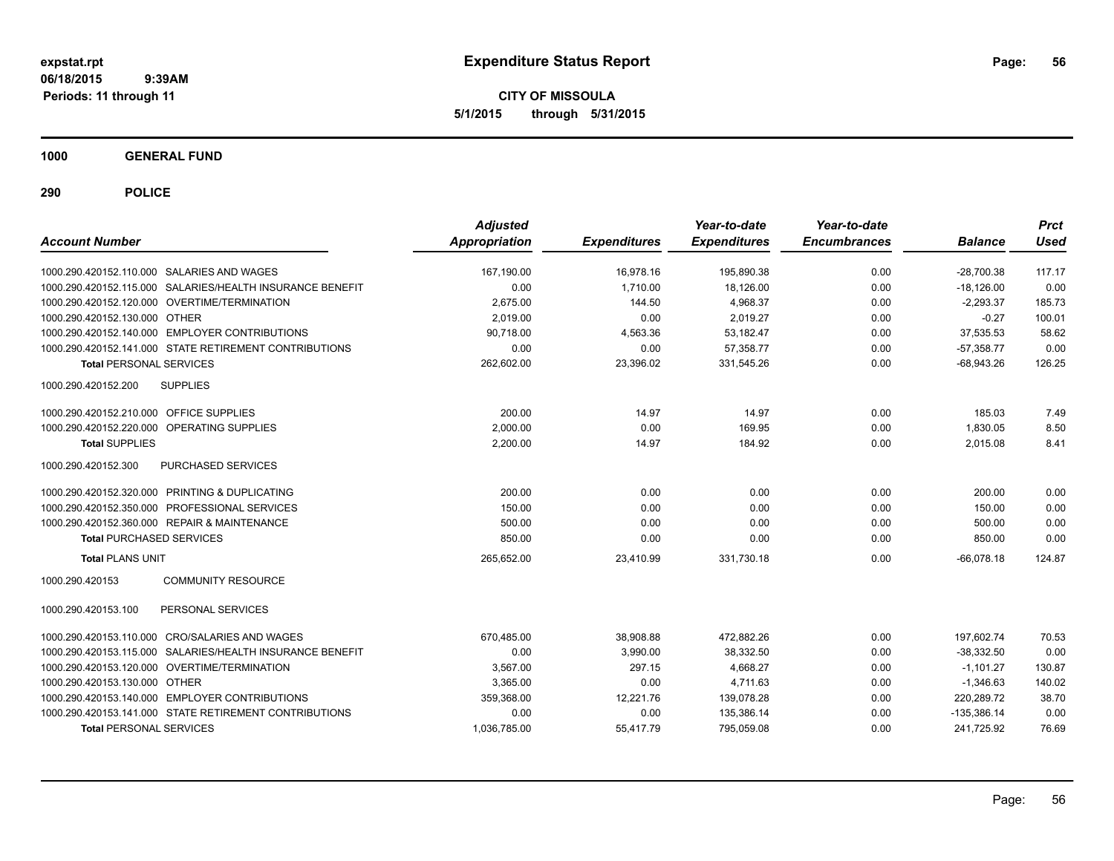**CITY OF MISSOULA 5/1/2015 through 5/31/2015**

**1000 GENERAL FUND**

| <b>Account Number</b>                        |                                                           | <b>Adjusted</b><br><b>Appropriation</b> | <b>Expenditures</b> | Year-to-date<br><b>Expenditures</b> | Year-to-date<br><b>Encumbrances</b> | <b>Balance</b> | <b>Prct</b><br>Used |
|----------------------------------------------|-----------------------------------------------------------|-----------------------------------------|---------------------|-------------------------------------|-------------------------------------|----------------|---------------------|
|                                              |                                                           |                                         |                     |                                     |                                     |                |                     |
| 1000.290.420152.110.000 SALARIES AND WAGES   |                                                           | 167,190.00                              | 16,978.16           | 195,890.38                          | 0.00                                | $-28,700.38$   | 117.17              |
|                                              | 1000.290.420152.115.000 SALARIES/HEALTH INSURANCE BENEFIT | 0.00                                    | 1.710.00            | 18,126.00                           | 0.00                                | $-18.126.00$   | 0.00                |
|                                              | 1000.290.420152.120.000 OVERTIME/TERMINATION              | 2,675.00                                | 144.50              | 4,968.37                            | 0.00                                | $-2,293.37$    | 185.73              |
| 1000.290.420152.130.000 OTHER                |                                                           | 2,019.00                                | 0.00                | 2,019.27                            | 0.00                                | $-0.27$        | 100.01              |
|                                              | 1000.290.420152.140.000 EMPLOYER CONTRIBUTIONS            | 90,718.00                               | 4,563.36            | 53,182.47                           | 0.00                                | 37,535.53      | 58.62               |
|                                              | 1000.290.420152.141.000 STATE RETIREMENT CONTRIBUTIONS    | 0.00                                    | 0.00                | 57,358.77                           | 0.00                                | $-57,358.77$   | 0.00                |
| <b>Total PERSONAL SERVICES</b>               |                                                           | 262,602.00                              | 23,396.02           | 331,545.26                          | 0.00                                | $-68,943.26$   | 126.25              |
| 1000.290.420152.200                          | <b>SUPPLIES</b>                                           |                                         |                     |                                     |                                     |                |                     |
| 1000.290.420152.210.000 OFFICE SUPPLIES      |                                                           | 200.00                                  | 14.97               | 14.97                               | 0.00                                | 185.03         | 7.49                |
| 1000.290.420152.220.000 OPERATING SUPPLIES   |                                                           | 2.000.00                                | 0.00                | 169.95                              | 0.00                                | 1.830.05       | 8.50                |
| <b>Total SUPPLIES</b>                        |                                                           | 2,200.00                                | 14.97               | 184.92                              | 0.00                                | 2,015.08       | 8.41                |
| 1000.290.420152.300                          | PURCHASED SERVICES                                        |                                         |                     |                                     |                                     |                |                     |
|                                              | 1000.290.420152.320.000 PRINTING & DUPLICATING            | 200.00                                  | 0.00                | 0.00                                | 0.00                                | 200.00         | 0.00                |
|                                              | 1000.290.420152.350.000 PROFESSIONAL SERVICES             | 150.00                                  | 0.00                | 0.00                                | 0.00                                | 150.00         | 0.00                |
| 1000.290.420152.360.000 REPAIR & MAINTENANCE |                                                           | 500.00                                  | 0.00                | 0.00                                | 0.00                                | 500.00         | 0.00                |
| <b>Total PURCHASED SERVICES</b>              |                                                           | 850.00                                  | 0.00                | 0.00                                | 0.00                                | 850.00         | 0.00                |
| <b>Total PLANS UNIT</b>                      |                                                           | 265,652.00                              | 23,410.99           | 331,730.18                          | 0.00                                | $-66,078.18$   | 124.87              |
| 1000.290.420153                              | <b>COMMUNITY RESOURCE</b>                                 |                                         |                     |                                     |                                     |                |                     |
| 1000.290.420153.100                          | PERSONAL SERVICES                                         |                                         |                     |                                     |                                     |                |                     |
|                                              | 1000.290.420153.110.000 CRO/SALARIES AND WAGES            | 670,485.00                              | 38,908.88           | 472,882.26                          | 0.00                                | 197,602.74     | 70.53               |
| 1000.290.420153.115.000                      | SALARIES/HEALTH INSURANCE BENEFIT                         | 0.00                                    | 3.990.00            | 38,332.50                           | 0.00                                | $-38.332.50$   | 0.00                |
| 1000.290.420153.120.000                      | OVERTIME/TERMINATION                                      | 3,567.00                                | 297.15              | 4,668.27                            | 0.00                                | $-1,101.27$    | 130.87              |
| 1000.290.420153.130.000                      | <b>OTHER</b>                                              | 3,365.00                                | 0.00                | 4,711.63                            | 0.00                                | $-1,346.63$    | 140.02              |
|                                              | 1000.290.420153.140.000 EMPLOYER CONTRIBUTIONS            | 359,368.00                              | 12,221.76           | 139,078.28                          | 0.00                                | 220,289.72     | 38.70               |
|                                              | 1000.290.420153.141.000 STATE RETIREMENT CONTRIBUTIONS    | 0.00                                    | 0.00                | 135,386.14                          | 0.00                                | $-135,386.14$  | 0.00                |
| <b>Total PERSONAL SERVICES</b>               |                                                           | 1,036,785.00                            | 55,417.79           | 795,059.08                          | 0.00                                | 241,725.92     | 76.69               |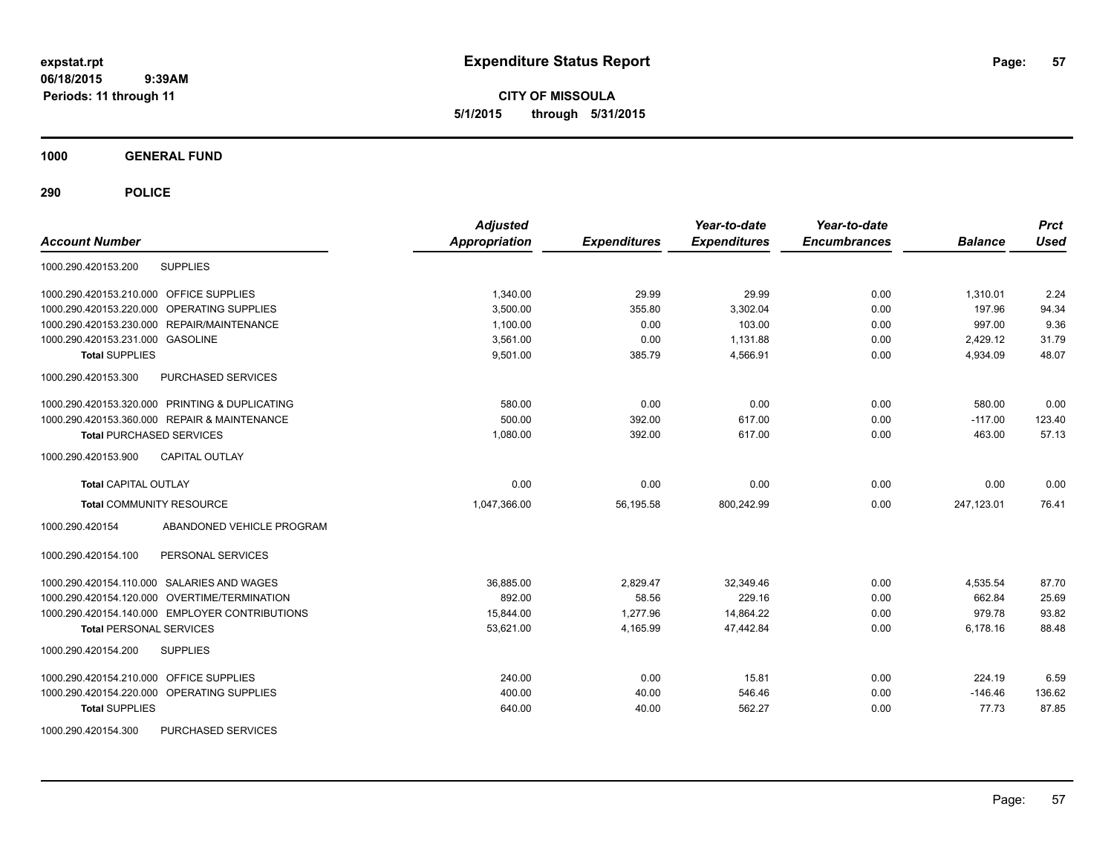**CITY OF MISSOULA 5/1/2015 through 5/31/2015**

**1000 GENERAL FUND**

| <b>Account Number</b>                                | <b>Adjusted</b><br>Appropriation | <b>Expenditures</b> | Year-to-date<br><b>Expenditures</b> | Year-to-date<br><b>Encumbrances</b> | <b>Balance</b> | <b>Prct</b><br><b>Used</b> |
|------------------------------------------------------|----------------------------------|---------------------|-------------------------------------|-------------------------------------|----------------|----------------------------|
| <b>SUPPLIES</b><br>1000.290.420153.200               |                                  |                     |                                     |                                     |                |                            |
| 1000.290.420153.210.000 OFFICE SUPPLIES              | 1,340.00                         | 29.99               | 29.99                               | 0.00                                | 1,310.01       | 2.24                       |
| <b>OPERATING SUPPLIES</b><br>1000.290.420153.220.000 | 3.500.00                         | 355.80              | 3,302.04                            | 0.00                                | 197.96         | 94.34                      |
| 1000.290.420153.230.000 REPAIR/MAINTENANCE           | 1,100.00                         | 0.00                | 103.00                              | 0.00                                | 997.00         | 9.36                       |
| 1000.290.420153.231.000 GASOLINE                     | 3,561.00                         | 0.00                | 1,131.88                            | 0.00                                | 2,429.12       | 31.79                      |
| <b>Total SUPPLIES</b>                                | 9,501.00                         | 385.79              | 4,566.91                            | 0.00                                | 4,934.09       | 48.07                      |
| <b>PURCHASED SERVICES</b><br>1000.290.420153.300     |                                  |                     |                                     |                                     |                |                            |
| 1000.290.420153.320.000 PRINTING & DUPLICATING       | 580.00                           | 0.00                | 0.00                                | 0.00                                | 580.00         | 0.00                       |
| 1000.290.420153.360.000 REPAIR & MAINTENANCE         | 500.00                           | 392.00              | 617.00                              | 0.00                                | $-117.00$      | 123.40                     |
| <b>Total PURCHASED SERVICES</b>                      | 1.080.00                         | 392.00              | 617.00                              | 0.00                                | 463.00         | 57.13                      |
| 1000.290.420153.900<br><b>CAPITAL OUTLAY</b>         |                                  |                     |                                     |                                     |                |                            |
| <b>Total CAPITAL OUTLAY</b>                          | 0.00                             | 0.00                | 0.00                                | 0.00                                | 0.00           | 0.00                       |
| <b>Total COMMUNITY RESOURCE</b>                      | 1,047,366.00                     | 56,195.58           | 800,242.99                          | 0.00                                | 247,123.01     | 76.41                      |
| 1000.290.420154<br>ABANDONED VEHICLE PROGRAM         |                                  |                     |                                     |                                     |                |                            |
| 1000.290.420154.100<br>PERSONAL SERVICES             |                                  |                     |                                     |                                     |                |                            |
| 1000.290.420154.110.000 SALARIES AND WAGES           | 36.885.00                        | 2.829.47            | 32,349.46                           | 0.00                                | 4,535.54       | 87.70                      |
| 1000.290.420154.120.000 OVERTIME/TERMINATION         | 892.00                           | 58.56               | 229.16                              | 0.00                                | 662.84         | 25.69                      |
| 1000.290.420154.140.000 EMPLOYER CONTRIBUTIONS       | 15,844.00                        | 1,277.96            | 14,864.22                           | 0.00                                | 979.78         | 93.82                      |
| <b>Total PERSONAL SERVICES</b>                       | 53,621.00                        | 4,165.99            | 47,442.84                           | 0.00                                | 6,178.16       | 88.48                      |
| 1000.290.420154.200<br><b>SUPPLIES</b>               |                                  |                     |                                     |                                     |                |                            |
| 1000.290.420154.210.000 OFFICE SUPPLIES              | 240.00                           | 0.00                | 15.81                               | 0.00                                | 224.19         | 6.59                       |
| 1000.290.420154.220.000 OPERATING SUPPLIES           | 400.00                           | 40.00               | 546.46                              | 0.00                                | $-146.46$      | 136.62                     |
| <b>Total SUPPLIES</b>                                | 640.00                           | 40.00               | 562.27                              | 0.00                                | 77.73          | 87.85                      |
| 1000.290.420154.300<br><b>PURCHASED SERVICES</b>     |                                  |                     |                                     |                                     |                |                            |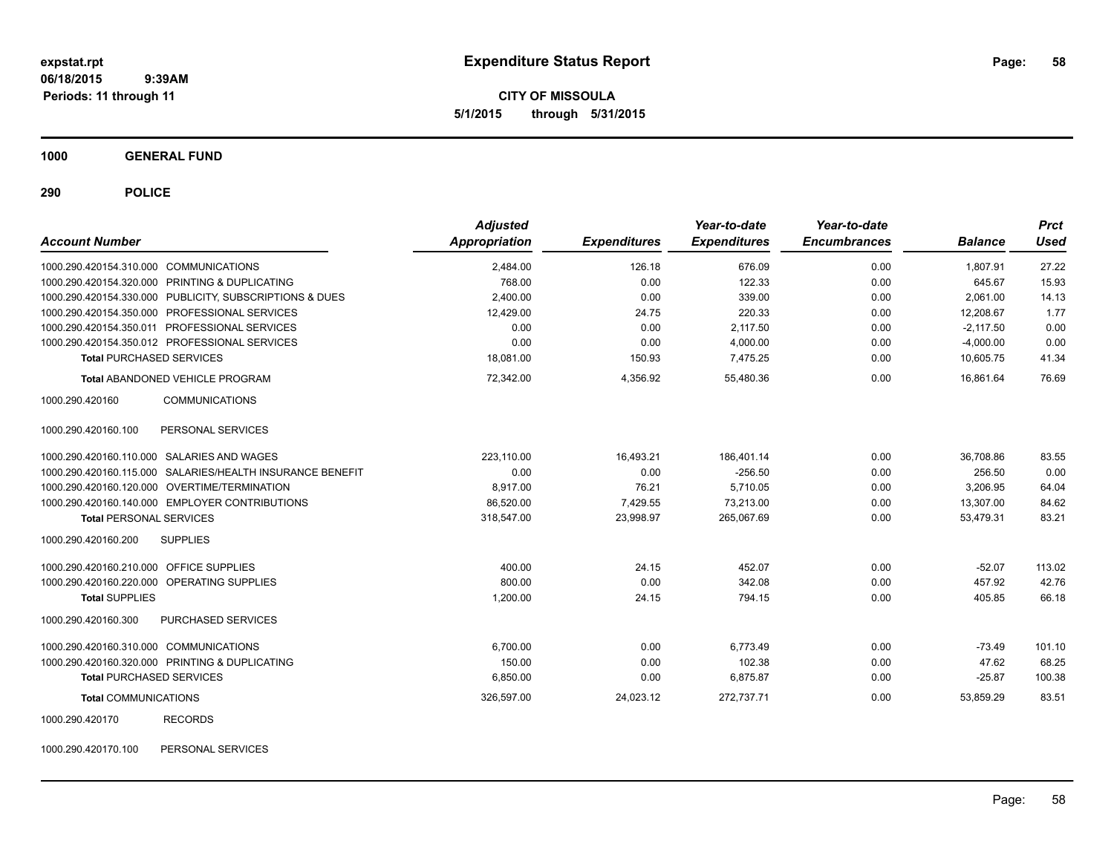**CITY OF MISSOULA 5/1/2015 through 5/31/2015**

**1000 GENERAL FUND**

**290 POLICE**

| <b>Account Number</b>                                     | Appropriation | <b>Expenditures</b> | Year-to-date<br><b>Expenditures</b> | Year-to-date<br><b>Encumbrances</b> | <b>Balance</b> | <b>Prct</b><br><b>Used</b> |
|-----------------------------------------------------------|---------------|---------------------|-------------------------------------|-------------------------------------|----------------|----------------------------|
| 1000.290.420154.310.000 COMMUNICATIONS                    | 2,484.00      | 126.18              | 676.09                              | 0.00                                | 1,807.91       | 27.22                      |
| 1000.290.420154.320.000 PRINTING & DUPLICATING            | 768.00        | 0.00                | 122.33                              | 0.00                                | 645.67         | 15.93                      |
| 1000.290.420154.330.000 PUBLICITY, SUBSCRIPTIONS & DUES   | 2.400.00      | 0.00                | 339.00                              | 0.00                                | 2,061.00       | 14.13                      |
| 1000.290.420154.350.000 PROFESSIONAL SERVICES             | 12,429.00     | 24.75               | 220.33                              | 0.00                                | 12,208.67      | 1.77                       |
| 1000.290.420154.350.011 PROFESSIONAL SERVICES             | 0.00          | 0.00                | 2,117.50                            | 0.00                                | $-2,117.50$    | 0.00                       |
| 1000.290.420154.350.012 PROFESSIONAL SERVICES             | 0.00          | 0.00                | 4,000.00                            | 0.00                                | $-4,000.00$    | 0.00                       |
| <b>Total PURCHASED SERVICES</b>                           | 18,081.00     | 150.93              | 7,475.25                            | 0.00                                | 10,605.75      | 41.34                      |
| <b>Total ABANDONED VEHICLE PROGRAM</b>                    | 72.342.00     | 4,356.92            | 55.480.36                           | 0.00                                | 16.861.64      | 76.69                      |
| <b>COMMUNICATIONS</b><br>1000.290.420160                  |               |                     |                                     |                                     |                |                            |
| 1000.290.420160.100<br>PERSONAL SERVICES                  |               |                     |                                     |                                     |                |                            |
| 1000.290.420160.110.000 SALARIES AND WAGES                | 223.110.00    | 16.493.21           | 186.401.14                          | 0.00                                | 36,708.86      | 83.55                      |
| 1000.290.420160.115.000 SALARIES/HEALTH INSURANCE BENEFIT | 0.00          | 0.00                | $-256.50$                           | 0.00                                | 256.50         | 0.00                       |
| 1000.290.420160.120.000 OVERTIME/TERMINATION              | 8,917.00      | 76.21               | 5,710.05                            | 0.00                                | 3,206.95       | 64.04                      |
| 1000.290.420160.140.000 EMPLOYER CONTRIBUTIONS            | 86,520.00     | 7,429.55            | 73,213.00                           | 0.00                                | 13,307.00      | 84.62                      |
| <b>Total PERSONAL SERVICES</b>                            | 318,547.00    | 23,998.97           | 265,067.69                          | 0.00                                | 53,479.31      | 83.21                      |
| <b>SUPPLIES</b><br>1000.290.420160.200                    |               |                     |                                     |                                     |                |                            |
| 1000.290.420160.210.000 OFFICE SUPPLIES                   | 400.00        | 24.15               | 452.07                              | 0.00                                | $-52.07$       | 113.02                     |
| 1000.290.420160.220.000 OPERATING SUPPLIES                | 800.00        | 0.00                | 342.08                              | 0.00                                | 457.92         | 42.76                      |
| <b>Total SUPPLIES</b>                                     | 1,200.00      | 24.15               | 794.15                              | 0.00                                | 405.85         | 66.18                      |
| 1000.290.420160.300<br>PURCHASED SERVICES                 |               |                     |                                     |                                     |                |                            |
| 1000.290.420160.310.000 COMMUNICATIONS                    | 6,700.00      | 0.00                | 6,773.49                            | 0.00                                | $-73.49$       | 101.10                     |
| 1000.290.420160.320.000 PRINTING & DUPLICATING            | 150.00        | 0.00                | 102.38                              | 0.00                                | 47.62          | 68.25                      |
| <b>Total PURCHASED SERVICES</b>                           | 6,850.00      | 0.00                | 6,875.87                            | 0.00                                | $-25.87$       | 100.38                     |
| <b>Total COMMUNICATIONS</b>                               | 326,597.00    | 24,023.12           | 272,737.71                          | 0.00                                | 53,859.29      | 83.51                      |
| 1000.290.420170<br><b>RECORDS</b>                         |               |                     |                                     |                                     |                |                            |

1000.290.420170.100 PERSONAL SERVICES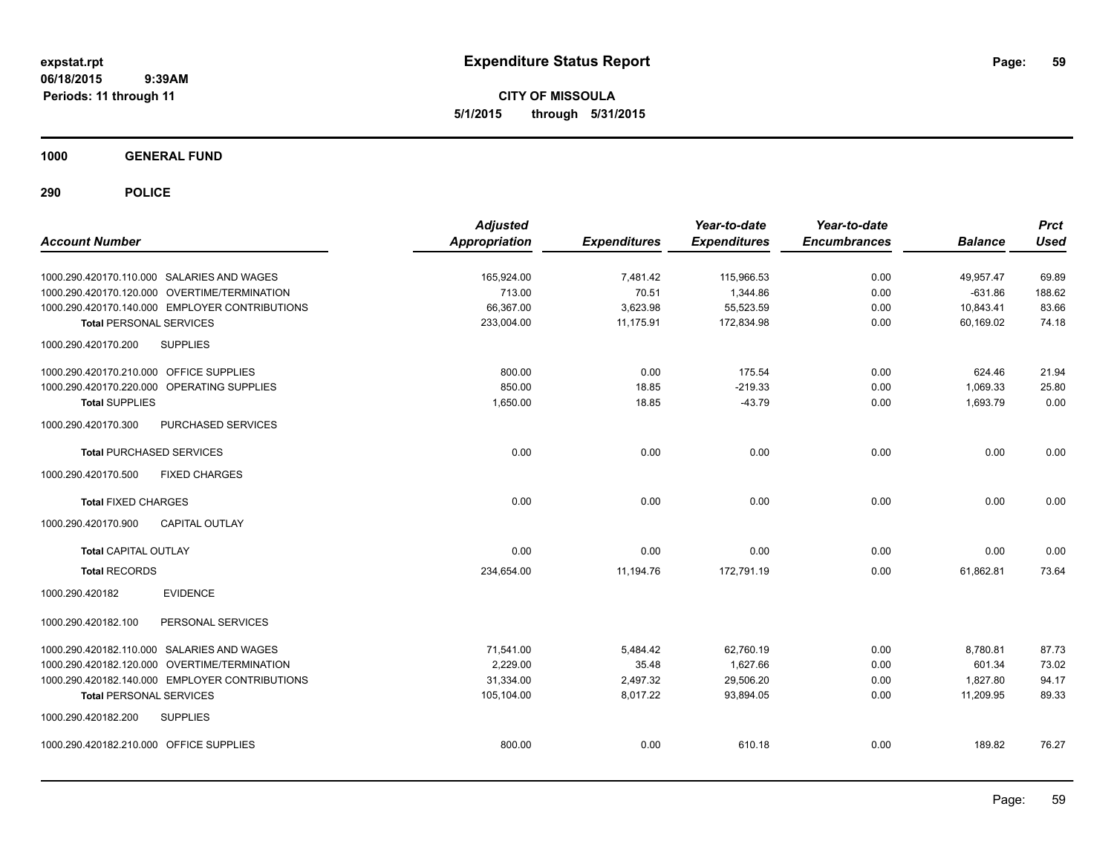**CITY OF MISSOULA 5/1/2015 through 5/31/2015**

**1000 GENERAL FUND**

| <b>Account Number</b>                          | <b>Adjusted</b><br>Appropriation | <b>Expenditures</b> | Year-to-date<br><b>Expenditures</b> | Year-to-date<br><b>Encumbrances</b> | <b>Balance</b> | <b>Prct</b><br><b>Used</b> |
|------------------------------------------------|----------------------------------|---------------------|-------------------------------------|-------------------------------------|----------------|----------------------------|
| 1000.290.420170.110.000 SALARIES AND WAGES     | 165,924.00                       | 7,481.42            | 115,966.53                          | 0.00                                | 49,957.47      | 69.89                      |
| 1000.290.420170.120.000 OVERTIME/TERMINATION   | 713.00                           | 70.51               | 1,344.86                            | 0.00                                | $-631.86$      | 188.62                     |
| 1000.290.420170.140.000 EMPLOYER CONTRIBUTIONS | 66,367.00                        | 3,623.98            | 55,523.59                           | 0.00                                | 10,843.41      | 83.66                      |
| <b>Total PERSONAL SERVICES</b>                 | 233,004.00                       | 11,175.91           | 172,834.98                          | 0.00                                | 60,169.02      | 74.18                      |
| 1000.290.420170.200<br><b>SUPPLIES</b>         |                                  |                     |                                     |                                     |                |                            |
| 1000.290.420170.210.000 OFFICE SUPPLIES        | 800.00                           | 0.00                | 175.54                              | 0.00                                | 624.46         | 21.94                      |
| 1000.290.420170.220.000 OPERATING SUPPLIES     | 850.00                           | 18.85               | $-219.33$                           | 0.00                                | 1,069.33       | 25.80                      |
| <b>Total SUPPLIES</b>                          | 1,650.00                         | 18.85               | $-43.79$                            | 0.00                                | 1,693.79       | 0.00                       |
| 1000.290.420170.300<br>PURCHASED SERVICES      |                                  |                     |                                     |                                     |                |                            |
| <b>Total PURCHASED SERVICES</b>                | 0.00                             | 0.00                | 0.00                                | 0.00                                | 0.00           | 0.00                       |
| 1000.290.420170.500<br><b>FIXED CHARGES</b>    |                                  |                     |                                     |                                     |                |                            |
| <b>Total FIXED CHARGES</b>                     | 0.00                             | 0.00                | 0.00                                | 0.00                                | 0.00           | 0.00                       |
| 1000.290.420170.900<br><b>CAPITAL OUTLAY</b>   |                                  |                     |                                     |                                     |                |                            |
| <b>Total CAPITAL OUTLAY</b>                    | 0.00                             | 0.00                | 0.00                                | 0.00                                | 0.00           | 0.00                       |
| <b>Total RECORDS</b>                           | 234,654.00                       | 11,194.76           | 172,791.19                          | 0.00                                | 61,862.81      | 73.64                      |
| <b>EVIDENCE</b><br>1000.290.420182             |                                  |                     |                                     |                                     |                |                            |
| 1000.290.420182.100<br>PERSONAL SERVICES       |                                  |                     |                                     |                                     |                |                            |
| 1000.290.420182.110.000 SALARIES AND WAGES     | 71,541.00                        | 5,484.42            | 62,760.19                           | 0.00                                | 8,780.81       | 87.73                      |
| 1000.290.420182.120.000 OVERTIME/TERMINATION   | 2,229.00                         | 35.48               | 1,627.66                            | 0.00                                | 601.34         | 73.02                      |
| 1000.290.420182.140.000 EMPLOYER CONTRIBUTIONS | 31,334.00                        | 2,497.32            | 29,506.20                           | 0.00                                | 1,827.80       | 94.17                      |
| <b>Total PERSONAL SERVICES</b>                 | 105,104.00                       | 8,017.22            | 93,894.05                           | 0.00                                | 11,209.95      | 89.33                      |
| 1000.290.420182.200<br><b>SUPPLIES</b>         |                                  |                     |                                     |                                     |                |                            |
| 1000.290.420182.210.000 OFFICE SUPPLIES        | 800.00                           | 0.00                | 610.18                              | 0.00                                | 189.82         | 76.27                      |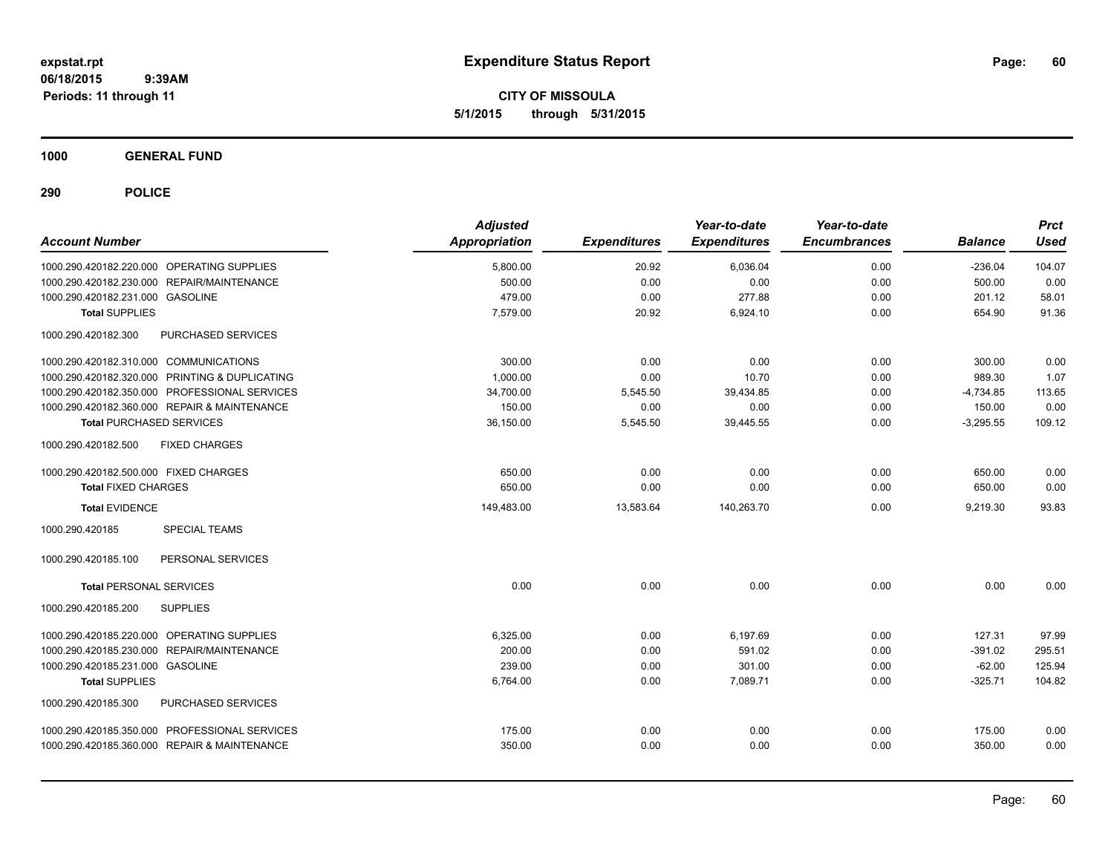**CITY OF MISSOULA 5/1/2015 through 5/31/2015**

**1000 GENERAL FUND**

| <b>Account Number</b>                          | <b>Adjusted</b><br>Appropriation | <b>Expenditures</b> | Year-to-date<br><b>Expenditures</b> | Year-to-date<br><b>Encumbrances</b> | <b>Balance</b> | <b>Prct</b><br><b>Used</b> |
|------------------------------------------------|----------------------------------|---------------------|-------------------------------------|-------------------------------------|----------------|----------------------------|
| 1000.290.420182.220.000 OPERATING SUPPLIES     | 5,800.00                         | 20.92               | 6,036.04                            | 0.00                                | $-236.04$      | 104.07                     |
| 1000.290.420182.230.000 REPAIR/MAINTENANCE     | 500.00                           | 0.00                | 0.00                                | 0.00                                | 500.00         | 0.00                       |
| 1000.290.420182.231.000 GASOLINE               | 479.00                           | 0.00                | 277.88                              | 0.00                                | 201.12         | 58.01                      |
| <b>Total SUPPLIES</b>                          | 7,579.00                         | 20.92               | 6,924.10                            | 0.00                                | 654.90         | 91.36                      |
| 1000.290.420182.300<br>PURCHASED SERVICES      |                                  |                     |                                     |                                     |                |                            |
| 1000.290.420182.310.000 COMMUNICATIONS         | 300.00                           | 0.00                | 0.00                                | 0.00                                | 300.00         | 0.00                       |
| 1000.290.420182.320.000 PRINTING & DUPLICATING | 1,000.00                         | 0.00                | 10.70                               | 0.00                                | 989.30         | 1.07                       |
| 1000.290.420182.350.000 PROFESSIONAL SERVICES  | 34,700.00                        | 5,545.50            | 39,434.85                           | 0.00                                | $-4,734.85$    | 113.65                     |
| 1000.290.420182.360.000 REPAIR & MAINTENANCE   | 150.00                           | 0.00                | 0.00                                | 0.00                                | 150.00         | 0.00                       |
| <b>Total PURCHASED SERVICES</b>                | 36,150.00                        | 5,545.50            | 39,445.55                           | 0.00                                | $-3,295.55$    | 109.12                     |
| 1000.290.420182.500<br><b>FIXED CHARGES</b>    |                                  |                     |                                     |                                     |                |                            |
| 1000.290.420182.500.000 FIXED CHARGES          | 650.00                           | 0.00                | 0.00                                | 0.00                                | 650.00         | 0.00                       |
| <b>Total FIXED CHARGES</b>                     | 650.00                           | 0.00                | 0.00                                | 0.00                                | 650.00         | 0.00                       |
| <b>Total EVIDENCE</b>                          | 149,483.00                       | 13,583.64           | 140,263.70                          | 0.00                                | 9,219.30       | 93.83                      |
| 1000.290.420185<br><b>SPECIAL TEAMS</b>        |                                  |                     |                                     |                                     |                |                            |
| 1000.290.420185.100<br>PERSONAL SERVICES       |                                  |                     |                                     |                                     |                |                            |
| <b>Total PERSONAL SERVICES</b>                 | 0.00                             | 0.00                | 0.00                                | 0.00                                | 0.00           | 0.00                       |
| <b>SUPPLIES</b><br>1000.290.420185.200         |                                  |                     |                                     |                                     |                |                            |
| 1000.290.420185.220.000 OPERATING SUPPLIES     | 6,325.00                         | 0.00                | 6,197.69                            | 0.00                                | 127.31         | 97.99                      |
| 1000.290.420185.230.000 REPAIR/MAINTENANCE     | 200.00                           | 0.00                | 591.02                              | 0.00                                | $-391.02$      | 295.51                     |
| 1000.290.420185.231.000 GASOLINE               | 239.00                           | 0.00                | 301.00                              | 0.00                                | $-62.00$       | 125.94                     |
| <b>Total SUPPLIES</b>                          | 6,764.00                         | 0.00                | 7,089.71                            | 0.00                                | $-325.71$      | 104.82                     |
| 1000.290.420185.300<br>PURCHASED SERVICES      |                                  |                     |                                     |                                     |                |                            |
| 1000.290.420185.350.000 PROFESSIONAL SERVICES  | 175.00                           | 0.00                | 0.00                                | 0.00                                | 175.00         | 0.00                       |
| 1000.290.420185.360.000 REPAIR & MAINTENANCE   | 350.00                           | 0.00                | 0.00                                | 0.00                                | 350.00         | 0.00                       |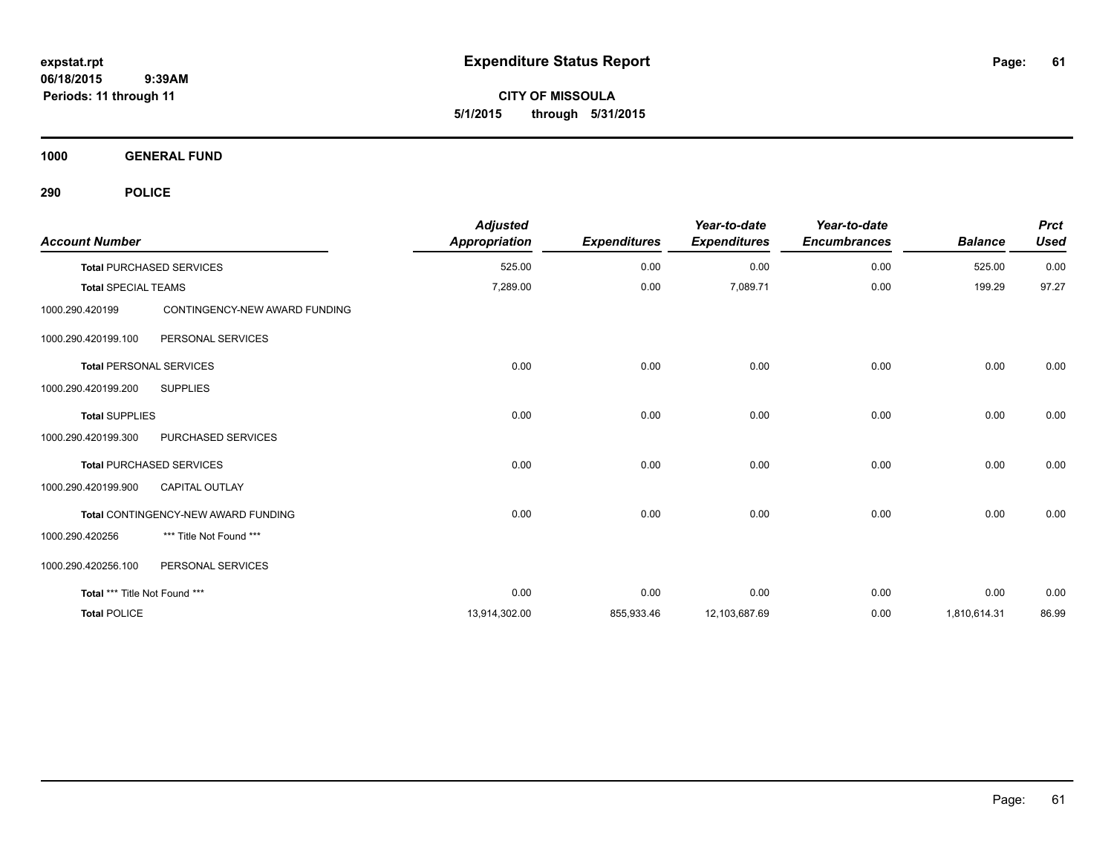**CITY OF MISSOULA 5/1/2015 through 5/31/2015**

**1000 GENERAL FUND**

| <b>Account Number</b>          |                                     | <b>Adjusted</b><br><b>Appropriation</b> | <b>Expenditures</b> | Year-to-date<br><b>Expenditures</b> | Year-to-date<br><b>Encumbrances</b> | <b>Balance</b> | <b>Prct</b><br><b>Used</b> |
|--------------------------------|-------------------------------------|-----------------------------------------|---------------------|-------------------------------------|-------------------------------------|----------------|----------------------------|
|                                | <b>Total PURCHASED SERVICES</b>     | 525.00                                  | 0.00                | 0.00                                | 0.00                                | 525.00         | 0.00                       |
| <b>Total SPECIAL TEAMS</b>     |                                     | 7,289.00                                | 0.00                | 7,089.71                            | 0.00                                | 199.29         | 97.27                      |
| 1000.290.420199                | CONTINGENCY-NEW AWARD FUNDING       |                                         |                     |                                     |                                     |                |                            |
| 1000.290.420199.100            | PERSONAL SERVICES                   |                                         |                     |                                     |                                     |                |                            |
| <b>Total PERSONAL SERVICES</b> |                                     | 0.00                                    | 0.00                | 0.00                                | 0.00                                | 0.00           | 0.00                       |
| 1000.290.420199.200            | <b>SUPPLIES</b>                     |                                         |                     |                                     |                                     |                |                            |
| <b>Total SUPPLIES</b>          |                                     | 0.00                                    | 0.00                | 0.00                                | 0.00                                | 0.00           | 0.00                       |
| 1000.290.420199.300            | PURCHASED SERVICES                  |                                         |                     |                                     |                                     |                |                            |
|                                | <b>Total PURCHASED SERVICES</b>     | 0.00                                    | 0.00                | 0.00                                | 0.00                                | 0.00           | 0.00                       |
| 1000.290.420199.900            | CAPITAL OUTLAY                      |                                         |                     |                                     |                                     |                |                            |
|                                | Total CONTINGENCY-NEW AWARD FUNDING | 0.00                                    | 0.00                | 0.00                                | 0.00                                | 0.00           | 0.00                       |
| 1000.290.420256                | *** Title Not Found ***             |                                         |                     |                                     |                                     |                |                            |
| 1000.290.420256.100            | PERSONAL SERVICES                   |                                         |                     |                                     |                                     |                |                            |
| Total *** Title Not Found ***  |                                     | 0.00                                    | 0.00                | 0.00                                | 0.00                                | 0.00           | 0.00                       |
| <b>Total POLICE</b>            |                                     | 13,914,302.00                           | 855,933.46          | 12,103,687.69                       | 0.00                                | 1,810,614.31   | 86.99                      |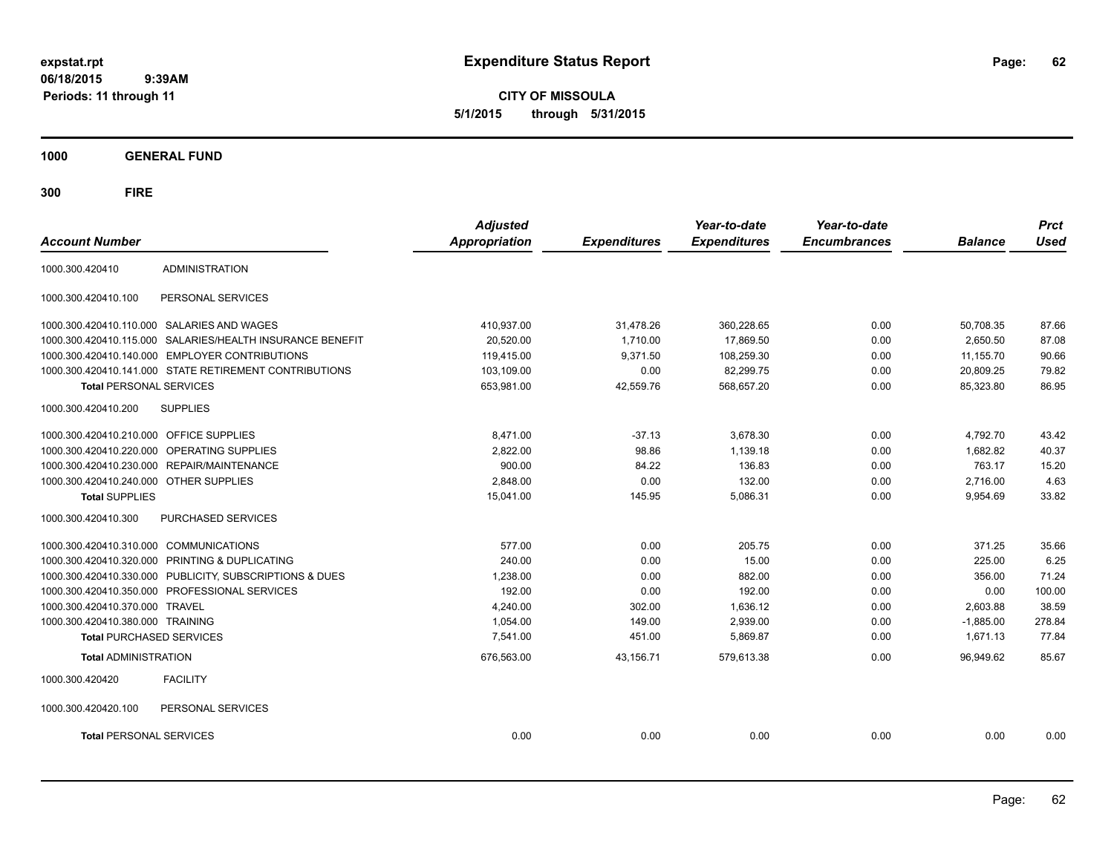**CITY OF MISSOULA 5/1/2015 through 5/31/2015**

**1000 GENERAL FUND**

| <b>Account Number</b>                   |                                                         | <b>Adjusted</b><br><b>Appropriation</b> | <b>Expenditures</b> | Year-to-date<br><b>Expenditures</b> | Year-to-date<br><b>Encumbrances</b> | <b>Balance</b> | <b>Prct</b><br><b>Used</b> |
|-----------------------------------------|---------------------------------------------------------|-----------------------------------------|---------------------|-------------------------------------|-------------------------------------|----------------|----------------------------|
| 1000.300.420410                         | <b>ADMINISTRATION</b>                                   |                                         |                     |                                     |                                     |                |                            |
| 1000.300.420410.100                     | PERSONAL SERVICES                                       |                                         |                     |                                     |                                     |                |                            |
|                                         | 1000.300.420410.110.000 SALARIES AND WAGES              | 410,937.00                              | 31,478.26           | 360,228.65                          | 0.00                                | 50,708.35      | 87.66                      |
| 1000.300.420410.115.000                 | SALARIES/HEALTH INSURANCE BENEFIT                       | 20,520.00                               | 1,710.00            | 17.869.50                           | 0.00                                | 2,650.50       | 87.08                      |
|                                         | 1000.300.420410.140.000 EMPLOYER CONTRIBUTIONS          | 119,415.00                              | 9,371.50            | 108,259.30                          | 0.00                                | 11,155.70      | 90.66                      |
|                                         | 1000.300.420410.141.000 STATE RETIREMENT CONTRIBUTIONS  | 103,109.00                              | 0.00                | 82,299.75                           | 0.00                                | 20,809.25      | 79.82                      |
| <b>Total PERSONAL SERVICES</b>          |                                                         | 653,981.00                              | 42,559.76           | 568,657.20                          | 0.00                                | 85,323.80      | 86.95                      |
| 1000.300.420410.200                     | <b>SUPPLIES</b>                                         |                                         |                     |                                     |                                     |                |                            |
| 1000.300.420410.210.000 OFFICE SUPPLIES |                                                         | 8.471.00                                | $-37.13$            | 3,678.30                            | 0.00                                | 4,792.70       | 43.42                      |
| 1000.300.420410.220.000                 | OPERATING SUPPLIES                                      | 2,822.00                                | 98.86               | 1,139.18                            | 0.00                                | 1,682.82       | 40.37                      |
|                                         | 1000.300.420410.230.000 REPAIR/MAINTENANCE              | 900.00                                  | 84.22               | 136.83                              | 0.00                                | 763.17         | 15.20                      |
| 1000.300.420410.240.000 OTHER SUPPLIES  |                                                         | 2,848.00                                | 0.00                | 132.00                              | 0.00                                | 2,716.00       | 4.63                       |
| <b>Total SUPPLIES</b>                   |                                                         | 15,041.00                               | 145.95              | 5,086.31                            | 0.00                                | 9,954.69       | 33.82                      |
| 1000.300.420410.300                     | <b>PURCHASED SERVICES</b>                               |                                         |                     |                                     |                                     |                |                            |
| 1000.300.420410.310.000 COMMUNICATIONS  |                                                         | 577.00                                  | 0.00                | 205.75                              | 0.00                                | 371.25         | 35.66                      |
|                                         | 1000.300.420410.320.000 PRINTING & DUPLICATING          | 240.00                                  | 0.00                | 15.00                               | 0.00                                | 225.00         | 6.25                       |
|                                         | 1000.300.420410.330.000 PUBLICITY, SUBSCRIPTIONS & DUES | 1,238.00                                | 0.00                | 882.00                              | 0.00                                | 356.00         | 71.24                      |
|                                         | 1000.300.420410.350.000 PROFESSIONAL SERVICES           | 192.00                                  | 0.00                | 192.00                              | 0.00                                | 0.00           | 100.00                     |
| 1000.300.420410.370.000 TRAVEL          |                                                         | 4,240.00                                | 302.00              | 1,636.12                            | 0.00                                | 2,603.88       | 38.59                      |
| 1000.300.420410.380.000 TRAINING        |                                                         | 1,054.00                                | 149.00              | 2,939.00                            | 0.00                                | $-1,885.00$    | 278.84                     |
| <b>Total PURCHASED SERVICES</b>         |                                                         | 7,541.00                                | 451.00              | 5,869.87                            | 0.00                                | 1,671.13       | 77.84                      |
| <b>Total ADMINISTRATION</b>             |                                                         | 676,563.00                              | 43,156.71           | 579,613.38                          | 0.00                                | 96,949.62      | 85.67                      |
| 1000.300.420420                         | <b>FACILITY</b>                                         |                                         |                     |                                     |                                     |                |                            |
| 1000.300.420420.100                     | PERSONAL SERVICES                                       |                                         |                     |                                     |                                     |                |                            |
| <b>Total PERSONAL SERVICES</b>          |                                                         | 0.00                                    | 0.00                | 0.00                                | 0.00                                | 0.00           | 0.00                       |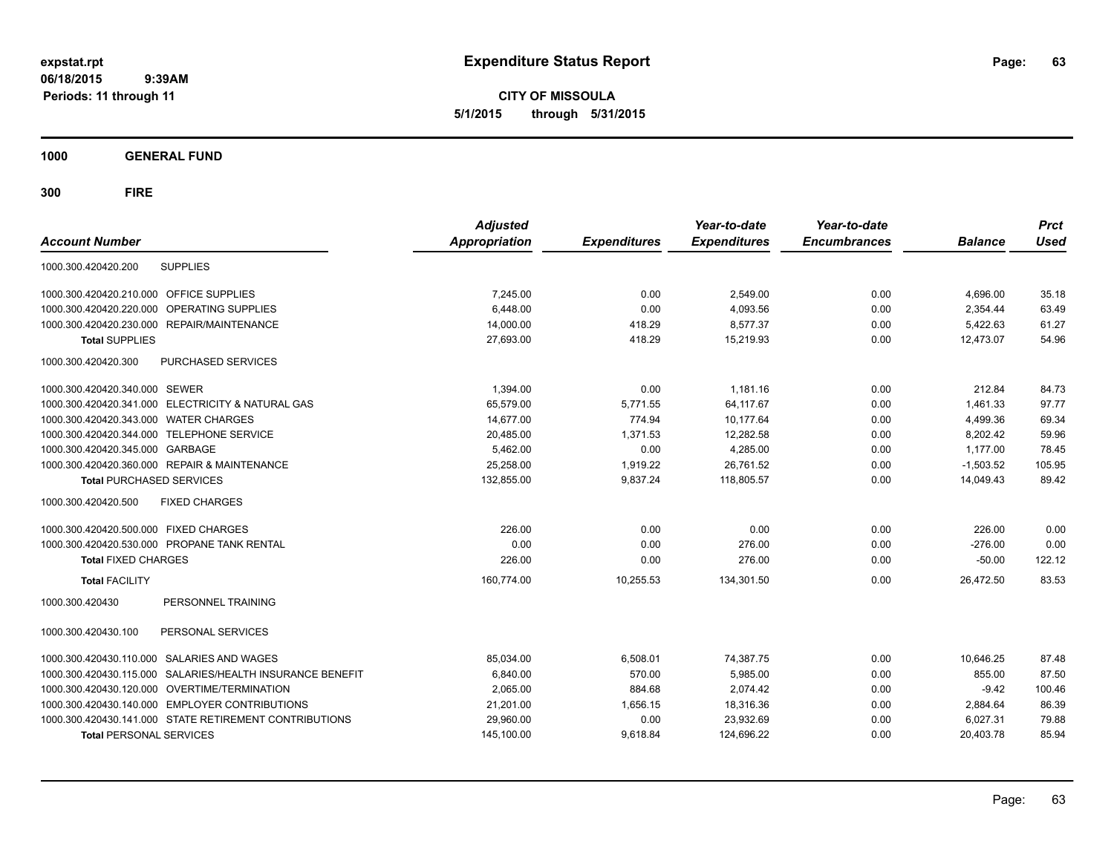**CITY OF MISSOULA 5/1/2015 through 5/31/2015**

**1000 GENERAL FUND**

| <b>Account Number</b>                                           | <b>Adjusted</b><br><b>Appropriation</b> | <b>Expenditures</b> | Year-to-date<br><b>Expenditures</b> | Year-to-date<br><b>Encumbrances</b> | <b>Balance</b> | <b>Prct</b><br><b>Used</b> |
|-----------------------------------------------------------------|-----------------------------------------|---------------------|-------------------------------------|-------------------------------------|----------------|----------------------------|
| <b>SUPPLIES</b><br>1000.300.420420.200                          |                                         |                     |                                     |                                     |                |                            |
| 1000.300.420420.210.000 OFFICE SUPPLIES                         | 7,245.00                                | 0.00                | 2,549.00                            | 0.00                                | 4,696.00       | 35.18                      |
| OPERATING SUPPLIES<br>1000.300.420420.220.000                   | 6,448.00                                | 0.00                | 4,093.56                            | 0.00                                | 2,354.44       | 63.49                      |
| <b>REPAIR/MAINTENANCE</b><br>1000.300.420420.230.000            | 14,000.00                               | 418.29              | 8.577.37                            | 0.00                                | 5,422.63       | 61.27                      |
| <b>Total SUPPLIES</b>                                           | 27,693.00                               | 418.29              | 15,219.93                           | 0.00                                | 12,473.07      | 54.96                      |
| PURCHASED SERVICES<br>1000.300.420420.300                       |                                         |                     |                                     |                                     |                |                            |
| 1000.300.420420.340.000 SEWER                                   | 1,394.00                                | 0.00                | 1,181.16                            | 0.00                                | 212.84         | 84.73                      |
| <b>ELECTRICITY &amp; NATURAL GAS</b><br>1000.300.420420.341.000 | 65,579.00                               | 5,771.55            | 64,117.67                           | 0.00                                | 1,461.33       | 97.77                      |
| <b>WATER CHARGES</b><br>1000.300.420420.343.000                 | 14,677.00                               | 774.94              | 10,177.64                           | 0.00                                | 4,499.36       | 69.34                      |
| <b>TELEPHONE SERVICE</b><br>1000.300.420420.344.000             | 20,485.00                               | 1,371.53            | 12,282.58                           | 0.00                                | 8,202.42       | 59.96                      |
| 1000.300.420420.345.000<br>GARBAGE                              | 5,462.00                                | 0.00                | 4,285.00                            | 0.00                                | 1,177.00       | 78.45                      |
| 1000.300.420420.360.000 REPAIR & MAINTENANCE                    | 25,258.00                               | 1,919.22            | 26,761.52                           | 0.00                                | $-1,503.52$    | 105.95                     |
| <b>Total PURCHASED SERVICES</b>                                 | 132.855.00                              | 9.837.24            | 118.805.57                          | 0.00                                | 14.049.43      | 89.42                      |
| 1000.300.420420.500<br><b>FIXED CHARGES</b>                     |                                         |                     |                                     |                                     |                |                            |
| 1000.300.420420.500.000 FIXED CHARGES                           | 226.00                                  | 0.00                | 0.00                                | 0.00                                | 226.00         | 0.00                       |
| PROPANE TANK RENTAL<br>1000.300.420420.530.000                  | 0.00                                    | 0.00                | 276.00                              | 0.00                                | $-276.00$      | 0.00                       |
| <b>Total FIXED CHARGES</b>                                      | 226.00                                  | 0.00                | 276.00                              | 0.00                                | $-50.00$       | 122.12                     |
| <b>Total FACILITY</b>                                           | 160,774.00                              | 10,255.53           | 134,301.50                          | 0.00                                | 26,472.50      | 83.53                      |
| PERSONNEL TRAINING<br>1000.300.420430                           |                                         |                     |                                     |                                     |                |                            |
| PERSONAL SERVICES<br>1000.300.420430.100                        |                                         |                     |                                     |                                     |                |                            |
| SALARIES AND WAGES<br>1000.300.420430.110.000                   | 85,034.00                               | 6,508.01            | 74,387.75                           | 0.00                                | 10,646.25      | 87.48                      |
| SALARIES/HEALTH INSURANCE BENEFIT<br>1000.300.420430.115.000    | 6,840.00                                | 570.00              | 5,985.00                            | 0.00                                | 855.00         | 87.50                      |
| <b>OVERTIME/TERMINATION</b><br>1000.300.420430.120.000          | 2,065.00                                | 884.68              | 2,074.42                            | 0.00                                | $-9.42$        | 100.46                     |
| <b>EMPLOYER CONTRIBUTIONS</b><br>1000.300.420430.140.000        | 21,201.00                               | 1,656.15            | 18,316.36                           | 0.00                                | 2,884.64       | 86.39                      |
| 1000.300.420430.141.000 STATE RETIREMENT CONTRIBUTIONS          | 29,960.00                               | 0.00                | 23,932.69                           | 0.00                                | 6,027.31       | 79.88                      |
| <b>Total PERSONAL SERVICES</b>                                  | 145,100.00                              | 9,618.84            | 124,696.22                          | 0.00                                | 20,403.78      | 85.94                      |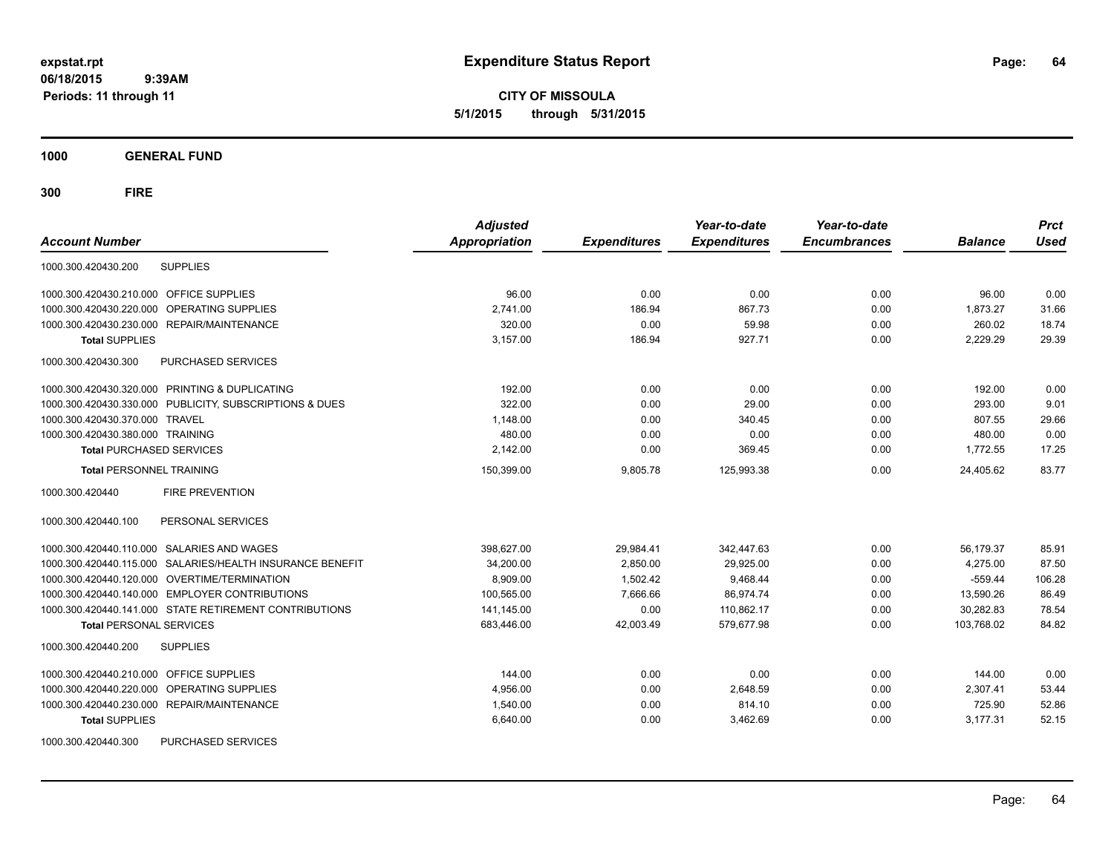**CITY OF MISSOULA 5/1/2015 through 5/31/2015**

**1000 GENERAL FUND**

| <b>Account Number</b>                                        | <b>Adjusted</b><br><b>Appropriation</b> | <b>Expenditures</b> | Year-to-date<br><b>Expenditures</b> | Year-to-date<br><b>Encumbrances</b> | <b>Balance</b> | <b>Prct</b><br><b>Used</b> |
|--------------------------------------------------------------|-----------------------------------------|---------------------|-------------------------------------|-------------------------------------|----------------|----------------------------|
| <b>SUPPLIES</b><br>1000.300.420430.200                       |                                         |                     |                                     |                                     |                |                            |
|                                                              |                                         |                     |                                     |                                     |                |                            |
| 1000.300.420430.210.000 OFFICE SUPPLIES                      | 96.00                                   | 0.00                | 0.00                                | 0.00                                | 96.00          | 0.00                       |
| 1000.300.420430.220.000<br>OPERATING SUPPLIES                | 2,741.00                                | 186.94              | 867.73                              | 0.00                                | 1,873.27       | 31.66                      |
| 1000.300.420430.230.000 REPAIR/MAINTENANCE                   | 320.00                                  | 0.00                | 59.98                               | 0.00                                | 260.02         | 18.74                      |
| <b>Total SUPPLIES</b>                                        | 3,157.00                                | 186.94              | 927.71                              | 0.00                                | 2,229.29       | 29.39                      |
| 1000.300.420430.300<br>PURCHASED SERVICES                    |                                         |                     |                                     |                                     |                |                            |
| 1000.300.420430.320.000 PRINTING & DUPLICATING               | 192.00                                  | 0.00                | 0.00                                | 0.00                                | 192.00         | 0.00                       |
| 1000.300.420430.330.000 PUBLICITY, SUBSCRIPTIONS & DUES      | 322.00                                  | 0.00                | 29.00                               | 0.00                                | 293.00         | 9.01                       |
| 1000.300.420430.370.000 TRAVEL                               | 1,148.00                                | 0.00                | 340.45                              | 0.00                                | 807.55         | 29.66                      |
| 1000.300.420430.380.000 TRAINING                             | 480.00                                  | 0.00                | 0.00                                | 0.00                                | 480.00         | 0.00                       |
| <b>Total PURCHASED SERVICES</b>                              | 2,142.00                                | 0.00                | 369.45                              | 0.00                                | 1,772.55       | 17.25                      |
| <b>Total PERSONNEL TRAINING</b>                              | 150,399.00                              | 9,805.78            | 125,993.38                          | 0.00                                | 24,405.62      | 83.77                      |
| 1000.300.420440<br><b>FIRE PREVENTION</b>                    |                                         |                     |                                     |                                     |                |                            |
| PERSONAL SERVICES<br>1000.300.420440.100                     |                                         |                     |                                     |                                     |                |                            |
| 1000.300.420440.110.000 SALARIES AND WAGES                   | 398.627.00                              | 29,984.41           | 342.447.63                          | 0.00                                | 56.179.37      | 85.91                      |
| SALARIES/HEALTH INSURANCE BENEFIT<br>1000.300.420440.115.000 | 34,200.00                               | 2,850.00            | 29,925.00                           | 0.00                                | 4,275.00       | 87.50                      |
| 1000.300.420440.120.000 OVERTIME/TERMINATION                 | 8.909.00                                | 1,502.42            | 9,468.44                            | 0.00                                | $-559.44$      | 106.28                     |
| 1000.300.420440.140.000 EMPLOYER CONTRIBUTIONS               | 100,565.00                              | 7,666.66            | 86,974.74                           | 0.00                                | 13,590.26      | 86.49                      |
| 1000.300.420440.141.000 STATE RETIREMENT CONTRIBUTIONS       | 141,145.00                              | 0.00                | 110,862.17                          | 0.00                                | 30,282.83      | 78.54                      |
| <b>Total PERSONAL SERVICES</b>                               | 683,446.00                              | 42,003.49           | 579,677.98                          | 0.00                                | 103,768.02     | 84.82                      |
| 1000.300.420440.200<br><b>SUPPLIES</b>                       |                                         |                     |                                     |                                     |                |                            |
| 1000.300.420440.210.000 OFFICE SUPPLIES                      | 144.00                                  | 0.00                | 0.00                                | 0.00                                | 144.00         | 0.00                       |
| OPERATING SUPPLIES<br>1000.300.420440.220.000                | 4,956.00                                | 0.00                | 2,648.59                            | 0.00                                | 2,307.41       | 53.44                      |
| 1000.300.420440.230.000 REPAIR/MAINTENANCE                   | 1,540.00                                | 0.00                | 814.10                              | 0.00                                | 725.90         | 52.86                      |
| <b>Total SUPPLIES</b>                                        | 6,640.00                                | 0.00                | 3,462.69                            | 0.00                                | 3,177.31       | 52.15                      |
| 1000.300.420440.300<br>PURCHASED SERVICES                    |                                         |                     |                                     |                                     |                |                            |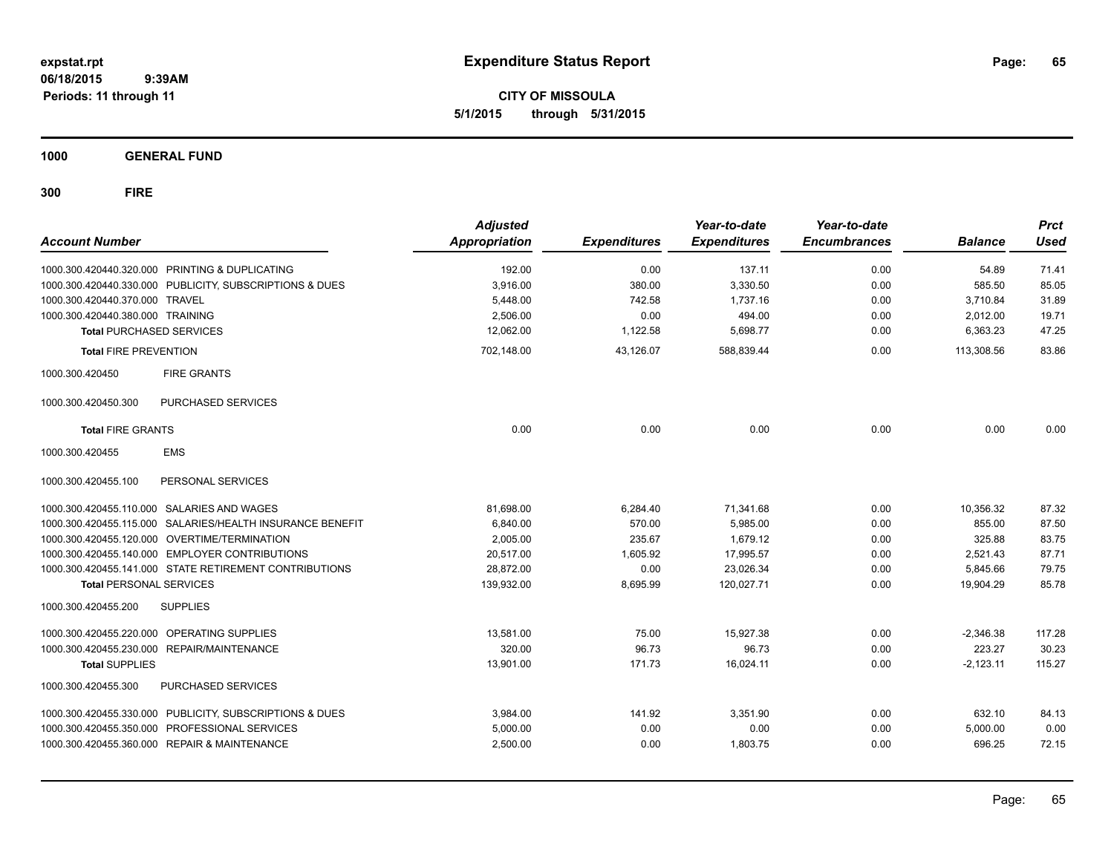**CITY OF MISSOULA 5/1/2015 through 5/31/2015**

**1000 GENERAL FUND**

| <b>Account Number</b>            |                                                         | <b>Adjusted</b><br>Appropriation | <b>Expenditures</b> | Year-to-date<br><b>Expenditures</b> | Year-to-date<br><b>Encumbrances</b> | <b>Balance</b> | <b>Prct</b><br><b>Used</b> |
|----------------------------------|---------------------------------------------------------|----------------------------------|---------------------|-------------------------------------|-------------------------------------|----------------|----------------------------|
|                                  | 1000.300.420440.320.000 PRINTING & DUPLICATING          | 192.00                           | 0.00                | 137.11                              | 0.00                                | 54.89          | 71.41                      |
|                                  | 1000.300.420440.330.000 PUBLICITY, SUBSCRIPTIONS & DUES | 3.916.00                         | 380.00              | 3,330.50                            | 0.00                                | 585.50         | 85.05                      |
| 1000.300.420440.370.000 TRAVEL   |                                                         | 5,448.00                         | 742.58              | 1,737.16                            | 0.00                                | 3,710.84       | 31.89                      |
| 1000.300.420440.380.000 TRAINING |                                                         | 2,506.00                         | 0.00                | 494.00                              | 0.00                                | 2,012.00       | 19.71                      |
| <b>Total PURCHASED SERVICES</b>  |                                                         | 12,062.00                        | 1,122.58            | 5,698.77                            | 0.00                                | 6,363.23       | 47.25                      |
| <b>Total FIRE PREVENTION</b>     |                                                         | 702,148.00                       | 43.126.07           | 588,839.44                          | 0.00                                | 113,308.56     | 83.86                      |
| 1000.300.420450                  | <b>FIRE GRANTS</b>                                      |                                  |                     |                                     |                                     |                |                            |
| 1000.300.420450.300              | PURCHASED SERVICES                                      |                                  |                     |                                     |                                     |                |                            |
| <b>Total FIRE GRANTS</b>         |                                                         | 0.00                             | 0.00                | 0.00                                | 0.00                                | 0.00           | 0.00                       |
| 1000.300.420455                  | <b>EMS</b>                                              |                                  |                     |                                     |                                     |                |                            |
| 1000.300.420455.100              | PERSONAL SERVICES                                       |                                  |                     |                                     |                                     |                |                            |
|                                  | 1000.300.420455.110.000 SALARIES AND WAGES              | 81.698.00                        | 6.284.40            | 71,341.68                           | 0.00                                | 10.356.32      | 87.32                      |
| 1000.300.420455.115.000          | SALARIES/HEALTH INSURANCE BENEFIT                       | 6,840.00                         | 570.00              | 5,985.00                            | 0.00                                | 855.00         | 87.50                      |
|                                  | 1000.300.420455.120.000 OVERTIME/TERMINATION            | 2,005.00                         | 235.67              | 1,679.12                            | 0.00                                | 325.88         | 83.75                      |
|                                  | 1000.300.420455.140.000 EMPLOYER CONTRIBUTIONS          | 20,517.00                        | 1,605.92            | 17,995.57                           | 0.00                                | 2,521.43       | 87.71                      |
|                                  | 1000.300.420455.141.000 STATE RETIREMENT CONTRIBUTIONS  | 28,872.00                        | 0.00                | 23,026.34                           | 0.00                                | 5,845.66       | 79.75                      |
| <b>Total PERSONAL SERVICES</b>   |                                                         | 139,932.00                       | 8,695.99            | 120,027.71                          | 0.00                                | 19,904.29      | 85.78                      |
| 1000.300.420455.200              | <b>SUPPLIES</b>                                         |                                  |                     |                                     |                                     |                |                            |
|                                  | 1000.300.420455.220.000 OPERATING SUPPLIES              | 13.581.00                        | 75.00               | 15.927.38                           | 0.00                                | $-2.346.38$    | 117.28                     |
|                                  | 1000.300.420455.230.000 REPAIR/MAINTENANCE              | 320.00                           | 96.73               | 96.73                               | 0.00                                | 223.27         | 30.23                      |
| <b>Total SUPPLIES</b>            |                                                         | 13,901.00                        | 171.73              | 16,024.11                           | 0.00                                | $-2,123.11$    | 115.27                     |
| 1000.300.420455.300              | PURCHASED SERVICES                                      |                                  |                     |                                     |                                     |                |                            |
|                                  | 1000.300.420455.330.000 PUBLICITY, SUBSCRIPTIONS & DUES | 3,984.00                         | 141.92              | 3,351.90                            | 0.00                                | 632.10         | 84.13                      |
|                                  | 1000.300.420455.350.000 PROFESSIONAL SERVICES           | 5,000.00                         | 0.00                | 0.00                                | 0.00                                | 5,000.00       | 0.00                       |
|                                  | 1000.300.420455.360.000 REPAIR & MAINTENANCE            | 2,500.00                         | 0.00                | 1,803.75                            | 0.00                                | 696.25         | 72.15                      |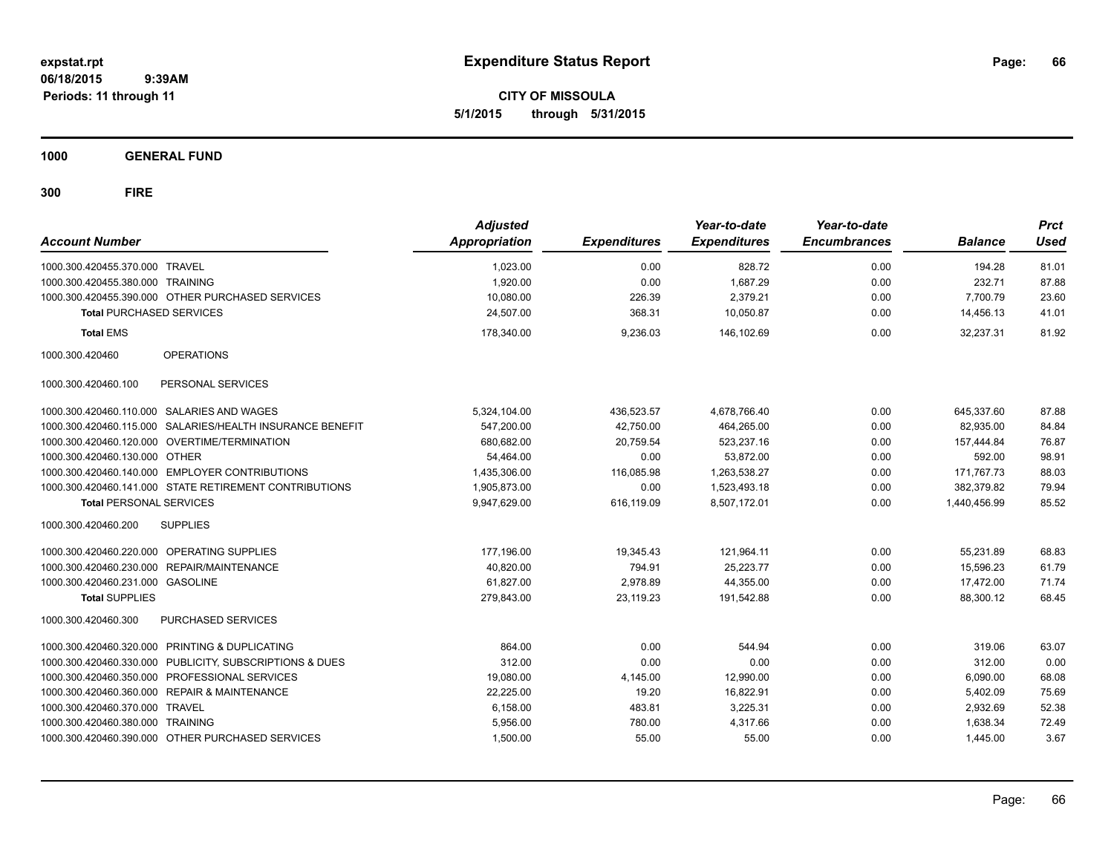**CITY OF MISSOULA 5/1/2015 through 5/31/2015**

**1000 GENERAL FUND**

| <b>Account Number</b>                      |                                                           | <b>Adjusted</b><br><b>Appropriation</b> | <b>Expenditures</b> | Year-to-date<br><b>Expenditures</b> | Year-to-date<br><b>Encumbrances</b> | <b>Balance</b> | <b>Prct</b><br><b>Used</b> |
|--------------------------------------------|-----------------------------------------------------------|-----------------------------------------|---------------------|-------------------------------------|-------------------------------------|----------------|----------------------------|
| 1000.300.420455.370.000 TRAVEL             |                                                           | 1,023.00                                | 0.00                | 828.72                              | 0.00                                | 194.28         | 81.01                      |
| 1000.300.420455.380.000 TRAINING           |                                                           | 1,920.00                                | 0.00                | 1,687.29                            | 0.00                                | 232.71         | 87.88                      |
|                                            | 1000.300.420455.390.000 OTHER PURCHASED SERVICES          | 10,080.00                               | 226.39              | 2,379.21                            | 0.00                                | 7,700.79       | 23.60                      |
| <b>Total PURCHASED SERVICES</b>            |                                                           | 24.507.00                               | 368.31              | 10.050.87                           | 0.00                                | 14,456.13      | 41.01                      |
| <b>Total EMS</b>                           |                                                           | 178,340.00                              | 9,236.03            | 146,102.69                          | 0.00                                | 32,237.31      | 81.92                      |
| 1000.300.420460                            | <b>OPERATIONS</b>                                         |                                         |                     |                                     |                                     |                |                            |
| 1000.300.420460.100                        | PERSONAL SERVICES                                         |                                         |                     |                                     |                                     |                |                            |
| 1000.300.420460.110.000 SALARIES AND WAGES |                                                           | 5,324,104.00                            | 436,523.57          | 4,678,766.40                        | 0.00                                | 645,337.60     | 87.88                      |
|                                            | 1000.300.420460.115.000 SALARIES/HEALTH INSURANCE BENEFIT | 547,200.00                              | 42,750.00           | 464,265.00                          | 0.00                                | 82,935.00      | 84.84                      |
|                                            | 1000.300.420460.120.000 OVERTIME/TERMINATION              | 680,682.00                              | 20,759.54           | 523,237.16                          | 0.00                                | 157,444.84     | 76.87                      |
| 1000.300.420460.130.000 OTHER              |                                                           | 54,464.00                               | 0.00                | 53,872.00                           | 0.00                                | 592.00         | 98.91                      |
|                                            | 1000.300.420460.140.000 EMPLOYER CONTRIBUTIONS            | 1,435,306.00                            | 116,085.98          | 1,263,538.27                        | 0.00                                | 171,767.73     | 88.03                      |
|                                            | 1000.300.420460.141.000 STATE RETIREMENT CONTRIBUTIONS    | 1,905,873.00                            | 0.00                | 1,523,493.18                        | 0.00                                | 382,379.82     | 79.94                      |
| <b>Total PERSONAL SERVICES</b>             |                                                           | 9,947,629.00                            | 616,119.09          | 8,507,172.01                        | 0.00                                | 1,440,456.99   | 85.52                      |
| 1000.300.420460.200                        | <b>SUPPLIES</b>                                           |                                         |                     |                                     |                                     |                |                            |
| 1000.300.420460.220.000 OPERATING SUPPLIES |                                                           | 177,196.00                              | 19,345.43           | 121,964.11                          | 0.00                                | 55,231.89      | 68.83                      |
| 1000.300.420460.230.000 REPAIR/MAINTENANCE |                                                           | 40,820.00                               | 794.91              | 25,223.77                           | 0.00                                | 15,596.23      | 61.79                      |
| 1000.300.420460.231.000 GASOLINE           |                                                           | 61,827.00                               | 2,978.89            | 44,355.00                           | 0.00                                | 17,472.00      | 71.74                      |
| <b>Total SUPPLIES</b>                      |                                                           | 279,843.00                              | 23,119.23           | 191,542.88                          | 0.00                                | 88,300.12      | 68.45                      |
| 1000.300.420460.300                        | PURCHASED SERVICES                                        |                                         |                     |                                     |                                     |                |                            |
| 1000.300.420460.320.000                    | PRINTING & DUPLICATING                                    | 864.00                                  | 0.00                | 544.94                              | 0.00                                | 319.06         | 63.07                      |
| 1000.300.420460.330.000                    | PUBLICITY, SUBSCRIPTIONS & DUES                           | 312.00                                  | 0.00                | 0.00                                | 0.00                                | 312.00         | 0.00                       |
| 1000.300.420460.350.000                    | PROFESSIONAL SERVICES                                     | 19,080.00                               | 4,145.00            | 12,990.00                           | 0.00                                | 6,090.00       | 68.08                      |
| 1000.300.420460.360.000                    | <b>REPAIR &amp; MAINTENANCE</b>                           | 22,225.00                               | 19.20               | 16,822.91                           | 0.00                                | 5,402.09       | 75.69                      |
| 1000.300.420460.370.000                    | <b>TRAVEL</b>                                             | 6,158.00                                | 483.81              | 3,225.31                            | 0.00                                | 2,932.69       | 52.38                      |
| 1000.300.420460.380.000 TRAINING           |                                                           | 5,956.00                                | 780.00              | 4.317.66                            | 0.00                                | 1,638.34       | 72.49                      |
|                                            | 1000.300.420460.390.000 OTHER PURCHASED SERVICES          | 1,500.00                                | 55.00               | 55.00                               | 0.00                                | 1,445.00       | 3.67                       |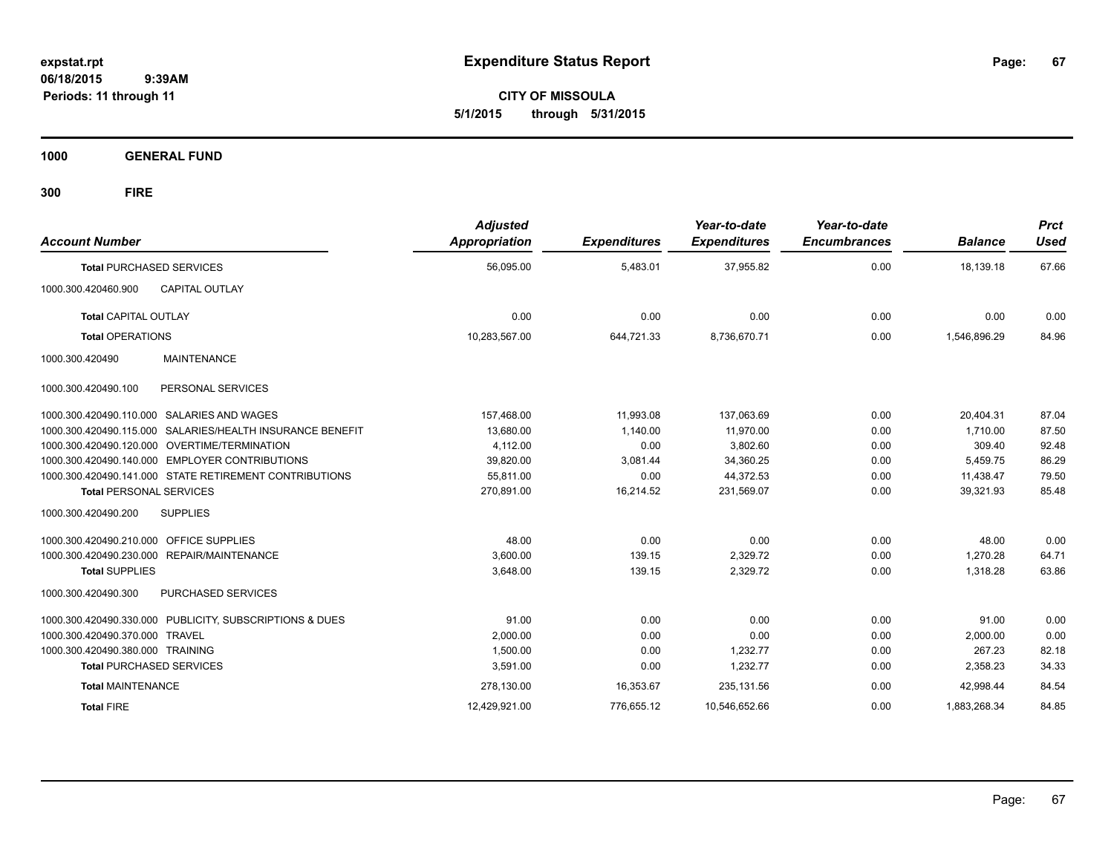**CITY OF MISSOULA 5/1/2015 through 5/31/2015**

**1000 GENERAL FUND**

| <b>Account Number</b>            |                                                           | <b>Adjusted</b><br><b>Appropriation</b> | <b>Expenditures</b> | Year-to-date<br><b>Expenditures</b> | Year-to-date<br><b>Encumbrances</b> | <b>Balance</b> | <b>Prct</b><br><b>Used</b> |
|----------------------------------|-----------------------------------------------------------|-----------------------------------------|---------------------|-------------------------------------|-------------------------------------|----------------|----------------------------|
| <b>Total PURCHASED SERVICES</b>  |                                                           | 56,095.00                               | 5,483.01            | 37,955.82                           | 0.00                                | 18,139.18      | 67.66                      |
| 1000.300.420460.900              | <b>CAPITAL OUTLAY</b>                                     |                                         |                     |                                     |                                     |                |                            |
| <b>Total CAPITAL OUTLAY</b>      |                                                           | 0.00                                    | 0.00                | 0.00                                | 0.00                                | 0.00           | 0.00                       |
| <b>Total OPERATIONS</b>          |                                                           | 10,283,567.00                           | 644,721.33          | 8,736,670.71                        | 0.00                                | 1,546,896.29   | 84.96                      |
| 1000.300.420490                  | <b>MAINTENANCE</b>                                        |                                         |                     |                                     |                                     |                |                            |
| 1000.300.420490.100              | PERSONAL SERVICES                                         |                                         |                     |                                     |                                     |                |                            |
|                                  | 1000.300.420490.110.000 SALARIES AND WAGES                | 157,468.00                              | 11.993.08           | 137.063.69                          | 0.00                                | 20.404.31      | 87.04                      |
|                                  | 1000.300.420490.115.000 SALARIES/HEALTH INSURANCE BENEFIT | 13,680.00                               | 1,140.00            | 11,970.00                           | 0.00                                | 1,710.00       | 87.50                      |
|                                  | 1000.300.420490.120.000 OVERTIME/TERMINATION              | 4,112.00                                | 0.00                | 3,802.60                            | 0.00                                | 309.40         | 92.48                      |
| 1000.300.420490.140.000          | <b>EMPLOYER CONTRIBUTIONS</b>                             | 39,820.00                               | 3.081.44            | 34.360.25                           | 0.00                                | 5,459.75       | 86.29                      |
|                                  | 1000.300.420490.141.000 STATE RETIREMENT CONTRIBUTIONS    | 55,811.00                               | 0.00                | 44,372.53                           | 0.00                                | 11,438.47      | 79.50                      |
| <b>Total PERSONAL SERVICES</b>   |                                                           | 270,891.00                              | 16,214.52           | 231,569.07                          | 0.00                                | 39,321.93      | 85.48                      |
| 1000.300.420490.200              | <b>SUPPLIES</b>                                           |                                         |                     |                                     |                                     |                |                            |
| 1000.300.420490.210.000          | <b>OFFICE SUPPLIES</b>                                    | 48.00                                   | 0.00                | 0.00                                | 0.00                                | 48.00          | 0.00                       |
|                                  | 1000.300.420490.230.000 REPAIR/MAINTENANCE                | 3,600.00                                | 139.15              | 2,329.72                            | 0.00                                | 1,270.28       | 64.71                      |
| <b>Total SUPPLIES</b>            |                                                           | 3,648.00                                | 139.15              | 2,329.72                            | 0.00                                | 1,318.28       | 63.86                      |
| 1000.300.420490.300              | PURCHASED SERVICES                                        |                                         |                     |                                     |                                     |                |                            |
|                                  | 1000.300.420490.330.000 PUBLICITY, SUBSCRIPTIONS & DUES   | 91.00                                   | 0.00                | 0.00                                | 0.00                                | 91.00          | 0.00                       |
| 1000.300.420490.370.000 TRAVEL   |                                                           | 2,000.00                                | 0.00                | 0.00                                | 0.00                                | 2,000.00       | 0.00                       |
| 1000.300.420490.380.000 TRAINING |                                                           | 1,500.00                                | 0.00                | 1,232.77                            | 0.00                                | 267.23         | 82.18                      |
| <b>Total PURCHASED SERVICES</b>  |                                                           | 3,591.00                                | 0.00                | 1,232.77                            | 0.00                                | 2,358.23       | 34.33                      |
| <b>Total MAINTENANCE</b>         |                                                           | 278,130.00                              | 16,353.67           | 235,131.56                          | 0.00                                | 42,998.44      | 84.54                      |
| <b>Total FIRE</b>                |                                                           | 12,429,921.00                           | 776,655.12          | 10,546,652.66                       | 0.00                                | 1,883,268.34   | 84.85                      |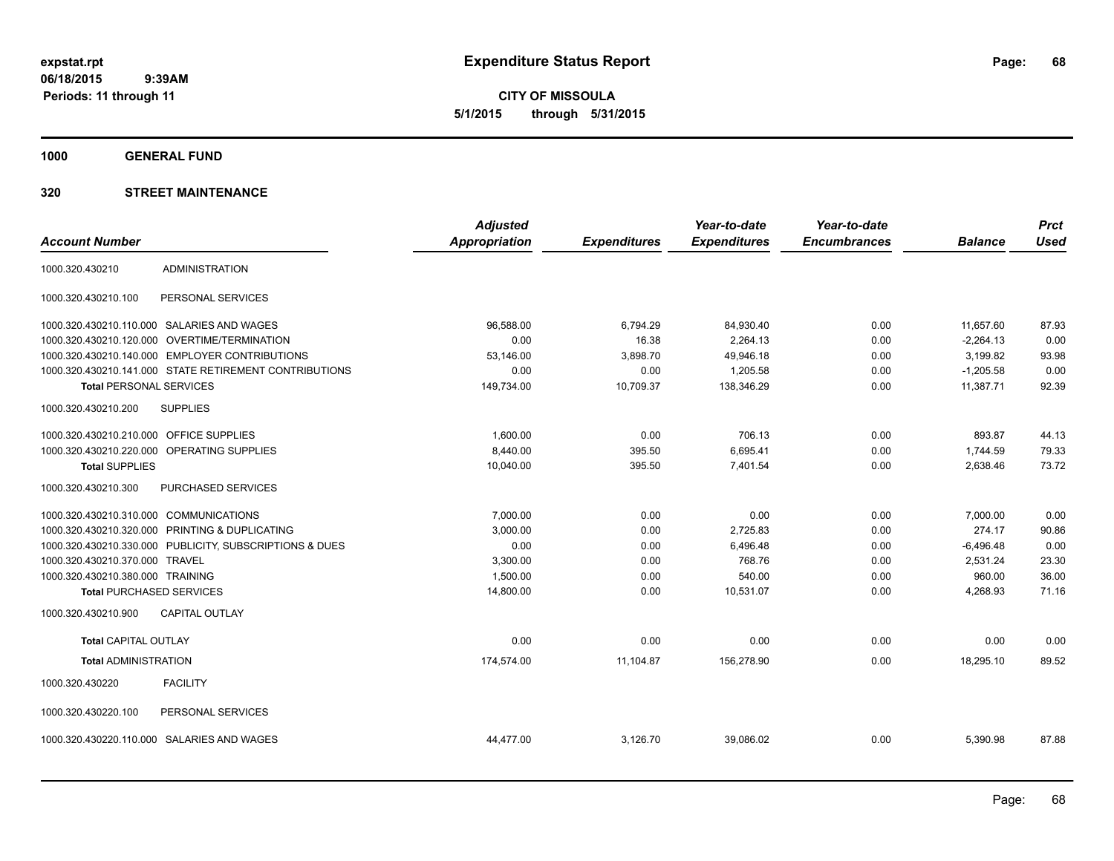**CITY OF MISSOULA 5/1/2015 through 5/31/2015**

**1000 GENERAL FUND**

|                                        |                                                         | <b>Adjusted</b>      |                     | Year-to-date        | Year-to-date        |                | <b>Prct</b> |
|----------------------------------------|---------------------------------------------------------|----------------------|---------------------|---------------------|---------------------|----------------|-------------|
| <b>Account Number</b>                  |                                                         | <b>Appropriation</b> | <b>Expenditures</b> | <b>Expenditures</b> | <b>Encumbrances</b> | <b>Balance</b> | <b>Used</b> |
| 1000.320.430210                        | <b>ADMINISTRATION</b>                                   |                      |                     |                     |                     |                |             |
| 1000.320.430210.100                    | PERSONAL SERVICES                                       |                      |                     |                     |                     |                |             |
|                                        | 1000.320.430210.110.000 SALARIES AND WAGES              | 96,588.00            | 6,794.29            | 84,930.40           | 0.00                | 11,657.60      | 87.93       |
| 1000.320.430210.120.000                | OVERTIME/TERMINATION                                    | 0.00                 | 16.38               | 2,264.13            | 0.00                | $-2,264.13$    | 0.00        |
|                                        | 1000.320.430210.140.000 EMPLOYER CONTRIBUTIONS          | 53,146.00            | 3,898.70            | 49,946.18           | 0.00                | 3,199.82       | 93.98       |
|                                        | 1000.320.430210.141.000 STATE RETIREMENT CONTRIBUTIONS  | 0.00                 | 0.00                | 1,205.58            | 0.00                | $-1,205.58$    | 0.00        |
| <b>Total PERSONAL SERVICES</b>         |                                                         | 149,734.00           | 10,709.37           | 138,346.29          | 0.00                | 11,387.71      | 92.39       |
| 1000.320.430210.200                    | <b>SUPPLIES</b>                                         |                      |                     |                     |                     |                |             |
| 1000.320.430210.210.000                | OFFICE SUPPLIES                                         | 1,600.00             | 0.00                | 706.13              | 0.00                | 893.87         | 44.13       |
|                                        | 1000.320.430210.220.000 OPERATING SUPPLIES              | 8,440.00             | 395.50              | 6,695.41            | 0.00                | 1,744.59       | 79.33       |
| <b>Total SUPPLIES</b>                  |                                                         | 10,040.00            | 395.50              | 7,401.54            | 0.00                | 2,638.46       | 73.72       |
| 1000.320.430210.300                    | PURCHASED SERVICES                                      |                      |                     |                     |                     |                |             |
| 1000.320.430210.310.000 COMMUNICATIONS |                                                         | 7,000.00             | 0.00                | 0.00                | 0.00                | 7,000.00       | 0.00        |
|                                        | 1000.320.430210.320.000 PRINTING & DUPLICATING          | 3,000.00             | 0.00                | 2,725.83            | 0.00                | 274.17         | 90.86       |
|                                        | 1000.320.430210.330.000 PUBLICITY, SUBSCRIPTIONS & DUES | 0.00                 | 0.00                | 6.496.48            | 0.00                | $-6,496.48$    | 0.00        |
| 1000.320.430210.370.000                | <b>TRAVEL</b>                                           | 3,300.00             | 0.00                | 768.76              | 0.00                | 2.531.24       | 23.30       |
| 1000.320.430210.380.000 TRAINING       |                                                         | 1.500.00             | 0.00                | 540.00              | 0.00                | 960.00         | 36.00       |
| <b>Total PURCHASED SERVICES</b>        |                                                         | 14,800.00            | 0.00                | 10,531.07           | 0.00                | 4,268.93       | 71.16       |
| 1000.320.430210.900                    | <b>CAPITAL OUTLAY</b>                                   |                      |                     |                     |                     |                |             |
| <b>Total CAPITAL OUTLAY</b>            |                                                         | 0.00                 | 0.00                | 0.00                | 0.00                | 0.00           | 0.00        |
| <b>Total ADMINISTRATION</b>            |                                                         | 174,574.00           | 11,104.87           | 156,278.90          | 0.00                | 18,295.10      | 89.52       |
| 1000.320.430220                        | <b>FACILITY</b>                                         |                      |                     |                     |                     |                |             |
| 1000.320.430220.100                    | PERSONAL SERVICES                                       |                      |                     |                     |                     |                |             |
|                                        | 1000.320.430220.110.000 SALARIES AND WAGES              | 44,477.00            | 3,126.70            | 39,086.02           | 0.00                | 5,390.98       | 87.88       |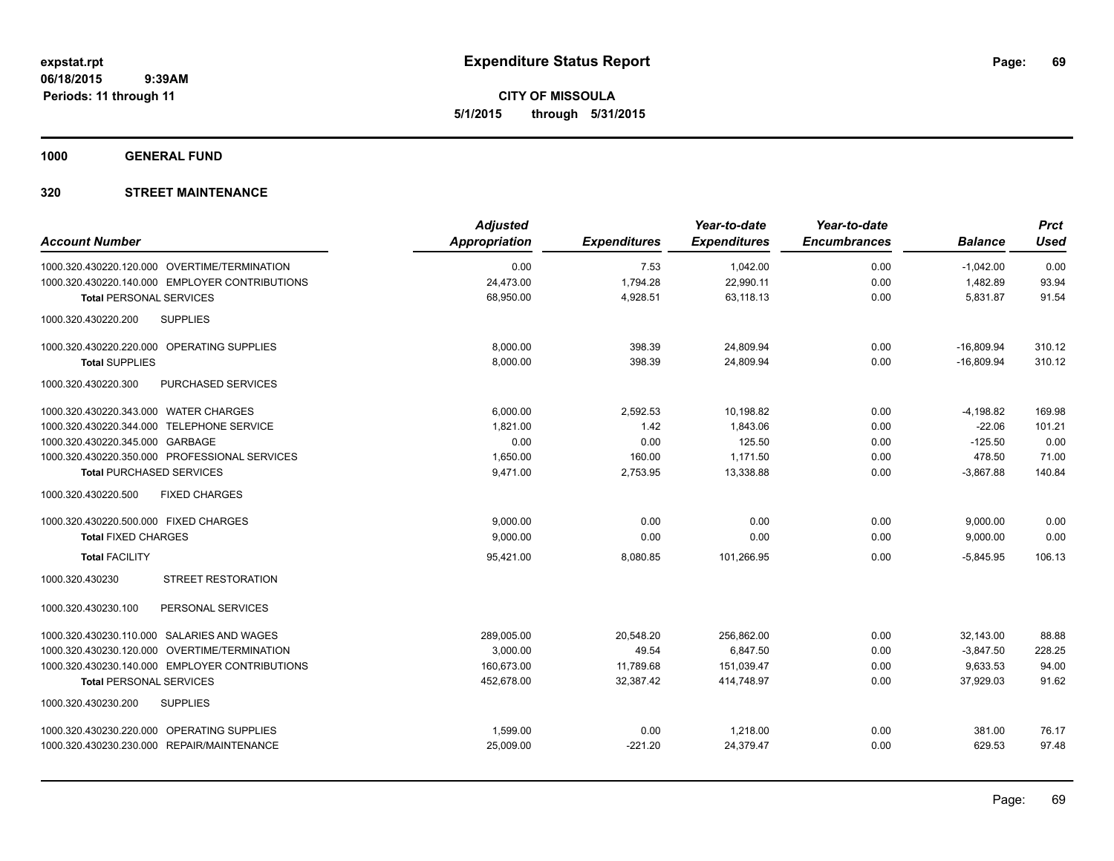**CITY OF MISSOULA 5/1/2015 through 5/31/2015**

**1000 GENERAL FUND**

| <b>Account Number</b>                            | <b>Adjusted</b><br><b>Appropriation</b> | <b>Expenditures</b> | Year-to-date<br><b>Expenditures</b> | Year-to-date<br><b>Encumbrances</b> | <b>Balance</b> | <b>Prct</b><br><b>Used</b> |
|--------------------------------------------------|-----------------------------------------|---------------------|-------------------------------------|-------------------------------------|----------------|----------------------------|
| 1000.320.430220.120.000 OVERTIME/TERMINATION     | 0.00                                    | 7.53                | 1,042.00                            | 0.00                                | $-1,042.00$    | 0.00                       |
| 1000.320.430220.140.000 EMPLOYER CONTRIBUTIONS   | 24,473.00                               | 1,794.28            | 22,990.11                           | 0.00                                | 1,482.89       | 93.94                      |
| <b>Total PERSONAL SERVICES</b>                   | 68,950.00                               | 4,928.51            | 63,118.13                           | 0.00                                | 5,831.87       | 91.54                      |
| 1000.320.430220.200<br><b>SUPPLIES</b>           |                                         |                     |                                     |                                     |                |                            |
| 1000.320.430220.220.000 OPERATING SUPPLIES       | 8.000.00                                | 398.39              | 24,809.94                           | 0.00                                | $-16,809.94$   | 310.12                     |
| <b>Total SUPPLIES</b>                            | 8,000.00                                | 398.39              | 24,809.94                           | 0.00                                | $-16.809.94$   | 310.12                     |
| <b>PURCHASED SERVICES</b><br>1000.320.430220.300 |                                         |                     |                                     |                                     |                |                            |
| 1000.320.430220.343.000 WATER CHARGES            | 6,000.00                                | 2,592.53            | 10,198.82                           | 0.00                                | $-4,198.82$    | 169.98                     |
| 1000.320.430220.344.000 TELEPHONE SERVICE        | 1,821.00                                | 1.42                | 1.843.06                            | 0.00                                | $-22.06$       | 101.21                     |
| 1000.320.430220.345.000 GARBAGE                  | 0.00                                    | 0.00                | 125.50                              | 0.00                                | $-125.50$      | 0.00                       |
| 1000.320.430220.350.000 PROFESSIONAL SERVICES    | 1,650.00                                | 160.00              | 1,171.50                            | 0.00                                | 478.50         | 71.00                      |
| <b>Total PURCHASED SERVICES</b>                  | 9,471.00                                | 2,753.95            | 13,338.88                           | 0.00                                | $-3,867.88$    | 140.84                     |
| <b>FIXED CHARGES</b><br>1000.320.430220.500      |                                         |                     |                                     |                                     |                |                            |
| 1000.320.430220.500.000 FIXED CHARGES            | 9,000.00                                | 0.00                | 0.00                                | 0.00                                | 9,000.00       | 0.00                       |
| <b>Total FIXED CHARGES</b>                       | 9,000.00                                | 0.00                | 0.00                                | 0.00                                | 9,000.00       | 0.00                       |
| <b>Total FACILITY</b>                            | 95,421.00                               | 8,080.85            | 101,266.95                          | 0.00                                | $-5,845.95$    | 106.13                     |
| 1000.320.430230<br><b>STREET RESTORATION</b>     |                                         |                     |                                     |                                     |                |                            |
| 1000.320.430230.100<br>PERSONAL SERVICES         |                                         |                     |                                     |                                     |                |                            |
| 1000.320.430230.110.000 SALARIES AND WAGES       | 289,005.00                              | 20,548.20           | 256,862.00                          | 0.00                                | 32,143.00      | 88.88                      |
| 1000.320.430230.120.000 OVERTIME/TERMINATION     | 3,000.00                                | 49.54               | 6,847.50                            | 0.00                                | $-3,847.50$    | 228.25                     |
| 1000.320.430230.140.000 EMPLOYER CONTRIBUTIONS   | 160,673.00                              | 11,789.68           | 151,039.47                          | 0.00                                | 9,633.53       | 94.00                      |
| <b>Total PERSONAL SERVICES</b>                   | 452,678.00                              | 32,387.42           | 414,748.97                          | 0.00                                | 37,929.03      | 91.62                      |
| <b>SUPPLIES</b><br>1000.320.430230.200           |                                         |                     |                                     |                                     |                |                            |
| 1000.320.430230.220.000 OPERATING SUPPLIES       | 1,599.00                                | 0.00                | 1,218.00                            | 0.00                                | 381.00         | 76.17                      |
| 1000.320.430230.230.000 REPAIR/MAINTENANCE       | 25,009.00                               | $-221.20$           | 24,379.47                           | 0.00                                | 629.53         | 97.48                      |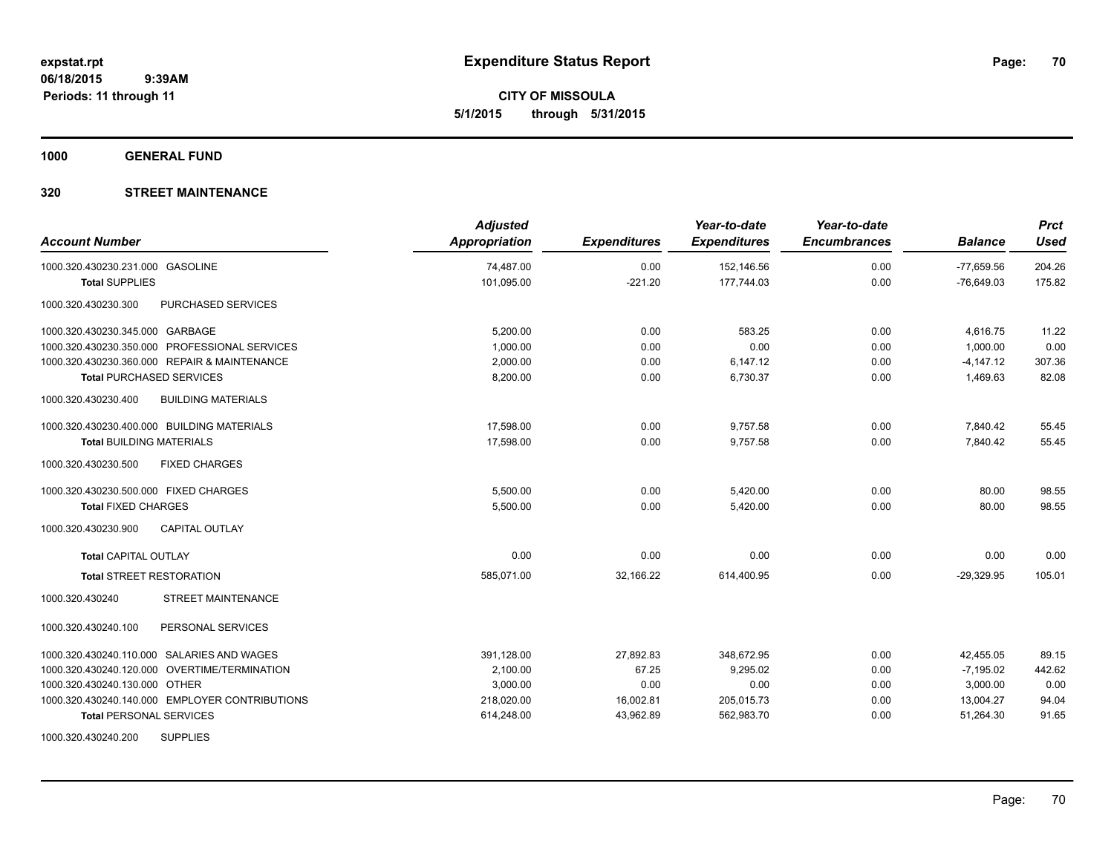**CITY OF MISSOULA 5/1/2015 through 5/31/2015**

**1000 GENERAL FUND**

| <b>Account Number</b>                            | <b>Adjusted</b><br><b>Appropriation</b> | <b>Expenditures</b> | Year-to-date<br><b>Expenditures</b> | Year-to-date<br><b>Encumbrances</b> | <b>Balance</b> | <b>Prct</b><br><b>Used</b> |
|--------------------------------------------------|-----------------------------------------|---------------------|-------------------------------------|-------------------------------------|----------------|----------------------------|
| 1000.320.430230.231.000 GASOLINE                 | 74,487.00                               | 0.00                | 152,146.56                          | 0.00                                | $-77,659.56$   | 204.26                     |
| <b>Total SUPPLIES</b>                            | 101,095.00                              | $-221.20$           | 177,744.03                          | 0.00                                | $-76,649.03$   | 175.82                     |
| <b>PURCHASED SERVICES</b><br>1000.320.430230.300 |                                         |                     |                                     |                                     |                |                            |
| 1000.320.430230.345.000 GARBAGE                  | 5,200.00                                | 0.00                | 583.25                              | 0.00                                | 4,616.75       | 11.22                      |
| 1000.320.430230.350.000 PROFESSIONAL SERVICES    | 1,000.00                                | 0.00                | 0.00                                | 0.00                                | 1,000.00       | 0.00                       |
| 1000.320.430230.360.000 REPAIR & MAINTENANCE     | 2.000.00                                | 0.00                | 6,147.12                            | 0.00                                | $-4,147.12$    | 307.36                     |
| <b>Total PURCHASED SERVICES</b>                  | 8,200.00                                | 0.00                | 6,730.37                            | 0.00                                | 1,469.63       | 82.08                      |
| <b>BUILDING MATERIALS</b><br>1000.320.430230.400 |                                         |                     |                                     |                                     |                |                            |
| 1000.320.430230.400.000 BUILDING MATERIALS       | 17,598.00                               | 0.00                | 9,757.58                            | 0.00                                | 7,840.42       | 55.45                      |
| <b>Total BUILDING MATERIALS</b>                  | 17,598.00                               | 0.00                | 9.757.58                            | 0.00                                | 7.840.42       | 55.45                      |
| 1000.320.430230.500<br><b>FIXED CHARGES</b>      |                                         |                     |                                     |                                     |                |                            |
| 1000.320.430230.500.000 FIXED CHARGES            | 5,500.00                                | 0.00                | 5,420.00                            | 0.00                                | 80.00          | 98.55                      |
| <b>Total FIXED CHARGES</b>                       | 5,500.00                                | 0.00                | 5,420.00                            | 0.00                                | 80.00          | 98.55                      |
| 1000.320.430230.900<br><b>CAPITAL OUTLAY</b>     |                                         |                     |                                     |                                     |                |                            |
| <b>Total CAPITAL OUTLAY</b>                      | 0.00                                    | 0.00                | 0.00                                | 0.00                                | 0.00           | 0.00                       |
| <b>Total STREET RESTORATION</b>                  | 585,071.00                              | 32,166.22           | 614,400.95                          | 0.00                                | $-29,329.95$   | 105.01                     |
| STREET MAINTENANCE<br>1000.320.430240            |                                         |                     |                                     |                                     |                |                            |
| 1000.320.430240.100<br>PERSONAL SERVICES         |                                         |                     |                                     |                                     |                |                            |
| 1000.320.430240.110.000 SALARIES AND WAGES       | 391,128.00                              | 27,892.83           | 348.672.95                          | 0.00                                | 42,455.05      | 89.15                      |
| 1000.320.430240.120.000 OVERTIME/TERMINATION     | 2,100.00                                | 67.25               | 9,295.02                            | 0.00                                | $-7,195.02$    | 442.62                     |
| 1000.320.430240.130.000 OTHER                    | 3,000.00                                | 0.00                | 0.00                                | 0.00                                | 3,000.00       | 0.00                       |
| 1000.320.430240.140.000 EMPLOYER CONTRIBUTIONS   | 218,020.00                              | 16,002.81           | 205,015.73                          | 0.00                                | 13,004.27      | 94.04                      |
| <b>Total PERSONAL SERVICES</b>                   | 614,248.00                              | 43,962.89           | 562,983.70                          | 0.00                                | 51,264.30      | 91.65                      |
| 1000.320.430240.200<br><b>SUPPLIES</b>           |                                         |                     |                                     |                                     |                |                            |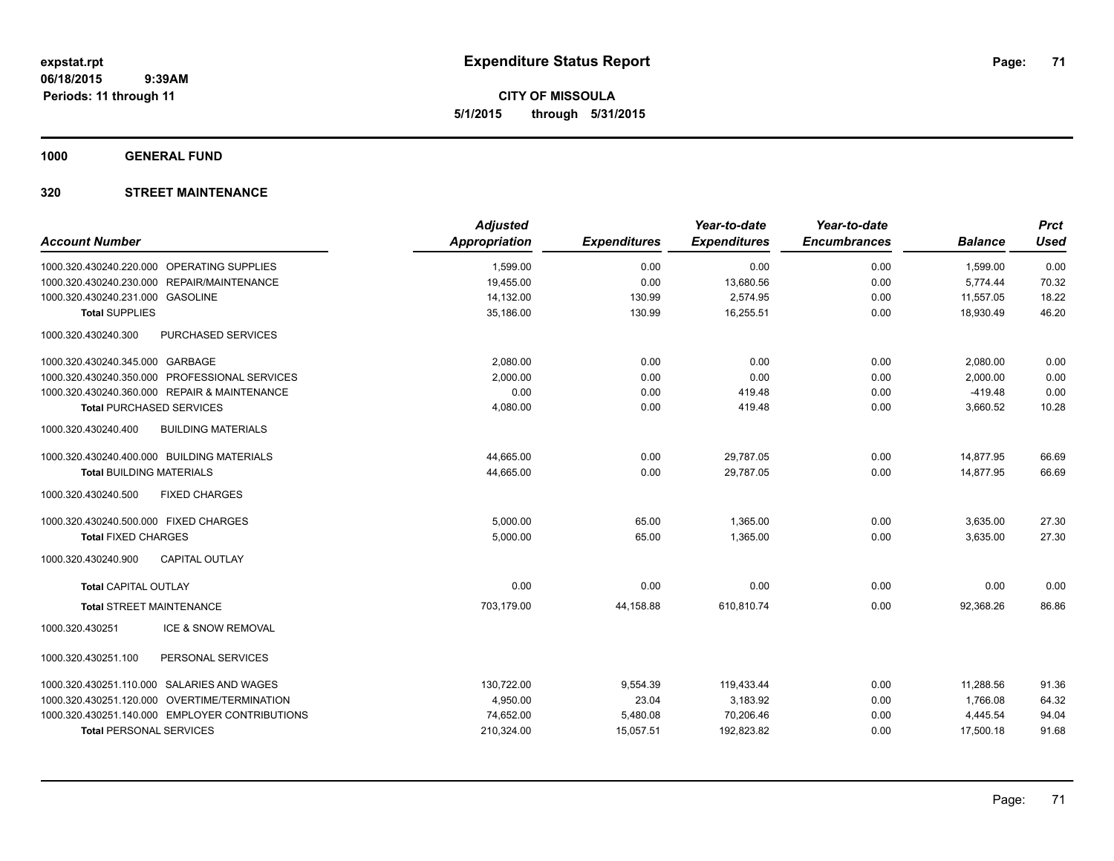**CITY OF MISSOULA 5/1/2015 through 5/31/2015**

**1000 GENERAL FUND**

| <b>Account Number</b>                                                                    | <b>Adjusted</b><br><b>Appropriation</b> | <b>Expenditures</b> | Year-to-date<br><b>Expenditures</b> | Year-to-date<br><b>Encumbrances</b> | <b>Balance</b>        | <b>Prct</b><br><b>Used</b> |
|------------------------------------------------------------------------------------------|-----------------------------------------|---------------------|-------------------------------------|-------------------------------------|-----------------------|----------------------------|
|                                                                                          |                                         |                     |                                     |                                     |                       |                            |
| 1000.320.430240.220.000 OPERATING SUPPLIES<br>1000.320.430240.230.000 REPAIR/MAINTENANCE | 1,599.00                                | 0.00                | 0.00                                | 0.00                                | 1,599.00              | 0.00                       |
| 1000.320.430240.231.000 GASOLINE                                                         | 19,455.00<br>14,132.00                  | 0.00<br>130.99      | 13,680.56<br>2,574.95               | 0.00<br>0.00                        | 5,774.44<br>11,557.05 | 70.32<br>18.22             |
| <b>Total SUPPLIES</b>                                                                    | 35,186.00                               | 130.99              | 16,255.51                           | 0.00                                | 18,930.49             | 46.20                      |
|                                                                                          |                                         |                     |                                     |                                     |                       |                            |
| 1000.320.430240.300<br>PURCHASED SERVICES                                                |                                         |                     |                                     |                                     |                       |                            |
| 1000.320.430240.345.000 GARBAGE                                                          | 2.080.00                                | 0.00                | 0.00                                | 0.00                                | 2,080.00              | 0.00                       |
| 1000.320.430240.350.000 PROFESSIONAL SERVICES                                            | 2,000.00                                | 0.00                | 0.00                                | 0.00                                | 2,000.00              | 0.00                       |
| 1000.320.430240.360.000 REPAIR & MAINTENANCE                                             | 0.00                                    | 0.00                | 419.48                              | 0.00                                | $-419.48$             | 0.00                       |
| <b>Total PURCHASED SERVICES</b>                                                          | 4,080.00                                | 0.00                | 419.48                              | 0.00                                | 3,660.52              | 10.28                      |
| 1000.320.430240.400<br><b>BUILDING MATERIALS</b>                                         |                                         |                     |                                     |                                     |                       |                            |
| 1000.320.430240.400.000 BUILDING MATERIALS                                               | 44,665.00                               | 0.00                | 29,787.05                           | 0.00                                | 14,877.95             | 66.69                      |
| <b>Total BUILDING MATERIALS</b>                                                          | 44,665.00                               | 0.00                | 29.787.05                           | 0.00                                | 14,877.95             | 66.69                      |
| 1000.320.430240.500<br><b>FIXED CHARGES</b>                                              |                                         |                     |                                     |                                     |                       |                            |
| 1000.320.430240.500.000 FIXED CHARGES                                                    | 5,000.00                                | 65.00               | 1,365.00                            | 0.00                                | 3,635.00              | 27.30                      |
| <b>Total FIXED CHARGES</b>                                                               | 5,000.00                                | 65.00               | 1,365.00                            | 0.00                                | 3,635.00              | 27.30                      |
| <b>CAPITAL OUTLAY</b><br>1000.320.430240.900                                             |                                         |                     |                                     |                                     |                       |                            |
| <b>Total CAPITAL OUTLAY</b>                                                              | 0.00                                    | 0.00                | 0.00                                | 0.00                                | 0.00                  | 0.00                       |
| <b>Total STREET MAINTENANCE</b>                                                          | 703.179.00                              | 44,158.88           | 610,810.74                          | 0.00                                | 92,368.26             | 86.86                      |
| 1000.320.430251<br><b>ICE &amp; SNOW REMOVAL</b>                                         |                                         |                     |                                     |                                     |                       |                            |
| 1000.320.430251.100<br>PERSONAL SERVICES                                                 |                                         |                     |                                     |                                     |                       |                            |
| 1000.320.430251.110.000 SALARIES AND WAGES                                               | 130,722.00                              | 9,554.39            | 119,433.44                          | 0.00                                | 11,288.56             | 91.36                      |
| 1000.320.430251.120.000 OVERTIME/TERMINATION                                             | 4,950.00                                | 23.04               | 3,183.92                            | 0.00                                | 1,766.08              | 64.32                      |
| 1000.320.430251.140.000 EMPLOYER CONTRIBUTIONS                                           | 74,652.00                               | 5,480.08            | 70,206.46                           | 0.00                                | 4,445.54              | 94.04                      |
| <b>Total PERSONAL SERVICES</b>                                                           | 210,324.00                              | 15,057.51           | 192,823.82                          | 0.00                                | 17,500.18             | 91.68                      |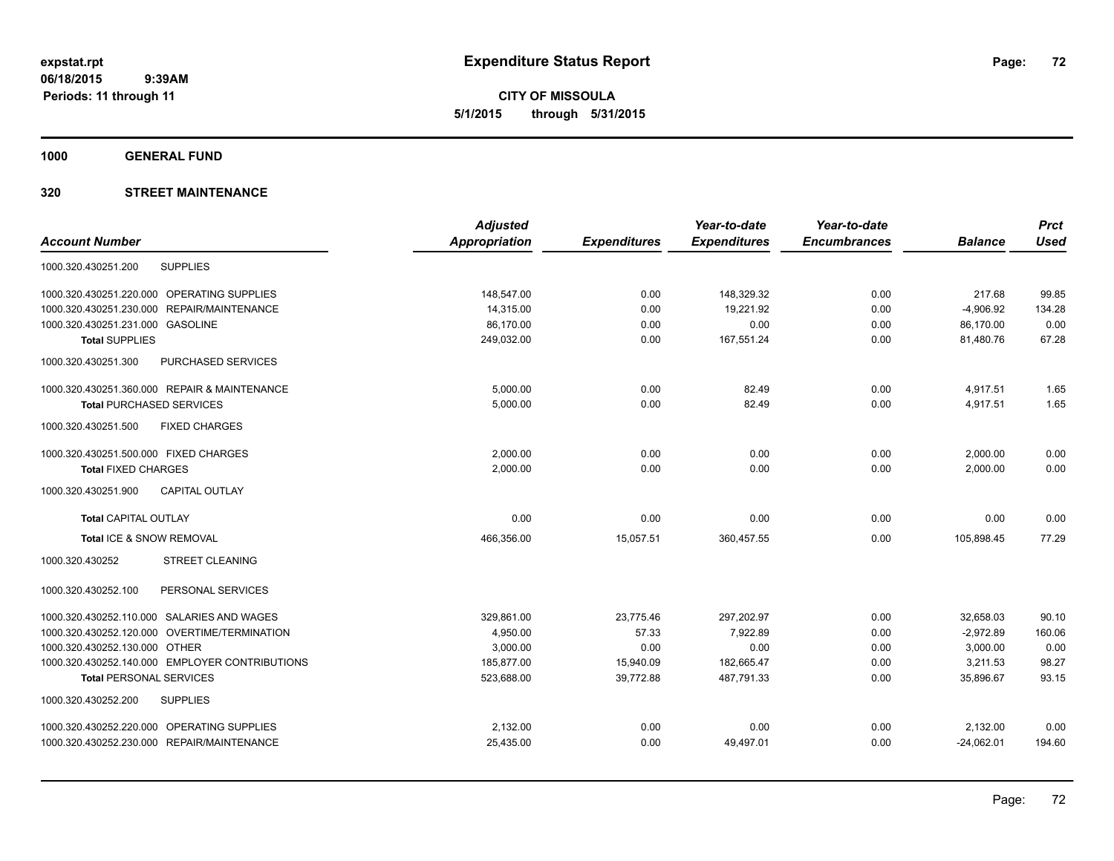**CITY OF MISSOULA 5/1/2015 through 5/31/2015**

**1000 GENERAL FUND**

|                                                | <b>Adjusted</b> |                     | Year-to-date        | Year-to-date        |                | <b>Prct</b> |
|------------------------------------------------|-----------------|---------------------|---------------------|---------------------|----------------|-------------|
| <b>Account Number</b>                          | Appropriation   | <b>Expenditures</b> | <b>Expenditures</b> | <b>Encumbrances</b> | <b>Balance</b> | <b>Used</b> |
| <b>SUPPLIES</b><br>1000.320.430251.200         |                 |                     |                     |                     |                |             |
| 1000.320.430251.220.000 OPERATING SUPPLIES     | 148,547.00      | 0.00                | 148,329.32          | 0.00                | 217.68         | 99.85       |
| 1000.320.430251.230.000<br>REPAIR/MAINTENANCE  | 14,315.00       | 0.00                | 19,221.92           | 0.00                | $-4,906.92$    | 134.28      |
| 1000.320.430251.231.000 GASOLINE               | 86,170.00       | 0.00                | 0.00                | 0.00                | 86,170.00      | 0.00        |
| <b>Total SUPPLIES</b>                          | 249,032.00      | 0.00                | 167,551.24          | 0.00                | 81,480.76      | 67.28       |
| 1000.320.430251.300<br>PURCHASED SERVICES      |                 |                     |                     |                     |                |             |
| 1000.320.430251.360.000 REPAIR & MAINTENANCE   | 5,000.00        | 0.00                | 82.49               | 0.00                | 4,917.51       | 1.65        |
| <b>Total PURCHASED SERVICES</b>                | 5,000.00        | 0.00                | 82.49               | 0.00                | 4,917.51       | 1.65        |
| 1000.320.430251.500<br><b>FIXED CHARGES</b>    |                 |                     |                     |                     |                |             |
| 1000.320.430251.500.000 FIXED CHARGES          | 2,000.00        | 0.00                | 0.00                | 0.00                | 2,000.00       | 0.00        |
| <b>Total FIXED CHARGES</b>                     | 2,000.00        | 0.00                | 0.00                | 0.00                | 2,000.00       | 0.00        |
| CAPITAL OUTLAY<br>1000.320.430251.900          |                 |                     |                     |                     |                |             |
| <b>Total CAPITAL OUTLAY</b>                    | 0.00            | 0.00                | 0.00                | 0.00                | 0.00           | 0.00        |
| Total ICE & SNOW REMOVAL                       | 466,356.00      | 15,057.51           | 360,457.55          | 0.00                | 105,898.45     | 77.29       |
| 1000.320.430252<br><b>STREET CLEANING</b>      |                 |                     |                     |                     |                |             |
| PERSONAL SERVICES<br>1000.320.430252.100       |                 |                     |                     |                     |                |             |
| 1000.320.430252.110.000 SALARIES AND WAGES     | 329,861.00      | 23,775.46           | 297,202.97          | 0.00                | 32,658.03      | 90.10       |
| 1000.320.430252.120.000 OVERTIME/TERMINATION   | 4.950.00        | 57.33               | 7.922.89            | 0.00                | $-2.972.89$    | 160.06      |
| 1000.320.430252.130.000 OTHER                  | 3,000.00        | 0.00                | 0.00                | 0.00                | 3,000.00       | 0.00        |
| 1000.320.430252.140.000 EMPLOYER CONTRIBUTIONS | 185,877.00      | 15,940.09           | 182.665.47          | 0.00                | 3.211.53       | 98.27       |
| <b>Total PERSONAL SERVICES</b>                 | 523,688.00      | 39,772.88           | 487,791.33          | 0.00                | 35,896.67      | 93.15       |
| 1000.320.430252.200<br><b>SUPPLIES</b>         |                 |                     |                     |                     |                |             |
| 1000.320.430252.220.000 OPERATING SUPPLIES     | 2,132.00        | 0.00                | 0.00                | 0.00                | 2,132.00       | 0.00        |
| 1000.320.430252.230.000 REPAIR/MAINTENANCE     | 25,435.00       | 0.00                | 49,497.01           | 0.00                | $-24,062.01$   | 194.60      |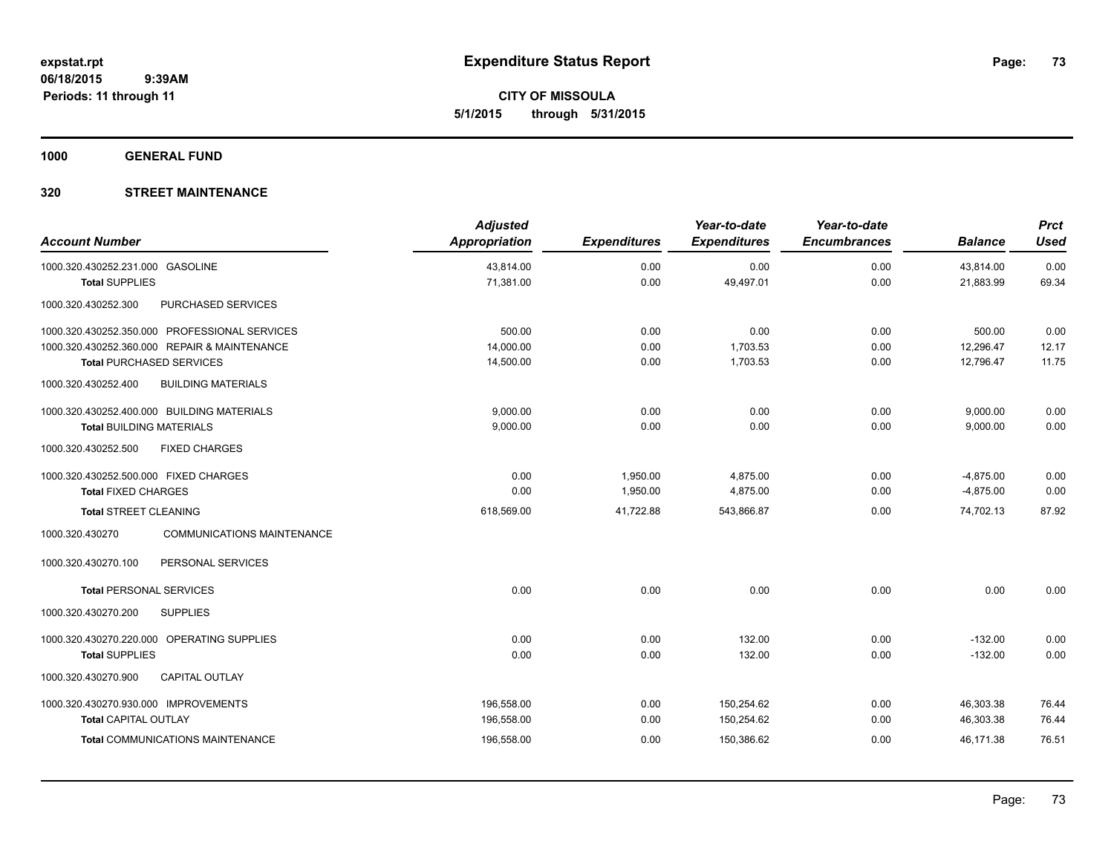**CITY OF MISSOULA 5/1/2015 through 5/31/2015**

**1000 GENERAL FUND**

# **320 STREET MAINTENANCE**

| <b>Account Number</b>                                                                                                                                         | <b>Adjusted</b><br>Appropriation       | <b>Expenditures</b>  | Year-to-date<br><b>Expenditures</b>    | Year-to-date<br><b>Encumbrances</b> | <b>Balance</b>                      | <b>Prct</b><br><b>Used</b> |
|---------------------------------------------------------------------------------------------------------------------------------------------------------------|----------------------------------------|----------------------|----------------------------------------|-------------------------------------|-------------------------------------|----------------------------|
| 1000.320.430252.231.000 GASOLINE                                                                                                                              | 43,814.00<br>71,381.00                 | 0.00<br>0.00         | 0.00<br>49,497.01                      | 0.00<br>0.00                        | 43,814.00<br>21,883.99              | 0.00<br>69.34              |
| <b>Total SUPPLIES</b><br>1000.320.430252.300<br>PURCHASED SERVICES                                                                                            |                                        |                      |                                        |                                     |                                     |                            |
| 1000.320.430252.350.000 PROFESSIONAL SERVICES<br>1000.320.430252.360.000 REPAIR & MAINTENANCE<br><b>Total PURCHASED SERVICES</b>                              | 500.00<br>14,000.00<br>14,500.00       | 0.00<br>0.00<br>0.00 | 0.00<br>1,703.53<br>1,703.53           | 0.00<br>0.00<br>0.00                | 500.00<br>12,296.47<br>12,796.47    | 0.00<br>12.17<br>11.75     |
| <b>BUILDING MATERIALS</b><br>1000.320.430252.400                                                                                                              |                                        |                      |                                        |                                     |                                     |                            |
| 1000.320.430252.400.000 BUILDING MATERIALS<br><b>Total BUILDING MATERIALS</b><br><b>FIXED CHARGES</b><br>1000.320.430252.500                                  | 9,000.00<br>9,000.00                   | 0.00<br>0.00         | 0.00<br>0.00                           | 0.00<br>0.00                        | 9,000.00<br>9,000.00                | 0.00<br>0.00               |
| 1000.320.430252.500.000 FIXED CHARGES<br><b>Total FIXED CHARGES</b>                                                                                           | 0.00<br>0.00                           | 1,950.00<br>1,950.00 | 4,875.00<br>4,875.00                   | 0.00<br>0.00                        | $-4,875.00$<br>$-4,875.00$          | 0.00<br>0.00               |
| <b>Total STREET CLEANING</b>                                                                                                                                  | 618,569.00                             | 41,722.88            | 543,866.87                             | 0.00                                | 74,702.13                           | 87.92                      |
| <b>COMMUNICATIONS MAINTENANCE</b><br>1000.320.430270<br>1000.320.430270.100<br>PERSONAL SERVICES                                                              |                                        |                      |                                        |                                     |                                     |                            |
| <b>Total PERSONAL SERVICES</b>                                                                                                                                | 0.00                                   | 0.00                 | 0.00                                   | 0.00                                | 0.00                                | 0.00                       |
| 1000.320.430270.200<br><b>SUPPLIES</b><br>1000.320.430270.220.000 OPERATING SUPPLIES<br><b>Total SUPPLIES</b><br>1000.320.430270.900<br><b>CAPITAL OUTLAY</b> | 0.00<br>0.00                           | 0.00<br>0.00         | 132.00<br>132.00                       | 0.00<br>0.00                        | $-132.00$<br>$-132.00$              | 0.00<br>0.00               |
| 1000.320.430270.930.000 IMPROVEMENTS<br><b>Total CAPITAL OUTLAY</b><br><b>Total COMMUNICATIONS MAINTENANCE</b>                                                | 196,558.00<br>196,558.00<br>196,558.00 | 0.00<br>0.00<br>0.00 | 150,254.62<br>150,254.62<br>150,386.62 | 0.00<br>0.00<br>0.00                | 46,303.38<br>46,303.38<br>46,171.38 | 76.44<br>76.44<br>76.51    |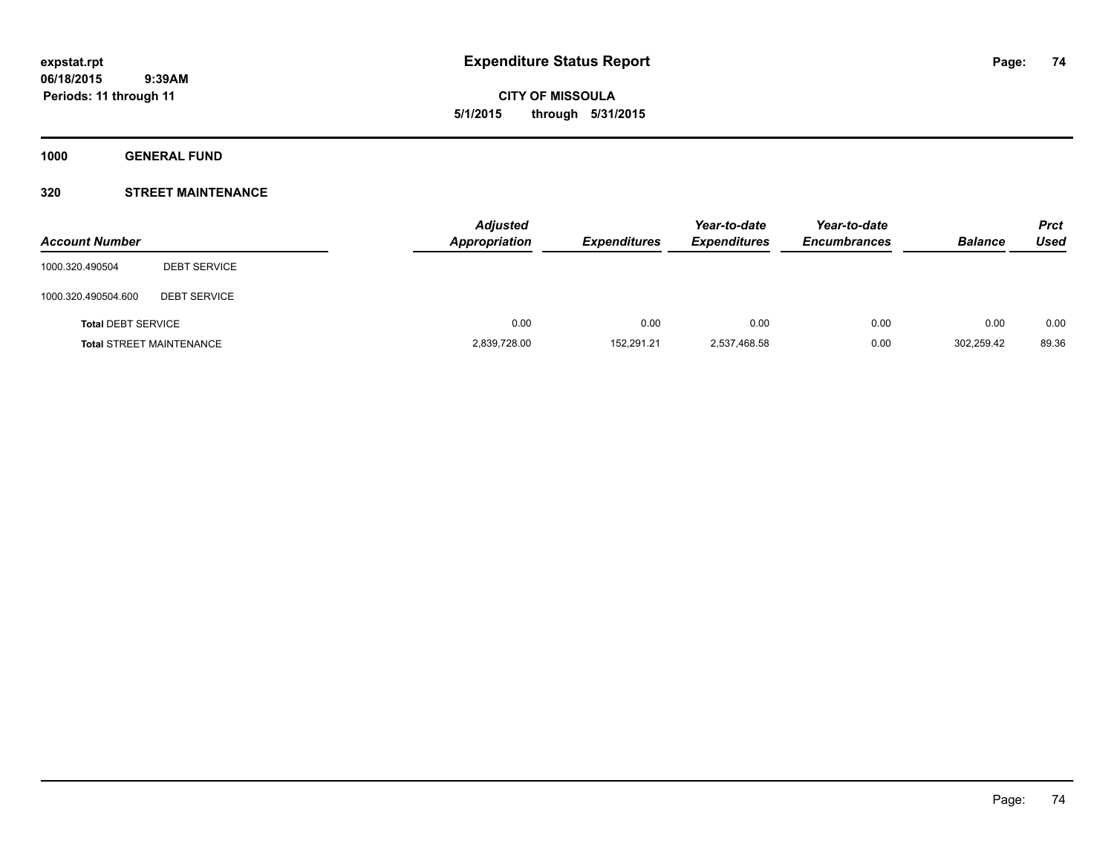**CITY OF MISSOULA 5/1/2015 through 5/31/2015**

**1000 GENERAL FUND**

# **320 STREET MAINTENANCE**

| <b>Account Number</b>     |                                 | <b>Adjusted</b><br>Appropriation | <b>Expenditures</b> | Year-to-date<br><b>Expenditures</b> | Year-to-date<br><b>Encumbrances</b> | <b>Balance</b> | <b>Prct</b><br>Used |
|---------------------------|---------------------------------|----------------------------------|---------------------|-------------------------------------|-------------------------------------|----------------|---------------------|
| 1000.320.490504           | <b>DEBT SERVICE</b>             |                                  |                     |                                     |                                     |                |                     |
| 1000.320.490504.600       | <b>DEBT SERVICE</b>             |                                  |                     |                                     |                                     |                |                     |
| <b>Total DEBT SERVICE</b> |                                 | 0.00                             | 0.00                | 0.00                                | 0.00                                | 0.00           | 0.00                |
|                           | <b>Total STREET MAINTENANCE</b> | 2,839,728.00                     | 152.291.21          | 2,537,468.58                        | 0.00                                | 302.259.42     | 89.36               |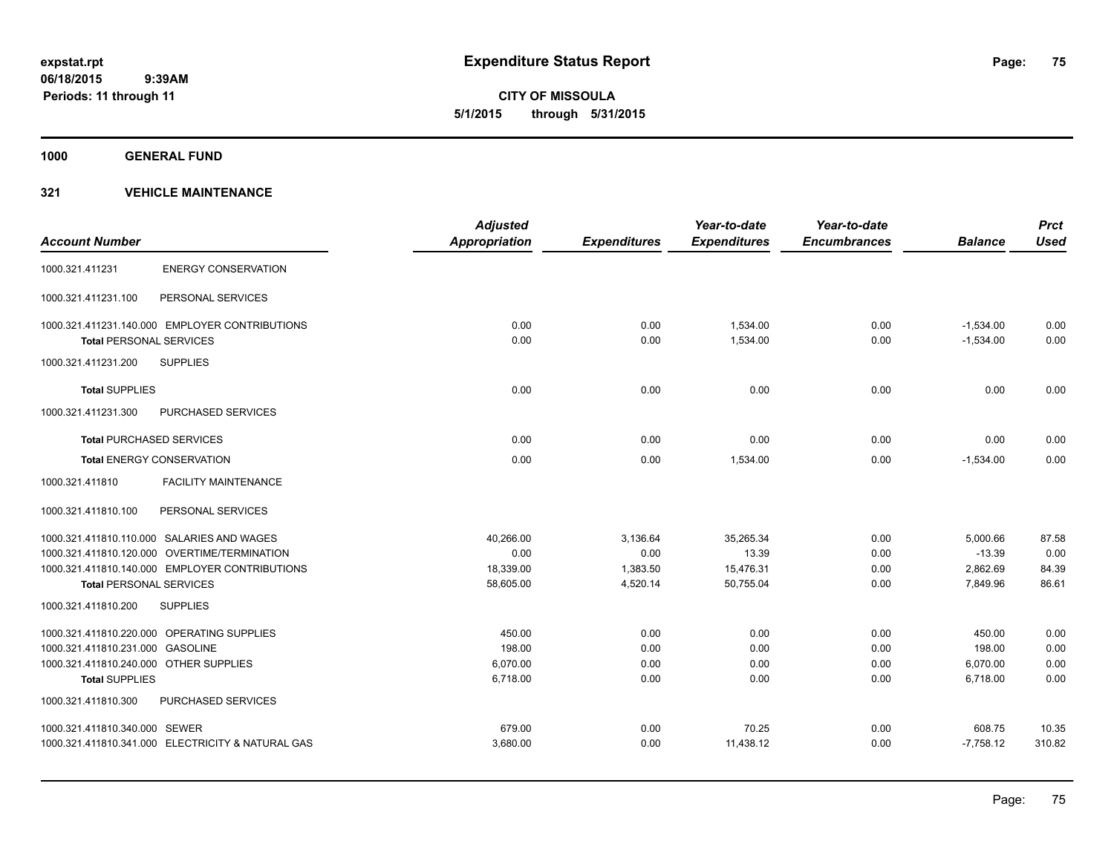**CITY OF MISSOULA 5/1/2015 through 5/31/2015**

**1000 GENERAL FUND**

|                                        |                                                   | <b>Adjusted</b>      |                     | Year-to-date        | Year-to-date        |                | <b>Prct</b> |
|----------------------------------------|---------------------------------------------------|----------------------|---------------------|---------------------|---------------------|----------------|-------------|
| <b>Account Number</b>                  |                                                   | <b>Appropriation</b> | <b>Expenditures</b> | <b>Expenditures</b> | <b>Encumbrances</b> | <b>Balance</b> | <b>Used</b> |
| 1000.321.411231                        | <b>ENERGY CONSERVATION</b>                        |                      |                     |                     |                     |                |             |
| 1000.321.411231.100                    | PERSONAL SERVICES                                 |                      |                     |                     |                     |                |             |
|                                        | 1000.321.411231.140.000 EMPLOYER CONTRIBUTIONS    | 0.00                 | 0.00                | 1.534.00            | 0.00                | $-1,534.00$    | 0.00        |
| <b>Total PERSONAL SERVICES</b>         |                                                   | 0.00                 | 0.00                | 1,534.00            | 0.00                | $-1,534.00$    | 0.00        |
| 1000.321.411231.200                    | <b>SUPPLIES</b>                                   |                      |                     |                     |                     |                |             |
| <b>Total SUPPLIES</b>                  |                                                   | 0.00                 | 0.00                | 0.00                | 0.00                | 0.00           | 0.00        |
| 1000.321.411231.300                    | <b>PURCHASED SERVICES</b>                         |                      |                     |                     |                     |                |             |
| <b>Total PURCHASED SERVICES</b>        |                                                   | 0.00                 | 0.00                | 0.00                | 0.00                | 0.00           | 0.00        |
|                                        | <b>Total ENERGY CONSERVATION</b>                  | 0.00                 | 0.00                | 1,534.00            | 0.00                | $-1,534.00$    | 0.00        |
| 1000.321.411810                        | <b>FACILITY MAINTENANCE</b>                       |                      |                     |                     |                     |                |             |
| 1000.321.411810.100                    | PERSONAL SERVICES                                 |                      |                     |                     |                     |                |             |
|                                        | 1000.321.411810.110.000 SALARIES AND WAGES        | 40,266.00            | 3,136.64            | 35,265.34           | 0.00                | 5,000.66       | 87.58       |
|                                        | 1000.321.411810.120.000 OVERTIME/TERMINATION      | 0.00                 | 0.00                | 13.39               | 0.00                | $-13.39$       | 0.00        |
|                                        | 1000.321.411810.140.000 EMPLOYER CONTRIBUTIONS    | 18,339.00            | 1,383.50            | 15,476.31           | 0.00                | 2,862.69       | 84.39       |
| <b>Total PERSONAL SERVICES</b>         |                                                   | 58,605.00            | 4,520.14            | 50,755.04           | 0.00                | 7,849.96       | 86.61       |
| 1000.321.411810.200                    | <b>SUPPLIES</b>                                   |                      |                     |                     |                     |                |             |
|                                        | 1000.321.411810.220.000 OPERATING SUPPLIES        | 450.00               | 0.00                | 0.00                | 0.00                | 450.00         | 0.00        |
| 1000.321.411810.231.000 GASOLINE       |                                                   | 198.00               | 0.00                | 0.00                | 0.00                | 198.00         | 0.00        |
| 1000.321.411810.240.000 OTHER SUPPLIES |                                                   | 6,070.00             | 0.00                | 0.00                | 0.00                | 6,070.00       | 0.00        |
| <b>Total SUPPLIES</b>                  |                                                   | 6,718.00             | 0.00                | 0.00                | 0.00                | 6,718.00       | 0.00        |
| 1000.321.411810.300                    | <b>PURCHASED SERVICES</b>                         |                      |                     |                     |                     |                |             |
| 1000.321.411810.340.000 SEWER          |                                                   | 679.00               | 0.00                | 70.25               | 0.00                | 608.75         | 10.35       |
|                                        | 1000.321.411810.341.000 ELECTRICITY & NATURAL GAS | 3,680.00             | 0.00                | 11,438.12           | 0.00                | $-7,758.12$    | 310.82      |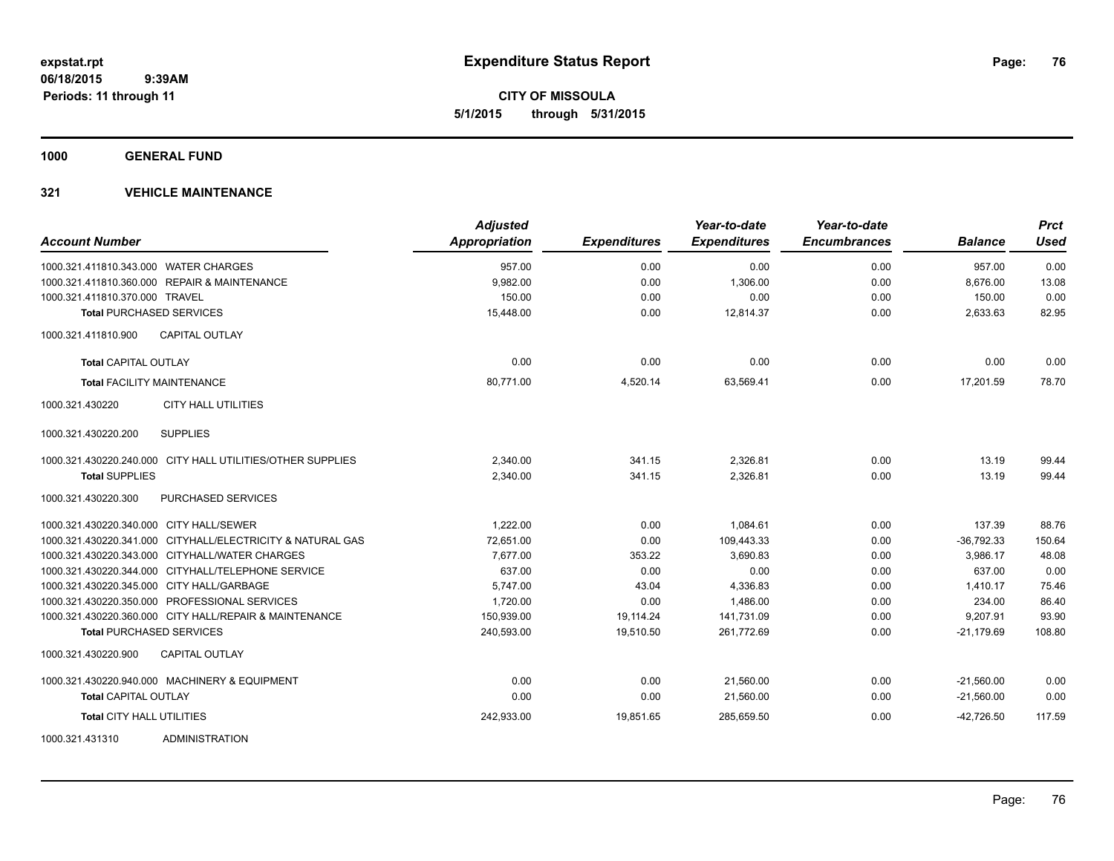**CITY OF MISSOULA 5/1/2015 through 5/31/2015**

**1000 GENERAL FUND**

| <b>Account Number</b>                                      | <b>Adjusted</b><br>Appropriation | <b>Expenditures</b> | Year-to-date<br><b>Expenditures</b> | Year-to-date<br><b>Encumbrances</b> | <b>Balance</b> | <b>Prct</b><br><b>Used</b> |
|------------------------------------------------------------|----------------------------------|---------------------|-------------------------------------|-------------------------------------|----------------|----------------------------|
| 1000.321.411810.343.000 WATER CHARGES                      | 957.00                           | 0.00                | 0.00                                | 0.00                                | 957.00         | 0.00                       |
| 1000.321.411810.360.000 REPAIR & MAINTENANCE               | 9,982.00                         | 0.00                | 1,306.00                            | 0.00                                | 8,676.00       | 13.08                      |
| 1000.321.411810.370.000 TRAVEL                             | 150.00                           | 0.00                | 0.00                                | 0.00                                | 150.00         | 0.00                       |
| <b>Total PURCHASED SERVICES</b>                            | 15,448.00                        | 0.00                | 12,814.37                           | 0.00                                | 2,633.63       | 82.95                      |
| <b>CAPITAL OUTLAY</b><br>1000.321.411810.900               |                                  |                     |                                     |                                     |                |                            |
| <b>Total CAPITAL OUTLAY</b>                                | 0.00                             | 0.00                | 0.00                                | 0.00                                | 0.00           | 0.00                       |
| <b>Total FACILITY MAINTENANCE</b>                          | 80,771.00                        | 4,520.14            | 63,569.41                           | 0.00                                | 17,201.59      | 78.70                      |
| <b>CITY HALL UTILITIES</b><br>1000.321.430220              |                                  |                     |                                     |                                     |                |                            |
| <b>SUPPLIES</b><br>1000.321.430220.200                     |                                  |                     |                                     |                                     |                |                            |
| 1000.321.430220.240.000 CITY HALL UTILITIES/OTHER SUPPLIES | 2,340.00                         | 341.15              | 2,326.81                            | 0.00                                | 13.19          | 99.44                      |
| <b>Total SUPPLIES</b>                                      | 2,340.00                         | 341.15              | 2,326.81                            | 0.00                                | 13.19          | 99.44                      |
| 1000.321.430220.300<br><b>PURCHASED SERVICES</b>           |                                  |                     |                                     |                                     |                |                            |
| 1000.321.430220.340.000 CITY HALL/SEWER                    | 1,222.00                         | 0.00                | 1,084.61                            | 0.00                                | 137.39         | 88.76                      |
| 1000.321.430220.341.000 CITYHALL/ELECTRICITY & NATURAL GAS | 72,651.00                        | 0.00                | 109,443.33                          | 0.00                                | $-36,792.33$   | 150.64                     |
| 1000.321.430220.343.000 CITYHALL/WATER CHARGES             | 7,677.00                         | 353.22              | 3,690.83                            | 0.00                                | 3,986.17       | 48.08                      |
| 1000.321.430220.344.000 CITYHALL/TELEPHONE SERVICE         | 637.00                           | 0.00                | 0.00                                | 0.00                                | 637.00         | 0.00                       |
| 1000.321.430220.345.000 CITY HALL/GARBAGE                  | 5,747.00                         | 43.04               | 4,336.83                            | 0.00                                | 1,410.17       | 75.46                      |
| 1000.321.430220.350.000 PROFESSIONAL SERVICES              | 1,720.00                         | 0.00                | 1,486.00                            | 0.00                                | 234.00         | 86.40                      |
| 1000.321.430220.360.000 CITY HALL/REPAIR & MAINTENANCE     | 150,939.00                       | 19,114.24           | 141,731.09                          | 0.00                                | 9,207.91       | 93.90                      |
| <b>Total PURCHASED SERVICES</b>                            | 240,593.00                       | 19,510.50           | 261,772.69                          | 0.00                                | $-21,179.69$   | 108.80                     |
| <b>CAPITAL OUTLAY</b><br>1000.321.430220.900               |                                  |                     |                                     |                                     |                |                            |
| 1000.321.430220.940.000 MACHINERY & EQUIPMENT              | 0.00                             | 0.00                | 21,560.00                           | 0.00                                | $-21,560.00$   | 0.00                       |
| <b>Total CAPITAL OUTLAY</b>                                | 0.00                             | 0.00                | 21,560.00                           | 0.00                                | $-21,560.00$   | 0.00                       |
| <b>Total CITY HALL UTILITIES</b>                           | 242,933.00                       | 19,851.65           | 285,659.50                          | 0.00                                | $-42,726.50$   | 117.59                     |
| 1000.321.431310<br><b>ADMINISTRATION</b>                   |                                  |                     |                                     |                                     |                |                            |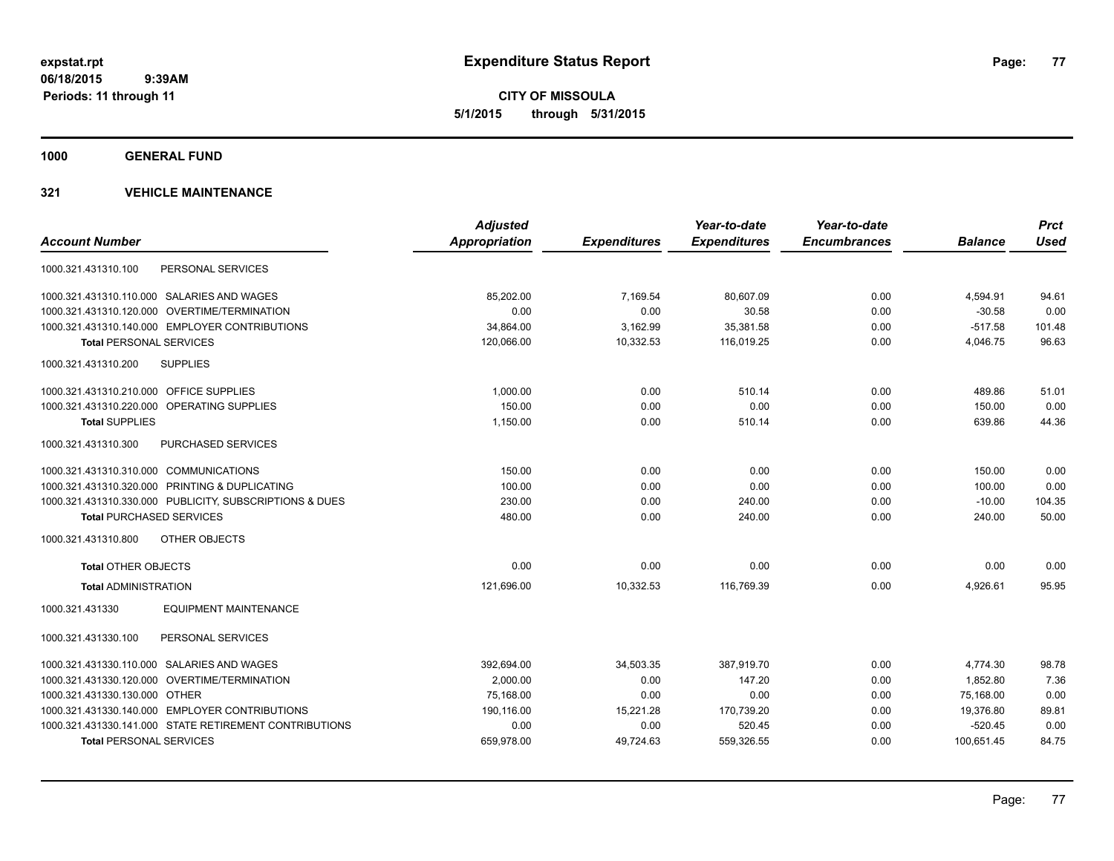**CITY OF MISSOULA 5/1/2015 through 5/31/2015**

**1000 GENERAL FUND**

|                                                         | <b>Adjusted</b> |                     | Year-to-date        | Year-to-date        |                | <b>Prct</b> |
|---------------------------------------------------------|-----------------|---------------------|---------------------|---------------------|----------------|-------------|
| <b>Account Number</b>                                   | Appropriation   | <b>Expenditures</b> | <b>Expenditures</b> | <b>Encumbrances</b> | <b>Balance</b> | <b>Used</b> |
| PERSONAL SERVICES<br>1000.321.431310.100                |                 |                     |                     |                     |                |             |
| 1000.321.431310.110.000 SALARIES AND WAGES              | 85.202.00       | 7,169.54            | 80,607.09           | 0.00                | 4,594.91       | 94.61       |
| 1000.321.431310.120.000 OVERTIME/TERMINATION            | 0.00            | 0.00                | 30.58               | 0.00                | $-30.58$       | 0.00        |
| 1000.321.431310.140.000 EMPLOYER CONTRIBUTIONS          | 34,864.00       | 3,162.99            | 35,381.58           | 0.00                | $-517.58$      | 101.48      |
| <b>Total PERSONAL SERVICES</b>                          | 120,066.00      | 10,332.53           | 116,019.25          | 0.00                | 4,046.75       | 96.63       |
| <b>SUPPLIES</b><br>1000.321.431310.200                  |                 |                     |                     |                     |                |             |
| 1000.321.431310.210.000 OFFICE SUPPLIES                 | 1,000.00        | 0.00                | 510.14              | 0.00                | 489.86         | 51.01       |
| 1000.321.431310.220.000 OPERATING SUPPLIES              | 150.00          | 0.00                | 0.00                | 0.00                | 150.00         | 0.00        |
| <b>Total SUPPLIES</b>                                   | 1,150.00        | 0.00                | 510.14              | 0.00                | 639.86         | 44.36       |
| 1000.321.431310.300<br><b>PURCHASED SERVICES</b>        |                 |                     |                     |                     |                |             |
| 1000.321.431310.310.000 COMMUNICATIONS                  | 150.00          | 0.00                | 0.00                | 0.00                | 150.00         | 0.00        |
| 1000.321.431310.320.000 PRINTING & DUPLICATING          | 100.00          | 0.00                | 0.00                | 0.00                | 100.00         | 0.00        |
| 1000.321.431310.330.000 PUBLICITY, SUBSCRIPTIONS & DUES | 230.00          | 0.00                | 240.00              | 0.00                | $-10.00$       | 104.35      |
| <b>Total PURCHASED SERVICES</b>                         | 480.00          | 0.00                | 240.00              | 0.00                | 240.00         | 50.00       |
| 1000.321.431310.800<br>OTHER OBJECTS                    |                 |                     |                     |                     |                |             |
| <b>Total OTHER OBJECTS</b>                              | 0.00            | 0.00                | 0.00                | 0.00                | 0.00           | 0.00        |
| <b>Total ADMINISTRATION</b>                             | 121,696.00      | 10,332.53           | 116.769.39          | 0.00                | 4,926.61       | 95.95       |
| <b>EQUIPMENT MAINTENANCE</b><br>1000.321.431330         |                 |                     |                     |                     |                |             |
| 1000.321.431330.100<br>PERSONAL SERVICES                |                 |                     |                     |                     |                |             |
| 1000.321.431330.110.000 SALARIES AND WAGES              | 392,694.00      | 34,503.35           | 387,919.70          | 0.00                | 4,774.30       | 98.78       |
| 1000.321.431330.120.000 OVERTIME/TERMINATION            | 2,000.00        | 0.00                | 147.20              | 0.00                | 1.852.80       | 7.36        |
| 1000.321.431330.130.000 OTHER                           | 75,168.00       | 0.00                | 0.00                | 0.00                | 75,168.00      | 0.00        |
| 1000.321.431330.140.000 EMPLOYER CONTRIBUTIONS          | 190,116.00      | 15,221.28           | 170,739.20          | 0.00                | 19,376.80      | 89.81       |
| 1000.321.431330.141.000 STATE RETIREMENT CONTRIBUTIONS  | 0.00            | 0.00                | 520.45              | 0.00                | $-520.45$      | 0.00        |
| <b>Total PERSONAL SERVICES</b>                          | 659,978.00      | 49,724.63           | 559,326.55          | 0.00                | 100,651.45     | 84.75       |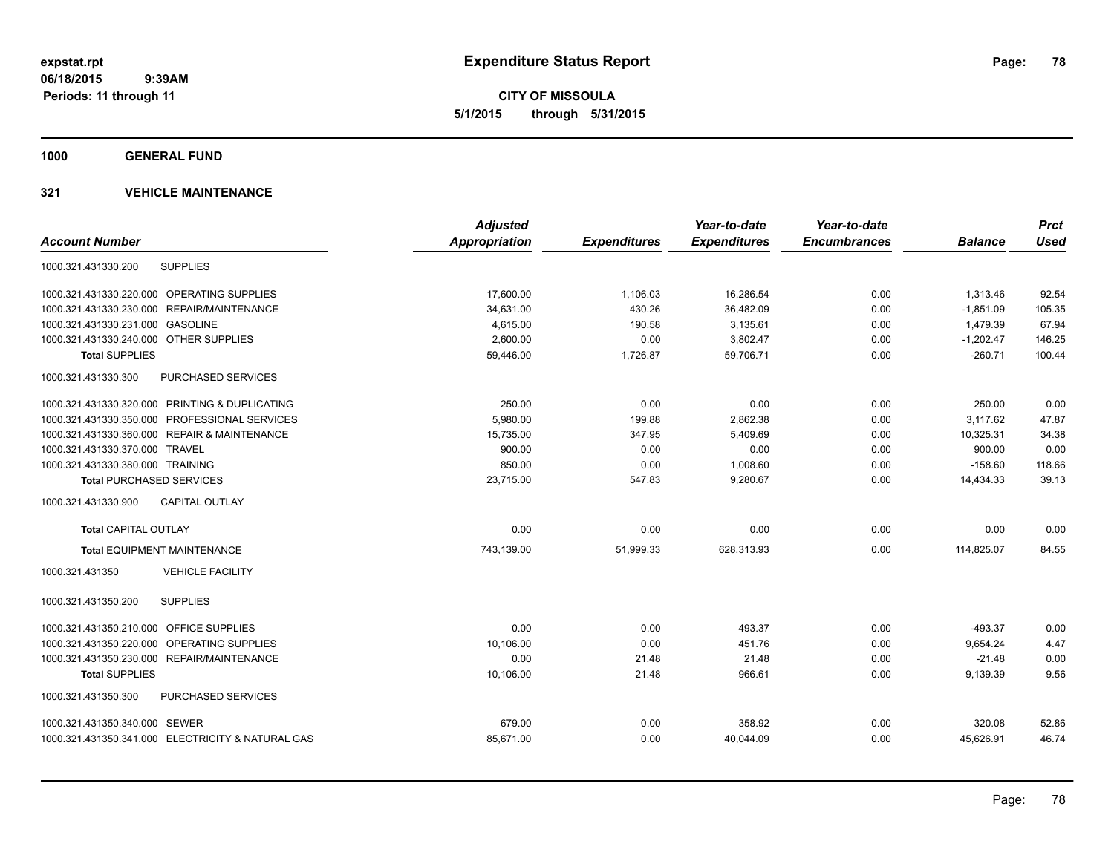**CITY OF MISSOULA 5/1/2015 through 5/31/2015**

**1000 GENERAL FUND**

|                                                   | <b>Adjusted</b>      |                     | Year-to-date        | Year-to-date        |                | <b>Prct</b> |
|---------------------------------------------------|----------------------|---------------------|---------------------|---------------------|----------------|-------------|
| <b>Account Number</b>                             | <b>Appropriation</b> | <b>Expenditures</b> | <b>Expenditures</b> | <b>Encumbrances</b> | <b>Balance</b> | <b>Used</b> |
| <b>SUPPLIES</b><br>1000.321.431330.200            |                      |                     |                     |                     |                |             |
| 1000.321.431330.220.000 OPERATING SUPPLIES        | 17,600.00            | 1,106.03            | 16,286.54           | 0.00                | 1,313.46       | 92.54       |
| REPAIR/MAINTENANCE<br>1000.321.431330.230.000     | 34,631.00            | 430.26              | 36,482.09           | 0.00                | $-1,851.09$    | 105.35      |
| 1000.321.431330.231.000 GASOLINE                  | 4,615.00             | 190.58              | 3,135.61            | 0.00                | 1,479.39       | 67.94       |
| 1000.321.431330.240.000 OTHER SUPPLIES            | 2,600.00             | 0.00                | 3,802.47            | 0.00                | $-1,202.47$    | 146.25      |
| <b>Total SUPPLIES</b>                             | 59,446.00            | 1,726.87            | 59,706.71           | 0.00                | $-260.71$      | 100.44      |
| PURCHASED SERVICES<br>1000.321.431330.300         |                      |                     |                     |                     |                |             |
| 1000.321.431330.320.000 PRINTING & DUPLICATING    | 250.00               | 0.00                | 0.00                | 0.00                | 250.00         | 0.00        |
| 1000.321.431330.350.000 PROFESSIONAL SERVICES     | 5,980.00             | 199.88              | 2,862.38            | 0.00                | 3,117.62       | 47.87       |
| 1000.321.431330.360.000 REPAIR & MAINTENANCE      | 15,735.00            | 347.95              | 5,409.69            | 0.00                | 10,325.31      | 34.38       |
| 1000.321.431330.370.000 TRAVEL                    | 900.00               | 0.00                | 0.00                | 0.00                | 900.00         | 0.00        |
| 1000.321.431330.380.000 TRAINING                  | 850.00               | 0.00                | 1,008.60            | 0.00                | $-158.60$      | 118.66      |
| <b>Total PURCHASED SERVICES</b>                   | 23,715.00            | 547.83              | 9,280.67            | 0.00                | 14,434.33      | 39.13       |
| <b>CAPITAL OUTLAY</b><br>1000.321.431330.900      |                      |                     |                     |                     |                |             |
| Total CAPITAL OUTLAY                              | 0.00                 | 0.00                | 0.00                | 0.00                | 0.00           | 0.00        |
| <b>Total EQUIPMENT MAINTENANCE</b>                | 743,139.00           | 51,999.33           | 628,313.93          | 0.00                | 114,825.07     | 84.55       |
| <b>VEHICLE FACILITY</b><br>1000.321.431350        |                      |                     |                     |                     |                |             |
| 1000.321.431350.200<br><b>SUPPLIES</b>            |                      |                     |                     |                     |                |             |
| 1000.321.431350.210.000 OFFICE SUPPLIES           | 0.00                 | 0.00                | 493.37              | 0.00                | $-493.37$      | 0.00        |
| OPERATING SUPPLIES<br>1000.321.431350.220.000     | 10.106.00            | 0.00                | 451.76              | 0.00                | 9,654.24       | 4.47        |
| 1000.321.431350.230.000 REPAIR/MAINTENANCE        | 0.00                 | 21.48               | 21.48               | 0.00                | $-21.48$       | 0.00        |
| <b>Total SUPPLIES</b>                             | 10,106.00            | 21.48               | 966.61              | 0.00                | 9,139.39       | 9.56        |
| 1000.321.431350.300<br><b>PURCHASED SERVICES</b>  |                      |                     |                     |                     |                |             |
| 1000.321.431350.340.000 SEWER                     | 679.00               | 0.00                | 358.92              | 0.00                | 320.08         | 52.86       |
| 1000.321.431350.341.000 ELECTRICITY & NATURAL GAS | 85,671.00            | 0.00                | 40,044.09           | 0.00                | 45,626.91      | 46.74       |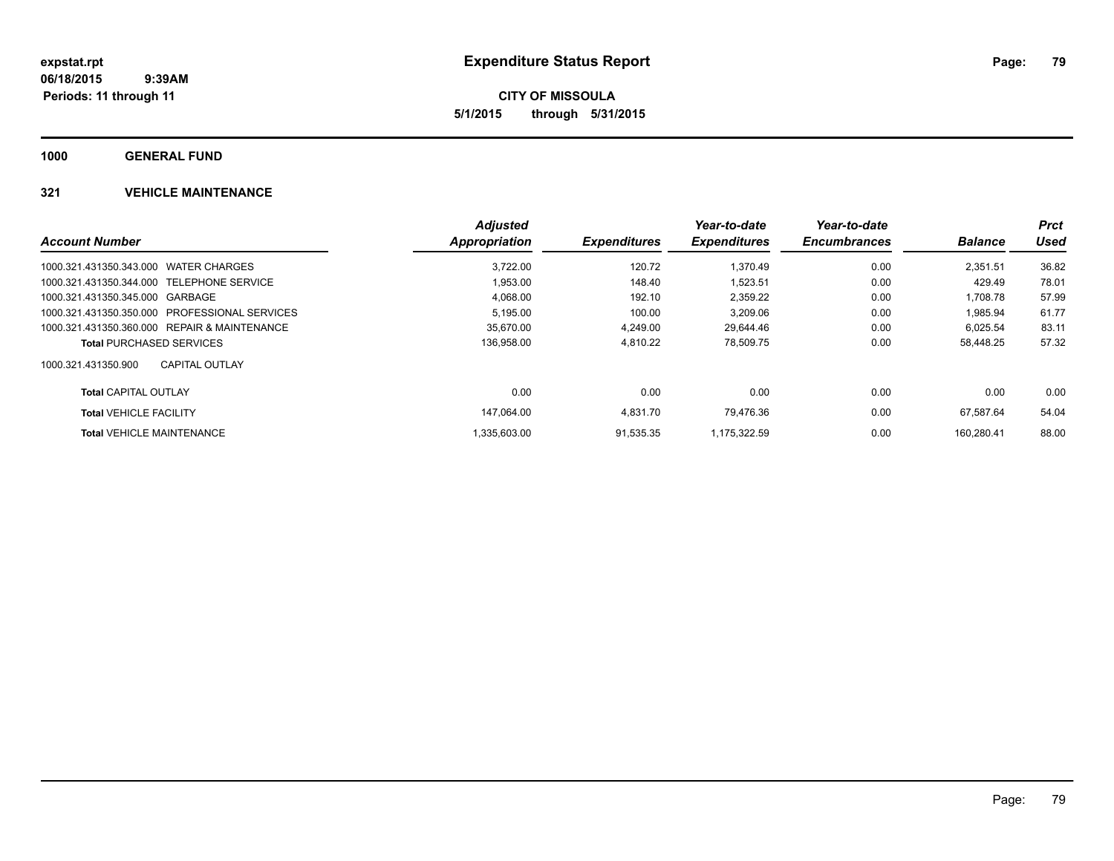**CITY OF MISSOULA 5/1/2015 through 5/31/2015**

**1000 GENERAL FUND**

|                                               | <b>Adjusted</b>      |                     | Year-to-date        | Year-to-date        |                | <b>Prct</b> |
|-----------------------------------------------|----------------------|---------------------|---------------------|---------------------|----------------|-------------|
| <b>Account Number</b>                         | <b>Appropriation</b> | <b>Expenditures</b> | <b>Expenditures</b> | <b>Encumbrances</b> | <b>Balance</b> | <b>Used</b> |
| 1000.321.431350.343.000 WATER CHARGES         | 3.722.00             | 120.72              | 1.370.49            | 0.00                | 2.351.51       | 36.82       |
| 1000.321.431350.344.000 TELEPHONE SERVICE     | 1,953.00             | 148.40              | 1,523.51            | 0.00                | 429.49         | 78.01       |
| 1000.321.431350.345.000 GARBAGE               | 4,068.00             | 192.10              | 2,359.22            | 0.00                | 1.708.78       | 57.99       |
| 1000.321.431350.350.000 PROFESSIONAL SERVICES | 5,195.00             | 100.00              | 3,209.06            | 0.00                | 1,985.94       | 61.77       |
| 1000.321.431350.360.000 REPAIR & MAINTENANCE  | 35.670.00            | 4.249.00            | 29.644.46           | 0.00                | 6.025.54       | 83.11       |
| <b>Total PURCHASED SERVICES</b>               | 136,958.00           | 4,810.22            | 78,509.75           | 0.00                | 58,448.25      | 57.32       |
| <b>CAPITAL OUTLAY</b><br>1000.321.431350.900  |                      |                     |                     |                     |                |             |
| <b>Total CAPITAL OUTLAY</b>                   | 0.00                 | 0.00                | 0.00                | 0.00                | 0.00           | 0.00        |
| <b>Total VEHICLE FACILITY</b>                 | 147.064.00           | 4,831.70            | 79.476.36           | 0.00                | 67.587.64      | 54.04       |
| <b>Total VEHICLE MAINTENANCE</b>              | 1.335.603.00         | 91.535.35           | 1.175.322.59        | 0.00                | 160.280.41     | 88.00       |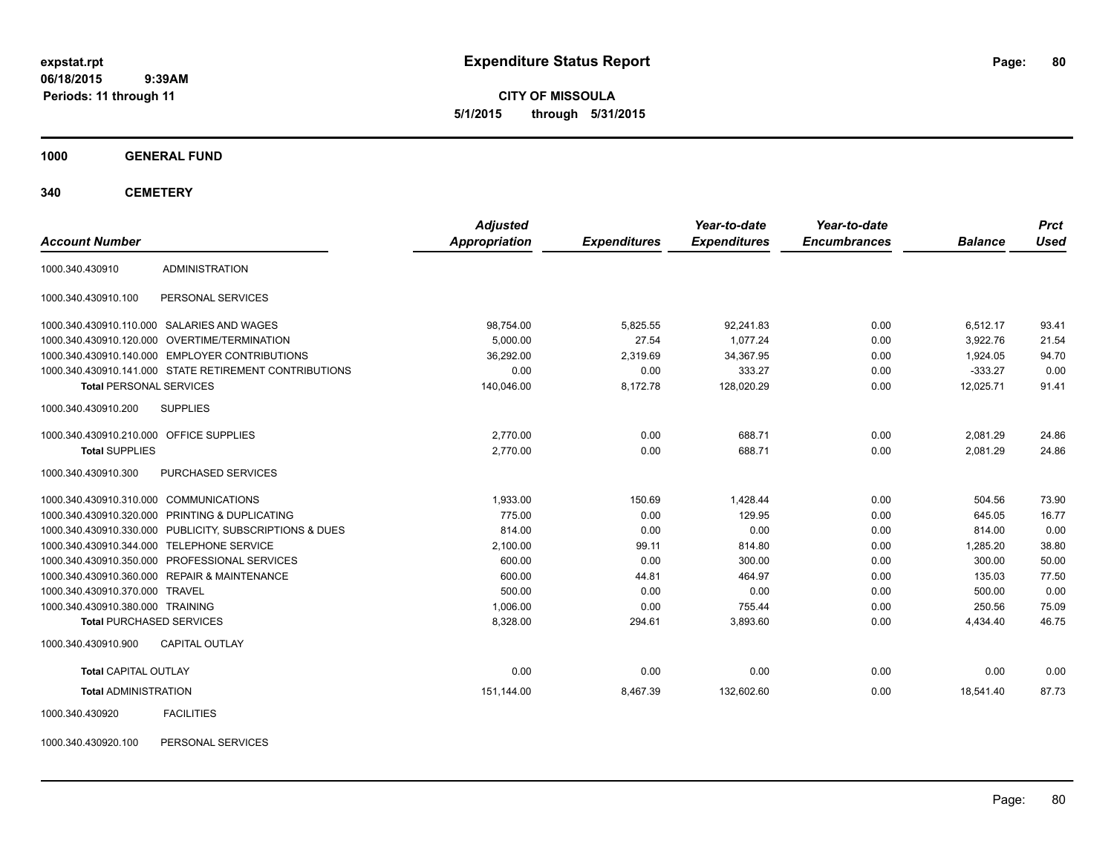**CITY OF MISSOULA 5/1/2015 through 5/31/2015**

**1000 GENERAL FUND**

**340 CEMETERY**

| <b>Account Number</b>                   |                                                         | <b>Adjusted</b><br><b>Appropriation</b> | <b>Expenditures</b> | Year-to-date<br><b>Expenditures</b> | Year-to-date<br><b>Encumbrances</b> | <b>Balance</b> | <b>Prct</b><br><b>Used</b> |
|-----------------------------------------|---------------------------------------------------------|-----------------------------------------|---------------------|-------------------------------------|-------------------------------------|----------------|----------------------------|
| 1000.340.430910                         | <b>ADMINISTRATION</b>                                   |                                         |                     |                                     |                                     |                |                            |
| 1000.340.430910.100                     | PERSONAL SERVICES                                       |                                         |                     |                                     |                                     |                |                            |
|                                         | 1000.340.430910.110.000 SALARIES AND WAGES              | 98,754.00                               | 5,825.55            | 92,241.83                           | 0.00                                | 6,512.17       | 93.41                      |
|                                         | 1000.340.430910.120.000 OVERTIME/TERMINATION            | 5,000.00                                | 27.54               | 1.077.24                            | 0.00                                | 3,922.76       | 21.54                      |
|                                         | 1000.340.430910.140.000 EMPLOYER CONTRIBUTIONS          | 36,292.00                               | 2,319.69            | 34,367.95                           | 0.00                                | 1,924.05       | 94.70                      |
|                                         | 1000.340.430910.141.000 STATE RETIREMENT CONTRIBUTIONS  | 0.00                                    | 0.00                | 333.27                              | 0.00                                | $-333.27$      | 0.00                       |
| <b>Total PERSONAL SERVICES</b>          |                                                         | 140,046.00                              | 8,172.78            | 128,020.29                          | 0.00                                | 12,025.71      | 91.41                      |
| 1000.340.430910.200                     | <b>SUPPLIES</b>                                         |                                         |                     |                                     |                                     |                |                            |
| 1000.340.430910.210.000 OFFICE SUPPLIES |                                                         | 2.770.00                                | 0.00                | 688.71                              | 0.00                                | 2,081.29       | 24.86                      |
| <b>Total SUPPLIES</b>                   |                                                         | 2.770.00                                | 0.00                | 688.71                              | 0.00                                | 2.081.29       | 24.86                      |
| 1000.340.430910.300                     | PURCHASED SERVICES                                      |                                         |                     |                                     |                                     |                |                            |
| 1000.340.430910.310.000 COMMUNICATIONS  |                                                         | 1,933.00                                | 150.69              | 1,428.44                            | 0.00                                | 504.56         | 73.90                      |
|                                         | 1000.340.430910.320.000 PRINTING & DUPLICATING          | 775.00                                  | 0.00                | 129.95                              | 0.00                                | 645.05         | 16.77                      |
|                                         | 1000.340.430910.330.000 PUBLICITY, SUBSCRIPTIONS & DUES | 814.00                                  | 0.00                | 0.00                                | 0.00                                | 814.00         | 0.00                       |
|                                         | 1000.340.430910.344.000 TELEPHONE SERVICE               | 2,100.00                                | 99.11               | 814.80                              | 0.00                                | 1,285.20       | 38.80                      |
|                                         | 1000.340.430910.350.000 PROFESSIONAL SERVICES           | 600.00                                  | 0.00                | 300.00                              | 0.00                                | 300.00         | 50.00                      |
|                                         | 1000.340.430910.360.000 REPAIR & MAINTENANCE            | 600.00                                  | 44.81               | 464.97                              | 0.00                                | 135.03         | 77.50                      |
| 1000.340.430910.370.000 TRAVEL          |                                                         | 500.00                                  | 0.00                | 0.00                                | 0.00                                | 500.00         | 0.00                       |
| 1000.340.430910.380.000 TRAINING        |                                                         | 1.006.00                                | 0.00                | 755.44                              | 0.00                                | 250.56         | 75.09                      |
| <b>Total PURCHASED SERVICES</b>         |                                                         | 8,328.00                                | 294.61              | 3,893.60                            | 0.00                                | 4,434.40       | 46.75                      |
| 1000.340.430910.900                     | <b>CAPITAL OUTLAY</b>                                   |                                         |                     |                                     |                                     |                |                            |
| <b>Total CAPITAL OUTLAY</b>             |                                                         | 0.00                                    | 0.00                | 0.00                                | 0.00                                | 0.00           | 0.00                       |
| <b>Total ADMINISTRATION</b>             |                                                         | 151,144.00                              | 8,467.39            | 132,602.60                          | 0.00                                | 18,541.40      | 87.73                      |
| 1000.340.430920                         | <b>FACILITIES</b>                                       |                                         |                     |                                     |                                     |                |                            |

1000.340.430920.100 PERSONAL SERVICES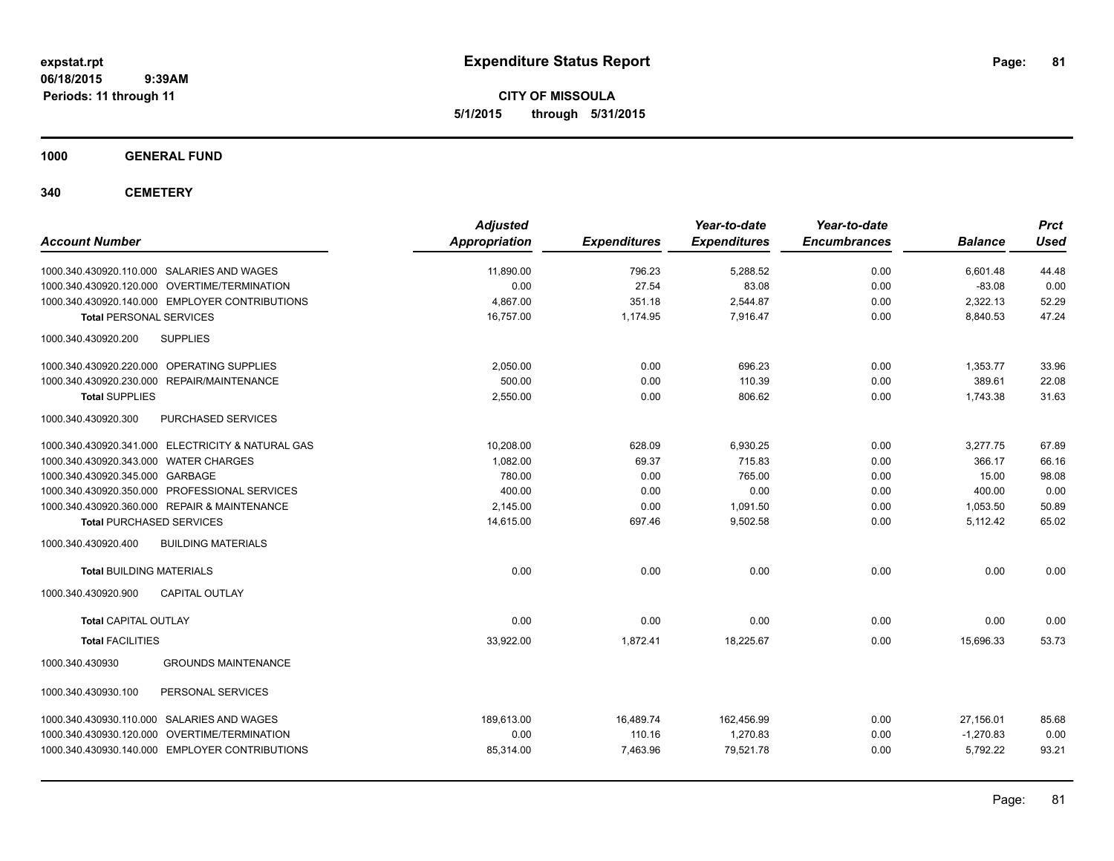**CITY OF MISSOULA 5/1/2015 through 5/31/2015**

**1000 GENERAL FUND**

**340 CEMETERY**

| <b>Account Number</b>                             | <b>Adjusted</b><br>Appropriation | <b>Expenditures</b> | Year-to-date<br><b>Expenditures</b> | Year-to-date<br><b>Encumbrances</b> | <b>Balance</b> | <b>Prct</b><br><b>Used</b> |
|---------------------------------------------------|----------------------------------|---------------------|-------------------------------------|-------------------------------------|----------------|----------------------------|
| 1000.340.430920.110.000 SALARIES AND WAGES        | 11,890.00                        | 796.23              | 5,288.52                            | 0.00                                | 6,601.48       | 44.48                      |
| 1000.340.430920.120.000 OVERTIME/TERMINATION      | 0.00                             | 27.54               | 83.08                               | 0.00                                | $-83.08$       | 0.00                       |
| 1000.340.430920.140.000 EMPLOYER CONTRIBUTIONS    | 4.867.00                         | 351.18              | 2,544.87                            | 0.00                                | 2,322.13       | 52.29                      |
| <b>Total PERSONAL SERVICES</b>                    | 16,757.00                        | 1,174.95            | 7,916.47                            | 0.00                                | 8,840.53       | 47.24                      |
| <b>SUPPLIES</b><br>1000.340.430920.200            |                                  |                     |                                     |                                     |                |                            |
| 1000.340.430920.220.000 OPERATING SUPPLIES        | 2,050.00                         | 0.00                | 696.23                              | 0.00                                | 1,353.77       | 33.96                      |
| 1000.340.430920.230.000<br>REPAIR/MAINTENANCE     | 500.00                           | 0.00                | 110.39                              | 0.00                                | 389.61         | 22.08                      |
| <b>Total SUPPLIES</b>                             | 2,550.00                         | 0.00                | 806.62                              | 0.00                                | 1,743.38       | 31.63                      |
| 1000.340.430920.300<br>PURCHASED SERVICES         |                                  |                     |                                     |                                     |                |                            |
| 1000.340.430920.341.000 ELECTRICITY & NATURAL GAS | 10,208.00                        | 628.09              | 6,930.25                            | 0.00                                | 3,277.75       | 67.89                      |
| 1000.340.430920.343.000 WATER CHARGES             | 1,082.00                         | 69.37               | 715.83                              | 0.00                                | 366.17         | 66.16                      |
| 1000.340.430920.345.000 GARBAGE                   | 780.00                           | 0.00                | 765.00                              | 0.00                                | 15.00          | 98.08                      |
| 1000.340.430920.350.000 PROFESSIONAL SERVICES     | 400.00                           | 0.00                | 0.00                                | 0.00                                | 400.00         | 0.00                       |
| 1000.340.430920.360.000 REPAIR & MAINTENANCE      | 2,145.00                         | 0.00                | 1,091.50                            | 0.00                                | 1,053.50       | 50.89                      |
| <b>Total PURCHASED SERVICES</b>                   | 14,615.00                        | 697.46              | 9,502.58                            | 0.00                                | 5,112.42       | 65.02                      |
| 1000.340.430920.400<br><b>BUILDING MATERIALS</b>  |                                  |                     |                                     |                                     |                |                            |
| <b>Total BUILDING MATERIALS</b>                   | 0.00                             | 0.00                | 0.00                                | 0.00                                | 0.00           | 0.00                       |
| 1000.340.430920.900<br><b>CAPITAL OUTLAY</b>      |                                  |                     |                                     |                                     |                |                            |
| <b>Total CAPITAL OUTLAY</b>                       | 0.00                             | 0.00                | 0.00                                | 0.00                                | 0.00           | 0.00                       |
| <b>Total FACILITIES</b>                           | 33,922.00                        | 1,872.41            | 18,225.67                           | 0.00                                | 15,696.33      | 53.73                      |
| 1000.340.430930<br><b>GROUNDS MAINTENANCE</b>     |                                  |                     |                                     |                                     |                |                            |
| 1000.340.430930.100<br>PERSONAL SERVICES          |                                  |                     |                                     |                                     |                |                            |
| 1000.340.430930.110.000 SALARIES AND WAGES        | 189.613.00                       | 16,489.74           | 162,456.99                          | 0.00                                | 27,156.01      | 85.68                      |
| 1000.340.430930.120.000 OVERTIME/TERMINATION      | 0.00                             | 110.16              | 1,270.83                            | 0.00                                | $-1,270.83$    | 0.00                       |
| 1000.340.430930.140.000 EMPLOYER CONTRIBUTIONS    | 85,314.00                        | 7,463.96            | 79,521.78                           | 0.00                                | 5,792.22       | 93.21                      |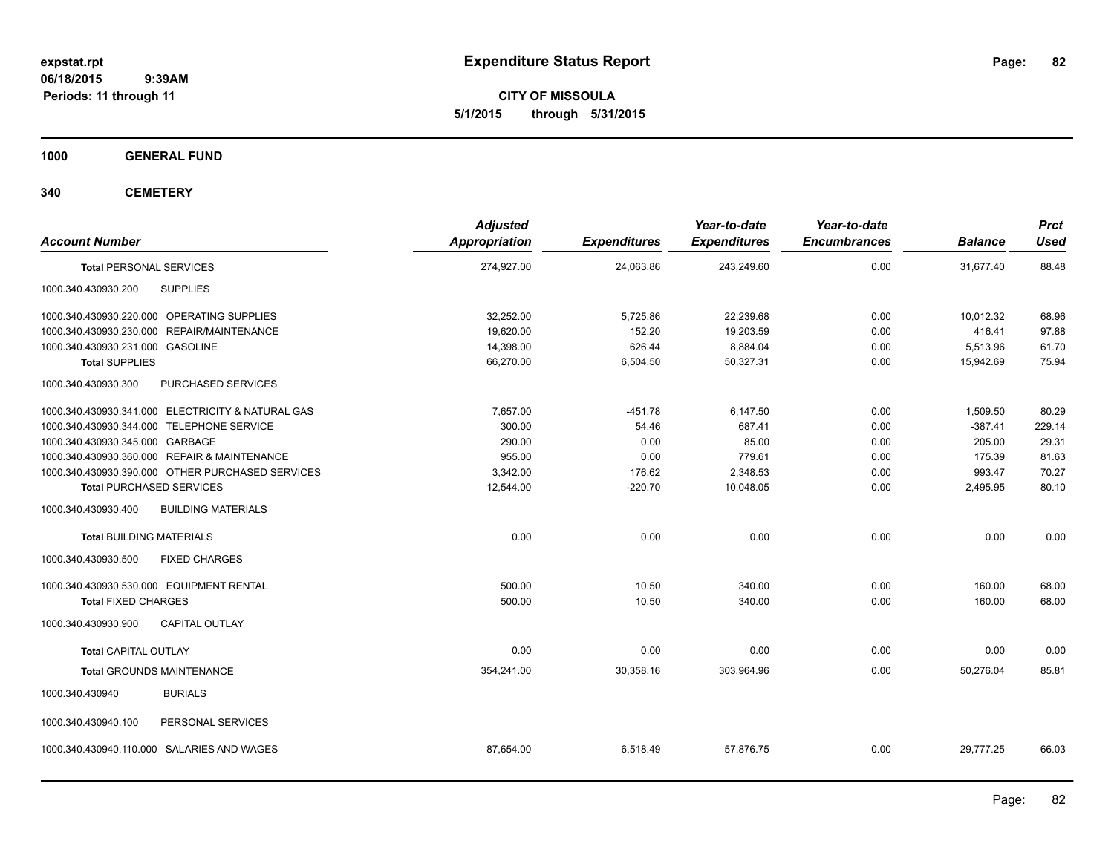**CITY OF MISSOULA 5/1/2015 through 5/31/2015**

**1000 GENERAL FUND**

**340 CEMETERY**

| <b>Account Number</b>                             | <b>Adjusted</b><br>Appropriation | <b>Expenditures</b> | Year-to-date<br><b>Expenditures</b> | Year-to-date<br><b>Encumbrances</b> | <b>Balance</b> | <b>Prct</b><br><b>Used</b> |
|---------------------------------------------------|----------------------------------|---------------------|-------------------------------------|-------------------------------------|----------------|----------------------------|
| <b>Total PERSONAL SERVICES</b>                    | 274,927.00                       | 24,063.86           | 243,249.60                          | 0.00                                | 31,677.40      | 88.48                      |
| <b>SUPPLIES</b><br>1000.340.430930.200            |                                  |                     |                                     |                                     |                |                            |
| 1000.340.430930.220.000 OPERATING SUPPLIES        | 32,252.00                        | 5,725.86            | 22,239.68                           | 0.00                                | 10,012.32      | 68.96                      |
| 1000.340.430930.230.000 REPAIR/MAINTENANCE        | 19,620.00                        | 152.20              | 19,203.59                           | 0.00                                | 416.41         | 97.88                      |
| 1000.340.430930.231.000 GASOLINE                  | 14,398.00                        | 626.44              | 8,884.04                            | 0.00                                | 5,513.96       | 61.70                      |
| <b>Total SUPPLIES</b>                             | 66,270.00                        | 6,504.50            | 50,327.31                           | 0.00                                | 15,942.69      | 75.94                      |
| 1000.340.430930.300<br>PURCHASED SERVICES         |                                  |                     |                                     |                                     |                |                            |
| 1000.340.430930.341.000 ELECTRICITY & NATURAL GAS | 7,657.00                         | -451.78             | 6,147.50                            | 0.00                                | 1,509.50       | 80.29                      |
| 1000.340.430930.344.000 TELEPHONE SERVICE         | 300.00                           | 54.46               | 687.41                              | 0.00                                | $-387.41$      | 229.14                     |
| 1000.340.430930.345.000 GARBAGE                   | 290.00                           | 0.00                | 85.00                               | 0.00                                | 205.00         | 29.31                      |
| 1000.340.430930.360.000 REPAIR & MAINTENANCE      | 955.00                           | 0.00                | 779.61                              | 0.00                                | 175.39         | 81.63                      |
| 1000.340.430930.390.000 OTHER PURCHASED SERVICES  | 3,342.00                         | 176.62              | 2,348.53                            | 0.00                                | 993.47         | 70.27                      |
| <b>Total PURCHASED SERVICES</b>                   | 12,544.00                        | $-220.70$           | 10,048.05                           | 0.00                                | 2,495.95       | 80.10                      |
| <b>BUILDING MATERIALS</b><br>1000.340.430930.400  |                                  |                     |                                     |                                     |                |                            |
| <b>Total BUILDING MATERIALS</b>                   | 0.00                             | 0.00                | 0.00                                | 0.00                                | 0.00           | 0.00                       |
| 1000.340.430930.500<br><b>FIXED CHARGES</b>       |                                  |                     |                                     |                                     |                |                            |
| 1000.340.430930.530.000 EQUIPMENT RENTAL          | 500.00                           | 10.50               | 340.00                              | 0.00                                | 160.00         | 68.00                      |
| <b>Total FIXED CHARGES</b>                        | 500.00                           | 10.50               | 340.00                              | 0.00                                | 160.00         | 68.00                      |
| CAPITAL OUTLAY<br>1000.340.430930.900             |                                  |                     |                                     |                                     |                |                            |
| <b>Total CAPITAL OUTLAY</b>                       | 0.00                             | 0.00                | 0.00                                | 0.00                                | 0.00           | 0.00                       |
| <b>Total GROUNDS MAINTENANCE</b>                  | 354,241.00                       | 30,358.16           | 303,964.96                          | 0.00                                | 50,276.04      | 85.81                      |
| <b>BURIALS</b><br>1000.340.430940                 |                                  |                     |                                     |                                     |                |                            |
| 1000.340.430940.100<br>PERSONAL SERVICES          |                                  |                     |                                     |                                     |                |                            |
| 1000.340.430940.110.000 SALARIES AND WAGES        | 87,654.00                        | 6,518.49            | 57,876.75                           | 0.00                                | 29,777.25      | 66.03                      |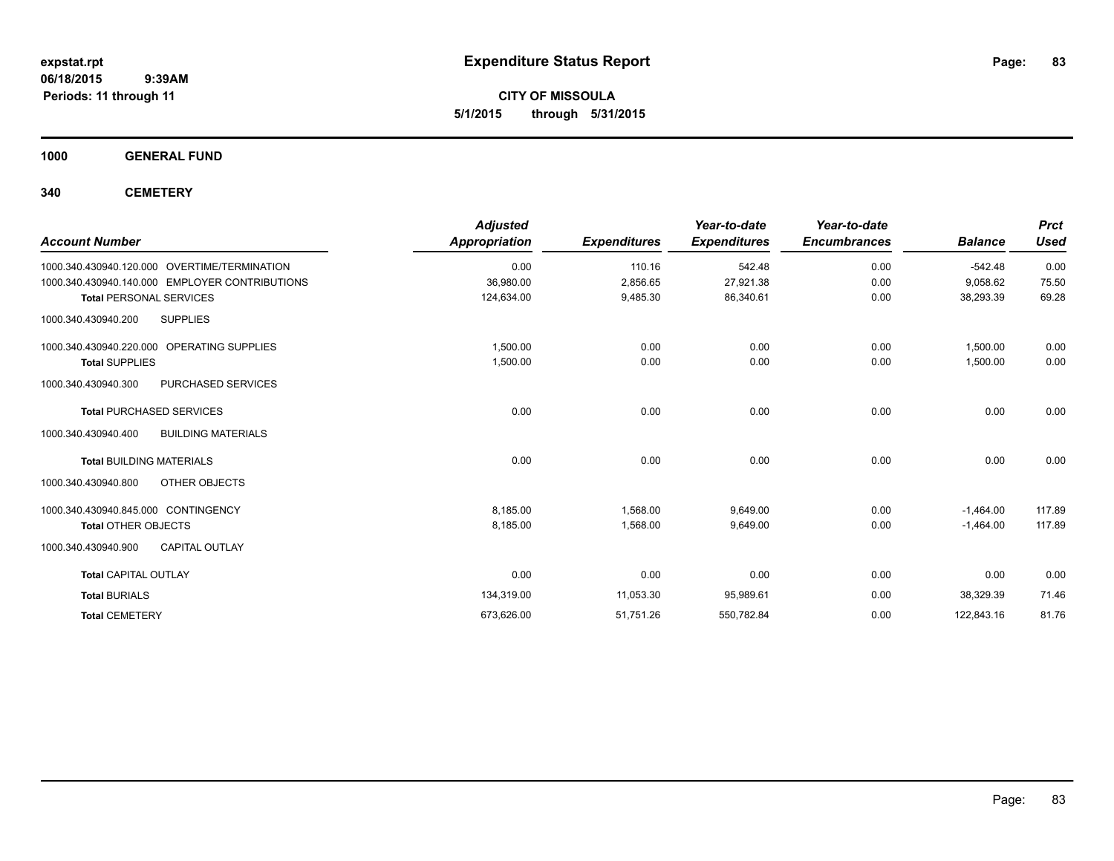**CITY OF MISSOULA 5/1/2015 through 5/31/2015**

**1000 GENERAL FUND**

**340 CEMETERY**

| <b>Account Number</b>                            | <b>Adjusted</b><br><b>Appropriation</b> | <b>Expenditures</b> | Year-to-date<br><b>Expenditures</b> | Year-to-date<br><b>Encumbrances</b> | <b>Balance</b> | <b>Prct</b><br><b>Used</b> |
|--------------------------------------------------|-----------------------------------------|---------------------|-------------------------------------|-------------------------------------|----------------|----------------------------|
| 1000.340.430940.120.000 OVERTIME/TERMINATION     | 0.00                                    | 110.16              | 542.48                              | 0.00                                | $-542.48$      | 0.00                       |
| 1000.340.430940.140.000 EMPLOYER CONTRIBUTIONS   | 36,980.00                               | 2,856.65            | 27,921.38                           | 0.00                                | 9,058.62       | 75.50                      |
| <b>Total PERSONAL SERVICES</b>                   | 124,634.00                              | 9,485.30            | 86,340.61                           | 0.00                                | 38,293.39      | 69.28                      |
| <b>SUPPLIES</b><br>1000.340.430940.200           |                                         |                     |                                     |                                     |                |                            |
| 1000.340.430940.220.000 OPERATING SUPPLIES       | 1,500.00                                | 0.00                | 0.00                                | 0.00                                | 1,500.00       | 0.00                       |
| <b>Total SUPPLIES</b>                            | 1,500.00                                | 0.00                | 0.00                                | 0.00                                | 1.500.00       | 0.00                       |
| PURCHASED SERVICES<br>1000.340.430940.300        |                                         |                     |                                     |                                     |                |                            |
| <b>Total PURCHASED SERVICES</b>                  | 0.00                                    | 0.00                | 0.00                                | 0.00                                | 0.00           | 0.00                       |
| 1000.340.430940.400<br><b>BUILDING MATERIALS</b> |                                         |                     |                                     |                                     |                |                            |
| <b>Total BUILDING MATERIALS</b>                  | 0.00                                    | 0.00                | 0.00                                | 0.00                                | 0.00           | 0.00                       |
| OTHER OBJECTS<br>1000.340.430940.800             |                                         |                     |                                     |                                     |                |                            |
| 1000.340.430940.845.000 CONTINGENCY              | 8,185.00                                | 1,568.00            | 9,649.00                            | 0.00                                | $-1,464.00$    | 117.89                     |
| <b>Total OTHER OBJECTS</b>                       | 8,185.00                                | 1,568.00            | 9.649.00                            | 0.00                                | $-1.464.00$    | 117.89                     |
| 1000.340.430940.900<br><b>CAPITAL OUTLAY</b>     |                                         |                     |                                     |                                     |                |                            |
| <b>Total CAPITAL OUTLAY</b>                      | 0.00                                    | 0.00                | 0.00                                | 0.00                                | 0.00           | 0.00                       |
| <b>Total BURIALS</b>                             | 134,319.00                              | 11,053.30           | 95,989.61                           | 0.00                                | 38,329.39      | 71.46                      |
| <b>Total CEMETERY</b>                            | 673,626.00                              | 51,751.26           | 550,782.84                          | 0.00                                | 122,843.16     | 81.76                      |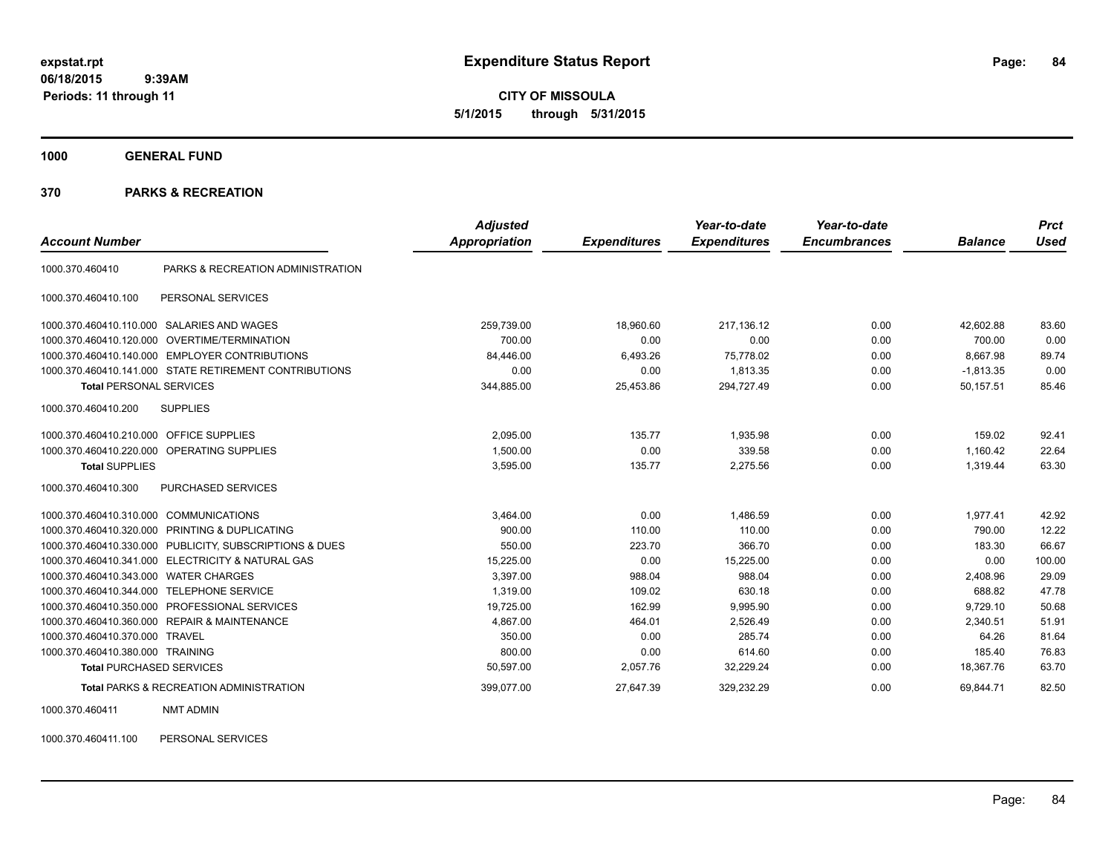**CITY OF MISSOULA 5/1/2015 through 5/31/2015**

**1000 GENERAL FUND**

## **370 PARKS & RECREATION**

| <b>Account Number</b>                   |                                                        | <b>Adjusted</b><br><b>Appropriation</b> | <b>Expenditures</b> | Year-to-date<br><b>Expenditures</b> | Year-to-date<br><b>Encumbrances</b> | <b>Balance</b> | <b>Prct</b><br>Used |
|-----------------------------------------|--------------------------------------------------------|-----------------------------------------|---------------------|-------------------------------------|-------------------------------------|----------------|---------------------|
|                                         |                                                        |                                         |                     |                                     |                                     |                |                     |
| 1000.370.460410                         | PARKS & RECREATION ADMINISTRATION                      |                                         |                     |                                     |                                     |                |                     |
| 1000.370.460410.100                     | PERSONAL SERVICES                                      |                                         |                     |                                     |                                     |                |                     |
| 1000.370.460410.110.000                 | <b>SALARIES AND WAGES</b>                              | 259,739.00                              | 18.960.60           | 217,136.12                          | 0.00                                | 42.602.88      | 83.60               |
| 1000.370.460410.120.000                 | <b>OVERTIME/TERMINATION</b>                            | 700.00                                  | 0.00                | 0.00                                | 0.00                                | 700.00         | 0.00                |
| 1000.370.460410.140.000                 | <b>EMPLOYER CONTRIBUTIONS</b>                          | 84,446.00                               | 6,493.26            | 75,778.02                           | 0.00                                | 8,667.98       | 89.74               |
|                                         | 1000.370.460410.141.000 STATE RETIREMENT CONTRIBUTIONS | 0.00                                    | 0.00                | 1,813.35                            | 0.00                                | $-1,813.35$    | 0.00                |
| <b>Total PERSONAL SERVICES</b>          |                                                        | 344,885.00                              | 25,453.86           | 294,727.49                          | 0.00                                | 50,157.51      | 85.46               |
| 1000.370.460410.200                     | <b>SUPPLIES</b>                                        |                                         |                     |                                     |                                     |                |                     |
| 1000.370.460410.210.000 OFFICE SUPPLIES |                                                        | 2.095.00                                | 135.77              | 1.935.98                            | 0.00                                | 159.02         | 92.41               |
| 1000.370.460410.220.000                 | OPERATING SUPPLIES                                     | 1,500.00                                | 0.00                | 339.58                              | 0.00                                | 1,160.42       | 22.64               |
| <b>Total SUPPLIES</b>                   |                                                        | 3,595.00                                | 135.77              | 2,275.56                            | 0.00                                | 1,319.44       | 63.30               |
| 1000.370.460410.300                     | PURCHASED SERVICES                                     |                                         |                     |                                     |                                     |                |                     |
| 1000.370.460410.310.000                 | <b>COMMUNICATIONS</b>                                  | 3,464.00                                | 0.00                | 1,486.59                            | 0.00                                | 1,977.41       | 42.92               |
| 1000.370.460410.320.000                 | PRINTING & DUPLICATING                                 | 900.00                                  | 110.00              | 110.00                              | 0.00                                | 790.00         | 12.22               |
| 1000.370.460410.330.000                 | PUBLICITY, SUBSCRIPTIONS & DUES                        | 550.00                                  | 223.70              | 366.70                              | 0.00                                | 183.30         | 66.67               |
| 1000.370.460410.341.000                 | <b>ELECTRICITY &amp; NATURAL GAS</b>                   | 15,225.00                               | 0.00                | 15,225.00                           | 0.00                                | 0.00           | 100.00              |
| 1000.370.460410.343.000                 | <b>WATER CHARGES</b>                                   | 3,397.00                                | 988.04              | 988.04                              | 0.00                                | 2,408.96       | 29.09               |
| 1000.370.460410.344.000                 | <b>TELEPHONE SERVICE</b>                               | 1.319.00                                | 109.02              | 630.18                              | 0.00                                | 688.82         | 47.78               |
| 1000.370.460410.350.000                 | PROFESSIONAL SERVICES                                  | 19,725.00                               | 162.99              | 9,995.90                            | 0.00                                | 9,729.10       | 50.68               |
| 1000.370.460410.360.000                 | <b>REPAIR &amp; MAINTENANCE</b>                        | 4.867.00                                | 464.01              | 2.526.49                            | 0.00                                | 2,340.51       | 51.91               |
| 1000.370.460410.370.000                 | <b>TRAVEL</b>                                          | 350.00                                  | 0.00                | 285.74                              | 0.00                                | 64.26          | 81.64               |
| 1000.370.460410.380.000 TRAINING        |                                                        | 800.00                                  | 0.00                | 614.60                              | 0.00                                | 185.40         | 76.83               |
| <b>Total PURCHASED SERVICES</b>         |                                                        | 50,597.00                               | 2,057.76            | 32,229.24                           | 0.00                                | 18,367.76      | 63.70               |
|                                         | <b>Total PARKS &amp; RECREATION ADMINISTRATION</b>     | 399,077.00                              | 27,647.39           | 329,232.29                          | 0.00                                | 69,844.71      | 82.50               |

1000.370.460411 NMT ADMIN

1000.370.460411.100 PERSONAL SERVICES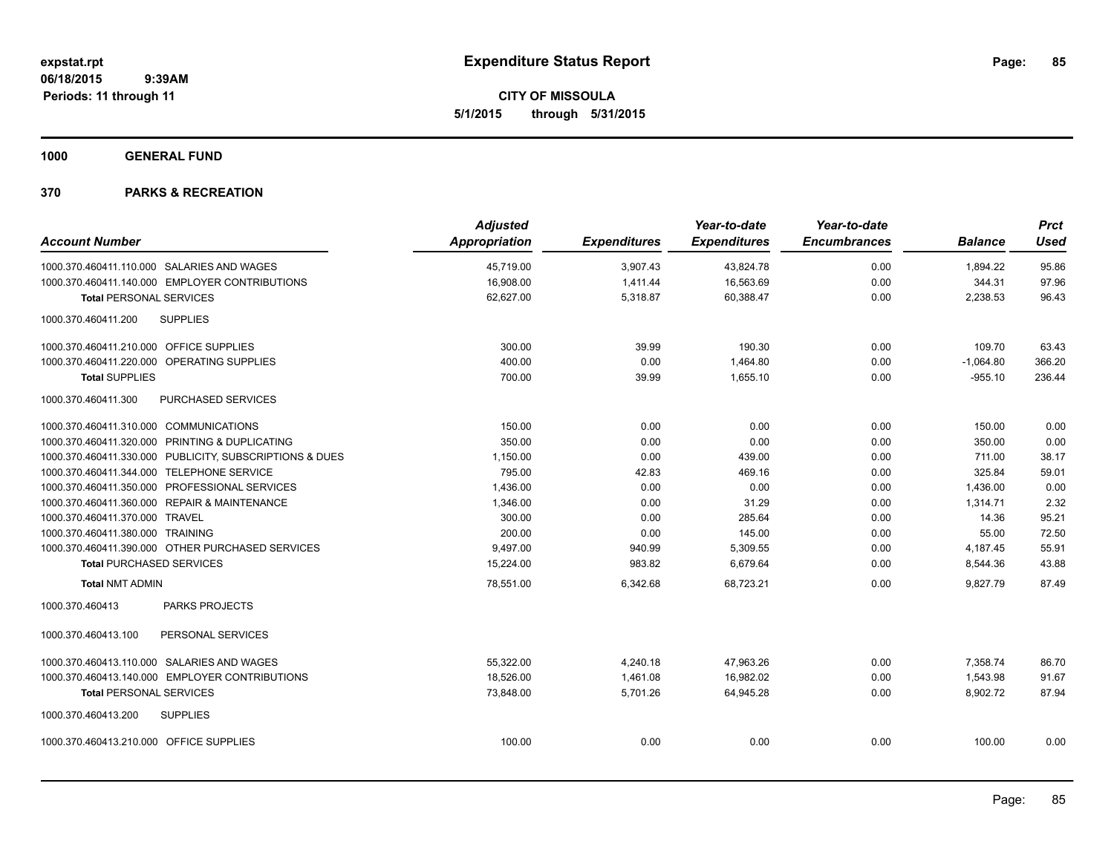**CITY OF MISSOULA 5/1/2015 through 5/31/2015**

**1000 GENERAL FUND**

| <b>Account Number</b>                   |                                                         | <b>Adjusted</b><br><b>Appropriation</b> | <b>Expenditures</b> | Year-to-date<br><b>Expenditures</b> | Year-to-date<br><b>Encumbrances</b> | <b>Balance</b> | <b>Prct</b><br><b>Used</b> |
|-----------------------------------------|---------------------------------------------------------|-----------------------------------------|---------------------|-------------------------------------|-------------------------------------|----------------|----------------------------|
|                                         | 1000.370.460411.110.000 SALARIES AND WAGES              | 45,719.00                               | 3,907.43            | 43,824.78                           | 0.00                                | 1,894.22       | 95.86                      |
|                                         | 1000.370.460411.140.000 EMPLOYER CONTRIBUTIONS          | 16,908.00                               | 1,411.44            | 16,563.69                           | 0.00                                | 344.31         | 97.96                      |
| <b>Total PERSONAL SERVICES</b>          |                                                         | 62,627.00                               | 5,318.87            | 60,388.47                           | 0.00                                | 2,238.53       | 96.43                      |
| 1000.370.460411.200                     | <b>SUPPLIES</b>                                         |                                         |                     |                                     |                                     |                |                            |
| 1000.370.460411.210.000 OFFICE SUPPLIES |                                                         | 300.00                                  | 39.99               | 190.30                              | 0.00                                | 109.70         | 63.43                      |
|                                         | 1000.370.460411.220.000 OPERATING SUPPLIES              | 400.00                                  | 0.00                | 1,464.80                            | 0.00                                | $-1,064.80$    | 366.20                     |
| <b>Total SUPPLIES</b>                   |                                                         | 700.00                                  | 39.99               | 1,655.10                            | 0.00                                | $-955.10$      | 236.44                     |
| 1000.370.460411.300                     | PURCHASED SERVICES                                      |                                         |                     |                                     |                                     |                |                            |
| 1000.370.460411.310.000 COMMUNICATIONS  |                                                         | 150.00                                  | 0.00                | 0.00                                | 0.00                                | 150.00         | 0.00                       |
|                                         | 1000.370.460411.320.000 PRINTING & DUPLICATING          | 350.00                                  | 0.00                | 0.00                                | 0.00                                | 350.00         | 0.00                       |
|                                         | 1000.370.460411.330.000 PUBLICITY, SUBSCRIPTIONS & DUES | 1,150.00                                | 0.00                | 439.00                              | 0.00                                | 711.00         | 38.17                      |
|                                         | 1000.370.460411.344.000 TELEPHONE SERVICE               | 795.00                                  | 42.83               | 469.16                              | 0.00                                | 325.84         | 59.01                      |
|                                         | 1000.370.460411.350.000 PROFESSIONAL SERVICES           | 1,436.00                                | 0.00                | 0.00                                | 0.00                                | 1,436.00       | 0.00                       |
|                                         | 1000.370.460411.360.000 REPAIR & MAINTENANCE            | 1,346.00                                | 0.00                | 31.29                               | 0.00                                | 1,314.71       | 2.32                       |
| 1000.370.460411.370.000 TRAVEL          |                                                         | 300.00                                  | 0.00                | 285.64                              | 0.00                                | 14.36          | 95.21                      |
| 1000.370.460411.380.000 TRAINING        |                                                         | 200.00                                  | 0.00                | 145.00                              | 0.00                                | 55.00          | 72.50                      |
|                                         | 1000.370.460411.390.000 OTHER PURCHASED SERVICES        | 9,497.00                                | 940.99              | 5,309.55                            | 0.00                                | 4,187.45       | 55.91                      |
| <b>Total PURCHASED SERVICES</b>         |                                                         | 15,224.00                               | 983.82              | 6,679.64                            | 0.00                                | 8,544.36       | 43.88                      |
| <b>Total NMT ADMIN</b>                  |                                                         | 78,551.00                               | 6,342.68            | 68,723.21                           | 0.00                                | 9,827.79       | 87.49                      |
| 1000.370.460413                         | <b>PARKS PROJECTS</b>                                   |                                         |                     |                                     |                                     |                |                            |
| 1000.370.460413.100                     | PERSONAL SERVICES                                       |                                         |                     |                                     |                                     |                |                            |
|                                         | 1000.370.460413.110.000 SALARIES AND WAGES              | 55,322.00                               | 4,240.18            | 47,963.26                           | 0.00                                | 7,358.74       | 86.70                      |
|                                         | 1000.370.460413.140.000 EMPLOYER CONTRIBUTIONS          | 18,526.00                               | 1,461.08            | 16,982.02                           | 0.00                                | 1,543.98       | 91.67                      |
| <b>Total PERSONAL SERVICES</b>          |                                                         | 73,848.00                               | 5,701.26            | 64,945.28                           | 0.00                                | 8,902.72       | 87.94                      |
| 1000.370.460413.200                     | <b>SUPPLIES</b>                                         |                                         |                     |                                     |                                     |                |                            |
| 1000.370.460413.210.000 OFFICE SUPPLIES |                                                         | 100.00                                  | 0.00                | 0.00                                | 0.00                                | 100.00         | 0.00                       |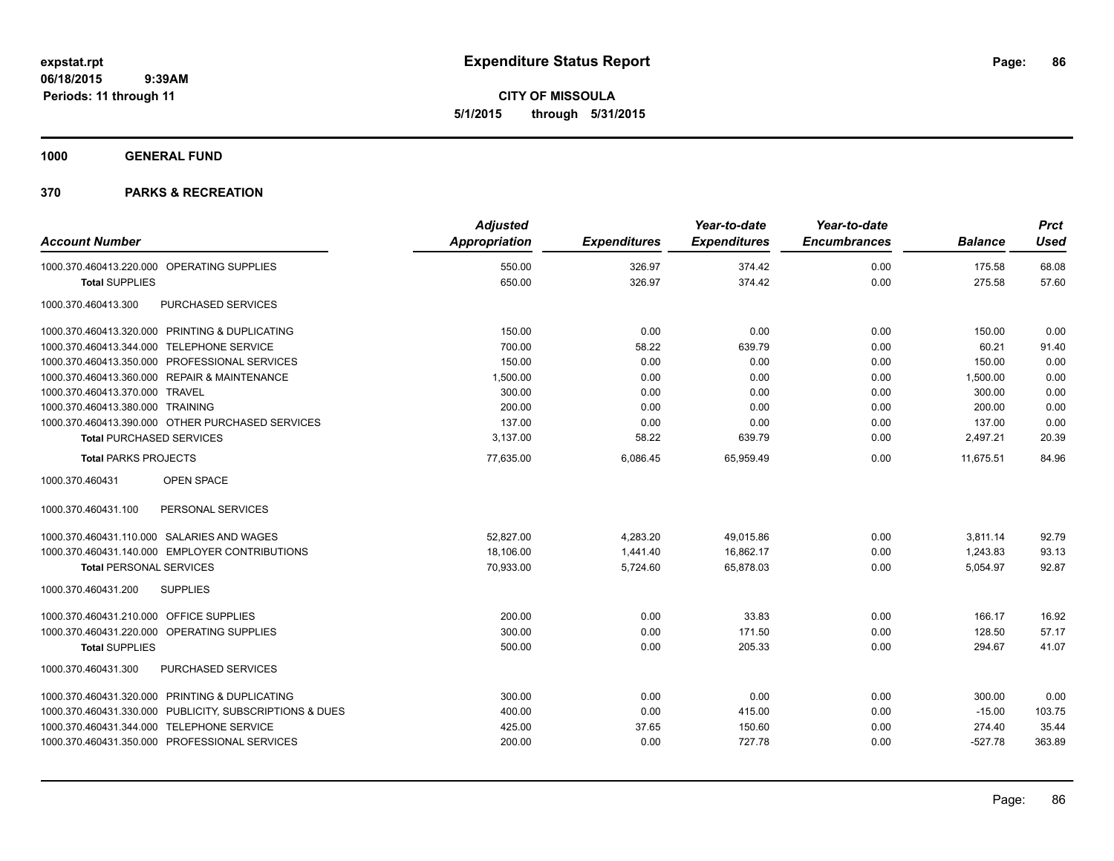**CITY OF MISSOULA 5/1/2015 through 5/31/2015**

**1000 GENERAL FUND**

| <b>Account Number</b>                                   | <b>Adjusted</b><br>Appropriation | <b>Expenditures</b> | Year-to-date<br><b>Expenditures</b> | Year-to-date<br><b>Encumbrances</b> | <b>Balance</b> | <b>Prct</b><br><b>Used</b> |
|---------------------------------------------------------|----------------------------------|---------------------|-------------------------------------|-------------------------------------|----------------|----------------------------|
|                                                         |                                  |                     |                                     |                                     |                |                            |
| 1000.370.460413.220.000 OPERATING SUPPLIES              | 550.00                           | 326.97              | 374.42                              | 0.00                                | 175.58         | 68.08                      |
| <b>Total SUPPLIES</b>                                   | 650.00                           | 326.97              | 374.42                              | 0.00                                | 275.58         | 57.60                      |
| 1000.370.460413.300<br>PURCHASED SERVICES               |                                  |                     |                                     |                                     |                |                            |
| 1000.370.460413.320.000 PRINTING & DUPLICATING          | 150.00                           | 0.00                | 0.00                                | 0.00                                | 150.00         | 0.00                       |
| 1000.370.460413.344.000 TELEPHONE SERVICE               | 700.00                           | 58.22               | 639.79                              | 0.00                                | 60.21          | 91.40                      |
| 1000.370.460413.350.000 PROFESSIONAL SERVICES           | 150.00                           | 0.00                | 0.00                                | 0.00                                | 150.00         | 0.00                       |
| 1000.370.460413.360.000 REPAIR & MAINTENANCE            | 1,500.00                         | 0.00                | 0.00                                | 0.00                                | 1,500.00       | 0.00                       |
| 1000.370.460413.370.000 TRAVEL                          | 300.00                           | 0.00                | 0.00                                | 0.00                                | 300.00         | 0.00                       |
| 1000.370.460413.380.000 TRAINING                        | 200.00                           | 0.00                | 0.00                                | 0.00                                | 200.00         | 0.00                       |
| 1000.370.460413.390.000 OTHER PURCHASED SERVICES        | 137.00                           | 0.00                | 0.00                                | 0.00                                | 137.00         | 0.00                       |
| <b>Total PURCHASED SERVICES</b>                         | 3,137.00                         | 58.22               | 639.79                              | 0.00                                | 2,497.21       | 20.39                      |
| <b>Total PARKS PROJECTS</b>                             | 77,635.00                        | 6,086.45            | 65.959.49                           | 0.00                                | 11.675.51      | 84.96                      |
| OPEN SPACE<br>1000.370.460431                           |                                  |                     |                                     |                                     |                |                            |
| 1000.370.460431.100<br>PERSONAL SERVICES                |                                  |                     |                                     |                                     |                |                            |
| 1000.370.460431.110.000 SALARIES AND WAGES              | 52.827.00                        | 4,283.20            | 49,015.86                           | 0.00                                | 3,811.14       | 92.79                      |
| 1000.370.460431.140.000 EMPLOYER CONTRIBUTIONS          | 18,106.00                        | 1,441.40            | 16,862.17                           | 0.00                                | 1,243.83       | 93.13                      |
| <b>Total PERSONAL SERVICES</b>                          | 70,933.00                        | 5,724.60            | 65,878.03                           | 0.00                                | 5,054.97       | 92.87                      |
| 1000.370.460431.200<br><b>SUPPLIES</b>                  |                                  |                     |                                     |                                     |                |                            |
| 1000.370.460431.210.000 OFFICE SUPPLIES                 | 200.00                           | 0.00                | 33.83                               | 0.00                                | 166.17         | 16.92                      |
| 1000.370.460431.220.000 OPERATING SUPPLIES              | 300.00                           | 0.00                | 171.50                              | 0.00                                | 128.50         | 57.17                      |
| <b>Total SUPPLIES</b>                                   | 500.00                           | 0.00                | 205.33                              | 0.00                                | 294.67         | 41.07                      |
| 1000.370.460431.300<br>PURCHASED SERVICES               |                                  |                     |                                     |                                     |                |                            |
| 1000.370.460431.320.000 PRINTING & DUPLICATING          | 300.00                           | 0.00                | 0.00                                | 0.00                                | 300.00         | 0.00                       |
| 1000.370.460431.330.000 PUBLICITY, SUBSCRIPTIONS & DUES | 400.00                           | 0.00                | 415.00                              | 0.00                                | $-15.00$       | 103.75                     |
| 1000.370.460431.344.000 TELEPHONE SERVICE               | 425.00                           | 37.65               | 150.60                              | 0.00                                | 274.40         | 35.44                      |
| 1000.370.460431.350.000 PROFESSIONAL SERVICES           | 200.00                           | 0.00                | 727.78                              | 0.00                                | $-527.78$      | 363.89                     |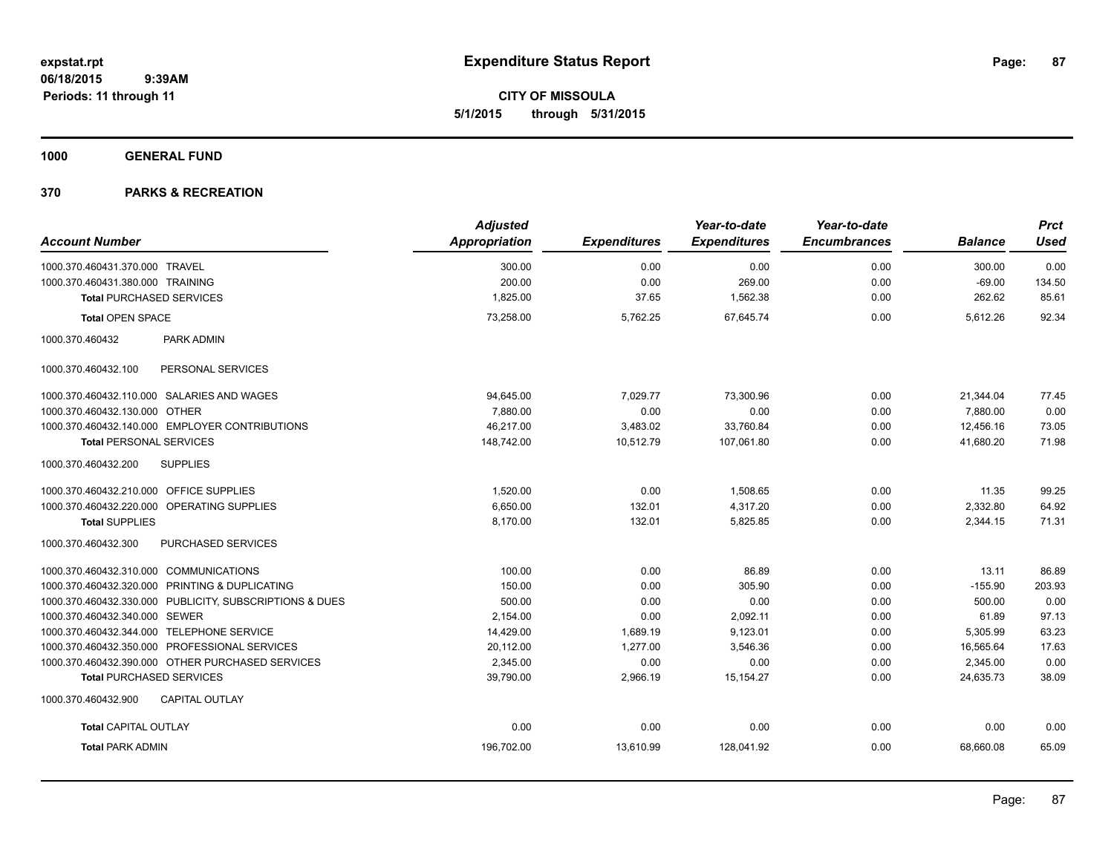**CITY OF MISSOULA 5/1/2015 through 5/31/2015**

**1000 GENERAL FUND**

|                                                         | <b>Adjusted</b>      |                     | Year-to-date        | Year-to-date        |                | <b>Prct</b> |
|---------------------------------------------------------|----------------------|---------------------|---------------------|---------------------|----------------|-------------|
| <b>Account Number</b>                                   | <b>Appropriation</b> | <b>Expenditures</b> | <b>Expenditures</b> | <b>Encumbrances</b> | <b>Balance</b> | <b>Used</b> |
| 1000.370.460431.370.000 TRAVEL                          | 300.00               | 0.00                | 0.00                | 0.00                | 300.00         | 0.00        |
| 1000.370.460431.380.000 TRAINING                        | 200.00               | 0.00                | 269.00              | 0.00                | $-69.00$       | 134.50      |
| <b>Total PURCHASED SERVICES</b>                         | 1,825.00             | 37.65               | 1,562.38            | 0.00                | 262.62         | 85.61       |
| <b>Total OPEN SPACE</b>                                 | 73,258.00            | 5,762.25            | 67,645.74           | 0.00                | 5,612.26       | 92.34       |
| PARK ADMIN<br>1000.370.460432                           |                      |                     |                     |                     |                |             |
| PERSONAL SERVICES<br>1000.370.460432.100                |                      |                     |                     |                     |                |             |
| 1000.370.460432.110.000 SALARIES AND WAGES              | 94,645.00            | 7,029.77            | 73,300.96           | 0.00                | 21,344.04      | 77.45       |
| 1000.370.460432.130.000 OTHER                           | 7,880.00             | 0.00                | 0.00                | 0.00                | 7,880.00       | 0.00        |
| 1000.370.460432.140.000 EMPLOYER CONTRIBUTIONS          | 46.217.00            | 3.483.02            | 33.760.84           | 0.00                | 12.456.16      | 73.05       |
| <b>Total PERSONAL SERVICES</b>                          | 148,742.00           | 10,512.79           | 107,061.80          | 0.00                | 41,680.20      | 71.98       |
| <b>SUPPLIES</b><br>1000.370.460432.200                  |                      |                     |                     |                     |                |             |
| 1000.370.460432.210.000 OFFICE SUPPLIES                 | 1,520.00             | 0.00                | 1,508.65            | 0.00                | 11.35          | 99.25       |
| 1000.370.460432.220.000 OPERATING SUPPLIES              | 6.650.00             | 132.01              | 4,317.20            | 0.00                | 2,332.80       | 64.92       |
| <b>Total SUPPLIES</b>                                   | 8,170.00             | 132.01              | 5,825.85            | 0.00                | 2,344.15       | 71.31       |
| PURCHASED SERVICES<br>1000.370.460432.300               |                      |                     |                     |                     |                |             |
| 1000.370.460432.310.000 COMMUNICATIONS                  | 100.00               | 0.00                | 86.89               | 0.00                | 13.11          | 86.89       |
| 1000.370.460432.320.000 PRINTING & DUPLICATING          | 150.00               | 0.00                | 305.90              | 0.00                | $-155.90$      | 203.93      |
| 1000.370.460432.330.000 PUBLICITY, SUBSCRIPTIONS & DUES | 500.00               | 0.00                | 0.00                | 0.00                | 500.00         | 0.00        |
| 1000.370.460432.340.000 SEWER                           | 2,154.00             | 0.00                | 2,092.11            | 0.00                | 61.89          | 97.13       |
| 1000.370.460432.344.000 TELEPHONE SERVICE               | 14,429.00            | 1,689.19            | 9,123.01            | 0.00                | 5,305.99       | 63.23       |
| 1000.370.460432.350.000 PROFESSIONAL SERVICES           | 20,112.00            | 1,277.00            | 3,546.36            | 0.00                | 16,565.64      | 17.63       |
| 1000.370.460432.390.000 OTHER PURCHASED SERVICES        | 2,345.00             | 0.00                | 0.00                | 0.00                | 2,345.00       | 0.00        |
| <b>Total PURCHASED SERVICES</b>                         | 39,790.00            | 2,966.19            | 15, 154. 27         | 0.00                | 24,635.73      | 38.09       |
| 1000.370.460432.900<br><b>CAPITAL OUTLAY</b>            |                      |                     |                     |                     |                |             |
| <b>Total CAPITAL OUTLAY</b>                             | 0.00                 | 0.00                | 0.00                | 0.00                | 0.00           | 0.00        |
| <b>Total PARK ADMIN</b>                                 | 196,702.00           | 13,610.99           | 128,041.92          | 0.00                | 68,660.08      | 65.09       |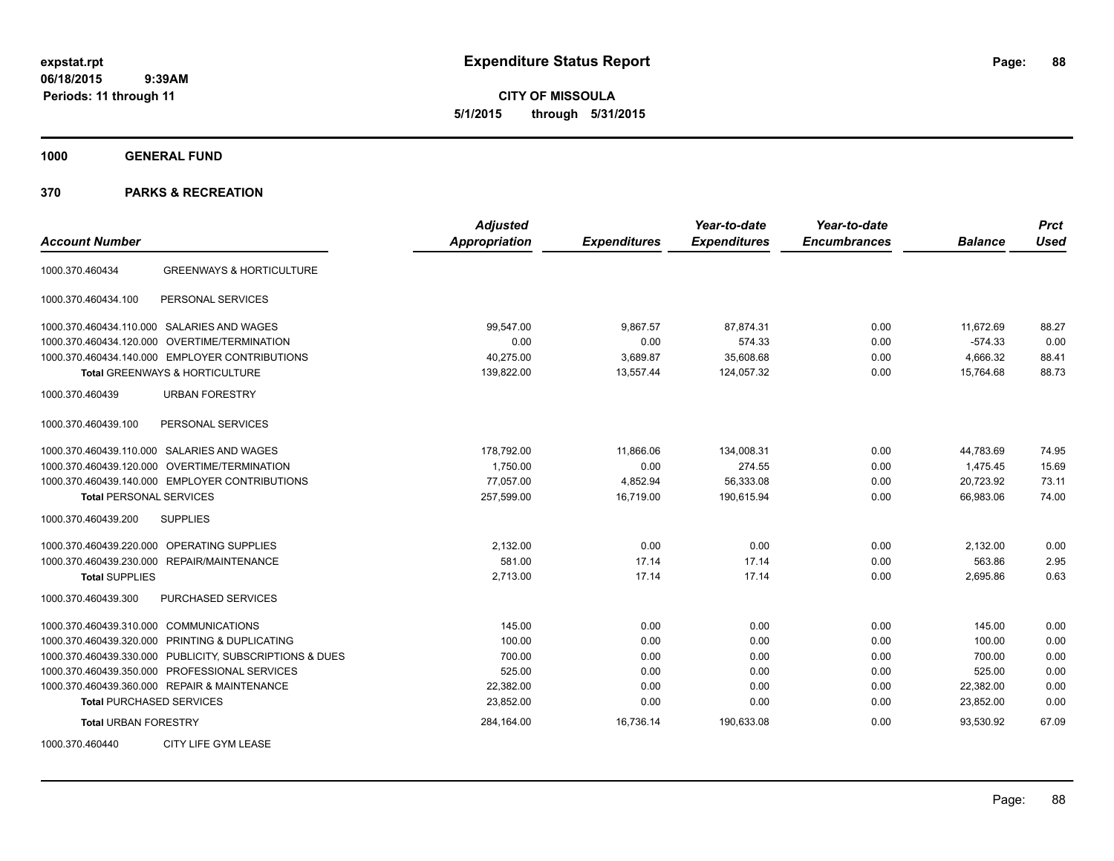**CITY OF MISSOULA 5/1/2015 through 5/31/2015**

**1000 GENERAL FUND**

| <b>Account Number</b>                          |                                     | <b>Adjusted</b><br><b>Appropriation</b> | <b>Expenditures</b> | Year-to-date<br><b>Expenditures</b> | Year-to-date<br><b>Encumbrances</b> | <b>Balance</b> | <b>Prct</b><br><b>Used</b> |
|------------------------------------------------|-------------------------------------|-----------------------------------------|---------------------|-------------------------------------|-------------------------------------|----------------|----------------------------|
| 1000.370.460434                                | <b>GREENWAYS &amp; HORTICULTURE</b> |                                         |                     |                                     |                                     |                |                            |
| 1000.370.460434.100                            | PERSONAL SERVICES                   |                                         |                     |                                     |                                     |                |                            |
| 1000.370.460434.110.000 SALARIES AND WAGES     |                                     | 99.547.00                               | 9.867.57            | 87,874.31                           | 0.00                                | 11,672.69      | 88.27                      |
| 1000.370.460434.120.000                        | OVERTIME/TERMINATION                | 0.00                                    | 0.00                | 574.33                              | 0.00                                | $-574.33$      | 0.00                       |
| 1000.370.460434.140.000 EMPLOYER CONTRIBUTIONS |                                     | 40,275.00                               | 3,689.87            | 35,608.68                           | 0.00                                | 4,666.32       | 88.41                      |
| <b>Total GREENWAYS &amp; HORTICULTURE</b>      |                                     | 139,822.00                              | 13,557.44           | 124,057.32                          | 0.00                                | 15,764.68      | 88.73                      |
| 1000.370.460439                                | <b>URBAN FORESTRY</b>               |                                         |                     |                                     |                                     |                |                            |
| 1000.370.460439.100                            | PERSONAL SERVICES                   |                                         |                     |                                     |                                     |                |                            |
| 1000.370.460439.110.000 SALARIES AND WAGES     |                                     | 178,792.00                              | 11,866.06           | 134,008.31                          | 0.00                                | 44,783.69      | 74.95                      |
| 1000.370.460439.120.000 OVERTIME/TERMINATION   |                                     | 1,750.00                                | 0.00                | 274.55                              | 0.00                                | 1,475.45       | 15.69                      |
| 1000.370.460439.140.000 EMPLOYER CONTRIBUTIONS |                                     | 77,057.00                               | 4,852.94            | 56,333.08                           | 0.00                                | 20,723.92      | 73.11                      |
| <b>Total PERSONAL SERVICES</b>                 |                                     | 257,599.00                              | 16,719.00           | 190,615.94                          | 0.00                                | 66,983.06      | 74.00                      |
| 1000.370.460439.200<br><b>SUPPLIES</b>         |                                     |                                         |                     |                                     |                                     |                |                            |
| 1000.370.460439.220.000                        | <b>OPERATING SUPPLIES</b>           | 2,132.00                                | 0.00                | 0.00                                | 0.00                                | 2,132.00       | 0.00                       |
| 1000.370.460439.230.000 REPAIR/MAINTENANCE     |                                     | 581.00                                  | 17.14               | 17.14                               | 0.00                                | 563.86         | 2.95                       |
| <b>Total SUPPLIES</b>                          |                                     | 2,713.00                                | 17.14               | 17.14                               | 0.00                                | 2,695.86       | 0.63                       |
| 1000.370.460439.300                            | PURCHASED SERVICES                  |                                         |                     |                                     |                                     |                |                            |
| 1000.370.460439.310.000 COMMUNICATIONS         |                                     | 145.00                                  | 0.00                | 0.00                                | 0.00                                | 145.00         | 0.00                       |
| 1000.370.460439.320.000 PRINTING & DUPLICATING |                                     | 100.00                                  | 0.00                | 0.00                                | 0.00                                | 100.00         | 0.00                       |
| 1000.370.460439.330.000                        | PUBLICITY, SUBSCRIPTIONS & DUES     | 700.00                                  | 0.00                | 0.00                                | 0.00                                | 700.00         | 0.00                       |
| 1000.370.460439.350.000                        | PROFESSIONAL SERVICES               | 525.00                                  | 0.00                | 0.00                                | 0.00                                | 525.00         | 0.00                       |
| 1000.370.460439.360.000 REPAIR & MAINTENANCE   |                                     | 22,382.00                               | 0.00                | 0.00                                | 0.00                                | 22,382.00      | 0.00                       |
| <b>Total PURCHASED SERVICES</b>                |                                     | 23,852.00                               | 0.00                | 0.00                                | 0.00                                | 23,852.00      | 0.00                       |
| <b>Total URBAN FORESTRY</b>                    |                                     | 284,164.00                              | 16,736.14           | 190,633.08                          | 0.00                                | 93,530.92      | 67.09                      |
| 1000.370.460440                                | CITY LIFE GYM LEASE                 |                                         |                     |                                     |                                     |                |                            |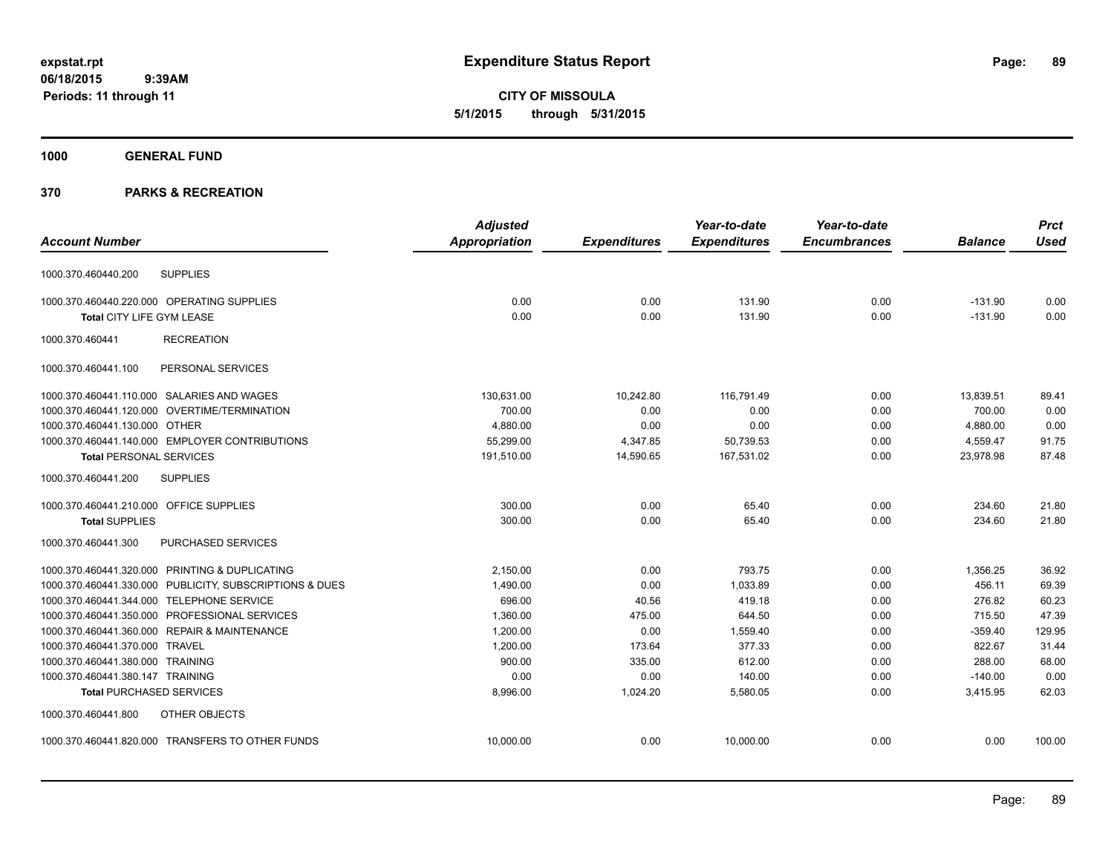**CITY OF MISSOULA 5/1/2015 through 5/31/2015**

# **1000 GENERAL FUND**

|                                                         | <b>Adjusted</b>      |                     | Year-to-date        | Year-to-date        |                | <b>Prct</b> |
|---------------------------------------------------------|----------------------|---------------------|---------------------|---------------------|----------------|-------------|
| <b>Account Number</b>                                   | <b>Appropriation</b> | <b>Expenditures</b> | <b>Expenditures</b> | <b>Encumbrances</b> | <b>Balance</b> | <b>Used</b> |
| <b>SUPPLIES</b><br>1000.370.460440.200                  |                      |                     |                     |                     |                |             |
| 1000.370.460440.220.000 OPERATING SUPPLIES              | 0.00                 | 0.00                | 131.90              | 0.00                | $-131.90$      | 0.00        |
| Total CITY LIFE GYM LEASE                               | 0.00                 | 0.00                | 131.90              | 0.00                | $-131.90$      | 0.00        |
| 1000.370.460441<br><b>RECREATION</b>                    |                      |                     |                     |                     |                |             |
| 1000.370.460441.100<br>PERSONAL SERVICES                |                      |                     |                     |                     |                |             |
| 1000.370.460441.110.000 SALARIES AND WAGES              | 130.631.00           | 10,242.80           | 116,791.49          | 0.00                | 13,839.51      | 89.41       |
| 1000.370.460441.120.000 OVERTIME/TERMINATION            | 700.00               | 0.00                | 0.00                | 0.00                | 700.00         | 0.00        |
| 1000.370.460441.130.000 OTHER                           | 4,880.00             | 0.00                | 0.00                | 0.00                | 4,880.00       | 0.00        |
| 1000.370.460441.140.000 EMPLOYER CONTRIBUTIONS          | 55,299.00            | 4,347.85            | 50,739.53           | 0.00                | 4,559.47       | 91.75       |
| <b>Total PERSONAL SERVICES</b>                          | 191,510.00           | 14,590.65           | 167,531.02          | 0.00                | 23,978.98      | 87.48       |
| 1000.370.460441.200<br><b>SUPPLIES</b>                  |                      |                     |                     |                     |                |             |
| 1000.370.460441.210.000 OFFICE SUPPLIES                 | 300.00               | 0.00                | 65.40               | 0.00                | 234.60         | 21.80       |
| <b>Total SUPPLIES</b>                                   | 300.00               | 0.00                | 65.40               | 0.00                | 234.60         | 21.80       |
| 1000.370.460441.300<br>PURCHASED SERVICES               |                      |                     |                     |                     |                |             |
| 1000.370.460441.320.000 PRINTING & DUPLICATING          | 2,150.00             | 0.00                | 793.75              | 0.00                | 1,356.25       | 36.92       |
| 1000.370.460441.330.000 PUBLICITY, SUBSCRIPTIONS & DUES | 1,490.00             | 0.00                | 1,033.89            | 0.00                | 456.11         | 69.39       |
| 1000.370.460441.344.000 TELEPHONE SERVICE               | 696.00               | 40.56               | 419.18              | 0.00                | 276.82         | 60.23       |
| 1000.370.460441.350.000 PROFESSIONAL SERVICES           | 1,360.00             | 475.00              | 644.50              | 0.00                | 715.50         | 47.39       |
| 1000.370.460441.360.000 REPAIR & MAINTENANCE            | 1,200.00             | 0.00                | 1,559.40            | 0.00                | $-359.40$      | 129.95      |
| 1000.370.460441.370.000 TRAVEL                          | 1,200.00             | 173.64              | 377.33              | 0.00                | 822.67         | 31.44       |
| 1000.370.460441.380.000 TRAINING                        | 900.00               | 335.00              | 612.00              | 0.00                | 288.00         | 68.00       |
| 1000.370.460441.380.147 TRAINING                        | 0.00                 | 0.00                | 140.00              | 0.00                | $-140.00$      | 0.00        |
| <b>Total PURCHASED SERVICES</b>                         | 8.996.00             | 1.024.20            | 5,580.05            | 0.00                | 3,415.95       | 62.03       |
| 1000.370.460441.800<br>OTHER OBJECTS                    |                      |                     |                     |                     |                |             |
| 1000.370.460441.820.000 TRANSFERS TO OTHER FUNDS        | 10,000.00            | 0.00                | 10.000.00           | 0.00                | 0.00           | 100.00      |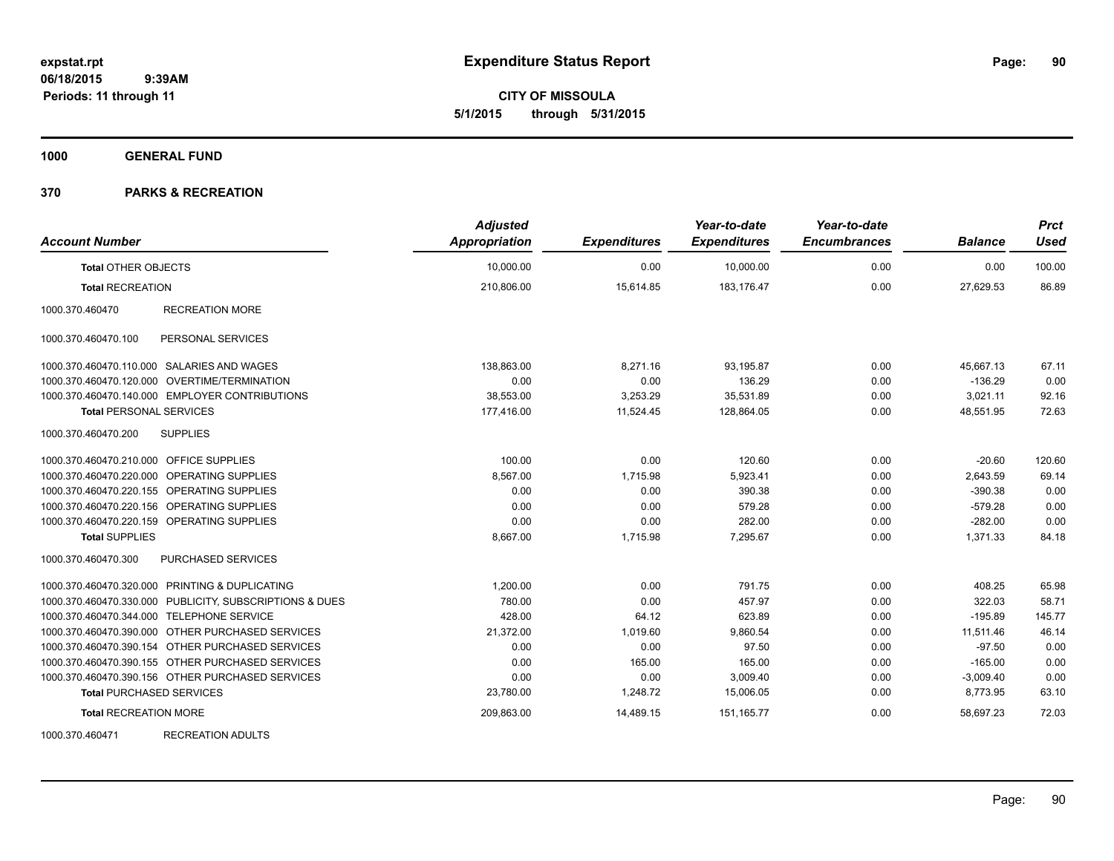**CITY OF MISSOULA 5/1/2015 through 5/31/2015**

**1000 GENERAL FUND**

## **370 PARKS & RECREATION**

| <b>Account Number</b>                                   | <b>Adjusted</b><br><b>Appropriation</b> | <b>Expenditures</b> | Year-to-date<br><b>Expenditures</b> | Year-to-date<br><b>Encumbrances</b> | <b>Balance</b> | <b>Prct</b><br><b>Used</b> |
|---------------------------------------------------------|-----------------------------------------|---------------------|-------------------------------------|-------------------------------------|----------------|----------------------------|
| <b>Total OTHER OBJECTS</b>                              | 10,000.00                               | 0.00                | 10,000.00                           | 0.00                                | 0.00           | 100.00                     |
| <b>Total RECREATION</b>                                 | 210,806.00                              | 15,614.85           | 183,176.47                          | 0.00                                | 27,629.53      | 86.89                      |
| <b>RECREATION MORE</b><br>1000.370.460470               |                                         |                     |                                     |                                     |                |                            |
| 1000.370.460470.100<br>PERSONAL SERVICES                |                                         |                     |                                     |                                     |                |                            |
| 1000.370.460470.110.000 SALARIES AND WAGES              | 138,863.00                              | 8,271.16            | 93,195.87                           | 0.00                                | 45,667.13      | 67.11                      |
| 1000.370.460470.120.000 OVERTIME/TERMINATION            | 0.00                                    | 0.00                | 136.29                              | 0.00                                | $-136.29$      | 0.00                       |
| 1000.370.460470.140.000 EMPLOYER CONTRIBUTIONS          | 38,553.00                               | 3,253.29            | 35,531.89                           | 0.00                                | 3,021.11       | 92.16                      |
| <b>Total PERSONAL SERVICES</b>                          | 177,416.00                              | 11,524.45           | 128,864.05                          | 0.00                                | 48,551.95      | 72.63                      |
| 1000.370.460470.200<br><b>SUPPLIES</b>                  |                                         |                     |                                     |                                     |                |                            |
| 1000.370.460470.210.000 OFFICE SUPPLIES                 | 100.00                                  | 0.00                | 120.60                              | 0.00                                | $-20.60$       | 120.60                     |
| 1000.370.460470.220.000 OPERATING SUPPLIES              | 8,567.00                                | 1,715.98            | 5,923.41                            | 0.00                                | 2,643.59       | 69.14                      |
| 1000.370.460470.220.155 OPERATING SUPPLIES              | 0.00                                    | 0.00                | 390.38                              | 0.00                                | $-390.38$      | 0.00                       |
| 1000.370.460470.220.156 OPERATING SUPPLIES              | 0.00                                    | 0.00                | 579.28                              | 0.00                                | $-579.28$      | 0.00                       |
| 1000.370.460470.220.159 OPERATING SUPPLIES              | 0.00                                    | 0.00                | 282.00                              | 0.00                                | $-282.00$      | 0.00                       |
| <b>Total SUPPLIES</b>                                   | 8,667.00                                | 1,715.98            | 7,295.67                            | 0.00                                | 1,371.33       | 84.18                      |
| 1000.370.460470.300<br><b>PURCHASED SERVICES</b>        |                                         |                     |                                     |                                     |                |                            |
| 1000.370.460470.320.000 PRINTING & DUPLICATING          | 1.200.00                                | 0.00                | 791.75                              | 0.00                                | 408.25         | 65.98                      |
| 1000.370.460470.330.000 PUBLICITY, SUBSCRIPTIONS & DUES | 780.00                                  | 0.00                | 457.97                              | 0.00                                | 322.03         | 58.71                      |
| 1000.370.460470.344.000 TELEPHONE SERVICE               | 428.00                                  | 64.12               | 623.89                              | 0.00                                | $-195.89$      | 145.77                     |
| 1000.370.460470.390.000 OTHER PURCHASED SERVICES        | 21,372.00                               | 1,019.60            | 9,860.54                            | 0.00                                | 11,511.46      | 46.14                      |
| 1000.370.460470.390.154 OTHER PURCHASED SERVICES        | 0.00                                    | 0.00                | 97.50                               | 0.00                                | $-97.50$       | 0.00                       |
| 1000.370.460470.390.155 OTHER PURCHASED SERVICES        | 0.00                                    | 165.00              | 165.00                              | 0.00                                | $-165.00$      | 0.00                       |
| 1000.370.460470.390.156 OTHER PURCHASED SERVICES        | 0.00                                    | 0.00                | 3,009.40                            | 0.00                                | $-3,009.40$    | 0.00                       |
| <b>Total PURCHASED SERVICES</b>                         | 23,780.00                               | 1,248.72            | 15,006.05                           | 0.00                                | 8,773.95       | 63.10                      |
| <b>Total RECREATION MORE</b>                            | 209,863.00                              | 14,489.15           | 151, 165.77                         | 0.00                                | 58,697.23      | 72.03                      |
| 1000.070.100171<br><b>DEODEATION ADULTO</b>             |                                         |                     |                                     |                                     |                |                            |

1000.370.460471 RECREATION ADULTS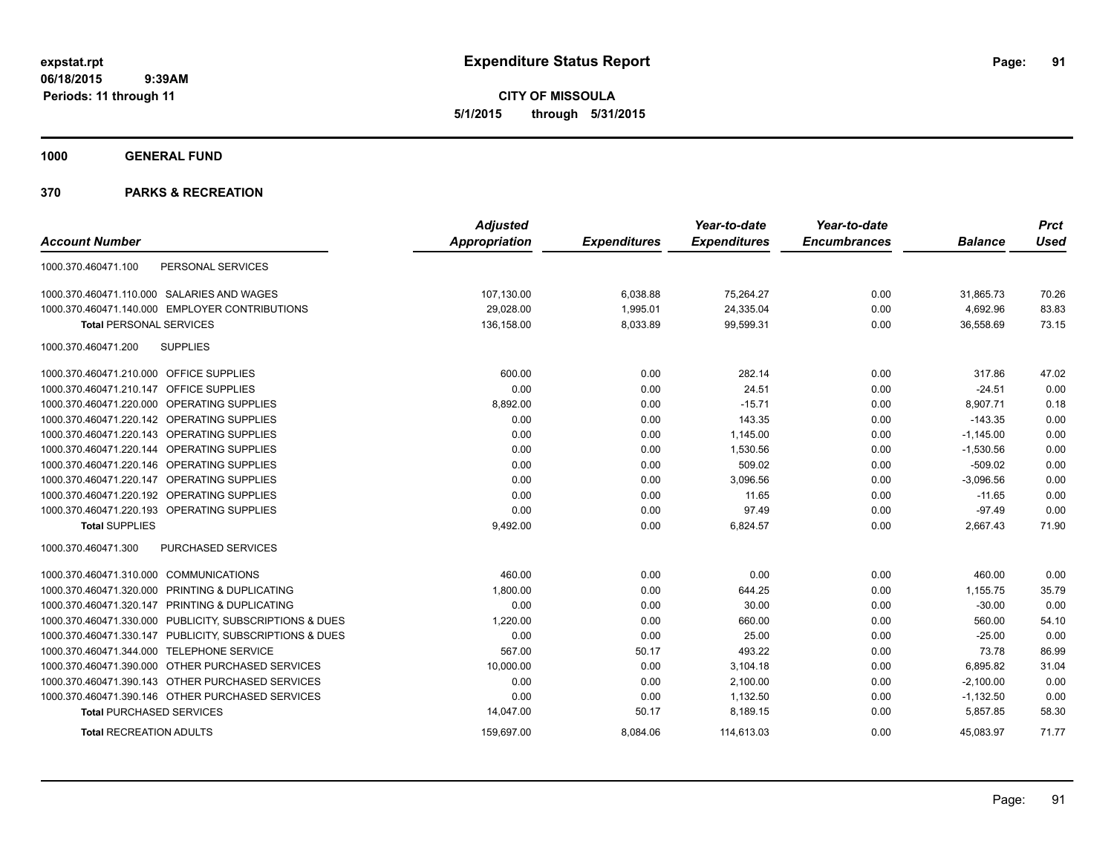**CITY OF MISSOULA 5/1/2015 through 5/31/2015**

**1000 GENERAL FUND**

|                                                         | <b>Adjusted</b>      |                     | Year-to-date        | Year-to-date        |                | <b>Prct</b> |
|---------------------------------------------------------|----------------------|---------------------|---------------------|---------------------|----------------|-------------|
| <b>Account Number</b>                                   | <b>Appropriation</b> | <b>Expenditures</b> | <b>Expenditures</b> | <b>Encumbrances</b> | <b>Balance</b> | <b>Used</b> |
| 1000.370.460471.100<br>PERSONAL SERVICES                |                      |                     |                     |                     |                |             |
| 1000.370.460471.110.000 SALARIES AND WAGES              | 107,130.00           | 6,038.88            | 75,264.27           | 0.00                | 31,865.73      | 70.26       |
| 1000.370.460471.140.000 EMPLOYER CONTRIBUTIONS          | 29,028.00            | 1,995.01            | 24,335.04           | 0.00                | 4,692.96       | 83.83       |
| <b>Total PERSONAL SERVICES</b>                          | 136,158.00           | 8,033.89            | 99,599.31           | 0.00                | 36,558.69      | 73.15       |
| <b>SUPPLIES</b><br>1000.370.460471.200                  |                      |                     |                     |                     |                |             |
| 1000.370.460471.210.000 OFFICE SUPPLIES                 | 600.00               | 0.00                | 282.14              | 0.00                | 317.86         | 47.02       |
| 1000.370.460471.210.147 OFFICE SUPPLIES                 | 0.00                 | 0.00                | 24.51               | 0.00                | $-24.51$       | 0.00        |
| 1000.370.460471.220.000 OPERATING SUPPLIES              | 8,892.00             | 0.00                | $-15.71$            | 0.00                | 8,907.71       | 0.18        |
| 1000.370.460471.220.142 OPERATING SUPPLIES              | 0.00                 | 0.00                | 143.35              | 0.00                | $-143.35$      | 0.00        |
| 1000.370.460471.220.143 OPERATING SUPPLIES              | 0.00                 | 0.00                | 1,145.00            | 0.00                | $-1,145.00$    | 0.00        |
| 1000.370.460471.220.144 OPERATING SUPPLIES              | 0.00                 | 0.00                | 1,530.56            | 0.00                | $-1,530.56$    | 0.00        |
| 1000.370.460471.220.146 OPERATING SUPPLIES              | 0.00                 | 0.00                | 509.02              | 0.00                | $-509.02$      | 0.00        |
| 1000.370.460471.220.147 OPERATING SUPPLIES              | 0.00                 | 0.00                | 3.096.56            | 0.00                | $-3,096.56$    | 0.00        |
| 1000.370.460471.220.192 OPERATING SUPPLIES              | 0.00                 | 0.00                | 11.65               | 0.00                | $-11.65$       | 0.00        |
| 1000.370.460471.220.193 OPERATING SUPPLIES              | 0.00                 | 0.00                | 97.49               | 0.00                | $-97.49$       | 0.00        |
| <b>Total SUPPLIES</b>                                   | 9,492.00             | 0.00                | 6,824.57            | 0.00                | 2,667.43       | 71.90       |
| <b>PURCHASED SERVICES</b><br>1000.370.460471.300        |                      |                     |                     |                     |                |             |
| 1000.370.460471.310.000 COMMUNICATIONS                  | 460.00               | 0.00                | 0.00                | 0.00                | 460.00         | 0.00        |
| 1000.370.460471.320.000 PRINTING & DUPLICATING          | 1,800.00             | 0.00                | 644.25              | 0.00                | 1,155.75       | 35.79       |
| 1000.370.460471.320.147 PRINTING & DUPLICATING          | 0.00                 | 0.00                | 30.00               | 0.00                | $-30.00$       | 0.00        |
| 1000.370.460471.330.000 PUBLICITY, SUBSCRIPTIONS & DUES | 1,220.00             | 0.00                | 660.00              | 0.00                | 560.00         | 54.10       |
| 1000.370.460471.330.147 PUBLICITY, SUBSCRIPTIONS & DUES | 0.00                 | 0.00                | 25.00               | 0.00                | $-25.00$       | 0.00        |
| 1000.370.460471.344.000 TELEPHONE SERVICE               | 567.00               | 50.17               | 493.22              | 0.00                | 73.78          | 86.99       |
| 1000.370.460471.390.000 OTHER PURCHASED SERVICES        | 10,000.00            | 0.00                | 3,104.18            | 0.00                | 6,895.82       | 31.04       |
| 1000.370.460471.390.143 OTHER PURCHASED SERVICES        | 0.00                 | 0.00                | 2,100.00            | 0.00                | $-2.100.00$    | 0.00        |
| 1000.370.460471.390.146 OTHER PURCHASED SERVICES        | 0.00                 | 0.00                | 1,132.50            | 0.00                | $-1,132.50$    | 0.00        |
| <b>Total PURCHASED SERVICES</b>                         | 14,047.00            | 50.17               | 8,189.15            | 0.00                | 5,857.85       | 58.30       |
| <b>Total RECREATION ADULTS</b>                          | 159,697.00           | 8,084.06            | 114,613.03          | 0.00                | 45,083.97      | 71.77       |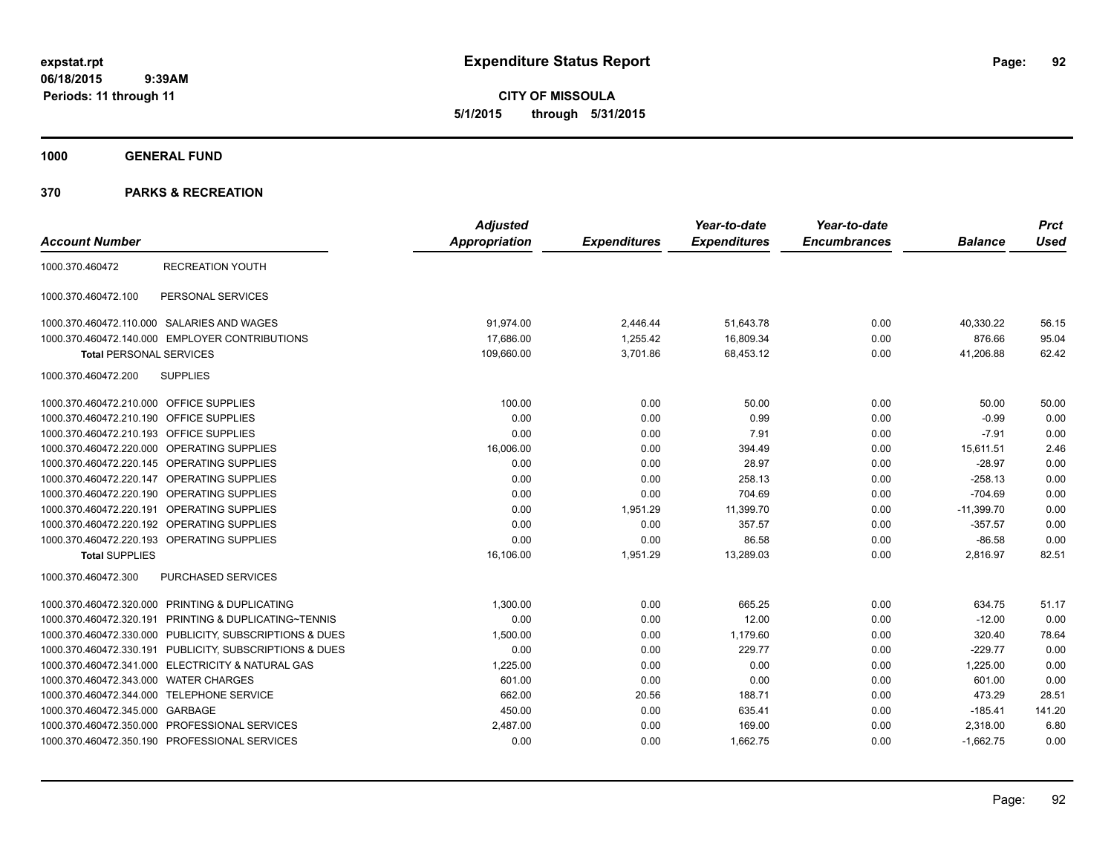**CITY OF MISSOULA 5/1/2015 through 5/31/2015**

**1000 GENERAL FUND**

|                                            |                                                         | <b>Adjusted</b> |                     | Year-to-date        | Year-to-date        |                | <b>Prct</b> |
|--------------------------------------------|---------------------------------------------------------|-----------------|---------------------|---------------------|---------------------|----------------|-------------|
| <b>Account Number</b>                      |                                                         | Appropriation   | <b>Expenditures</b> | <b>Expenditures</b> | <b>Encumbrances</b> | <b>Balance</b> | <b>Used</b> |
| 1000.370.460472                            | <b>RECREATION YOUTH</b>                                 |                 |                     |                     |                     |                |             |
| 1000.370.460472.100                        | PERSONAL SERVICES                                       |                 |                     |                     |                     |                |             |
|                                            | 1000.370.460472.110.000 SALARIES AND WAGES              | 91,974.00       | 2,446.44            | 51,643.78           | 0.00                | 40,330.22      | 56.15       |
|                                            | 1000.370.460472.140.000 EMPLOYER CONTRIBUTIONS          | 17,686.00       | 1,255.42            | 16,809.34           | 0.00                | 876.66         | 95.04       |
| <b>Total PERSONAL SERVICES</b>             |                                                         | 109,660.00      | 3,701.86            | 68,453.12           | 0.00                | 41,206.88      | 62.42       |
| 1000.370.460472.200                        | <b>SUPPLIES</b>                                         |                 |                     |                     |                     |                |             |
| 1000.370.460472.210.000 OFFICE SUPPLIES    |                                                         | 100.00          | 0.00                | 50.00               | 0.00                | 50.00          | 50.00       |
| 1000.370.460472.210.190 OFFICE SUPPLIES    |                                                         | 0.00            | 0.00                | 0.99                | 0.00                | $-0.99$        | 0.00        |
| 1000.370.460472.210.193 OFFICE SUPPLIES    |                                                         | 0.00            | 0.00                | 7.91                | 0.00                | $-7.91$        | 0.00        |
|                                            | 1000.370.460472.220.000 OPERATING SUPPLIES              | 16,006.00       | 0.00                | 394.49              | 0.00                | 15,611.51      | 2.46        |
| 1000.370.460472.220.145 OPERATING SUPPLIES |                                                         | 0.00            | 0.00                | 28.97               | 0.00                | $-28.97$       | 0.00        |
| 1000.370.460472.220.147 OPERATING SUPPLIES |                                                         | 0.00            | 0.00                | 258.13              | 0.00                | $-258.13$      | 0.00        |
| 1000.370.460472.220.190 OPERATING SUPPLIES |                                                         | 0.00            | 0.00                | 704.69              | 0.00                | $-704.69$      | 0.00        |
| 1000.370.460472.220.191 OPERATING SUPPLIES |                                                         | 0.00            | 1,951.29            | 11,399.70           | 0.00                | $-11,399.70$   | 0.00        |
| 1000.370.460472.220.192 OPERATING SUPPLIES |                                                         | 0.00            | 0.00                | 357.57              | 0.00                | $-357.57$      | 0.00        |
|                                            | 1000.370.460472.220.193 OPERATING SUPPLIES              | 0.00            | 0.00                | 86.58               | 0.00                | $-86.58$       | 0.00        |
| <b>Total SUPPLIES</b>                      |                                                         | 16,106.00       | 1,951.29            | 13,289.03           | 0.00                | 2,816.97       | 82.51       |
| 1000.370.460472.300                        | <b>PURCHASED SERVICES</b>                               |                 |                     |                     |                     |                |             |
|                                            | 1000.370.460472.320.000 PRINTING & DUPLICATING          | 1,300.00        | 0.00                | 665.25              | 0.00                | 634.75         | 51.17       |
|                                            | 1000.370.460472.320.191 PRINTING & DUPLICATING~TENNIS   | 0.00            | 0.00                | 12.00               | 0.00                | $-12.00$       | 0.00        |
|                                            | 1000.370.460472.330.000 PUBLICITY, SUBSCRIPTIONS & DUES | 1,500.00        | 0.00                | 1,179.60            | 0.00                | 320.40         | 78.64       |
|                                            | 1000.370.460472.330.191 PUBLICITY, SUBSCRIPTIONS & DUES | 0.00            | 0.00                | 229.77              | 0.00                | $-229.77$      | 0.00        |
|                                            | 1000.370.460472.341.000 ELECTRICITY & NATURAL GAS       | 1,225.00        | 0.00                | 0.00                | 0.00                | 1,225.00       | 0.00        |
| 1000.370.460472.343.000 WATER CHARGES      |                                                         | 601.00          | 0.00                | 0.00                | 0.00                | 601.00         | 0.00        |
| 1000.370.460472.344.000 TELEPHONE SERVICE  |                                                         | 662.00          | 20.56               | 188.71              | 0.00                | 473.29         | 28.51       |
| 1000.370.460472.345.000 GARBAGE            |                                                         | 450.00          | 0.00                | 635.41              | 0.00                | $-185.41$      | 141.20      |
|                                            | 1000.370.460472.350.000 PROFESSIONAL SERVICES           | 2,487.00        | 0.00                | 169.00              | 0.00                | 2,318.00       | 6.80        |
|                                            | 1000.370.460472.350.190 PROFESSIONAL SERVICES           | 0.00            | 0.00                | 1,662.75            | 0.00                | $-1,662.75$    | 0.00        |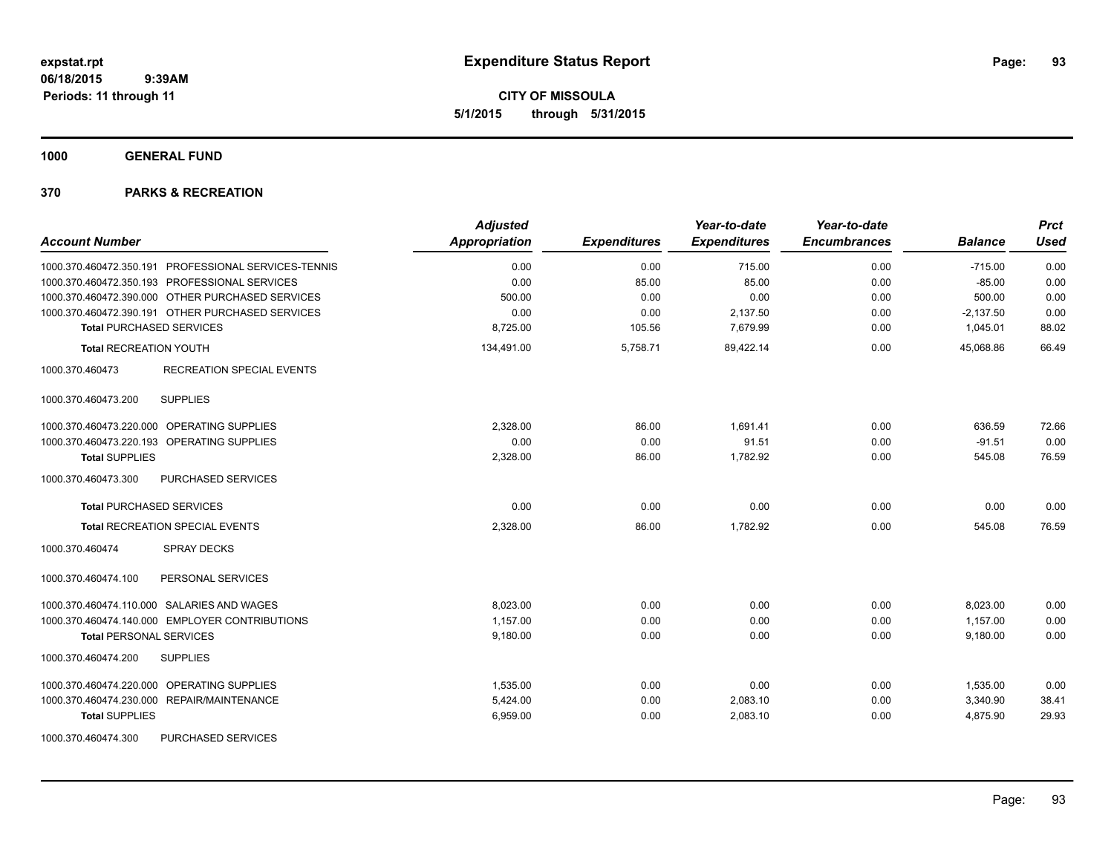**CITY OF MISSOULA 5/1/2015 through 5/31/2015**

**1000 GENERAL FUND**

| <b>Account Number</b>                                | <b>Adjusted</b><br>Appropriation | <b>Expenditures</b> | Year-to-date<br><b>Expenditures</b> | Year-to-date<br><b>Encumbrances</b> | <b>Balance</b> | <b>Prct</b><br><b>Used</b> |
|------------------------------------------------------|----------------------------------|---------------------|-------------------------------------|-------------------------------------|----------------|----------------------------|
| 1000.370.460472.350.191 PROFESSIONAL SERVICES-TENNIS | 0.00                             | 0.00                | 715.00                              | 0.00                                | $-715.00$      | 0.00                       |
| 1000.370.460472.350.193 PROFESSIONAL SERVICES        | 0.00                             | 85.00               | 85.00                               | 0.00                                | $-85.00$       | 0.00                       |
| 1000.370.460472.390.000 OTHER PURCHASED SERVICES     | 500.00                           | 0.00                | 0.00                                | 0.00                                | 500.00         | 0.00                       |
| 1000.370.460472.390.191 OTHER PURCHASED SERVICES     | 0.00                             | 0.00                | 2,137.50                            | 0.00                                | $-2,137.50$    | 0.00                       |
| <b>Total PURCHASED SERVICES</b>                      | 8,725.00                         | 105.56              | 7,679.99                            | 0.00                                | 1,045.01       | 88.02                      |
| <b>Total RECREATION YOUTH</b>                        | 134,491.00                       | 5,758.71            | 89,422.14                           | 0.00                                | 45,068.86      | 66.49                      |
| 1000.370.460473<br><b>RECREATION SPECIAL EVENTS</b>  |                                  |                     |                                     |                                     |                |                            |
| <b>SUPPLIES</b><br>1000.370.460473.200               |                                  |                     |                                     |                                     |                |                            |
| 1000.370.460473.220.000 OPERATING SUPPLIES           | 2.328.00                         | 86.00               | 1.691.41                            | 0.00                                | 636.59         | 72.66                      |
| 1000.370.460473.220.193 OPERATING SUPPLIES           | 0.00                             | 0.00                | 91.51                               | 0.00                                | $-91.51$       | 0.00                       |
| <b>Total SUPPLIES</b>                                | 2,328.00                         | 86.00               | 1,782.92                            | 0.00                                | 545.08         | 76.59                      |
| 1000.370.460473.300<br>PURCHASED SERVICES            |                                  |                     |                                     |                                     |                |                            |
| <b>Total PURCHASED SERVICES</b>                      | 0.00                             | 0.00                | 0.00                                | 0.00                                | 0.00           | 0.00                       |
| Total RECREATION SPECIAL EVENTS                      | 2,328.00                         | 86.00               | 1,782.92                            | 0.00                                | 545.08         | 76.59                      |
| 1000.370.460474<br><b>SPRAY DECKS</b>                |                                  |                     |                                     |                                     |                |                            |
| 1000.370.460474.100<br>PERSONAL SERVICES             |                                  |                     |                                     |                                     |                |                            |
| 1000.370.460474.110.000 SALARIES AND WAGES           | 8,023.00                         | 0.00                | 0.00                                | 0.00                                | 8,023.00       | 0.00                       |
| 1000.370.460474.140.000 EMPLOYER CONTRIBUTIONS       | 1,157.00                         | 0.00                | 0.00                                | 0.00                                | 1,157.00       | 0.00                       |
| <b>Total PERSONAL SERVICES</b>                       | 9,180.00                         | 0.00                | 0.00                                | 0.00                                | 9,180.00       | 0.00                       |
| 1000.370.460474.200<br><b>SUPPLIES</b>               |                                  |                     |                                     |                                     |                |                            |
| 1000.370.460474.220.000 OPERATING SUPPLIES           | 1,535.00                         | 0.00                | 0.00                                | 0.00                                | 1,535.00       | 0.00                       |
| 1000.370.460474.230.000 REPAIR/MAINTENANCE           | 5,424.00                         | 0.00                | 2,083.10                            | 0.00                                | 3,340.90       | 38.41                      |
| <b>Total SUPPLIES</b>                                | 6,959.00                         | 0.00                | 2,083.10                            | 0.00                                | 4,875.90       | 29.93                      |
| PURCHASED SERVICES<br>1000.370.460474.300            |                                  |                     |                                     |                                     |                |                            |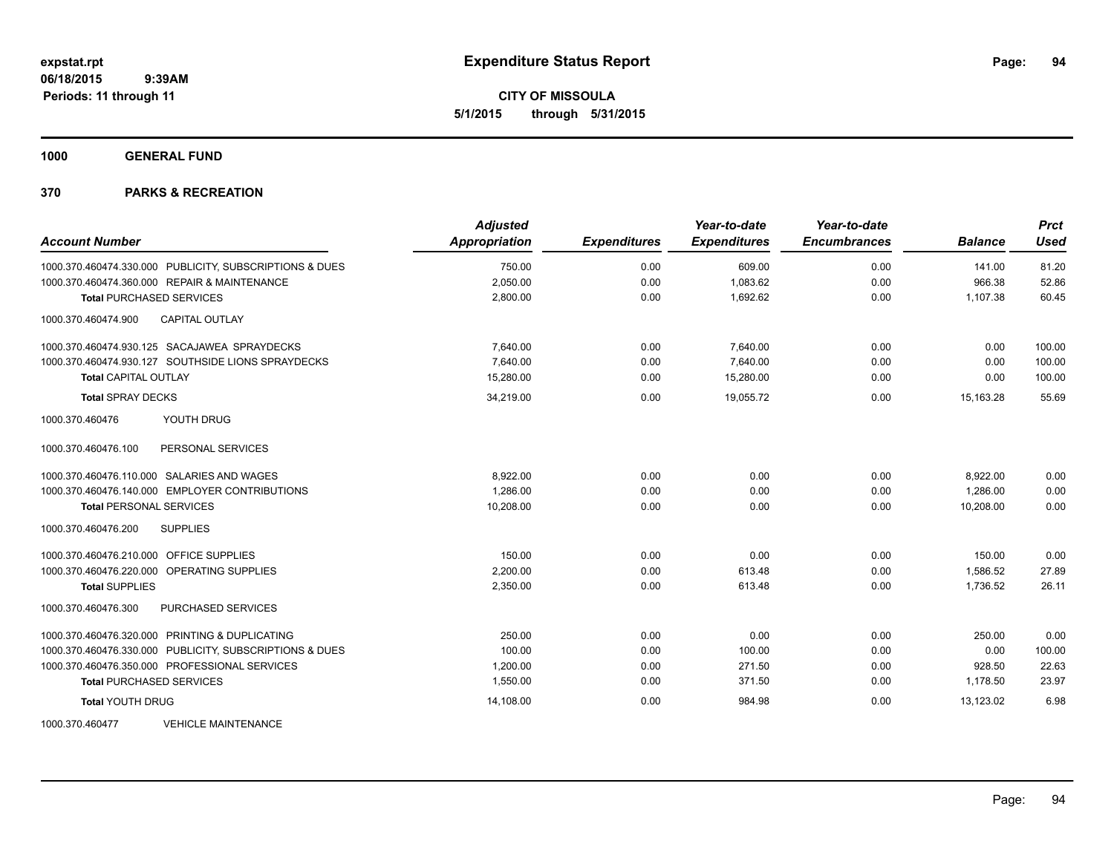**CITY OF MISSOULA 5/1/2015 through 5/31/2015**

**1000 GENERAL FUND**

| <b>Account Number</b>                                   | <b>Adjusted</b><br><b>Appropriation</b> | <b>Expenditures</b> | Year-to-date<br><b>Expenditures</b> | Year-to-date<br><b>Encumbrances</b> | <b>Balance</b> | <b>Prct</b><br><b>Used</b> |
|---------------------------------------------------------|-----------------------------------------|---------------------|-------------------------------------|-------------------------------------|----------------|----------------------------|
| 1000.370.460474.330.000 PUBLICITY, SUBSCRIPTIONS & DUES | 750.00                                  | 0.00                | 609.00                              | 0.00                                | 141.00         | 81.20                      |
| 1000.370.460474.360.000 REPAIR & MAINTENANCE            | 2,050.00                                | 0.00                | 1,083.62                            | 0.00                                | 966.38         | 52.86                      |
| <b>Total PURCHASED SERVICES</b>                         | 2,800.00                                | 0.00                | 1,692.62                            | 0.00                                | 1,107.38       | 60.45                      |
| 1000.370.460474.900<br><b>CAPITAL OUTLAY</b>            |                                         |                     |                                     |                                     |                |                            |
| 1000.370.460474.930.125 SACAJAWEA SPRAYDECKS            | 7,640.00                                | 0.00                | 7,640.00                            | 0.00                                | 0.00           | 100.00                     |
| 1000.370.460474.930.127 SOUTHSIDE LIONS SPRAYDECKS      | 7,640.00                                | 0.00                | 7,640.00                            | 0.00                                | 0.00           | 100.00                     |
| <b>Total CAPITAL OUTLAY</b>                             | 15,280.00                               | 0.00                | 15,280.00                           | 0.00                                | 0.00           | 100.00                     |
| <b>Total SPRAY DECKS</b>                                | 34,219.00                               | 0.00                | 19.055.72                           | 0.00                                | 15.163.28      | 55.69                      |
| 1000.370.460476<br>YOUTH DRUG                           |                                         |                     |                                     |                                     |                |                            |
| PERSONAL SERVICES<br>1000.370.460476.100                |                                         |                     |                                     |                                     |                |                            |
| 1000.370.460476.110.000 SALARIES AND WAGES              | 8.922.00                                | 0.00                | 0.00                                | 0.00                                | 8,922.00       | 0.00                       |
| 1000.370.460476.140.000 EMPLOYER CONTRIBUTIONS          | 1.286.00                                | 0.00                | 0.00                                | 0.00                                | 1.286.00       | 0.00                       |
| <b>Total PERSONAL SERVICES</b>                          | 10,208.00                               | 0.00                | 0.00                                | 0.00                                | 10,208.00      | 0.00                       |
| 1000.370.460476.200<br><b>SUPPLIES</b>                  |                                         |                     |                                     |                                     |                |                            |
| 1000.370.460476.210.000 OFFICE SUPPLIES                 | 150.00                                  | 0.00                | 0.00                                | 0.00                                | 150.00         | 0.00                       |
| 1000.370.460476.220.000 OPERATING SUPPLIES              | 2,200.00                                | 0.00                | 613.48                              | 0.00                                | 1,586.52       | 27.89                      |
| <b>Total SUPPLIES</b>                                   | 2,350.00                                | 0.00                | 613.48                              | 0.00                                | 1,736.52       | 26.11                      |
| 1000.370.460476.300<br>PURCHASED SERVICES               |                                         |                     |                                     |                                     |                |                            |
| 1000.370.460476.320.000 PRINTING & DUPLICATING          | 250.00                                  | 0.00                | 0.00                                | 0.00                                | 250.00         | 0.00                       |
| 1000.370.460476.330.000 PUBLICITY, SUBSCRIPTIONS & DUES | 100.00                                  | 0.00                | 100.00                              | 0.00                                | 0.00           | 100.00                     |
| 1000.370.460476.350.000 PROFESSIONAL SERVICES           | 1,200.00                                | 0.00                | 271.50                              | 0.00                                | 928.50         | 22.63                      |
| <b>Total PURCHASED SERVICES</b>                         | 1,550.00                                | 0.00                | 371.50                              | 0.00                                | 1.178.50       | 23.97                      |
| <b>Total YOUTH DRUG</b>                                 | 14,108.00                               | 0.00                | 984.98                              | 0.00                                | 13.123.02      | 6.98                       |
| 1000.370.460477<br><b>VEHICLE MAINTENANCE</b>           |                                         |                     |                                     |                                     |                |                            |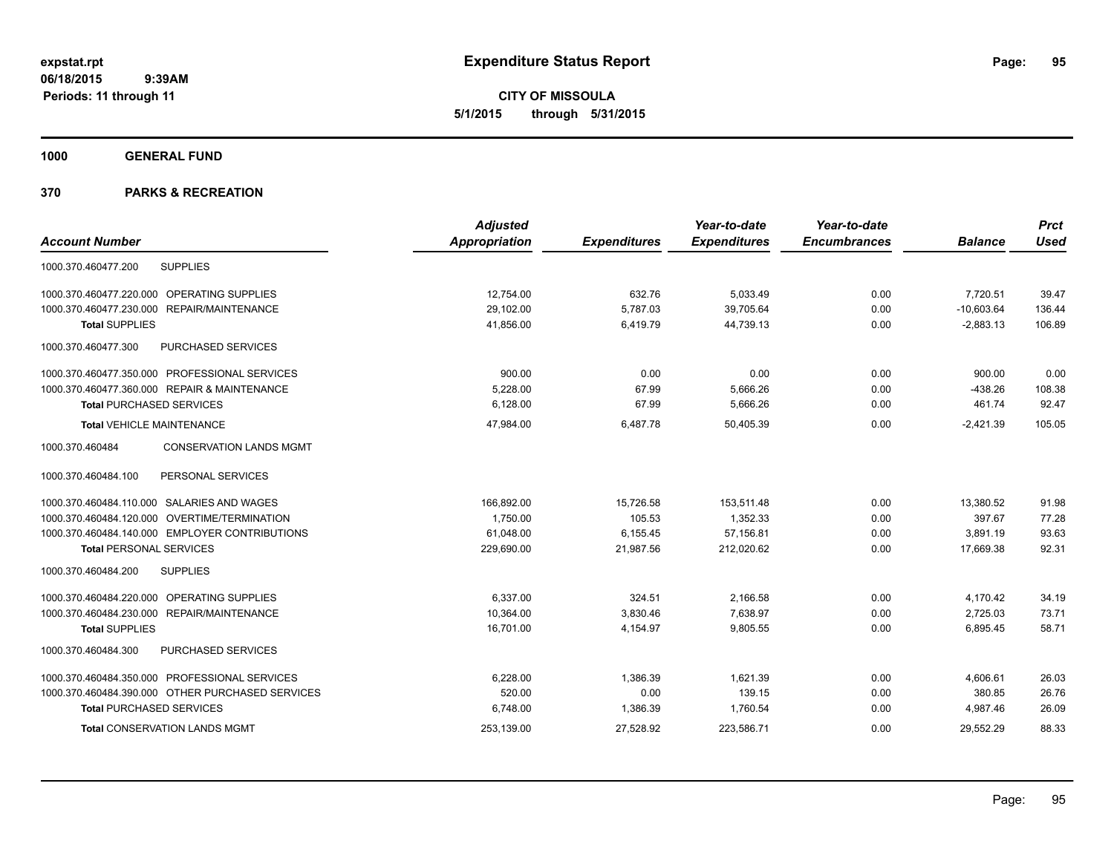**CITY OF MISSOULA 5/1/2015 through 5/31/2015**

**1000 GENERAL FUND**

|                                                   | <b>Adjusted</b> |                     | Year-to-date        | Year-to-date        |                | <b>Prct</b> |
|---------------------------------------------------|-----------------|---------------------|---------------------|---------------------|----------------|-------------|
| <b>Account Number</b>                             | Appropriation   | <b>Expenditures</b> | <b>Expenditures</b> | <b>Encumbrances</b> | <b>Balance</b> | <b>Used</b> |
| 1000.370.460477.200<br><b>SUPPLIES</b>            |                 |                     |                     |                     |                |             |
| 1000.370.460477.220.000 OPERATING SUPPLIES        | 12,754.00       | 632.76              | 5,033.49            | 0.00                | 7,720.51       | 39.47       |
| 1000.370.460477.230.000 REPAIR/MAINTENANCE        | 29,102.00       | 5,787.03            | 39,705.64           | 0.00                | $-10,603.64$   | 136.44      |
| <b>Total SUPPLIES</b>                             | 41,856.00       | 6,419.79            | 44.739.13           | 0.00                | $-2,883.13$    | 106.89      |
| 1000.370.460477.300<br><b>PURCHASED SERVICES</b>  |                 |                     |                     |                     |                |             |
| 1000.370.460477.350.000 PROFESSIONAL SERVICES     | 900.00          | 0.00                | 0.00                | 0.00                | 900.00         | 0.00        |
| 1000.370.460477.360.000 REPAIR & MAINTENANCE      | 5,228.00        | 67.99               | 5,666.26            | 0.00                | $-438.26$      | 108.38      |
| <b>Total PURCHASED SERVICES</b>                   | 6,128.00        | 67.99               | 5,666.26            | 0.00                | 461.74         | 92.47       |
| <b>Total VEHICLE MAINTENANCE</b>                  | 47,984.00       | 6,487.78            | 50,405.39           | 0.00                | $-2,421.39$    | 105.05      |
| <b>CONSERVATION LANDS MGMT</b><br>1000.370.460484 |                 |                     |                     |                     |                |             |
| PERSONAL SERVICES<br>1000.370.460484.100          |                 |                     |                     |                     |                |             |
| 1000.370.460484.110.000 SALARIES AND WAGES        | 166,892.00      | 15,726.58           | 153,511.48          | 0.00                | 13,380.52      | 91.98       |
| 1000.370.460484.120.000 OVERTIME/TERMINATION      | 1.750.00        | 105.53              | 1,352.33            | 0.00                | 397.67         | 77.28       |
| 1000.370.460484.140.000 EMPLOYER CONTRIBUTIONS    | 61,048.00       | 6,155.45            | 57,156.81           | 0.00                | 3,891.19       | 93.63       |
| <b>Total PERSONAL SERVICES</b>                    | 229,690.00      | 21,987.56           | 212,020.62          | 0.00                | 17,669.38      | 92.31       |
| 1000.370.460484.200<br><b>SUPPLIES</b>            |                 |                     |                     |                     |                |             |
| 1000.370.460484.220.000 OPERATING SUPPLIES        | 6,337.00        | 324.51              | 2,166.58            | 0.00                | 4,170.42       | 34.19       |
| 1000.370.460484.230.000 REPAIR/MAINTENANCE        | 10,364.00       | 3,830.46            | 7,638.97            | 0.00                | 2,725.03       | 73.71       |
| <b>Total SUPPLIES</b>                             | 16,701.00       | 4,154.97            | 9,805.55            | 0.00                | 6,895.45       | 58.71       |
| 1000.370.460484.300<br><b>PURCHASED SERVICES</b>  |                 |                     |                     |                     |                |             |
| 1000.370.460484.350.000 PROFESSIONAL SERVICES     | 6,228.00        | 1,386.39            | 1,621.39            | 0.00                | 4,606.61       | 26.03       |
| 1000.370.460484.390.000 OTHER PURCHASED SERVICES  | 520.00          | 0.00                | 139.15              | 0.00                | 380.85         | 26.76       |
| <b>Total PURCHASED SERVICES</b>                   | 6,748.00        | 1,386.39            | 1,760.54            | 0.00                | 4,987.46       | 26.09       |
| <b>Total CONSERVATION LANDS MGMT</b>              | 253,139.00      | 27,528.92           | 223,586.71          | 0.00                | 29.552.29      | 88.33       |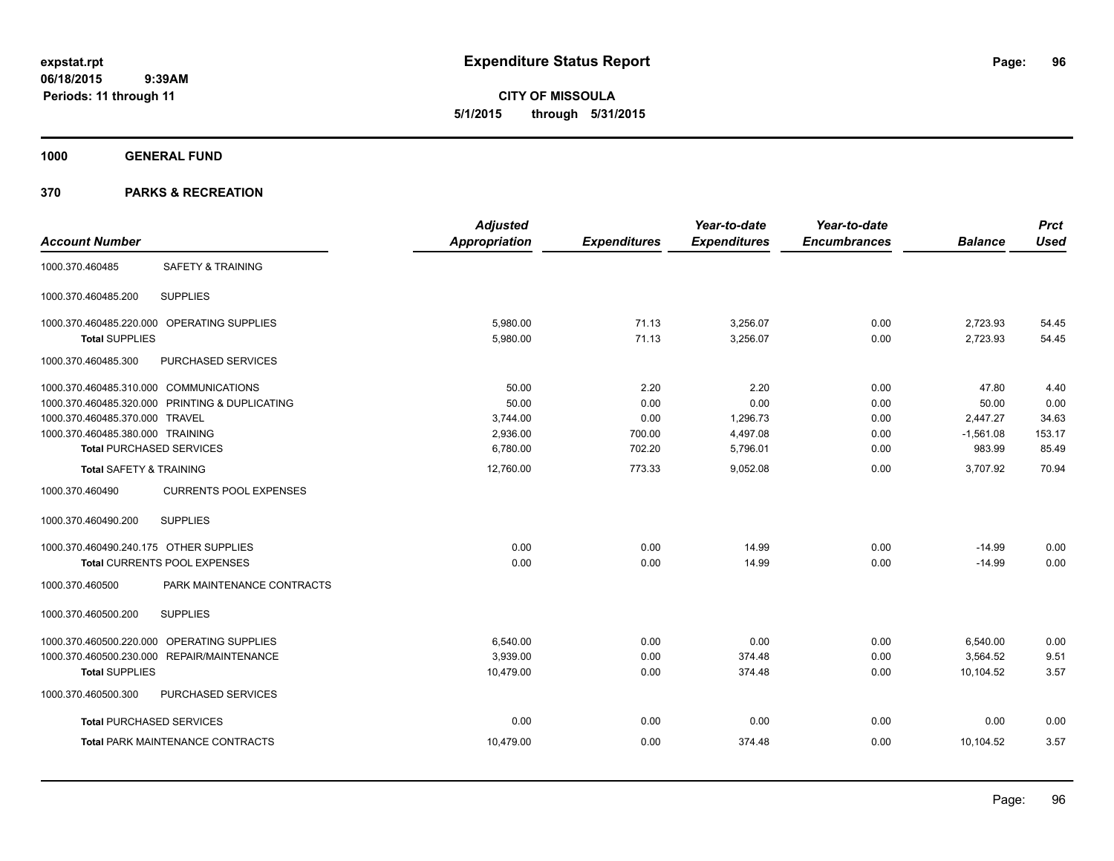**CITY OF MISSOULA 5/1/2015 through 5/31/2015**

**1000 GENERAL FUND**

|                                                  | <b>Adjusted</b>      |                     | Year-to-date        | Year-to-date        |                | <b>Prct</b> |
|--------------------------------------------------|----------------------|---------------------|---------------------|---------------------|----------------|-------------|
| <b>Account Number</b>                            | <b>Appropriation</b> | <b>Expenditures</b> | <b>Expenditures</b> | <b>Encumbrances</b> | <b>Balance</b> | <b>Used</b> |
| 1000.370.460485<br><b>SAFETY &amp; TRAINING</b>  |                      |                     |                     |                     |                |             |
| <b>SUPPLIES</b><br>1000.370.460485.200           |                      |                     |                     |                     |                |             |
| 1000.370.460485.220.000 OPERATING SUPPLIES       | 5,980.00             | 71.13               | 3,256.07            | 0.00                | 2,723.93       | 54.45       |
| <b>Total SUPPLIES</b>                            | 5,980.00             | 71.13               | 3,256.07            | 0.00                | 2,723.93       | 54.45       |
| 1000.370.460485.300<br>PURCHASED SERVICES        |                      |                     |                     |                     |                |             |
| 1000.370.460485.310.000 COMMUNICATIONS           | 50.00                | 2.20                | 2.20                | 0.00                | 47.80          | 4.40        |
| 1000.370.460485.320.000 PRINTING & DUPLICATING   | 50.00                | 0.00                | 0.00                | 0.00                | 50.00          | 0.00        |
| 1000.370.460485.370.000 TRAVEL                   | 3,744.00             | 0.00                | 1,296.73            | 0.00                | 2,447.27       | 34.63       |
| 1000.370.460485.380.000 TRAINING                 | 2,936.00             | 700.00              | 4,497.08            | 0.00                | $-1,561.08$    | 153.17      |
| <b>Total PURCHASED SERVICES</b>                  | 6,780.00             | 702.20              | 5,796.01            | 0.00                | 983.99         | 85.49       |
| <b>Total SAFETY &amp; TRAINING</b>               | 12,760.00            | 773.33              | 9,052.08            | 0.00                | 3,707.92       | 70.94       |
| <b>CURRENTS POOL EXPENSES</b><br>1000.370.460490 |                      |                     |                     |                     |                |             |
| <b>SUPPLIES</b><br>1000.370.460490.200           |                      |                     |                     |                     |                |             |
| 1000.370.460490.240.175 OTHER SUPPLIES           | 0.00                 | 0.00                | 14.99               | 0.00                | $-14.99$       | 0.00        |
| <b>Total CURRENTS POOL EXPENSES</b>              | 0.00                 | 0.00                | 14.99               | 0.00                | $-14.99$       | 0.00        |
| PARK MAINTENANCE CONTRACTS<br>1000.370.460500    |                      |                     |                     |                     |                |             |
| 1000.370.460500.200<br><b>SUPPLIES</b>           |                      |                     |                     |                     |                |             |
| 1000.370.460500.220.000 OPERATING SUPPLIES       | 6,540.00             | 0.00                | 0.00                | 0.00                | 6,540.00       | 0.00        |
| 1000.370.460500.230.000 REPAIR/MAINTENANCE       | 3,939.00             | 0.00                | 374.48              | 0.00                | 3,564.52       | 9.51        |
| <b>Total SUPPLIES</b>                            | 10,479.00            | 0.00                | 374.48              | 0.00                | 10,104.52      | 3.57        |
| 1000.370.460500.300<br>PURCHASED SERVICES        |                      |                     |                     |                     |                |             |
| <b>Total PURCHASED SERVICES</b>                  | 0.00                 | 0.00                | 0.00                | 0.00                | 0.00           | 0.00        |
| <b>Total PARK MAINTENANCE CONTRACTS</b>          | 10,479.00            | 0.00                | 374.48              | 0.00                | 10,104.52      | 3.57        |
|                                                  |                      |                     |                     |                     |                |             |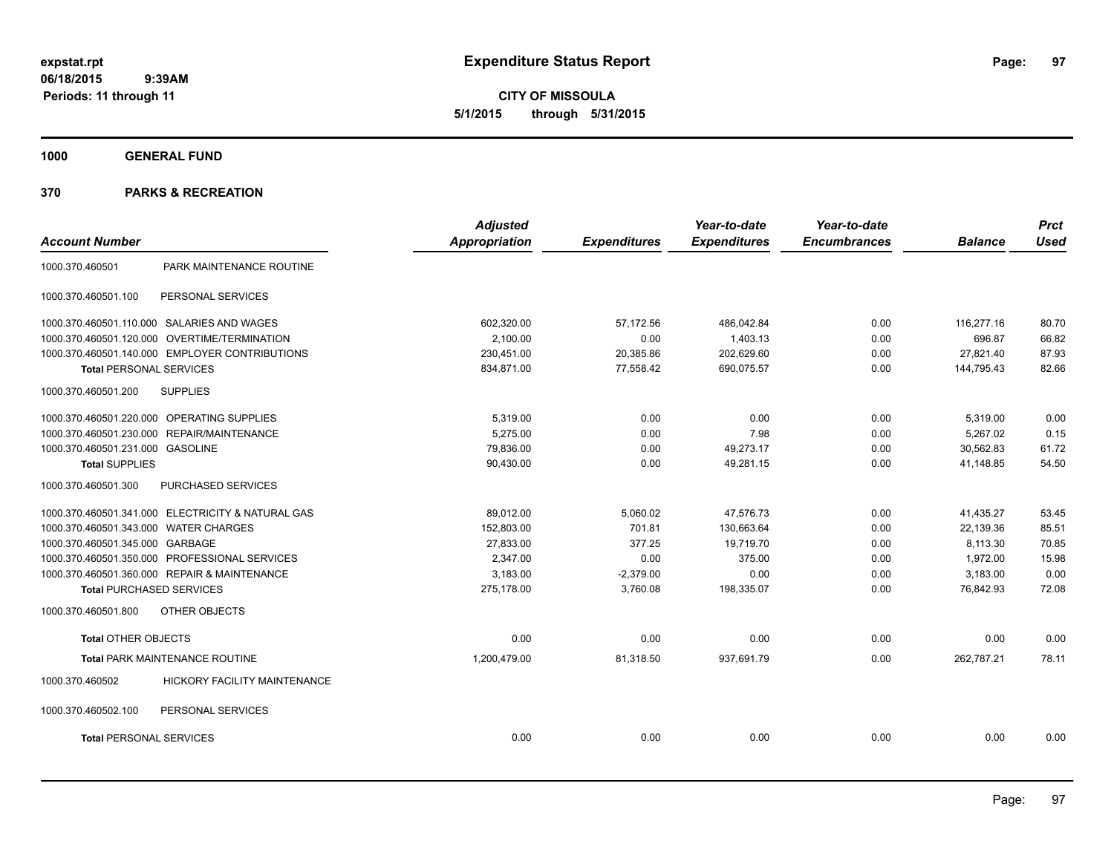**CITY OF MISSOULA 5/1/2015 through 5/31/2015**

**1000 GENERAL FUND**

|                                       |                                                   | <b>Adjusted</b>      |                     | Year-to-date        | Year-to-date        |                | <b>Prct</b> |
|---------------------------------------|---------------------------------------------------|----------------------|---------------------|---------------------|---------------------|----------------|-------------|
| <b>Account Number</b>                 |                                                   | <b>Appropriation</b> | <b>Expenditures</b> | <b>Expenditures</b> | <b>Encumbrances</b> | <b>Balance</b> | <b>Used</b> |
| 1000.370.460501                       | PARK MAINTENANCE ROUTINE                          |                      |                     |                     |                     |                |             |
| 1000.370.460501.100                   | PERSONAL SERVICES                                 |                      |                     |                     |                     |                |             |
|                                       | 1000.370.460501.110.000 SALARIES AND WAGES        | 602,320.00           | 57,172.56           | 486,042.84          | 0.00                | 116,277.16     | 80.70       |
|                                       | 1000.370.460501.120.000 OVERTIME/TERMINATION      | 2,100.00             | 0.00                | 1,403.13            | 0.00                | 696.87         | 66.82       |
|                                       | 1000.370.460501.140.000 EMPLOYER CONTRIBUTIONS    | 230,451.00           | 20,385.86           | 202,629.60          | 0.00                | 27,821.40      | 87.93       |
| <b>Total PERSONAL SERVICES</b>        |                                                   | 834,871.00           | 77,558.42           | 690,075.57          | 0.00                | 144,795.43     | 82.66       |
| 1000.370.460501.200                   | <b>SUPPLIES</b>                                   |                      |                     |                     |                     |                |             |
|                                       | 1000.370.460501.220.000 OPERATING SUPPLIES        | 5,319.00             | 0.00                | 0.00                | 0.00                | 5,319.00       | 0.00        |
|                                       | 1000.370.460501.230.000 REPAIR/MAINTENANCE        | 5,275.00             | 0.00                | 7.98                | 0.00                | 5,267.02       | 0.15        |
| 1000.370.460501.231.000 GASOLINE      |                                                   | 79,836.00            | 0.00                | 49,273.17           | 0.00                | 30,562.83      | 61.72       |
| <b>Total SUPPLIES</b>                 |                                                   | 90,430.00            | 0.00                | 49,281.15           | 0.00                | 41,148.85      | 54.50       |
| 1000.370.460501.300                   | PURCHASED SERVICES                                |                      |                     |                     |                     |                |             |
|                                       | 1000.370.460501.341.000 ELECTRICITY & NATURAL GAS | 89,012.00            | 5,060.02            | 47,576.73           | 0.00                | 41,435.27      | 53.45       |
| 1000.370.460501.343.000 WATER CHARGES |                                                   | 152,803.00           | 701.81              | 130,663.64          | 0.00                | 22,139.36      | 85.51       |
| 1000.370.460501.345.000 GARBAGE       |                                                   | 27,833.00            | 377.25              | 19,719.70           | 0.00                | 8,113.30       | 70.85       |
|                                       | 1000.370.460501.350.000 PROFESSIONAL SERVICES     | 2,347.00             | 0.00                | 375.00              | 0.00                | 1,972.00       | 15.98       |
|                                       | 1000.370.460501.360.000 REPAIR & MAINTENANCE      | 3,183.00             | $-2,379.00$         | 0.00                | 0.00                | 3,183.00       | 0.00        |
| <b>Total PURCHASED SERVICES</b>       |                                                   | 275,178.00           | 3,760.08            | 198,335.07          | 0.00                | 76,842.93      | 72.08       |
| 1000.370.460501.800                   | OTHER OBJECTS                                     |                      |                     |                     |                     |                |             |
| <b>Total OTHER OBJECTS</b>            |                                                   | 0.00                 | 0.00                | 0.00                | 0.00                | 0.00           | 0.00        |
|                                       | Total PARK MAINTENANCE ROUTINE                    | 1,200,479.00         | 81,318.50           | 937,691.79          | 0.00                | 262,787.21     | 78.11       |
| 1000.370.460502                       | HICKORY FACILITY MAINTENANCE                      |                      |                     |                     |                     |                |             |
| 1000.370.460502.100                   | PERSONAL SERVICES                                 |                      |                     |                     |                     |                |             |
| <b>Total PERSONAL SERVICES</b>        |                                                   | 0.00                 | 0.00                | 0.00                | 0.00                | 0.00           | 0.00        |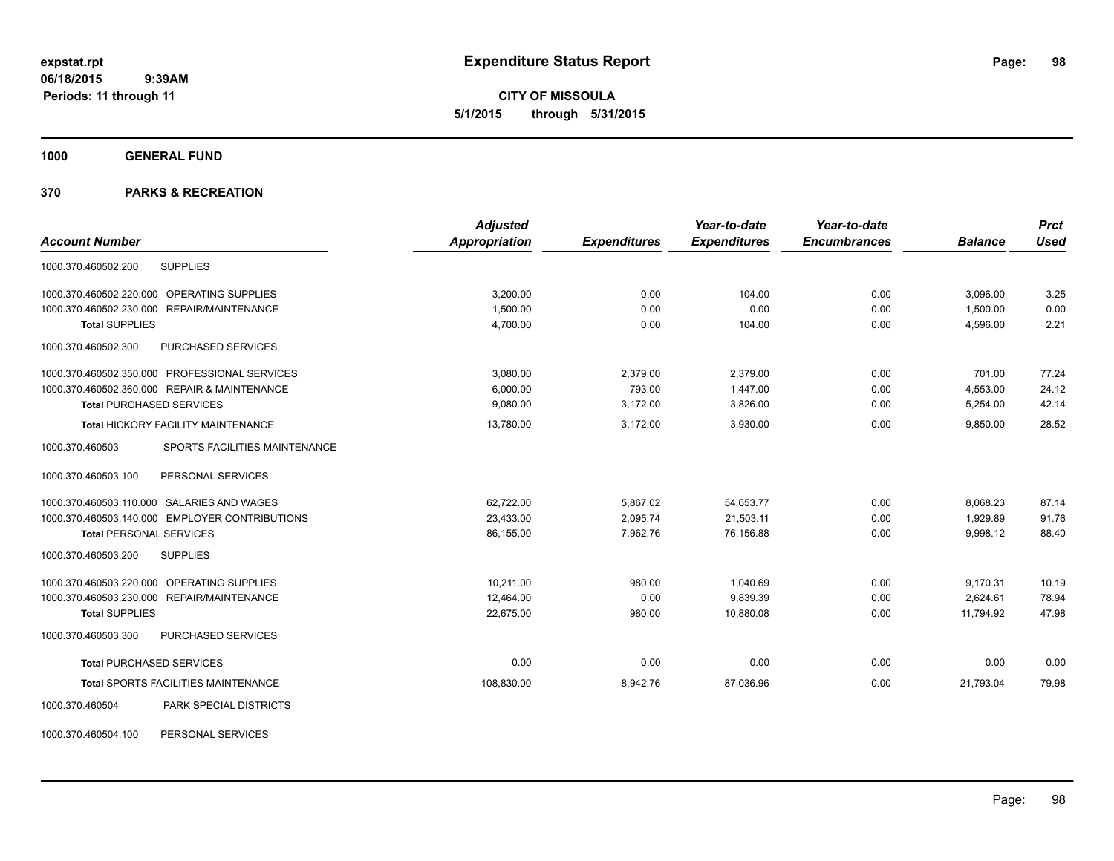**CITY OF MISSOULA 5/1/2015 through 5/31/2015**

**1000 GENERAL FUND**

|                                                  | <b>Adjusted</b>      |                     | Year-to-date        | Year-to-date        |                | <b>Prct</b> |
|--------------------------------------------------|----------------------|---------------------|---------------------|---------------------|----------------|-------------|
| <b>Account Number</b>                            | <b>Appropriation</b> | <b>Expenditures</b> | <b>Expenditures</b> | <b>Encumbrances</b> | <b>Balance</b> | <b>Used</b> |
| <b>SUPPLIES</b><br>1000.370.460502.200           |                      |                     |                     |                     |                |             |
| 1000.370.460502.220.000 OPERATING SUPPLIES       | 3,200.00             | 0.00                | 104.00              | 0.00                | 3,096.00       | 3.25        |
| 1000.370.460502.230.000 REPAIR/MAINTENANCE       | 1,500.00             | 0.00                | 0.00                | 0.00                | 1,500.00       | 0.00        |
| <b>Total SUPPLIES</b>                            | 4,700.00             | 0.00                | 104.00              | 0.00                | 4,596.00       | 2.21        |
| 1000.370.460502.300<br><b>PURCHASED SERVICES</b> |                      |                     |                     |                     |                |             |
| 1000.370.460502.350.000 PROFESSIONAL SERVICES    | 3,080.00             | 2,379.00            | 2.379.00            | 0.00                | 701.00         | 77.24       |
| 1000.370.460502.360.000 REPAIR & MAINTENANCE     | 6.000.00             | 793.00              | 1.447.00            | 0.00                | 4,553.00       | 24.12       |
| <b>Total PURCHASED SERVICES</b>                  | 9,080.00             | 3,172.00            | 3,826.00            | 0.00                | 5,254.00       | 42.14       |
| Total HICKORY FACILITY MAINTENANCE               | 13,780.00            | 3,172.00            | 3,930.00            | 0.00                | 9,850.00       | 28.52       |
| 1000.370.460503<br>SPORTS FACILITIES MAINTENANCE |                      |                     |                     |                     |                |             |
| PERSONAL SERVICES<br>1000.370.460503.100         |                      |                     |                     |                     |                |             |
| 1000.370.460503.110.000 SALARIES AND WAGES       | 62,722.00            | 5,867.02            | 54,653.77           | 0.00                | 8,068.23       | 87.14       |
| 1000.370.460503.140.000 EMPLOYER CONTRIBUTIONS   | 23,433.00            | 2,095.74            | 21,503.11           | 0.00                | 1,929.89       | 91.76       |
| <b>Total PERSONAL SERVICES</b>                   | 86,155.00            | 7,962.76            | 76.156.88           | 0.00                | 9,998.12       | 88.40       |
| 1000.370.460503.200<br><b>SUPPLIES</b>           |                      |                     |                     |                     |                |             |
| 1000.370.460503.220.000 OPERATING SUPPLIES       | 10,211.00            | 980.00              | 1,040.69            | 0.00                | 9,170.31       | 10.19       |
| 1000.370.460503.230.000 REPAIR/MAINTENANCE       | 12,464.00            | 0.00                | 9,839.39            | 0.00                | 2,624.61       | 78.94       |
| <b>Total SUPPLIES</b>                            | 22,675.00            | 980.00              | 10,880.08           | 0.00                | 11,794.92      | 47.98       |
| 1000.370.460503.300<br>PURCHASED SERVICES        |                      |                     |                     |                     |                |             |
| <b>Total PURCHASED SERVICES</b>                  | 0.00                 | 0.00                | 0.00                | 0.00                | 0.00           | 0.00        |
| Total SPORTS FACILITIES MAINTENANCE              | 108,830.00           | 8,942.76            | 87,036.96           | 0.00                | 21,793.04      | 79.98       |
| PARK SPECIAL DISTRICTS<br>1000.370.460504        |                      |                     |                     |                     |                |             |
| 1000.370.460504.100<br>PERSONAL SERVICES         |                      |                     |                     |                     |                |             |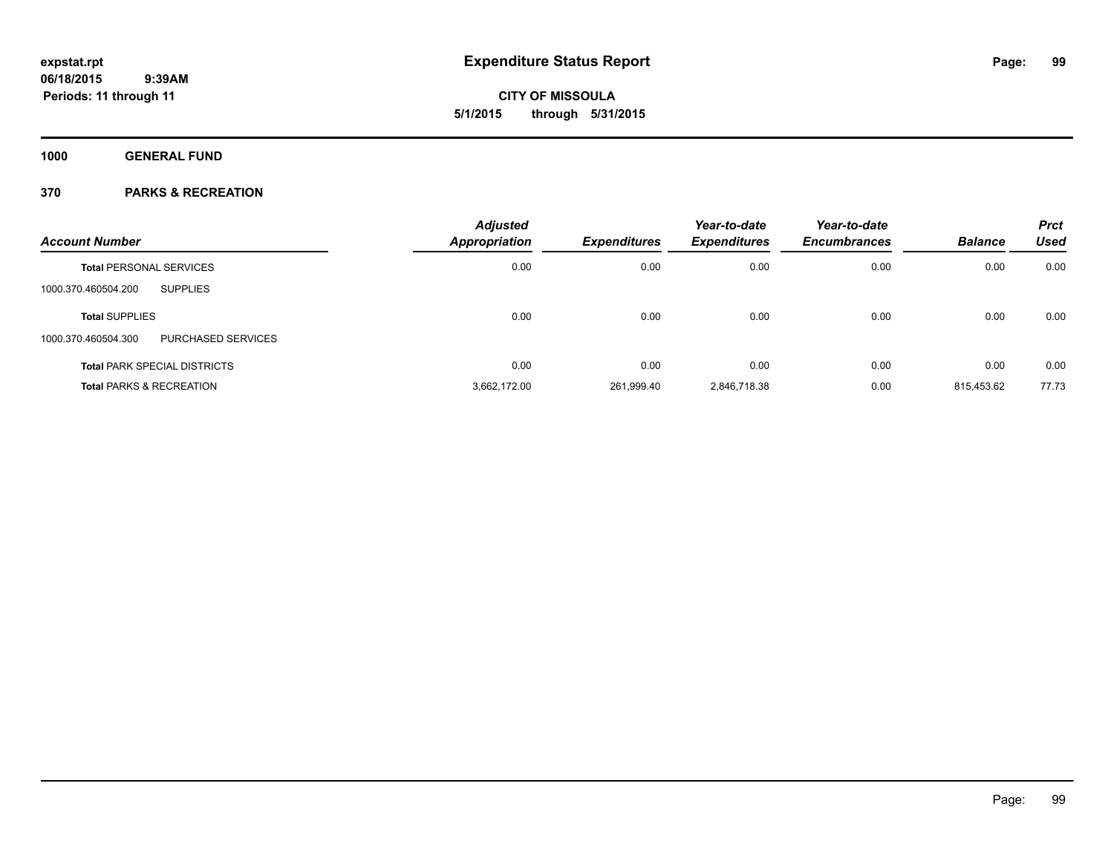**CITY OF MISSOULA 5/1/2015 through 5/31/2015**

**1000 GENERAL FUND**

| <b>Account Number</b>                     | <b>Adjusted</b><br>Appropriation | <b>Expenditures</b> | Year-to-date<br><b>Expenditures</b> | Year-to-date<br><b>Encumbrances</b> | <b>Balance</b> | <b>Prct</b><br><b>Used</b> |
|-------------------------------------------|----------------------------------|---------------------|-------------------------------------|-------------------------------------|----------------|----------------------------|
| <b>Total PERSONAL SERVICES</b>            | 0.00                             | 0.00                | 0.00                                | 0.00                                | 0.00           | 0.00                       |
| <b>SUPPLIES</b><br>1000.370.460504.200    |                                  |                     |                                     |                                     |                |                            |
| <b>Total SUPPLIES</b>                     | 0.00                             | 0.00                | 0.00                                | 0.00                                | 0.00           | 0.00                       |
| PURCHASED SERVICES<br>1000.370.460504.300 |                                  |                     |                                     |                                     |                |                            |
| <b>Total PARK SPECIAL DISTRICTS</b>       | 0.00                             | 0.00                | 0.00                                | 0.00                                | 0.00           | 0.00                       |
| <b>Total PARKS &amp; RECREATION</b>       | 3,662,172.00                     | 261,999.40          | 2,846,718.38                        | 0.00                                | 815,453.62     | 77.73                      |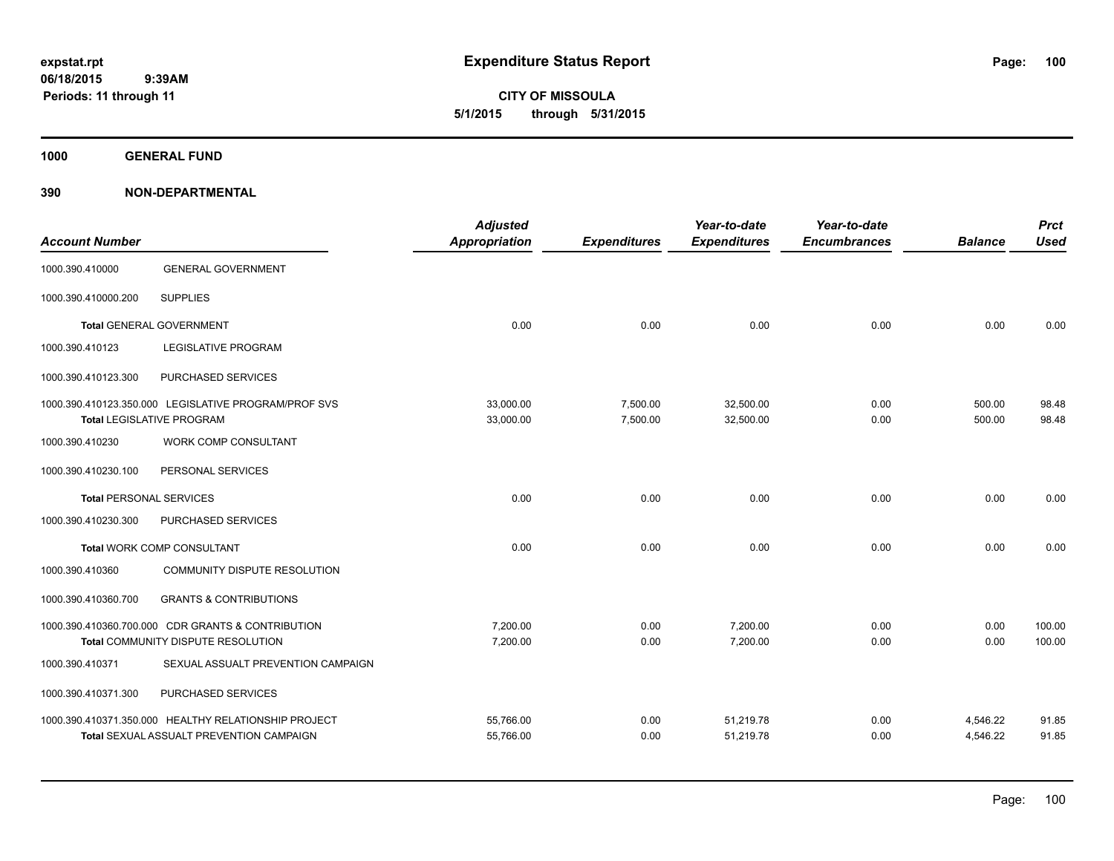**CITY OF MISSOULA 5/1/2015 through 5/31/2015**

**1000 GENERAL FUND**

| <b>Account Number</b>          |                                                                                          | <b>Adjusted</b><br><b>Appropriation</b> | <b>Expenditures</b>  | Year-to-date<br><b>Expenditures</b> | Year-to-date<br><b>Encumbrances</b> | <b>Balance</b>   | <b>Prct</b><br><b>Used</b> |
|--------------------------------|------------------------------------------------------------------------------------------|-----------------------------------------|----------------------|-------------------------------------|-------------------------------------|------------------|----------------------------|
| 1000.390.410000                | <b>GENERAL GOVERNMENT</b>                                                                |                                         |                      |                                     |                                     |                  |                            |
| 1000.390.410000.200            | <b>SUPPLIES</b>                                                                          |                                         |                      |                                     |                                     |                  |                            |
|                                | <b>Total GENERAL GOVERNMENT</b>                                                          | 0.00                                    | 0.00                 | 0.00                                | 0.00                                | 0.00             | 0.00                       |
| 1000.390.410123                | <b>LEGISLATIVE PROGRAM</b>                                                               |                                         |                      |                                     |                                     |                  |                            |
| 1000.390.410123.300            | PURCHASED SERVICES                                                                       |                                         |                      |                                     |                                     |                  |                            |
|                                | 1000.390.410123.350.000 LEGISLATIVE PROGRAM/PROF SVS<br><b>Total LEGISLATIVE PROGRAM</b> | 33,000.00<br>33,000.00                  | 7,500.00<br>7,500.00 | 32,500.00<br>32,500.00              | 0.00<br>0.00                        | 500.00<br>500.00 | 98.48<br>98.48             |
| 1000.390.410230                | WORK COMP CONSULTANT                                                                     |                                         |                      |                                     |                                     |                  |                            |
| 1000.390.410230.100            | PERSONAL SERVICES                                                                        |                                         |                      |                                     |                                     |                  |                            |
| <b>Total PERSONAL SERVICES</b> |                                                                                          | 0.00                                    | 0.00                 | 0.00                                | 0.00                                | 0.00             | 0.00                       |
| 1000.390.410230.300            | PURCHASED SERVICES                                                                       |                                         |                      |                                     |                                     |                  |                            |
|                                | Total WORK COMP CONSULTANT                                                               | 0.00                                    | 0.00                 | 0.00                                | 0.00                                | 0.00             | 0.00                       |
| 1000.390.410360                | COMMUNITY DISPUTE RESOLUTION                                                             |                                         |                      |                                     |                                     |                  |                            |
| 1000.390.410360.700            | <b>GRANTS &amp; CONTRIBUTIONS</b>                                                        |                                         |                      |                                     |                                     |                  |                            |
|                                | 1000.390.410360.700.000 CDR GRANTS & CONTRIBUTION                                        | 7,200.00                                | 0.00                 | 7,200.00                            | 0.00                                | 0.00             | 100.00                     |
|                                | Total COMMUNITY DISPUTE RESOLUTION                                                       | 7,200.00                                | 0.00                 | 7,200.00                            | 0.00                                | 0.00             | 100.00                     |
| 1000.390.410371                | SEXUAL ASSUALT PREVENTION CAMPAIGN                                                       |                                         |                      |                                     |                                     |                  |                            |
| 1000.390.410371.300            | PURCHASED SERVICES                                                                       |                                         |                      |                                     |                                     |                  |                            |
|                                | 1000.390.410371.350.000 HEALTHY RELATIONSHIP PROJECT                                     | 55,766.00                               | 0.00                 | 51,219.78                           | 0.00                                | 4,546.22         | 91.85                      |
|                                | Total SEXUAL ASSUALT PREVENTION CAMPAIGN                                                 | 55,766.00                               | 0.00                 | 51,219.78                           | 0.00                                | 4,546.22         | 91.85                      |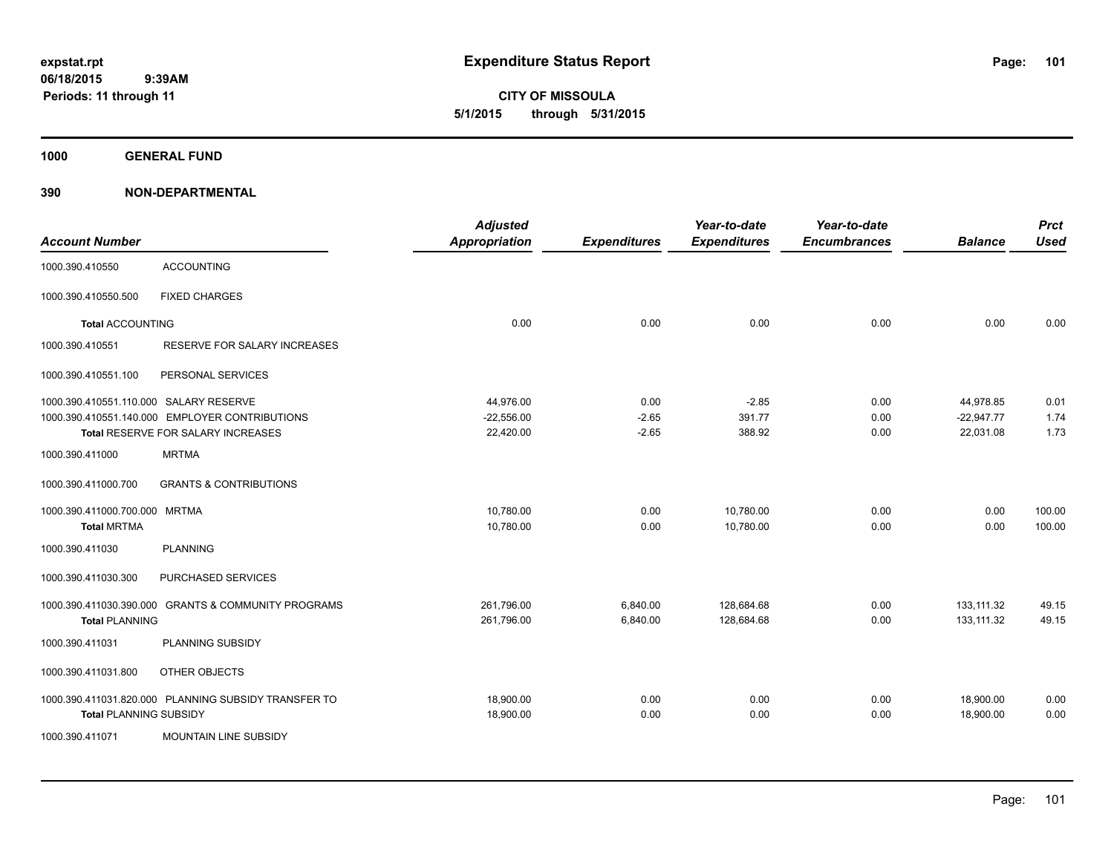**CITY OF MISSOULA 5/1/2015 through 5/31/2015**

**1000 GENERAL FUND**

| <b>Account Number</b>                  |                                                      | <b>Adjusted</b><br><b>Appropriation</b> | <b>Expenditures</b> | Year-to-date<br><b>Expenditures</b> | Year-to-date<br><b>Encumbrances</b> | <b>Balance</b> | <b>Prct</b><br><b>Used</b> |
|----------------------------------------|------------------------------------------------------|-----------------------------------------|---------------------|-------------------------------------|-------------------------------------|----------------|----------------------------|
| 1000.390.410550                        | <b>ACCOUNTING</b>                                    |                                         |                     |                                     |                                     |                |                            |
| 1000.390.410550.500                    | <b>FIXED CHARGES</b>                                 |                                         |                     |                                     |                                     |                |                            |
| <b>Total ACCOUNTING</b>                |                                                      | 0.00                                    | 0.00                | 0.00                                | 0.00                                | 0.00           | 0.00                       |
| 1000.390.410551                        | RESERVE FOR SALARY INCREASES                         |                                         |                     |                                     |                                     |                |                            |
| 1000.390.410551.100                    | PERSONAL SERVICES                                    |                                         |                     |                                     |                                     |                |                            |
| 1000.390.410551.110.000 SALARY RESERVE |                                                      | 44,976.00                               | 0.00                | $-2.85$                             | 0.00                                | 44,978.85      | 0.01                       |
|                                        | 1000.390.410551.140.000 EMPLOYER CONTRIBUTIONS       | $-22,556.00$                            | $-2.65$             | 391.77                              | 0.00                                | $-22,947.77$   | 1.74                       |
|                                        | Total RESERVE FOR SALARY INCREASES                   | 22,420.00                               | $-2.65$             | 388.92                              | 0.00                                | 22,031.08      | 1.73                       |
| 1000.390.411000                        | <b>MRTMA</b>                                         |                                         |                     |                                     |                                     |                |                            |
| 1000.390.411000.700                    | <b>GRANTS &amp; CONTRIBUTIONS</b>                    |                                         |                     |                                     |                                     |                |                            |
| 1000.390.411000.700.000 MRTMA          |                                                      | 10,780.00                               | 0.00                | 10,780.00                           | 0.00                                | 0.00           | 100.00                     |
| <b>Total MRTMA</b>                     |                                                      | 10,780.00                               | 0.00                | 10,780.00                           | 0.00                                | 0.00           | 100.00                     |
| 1000.390.411030                        | <b>PLANNING</b>                                      |                                         |                     |                                     |                                     |                |                            |
| 1000.390.411030.300                    | PURCHASED SERVICES                                   |                                         |                     |                                     |                                     |                |                            |
| 1000.390.411030.390.000                | <b>GRANTS &amp; COMMUNITY PROGRAMS</b>               | 261,796.00                              | 6,840.00            | 128,684.68                          | 0.00                                | 133,111.32     | 49.15                      |
| <b>Total PLANNING</b>                  |                                                      | 261,796.00                              | 6,840.00            | 128,684.68                          | 0.00                                | 133,111.32     | 49.15                      |
| 1000.390.411031                        | PLANNING SUBSIDY                                     |                                         |                     |                                     |                                     |                |                            |
| 1000.390.411031.800                    | OTHER OBJECTS                                        |                                         |                     |                                     |                                     |                |                            |
|                                        | 1000.390.411031.820.000 PLANNING SUBSIDY TRANSFER TO | 18,900.00                               | 0.00                | 0.00                                | 0.00                                | 18,900.00      | 0.00                       |
| <b>Total PLANNING SUBSIDY</b>          |                                                      | 18,900.00                               | 0.00                | 0.00                                | 0.00                                | 18,900.00      | 0.00                       |
| 1000.390.411071                        | <b>MOUNTAIN LINE SUBSIDY</b>                         |                                         |                     |                                     |                                     |                |                            |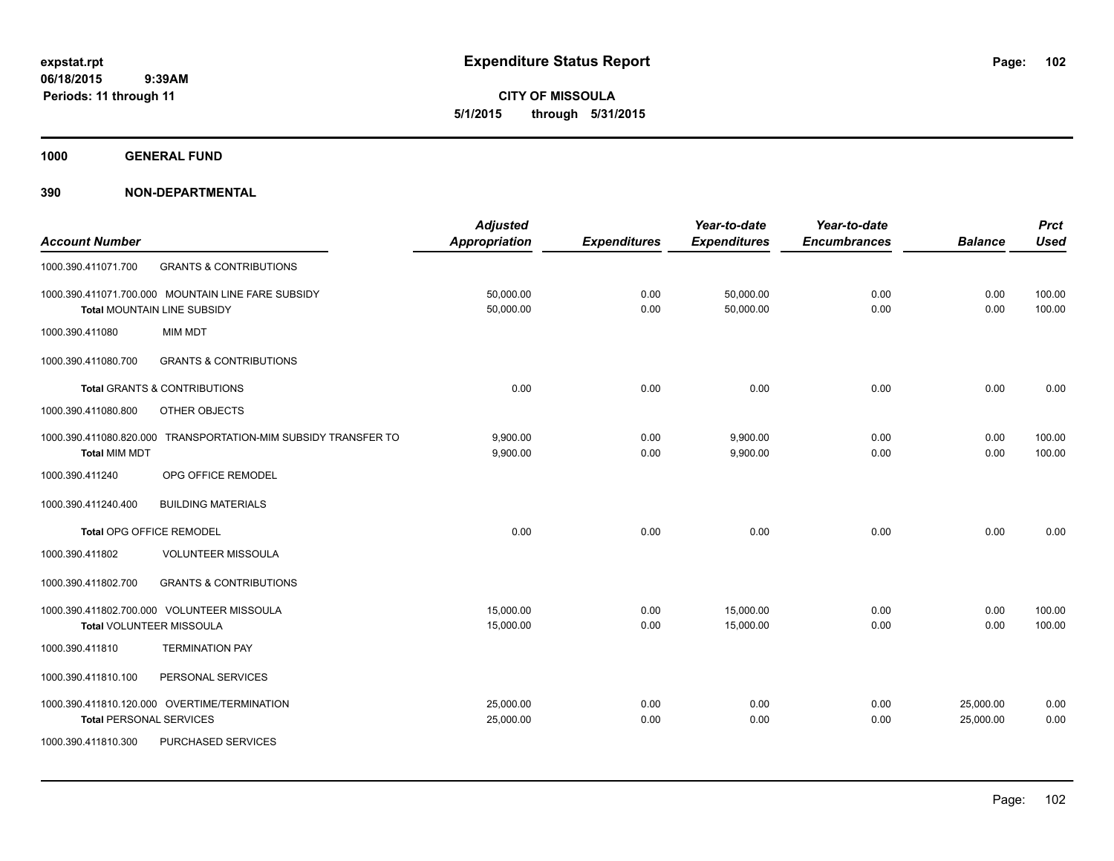**CITY OF MISSOULA 5/1/2015 through 5/31/2015**

**1000 GENERAL FUND**

|                                                                   | <b>Adjusted</b>      |                     | Year-to-date        | Year-to-date        |                | <b>Prct</b> |
|-------------------------------------------------------------------|----------------------|---------------------|---------------------|---------------------|----------------|-------------|
| <b>Account Number</b>                                             | <b>Appropriation</b> | <b>Expenditures</b> | <b>Expenditures</b> | <b>Encumbrances</b> | <b>Balance</b> | <b>Used</b> |
| <b>GRANTS &amp; CONTRIBUTIONS</b><br>1000.390.411071.700          |                      |                     |                     |                     |                |             |
| 1000.390.411071.700.000 MOUNTAIN LINE FARE SUBSIDY                | 50,000.00            | 0.00                | 50,000.00           | 0.00                | 0.00           | 100.00      |
| Total MOUNTAIN LINE SUBSIDY                                       | 50,000.00            | 0.00                | 50,000.00           | 0.00                | 0.00           | 100.00      |
| <b>MIM MDT</b><br>1000.390.411080                                 |                      |                     |                     |                     |                |             |
| 1000.390.411080.700<br><b>GRANTS &amp; CONTRIBUTIONS</b>          |                      |                     |                     |                     |                |             |
| <b>Total GRANTS &amp; CONTRIBUTIONS</b>                           | 0.00                 | 0.00                | 0.00                | 0.00                | 0.00           | 0.00        |
| 1000.390.411080.800<br>OTHER OBJECTS                              |                      |                     |                     |                     |                |             |
| TRANSPORTATION-MIM SUBSIDY TRANSFER TO<br>1000.390.411080.820.000 | 9,900.00             | 0.00                | 9,900.00            | 0.00                | 0.00           | 100.00      |
| <b>Total MIM MDT</b>                                              | 9,900.00             | 0.00                | 9,900.00            | 0.00                | 0.00           | 100.00      |
| 1000.390.411240<br>OPG OFFICE REMODEL                             |                      |                     |                     |                     |                |             |
| 1000.390.411240.400<br><b>BUILDING MATERIALS</b>                  |                      |                     |                     |                     |                |             |
| <b>Total OPG OFFICE REMODEL</b>                                   | 0.00                 | 0.00                | 0.00                | 0.00                | 0.00           | 0.00        |
| 1000.390.411802<br><b>VOLUNTEER MISSOULA</b>                      |                      |                     |                     |                     |                |             |
| 1000.390.411802.700<br><b>GRANTS &amp; CONTRIBUTIONS</b>          |                      |                     |                     |                     |                |             |
| 1000.390.411802.700.000 VOLUNTEER MISSOULA                        | 15,000.00            | 0.00                | 15,000.00           | 0.00                | 0.00           | 100.00      |
| Total VOLUNTEER MISSOULA                                          | 15,000.00            | 0.00                | 15,000.00           | 0.00                | 0.00           | 100.00      |
| <b>TERMINATION PAY</b><br>1000.390.411810                         |                      |                     |                     |                     |                |             |
| PERSONAL SERVICES<br>1000.390.411810.100                          |                      |                     |                     |                     |                |             |
| 1000.390.411810.120.000 OVERTIME/TERMINATION                      | 25,000.00            | 0.00                | 0.00                | 0.00                | 25,000.00      | 0.00        |
| <b>Total PERSONAL SERVICES</b>                                    | 25,000.00            | 0.00                | 0.00                | 0.00                | 25,000.00      | 0.00        |
| 1000.390.411810.300<br>PURCHASED SERVICES                         |                      |                     |                     |                     |                |             |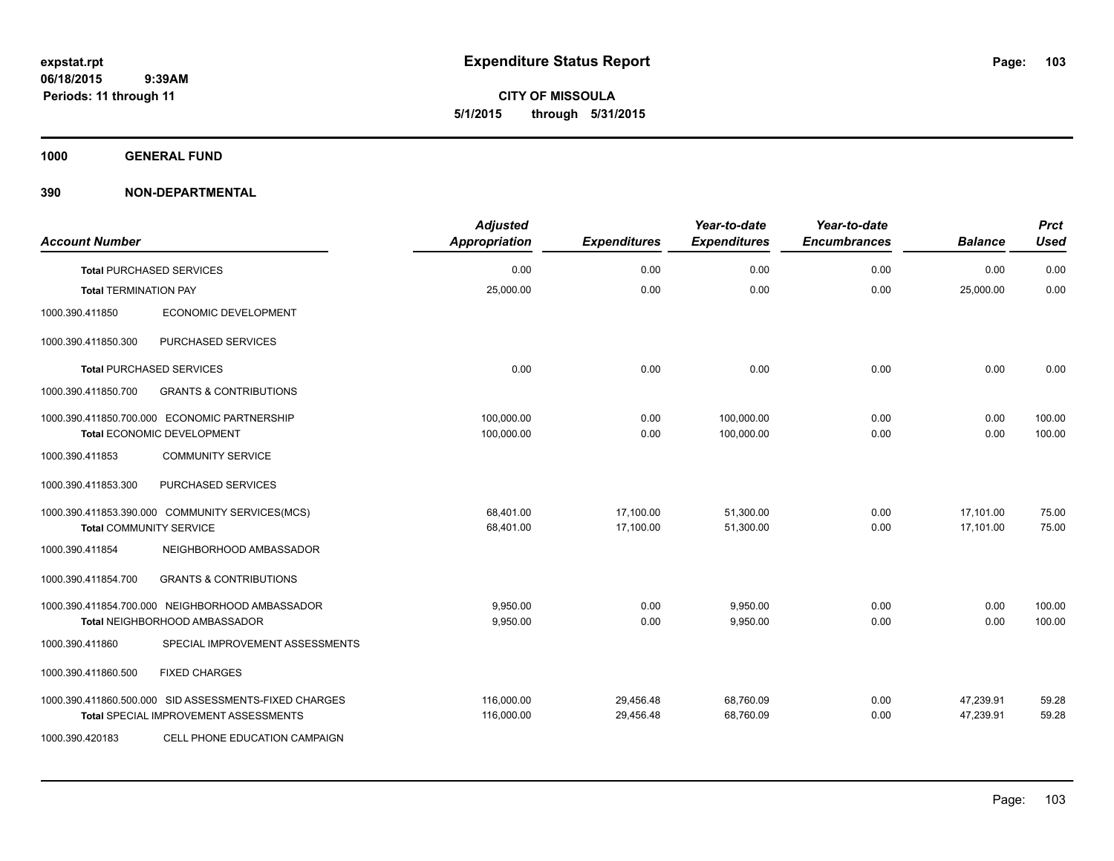**CITY OF MISSOULA 5/1/2015 through 5/31/2015**

**1000 GENERAL FUND**

| <b>Account Number</b>          |                                                                                                | <b>Adjusted</b><br>Appropriation | <b>Expenditures</b>    | Year-to-date<br><b>Expenditures</b> | Year-to-date<br><b>Encumbrances</b> | <b>Balance</b>         | <b>Prct</b><br><b>Used</b> |
|--------------------------------|------------------------------------------------------------------------------------------------|----------------------------------|------------------------|-------------------------------------|-------------------------------------|------------------------|----------------------------|
|                                | <b>Total PURCHASED SERVICES</b>                                                                | 0.00                             | 0.00                   | 0.00                                | 0.00                                | 0.00                   | 0.00                       |
| <b>Total TERMINATION PAY</b>   |                                                                                                | 25,000.00                        | 0.00                   | 0.00                                | 0.00                                | 25,000.00              | 0.00                       |
| 1000.390.411850                | ECONOMIC DEVELOPMENT                                                                           |                                  |                        |                                     |                                     |                        |                            |
| 1000.390.411850.300            | PURCHASED SERVICES                                                                             |                                  |                        |                                     |                                     |                        |                            |
|                                | <b>Total PURCHASED SERVICES</b>                                                                | 0.00                             | 0.00                   | 0.00                                | 0.00                                | 0.00                   | 0.00                       |
| 1000.390.411850.700            | <b>GRANTS &amp; CONTRIBUTIONS</b>                                                              |                                  |                        |                                     |                                     |                        |                            |
|                                | 1000.390.411850.700.000 ECONOMIC PARTNERSHIP<br>Total ECONOMIC DEVELOPMENT                     | 100,000.00<br>100,000.00         | 0.00<br>0.00           | 100,000.00<br>100,000.00            | 0.00<br>0.00                        | 0.00<br>0.00           | 100.00<br>100.00           |
| 1000.390.411853                | <b>COMMUNITY SERVICE</b>                                                                       |                                  |                        |                                     |                                     |                        |                            |
| 1000.390.411853.300            | PURCHASED SERVICES                                                                             |                                  |                        |                                     |                                     |                        |                            |
| <b>Total COMMUNITY SERVICE</b> | 1000.390.411853.390.000 COMMUNITY SERVICES(MCS)                                                | 68,401.00<br>68,401.00           | 17,100.00<br>17,100.00 | 51,300.00<br>51,300.00              | 0.00<br>0.00                        | 17,101.00<br>17,101.00 | 75.00<br>75.00             |
| 1000.390.411854                | NEIGHBORHOOD AMBASSADOR                                                                        |                                  |                        |                                     |                                     |                        |                            |
| 1000.390.411854.700            | <b>GRANTS &amp; CONTRIBUTIONS</b>                                                              |                                  |                        |                                     |                                     |                        |                            |
|                                | 1000.390.411854.700.000 NEIGHBORHOOD AMBASSADOR<br><b>Total NEIGHBORHOOD AMBASSADOR</b>        | 9,950.00<br>9,950.00             | 0.00<br>0.00           | 9,950.00<br>9,950.00                | 0.00<br>0.00                        | 0.00<br>0.00           | 100.00<br>100.00           |
| 1000.390.411860                | SPECIAL IMPROVEMENT ASSESSMENTS                                                                |                                  |                        |                                     |                                     |                        |                            |
| 1000.390.411860.500            | <b>FIXED CHARGES</b>                                                                           |                                  |                        |                                     |                                     |                        |                            |
|                                | 1000.390.411860.500.000 SID ASSESSMENTS-FIXED CHARGES<br>Total SPECIAL IMPROVEMENT ASSESSMENTS | 116,000.00<br>116,000.00         | 29,456.48<br>29,456.48 | 68,760.09<br>68,760.09              | 0.00<br>0.00                        | 47,239.91<br>47,239.91 | 59.28<br>59.28             |
| 1000.390.420183                | CELL PHONE EDUCATION CAMPAIGN                                                                  |                                  |                        |                                     |                                     |                        |                            |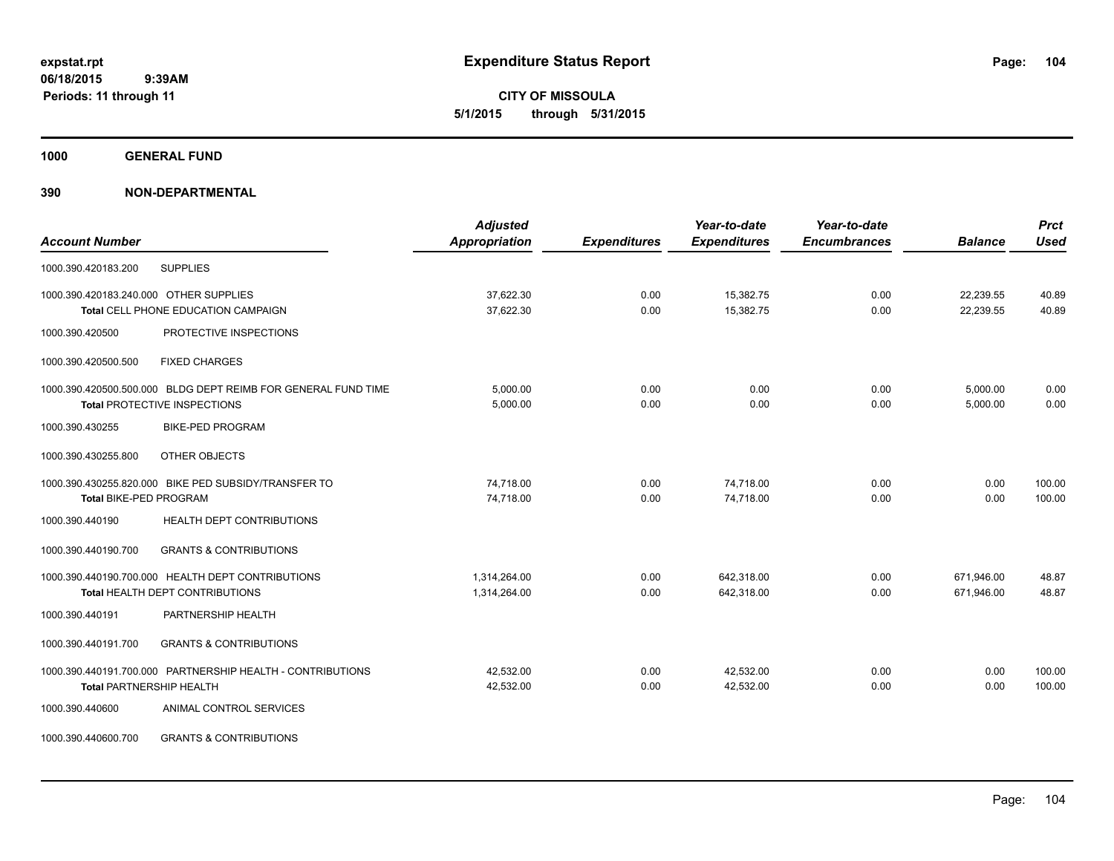**CITY OF MISSOULA 5/1/2015 through 5/31/2015**

**1000 GENERAL FUND**

| <b>Account Number</b>                                                                         | <b>Adjusted</b><br><b>Appropriation</b> | <b>Expenditures</b> | Year-to-date<br><b>Expenditures</b> | Year-to-date<br><b>Encumbrances</b> | <b>Balance</b>           | <b>Prct</b><br><b>Used</b> |
|-----------------------------------------------------------------------------------------------|-----------------------------------------|---------------------|-------------------------------------|-------------------------------------|--------------------------|----------------------------|
| <b>SUPPLIES</b><br>1000.390.420183.200                                                        |                                         |                     |                                     |                                     |                          |                            |
| 1000.390.420183.240.000 OTHER SUPPLIES<br>Total CELL PHONE EDUCATION CAMPAIGN                 | 37,622.30<br>37,622.30                  | 0.00<br>0.00        | 15,382.75<br>15,382.75              | 0.00<br>0.00                        | 22,239.55<br>22,239.55   | 40.89<br>40.89             |
| PROTECTIVE INSPECTIONS<br>1000.390.420500                                                     |                                         |                     |                                     |                                     |                          |                            |
| 1000.390.420500.500<br><b>FIXED CHARGES</b>                                                   |                                         |                     |                                     |                                     |                          |                            |
| 1000.390.420500.500.000 BLDG DEPT REIMB FOR GENERAL FUND TIME<br>Total PROTECTIVE INSPECTIONS | 5,000.00<br>5,000.00                    | 0.00<br>0.00        | 0.00<br>0.00                        | 0.00<br>0.00                        | 5,000.00<br>5,000.00     | 0.00<br>0.00               |
| 1000.390.430255<br><b>BIKE-PED PROGRAM</b>                                                    |                                         |                     |                                     |                                     |                          |                            |
| OTHER OBJECTS<br>1000.390.430255.800                                                          |                                         |                     |                                     |                                     |                          |                            |
| 1000.390.430255.820.000 BIKE PED SUBSIDY/TRANSFER TO<br><b>Total BIKE-PED PROGRAM</b>         | 74,718.00<br>74,718.00                  | 0.00<br>0.00        | 74,718.00<br>74.718.00              | 0.00<br>0.00                        | 0.00<br>0.00             | 100.00<br>100.00           |
| 1000.390.440190<br>HEALTH DEPT CONTRIBUTIONS                                                  |                                         |                     |                                     |                                     |                          |                            |
| <b>GRANTS &amp; CONTRIBUTIONS</b><br>1000.390.440190.700                                      |                                         |                     |                                     |                                     |                          |                            |
| 1000.390.440190.700.000 HEALTH DEPT CONTRIBUTIONS<br>Total HEALTH DEPT CONTRIBUTIONS          | 1,314,264.00<br>1,314,264.00            | 0.00<br>0.00        | 642,318.00<br>642,318.00            | 0.00<br>0.00                        | 671,946.00<br>671,946.00 | 48.87<br>48.87             |
| PARTNERSHIP HEALTH<br>1000.390.440191                                                         |                                         |                     |                                     |                                     |                          |                            |
| 1000.390.440191.700<br><b>GRANTS &amp; CONTRIBUTIONS</b>                                      |                                         |                     |                                     |                                     |                          |                            |
| 1000.390.440191.700.000 PARTNERSHIP HEALTH - CONTRIBUTIONS<br><b>Total PARTNERSHIP HEALTH</b> | 42,532.00<br>42,532.00                  | 0.00<br>0.00        | 42,532.00<br>42,532.00              | 0.00<br>0.00                        | 0.00<br>0.00             | 100.00<br>100.00           |
| ANIMAL CONTROL SERVICES<br>1000.390.440600                                                    |                                         |                     |                                     |                                     |                          |                            |
| 1000.390.440600.700<br><b>GRANTS &amp; CONTRIBUTIONS</b>                                      |                                         |                     |                                     |                                     |                          |                            |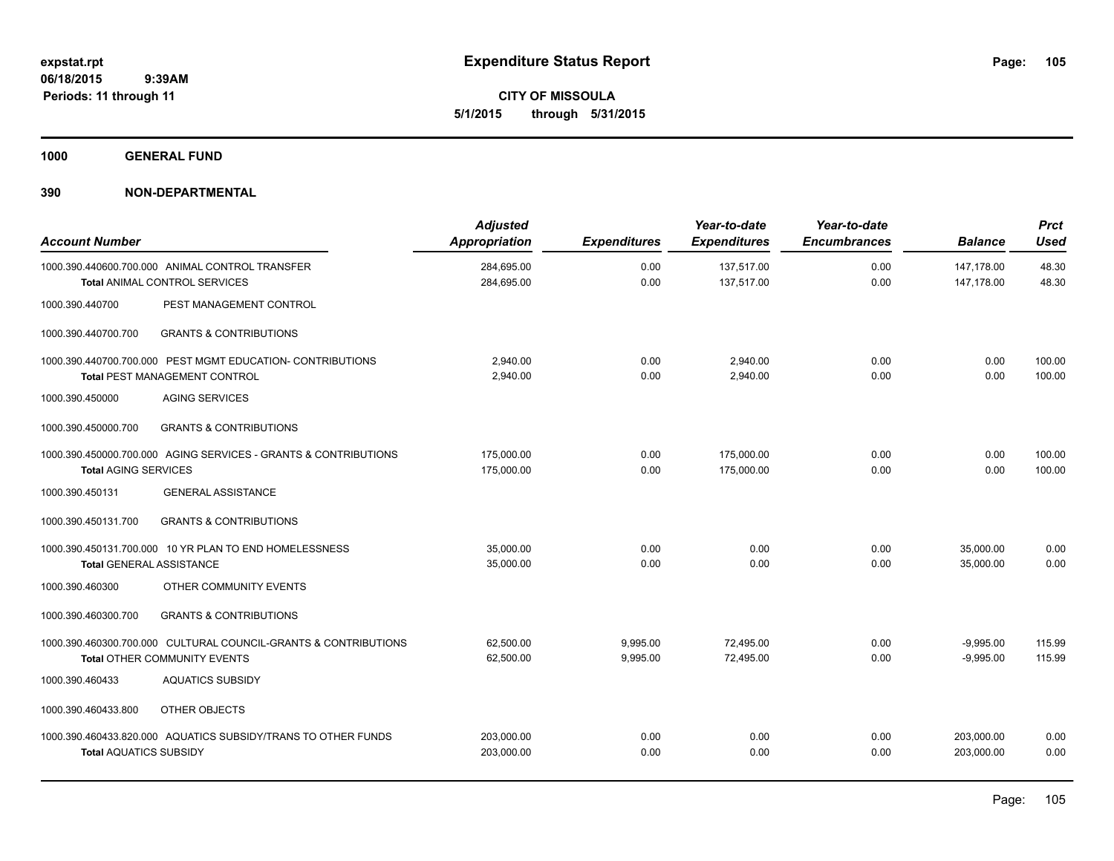**CITY OF MISSOULA 5/1/2015 through 5/31/2015**

**1000 GENERAL FUND**

| <b>Account Number</b>           |                                                                                                        | <b>Adjusted</b><br><b>Appropriation</b> | <b>Expenditures</b>  | Year-to-date<br><b>Expenditures</b> | Year-to-date<br><b>Encumbrances</b> | <b>Balance</b>             | <b>Prct</b><br><b>Used</b> |
|---------------------------------|--------------------------------------------------------------------------------------------------------|-----------------------------------------|----------------------|-------------------------------------|-------------------------------------|----------------------------|----------------------------|
|                                 | 1000.390.440600.700.000 ANIMAL CONTROL TRANSFER<br><b>Total ANIMAL CONTROL SERVICES</b>                | 284,695.00<br>284,695.00                | 0.00<br>0.00         | 137,517.00<br>137,517.00            | 0.00<br>0.00                        | 147,178.00<br>147,178.00   | 48.30<br>48.30             |
| 1000.390.440700                 | PEST MANAGEMENT CONTROL                                                                                |                                         |                      |                                     |                                     |                            |                            |
| 1000.390.440700.700             | <b>GRANTS &amp; CONTRIBUTIONS</b>                                                                      |                                         |                      |                                     |                                     |                            |                            |
|                                 | 1000.390.440700.700.000 PEST MGMT EDUCATION- CONTRIBUTIONS<br><b>Total PEST MANAGEMENT CONTROL</b>     | 2,940.00<br>2,940.00                    | 0.00<br>0.00         | 2,940.00<br>2,940.00                | 0.00<br>0.00                        | 0.00<br>0.00               | 100.00<br>100.00           |
| 1000.390.450000                 | <b>AGING SERVICES</b>                                                                                  |                                         |                      |                                     |                                     |                            |                            |
| 1000.390.450000.700             | <b>GRANTS &amp; CONTRIBUTIONS</b>                                                                      |                                         |                      |                                     |                                     |                            |                            |
| <b>Total AGING SERVICES</b>     | 1000.390.450000.700.000 AGING SERVICES - GRANTS & CONTRIBUTIONS                                        | 175,000.00<br>175,000.00                | 0.00<br>0.00         | 175,000.00<br>175,000.00            | 0.00<br>0.00                        | 0.00<br>0.00               | 100.00<br>100.00           |
| 1000.390.450131                 | <b>GENERAL ASSISTANCE</b>                                                                              |                                         |                      |                                     |                                     |                            |                            |
| 1000.390.450131.700             | <b>GRANTS &amp; CONTRIBUTIONS</b>                                                                      |                                         |                      |                                     |                                     |                            |                            |
| <b>Total GENERAL ASSISTANCE</b> | 1000.390.450131.700.000 10 YR PLAN TO END HOMELESSNESS                                                 | 35,000.00<br>35,000.00                  | 0.00<br>0.00         | 0.00<br>0.00                        | 0.00<br>0.00                        | 35,000.00<br>35.000.00     | 0.00<br>0.00               |
| 1000.390.460300                 | OTHER COMMUNITY EVENTS                                                                                 |                                         |                      |                                     |                                     |                            |                            |
| 1000.390.460300.700             | <b>GRANTS &amp; CONTRIBUTIONS</b>                                                                      |                                         |                      |                                     |                                     |                            |                            |
|                                 | 1000.390.460300.700.000 CULTURAL COUNCIL-GRANTS & CONTRIBUTIONS<br><b>Total OTHER COMMUNITY EVENTS</b> | 62,500.00<br>62,500.00                  | 9,995.00<br>9,995.00 | 72,495.00<br>72,495.00              | 0.00<br>0.00                        | $-9,995.00$<br>$-9.995.00$ | 115.99<br>115.99           |
| 1000.390.460433                 | <b>AQUATICS SUBSIDY</b>                                                                                |                                         |                      |                                     |                                     |                            |                            |
| 1000.390.460433.800             | OTHER OBJECTS                                                                                          |                                         |                      |                                     |                                     |                            |                            |
| <b>Total AQUATICS SUBSIDY</b>   | 1000.390.460433.820.000 AQUATICS SUBSIDY/TRANS TO OTHER FUNDS                                          | 203,000.00<br>203,000.00                | 0.00<br>0.00         | 0.00<br>0.00                        | 0.00<br>0.00                        | 203,000.00<br>203,000.00   | 0.00<br>0.00               |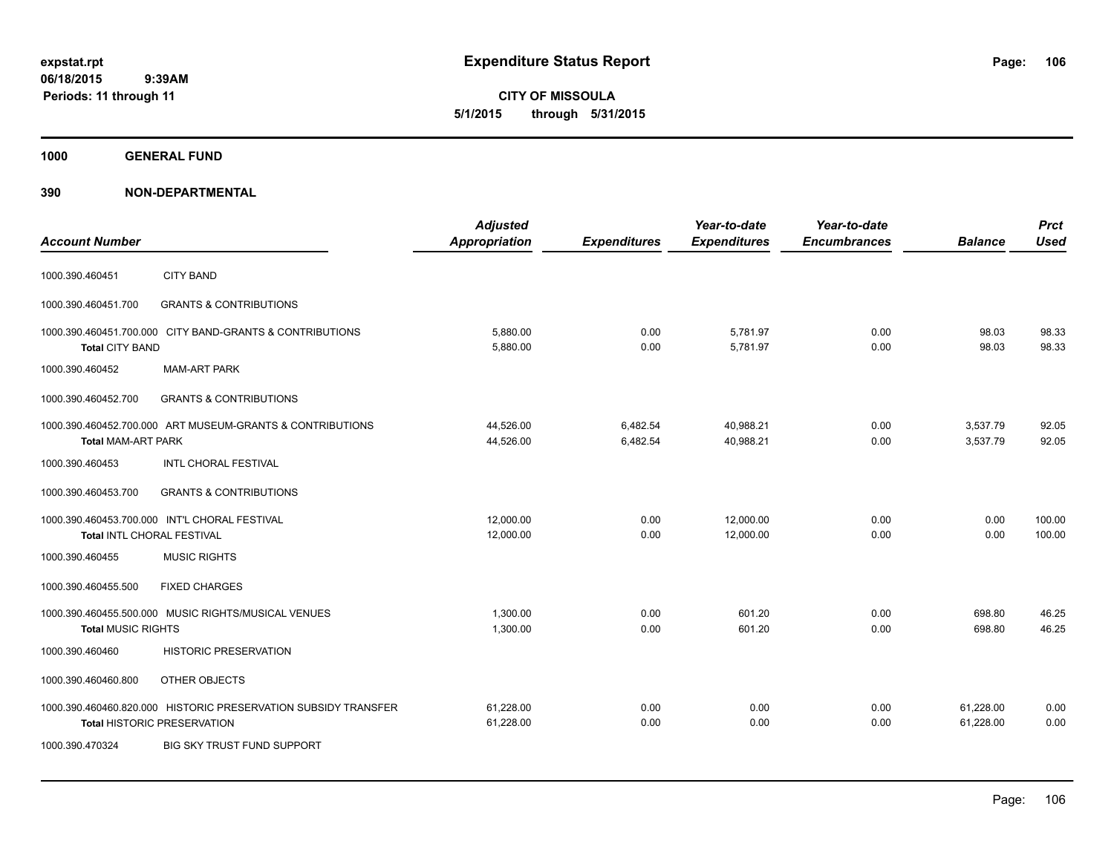**CITY OF MISSOULA 5/1/2015 through 5/31/2015**

**1000 GENERAL FUND**

| <b>Account Number</b>      |                                                                                                      | <b>Adjusted</b><br><b>Appropriation</b> | <b>Expenditures</b>  | Year-to-date<br><b>Expenditures</b> | Year-to-date<br><b>Encumbrances</b> | <b>Balance</b>         | <b>Prct</b><br><b>Used</b> |
|----------------------------|------------------------------------------------------------------------------------------------------|-----------------------------------------|----------------------|-------------------------------------|-------------------------------------|------------------------|----------------------------|
| 1000.390.460451            | <b>CITY BAND</b>                                                                                     |                                         |                      |                                     |                                     |                        |                            |
| 1000.390.460451.700        | <b>GRANTS &amp; CONTRIBUTIONS</b>                                                                    |                                         |                      |                                     |                                     |                        |                            |
| <b>Total CITY BAND</b>     | 1000.390.460451.700.000 CITY BAND-GRANTS & CONTRIBUTIONS                                             | 5,880.00<br>5,880.00                    | 0.00<br>0.00         | 5,781.97<br>5,781.97                | 0.00<br>0.00                        | 98.03<br>98.03         | 98.33<br>98.33             |
| 1000.390.460452            | <b>MAM-ART PARK</b>                                                                                  |                                         |                      |                                     |                                     |                        |                            |
| 1000.390.460452.700        | <b>GRANTS &amp; CONTRIBUTIONS</b>                                                                    |                                         |                      |                                     |                                     |                        |                            |
| <b>Total MAM-ART PARK</b>  | 1000.390.460452.700.000 ART MUSEUM-GRANTS & CONTRIBUTIONS                                            | 44,526.00<br>44,526.00                  | 6,482.54<br>6,482.54 | 40,988.21<br>40,988.21              | 0.00<br>0.00                        | 3,537.79<br>3,537.79   | 92.05<br>92.05             |
| 1000.390.460453            | <b>INTL CHORAL FESTIVAL</b>                                                                          |                                         |                      |                                     |                                     |                        |                            |
| 1000.390.460453.700        | <b>GRANTS &amp; CONTRIBUTIONS</b>                                                                    |                                         |                      |                                     |                                     |                        |                            |
| Total INTL CHORAL FESTIVAL | 1000.390.460453.700.000 INT'L CHORAL FESTIVAL                                                        | 12.000.00<br>12,000.00                  | 0.00<br>0.00         | 12.000.00<br>12,000.00              | 0.00<br>0.00                        | 0.00<br>0.00           | 100.00<br>100.00           |
| 1000.390.460455            | <b>MUSIC RIGHTS</b>                                                                                  |                                         |                      |                                     |                                     |                        |                            |
| 1000.390.460455.500        | <b>FIXED CHARGES</b>                                                                                 |                                         |                      |                                     |                                     |                        |                            |
| <b>Total MUSIC RIGHTS</b>  | 1000.390.460455.500.000 MUSIC RIGHTS/MUSICAL VENUES                                                  | 1.300.00<br>1,300.00                    | 0.00<br>0.00         | 601.20<br>601.20                    | 0.00<br>0.00                        | 698.80<br>698.80       | 46.25<br>46.25             |
| 1000.390.460460            | <b>HISTORIC PRESERVATION</b>                                                                         |                                         |                      |                                     |                                     |                        |                            |
| 1000.390.460460.800        | OTHER OBJECTS                                                                                        |                                         |                      |                                     |                                     |                        |                            |
|                            | 1000.390.460460.820.000 HISTORIC PRESERVATION SUBSIDY TRANSFER<br><b>Total HISTORIC PRESERVATION</b> | 61,228.00<br>61,228.00                  | 0.00<br>0.00         | 0.00<br>0.00                        | 0.00<br>0.00                        | 61,228.00<br>61,228.00 | 0.00<br>0.00               |
| 1000.390.470324            | <b>BIG SKY TRUST FUND SUPPORT</b>                                                                    |                                         |                      |                                     |                                     |                        |                            |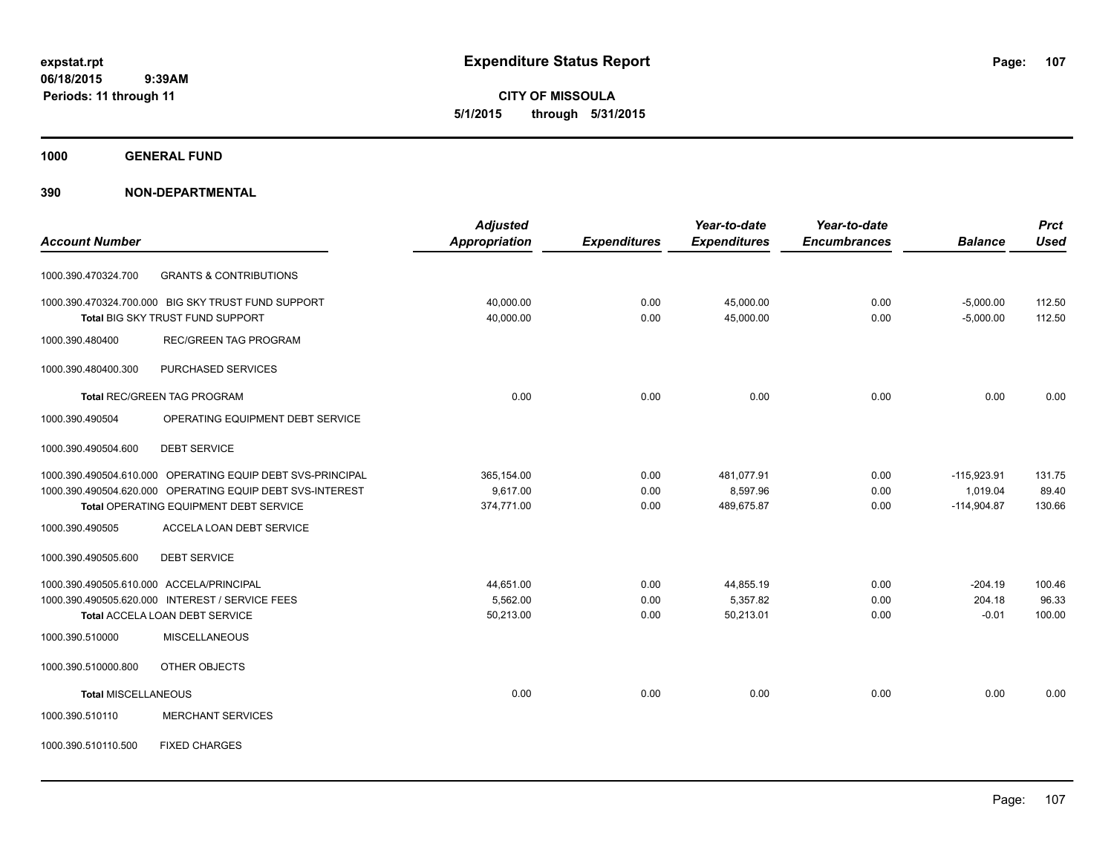**CITY OF MISSOULA 5/1/2015 through 5/31/2015**

**1000 GENERAL FUND**

|                                                            | <b>Adjusted</b>      |                     | Year-to-date        | Year-to-date        |                | <b>Prct</b> |
|------------------------------------------------------------|----------------------|---------------------|---------------------|---------------------|----------------|-------------|
| <b>Account Number</b>                                      | <b>Appropriation</b> | <b>Expenditures</b> | <b>Expenditures</b> | <b>Encumbrances</b> | <b>Balance</b> | <b>Used</b> |
| <b>GRANTS &amp; CONTRIBUTIONS</b><br>1000.390.470324.700   |                      |                     |                     |                     |                |             |
| 1000.390.470324.700.000 BIG SKY TRUST FUND SUPPORT         | 40,000.00            | 0.00                | 45,000.00           | 0.00                | $-5,000.00$    | 112.50      |
| Total BIG SKY TRUST FUND SUPPORT                           | 40,000.00            | 0.00                | 45,000.00           | 0.00                | $-5,000.00$    | 112.50      |
| <b>REC/GREEN TAG PROGRAM</b><br>1000.390.480400            |                      |                     |                     |                     |                |             |
| PURCHASED SERVICES<br>1000.390.480400.300                  |                      |                     |                     |                     |                |             |
| <b>Total REC/GREEN TAG PROGRAM</b>                         | 0.00                 | 0.00                | 0.00                | 0.00                | 0.00           | 0.00        |
| OPERATING EQUIPMENT DEBT SERVICE<br>1000.390.490504        |                      |                     |                     |                     |                |             |
| <b>DEBT SERVICE</b><br>1000.390.490504.600                 |                      |                     |                     |                     |                |             |
| 1000.390.490504.610.000 OPERATING EQUIP DEBT SVS-PRINCIPAL | 365,154.00           | 0.00                | 481,077.91          | 0.00                | $-115,923.91$  | 131.75      |
| 1000.390.490504.620.000 OPERATING EQUIP DEBT SVS-INTEREST  | 9,617.00             | 0.00                | 8,597.96            | 0.00                | 1,019.04       | 89.40       |
| <b>Total OPERATING EQUIPMENT DEBT SERVICE</b>              | 374,771.00           | 0.00                | 489,675.87          | 0.00                | $-114,904.87$  | 130.66      |
| 1000.390.490505<br>ACCELA LOAN DEBT SERVICE                |                      |                     |                     |                     |                |             |
| 1000.390.490505.600<br><b>DEBT SERVICE</b>                 |                      |                     |                     |                     |                |             |
| 1000.390.490505.610.000 ACCELA/PRINCIPAL                   | 44,651.00            | 0.00                | 44,855.19           | 0.00                | $-204.19$      | 100.46      |
| 1000.390.490505.620.000 INTEREST / SERVICE FEES            | 5,562.00             | 0.00                | 5,357.82            | 0.00                | 204.18         | 96.33       |
| <b>Total ACCELA LOAN DEBT SERVICE</b>                      | 50,213.00            | 0.00                | 50,213.01           | 0.00                | $-0.01$        | 100.00      |
| 1000.390.510000<br><b>MISCELLANEOUS</b>                    |                      |                     |                     |                     |                |             |
| 1000.390.510000.800<br>OTHER OBJECTS                       |                      |                     |                     |                     |                |             |
| <b>Total MISCELLANEOUS</b>                                 | 0.00                 | 0.00                | 0.00                | 0.00                | 0.00           | 0.00        |
| 1000.390.510110<br><b>MERCHANT SERVICES</b>                |                      |                     |                     |                     |                |             |
| 1000.390.510110.500<br><b>FIXED CHARGES</b>                |                      |                     |                     |                     |                |             |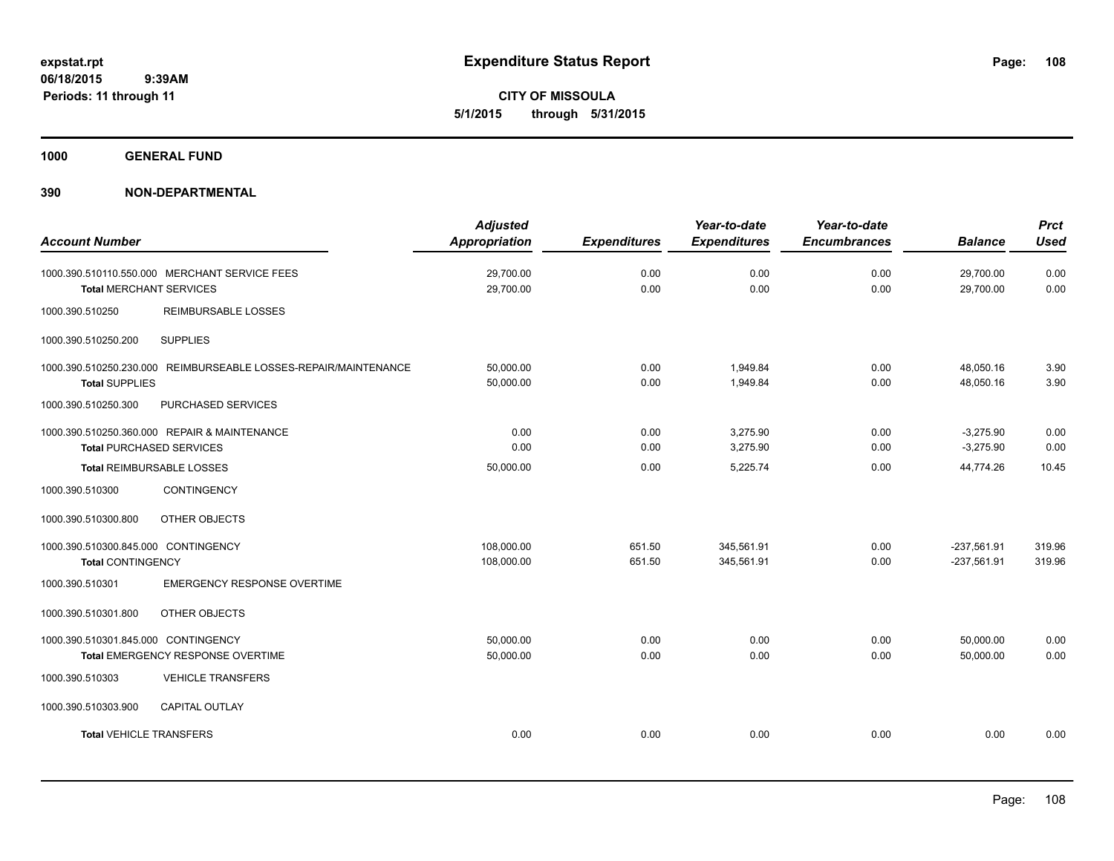**CITY OF MISSOULA 5/1/2015 through 5/31/2015**

**1000 GENERAL FUND**

| <b>Account Number</b>                                                                    | <b>Adjusted</b><br><b>Appropriation</b> | <b>Expenditures</b> | Year-to-date<br><b>Expenditures</b> | Year-to-date<br><b>Encumbrances</b> | <b>Balance</b>             | <b>Prct</b><br><b>Used</b> |
|------------------------------------------------------------------------------------------|-----------------------------------------|---------------------|-------------------------------------|-------------------------------------|----------------------------|----------------------------|
| 1000.390.510110.550.000 MERCHANT SERVICE FEES<br><b>Total MERCHANT SERVICES</b>          | 29,700.00<br>29,700.00                  | 0.00<br>0.00        | 0.00<br>0.00                        | 0.00<br>0.00                        | 29,700.00<br>29,700.00     | 0.00<br>0.00               |
| <b>REIMBURSABLE LOSSES</b><br>1000.390.510250                                            |                                         |                     |                                     |                                     |                            |                            |
| <b>SUPPLIES</b><br>1000.390.510250.200                                                   |                                         |                     |                                     |                                     |                            |                            |
| 1000.390.510250.230.000 REIMBURSEABLE LOSSES-REPAIR/MAINTENANCE<br><b>Total SUPPLIES</b> | 50,000.00<br>50,000.00                  | 0.00<br>0.00        | 1,949.84<br>1,949.84                | 0.00<br>0.00                        | 48,050.16<br>48,050.16     | 3.90<br>3.90               |
| 1000.390.510250.300<br>PURCHASED SERVICES                                                |                                         |                     |                                     |                                     |                            |                            |
| 1000.390.510250.360.000 REPAIR & MAINTENANCE<br><b>Total PURCHASED SERVICES</b>          | 0.00<br>0.00                            | 0.00<br>0.00        | 3,275.90<br>3,275.90                | 0.00<br>0.00                        | $-3,275.90$<br>$-3,275.90$ | 0.00<br>0.00               |
| Total REIMBURSABLE LOSSES                                                                | 50,000.00                               | 0.00                | 5,225.74                            | 0.00                                | 44,774.26                  | 10.45                      |
| CONTINGENCY<br>1000.390.510300                                                           |                                         |                     |                                     |                                     |                            |                            |
| 1000.390.510300.800<br>OTHER OBJECTS                                                     |                                         |                     |                                     |                                     |                            |                            |
| 1000.390.510300.845.000 CONTINGENCY                                                      | 108,000.00                              | 651.50              | 345,561.91                          | 0.00                                | $-237,561.91$              | 319.96                     |
| <b>Total CONTINGENCY</b>                                                                 | 108,000.00                              | 651.50              | 345,561.91                          | 0.00                                | $-237,561.91$              | 319.96                     |
| 1000.390.510301<br><b>EMERGENCY RESPONSE OVERTIME</b>                                    |                                         |                     |                                     |                                     |                            |                            |
| OTHER OBJECTS<br>1000.390.510301.800                                                     |                                         |                     |                                     |                                     |                            |                            |
| 1000.390.510301.845.000 CONTINGENCY                                                      | 50,000.00                               | 0.00                | 0.00                                | 0.00                                | 50,000.00                  | 0.00                       |
| Total EMERGENCY RESPONSE OVERTIME                                                        | 50,000.00                               | 0.00                | 0.00                                | 0.00                                | 50,000.00                  | 0.00                       |
| <b>VEHICLE TRANSFERS</b><br>1000.390.510303                                              |                                         |                     |                                     |                                     |                            |                            |
| 1000.390.510303.900<br><b>CAPITAL OUTLAY</b>                                             |                                         |                     |                                     |                                     |                            |                            |
| <b>Total VEHICLE TRANSFERS</b>                                                           | 0.00                                    | 0.00                | 0.00                                | 0.00                                | 0.00                       | 0.00                       |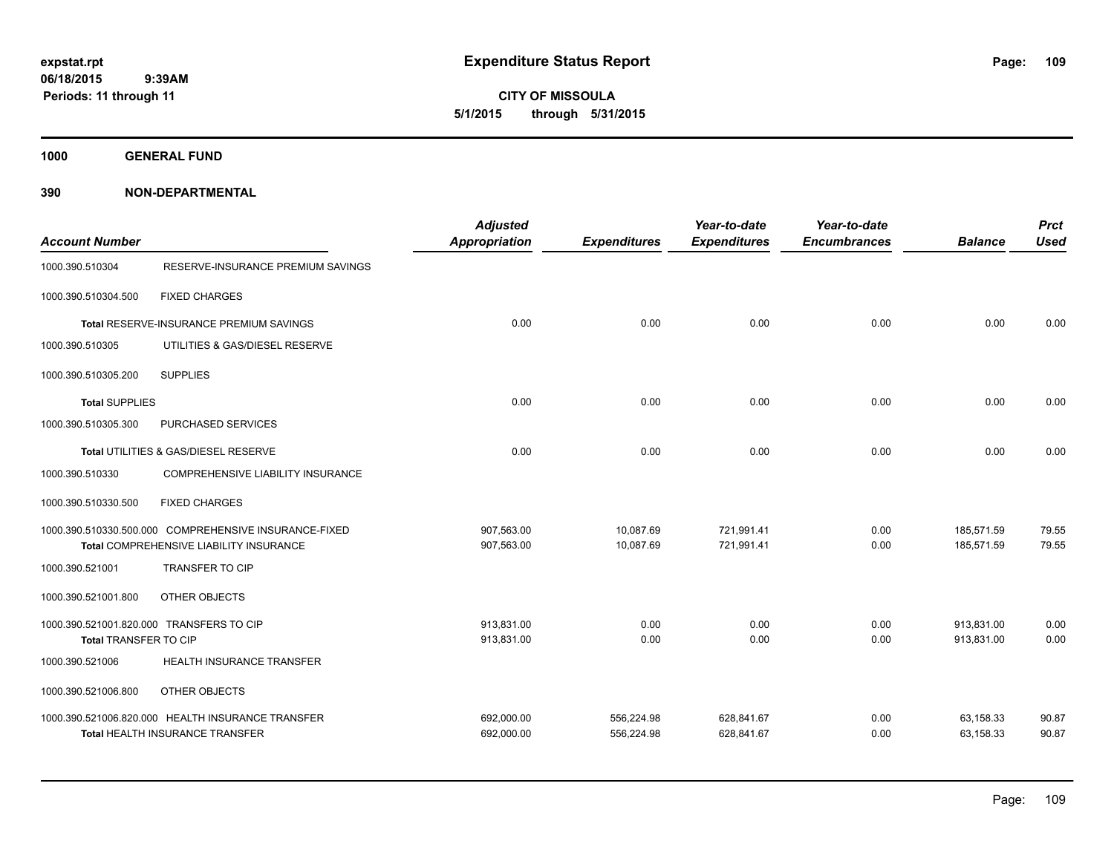**CITY OF MISSOULA 5/1/2015 through 5/31/2015**

**1000 GENERAL FUND**

| <b>Account Number</b> |                                                                                                  | <b>Adjusted</b><br><b>Appropriation</b> | <b>Expenditures</b>      | Year-to-date<br><b>Expenditures</b> | Year-to-date<br><b>Encumbrances</b> | <b>Balance</b>           | <b>Prct</b><br><b>Used</b> |
|-----------------------|--------------------------------------------------------------------------------------------------|-----------------------------------------|--------------------------|-------------------------------------|-------------------------------------|--------------------------|----------------------------|
| 1000.390.510304       | RESERVE-INSURANCE PREMIUM SAVINGS                                                                |                                         |                          |                                     |                                     |                          |                            |
| 1000.390.510304.500   | <b>FIXED CHARGES</b>                                                                             |                                         |                          |                                     |                                     |                          |                            |
|                       | <b>Total RESERVE-INSURANCE PREMIUM SAVINGS</b>                                                   | 0.00                                    | 0.00                     | 0.00                                | 0.00                                | 0.00                     | 0.00                       |
| 1000.390.510305       | UTILITIES & GAS/DIESEL RESERVE                                                                   |                                         |                          |                                     |                                     |                          |                            |
| 1000.390.510305.200   | <b>SUPPLIES</b>                                                                                  |                                         |                          |                                     |                                     |                          |                            |
| <b>Total SUPPLIES</b> |                                                                                                  | 0.00                                    | 0.00                     | 0.00                                | 0.00                                | 0.00                     | 0.00                       |
| 1000.390.510305.300   | PURCHASED SERVICES                                                                               |                                         |                          |                                     |                                     |                          |                            |
|                       | Total UTILITIES & GAS/DIESEL RESERVE                                                             | 0.00                                    | 0.00                     | 0.00                                | 0.00                                | 0.00                     | 0.00                       |
| 1000.390.510330       | COMPREHENSIVE LIABILITY INSURANCE                                                                |                                         |                          |                                     |                                     |                          |                            |
| 1000.390.510330.500   | <b>FIXED CHARGES</b>                                                                             |                                         |                          |                                     |                                     |                          |                            |
|                       | 1000.390.510330.500.000 COMPREHENSIVE INSURANCE-FIXED<br>Total COMPREHENSIVE LIABILITY INSURANCE | 907,563.00<br>907,563.00                | 10,087.69<br>10,087.69   | 721,991.41<br>721,991.41            | 0.00<br>0.00                        | 185,571.59<br>185,571.59 | 79.55<br>79.55             |
| 1000.390.521001       | <b>TRANSFER TO CIP</b>                                                                           |                                         |                          |                                     |                                     |                          |                            |
| 1000.390.521001.800   | OTHER OBJECTS                                                                                    |                                         |                          |                                     |                                     |                          |                            |
| Total TRANSFER TO CIP | 1000.390.521001.820.000 TRANSFERS TO CIP                                                         | 913.831.00<br>913,831.00                | 0.00<br>0.00             | 0.00<br>0.00                        | 0.00<br>0.00                        | 913,831.00<br>913,831.00 | 0.00<br>0.00               |
| 1000.390.521006       | HEALTH INSURANCE TRANSFER                                                                        |                                         |                          |                                     |                                     |                          |                            |
| 1000.390.521006.800   | OTHER OBJECTS                                                                                    |                                         |                          |                                     |                                     |                          |                            |
|                       | 1000.390.521006.820.000 HEALTH INSURANCE TRANSFER<br>Total HEALTH INSURANCE TRANSFER             | 692,000.00<br>692,000.00                | 556,224.98<br>556,224.98 | 628,841.67<br>628,841.67            | 0.00<br>0.00                        | 63,158.33<br>63,158.33   | 90.87<br>90.87             |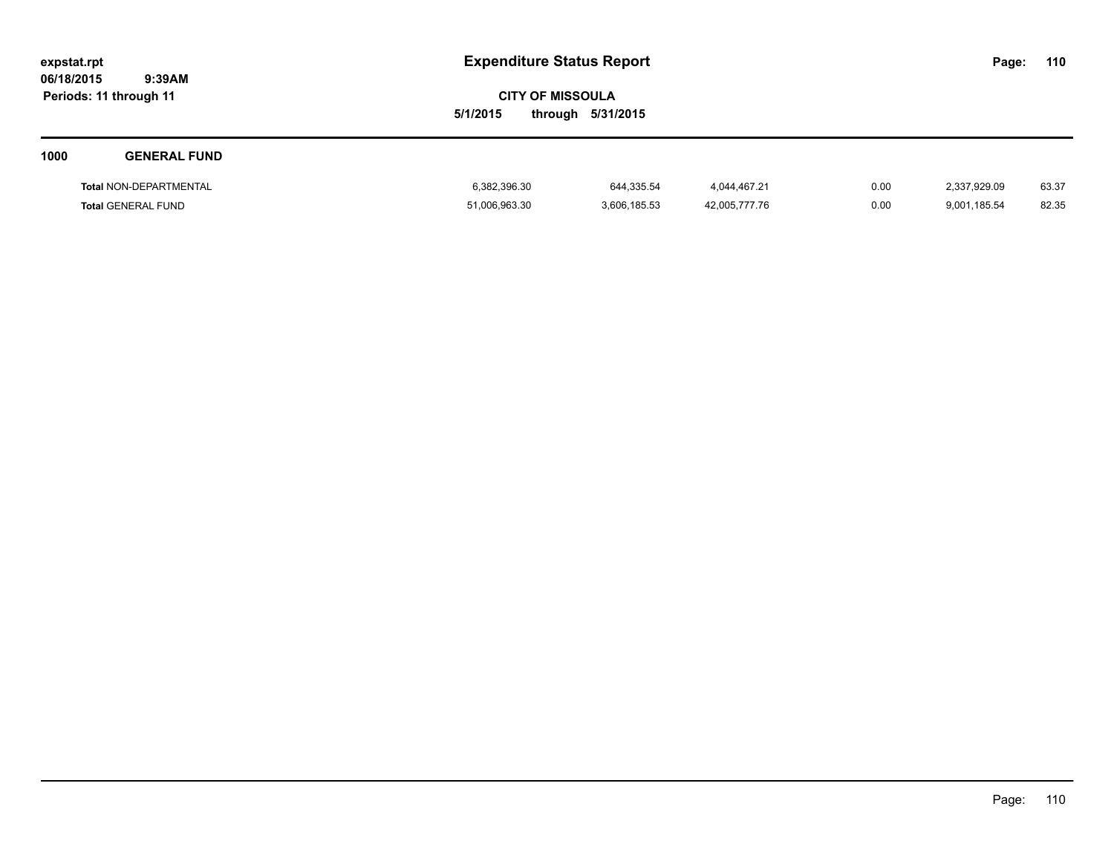**CITY OF MISSOULA 5/1/2015 through 5/31/2015**

| 1000 | <b>GENERAL FUND</b>           |               |              |               |      |              |       |
|------|-------------------------------|---------------|--------------|---------------|------|--------------|-------|
|      | <b>Total NON-DEPARTMENTAL</b> | 6,382,396.30  | 644,335.54   | 4,044,467.21  | 0.00 | 2,337,929.09 | 63.37 |
|      | <b>Total GENERAL FUND</b>     | 51,006,963.30 | 3,606,185.53 | 42,005,777.76 | 0.00 | 9,001,185.54 | 82.35 |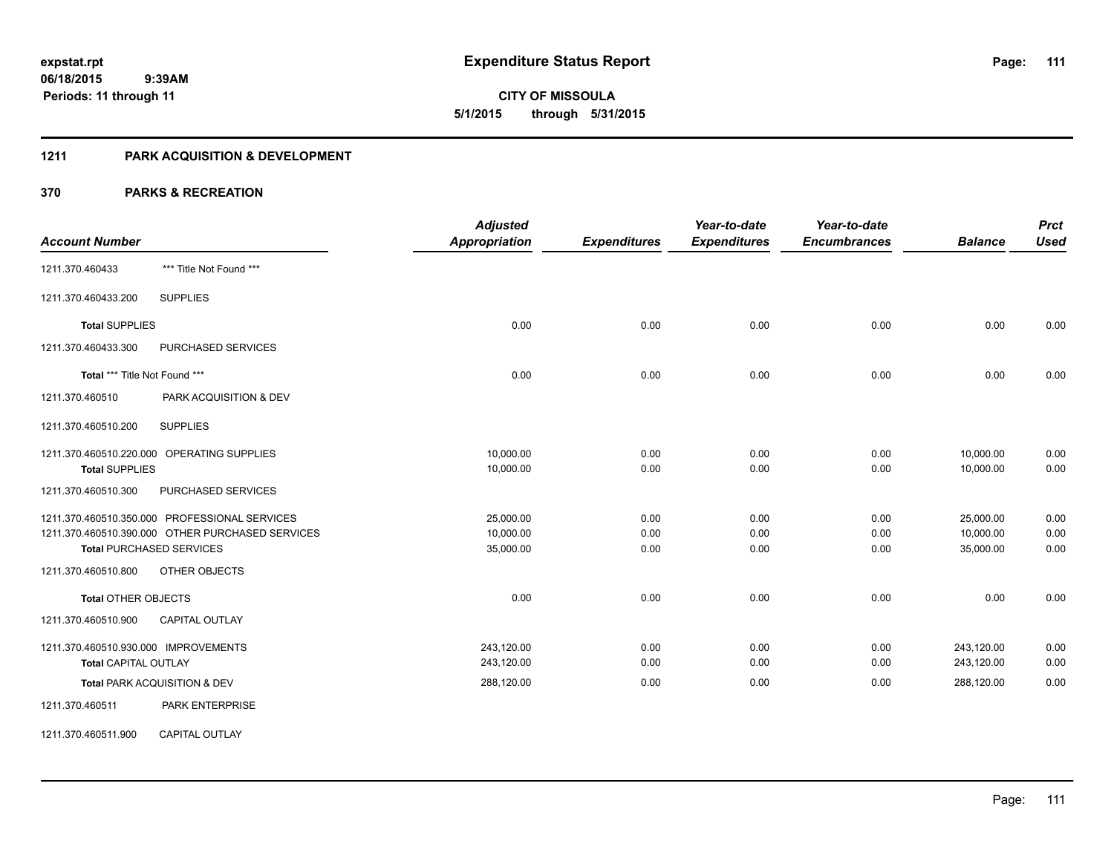**111**

**06/18/2015 9:39AM Periods: 11 through 11**

# **CITY OF MISSOULA 5/1/2015 through 5/31/2015**

### **1211 PARK ACQUISITION & DEVELOPMENT**

| <b>Account Number</b>                                                                                                                                                        | <b>Adjusted</b><br><b>Appropriation</b> | <b>Expenditures</b>  | Year-to-date<br><b>Expenditures</b> | Year-to-date<br><b>Encumbrances</b> | <b>Balance</b>                      | <b>Prct</b><br><b>Used</b> |
|------------------------------------------------------------------------------------------------------------------------------------------------------------------------------|-----------------------------------------|----------------------|-------------------------------------|-------------------------------------|-------------------------------------|----------------------------|
| *** Title Not Found ***<br>1211.370.460433                                                                                                                                   |                                         |                      |                                     |                                     |                                     |                            |
| <b>SUPPLIES</b><br>1211.370.460433.200                                                                                                                                       |                                         |                      |                                     |                                     |                                     |                            |
| <b>Total SUPPLIES</b>                                                                                                                                                        | 0.00                                    | 0.00                 | 0.00                                | 0.00                                | 0.00                                | 0.00                       |
| 1211.370.460433.300<br><b>PURCHASED SERVICES</b>                                                                                                                             |                                         |                      |                                     |                                     |                                     |                            |
| Total *** Title Not Found ***                                                                                                                                                | 0.00                                    | 0.00                 | 0.00                                | 0.00                                | 0.00                                | 0.00                       |
| 1211.370.460510<br>PARK ACQUISITION & DEV                                                                                                                                    |                                         |                      |                                     |                                     |                                     |                            |
| <b>SUPPLIES</b><br>1211.370.460510.200                                                                                                                                       |                                         |                      |                                     |                                     |                                     |                            |
| 1211.370.460510.220.000 OPERATING SUPPLIES<br><b>Total SUPPLIES</b>                                                                                                          | 10,000.00<br>10,000.00                  | 0.00<br>0.00         | 0.00<br>0.00                        | 0.00<br>0.00                        | 10,000.00<br>10,000.00              | 0.00<br>0.00               |
| 1211.370.460510.300<br>PURCHASED SERVICES                                                                                                                                    |                                         |                      |                                     |                                     |                                     |                            |
| 1211.370.460510.350.000 PROFESSIONAL SERVICES<br>1211.370.460510.390.000 OTHER PURCHASED SERVICES<br><b>Total PURCHASED SERVICES</b><br>1211.370.460510.800<br>OTHER OBJECTS | 25,000.00<br>10,000.00<br>35,000.00     | 0.00<br>0.00<br>0.00 | 0.00<br>0.00<br>0.00                | 0.00<br>0.00<br>0.00                | 25,000.00<br>10,000.00<br>35,000.00 | 0.00<br>0.00<br>0.00       |
| <b>Total OTHER OBJECTS</b>                                                                                                                                                   | 0.00                                    | 0.00                 | 0.00                                | 0.00                                | 0.00                                | 0.00                       |
| 1211.370.460510.900<br><b>CAPITAL OUTLAY</b>                                                                                                                                 |                                         |                      |                                     |                                     |                                     |                            |
| 1211.370.460510.930.000 IMPROVEMENTS<br><b>Total CAPITAL OUTLAY</b>                                                                                                          | 243,120.00<br>243,120.00                | 0.00<br>0.00         | 0.00<br>0.00                        | 0.00<br>0.00                        | 243,120.00<br>243,120.00            | 0.00<br>0.00               |
| Total PARK ACQUISITION & DEV                                                                                                                                                 | 288,120.00                              | 0.00                 | 0.00                                | 0.00                                | 288,120.00                          | 0.00                       |
| 1211.370.460511<br><b>PARK ENTERPRISE</b>                                                                                                                                    |                                         |                      |                                     |                                     |                                     |                            |
| <b>CAPITAL OUTLAY</b><br>1211.370.460511.900                                                                                                                                 |                                         |                      |                                     |                                     |                                     |                            |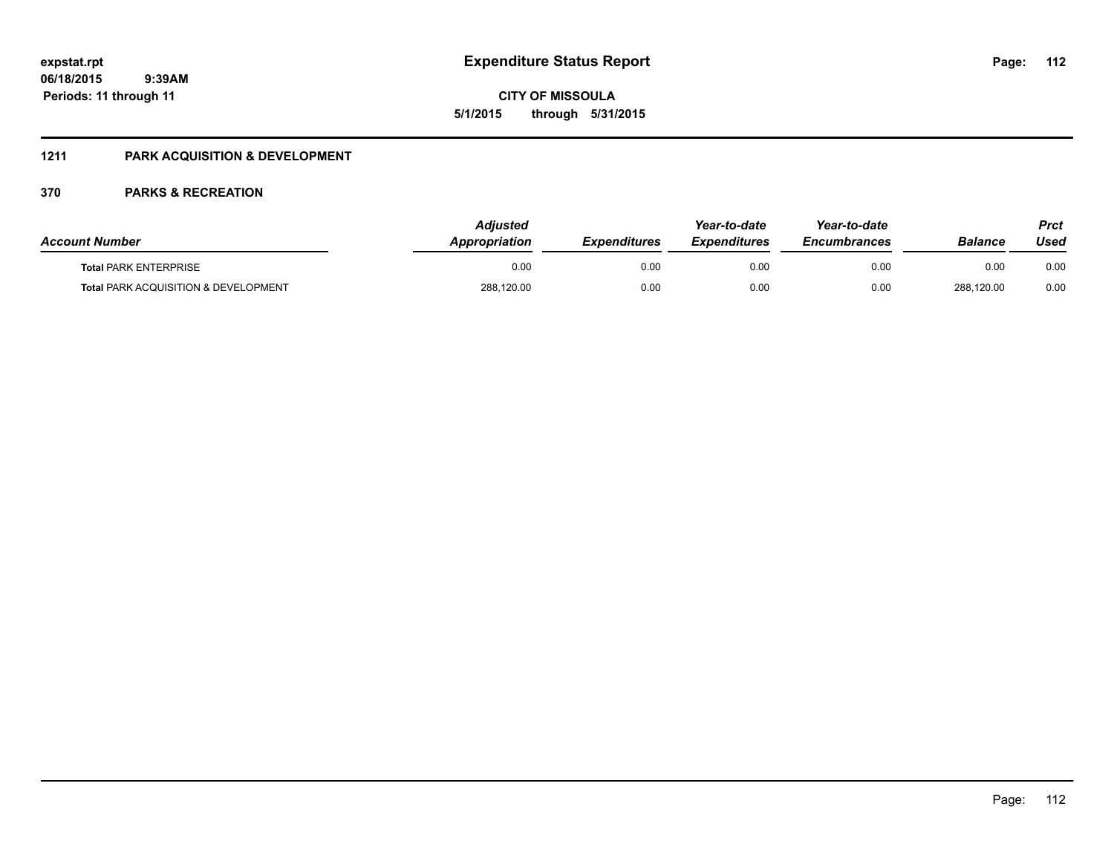**CITY OF MISSOULA 5/1/2015 through 5/31/2015**

### **1211 PARK ACQUISITION & DEVELOPMENT**

| <b>Account Number</b>                           | Adiusted<br>Appropriation | <b>Expenditures</b> | Year-to-date<br><b>Expenditures</b> | Year-to-date<br><b>Encumbrances</b> | <b>Balance</b> | Prct<br>Used |
|-------------------------------------------------|---------------------------|---------------------|-------------------------------------|-------------------------------------|----------------|--------------|
| <b>Total PARK ENTERPRISE</b>                    | 0.00                      | 0.00                | 0.00                                | 0.00                                | 0.00           | 0.00         |
| <b>Total PARK ACQUISITION &amp; DEVELOPMENT</b> | 288,120.00                | 0.00                | 0.00                                | 0.00                                | 288,120.00     | 0.00         |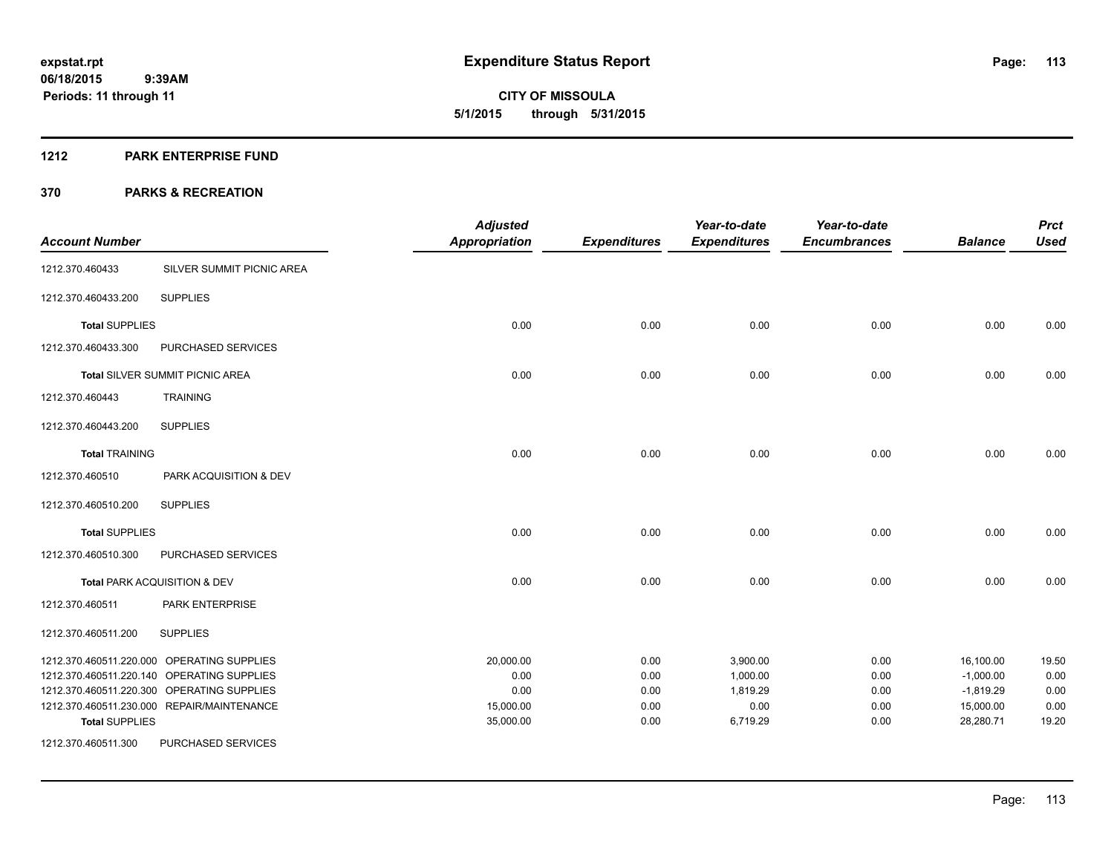#### **1212 PARK ENTERPRISE FUND**

| <b>Account Number</b> |                                            | <b>Adjusted</b><br><b>Appropriation</b> | <b>Expenditures</b> | Year-to-date<br><b>Expenditures</b> | Year-to-date<br><b>Encumbrances</b> | <b>Balance</b> | <b>Prct</b><br><b>Used</b> |
|-----------------------|--------------------------------------------|-----------------------------------------|---------------------|-------------------------------------|-------------------------------------|----------------|----------------------------|
| 1212.370.460433       | SILVER SUMMIT PICNIC AREA                  |                                         |                     |                                     |                                     |                |                            |
| 1212.370.460433.200   | <b>SUPPLIES</b>                            |                                         |                     |                                     |                                     |                |                            |
| <b>Total SUPPLIES</b> |                                            | 0.00                                    | 0.00                | 0.00                                | 0.00                                | 0.00           | 0.00                       |
| 1212.370.460433.300   | PURCHASED SERVICES                         |                                         |                     |                                     |                                     |                |                            |
|                       | Total SILVER SUMMIT PICNIC AREA            | 0.00                                    | 0.00                | 0.00                                | 0.00                                | 0.00           | 0.00                       |
| 1212.370.460443       | <b>TRAINING</b>                            |                                         |                     |                                     |                                     |                |                            |
| 1212.370.460443.200   | <b>SUPPLIES</b>                            |                                         |                     |                                     |                                     |                |                            |
| <b>Total TRAINING</b> |                                            | 0.00                                    | 0.00                | 0.00                                | 0.00                                | 0.00           | 0.00                       |
| 1212.370.460510       | PARK ACQUISITION & DEV                     |                                         |                     |                                     |                                     |                |                            |
| 1212.370.460510.200   | <b>SUPPLIES</b>                            |                                         |                     |                                     |                                     |                |                            |
| <b>Total SUPPLIES</b> |                                            | 0.00                                    | 0.00                | 0.00                                | 0.00                                | 0.00           | 0.00                       |
| 1212.370.460510.300   | PURCHASED SERVICES                         |                                         |                     |                                     |                                     |                |                            |
|                       | Total PARK ACQUISITION & DEV               | 0.00                                    | 0.00                | 0.00                                | 0.00                                | 0.00           | 0.00                       |
| 1212.370.460511       | PARK ENTERPRISE                            |                                         |                     |                                     |                                     |                |                            |
| 1212.370.460511.200   | <b>SUPPLIES</b>                            |                                         |                     |                                     |                                     |                |                            |
|                       | 1212.370.460511.220.000 OPERATING SUPPLIES | 20,000.00                               | 0.00                | 3,900.00                            | 0.00                                | 16,100.00      | 19.50                      |
|                       | 1212.370.460511.220.140 OPERATING SUPPLIES | 0.00                                    | 0.00                | 1,000.00                            | 0.00                                | $-1,000.00$    | 0.00                       |
|                       | 1212.370.460511.220.300 OPERATING SUPPLIES | 0.00                                    | 0.00                | 1,819.29                            | 0.00                                | $-1,819.29$    | 0.00                       |
|                       | 1212.370.460511.230.000 REPAIR/MAINTENANCE | 15,000.00                               | 0.00                | 0.00                                | 0.00                                | 15,000.00      | 0.00                       |
| <b>Total SUPPLIES</b> |                                            | 35,000.00                               | 0.00                | 6,719.29                            | 0.00                                | 28,280.71      | 19.20                      |
| 1212.370.460511.300   | PURCHASED SERVICES                         |                                         |                     |                                     |                                     |                |                            |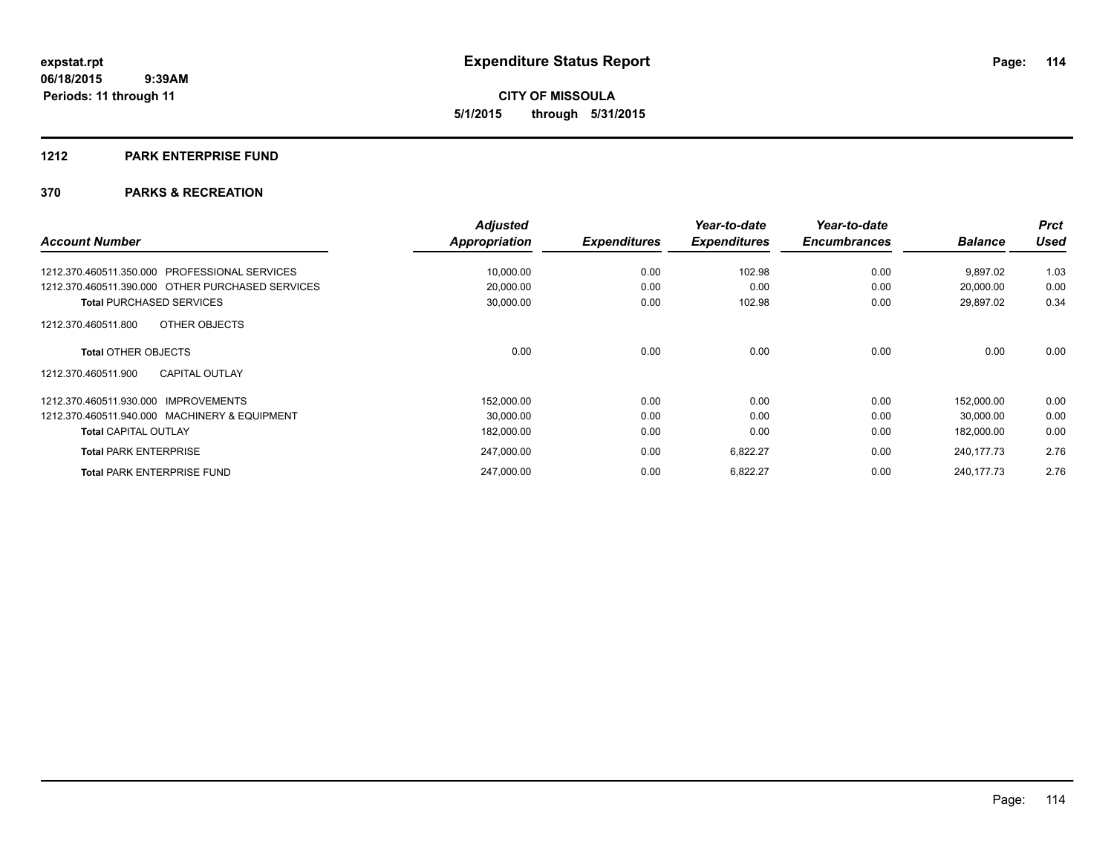#### **1212 PARK ENTERPRISE FUND**

|                                                  | <b>Adjusted</b> |                     | Year-to-date        | Year-to-date        |                | <b>Prct</b> |
|--------------------------------------------------|-----------------|---------------------|---------------------|---------------------|----------------|-------------|
| <b>Account Number</b>                            | Appropriation   | <b>Expenditures</b> | <b>Expenditures</b> | <b>Encumbrances</b> | <b>Balance</b> | Used        |
| 1212.370.460511.350.000 PROFESSIONAL SERVICES    | 10,000.00       | 0.00                | 102.98              | 0.00                | 9,897.02       | 1.03        |
| 1212.370.460511.390.000 OTHER PURCHASED SERVICES | 20,000.00       | 0.00                | 0.00                | 0.00                | 20,000.00      | 0.00        |
| <b>Total PURCHASED SERVICES</b>                  | 30,000.00       | 0.00                | 102.98              | 0.00                | 29,897.02      | 0.34        |
| OTHER OBJECTS<br>1212.370.460511.800             |                 |                     |                     |                     |                |             |
| <b>Total OTHER OBJECTS</b>                       | 0.00            | 0.00                | 0.00                | 0.00                | 0.00           | 0.00        |
| <b>CAPITAL OUTLAY</b><br>1212.370.460511.900     |                 |                     |                     |                     |                |             |
| 1212.370.460511.930.000 IMPROVEMENTS             | 152,000.00      | 0.00                | 0.00                | 0.00                | 152.000.00     | 0.00        |
| 1212.370.460511.940.000 MACHINERY & EQUIPMENT    | 30,000.00       | 0.00                | 0.00                | 0.00                | 30,000.00      | 0.00        |
| <b>Total CAPITAL OUTLAY</b>                      | 182,000.00      | 0.00                | 0.00                | 0.00                | 182,000.00     | 0.00        |
| <b>Total PARK ENTERPRISE</b>                     | 247,000.00      | 0.00                | 6,822.27            | 0.00                | 240, 177. 73   | 2.76        |
| <b>Total PARK ENTERPRISE FUND</b>                | 247.000.00      | 0.00                | 6,822.27            | 0.00                | 240, 177. 73   | 2.76        |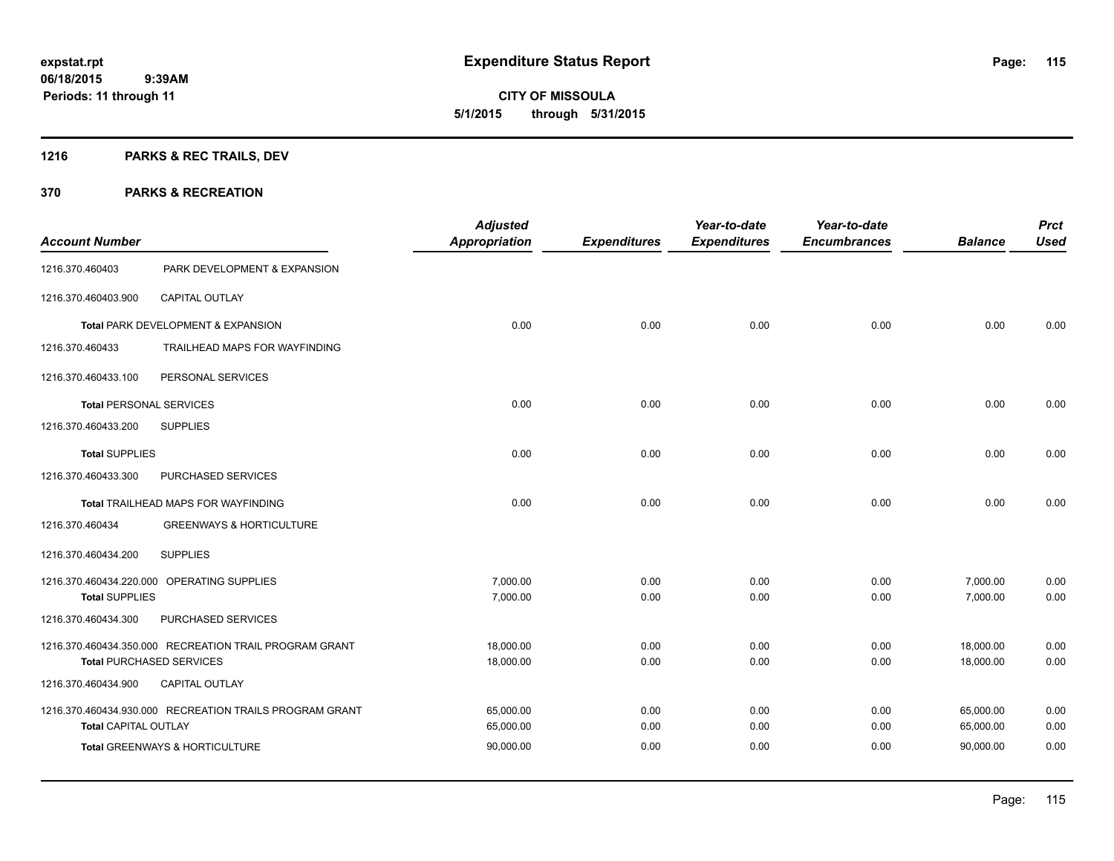## **1216 PARKS & REC TRAILS, DEV**

|                                |                                                         | <b>Adjusted</b>      |                     | Year-to-date        | Year-to-date        |                | <b>Prct</b> |
|--------------------------------|---------------------------------------------------------|----------------------|---------------------|---------------------|---------------------|----------------|-------------|
| <b>Account Number</b>          |                                                         | <b>Appropriation</b> | <b>Expenditures</b> | <b>Expenditures</b> | <b>Encumbrances</b> | <b>Balance</b> | <b>Used</b> |
| 1216.370.460403                | PARK DEVELOPMENT & EXPANSION                            |                      |                     |                     |                     |                |             |
| 1216.370.460403.900            | <b>CAPITAL OUTLAY</b>                                   |                      |                     |                     |                     |                |             |
|                                | Total PARK DEVELOPMENT & EXPANSION                      | 0.00                 | 0.00                | 0.00                | 0.00                | 0.00           | 0.00        |
| 1216.370.460433                | TRAILHEAD MAPS FOR WAYFINDING                           |                      |                     |                     |                     |                |             |
| 1216.370.460433.100            | PERSONAL SERVICES                                       |                      |                     |                     |                     |                |             |
| <b>Total PERSONAL SERVICES</b> |                                                         | 0.00                 | 0.00                | 0.00                | 0.00                | 0.00           | 0.00        |
| 1216.370.460433.200            | <b>SUPPLIES</b>                                         |                      |                     |                     |                     |                |             |
| <b>Total SUPPLIES</b>          |                                                         | 0.00                 | 0.00                | 0.00                | 0.00                | 0.00           | 0.00        |
| 1216.370.460433.300            | PURCHASED SERVICES                                      |                      |                     |                     |                     |                |             |
|                                | Total TRAILHEAD MAPS FOR WAYFINDING                     | 0.00                 | 0.00                | 0.00                | 0.00                | 0.00           | 0.00        |
| 1216.370.460434                | <b>GREENWAYS &amp; HORTICULTURE</b>                     |                      |                     |                     |                     |                |             |
| 1216.370.460434.200            | <b>SUPPLIES</b>                                         |                      |                     |                     |                     |                |             |
|                                | 1216.370.460434.220.000 OPERATING SUPPLIES              | 7,000.00             | 0.00                | 0.00                | 0.00                | 7,000.00       | 0.00        |
| <b>Total SUPPLIES</b>          |                                                         | 7,000.00             | 0.00                | 0.00                | 0.00                | 7,000.00       | 0.00        |
| 1216.370.460434.300            | PURCHASED SERVICES                                      |                      |                     |                     |                     |                |             |
|                                | 1216.370.460434.350.000 RECREATION TRAIL PROGRAM GRANT  | 18,000.00            | 0.00                | 0.00                | 0.00                | 18,000.00      | 0.00        |
|                                | <b>Total PURCHASED SERVICES</b>                         | 18,000.00            | 0.00                | 0.00                | 0.00                | 18,000.00      | 0.00        |
| 1216.370.460434.900            | <b>CAPITAL OUTLAY</b>                                   |                      |                     |                     |                     |                |             |
|                                | 1216.370.460434.930.000 RECREATION TRAILS PROGRAM GRANT | 65,000.00            | 0.00                | 0.00                | 0.00                | 65,000.00      | 0.00        |
| <b>Total CAPITAL OUTLAY</b>    |                                                         | 65,000.00            | 0.00                | 0.00                | 0.00                | 65,000.00      | 0.00        |
|                                | <b>Total GREENWAYS &amp; HORTICULTURE</b>               | 90,000.00            | 0.00                | 0.00                | 0.00                | 90.000.00      | 0.00        |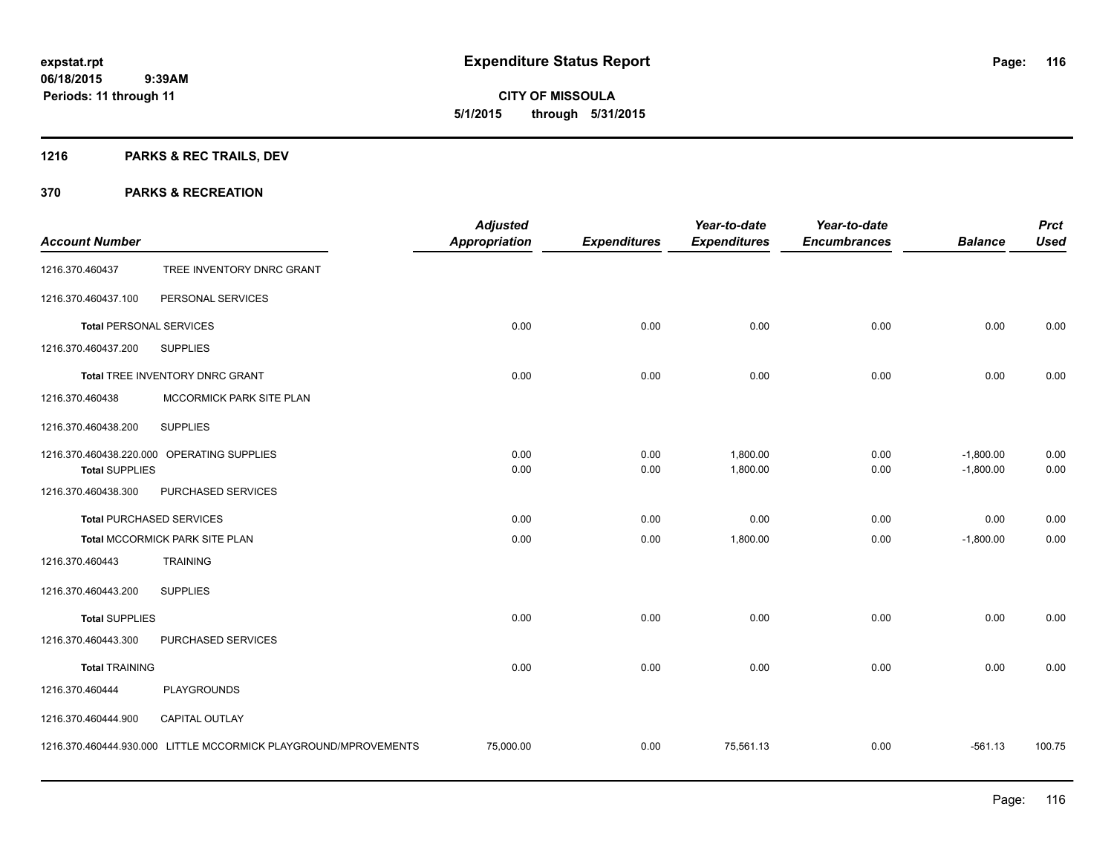Page: 116

**06/18/2015 9:39AM Periods: 11 through 11**

# **CITY OF MISSOULA 5/1/2015 through 5/31/2015**

## **1216 PARKS & REC TRAILS, DEV**

| <b>Account Number</b>          |                                                                 | <b>Adjusted</b><br><b>Appropriation</b> | <b>Expenditures</b> | Year-to-date<br><b>Expenditures</b> | Year-to-date<br><b>Encumbrances</b> | <b>Balance</b>             | <b>Prct</b><br><b>Used</b> |
|--------------------------------|-----------------------------------------------------------------|-----------------------------------------|---------------------|-------------------------------------|-------------------------------------|----------------------------|----------------------------|
| 1216.370.460437                | TREE INVENTORY DNRC GRANT                                       |                                         |                     |                                     |                                     |                            |                            |
| 1216.370.460437.100            | PERSONAL SERVICES                                               |                                         |                     |                                     |                                     |                            |                            |
| <b>Total PERSONAL SERVICES</b> |                                                                 | 0.00                                    | 0.00                | 0.00                                | 0.00                                | 0.00                       | 0.00                       |
| 1216.370.460437.200            | <b>SUPPLIES</b>                                                 |                                         |                     |                                     |                                     |                            |                            |
|                                | Total TREE INVENTORY DNRC GRANT                                 | 0.00                                    | 0.00                | 0.00                                | 0.00                                | 0.00                       | 0.00                       |
| 1216.370.460438                | MCCORMICK PARK SITE PLAN                                        |                                         |                     |                                     |                                     |                            |                            |
| 1216.370.460438.200            | <b>SUPPLIES</b>                                                 |                                         |                     |                                     |                                     |                            |                            |
| <b>Total SUPPLIES</b>          | 1216.370.460438.220.000 OPERATING SUPPLIES                      | 0.00<br>0.00                            | 0.00<br>0.00        | 1,800.00<br>1,800.00                | 0.00<br>0.00                        | $-1,800.00$<br>$-1,800.00$ | 0.00<br>0.00               |
| 1216.370.460438.300            | PURCHASED SERVICES                                              |                                         |                     |                                     |                                     |                            |                            |
|                                | <b>Total PURCHASED SERVICES</b>                                 | 0.00                                    | 0.00                | 0.00                                | 0.00                                | 0.00                       | 0.00                       |
|                                | Total MCCORMICK PARK SITE PLAN                                  | 0.00                                    | 0.00                | 1,800.00                            | 0.00                                | $-1,800.00$                | 0.00                       |
| 1216.370.460443                | <b>TRAINING</b>                                                 |                                         |                     |                                     |                                     |                            |                            |
| 1216.370.460443.200            | <b>SUPPLIES</b>                                                 |                                         |                     |                                     |                                     |                            |                            |
| <b>Total SUPPLIES</b>          |                                                                 | 0.00                                    | 0.00                | 0.00                                | 0.00                                | 0.00                       | 0.00                       |
| 1216.370.460443.300            | PURCHASED SERVICES                                              |                                         |                     |                                     |                                     |                            |                            |
| <b>Total TRAINING</b>          |                                                                 | 0.00                                    | 0.00                | 0.00                                | 0.00                                | 0.00                       | 0.00                       |
| 1216.370.460444                | <b>PLAYGROUNDS</b>                                              |                                         |                     |                                     |                                     |                            |                            |
| 1216.370.460444.900            | <b>CAPITAL OUTLAY</b>                                           |                                         |                     |                                     |                                     |                            |                            |
|                                | 1216.370.460444.930.000 LITTLE MCCORMICK PLAYGROUND/MPROVEMENTS | 75,000.00                               | 0.00                | 75,561.13                           | 0.00                                | $-561.13$                  | 100.75                     |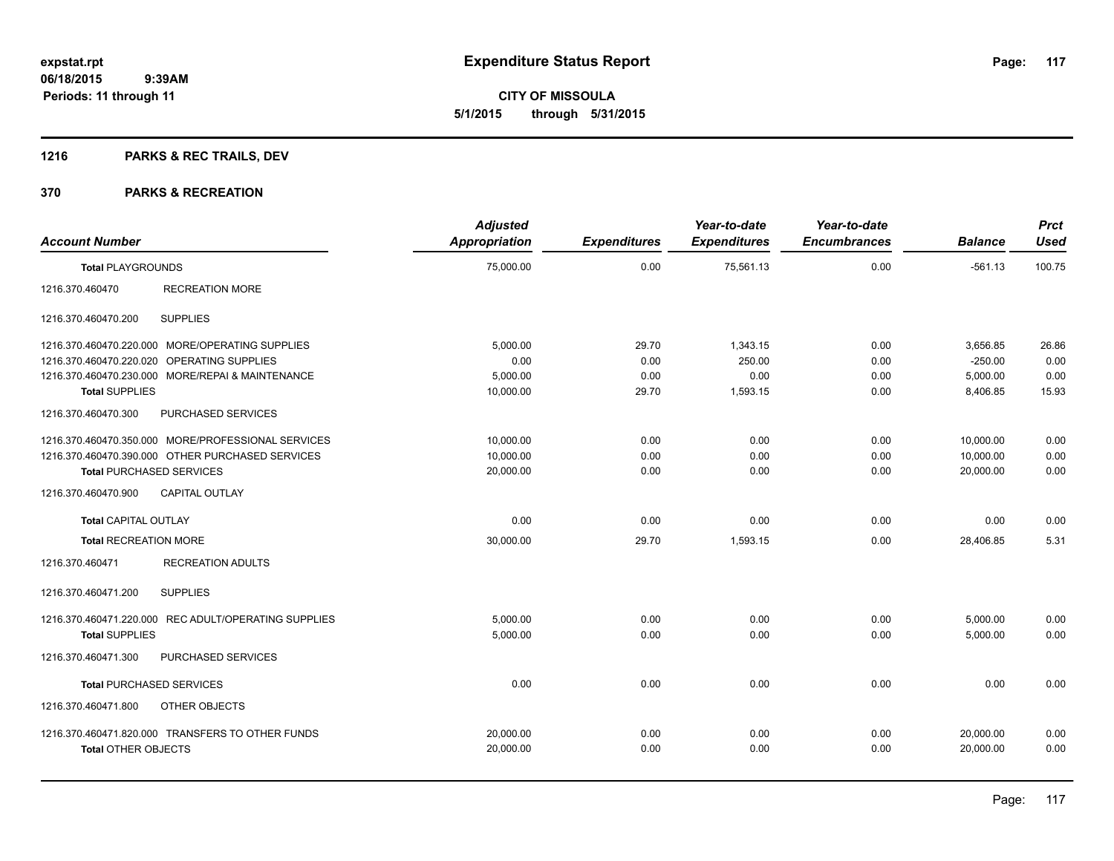**CITY OF MISSOULA 5/1/2015 through 5/31/2015**

## **1216 PARKS & REC TRAILS, DEV**

| <b>Account Number</b>                                | <b>Adjusted</b><br><b>Appropriation</b> | <b>Expenditures</b> | Year-to-date<br><b>Expenditures</b> | Year-to-date<br><b>Encumbrances</b> | <b>Balance</b> | <b>Prct</b><br><b>Used</b> |
|------------------------------------------------------|-----------------------------------------|---------------------|-------------------------------------|-------------------------------------|----------------|----------------------------|
| <b>Total PLAYGROUNDS</b>                             | 75,000.00                               | 0.00                | 75,561.13                           | 0.00                                | $-561.13$      | 100.75                     |
| <b>RECREATION MORE</b><br>1216.370.460470            |                                         |                     |                                     |                                     |                |                            |
| 1216.370.460470.200<br><b>SUPPLIES</b>               |                                         |                     |                                     |                                     |                |                            |
| 1216.370.460470.220.000 MORE/OPERATING SUPPLIES      | 5,000.00                                | 29.70               | 1,343.15                            | 0.00                                | 3,656.85       | 26.86                      |
| 1216.370.460470.220.020 OPERATING SUPPLIES           | 0.00                                    | 0.00                | 250.00                              | 0.00                                | $-250.00$      | 0.00                       |
| 1216.370.460470.230.000 MORE/REPAI & MAINTENANCE     | 5.000.00                                | 0.00                | 0.00                                | 0.00                                | 5,000.00       | 0.00                       |
| <b>Total SUPPLIES</b>                                | 10,000.00                               | 29.70               | 1,593.15                            | 0.00                                | 8,406.85       | 15.93                      |
| PURCHASED SERVICES<br>1216.370.460470.300            |                                         |                     |                                     |                                     |                |                            |
| 1216.370.460470.350.000 MORE/PROFESSIONAL SERVICES   | 10,000.00                               | 0.00                | 0.00                                | 0.00                                | 10,000.00      | 0.00                       |
| 1216.370.460470.390.000 OTHER PURCHASED SERVICES     | 10,000.00                               | 0.00                | 0.00                                | 0.00                                | 10,000.00      | 0.00                       |
| <b>Total PURCHASED SERVICES</b>                      | 20,000.00                               | 0.00                | 0.00                                | 0.00                                | 20,000.00      | 0.00                       |
| 1216.370.460470.900<br><b>CAPITAL OUTLAY</b>         |                                         |                     |                                     |                                     |                |                            |
| <b>Total CAPITAL OUTLAY</b>                          | 0.00                                    | 0.00                | 0.00                                | 0.00                                | 0.00           | 0.00                       |
| <b>Total RECREATION MORE</b>                         | 30,000.00                               | 29.70               | 1,593.15                            | 0.00                                | 28,406.85      | 5.31                       |
| <b>RECREATION ADULTS</b><br>1216.370.460471          |                                         |                     |                                     |                                     |                |                            |
| 1216.370.460471.200<br><b>SUPPLIES</b>               |                                         |                     |                                     |                                     |                |                            |
| 1216.370.460471.220.000 REC ADULT/OPERATING SUPPLIES | 5,000.00                                | 0.00                | 0.00                                | 0.00                                | 5,000.00       | 0.00                       |
| <b>Total SUPPLIES</b>                                | 5,000.00                                | 0.00                | 0.00                                | 0.00                                | 5,000.00       | 0.00                       |
| 1216.370.460471.300<br>PURCHASED SERVICES            |                                         |                     |                                     |                                     |                |                            |
| <b>Total PURCHASED SERVICES</b>                      | 0.00                                    | 0.00                | 0.00                                | 0.00                                | 0.00           | 0.00                       |
| 1216.370.460471.800<br>OTHER OBJECTS                 |                                         |                     |                                     |                                     |                |                            |
| 1216.370.460471.820.000 TRANSFERS TO OTHER FUNDS     | 20,000.00                               | 0.00                | 0.00                                | 0.00                                | 20,000.00      | 0.00                       |
| <b>Total OTHER OBJECTS</b>                           | 20,000.00                               | 0.00                | 0.00                                | 0.00                                | 20,000.00      | 0.00                       |
|                                                      |                                         |                     |                                     |                                     |                |                            |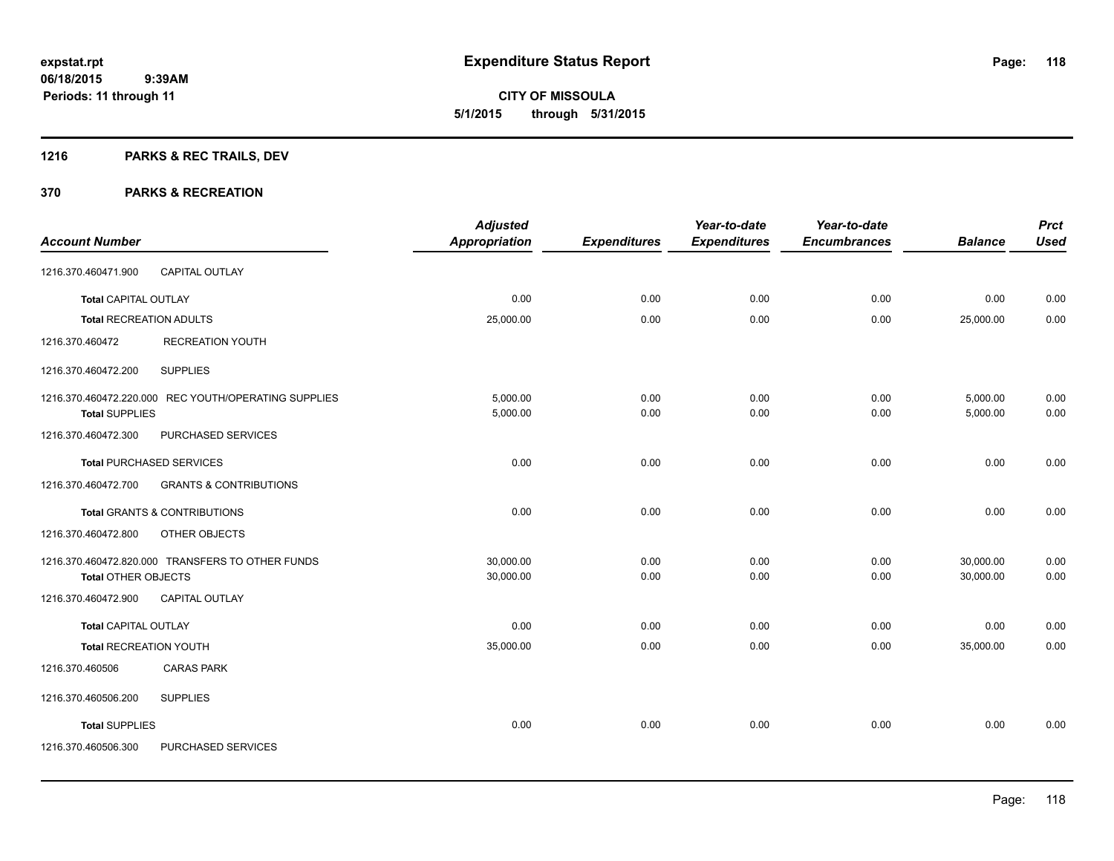**CITY OF MISSOULA 5/1/2015 through 5/31/2015**

## **1216 PARKS & REC TRAILS, DEV**

|                                |                                                      | <b>Adjusted</b>      |                     | Year-to-date        | Year-to-date        |                | <b>Prct</b> |
|--------------------------------|------------------------------------------------------|----------------------|---------------------|---------------------|---------------------|----------------|-------------|
| <b>Account Number</b>          |                                                      | <b>Appropriation</b> | <b>Expenditures</b> | <b>Expenditures</b> | <b>Encumbrances</b> | <b>Balance</b> | <b>Used</b> |
| 1216.370.460471.900            | <b>CAPITAL OUTLAY</b>                                |                      |                     |                     |                     |                |             |
| <b>Total CAPITAL OUTLAY</b>    |                                                      | 0.00                 | 0.00                | 0.00                | 0.00                | 0.00           | 0.00        |
| <b>Total RECREATION ADULTS</b> |                                                      | 25,000.00            | 0.00                | 0.00                | 0.00                | 25,000.00      | 0.00        |
| 1216.370.460472                | <b>RECREATION YOUTH</b>                              |                      |                     |                     |                     |                |             |
| 1216.370.460472.200            | <b>SUPPLIES</b>                                      |                      |                     |                     |                     |                |             |
|                                | 1216.370.460472.220.000 REC YOUTH/OPERATING SUPPLIES | 5,000.00             | 0.00                | 0.00                | 0.00                | 5,000.00       | 0.00        |
| <b>Total SUPPLIES</b>          |                                                      | 5,000.00             | 0.00                | 0.00                | 0.00                | 5,000.00       | 0.00        |
| 1216.370.460472.300            | PURCHASED SERVICES                                   |                      |                     |                     |                     |                |             |
|                                | <b>Total PURCHASED SERVICES</b>                      | 0.00                 | 0.00                | 0.00                | 0.00                | 0.00           | 0.00        |
| 1216.370.460472.700            | <b>GRANTS &amp; CONTRIBUTIONS</b>                    |                      |                     |                     |                     |                |             |
|                                | <b>Total GRANTS &amp; CONTRIBUTIONS</b>              | 0.00                 | 0.00                | 0.00                | 0.00                | 0.00           | 0.00        |
| 1216.370.460472.800            | OTHER OBJECTS                                        |                      |                     |                     |                     |                |             |
|                                | 1216.370.460472.820.000 TRANSFERS TO OTHER FUNDS     | 30,000.00            | 0.00                | 0.00                | 0.00                | 30,000.00      | 0.00        |
| Total OTHER OBJECTS            |                                                      | 30,000.00            | 0.00                | 0.00                | 0.00                | 30,000.00      | 0.00        |
| 1216.370.460472.900            | <b>CAPITAL OUTLAY</b>                                |                      |                     |                     |                     |                |             |
| <b>Total CAPITAL OUTLAY</b>    |                                                      | 0.00                 | 0.00                | 0.00                | 0.00                | 0.00           | 0.00        |
| <b>Total RECREATION YOUTH</b>  |                                                      | 35,000.00            | 0.00                | 0.00                | 0.00                | 35,000.00      | 0.00        |
| 1216.370.460506                | <b>CARAS PARK</b>                                    |                      |                     |                     |                     |                |             |
| 1216.370.460506.200            | <b>SUPPLIES</b>                                      |                      |                     |                     |                     |                |             |
| <b>Total SUPPLIES</b>          |                                                      | 0.00                 | 0.00                | 0.00                | 0.00                | 0.00           | 0.00        |
| 1216.370.460506.300            | PURCHASED SERVICES                                   |                      |                     |                     |                     |                |             |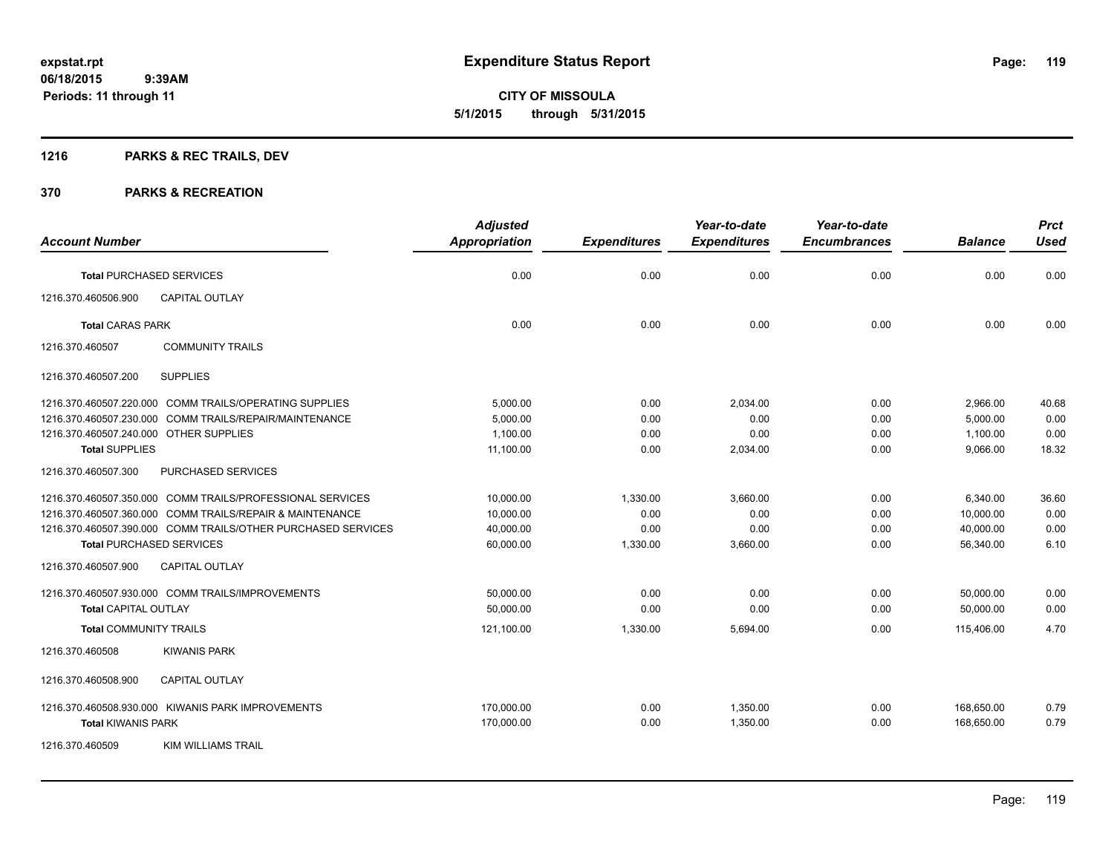## **1216 PARKS & REC TRAILS, DEV**

|                                                              | <b>Adjusted</b>      |                     | Year-to-date        | Year-to-date        |                | <b>Prct</b> |
|--------------------------------------------------------------|----------------------|---------------------|---------------------|---------------------|----------------|-------------|
| <b>Account Number</b>                                        | <b>Appropriation</b> | <b>Expenditures</b> | <b>Expenditures</b> | <b>Encumbrances</b> | <b>Balance</b> | <b>Used</b> |
| <b>Total PURCHASED SERVICES</b>                              | 0.00                 | 0.00                | 0.00                | 0.00                | 0.00           | 0.00        |
| CAPITAL OUTLAY<br>1216.370.460506.900                        |                      |                     |                     |                     |                |             |
| <b>Total CARAS PARK</b>                                      | 0.00                 | 0.00                | 0.00                | 0.00                | 0.00           | 0.00        |
| <b>COMMUNITY TRAILS</b><br>1216.370.460507                   |                      |                     |                     |                     |                |             |
| <b>SUPPLIES</b><br>1216.370.460507.200                       |                      |                     |                     |                     |                |             |
| 1216.370.460507.220.000 COMM TRAILS/OPERATING SUPPLIES       | 5,000.00             | 0.00                | 2,034.00            | 0.00                | 2,966.00       | 40.68       |
| 1216.370.460507.230.000 COMM TRAILS/REPAIR/MAINTENANCE       | 5,000.00             | 0.00                | 0.00                | 0.00                | 5,000.00       | 0.00        |
| 1216.370.460507.240.000 OTHER SUPPLIES                       | 1,100.00             | 0.00                | 0.00                | 0.00                | 1,100.00       | 0.00        |
| <b>Total SUPPLIES</b>                                        | 11,100.00            | 0.00                | 2,034.00            | 0.00                | 9,066.00       | 18.32       |
| 1216.370.460507.300<br>PURCHASED SERVICES                    |                      |                     |                     |                     |                |             |
| 1216.370.460507.350.000 COMM TRAILS/PROFESSIONAL SERVICES    | 10,000.00            | 1,330.00            | 3,660.00            | 0.00                | 6,340.00       | 36.60       |
| 1216.370.460507.360.000 COMM TRAILS/REPAIR & MAINTENANCE     | 10,000.00            | 0.00                | 0.00                | 0.00                | 10,000.00      | 0.00        |
| 1216.370.460507.390.000 COMM TRAILS/OTHER PURCHASED SERVICES | 40,000.00            | 0.00                | 0.00                | 0.00                | 40,000.00      | 0.00        |
| <b>Total PURCHASED SERVICES</b>                              | 60,000.00            | 1,330.00            | 3,660.00            | 0.00                | 56,340.00      | 6.10        |
| <b>CAPITAL OUTLAY</b><br>1216.370.460507.900                 |                      |                     |                     |                     |                |             |
| 1216.370.460507.930.000 COMM TRAILS/IMPROVEMENTS             | 50,000.00            | 0.00                | 0.00                | 0.00                | 50,000.00      | 0.00        |
| <b>Total CAPITAL OUTLAY</b>                                  | 50.000.00            | 0.00                | 0.00                | 0.00                | 50.000.00      | 0.00        |
| <b>Total COMMUNITY TRAILS</b>                                | 121,100.00           | 1,330.00            | 5,694.00            | 0.00                | 115,406.00     | 4.70        |
| 1216.370.460508<br><b>KIWANIS PARK</b>                       |                      |                     |                     |                     |                |             |
| 1216.370.460508.900<br><b>CAPITAL OUTLAY</b>                 |                      |                     |                     |                     |                |             |
| 1216.370.460508.930.000 KIWANIS PARK IMPROVEMENTS            | 170,000.00           | 0.00                | 1,350.00            | 0.00                | 168,650.00     | 0.79        |
| <b>Total KIWANIS PARK</b>                                    | 170,000.00           | 0.00                | 1,350.00            | 0.00                | 168,650.00     | 0.79        |
| 1216.370.460509<br><b>KIM WILLIAMS TRAIL</b>                 |                      |                     |                     |                     |                |             |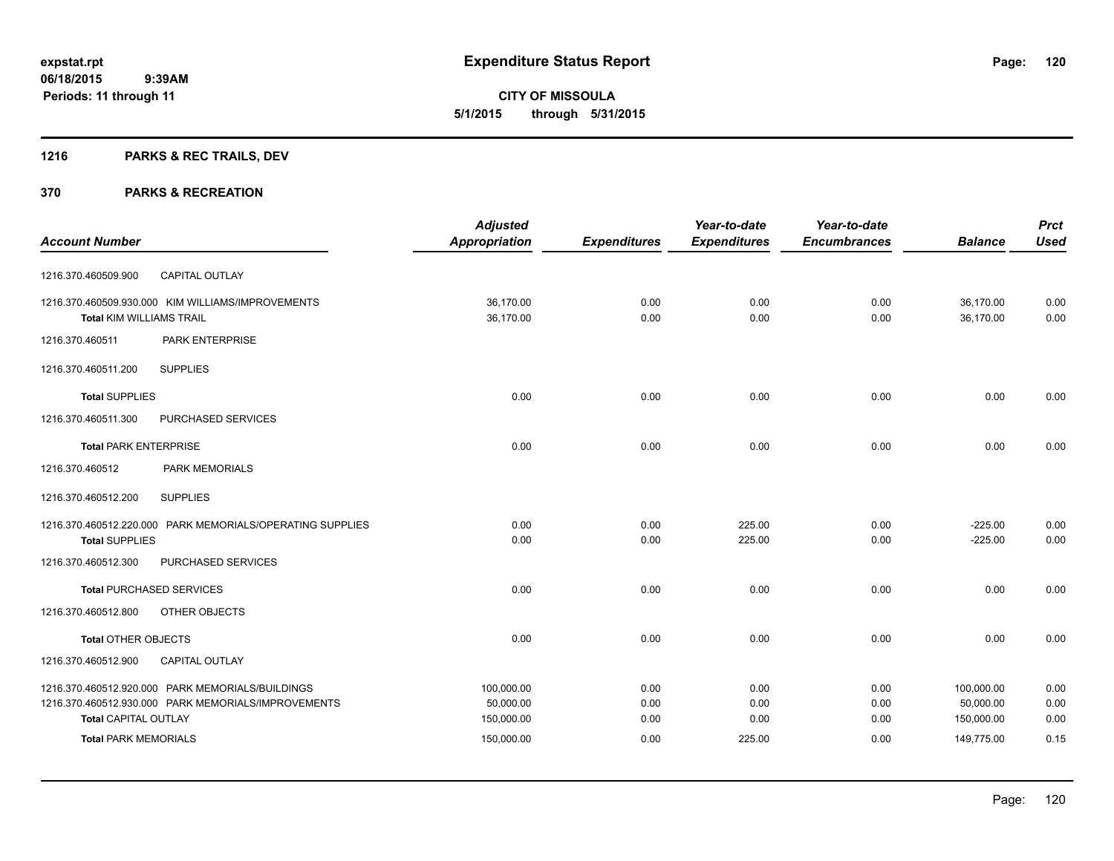## **1216 PARKS & REC TRAILS, DEV**

|                                 |                                                           | <b>Adjusted</b>      |                     | Year-to-date        | Year-to-date        |                | <b>Prct</b> |
|---------------------------------|-----------------------------------------------------------|----------------------|---------------------|---------------------|---------------------|----------------|-------------|
| <b>Account Number</b>           |                                                           | <b>Appropriation</b> | <b>Expenditures</b> | <b>Expenditures</b> | <b>Encumbrances</b> | <b>Balance</b> | <b>Used</b> |
| 1216.370.460509.900             | CAPITAL OUTLAY                                            |                      |                     |                     |                     |                |             |
|                                 | 1216.370.460509.930.000 KIM WILLIAMS/IMPROVEMENTS         | 36,170.00            | 0.00                | 0.00                | 0.00                | 36,170.00      | 0.00        |
| <b>Total KIM WILLIAMS TRAIL</b> |                                                           | 36,170.00            | 0.00                | 0.00                | 0.00                | 36,170.00      | 0.00        |
| 1216.370.460511                 | PARK ENTERPRISE                                           |                      |                     |                     |                     |                |             |
| 1216.370.460511.200             | <b>SUPPLIES</b>                                           |                      |                     |                     |                     |                |             |
| <b>Total SUPPLIES</b>           |                                                           | 0.00                 | 0.00                | 0.00                | 0.00                | 0.00           | 0.00        |
| 1216.370.460511.300             | PURCHASED SERVICES                                        |                      |                     |                     |                     |                |             |
| <b>Total PARK ENTERPRISE</b>    |                                                           | 0.00                 | 0.00                | 0.00                | 0.00                | 0.00           | 0.00        |
| 1216.370.460512                 | <b>PARK MEMORIALS</b>                                     |                      |                     |                     |                     |                |             |
| 1216.370.460512.200             | <b>SUPPLIES</b>                                           |                      |                     |                     |                     |                |             |
|                                 | 1216.370.460512.220.000 PARK MEMORIALS/OPERATING SUPPLIES | 0.00                 | 0.00                | 225.00              | 0.00                | $-225.00$      | 0.00        |
| <b>Total SUPPLIES</b>           |                                                           | 0.00                 | 0.00                | 225.00              | 0.00                | $-225.00$      | 0.00        |
| 1216.370.460512.300             | PURCHASED SERVICES                                        |                      |                     |                     |                     |                |             |
|                                 | <b>Total PURCHASED SERVICES</b>                           | 0.00                 | 0.00                | 0.00                | 0.00                | 0.00           | 0.00        |
| 1216.370.460512.800             | OTHER OBJECTS                                             |                      |                     |                     |                     |                |             |
| <b>Total OTHER OBJECTS</b>      |                                                           | 0.00                 | 0.00                | 0.00                | 0.00                | 0.00           | 0.00        |
| 1216.370.460512.900             | <b>CAPITAL OUTLAY</b>                                     |                      |                     |                     |                     |                |             |
|                                 | 1216.370.460512.920.000 PARK MEMORIALS/BUILDINGS          | 100.000.00           | 0.00                | 0.00                | 0.00                | 100.000.00     | 0.00        |
|                                 | 1216.370.460512.930.000 PARK MEMORIALS/IMPROVEMENTS       | 50,000.00            | 0.00                | 0.00                | 0.00                | 50,000.00      | 0.00        |
| <b>Total CAPITAL OUTLAY</b>     |                                                           | 150,000.00           | 0.00                | 0.00                | 0.00                | 150,000.00     | 0.00        |
| <b>Total PARK MEMORIALS</b>     |                                                           | 150,000.00           | 0.00                | 225.00              | 0.00                | 149,775.00     | 0.15        |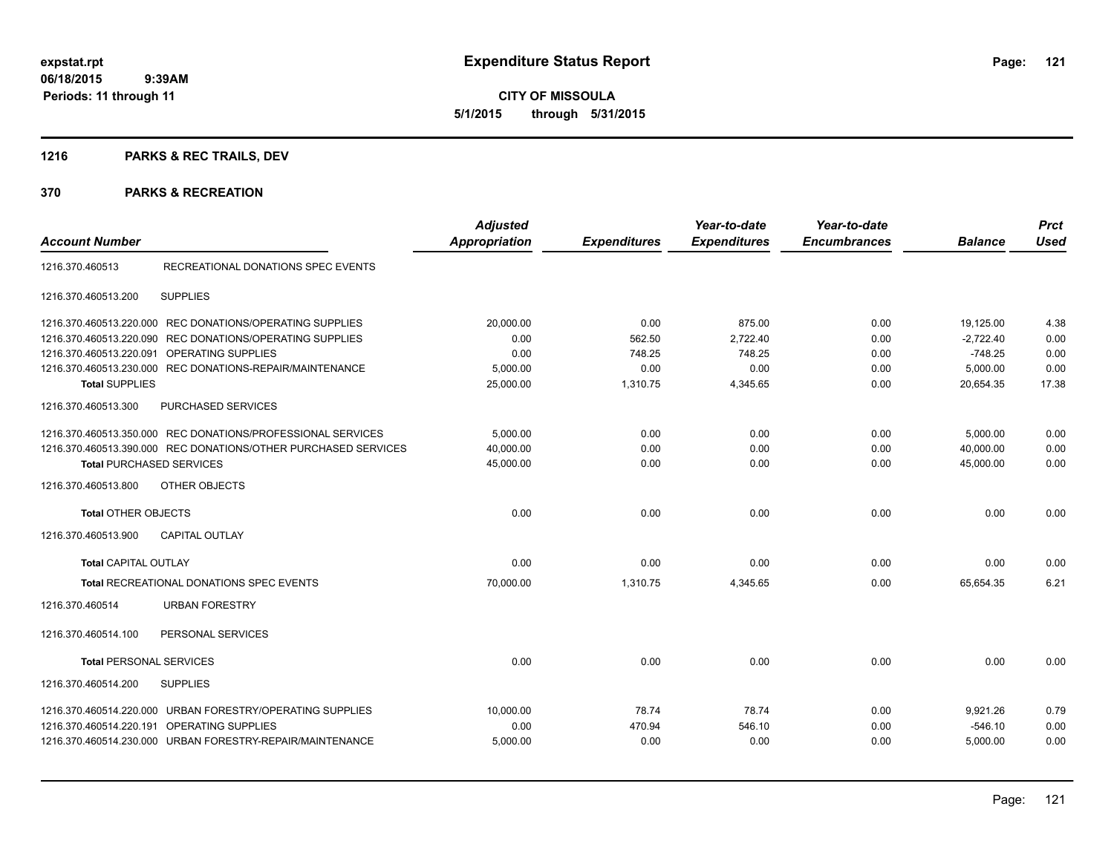## **1216 PARKS & REC TRAILS, DEV**

| <b>Account Number</b>           |                                                                | <b>Adjusted</b><br><b>Appropriation</b> | <b>Expenditures</b> | Year-to-date<br><b>Expenditures</b> | Year-to-date<br><b>Encumbrances</b> | <b>Balance</b> | <b>Prct</b><br><b>Used</b> |
|---------------------------------|----------------------------------------------------------------|-----------------------------------------|---------------------|-------------------------------------|-------------------------------------|----------------|----------------------------|
| 1216.370.460513                 | RECREATIONAL DONATIONS SPEC EVENTS                             |                                         |                     |                                     |                                     |                |                            |
| 1216.370.460513.200             | <b>SUPPLIES</b>                                                |                                         |                     |                                     |                                     |                |                            |
| 1216.370.460513.220.000         | REC DONATIONS/OPERATING SUPPLIES                               | 20,000.00                               | 0.00                | 875.00                              | 0.00                                | 19,125.00      | 4.38                       |
| 1216.370.460513.220.090         | REC DONATIONS/OPERATING SUPPLIES                               | 0.00                                    | 562.50              | 2,722.40                            | 0.00                                | $-2,722.40$    | 0.00                       |
|                                 | 1216.370.460513.220.091 OPERATING SUPPLIES                     | 0.00                                    | 748.25              | 748.25                              | 0.00                                | $-748.25$      | 0.00                       |
|                                 | 1216.370.460513.230.000 REC DONATIONS-REPAIR/MAINTENANCE       | 5,000.00                                | 0.00                | 0.00                                | 0.00                                | 5,000.00       | 0.00                       |
| <b>Total SUPPLIES</b>           |                                                                | 25,000.00                               | 1,310.75            | 4,345.65                            | 0.00                                | 20,654.35      | 17.38                      |
| 1216.370.460513.300             | <b>PURCHASED SERVICES</b>                                      |                                         |                     |                                     |                                     |                |                            |
|                                 | 1216.370.460513.350.000 REC DONATIONS/PROFESSIONAL SERVICES    | 5,000.00                                | 0.00                | 0.00                                | 0.00                                | 5,000.00       | 0.00                       |
|                                 | 1216.370.460513.390.000 REC DONATIONS/OTHER PURCHASED SERVICES | 40,000.00                               | 0.00                | 0.00                                | 0.00                                | 40,000.00      | 0.00                       |
| <b>Total PURCHASED SERVICES</b> |                                                                | 45,000.00                               | 0.00                | 0.00                                | 0.00                                | 45.000.00      | 0.00                       |
| 1216.370.460513.800             | <b>OTHER OBJECTS</b>                                           |                                         |                     |                                     |                                     |                |                            |
| <b>Total OTHER OBJECTS</b>      |                                                                | 0.00                                    | 0.00                | 0.00                                | 0.00                                | 0.00           | 0.00                       |
| 1216.370.460513.900             | <b>CAPITAL OUTLAY</b>                                          |                                         |                     |                                     |                                     |                |                            |
| <b>Total CAPITAL OUTLAY</b>     |                                                                | 0.00                                    | 0.00                | 0.00                                | 0.00                                | 0.00           | 0.00                       |
|                                 | <b>Total RECREATIONAL DONATIONS SPEC EVENTS</b>                | 70,000.00                               | 1.310.75            | 4,345.65                            | 0.00                                | 65.654.35      | 6.21                       |
| 1216.370.460514                 | <b>URBAN FORESTRY</b>                                          |                                         |                     |                                     |                                     |                |                            |
| 1216.370.460514.100             | PERSONAL SERVICES                                              |                                         |                     |                                     |                                     |                |                            |
| <b>Total PERSONAL SERVICES</b>  |                                                                | 0.00                                    | 0.00                | 0.00                                | 0.00                                | 0.00           | 0.00                       |
| 1216.370.460514.200             | <b>SUPPLIES</b>                                                |                                         |                     |                                     |                                     |                |                            |
|                                 | 1216.370.460514.220.000 URBAN FORESTRY/OPERATING SUPPLIES      | 10,000.00                               | 78.74               | 78.74                               | 0.00                                | 9,921.26       | 0.79                       |
| 1216.370.460514.220.191         | OPERATING SUPPLIES                                             | 0.00                                    | 470.94              | 546.10                              | 0.00                                | $-546.10$      | 0.00                       |
|                                 | 1216.370.460514.230.000 URBAN FORESTRY-REPAIR/MAINTENANCE      | 5,000.00                                | 0.00                | 0.00                                | 0.00                                | 5,000.00       | 0.00                       |
|                                 |                                                                |                                         |                     |                                     |                                     |                |                            |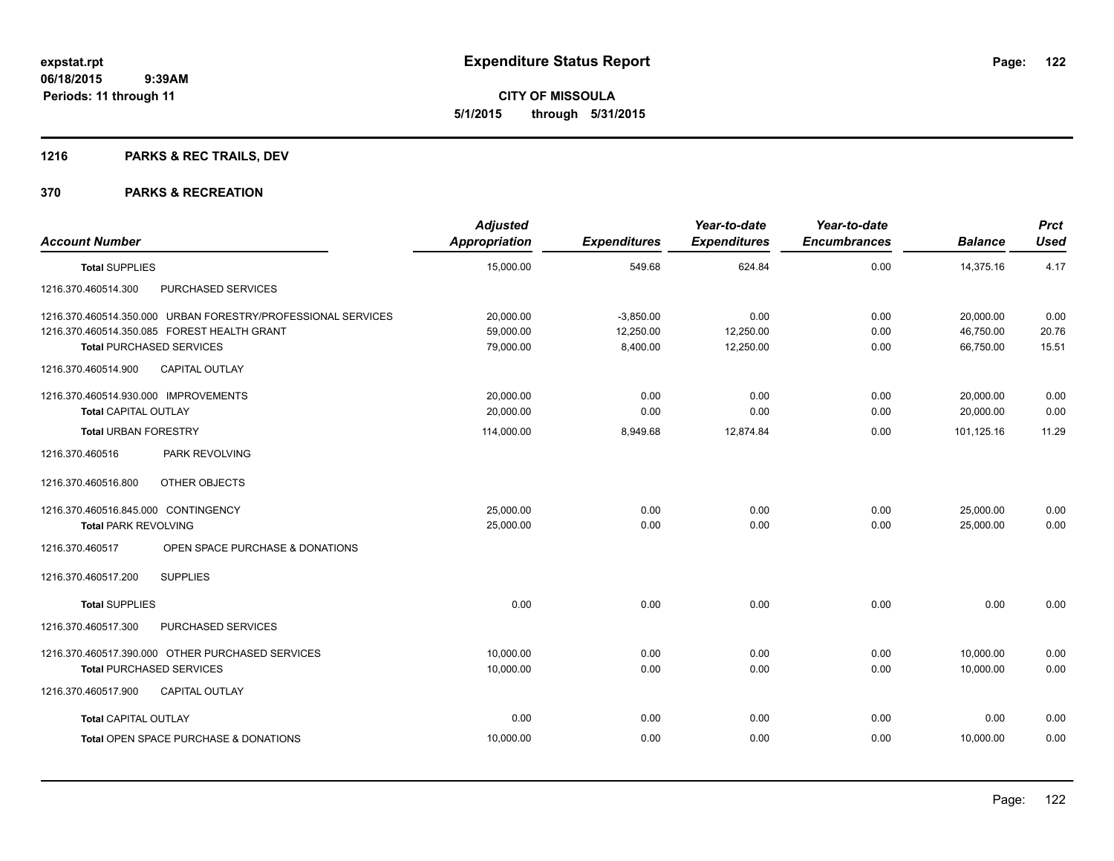**CITY OF MISSOULA 5/1/2015 through 5/31/2015**

## **1216 PARKS & REC TRAILS, DEV**

| <b>Account Number</b>                                        | <b>Adjusted</b><br><b>Appropriation</b> | <b>Expenditures</b> | Year-to-date<br><b>Expenditures</b> | Year-to-date<br><b>Encumbrances</b> | <b>Balance</b> | <b>Prct</b><br><b>Used</b> |
|--------------------------------------------------------------|-----------------------------------------|---------------------|-------------------------------------|-------------------------------------|----------------|----------------------------|
|                                                              |                                         |                     |                                     |                                     |                |                            |
| <b>Total SUPPLIES</b>                                        | 15,000.00                               | 549.68              | 624.84                              | 0.00                                | 14,375.16      | 4.17                       |
| PURCHASED SERVICES<br>1216.370.460514.300                    |                                         |                     |                                     |                                     |                |                            |
| 1216.370.460514.350.000 URBAN FORESTRY/PROFESSIONAL SERVICES | 20,000.00                               | $-3,850.00$         | 0.00                                | 0.00                                | 20,000.00      | 0.00                       |
| 1216.370.460514.350.085 FOREST HEALTH GRANT                  | 59,000.00                               | 12,250.00           | 12,250.00                           | 0.00                                | 46,750.00      | 20.76                      |
| <b>Total PURCHASED SERVICES</b>                              | 79,000.00                               | 8,400.00            | 12,250.00                           | 0.00                                | 66,750.00      | 15.51                      |
| <b>CAPITAL OUTLAY</b><br>1216.370.460514.900                 |                                         |                     |                                     |                                     |                |                            |
| 1216.370.460514.930.000 IMPROVEMENTS                         | 20,000.00                               | 0.00                | 0.00                                | 0.00                                | 20,000.00      | 0.00                       |
| <b>Total CAPITAL OUTLAY</b>                                  | 20,000.00                               | 0.00                | 0.00                                | 0.00                                | 20,000.00      | 0.00                       |
| <b>Total URBAN FORESTRY</b>                                  | 114,000.00                              | 8,949.68            | 12,874.84                           | 0.00                                | 101.125.16     | 11.29                      |
| PARK REVOLVING<br>1216.370.460516                            |                                         |                     |                                     |                                     |                |                            |
| OTHER OBJECTS<br>1216.370.460516.800                         |                                         |                     |                                     |                                     |                |                            |
| 1216.370.460516.845.000 CONTINGENCY                          | 25,000.00                               | 0.00                | 0.00                                | 0.00                                | 25,000.00      | 0.00                       |
| <b>Total PARK REVOLVING</b>                                  | 25,000.00                               | 0.00                | 0.00                                | 0.00                                | 25,000.00      | 0.00                       |
| 1216.370.460517<br>OPEN SPACE PURCHASE & DONATIONS           |                                         |                     |                                     |                                     |                |                            |
| <b>SUPPLIES</b><br>1216.370.460517.200                       |                                         |                     |                                     |                                     |                |                            |
| <b>Total SUPPLIES</b>                                        | 0.00                                    | 0.00                | 0.00                                | 0.00                                | 0.00           | 0.00                       |
| 1216.370.460517.300<br>PURCHASED SERVICES                    |                                         |                     |                                     |                                     |                |                            |
| 1216.370.460517.390.000 OTHER PURCHASED SERVICES             | 10,000.00                               | 0.00                | 0.00                                | 0.00                                | 10,000.00      | 0.00                       |
| <b>Total PURCHASED SERVICES</b>                              | 10,000.00                               | 0.00                | 0.00                                | 0.00                                | 10,000.00      | 0.00                       |
| 1216.370.460517.900<br><b>CAPITAL OUTLAY</b>                 |                                         |                     |                                     |                                     |                |                            |
| <b>Total CAPITAL OUTLAY</b>                                  | 0.00                                    | 0.00                | 0.00                                | 0.00                                | 0.00           | 0.00                       |
| Total OPEN SPACE PURCHASE & DONATIONS                        | 10,000.00                               | 0.00                | 0.00                                | 0.00                                | 10,000.00      | 0.00                       |
|                                                              |                                         |                     |                                     |                                     |                |                            |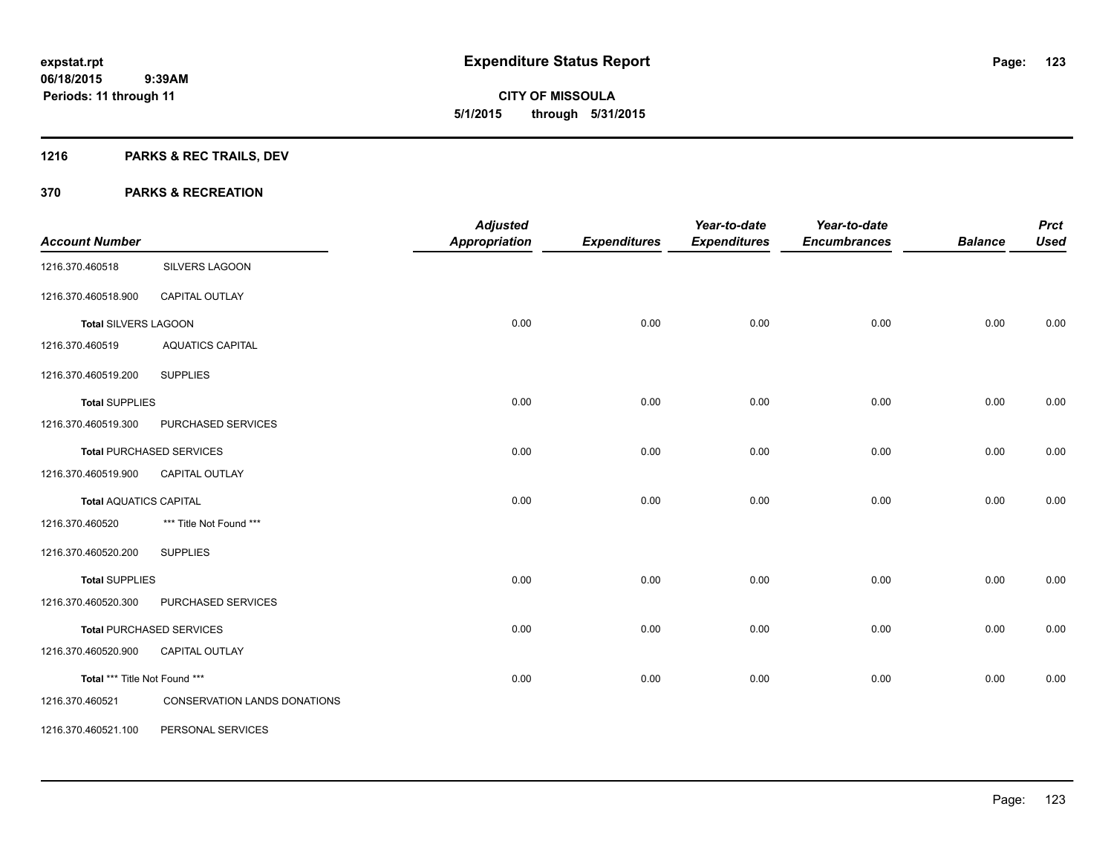**123**

**06/18/2015 9:39AM Periods: 11 through 11**

**CITY OF MISSOULA 5/1/2015 through 5/31/2015**

## **1216 PARKS & REC TRAILS, DEV**

| <b>Account Number</b>         |                                 | <b>Adjusted</b><br><b>Appropriation</b> | <b>Expenditures</b> | Year-to-date<br><b>Expenditures</b> | Year-to-date<br><b>Encumbrances</b> | <b>Balance</b> | <b>Prct</b><br><b>Used</b> |
|-------------------------------|---------------------------------|-----------------------------------------|---------------------|-------------------------------------|-------------------------------------|----------------|----------------------------|
|                               |                                 |                                         |                     |                                     |                                     |                |                            |
| 1216.370.460518               | SILVERS LAGOON                  |                                         |                     |                                     |                                     |                |                            |
| 1216.370.460518.900           | CAPITAL OUTLAY                  |                                         |                     |                                     |                                     |                |                            |
| <b>Total SILVERS LAGOON</b>   |                                 | 0.00                                    | 0.00                | 0.00                                | 0.00                                | 0.00           | 0.00                       |
| 1216.370.460519               | <b>AQUATICS CAPITAL</b>         |                                         |                     |                                     |                                     |                |                            |
| 1216.370.460519.200           | <b>SUPPLIES</b>                 |                                         |                     |                                     |                                     |                |                            |
| <b>Total SUPPLIES</b>         |                                 | 0.00                                    | 0.00                | 0.00                                | 0.00                                | 0.00           | 0.00                       |
| 1216.370.460519.300           | PURCHASED SERVICES              |                                         |                     |                                     |                                     |                |                            |
|                               | <b>Total PURCHASED SERVICES</b> | 0.00                                    | 0.00                | 0.00                                | 0.00                                | 0.00           | 0.00                       |
| 1216.370.460519.900           | CAPITAL OUTLAY                  |                                         |                     |                                     |                                     |                |                            |
| <b>Total AQUATICS CAPITAL</b> |                                 | 0.00                                    | 0.00                | 0.00                                | 0.00                                | 0.00           | 0.00                       |
| 1216.370.460520               | *** Title Not Found ***         |                                         |                     |                                     |                                     |                |                            |
| 1216.370.460520.200           | <b>SUPPLIES</b>                 |                                         |                     |                                     |                                     |                |                            |
| <b>Total SUPPLIES</b>         |                                 | 0.00                                    | 0.00                | 0.00                                | 0.00                                | 0.00           | 0.00                       |
| 1216.370.460520.300           | PURCHASED SERVICES              |                                         |                     |                                     |                                     |                |                            |
|                               | <b>Total PURCHASED SERVICES</b> | 0.00                                    | 0.00                | 0.00                                | 0.00                                | 0.00           | 0.00                       |
| 1216.370.460520.900           | <b>CAPITAL OUTLAY</b>           |                                         |                     |                                     |                                     |                |                            |
| Total *** Title Not Found *** |                                 | 0.00                                    | 0.00                | 0.00                                | 0.00                                | 0.00           | 0.00                       |
| 1216.370.460521               | CONSERVATION LANDS DONATIONS    |                                         |                     |                                     |                                     |                |                            |
| 1216.370.460521.100           | PERSONAL SERVICES               |                                         |                     |                                     |                                     |                |                            |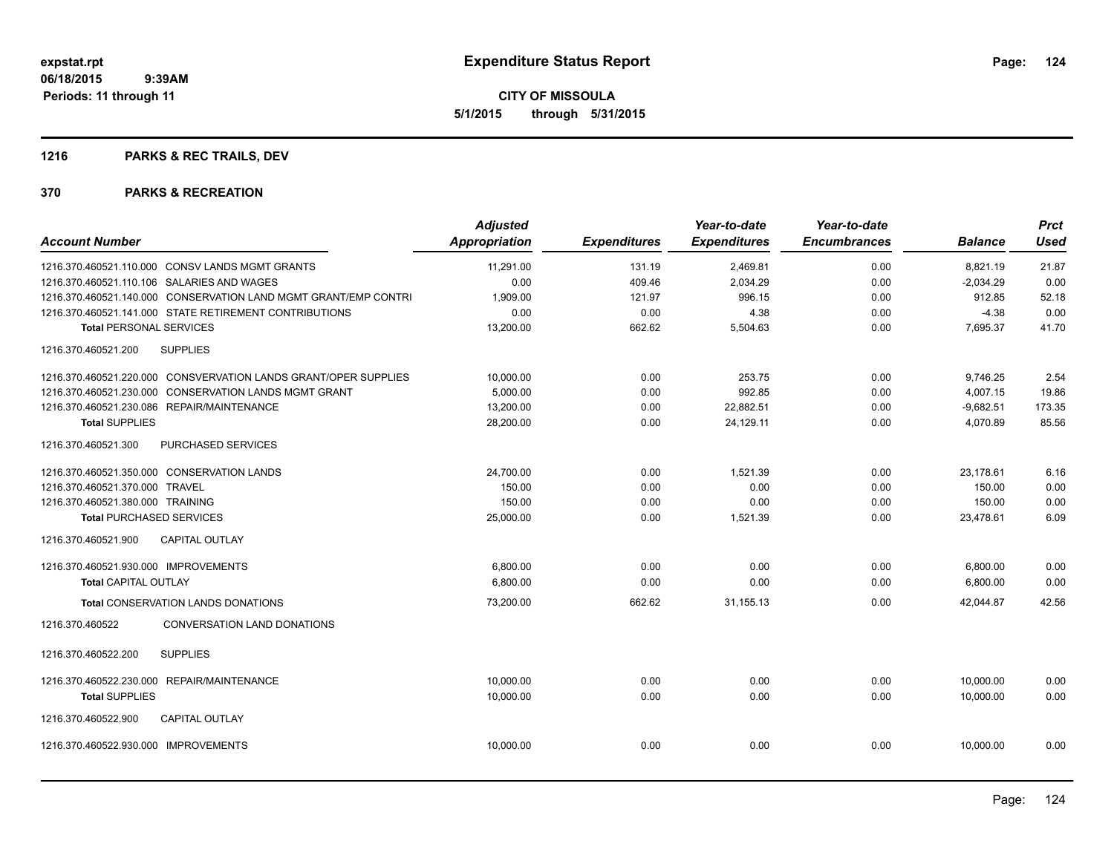## **1216 PARKS & REC TRAILS, DEV**

| <b>Account Number</b>                |                                                                 | <b>Adjusted</b><br><b>Appropriation</b> | <b>Expenditures</b> | Year-to-date<br><b>Expenditures</b> | Year-to-date<br><b>Encumbrances</b> | <b>Balance</b> | <b>Prct</b><br><b>Used</b> |
|--------------------------------------|-----------------------------------------------------------------|-----------------------------------------|---------------------|-------------------------------------|-------------------------------------|----------------|----------------------------|
|                                      | 1216.370.460521.110.000 CONSV LANDS MGMT GRANTS                 | 11,291.00                               | 131.19              | 2,469.81                            | 0.00                                | 8,821.19       | 21.87                      |
|                                      | 1216.370.460521.110.106 SALARIES AND WAGES                      | 0.00                                    | 409.46              | 2,034.29                            | 0.00                                | $-2,034.29$    | 0.00                       |
|                                      | 1216.370.460521.140.000 CONSERVATION LAND MGMT GRANT/EMP CONTRI | 1,909.00                                | 121.97              | 996.15                              | 0.00                                | 912.85         | 52.18                      |
|                                      | 1216.370.460521.141.000 STATE RETIREMENT CONTRIBUTIONS          | 0.00                                    | 0.00                | 4.38                                | 0.00                                | $-4.38$        | 0.00                       |
| <b>Total PERSONAL SERVICES</b>       |                                                                 | 13,200.00                               | 662.62              | 5,504.63                            | 0.00                                | 7,695.37       | 41.70                      |
| 1216.370.460521.200                  | <b>SUPPLIES</b>                                                 |                                         |                     |                                     |                                     |                |                            |
|                                      | 1216.370.460521.220.000 CONSVERVATION LANDS GRANT/OPER SUPPLIES | 10,000.00                               | 0.00                | 253.75                              | 0.00                                | 9,746.25       | 2.54                       |
| 1216.370.460521.230.000              | <b>CONSERVATION LANDS MGMT GRANT</b>                            | 5,000.00                                | 0.00                | 992.85                              | 0.00                                | 4,007.15       | 19.86                      |
|                                      | 1216.370.460521.230.086 REPAIR/MAINTENANCE                      | 13,200.00                               | 0.00                | 22,882.51                           | 0.00                                | $-9,682.51$    | 173.35                     |
| <b>Total SUPPLIES</b>                |                                                                 | 28,200.00                               | 0.00                | 24,129.11                           | 0.00                                | 4,070.89       | 85.56                      |
| 1216.370.460521.300                  | PURCHASED SERVICES                                              |                                         |                     |                                     |                                     |                |                            |
|                                      | 1216.370.460521.350.000 CONSERVATION LANDS                      | 24,700.00                               | 0.00                | 1,521.39                            | 0.00                                | 23,178.61      | 6.16                       |
| 1216.370.460521.370.000 TRAVEL       |                                                                 | 150.00                                  | 0.00                | 0.00                                | 0.00                                | 150.00         | 0.00                       |
| 1216.370.460521.380.000 TRAINING     |                                                                 | 150.00                                  | 0.00                | 0.00                                | 0.00                                | 150.00         | 0.00                       |
| <b>Total PURCHASED SERVICES</b>      |                                                                 | 25,000.00                               | 0.00                | 1,521.39                            | 0.00                                | 23,478.61      | 6.09                       |
| 1216.370.460521.900                  | <b>CAPITAL OUTLAY</b>                                           |                                         |                     |                                     |                                     |                |                            |
| 1216.370.460521.930.000 IMPROVEMENTS |                                                                 | 6,800.00                                | 0.00                | 0.00                                | 0.00                                | 6,800.00       | 0.00                       |
| <b>Total CAPITAL OUTLAY</b>          |                                                                 | 6,800.00                                | 0.00                | 0.00                                | 0.00                                | 6,800.00       | 0.00                       |
|                                      | <b>Total CONSERVATION LANDS DONATIONS</b>                       | 73,200.00                               | 662.62              | 31, 155. 13                         | 0.00                                | 42.044.87      | 42.56                      |
| 1216.370.460522                      | CONVERSATION LAND DONATIONS                                     |                                         |                     |                                     |                                     |                |                            |
| 1216.370.460522.200                  | <b>SUPPLIES</b>                                                 |                                         |                     |                                     |                                     |                |                            |
|                                      | 1216.370.460522.230.000 REPAIR/MAINTENANCE                      | 10,000.00                               | 0.00                | 0.00                                | 0.00                                | 10,000.00      | 0.00                       |
| <b>Total SUPPLIES</b>                |                                                                 | 10,000.00                               | 0.00                | 0.00                                | 0.00                                | 10.000.00      | 0.00                       |
| 1216.370.460522.900                  | <b>CAPITAL OUTLAY</b>                                           |                                         |                     |                                     |                                     |                |                            |
| 1216.370.460522.930.000 IMPROVEMENTS |                                                                 | 10,000.00                               | 0.00                | 0.00                                | 0.00                                | 10,000.00      | 0.00                       |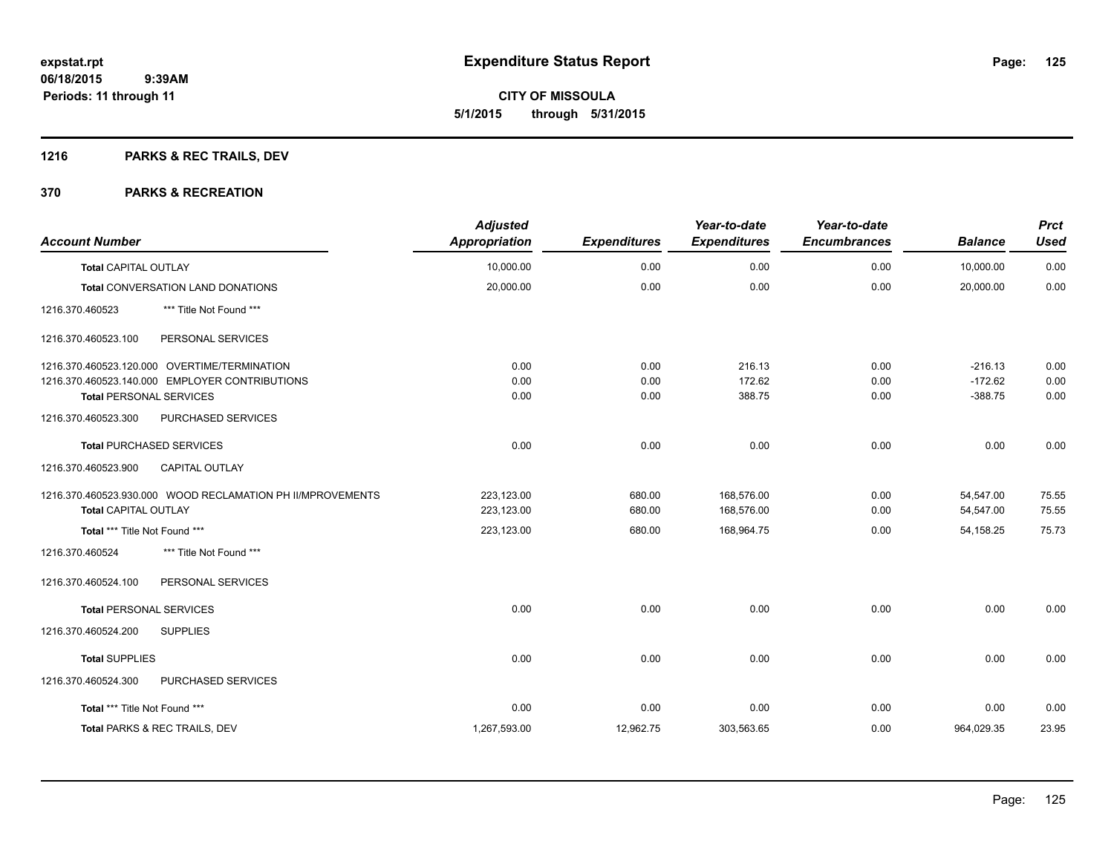**CITY OF MISSOULA 5/1/2015 through 5/31/2015**

## **1216 PARKS & REC TRAILS, DEV**

| <b>Account Number</b>                                      | <b>Adjusted</b><br><b>Appropriation</b> | <b>Expenditures</b> | Year-to-date<br><b>Expenditures</b> | Year-to-date<br><b>Encumbrances</b> | <b>Balance</b> | <b>Prct</b><br><b>Used</b> |
|------------------------------------------------------------|-----------------------------------------|---------------------|-------------------------------------|-------------------------------------|----------------|----------------------------|
| <b>Total CAPITAL OUTLAY</b>                                | 10,000.00                               | 0.00                | 0.00                                | 0.00                                | 10,000.00      | 0.00                       |
| Total CONVERSATION LAND DONATIONS                          | 20,000.00                               | 0.00                | 0.00                                | 0.00                                | 20,000.00      | 0.00                       |
| *** Title Not Found ***<br>1216.370.460523                 |                                         |                     |                                     |                                     |                |                            |
| 1216.370.460523.100<br>PERSONAL SERVICES                   |                                         |                     |                                     |                                     |                |                            |
| 1216.370.460523.120.000 OVERTIME/TERMINATION               | 0.00                                    | 0.00                | 216.13                              | 0.00                                | $-216.13$      | 0.00                       |
| 1216.370.460523.140.000 EMPLOYER CONTRIBUTIONS             | 0.00                                    | 0.00                | 172.62                              | 0.00                                | $-172.62$      | 0.00                       |
| <b>Total PERSONAL SERVICES</b>                             | 0.00                                    | 0.00                | 388.75                              | 0.00                                | $-388.75$      | 0.00                       |
| 1216.370.460523.300<br>PURCHASED SERVICES                  |                                         |                     |                                     |                                     |                |                            |
| <b>Total PURCHASED SERVICES</b>                            | 0.00                                    | 0.00                | 0.00                                | 0.00                                | 0.00           | 0.00                       |
| 1216.370.460523.900<br><b>CAPITAL OUTLAY</b>               |                                         |                     |                                     |                                     |                |                            |
| 1216.370.460523.930.000 WOOD RECLAMATION PH II/MPROVEMENTS | 223,123.00                              | 680.00              | 168,576.00                          | 0.00                                | 54,547.00      | 75.55                      |
| Total CAPITAL OUTLAY                                       | 223,123.00                              | 680.00              | 168,576.00                          | 0.00                                | 54,547.00      | 75.55                      |
| Total *** Title Not Found ***                              | 223,123.00                              | 680.00              | 168,964.75                          | 0.00                                | 54,158.25      | 75.73                      |
| *** Title Not Found ***<br>1216.370.460524                 |                                         |                     |                                     |                                     |                |                            |
| 1216.370.460524.100<br>PERSONAL SERVICES                   |                                         |                     |                                     |                                     |                |                            |
| <b>Total PERSONAL SERVICES</b>                             | 0.00                                    | 0.00                | 0.00                                | 0.00                                | 0.00           | 0.00                       |
| 1216.370.460524.200<br><b>SUPPLIES</b>                     |                                         |                     |                                     |                                     |                |                            |
| <b>Total SUPPLIES</b>                                      | 0.00                                    | 0.00                | 0.00                                | 0.00                                | 0.00           | 0.00                       |
| PURCHASED SERVICES<br>1216.370.460524.300                  |                                         |                     |                                     |                                     |                |                            |
| Total *** Title Not Found ***                              | 0.00                                    | 0.00                | 0.00                                | 0.00                                | 0.00           | 0.00                       |
| Total PARKS & REC TRAILS, DEV                              | 1,267,593.00                            | 12,962.75           | 303,563.65                          | 0.00                                | 964,029.35     | 23.95                      |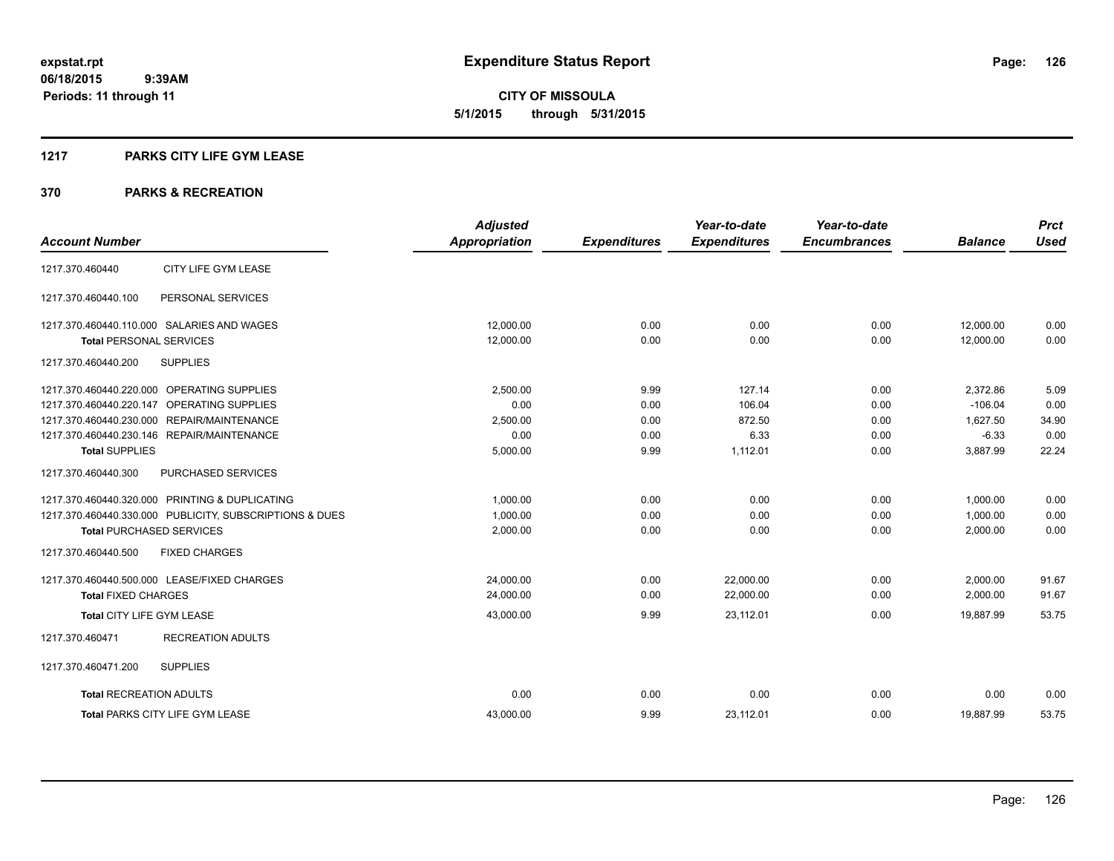**126**

**06/18/2015 9:39AM Periods: 11 through 11**

**CITY OF MISSOULA 5/1/2015 through 5/31/2015**

#### **1217 PARKS CITY LIFE GYM LEASE**

|                                |                                                         | <b>Adjusted</b>      |                     | Year-to-date        | Year-to-date        |                | <b>Prct</b> |
|--------------------------------|---------------------------------------------------------|----------------------|---------------------|---------------------|---------------------|----------------|-------------|
| <b>Account Number</b>          |                                                         | <b>Appropriation</b> | <b>Expenditures</b> | <b>Expenditures</b> | <b>Encumbrances</b> | <b>Balance</b> | <b>Used</b> |
| 1217.370.460440                | CITY LIFE GYM LEASE                                     |                      |                     |                     |                     |                |             |
| 1217.370.460440.100            | PERSONAL SERVICES                                       |                      |                     |                     |                     |                |             |
|                                | 1217.370.460440.110.000 SALARIES AND WAGES              | 12,000.00            | 0.00                | 0.00                | 0.00                | 12,000.00      | 0.00        |
| <b>Total PERSONAL SERVICES</b> |                                                         | 12,000.00            | 0.00                | 0.00                | 0.00                | 12,000.00      | 0.00        |
| 1217.370.460440.200            | <b>SUPPLIES</b>                                         |                      |                     |                     |                     |                |             |
|                                | 1217.370.460440.220.000 OPERATING SUPPLIES              | 2,500.00             | 9.99                | 127.14              | 0.00                | 2,372.86       | 5.09        |
| 1217.370.460440.220.147        | OPERATING SUPPLIES                                      | 0.00                 | 0.00                | 106.04              | 0.00                | $-106.04$      | 0.00        |
|                                | 1217.370.460440.230.000 REPAIR/MAINTENANCE              | 2,500.00             | 0.00                | 872.50              | 0.00                | 1,627.50       | 34.90       |
|                                | 1217.370.460440.230.146 REPAIR/MAINTENANCE              | 0.00                 | 0.00                | 6.33                | 0.00                | $-6.33$        | 0.00        |
| <b>Total SUPPLIES</b>          |                                                         | 5,000.00             | 9.99                | 1,112.01            | 0.00                | 3,887.99       | 22.24       |
| 1217.370.460440.300            | PURCHASED SERVICES                                      |                      |                     |                     |                     |                |             |
|                                | 1217.370.460440.320.000 PRINTING & DUPLICATING          | 1,000.00             | 0.00                | 0.00                | 0.00                | 1,000.00       | 0.00        |
|                                | 1217.370.460440.330.000 PUBLICITY, SUBSCRIPTIONS & DUES | 1,000.00             | 0.00                | 0.00                | 0.00                | 1,000.00       | 0.00        |
|                                | <b>Total PURCHASED SERVICES</b>                         | 2,000.00             | 0.00                | 0.00                | 0.00                | 2,000.00       | 0.00        |
| 1217.370.460440.500            | <b>FIXED CHARGES</b>                                    |                      |                     |                     |                     |                |             |
|                                | 1217.370.460440.500.000 LEASE/FIXED CHARGES             | 24,000.00            | 0.00                | 22,000.00           | 0.00                | 2,000.00       | 91.67       |
| <b>Total FIXED CHARGES</b>     |                                                         | 24,000.00            | 0.00                | 22,000.00           | 0.00                | 2,000.00       | 91.67       |
| Total CITY LIFE GYM LEASE      |                                                         | 43,000.00            | 9.99                | 23.112.01           | 0.00                | 19.887.99      | 53.75       |
| 1217.370.460471                | <b>RECREATION ADULTS</b>                                |                      |                     |                     |                     |                |             |
| 1217.370.460471.200            | <b>SUPPLIES</b>                                         |                      |                     |                     |                     |                |             |
| <b>Total RECREATION ADULTS</b> |                                                         | 0.00                 | 0.00                | 0.00                | 0.00                | 0.00           | 0.00        |
|                                | <b>Total PARKS CITY LIFE GYM LEASE</b>                  | 43,000.00            | 9.99                | 23,112.01           | 0.00                | 19,887.99      | 53.75       |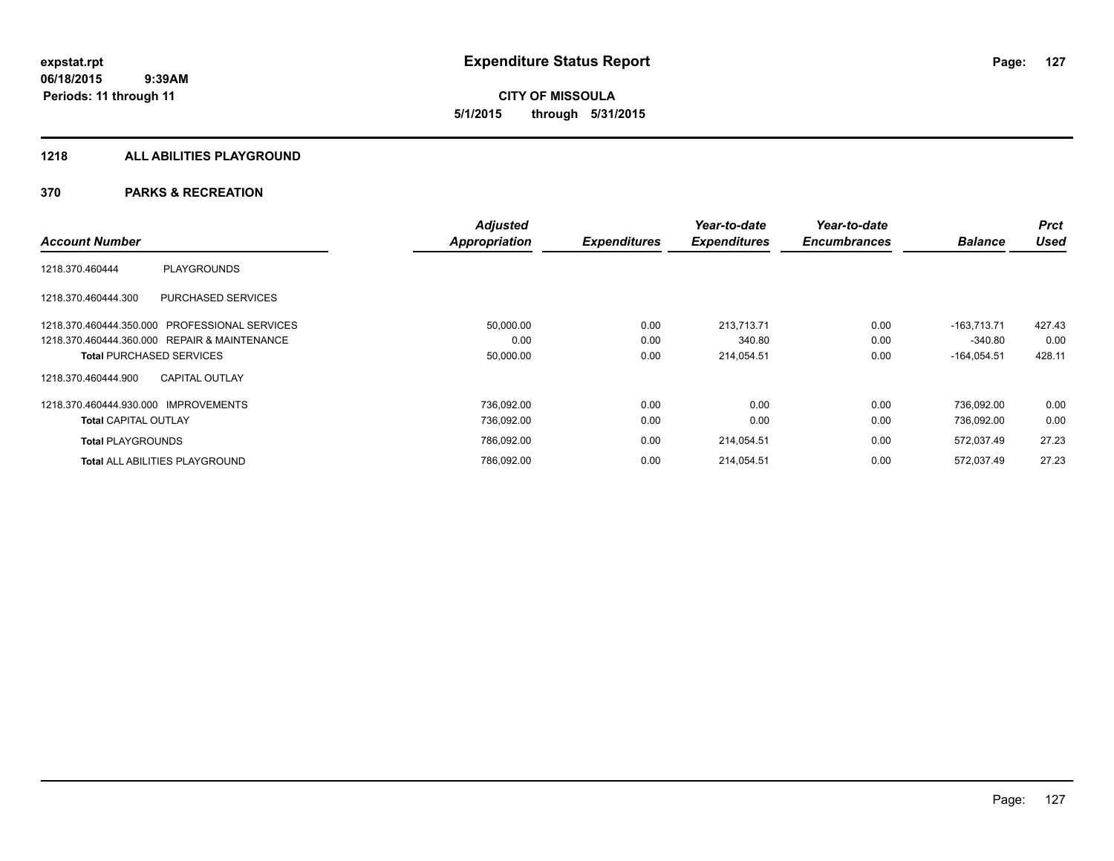#### **1218 ALL ABILITIES PLAYGROUND**

|                                                  | <b>Adjusted</b> |                     | Year-to-date        | Year-to-date        |                | <b>Prct</b> |
|--------------------------------------------------|-----------------|---------------------|---------------------|---------------------|----------------|-------------|
| <b>Account Number</b>                            | Appropriation   | <b>Expenditures</b> | <b>Expenditures</b> | <b>Encumbrances</b> | <b>Balance</b> | <b>Used</b> |
| <b>PLAYGROUNDS</b><br>1218.370.460444            |                 |                     |                     |                     |                |             |
| <b>PURCHASED SERVICES</b><br>1218.370.460444.300 |                 |                     |                     |                     |                |             |
| PROFESSIONAL SERVICES<br>1218.370.460444.350.000 | 50,000.00       | 0.00                | 213.713.71          | 0.00                | $-163.713.71$  | 427.43      |
| 1218.370.460444.360.000 REPAIR & MAINTENANCE     | 0.00            | 0.00                | 340.80              | 0.00                | $-340.80$      | 0.00        |
| <b>Total PURCHASED SERVICES</b>                  | 50,000.00       | 0.00                | 214,054.51          | 0.00                | $-164,054.51$  | 428.11      |
| <b>CAPITAL OUTLAY</b><br>1218.370.460444.900     |                 |                     |                     |                     |                |             |
| 1218.370.460444.930.000 IMPROVEMENTS             | 736.092.00      | 0.00                | 0.00                | 0.00                | 736.092.00     | 0.00        |
| <b>Total CAPITAL OUTLAY</b>                      | 736.092.00      | 0.00                | 0.00                | 0.00                | 736.092.00     | 0.00        |
| <b>Total PLAYGROUNDS</b>                         | 786,092.00      | 0.00                | 214,054.51          | 0.00                | 572,037.49     | 27.23       |
| <b>Total ALL ABILITIES PLAYGROUND</b>            | 786,092.00      | 0.00                | 214,054.51          | 0.00                | 572,037.49     | 27.23       |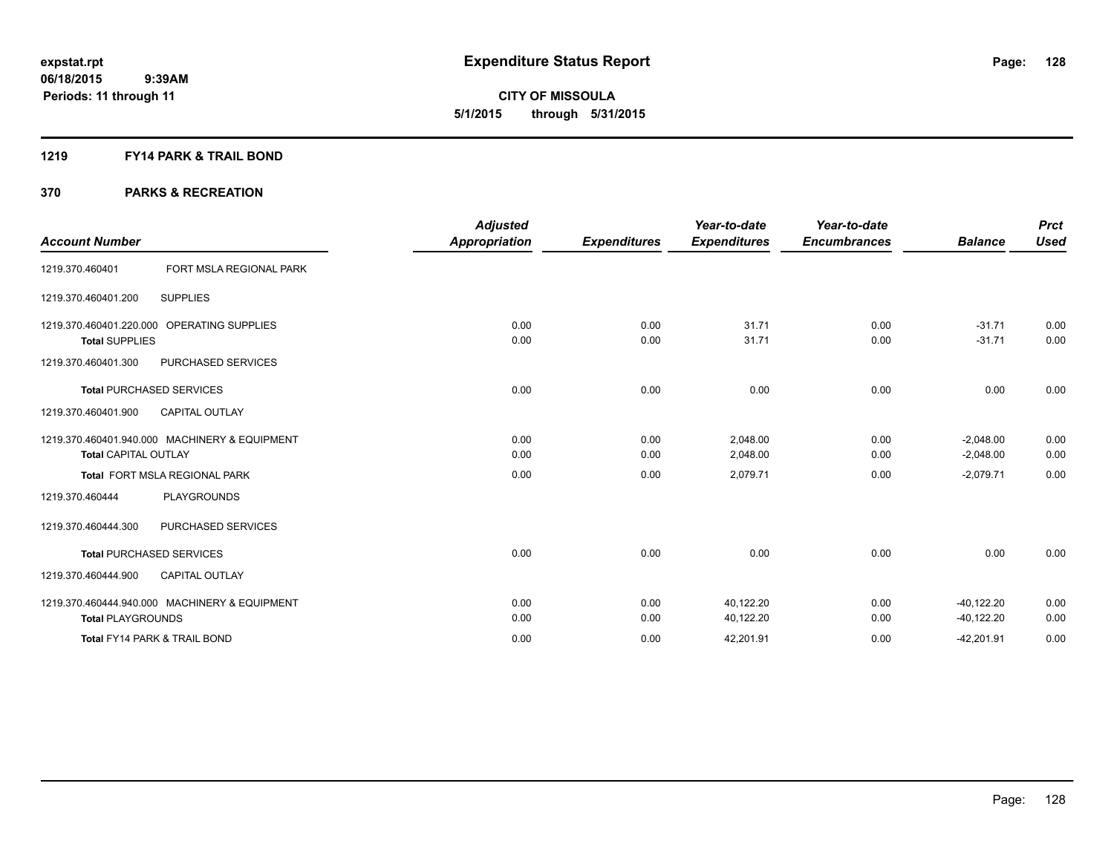**CITY OF MISSOULA 5/1/2015 through 5/31/2015**

#### **1219 FY14 PARK & TRAIL BOND**

| <b>Account Number</b>                            |                                               | <b>Adjusted</b><br><b>Appropriation</b> | <b>Expenditures</b> | Year-to-date<br><b>Expenditures</b> | Year-to-date<br><b>Encumbrances</b> | <b>Balance</b>             | <b>Prct</b><br><b>Used</b> |
|--------------------------------------------------|-----------------------------------------------|-----------------------------------------|---------------------|-------------------------------------|-------------------------------------|----------------------------|----------------------------|
| 1219.370.460401                                  | FORT MSLA REGIONAL PARK                       |                                         |                     |                                     |                                     |                            |                            |
| 1219.370.460401.200                              | <b>SUPPLIES</b>                               |                                         |                     |                                     |                                     |                            |                            |
| 1219.370.460401.220.000<br><b>Total SUPPLIES</b> | <b>OPERATING SUPPLIES</b>                     | 0.00<br>0.00                            | 0.00<br>0.00        | 31.71<br>31.71                      | 0.00<br>0.00                        | $-31.71$<br>$-31.71$       | 0.00<br>0.00               |
| 1219.370.460401.300                              | PURCHASED SERVICES                            |                                         |                     |                                     |                                     |                            |                            |
|                                                  | <b>Total PURCHASED SERVICES</b>               | 0.00                                    | 0.00                | 0.00                                | 0.00                                | 0.00                       | 0.00                       |
| 1219.370.460401.900                              | <b>CAPITAL OUTLAY</b>                         |                                         |                     |                                     |                                     |                            |                            |
| <b>Total CAPITAL OUTLAY</b>                      | 1219.370.460401.940.000 MACHINERY & EQUIPMENT | 0.00<br>0.00                            | 0.00<br>0.00        | 2,048.00<br>2,048.00                | 0.00<br>0.00                        | $-2.048.00$<br>$-2,048.00$ | 0.00<br>0.00               |
|                                                  | <b>Total FORT MSLA REGIONAL PARK</b>          | 0.00                                    | 0.00                | 2,079.71                            | 0.00                                | $-2,079.71$                | 0.00                       |
| 1219.370.460444                                  | <b>PLAYGROUNDS</b>                            |                                         |                     |                                     |                                     |                            |                            |
| 1219.370.460444.300                              | PURCHASED SERVICES                            |                                         |                     |                                     |                                     |                            |                            |
|                                                  | <b>Total PURCHASED SERVICES</b>               | 0.00                                    | 0.00                | 0.00                                | 0.00                                | 0.00                       | 0.00                       |
| 1219.370.460444.900                              | <b>CAPITAL OUTLAY</b>                         |                                         |                     |                                     |                                     |                            |                            |
|                                                  | 1219.370.460444.940.000 MACHINERY & EQUIPMENT | 0.00                                    | 0.00                | 40,122.20                           | 0.00                                | $-40, 122.20$              | 0.00                       |
| <b>Total PLAYGROUNDS</b>                         |                                               | 0.00                                    | 0.00                | 40,122.20                           | 0.00                                | $-40, 122.20$              | 0.00                       |
|                                                  | <b>Total FY14 PARK &amp; TRAIL BOND</b>       | 0.00                                    | 0.00                | 42,201.91                           | 0.00                                | $-42,201.91$               | 0.00                       |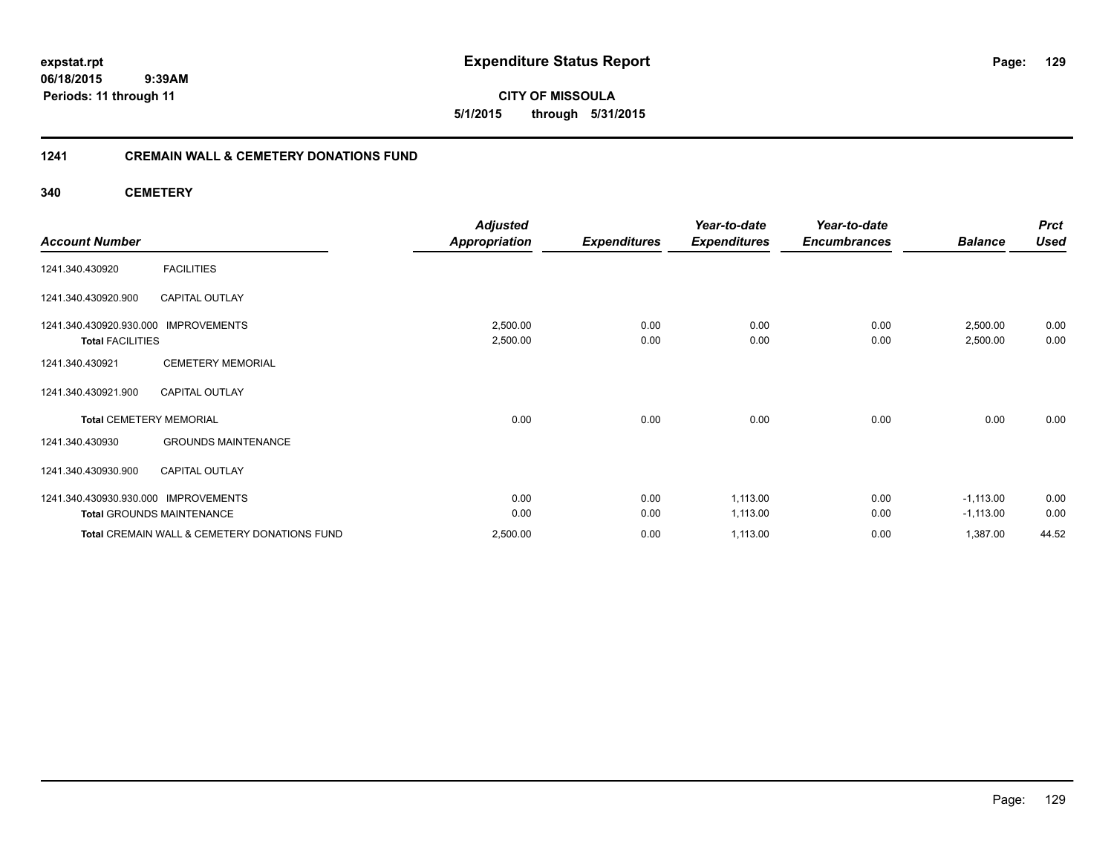**expstat.rpt Expenditure Status Report** 

**06/18/2015 9:39AM Periods: 11 through 11**

**CITY OF MISSOULA 5/1/2015 through 5/31/2015**

### **1241 CREMAIN WALL & CEMETERY DONATIONS FUND**

**340 CEMETERY**

| <b>Account Number</b>                                                    |                                                         | <b>Adjusted</b><br><b>Appropriation</b> | <b>Expenditures</b> | Year-to-date<br><b>Expenditures</b> | Year-to-date<br><b>Encumbrances</b> | <b>Balance</b>             | <b>Prct</b><br><b>Used</b> |
|--------------------------------------------------------------------------|---------------------------------------------------------|-----------------------------------------|---------------------|-------------------------------------|-------------------------------------|----------------------------|----------------------------|
| 1241.340.430920                                                          | <b>FACILITIES</b>                                       |                                         |                     |                                     |                                     |                            |                            |
| 1241.340.430920.900                                                      | <b>CAPITAL OUTLAY</b>                                   |                                         |                     |                                     |                                     |                            |                            |
| 1241.340.430920.930.000 IMPROVEMENTS<br><b>Total FACILITIES</b>          |                                                         | 2,500.00<br>2,500.00                    | 0.00<br>0.00        | 0.00<br>0.00                        | 0.00<br>0.00                        | 2,500.00<br>2,500.00       | 0.00<br>0.00               |
| 1241.340.430921                                                          | <b>CEMETERY MEMORIAL</b>                                |                                         |                     |                                     |                                     |                            |                            |
| 1241.340.430921.900                                                      | <b>CAPITAL OUTLAY</b>                                   |                                         |                     |                                     |                                     |                            |                            |
| <b>Total CEMETERY MEMORIAL</b>                                           |                                                         | 0.00                                    | 0.00                | 0.00                                | 0.00                                | 0.00                       | 0.00                       |
| 1241.340.430930                                                          | <b>GROUNDS MAINTENANCE</b>                              |                                         |                     |                                     |                                     |                            |                            |
| 1241.340.430930.900                                                      | <b>CAPITAL OUTLAY</b>                                   |                                         |                     |                                     |                                     |                            |                            |
| 1241.340.430930.930.000 IMPROVEMENTS<br><b>Total GROUNDS MAINTENANCE</b> |                                                         | 0.00<br>0.00                            | 0.00<br>0.00        | 1,113.00<br>1,113.00                | 0.00<br>0.00                        | $-1,113.00$<br>$-1,113.00$ | 0.00<br>0.00               |
|                                                                          | <b>Total CREMAIN WALL &amp; CEMETERY DONATIONS FUND</b> | 2,500.00                                | 0.00                | 1,113.00                            | 0.00                                | 1,387.00                   | 44.52                      |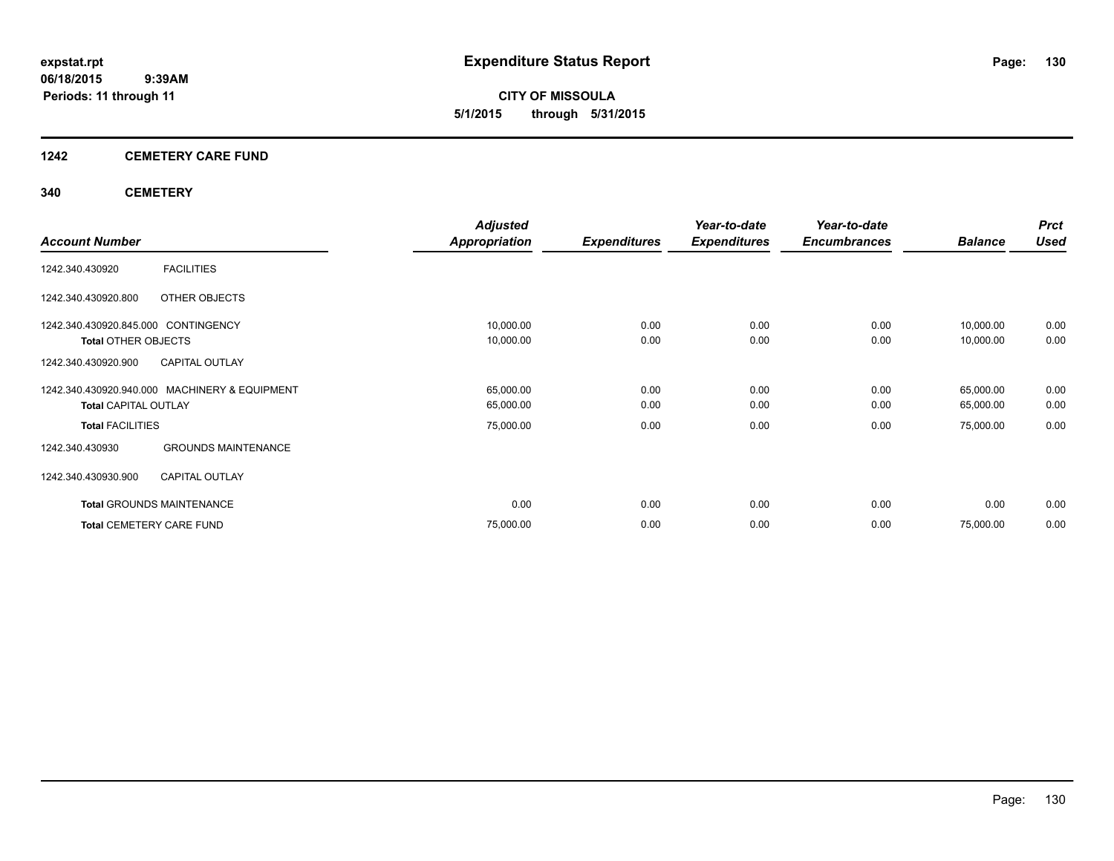**CITY OF MISSOULA 5/1/2015 through 5/31/2015**

### **1242 CEMETERY CARE FUND**

### **340 CEMETERY**

|                                     |                                               | <b>Adjusted</b> |                     | Year-to-date        | Year-to-date        |                | <b>Prct</b> |
|-------------------------------------|-----------------------------------------------|-----------------|---------------------|---------------------|---------------------|----------------|-------------|
| <b>Account Number</b>               |                                               | Appropriation   | <b>Expenditures</b> | <b>Expenditures</b> | <b>Encumbrances</b> | <b>Balance</b> | <b>Used</b> |
| 1242.340.430920                     | <b>FACILITIES</b>                             |                 |                     |                     |                     |                |             |
| 1242.340.430920.800                 | OTHER OBJECTS                                 |                 |                     |                     |                     |                |             |
| 1242.340.430920.845.000 CONTINGENCY |                                               | 10,000.00       | 0.00                | 0.00                | 0.00                | 10,000.00      | 0.00        |
| <b>Total OTHER OBJECTS</b>          |                                               | 10,000.00       | 0.00                | 0.00                | 0.00                | 10,000.00      | 0.00        |
| 1242.340.430920.900                 | <b>CAPITAL OUTLAY</b>                         |                 |                     |                     |                     |                |             |
|                                     | 1242.340.430920.940.000 MACHINERY & EQUIPMENT | 65,000.00       | 0.00                | 0.00                | 0.00                | 65,000.00      | 0.00        |
| <b>Total CAPITAL OUTLAY</b>         |                                               | 65,000.00       | 0.00                | 0.00                | 0.00                | 65,000.00      | 0.00        |
| <b>Total FACILITIES</b>             |                                               | 75,000.00       | 0.00                | 0.00                | 0.00                | 75,000.00      | 0.00        |
| 1242.340.430930                     | <b>GROUNDS MAINTENANCE</b>                    |                 |                     |                     |                     |                |             |
| 1242.340.430930.900                 | <b>CAPITAL OUTLAY</b>                         |                 |                     |                     |                     |                |             |
|                                     | <b>Total GROUNDS MAINTENANCE</b>              | 0.00            | 0.00                | 0.00                | 0.00                | 0.00           | 0.00        |
| <b>Total CEMETERY CARE FUND</b>     |                                               | 75,000.00       | 0.00                | 0.00                | 0.00                | 75,000.00      | 0.00        |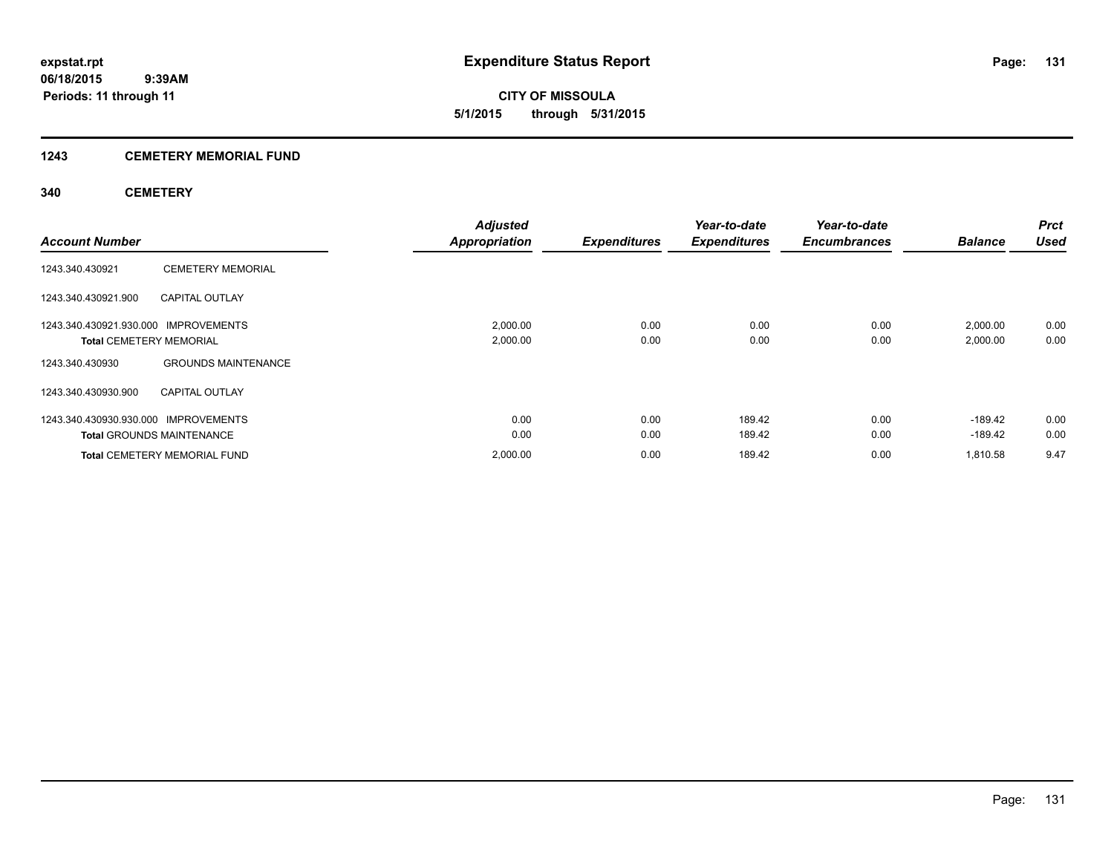### **1243 CEMETERY MEMORIAL FUND**

### **340 CEMETERY**

| <b>Account Number</b>                                                  |                                                         | <b>Adjusted</b><br><b>Appropriation</b> | <b>Expenditures</b> | Year-to-date<br><b>Expenditures</b> | Year-to-date<br><b>Encumbrances</b> | <b>Balance</b>         | <b>Prct</b><br><b>Used</b> |
|------------------------------------------------------------------------|---------------------------------------------------------|-----------------------------------------|---------------------|-------------------------------------|-------------------------------------|------------------------|----------------------------|
| 1243.340.430921                                                        | <b>CEMETERY MEMORIAL</b>                                |                                         |                     |                                     |                                     |                        |                            |
| 1243.340.430921.900                                                    | <b>CAPITAL OUTLAY</b>                                   |                                         |                     |                                     |                                     |                        |                            |
| 1243.340.430921.930.000 IMPROVEMENTS<br><b>Total CEMETERY MEMORIAL</b> |                                                         | 2,000.00<br>2,000.00                    | 0.00<br>0.00        | 0.00<br>0.00                        | 0.00<br>0.00                        | 2,000.00<br>2,000.00   | 0.00<br>0.00               |
| 1243.340.430930                                                        | <b>GROUNDS MAINTENANCE</b>                              |                                         |                     |                                     |                                     |                        |                            |
| 1243.340.430930.900                                                    | <b>CAPITAL OUTLAY</b>                                   |                                         |                     |                                     |                                     |                        |                            |
| 1243.340.430930.930.000                                                | <b>IMPROVEMENTS</b><br><b>Total GROUNDS MAINTENANCE</b> | 0.00<br>0.00                            | 0.00<br>0.00        | 189.42<br>189.42                    | 0.00<br>0.00                        | $-189.42$<br>$-189.42$ | 0.00<br>0.00               |
|                                                                        | <b>Total CEMETERY MEMORIAL FUND</b>                     | 2.000.00                                | 0.00                | 189.42                              | 0.00                                | 1,810.58               | 9.47                       |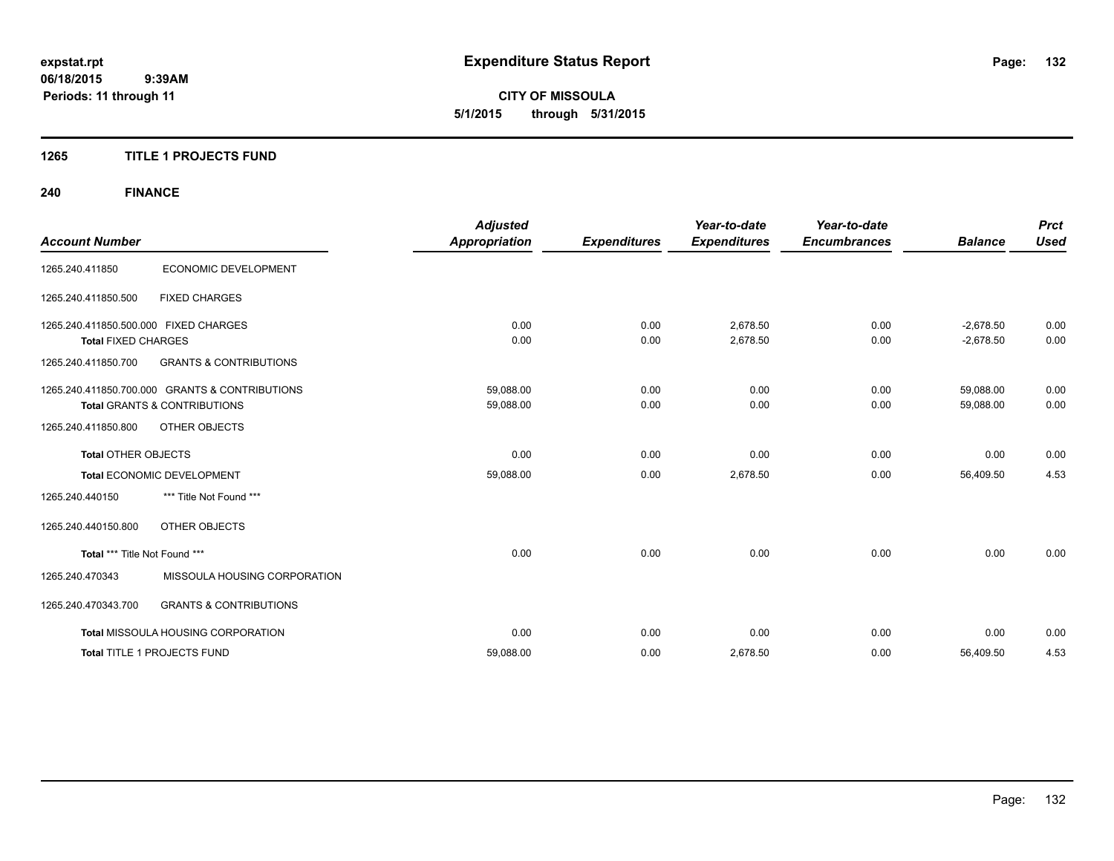**CITY OF MISSOULA 5/1/2015 through 5/31/2015**

### **1265 TITLE 1 PROJECTS FUND**

## **240 FINANCE**

| <b>Account Number</b>                                               |                                                                                           | <b>Adjusted</b><br><b>Appropriation</b> | <b>Expenditures</b> | Year-to-date<br><b>Expenditures</b> | Year-to-date<br><b>Encumbrances</b> | <b>Balance</b>             | <b>Prct</b><br><b>Used</b> |
|---------------------------------------------------------------------|-------------------------------------------------------------------------------------------|-----------------------------------------|---------------------|-------------------------------------|-------------------------------------|----------------------------|----------------------------|
| 1265.240.411850                                                     | ECONOMIC DEVELOPMENT                                                                      |                                         |                     |                                     |                                     |                            |                            |
| 1265.240.411850.500                                                 | <b>FIXED CHARGES</b>                                                                      |                                         |                     |                                     |                                     |                            |                            |
| 1265.240.411850.500.000 FIXED CHARGES<br><b>Total FIXED CHARGES</b> |                                                                                           | 0.00<br>0.00                            | 0.00<br>0.00        | 2,678.50<br>2,678.50                | 0.00<br>0.00                        | $-2,678.50$<br>$-2,678.50$ | 0.00<br>0.00               |
| 1265.240.411850.700                                                 | <b>GRANTS &amp; CONTRIBUTIONS</b>                                                         |                                         |                     |                                     |                                     |                            |                            |
|                                                                     | 1265.240.411850.700.000 GRANTS & CONTRIBUTIONS<br><b>Total GRANTS &amp; CONTRIBUTIONS</b> | 59,088.00<br>59,088.00                  | 0.00<br>0.00        | 0.00<br>0.00                        | 0.00<br>0.00                        | 59,088.00<br>59,088.00     | 0.00<br>0.00               |
| 1265.240.411850.800                                                 | OTHER OBJECTS                                                                             |                                         |                     |                                     |                                     |                            |                            |
| <b>Total OTHER OBJECTS</b>                                          |                                                                                           | 0.00                                    | 0.00                | 0.00                                | 0.00                                | 0.00                       | 0.00                       |
|                                                                     | Total ECONOMIC DEVELOPMENT                                                                | 59,088.00                               | 0.00                | 2,678.50                            | 0.00                                | 56,409.50                  | 4.53                       |
| 1265.240.440150                                                     | *** Title Not Found ***                                                                   |                                         |                     |                                     |                                     |                            |                            |
| 1265.240.440150.800                                                 | OTHER OBJECTS                                                                             |                                         |                     |                                     |                                     |                            |                            |
| Total *** Title Not Found ***                                       |                                                                                           | 0.00                                    | 0.00                | 0.00                                | 0.00                                | 0.00                       | 0.00                       |
| 1265.240.470343                                                     | MISSOULA HOUSING CORPORATION                                                              |                                         |                     |                                     |                                     |                            |                            |
| 1265.240.470343.700                                                 | <b>GRANTS &amp; CONTRIBUTIONS</b>                                                         |                                         |                     |                                     |                                     |                            |                            |
|                                                                     | <b>Total MISSOULA HOUSING CORPORATION</b>                                                 | 0.00                                    | 0.00                | 0.00                                | 0.00                                | 0.00                       | 0.00                       |
|                                                                     | Total TITLE 1 PROJECTS FUND                                                               | 59,088.00                               | 0.00                | 2,678.50                            | 0.00                                | 56,409.50                  | 4.53                       |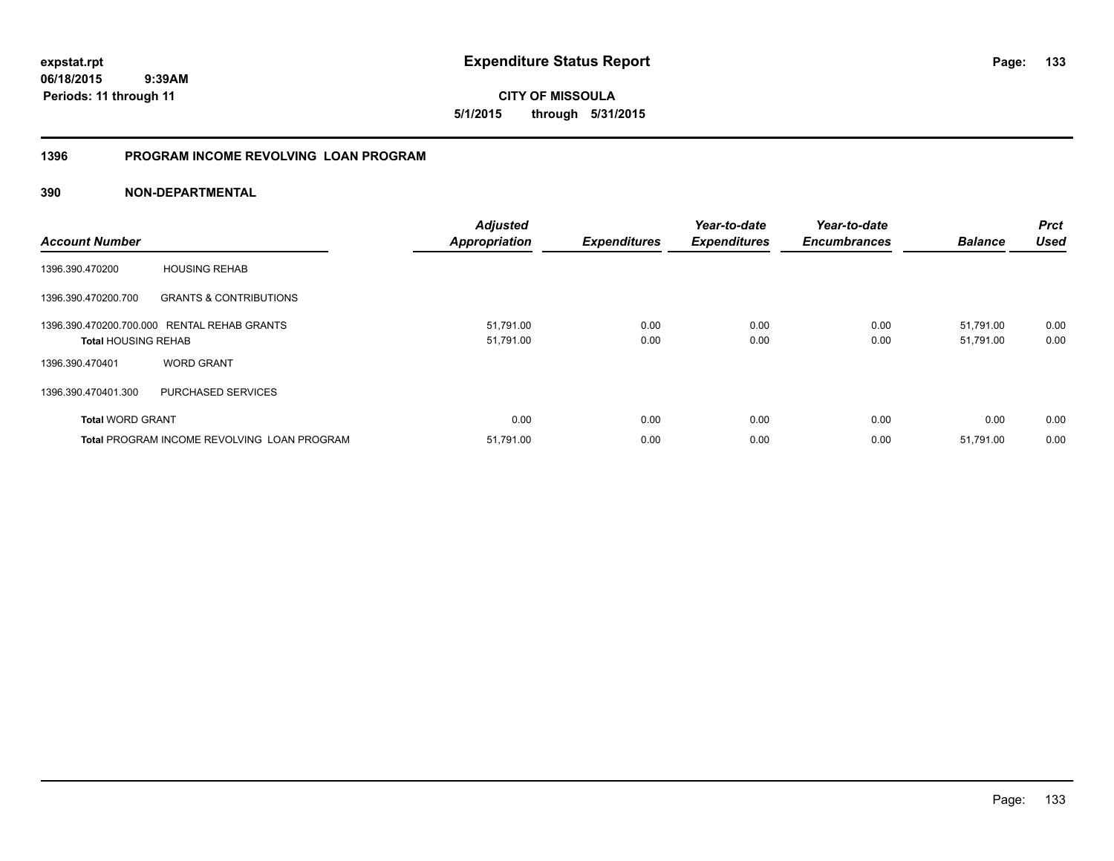**CITY OF MISSOULA 5/1/2015 through 5/31/2015**

### **1396 PROGRAM INCOME REVOLVING LOAN PROGRAM**

| <b>Account Number</b>      |                                             | <b>Adjusted</b><br><b>Appropriation</b> | <b>Expenditures</b> | Year-to-date<br><b>Expenditures</b> | Year-to-date<br><b>Encumbrances</b> | <b>Balance</b>         | <b>Prct</b><br><b>Used</b> |
|----------------------------|---------------------------------------------|-----------------------------------------|---------------------|-------------------------------------|-------------------------------------|------------------------|----------------------------|
| 1396.390.470200            | <b>HOUSING REHAB</b>                        |                                         |                     |                                     |                                     |                        |                            |
| 1396.390.470200.700        | <b>GRANTS &amp; CONTRIBUTIONS</b>           |                                         |                     |                                     |                                     |                        |                            |
| <b>Total HOUSING REHAB</b> | 1396.390.470200.700.000 RENTAL REHAB GRANTS | 51,791.00<br>51,791.00                  | 0.00<br>0.00        | 0.00<br>0.00                        | 0.00<br>0.00                        | 51,791.00<br>51,791.00 | 0.00<br>0.00               |
| 1396.390.470401            | <b>WORD GRANT</b>                           |                                         |                     |                                     |                                     |                        |                            |
| 1396.390.470401.300        | PURCHASED SERVICES                          |                                         |                     |                                     |                                     |                        |                            |
| <b>Total WORD GRANT</b>    |                                             | 0.00                                    | 0.00                | 0.00                                | 0.00                                | 0.00                   | 0.00                       |
|                            | Total PROGRAM INCOME REVOLVING LOAN PROGRAM | 51,791.00                               | 0.00                | 0.00                                | 0.00                                | 51,791.00              | 0.00                       |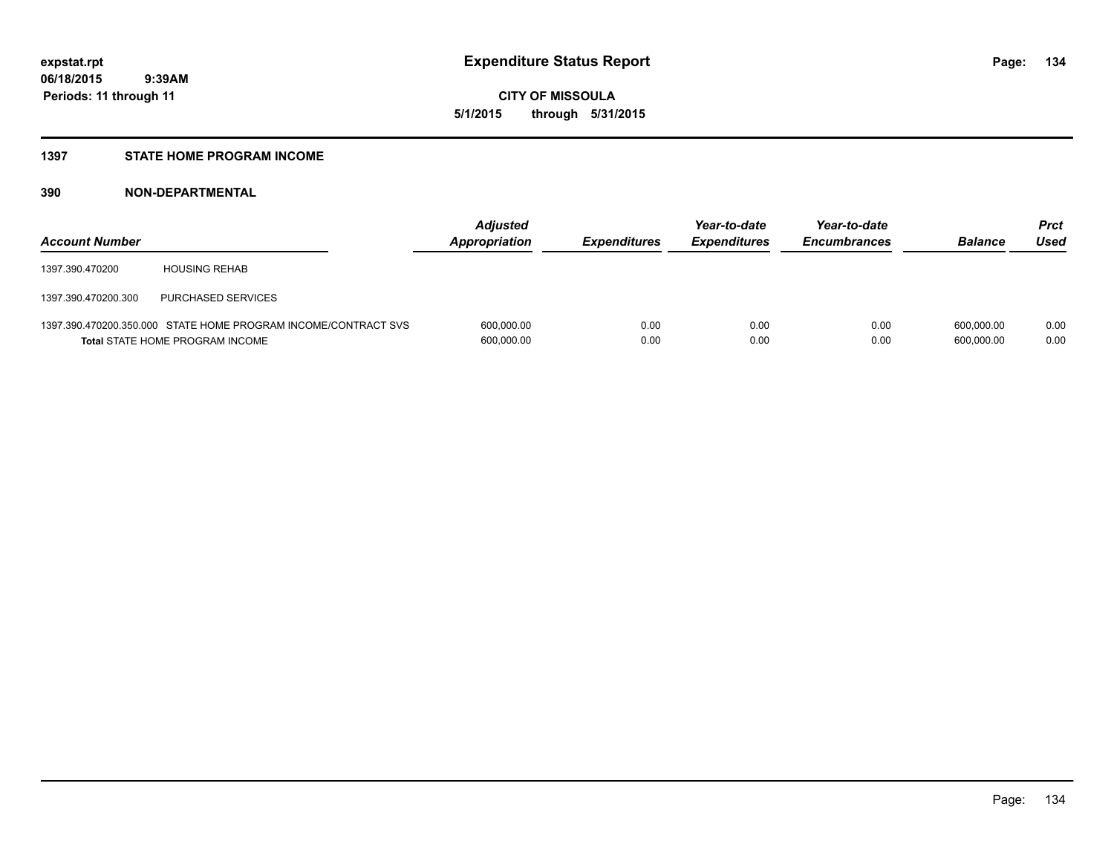**Periods: 11 through 11**

**CITY OF MISSOULA 5/1/2015 through 5/31/2015**

#### **1397 STATE HOME PROGRAM INCOME**

| <b>Account Number</b> |                                                                                                   | <b>Adjusted</b><br>Appropriation | <b>Expenditures</b> | Year-to-date<br><b>Expenditures</b> | Year-to-date<br><b>Encumbrances</b> | <b>Balance</b>           | <b>Prct</b><br>Used |
|-----------------------|---------------------------------------------------------------------------------------------------|----------------------------------|---------------------|-------------------------------------|-------------------------------------|--------------------------|---------------------|
| 1397.390.470200       | <b>HOUSING REHAB</b>                                                                              |                                  |                     |                                     |                                     |                          |                     |
| 1397.390.470200.300   | PURCHASED SERVICES                                                                                |                                  |                     |                                     |                                     |                          |                     |
|                       | 1397.390.470200.350.000 STATE HOME PROGRAM INCOME/CONTRACT SVS<br>Total STATE HOME PROGRAM INCOME | 600,000.00<br>600,000.00         | 0.00<br>0.00        | 0.00<br>0.00                        | 0.00<br>0.00                        | 600.000.00<br>600,000.00 | 0.00<br>0.00        |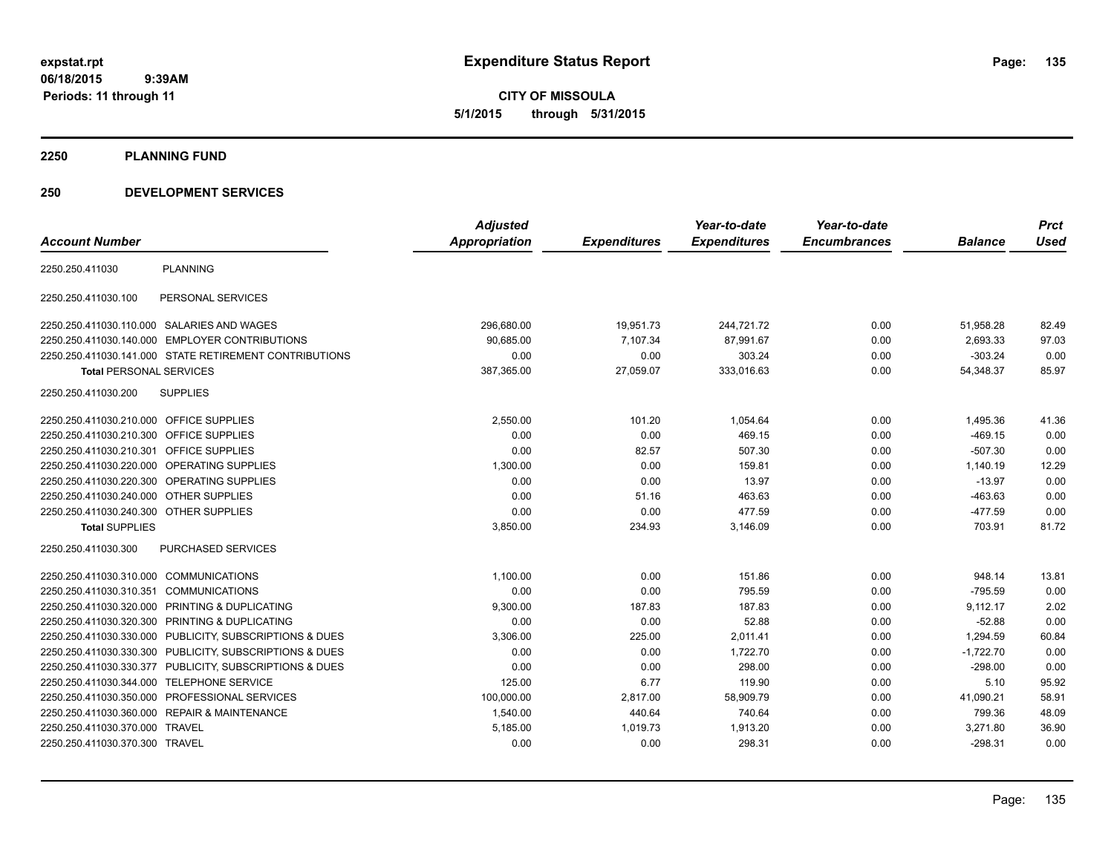**CITY OF MISSOULA 5/1/2015 through 5/31/2015**

#### **2250 PLANNING FUND**

### **250 DEVELOPMENT SERVICES**

|                                           |                                                         | <b>Adjusted</b> |                     | Year-to-date        | Year-to-date        |                | <b>Prct</b> |
|-------------------------------------------|---------------------------------------------------------|-----------------|---------------------|---------------------|---------------------|----------------|-------------|
| <b>Account Number</b>                     |                                                         | Appropriation   | <b>Expenditures</b> | <b>Expenditures</b> | <b>Encumbrances</b> | <b>Balance</b> | <b>Used</b> |
| 2250.250.411030                           | <b>PLANNING</b>                                         |                 |                     |                     |                     |                |             |
| 2250.250.411030.100                       | PERSONAL SERVICES                                       |                 |                     |                     |                     |                |             |
|                                           | 2250.250.411030.110.000 SALARIES AND WAGES              | 296,680.00      | 19,951.73           | 244,721.72          | 0.00                | 51,958.28      | 82.49       |
|                                           | 2250.250.411030.140.000 EMPLOYER CONTRIBUTIONS          | 90.685.00       | 7,107.34            | 87,991.67           | 0.00                | 2,693.33       | 97.03       |
|                                           | 2250.250.411030.141.000 STATE RETIREMENT CONTRIBUTIONS  | 0.00            | 0.00                | 303.24              | 0.00                | $-303.24$      | 0.00        |
| <b>Total PERSONAL SERVICES</b>            |                                                         | 387,365.00      | 27,059.07           | 333,016.63          | 0.00                | 54,348.37      | 85.97       |
| 2250.250.411030.200                       | <b>SUPPLIES</b>                                         |                 |                     |                     |                     |                |             |
| 2250.250.411030.210.000 OFFICE SUPPLIES   |                                                         | 2,550.00        | 101.20              | 1,054.64            | 0.00                | 1,495.36       | 41.36       |
| 2250.250.411030.210.300 OFFICE SUPPLIES   |                                                         | 0.00            | 0.00                | 469.15              | 0.00                | $-469.15$      | 0.00        |
| 2250.250.411030.210.301 OFFICE SUPPLIES   |                                                         | 0.00            | 82.57               | 507.30              | 0.00                | $-507.30$      | 0.00        |
|                                           | 2250.250.411030.220.000 OPERATING SUPPLIES              | 1,300.00        | 0.00                | 159.81              | 0.00                | 1,140.19       | 12.29       |
|                                           | 2250.250.411030.220.300 OPERATING SUPPLIES              | 0.00            | 0.00                | 13.97               | 0.00                | $-13.97$       | 0.00        |
| 2250.250.411030.240.000 OTHER SUPPLIES    |                                                         | 0.00            | 51.16               | 463.63              | 0.00                | $-463.63$      | 0.00        |
| 2250.250.411030.240.300 OTHER SUPPLIES    |                                                         | 0.00            | 0.00                | 477.59              | 0.00                | $-477.59$      | 0.00        |
| <b>Total SUPPLIES</b>                     |                                                         | 3,850.00        | 234.93              | 3,146.09            | 0.00                | 703.91         | 81.72       |
| 2250.250.411030.300                       | PURCHASED SERVICES                                      |                 |                     |                     |                     |                |             |
| 2250.250.411030.310.000 COMMUNICATIONS    |                                                         | 1,100.00        | 0.00                | 151.86              | 0.00                | 948.14         | 13.81       |
| 2250.250.411030.310.351 COMMUNICATIONS    |                                                         | 0.00            | 0.00                | 795.59              | 0.00                | $-795.59$      | 0.00        |
|                                           | 2250.250.411030.320.000 PRINTING & DUPLICATING          | 9,300.00        | 187.83              | 187.83              | 0.00                | 9,112.17       | 2.02        |
|                                           | 2250.250.411030.320.300 PRINTING & DUPLICATING          | 0.00            | 0.00                | 52.88               | 0.00                | $-52.88$       | 0.00        |
|                                           | 2250.250.411030.330.000 PUBLICITY, SUBSCRIPTIONS & DUES | 3,306.00        | 225.00              | 2,011.41            | 0.00                | 1,294.59       | 60.84       |
|                                           | 2250.250.411030.330.300 PUBLICITY, SUBSCRIPTIONS & DUES | 0.00            | 0.00                | 1,722.70            | 0.00                | $-1,722.70$    | 0.00        |
|                                           | 2250.250.411030.330.377 PUBLICITY, SUBSCRIPTIONS & DUES | 0.00            | 0.00                | 298.00              | 0.00                | $-298.00$      | 0.00        |
| 2250.250.411030.344.000 TELEPHONE SERVICE |                                                         | 125.00          | 6.77                | 119.90              | 0.00                | 5.10           | 95.92       |
|                                           | 2250.250.411030.350.000 PROFESSIONAL SERVICES           | 100,000.00      | 2,817.00            | 58,909.79           | 0.00                | 41,090.21      | 58.91       |
|                                           | 2250.250.411030.360.000 REPAIR & MAINTENANCE            | 1,540.00        | 440.64              | 740.64              | 0.00                | 799.36         | 48.09       |
| 2250.250.411030.370.000 TRAVEL            |                                                         | 5,185.00        | 1,019.73            | 1,913.20            | 0.00                | 3,271.80       | 36.90       |
| 2250.250.411030.370.300 TRAVEL            |                                                         | 0.00            | 0.00                | 298.31              | 0.00                | $-298.31$      | 0.00        |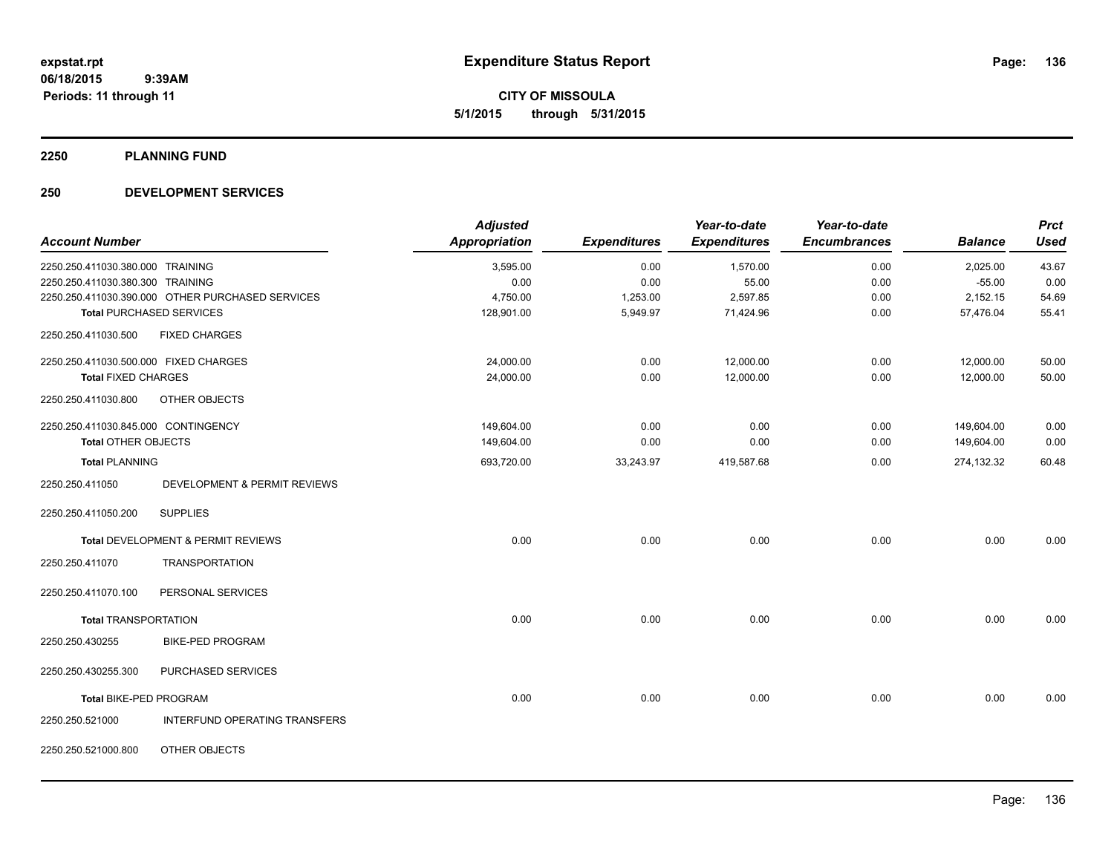**CITY OF MISSOULA 5/1/2015 through 5/31/2015**

**2250 PLANNING FUND**

### **250 DEVELOPMENT SERVICES**

| <b>Account Number</b>                 |                                                  | <b>Adjusted</b><br><b>Appropriation</b> | <b>Expenditures</b> | Year-to-date<br><b>Expenditures</b> | Year-to-date<br><b>Encumbrances</b> | <b>Balance</b> | <b>Prct</b><br><b>Used</b> |
|---------------------------------------|--------------------------------------------------|-----------------------------------------|---------------------|-------------------------------------|-------------------------------------|----------------|----------------------------|
|                                       |                                                  |                                         |                     |                                     |                                     |                |                            |
| 2250.250.411030.380.000 TRAINING      |                                                  | 3,595.00                                | 0.00                | 1,570.00                            | 0.00                                | 2,025.00       | 43.67                      |
| 2250.250.411030.380.300 TRAINING      |                                                  | 0.00                                    | 0.00                | 55.00                               | 0.00                                | $-55.00$       | 0.00                       |
|                                       | 2250.250.411030.390.000 OTHER PURCHASED SERVICES | 4,750.00                                | 1,253.00            | 2,597.85                            | 0.00                                | 2,152.15       | 54.69                      |
|                                       | <b>Total PURCHASED SERVICES</b>                  | 128,901.00                              | 5,949.97            | 71,424.96                           | 0.00                                | 57,476.04      | 55.41                      |
| 2250.250.411030.500                   | <b>FIXED CHARGES</b>                             |                                         |                     |                                     |                                     |                |                            |
| 2250.250.411030.500.000 FIXED CHARGES |                                                  | 24,000.00                               | 0.00                | 12,000.00                           | 0.00                                | 12,000.00      | 50.00                      |
| <b>Total FIXED CHARGES</b>            |                                                  | 24,000.00                               | 0.00                | 12,000.00                           | 0.00                                | 12,000.00      | 50.00                      |
| 2250.250.411030.800                   | OTHER OBJECTS                                    |                                         |                     |                                     |                                     |                |                            |
| 2250.250.411030.845.000 CONTINGENCY   |                                                  | 149,604.00                              | 0.00                | 0.00                                | 0.00                                | 149,604.00     | 0.00                       |
| <b>Total OTHER OBJECTS</b>            |                                                  | 149,604.00                              | 0.00                | 0.00                                | 0.00                                | 149,604.00     | 0.00                       |
| <b>Total PLANNING</b>                 |                                                  | 693,720.00                              | 33,243.97           | 419,587.68                          | 0.00                                | 274,132.32     | 60.48                      |
| 2250.250.411050                       | DEVELOPMENT & PERMIT REVIEWS                     |                                         |                     |                                     |                                     |                |                            |
| 2250.250.411050.200                   | <b>SUPPLIES</b>                                  |                                         |                     |                                     |                                     |                |                            |
|                                       | Total DEVELOPMENT & PERMIT REVIEWS               | 0.00                                    | 0.00                | 0.00                                | 0.00                                | 0.00           | 0.00                       |
| 2250.250.411070                       | <b>TRANSPORTATION</b>                            |                                         |                     |                                     |                                     |                |                            |
| 2250.250.411070.100                   | PERSONAL SERVICES                                |                                         |                     |                                     |                                     |                |                            |
| <b>Total TRANSPORTATION</b>           |                                                  | 0.00                                    | 0.00                | 0.00                                | 0.00                                | 0.00           | 0.00                       |
| 2250.250.430255                       | <b>BIKE-PED PROGRAM</b>                          |                                         |                     |                                     |                                     |                |                            |
| 2250.250.430255.300                   | PURCHASED SERVICES                               |                                         |                     |                                     |                                     |                |                            |
| Total BIKE-PED PROGRAM                |                                                  | 0.00                                    | 0.00                | 0.00                                | 0.00                                | 0.00           | 0.00                       |
| 2250.250.521000                       | INTERFUND OPERATING TRANSFERS                    |                                         |                     |                                     |                                     |                |                            |
| 2250.250.521000.800                   | OTHER OBJECTS                                    |                                         |                     |                                     |                                     |                |                            |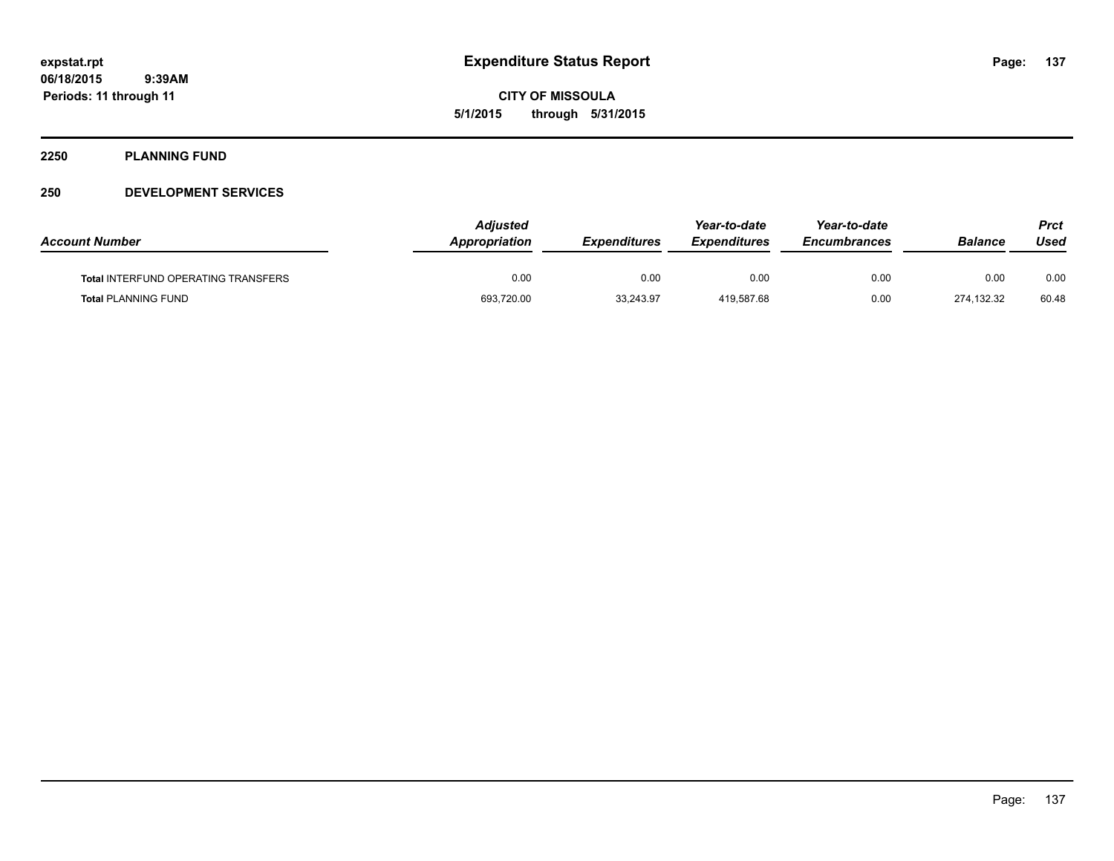**CITY OF MISSOULA 5/1/2015 through 5/31/2015**

#### **2250 PLANNING FUND**

### **250 DEVELOPMENT SERVICES**

| <b>Account Number</b>                      | <b>Adjusted</b><br><b>Appropriation</b> | <b>Expenditures</b> | Year-to-date<br><b>Expenditures</b> | Year-to-date<br><i><b>Encumbrances</b></i> | <b>Balance</b> | Prct<br>Used |
|--------------------------------------------|-----------------------------------------|---------------------|-------------------------------------|--------------------------------------------|----------------|--------------|
| <b>Total INTERFUND OPERATING TRANSFERS</b> | 0.00                                    | 0.00                | 0.00                                | 0.00                                       | 0.00           | 0.00         |
| <b>Total PLANNING FUND</b>                 | 693,720.00                              | 33.243.97           | 419.587.68                          | 0.00                                       | 274.132.32     | 60.48        |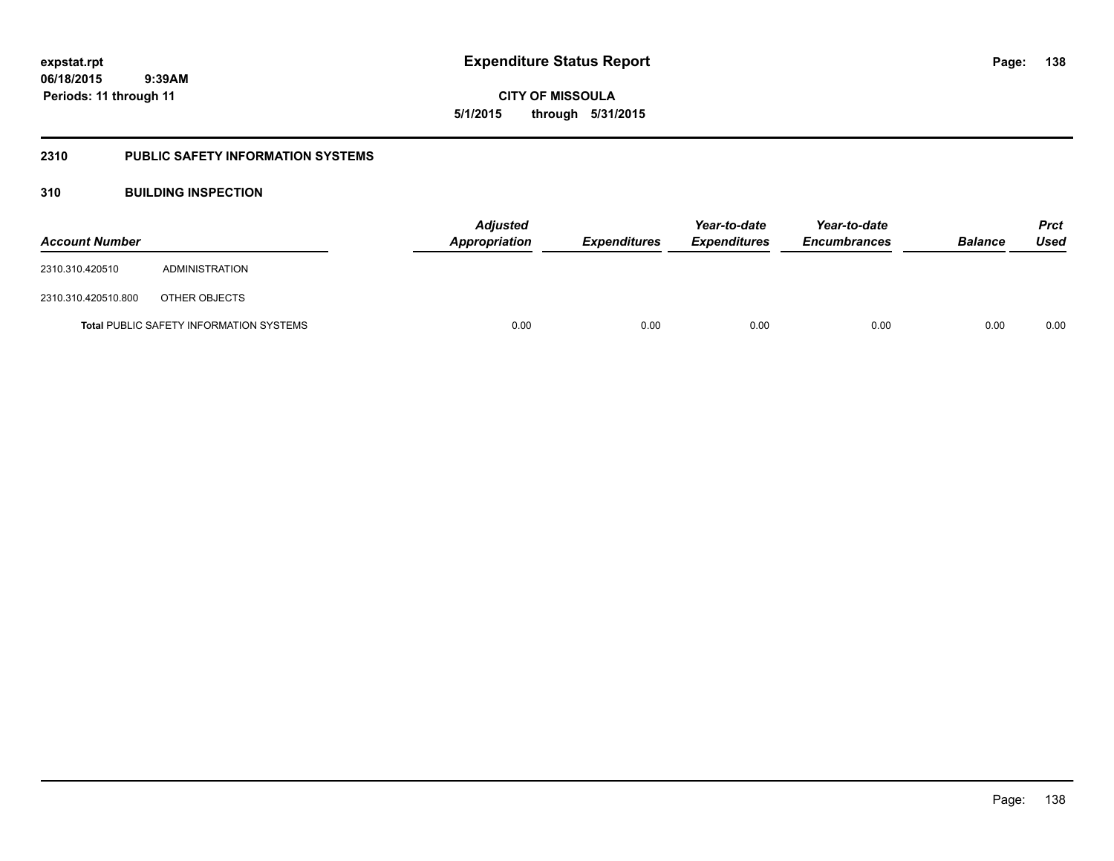**138**

**06/18/2015 9:39AM Periods: 11 through 11**

**CITY OF MISSOULA 5/1/2015 through 5/31/2015**

#### **2310 PUBLIC SAFETY INFORMATION SYSTEMS**

### **310 BUILDING INSPECTION**

| <b>Account Number</b> |                                                | Appropriation | <b>Adjusted</b> | <b>Expenditures</b> | Year-to-date<br><b>Expenditures</b> | Year-to-date<br><b>Encumbrances</b> | <b>Balance</b> | <b>Prct</b><br>Used |
|-----------------------|------------------------------------------------|---------------|-----------------|---------------------|-------------------------------------|-------------------------------------|----------------|---------------------|
| 2310.310.420510       | ADMINISTRATION                                 |               |                 |                     |                                     |                                     |                |                     |
| 2310.310.420510.800   | OTHER OBJECTS                                  |               |                 |                     |                                     |                                     |                |                     |
|                       | <b>Total PUBLIC SAFETY INFORMATION SYSTEMS</b> |               | 0.00            | 0.00                | 0.00                                | 0.00                                | 0.00           | 0.00                |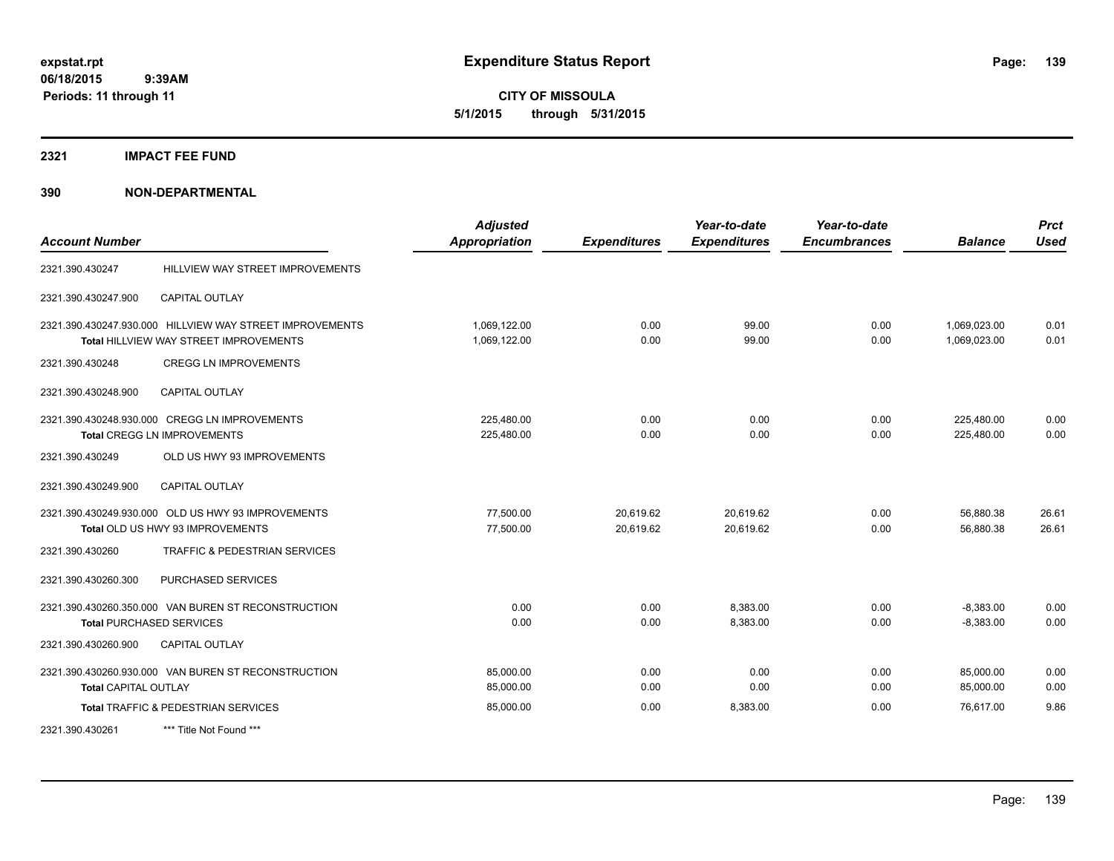**CITY OF MISSOULA 5/1/2015 through 5/31/2015**

#### **2321 IMPACT FEE FUND**

| <b>Account Number</b>       |                                                                                                           | <b>Adjusted</b><br><b>Appropriation</b> | <b>Expenditures</b>    | Year-to-date<br><b>Expenditures</b> | Year-to-date<br><b>Encumbrances</b> | <b>Balance</b>               | <b>Prct</b><br><b>Used</b> |
|-----------------------------|-----------------------------------------------------------------------------------------------------------|-----------------------------------------|------------------------|-------------------------------------|-------------------------------------|------------------------------|----------------------------|
| 2321.390.430247             | HILLVIEW WAY STREET IMPROVEMENTS                                                                          |                                         |                        |                                     |                                     |                              |                            |
| 2321.390.430247.900         | <b>CAPITAL OUTLAY</b>                                                                                     |                                         |                        |                                     |                                     |                              |                            |
|                             | 2321.390.430247.930.000 HILLVIEW WAY STREET IMPROVEMENTS<br><b>Total HILLVIEW WAY STREET IMPROVEMENTS</b> | 1,069,122.00<br>1,069,122.00            | 0.00<br>0.00           | 99.00<br>99.00                      | 0.00<br>0.00                        | 1,069,023.00<br>1.069.023.00 | 0.01<br>0.01               |
| 2321.390.430248             | <b>CREGG LN IMPROVEMENTS</b>                                                                              |                                         |                        |                                     |                                     |                              |                            |
| 2321.390.430248.900         | <b>CAPITAL OUTLAY</b>                                                                                     |                                         |                        |                                     |                                     |                              |                            |
|                             | 2321.390.430248.930.000 CREGG LN IMPROVEMENTS<br>Total CREGG LN IMPROVEMENTS                              | 225,480.00<br>225,480.00                | 0.00<br>0.00           | 0.00<br>0.00                        | 0.00<br>0.00                        | 225,480.00<br>225,480.00     | 0.00<br>0.00               |
| 2321.390.430249             | OLD US HWY 93 IMPROVEMENTS                                                                                |                                         |                        |                                     |                                     |                              |                            |
| 2321.390.430249.900         | <b>CAPITAL OUTLAY</b>                                                                                     |                                         |                        |                                     |                                     |                              |                            |
|                             | 2321.390.430249.930.000 OLD US HWY 93 IMPROVEMENTS<br>Total OLD US HWY 93 IMPROVEMENTS                    | 77.500.00<br>77,500.00                  | 20,619.62<br>20,619.62 | 20,619.62<br>20,619.62              | 0.00<br>0.00                        | 56,880.38<br>56,880.38       | 26.61<br>26.61             |
| 2321.390.430260             | TRAFFIC & PEDESTRIAN SERVICES                                                                             |                                         |                        |                                     |                                     |                              |                            |
| 2321.390.430260.300         | PURCHASED SERVICES                                                                                        |                                         |                        |                                     |                                     |                              |                            |
|                             | 2321.390.430260.350.000 VAN BUREN ST RECONSTRUCTION<br><b>Total PURCHASED SERVICES</b>                    | 0.00<br>0.00                            | 0.00<br>0.00           | 8,383.00<br>8,383.00                | 0.00<br>0.00                        | $-8,383.00$<br>$-8,383.00$   | 0.00<br>0.00               |
| 2321.390.430260.900         | <b>CAPITAL OUTLAY</b>                                                                                     |                                         |                        |                                     |                                     |                              |                            |
| <b>Total CAPITAL OUTLAY</b> | 2321.390.430260.930.000 VAN BUREN ST RECONSTRUCTION                                                       | 85,000.00<br>85,000.00                  | 0.00<br>0.00           | 0.00<br>0.00                        | 0.00<br>0.00                        | 85,000.00<br>85,000.00       | 0.00<br>0.00               |
|                             | Total TRAFFIC & PEDESTRIAN SERVICES                                                                       | 85,000.00                               | 0.00                   | 8,383.00                            | 0.00                                | 76,617.00                    | 9.86                       |
| 2321.390.430261             | *** Title Not Found ***                                                                                   |                                         |                        |                                     |                                     |                              |                            |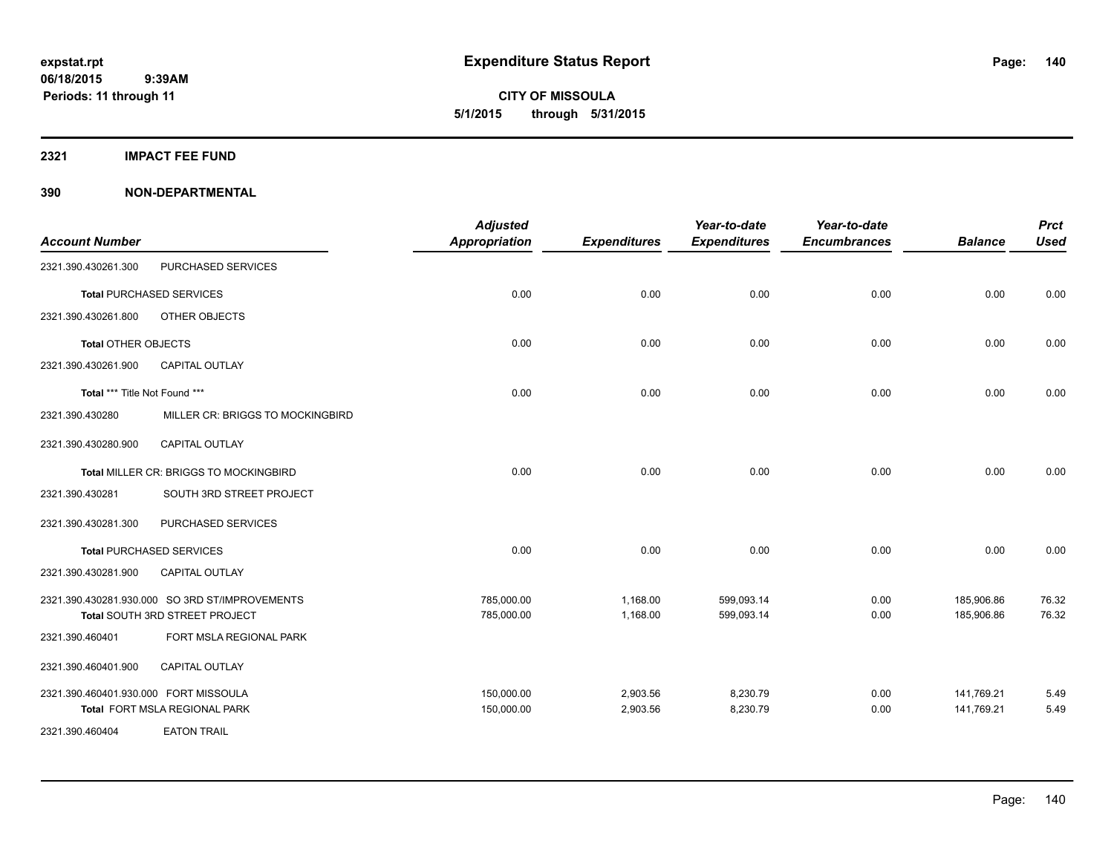**CITY OF MISSOULA 5/1/2015 through 5/31/2015**

#### **2321 IMPACT FEE FUND**

|                                       |                                                                                  | <b>Adjusted</b>          |                      | Year-to-date             | Year-to-date        |                          | <b>Prct</b>    |
|---------------------------------------|----------------------------------------------------------------------------------|--------------------------|----------------------|--------------------------|---------------------|--------------------------|----------------|
| <b>Account Number</b>                 |                                                                                  | <b>Appropriation</b>     | <b>Expenditures</b>  | <b>Expenditures</b>      | <b>Encumbrances</b> | <b>Balance</b>           | <b>Used</b>    |
| 2321.390.430261.300                   | PURCHASED SERVICES                                                               |                          |                      |                          |                     |                          |                |
|                                       | <b>Total PURCHASED SERVICES</b>                                                  | 0.00                     | 0.00                 | 0.00                     | 0.00                | 0.00                     | 0.00           |
| 2321.390.430261.800                   | OTHER OBJECTS                                                                    |                          |                      |                          |                     |                          |                |
| <b>Total OTHER OBJECTS</b>            |                                                                                  | 0.00                     | 0.00                 | 0.00                     | 0.00                | 0.00                     | 0.00           |
| 2321.390.430261.900                   | <b>CAPITAL OUTLAY</b>                                                            |                          |                      |                          |                     |                          |                |
| Total *** Title Not Found ***         |                                                                                  | 0.00                     | 0.00                 | 0.00                     | 0.00                | 0.00                     | 0.00           |
| 2321.390.430280                       | MILLER CR: BRIGGS TO MOCKINGBIRD                                                 |                          |                      |                          |                     |                          |                |
| 2321.390.430280.900                   | <b>CAPITAL OUTLAY</b>                                                            |                          |                      |                          |                     |                          |                |
|                                       | Total MILLER CR: BRIGGS TO MOCKINGBIRD                                           | 0.00                     | 0.00                 | 0.00                     | 0.00                | 0.00                     | 0.00           |
| 2321.390.430281                       | SOUTH 3RD STREET PROJECT                                                         |                          |                      |                          |                     |                          |                |
| 2321.390.430281.300                   | PURCHASED SERVICES                                                               |                          |                      |                          |                     |                          |                |
|                                       | <b>Total PURCHASED SERVICES</b>                                                  | 0.00                     | 0.00                 | 0.00                     | 0.00                | 0.00                     | 0.00           |
| 2321.390.430281.900                   | CAPITAL OUTLAY                                                                   |                          |                      |                          |                     |                          |                |
|                                       | 2321.390.430281.930.000 SO 3RD ST/IMPROVEMENTS<br>Total SOUTH 3RD STREET PROJECT | 785,000.00<br>785,000.00 | 1,168.00<br>1,168.00 | 599,093.14<br>599,093.14 | 0.00<br>0.00        | 185,906.86<br>185,906.86 | 76.32<br>76.32 |
| 2321.390.460401                       | FORT MSLA REGIONAL PARK                                                          |                          |                      |                          |                     |                          |                |
| 2321.390.460401.900                   | CAPITAL OUTLAY                                                                   |                          |                      |                          |                     |                          |                |
| 2321.390.460401.930.000 FORT MISSOULA |                                                                                  | 150,000.00               | 2,903.56             | 8,230.79                 | 0.00                | 141,769.21               | 5.49           |
| 2321.390.460404                       | Total FORT MSLA REGIONAL PARK<br><b>EATON TRAIL</b>                              | 150,000.00               | 2,903.56             | 8,230.79                 | 0.00                | 141,769.21               | 5.49           |
|                                       |                                                                                  |                          |                      |                          |                     |                          |                |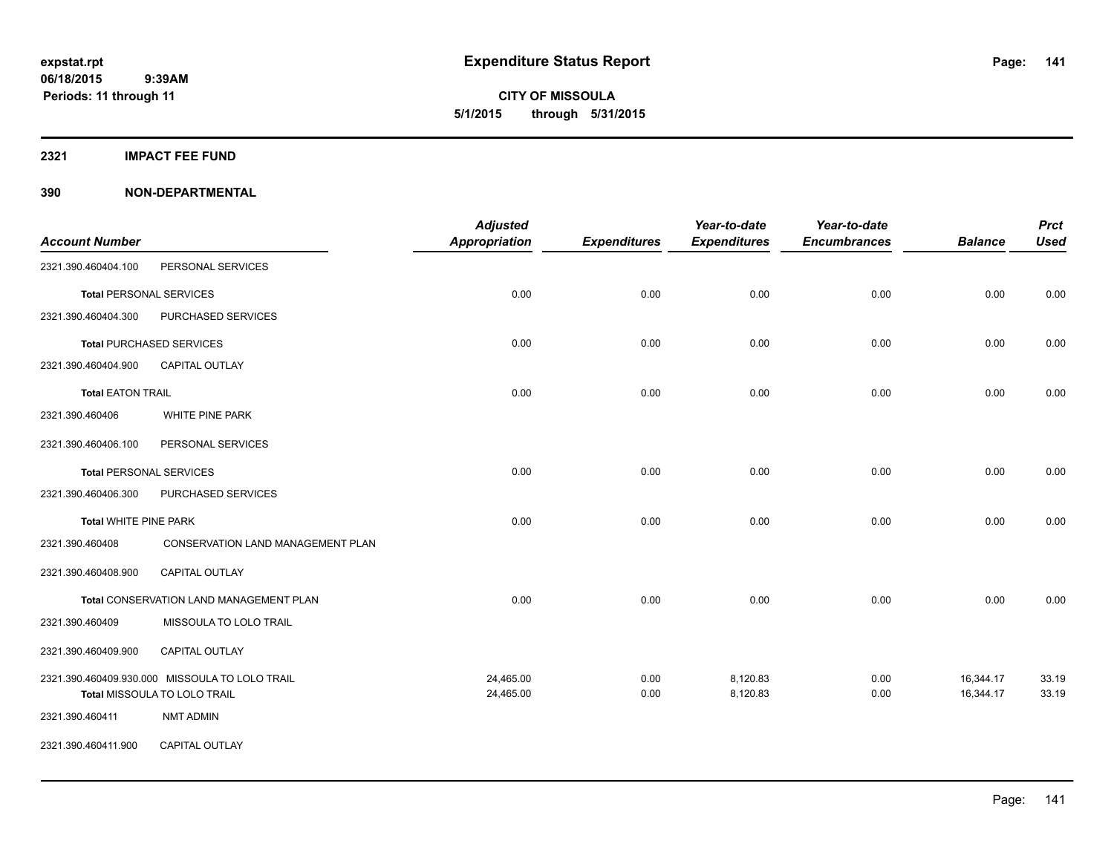**CITY OF MISSOULA 5/1/2015 through 5/31/2015**

**2321 IMPACT FEE FUND**

| <b>Account Number</b>          |                                                | <b>Adjusted</b><br><b>Appropriation</b> | <b>Expenditures</b> | Year-to-date<br><b>Expenditures</b> | Year-to-date<br><b>Encumbrances</b> | <b>Balance</b> | <b>Prct</b><br><b>Used</b> |
|--------------------------------|------------------------------------------------|-----------------------------------------|---------------------|-------------------------------------|-------------------------------------|----------------|----------------------------|
| 2321.390.460404.100            | PERSONAL SERVICES                              |                                         |                     |                                     |                                     |                |                            |
| <b>Total PERSONAL SERVICES</b> |                                                | 0.00                                    | 0.00                | 0.00                                | 0.00                                | 0.00           | 0.00                       |
| 2321.390.460404.300            | PURCHASED SERVICES                             |                                         |                     |                                     |                                     |                |                            |
|                                | <b>Total PURCHASED SERVICES</b>                | 0.00                                    | 0.00                | 0.00                                | 0.00                                | 0.00           | 0.00                       |
| 2321.390.460404.900            | <b>CAPITAL OUTLAY</b>                          |                                         |                     |                                     |                                     |                |                            |
| <b>Total EATON TRAIL</b>       |                                                | 0.00                                    | 0.00                | 0.00                                | 0.00                                | 0.00           | 0.00                       |
| 2321.390.460406                | WHITE PINE PARK                                |                                         |                     |                                     |                                     |                |                            |
| 2321.390.460406.100            | PERSONAL SERVICES                              |                                         |                     |                                     |                                     |                |                            |
| <b>Total PERSONAL SERVICES</b> |                                                | 0.00                                    | 0.00                | 0.00                                | 0.00                                | 0.00           | 0.00                       |
| 2321.390.460406.300            | PURCHASED SERVICES                             |                                         |                     |                                     |                                     |                |                            |
| <b>Total WHITE PINE PARK</b>   |                                                | 0.00                                    | 0.00                | 0.00                                | 0.00                                | 0.00           | 0.00                       |
| 2321.390.460408                | CONSERVATION LAND MANAGEMENT PLAN              |                                         |                     |                                     |                                     |                |                            |
| 2321.390.460408.900            | CAPITAL OUTLAY                                 |                                         |                     |                                     |                                     |                |                            |
|                                | Total CONSERVATION LAND MANAGEMENT PLAN        | 0.00                                    | 0.00                | 0.00                                | 0.00                                | 0.00           | 0.00                       |
| 2321.390.460409                | MISSOULA TO LOLO TRAIL                         |                                         |                     |                                     |                                     |                |                            |
| 2321.390.460409.900            | CAPITAL OUTLAY                                 |                                         |                     |                                     |                                     |                |                            |
|                                | 2321.390.460409.930.000 MISSOULA TO LOLO TRAIL | 24,465.00                               | 0.00                | 8,120.83                            | 0.00                                | 16,344.17      | 33.19                      |
|                                | Total MISSOULA TO LOLO TRAIL                   | 24,465.00                               | 0.00                | 8,120.83                            | 0.00                                | 16,344.17      | 33.19                      |
| 2321.390.460411                | <b>NMT ADMIN</b>                               |                                         |                     |                                     |                                     |                |                            |
| 2321.390.460411.900            | CAPITAL OUTLAY                                 |                                         |                     |                                     |                                     |                |                            |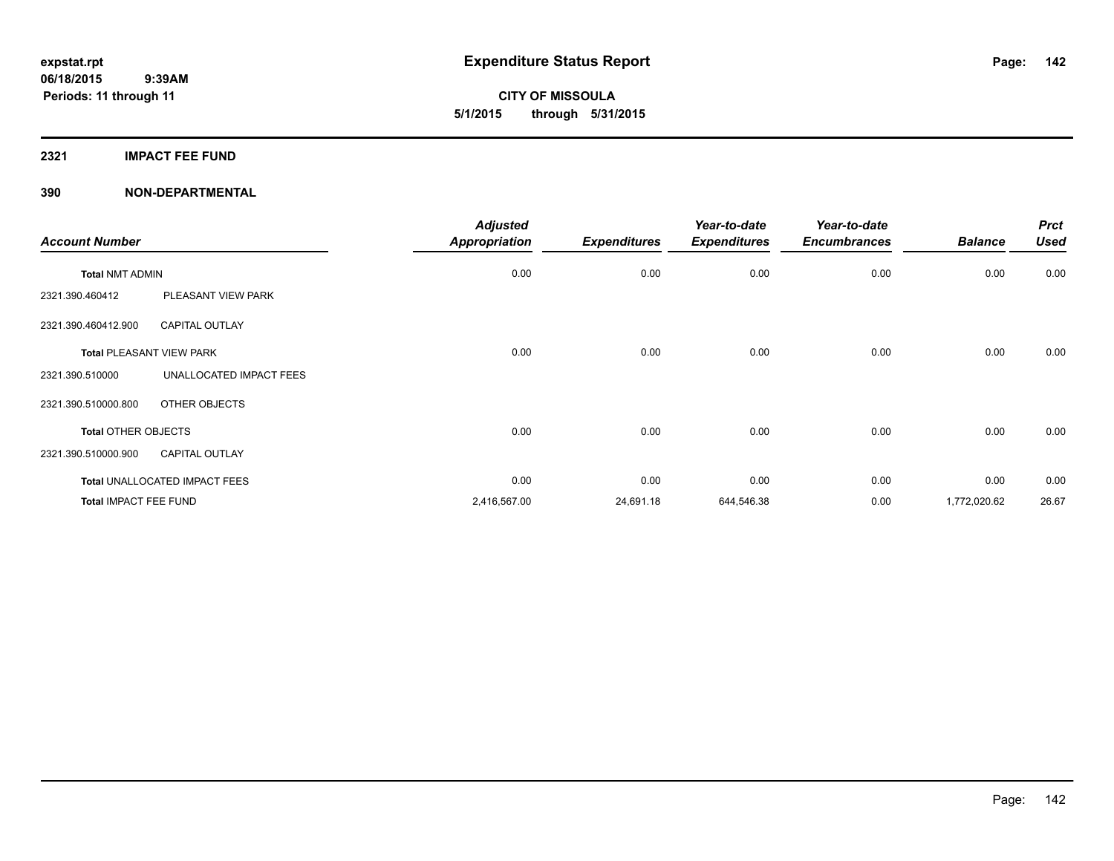**CITY OF MISSOULA 5/1/2015 through 5/31/2015**

### **2321 IMPACT FEE FUND**

| <b>Account Number</b>      |                                 | <b>Adjusted</b><br><b>Appropriation</b> | <b>Expenditures</b> | Year-to-date<br><b>Expenditures</b> | Year-to-date<br><b>Encumbrances</b> | <b>Balance</b> | <b>Prct</b><br><b>Used</b> |
|----------------------------|---------------------------------|-----------------------------------------|---------------------|-------------------------------------|-------------------------------------|----------------|----------------------------|
|                            |                                 |                                         |                     |                                     |                                     |                |                            |
| <b>Total NMT ADMIN</b>     |                                 | 0.00                                    | 0.00                | 0.00                                | 0.00                                | 0.00           | 0.00                       |
| 2321.390.460412            | PLEASANT VIEW PARK              |                                         |                     |                                     |                                     |                |                            |
| 2321.390.460412.900        | <b>CAPITAL OUTLAY</b>           |                                         |                     |                                     |                                     |                |                            |
|                            | <b>Total PLEASANT VIEW PARK</b> | 0.00                                    | 0.00                | 0.00                                | 0.00                                | 0.00           | 0.00                       |
| 2321.390.510000            | UNALLOCATED IMPACT FEES         |                                         |                     |                                     |                                     |                |                            |
| 2321.390.510000.800        | OTHER OBJECTS                   |                                         |                     |                                     |                                     |                |                            |
| <b>Total OTHER OBJECTS</b> |                                 | 0.00                                    | 0.00                | 0.00                                | 0.00                                | 0.00           | 0.00                       |
| 2321.390.510000.900        | <b>CAPITAL OUTLAY</b>           |                                         |                     |                                     |                                     |                |                            |
|                            | Total UNALLOCATED IMPACT FEES   | 0.00                                    | 0.00                | 0.00                                | 0.00                                | 0.00           | 0.00                       |
| Total IMPACT FEE FUND      |                                 | 2,416,567.00                            | 24,691.18           | 644,546.38                          | 0.00                                | 1,772,020.62   | 26.67                      |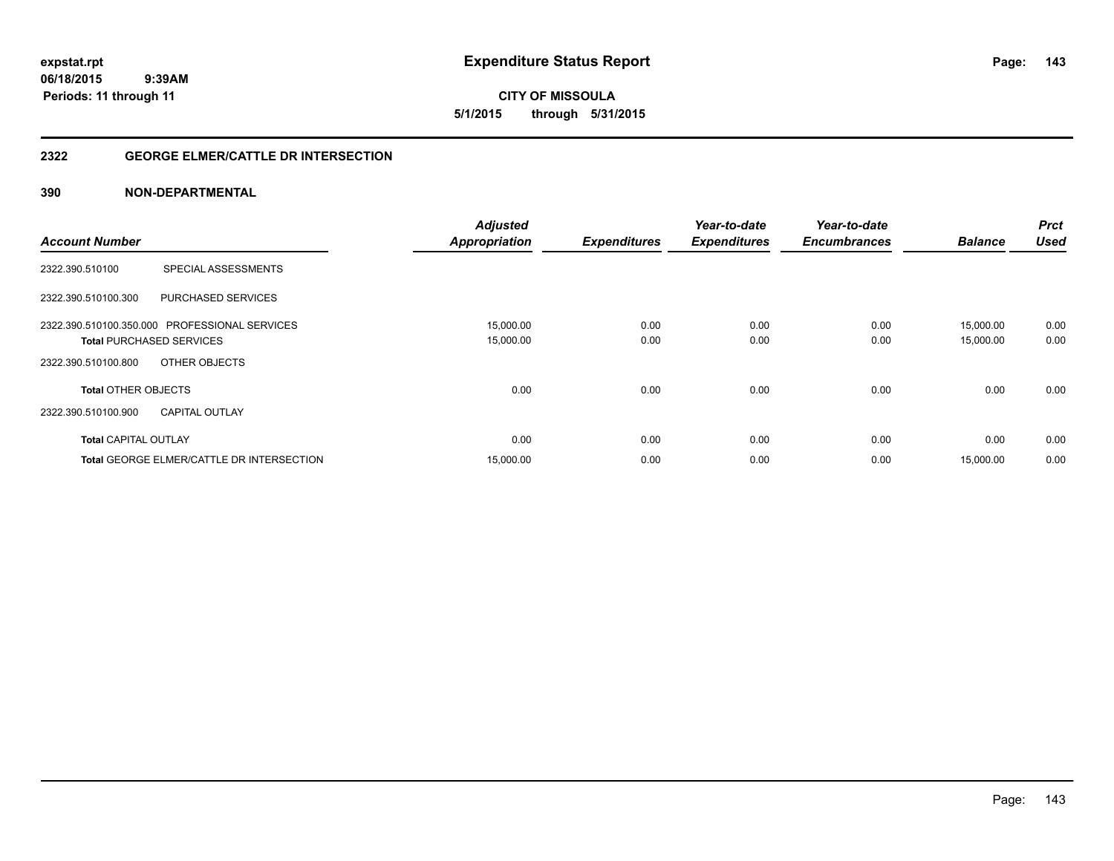**expstat.rpt Expenditure Status Report** 

**06/18/2015 9:39AM Periods: 11 through 11**

**CITY OF MISSOULA 5/1/2015 through 5/31/2015**

### **2322 GEORGE ELMER/CATTLE DR INTERSECTION**

|                                                  | <b>Adjusted</b>      |                     | Year-to-date        | Year-to-date        |                | <b>Prct</b> |
|--------------------------------------------------|----------------------|---------------------|---------------------|---------------------|----------------|-------------|
| <b>Account Number</b>                            | <b>Appropriation</b> | <b>Expenditures</b> | <b>Expenditures</b> | <b>Encumbrances</b> | <b>Balance</b> | <b>Used</b> |
| SPECIAL ASSESSMENTS<br>2322.390.510100           |                      |                     |                     |                     |                |             |
| 2322.390.510100.300<br><b>PURCHASED SERVICES</b> |                      |                     |                     |                     |                |             |
| 2322.390.510100.350.000 PROFESSIONAL SERVICES    | 15,000.00            | 0.00                | 0.00                | 0.00                | 15,000.00      | 0.00        |
| <b>Total PURCHASED SERVICES</b>                  | 15,000.00            | 0.00                | 0.00                | 0.00                | 15,000.00      | 0.00        |
| OTHER OBJECTS<br>2322.390.510100.800             |                      |                     |                     |                     |                |             |
| <b>Total OTHER OBJECTS</b>                       | 0.00                 | 0.00                | 0.00                | 0.00                | 0.00           | 0.00        |
| 2322.390.510100.900<br><b>CAPITAL OUTLAY</b>     |                      |                     |                     |                     |                |             |
| <b>Total CAPITAL OUTLAY</b>                      | 0.00                 | 0.00                | 0.00                | 0.00                | 0.00           | 0.00        |
| <b>Total GEORGE ELMER/CATTLE DR INTERSECTION</b> | 15,000.00            | 0.00                | 0.00                | 0.00                | 15,000.00      | 0.00        |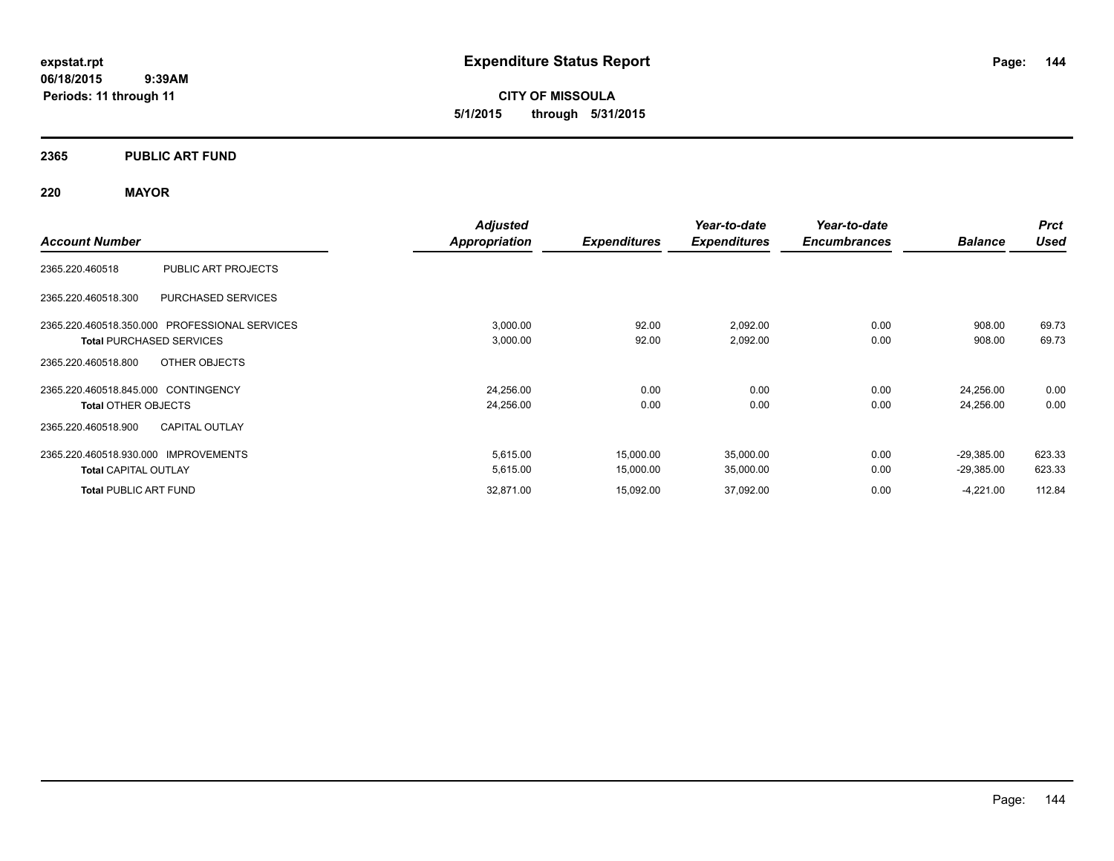**CITY OF MISSOULA 5/1/2015 through 5/31/2015**

### **2365 PUBLIC ART FUND**

### **220 MAYOR**

|                                               | <b>Adjusted</b>      |                     | Year-to-date        | Year-to-date        |                | <b>Prct</b> |
|-----------------------------------------------|----------------------|---------------------|---------------------|---------------------|----------------|-------------|
| <b>Account Number</b>                         | <b>Appropriation</b> | <b>Expenditures</b> | <b>Expenditures</b> | <b>Encumbrances</b> | <b>Balance</b> | <b>Used</b> |
| PUBLIC ART PROJECTS<br>2365.220.460518        |                      |                     |                     |                     |                |             |
| PURCHASED SERVICES<br>2365.220.460518.300     |                      |                     |                     |                     |                |             |
| 2365.220.460518.350.000 PROFESSIONAL SERVICES | 3,000.00             | 92.00               | 2,092.00            | 0.00                | 908.00         | 69.73       |
| <b>Total PURCHASED SERVICES</b>               | 3,000.00             | 92.00               | 2,092.00            | 0.00                | 908.00         | 69.73       |
| 2365.220.460518.800<br>OTHER OBJECTS          |                      |                     |                     |                     |                |             |
| 2365.220.460518.845.000 CONTINGENCY           | 24,256.00            | 0.00                | 0.00                | 0.00                | 24,256.00      | 0.00        |
| <b>Total OTHER OBJECTS</b>                    | 24,256.00            | 0.00                | 0.00                | 0.00                | 24,256.00      | 0.00        |
| <b>CAPITAL OUTLAY</b><br>2365.220.460518.900  |                      |                     |                     |                     |                |             |
| 2365.220.460518.930.000 IMPROVEMENTS          | 5,615.00             | 15,000.00           | 35,000.00           | 0.00                | $-29,385.00$   | 623.33      |
| <b>Total CAPITAL OUTLAY</b>                   | 5,615.00             | 15,000.00           | 35,000.00           | 0.00                | $-29,385.00$   | 623.33      |
| <b>Total PUBLIC ART FUND</b>                  | 32,871.00            | 15,092.00           | 37,092.00           | 0.00                | $-4,221.00$    | 112.84      |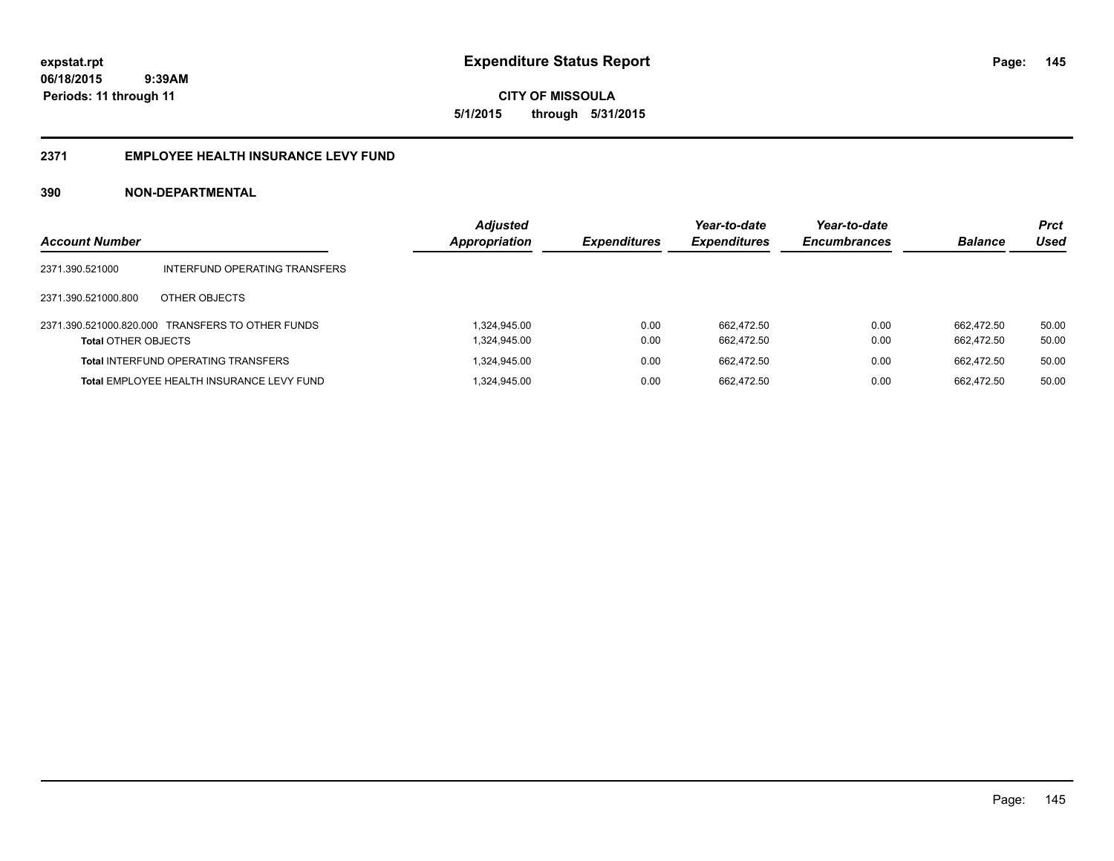**CITY OF MISSOULA 5/1/2015 through 5/31/2015**

#### **2371 EMPLOYEE HEALTH INSURANCE LEVY FUND**

| <b>Account Number</b>      |                                                  | <b>Adjusted</b><br><b>Appropriation</b> | <b>Expenditures</b> | Year-to-date<br><b>Expenditures</b> | Year-to-date<br><b>Encumbrances</b> | <b>Balance</b> | <b>Prct</b><br>Used |
|----------------------------|--------------------------------------------------|-----------------------------------------|---------------------|-------------------------------------|-------------------------------------|----------------|---------------------|
| 2371.390.521000            | INTERFUND OPERATING TRANSFERS                    |                                         |                     |                                     |                                     |                |                     |
| 2371.390.521000.800        | OTHER OBJECTS                                    |                                         |                     |                                     |                                     |                |                     |
|                            | 2371.390.521000.820.000 TRANSFERS TO OTHER FUNDS | 1.324.945.00                            | 0.00                | 662.472.50                          | 0.00                                | 662.472.50     | 50.00               |
| <b>Total OTHER OBJECTS</b> |                                                  | 1,324,945.00                            | 0.00                | 662.472.50                          | 0.00                                | 662.472.50     | 50.00               |
|                            | <b>Total INTERFUND OPERATING TRANSFERS</b>       | 1,324,945.00                            | 0.00                | 662.472.50                          | 0.00                                | 662.472.50     | 50.00               |
|                            | Total EMPLOYEE HEALTH INSURANCE LEVY FUND        | 324,945.00                              | 0.00                | 662.472.50                          | 0.00                                | 662.472.50     | 50.00               |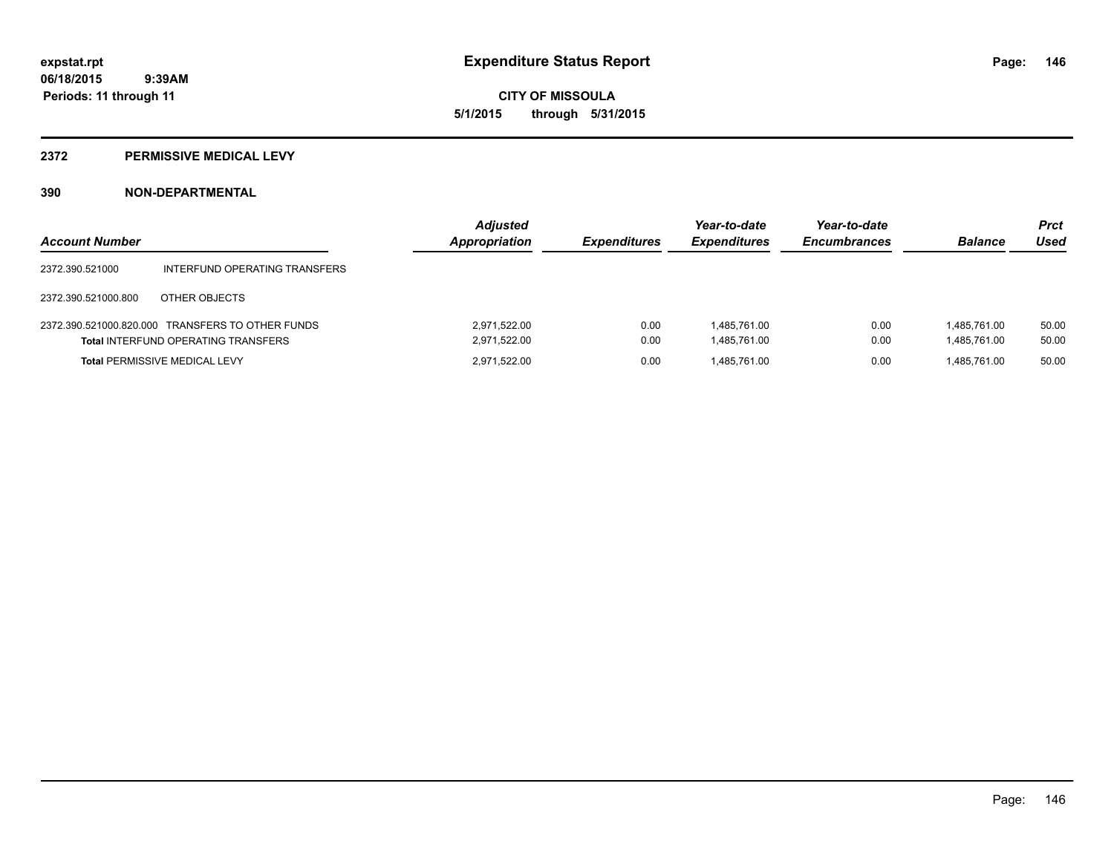**CITY OF MISSOULA 5/1/2015 through 5/31/2015**

#### **2372 PERMISSIVE MEDICAL LEVY**

| <b>Account Number</b> |                                                                                                | <b>Adjusted</b><br>Appropriation | <b>Expenditures</b> | Year-to-date<br><b>Expenditures</b> | Year-to-date<br><b>Encumbrances</b> | <b>Balance</b>               | <b>Prct</b><br>Used |
|-----------------------|------------------------------------------------------------------------------------------------|----------------------------------|---------------------|-------------------------------------|-------------------------------------|------------------------------|---------------------|
| 2372.390.521000       | INTERFUND OPERATING TRANSFERS                                                                  |                                  |                     |                                     |                                     |                              |                     |
| 2372.390.521000.800   | OTHER OBJECTS                                                                                  |                                  |                     |                                     |                                     |                              |                     |
|                       | 2372.390.521000.820.000 TRANSFERS TO OTHER FUNDS<br><b>Total INTERFUND OPERATING TRANSFERS</b> | 2.971.522.00<br>2,971,522.00     | 0.00<br>0.00        | 1.485.761.00<br>1.485.761.00        | 0.00<br>0.00                        | 1.485.761.00<br>1,485,761.00 | 50.00<br>50.00      |
|                       | Total PERMISSIVE MEDICAL LEVY                                                                  | 2.971.522.00                     | 0.00                | 1.485.761.00                        | 0.00                                | 1.485.761.00                 | 50.00               |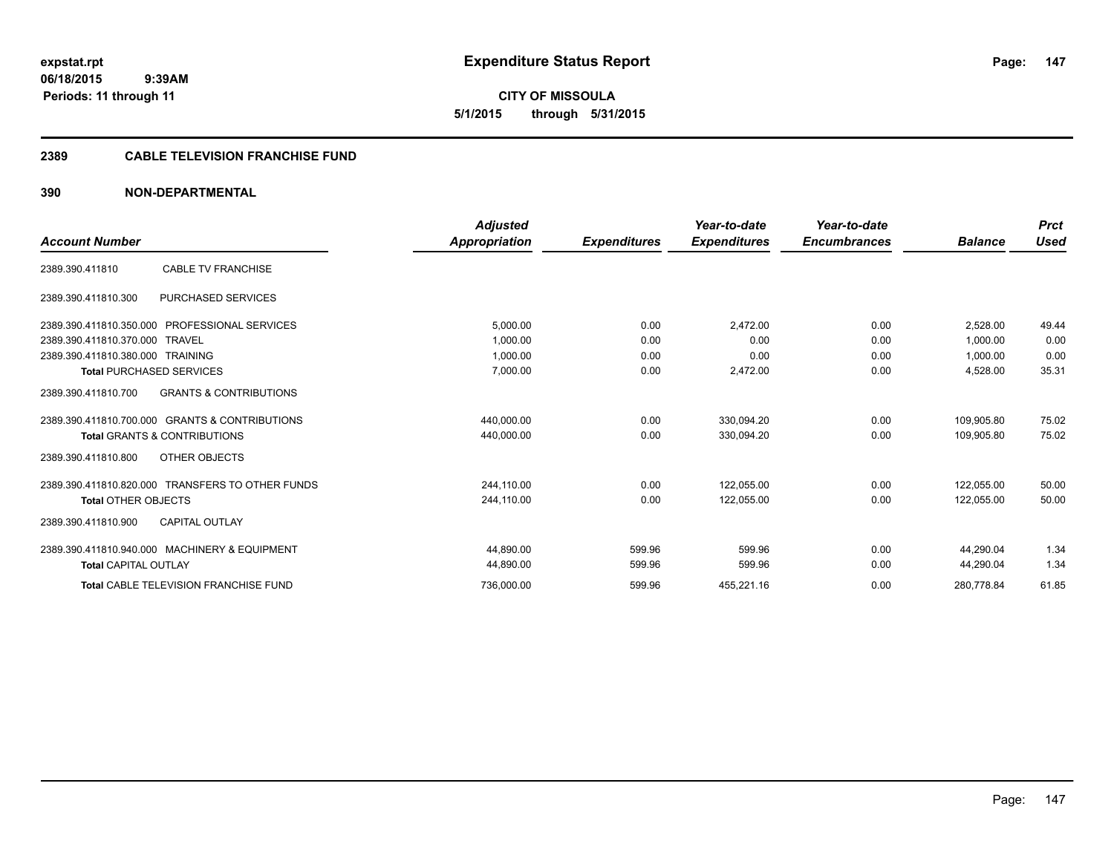**expstat.rpt Expenditure Status Report** 

**06/18/2015 9:39AM Periods: 11 through 11**

**CITY OF MISSOULA 5/1/2015 through 5/31/2015**

#### **2389 CABLE TELEVISION FRANCHISE FUND**

|                                                          | <b>Adjusted</b> |                     | Year-to-date        | Year-to-date        |                | <b>Prct</b> |
|----------------------------------------------------------|-----------------|---------------------|---------------------|---------------------|----------------|-------------|
| <b>Account Number</b>                                    | Appropriation   | <b>Expenditures</b> | <b>Expenditures</b> | <b>Encumbrances</b> | <b>Balance</b> | <b>Used</b> |
| <b>CABLE TV FRANCHISE</b><br>2389.390.411810             |                 |                     |                     |                     |                |             |
| <b>PURCHASED SERVICES</b><br>2389.390.411810.300         |                 |                     |                     |                     |                |             |
| 2389.390.411810.350.000 PROFESSIONAL SERVICES            | 5,000.00        | 0.00                | 2,472.00            | 0.00                | 2.528.00       | 49.44       |
| 2389.390.411810.370.000<br><b>TRAVEL</b>                 | 1.000.00        | 0.00                | 0.00                | 0.00                | 1.000.00       | 0.00        |
| 2389.390.411810.380.000<br>TRAINING                      | 1,000.00        | 0.00                | 0.00                | 0.00                | 1,000.00       | 0.00        |
| <b>Total PURCHASED SERVICES</b>                          | 7,000.00        | 0.00                | 2,472.00            | 0.00                | 4,528.00       | 35.31       |
| <b>GRANTS &amp; CONTRIBUTIONS</b><br>2389.390.411810.700 |                 |                     |                     |                     |                |             |
| 2389.390.411810.700.000 GRANTS & CONTRIBUTIONS           | 440,000.00      | 0.00                | 330.094.20          | 0.00                | 109.905.80     | 75.02       |
| <b>Total GRANTS &amp; CONTRIBUTIONS</b>                  | 440,000.00      | 0.00                | 330,094.20          | 0.00                | 109,905.80     | 75.02       |
| OTHER OBJECTS<br>2389.390.411810.800                     |                 |                     |                     |                     |                |             |
| 2389.390.411810.820.000 TRANSFERS TO OTHER FUNDS         | 244,110.00      | 0.00                | 122,055.00          | 0.00                | 122,055.00     | 50.00       |
| <b>Total OTHER OBJECTS</b>                               | 244,110.00      | 0.00                | 122,055.00          | 0.00                | 122.055.00     | 50.00       |
| <b>CAPITAL OUTLAY</b><br>2389.390.411810.900             |                 |                     |                     |                     |                |             |
| 2389.390.411810.940.000 MACHINERY & EQUIPMENT            | 44.890.00       | 599.96              | 599.96              | 0.00                | 44.290.04      | 1.34        |
| <b>Total CAPITAL OUTLAY</b>                              | 44,890.00       | 599.96              | 599.96              | 0.00                | 44,290.04      | 1.34        |
| <b>Total CABLE TELEVISION FRANCHISE FUND</b>             | 736,000.00      | 599.96              | 455,221.16          | 0.00                | 280,778.84     | 61.85       |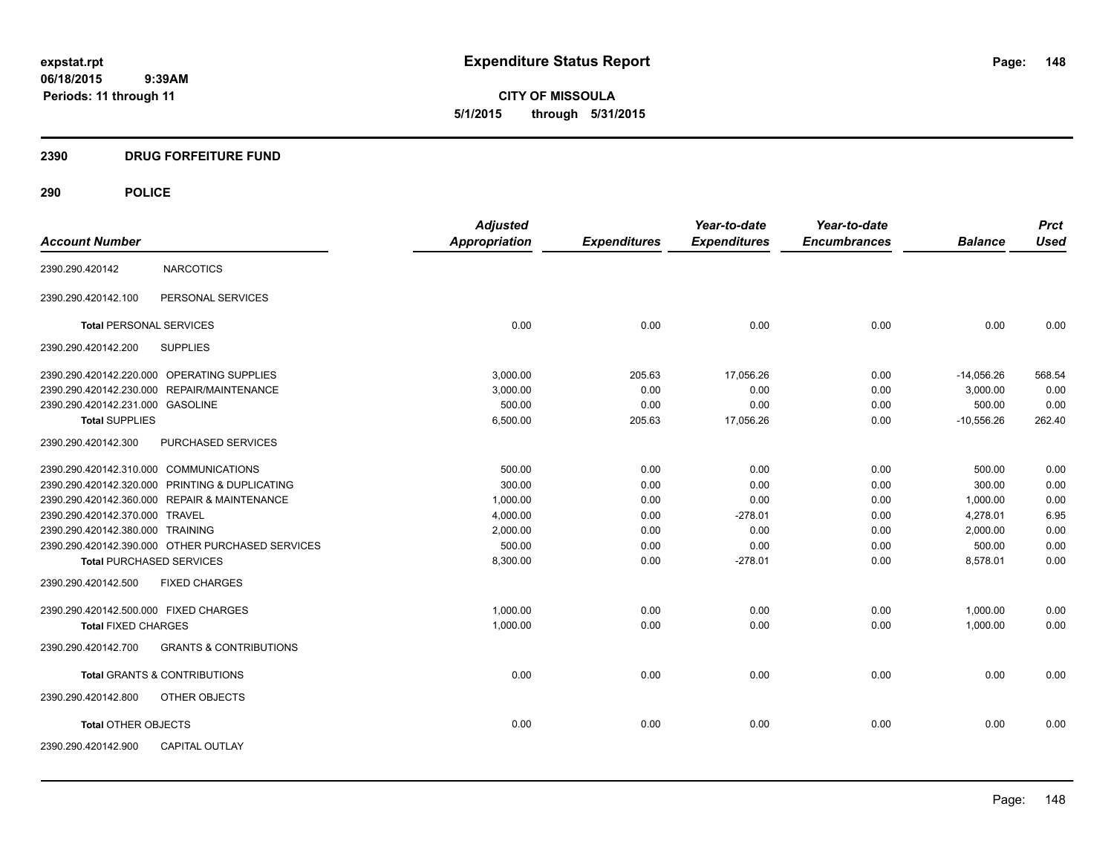**CITY OF MISSOULA 5/1/2015 through 5/31/2015**

## **2390 DRUG FORFEITURE FUND**

|                                        |                                                  | <b>Adjusted</b> |                     | Year-to-date        | Year-to-date        |                | <b>Prct</b> |
|----------------------------------------|--------------------------------------------------|-----------------|---------------------|---------------------|---------------------|----------------|-------------|
| <b>Account Number</b>                  |                                                  | Appropriation   | <b>Expenditures</b> | <b>Expenditures</b> | <b>Encumbrances</b> | <b>Balance</b> | <b>Used</b> |
| 2390.290.420142                        | <b>NARCOTICS</b>                                 |                 |                     |                     |                     |                |             |
| 2390.290.420142.100                    | PERSONAL SERVICES                                |                 |                     |                     |                     |                |             |
| <b>Total PERSONAL SERVICES</b>         |                                                  | 0.00            | 0.00                | 0.00                | 0.00                | 0.00           | 0.00        |
| 2390.290.420142.200                    | <b>SUPPLIES</b>                                  |                 |                     |                     |                     |                |             |
|                                        | 2390.290.420142.220.000 OPERATING SUPPLIES       | 3,000.00        | 205.63              | 17,056.26           | 0.00                | $-14,056.26$   | 568.54      |
|                                        | 2390.290.420142.230.000 REPAIR/MAINTENANCE       | 3,000.00        | 0.00                | 0.00                | 0.00                | 3,000.00       | 0.00        |
| 2390.290.420142.231.000 GASOLINE       |                                                  | 500.00          | 0.00                | 0.00                | 0.00                | 500.00         | 0.00        |
| <b>Total SUPPLIES</b>                  |                                                  | 6,500.00        | 205.63              | 17,056.26           | 0.00                | $-10,556.26$   | 262.40      |
| 2390.290.420142.300                    | <b>PURCHASED SERVICES</b>                        |                 |                     |                     |                     |                |             |
| 2390.290.420142.310.000 COMMUNICATIONS |                                                  | 500.00          | 0.00                | 0.00                | 0.00                | 500.00         | 0.00        |
|                                        | 2390.290.420142.320.000 PRINTING & DUPLICATING   | 300.00          | 0.00                | 0.00                | 0.00                | 300.00         | 0.00        |
|                                        | 2390.290.420142.360.000 REPAIR & MAINTENANCE     | 1,000.00        | 0.00                | 0.00                | 0.00                | 1,000.00       | 0.00        |
| 2390.290.420142.370.000 TRAVEL         |                                                  | 4,000.00        | 0.00                | $-278.01$           | 0.00                | 4,278.01       | 6.95        |
| 2390.290.420142.380.000 TRAINING       |                                                  | 2,000.00        | 0.00                | 0.00                | 0.00                | 2,000.00       | 0.00        |
|                                        | 2390.290.420142.390.000 OTHER PURCHASED SERVICES | 500.00          | 0.00                | 0.00                | 0.00                | 500.00         | 0.00        |
| <b>Total PURCHASED SERVICES</b>        |                                                  | 8,300.00        | 0.00                | $-278.01$           | 0.00                | 8,578.01       | 0.00        |
| 2390.290.420142.500                    | <b>FIXED CHARGES</b>                             |                 |                     |                     |                     |                |             |
| 2390.290.420142.500.000 FIXED CHARGES  |                                                  | 1,000.00        | 0.00                | 0.00                | 0.00                | 1,000.00       | 0.00        |
| <b>Total FIXED CHARGES</b>             |                                                  | 1,000.00        | 0.00                | 0.00                | 0.00                | 1,000.00       | 0.00        |
| 2390.290.420142.700                    | <b>GRANTS &amp; CONTRIBUTIONS</b>                |                 |                     |                     |                     |                |             |
|                                        | <b>Total GRANTS &amp; CONTRIBUTIONS</b>          | 0.00            | 0.00                | 0.00                | 0.00                | 0.00           | 0.00        |
| 2390.290.420142.800                    | OTHER OBJECTS                                    |                 |                     |                     |                     |                |             |
| <b>Total OTHER OBJECTS</b>             |                                                  | 0.00            | 0.00                | 0.00                | 0.00                | 0.00           | 0.00        |
| 2390.290.420142.900                    | <b>CAPITAL OUTLAY</b>                            |                 |                     |                     |                     |                |             |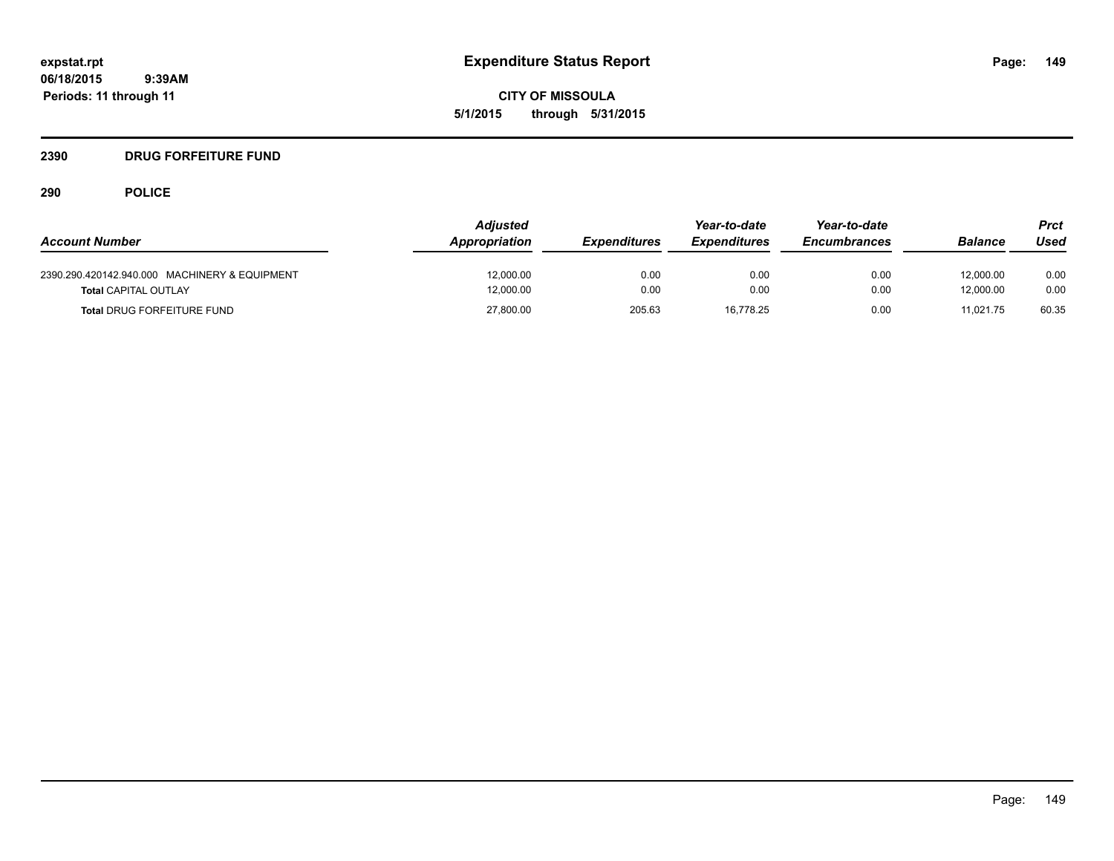**CITY OF MISSOULA 5/1/2015 through 5/31/2015**

## **2390 DRUG FORFEITURE FUND**

| <b>Account Number</b>                                                        | <b>Adjusted</b><br>Appropriation | <b>Expenditures</b> | Year-to-date<br><i><b>Expenditures</b></i> | Year-to-date<br><b>Encumbrances</b> | <b>Balance</b>         | Prct<br>Used |
|------------------------------------------------------------------------------|----------------------------------|---------------------|--------------------------------------------|-------------------------------------|------------------------|--------------|
| 2390.290.420142.940.000 MACHINERY & EQUIPMENT<br><b>Total CAPITAL OUTLAY</b> | 12,000.00<br>12,000.00           | 0.00<br>0.00        | 0.00<br>0.00                               | 0.00<br>0.00                        | 12,000.00<br>12.000.00 | 0.00<br>0.00 |
| <b>Total DRUG FORFEITURE FUND</b>                                            | 27,800.00                        | 205.63              | 16,778.25                                  | 0.00                                | 11.021.75              | 60.35        |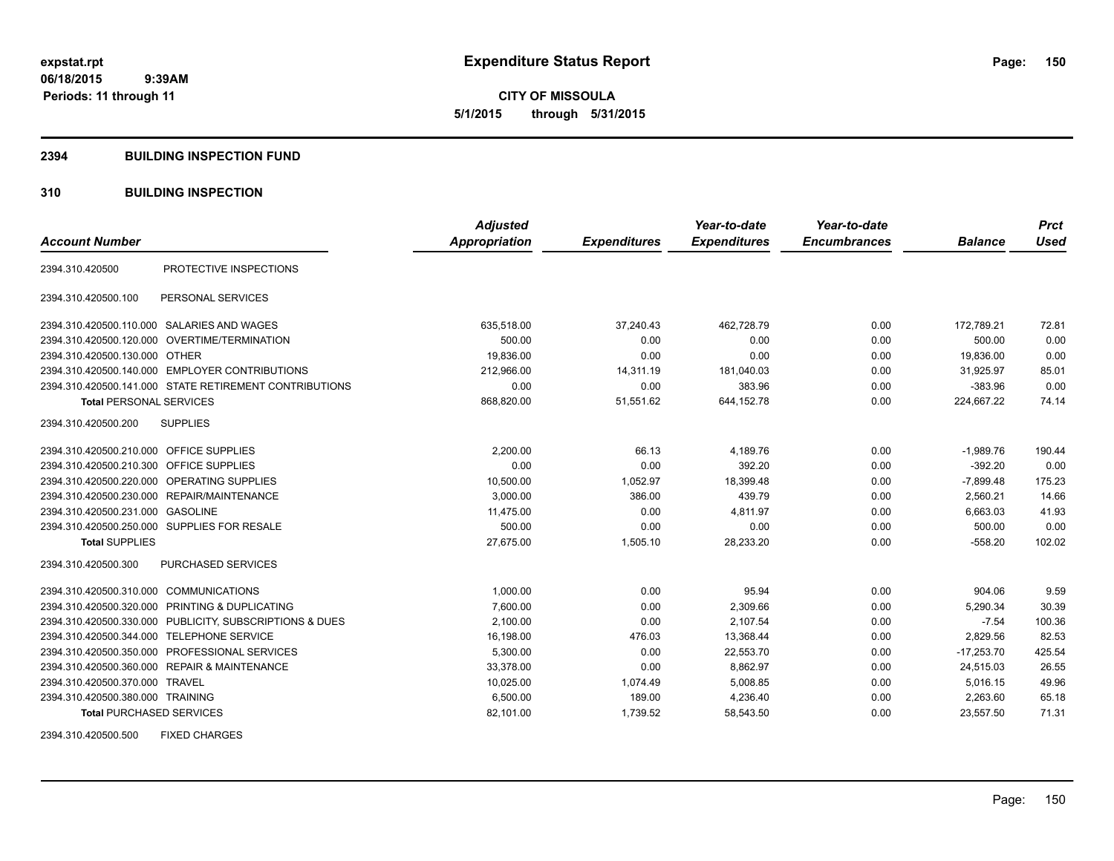**CITY OF MISSOULA 5/1/2015 through 5/31/2015**

#### **2394 BUILDING INSPECTION FUND**

## **310 BUILDING INSPECTION**

| <b>Account Number</b>                     |                                                         | <b>Adjusted</b><br><b>Appropriation</b> | <b>Expenditures</b> | Year-to-date<br><b>Expenditures</b> | Year-to-date<br><b>Encumbrances</b> | <b>Balance</b> | <b>Prct</b><br><b>Used</b> |
|-------------------------------------------|---------------------------------------------------------|-----------------------------------------|---------------------|-------------------------------------|-------------------------------------|----------------|----------------------------|
|                                           |                                                         |                                         |                     |                                     |                                     |                |                            |
| 2394.310.420500                           | PROTECTIVE INSPECTIONS                                  |                                         |                     |                                     |                                     |                |                            |
| 2394.310.420500.100                       | PERSONAL SERVICES                                       |                                         |                     |                                     |                                     |                |                            |
|                                           | 2394.310.420500.110.000 SALARIES AND WAGES              | 635,518.00                              | 37,240.43           | 462,728.79                          | 0.00                                | 172,789.21     | 72.81                      |
|                                           | 2394.310.420500.120.000 OVERTIME/TERMINATION            | 500.00                                  | 0.00                | 0.00                                | 0.00                                | 500.00         | 0.00                       |
| 2394.310.420500.130.000 OTHER             |                                                         | 19,836.00                               | 0.00                | 0.00                                | 0.00                                | 19,836.00      | 0.00                       |
|                                           | 2394.310.420500.140.000 EMPLOYER CONTRIBUTIONS          | 212.966.00                              | 14,311.19           | 181,040.03                          | 0.00                                | 31.925.97      | 85.01                      |
|                                           | 2394.310.420500.141.000 STATE RETIREMENT CONTRIBUTIONS  | 0.00                                    | 0.00                | 383.96                              | 0.00                                | $-383.96$      | 0.00                       |
| <b>Total PERSONAL SERVICES</b>            |                                                         | 868,820.00                              | 51,551.62           | 644,152.78                          | 0.00                                | 224,667.22     | 74.14                      |
| 2394.310.420500.200                       | <b>SUPPLIES</b>                                         |                                         |                     |                                     |                                     |                |                            |
| 2394.310.420500.210.000 OFFICE SUPPLIES   |                                                         | 2,200.00                                | 66.13               | 4,189.76                            | 0.00                                | $-1,989.76$    | 190.44                     |
| 2394.310.420500.210.300                   | OFFICE SUPPLIES                                         | 0.00                                    | 0.00                | 392.20                              | 0.00                                | $-392.20$      | 0.00                       |
| 2394.310.420500.220.000                   | OPERATING SUPPLIES                                      | 10,500.00                               | 1,052.97            | 18,399.48                           | 0.00                                | $-7,899.48$    | 175.23                     |
|                                           | 2394.310.420500.230.000 REPAIR/MAINTENANCE              | 3,000.00                                | 386.00              | 439.79                              | 0.00                                | 2,560.21       | 14.66                      |
| 2394.310.420500.231.000 GASOLINE          |                                                         | 11,475.00                               | 0.00                | 4,811.97                            | 0.00                                | 6,663.03       | 41.93                      |
|                                           | 2394.310.420500.250.000 SUPPLIES FOR RESALE             | 500.00                                  | 0.00                | 0.00                                | 0.00                                | 500.00         | 0.00                       |
| <b>Total SUPPLIES</b>                     |                                                         | 27,675.00                               | 1,505.10            | 28,233.20                           | 0.00                                | $-558.20$      | 102.02                     |
| 2394.310.420500.300                       | PURCHASED SERVICES                                      |                                         |                     |                                     |                                     |                |                            |
| 2394.310.420500.310.000 COMMUNICATIONS    |                                                         | 1.000.00                                | 0.00                | 95.94                               | 0.00                                | 904.06         | 9.59                       |
|                                           | 2394.310.420500.320.000 PRINTING & DUPLICATING          | 7,600.00                                | 0.00                | 2,309.66                            | 0.00                                | 5,290.34       | 30.39                      |
|                                           | 2394.310.420500.330.000 PUBLICITY, SUBSCRIPTIONS & DUES | 2,100.00                                | 0.00                | 2,107.54                            | 0.00                                | $-7.54$        | 100.36                     |
| 2394.310.420500.344.000 TELEPHONE SERVICE |                                                         | 16,198.00                               | 476.03              | 13,368.44                           | 0.00                                | 2.829.56       | 82.53                      |
|                                           | 2394.310.420500.350.000 PROFESSIONAL SERVICES           | 5,300.00                                | 0.00                | 22,553.70                           | 0.00                                | $-17,253.70$   | 425.54                     |
|                                           | 2394.310.420500.360.000 REPAIR & MAINTENANCE            | 33,378.00                               | 0.00                | 8,862.97                            | 0.00                                | 24,515.03      | 26.55                      |
| 2394.310.420500.370.000 TRAVEL            |                                                         | 10,025.00                               | 1,074.49            | 5,008.85                            | 0.00                                | 5,016.15       | 49.96                      |
| 2394.310.420500.380.000 TRAINING          |                                                         | 6,500.00                                | 189.00              | 4,236.40                            | 0.00                                | 2,263.60       | 65.18                      |
| <b>Total PURCHASED SERVICES</b>           |                                                         | 82,101.00                               | 1,739.52            | 58,543.50                           | 0.00                                | 23,557.50      | 71.31                      |

2394.310.420500.500 FIXED CHARGES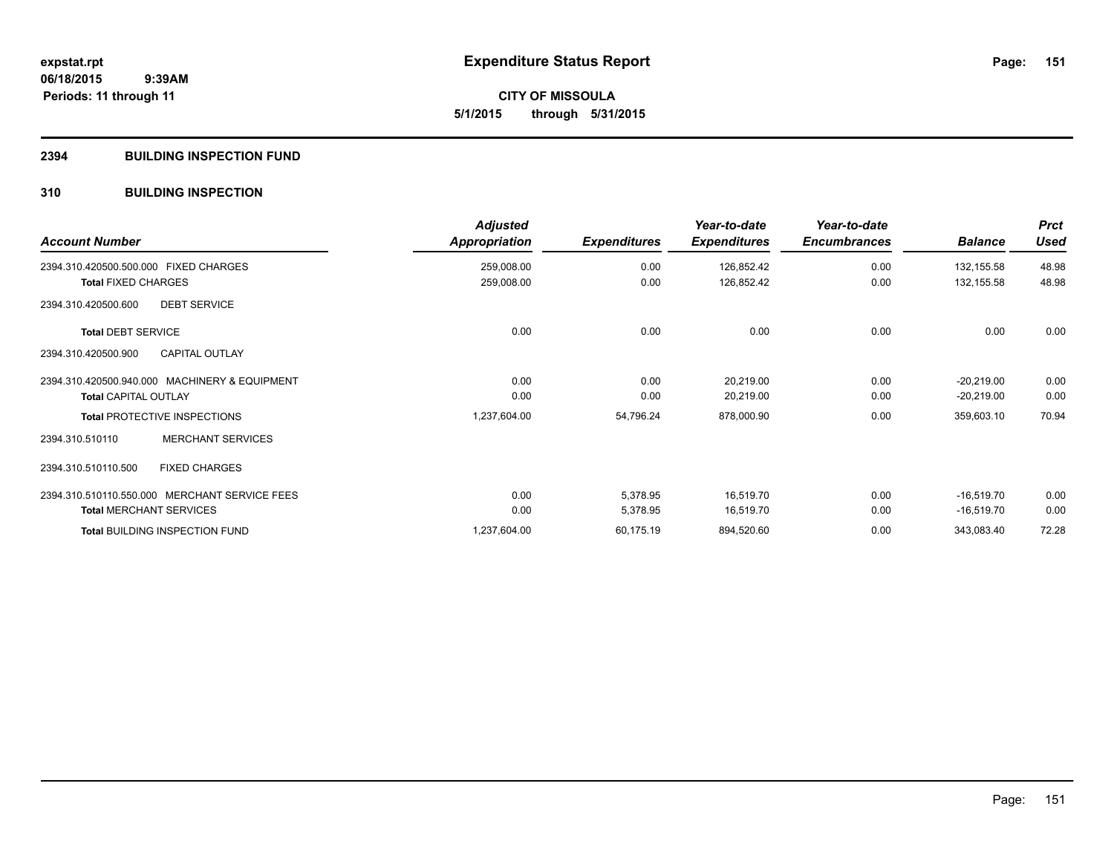**CITY OF MISSOULA 5/1/2015 through 5/31/2015**

## **2394 BUILDING INSPECTION FUND**

## **310 BUILDING INSPECTION**

| <b>Account Number</b>                         | <b>Adjusted</b><br>Appropriation | <b>Expenditures</b> | Year-to-date<br><b>Expenditures</b> | Year-to-date<br><b>Encumbrances</b> | <b>Balance</b> | <b>Prct</b><br><b>Used</b> |
|-----------------------------------------------|----------------------------------|---------------------|-------------------------------------|-------------------------------------|----------------|----------------------------|
| 2394.310.420500.500.000 FIXED CHARGES         | 259,008.00                       | 0.00                | 126,852.42                          | 0.00                                | 132,155.58     | 48.98                      |
| <b>Total FIXED CHARGES</b>                    | 259,008.00                       | 0.00                | 126,852.42                          | 0.00                                | 132,155.58     | 48.98                      |
| <b>DEBT SERVICE</b><br>2394.310.420500.600    |                                  |                     |                                     |                                     |                |                            |
| <b>Total DEBT SERVICE</b>                     | 0.00                             | 0.00                | 0.00                                | 0.00                                | 0.00           | 0.00                       |
| <b>CAPITAL OUTLAY</b><br>2394.310.420500.900  |                                  |                     |                                     |                                     |                |                            |
| 2394.310.420500.940.000 MACHINERY & EQUIPMENT | 0.00                             | 0.00                | 20,219.00                           | 0.00                                | $-20,219.00$   | 0.00                       |
| <b>Total CAPITAL OUTLAY</b>                   | 0.00                             | 0.00                | 20,219.00                           | 0.00                                | $-20,219.00$   | 0.00                       |
| <b>Total PROTECTIVE INSPECTIONS</b>           | 1,237,604.00                     | 54,796.24           | 878,000.90                          | 0.00                                | 359,603.10     | 70.94                      |
| <b>MERCHANT SERVICES</b><br>2394.310.510110   |                                  |                     |                                     |                                     |                |                            |
| <b>FIXED CHARGES</b><br>2394.310.510110.500   |                                  |                     |                                     |                                     |                |                            |
| 2394.310.510110.550.000 MERCHANT SERVICE FEES | 0.00                             | 5,378.95            | 16,519.70                           | 0.00                                | $-16,519.70$   | 0.00                       |
| <b>Total MERCHANT SERVICES</b>                | 0.00                             | 5,378.95            | 16,519.70                           | 0.00                                | $-16,519.70$   | 0.00                       |
| <b>Total BUILDING INSPECTION FUND</b>         | 1,237,604.00                     | 60,175.19           | 894,520.60                          | 0.00                                | 343,083.40     | 72.28                      |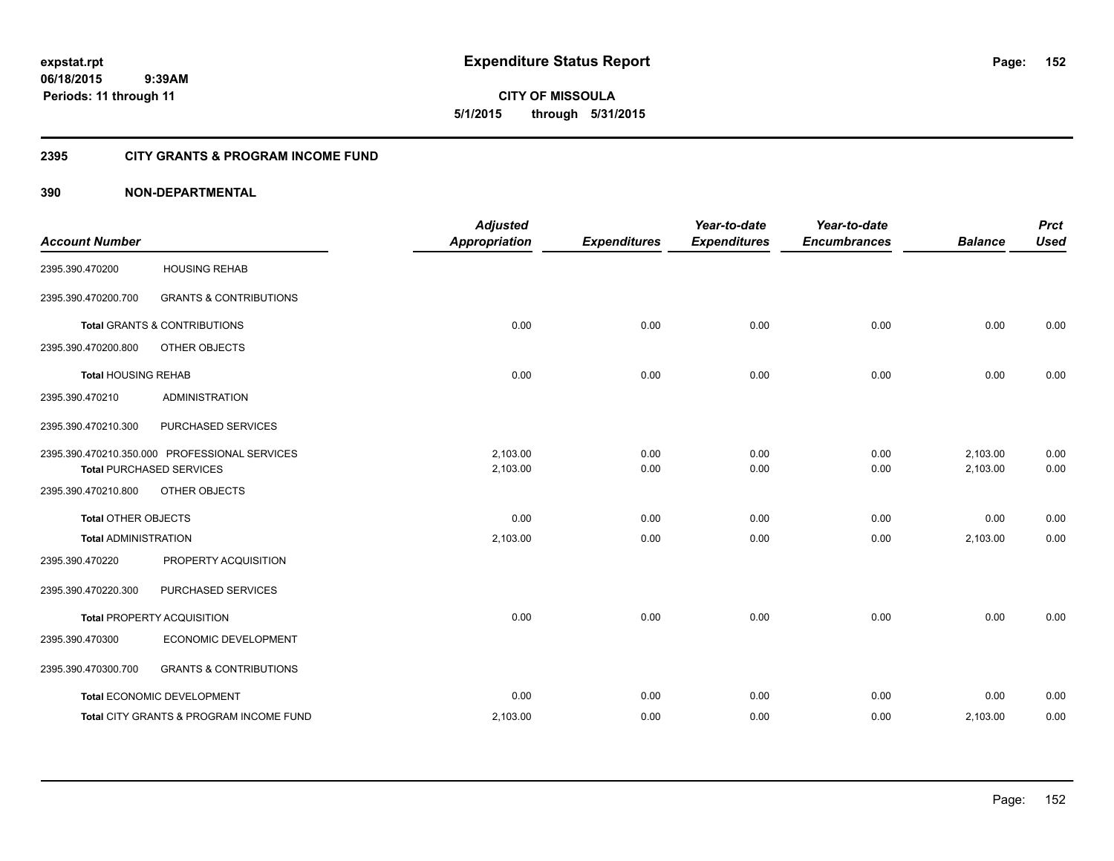**CITY OF MISSOULA 5/1/2015 through 5/31/2015**

## **2395 CITY GRANTS & PROGRAM INCOME FUND**

| <b>Account Number</b>       |                                                                                  | <b>Adjusted</b><br><b>Appropriation</b> | <b>Expenditures</b> | Year-to-date<br><b>Expenditures</b> | Year-to-date<br><b>Encumbrances</b> | <b>Balance</b>       | <b>Prct</b><br><b>Used</b> |
|-----------------------------|----------------------------------------------------------------------------------|-----------------------------------------|---------------------|-------------------------------------|-------------------------------------|----------------------|----------------------------|
| 2395.390.470200             | <b>HOUSING REHAB</b>                                                             |                                         |                     |                                     |                                     |                      |                            |
| 2395.390.470200.700         | <b>GRANTS &amp; CONTRIBUTIONS</b>                                                |                                         |                     |                                     |                                     |                      |                            |
|                             | Total GRANTS & CONTRIBUTIONS                                                     | 0.00                                    | 0.00                | 0.00                                | 0.00                                | 0.00                 | 0.00                       |
| 2395.390.470200.800         | OTHER OBJECTS                                                                    |                                         |                     |                                     |                                     |                      |                            |
| <b>Total HOUSING REHAB</b>  |                                                                                  | 0.00                                    | 0.00                | 0.00                                | 0.00                                | 0.00                 | 0.00                       |
| 2395.390.470210             | <b>ADMINISTRATION</b>                                                            |                                         |                     |                                     |                                     |                      |                            |
| 2395.390.470210.300         | PURCHASED SERVICES                                                               |                                         |                     |                                     |                                     |                      |                            |
|                             | 2395.390.470210.350.000 PROFESSIONAL SERVICES<br><b>Total PURCHASED SERVICES</b> | 2.103.00<br>2,103.00                    | 0.00<br>0.00        | 0.00<br>0.00                        | 0.00<br>0.00                        | 2,103.00<br>2,103.00 | 0.00<br>0.00               |
| 2395.390.470210.800         | OTHER OBJECTS                                                                    |                                         |                     |                                     |                                     |                      |                            |
| <b>Total OTHER OBJECTS</b>  |                                                                                  | 0.00                                    | 0.00                | 0.00                                | 0.00                                | 0.00                 | 0.00                       |
| <b>Total ADMINISTRATION</b> |                                                                                  | 2,103.00                                | 0.00                | 0.00                                | 0.00                                | 2,103.00             | 0.00                       |
| 2395.390.470220             | PROPERTY ACQUISITION                                                             |                                         |                     |                                     |                                     |                      |                            |
| 2395.390.470220.300         | PURCHASED SERVICES                                                               |                                         |                     |                                     |                                     |                      |                            |
|                             | <b>Total PROPERTY ACQUISITION</b>                                                | 0.00                                    | 0.00                | 0.00                                | 0.00                                | 0.00                 | 0.00                       |
| 2395.390.470300             | ECONOMIC DEVELOPMENT                                                             |                                         |                     |                                     |                                     |                      |                            |
| 2395.390.470300.700         | <b>GRANTS &amp; CONTRIBUTIONS</b>                                                |                                         |                     |                                     |                                     |                      |                            |
|                             | Total ECONOMIC DEVELOPMENT                                                       | 0.00                                    | 0.00                | 0.00                                | 0.00                                | 0.00                 | 0.00                       |
|                             | Total CITY GRANTS & PROGRAM INCOME FUND                                          | 2,103.00                                | 0.00                | 0.00                                | 0.00                                | 2,103.00             | 0.00                       |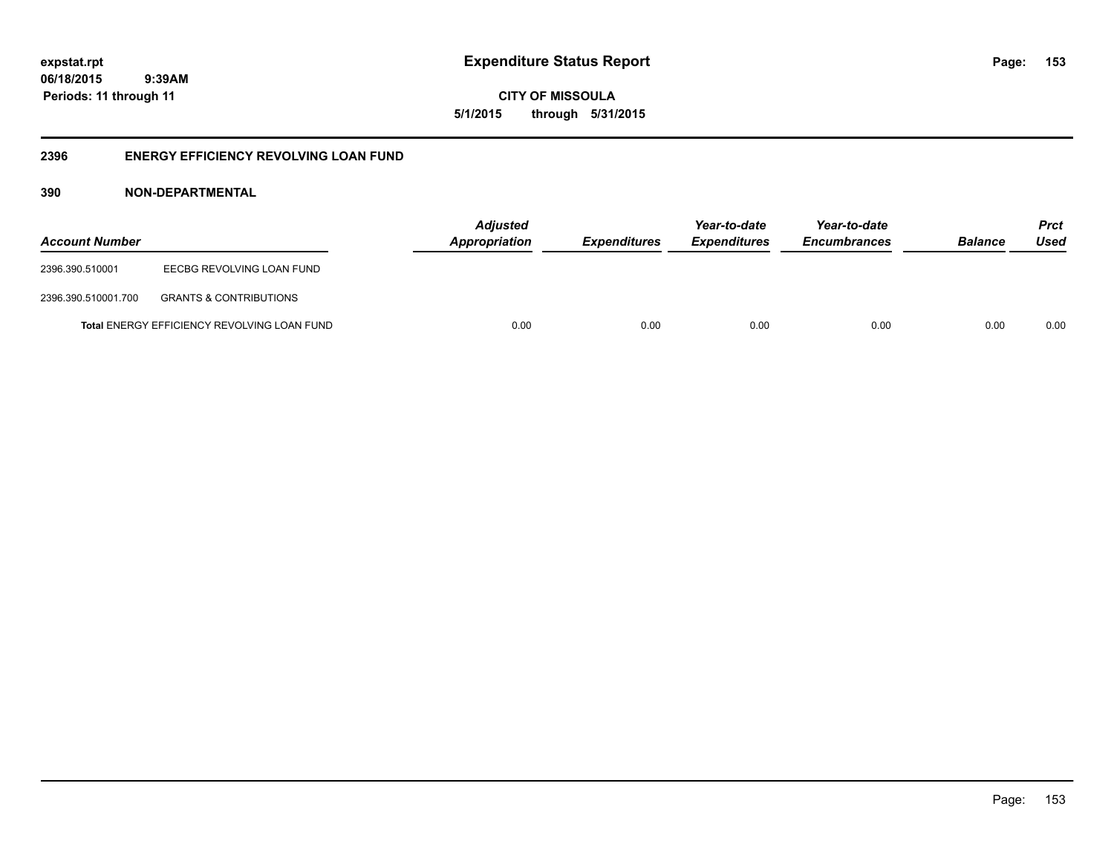**153**

**06/18/2015 9:39AM Periods: 11 through 11**

**CITY OF MISSOULA 5/1/2015 through 5/31/2015**

## **2396 ENERGY EFFICIENCY REVOLVING LOAN FUND**

| <b>Account Number</b> |                                                    | <b>Adjusted</b><br>Appropriation | Expenditures | Year-to-date<br><b>Expenditures</b> | Year-to-date<br><b>Encumbrances</b> | <b>Balance</b> | <b>Prct</b><br>Used |
|-----------------------|----------------------------------------------------|----------------------------------|--------------|-------------------------------------|-------------------------------------|----------------|---------------------|
| 2396.390.510001       | EECBG REVOLVING LOAN FUND                          |                                  |              |                                     |                                     |                |                     |
| 2396.390.510001.700   | <b>GRANTS &amp; CONTRIBUTIONS</b>                  |                                  |              |                                     |                                     |                |                     |
|                       | <b>Total ENERGY EFFICIENCY REVOLVING LOAN FUND</b> | 0.00                             | 0.00         | 0.00                                | 0.00                                | 0.00           | 0.00                |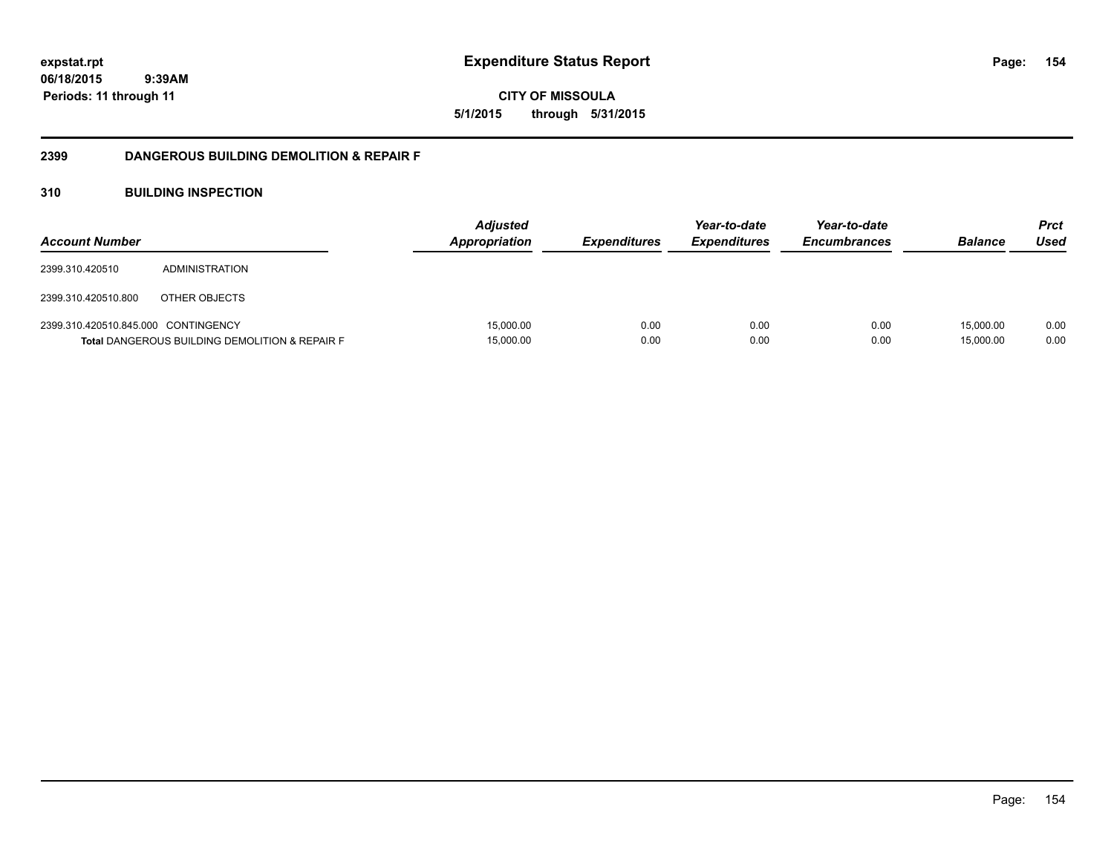**CITY OF MISSOULA 5/1/2015 through 5/31/2015**

## **2399 DANGEROUS BUILDING DEMOLITION & REPAIR F**

## **310 BUILDING INSPECTION**

| <b>Account Number</b>               |                                                           | <b>Adjusted</b><br><b>Appropriation</b> | <i><b>Expenditures</b></i> | Year-to-date<br><b>Expenditures</b> | Year-to-date<br><b>Encumbrances</b> | <b>Balance</b>         | <b>Prct</b><br>Used |
|-------------------------------------|-----------------------------------------------------------|-----------------------------------------|----------------------------|-------------------------------------|-------------------------------------|------------------------|---------------------|
| 2399.310.420510                     | ADMINISTRATION                                            |                                         |                            |                                     |                                     |                        |                     |
| 2399.310.420510.800                 | OTHER OBJECTS                                             |                                         |                            |                                     |                                     |                        |                     |
| 2399.310.420510.845.000 CONTINGENCY | <b>Total DANGEROUS BUILDING DEMOLITION &amp; REPAIR F</b> | 15.000.00<br>15,000.00                  | 0.00<br>0.00               | 0.00<br>0.00                        | 0.00<br>0.00                        | 15.000.00<br>15.000.00 | 0.00<br>0.00        |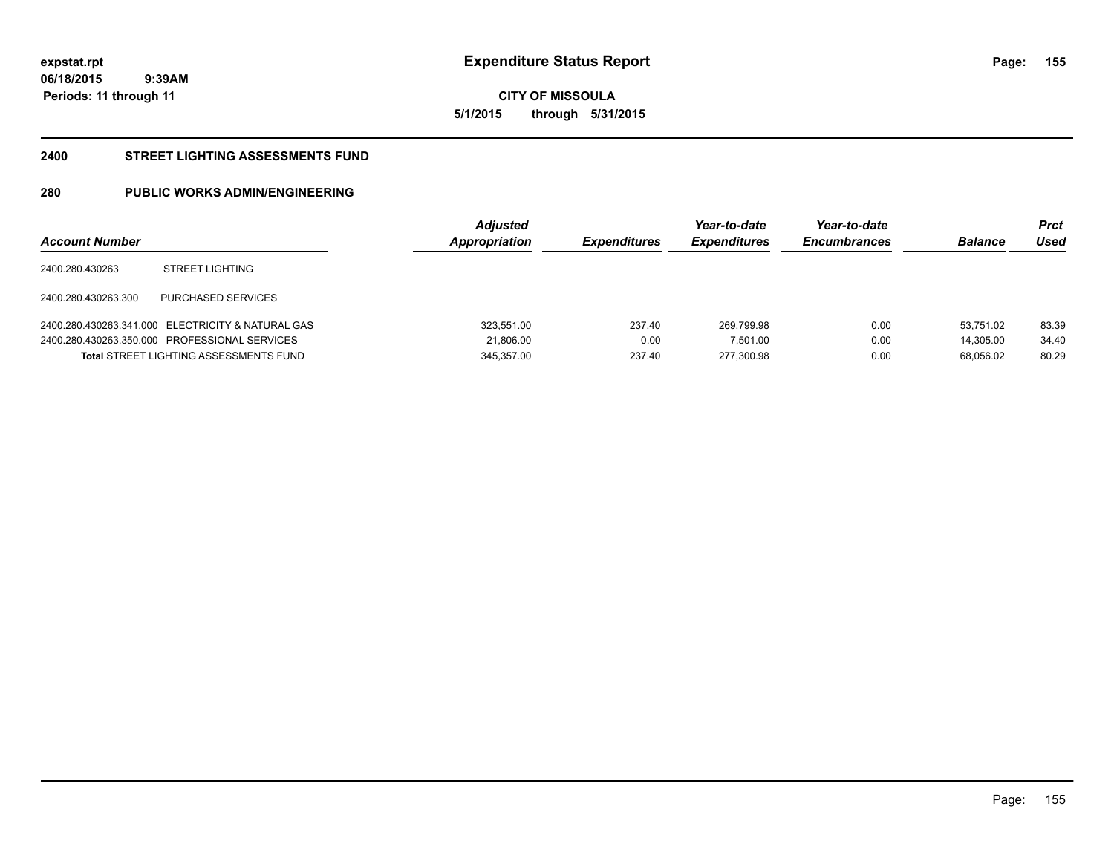**CITY OF MISSOULA 5/1/2015 through 5/31/2015**

#### **2400 STREET LIGHTING ASSESSMENTS FUND**

## **280 PUBLIC WORKS ADMIN/ENGINEERING**

| <b>Account Number</b> |                                                   | <b>Adjusted</b><br>Appropriation | <i><b>Expenditures</b></i> | Year-to-date<br><b>Expenditures</b> | Year-to-date<br><b>Encumbrances</b> | <b>Balance</b> | <b>Prct</b><br>Used |
|-----------------------|---------------------------------------------------|----------------------------------|----------------------------|-------------------------------------|-------------------------------------|----------------|---------------------|
| 2400.280.430263       | <b>STREET LIGHTING</b>                            |                                  |                            |                                     |                                     |                |                     |
| 2400.280.430263.300   | PURCHASED SERVICES                                |                                  |                            |                                     |                                     |                |                     |
|                       | 2400.280.430263.341.000 ELECTRICITY & NATURAL GAS | 323.551.00                       | 237.40                     | 269.799.98                          | 0.00                                | 53.751.02      | 83.39               |
|                       | 2400.280.430263.350.000 PROFESSIONAL SERVICES     | 21.806.00                        | 0.00                       | 7.501.00                            | 0.00                                | 14.305.00      | 34.40               |
|                       | <b>Total STREET LIGHTING ASSESSMENTS FUND</b>     | 345,357.00                       | 237.40                     | 277.300.98                          | 0.00                                | 68.056.02      | 80.29               |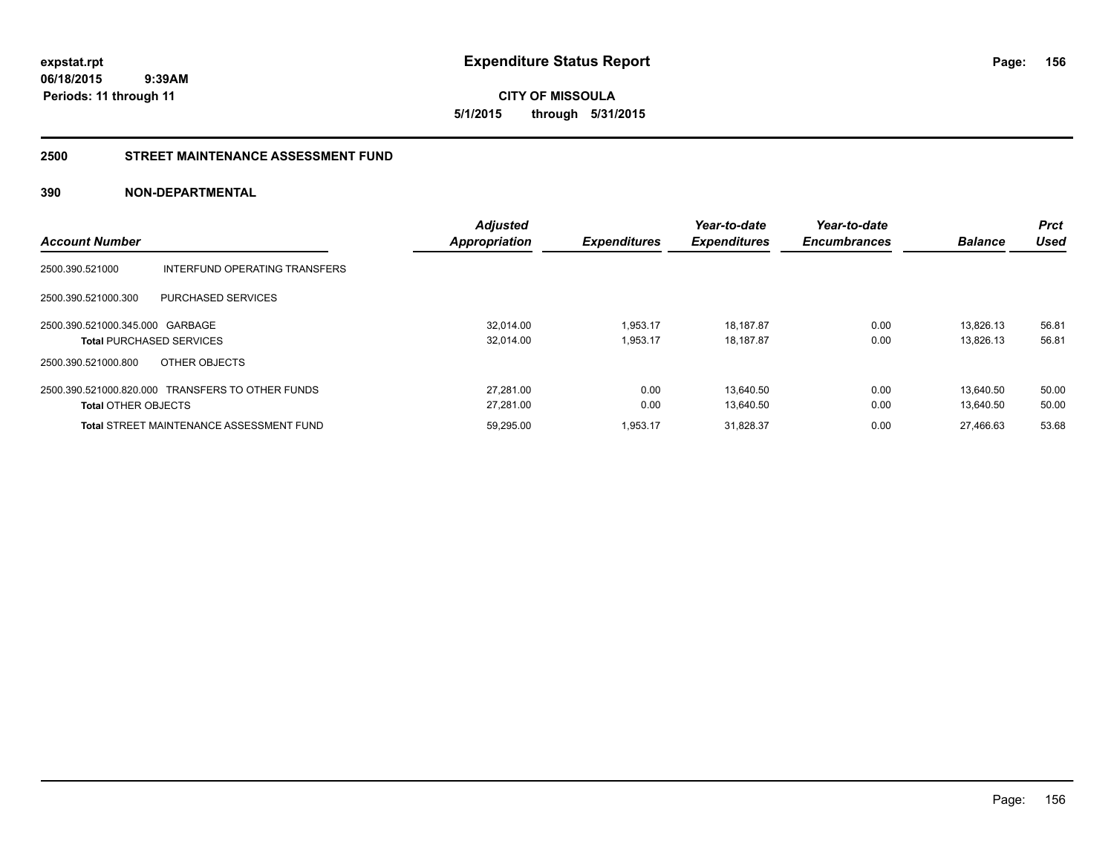**CITY OF MISSOULA 5/1/2015 through 5/31/2015**

#### **2500 STREET MAINTENANCE ASSESSMENT FUND**

|                                 |                                                  | <b>Adjusted</b>      |                     | Year-to-date        | Year-to-date        |                | <b>Prct</b> |
|---------------------------------|--------------------------------------------------|----------------------|---------------------|---------------------|---------------------|----------------|-------------|
| <b>Account Number</b>           |                                                  | <b>Appropriation</b> | <b>Expenditures</b> | <b>Expenditures</b> | <b>Encumbrances</b> | <b>Balance</b> | Used        |
| 2500.390.521000                 | INTERFUND OPERATING TRANSFERS                    |                      |                     |                     |                     |                |             |
| 2500.390.521000.300             | PURCHASED SERVICES                               |                      |                     |                     |                     |                |             |
| 2500.390.521000.345.000 GARBAGE |                                                  | 32.014.00            | 1,953.17            | 18,187.87           | 0.00                | 13.826.13      | 56.81       |
| <b>Total PURCHASED SERVICES</b> |                                                  | 32,014.00            | 1,953.17            | 18,187.87           | 0.00                | 13.826.13      | 56.81       |
| 2500.390.521000.800             | OTHER OBJECTS                                    |                      |                     |                     |                     |                |             |
|                                 | 2500.390.521000.820.000 TRANSFERS TO OTHER FUNDS | 27.281.00            | 0.00                | 13.640.50           | 0.00                | 13.640.50      | 50.00       |
| <b>Total OTHER OBJECTS</b>      |                                                  | 27,281.00            | 0.00                | 13.640.50           | 0.00                | 13,640.50      | 50.00       |
|                                 | <b>Total STREET MAINTENANCE ASSESSMENT FUND</b>  | 59.295.00            | 1.953.17            | 31.828.37           | 0.00                | 27.466.63      | 53.68       |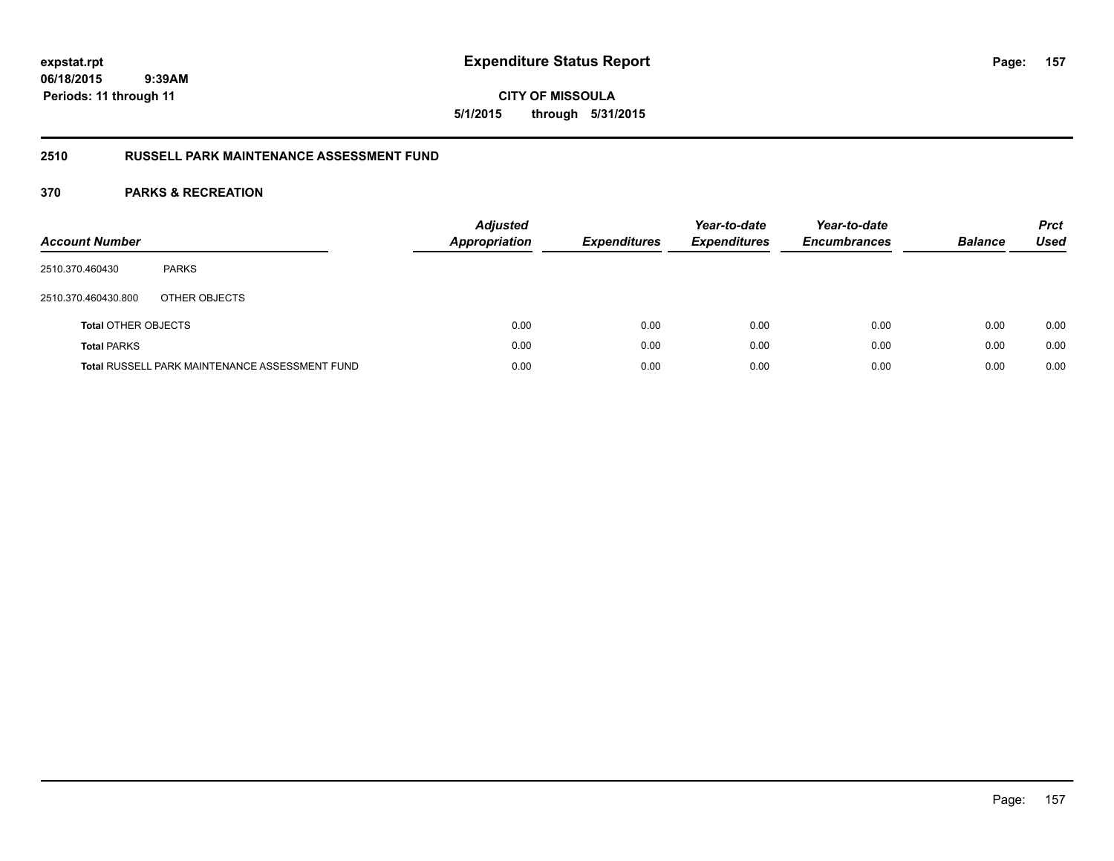**CITY OF MISSOULA 5/1/2015 through 5/31/2015**

## **2510 RUSSELL PARK MAINTENANCE ASSESSMENT FUND**

| <b>Account Number</b>      |                                                       | <b>Adjusted</b><br>Appropriation | <b>Expenditures</b> | Year-to-date<br><b>Expenditures</b> | Year-to-date<br><b>Encumbrances</b> | <b>Balance</b> | <b>Prct</b><br>Used |
|----------------------------|-------------------------------------------------------|----------------------------------|---------------------|-------------------------------------|-------------------------------------|----------------|---------------------|
| 2510.370.460430            | <b>PARKS</b>                                          |                                  |                     |                                     |                                     |                |                     |
| 2510.370.460430.800        | OTHER OBJECTS                                         |                                  |                     |                                     |                                     |                |                     |
| <b>Total OTHER OBJECTS</b> |                                                       | 0.00                             | 0.00                | 0.00                                | 0.00                                | 0.00           | 0.00                |
| <b>Total PARKS</b>         |                                                       | 0.00                             | 0.00                | 0.00                                | 0.00                                | 0.00           | 0.00                |
|                            | <b>Total RUSSELL PARK MAINTENANCE ASSESSMENT FUND</b> | 0.00                             | 0.00                | 0.00                                | 0.00                                | 0.00           | 0.00                |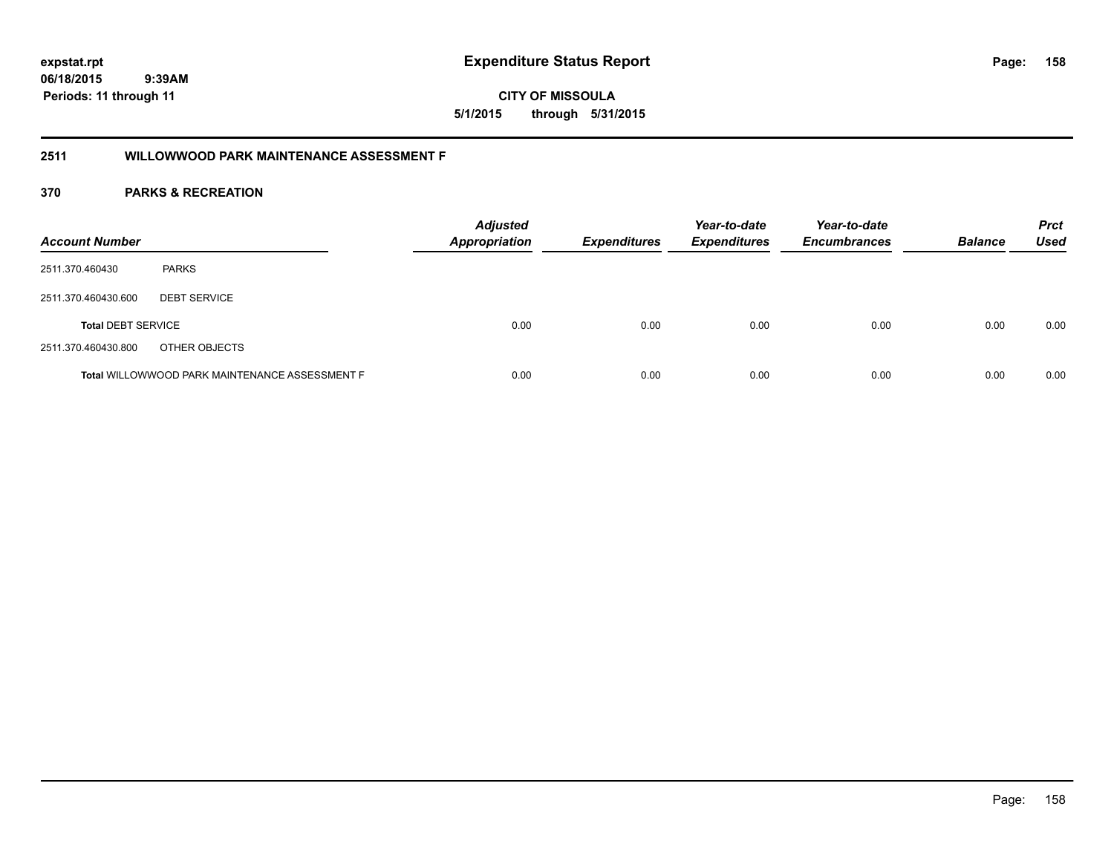**CITY OF MISSOULA 5/1/2015 through 5/31/2015**

## **2511 WILLOWWOOD PARK MAINTENANCE ASSESSMENT F**

| <b>Account Number</b>     |                                                       | <b>Adjusted</b><br><b>Appropriation</b> | <b>Expenditures</b> | Year-to-date<br><b>Expenditures</b> | Year-to-date<br><b>Encumbrances</b> | <b>Balance</b> | <b>Prct</b><br><b>Used</b> |
|---------------------------|-------------------------------------------------------|-----------------------------------------|---------------------|-------------------------------------|-------------------------------------|----------------|----------------------------|
| 2511.370.460430           | <b>PARKS</b>                                          |                                         |                     |                                     |                                     |                |                            |
| 2511.370.460430.600       | <b>DEBT SERVICE</b>                                   |                                         |                     |                                     |                                     |                |                            |
| <b>Total DEBT SERVICE</b> |                                                       | 0.00                                    | 0.00                | 0.00                                | 0.00                                | 0.00           | 0.00                       |
| 2511.370.460430.800       | OTHER OBJECTS                                         |                                         |                     |                                     |                                     |                |                            |
|                           | <b>Total WILLOWWOOD PARK MAINTENANCE ASSESSMENT F</b> | 0.00                                    | 0.00                | 0.00                                | 0.00                                | 0.00           | 0.00                       |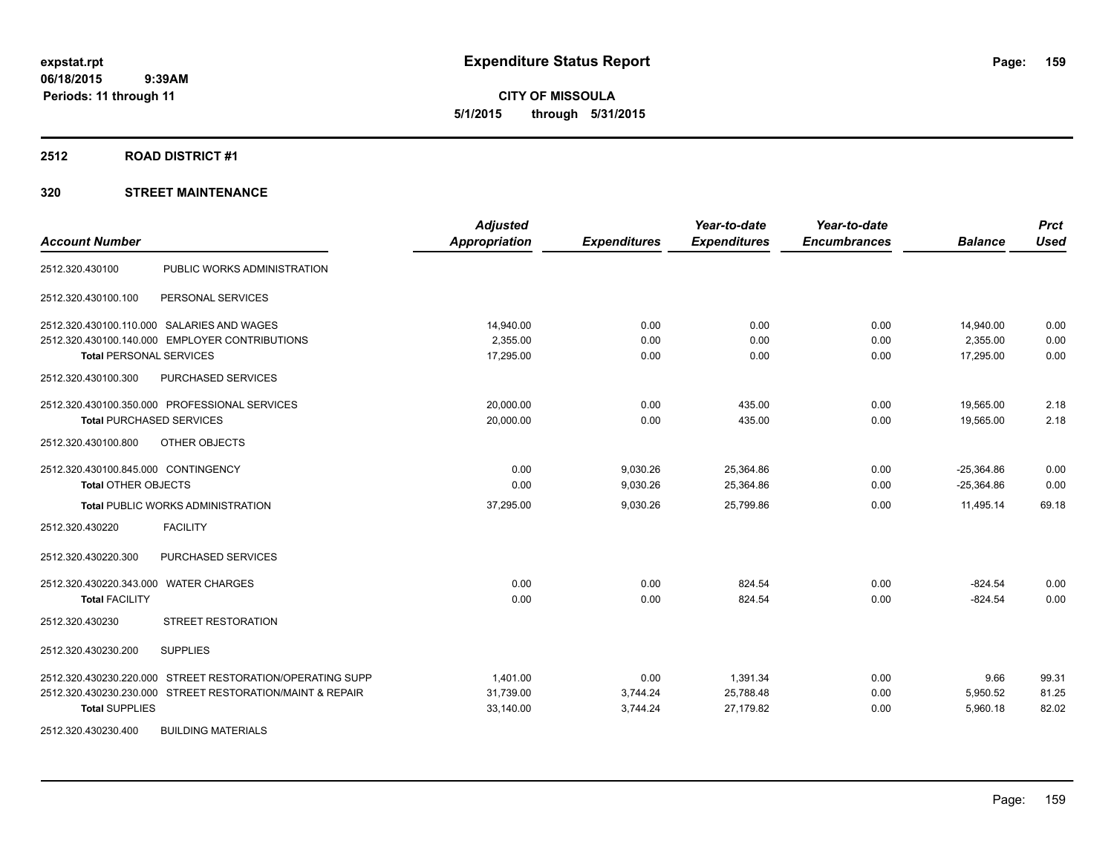**CITY OF MISSOULA 5/1/2015 through 5/31/2015**

#### **2512 ROAD DISTRICT #1**

| <b>Account Number</b>                 |                                                           | <b>Adjusted</b><br>Appropriation | <b>Expenditures</b> | Year-to-date<br><b>Expenditures</b> | Year-to-date<br><b>Encumbrances</b> | <b>Balance</b> | <b>Prct</b><br><b>Used</b> |
|---------------------------------------|-----------------------------------------------------------|----------------------------------|---------------------|-------------------------------------|-------------------------------------|----------------|----------------------------|
| 2512.320.430100                       | PUBLIC WORKS ADMINISTRATION                               |                                  |                     |                                     |                                     |                |                            |
| 2512.320.430100.100                   | PERSONAL SERVICES                                         |                                  |                     |                                     |                                     |                |                            |
|                                       | 2512.320.430100.110.000 SALARIES AND WAGES                | 14,940.00                        | 0.00                | 0.00                                | 0.00                                | 14,940.00      | 0.00                       |
|                                       | 2512.320.430100.140.000 EMPLOYER CONTRIBUTIONS            | 2,355.00                         | 0.00                | 0.00                                | 0.00                                | 2,355.00       | 0.00                       |
| <b>Total PERSONAL SERVICES</b>        |                                                           | 17,295.00                        | 0.00                | 0.00                                | 0.00                                | 17,295.00      | 0.00                       |
| 2512.320.430100.300                   | PURCHASED SERVICES                                        |                                  |                     |                                     |                                     |                |                            |
|                                       | 2512.320.430100.350.000 PROFESSIONAL SERVICES             | 20,000.00                        | 0.00                | 435.00                              | 0.00                                | 19,565.00      | 2.18                       |
| <b>Total PURCHASED SERVICES</b>       |                                                           | 20,000.00                        | 0.00                | 435.00                              | 0.00                                | 19,565.00      | 2.18                       |
| 2512.320.430100.800                   | OTHER OBJECTS                                             |                                  |                     |                                     |                                     |                |                            |
| 2512.320.430100.845.000 CONTINGENCY   |                                                           | 0.00                             | 9,030.26            | 25,364.86                           | 0.00                                | $-25,364.86$   | 0.00                       |
| <b>Total OTHER OBJECTS</b>            |                                                           | 0.00                             | 9,030.26            | 25,364.86                           | 0.00                                | $-25,364.86$   | 0.00                       |
|                                       | <b>Total PUBLIC WORKS ADMINISTRATION</b>                  | 37,295.00                        | 9,030.26            | 25,799.86                           | 0.00                                | 11,495.14      | 69.18                      |
| 2512.320.430220                       | <b>FACILITY</b>                                           |                                  |                     |                                     |                                     |                |                            |
| 2512.320.430220.300                   | PURCHASED SERVICES                                        |                                  |                     |                                     |                                     |                |                            |
| 2512.320.430220.343.000 WATER CHARGES |                                                           | 0.00                             | 0.00                | 824.54                              | 0.00                                | $-824.54$      | 0.00                       |
| <b>Total FACILITY</b>                 |                                                           | 0.00                             | 0.00                | 824.54                              | 0.00                                | $-824.54$      | 0.00                       |
| 2512.320.430230                       | <b>STREET RESTORATION</b>                                 |                                  |                     |                                     |                                     |                |                            |
| 2512.320.430230.200                   | <b>SUPPLIES</b>                                           |                                  |                     |                                     |                                     |                |                            |
|                                       | 2512.320.430230.220.000 STREET RESTORATION/OPERATING SUPP | 1,401.00                         | 0.00                | 1,391.34                            | 0.00                                | 9.66           | 99.31                      |
|                                       | 2512.320.430230.230.000 STREET RESTORATION/MAINT & REPAIR | 31,739.00                        | 3,744.24            | 25,788.48                           | 0.00                                | 5,950.52       | 81.25                      |
| <b>Total SUPPLIES</b>                 |                                                           | 33,140.00                        | 3,744.24            | 27,179.82                           | 0.00                                | 5,960.18       | 82.02                      |
| 2512.320.430230.400                   | <b>BUILDING MATERIALS</b>                                 |                                  |                     |                                     |                                     |                |                            |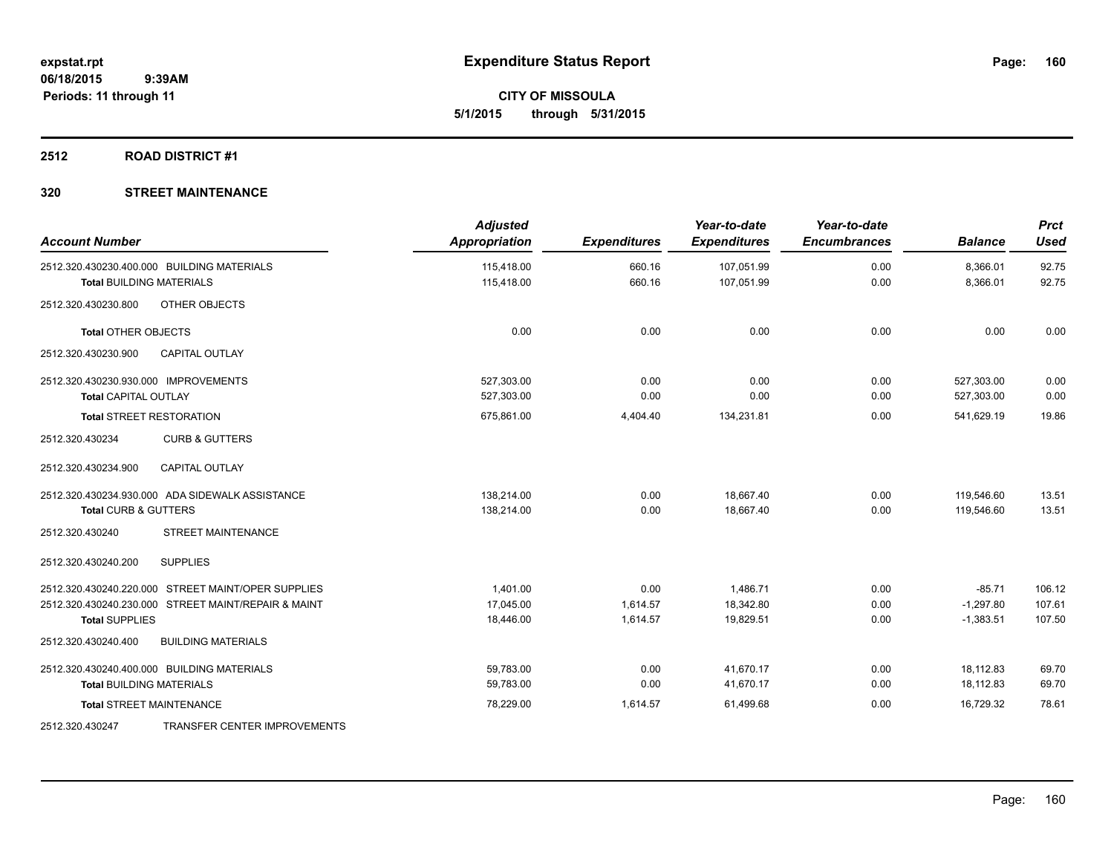**CITY OF MISSOULA 5/1/2015 through 5/31/2015**

## **2512 ROAD DISTRICT #1**

| <b>Account Number</b>                               | <b>Adjusted</b><br>Appropriation | <b>Expenditures</b> | Year-to-date<br><b>Expenditures</b> | Year-to-date<br><b>Encumbrances</b> | <b>Balance</b> | <b>Prct</b><br>Used |
|-----------------------------------------------------|----------------------------------|---------------------|-------------------------------------|-------------------------------------|----------------|---------------------|
| 2512.320.430230.400.000 BUILDING MATERIALS          | 115,418.00                       | 660.16              | 107,051.99                          | 0.00                                | 8,366.01       | 92.75               |
| <b>Total BUILDING MATERIALS</b>                     | 115,418.00                       | 660.16              | 107,051.99                          | 0.00                                | 8,366.01       | 92.75               |
| OTHER OBJECTS<br>2512.320.430230.800                |                                  |                     |                                     |                                     |                |                     |
| <b>Total OTHER OBJECTS</b>                          | 0.00                             | 0.00                | 0.00                                | 0.00                                | 0.00           | 0.00                |
| 2512.320.430230.900<br><b>CAPITAL OUTLAY</b>        |                                  |                     |                                     |                                     |                |                     |
| 2512.320.430230.930.000 IMPROVEMENTS                | 527.303.00                       | 0.00                | 0.00                                | 0.00                                | 527,303.00     | 0.00                |
| <b>Total CAPITAL OUTLAY</b>                         | 527,303.00                       | 0.00                | 0.00                                | 0.00                                | 527,303.00     | 0.00                |
| <b>Total STREET RESTORATION</b>                     | 675,861.00                       | 4,404.40            | 134,231.81                          | 0.00                                | 541,629.19     | 19.86               |
| 2512.320.430234<br><b>CURB &amp; GUTTERS</b>        |                                  |                     |                                     |                                     |                |                     |
| 2512.320.430234.900<br><b>CAPITAL OUTLAY</b>        |                                  |                     |                                     |                                     |                |                     |
| 2512.320.430234.930.000 ADA SIDEWALK ASSISTANCE     | 138,214.00                       | 0.00                | 18,667.40                           | 0.00                                | 119,546.60     | 13.51               |
| <b>Total CURB &amp; GUTTERS</b>                     | 138,214.00                       | 0.00                | 18.667.40                           | 0.00                                | 119.546.60     | 13.51               |
| <b>STREET MAINTENANCE</b><br>2512.320.430240        |                                  |                     |                                     |                                     |                |                     |
| <b>SUPPLIES</b><br>2512.320.430240.200              |                                  |                     |                                     |                                     |                |                     |
| 2512.320.430240.220.000 STREET MAINT/OPER SUPPLIES  | 1.401.00                         | 0.00                | 1,486.71                            | 0.00                                | $-85.71$       | 106.12              |
| 2512.320.430240.230.000 STREET MAINT/REPAIR & MAINT | 17,045.00                        | 1,614.57            | 18,342.80                           | 0.00                                | $-1,297.80$    | 107.61              |
| <b>Total SUPPLIES</b>                               | 18,446.00                        | 1,614.57            | 19,829.51                           | 0.00                                | $-1,383.51$    | 107.50              |
| <b>BUILDING MATERIALS</b><br>2512.320.430240.400    |                                  |                     |                                     |                                     |                |                     |
| 2512.320.430240.400.000 BUILDING MATERIALS          | 59,783.00                        | 0.00                | 41,670.17                           | 0.00                                | 18,112.83      | 69.70               |
| <b>Total BUILDING MATERIALS</b>                     | 59,783.00                        | 0.00                | 41,670.17                           | 0.00                                | 18,112.83      | 69.70               |
| <b>Total STREET MAINTENANCE</b>                     | 78,229.00                        | 1,614.57            | 61,499.68                           | 0.00                                | 16.729.32      | 78.61               |
| TRANSFER CENTER IMPROVEMENTS<br>2512.320.430247     |                                  |                     |                                     |                                     |                |                     |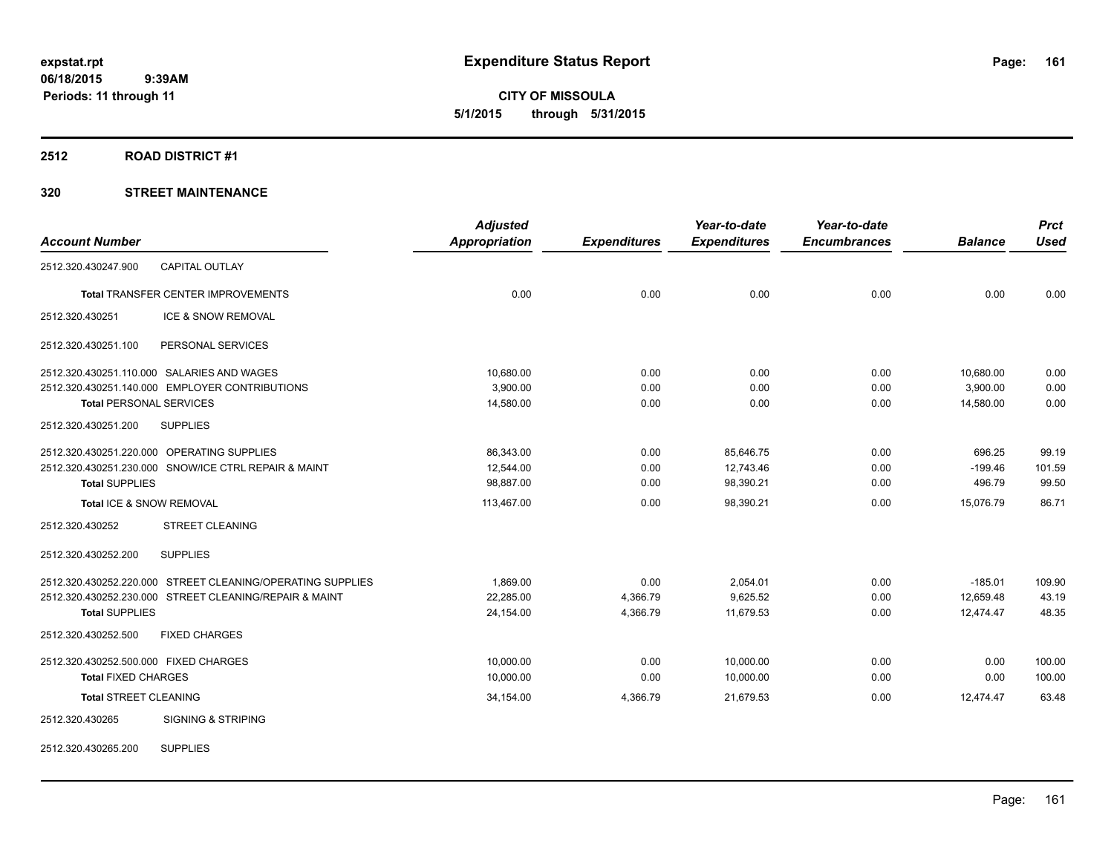**CITY OF MISSOULA 5/1/2015 through 5/31/2015**

#### **2512 ROAD DISTRICT #1**

|                                                            | <b>Adjusted</b>      |                     | Year-to-date        | Year-to-date        |                | <b>Prct</b> |
|------------------------------------------------------------|----------------------|---------------------|---------------------|---------------------|----------------|-------------|
| <b>Account Number</b>                                      | <b>Appropriation</b> | <b>Expenditures</b> | <b>Expenditures</b> | <b>Encumbrances</b> | <b>Balance</b> | <b>Used</b> |
| <b>CAPITAL OUTLAY</b><br>2512.320.430247.900               |                      |                     |                     |                     |                |             |
| Total TRANSFER CENTER IMPROVEMENTS                         | 0.00                 | 0.00                | 0.00                | 0.00                | 0.00           | 0.00        |
| ICE & SNOW REMOVAL<br>2512.320.430251                      |                      |                     |                     |                     |                |             |
| PERSONAL SERVICES<br>2512.320.430251.100                   |                      |                     |                     |                     |                |             |
| 2512.320.430251.110.000 SALARIES AND WAGES                 | 10,680.00            | 0.00                | 0.00                | 0.00                | 10,680.00      | 0.00        |
| 2512.320.430251.140.000 EMPLOYER CONTRIBUTIONS             | 3,900.00             | 0.00                | 0.00                | 0.00                | 3,900.00       | 0.00        |
| <b>Total PERSONAL SERVICES</b>                             | 14,580.00            | 0.00                | 0.00                | 0.00                | 14,580.00      | 0.00        |
| 2512.320.430251.200<br><b>SUPPLIES</b>                     |                      |                     |                     |                     |                |             |
| 2512.320.430251.220.000 OPERATING SUPPLIES                 | 86,343.00            | 0.00                | 85,646.75           | 0.00                | 696.25         | 99.19       |
| 2512.320.430251.230.000 SNOW/ICE CTRL REPAIR & MAINT       | 12,544.00            | 0.00                | 12,743.46           | 0.00                | $-199.46$      | 101.59      |
| <b>Total SUPPLIES</b>                                      | 98,887.00            | 0.00                | 98,390.21           | 0.00                | 496.79         | 99.50       |
| Total ICE & SNOW REMOVAL                                   | 113,467.00           | 0.00                | 98,390.21           | 0.00                | 15,076.79      | 86.71       |
| 2512.320.430252<br><b>STREET CLEANING</b>                  |                      |                     |                     |                     |                |             |
| <b>SUPPLIES</b><br>2512.320.430252.200                     |                      |                     |                     |                     |                |             |
| 2512.320.430252.220.000 STREET CLEANING/OPERATING SUPPLIES | 1.869.00             | 0.00                | 2,054.01            | 0.00                | $-185.01$      | 109.90      |
| 2512.320.430252.230.000 STREET CLEANING/REPAIR & MAINT     | 22,285.00            | 4,366.79            | 9,625.52            | 0.00                | 12,659.48      | 43.19       |
| <b>Total SUPPLIES</b>                                      | 24,154.00            | 4,366.79            | 11,679.53           | 0.00                | 12,474.47      | 48.35       |
| 2512.320.430252.500<br><b>FIXED CHARGES</b>                |                      |                     |                     |                     |                |             |
| 2512.320.430252.500.000 FIXED CHARGES                      | 10,000.00            | 0.00                | 10,000.00           | 0.00                | 0.00           | 100.00      |
| <b>Total FIXED CHARGES</b>                                 | 10,000.00            | 0.00                | 10,000.00           | 0.00                | 0.00           | 100.00      |
| <b>Total STREET CLEANING</b>                               | 34,154.00            | 4,366.79            | 21,679.53           | 0.00                | 12,474.47      | 63.48       |
| <b>SIGNING &amp; STRIPING</b><br>2512.320.430265           |                      |                     |                     |                     |                |             |
| <b>SUPPLIES</b><br>2512.320.430265.200                     |                      |                     |                     |                     |                |             |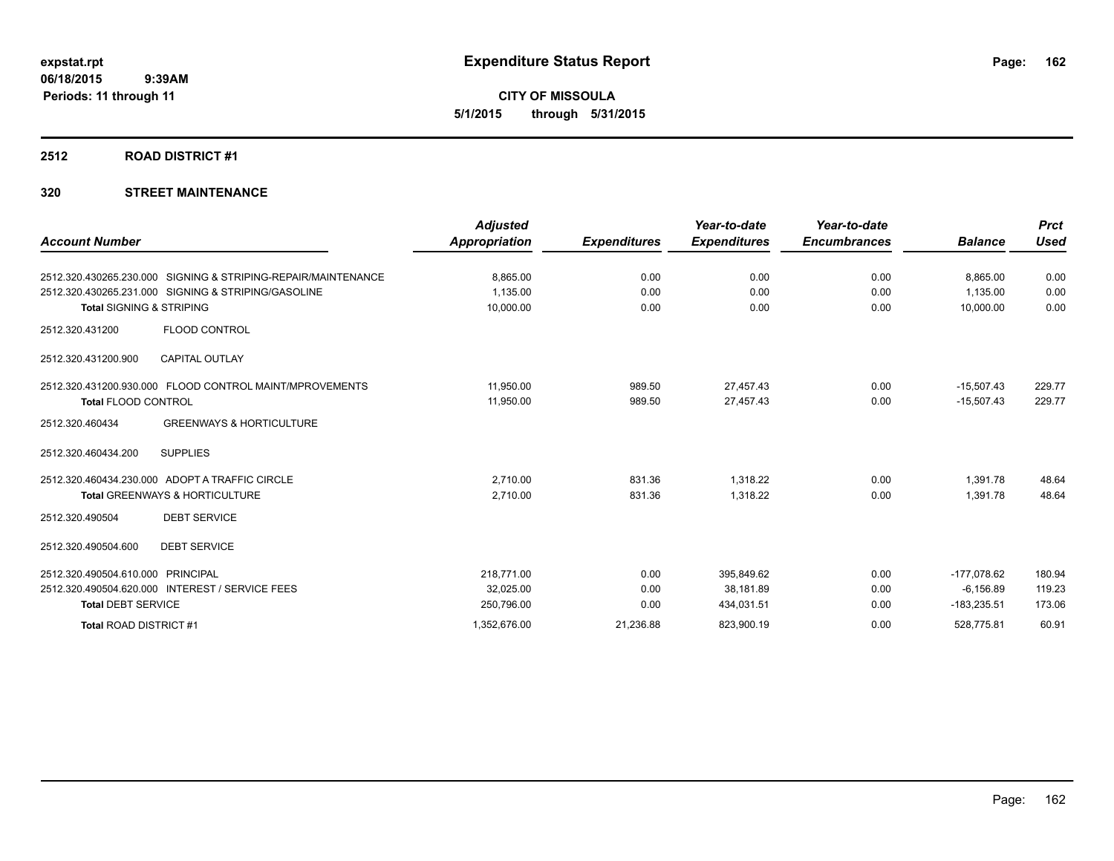**CITY OF MISSOULA 5/1/2015 through 5/31/2015**

#### **2512 ROAD DISTRICT #1**

| <b>Account Number</b>               |                                                               | <b>Adjusted</b><br><b>Appropriation</b> | <b>Expenditures</b> | Year-to-date<br><b>Expenditures</b> | Year-to-date<br><b>Encumbrances</b> | <b>Balance</b> | <b>Prct</b><br><b>Used</b> |
|-------------------------------------|---------------------------------------------------------------|-----------------------------------------|---------------------|-------------------------------------|-------------------------------------|----------------|----------------------------|
|                                     |                                                               |                                         |                     |                                     |                                     |                |                            |
|                                     | 2512.320.430265.230.000 SIGNING & STRIPING-REPAIR/MAINTENANCE | 8,865.00                                | 0.00                | 0.00                                | 0.00                                | 8,865.00       | 0.00                       |
|                                     | 2512.320.430265.231.000 SIGNING & STRIPING/GASOLINE           | 1,135.00                                | 0.00                | 0.00                                | 0.00                                | 1.135.00       | 0.00                       |
| <b>Total SIGNING &amp; STRIPING</b> |                                                               | 10,000.00                               | 0.00                | 0.00                                | 0.00                                | 10,000.00      | 0.00                       |
| 2512.320.431200                     | FLOOD CONTROL                                                 |                                         |                     |                                     |                                     |                |                            |
| 2512.320.431200.900                 | <b>CAPITAL OUTLAY</b>                                         |                                         |                     |                                     |                                     |                |                            |
|                                     | 2512.320.431200.930.000 FLOOD CONTROL MAINT/MPROVEMENTS       | 11,950.00                               | 989.50              | 27,457.43                           | 0.00                                | $-15,507.43$   | 229.77                     |
| <b>Total FLOOD CONTROL</b>          |                                                               | 11,950.00                               | 989.50              | 27,457.43                           | 0.00                                | $-15,507.43$   | 229.77                     |
| 2512.320.460434                     | <b>GREENWAYS &amp; HORTICULTURE</b>                           |                                         |                     |                                     |                                     |                |                            |
| 2512.320.460434.200                 | <b>SUPPLIES</b>                                               |                                         |                     |                                     |                                     |                |                            |
|                                     | 2512.320.460434.230.000 ADOPT A TRAFFIC CIRCLE                | 2.710.00                                | 831.36              | 1.318.22                            | 0.00                                | 1,391.78       | 48.64                      |
|                                     | <b>Total GREENWAYS &amp; HORTICULTURE</b>                     | 2,710.00                                | 831.36              | 1.318.22                            | 0.00                                | 1,391.78       | 48.64                      |
| 2512.320.490504                     | <b>DEBT SERVICE</b>                                           |                                         |                     |                                     |                                     |                |                            |
| 2512.320.490504.600                 | <b>DEBT SERVICE</b>                                           |                                         |                     |                                     |                                     |                |                            |
| 2512.320.490504.610.000             | PRINCIPAL                                                     | 218,771.00                              | 0.00                | 395,849.62                          | 0.00                                | $-177,078.62$  | 180.94                     |
|                                     | 2512.320.490504.620.000 INTEREST / SERVICE FEES               | 32,025.00                               | 0.00                | 38,181.89                           | 0.00                                | $-6, 156.89$   | 119.23                     |
| <b>Total DEBT SERVICE</b>           |                                                               | 250,796.00                              | 0.00                | 434,031.51                          | 0.00                                | $-183,235.51$  | 173.06                     |
| Total ROAD DISTRICT #1              |                                                               | 1,352,676.00                            | 21,236.88           | 823,900.19                          | 0.00                                | 528,775.81     | 60.91                      |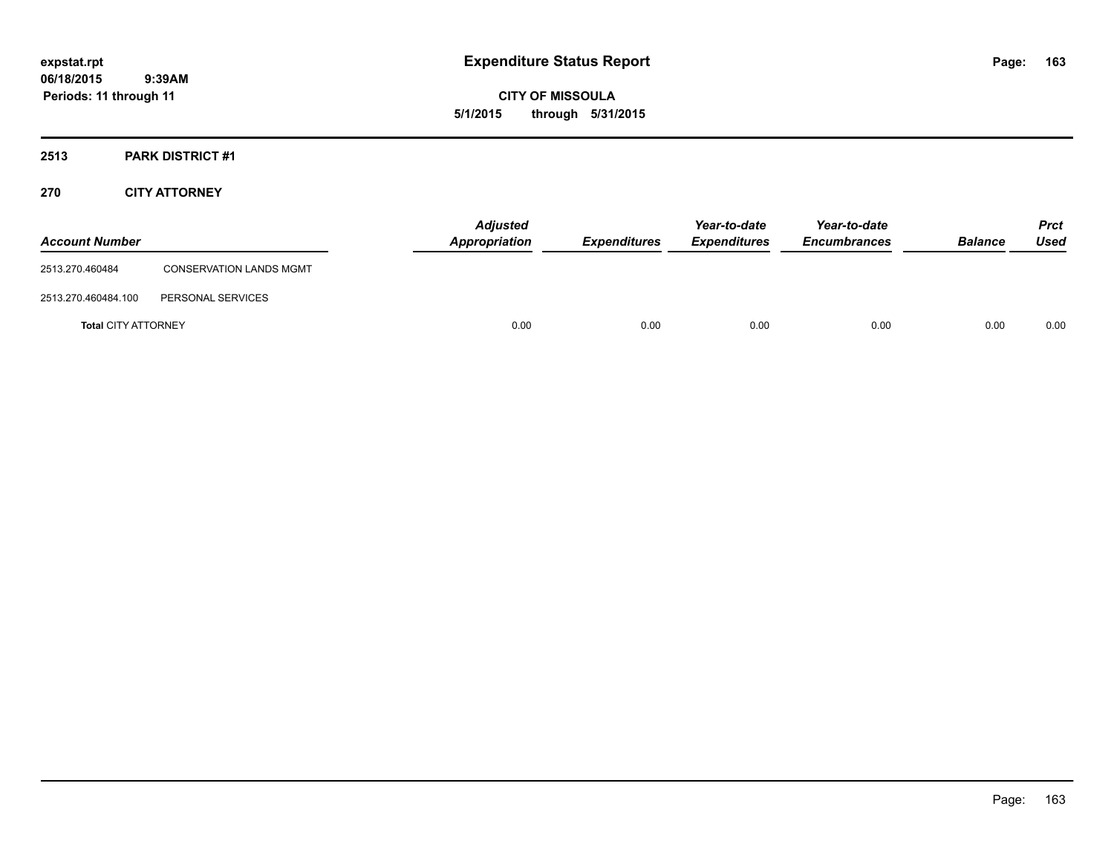**CITY OF MISSOULA 5/1/2015 through 5/31/2015**

## **2513 PARK DISTRICT #1**

## **270 CITY ATTORNEY**

| <b>Account Number</b>      |                                | <b>Adjusted</b><br>Appropriation | <b>Expenditures</b> | Year-to-date<br><b>Expenditures</b> | Year-to-date<br><b>Encumbrances</b> | <b>Balance</b> | <b>Prct</b><br>Used |
|----------------------------|--------------------------------|----------------------------------|---------------------|-------------------------------------|-------------------------------------|----------------|---------------------|
| 2513.270.460484            | <b>CONSERVATION LANDS MGMT</b> |                                  |                     |                                     |                                     |                |                     |
| 2513.270.460484.100        | PERSONAL SERVICES              |                                  |                     |                                     |                                     |                |                     |
| <b>Total CITY ATTORNEY</b> |                                | 0.00                             | 0.00                | 0.00                                | 0.00                                | 0.00           | 0.00                |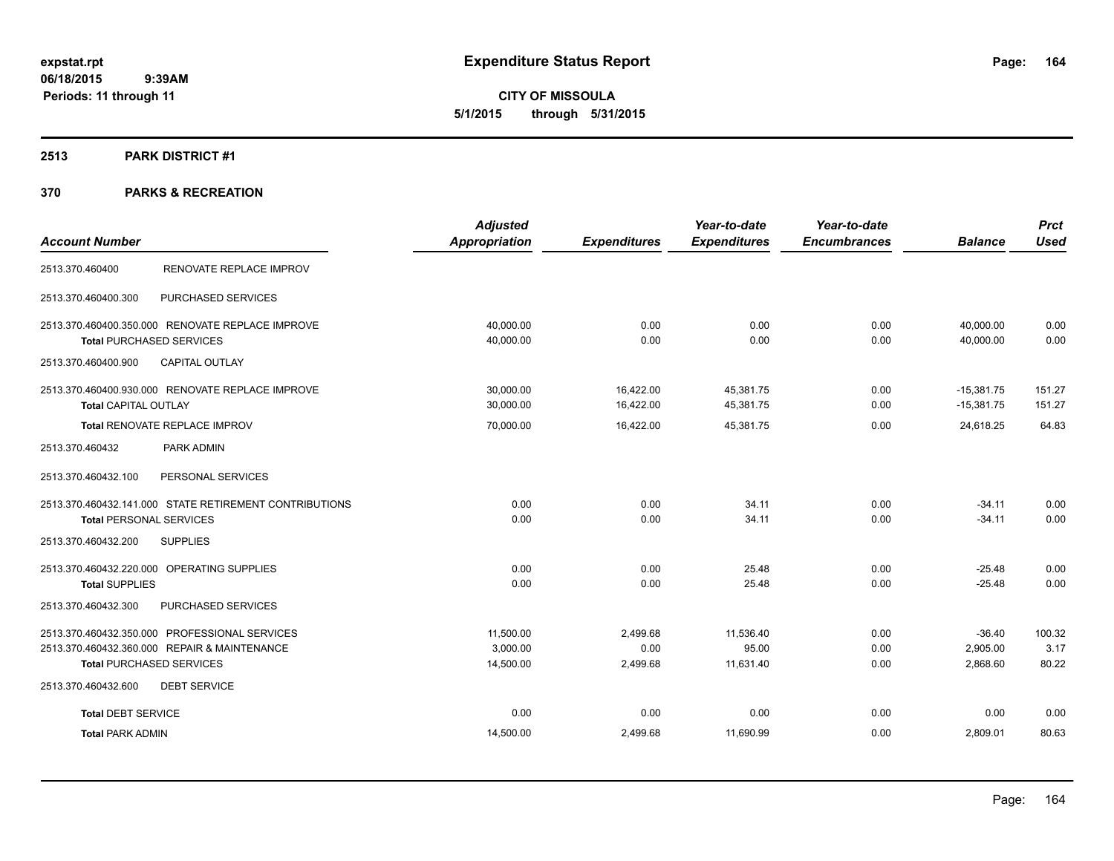**CITY OF MISSOULA 5/1/2015 through 5/31/2015**

#### **2513 PARK DISTRICT #1**

|                                                        | <b>Adjusted</b>      |                     | Year-to-date        | Year-to-date        |                | <b>Prct</b> |
|--------------------------------------------------------|----------------------|---------------------|---------------------|---------------------|----------------|-------------|
| <b>Account Number</b>                                  | <b>Appropriation</b> | <b>Expenditures</b> | <b>Expenditures</b> | <b>Encumbrances</b> | <b>Balance</b> | <b>Used</b> |
| RENOVATE REPLACE IMPROV<br>2513.370.460400             |                      |                     |                     |                     |                |             |
| 2513.370.460400.300<br>PURCHASED SERVICES              |                      |                     |                     |                     |                |             |
| 2513.370.460400.350.000 RENOVATE REPLACE IMPROVE       | 40,000.00            | 0.00                | 0.00                | 0.00                | 40,000.00      | 0.00        |
| <b>Total PURCHASED SERVICES</b>                        | 40,000.00            | 0.00                | 0.00                | 0.00                | 40,000.00      | 0.00        |
| <b>CAPITAL OUTLAY</b><br>2513.370.460400.900           |                      |                     |                     |                     |                |             |
| 2513.370.460400.930.000 RENOVATE REPLACE IMPROVE       | 30,000.00            | 16,422.00           | 45,381.75           | 0.00                | $-15,381.75$   | 151.27      |
| <b>Total CAPITAL OUTLAY</b>                            | 30,000.00            | 16,422.00           | 45,381.75           | 0.00                | $-15,381.75$   | 151.27      |
| Total RENOVATE REPLACE IMPROV                          | 70,000.00            | 16,422.00           | 45,381.75           | 0.00                | 24,618.25      | 64.83       |
| PARK ADMIN<br>2513.370.460432                          |                      |                     |                     |                     |                |             |
| 2513.370.460432.100<br>PERSONAL SERVICES               |                      |                     |                     |                     |                |             |
| 2513.370.460432.141.000 STATE RETIREMENT CONTRIBUTIONS | 0.00                 | 0.00                | 34.11               | 0.00                | $-34.11$       | 0.00        |
| <b>Total PERSONAL SERVICES</b>                         | 0.00                 | 0.00                | 34.11               | 0.00                | $-34.11$       | 0.00        |
| 2513.370.460432.200<br><b>SUPPLIES</b>                 |                      |                     |                     |                     |                |             |
| 2513.370.460432.220.000 OPERATING SUPPLIES             | 0.00                 | 0.00                | 25.48               | 0.00                | $-25.48$       | 0.00        |
| <b>Total SUPPLIES</b>                                  | 0.00                 | 0.00                | 25.48               | 0.00                | $-25.48$       | 0.00        |
| 2513.370.460432.300<br>PURCHASED SERVICES              |                      |                     |                     |                     |                |             |
| 2513.370.460432.350.000 PROFESSIONAL SERVICES          | 11,500.00            | 2,499.68            | 11,536.40           | 0.00                | $-36.40$       | 100.32      |
| 2513.370.460432.360.000 REPAIR & MAINTENANCE           | 3,000.00             | 0.00                | 95.00               | 0.00                | 2,905.00       | 3.17        |
| <b>Total PURCHASED SERVICES</b>                        | 14,500.00            | 2,499.68            | 11,631.40           | 0.00                | 2,868.60       | 80.22       |
| 2513.370.460432.600<br><b>DEBT SERVICE</b>             |                      |                     |                     |                     |                |             |
| <b>Total DEBT SERVICE</b>                              | 0.00                 | 0.00                | 0.00                | 0.00                | 0.00           | 0.00        |
| <b>Total PARK ADMIN</b>                                | 14,500.00            | 2,499.68            | 11,690.99           | 0.00                | 2,809.01       | 80.63       |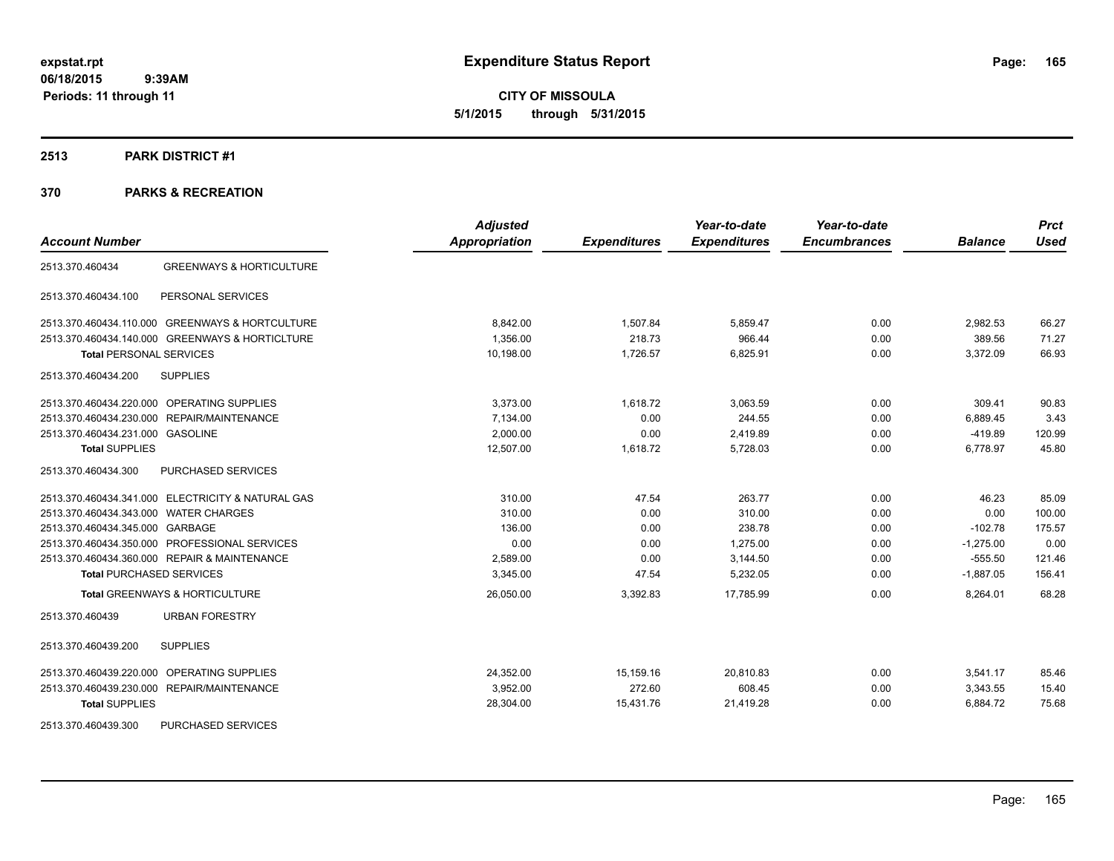**CITY OF MISSOULA 5/1/2015 through 5/31/2015**

#### **2513 PARK DISTRICT #1**

|                                                        | <b>Adjusted</b>      |                     | Year-to-date        | Year-to-date        |                | <b>Prct</b> |
|--------------------------------------------------------|----------------------|---------------------|---------------------|---------------------|----------------|-------------|
| <b>Account Number</b>                                  | <b>Appropriation</b> | <b>Expenditures</b> | <b>Expenditures</b> | <b>Encumbrances</b> | <b>Balance</b> | <b>Used</b> |
| <b>GREENWAYS &amp; HORTICULTURE</b><br>2513.370.460434 |                      |                     |                     |                     |                |             |
| 2513.370.460434.100<br>PERSONAL SERVICES               |                      |                     |                     |                     |                |             |
| 2513.370.460434.110.000 GREENWAYS & HORTCULTURE        | 8,842.00             | 1,507.84            | 5,859.47            | 0.00                | 2,982.53       | 66.27       |
| 2513.370.460434.140.000 GREENWAYS & HORTICLTURE        | 1.356.00             | 218.73              | 966.44              | 0.00                | 389.56         | 71.27       |
| <b>Total PERSONAL SERVICES</b>                         | 10,198.00            | 1,726.57            | 6,825.91            | 0.00                | 3,372.09       | 66.93       |
| <b>SUPPLIES</b><br>2513.370.460434.200                 |                      |                     |                     |                     |                |             |
| 2513.370.460434.220.000 OPERATING SUPPLIES             | 3,373.00             | 1,618.72            | 3,063.59            | 0.00                | 309.41         | 90.83       |
| 2513.370.460434.230.000 REPAIR/MAINTENANCE             | 7,134.00             | 0.00                | 244.55              | 0.00                | 6,889.45       | 3.43        |
| 2513.370.460434.231.000 GASOLINE                       | 2,000.00             | 0.00                | 2,419.89            | 0.00                | $-419.89$      | 120.99      |
| <b>Total SUPPLIES</b>                                  | 12.507.00            | 1.618.72            | 5,728.03            | 0.00                | 6.778.97       | 45.80       |
| PURCHASED SERVICES<br>2513.370.460434.300              |                      |                     |                     |                     |                |             |
| 2513.370.460434.341.000 ELECTRICITY & NATURAL GAS      | 310.00               | 47.54               | 263.77              | 0.00                | 46.23          | 85.09       |
| 2513.370.460434.343.000 WATER CHARGES                  | 310.00               | 0.00                | 310.00              | 0.00                | 0.00           | 100.00      |
| 2513.370.460434.345.000 GARBAGE                        | 136.00               | 0.00                | 238.78              | 0.00                | $-102.78$      | 175.57      |
| 2513.370.460434.350.000 PROFESSIONAL SERVICES          | 0.00                 | 0.00                | 1.275.00            | 0.00                | $-1.275.00$    | 0.00        |
| 2513.370.460434.360.000 REPAIR & MAINTENANCE           | 2,589.00             | 0.00                | 3,144.50            | 0.00                | $-555.50$      | 121.46      |
| <b>Total PURCHASED SERVICES</b>                        | 3,345.00             | 47.54               | 5,232.05            | 0.00                | $-1,887.05$    | 156.41      |
| <b>Total GREENWAYS &amp; HORTICULTURE</b>              | 26,050.00            | 3,392.83            | 17,785.99           | 0.00                | 8,264.01       | 68.28       |
| <b>URBAN FORESTRY</b><br>2513.370.460439               |                      |                     |                     |                     |                |             |
| <b>SUPPLIES</b><br>2513.370.460439.200                 |                      |                     |                     |                     |                |             |
| 2513.370.460439.220.000 OPERATING SUPPLIES             | 24,352.00            | 15,159.16           | 20,810.83           | 0.00                | 3,541.17       | 85.46       |
| 2513.370.460439.230.000 REPAIR/MAINTENANCE             | 3,952.00             | 272.60              | 608.45              | 0.00                | 3,343.55       | 15.40       |
| <b>Total SUPPLIES</b>                                  | 28,304.00            | 15,431.76           | 21,419.28           | 0.00                | 6,884.72       | 75.68       |
| PURCHASED SERVICES<br>2513.370.460439.300              |                      |                     |                     |                     |                |             |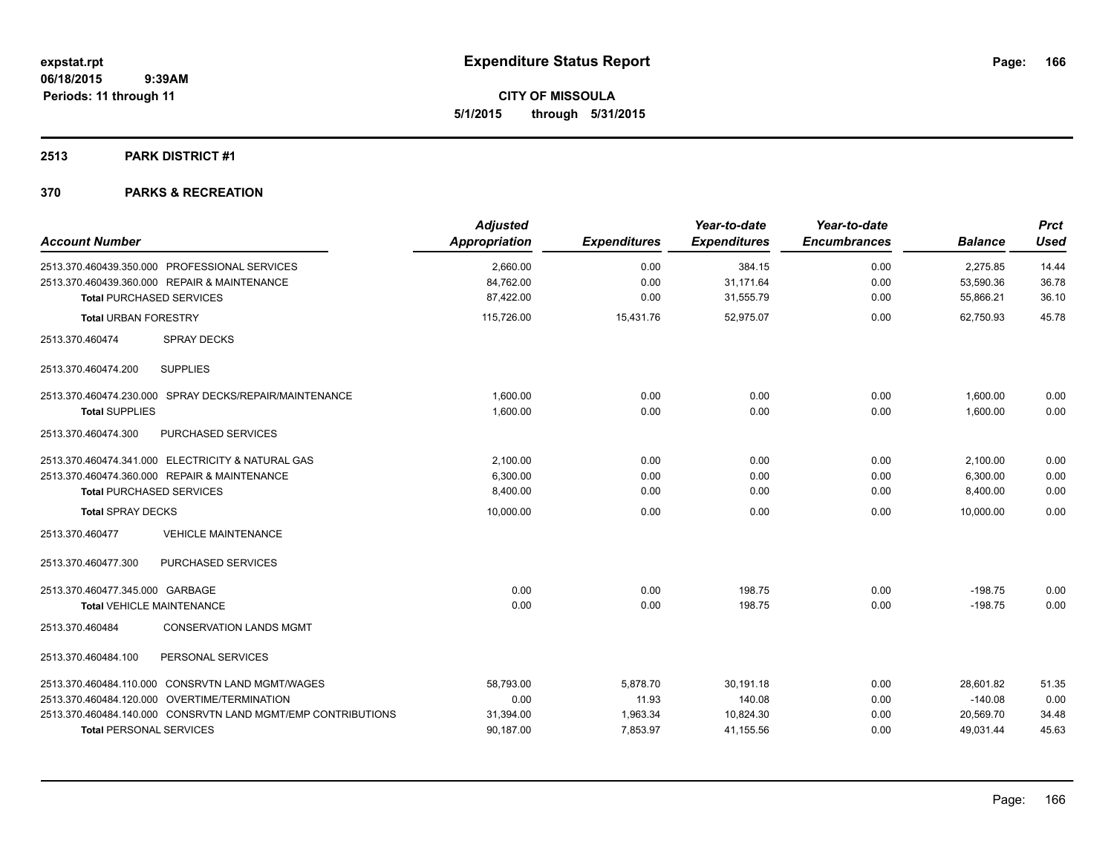**CITY OF MISSOULA 5/1/2015 through 5/31/2015**

#### **2513 PARK DISTRICT #1**

| <b>Account Number</b>                                        | <b>Adjusted</b><br>Appropriation | <b>Expenditures</b> | Year-to-date<br><b>Expenditures</b> | Year-to-date<br><b>Encumbrances</b> | <b>Balance</b> | <b>Prct</b><br><b>Used</b> |
|--------------------------------------------------------------|----------------------------------|---------------------|-------------------------------------|-------------------------------------|----------------|----------------------------|
| 2513.370.460439.350.000 PROFESSIONAL SERVICES                | 2,660.00                         | 0.00                | 384.15                              | 0.00                                | 2,275.85       | 14.44                      |
| 2513.370.460439.360.000 REPAIR & MAINTENANCE                 | 84,762.00                        | 0.00                | 31,171.64                           | 0.00                                | 53,590.36      | 36.78                      |
| <b>Total PURCHASED SERVICES</b>                              | 87,422.00                        | 0.00                | 31,555.79                           | 0.00                                | 55,866.21      | 36.10                      |
| <b>Total URBAN FORESTRY</b>                                  | 115,726.00                       | 15,431.76           | 52,975.07                           | 0.00                                | 62.750.93      | 45.78                      |
| 2513.370.460474<br><b>SPRAY DECKS</b>                        |                                  |                     |                                     |                                     |                |                            |
| <b>SUPPLIES</b><br>2513.370.460474.200                       |                                  |                     |                                     |                                     |                |                            |
| 2513.370.460474.230.000 SPRAY DECKS/REPAIR/MAINTENANCE       | 1,600.00                         | 0.00                | 0.00                                | 0.00                                | 1,600.00       | 0.00                       |
| <b>Total SUPPLIES</b>                                        | 1,600.00                         | 0.00                | 0.00                                | 0.00                                | 1,600.00       | 0.00                       |
| 2513.370.460474.300<br>PURCHASED SERVICES                    |                                  |                     |                                     |                                     |                |                            |
| 2513.370.460474.341.000 ELECTRICITY & NATURAL GAS            | 2,100.00                         | 0.00                | 0.00                                | 0.00                                | 2,100.00       | 0.00                       |
| 2513.370.460474.360.000 REPAIR & MAINTENANCE                 | 6,300.00                         | 0.00                | 0.00                                | 0.00                                | 6,300.00       | 0.00                       |
| <b>Total PURCHASED SERVICES</b>                              | 8,400.00                         | 0.00                | 0.00                                | 0.00                                | 8,400.00       | 0.00                       |
| <b>Total SPRAY DECKS</b>                                     | 10,000.00                        | 0.00                | 0.00                                | 0.00                                | 10.000.00      | 0.00                       |
| <b>VEHICLE MAINTENANCE</b><br>2513.370.460477                |                                  |                     |                                     |                                     |                |                            |
| PURCHASED SERVICES<br>2513.370.460477.300                    |                                  |                     |                                     |                                     |                |                            |
| 2513.370.460477.345.000 GARBAGE                              | 0.00                             | 0.00                | 198.75                              | 0.00                                | $-198.75$      | 0.00                       |
| <b>Total VEHICLE MAINTENANCE</b>                             | 0.00                             | 0.00                | 198.75                              | 0.00                                | $-198.75$      | 0.00                       |
| 2513.370.460484<br><b>CONSERVATION LANDS MGMT</b>            |                                  |                     |                                     |                                     |                |                            |
| PERSONAL SERVICES<br>2513.370.460484.100                     |                                  |                     |                                     |                                     |                |                            |
| 2513.370.460484.110.000 CONSRVTN LAND MGMT/WAGES             | 58,793.00                        | 5,878.70            | 30,191.18                           | 0.00                                | 28,601.82      | 51.35                      |
| 2513.370.460484.120.000 OVERTIME/TERMINATION                 | 0.00                             | 11.93               | 140.08                              | 0.00                                | $-140.08$      | 0.00                       |
| 2513.370.460484.140.000 CONSRVTN LAND MGMT/EMP CONTRIBUTIONS | 31,394.00                        | 1,963.34            | 10,824.30                           | 0.00                                | 20,569.70      | 34.48                      |
| <b>Total PERSONAL SERVICES</b>                               | 90,187.00                        | 7,853.97            | 41,155.56                           | 0.00                                | 49,031.44      | 45.63                      |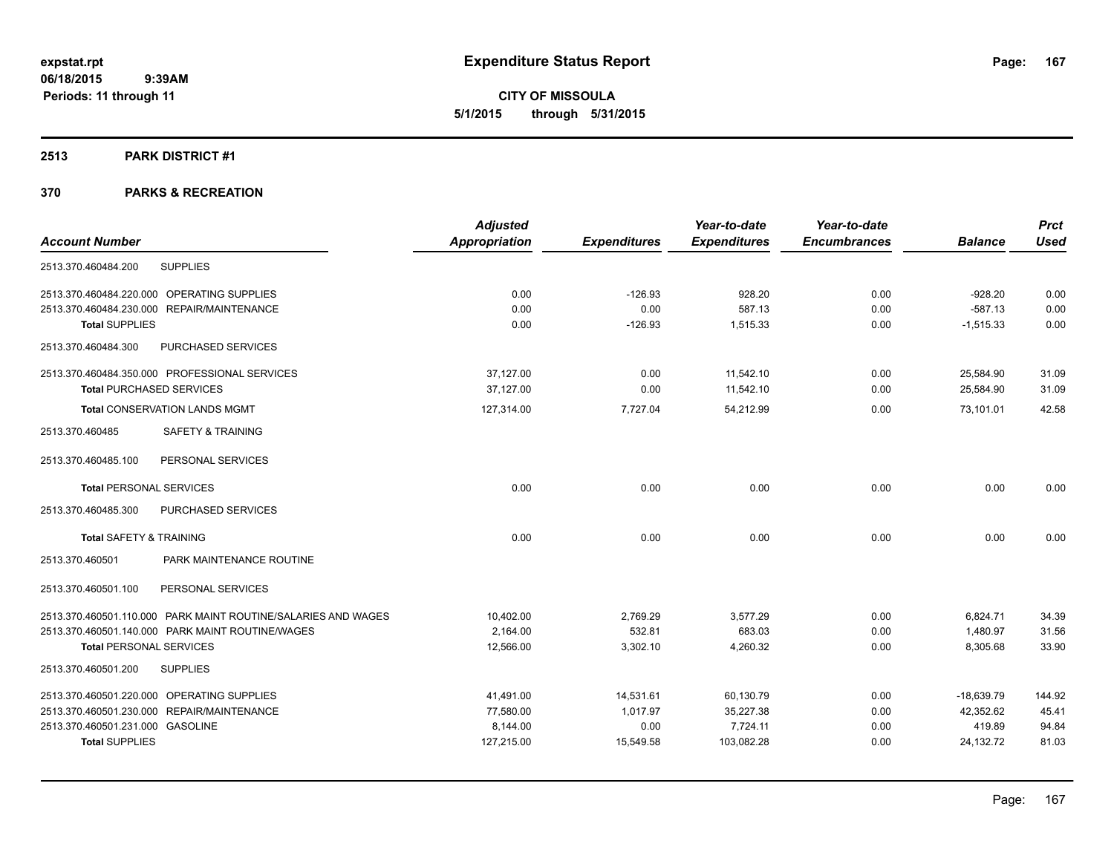**CITY OF MISSOULA 5/1/2015 through 5/31/2015**

#### **2513 PARK DISTRICT #1**

|                                                               | <b>Adjusted</b>      |                     | Year-to-date        | Year-to-date        |                | <b>Prct</b> |
|---------------------------------------------------------------|----------------------|---------------------|---------------------|---------------------|----------------|-------------|
| <b>Account Number</b>                                         | <b>Appropriation</b> | <b>Expenditures</b> | <b>Expenditures</b> | <b>Encumbrances</b> | <b>Balance</b> | <b>Used</b> |
| <b>SUPPLIES</b><br>2513.370.460484.200                        |                      |                     |                     |                     |                |             |
| 2513.370.460484.220.000 OPERATING SUPPLIES                    | 0.00                 | $-126.93$           | 928.20              | 0.00                | $-928.20$      | 0.00        |
| 2513.370.460484.230.000 REPAIR/MAINTENANCE                    | 0.00                 | 0.00                | 587.13              | 0.00                | $-587.13$      | 0.00        |
| <b>Total SUPPLIES</b>                                         | 0.00                 | $-126.93$           | 1,515.33            | 0.00                | $-1,515.33$    | 0.00        |
| 2513.370.460484.300<br>PURCHASED SERVICES                     |                      |                     |                     |                     |                |             |
| 2513.370.460484.350.000 PROFESSIONAL SERVICES                 | 37,127.00            | 0.00                | 11,542.10           | 0.00                | 25,584.90      | 31.09       |
| <b>Total PURCHASED SERVICES</b>                               | 37.127.00            | 0.00                | 11,542.10           | 0.00                | 25,584.90      | 31.09       |
| <b>Total CONSERVATION LANDS MGMT</b>                          | 127,314.00           | 7,727.04            | 54,212.99           | 0.00                | 73,101.01      | 42.58       |
| <b>SAFETY &amp; TRAINING</b><br>2513.370.460485               |                      |                     |                     |                     |                |             |
| PERSONAL SERVICES<br>2513.370.460485.100                      |                      |                     |                     |                     |                |             |
| <b>Total PERSONAL SERVICES</b>                                | 0.00                 | 0.00                | 0.00                | 0.00                | 0.00           | 0.00        |
| 2513.370.460485.300<br>PURCHASED SERVICES                     |                      |                     |                     |                     |                |             |
| <b>Total SAFETY &amp; TRAINING</b>                            | 0.00                 | 0.00                | 0.00                | 0.00                | 0.00           | 0.00        |
| 2513.370.460501<br>PARK MAINTENANCE ROUTINE                   |                      |                     |                     |                     |                |             |
| PERSONAL SERVICES<br>2513.370.460501.100                      |                      |                     |                     |                     |                |             |
| 2513.370.460501.110.000 PARK MAINT ROUTINE/SALARIES AND WAGES | 10,402.00            | 2,769.29            | 3,577.29            | 0.00                | 6,824.71       | 34.39       |
| 2513.370.460501.140.000 PARK MAINT ROUTINE/WAGES              | 2.164.00             | 532.81              | 683.03              | 0.00                | 1,480.97       | 31.56       |
| <b>Total PERSONAL SERVICES</b>                                | 12,566.00            | 3,302.10            | 4,260.32            | 0.00                | 8,305.68       | 33.90       |
| <b>SUPPLIES</b><br>2513.370.460501.200                        |                      |                     |                     |                     |                |             |
| 2513.370.460501.220.000 OPERATING SUPPLIES                    | 41,491.00            | 14,531.61           | 60,130.79           | 0.00                | $-18,639.79$   | 144.92      |
| 2513.370.460501.230.000 REPAIR/MAINTENANCE                    | 77,580.00            | 1,017.97            | 35,227.38           | 0.00                | 42,352.62      | 45.41       |
| 2513.370.460501.231.000 GASOLINE                              | 8,144.00             | 0.00                | 7,724.11            | 0.00                | 419.89         | 94.84       |
| <b>Total SUPPLIES</b>                                         | 127,215.00           | 15,549.58           | 103,082.28          | 0.00                | 24,132.72      | 81.03       |
|                                                               |                      |                     |                     |                     |                |             |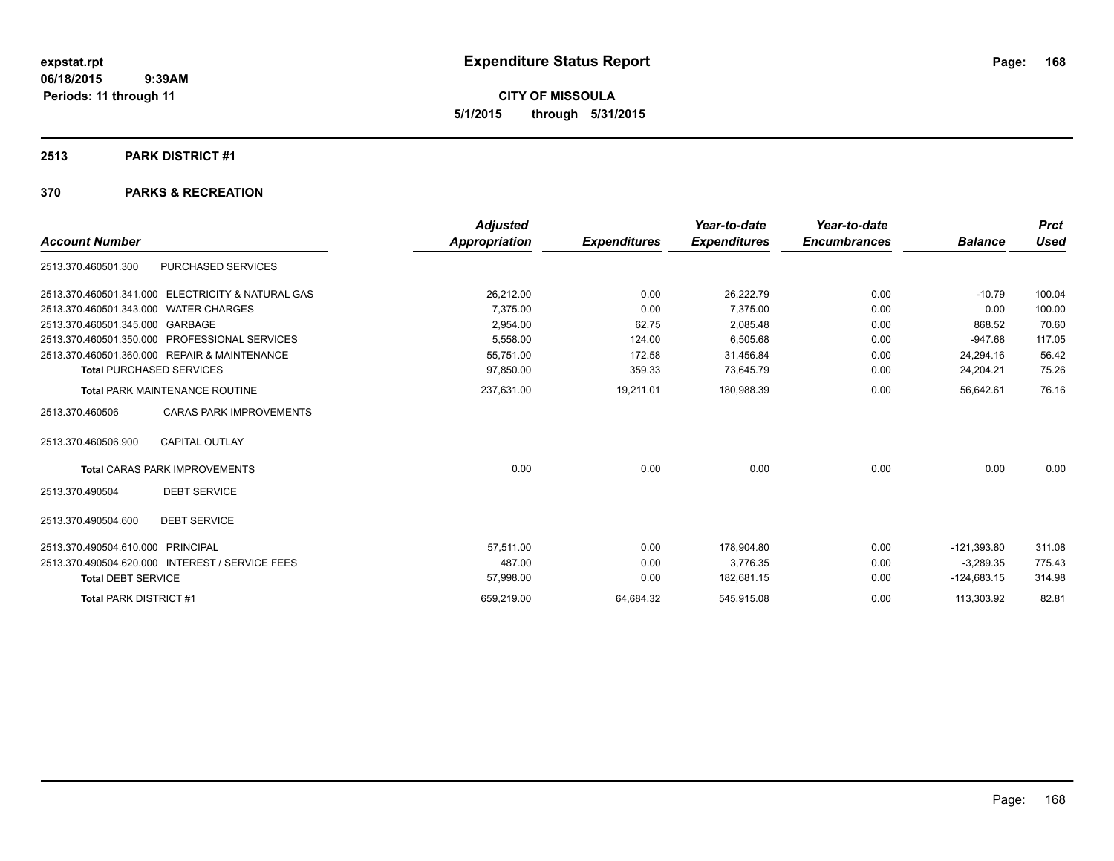**CITY OF MISSOULA 5/1/2015 through 5/31/2015**

#### **2513 PARK DISTRICT #1**

|                                       |                                                 | <b>Adjusted</b> |                     | Year-to-date        | Year-to-date        |                | <b>Prct</b> |
|---------------------------------------|-------------------------------------------------|-----------------|---------------------|---------------------|---------------------|----------------|-------------|
| <b>Account Number</b>                 |                                                 | Appropriation   | <b>Expenditures</b> | <b>Expenditures</b> | <b>Encumbrances</b> | <b>Balance</b> | <b>Used</b> |
| 2513.370.460501.300                   | <b>PURCHASED SERVICES</b>                       |                 |                     |                     |                     |                |             |
| 2513.370.460501.341.000               | <b>ELECTRICITY &amp; NATURAL GAS</b>            | 26,212.00       | 0.00                | 26,222.79           | 0.00                | $-10.79$       | 100.04      |
| 2513.370.460501.343.000 WATER CHARGES |                                                 | 7,375.00        | 0.00                | 7.375.00            | 0.00                | 0.00           | 100.00      |
| 2513.370.460501.345.000 GARBAGE       |                                                 | 2,954.00        | 62.75               | 2.085.48            | 0.00                | 868.52         | 70.60       |
|                                       | 2513.370.460501.350.000 PROFESSIONAL SERVICES   | 5,558.00        | 124.00              | 6,505.68            | 0.00                | $-947.68$      | 117.05      |
|                                       | 2513.370.460501.360.000 REPAIR & MAINTENANCE    | 55,751.00       | 172.58              | 31,456.84           | 0.00                | 24,294.16      | 56.42       |
| <b>Total PURCHASED SERVICES</b>       |                                                 | 97,850.00       | 359.33              | 73,645.79           | 0.00                | 24,204.21      | 75.26       |
|                                       | <b>Total PARK MAINTENANCE ROUTINE</b>           | 237,631.00      | 19,211.01           | 180,988.39          | 0.00                | 56,642.61      | 76.16       |
| 2513.370.460506                       | <b>CARAS PARK IMPROVEMENTS</b>                  |                 |                     |                     |                     |                |             |
| 2513.370.460506.900                   | <b>CAPITAL OUTLAY</b>                           |                 |                     |                     |                     |                |             |
|                                       | <b>Total CARAS PARK IMPROVEMENTS</b>            | 0.00            | 0.00                | 0.00                | 0.00                | 0.00           | 0.00        |
| 2513.370.490504                       | <b>DEBT SERVICE</b>                             |                 |                     |                     |                     |                |             |
| 2513.370.490504.600                   | <b>DEBT SERVICE</b>                             |                 |                     |                     |                     |                |             |
| 2513.370.490504.610.000 PRINCIPAL     |                                                 | 57.511.00       | 0.00                | 178,904.80          | 0.00                | $-121,393.80$  | 311.08      |
|                                       | 2513.370.490504.620.000 INTEREST / SERVICE FEES | 487.00          | 0.00                | 3.776.35            | 0.00                | $-3,289.35$    | 775.43      |
| <b>Total DEBT SERVICE</b>             |                                                 | 57,998.00       | 0.00                | 182,681.15          | 0.00                | $-124,683.15$  | 314.98      |
| <b>Total PARK DISTRICT #1</b>         |                                                 | 659,219.00      | 64,684.32           | 545,915.08          | 0.00                | 113,303.92     | 82.81       |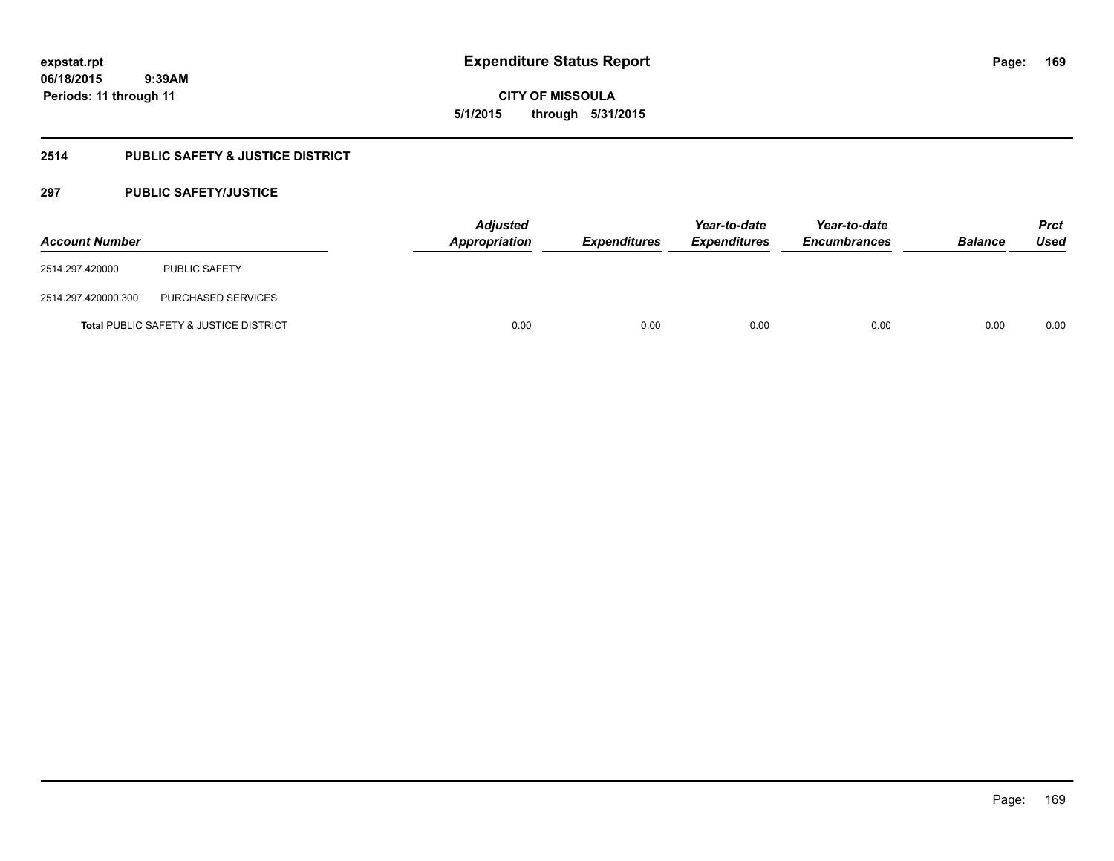**CITY OF MISSOULA 5/1/2015 through 5/31/2015**

## **2514 PUBLIC SAFETY & JUSTICE DISTRICT**

## **297 PUBLIC SAFETY/JUSTICE**

| <b>Account Number</b> |                                                   | <b>Adjusted</b><br><b>Appropriation</b> | <b>Expenditures</b> | Year-to-date<br><b>Expenditures</b> | Year-to-date<br><b>Encumbrances</b> | <b>Balance</b> | Prct<br><b>Used</b> |
|-----------------------|---------------------------------------------------|-----------------------------------------|---------------------|-------------------------------------|-------------------------------------|----------------|---------------------|
| 2514.297.420000       | PUBLIC SAFETY                                     |                                         |                     |                                     |                                     |                |                     |
| 2514.297.420000.300   | PURCHASED SERVICES                                |                                         |                     |                                     |                                     |                |                     |
|                       | <b>Total PUBLIC SAFETY &amp; JUSTICE DISTRICT</b> | 0.00                                    | 0.00                | 0.00                                | 0.00                                | 0.00           | 0.00                |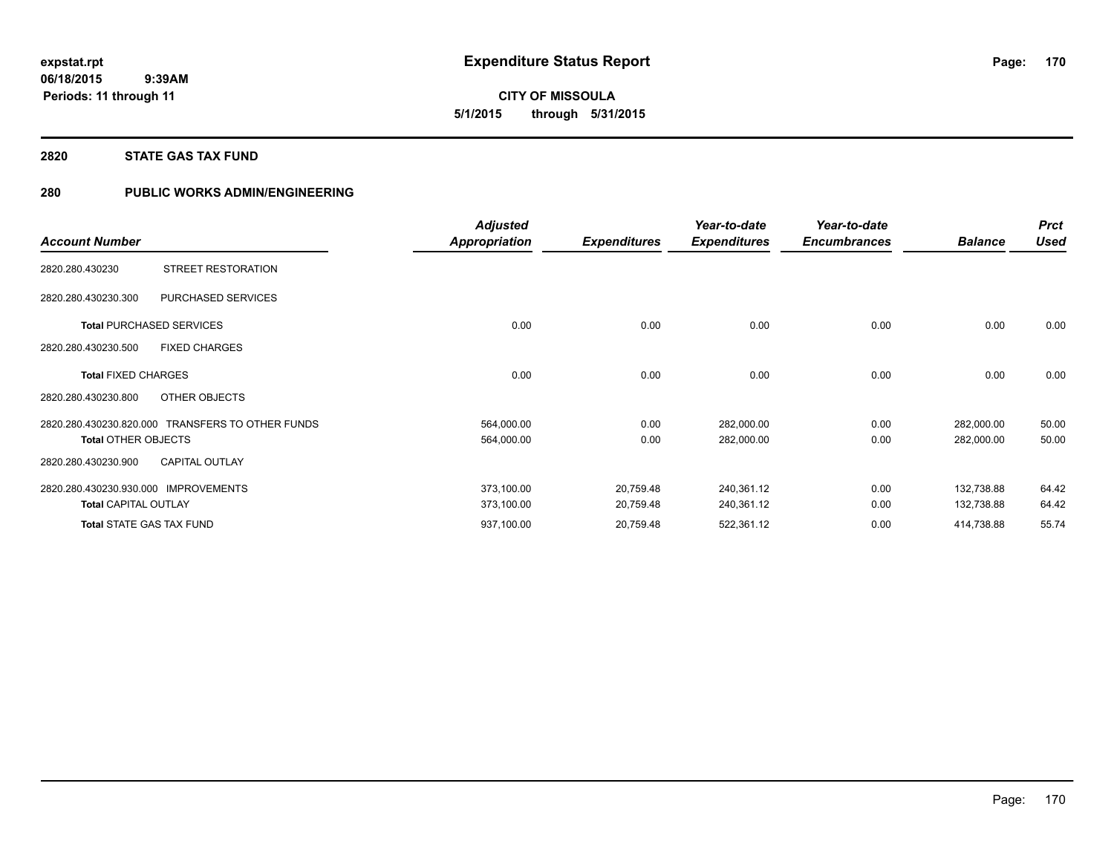**CITY OF MISSOULA 5/1/2015 through 5/31/2015**

#### **2820 STATE GAS TAX FUND**

## **280 PUBLIC WORKS ADMIN/ENGINEERING**

|                                                  | <b>Adjusted</b>      |                     | Year-to-date        | Year-to-date        |                | <b>Prct</b> |
|--------------------------------------------------|----------------------|---------------------|---------------------|---------------------|----------------|-------------|
| <b>Account Number</b>                            | <b>Appropriation</b> | <b>Expenditures</b> | <b>Expenditures</b> | <b>Encumbrances</b> | <b>Balance</b> | <b>Used</b> |
| STREET RESTORATION<br>2820.280.430230            |                      |                     |                     |                     |                |             |
| PURCHASED SERVICES<br>2820.280.430230.300        |                      |                     |                     |                     |                |             |
| <b>Total PURCHASED SERVICES</b>                  | 0.00                 | 0.00                | 0.00                | 0.00                | 0.00           | 0.00        |
| 2820.280.430230.500<br><b>FIXED CHARGES</b>      |                      |                     |                     |                     |                |             |
| <b>Total FIXED CHARGES</b>                       | 0.00                 | 0.00                | 0.00                | 0.00                | 0.00           | 0.00        |
| OTHER OBJECTS<br>2820.280.430230.800             |                      |                     |                     |                     |                |             |
| 2820.280.430230.820.000 TRANSFERS TO OTHER FUNDS | 564,000.00           | 0.00                | 282,000.00          | 0.00                | 282,000.00     | 50.00       |
| <b>Total OTHER OBJECTS</b>                       | 564,000.00           | 0.00                | 282,000.00          | 0.00                | 282,000.00     | 50.00       |
| <b>CAPITAL OUTLAY</b><br>2820.280.430230.900     |                      |                     |                     |                     |                |             |
| 2820.280.430230.930.000<br><b>IMPROVEMENTS</b>   | 373,100.00           | 20,759.48           | 240,361.12          | 0.00                | 132,738.88     | 64.42       |
| <b>Total CAPITAL OUTLAY</b>                      | 373,100.00           | 20,759.48           | 240,361.12          | 0.00                | 132,738.88     | 64.42       |
| <b>Total STATE GAS TAX FUND</b>                  | 937,100.00           | 20,759.48           | 522,361.12          | 0.00                | 414,738.88     | 55.74       |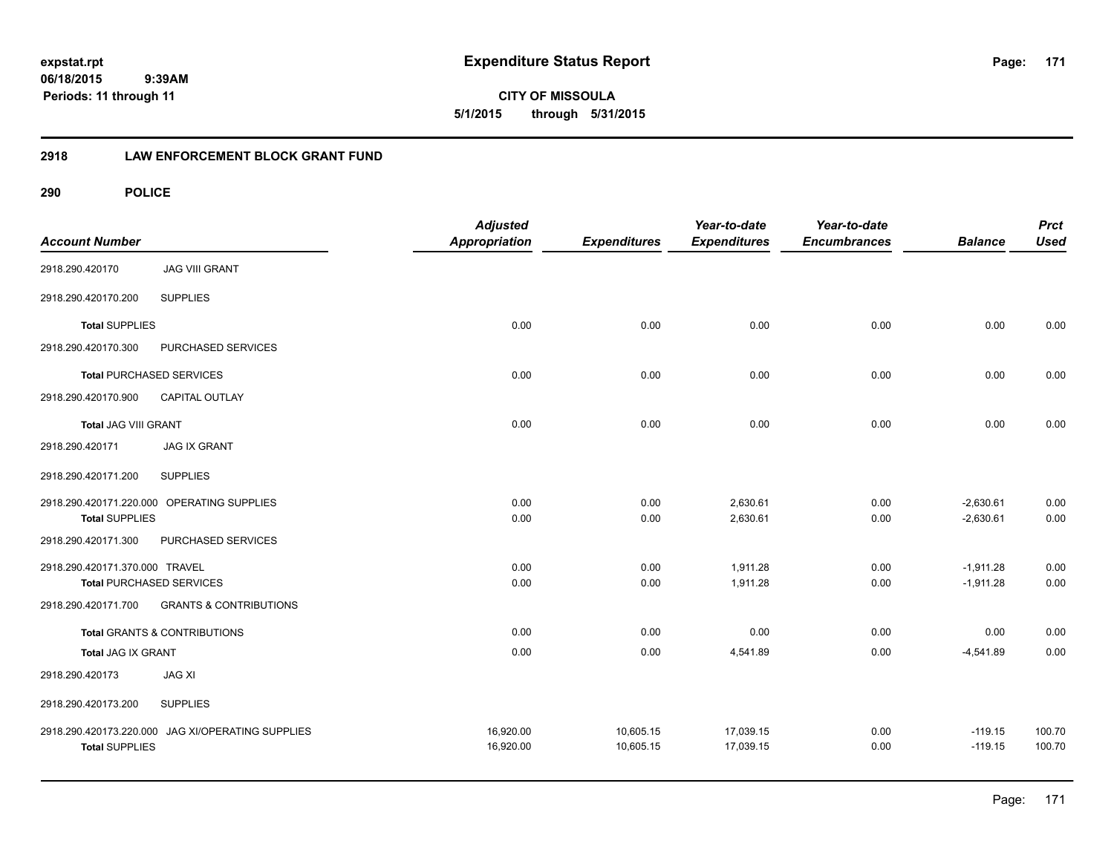## **2918 LAW ENFORCEMENT BLOCK GRANT FUND**

| <b>Account Number</b>          |                                            | <b>Adjusted</b><br>Appropriation | <b>Expenditures</b> | Year-to-date<br><b>Expenditures</b> | Year-to-date<br><b>Encumbrances</b> | <b>Balance</b> | <b>Prct</b><br><b>Used</b> |
|--------------------------------|--------------------------------------------|----------------------------------|---------------------|-------------------------------------|-------------------------------------|----------------|----------------------------|
| 2918.290.420170                | <b>JAG VIII GRANT</b>                      |                                  |                     |                                     |                                     |                |                            |
| 2918.290.420170.200            | <b>SUPPLIES</b>                            |                                  |                     |                                     |                                     |                |                            |
| <b>Total SUPPLIES</b>          |                                            | 0.00                             | 0.00                | 0.00                                | 0.00                                | 0.00           | 0.00                       |
| 2918.290.420170.300            | PURCHASED SERVICES                         |                                  |                     |                                     |                                     |                |                            |
|                                | <b>Total PURCHASED SERVICES</b>            | 0.00                             | 0.00                | 0.00                                | 0.00                                | 0.00           | 0.00                       |
| 2918.290.420170.900            | CAPITAL OUTLAY                             |                                  |                     |                                     |                                     |                |                            |
| <b>Total JAG VIII GRANT</b>    |                                            | 0.00                             | 0.00                | 0.00                                | 0.00                                | 0.00           | 0.00                       |
| 2918.290.420171                | <b>JAG IX GRANT</b>                        |                                  |                     |                                     |                                     |                |                            |
| 2918.290.420171.200            | <b>SUPPLIES</b>                            |                                  |                     |                                     |                                     |                |                            |
|                                | 2918.290.420171.220.000 OPERATING SUPPLIES | 0.00                             | 0.00                | 2,630.61                            | 0.00                                | $-2,630.61$    | 0.00                       |
| <b>Total SUPPLIES</b>          |                                            | 0.00                             | 0.00                | 2,630.61                            | 0.00                                | $-2,630.61$    | 0.00                       |
| 2918.290.420171.300            | PURCHASED SERVICES                         |                                  |                     |                                     |                                     |                |                            |
| 2918.290.420171.370.000 TRAVEL |                                            | 0.00                             | 0.00                | 1,911.28                            | 0.00                                | $-1,911.28$    | 0.00                       |
|                                | <b>Total PURCHASED SERVICES</b>            | 0.00                             | 0.00                | 1,911.28                            | 0.00                                | $-1,911.28$    | 0.00                       |
| 2918.290.420171.700            | <b>GRANTS &amp; CONTRIBUTIONS</b>          |                                  |                     |                                     |                                     |                |                            |
|                                | <b>Total GRANTS &amp; CONTRIBUTIONS</b>    | 0.00                             | 0.00                | 0.00                                | 0.00                                | 0.00           | 0.00                       |
| <b>Total JAG IX GRANT</b>      |                                            | 0.00                             | 0.00                | 4,541.89                            | 0.00                                | $-4,541.89$    | 0.00                       |
| 2918.290.420173                | <b>JAG XI</b>                              |                                  |                     |                                     |                                     |                |                            |
| 2918.290.420173.200            | <b>SUPPLIES</b>                            |                                  |                     |                                     |                                     |                |                            |
| 2918.290.420173.220.000        | JAG XI/OPERATING SUPPLIES                  | 16,920.00                        | 10,605.15           | 17,039.15                           | 0.00                                | $-119.15$      | 100.70                     |
| <b>Total SUPPLIES</b>          |                                            | 16,920.00                        | 10,605.15           | 17,039.15                           | 0.00                                | $-119.15$      | 100.70                     |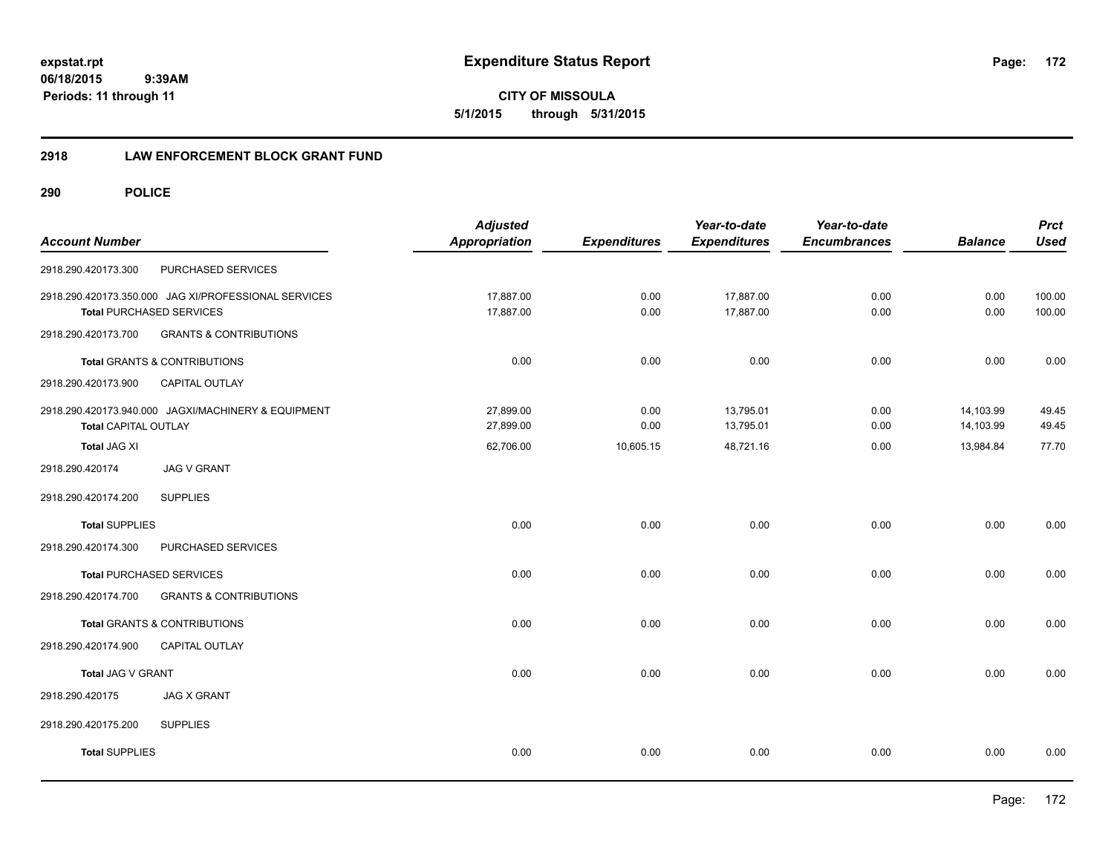**CITY OF MISSOULA 5/1/2015 through 5/31/2015**

## **2918 LAW ENFORCEMENT BLOCK GRANT FUND**

| <b>Account Number</b> |                                                                                         | <b>Adjusted</b><br><b>Appropriation</b> | <b>Expenditures</b> | Year-to-date<br><b>Expenditures</b> | Year-to-date<br><b>Encumbrances</b> | <b>Balance</b>         | <b>Prct</b><br><b>Used</b> |
|-----------------------|-----------------------------------------------------------------------------------------|-----------------------------------------|---------------------|-------------------------------------|-------------------------------------|------------------------|----------------------------|
| 2918.290.420173.300   | PURCHASED SERVICES                                                                      |                                         |                     |                                     |                                     |                        |                            |
|                       | 2918.290.420173.350.000 JAG XI/PROFESSIONAL SERVICES<br><b>Total PURCHASED SERVICES</b> | 17,887.00<br>17,887.00                  | 0.00<br>0.00        | 17,887.00<br>17,887.00              | 0.00<br>0.00                        | 0.00<br>0.00           | 100.00<br>100.00           |
| 2918.290.420173.700   | <b>GRANTS &amp; CONTRIBUTIONS</b>                                                       |                                         |                     |                                     |                                     |                        |                            |
|                       | Total GRANTS & CONTRIBUTIONS                                                            | 0.00                                    | 0.00                | 0.00                                | 0.00                                | 0.00                   | 0.00                       |
| 2918.290.420173.900   | CAPITAL OUTLAY                                                                          |                                         |                     |                                     |                                     |                        |                            |
| Total CAPITAL OUTLAY  | 2918.290.420173.940.000 JAGXI/MACHINERY & EQUIPMENT                                     | 27,899.00<br>27,899.00                  | 0.00<br>0.00        | 13,795.01<br>13,795.01              | 0.00<br>0.00                        | 14,103.99<br>14,103.99 | 49.45<br>49.45             |
| <b>Total JAG XI</b>   |                                                                                         | 62,706.00                               | 10,605.15           | 48,721.16                           | 0.00                                | 13,984.84              | 77.70                      |
| 2918.290.420174       | <b>JAG V GRANT</b>                                                                      |                                         |                     |                                     |                                     |                        |                            |
| 2918.290.420174.200   | <b>SUPPLIES</b>                                                                         |                                         |                     |                                     |                                     |                        |                            |
| <b>Total SUPPLIES</b> |                                                                                         | 0.00                                    | 0.00                | 0.00                                | 0.00                                | 0.00                   | 0.00                       |
| 2918.290.420174.300   | PURCHASED SERVICES                                                                      |                                         |                     |                                     |                                     |                        |                            |
|                       | <b>Total PURCHASED SERVICES</b>                                                         | 0.00                                    | 0.00                | 0.00                                | 0.00                                | 0.00                   | 0.00                       |
| 2918.290.420174.700   | <b>GRANTS &amp; CONTRIBUTIONS</b>                                                       |                                         |                     |                                     |                                     |                        |                            |
|                       | <b>Total GRANTS &amp; CONTRIBUTIONS</b>                                                 | 0.00                                    | 0.00                | 0.00                                | 0.00                                | 0.00                   | 0.00                       |
| 2918.290.420174.900   | CAPITAL OUTLAY                                                                          |                                         |                     |                                     |                                     |                        |                            |
| Total JAG V GRANT     |                                                                                         | 0.00                                    | 0.00                | 0.00                                | 0.00                                | 0.00                   | 0.00                       |
| 2918.290.420175       | <b>JAG X GRANT</b>                                                                      |                                         |                     |                                     |                                     |                        |                            |
| 2918.290.420175.200   | <b>SUPPLIES</b>                                                                         |                                         |                     |                                     |                                     |                        |                            |
| <b>Total SUPPLIES</b> |                                                                                         | 0.00                                    | 0.00                | 0.00                                | 0.00                                | 0.00                   | 0.00                       |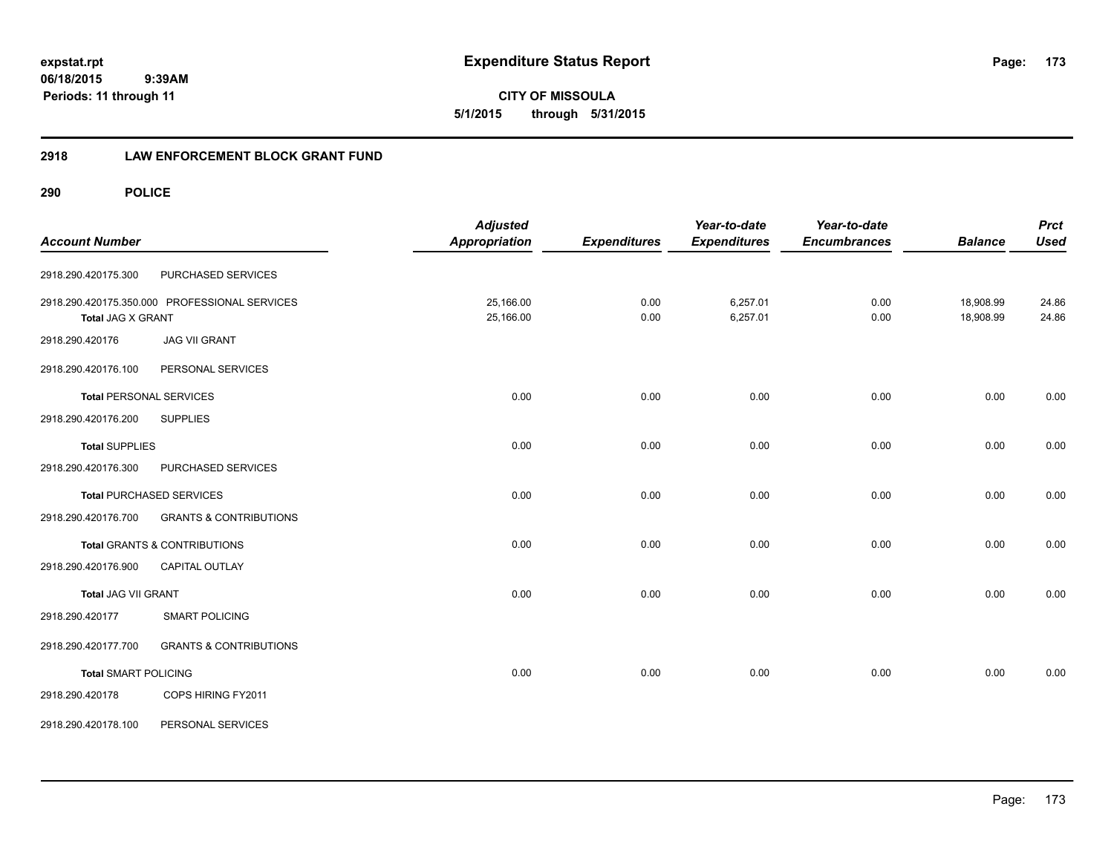**CITY OF MISSOULA 5/1/2015 through 5/31/2015**

## **2918 LAW ENFORCEMENT BLOCK GRANT FUND**

| <b>Account Number</b>          |                                               | <b>Adjusted</b><br><b>Appropriation</b> | <b>Expenditures</b> | Year-to-date<br><b>Expenditures</b> | Year-to-date<br><b>Encumbrances</b> | <b>Balance</b> | <b>Prct</b><br><b>Used</b> |
|--------------------------------|-----------------------------------------------|-----------------------------------------|---------------------|-------------------------------------|-------------------------------------|----------------|----------------------------|
|                                |                                               |                                         |                     |                                     |                                     |                |                            |
| 2918.290.420175.300            | PURCHASED SERVICES                            |                                         |                     |                                     |                                     |                |                            |
|                                | 2918.290.420175.350.000 PROFESSIONAL SERVICES | 25,166.00                               | 0.00                | 6,257.01                            | 0.00                                | 18,908.99      | 24.86                      |
| <b>Total JAG X GRANT</b>       |                                               | 25,166.00                               | 0.00                | 6,257.01                            | 0.00                                | 18,908.99      | 24.86                      |
| 2918.290.420176                | <b>JAG VII GRANT</b>                          |                                         |                     |                                     |                                     |                |                            |
| 2918.290.420176.100            | PERSONAL SERVICES                             |                                         |                     |                                     |                                     |                |                            |
| <b>Total PERSONAL SERVICES</b> |                                               | 0.00                                    | 0.00                | 0.00                                | 0.00                                | 0.00           | 0.00                       |
| 2918.290.420176.200            | <b>SUPPLIES</b>                               |                                         |                     |                                     |                                     |                |                            |
| <b>Total SUPPLIES</b>          |                                               | 0.00                                    | 0.00                | 0.00                                | 0.00                                | 0.00           | 0.00                       |
| 2918.290.420176.300            | PURCHASED SERVICES                            |                                         |                     |                                     |                                     |                |                            |
|                                | <b>Total PURCHASED SERVICES</b>               | 0.00                                    | 0.00                | 0.00                                | 0.00                                | 0.00           | 0.00                       |
| 2918.290.420176.700            | <b>GRANTS &amp; CONTRIBUTIONS</b>             |                                         |                     |                                     |                                     |                |                            |
|                                | <b>Total GRANTS &amp; CONTRIBUTIONS</b>       | 0.00                                    | 0.00                | 0.00                                | 0.00                                | 0.00           | 0.00                       |
| 2918.290.420176.900            | <b>CAPITAL OUTLAY</b>                         |                                         |                     |                                     |                                     |                |                            |
| Total JAG VII GRANT            |                                               | 0.00                                    | 0.00                | 0.00                                | 0.00                                | 0.00           | 0.00                       |
| 2918.290.420177                | <b>SMART POLICING</b>                         |                                         |                     |                                     |                                     |                |                            |
| 2918.290.420177.700            | <b>GRANTS &amp; CONTRIBUTIONS</b>             |                                         |                     |                                     |                                     |                |                            |
| <b>Total SMART POLICING</b>    |                                               | 0.00                                    | 0.00                | 0.00                                | 0.00                                | 0.00           | 0.00                       |
| 2918.290.420178                | COPS HIRING FY2011                            |                                         |                     |                                     |                                     |                |                            |
| 2918.290.420178.100            | PERSONAL SERVICES                             |                                         |                     |                                     |                                     |                |                            |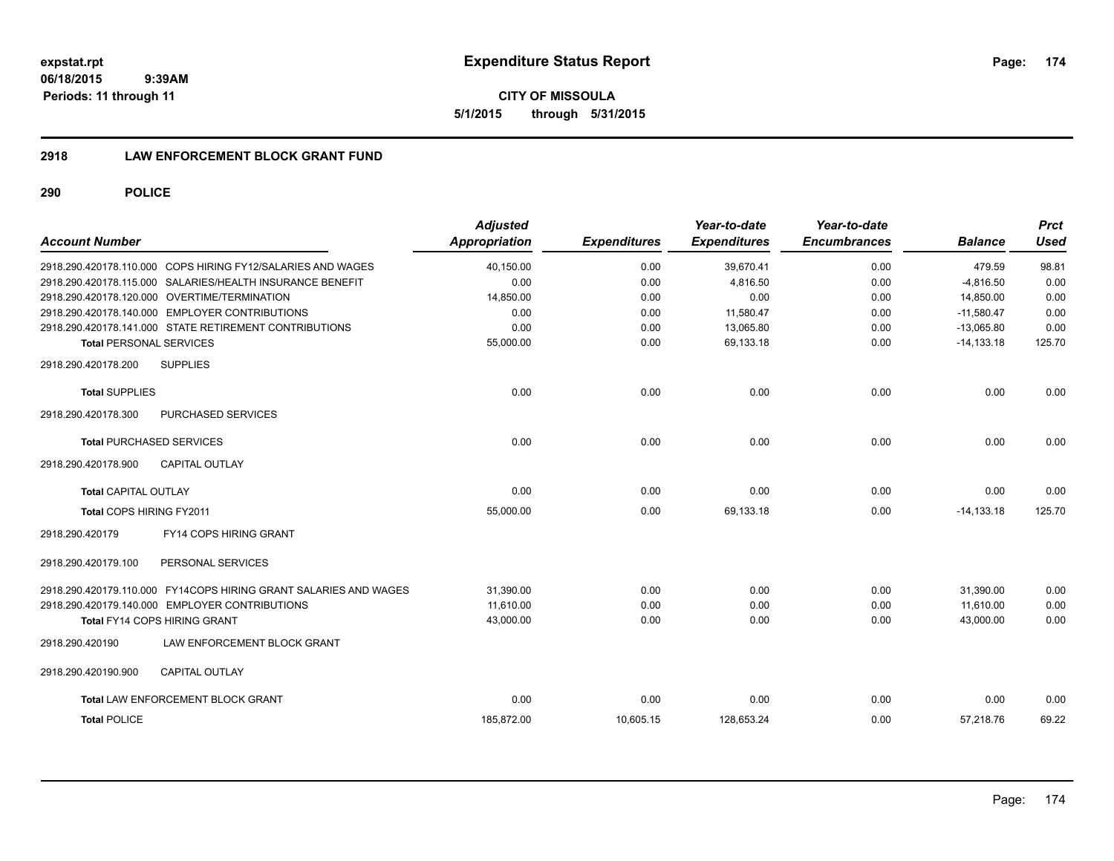**CITY OF MISSOULA 5/1/2015 through 5/31/2015**

## **2918 LAW ENFORCEMENT BLOCK GRANT FUND**

| <b>Account Number</b>           |                                                                  | <b>Adjusted</b><br><b>Appropriation</b> | <b>Expenditures</b> | Year-to-date<br><b>Expenditures</b> | Year-to-date<br><b>Encumbrances</b> | <b>Balance</b> | <b>Prct</b><br><b>Used</b> |
|---------------------------------|------------------------------------------------------------------|-----------------------------------------|---------------------|-------------------------------------|-------------------------------------|----------------|----------------------------|
|                                 | 2918.290.420178.110.000 COPS HIRING FY12/SALARIES AND WAGES      | 40,150.00                               | 0.00                | 39,670.41                           | 0.00                                | 479.59         | 98.81                      |
|                                 | 2918.290.420178.115.000 SALARIES/HEALTH INSURANCE BENEFIT        | 0.00                                    | 0.00                | 4,816.50                            | 0.00                                | $-4.816.50$    | 0.00                       |
|                                 | 2918.290.420178.120.000 OVERTIME/TERMINATION                     | 14,850.00                               | 0.00                | 0.00                                | 0.00                                | 14,850.00      | 0.00                       |
|                                 | 2918.290.420178.140.000 EMPLOYER CONTRIBUTIONS                   | 0.00                                    | 0.00                | 11,580.47                           | 0.00                                | $-11,580.47$   | 0.00                       |
|                                 | 2918.290.420178.141.000 STATE RETIREMENT CONTRIBUTIONS           | 0.00                                    | 0.00                | 13,065.80                           | 0.00                                | $-13,065.80$   | 0.00                       |
| <b>Total PERSONAL SERVICES</b>  |                                                                  | 55,000.00                               | 0.00                | 69.133.18                           | 0.00                                | $-14, 133.18$  | 125.70                     |
| 2918.290.420178.200             | <b>SUPPLIES</b>                                                  |                                         |                     |                                     |                                     |                |                            |
| <b>Total SUPPLIES</b>           |                                                                  | 0.00                                    | 0.00                | 0.00                                | 0.00                                | 0.00           | 0.00                       |
| 2918.290.420178.300             | PURCHASED SERVICES                                               |                                         |                     |                                     |                                     |                |                            |
| <b>Total PURCHASED SERVICES</b> |                                                                  | 0.00                                    | 0.00                | 0.00                                | 0.00                                | 0.00           | 0.00                       |
| 2918.290.420178.900             | <b>CAPITAL OUTLAY</b>                                            |                                         |                     |                                     |                                     |                |                            |
| <b>Total CAPITAL OUTLAY</b>     |                                                                  | 0.00                                    | 0.00                | 0.00                                | 0.00                                | 0.00           | 0.00                       |
| Total COPS HIRING FY2011        |                                                                  | 55,000.00                               | 0.00                | 69,133.18                           | 0.00                                | $-14, 133.18$  | 125.70                     |
| 2918.290.420179                 | FY14 COPS HIRING GRANT                                           |                                         |                     |                                     |                                     |                |                            |
| 2918.290.420179.100             | PERSONAL SERVICES                                                |                                         |                     |                                     |                                     |                |                            |
|                                 | 2918.290.420179.110.000 FY14COPS HIRING GRANT SALARIES AND WAGES | 31,390.00                               | 0.00                | 0.00                                | 0.00                                | 31,390.00      | 0.00                       |
|                                 | 2918.290.420179.140.000 EMPLOYER CONTRIBUTIONS                   | 11,610.00                               | 0.00                | 0.00                                | 0.00                                | 11,610.00      | 0.00                       |
|                                 | <b>Total FY14 COPS HIRING GRANT</b>                              | 43,000.00                               | 0.00                | 0.00                                | 0.00                                | 43,000.00      | 0.00                       |
| 2918.290.420190                 | LAW ENFORCEMENT BLOCK GRANT                                      |                                         |                     |                                     |                                     |                |                            |
| 2918.290.420190.900             | <b>CAPITAL OUTLAY</b>                                            |                                         |                     |                                     |                                     |                |                            |
|                                 | <b>Total LAW ENFORCEMENT BLOCK GRANT</b>                         | 0.00                                    | 0.00                | 0.00                                | 0.00                                | 0.00           | 0.00                       |
| <b>Total POLICE</b>             |                                                                  | 185,872.00                              | 10,605.15           | 128,653.24                          | 0.00                                | 57,218.76      | 69.22                      |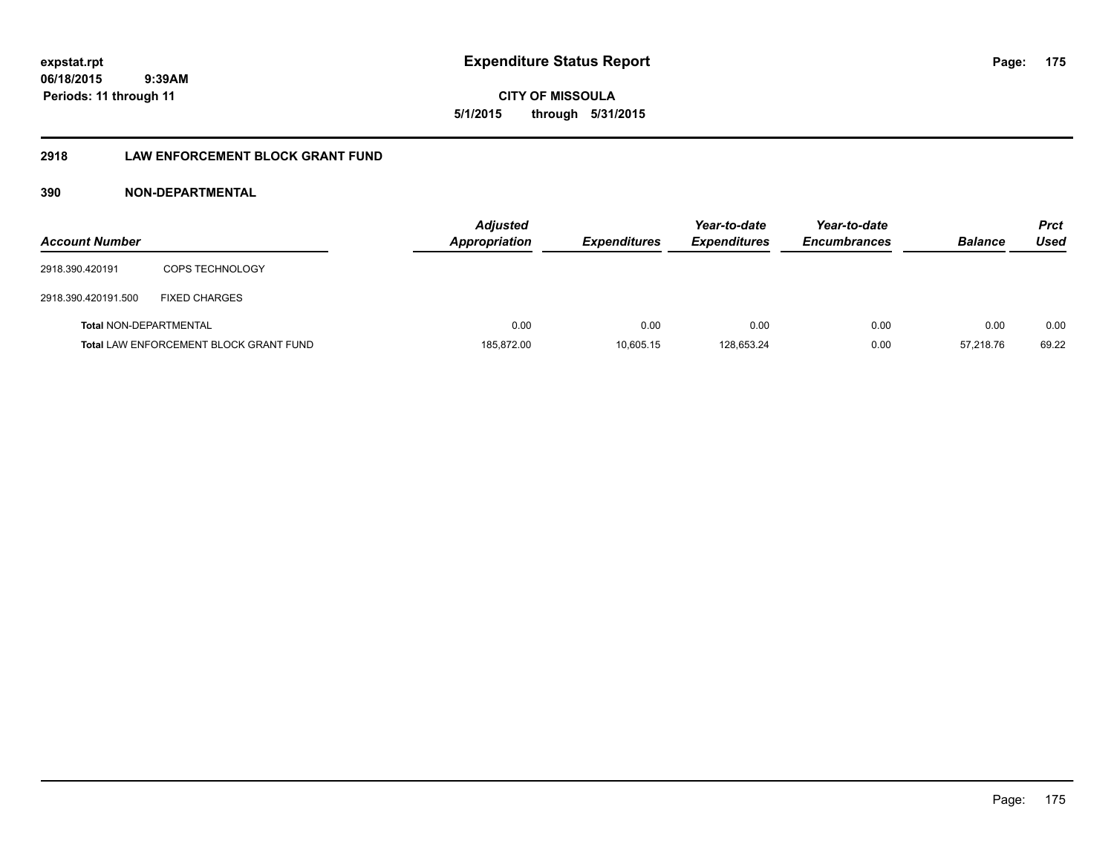**CITY OF MISSOULA 5/1/2015 through 5/31/2015**

## **2918 LAW ENFORCEMENT BLOCK GRANT FUND**

| <b>Account Number</b>         |                                               | <b>Adjusted</b><br><b>Appropriation</b> | <b>Expenditures</b> | Year-to-date<br><b>Expenditures</b> | Year-to-date<br><b>Encumbrances</b> | <b>Balance</b> | Prct<br>Used |
|-------------------------------|-----------------------------------------------|-----------------------------------------|---------------------|-------------------------------------|-------------------------------------|----------------|--------------|
| 2918.390.420191               | COPS TECHNOLOGY                               |                                         |                     |                                     |                                     |                |              |
| 2918.390.420191.500           | <b>FIXED CHARGES</b>                          |                                         |                     |                                     |                                     |                |              |
| <b>Total NON-DEPARTMENTAL</b> |                                               | 0.00                                    | 0.00                | 0.00                                | 0.00                                | 0.00           | 0.00         |
|                               | <b>Total LAW ENFORCEMENT BLOCK GRANT FUND</b> | 185,872.00                              | 10,605.15           | 128,653.24                          | 0.00                                | 57.218.76      | 69.22        |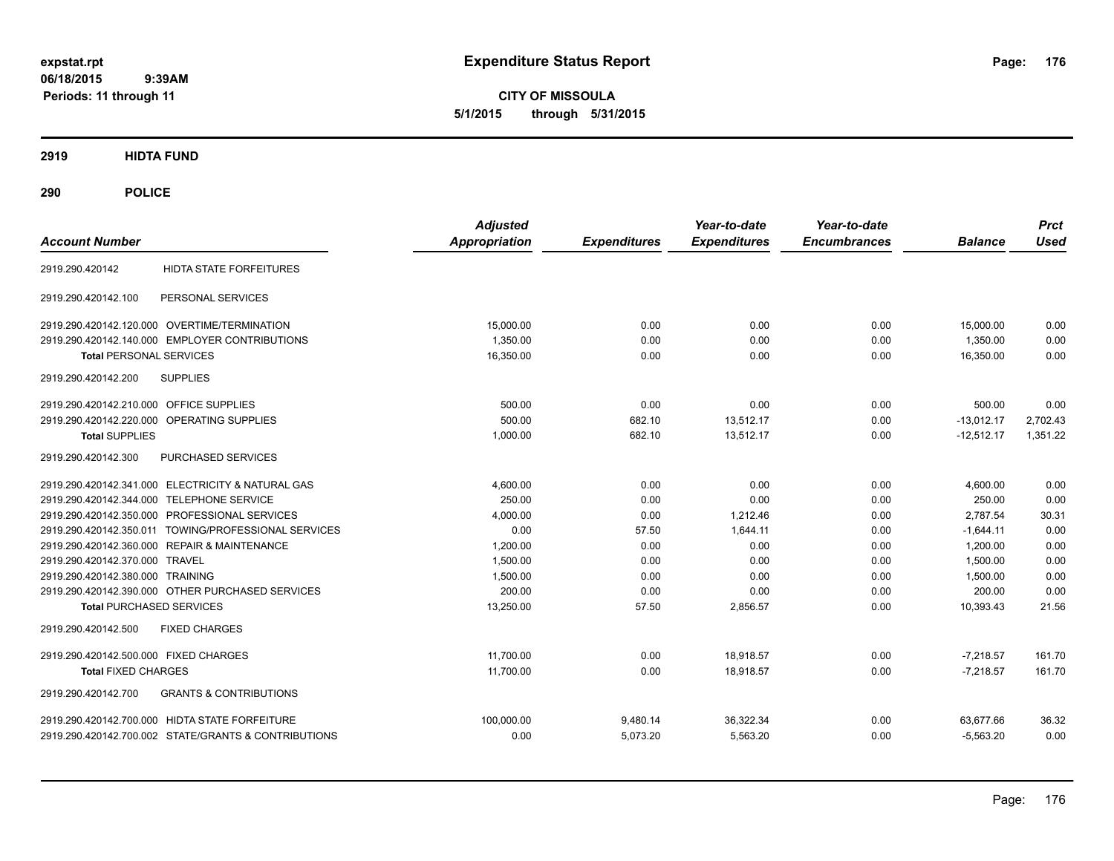**CITY OF MISSOULA 5/1/2015 through 5/31/2015**

**2919 HIDTA FUND**

| <b>Account Number</b>                                    | <b>Adjusted</b><br><b>Appropriation</b> | <b>Expenditures</b> | Year-to-date<br><b>Expenditures</b> | Year-to-date<br><b>Encumbrances</b> | <b>Balance</b> | <b>Prct</b><br><b>Used</b> |
|----------------------------------------------------------|-----------------------------------------|---------------------|-------------------------------------|-------------------------------------|----------------|----------------------------|
|                                                          |                                         |                     |                                     |                                     |                |                            |
| <b>HIDTA STATE FORFEITURES</b><br>2919.290.420142        |                                         |                     |                                     |                                     |                |                            |
| PERSONAL SERVICES<br>2919.290.420142.100                 |                                         |                     |                                     |                                     |                |                            |
| 2919.290.420142.120.000 OVERTIME/TERMINATION             | 15,000.00                               | 0.00                | 0.00                                | 0.00                                | 15,000.00      | 0.00                       |
| 2919.290.420142.140.000 EMPLOYER CONTRIBUTIONS           | 1.350.00                                | 0.00                | 0.00                                | 0.00                                | 1.350.00       | 0.00                       |
| <b>Total PERSONAL SERVICES</b>                           | 16,350.00                               | 0.00                | 0.00                                | 0.00                                | 16,350.00      | 0.00                       |
| 2919.290.420142.200<br><b>SUPPLIES</b>                   |                                         |                     |                                     |                                     |                |                            |
| 2919.290.420142.210.000 OFFICE SUPPLIES                  | 500.00                                  | 0.00                | 0.00                                | 0.00                                | 500.00         | 0.00                       |
| 2919.290.420142.220.000 OPERATING SUPPLIES               | 500.00                                  | 682.10              | 13,512.17                           | 0.00                                | $-13,012.17$   | 2,702.43                   |
| <b>Total SUPPLIES</b>                                    | 1,000.00                                | 682.10              | 13,512.17                           | 0.00                                | $-12,512.17$   | 1,351.22                   |
| 2919.290.420142.300<br>PURCHASED SERVICES                |                                         |                     |                                     |                                     |                |                            |
| 2919.290.420142.341.000 ELECTRICITY & NATURAL GAS        | 4,600.00                                | 0.00                | 0.00                                | 0.00                                | 4,600.00       | 0.00                       |
| 2919.290.420142.344.000 TELEPHONE SERVICE                | 250.00                                  | 0.00                | 0.00                                | 0.00                                | 250.00         | 0.00                       |
| 2919.290.420142.350.000 PROFESSIONAL SERVICES            | 4,000.00                                | 0.00                | 1,212.46                            | 0.00                                | 2,787.54       | 30.31                      |
| 2919.290.420142.350.011 TOWING/PROFESSIONAL SERVICES     | 0.00                                    | 57.50               | 1,644.11                            | 0.00                                | $-1,644.11$    | 0.00                       |
| 2919.290.420142.360.000 REPAIR & MAINTENANCE             | 1,200.00                                | 0.00                | 0.00                                | 0.00                                | 1,200.00       | 0.00                       |
| 2919.290.420142.370.000 TRAVEL                           | 1.500.00                                | 0.00                | 0.00                                | 0.00                                | 1.500.00       | 0.00                       |
| 2919.290.420142.380.000 TRAINING                         | 1,500.00                                | 0.00                | 0.00                                | 0.00                                | 1,500.00       | 0.00                       |
| 2919.290.420142.390.000 OTHER PURCHASED SERVICES         | 200.00                                  | 0.00                | 0.00                                | 0.00                                | 200.00         | 0.00                       |
| <b>Total PURCHASED SERVICES</b>                          | 13,250.00                               | 57.50               | 2,856.57                            | 0.00                                | 10,393.43      | 21.56                      |
| 2919.290.420142.500<br><b>FIXED CHARGES</b>              |                                         |                     |                                     |                                     |                |                            |
| 2919.290.420142.500.000 FIXED CHARGES                    | 11,700.00                               | 0.00                | 18,918.57                           | 0.00                                | $-7,218.57$    | 161.70                     |
| <b>Total FIXED CHARGES</b>                               | 11,700.00                               | 0.00                | 18,918.57                           | 0.00                                | $-7,218.57$    | 161.70                     |
| <b>GRANTS &amp; CONTRIBUTIONS</b><br>2919.290.420142.700 |                                         |                     |                                     |                                     |                |                            |
| 2919.290.420142.700.000 HIDTA STATE FORFEITURE           | 100.000.00                              | 9,480.14            | 36,322.34                           | 0.00                                | 63,677.66      | 36.32                      |
| 2919.290.420142.700.002 STATE/GRANTS & CONTRIBUTIONS     | 0.00                                    | 5,073.20            | 5,563.20                            | 0.00                                | $-5,563.20$    | 0.00                       |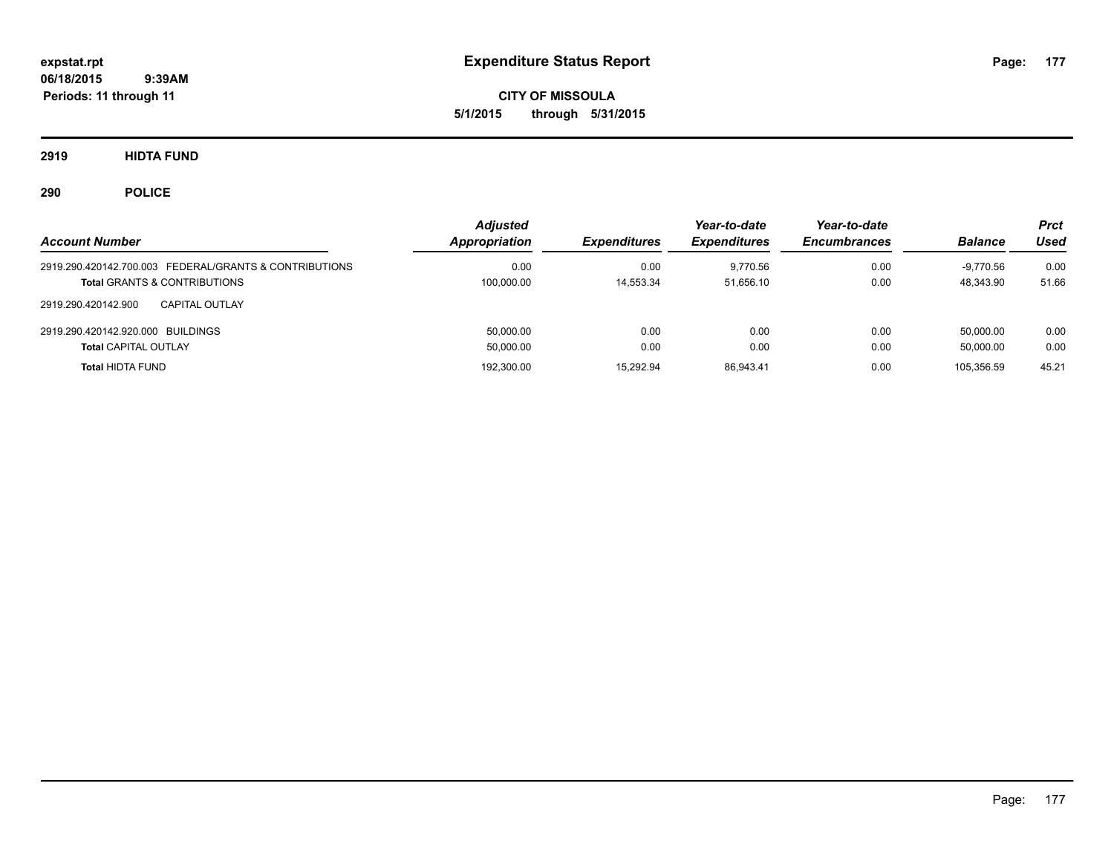**CITY OF MISSOULA 5/1/2015 through 5/31/2015**

**2919 HIDTA FUND**

| <b>Account Number</b>                                  | <b>Adjusted</b><br>Appropriation | <b>Expenditures</b> | Year-to-date<br><b>Expenditures</b> | Year-to-date<br><b>Encumbrances</b> | <b>Balance</b> | Prct<br>Used |
|--------------------------------------------------------|----------------------------------|---------------------|-------------------------------------|-------------------------------------|----------------|--------------|
| 2919.290.420142.700.003 FEDERAL/GRANTS & CONTRIBUTIONS | 0.00                             | 0.00                | 9.770.56                            | 0.00                                | -9.770.56      | 0.00         |
| <b>Total GRANTS &amp; CONTRIBUTIONS</b>                | 100,000.00                       | 14.553.34           | 51.656.10                           | 0.00                                | 48.343.90      | 51.66        |
| 2919.290.420142.900<br><b>CAPITAL OUTLAY</b>           |                                  |                     |                                     |                                     |                |              |
| 2919.290.420142.920.000 BUILDINGS                      | 50.000.00                        | 0.00                | 0.00                                | 0.00                                | 50.000.00      | 0.00         |
| <b>Total CAPITAL OUTLAY</b>                            | 50,000.00                        | 0.00                | 0.00                                | 0.00                                | 50.000.00      | 0.00         |
| <b>Total HIDTA FUND</b>                                | 192,300.00                       | 15.292.94           | 86.943.41                           | 0.00                                | 105.356.59     | 45.21        |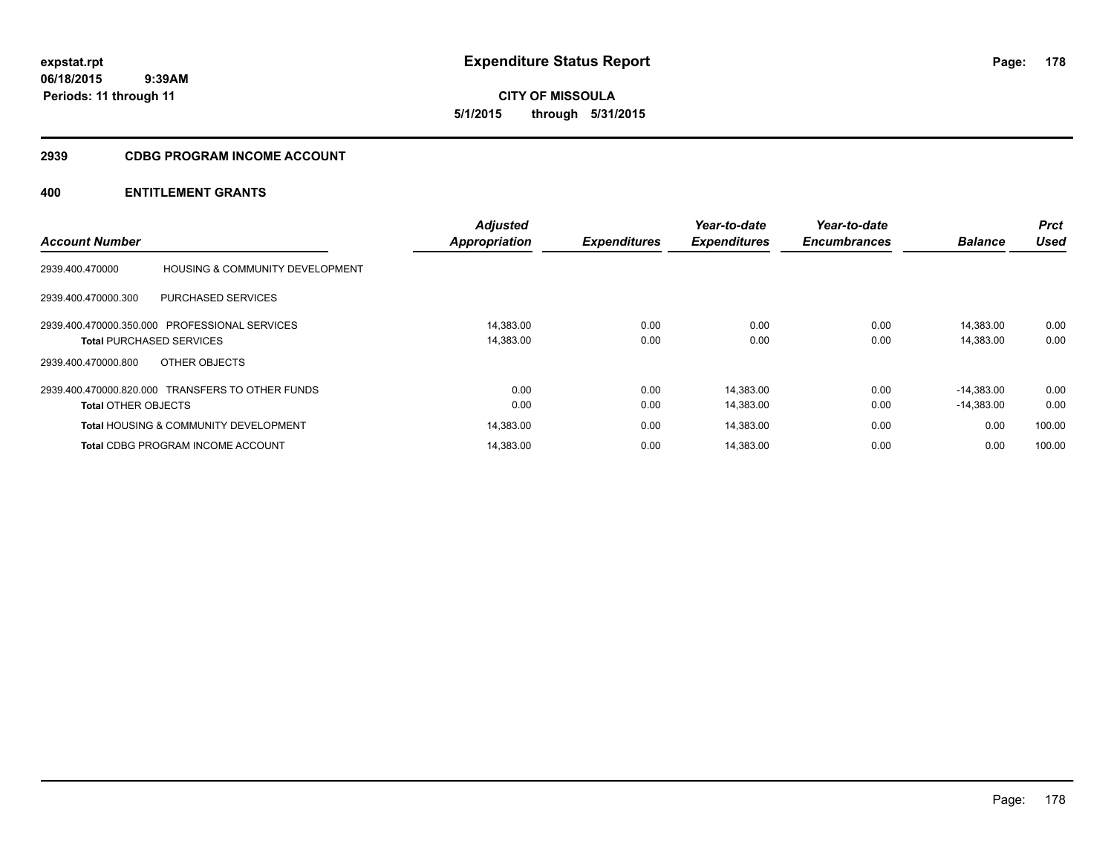**CITY OF MISSOULA 5/1/2015 through 5/31/2015**

#### **2939 CDBG PROGRAM INCOME ACCOUNT**

## **400 ENTITLEMENT GRANTS**

|                                 |                                                  | <b>Adjusted</b>      |                     | Year-to-date        | Year-to-date        |                | <b>Prct</b> |
|---------------------------------|--------------------------------------------------|----------------------|---------------------|---------------------|---------------------|----------------|-------------|
| <b>Account Number</b>           |                                                  | <b>Appropriation</b> | <b>Expenditures</b> | <b>Expenditures</b> | <b>Encumbrances</b> | <b>Balance</b> | <b>Used</b> |
| 2939.400.470000                 | <b>HOUSING &amp; COMMUNITY DEVELOPMENT</b>       |                      |                     |                     |                     |                |             |
| 2939.400.470000.300             | PURCHASED SERVICES                               |                      |                     |                     |                     |                |             |
|                                 | 2939.400.470000.350.000 PROFESSIONAL SERVICES    | 14.383.00            | 0.00                | 0.00                | 0.00                | 14.383.00      | 0.00        |
| <b>Total PURCHASED SERVICES</b> |                                                  | 14,383.00            | 0.00                | 0.00                | 0.00                | 14,383.00      | 0.00        |
| 2939.400.470000.800             | OTHER OBJECTS                                    |                      |                     |                     |                     |                |             |
|                                 | 2939.400.470000.820.000 TRANSFERS TO OTHER FUNDS | 0.00                 | 0.00                | 14,383.00           | 0.00                | $-14.383.00$   | 0.00        |
| <b>Total OTHER OBJECTS</b>      |                                                  | 0.00                 | 0.00                | 14,383.00           | 0.00                | $-14,383.00$   | 0.00        |
|                                 | <b>Total HOUSING &amp; COMMUNITY DEVELOPMENT</b> | 14,383.00            | 0.00                | 14,383.00           | 0.00                | 0.00           | 100.00      |
|                                 | <b>Total CDBG PROGRAM INCOME ACCOUNT</b>         | 14.383.00            | 0.00                | 14.383.00           | 0.00                | 0.00           | 100.00      |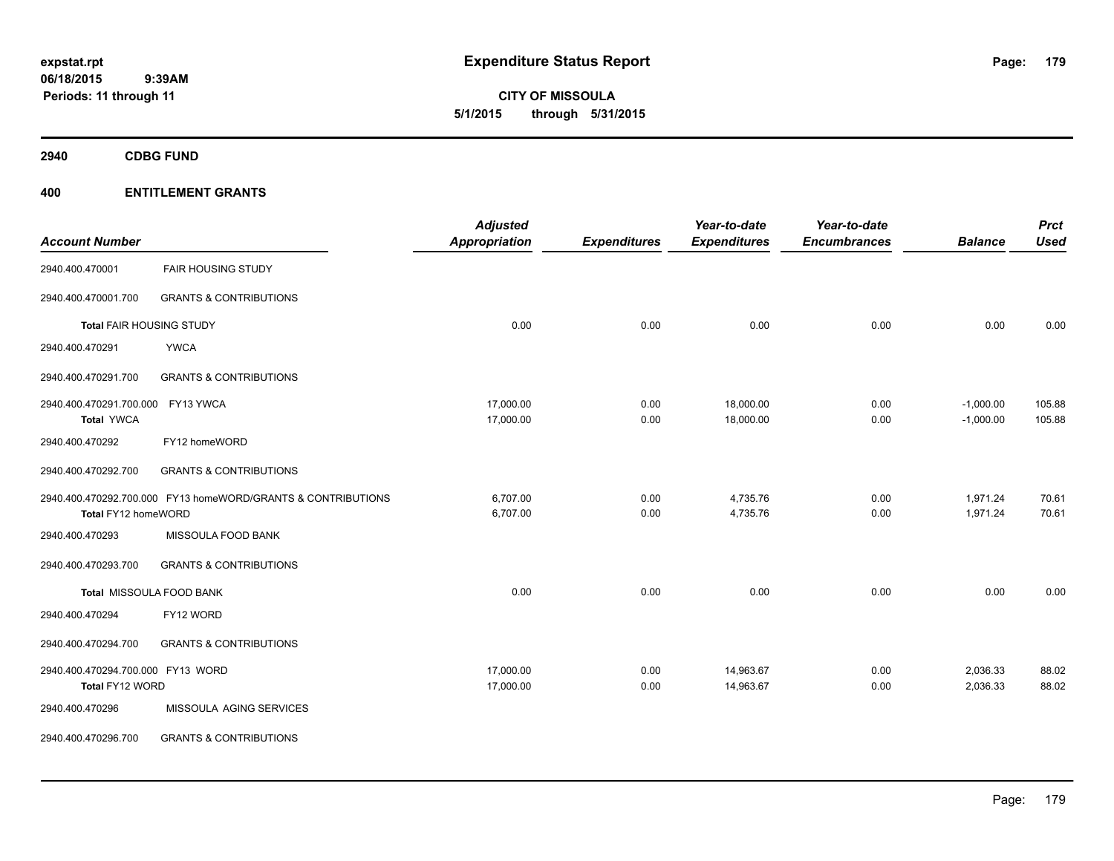**CITY OF MISSOULA 5/1/2015 through 5/31/2015**

**2940 CDBG FUND**

## **400 ENTITLEMENT GRANTS**

| <b>Account Number</b>             |                                                              | <b>Adjusted</b><br><b>Appropriation</b> | <b>Expenditures</b> | Year-to-date<br><b>Expenditures</b> | Year-to-date<br><b>Encumbrances</b> | <b>Balance</b> | <b>Prct</b><br><b>Used</b> |
|-----------------------------------|--------------------------------------------------------------|-----------------------------------------|---------------------|-------------------------------------|-------------------------------------|----------------|----------------------------|
| 2940.400.470001                   | <b>FAIR HOUSING STUDY</b>                                    |                                         |                     |                                     |                                     |                |                            |
| 2940.400.470001.700               | <b>GRANTS &amp; CONTRIBUTIONS</b>                            |                                         |                     |                                     |                                     |                |                            |
| Total FAIR HOUSING STUDY          |                                                              | 0.00                                    | 0.00                | 0.00                                | 0.00                                | 0.00           | 0.00                       |
| 2940.400.470291                   | <b>YWCA</b>                                                  |                                         |                     |                                     |                                     |                |                            |
| 2940.400.470291.700               | <b>GRANTS &amp; CONTRIBUTIONS</b>                            |                                         |                     |                                     |                                     |                |                            |
| 2940.400.470291.700.000           | FY13 YWCA                                                    | 17,000.00                               | 0.00                | 18,000.00                           | 0.00                                | $-1,000.00$    | 105.88                     |
| <b>Total YWCA</b>                 |                                                              | 17,000.00                               | 0.00                | 18,000.00                           | 0.00                                | $-1,000.00$    | 105.88                     |
| 2940.400.470292                   | FY12 homeWORD                                                |                                         |                     |                                     |                                     |                |                            |
| 2940.400.470292.700               | <b>GRANTS &amp; CONTRIBUTIONS</b>                            |                                         |                     |                                     |                                     |                |                            |
|                                   | 2940.400.470292.700.000 FY13 homeWORD/GRANTS & CONTRIBUTIONS | 6,707.00                                | 0.00                | 4,735.76                            | 0.00                                | 1,971.24       | 70.61                      |
| Total FY12 homeWORD               |                                                              | 6,707.00                                | 0.00                | 4,735.76                            | 0.00                                | 1,971.24       | 70.61                      |
| 2940.400.470293                   | MISSOULA FOOD BANK                                           |                                         |                     |                                     |                                     |                |                            |
| 2940.400.470293.700               | <b>GRANTS &amp; CONTRIBUTIONS</b>                            |                                         |                     |                                     |                                     |                |                            |
|                                   | Total MISSOULA FOOD BANK                                     | 0.00                                    | 0.00                | 0.00                                | 0.00                                | 0.00           | 0.00                       |
| 2940.400.470294                   | FY12 WORD                                                    |                                         |                     |                                     |                                     |                |                            |
| 2940.400.470294.700               | <b>GRANTS &amp; CONTRIBUTIONS</b>                            |                                         |                     |                                     |                                     |                |                            |
| 2940.400.470294.700.000 FY13 WORD |                                                              | 17,000.00                               | 0.00                | 14,963.67                           | 0.00                                | 2,036.33       | 88.02                      |
| Total FY12 WORD                   |                                                              | 17,000.00                               | 0.00                | 14,963.67                           | 0.00                                | 2,036.33       | 88.02                      |
| 2940.400.470296                   | MISSOULA AGING SERVICES                                      |                                         |                     |                                     |                                     |                |                            |
| 2940.400.470296.700               | <b>GRANTS &amp; CONTRIBUTIONS</b>                            |                                         |                     |                                     |                                     |                |                            |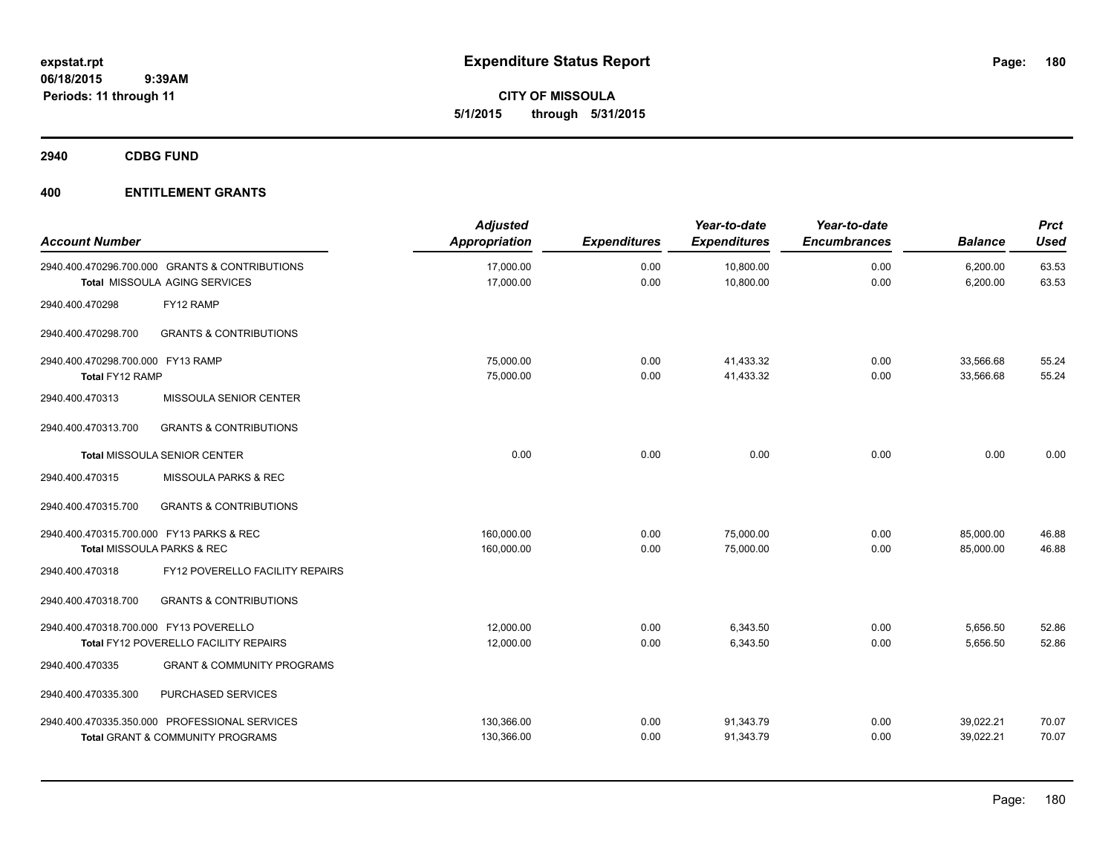**CITY OF MISSOULA 5/1/2015 through 5/31/2015**

**2940 CDBG FUND**

## **400 ENTITLEMENT GRANTS**

| <b>Account Number</b>                                |                                                                                              | <b>Adjusted</b><br>Appropriation | <b>Expenditures</b> | Year-to-date<br><b>Expenditures</b> | Year-to-date<br><b>Encumbrances</b> | <b>Balance</b>         | <b>Prct</b><br><b>Used</b> |
|------------------------------------------------------|----------------------------------------------------------------------------------------------|----------------------------------|---------------------|-------------------------------------|-------------------------------------|------------------------|----------------------------|
|                                                      | 2940.400.470296.700.000 GRANTS & CONTRIBUTIONS<br>Total MISSOULA AGING SERVICES              | 17,000.00<br>17,000.00           | 0.00<br>0.00        | 10,800.00<br>10,800.00              | 0.00<br>0.00                        | 6,200.00<br>6,200.00   | 63.53<br>63.53             |
| 2940.400.470298                                      | FY12 RAMP                                                                                    |                                  |                     |                                     |                                     |                        |                            |
| 2940.400.470298.700                                  | <b>GRANTS &amp; CONTRIBUTIONS</b>                                                            |                                  |                     |                                     |                                     |                        |                            |
| 2940.400.470298.700.000 FY13 RAMP<br>Total FY12 RAMP |                                                                                              | 75,000.00<br>75,000.00           | 0.00<br>0.00        | 41.433.32<br>41,433.32              | 0.00<br>0.00                        | 33.566.68<br>33,566.68 | 55.24<br>55.24             |
| 2940.400.470313                                      | MISSOULA SENIOR CENTER                                                                       |                                  |                     |                                     |                                     |                        |                            |
| 2940.400.470313.700                                  | <b>GRANTS &amp; CONTRIBUTIONS</b>                                                            |                                  |                     |                                     |                                     |                        |                            |
|                                                      | <b>Total MISSOULA SENIOR CENTER</b>                                                          | 0.00                             | 0.00                | 0.00                                | 0.00                                | 0.00                   | 0.00                       |
| 2940.400.470315                                      | MISSOULA PARKS & REC                                                                         |                                  |                     |                                     |                                     |                        |                            |
| 2940.400.470315.700                                  | <b>GRANTS &amp; CONTRIBUTIONS</b>                                                            |                                  |                     |                                     |                                     |                        |                            |
| 2940.400.470315.700.000 FY13 PARKS & REC             | Total MISSOULA PARKS & REC                                                                   | 160,000.00<br>160,000.00         | 0.00<br>0.00        | 75,000.00<br>75,000.00              | 0.00<br>0.00                        | 85,000.00<br>85,000.00 | 46.88<br>46.88             |
| 2940.400.470318                                      | FY12 POVERELLO FACILITY REPAIRS                                                              |                                  |                     |                                     |                                     |                        |                            |
| 2940.400.470318.700                                  | <b>GRANTS &amp; CONTRIBUTIONS</b>                                                            |                                  |                     |                                     |                                     |                        |                            |
| 2940.400.470318.700.000 FY13 POVERELLO               | Total FY12 POVERELLO FACILITY REPAIRS                                                        | 12,000.00<br>12,000.00           | 0.00<br>0.00        | 6,343.50<br>6,343.50                | 0.00<br>0.00                        | 5,656.50<br>5,656.50   | 52.86<br>52.86             |
| 2940.400.470335                                      | <b>GRANT &amp; COMMUNITY PROGRAMS</b>                                                        |                                  |                     |                                     |                                     |                        |                            |
| 2940.400.470335.300                                  | PURCHASED SERVICES                                                                           |                                  |                     |                                     |                                     |                        |                            |
|                                                      | 2940.400.470335.350.000 PROFESSIONAL SERVICES<br><b>Total GRANT &amp; COMMUNITY PROGRAMS</b> | 130,366.00<br>130,366.00         | 0.00<br>0.00        | 91,343.79<br>91,343.79              | 0.00<br>0.00                        | 39,022.21<br>39,022.21 | 70.07<br>70.07             |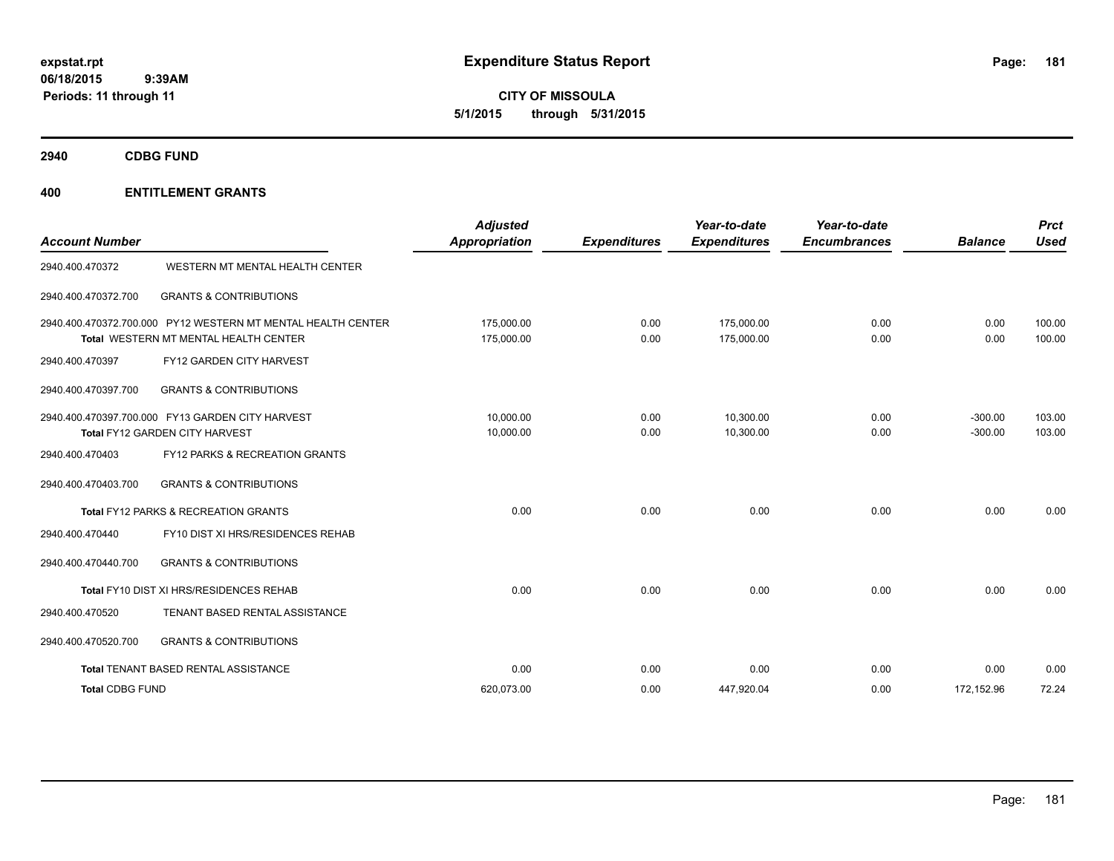**CITY OF MISSOULA 5/1/2015 through 5/31/2015**

**2940 CDBG FUND**

| <b>Account Number</b>  |                                                                                                       | <b>Adjusted</b><br><b>Appropriation</b> | <b>Expenditures</b> | Year-to-date<br><b>Expenditures</b> | Year-to-date<br><b>Encumbrances</b> | <b>Balance</b>         | <b>Prct</b><br>Used |
|------------------------|-------------------------------------------------------------------------------------------------------|-----------------------------------------|---------------------|-------------------------------------|-------------------------------------|------------------------|---------------------|
| 2940.400.470372        | WESTERN MT MENTAL HEALTH CENTER                                                                       |                                         |                     |                                     |                                     |                        |                     |
| 2940.400.470372.700    | <b>GRANTS &amp; CONTRIBUTIONS</b>                                                                     |                                         |                     |                                     |                                     |                        |                     |
|                        | 2940.400.470372.700.000 PY12 WESTERN MT MENTAL HEALTH CENTER<br>Total WESTERN MT MENTAL HEALTH CENTER | 175.000.00<br>175,000.00                | 0.00<br>0.00        | 175.000.00<br>175,000.00            | 0.00<br>0.00                        | 0.00<br>0.00           | 100.00<br>100.00    |
| 2940.400.470397        | FY12 GARDEN CITY HARVEST                                                                              |                                         |                     |                                     |                                     |                        |                     |
| 2940.400.470397.700    | <b>GRANTS &amp; CONTRIBUTIONS</b>                                                                     |                                         |                     |                                     |                                     |                        |                     |
|                        | 2940.400.470397.700.000 FY13 GARDEN CITY HARVEST<br>Total FY12 GARDEN CITY HARVEST                    | 10.000.00<br>10,000.00                  | 0.00<br>0.00        | 10.300.00<br>10,300.00              | 0.00<br>0.00                        | $-300.00$<br>$-300.00$ | 103.00<br>103.00    |
| 2940.400.470403        | FY12 PARKS & RECREATION GRANTS                                                                        |                                         |                     |                                     |                                     |                        |                     |
| 2940.400.470403.700    | <b>GRANTS &amp; CONTRIBUTIONS</b>                                                                     |                                         |                     |                                     |                                     |                        |                     |
|                        | Total FY12 PARKS & RECREATION GRANTS                                                                  | 0.00                                    | 0.00                | 0.00                                | 0.00                                | 0.00                   | 0.00                |
| 2940.400.470440        | FY10 DIST XI HRS/RESIDENCES REHAB                                                                     |                                         |                     |                                     |                                     |                        |                     |
| 2940.400.470440.700    | <b>GRANTS &amp; CONTRIBUTIONS</b>                                                                     |                                         |                     |                                     |                                     |                        |                     |
|                        | Total FY10 DIST XI HRS/RESIDENCES REHAB                                                               | 0.00                                    | 0.00                | 0.00                                | 0.00                                | 0.00                   | 0.00                |
| 2940.400.470520        | TENANT BASED RENTAL ASSISTANCE                                                                        |                                         |                     |                                     |                                     |                        |                     |
| 2940.400.470520.700    | <b>GRANTS &amp; CONTRIBUTIONS</b>                                                                     |                                         |                     |                                     |                                     |                        |                     |
|                        | Total TENANT BASED RENTAL ASSISTANCE                                                                  | 0.00                                    | 0.00                | 0.00                                | 0.00                                | 0.00                   | 0.00                |
| <b>Total CDBG FUND</b> |                                                                                                       | 620.073.00                              | 0.00                | 447,920.04                          | 0.00                                | 172,152.96             | 72.24               |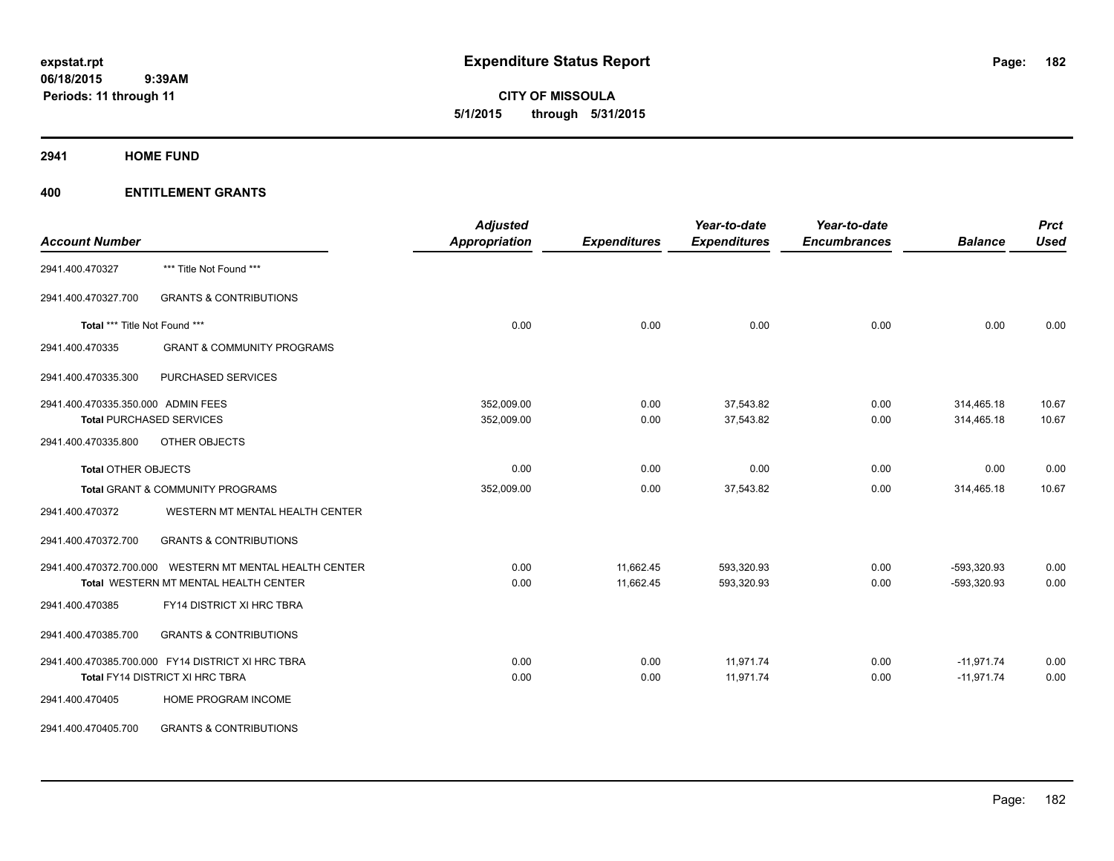**CITY OF MISSOULA 5/1/2015 through 5/31/2015**

**2941 HOME FUND**

| <b>Account Number</b>              |                                                         | <b>Adjusted</b><br>Appropriation | <b>Expenditures</b> | Year-to-date<br><b>Expenditures</b> | Year-to-date<br><b>Encumbrances</b> | <b>Balance</b> | <b>Prct</b><br><b>Used</b> |
|------------------------------------|---------------------------------------------------------|----------------------------------|---------------------|-------------------------------------|-------------------------------------|----------------|----------------------------|
|                                    |                                                         |                                  |                     |                                     |                                     |                |                            |
| 2941.400.470327                    | *** Title Not Found ***                                 |                                  |                     |                                     |                                     |                |                            |
| 2941.400.470327.700                | <b>GRANTS &amp; CONTRIBUTIONS</b>                       |                                  |                     |                                     |                                     |                |                            |
| Total *** Title Not Found ***      |                                                         | 0.00                             | 0.00                | 0.00                                | 0.00                                | 0.00           | 0.00                       |
| 2941.400.470335                    | <b>GRANT &amp; COMMUNITY PROGRAMS</b>                   |                                  |                     |                                     |                                     |                |                            |
| 2941.400.470335.300                | PURCHASED SERVICES                                      |                                  |                     |                                     |                                     |                |                            |
| 2941.400.470335.350.000 ADMIN FEES |                                                         | 352,009.00                       | 0.00                | 37,543.82                           | 0.00                                | 314,465.18     | 10.67                      |
|                                    | <b>Total PURCHASED SERVICES</b>                         | 352,009.00                       | 0.00                | 37,543.82                           | 0.00                                | 314,465.18     | 10.67                      |
| 2941.400.470335.800                | OTHER OBJECTS                                           |                                  |                     |                                     |                                     |                |                            |
| <b>Total OTHER OBJECTS</b>         |                                                         | 0.00                             | 0.00                | 0.00                                | 0.00                                | 0.00           | 0.00                       |
|                                    | <b>Total GRANT &amp; COMMUNITY PROGRAMS</b>             | 352,009.00                       | 0.00                | 37,543.82                           | 0.00                                | 314,465.18     | 10.67                      |
| 2941.400.470372                    | WESTERN MT MENTAL HEALTH CENTER                         |                                  |                     |                                     |                                     |                |                            |
| 2941.400.470372.700                | <b>GRANTS &amp; CONTRIBUTIONS</b>                       |                                  |                     |                                     |                                     |                |                            |
|                                    | 2941.400.470372.700.000 WESTERN MT MENTAL HEALTH CENTER | 0.00                             | 11,662.45           | 593,320.93                          | 0.00                                | -593,320.93    | 0.00                       |
|                                    | Total WESTERN MT MENTAL HEALTH CENTER                   | 0.00                             | 11,662.45           | 593,320.93                          | 0.00                                | -593,320.93    | 0.00                       |
| 2941.400.470385                    | FY14 DISTRICT XI HRC TBRA                               |                                  |                     |                                     |                                     |                |                            |
| 2941.400.470385.700                | <b>GRANTS &amp; CONTRIBUTIONS</b>                       |                                  |                     |                                     |                                     |                |                            |
|                                    | 2941.400.470385.700.000 FY14 DISTRICT XI HRC TBRA       | 0.00                             | 0.00                | 11,971.74                           | 0.00                                | $-11,971.74$   | 0.00                       |
|                                    | Total FY14 DISTRICT XI HRC TBRA                         | 0.00                             | 0.00                | 11,971.74                           | 0.00                                | $-11,971.74$   | 0.00                       |
| 2941.400.470405                    | HOME PROGRAM INCOME                                     |                                  |                     |                                     |                                     |                |                            |
| 2941.400.470405.700                | <b>GRANTS &amp; CONTRIBUTIONS</b>                       |                                  |                     |                                     |                                     |                |                            |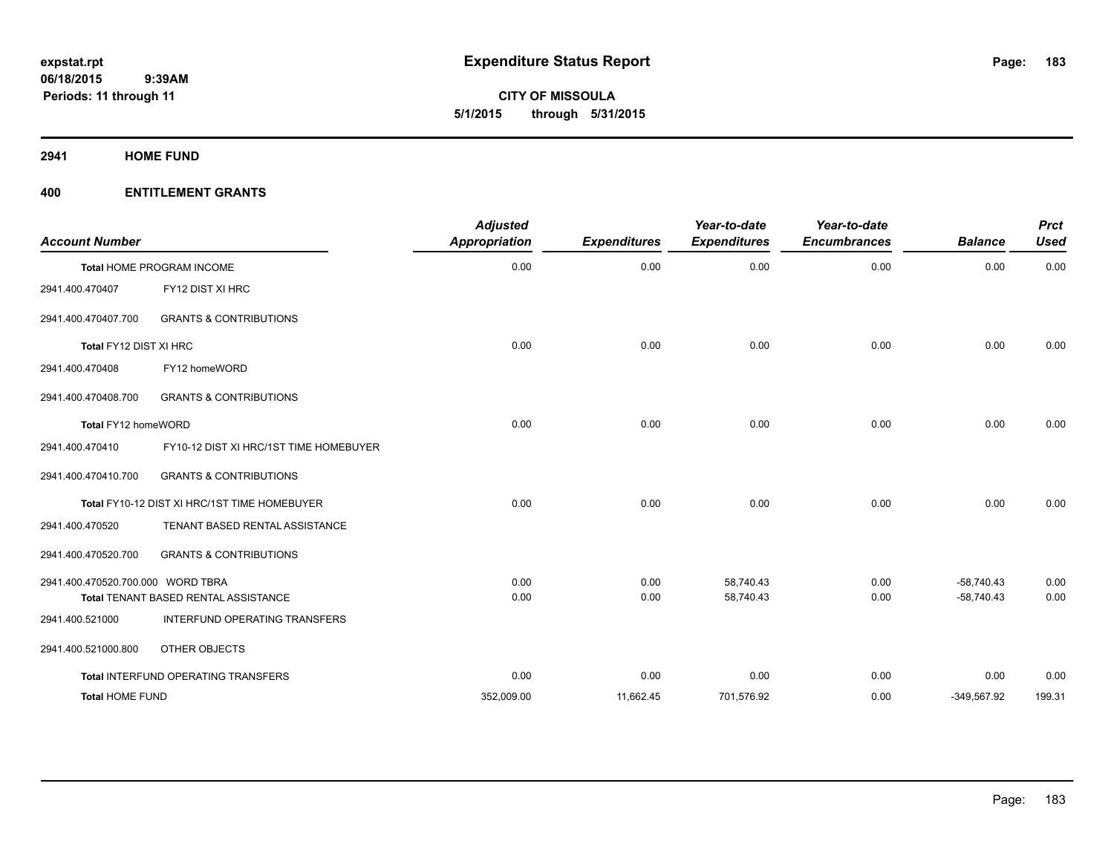**CITY OF MISSOULA 5/1/2015 through 5/31/2015**

**2941 HOME FUND**

| <b>Account Number</b>             |                                              | <b>Adjusted</b><br><b>Appropriation</b> | <b>Expenditures</b> | Year-to-date<br><b>Expenditures</b> | Year-to-date<br><b>Encumbrances</b> | <b>Balance</b> | <b>Prct</b><br><b>Used</b> |
|-----------------------------------|----------------------------------------------|-----------------------------------------|---------------------|-------------------------------------|-------------------------------------|----------------|----------------------------|
|                                   | Total HOME PROGRAM INCOME                    | 0.00                                    | 0.00                | 0.00                                | 0.00                                | 0.00           | 0.00                       |
| 2941.400.470407                   | FY12 DIST XI HRC                             |                                         |                     |                                     |                                     |                |                            |
| 2941.400.470407.700               | <b>GRANTS &amp; CONTRIBUTIONS</b>            |                                         |                     |                                     |                                     |                |                            |
| Total FY12 DIST XI HRC            |                                              | 0.00                                    | 0.00                | 0.00                                | 0.00                                | 0.00           | 0.00                       |
| 2941.400.470408                   | FY12 homeWORD                                |                                         |                     |                                     |                                     |                |                            |
| 2941.400.470408.700               | <b>GRANTS &amp; CONTRIBUTIONS</b>            |                                         |                     |                                     |                                     |                |                            |
| Total FY12 homeWORD               |                                              | 0.00                                    | 0.00                | 0.00                                | 0.00                                | 0.00           | 0.00                       |
| 2941.400.470410                   | FY10-12 DIST XI HRC/1ST TIME HOMEBUYER       |                                         |                     |                                     |                                     |                |                            |
| 2941.400.470410.700               | <b>GRANTS &amp; CONTRIBUTIONS</b>            |                                         |                     |                                     |                                     |                |                            |
|                                   | Total FY10-12 DIST XI HRC/1ST TIME HOMEBUYER | 0.00                                    | 0.00                | 0.00                                | 0.00                                | 0.00           | 0.00                       |
| 2941.400.470520                   | TENANT BASED RENTAL ASSISTANCE               |                                         |                     |                                     |                                     |                |                            |
| 2941.400.470520.700               | <b>GRANTS &amp; CONTRIBUTIONS</b>            |                                         |                     |                                     |                                     |                |                            |
| 2941.400.470520.700.000 WORD TBRA |                                              | 0.00                                    | 0.00                | 58,740.43                           | 0.00                                | $-58,740.43$   | 0.00                       |
|                                   | Total TENANT BASED RENTAL ASSISTANCE         | 0.00                                    | 0.00                | 58,740.43                           | 0.00                                | $-58,740.43$   | 0.00                       |
| 2941.400.521000                   | <b>INTERFUND OPERATING TRANSFERS</b>         |                                         |                     |                                     |                                     |                |                            |
| 2941.400.521000.800               | OTHER OBJECTS                                |                                         |                     |                                     |                                     |                |                            |
|                                   | Total INTERFUND OPERATING TRANSFERS          | 0.00                                    | 0.00                | 0.00                                | 0.00                                | 0.00           | 0.00                       |
| <b>Total HOME FUND</b>            |                                              | 352,009.00                              | 11,662.45           | 701,576.92                          | 0.00                                | $-349,567.92$  | 199.31                     |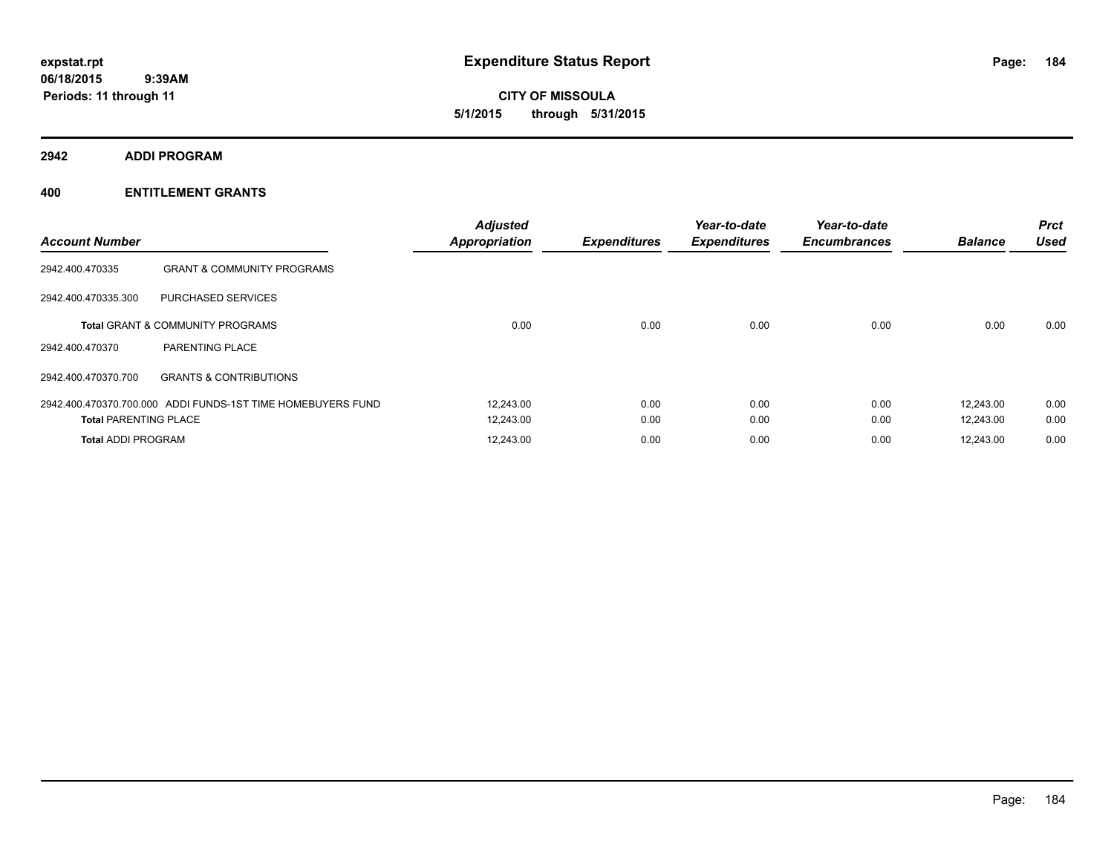**CITY OF MISSOULA 5/1/2015 through 5/31/2015**

**2942 ADDI PROGRAM**

| <b>Account Number</b>        |                                                             | <b>Adjusted</b><br><b>Appropriation</b> | <b>Expenditures</b> | Year-to-date<br><b>Expenditures</b> | Year-to-date<br><b>Encumbrances</b> | <b>Balance</b> | <b>Prct</b><br><b>Used</b> |
|------------------------------|-------------------------------------------------------------|-----------------------------------------|---------------------|-------------------------------------|-------------------------------------|----------------|----------------------------|
| 2942.400.470335              | <b>GRANT &amp; COMMUNITY PROGRAMS</b>                       |                                         |                     |                                     |                                     |                |                            |
| 2942.400.470335.300          | <b>PURCHASED SERVICES</b>                                   |                                         |                     |                                     |                                     |                |                            |
|                              | <b>Total GRANT &amp; COMMUNITY PROGRAMS</b>                 | 0.00                                    | 0.00                | 0.00                                | 0.00                                | 0.00           | 0.00                       |
| 2942.400.470370              | PARENTING PLACE                                             |                                         |                     |                                     |                                     |                |                            |
| 2942.400.470370.700          | <b>GRANTS &amp; CONTRIBUTIONS</b>                           |                                         |                     |                                     |                                     |                |                            |
|                              | 2942.400.470370.700.000 ADDI FUNDS-1ST TIME HOMEBUYERS FUND | 12,243.00                               | 0.00                | 0.00                                | 0.00                                | 12,243.00      | 0.00                       |
| <b>Total PARENTING PLACE</b> |                                                             | 12,243.00                               | 0.00                | 0.00                                | 0.00                                | 12,243.00      | 0.00                       |
| <b>Total ADDI PROGRAM</b>    |                                                             | 12,243.00                               | 0.00                | 0.00                                | 0.00                                | 12,243.00      | 0.00                       |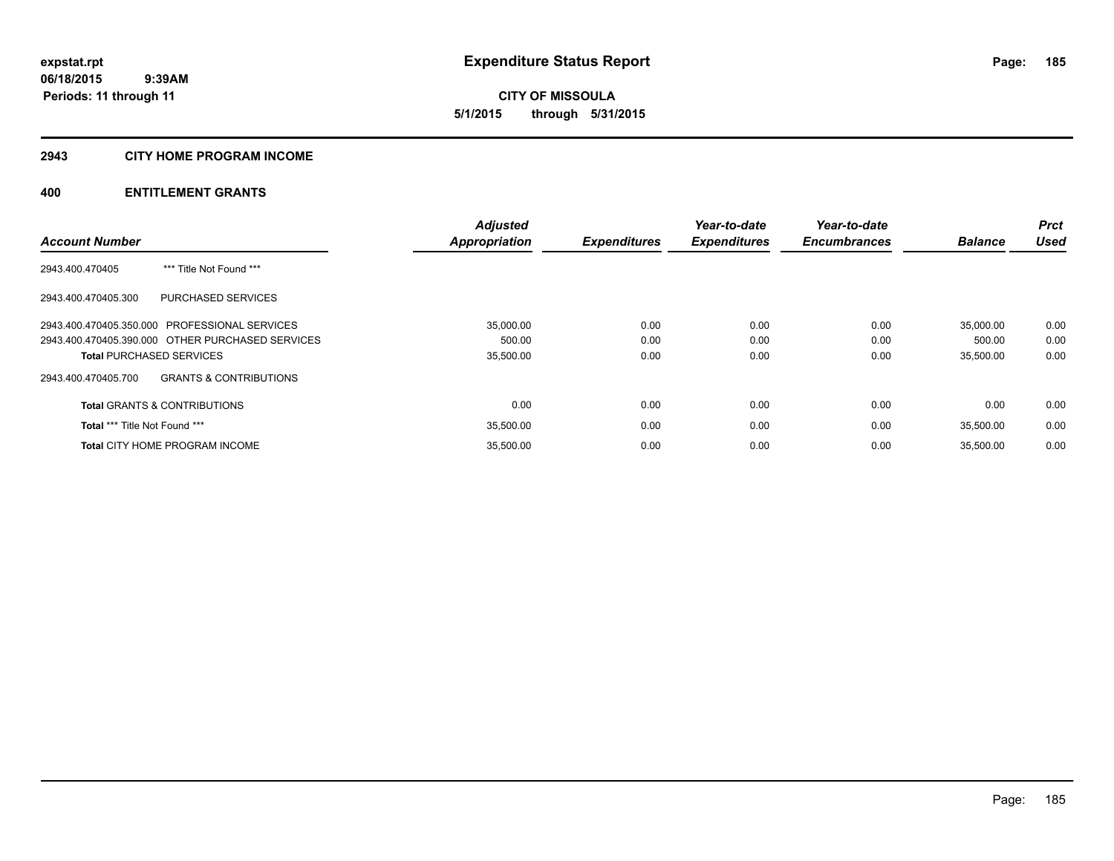# **2943 CITY HOME PROGRAM INCOME**

|                                                          | <b>Adjusted</b>      |                     | Year-to-date        | Year-to-date        |                | <b>Prct</b> |
|----------------------------------------------------------|----------------------|---------------------|---------------------|---------------------|----------------|-------------|
| <b>Account Number</b>                                    | <b>Appropriation</b> | <b>Expenditures</b> | <b>Expenditures</b> | <b>Encumbrances</b> | <b>Balance</b> | <b>Used</b> |
| 2943.400.470405<br>*** Title Not Found ***               |                      |                     |                     |                     |                |             |
| 2943.400.470405.300<br><b>PURCHASED SERVICES</b>         |                      |                     |                     |                     |                |             |
| 2943.400.470405.350.000 PROFESSIONAL SERVICES            | 35,000.00            | 0.00                | 0.00                | 0.00                | 35,000.00      | 0.00        |
| 2943.400.470405.390.000 OTHER PURCHASED SERVICES         | 500.00               | 0.00                | 0.00                | 0.00                | 500.00         | 0.00        |
| <b>Total PURCHASED SERVICES</b>                          | 35,500.00            | 0.00                | 0.00                | 0.00                | 35,500.00      | 0.00        |
| <b>GRANTS &amp; CONTRIBUTIONS</b><br>2943.400.470405.700 |                      |                     |                     |                     |                |             |
| <b>Total GRANTS &amp; CONTRIBUTIONS</b>                  | 0.00                 | 0.00                | 0.00                | 0.00                | 0.00           | 0.00        |
| Total *** Title Not Found ***                            | 35,500.00            | 0.00                | 0.00                | 0.00                | 35.500.00      | 0.00        |
| <b>Total CITY HOME PROGRAM INCOME</b>                    | 35.500.00            | 0.00                | 0.00                | 0.00                | 35.500.00      | 0.00        |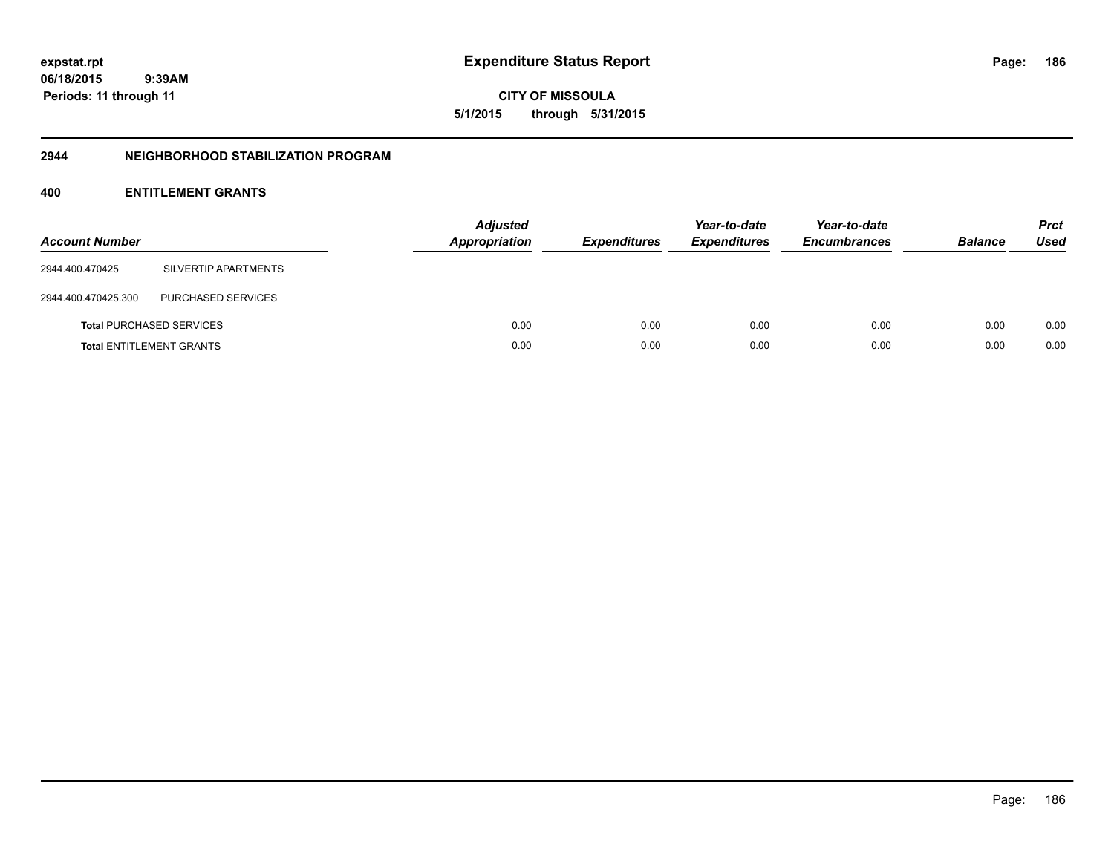**CITY OF MISSOULA 5/1/2015 through 5/31/2015**

#### **2944 NEIGHBORHOOD STABILIZATION PROGRAM**

| <b>Account Number</b> |                                 | <b>Adjusted</b><br>Appropriation | <b>Expenditures</b> | Year-to-date<br><b>Expenditures</b> | Year-to-date<br><b>Encumbrances</b> | <b>Balance</b> | <b>Prct</b><br>Used |
|-----------------------|---------------------------------|----------------------------------|---------------------|-------------------------------------|-------------------------------------|----------------|---------------------|
| 2944.400.470425       | SILVERTIP APARTMENTS            |                                  |                     |                                     |                                     |                |                     |
| 2944.400.470425.300   | PURCHASED SERVICES              |                                  |                     |                                     |                                     |                |                     |
|                       | <b>Total PURCHASED SERVICES</b> | 0.00                             | 0.00                | 0.00                                | 0.00                                | 0.00           | 0.00                |
|                       | <b>Total ENTITLEMENT GRANTS</b> | 0.00                             | 0.00                | 0.00                                | 0.00                                | 0.00           | 0.00                |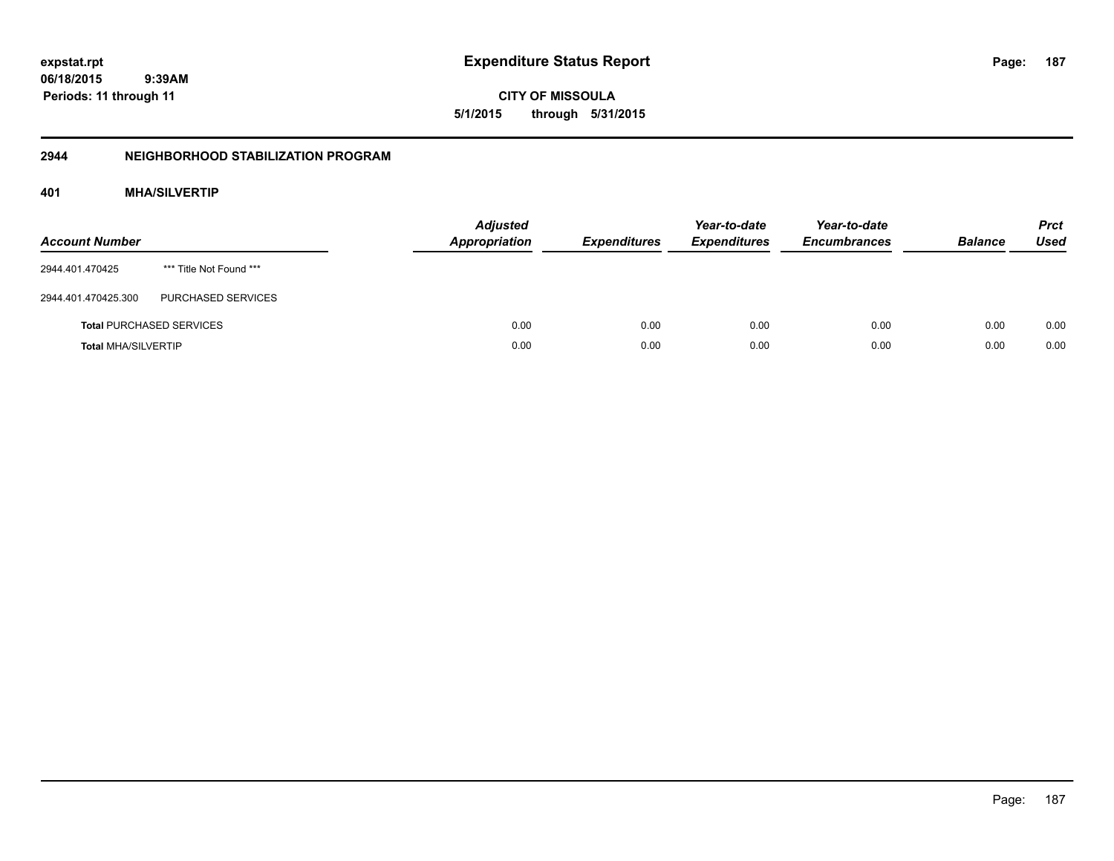**CITY OF MISSOULA 5/1/2015 through 5/31/2015**

# **2944 NEIGHBORHOOD STABILIZATION PROGRAM**

# **401 MHA/SILVERTIP**

| <b>Account Number</b>      |                                 | <b>Adjusted</b><br><b>Appropriation</b> | <b>Expenditures</b> | Year-to-date<br><b>Expenditures</b> | Year-to-date<br><b>Encumbrances</b> | <b>Balance</b> | <b>Prct</b><br>Used |
|----------------------------|---------------------------------|-----------------------------------------|---------------------|-------------------------------------|-------------------------------------|----------------|---------------------|
| 2944.401.470425            | *** Title Not Found ***         |                                         |                     |                                     |                                     |                |                     |
| 2944.401.470425.300        | <b>PURCHASED SERVICES</b>       |                                         |                     |                                     |                                     |                |                     |
|                            | <b>Total PURCHASED SERVICES</b> | 0.00                                    | 0.00                | 0.00                                | 0.00                                | 0.00           | 0.00                |
| <b>Total MHA/SILVERTIP</b> |                                 | 0.00                                    | 0.00                | 0.00                                | 0.00                                | 0.00           | 0.00                |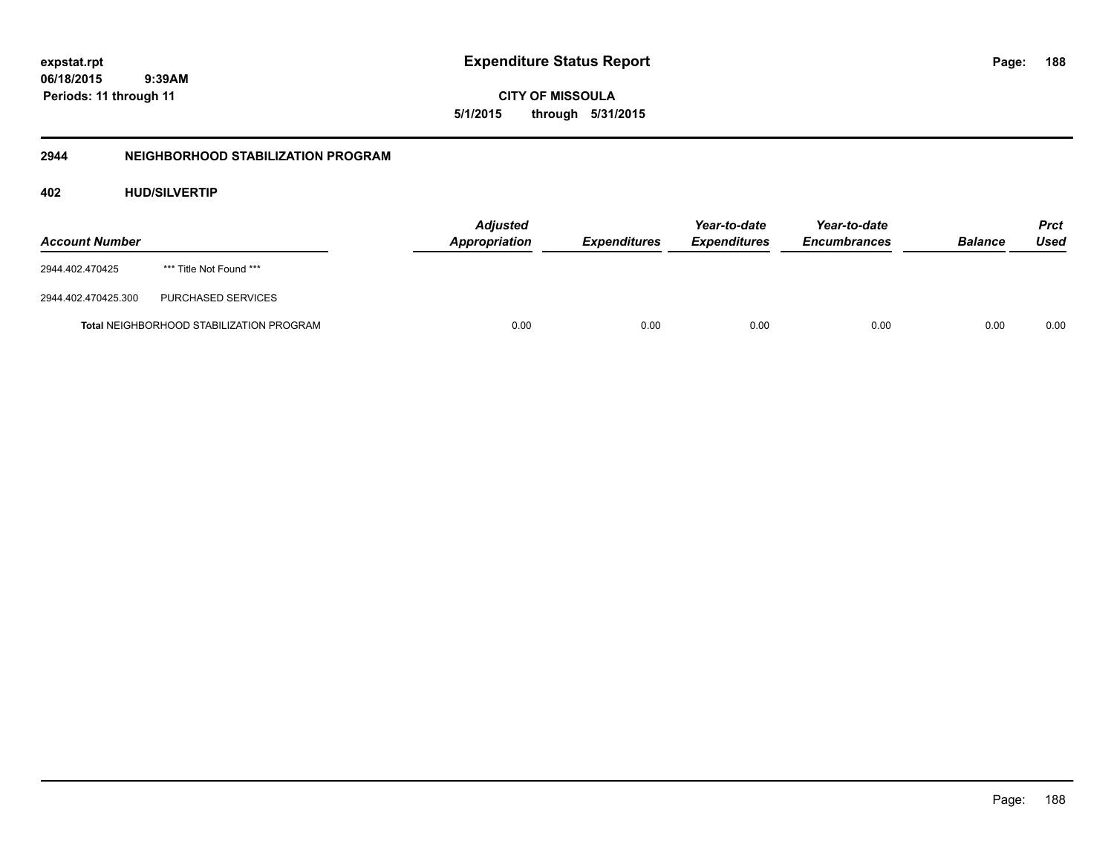**CITY OF MISSOULA 5/1/2015 through 5/31/2015**

# **2944 NEIGHBORHOOD STABILIZATION PROGRAM**

# **402 HUD/SILVERTIP**

| <b>Account Number</b> |                                                 | <b>Adjusted</b><br>Appropriation | <b>Expenditures</b> | Year-to-date<br><i><b>Expenditures</b></i> | Year-to-date<br><b>Encumbrances</b> | <b>Balance</b> | <b>Prct</b><br>Used |
|-----------------------|-------------------------------------------------|----------------------------------|---------------------|--------------------------------------------|-------------------------------------|----------------|---------------------|
| 2944.402.470425       | *** Title Not Found ***                         |                                  |                     |                                            |                                     |                |                     |
| 2944.402.470425.300   | PURCHASED SERVICES                              |                                  |                     |                                            |                                     |                |                     |
|                       | <b>Total NEIGHBORHOOD STABILIZATION PROGRAM</b> | 0.00                             | 0.00                | 0.00                                       | 0.00                                | 0.00           | 0.00                |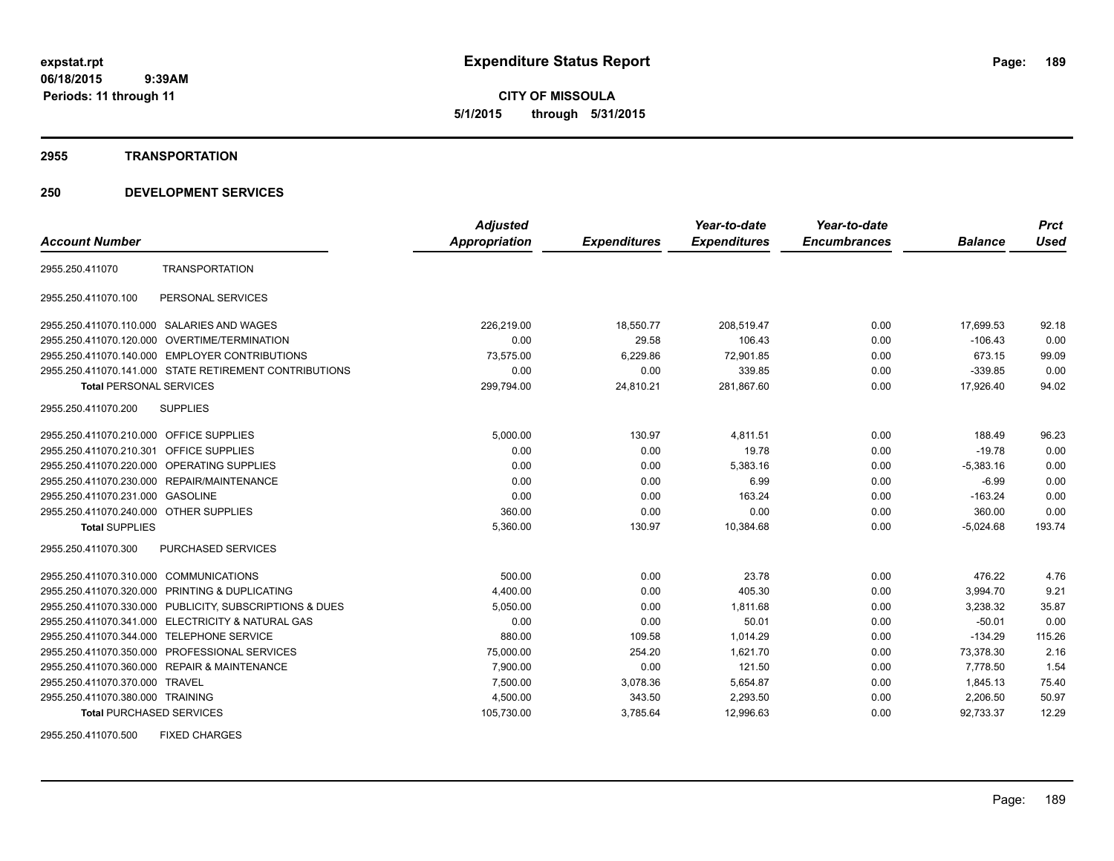**CITY OF MISSOULA 5/1/2015 through 5/31/2015**

#### **2955 TRANSPORTATION**

# **250 DEVELOPMENT SERVICES**

|                                         |                                                         | <b>Adjusted</b>      |                     | Year-to-date        | Year-to-date        |                | <b>Prct</b> |
|-----------------------------------------|---------------------------------------------------------|----------------------|---------------------|---------------------|---------------------|----------------|-------------|
| <b>Account Number</b>                   |                                                         | <b>Appropriation</b> | <b>Expenditures</b> | <b>Expenditures</b> | <b>Encumbrances</b> | <b>Balance</b> | <b>Used</b> |
| 2955.250.411070                         | <b>TRANSPORTATION</b>                                   |                      |                     |                     |                     |                |             |
| 2955.250.411070.100                     | PERSONAL SERVICES                                       |                      |                     |                     |                     |                |             |
|                                         | 2955.250.411070.110.000 SALARIES AND WAGES              | 226,219.00           | 18,550.77           | 208,519.47          | 0.00                | 17,699.53      | 92.18       |
|                                         | 2955.250.411070.120.000 OVERTIME/TERMINATION            | 0.00                 | 29.58               | 106.43              | 0.00                | $-106.43$      | 0.00        |
|                                         | 2955.250.411070.140.000 EMPLOYER CONTRIBUTIONS          | 73,575.00            | 6,229.86            | 72,901.85           | 0.00                | 673.15         | 99.09       |
|                                         | 2955.250.411070.141.000 STATE RETIREMENT CONTRIBUTIONS  | 0.00                 | 0.00                | 339.85              | 0.00                | $-339.85$      | 0.00        |
| <b>Total PERSONAL SERVICES</b>          |                                                         | 299,794.00           | 24,810.21           | 281,867.60          | 0.00                | 17,926.40      | 94.02       |
| 2955.250.411070.200                     | <b>SUPPLIES</b>                                         |                      |                     |                     |                     |                |             |
| 2955.250.411070.210.000 OFFICE SUPPLIES |                                                         | 5,000.00             | 130.97              | 4,811.51            | 0.00                | 188.49         | 96.23       |
| 2955.250.411070.210.301                 | <b>OFFICE SUPPLIES</b>                                  | 0.00                 | 0.00                | 19.78               | 0.00                | $-19.78$       | 0.00        |
|                                         | 2955.250.411070.220.000 OPERATING SUPPLIES              | 0.00                 | 0.00                | 5,383.16            | 0.00                | $-5,383.16$    | 0.00        |
|                                         | 2955.250.411070.230.000 REPAIR/MAINTENANCE              | 0.00                 | 0.00                | 6.99                | 0.00                | $-6.99$        | 0.00        |
| 2955.250.411070.231.000 GASOLINE        |                                                         | 0.00                 | 0.00                | 163.24              | 0.00                | $-163.24$      | 0.00        |
| 2955.250.411070.240.000 OTHER SUPPLIES  |                                                         | 360.00               | 0.00                | 0.00                | 0.00                | 360.00         | 0.00        |
| <b>Total SUPPLIES</b>                   |                                                         | 5,360.00             | 130.97              | 10,384.68           | 0.00                | $-5,024.68$    | 193.74      |
| 2955.250.411070.300                     | <b>PURCHASED SERVICES</b>                               |                      |                     |                     |                     |                |             |
| 2955.250.411070.310.000 COMMUNICATIONS  |                                                         | 500.00               | 0.00                | 23.78               | 0.00                | 476.22         | 4.76        |
| 2955.250.411070.320.000                 | PRINTING & DUPLICATING                                  | 4,400.00             | 0.00                | 405.30              | 0.00                | 3,994.70       | 9.21        |
|                                         | 2955.250.411070.330.000 PUBLICITY, SUBSCRIPTIONS & DUES | 5,050.00             | 0.00                | 1,811.68            | 0.00                | 3,238.32       | 35.87       |
|                                         | 2955.250.411070.341.000 ELECTRICITY & NATURAL GAS       | 0.00                 | 0.00                | 50.01               | 0.00                | $-50.01$       | 0.00        |
|                                         | 2955.250.411070.344.000 TELEPHONE SERVICE               | 880.00               | 109.58              | 1,014.29            | 0.00                | $-134.29$      | 115.26      |
|                                         | 2955.250.411070.350.000 PROFESSIONAL SERVICES           | 75.000.00            | 254.20              | 1.621.70            | 0.00                | 73.378.30      | 2.16        |
|                                         | 2955.250.411070.360.000 REPAIR & MAINTENANCE            | 7,900.00             | 0.00                | 121.50              | 0.00                | 7,778.50       | 1.54        |
| 2955.250.411070.370.000 TRAVEL          |                                                         | 7,500.00             | 3,078.36            | 5,654.87            | 0.00                | 1,845.13       | 75.40       |
| 2955.250.411070.380.000 TRAINING        |                                                         | 4,500.00             | 343.50              | 2,293.50            | 0.00                | 2,206.50       | 50.97       |
| <b>Total PURCHASED SERVICES</b>         |                                                         | 105,730.00           | 3,785.64            | 12,996.63           | 0.00                | 92,733.37      | 12.29       |

2955.250.411070.500 FIXED CHARGES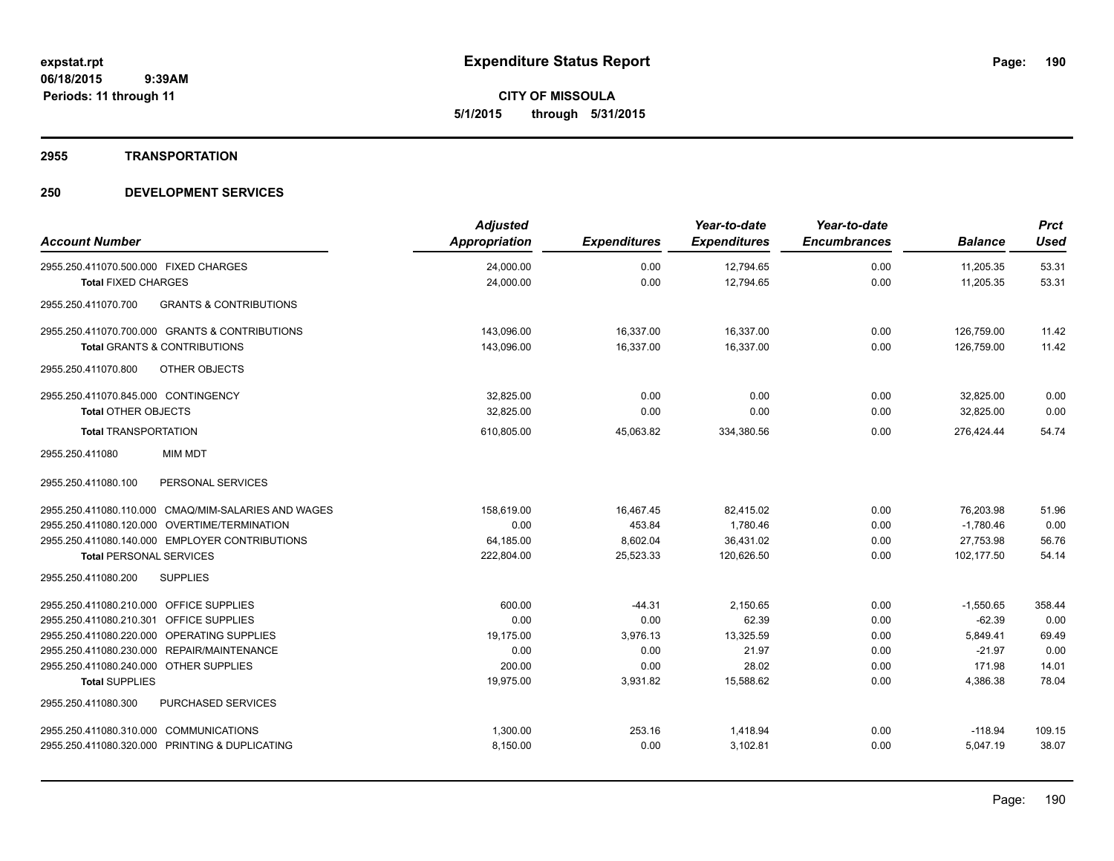**Periods: 11 through 11**

**CITY OF MISSOULA 5/1/2015 through 5/31/2015**

#### **2955 TRANSPORTATION**

# **250 DEVELOPMENT SERVICES**

| <b>Account Number</b>                                    | <b>Adjusted</b><br>Appropriation | <b>Expenditures</b> | Year-to-date<br><b>Expenditures</b> | Year-to-date<br><b>Encumbrances</b> | <b>Balance</b> | <b>Prct</b><br><b>Used</b> |
|----------------------------------------------------------|----------------------------------|---------------------|-------------------------------------|-------------------------------------|----------------|----------------------------|
| 2955.250.411070.500.000 FIXED CHARGES                    | 24,000.00                        | 0.00                | 12,794.65                           | 0.00                                | 11,205.35      | 53.31                      |
| <b>Total FIXED CHARGES</b>                               | 24,000.00                        | 0.00                | 12,794.65                           | 0.00                                | 11,205.35      | 53.31                      |
| <b>GRANTS &amp; CONTRIBUTIONS</b><br>2955.250.411070.700 |                                  |                     |                                     |                                     |                |                            |
| 2955.250.411070.700.000 GRANTS & CONTRIBUTIONS           | 143,096.00                       | 16,337.00           | 16,337.00                           | 0.00                                | 126,759.00     | 11.42                      |
| <b>Total GRANTS &amp; CONTRIBUTIONS</b>                  | 143,096.00                       | 16,337.00           | 16,337.00                           | 0.00                                | 126,759.00     | 11.42                      |
| 2955.250.411070.800<br><b>OTHER OBJECTS</b>              |                                  |                     |                                     |                                     |                |                            |
| 2955.250.411070.845.000 CONTINGENCY                      | 32.825.00                        | 0.00                | 0.00                                | 0.00                                | 32,825.00      | 0.00                       |
| <b>Total OTHER OBJECTS</b>                               | 32,825.00                        | 0.00                | 0.00                                | 0.00                                | 32,825.00      | 0.00                       |
| <b>Total TRANSPORTATION</b>                              | 610,805.00                       | 45,063.82           | 334,380.56                          | 0.00                                | 276.424.44     | 54.74                      |
| 2955.250.411080<br><b>MIM MDT</b>                        |                                  |                     |                                     |                                     |                |                            |
| PERSONAL SERVICES<br>2955.250.411080.100                 |                                  |                     |                                     |                                     |                |                            |
| 2955.250.411080.110.000 CMAQ/MIM-SALARIES AND WAGES      | 158,619.00                       | 16,467.45           | 82,415.02                           | 0.00                                | 76,203.98      | 51.96                      |
| 2955.250.411080.120.000 OVERTIME/TERMINATION             | 0.00                             | 453.84              | 1,780.46                            | 0.00                                | $-1,780.46$    | 0.00                       |
| 2955.250.411080.140.000 EMPLOYER CONTRIBUTIONS           | 64,185.00                        | 8,602.04            | 36,431.02                           | 0.00                                | 27,753.98      | 56.76                      |
| <b>Total PERSONAL SERVICES</b>                           | 222,804.00                       | 25,523.33           | 120,626.50                          | 0.00                                | 102,177.50     | 54.14                      |
| <b>SUPPLIES</b><br>2955.250.411080.200                   |                                  |                     |                                     |                                     |                |                            |
| 2955.250.411080.210.000 OFFICE SUPPLIES                  | 600.00                           | $-44.31$            | 2,150.65                            | 0.00                                | $-1,550.65$    | 358.44                     |
| 2955.250.411080.210.301 OFFICE SUPPLIES                  | 0.00                             | 0.00                | 62.39                               | 0.00                                | $-62.39$       | 0.00                       |
| 2955.250.411080.220.000 OPERATING SUPPLIES               | 19.175.00                        | 3,976.13            | 13.325.59                           | 0.00                                | 5.849.41       | 69.49                      |
| 2955.250.411080.230.000 REPAIR/MAINTENANCE               | 0.00                             | 0.00                | 21.97                               | 0.00                                | $-21.97$       | 0.00                       |
| 2955.250.411080.240.000 OTHER SUPPLIES                   | 200.00                           | 0.00                | 28.02                               | 0.00                                | 171.98         | 14.01                      |
| <b>Total SUPPLIES</b>                                    | 19,975.00                        | 3,931.82            | 15,588.62                           | 0.00                                | 4,386.38       | 78.04                      |
| <b>PURCHASED SERVICES</b><br>2955.250.411080.300         |                                  |                     |                                     |                                     |                |                            |
| 2955.250.411080.310.000 COMMUNICATIONS                   | 1,300.00                         | 253.16              | 1,418.94                            | 0.00                                | $-118.94$      | 109.15                     |
| 2955.250.411080.320.000 PRINTING & DUPLICATING           | 8,150.00                         | 0.00                | 3,102.81                            | 0.00                                | 5,047.19       | 38.07                      |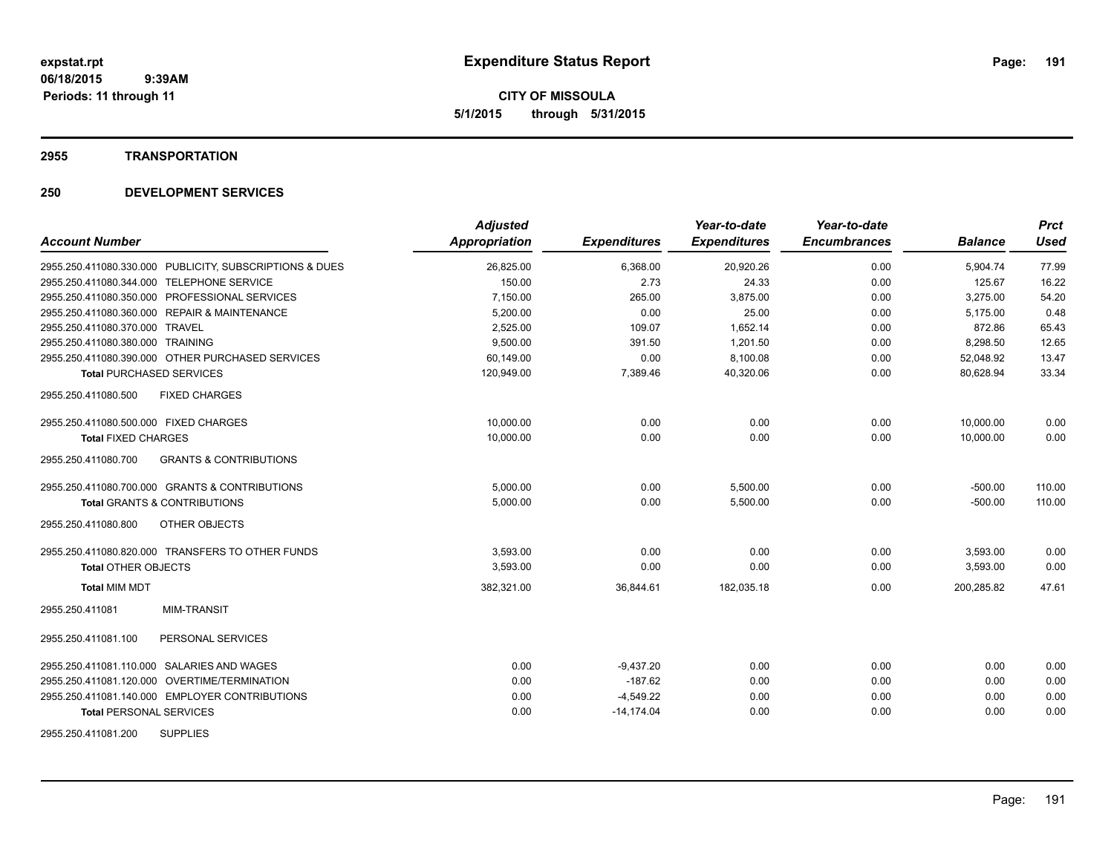**CITY OF MISSOULA 5/1/2015 through 5/31/2015**

#### **2955 TRANSPORTATION**

# **250 DEVELOPMENT SERVICES**

| <b>Account Number</b>                                    | <b>Adjusted</b><br>Appropriation | <b>Expenditures</b> | Year-to-date<br><b>Expenditures</b> | Year-to-date<br><b>Encumbrances</b> | <b>Balance</b> | <b>Prct</b><br><b>Used</b> |
|----------------------------------------------------------|----------------------------------|---------------------|-------------------------------------|-------------------------------------|----------------|----------------------------|
| 2955.250.411080.330.000 PUBLICITY, SUBSCRIPTIONS & DUES  | 26,825.00                        | 6,368.00            | 20,920.26                           | 0.00                                | 5,904.74       | 77.99                      |
| 2955.250.411080.344.000 TELEPHONE SERVICE                | 150.00                           | 2.73                | 24.33                               | 0.00                                | 125.67         | 16.22                      |
| 2955.250.411080.350.000 PROFESSIONAL SERVICES            | 7,150.00                         | 265.00              | 3,875.00                            | 0.00                                | 3,275.00       | 54.20                      |
| 2955.250.411080.360.000 REPAIR & MAINTENANCE             | 5,200.00                         | 0.00                | 25.00                               | 0.00                                | 5,175.00       | 0.48                       |
| 2955.250.411080.370.000 TRAVEL                           | 2,525.00                         | 109.07              | 1,652.14                            | 0.00                                | 872.86         | 65.43                      |
| 2955.250.411080.380.000 TRAINING                         | 9,500.00                         | 391.50              | 1,201.50                            | 0.00                                | 8,298.50       | 12.65                      |
| 2955.250.411080.390.000 OTHER PURCHASED SERVICES         | 60,149.00                        | 0.00                | 8,100.08                            | 0.00                                | 52,048.92      | 13.47                      |
| <b>Total PURCHASED SERVICES</b>                          | 120,949.00                       | 7,389.46            | 40,320.06                           | 0.00                                | 80,628.94      | 33.34                      |
| 2955.250.411080.500<br><b>FIXED CHARGES</b>              |                                  |                     |                                     |                                     |                |                            |
| 2955.250.411080.500.000 FIXED CHARGES                    | 10,000.00                        | 0.00                | 0.00                                | 0.00                                | 10,000.00      | 0.00                       |
| <b>Total FIXED CHARGES</b>                               | 10,000.00                        | 0.00                | 0.00                                | 0.00                                | 10.000.00      | 0.00                       |
| 2955.250.411080.700<br><b>GRANTS &amp; CONTRIBUTIONS</b> |                                  |                     |                                     |                                     |                |                            |
| 2955.250.411080.700.000 GRANTS & CONTRIBUTIONS           | 5,000.00                         | 0.00                | 5,500.00                            | 0.00                                | $-500.00$      | 110.00                     |
| <b>Total GRANTS &amp; CONTRIBUTIONS</b>                  | 5,000.00                         | 0.00                | 5,500.00                            | 0.00                                | $-500.00$      | 110.00                     |
| OTHER OBJECTS<br>2955.250.411080.800                     |                                  |                     |                                     |                                     |                |                            |
| 2955.250.411080.820.000 TRANSFERS TO OTHER FUNDS         | 3,593.00                         | 0.00                | 0.00                                | 0.00                                | 3,593.00       | 0.00                       |
| <b>Total OTHER OBJECTS</b>                               | 3,593.00                         | 0.00                | 0.00                                | 0.00                                | 3,593.00       | 0.00                       |
| <b>Total MIM MDT</b>                                     | 382,321.00                       | 36,844.61           | 182,035.18                          | 0.00                                | 200,285.82     | 47.61                      |
| <b>MIM-TRANSIT</b><br>2955.250.411081                    |                                  |                     |                                     |                                     |                |                            |
| PERSONAL SERVICES<br>2955.250.411081.100                 |                                  |                     |                                     |                                     |                |                            |
| 2955.250.411081.110.000 SALARIES AND WAGES               | 0.00                             | $-9,437.20$         | 0.00                                | 0.00                                | 0.00           | 0.00                       |
| 2955.250.411081.120.000 OVERTIME/TERMINATION             | 0.00                             | $-187.62$           | 0.00                                | 0.00                                | 0.00           | 0.00                       |
| 2955.250.411081.140.000 EMPLOYER CONTRIBUTIONS           | 0.00                             | $-4,549.22$         | 0.00                                | 0.00                                | 0.00           | 0.00                       |
| <b>Total PERSONAL SERVICES</b>                           | 0.00                             | $-14,174.04$        | 0.00                                | 0.00                                | 0.00           | 0.00                       |
| <b>SUPPLIES</b><br>2955.250.411081.200                   |                                  |                     |                                     |                                     |                |                            |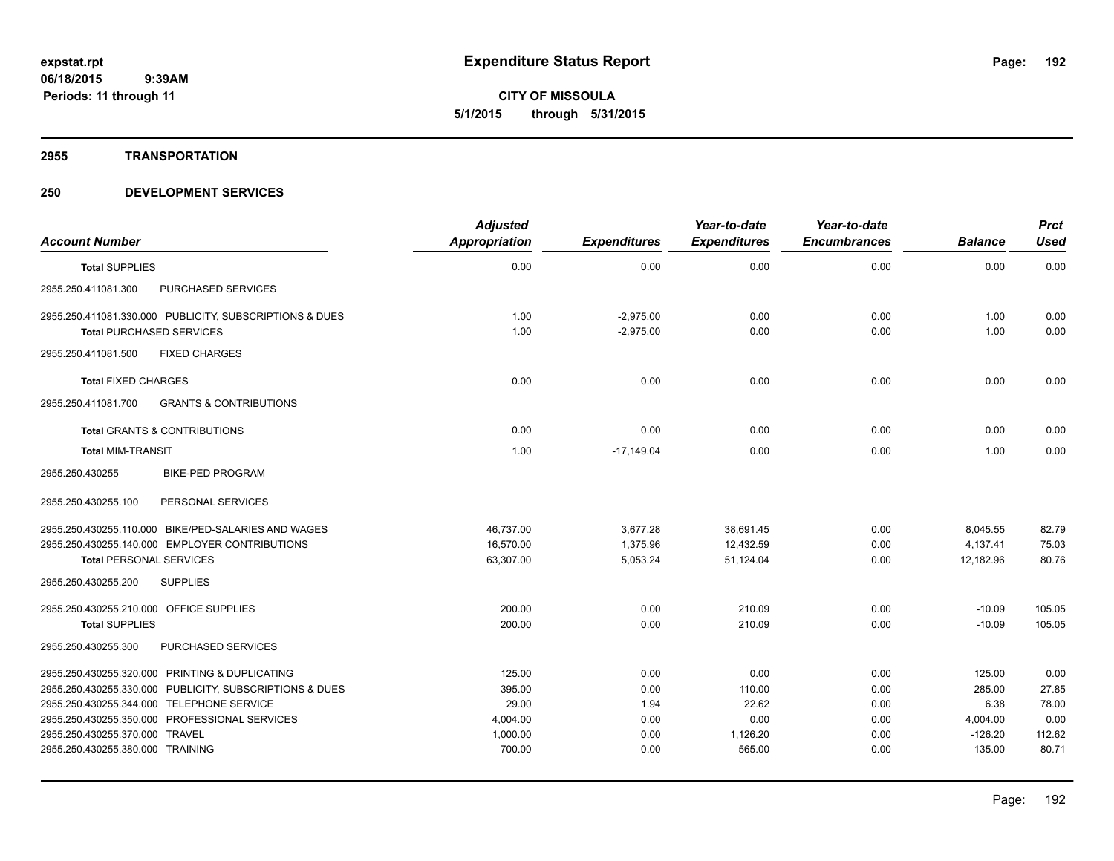**CITY OF MISSOULA 5/1/2015 through 5/31/2015**

#### **2955 TRANSPORTATION**

# **250 DEVELOPMENT SERVICES**

| <b>Account Number</b>                   |                                                         | <b>Adjusted</b><br><b>Appropriation</b> | <b>Expenditures</b> | Year-to-date<br><b>Expenditures</b> | Year-to-date<br><b>Encumbrances</b> | <b>Balance</b> | <b>Prct</b><br><b>Used</b> |
|-----------------------------------------|---------------------------------------------------------|-----------------------------------------|---------------------|-------------------------------------|-------------------------------------|----------------|----------------------------|
| <b>Total SUPPLIES</b>                   |                                                         | 0.00                                    | 0.00                | 0.00                                | 0.00                                | 0.00           | 0.00                       |
|                                         |                                                         |                                         |                     |                                     |                                     |                |                            |
| 2955.250.411081.300                     | PURCHASED SERVICES                                      |                                         |                     |                                     |                                     |                |                            |
|                                         | 2955.250.411081.330.000 PUBLICITY, SUBSCRIPTIONS & DUES | 1.00                                    | $-2,975.00$         | 0.00                                | 0.00                                | 1.00           | 0.00                       |
| <b>Total PURCHASED SERVICES</b>         |                                                         | 1.00                                    | $-2.975.00$         | 0.00                                | 0.00                                | 1.00           | 0.00                       |
| 2955.250.411081.500                     | <b>FIXED CHARGES</b>                                    |                                         |                     |                                     |                                     |                |                            |
| <b>Total FIXED CHARGES</b>              |                                                         | 0.00                                    | 0.00                | 0.00                                | 0.00                                | 0.00           | 0.00                       |
| 2955.250.411081.700                     | <b>GRANTS &amp; CONTRIBUTIONS</b>                       |                                         |                     |                                     |                                     |                |                            |
|                                         | Total GRANTS & CONTRIBUTIONS                            | 0.00                                    | 0.00                | 0.00                                | 0.00                                | 0.00           | 0.00                       |
| <b>Total MIM-TRANSIT</b>                |                                                         | 1.00                                    | $-17,149.04$        | 0.00                                | 0.00                                | 1.00           | 0.00                       |
| 2955.250.430255                         | <b>BIKE-PED PROGRAM</b>                                 |                                         |                     |                                     |                                     |                |                            |
| 2955.250.430255.100                     | PERSONAL SERVICES                                       |                                         |                     |                                     |                                     |                |                            |
|                                         | 2955.250.430255.110.000 BIKE/PED-SALARIES AND WAGES     | 46,737.00                               | 3,677.28            | 38,691.45                           | 0.00                                | 8,045.55       | 82.79                      |
|                                         | 2955.250.430255.140.000 EMPLOYER CONTRIBUTIONS          | 16,570.00                               | 1,375.96            | 12,432.59                           | 0.00                                | 4,137.41       | 75.03                      |
| <b>Total PERSONAL SERVICES</b>          |                                                         | 63,307.00                               | 5,053.24            | 51,124.04                           | 0.00                                | 12,182.96      | 80.76                      |
| 2955.250.430255.200                     | <b>SUPPLIES</b>                                         |                                         |                     |                                     |                                     |                |                            |
| 2955.250.430255.210.000 OFFICE SUPPLIES |                                                         | 200.00                                  | 0.00                | 210.09                              | 0.00                                | $-10.09$       | 105.05                     |
| <b>Total SUPPLIES</b>                   |                                                         | 200.00                                  | 0.00                | 210.09                              | 0.00                                | $-10.09$       | 105.05                     |
| 2955.250.430255.300                     | PURCHASED SERVICES                                      |                                         |                     |                                     |                                     |                |                            |
|                                         | 2955.250.430255.320.000 PRINTING & DUPLICATING          | 125.00                                  | 0.00                | 0.00                                | 0.00                                | 125.00         | 0.00                       |
|                                         | 2955.250.430255.330.000 PUBLICITY, SUBSCRIPTIONS & DUES | 395.00                                  | 0.00                | 110.00                              | 0.00                                | 285.00         | 27.85                      |
|                                         | 2955.250.430255.344.000 TELEPHONE SERVICE               | 29.00                                   | 1.94                | 22.62                               | 0.00                                | 6.38           | 78.00                      |
|                                         | 2955.250.430255.350.000 PROFESSIONAL SERVICES           | 4,004.00                                | 0.00                | 0.00                                | 0.00                                | 4,004.00       | 0.00                       |
| 2955.250.430255.370.000 TRAVEL          |                                                         | 1,000.00                                | 0.00                | 1,126.20                            | 0.00                                | $-126.20$      | 112.62                     |
| 2955.250.430255.380.000 TRAINING        |                                                         | 700.00                                  | 0.00                | 565.00                              | 0.00                                | 135.00         | 80.71                      |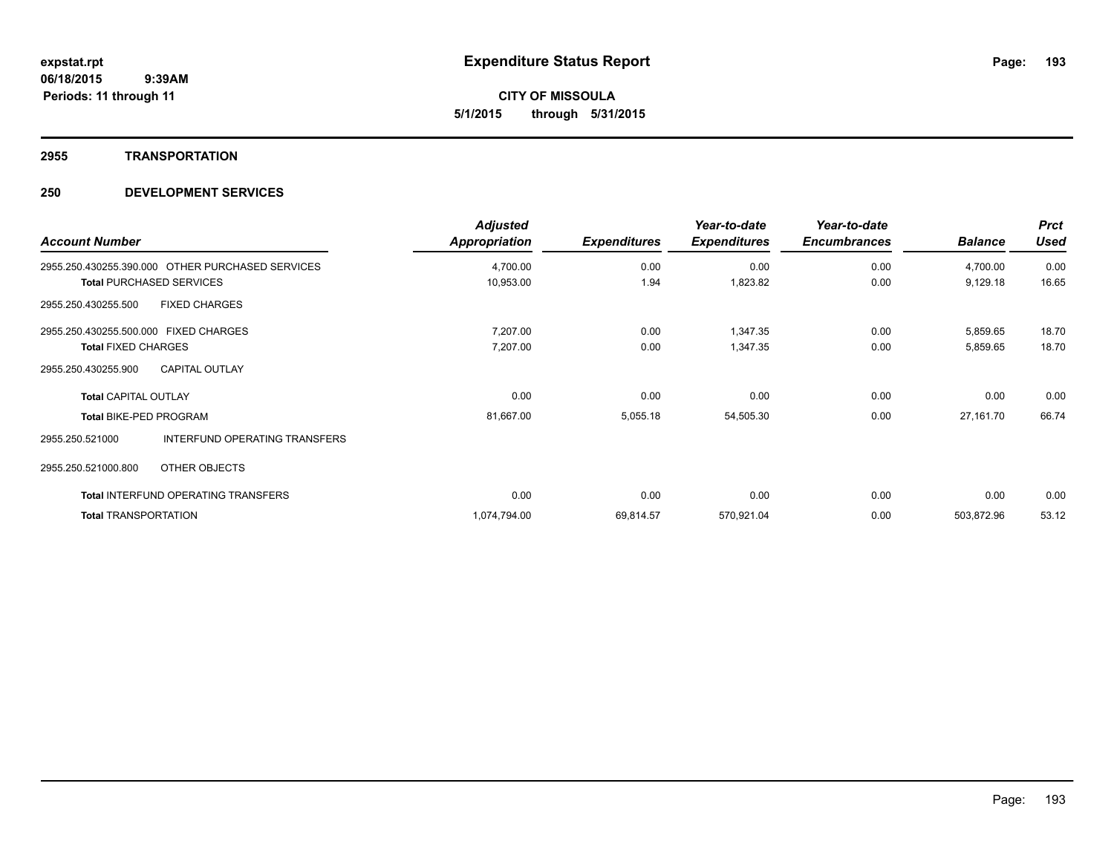**Periods: 11 through 11**

**CITY OF MISSOULA 5/1/2015 through 5/31/2015**

#### **2955 TRANSPORTATION**

# **250 DEVELOPMENT SERVICES**

 **9:39AM**

| <b>Account Number</b>                            | <b>Adjusted</b><br>Appropriation | <b>Expenditures</b> | Year-to-date<br><b>Expenditures</b> | Year-to-date<br><b>Encumbrances</b> | <b>Balance</b> | <b>Prct</b><br><b>Used</b> |
|--------------------------------------------------|----------------------------------|---------------------|-------------------------------------|-------------------------------------|----------------|----------------------------|
| 2955.250.430255.390.000 OTHER PURCHASED SERVICES | 4,700.00                         | 0.00                | 0.00                                | 0.00                                | 4,700.00       | 0.00                       |
| <b>Total PURCHASED SERVICES</b>                  | 10,953.00                        | 1.94                | 1,823.82                            | 0.00                                | 9,129.18       | 16.65                      |
| <b>FIXED CHARGES</b><br>2955.250.430255.500      |                                  |                     |                                     |                                     |                |                            |
| 2955.250.430255.500.000 FIXED CHARGES            | 7,207.00                         | 0.00                | 1,347.35                            | 0.00                                | 5,859.65       | 18.70                      |
| <b>Total FIXED CHARGES</b>                       | 7,207.00                         | 0.00                | 1,347.35                            | 0.00                                | 5,859.65       | 18.70                      |
| <b>CAPITAL OUTLAY</b><br>2955.250.430255.900     |                                  |                     |                                     |                                     |                |                            |
| <b>Total CAPITAL OUTLAY</b>                      | 0.00                             | 0.00                | 0.00                                | 0.00                                | 0.00           | 0.00                       |
| <b>Total BIKE-PED PROGRAM</b>                    | 81,667.00                        | 5,055.18            | 54,505.30                           | 0.00                                | 27,161.70      | 66.74                      |
| INTERFUND OPERATING TRANSFERS<br>2955.250.521000 |                                  |                     |                                     |                                     |                |                            |
| 2955.250.521000.800<br>OTHER OBJECTS             |                                  |                     |                                     |                                     |                |                            |
| <b>Total INTERFUND OPERATING TRANSFERS</b>       | 0.00                             | 0.00                | 0.00                                | 0.00                                | 0.00           | 0.00                       |
| <b>Total TRANSPORTATION</b>                      | 1,074,794.00                     | 69,814.57           | 570,921.04                          | 0.00                                | 503,872.96     | 53.12                      |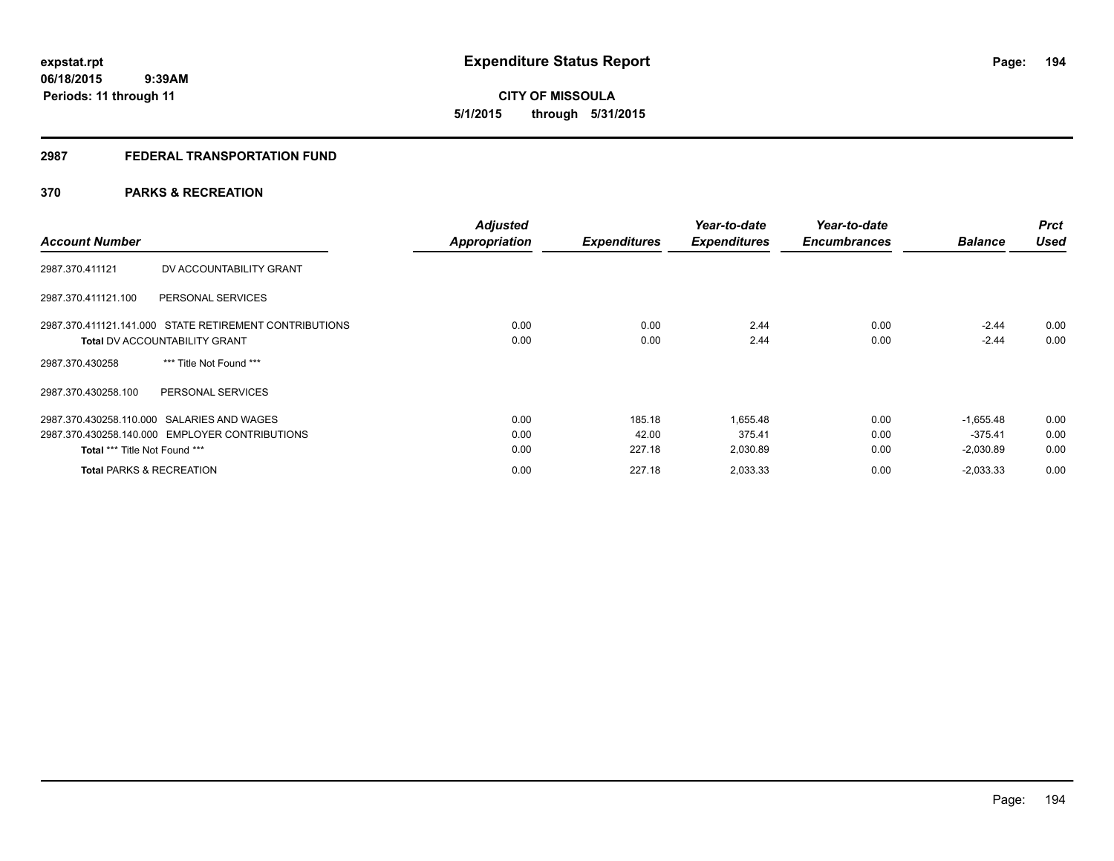**194**

**06/18/2015 9:39AM Periods: 11 through 11**

# **CITY OF MISSOULA 5/1/2015 through 5/31/2015**

# **2987 FEDERAL TRANSPORTATION FUND**

# **370 PARKS & RECREATION**

| <b>Account Number</b>                                                                          | <b>Adjusted</b><br><b>Appropriation</b> | <b>Expenditures</b> | Year-to-date<br><b>Expenditures</b> | Year-to-date<br><b>Encumbrances</b> | <b>Balance</b>     | <b>Prct</b><br><b>Used</b> |
|------------------------------------------------------------------------------------------------|-----------------------------------------|---------------------|-------------------------------------|-------------------------------------|--------------------|----------------------------|
| 2987.370.411121<br>DV ACCOUNTABILITY GRANT                                                     |                                         |                     |                                     |                                     |                    |                            |
| PERSONAL SERVICES<br>2987.370.411121.100                                                       |                                         |                     |                                     |                                     |                    |                            |
| 2987.370.411121.141.000 STATE RETIREMENT CONTRIBUTIONS<br><b>Total DV ACCOUNTABILITY GRANT</b> | 0.00<br>0.00                            | 0.00<br>0.00        | 2.44<br>2.44                        | 0.00<br>0.00                        | $-2.44$<br>$-2.44$ | 0.00<br>0.00               |
| *** Title Not Found ***<br>2987.370.430258                                                     |                                         |                     |                                     |                                     |                    |                            |
| 2987.370.430258.100<br>PERSONAL SERVICES                                                       |                                         |                     |                                     |                                     |                    |                            |
| 2987.370.430258.110.000 SALARIES AND WAGES                                                     | 0.00                                    | 185.18              | 1,655.48                            | 0.00                                | $-1.655.48$        | 0.00                       |
| 2987.370.430258.140.000 EMPLOYER CONTRIBUTIONS                                                 | 0.00                                    | 42.00               | 375.41                              | 0.00                                | $-375.41$          | 0.00                       |
| <b>Total *** Title Not Found ***</b>                                                           | 0.00                                    | 227.18              | 2,030.89                            | 0.00                                | $-2,030.89$        | 0.00                       |
| <b>Total PARKS &amp; RECREATION</b>                                                            | 0.00                                    | 227.18              | 2,033.33                            | 0.00                                | $-2,033.33$        | 0.00                       |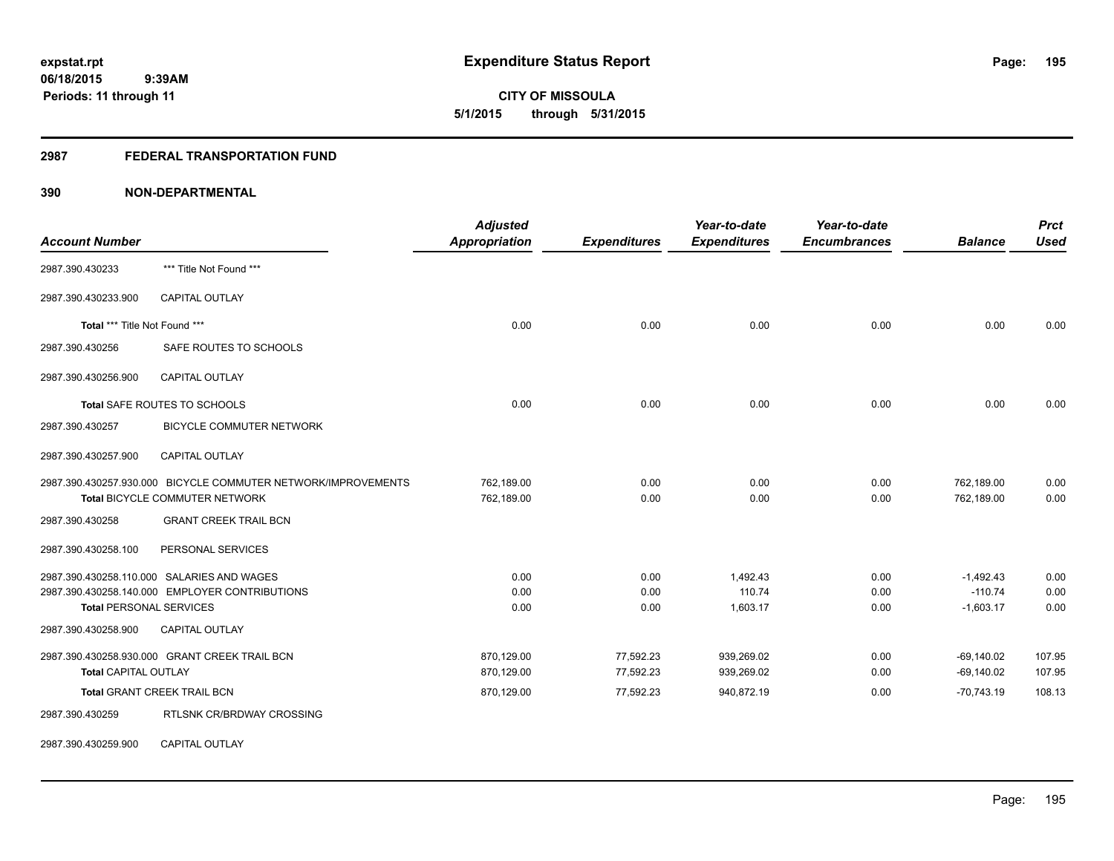# **2987 FEDERAL TRANSPORTATION FUND**

# **390 NON-DEPARTMENTAL**

| <b>Account Number</b>          |                                                                                                 | <b>Adjusted</b><br><b>Appropriation</b> | <b>Expenditures</b>    | Year-to-date<br><b>Expenditures</b> | Year-to-date<br><b>Encumbrances</b> | <b>Balance</b>                          | <b>Prct</b><br><b>Used</b> |
|--------------------------------|-------------------------------------------------------------------------------------------------|-----------------------------------------|------------------------|-------------------------------------|-------------------------------------|-----------------------------------------|----------------------------|
| 2987.390.430233                | *** Title Not Found ***                                                                         |                                         |                        |                                     |                                     |                                         |                            |
| 2987.390.430233.900            | <b>CAPITAL OUTLAY</b>                                                                           |                                         |                        |                                     |                                     |                                         |                            |
| Total *** Title Not Found ***  |                                                                                                 | 0.00                                    | 0.00                   | 0.00                                | 0.00                                | 0.00                                    | 0.00                       |
| 2987.390.430256                | SAFE ROUTES TO SCHOOLS                                                                          |                                         |                        |                                     |                                     |                                         |                            |
| 2987.390.430256.900            | <b>CAPITAL OUTLAY</b>                                                                           |                                         |                        |                                     |                                     |                                         |                            |
|                                | Total SAFE ROUTES TO SCHOOLS                                                                    | 0.00                                    | 0.00                   | 0.00                                | 0.00                                | 0.00                                    | 0.00                       |
| 2987.390.430257                | <b>BICYCLE COMMUTER NETWORK</b>                                                                 |                                         |                        |                                     |                                     |                                         |                            |
| 2987.390.430257.900            | CAPITAL OUTLAY                                                                                  |                                         |                        |                                     |                                     |                                         |                            |
|                                | 2987.390.430257.930.000 BICYCLE COMMUTER NETWORK/IMPROVEMENTS<br>Total BICYCLE COMMUTER NETWORK | 762,189.00<br>762,189.00                | 0.00<br>0.00           | 0.00<br>0.00                        | 0.00<br>0.00                        | 762,189.00<br>762,189.00                | 0.00<br>0.00               |
| 2987.390.430258                | <b>GRANT CREEK TRAIL BCN</b>                                                                    |                                         |                        |                                     |                                     |                                         |                            |
| 2987.390.430258.100            | PERSONAL SERVICES                                                                               |                                         |                        |                                     |                                     |                                         |                            |
| <b>Total PERSONAL SERVICES</b> | 2987.390.430258.110.000 SALARIES AND WAGES<br>2987.390.430258.140.000 EMPLOYER CONTRIBUTIONS    | 0.00<br>0.00<br>0.00                    | 0.00<br>0.00<br>0.00   | 1,492.43<br>110.74<br>1,603.17      | 0.00<br>0.00<br>0.00                | $-1,492.43$<br>$-110.74$<br>$-1,603.17$ | 0.00<br>0.00<br>0.00       |
| 2987.390.430258.900            | CAPITAL OUTLAY                                                                                  |                                         |                        |                                     |                                     |                                         |                            |
| <b>Total CAPITAL OUTLAY</b>    | 2987.390.430258.930.000 GRANT CREEK TRAIL BCN                                                   | 870,129.00<br>870,129.00                | 77,592.23<br>77,592.23 | 939,269.02<br>939,269.02            | 0.00<br>0.00                        | $-69,140.02$<br>$-69,140.02$            | 107.95<br>107.95           |
|                                | <b>Total GRANT CREEK TRAIL BCN</b>                                                              | 870,129.00                              | 77,592.23              | 940,872.19                          | 0.00                                | $-70,743.19$                            | 108.13                     |
| 2987.390.430259                | RTLSNK CR/BRDWAY CROSSING                                                                       |                                         |                        |                                     |                                     |                                         |                            |

2987.390.430259.900 CAPITAL OUTLAY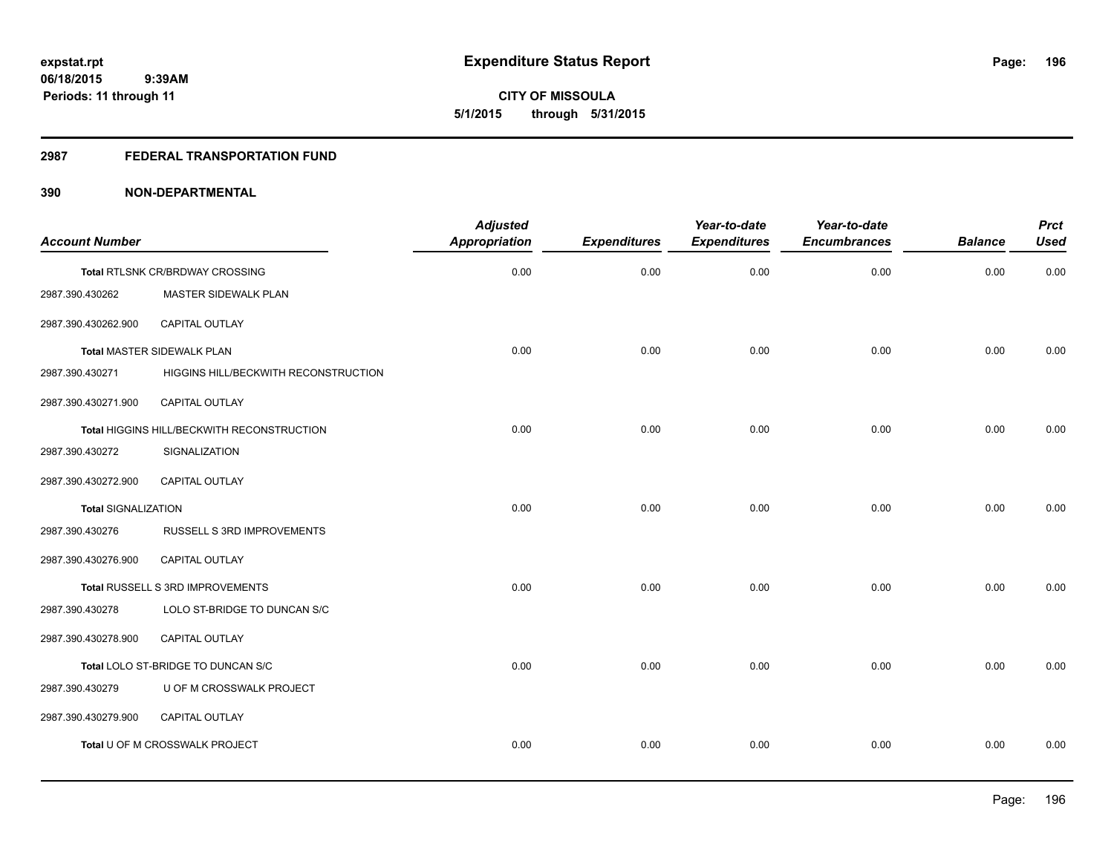#### **2987 FEDERAL TRANSPORTATION FUND**

| <b>Account Number</b>      |                                            | <b>Adjusted</b><br><b>Appropriation</b> | <b>Expenditures</b> | Year-to-date<br><b>Expenditures</b> | Year-to-date<br><b>Encumbrances</b> | <b>Balance</b> | <b>Prct</b><br><b>Used</b> |
|----------------------------|--------------------------------------------|-----------------------------------------|---------------------|-------------------------------------|-------------------------------------|----------------|----------------------------|
|                            | Total RTLSNK CR/BRDWAY CROSSING            | 0.00                                    | 0.00                | 0.00                                | 0.00                                | 0.00           | 0.00                       |
| 2987.390.430262            | MASTER SIDEWALK PLAN                       |                                         |                     |                                     |                                     |                |                            |
| 2987.390.430262.900        | CAPITAL OUTLAY                             |                                         |                     |                                     |                                     |                |                            |
|                            | Total MASTER SIDEWALK PLAN                 | 0.00                                    | 0.00                | 0.00                                | 0.00                                | 0.00           | 0.00                       |
| 2987.390.430271            | HIGGINS HILL/BECKWITH RECONSTRUCTION       |                                         |                     |                                     |                                     |                |                            |
| 2987.390.430271.900        | <b>CAPITAL OUTLAY</b>                      |                                         |                     |                                     |                                     |                |                            |
|                            | Total HIGGINS HILL/BECKWITH RECONSTRUCTION | 0.00                                    | 0.00                | 0.00                                | 0.00                                | 0.00           | 0.00                       |
| 2987.390.430272            | SIGNALIZATION                              |                                         |                     |                                     |                                     |                |                            |
| 2987.390.430272.900        | <b>CAPITAL OUTLAY</b>                      |                                         |                     |                                     |                                     |                |                            |
| <b>Total SIGNALIZATION</b> |                                            | 0.00                                    | 0.00                | 0.00                                | 0.00                                | 0.00           | 0.00                       |
| 2987.390.430276            | RUSSELL S 3RD IMPROVEMENTS                 |                                         |                     |                                     |                                     |                |                            |
| 2987.390.430276.900        | CAPITAL OUTLAY                             |                                         |                     |                                     |                                     |                |                            |
|                            | Total RUSSELL S 3RD IMPROVEMENTS           | 0.00                                    | 0.00                | 0.00                                | 0.00                                | 0.00           | 0.00                       |
| 2987.390.430278            | LOLO ST-BRIDGE TO DUNCAN S/C               |                                         |                     |                                     |                                     |                |                            |
| 2987.390.430278.900        | <b>CAPITAL OUTLAY</b>                      |                                         |                     |                                     |                                     |                |                            |
|                            | Total LOLO ST-BRIDGE TO DUNCAN S/C         | 0.00                                    | 0.00                | 0.00                                | 0.00                                | 0.00           | 0.00                       |
| 2987.390.430279            | U OF M CROSSWALK PROJECT                   |                                         |                     |                                     |                                     |                |                            |
| 2987.390.430279.900        | CAPITAL OUTLAY                             |                                         |                     |                                     |                                     |                |                            |
|                            | Total U OF M CROSSWALK PROJECT             | 0.00                                    | 0.00                | 0.00                                | 0.00                                | 0.00           | 0.00                       |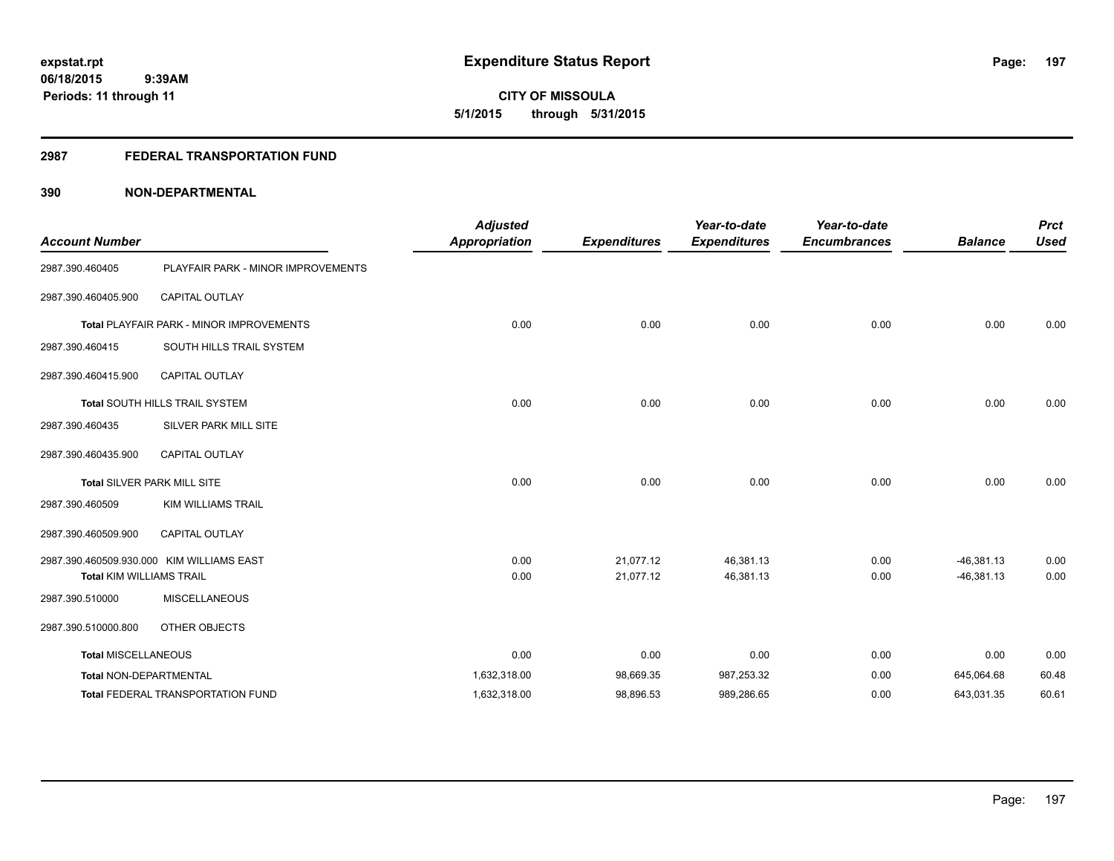**CITY OF MISSOULA 5/1/2015 through 5/31/2015**

# **2987 FEDERAL TRANSPORTATION FUND**

| <b>Account Number</b>           |                                                 | <b>Adjusted</b><br><b>Appropriation</b> | <b>Expenditures</b> | Year-to-date<br><b>Expenditures</b> | Year-to-date<br><b>Encumbrances</b> | <b>Balance</b> | <b>Prct</b><br><b>Used</b> |
|---------------------------------|-------------------------------------------------|-----------------------------------------|---------------------|-------------------------------------|-------------------------------------|----------------|----------------------------|
| 2987.390.460405                 | PLAYFAIR PARK - MINOR IMPROVEMENTS              |                                         |                     |                                     |                                     |                |                            |
| 2987.390.460405.900             | CAPITAL OUTLAY                                  |                                         |                     |                                     |                                     |                |                            |
|                                 | <b>Total PLAYFAIR PARK - MINOR IMPROVEMENTS</b> | 0.00                                    | 0.00                | 0.00                                | 0.00                                | 0.00           | 0.00                       |
| 2987.390.460415                 | SOUTH HILLS TRAIL SYSTEM                        |                                         |                     |                                     |                                     |                |                            |
| 2987.390.460415.900             | <b>CAPITAL OUTLAY</b>                           |                                         |                     |                                     |                                     |                |                            |
|                                 | Total SOUTH HILLS TRAIL SYSTEM                  | 0.00                                    | 0.00                | 0.00                                | 0.00                                | 0.00           | 0.00                       |
| 2987.390.460435                 | SILVER PARK MILL SITE                           |                                         |                     |                                     |                                     |                |                            |
| 2987.390.460435.900             | <b>CAPITAL OUTLAY</b>                           |                                         |                     |                                     |                                     |                |                            |
|                                 | Total SILVER PARK MILL SITE                     | 0.00                                    | 0.00                | 0.00                                | 0.00                                | 0.00           | 0.00                       |
| 2987.390.460509                 | <b>KIM WILLIAMS TRAIL</b>                       |                                         |                     |                                     |                                     |                |                            |
| 2987.390.460509.900             | CAPITAL OUTLAY                                  |                                         |                     |                                     |                                     |                |                            |
|                                 | 2987.390.460509.930.000 KIM WILLIAMS EAST       | 0.00                                    | 21.077.12           | 46,381.13                           | 0.00                                | $-46,381.13$   | 0.00                       |
| <b>Total KIM WILLIAMS TRAIL</b> |                                                 | 0.00                                    | 21,077.12           | 46,381.13                           | 0.00                                | $-46,381.13$   | 0.00                       |
| 2987.390.510000                 | <b>MISCELLANEOUS</b>                            |                                         |                     |                                     |                                     |                |                            |
| 2987.390.510000.800             | OTHER OBJECTS                                   |                                         |                     |                                     |                                     |                |                            |
| <b>Total MISCELLANEOUS</b>      |                                                 | 0.00                                    | 0.00                | 0.00                                | 0.00                                | 0.00           | 0.00                       |
| Total NON-DEPARTMENTAL          |                                                 | 1,632,318.00                            | 98,669.35           | 987,253.32                          | 0.00                                | 645,064.68     | 60.48                      |
|                                 | Total FEDERAL TRANSPORTATION FUND               | 1,632,318.00                            | 98,896.53           | 989,286.65                          | 0.00                                | 643,031.35     | 60.61                      |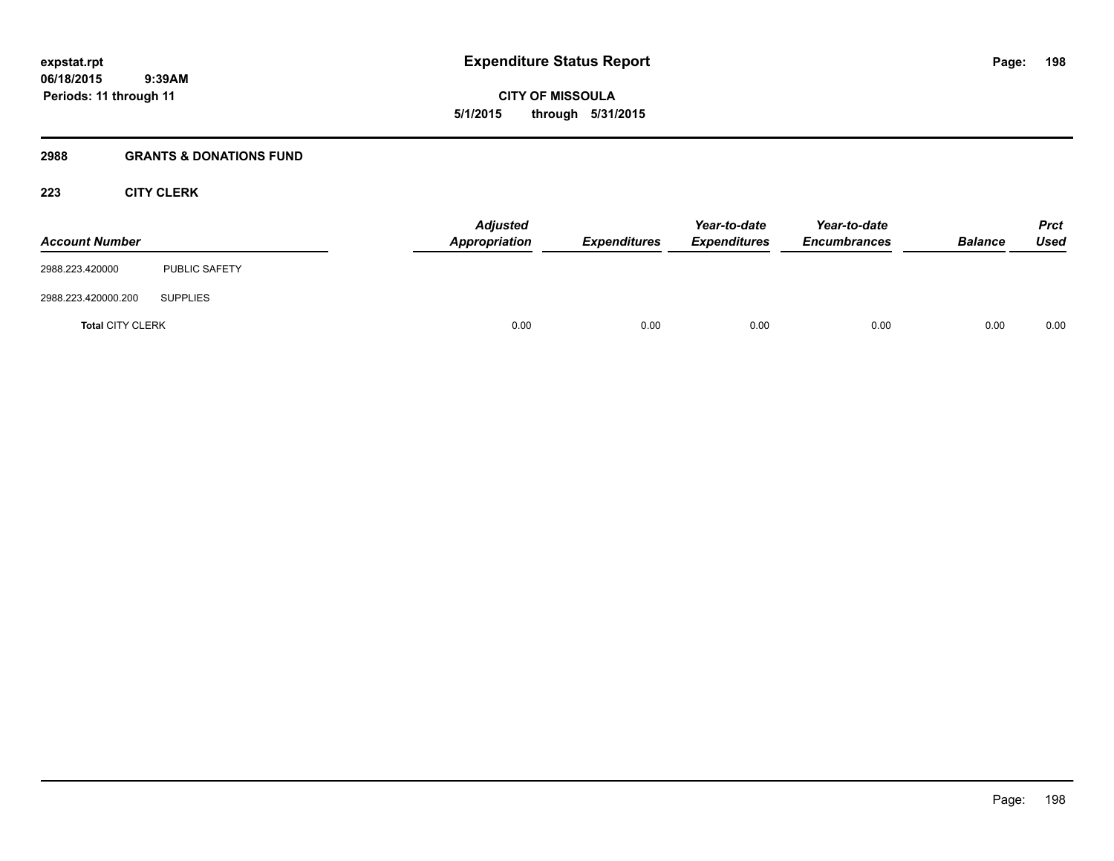# **2988 GRANTS & DONATIONS FUND**

# **223 CITY CLERK**

| <b>Account Number</b>   |                      | <b>Adjusted</b><br><b>Appropriation</b> | Expenditures | Year-to-date<br><b>Expenditures</b> | Year-to-date<br><b>Encumbrances</b> | <b>Balance</b> | <b>Prct</b><br>Used |
|-------------------------|----------------------|-----------------------------------------|--------------|-------------------------------------|-------------------------------------|----------------|---------------------|
| 2988.223.420000         | <b>PUBLIC SAFETY</b> |                                         |              |                                     |                                     |                |                     |
| 2988.223.420000.200     | <b>SUPPLIES</b>      |                                         |              |                                     |                                     |                |                     |
| <b>Total CITY CLERK</b> |                      | 0.00                                    | 0.00         | 0.00                                | 0.00                                | 0.00           | 0.00                |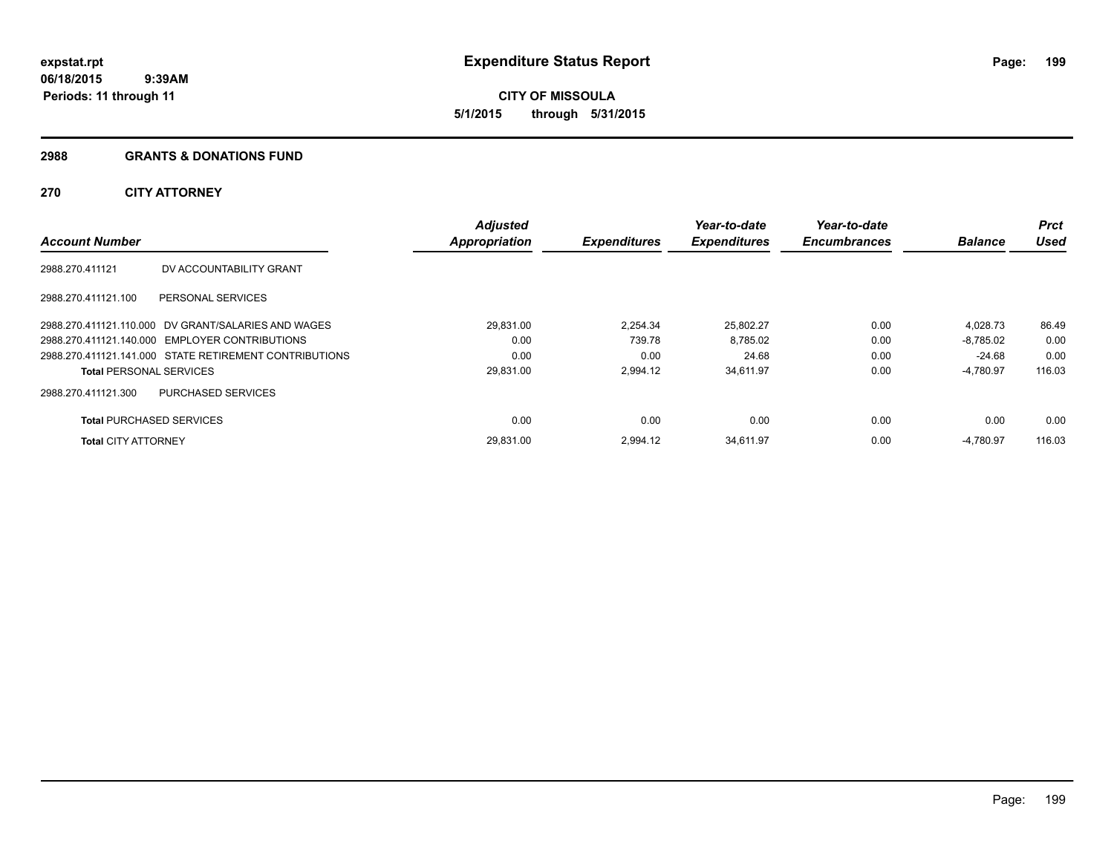#### **2988 GRANTS & DONATIONS FUND**

# **270 CITY ATTORNEY**

|                                 |                                                        | <b>Adjusted</b>      |                     | Year-to-date        | Year-to-date        |                | <b>Prct</b> |
|---------------------------------|--------------------------------------------------------|----------------------|---------------------|---------------------|---------------------|----------------|-------------|
| <b>Account Number</b>           |                                                        | <b>Appropriation</b> | <b>Expenditures</b> | <b>Expenditures</b> | <b>Encumbrances</b> | <b>Balance</b> | Used        |
| 2988.270.411121                 | DV ACCOUNTABILITY GRANT                                |                      |                     |                     |                     |                |             |
| 2988.270.411121.100             | PERSONAL SERVICES                                      |                      |                     |                     |                     |                |             |
|                                 | 2988.270.411121.110.000 DV GRANT/SALARIES AND WAGES    | 29,831.00            | 2.254.34            | 25,802.27           | 0.00                | 4,028.73       | 86.49       |
|                                 | 2988.270.411121.140.000 EMPLOYER CONTRIBUTIONS         | 0.00                 | 739.78              | 8,785.02            | 0.00                | $-8.785.02$    | 0.00        |
|                                 | 2988.270.411121.141.000 STATE RETIREMENT CONTRIBUTIONS | 0.00                 | 0.00                | 24.68               | 0.00                | -24.68         | 0.00        |
| <b>Total PERSONAL SERVICES</b>  |                                                        | 29,831.00            | 2,994.12            | 34,611.97           | 0.00                | $-4,780.97$    | 116.03      |
| 2988.270.411121.300             | <b>PURCHASED SERVICES</b>                              |                      |                     |                     |                     |                |             |
| <b>Total PURCHASED SERVICES</b> |                                                        | 0.00                 | 0.00                | 0.00                | 0.00                | 0.00           | 0.00        |
| <b>Total CITY ATTORNEY</b>      |                                                        | 29.831.00            | 2.994.12            | 34,611.97           | 0.00                | $-4,780.97$    | 116.03      |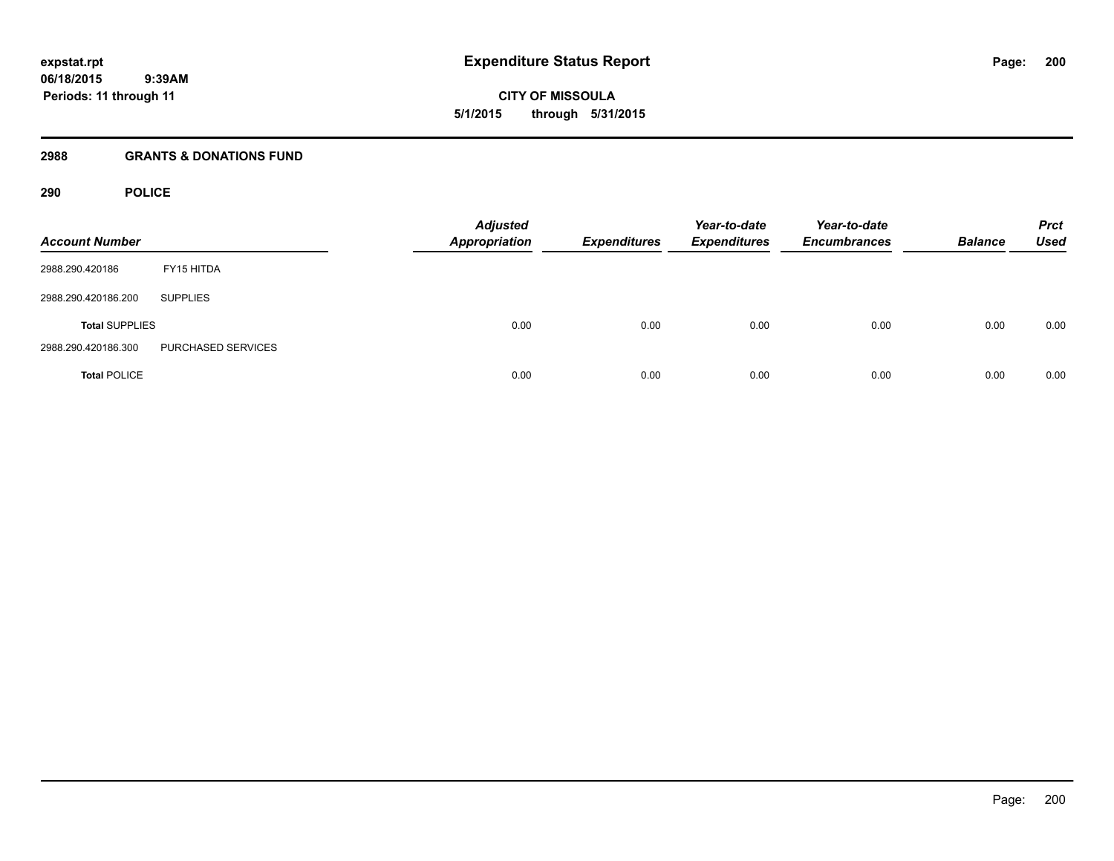**CITY OF MISSOULA 5/1/2015 through 5/31/2015**

#### **2988 GRANTS & DONATIONS FUND**

# **290 POLICE**

| <b>Account Number</b> |                    | <b>Adjusted</b><br><b>Appropriation</b> | <b>Expenditures</b> | Year-to-date<br><b>Expenditures</b> | Year-to-date<br><b>Encumbrances</b> | <b>Balance</b> | <b>Prct</b><br><b>Used</b> |
|-----------------------|--------------------|-----------------------------------------|---------------------|-------------------------------------|-------------------------------------|----------------|----------------------------|
| 2988.290.420186       | FY15 HITDA         |                                         |                     |                                     |                                     |                |                            |
| 2988.290.420186.200   | <b>SUPPLIES</b>    |                                         |                     |                                     |                                     |                |                            |
| <b>Total SUPPLIES</b> |                    | 0.00                                    | 0.00                | 0.00                                | 0.00                                | 0.00           | 0.00                       |
| 2988.290.420186.300   | PURCHASED SERVICES |                                         |                     |                                     |                                     |                |                            |
| <b>Total POLICE</b>   |                    | 0.00                                    | 0.00                | 0.00                                | 0.00                                | 0.00           | 0.00                       |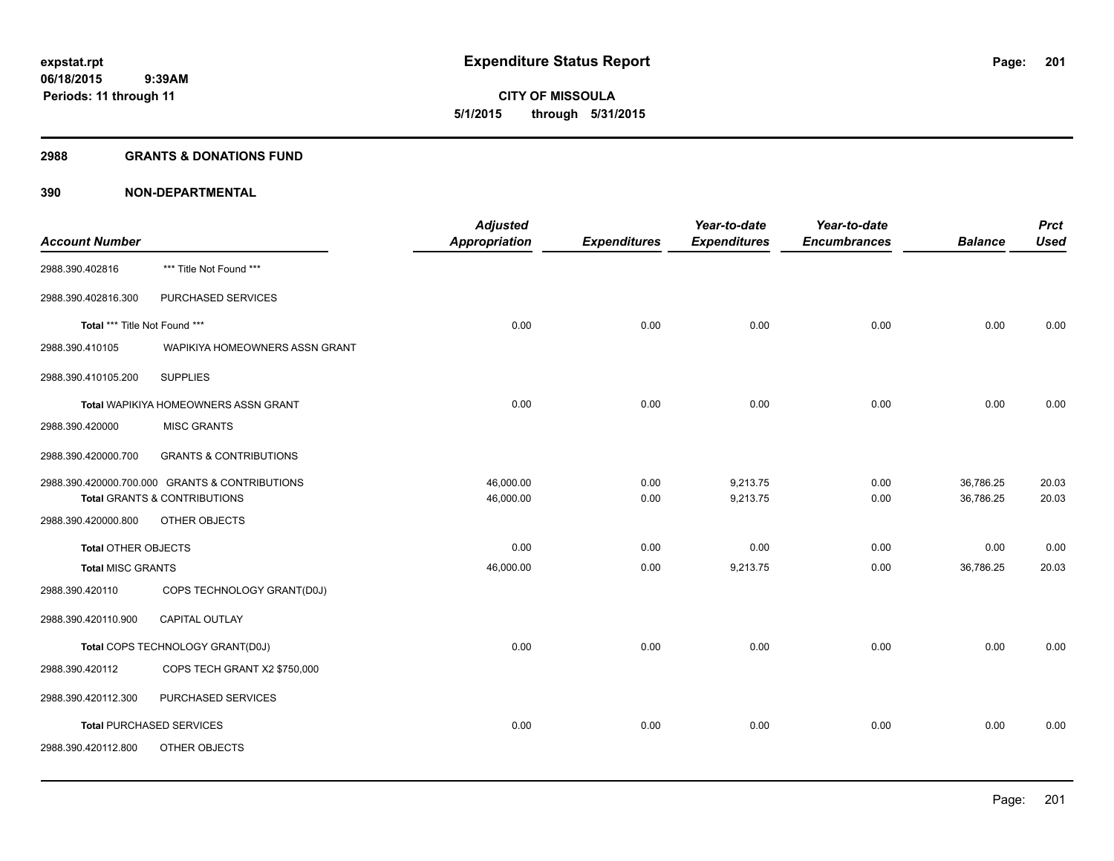**201**

**06/18/2015 9:39AM Periods: 11 through 11**

**CITY OF MISSOULA 5/1/2015 through 5/31/2015**

#### **2988 GRANTS & DONATIONS FUND**

|                               |                                                | <b>Adjusted</b> |                     | Year-to-date        | Year-to-date        |                | <b>Prct</b> |
|-------------------------------|------------------------------------------------|-----------------|---------------------|---------------------|---------------------|----------------|-------------|
| <b>Account Number</b>         |                                                | Appropriation   | <b>Expenditures</b> | <b>Expenditures</b> | <b>Encumbrances</b> | <b>Balance</b> | <b>Used</b> |
| 2988.390.402816               | *** Title Not Found ***                        |                 |                     |                     |                     |                |             |
| 2988.390.402816.300           | PURCHASED SERVICES                             |                 |                     |                     |                     |                |             |
| Total *** Title Not Found *** |                                                | 0.00            | 0.00                | 0.00                | 0.00                | 0.00           | 0.00        |
| 2988.390.410105               | WAPIKIYA HOMEOWNERS ASSN GRANT                 |                 |                     |                     |                     |                |             |
| 2988.390.410105.200           | <b>SUPPLIES</b>                                |                 |                     |                     |                     |                |             |
|                               | Total WAPIKIYA HOMEOWNERS ASSN GRANT           | 0.00            | 0.00                | 0.00                | 0.00                | 0.00           | 0.00        |
| 2988.390.420000               | <b>MISC GRANTS</b>                             |                 |                     |                     |                     |                |             |
| 2988.390.420000.700           | <b>GRANTS &amp; CONTRIBUTIONS</b>              |                 |                     |                     |                     |                |             |
|                               | 2988.390.420000.700.000 GRANTS & CONTRIBUTIONS | 46,000.00       | 0.00                | 9,213.75            | 0.00                | 36,786.25      | 20.03       |
|                               | Total GRANTS & CONTRIBUTIONS                   | 46,000.00       | 0.00                | 9,213.75            | 0.00                | 36,786.25      | 20.03       |
| 2988.390.420000.800           | OTHER OBJECTS                                  |                 |                     |                     |                     |                |             |
| <b>Total OTHER OBJECTS</b>    |                                                | 0.00            | 0.00                | 0.00                | 0.00                | 0.00           | 0.00        |
| <b>Total MISC GRANTS</b>      |                                                | 46,000.00       | 0.00                | 9,213.75            | 0.00                | 36,786.25      | 20.03       |
| 2988.390.420110               | COPS TECHNOLOGY GRANT(D0J)                     |                 |                     |                     |                     |                |             |
| 2988.390.420110.900           | <b>CAPITAL OUTLAY</b>                          |                 |                     |                     |                     |                |             |
|                               | Total COPS TECHNOLOGY GRANT(D0J)               | 0.00            | 0.00                | 0.00                | 0.00                | 0.00           | 0.00        |
| 2988.390.420112               | COPS TECH GRANT X2 \$750,000                   |                 |                     |                     |                     |                |             |
| 2988.390.420112.300           | PURCHASED SERVICES                             |                 |                     |                     |                     |                |             |
|                               | <b>Total PURCHASED SERVICES</b>                | 0.00            | 0.00                | 0.00                | 0.00                | 0.00           | 0.00        |
| 2988.390.420112.800           | OTHER OBJECTS                                  |                 |                     |                     |                     |                |             |
|                               |                                                |                 |                     |                     |                     |                |             |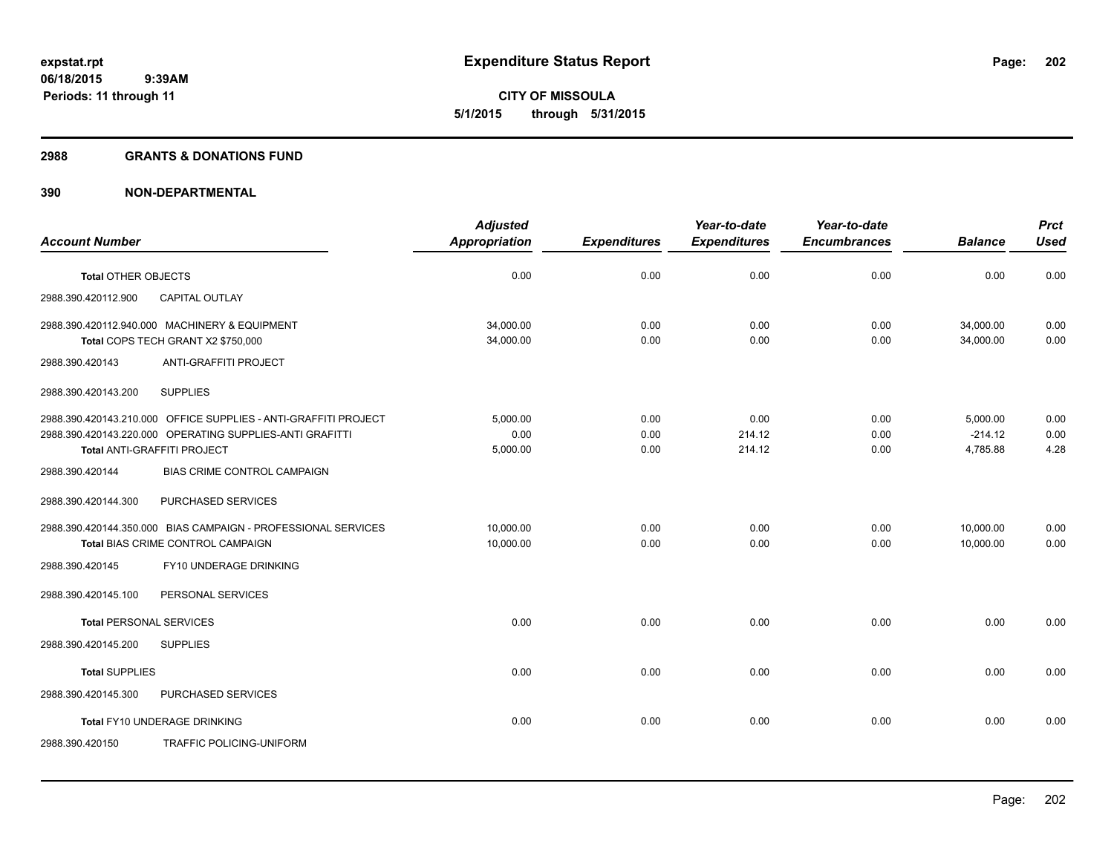#### **2988 GRANTS & DONATIONS FUND**

|                                |                                                                    | <b>Adjusted</b> |                     | Year-to-date        | Year-to-date        |                | <b>Prct</b> |
|--------------------------------|--------------------------------------------------------------------|-----------------|---------------------|---------------------|---------------------|----------------|-------------|
| <b>Account Number</b>          |                                                                    | Appropriation   | <b>Expenditures</b> | <b>Expenditures</b> | <b>Encumbrances</b> | <b>Balance</b> | <b>Used</b> |
| <b>Total OTHER OBJECTS</b>     |                                                                    | 0.00            | 0.00                | 0.00                | 0.00                | 0.00           | 0.00        |
| 2988.390.420112.900            | CAPITAL OUTLAY                                                     |                 |                     |                     |                     |                |             |
|                                | 2988.390.420112.940.000 MACHINERY & EQUIPMENT                      | 34.000.00       | 0.00                | 0.00                | 0.00                | 34,000.00      | 0.00        |
| 2988.390.420143                | Total COPS TECH GRANT X2 \$750,000<br><b>ANTI-GRAFFITI PROJECT</b> | 34,000.00       | 0.00                | 0.00                | 0.00                | 34,000.00      | 0.00        |
|                                |                                                                    |                 |                     |                     |                     |                |             |
| 2988.390.420143.200            | <b>SUPPLIES</b>                                                    |                 |                     |                     |                     |                |             |
|                                | 2988.390.420143.210.000 OFFICE SUPPLIES - ANTI-GRAFFITI PROJECT    | 5,000.00        | 0.00                | 0.00                | 0.00                | 5,000.00       | 0.00        |
|                                | 2988.390.420143.220.000 OPERATING SUPPLIES-ANTI GRAFITTI           | 0.00            | 0.00                | 214.12              | 0.00                | $-214.12$      | 0.00        |
|                                | Total ANTI-GRAFFITI PROJECT                                        | 5,000.00        | 0.00                | 214.12              | 0.00                | 4,785.88       | 4.28        |
| 2988.390.420144                | <b>BIAS CRIME CONTROL CAMPAIGN</b>                                 |                 |                     |                     |                     |                |             |
| 2988.390.420144.300            | PURCHASED SERVICES                                                 |                 |                     |                     |                     |                |             |
|                                | 2988.390.420144.350.000 BIAS CAMPAIGN - PROFESSIONAL SERVICES      | 10.000.00       | 0.00                | 0.00                | 0.00                | 10,000.00      | 0.00        |
|                                | Total BIAS CRIME CONTROL CAMPAIGN                                  | 10,000.00       | 0.00                | 0.00                | 0.00                | 10.000.00      | 0.00        |
| 2988.390.420145                | FY10 UNDERAGE DRINKING                                             |                 |                     |                     |                     |                |             |
| 2988.390.420145.100            | PERSONAL SERVICES                                                  |                 |                     |                     |                     |                |             |
| <b>Total PERSONAL SERVICES</b> |                                                                    | 0.00            | 0.00                | 0.00                | 0.00                | 0.00           | 0.00        |
| 2988.390.420145.200            | <b>SUPPLIES</b>                                                    |                 |                     |                     |                     |                |             |
| <b>Total SUPPLIES</b>          |                                                                    | 0.00            | 0.00                | 0.00                | 0.00                | 0.00           | 0.00        |
| 2988.390.420145.300            | PURCHASED SERVICES                                                 |                 |                     |                     |                     |                |             |
|                                | Total FY10 UNDERAGE DRINKING                                       | 0.00            | 0.00                | 0.00                | 0.00                | 0.00           | 0.00        |
| 2988.390.420150                | TRAFFIC POLICING-UNIFORM                                           |                 |                     |                     |                     |                |             |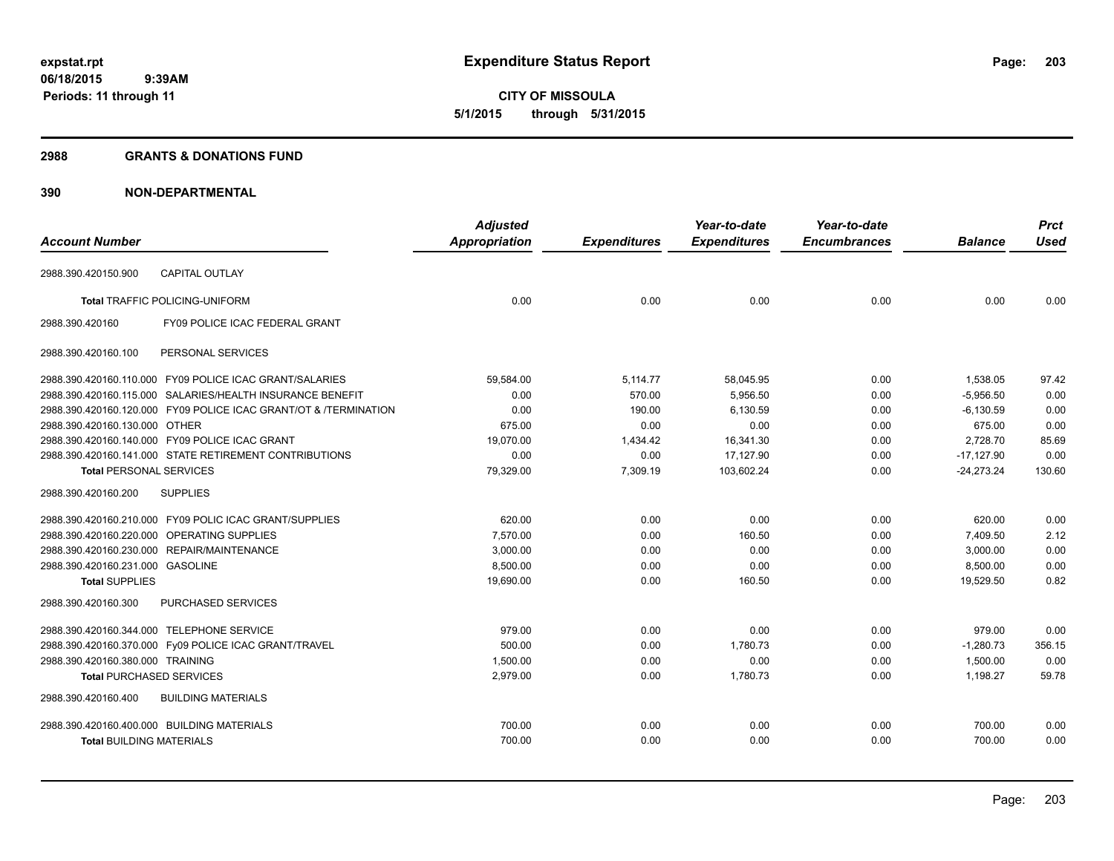#### **2988 GRANTS & DONATIONS FUND**

|                                            |                                                                  | <b>Adjusted</b>      |                     | Year-to-date        | Year-to-date        |                | <b>Prct</b> |
|--------------------------------------------|------------------------------------------------------------------|----------------------|---------------------|---------------------|---------------------|----------------|-------------|
| <b>Account Number</b>                      |                                                                  | <b>Appropriation</b> | <b>Expenditures</b> | <b>Expenditures</b> | <b>Encumbrances</b> | <b>Balance</b> | <b>Used</b> |
| 2988.390.420150.900                        | <b>CAPITAL OUTLAY</b>                                            |                      |                     |                     |                     |                |             |
|                                            | <b>Total TRAFFIC POLICING-UNIFORM</b>                            | 0.00                 | 0.00                | 0.00                | 0.00                | 0.00           | 0.00        |
| 2988.390.420160                            | FY09 POLICE ICAC FEDERAL GRANT                                   |                      |                     |                     |                     |                |             |
| 2988.390.420160.100                        | PERSONAL SERVICES                                                |                      |                     |                     |                     |                |             |
|                                            | 2988.390.420160.110.000 FY09 POLICE ICAC GRANT/SALARIES          | 59,584.00            | 5,114.77            | 58,045.95           | 0.00                | 1.538.05       | 97.42       |
|                                            | 2988.390.420160.115.000 SALARIES/HEALTH INSURANCE BENEFIT        | 0.00                 | 570.00              | 5,956.50            | 0.00                | $-5.956.50$    | 0.00        |
|                                            | 2988.390.420160.120.000 FY09 POLICE ICAC GRANT/OT & /TERMINATION | 0.00                 | 190.00              | 6,130.59            | 0.00                | $-6,130.59$    | 0.00        |
| 2988.390.420160.130.000 OTHER              |                                                                  | 675.00               | 0.00                | 0.00                | 0.00                | 675.00         | 0.00        |
|                                            | 2988.390.420160.140.000 FY09 POLICE ICAC GRANT                   | 19,070.00            | 1,434.42            | 16,341.30           | 0.00                | 2,728.70       | 85.69       |
|                                            | 2988.390.420160.141.000 STATE RETIREMENT CONTRIBUTIONS           | 0.00                 | 0.00                | 17,127.90           | 0.00                | $-17,127.90$   | 0.00        |
| <b>Total PERSONAL SERVICES</b>             |                                                                  | 79,329.00            | 7,309.19            | 103,602.24          | 0.00                | $-24,273.24$   | 130.60      |
| 2988.390.420160.200                        | <b>SUPPLIES</b>                                                  |                      |                     |                     |                     |                |             |
|                                            | 2988.390.420160.210.000 FY09 POLIC ICAC GRANT/SUPPLIES           | 620.00               | 0.00                | 0.00                | 0.00                | 620.00         | 0.00        |
| 2988.390.420160.220.000 OPERATING SUPPLIES |                                                                  | 7.570.00             | 0.00                | 160.50              | 0.00                | 7,409.50       | 2.12        |
|                                            | 2988.390.420160.230.000 REPAIR/MAINTENANCE                       | 3,000.00             | 0.00                | 0.00                | 0.00                | 3,000.00       | 0.00        |
| 2988.390.420160.231.000 GASOLINE           |                                                                  | 8,500.00             | 0.00                | 0.00                | 0.00                | 8,500.00       | 0.00        |
| <b>Total SUPPLIES</b>                      |                                                                  | 19,690.00            | 0.00                | 160.50              | 0.00                | 19.529.50      | 0.82        |
| 2988.390.420160.300                        | <b>PURCHASED SERVICES</b>                                        |                      |                     |                     |                     |                |             |
| 2988.390.420160.344.000 TELEPHONE SERVICE  |                                                                  | 979.00               | 0.00                | 0.00                | 0.00                | 979.00         | 0.00        |
|                                            | 2988.390.420160.370.000 Fy09 POLICE ICAC GRANT/TRAVEL            | 500.00               | 0.00                | 1,780.73            | 0.00                | $-1,280.73$    | 356.15      |
| 2988.390.420160.380.000 TRAINING           |                                                                  | 1,500.00             | 0.00                | 0.00                | 0.00                | 1,500.00       | 0.00        |
| <b>Total PURCHASED SERVICES</b>            |                                                                  | 2,979.00             | 0.00                | 1,780.73            | 0.00                | 1,198.27       | 59.78       |
| 2988.390.420160.400                        | <b>BUILDING MATERIALS</b>                                        |                      |                     |                     |                     |                |             |
| 2988.390.420160.400.000 BUILDING MATERIALS |                                                                  | 700.00               | 0.00                | 0.00                | 0.00                | 700.00         | 0.00        |
| <b>Total BUILDING MATERIALS</b>            |                                                                  | 700.00               | 0.00                | 0.00                | 0.00                | 700.00         | 0.00        |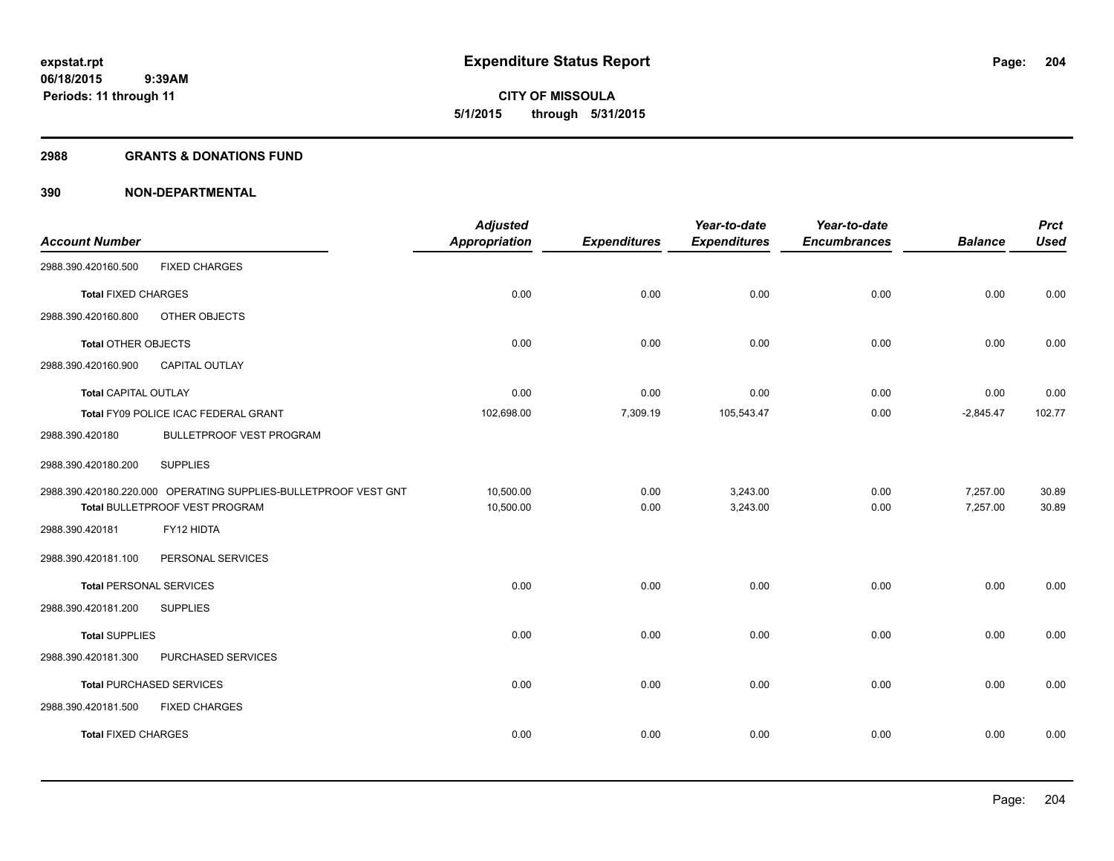**204**

**06/18/2015 9:39AM Periods: 11 through 11**

# **CITY OF MISSOULA 5/1/2015 through 5/31/2015**

#### **2988 GRANTS & DONATIONS FUND**

|                                |                                                                 | <b>Adjusted</b> |                     | Year-to-date        | Year-to-date        |                | <b>Prct</b> |
|--------------------------------|-----------------------------------------------------------------|-----------------|---------------------|---------------------|---------------------|----------------|-------------|
| <b>Account Number</b>          |                                                                 | Appropriation   | <b>Expenditures</b> | <b>Expenditures</b> | <b>Encumbrances</b> | <b>Balance</b> | <b>Used</b> |
| 2988.390.420160.500            | <b>FIXED CHARGES</b>                                            |                 |                     |                     |                     |                |             |
| <b>Total FIXED CHARGES</b>     |                                                                 | 0.00            | 0.00                | 0.00                | 0.00                | 0.00           | 0.00        |
| 2988.390.420160.800            | OTHER OBJECTS                                                   |                 |                     |                     |                     |                |             |
| Total OTHER OBJECTS            |                                                                 | 0.00            | 0.00                | 0.00                | 0.00                | 0.00           | 0.00        |
| 2988.390.420160.900            | <b>CAPITAL OUTLAY</b>                                           |                 |                     |                     |                     |                |             |
| <b>Total CAPITAL OUTLAY</b>    |                                                                 | 0.00            | 0.00                | 0.00                | 0.00                | 0.00           | 0.00        |
|                                | Total FY09 POLICE ICAC FEDERAL GRANT                            | 102,698.00      | 7,309.19            | 105,543.47          | 0.00                | $-2,845.47$    | 102.77      |
| 2988.390.420180                | <b>BULLETPROOF VEST PROGRAM</b>                                 |                 |                     |                     |                     |                |             |
| 2988.390.420180.200            | <b>SUPPLIES</b>                                                 |                 |                     |                     |                     |                |             |
|                                | 2988.390.420180.220.000 OPERATING SUPPLIES-BULLETPROOF VEST GNT | 10,500.00       | 0.00                | 3,243.00            | 0.00                | 7,257.00       | 30.89       |
|                                | Total BULLETPROOF VEST PROGRAM                                  | 10,500.00       | 0.00                | 3,243.00            | 0.00                | 7,257.00       | 30.89       |
| 2988.390.420181                | FY12 HIDTA                                                      |                 |                     |                     |                     |                |             |
| 2988.390.420181.100            | PERSONAL SERVICES                                               |                 |                     |                     |                     |                |             |
| <b>Total PERSONAL SERVICES</b> |                                                                 | 0.00            | 0.00                | 0.00                | 0.00                | 0.00           | 0.00        |
| 2988.390.420181.200            | <b>SUPPLIES</b>                                                 |                 |                     |                     |                     |                |             |
| <b>Total SUPPLIES</b>          |                                                                 | 0.00            | 0.00                | 0.00                | 0.00                | 0.00           | 0.00        |
| 2988.390.420181.300            | PURCHASED SERVICES                                              |                 |                     |                     |                     |                |             |
|                                | <b>Total PURCHASED SERVICES</b>                                 | 0.00            | 0.00                | 0.00                | 0.00                | 0.00           | 0.00        |
| 2988.390.420181.500            | <b>FIXED CHARGES</b>                                            |                 |                     |                     |                     |                |             |
| <b>Total FIXED CHARGES</b>     |                                                                 | 0.00            | 0.00                | 0.00                | 0.00                | 0.00           | 0.00        |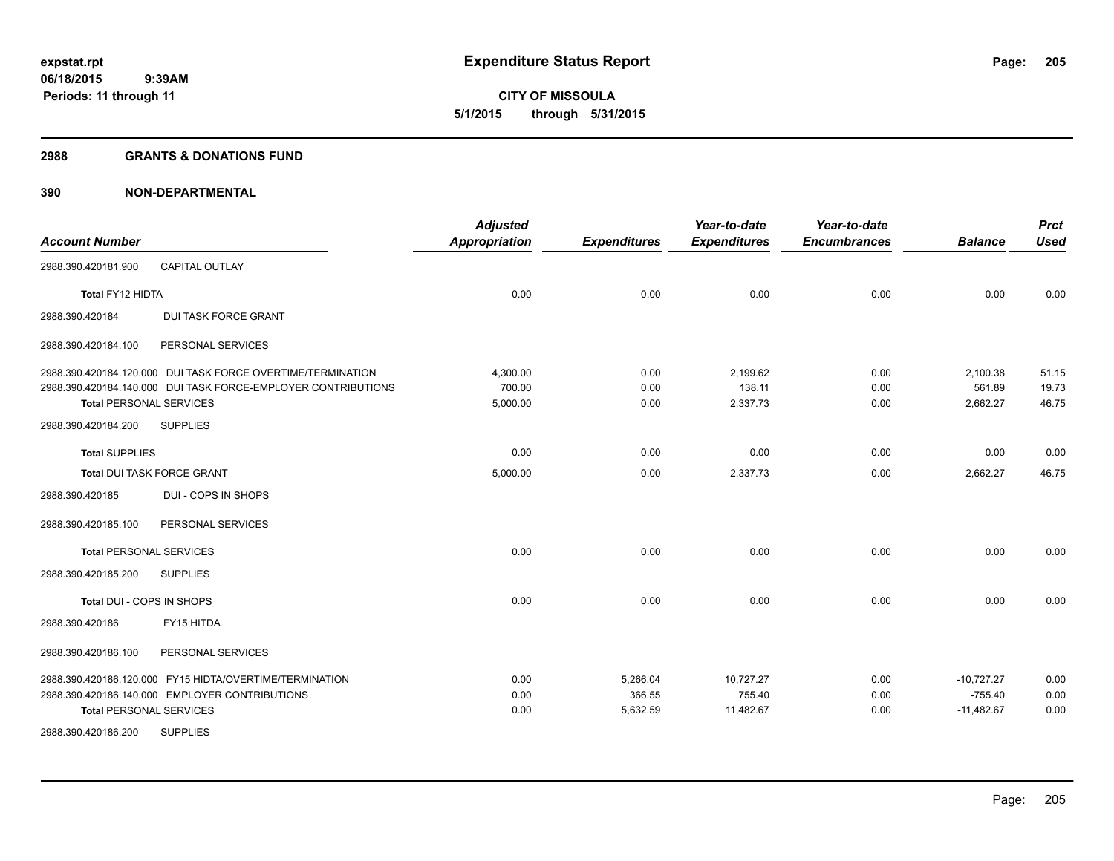#### **2988 GRANTS & DONATIONS FUND**

| <b>Account Number</b>          |                                                               | <b>Adjusted</b><br>Appropriation | <b>Expenditures</b> | Year-to-date<br><b>Expenditures</b> | Year-to-date<br><b>Encumbrances</b> | <b>Balance</b> | <b>Prct</b><br><b>Used</b> |
|--------------------------------|---------------------------------------------------------------|----------------------------------|---------------------|-------------------------------------|-------------------------------------|----------------|----------------------------|
| 2988.390.420181.900            | <b>CAPITAL OUTLAY</b>                                         |                                  |                     |                                     |                                     |                |                            |
| Total FY12 HIDTA               |                                                               | 0.00                             | 0.00                | 0.00                                | 0.00                                | 0.00           | 0.00                       |
| 2988.390.420184                | <b>DUI TASK FORCE GRANT</b>                                   |                                  |                     |                                     |                                     |                |                            |
| 2988.390.420184.100            | PERSONAL SERVICES                                             |                                  |                     |                                     |                                     |                |                            |
|                                | 2988.390.420184.120.000 DUI TASK FORCE OVERTIME/TERMINATION   | 4,300.00                         | 0.00                | 2,199.62                            | 0.00                                | 2,100.38       | 51.15                      |
|                                | 2988.390.420184.140.000 DUI TASK FORCE-EMPLOYER CONTRIBUTIONS | 700.00                           | 0.00                | 138.11                              | 0.00                                | 561.89         | 19.73                      |
| <b>Total PERSONAL SERVICES</b> |                                                               | 5,000.00                         | 0.00                | 2,337.73                            | 0.00                                | 2,662.27       | 46.75                      |
| 2988.390.420184.200            | <b>SUPPLIES</b>                                               |                                  |                     |                                     |                                     |                |                            |
| <b>Total SUPPLIES</b>          |                                                               | 0.00                             | 0.00                | 0.00                                | 0.00                                | 0.00           | 0.00                       |
| Total DUI TASK FORCE GRANT     |                                                               | 5,000.00                         | 0.00                | 2,337.73                            | 0.00                                | 2,662.27       | 46.75                      |
| 2988.390.420185                | DUI - COPS IN SHOPS                                           |                                  |                     |                                     |                                     |                |                            |
| 2988.390.420185.100            | PERSONAL SERVICES                                             |                                  |                     |                                     |                                     |                |                            |
| <b>Total PERSONAL SERVICES</b> |                                                               | 0.00                             | 0.00                | 0.00                                | 0.00                                | 0.00           | 0.00                       |
| 2988.390.420185.200            | <b>SUPPLIES</b>                                               |                                  |                     |                                     |                                     |                |                            |
| Total DUI - COPS IN SHOPS      |                                                               | 0.00                             | 0.00                | 0.00                                | 0.00                                | 0.00           | 0.00                       |
| 2988.390.420186                | FY15 HITDA                                                    |                                  |                     |                                     |                                     |                |                            |
| 2988.390.420186.100            | PERSONAL SERVICES                                             |                                  |                     |                                     |                                     |                |                            |
|                                | 2988.390.420186.120.000 FY15 HIDTA/OVERTIME/TERMINATION       | 0.00                             | 5,266.04            | 10,727.27                           | 0.00                                | $-10.727.27$   | 0.00                       |
|                                | 2988.390.420186.140.000 EMPLOYER CONTRIBUTIONS                | 0.00                             | 366.55              | 755.40                              | 0.00                                | $-755.40$      | 0.00                       |
| <b>Total PERSONAL SERVICES</b> |                                                               | 0.00                             | 5,632.59            | 11,482.67                           | 0.00                                | $-11,482.67$   | 0.00                       |
| 2988.390.420186.200            | <b>SUPPLIES</b>                                               |                                  |                     |                                     |                                     |                |                            |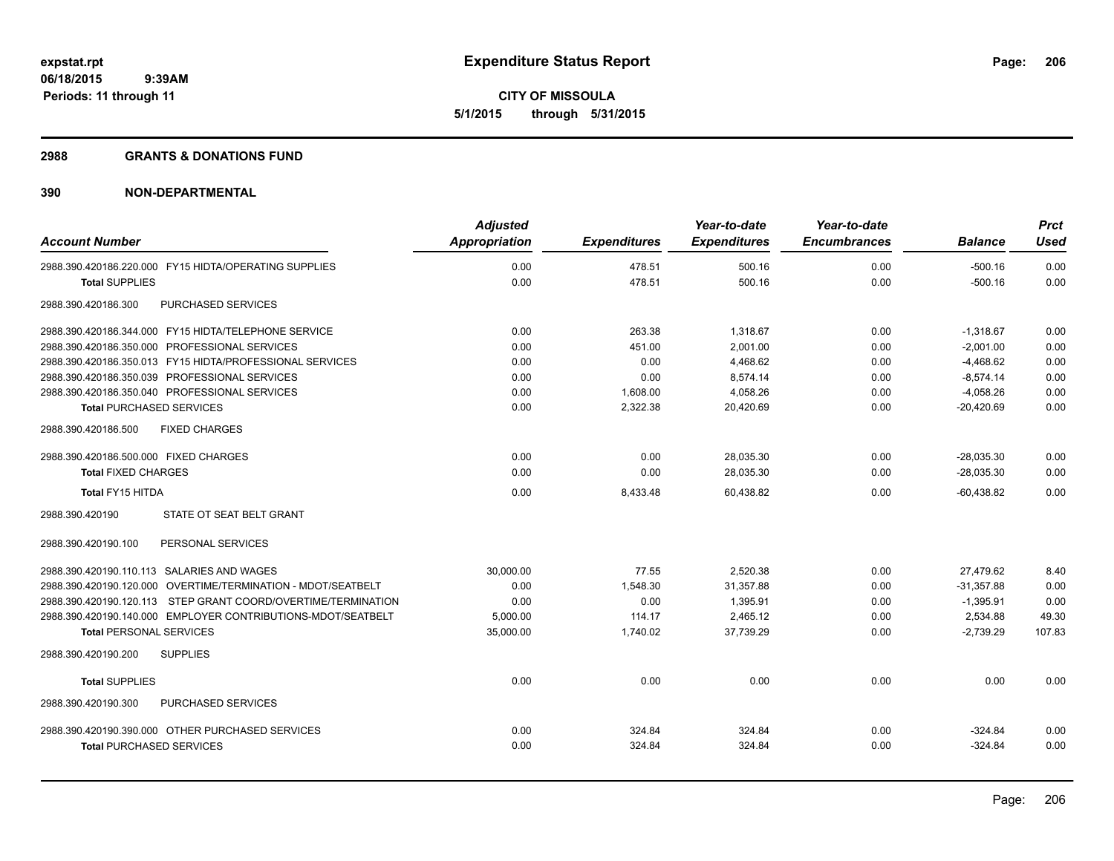#### **2988 GRANTS & DONATIONS FUND**

| <b>Account Number</b>                                            | <b>Adjusted</b><br><b>Appropriation</b> | <b>Expenditures</b> | Year-to-date<br><b>Expenditures</b> | Year-to-date<br><b>Encumbrances</b> | <b>Balance</b> | <b>Prct</b><br><b>Used</b> |
|------------------------------------------------------------------|-----------------------------------------|---------------------|-------------------------------------|-------------------------------------|----------------|----------------------------|
| 2988.390.420186.220.000 FY15 HIDTA/OPERATING SUPPLIES            | 0.00                                    | 478.51              | 500.16                              | 0.00                                | $-500.16$      | 0.00                       |
| <b>Total SUPPLIES</b>                                            | 0.00                                    | 478.51              | 500.16                              | 0.00                                | $-500.16$      | 0.00                       |
| PURCHASED SERVICES<br>2988.390.420186.300                        |                                         |                     |                                     |                                     |                |                            |
| 2988.390.420186.344.000 FY15 HIDTA/TELEPHONE SERVICE             | 0.00                                    | 263.38              | 1,318.67                            | 0.00                                | $-1,318.67$    | 0.00                       |
| 2988.390.420186.350.000 PROFESSIONAL SERVICES                    | 0.00                                    | 451.00              | 2,001.00                            | 0.00                                | $-2,001.00$    | 0.00                       |
| 2988.390.420186.350.013 FY15 HIDTA/PROFESSIONAL SERVICES         | 0.00                                    | 0.00                | 4,468.62                            | 0.00                                | $-4,468.62$    | 0.00                       |
| 2988.390.420186.350.039 PROFESSIONAL SERVICES                    | 0.00                                    | 0.00                | 8,574.14                            | 0.00                                | $-8,574.14$    | 0.00                       |
| 2988.390.420186.350.040 PROFESSIONAL SERVICES                    | 0.00                                    | 1,608.00            | 4,058.26                            | 0.00                                | $-4,058.26$    | 0.00                       |
| <b>Total PURCHASED SERVICES</b>                                  | 0.00                                    | 2,322.38            | 20,420.69                           | 0.00                                | $-20,420.69$   | 0.00                       |
| 2988.390.420186.500<br><b>FIXED CHARGES</b>                      |                                         |                     |                                     |                                     |                |                            |
| 2988.390.420186.500.000 FIXED CHARGES                            | 0.00                                    | 0.00                | 28,035.30                           | 0.00                                | $-28,035.30$   | 0.00                       |
| <b>Total FIXED CHARGES</b>                                       | 0.00                                    | 0.00                | 28,035.30                           | 0.00                                | $-28.035.30$   | 0.00                       |
| Total FY15 HITDA                                                 | 0.00                                    | 8,433.48            | 60,438.82                           | 0.00                                | $-60,438.82$   | 0.00                       |
| STATE OT SEAT BELT GRANT<br>2988.390.420190                      |                                         |                     |                                     |                                     |                |                            |
| 2988.390.420190.100<br>PERSONAL SERVICES                         |                                         |                     |                                     |                                     |                |                            |
| 2988.390.420190.110.113 SALARIES AND WAGES                       | 30,000.00                               | 77.55               | 2,520.38                            | 0.00                                | 27,479.62      | 8.40                       |
| 2988.390.420190.120.000 OVERTIME/TERMINATION - MDOT/SEATBELT     | 0.00                                    | 1,548.30            | 31.357.88                           | 0.00                                | $-31.357.88$   | 0.00                       |
| STEP GRANT COORD/OVERTIME/TERMINATION<br>2988.390.420190.120.113 | 0.00                                    | 0.00                | 1,395.91                            | 0.00                                | $-1,395.91$    | 0.00                       |
| 2988.390.420190.140.000 EMPLOYER CONTRIBUTIONS-MDOT/SEATBELT     | 5.000.00                                | 114.17              | 2.465.12                            | 0.00                                | 2.534.88       | 49.30                      |
| <b>Total PERSONAL SERVICES</b>                                   | 35,000.00                               | 1,740.02            | 37,739.29                           | 0.00                                | $-2,739.29$    | 107.83                     |
| 2988.390.420190.200<br><b>SUPPLIES</b>                           |                                         |                     |                                     |                                     |                |                            |
| <b>Total SUPPLIES</b>                                            | 0.00                                    | 0.00                | 0.00                                | 0.00                                | 0.00           | 0.00                       |
| PURCHASED SERVICES<br>2988.390.420190.300                        |                                         |                     |                                     |                                     |                |                            |
| 2988.390.420190.390.000 OTHER PURCHASED SERVICES                 | 0.00                                    | 324.84              | 324.84                              | 0.00                                | $-324.84$      | 0.00                       |
| <b>Total PURCHASED SERVICES</b>                                  | 0.00                                    | 324.84              | 324.84                              | 0.00                                | $-324.84$      | 0.00                       |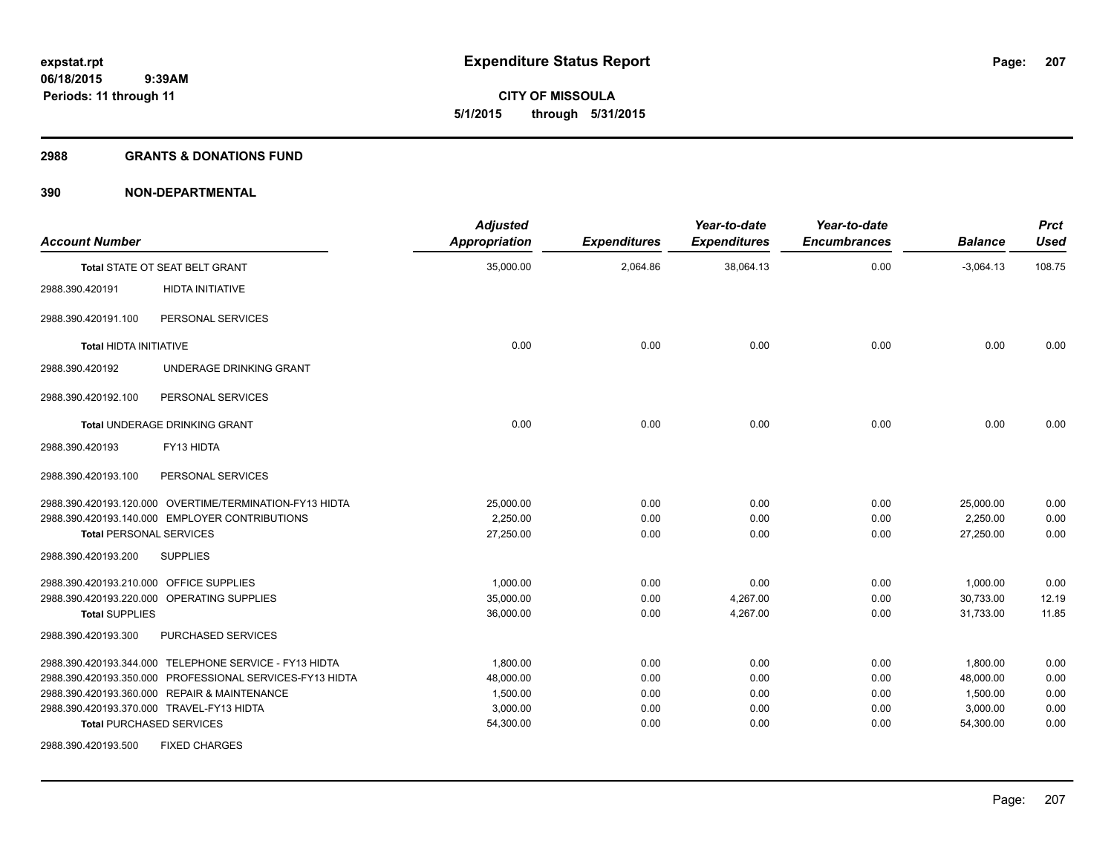#### **2988 GRANTS & DONATIONS FUND**

| <b>Account Number</b>                   |                                                          | <b>Adjusted</b><br><b>Appropriation</b> | <b>Expenditures</b> | Year-to-date<br><b>Expenditures</b> | Year-to-date<br><b>Encumbrances</b> | <b>Balance</b> | <b>Prct</b><br><b>Used</b> |
|-----------------------------------------|----------------------------------------------------------|-----------------------------------------|---------------------|-------------------------------------|-------------------------------------|----------------|----------------------------|
|                                         | Total STATE OT SEAT BELT GRANT                           | 35,000.00                               | 2,064.86            | 38,064.13                           | 0.00                                | $-3,064.13$    | 108.75                     |
| 2988.390.420191                         | <b>HIDTA INITIATIVE</b>                                  |                                         |                     |                                     |                                     |                |                            |
| 2988.390.420191.100                     | PERSONAL SERVICES                                        |                                         |                     |                                     |                                     |                |                            |
| <b>Total HIDTA INITIATIVE</b>           |                                                          | 0.00                                    | 0.00                | 0.00                                | 0.00                                | 0.00           | 0.00                       |
| 2988.390.420192                         | UNDERAGE DRINKING GRANT                                  |                                         |                     |                                     |                                     |                |                            |
| 2988.390.420192.100                     | PERSONAL SERVICES                                        |                                         |                     |                                     |                                     |                |                            |
|                                         | <b>Total UNDERAGE DRINKING GRANT</b>                     | 0.00                                    | 0.00                | 0.00                                | 0.00                                | 0.00           | 0.00                       |
| 2988.390.420193                         | FY13 HIDTA                                               |                                         |                     |                                     |                                     |                |                            |
| 2988.390.420193.100                     | PERSONAL SERVICES                                        |                                         |                     |                                     |                                     |                |                            |
|                                         | 2988.390.420193.120.000 OVERTIME/TERMINATION-FY13 HIDTA  | 25,000.00                               | 0.00                | 0.00                                | 0.00                                | 25,000.00      | 0.00                       |
|                                         | 2988.390.420193.140.000 EMPLOYER CONTRIBUTIONS           | 2,250.00                                | 0.00                | 0.00                                | 0.00                                | 2,250.00       | 0.00                       |
| <b>Total PERSONAL SERVICES</b>          |                                                          | 27,250.00                               | 0.00                | 0.00                                | 0.00                                | 27,250.00      | 0.00                       |
| 2988.390.420193.200                     | <b>SUPPLIES</b>                                          |                                         |                     |                                     |                                     |                |                            |
| 2988.390.420193.210.000 OFFICE SUPPLIES |                                                          | 1,000.00                                | 0.00                | 0.00                                | 0.00                                | 1,000.00       | 0.00                       |
|                                         | 2988.390.420193.220.000 OPERATING SUPPLIES               | 35,000.00                               | 0.00                | 4,267.00                            | 0.00                                | 30,733.00      | 12.19                      |
| <b>Total SUPPLIES</b>                   |                                                          | 36,000.00                               | 0.00                | 4,267.00                            | 0.00                                | 31,733.00      | 11.85                      |
| 2988.390.420193.300                     | PURCHASED SERVICES                                       |                                         |                     |                                     |                                     |                |                            |
|                                         | 2988.390.420193.344.000 TELEPHONE SERVICE - FY13 HIDTA   | 1,800.00                                | 0.00                | 0.00                                | 0.00                                | 1,800.00       | 0.00                       |
|                                         | 2988.390.420193.350.000 PROFESSIONAL SERVICES-FY13 HIDTA | 48,000.00                               | 0.00                | 0.00                                | 0.00                                | 48,000.00      | 0.00                       |
|                                         | 2988.390.420193.360.000 REPAIR & MAINTENANCE             | 1,500.00                                | 0.00                | 0.00                                | 0.00                                | 1,500.00       | 0.00                       |
|                                         | 2988.390.420193.370.000 TRAVEL-FY13 HIDTA                | 3,000.00                                | 0.00                | 0.00                                | 0.00                                | 3,000.00       | 0.00                       |
|                                         | <b>Total PURCHASED SERVICES</b>                          | 54,300.00                               | 0.00                | 0.00                                | 0.00                                | 54,300.00      | 0.00                       |
| 2988.390.420193.500                     | <b>FIXED CHARGES</b>                                     |                                         |                     |                                     |                                     |                |                            |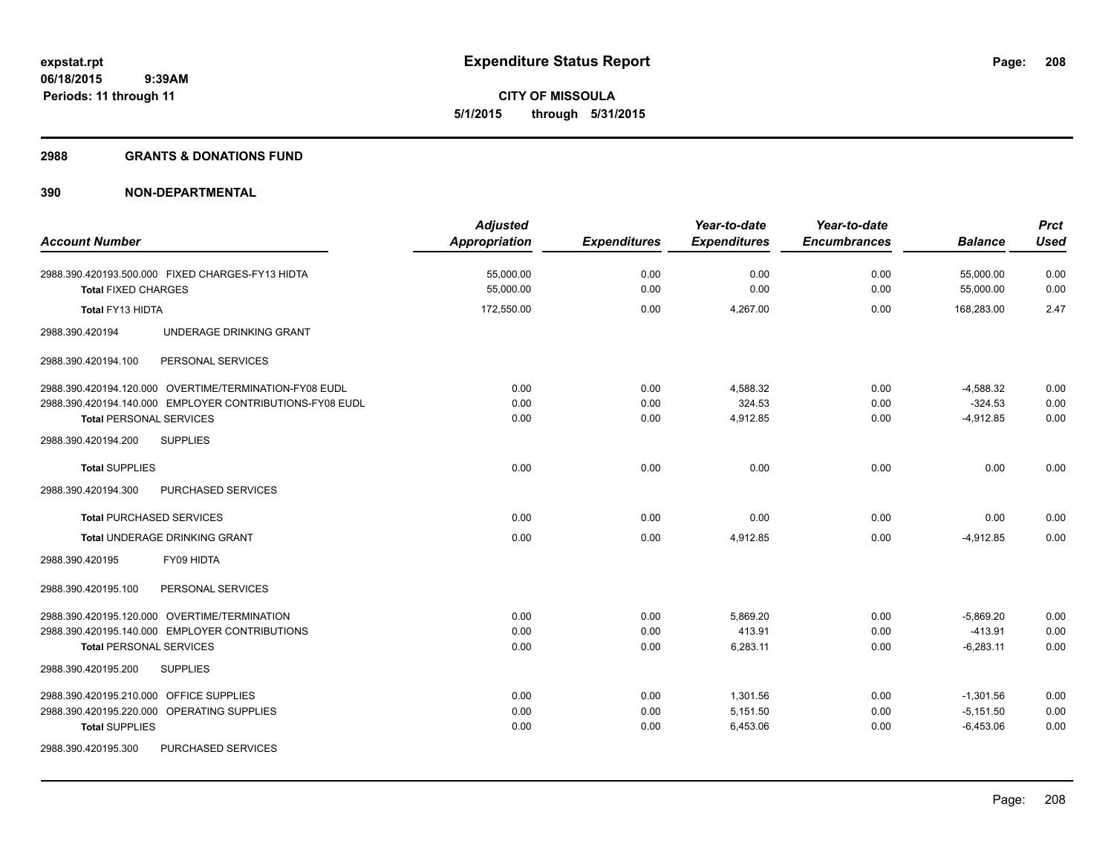**CITY OF MISSOULA 5/1/2015 through 5/31/2015**

#### **2988 GRANTS & DONATIONS FUND**

| <b>Account Number</b>                                    | <b>Adjusted</b>      |                     | Year-to-date        | Year-to-date<br><b>Encumbrances</b> | <b>Balance</b> | <b>Prct</b><br><b>Used</b> |
|----------------------------------------------------------|----------------------|---------------------|---------------------|-------------------------------------|----------------|----------------------------|
|                                                          | <b>Appropriation</b> | <b>Expenditures</b> | <b>Expenditures</b> |                                     |                |                            |
| 2988.390.420193.500.000 FIXED CHARGES-FY13 HIDTA         | 55,000.00            | 0.00                | 0.00                | 0.00                                | 55,000.00      | 0.00                       |
| <b>Total FIXED CHARGES</b>                               | 55,000.00            | 0.00                | 0.00                | 0.00                                | 55,000.00      | 0.00                       |
| Total FY13 HIDTA                                         | 172,550.00           | 0.00                | 4,267.00            | 0.00                                | 168.283.00     | 2.47                       |
| 2988.390.420194<br>UNDERAGE DRINKING GRANT               |                      |                     |                     |                                     |                |                            |
| 2988.390.420194.100<br>PERSONAL SERVICES                 |                      |                     |                     |                                     |                |                            |
| 2988.390.420194.120.000 OVERTIME/TERMINATION-FY08 EUDL   | 0.00                 | 0.00                | 4,588.32            | 0.00                                | $-4,588.32$    | 0.00                       |
| 2988.390.420194.140.000 EMPLOYER CONTRIBUTIONS-FY08 EUDL | 0.00                 | 0.00                | 324.53              | 0.00                                | $-324.53$      | 0.00                       |
| <b>Total PERSONAL SERVICES</b>                           | 0.00                 | 0.00                | 4,912.85            | 0.00                                | $-4,912.85$    | 0.00                       |
| <b>SUPPLIES</b><br>2988.390.420194.200                   |                      |                     |                     |                                     |                |                            |
| <b>Total SUPPLIES</b>                                    | 0.00                 | 0.00                | 0.00                | 0.00                                | 0.00           | 0.00                       |
| 2988.390.420194.300<br>PURCHASED SERVICES                |                      |                     |                     |                                     |                |                            |
| <b>Total PURCHASED SERVICES</b>                          | 0.00                 | 0.00                | 0.00                | 0.00                                | 0.00           | 0.00                       |
| Total UNDERAGE DRINKING GRANT                            | 0.00                 | 0.00                | 4,912.85            | 0.00                                | $-4,912.85$    | 0.00                       |
| 2988.390.420195<br>FY09 HIDTA                            |                      |                     |                     |                                     |                |                            |
| PERSONAL SERVICES<br>2988.390.420195.100                 |                      |                     |                     |                                     |                |                            |
| 2988.390.420195.120.000 OVERTIME/TERMINATION             | 0.00                 | 0.00                | 5,869.20            | 0.00                                | $-5,869.20$    | 0.00                       |
| 2988.390.420195.140.000 EMPLOYER CONTRIBUTIONS           | 0.00                 | 0.00                | 413.91              | 0.00                                | $-413.91$      | 0.00                       |
| <b>Total PERSONAL SERVICES</b>                           | 0.00                 | 0.00                | 6,283.11            | 0.00                                | $-6,283.11$    | 0.00                       |
| 2988.390.420195.200<br><b>SUPPLIES</b>                   |                      |                     |                     |                                     |                |                            |
| 2988.390.420195.210.000 OFFICE SUPPLIES                  | 0.00                 | 0.00                | 1,301.56            | 0.00                                | $-1,301.56$    | 0.00                       |
| 2988.390.420195.220.000 OPERATING SUPPLIES               | 0.00                 | 0.00                | 5,151.50            | 0.00                                | $-5,151.50$    | 0.00                       |
| <b>Total SUPPLIES</b>                                    | 0.00                 | 0.00                | 6,453.06            | 0.00                                | $-6,453.06$    | 0.00                       |
| 2988.390.420195.300<br>PURCHASED SERVICES                |                      |                     |                     |                                     |                |                            |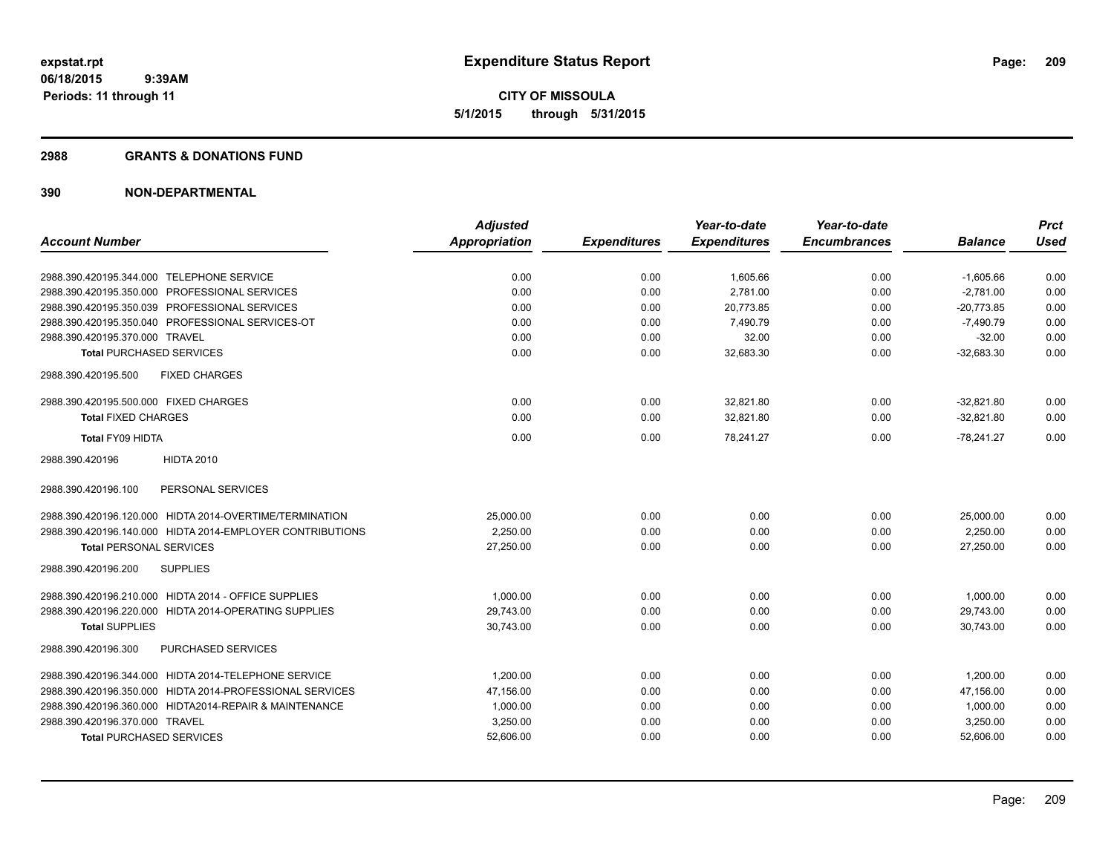**CITY OF MISSOULA 5/1/2015 through 5/31/2015**

#### **2988 GRANTS & DONATIONS FUND**

|                                                           | <b>Adjusted</b>      |                     | Year-to-date        | Year-to-date        |                | <b>Prct</b> |
|-----------------------------------------------------------|----------------------|---------------------|---------------------|---------------------|----------------|-------------|
| <b>Account Number</b>                                     | <b>Appropriation</b> | <b>Expenditures</b> | <b>Expenditures</b> | <b>Encumbrances</b> | <b>Balance</b> | <b>Used</b> |
| 2988.390.420195.344.000 TELEPHONE SERVICE                 | 0.00                 | 0.00                | 1,605.66            | 0.00                | $-1,605.66$    | 0.00        |
| 2988.390.420195.350.000 PROFESSIONAL SERVICES             | 0.00                 | 0.00                | 2,781.00            | 0.00                | $-2,781.00$    | 0.00        |
| 2988.390.420195.350.039 PROFESSIONAL SERVICES             | 0.00                 | 0.00                | 20.773.85           | 0.00                | $-20.773.85$   | 0.00        |
| 2988.390.420195.350.040 PROFESSIONAL SERVICES-OT          | 0.00                 | 0.00                | 7,490.79            | 0.00                | $-7,490.79$    | 0.00        |
| 2988.390.420195.370.000 TRAVEL                            | 0.00                 | 0.00                | 32.00               | 0.00                | $-32.00$       | 0.00        |
| <b>Total PURCHASED SERVICES</b>                           | 0.00                 | 0.00                | 32,683.30           | 0.00                | $-32,683.30$   | 0.00        |
| 2988.390.420195.500<br><b>FIXED CHARGES</b>               |                      |                     |                     |                     |                |             |
| 2988.390.420195.500.000 FIXED CHARGES                     | 0.00                 | 0.00                | 32,821.80           | 0.00                | $-32,821.80$   | 0.00        |
| <b>Total FIXED CHARGES</b>                                | 0.00                 | 0.00                | 32,821.80           | 0.00                | $-32.821.80$   | 0.00        |
| Total FY09 HIDTA                                          | 0.00                 | 0.00                | 78,241.27           | 0.00                | $-78,241.27$   | 0.00        |
| 2988.390.420196<br><b>HIDTA 2010</b>                      |                      |                     |                     |                     |                |             |
| PERSONAL SERVICES<br>2988.390.420196.100                  |                      |                     |                     |                     |                |             |
| 2988.390.420196.120.000 HIDTA 2014-OVERTIME/TERMINATION   | 25,000.00            | 0.00                | 0.00                | 0.00                | 25,000.00      | 0.00        |
| 2988.390.420196.140.000 HIDTA 2014-EMPLOYER CONTRIBUTIONS | 2,250.00             | 0.00                | 0.00                | 0.00                | 2,250.00       | 0.00        |
| <b>Total PERSONAL SERVICES</b>                            | 27,250.00            | 0.00                | 0.00                | 0.00                | 27,250.00      | 0.00        |
| <b>SUPPLIES</b><br>2988.390.420196.200                    |                      |                     |                     |                     |                |             |
| 2988.390.420196.210.000 HIDTA 2014 - OFFICE SUPPLIES      | 1.000.00             | 0.00                | 0.00                | 0.00                | 1,000.00       | 0.00        |
| 2988.390.420196.220.000 HIDTA 2014-OPERATING SUPPLIES     | 29,743.00            | 0.00                | 0.00                | 0.00                | 29,743.00      | 0.00        |
| <b>Total SUPPLIES</b>                                     | 30,743.00            | 0.00                | 0.00                | 0.00                | 30.743.00      | 0.00        |
| PURCHASED SERVICES<br>2988.390.420196.300                 |                      |                     |                     |                     |                |             |
| 2988.390.420196.344.000 HIDTA 2014-TELEPHONE SERVICE      | 1,200.00             | 0.00                | 0.00                | 0.00                | 1,200.00       | 0.00        |
| 2988.390.420196.350.000 HIDTA 2014-PROFESSIONAL SERVICES  | 47,156.00            | 0.00                | 0.00                | 0.00                | 47.156.00      | 0.00        |
| 2988.390.420196.360.000 HIDTA2014-REPAIR & MAINTENANCE    | 1,000.00             | 0.00                | 0.00                | 0.00                | 1,000.00       | 0.00        |
| 2988.390.420196.370.000 TRAVEL                            | 3,250.00             | 0.00                | 0.00                | 0.00                | 3,250.00       | 0.00        |
| <b>Total PURCHASED SERVICES</b>                           | 52,606.00            | 0.00                | 0.00                | 0.00                | 52,606.00      | 0.00        |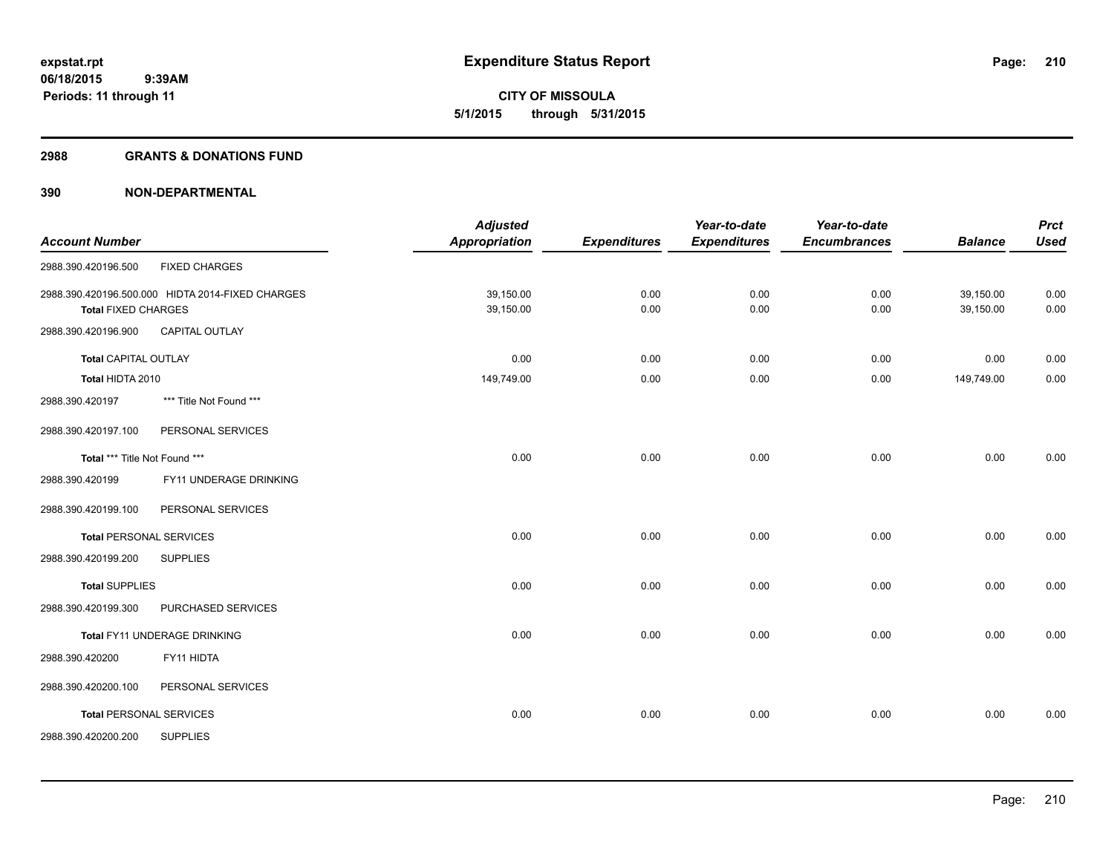**Periods: 11 through 11**

**CITY OF MISSOULA 5/1/2015 through 5/31/2015**

#### **2988 GRANTS & DONATIONS FUND**

 **9:39AM**

|                                |                                                  | <b>Adjusted</b>      |                     | Year-to-date        | Year-to-date        |                | <b>Prct</b> |
|--------------------------------|--------------------------------------------------|----------------------|---------------------|---------------------|---------------------|----------------|-------------|
| <b>Account Number</b>          |                                                  | <b>Appropriation</b> | <b>Expenditures</b> | <b>Expenditures</b> | <b>Encumbrances</b> | <b>Balance</b> | <b>Used</b> |
| 2988.390.420196.500            | <b>FIXED CHARGES</b>                             |                      |                     |                     |                     |                |             |
|                                | 2988.390.420196.500.000 HIDTA 2014-FIXED CHARGES | 39,150.00            | 0.00                | 0.00                | 0.00                | 39,150.00      | 0.00        |
| <b>Total FIXED CHARGES</b>     |                                                  | 39,150.00            | 0.00                | 0.00                | 0.00                | 39,150.00      | 0.00        |
| 2988.390.420196.900            | <b>CAPITAL OUTLAY</b>                            |                      |                     |                     |                     |                |             |
| <b>Total CAPITAL OUTLAY</b>    |                                                  | 0.00                 | 0.00                | 0.00                | 0.00                | 0.00           | 0.00        |
| Total HIDTA 2010               |                                                  | 149,749.00           | 0.00                | 0.00                | 0.00                | 149,749.00     | 0.00        |
| 2988.390.420197                | *** Title Not Found ***                          |                      |                     |                     |                     |                |             |
| 2988.390.420197.100            | PERSONAL SERVICES                                |                      |                     |                     |                     |                |             |
| Total *** Title Not Found ***  |                                                  | 0.00                 | 0.00                | 0.00                | 0.00                | 0.00           | 0.00        |
| 2988.390.420199                | FY11 UNDERAGE DRINKING                           |                      |                     |                     |                     |                |             |
| 2988.390.420199.100            | PERSONAL SERVICES                                |                      |                     |                     |                     |                |             |
| <b>Total PERSONAL SERVICES</b> |                                                  | 0.00                 | 0.00                | 0.00                | 0.00                | 0.00           | 0.00        |
| 2988.390.420199.200            | <b>SUPPLIES</b>                                  |                      |                     |                     |                     |                |             |
| <b>Total SUPPLIES</b>          |                                                  | 0.00                 | 0.00                | 0.00                | 0.00                | 0.00           | 0.00        |
| 2988.390.420199.300            | PURCHASED SERVICES                               |                      |                     |                     |                     |                |             |
|                                | Total FY11 UNDERAGE DRINKING                     | 0.00                 | 0.00                | 0.00                | 0.00                | 0.00           | 0.00        |
| 2988.390.420200                | FY11 HIDTA                                       |                      |                     |                     |                     |                |             |
| 2988.390.420200.100            | PERSONAL SERVICES                                |                      |                     |                     |                     |                |             |
| <b>Total PERSONAL SERVICES</b> |                                                  | 0.00                 | 0.00                | 0.00                | 0.00                | 0.00           | 0.00        |
| 2988.390.420200.200            | <b>SUPPLIES</b>                                  |                      |                     |                     |                     |                |             |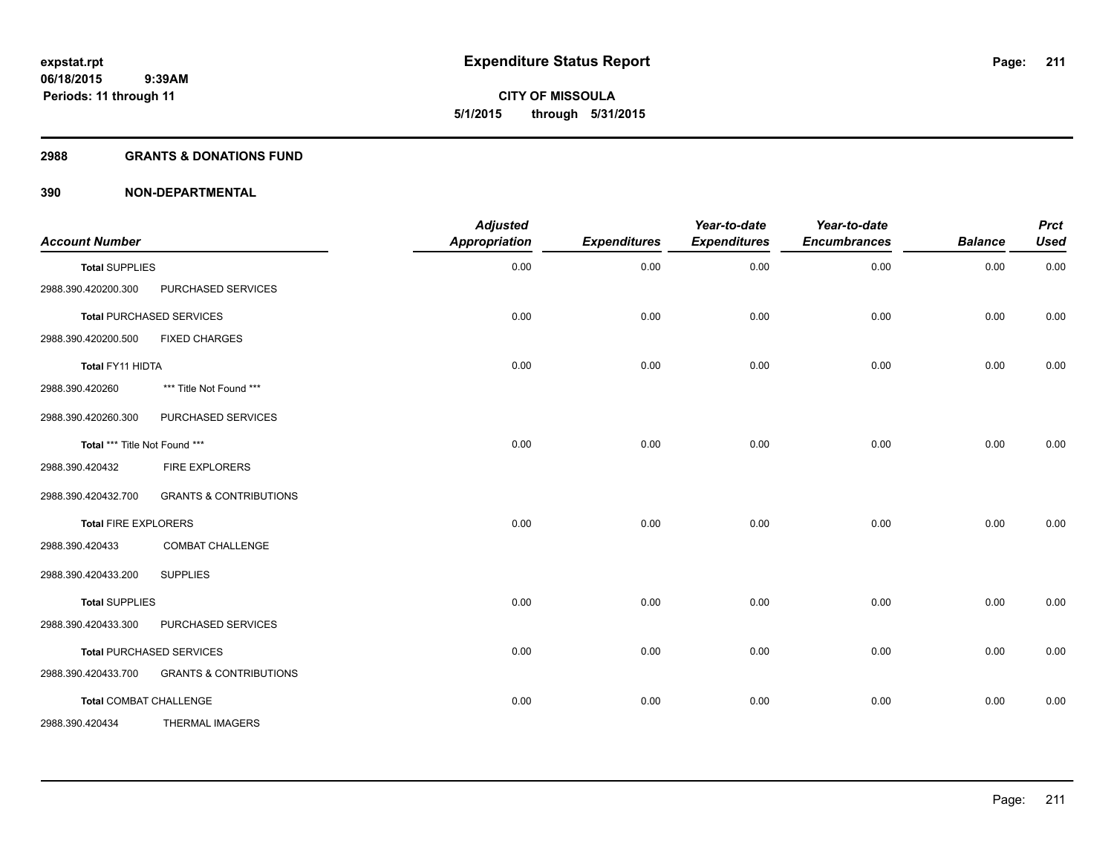**Periods: 11 through 11**

**CITY OF MISSOULA 5/1/2015 through 5/31/2015**

#### **2988 GRANTS & DONATIONS FUND**

 **9:39AM**

| <b>Account Number</b>         |                                   | <b>Adjusted</b><br>Appropriation | <b>Expenditures</b> | Year-to-date<br><b>Expenditures</b> | Year-to-date<br><b>Encumbrances</b> | <b>Balance</b> | <b>Prct</b><br><b>Used</b> |
|-------------------------------|-----------------------------------|----------------------------------|---------------------|-------------------------------------|-------------------------------------|----------------|----------------------------|
| <b>Total SUPPLIES</b>         |                                   | 0.00                             | 0.00                | 0.00                                | 0.00                                | 0.00           | 0.00                       |
| 2988.390.420200.300           | PURCHASED SERVICES                |                                  |                     |                                     |                                     |                |                            |
|                               | <b>Total PURCHASED SERVICES</b>   | 0.00                             | 0.00                | 0.00                                | 0.00                                | 0.00           | 0.00                       |
| 2988.390.420200.500           | <b>FIXED CHARGES</b>              |                                  |                     |                                     |                                     |                |                            |
| Total FY11 HIDTA              |                                   | 0.00                             | 0.00                | 0.00                                | 0.00                                | 0.00           | 0.00                       |
| 2988.390.420260               | *** Title Not Found ***           |                                  |                     |                                     |                                     |                |                            |
| 2988.390.420260.300           | PURCHASED SERVICES                |                                  |                     |                                     |                                     |                |                            |
| Total *** Title Not Found *** |                                   | 0.00                             | 0.00                | 0.00                                | 0.00                                | 0.00           | 0.00                       |
| 2988.390.420432               | <b>FIRE EXPLORERS</b>             |                                  |                     |                                     |                                     |                |                            |
| 2988.390.420432.700           | <b>GRANTS &amp; CONTRIBUTIONS</b> |                                  |                     |                                     |                                     |                |                            |
| <b>Total FIRE EXPLORERS</b>   |                                   | 0.00                             | 0.00                | 0.00                                | 0.00                                | 0.00           | 0.00                       |
| 2988.390.420433               | <b>COMBAT CHALLENGE</b>           |                                  |                     |                                     |                                     |                |                            |
| 2988.390.420433.200           | <b>SUPPLIES</b>                   |                                  |                     |                                     |                                     |                |                            |
| <b>Total SUPPLIES</b>         |                                   | 0.00                             | 0.00                | 0.00                                | 0.00                                | 0.00           | 0.00                       |
| 2988.390.420433.300           | PURCHASED SERVICES                |                                  |                     |                                     |                                     |                |                            |
|                               | <b>Total PURCHASED SERVICES</b>   | 0.00                             | 0.00                | 0.00                                | 0.00                                | 0.00           | 0.00                       |
| 2988.390.420433.700           | <b>GRANTS &amp; CONTRIBUTIONS</b> |                                  |                     |                                     |                                     |                |                            |
| <b>Total COMBAT CHALLENGE</b> |                                   | 0.00                             | 0.00                | 0.00                                | 0.00                                | 0.00           | 0.00                       |
| 2988.390.420434               | <b>THERMAL IMAGERS</b>            |                                  |                     |                                     |                                     |                |                            |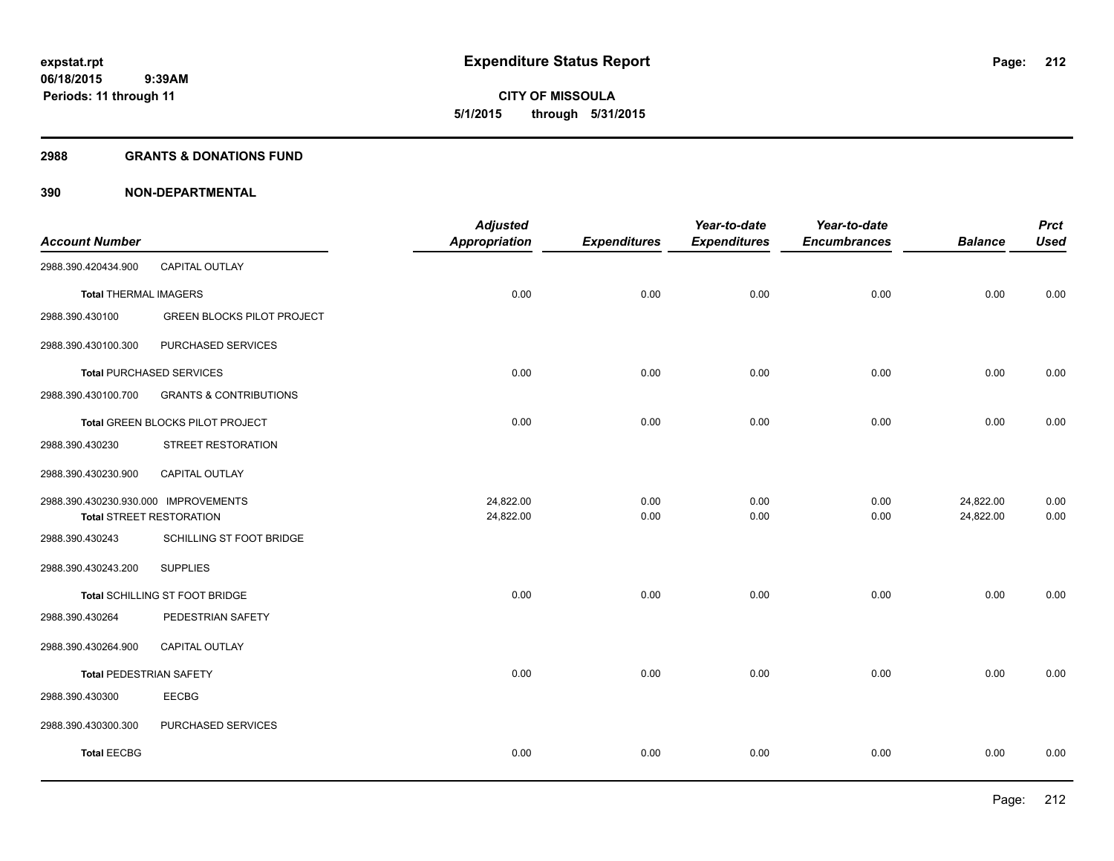**212**

**06/18/2015 9:39AM Periods: 11 through 11**

**CITY OF MISSOULA 5/1/2015 through 5/31/2015**

#### **2988 GRANTS & DONATIONS FUND**

| <b>CAPITAL OUTLAY</b><br>2988.390.420434.900<br>0.00<br>0.00<br>0.00<br>0.00<br><b>Total THERMAL IMAGERS</b><br><b>GREEN BLOCKS PILOT PROJECT</b><br>2988.390.430100<br>PURCHASED SERVICES<br>2988.390.430100.300<br>0.00<br>0.00<br>0.00<br>0.00<br><b>Total PURCHASED SERVICES</b><br><b>GRANTS &amp; CONTRIBUTIONS</b><br>2988.390.430100.700<br>0.00<br>0.00<br>0.00<br>0.00<br>Total GREEN BLOCKS PILOT PROJECT<br>2988.390.430230<br>STREET RESTORATION<br>2988.390.430230.900<br><b>CAPITAL OUTLAY</b><br>24,822.00<br>24,822.00<br>2988.390.430230.930.000 IMPROVEMENTS<br>0.00<br>0.00<br>0.00<br>24,822.00<br>0.00<br>0.00<br>24,822.00<br>0.00<br><b>Total STREET RESTORATION</b><br>SCHILLING ST FOOT BRIDGE<br>2988.390.430243 | <b>Prct</b><br><b>Used</b><br><b>Balance</b> |
|---------------------------------------------------------------------------------------------------------------------------------------------------------------------------------------------------------------------------------------------------------------------------------------------------------------------------------------------------------------------------------------------------------------------------------------------------------------------------------------------------------------------------------------------------------------------------------------------------------------------------------------------------------------------------------------------------------------------------------------------|----------------------------------------------|
|                                                                                                                                                                                                                                                                                                                                                                                                                                                                                                                                                                                                                                                                                                                                             |                                              |
|                                                                                                                                                                                                                                                                                                                                                                                                                                                                                                                                                                                                                                                                                                                                             | 0.00<br>0.00                                 |
|                                                                                                                                                                                                                                                                                                                                                                                                                                                                                                                                                                                                                                                                                                                                             |                                              |
|                                                                                                                                                                                                                                                                                                                                                                                                                                                                                                                                                                                                                                                                                                                                             |                                              |
|                                                                                                                                                                                                                                                                                                                                                                                                                                                                                                                                                                                                                                                                                                                                             | 0.00<br>0.00                                 |
|                                                                                                                                                                                                                                                                                                                                                                                                                                                                                                                                                                                                                                                                                                                                             |                                              |
|                                                                                                                                                                                                                                                                                                                                                                                                                                                                                                                                                                                                                                                                                                                                             | 0.00<br>0.00                                 |
|                                                                                                                                                                                                                                                                                                                                                                                                                                                                                                                                                                                                                                                                                                                                             |                                              |
|                                                                                                                                                                                                                                                                                                                                                                                                                                                                                                                                                                                                                                                                                                                                             |                                              |
|                                                                                                                                                                                                                                                                                                                                                                                                                                                                                                                                                                                                                                                                                                                                             | 0.00                                         |
|                                                                                                                                                                                                                                                                                                                                                                                                                                                                                                                                                                                                                                                                                                                                             | 0.00                                         |
|                                                                                                                                                                                                                                                                                                                                                                                                                                                                                                                                                                                                                                                                                                                                             |                                              |
| 2988.390.430243.200<br><b>SUPPLIES</b>                                                                                                                                                                                                                                                                                                                                                                                                                                                                                                                                                                                                                                                                                                      |                                              |
| 0.00<br>Total SCHILLING ST FOOT BRIDGE<br>0.00<br>0.00<br>0.00                                                                                                                                                                                                                                                                                                                                                                                                                                                                                                                                                                                                                                                                              | 0.00<br>0.00                                 |
| PEDESTRIAN SAFETY<br>2988.390.430264                                                                                                                                                                                                                                                                                                                                                                                                                                                                                                                                                                                                                                                                                                        |                                              |
| CAPITAL OUTLAY<br>2988.390.430264.900                                                                                                                                                                                                                                                                                                                                                                                                                                                                                                                                                                                                                                                                                                       |                                              |
| 0.00<br>0.00<br>0.00<br>0.00<br><b>Total PEDESTRIAN SAFETY</b>                                                                                                                                                                                                                                                                                                                                                                                                                                                                                                                                                                                                                                                                              | 0.00<br>0.00                                 |
| <b>EECBG</b><br>2988.390.430300                                                                                                                                                                                                                                                                                                                                                                                                                                                                                                                                                                                                                                                                                                             |                                              |
| 2988.390.430300.300<br>PURCHASED SERVICES                                                                                                                                                                                                                                                                                                                                                                                                                                                                                                                                                                                                                                                                                                   |                                              |
| <b>Total EECBG</b><br>0.00<br>0.00<br>0.00<br>0.00                                                                                                                                                                                                                                                                                                                                                                                                                                                                                                                                                                                                                                                                                          | 0.00<br>0.00                                 |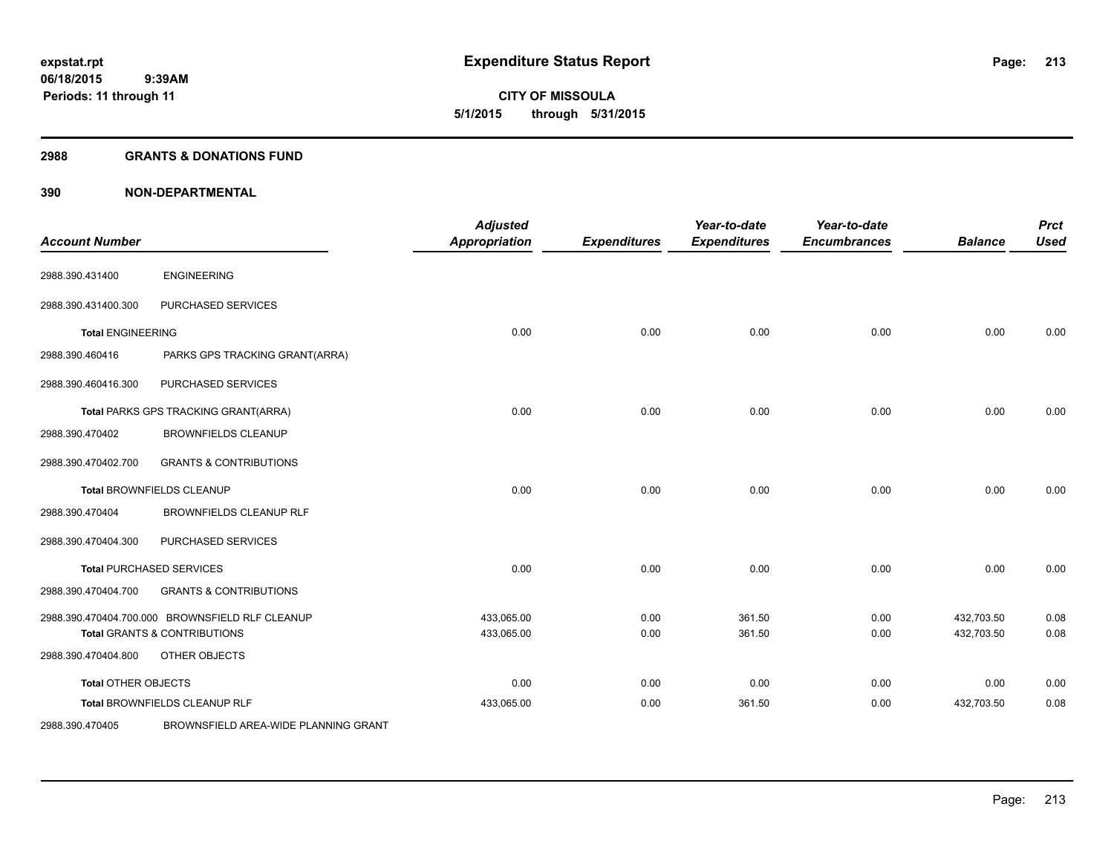#### **2988 GRANTS & DONATIONS FUND**

| <b>Account Number</b>    |                                                 | <b>Adjusted</b><br><b>Appropriation</b> | <b>Expenditures</b> | Year-to-date<br><b>Expenditures</b> | Year-to-date<br><b>Encumbrances</b> | <b>Balance</b> | <b>Prct</b><br><b>Used</b> |
|--------------------------|-------------------------------------------------|-----------------------------------------|---------------------|-------------------------------------|-------------------------------------|----------------|----------------------------|
| 2988.390.431400          | <b>ENGINEERING</b>                              |                                         |                     |                                     |                                     |                |                            |
| 2988.390.431400.300      | PURCHASED SERVICES                              |                                         |                     |                                     |                                     |                |                            |
| <b>Total ENGINEERING</b> |                                                 | 0.00                                    | 0.00                | 0.00                                | 0.00                                | 0.00           | 0.00                       |
| 2988.390.460416          | PARKS GPS TRACKING GRANT(ARRA)                  |                                         |                     |                                     |                                     |                |                            |
| 2988.390.460416.300      | PURCHASED SERVICES                              |                                         |                     |                                     |                                     |                |                            |
|                          | Total PARKS GPS TRACKING GRANT(ARRA)            | 0.00                                    | 0.00                | 0.00                                | 0.00                                | 0.00           | 0.00                       |
| 2988.390.470402          | <b>BROWNFIELDS CLEANUP</b>                      |                                         |                     |                                     |                                     |                |                            |
| 2988.390.470402.700      | <b>GRANTS &amp; CONTRIBUTIONS</b>               |                                         |                     |                                     |                                     |                |                            |
|                          | <b>Total BROWNFIELDS CLEANUP</b>                | 0.00                                    | 0.00                | 0.00                                | 0.00                                | 0.00           | 0.00                       |
| 2988.390.470404          | <b>BROWNFIELDS CLEANUP RLF</b>                  |                                         |                     |                                     |                                     |                |                            |
| 2988.390.470404.300      | PURCHASED SERVICES                              |                                         |                     |                                     |                                     |                |                            |
|                          | <b>Total PURCHASED SERVICES</b>                 | 0.00                                    | 0.00                | 0.00                                | 0.00                                | 0.00           | 0.00                       |
| 2988.390.470404.700      | <b>GRANTS &amp; CONTRIBUTIONS</b>               |                                         |                     |                                     |                                     |                |                            |
|                          | 2988.390.470404.700.000 BROWNSFIELD RLF CLEANUP | 433,065.00                              | 0.00                | 361.50                              | 0.00                                | 432,703.50     | 0.08                       |
|                          | <b>Total GRANTS &amp; CONTRIBUTIONS</b>         | 433,065.00                              | 0.00                | 361.50                              | 0.00                                | 432,703.50     | 0.08                       |
| 2988.390.470404.800      | OTHER OBJECTS                                   |                                         |                     |                                     |                                     |                |                            |
| Total OTHER OBJECTS      |                                                 | 0.00                                    | 0.00                | 0.00                                | 0.00                                | 0.00           | 0.00                       |
|                          | Total BROWNFIELDS CLEANUP RLF                   | 433,065.00                              | 0.00                | 361.50                              | 0.00                                | 432,703.50     | 0.08                       |
| 2988.390.470405          | BROWNSFIELD AREA-WIDE PLANNING GRANT            |                                         |                     |                                     |                                     |                |                            |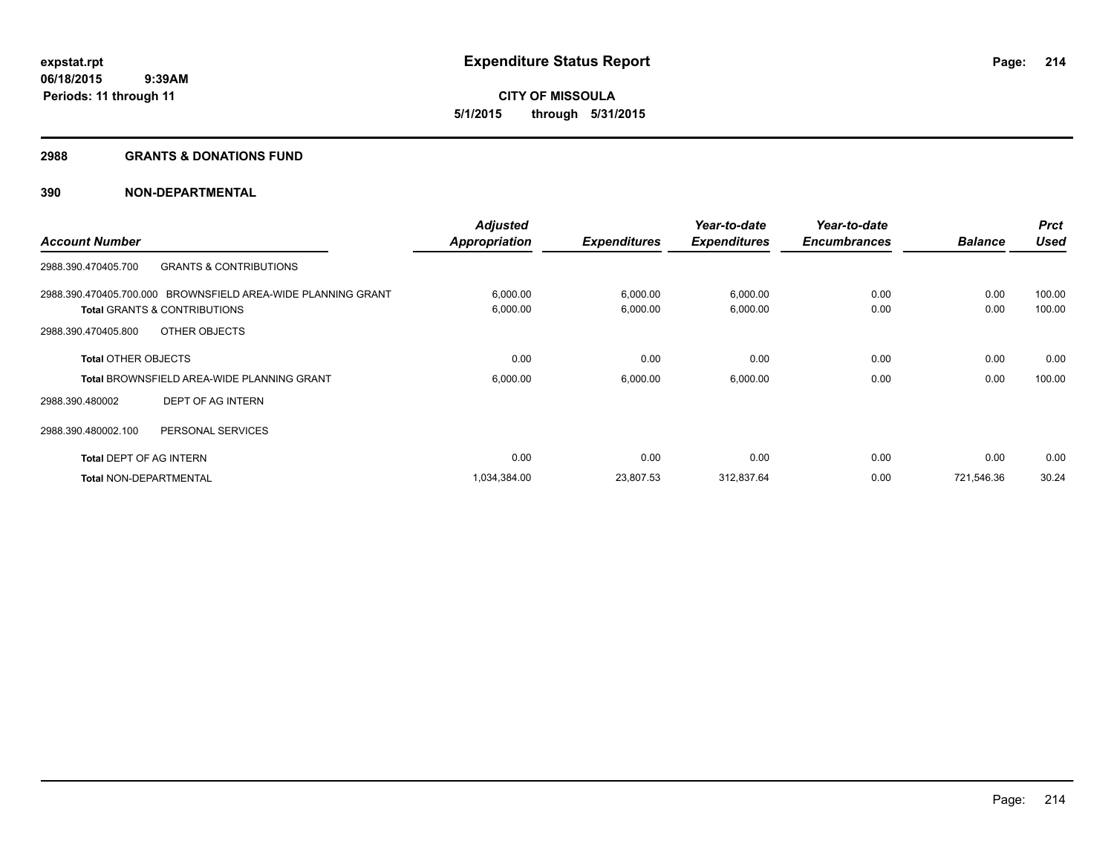#### **2988 GRANTS & DONATIONS FUND**

|                                |                                                              | <b>Adjusted</b>      |                     | Year-to-date        | Year-to-date        |                | <b>Prct</b> |
|--------------------------------|--------------------------------------------------------------|----------------------|---------------------|---------------------|---------------------|----------------|-------------|
| <b>Account Number</b>          |                                                              | <b>Appropriation</b> | <b>Expenditures</b> | <b>Expenditures</b> | <b>Encumbrances</b> | <b>Balance</b> | <b>Used</b> |
| 2988.390.470405.700            | <b>GRANTS &amp; CONTRIBUTIONS</b>                            |                      |                     |                     |                     |                |             |
|                                | 2988.390.470405.700.000 BROWNSFIELD AREA-WIDE PLANNING GRANT | 6,000.00             | 6,000.00            | 6,000.00            | 0.00                | 0.00           | 100.00      |
|                                | <b>Total GRANTS &amp; CONTRIBUTIONS</b>                      | 6,000.00             | 6,000.00            | 6,000.00            | 0.00                | 0.00           | 100.00      |
| 2988.390.470405.800            | OTHER OBJECTS                                                |                      |                     |                     |                     |                |             |
| <b>Total OTHER OBJECTS</b>     |                                                              | 0.00                 | 0.00                | 0.00                | 0.00                | 0.00           | 0.00        |
|                                | <b>Total BROWNSFIELD AREA-WIDE PLANNING GRANT</b>            | 6,000.00             | 6,000.00            | 6,000.00            | 0.00                | 0.00           | 100.00      |
| 2988.390.480002                | DEPT OF AG INTERN                                            |                      |                     |                     |                     |                |             |
| 2988.390.480002.100            | PERSONAL SERVICES                                            |                      |                     |                     |                     |                |             |
| <b>Total DEPT OF AG INTERN</b> |                                                              | 0.00                 | 0.00                | 0.00                | 0.00                | 0.00           | 0.00        |
| <b>Total NON-DEPARTMENTAL</b>  |                                                              | 1,034,384.00         | 23,807.53           | 312,837.64          | 0.00                | 721,546.36     | 30.24       |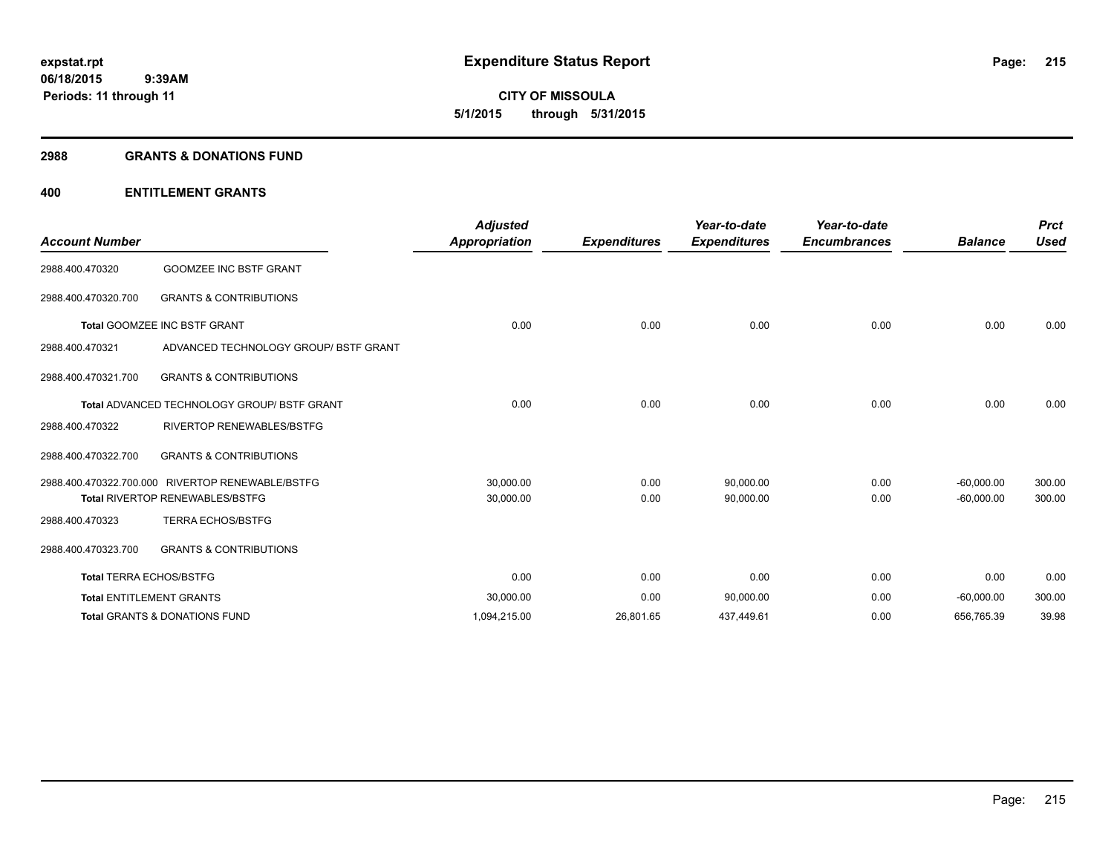#### **2988 GRANTS & DONATIONS FUND**

| <b>Account Number</b>          |                                                    | <b>Adjusted</b><br><b>Appropriation</b> | <b>Expenditures</b> | Year-to-date<br><b>Expenditures</b> | Year-to-date<br><b>Encumbrances</b> | <b>Balance</b> | <b>Prct</b><br><b>Used</b> |
|--------------------------------|----------------------------------------------------|-----------------------------------------|---------------------|-------------------------------------|-------------------------------------|----------------|----------------------------|
| 2988.400.470320                | <b>GOOMZEE INC BSTF GRANT</b>                      |                                         |                     |                                     |                                     |                |                            |
| 2988.400.470320.700            | <b>GRANTS &amp; CONTRIBUTIONS</b>                  |                                         |                     |                                     |                                     |                |                            |
|                                | <b>Total GOOMZEE INC BSTF GRANT</b>                | 0.00                                    | 0.00                | 0.00                                | 0.00                                | 0.00           | 0.00                       |
| 2988.400.470321                | ADVANCED TECHNOLOGY GROUP/ BSTF GRANT              |                                         |                     |                                     |                                     |                |                            |
| 2988.400.470321.700            | <b>GRANTS &amp; CONTRIBUTIONS</b>                  |                                         |                     |                                     |                                     |                |                            |
|                                | <b>Total ADVANCED TECHNOLOGY GROUP/ BSTF GRANT</b> | 0.00                                    | 0.00                | 0.00                                | 0.00                                | 0.00           | 0.00                       |
| 2988.400.470322                | <b>RIVERTOP RENEWABLES/BSTFG</b>                   |                                         |                     |                                     |                                     |                |                            |
| 2988.400.470322.700            | <b>GRANTS &amp; CONTRIBUTIONS</b>                  |                                         |                     |                                     |                                     |                |                            |
|                                | 2988.400.470322.700.000 RIVERTOP RENEWABLE/BSTFG   | 30,000.00                               | 0.00                | 90,000.00                           | 0.00                                | $-60,000.00$   | 300.00                     |
|                                | <b>Total RIVERTOP RENEWABLES/BSTFG</b>             | 30,000.00                               | 0.00                | 90,000.00                           | 0.00                                | $-60,000.00$   | 300.00                     |
| 2988.400.470323                | <b>TERRA ECHOS/BSTFG</b>                           |                                         |                     |                                     |                                     |                |                            |
| 2988.400.470323.700            | <b>GRANTS &amp; CONTRIBUTIONS</b>                  |                                         |                     |                                     |                                     |                |                            |
| <b>Total TERRA ECHOS/BSTFG</b> |                                                    | 0.00                                    | 0.00                | 0.00                                | 0.00                                | 0.00           | 0.00                       |
|                                | <b>Total ENTITLEMENT GRANTS</b>                    | 30,000.00                               | 0.00                | 90,000.00                           | 0.00                                | $-60,000.00$   | 300.00                     |
|                                | <b>Total GRANTS &amp; DONATIONS FUND</b>           | 1,094,215.00                            | 26,801.65           | 437,449.61                          | 0.00                                | 656,765.39     | 39.98                      |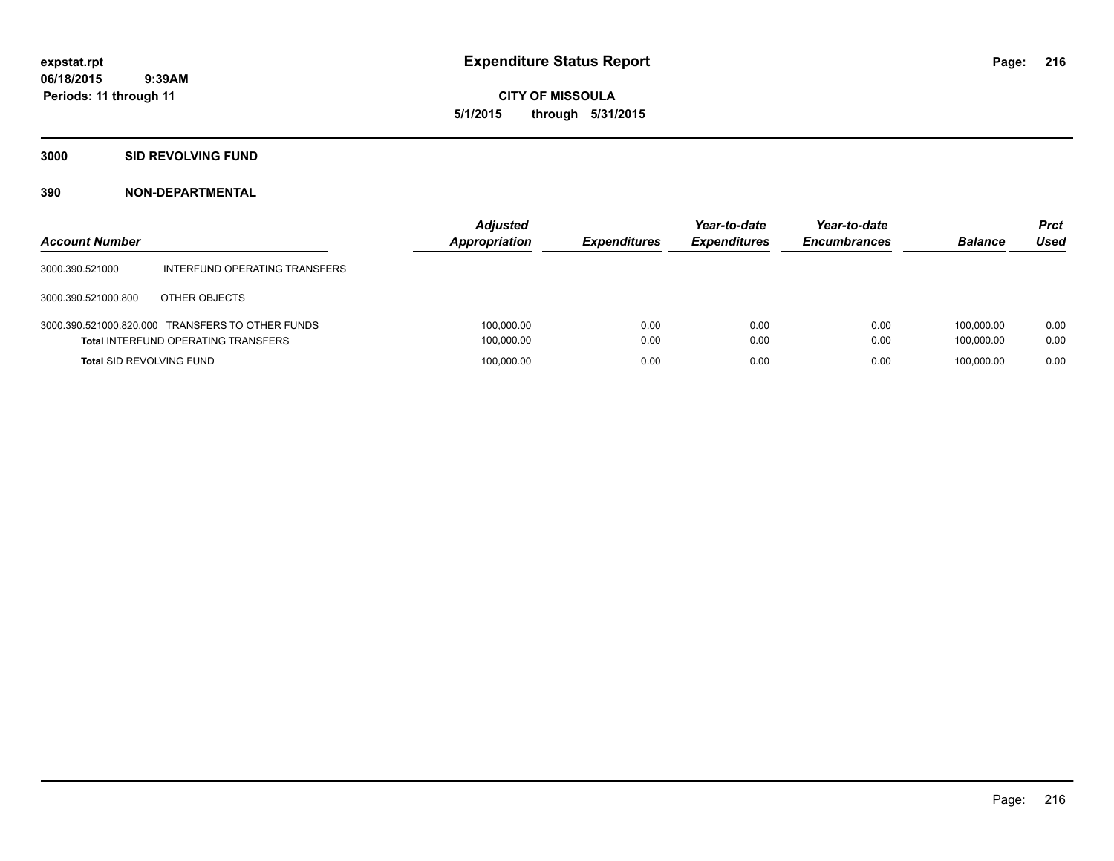**CITY OF MISSOULA 5/1/2015 through 5/31/2015**

#### **3000 SID REVOLVING FUND**

| <b>Account Number</b>           |                                                                                                | <b>Adjusted</b><br>Appropriation | <b>Expenditures</b> | Year-to-date<br><b>Expenditures</b> | Year-to-date<br><b>Encumbrances</b> | <b>Balance</b>           | <b>Prct</b><br>Used |
|---------------------------------|------------------------------------------------------------------------------------------------|----------------------------------|---------------------|-------------------------------------|-------------------------------------|--------------------------|---------------------|
| 3000.390.521000                 | INTERFUND OPERATING TRANSFERS                                                                  |                                  |                     |                                     |                                     |                          |                     |
| 3000.390.521000.800             | OTHER OBJECTS                                                                                  |                                  |                     |                                     |                                     |                          |                     |
|                                 | 3000.390.521000.820.000 TRANSFERS TO OTHER FUNDS<br><b>Total INTERFUND OPERATING TRANSFERS</b> | 100,000.00<br>100,000.00         | 0.00<br>0.00        | 0.00<br>0.00                        | 0.00<br>0.00                        | 100.000.00<br>100.000.00 | 0.00<br>0.00        |
| <b>Total SID REVOLVING FUND</b> |                                                                                                | 100,000.00                       | 0.00                | 0.00                                | 0.00                                | 100.000.00               | 0.00                |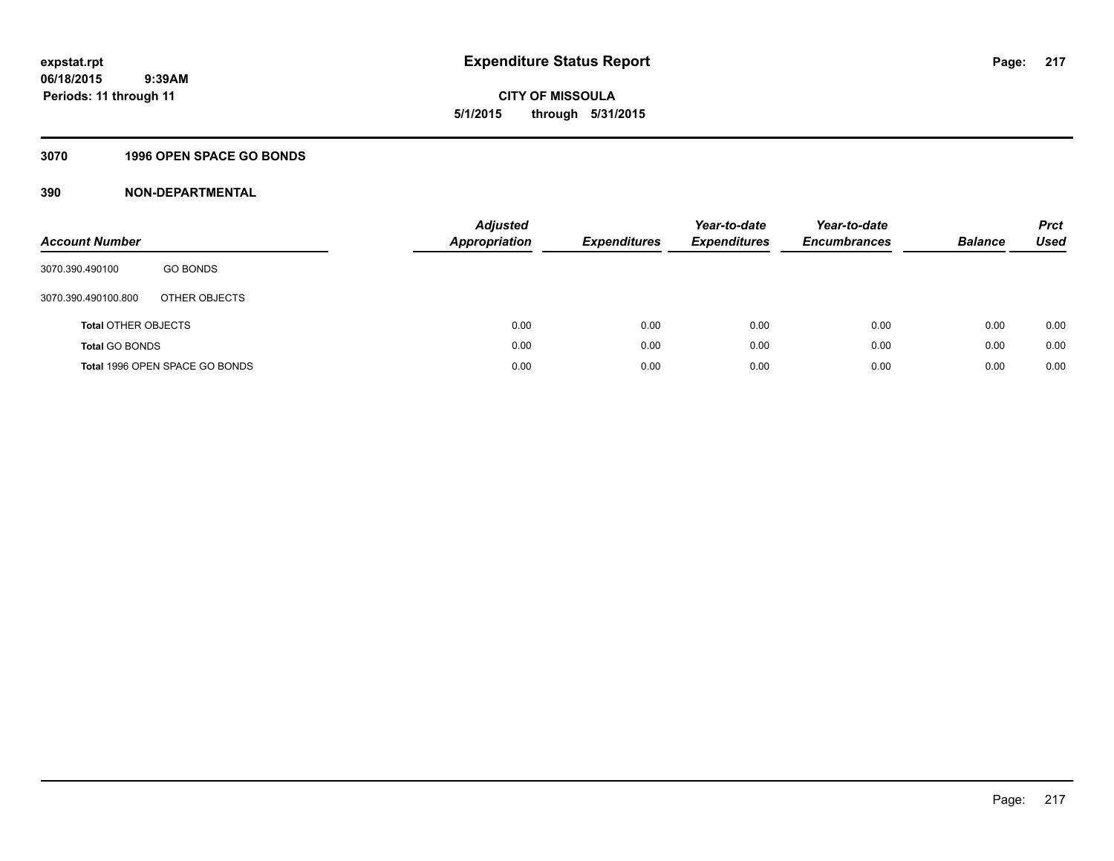**CITY OF MISSOULA 5/1/2015 through 5/31/2015**

# **3070 1996 OPEN SPACE GO BONDS**

| <b>Account Number</b>      |                                | <b>Adjusted</b><br>Appropriation | <b>Expenditures</b> | Year-to-date<br><b>Expenditures</b> | Year-to-date<br><b>Encumbrances</b> | <b>Balance</b> | <b>Prct</b><br><b>Used</b> |
|----------------------------|--------------------------------|----------------------------------|---------------------|-------------------------------------|-------------------------------------|----------------|----------------------------|
| 3070.390.490100            | <b>GO BONDS</b>                |                                  |                     |                                     |                                     |                |                            |
| 3070.390.490100.800        | OTHER OBJECTS                  |                                  |                     |                                     |                                     |                |                            |
| <b>Total OTHER OBJECTS</b> |                                | 0.00                             | 0.00                | 0.00                                | 0.00                                | 0.00           | 0.00                       |
| <b>Total GO BONDS</b>      |                                | 0.00                             | 0.00                | 0.00                                | 0.00                                | 0.00           | 0.00                       |
|                            | Total 1996 OPEN SPACE GO BONDS | 0.00                             | 0.00                | 0.00                                | 0.00                                | 0.00           | 0.00                       |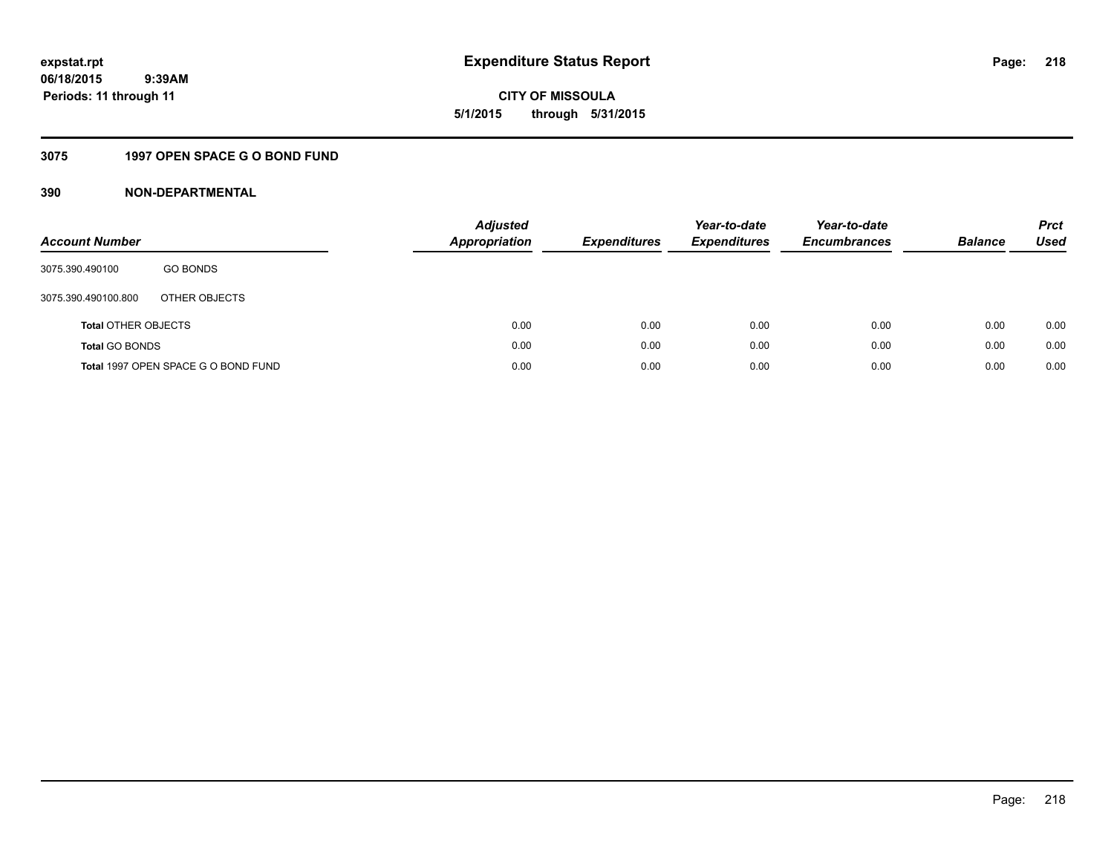**CITY OF MISSOULA 5/1/2015 through 5/31/2015**

# **3075 1997 OPEN SPACE G O BOND FUND**

| <b>Account Number</b>      |                                     | <b>Adjusted</b><br>Appropriation | <b>Expenditures</b> | Year-to-date<br><b>Expenditures</b> | Year-to-date<br><b>Encumbrances</b> | <b>Balance</b> | <b>Prct</b><br>Used |
|----------------------------|-------------------------------------|----------------------------------|---------------------|-------------------------------------|-------------------------------------|----------------|---------------------|
| 3075.390.490100            | <b>GO BONDS</b>                     |                                  |                     |                                     |                                     |                |                     |
| 3075.390.490100.800        | OTHER OBJECTS                       |                                  |                     |                                     |                                     |                |                     |
| <b>Total OTHER OBJECTS</b> |                                     | 0.00                             | 0.00                | 0.00                                | 0.00                                | 0.00           | 0.00                |
| <b>Total GO BONDS</b>      |                                     | 0.00                             | 0.00                | 0.00                                | 0.00                                | 0.00           | 0.00                |
|                            | Total 1997 OPEN SPACE G O BOND FUND | 0.00                             | 0.00                | 0.00                                | 0.00                                | 0.00           | 0.00                |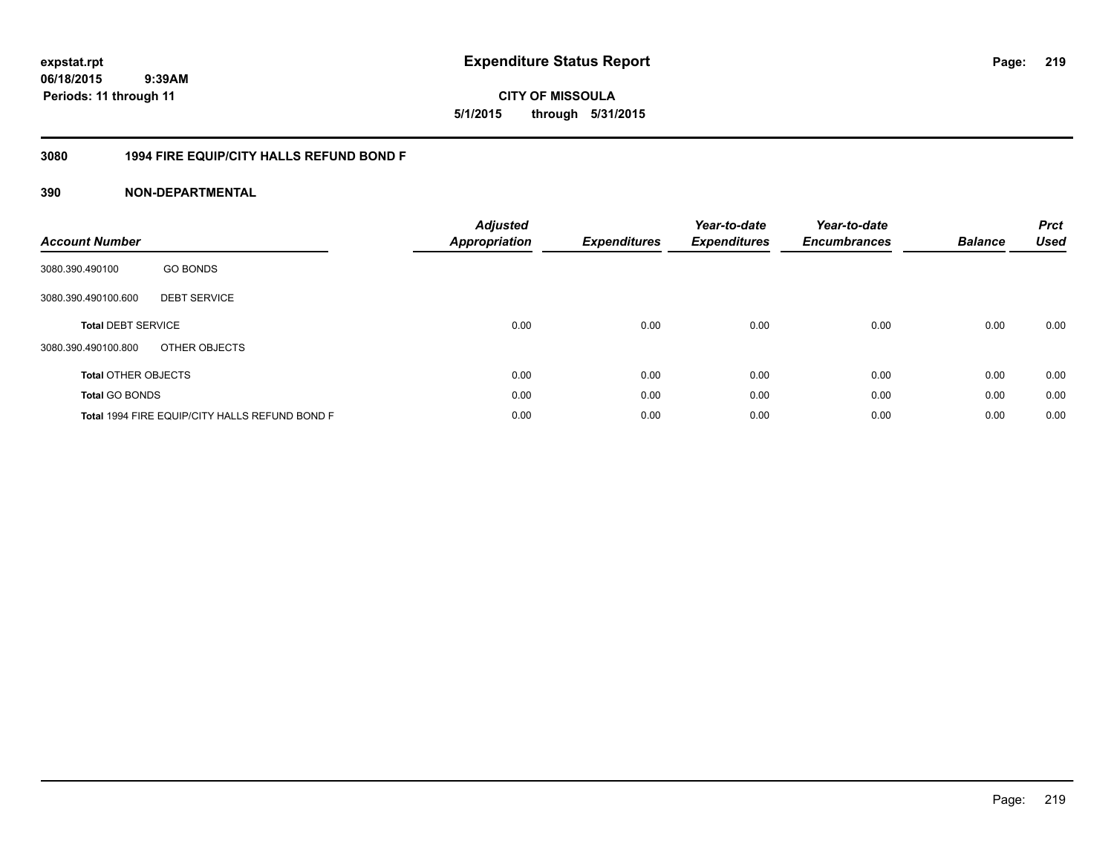**expstat.rpt Expenditure Status Report** 

**06/18/2015 9:39AM Periods: 11 through 11**

**CITY OF MISSOULA 5/1/2015 through 5/31/2015**

# **3080 1994 FIRE EQUIP/CITY HALLS REFUND BOND F**

| <b>Account Number</b>      |                                                | <b>Adjusted</b><br>Appropriation | <b>Expenditures</b> | Year-to-date<br><b>Expenditures</b> | Year-to-date<br><b>Encumbrances</b> | <b>Balance</b> | <b>Prct</b><br><b>Used</b> |
|----------------------------|------------------------------------------------|----------------------------------|---------------------|-------------------------------------|-------------------------------------|----------------|----------------------------|
| 3080.390.490100            | <b>GO BONDS</b>                                |                                  |                     |                                     |                                     |                |                            |
| 3080.390.490100.600        | <b>DEBT SERVICE</b>                            |                                  |                     |                                     |                                     |                |                            |
| <b>Total DEBT SERVICE</b>  |                                                | 0.00                             | 0.00                | 0.00                                | 0.00                                | 0.00           | 0.00                       |
| 3080.390.490100.800        | OTHER OBJECTS                                  |                                  |                     |                                     |                                     |                |                            |
| <b>Total OTHER OBJECTS</b> |                                                | 0.00                             | 0.00                | 0.00                                | 0.00                                | 0.00           | 0.00                       |
| <b>Total GO BONDS</b>      |                                                | 0.00                             | 0.00                | 0.00                                | 0.00                                | 0.00           | 0.00                       |
|                            | Total 1994 FIRE EQUIP/CITY HALLS REFUND BOND F | 0.00                             | 0.00                | 0.00                                | 0.00                                | 0.00           | 0.00                       |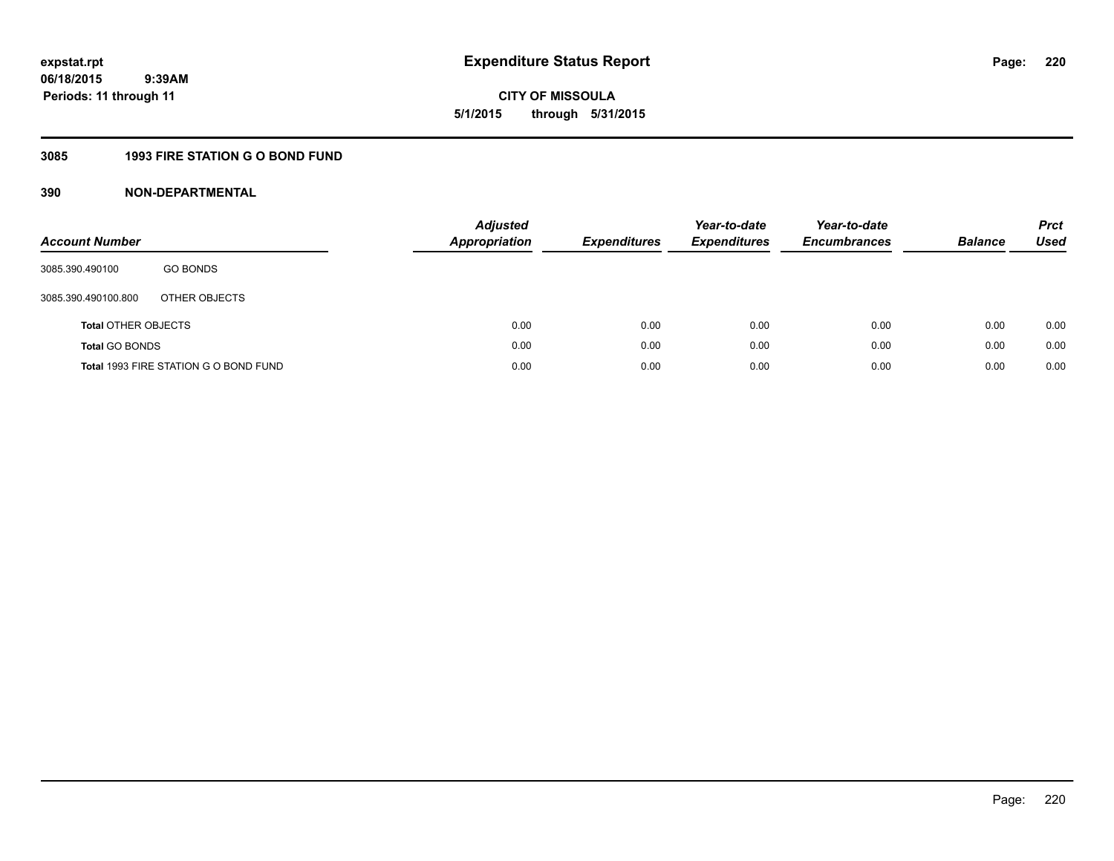**CITY OF MISSOULA 5/1/2015 through 5/31/2015**

# **3085 1993 FIRE STATION G O BOND FUND**

| <b>Account Number</b>      |                                       | <b>Adjusted</b><br>Appropriation | <b>Expenditures</b> | Year-to-date<br><b>Expenditures</b> | Year-to-date<br><b>Encumbrances</b> | <b>Balance</b> | <b>Prct</b><br>Used |
|----------------------------|---------------------------------------|----------------------------------|---------------------|-------------------------------------|-------------------------------------|----------------|---------------------|
| 3085.390.490100            | <b>GO BONDS</b>                       |                                  |                     |                                     |                                     |                |                     |
| 3085.390.490100.800        | OTHER OBJECTS                         |                                  |                     |                                     |                                     |                |                     |
| <b>Total OTHER OBJECTS</b> |                                       | 0.00                             | 0.00                | 0.00                                | 0.00                                | 0.00           | 0.00                |
| <b>Total GO BONDS</b>      |                                       | 0.00                             | 0.00                | 0.00                                | 0.00                                | 0.00           | 0.00                |
|                            | Total 1993 FIRE STATION G O BOND FUND | 0.00                             | 0.00                | 0.00                                | 0.00                                | 0.00           | 0.00                |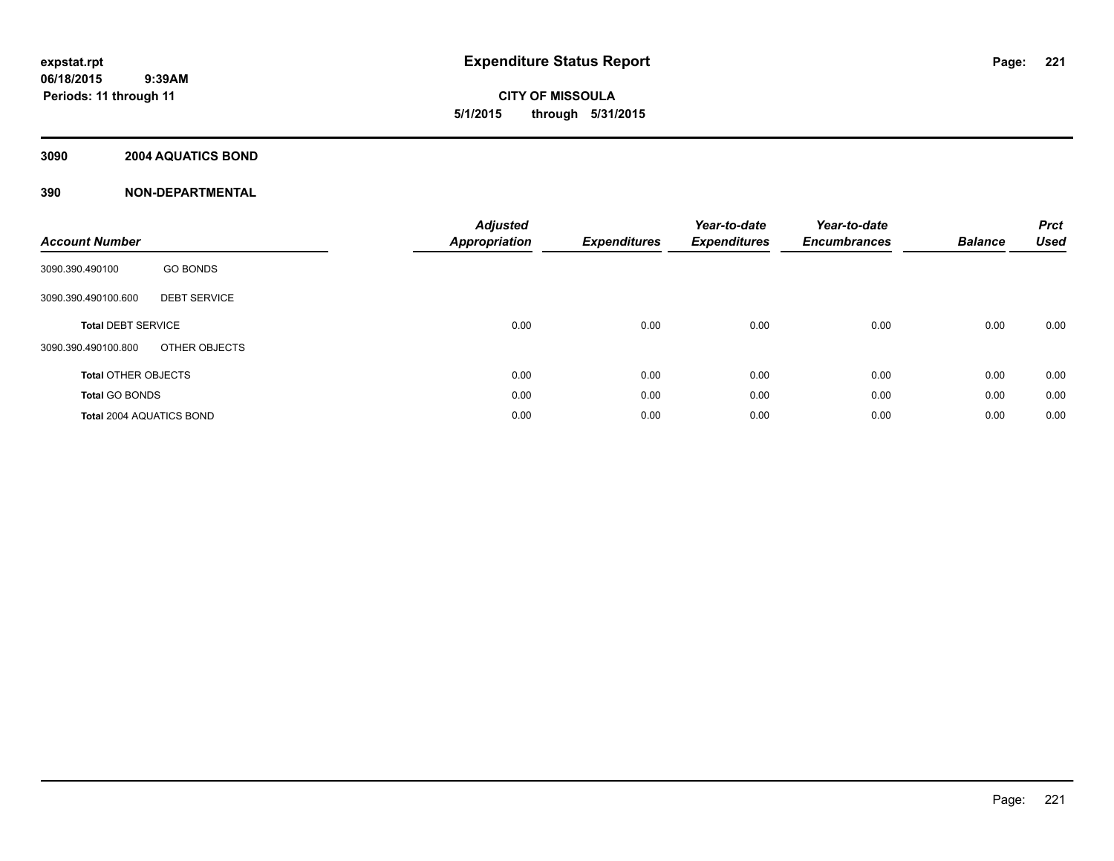# **CITY OF MISSOULA 5/1/2015 through 5/31/2015**

# **3090 2004 AQUATICS BOND**

| <b>Account Number</b>                      | <b>Adjusted</b><br>Appropriation | <b>Expenditures</b> | Year-to-date<br><b>Expenditures</b> | Year-to-date<br><b>Encumbrances</b> | <b>Balance</b> | <b>Prct</b><br><b>Used</b> |
|--------------------------------------------|----------------------------------|---------------------|-------------------------------------|-------------------------------------|----------------|----------------------------|
| <b>GO BONDS</b><br>3090.390.490100         |                                  |                     |                                     |                                     |                |                            |
| <b>DEBT SERVICE</b><br>3090.390.490100.600 |                                  |                     |                                     |                                     |                |                            |
| <b>Total DEBT SERVICE</b>                  | 0.00                             | 0.00                | 0.00                                | 0.00                                | 0.00           | 0.00                       |
| OTHER OBJECTS<br>3090.390.490100.800       |                                  |                     |                                     |                                     |                |                            |
| <b>Total OTHER OBJECTS</b>                 | 0.00                             | 0.00                | 0.00                                | 0.00                                | 0.00           | 0.00                       |
| <b>Total GO BONDS</b>                      | 0.00                             | 0.00                | 0.00                                | 0.00                                | 0.00           | 0.00                       |
| <b>Total 2004 AQUATICS BOND</b>            | 0.00                             | 0.00                | 0.00                                | 0.00                                | 0.00           | 0.00                       |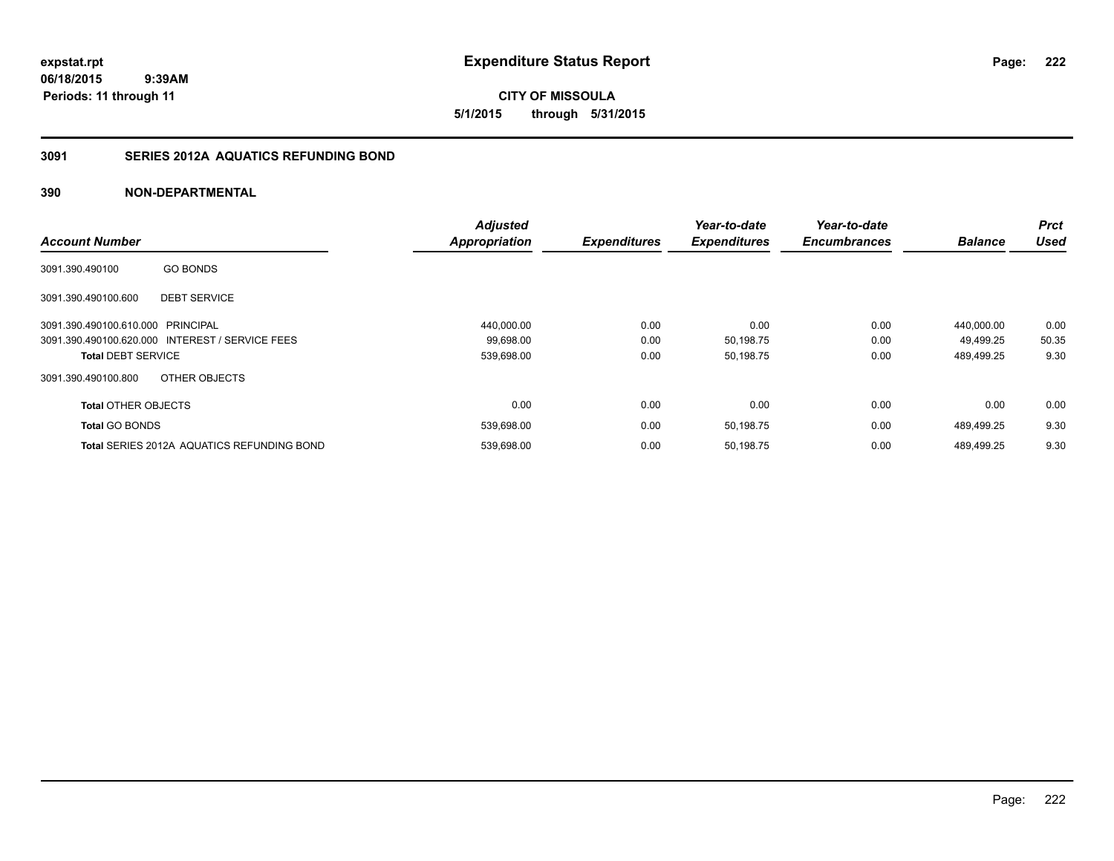**222**

**CITY OF MISSOULA 5/1/2015 through 5/31/2015**

# **3091 SERIES 2012A AQUATICS REFUNDING BOND**

|                                   |                                                   | <b>Adjusted</b>      |                     | Year-to-date        | Year-to-date        |                | <b>Prct</b> |
|-----------------------------------|---------------------------------------------------|----------------------|---------------------|---------------------|---------------------|----------------|-------------|
| <b>Account Number</b>             |                                                   | <b>Appropriation</b> | <b>Expenditures</b> | <b>Expenditures</b> | <b>Encumbrances</b> | <b>Balance</b> | <b>Used</b> |
| 3091.390.490100                   | <b>GO BONDS</b>                                   |                      |                     |                     |                     |                |             |
| 3091.390.490100.600               | <b>DEBT SERVICE</b>                               |                      |                     |                     |                     |                |             |
| 3091.390.490100.610.000 PRINCIPAL |                                                   | 440,000.00           | 0.00                | 0.00                | 0.00                | 440.000.00     | 0.00        |
|                                   | 3091.390.490100.620.000 INTEREST / SERVICE FEES   | 99,698.00            | 0.00                | 50,198.75           | 0.00                | 49,499.25      | 50.35       |
| <b>Total DEBT SERVICE</b>         |                                                   | 539,698.00           | 0.00                | 50,198.75           | 0.00                | 489,499.25     | 9.30        |
| 3091.390.490100.800               | OTHER OBJECTS                                     |                      |                     |                     |                     |                |             |
| <b>Total OTHER OBJECTS</b>        |                                                   | 0.00                 | 0.00                | 0.00                | 0.00                | 0.00           | 0.00        |
| <b>Total GO BONDS</b>             |                                                   | 539,698.00           | 0.00                | 50,198.75           | 0.00                | 489,499.25     | 9.30        |
|                                   | <b>Total SERIES 2012A AQUATICS REFUNDING BOND</b> | 539,698.00           | 0.00                | 50,198.75           | 0.00                | 489.499.25     | 9.30        |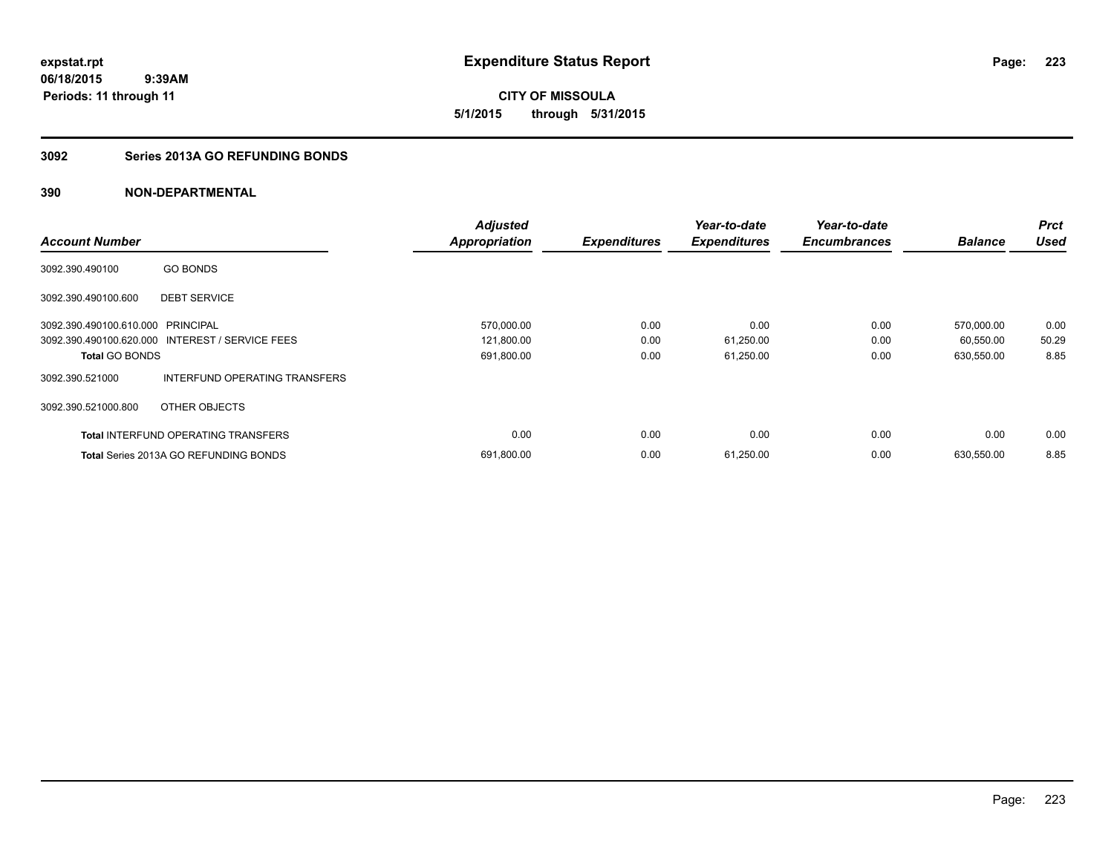**CITY OF MISSOULA 5/1/2015 through 5/31/2015**

# **3092 Series 2013A GO REFUNDING BONDS**

|                                   |                                                 | <b>Adjusted</b>      |                     | Year-to-date        | Year-to-date        |                | <b>Prct</b> |
|-----------------------------------|-------------------------------------------------|----------------------|---------------------|---------------------|---------------------|----------------|-------------|
| <b>Account Number</b>             |                                                 | <b>Appropriation</b> | <b>Expenditures</b> | <b>Expenditures</b> | <b>Encumbrances</b> | <b>Balance</b> | <b>Used</b> |
| 3092.390.490100                   | <b>GO BONDS</b>                                 |                      |                     |                     |                     |                |             |
| 3092.390.490100.600               | <b>DEBT SERVICE</b>                             |                      |                     |                     |                     |                |             |
| 3092.390.490100.610.000 PRINCIPAL |                                                 | 570,000.00           | 0.00                | 0.00                | 0.00                | 570,000.00     | 0.00        |
|                                   | 3092.390.490100.620.000 INTEREST / SERVICE FEES | 121,800.00           | 0.00                | 61,250.00           | 0.00                | 60,550.00      | 50.29       |
| <b>Total GO BONDS</b>             |                                                 | 691,800.00           | 0.00                | 61,250.00           | 0.00                | 630,550.00     | 8.85        |
| 3092.390.521000                   | INTERFUND OPERATING TRANSFERS                   |                      |                     |                     |                     |                |             |
| 3092.390.521000.800               | OTHER OBJECTS                                   |                      |                     |                     |                     |                |             |
|                                   | <b>Total INTERFUND OPERATING TRANSFERS</b>      | 0.00                 | 0.00                | 0.00                | 0.00                | 0.00           | 0.00        |
|                                   | <b>Total Series 2013A GO REFUNDING BONDS</b>    | 691,800.00           | 0.00                | 61,250.00           | 0.00                | 630,550.00     | 8.85        |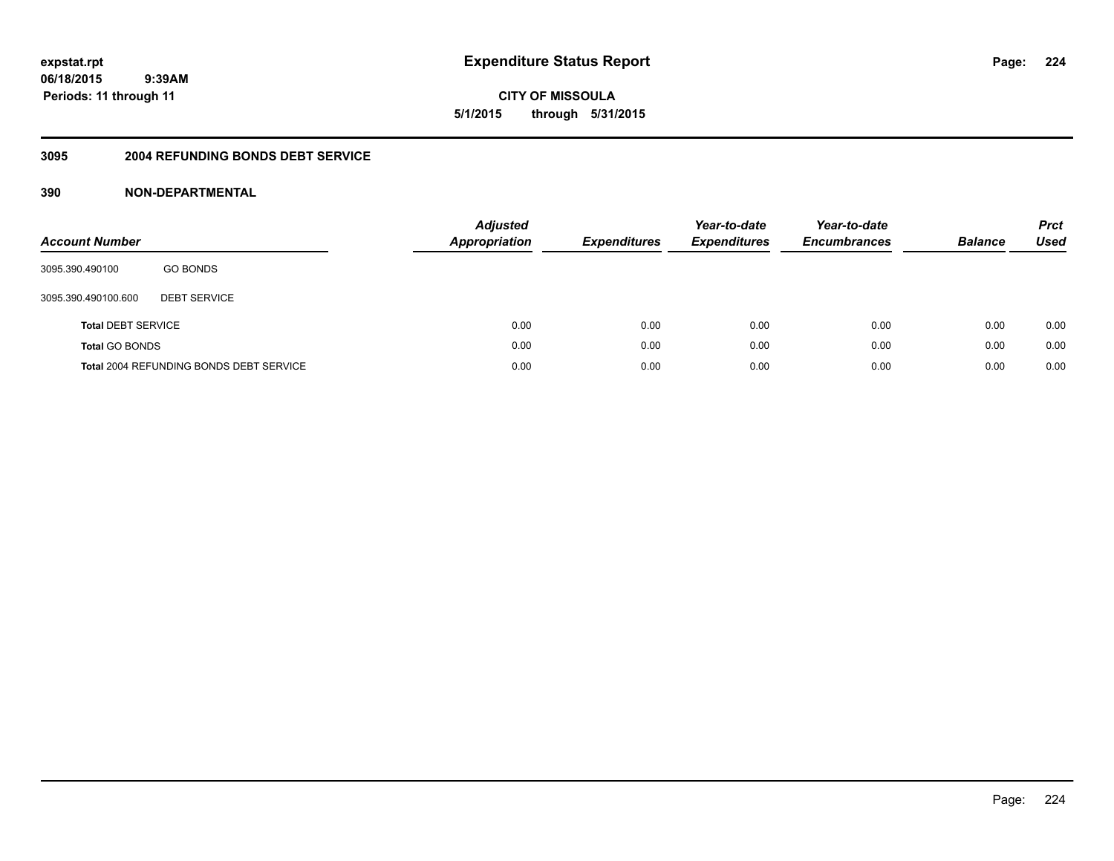**CITY OF MISSOULA 5/1/2015 through 5/31/2015**

## **3095 2004 REFUNDING BONDS DEBT SERVICE**

| <b>Account Number</b>     |                                                | <b>Adjusted</b><br>Appropriation | <b>Expenditures</b> | Year-to-date<br><b>Expenditures</b> | Year-to-date<br><b>Encumbrances</b> | <b>Balance</b> | <b>Prct</b><br>Used |
|---------------------------|------------------------------------------------|----------------------------------|---------------------|-------------------------------------|-------------------------------------|----------------|---------------------|
| 3095.390.490100           | <b>GO BONDS</b>                                |                                  |                     |                                     |                                     |                |                     |
| 3095.390.490100.600       | <b>DEBT SERVICE</b>                            |                                  |                     |                                     |                                     |                |                     |
| <b>Total DEBT SERVICE</b> |                                                | 0.00                             | 0.00                | 0.00                                | 0.00                                | 0.00           | 0.00                |
| <b>Total GO BONDS</b>     |                                                | 0.00                             | 0.00                | 0.00                                | 0.00                                | 0.00           | 0.00                |
|                           | <b>Total 2004 REFUNDING BONDS DEBT SERVICE</b> | 0.00                             | 0.00                | 0.00                                | 0.00                                | 0.00           | 0.00                |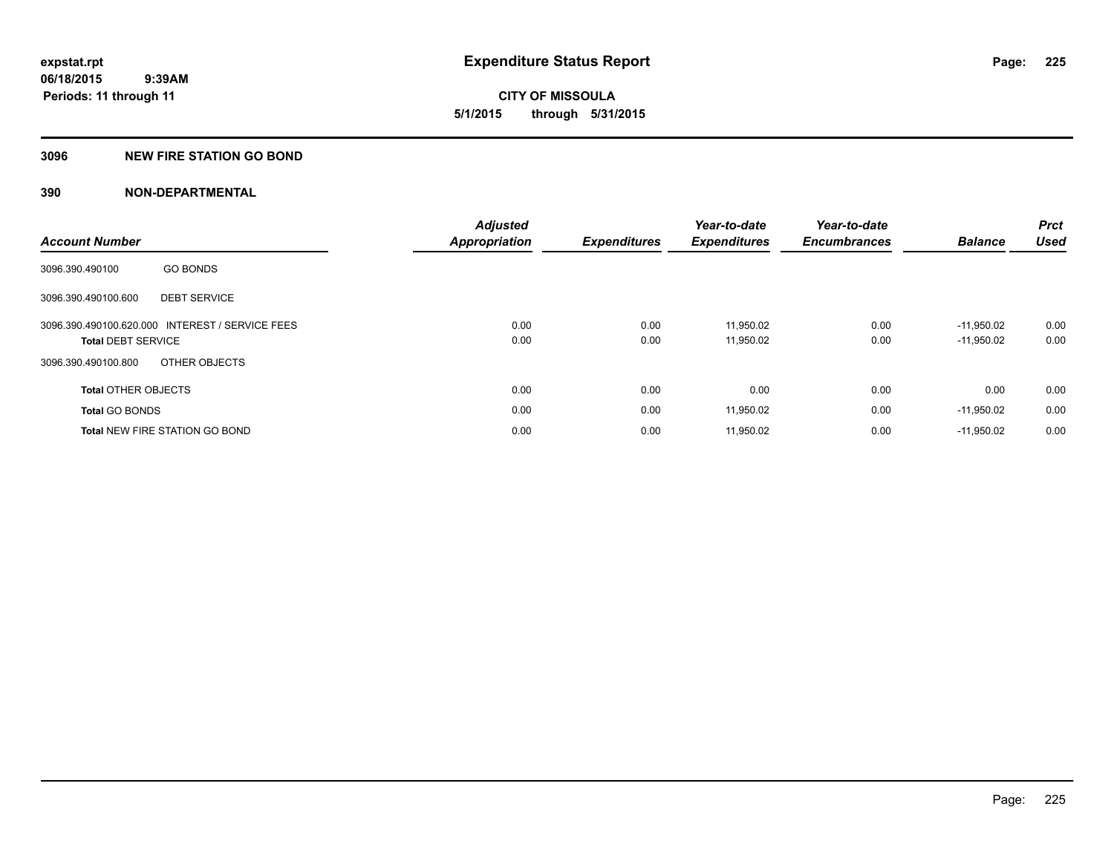**CITY OF MISSOULA 5/1/2015 through 5/31/2015**

# **3096 NEW FIRE STATION GO BOND**

| <b>Account Number</b>                           |                     | <b>Adjusted</b><br><b>Appropriation</b> | <b>Expenditures</b> | Year-to-date<br><b>Expenditures</b> | Year-to-date<br><b>Encumbrances</b> | <b>Balance</b> | <b>Prct</b><br><b>Used</b> |
|-------------------------------------------------|---------------------|-----------------------------------------|---------------------|-------------------------------------|-------------------------------------|----------------|----------------------------|
|                                                 |                     |                                         |                     |                                     |                                     |                |                            |
| 3096.390.490100                                 | <b>GO BONDS</b>     |                                         |                     |                                     |                                     |                |                            |
| 3096.390.490100.600                             | <b>DEBT SERVICE</b> |                                         |                     |                                     |                                     |                |                            |
| 3096.390.490100.620.000 INTEREST / SERVICE FEES |                     | 0.00                                    | 0.00                | 11.950.02                           | 0.00                                | $-11.950.02$   | 0.00                       |
| <b>Total DEBT SERVICE</b>                       |                     | 0.00                                    | 0.00                | 11,950.02                           | 0.00                                | $-11,950.02$   | 0.00                       |
| 3096.390.490100.800                             | OTHER OBJECTS       |                                         |                     |                                     |                                     |                |                            |
| <b>Total OTHER OBJECTS</b>                      |                     | 0.00                                    | 0.00                | 0.00                                | 0.00                                | 0.00           | 0.00                       |
| <b>Total GO BONDS</b>                           |                     | 0.00                                    | 0.00                | 11,950.02                           | 0.00                                | $-11,950.02$   | 0.00                       |
| <b>Total NEW FIRE STATION GO BOND</b>           |                     | 0.00                                    | 0.00                | 11,950.02                           | 0.00                                | $-11,950.02$   | 0.00                       |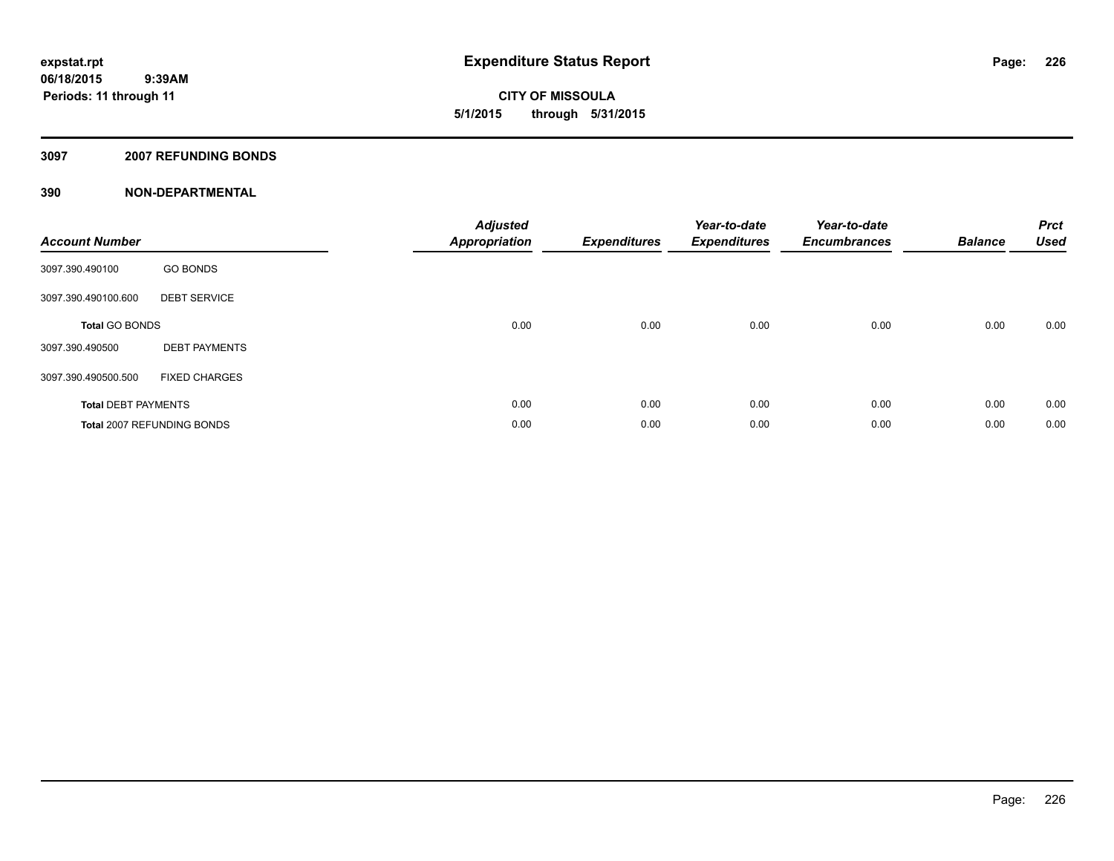**CITY OF MISSOULA 5/1/2015 through 5/31/2015**

### **3097 2007 REFUNDING BONDS**

| <b>Account Number</b>      |                                   | <b>Adjusted</b><br>Appropriation | <b>Expenditures</b> | Year-to-date<br><b>Expenditures</b> | Year-to-date<br><b>Encumbrances</b> | <b>Balance</b> | <b>Prct</b><br><b>Used</b> |
|----------------------------|-----------------------------------|----------------------------------|---------------------|-------------------------------------|-------------------------------------|----------------|----------------------------|
| 3097.390.490100            | <b>GO BONDS</b>                   |                                  |                     |                                     |                                     |                |                            |
| 3097.390.490100.600        | <b>DEBT SERVICE</b>               |                                  |                     |                                     |                                     |                |                            |
| <b>Total GO BONDS</b>      |                                   | 0.00                             | 0.00                | 0.00                                | 0.00                                | 0.00           | 0.00                       |
| 3097.390.490500            | <b>DEBT PAYMENTS</b>              |                                  |                     |                                     |                                     |                |                            |
| 3097.390.490500.500        | <b>FIXED CHARGES</b>              |                                  |                     |                                     |                                     |                |                            |
| <b>Total DEBT PAYMENTS</b> |                                   | 0.00                             | 0.00                | 0.00                                | 0.00                                | 0.00           | 0.00                       |
|                            | <b>Total 2007 REFUNDING BONDS</b> | 0.00                             | 0.00                | 0.00                                | 0.00                                | 0.00           | 0.00                       |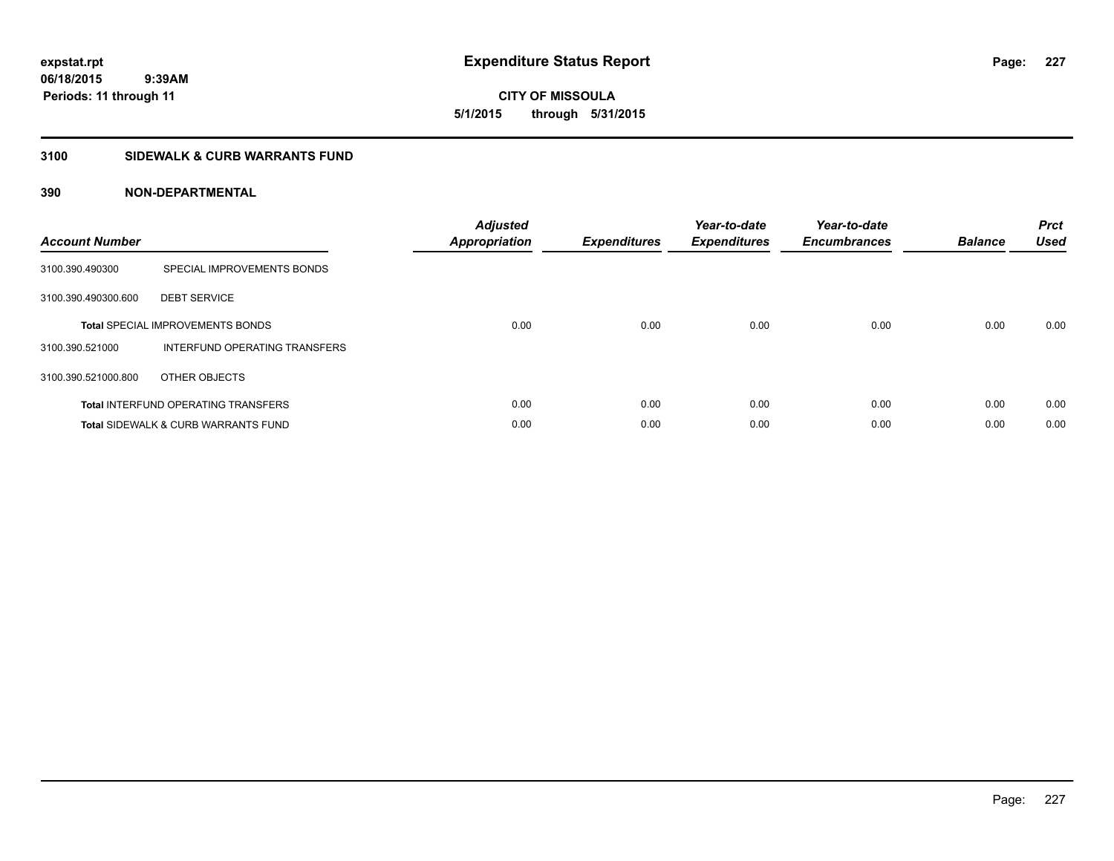**CITY OF MISSOULA 5/1/2015 through 5/31/2015**

# **3100 SIDEWALK & CURB WARRANTS FUND**

| <b>Account Number</b> |                                                | <b>Adjusted</b><br><b>Appropriation</b> | <b>Expenditures</b> | Year-to-date<br><b>Expenditures</b> | Year-to-date<br><b>Encumbrances</b> | <b>Balance</b> | <b>Prct</b><br><b>Used</b> |
|-----------------------|------------------------------------------------|-----------------------------------------|---------------------|-------------------------------------|-------------------------------------|----------------|----------------------------|
| 3100.390.490300       | SPECIAL IMPROVEMENTS BONDS                     |                                         |                     |                                     |                                     |                |                            |
| 3100.390.490300.600   | <b>DEBT SERVICE</b>                            |                                         |                     |                                     |                                     |                |                            |
|                       | <b>Total SPECIAL IMPROVEMENTS BONDS</b>        | 0.00                                    | 0.00                | 0.00                                | 0.00                                | 0.00           | 0.00                       |
| 3100.390.521000       | INTERFUND OPERATING TRANSFERS                  |                                         |                     |                                     |                                     |                |                            |
| 3100.390.521000.800   | OTHER OBJECTS                                  |                                         |                     |                                     |                                     |                |                            |
|                       | <b>Total INTERFUND OPERATING TRANSFERS</b>     | 0.00                                    | 0.00                | 0.00                                | 0.00                                | 0.00           | 0.00                       |
|                       | <b>Total SIDEWALK &amp; CURB WARRANTS FUND</b> | 0.00                                    | 0.00                | 0.00                                | 0.00                                | 0.00           | 0.00                       |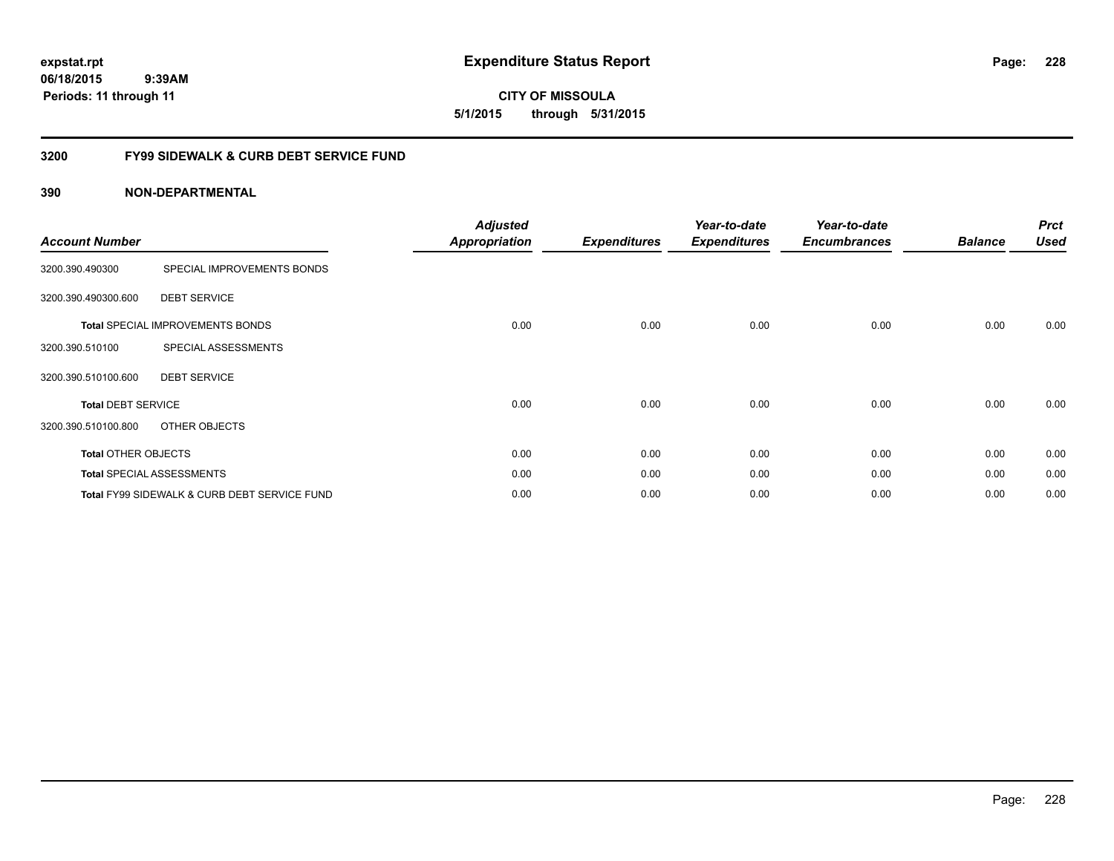**expstat.rpt Expenditure Status Report** 

**06/18/2015 9:39AM Periods: 11 through 11**

**CITY OF MISSOULA 5/1/2015 through 5/31/2015**

# **3200 FY99 SIDEWALK & CURB DEBT SERVICE FUND**

| <b>Account Number</b>      |                                              | <b>Adjusted</b><br><b>Appropriation</b> | <b>Expenditures</b> | Year-to-date<br><b>Expenditures</b> | Year-to-date<br><b>Encumbrances</b> | <b>Balance</b> | <b>Prct</b><br><b>Used</b> |
|----------------------------|----------------------------------------------|-----------------------------------------|---------------------|-------------------------------------|-------------------------------------|----------------|----------------------------|
| 3200.390.490300            | SPECIAL IMPROVEMENTS BONDS                   |                                         |                     |                                     |                                     |                |                            |
| 3200.390.490300.600        | <b>DEBT SERVICE</b>                          |                                         |                     |                                     |                                     |                |                            |
|                            | <b>Total SPECIAL IMPROVEMENTS BONDS</b>      | 0.00                                    | 0.00                | 0.00                                | 0.00                                | 0.00           | 0.00                       |
| 3200.390.510100            | SPECIAL ASSESSMENTS                          |                                         |                     |                                     |                                     |                |                            |
| 3200.390.510100.600        | <b>DEBT SERVICE</b>                          |                                         |                     |                                     |                                     |                |                            |
| <b>Total DEBT SERVICE</b>  |                                              | 0.00                                    | 0.00                | 0.00                                | 0.00                                | 0.00           | 0.00                       |
| 3200.390.510100.800        | OTHER OBJECTS                                |                                         |                     |                                     |                                     |                |                            |
| <b>Total OTHER OBJECTS</b> |                                              | 0.00                                    | 0.00                | 0.00                                | 0.00                                | 0.00           | 0.00                       |
|                            | <b>Total SPECIAL ASSESSMENTS</b>             | 0.00                                    | 0.00                | 0.00                                | 0.00                                | 0.00           | 0.00                       |
|                            | Total FY99 SIDEWALK & CURB DEBT SERVICE FUND | 0.00                                    | 0.00                | 0.00                                | 0.00                                | 0.00           | 0.00                       |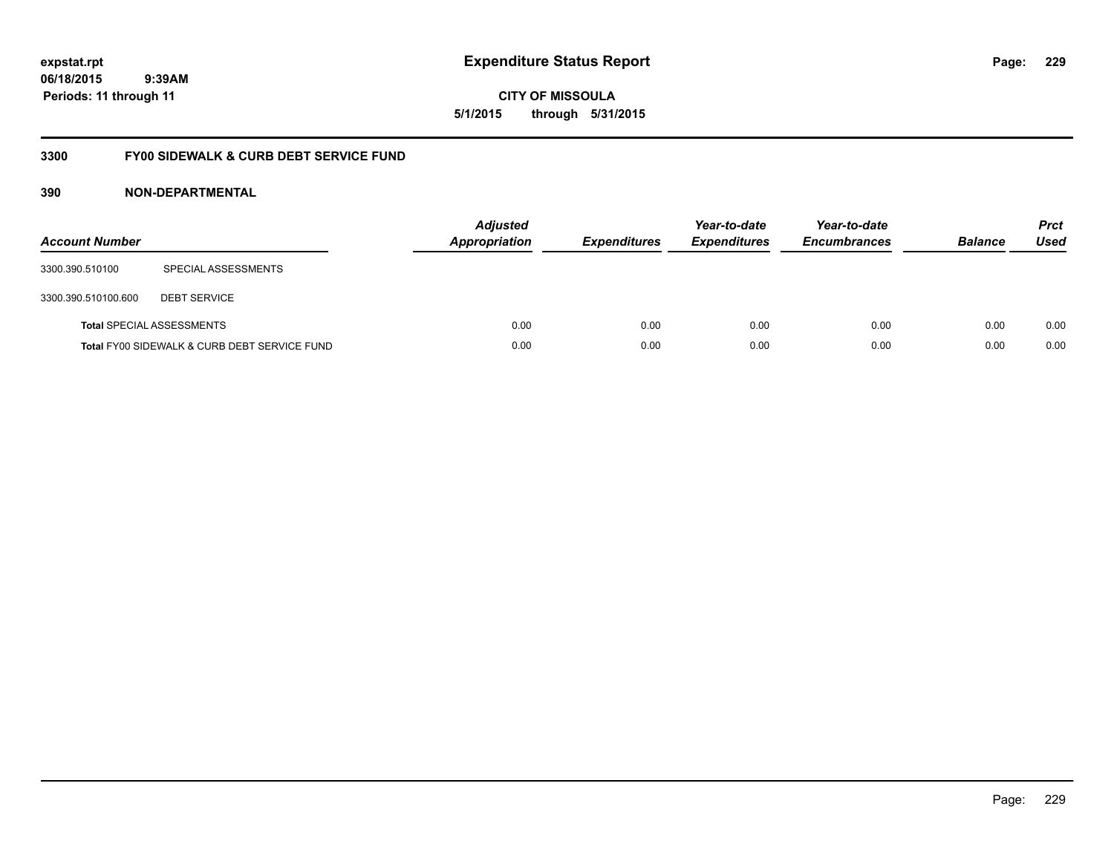**CITY OF MISSOULA 5/1/2015 through 5/31/2015**

# **3300 FY00 SIDEWALK & CURB DEBT SERVICE FUND**

| <b>Account Number</b> |                                              | <b>Adjusted</b><br>Appropriation | <b>Expenditures</b> | Year-to-date<br><b>Expenditures</b> | Year-to-date<br><b>Encumbrances</b> | <b>Balance</b> | <b>Prct</b><br>Used |
|-----------------------|----------------------------------------------|----------------------------------|---------------------|-------------------------------------|-------------------------------------|----------------|---------------------|
| 3300.390.510100       | SPECIAL ASSESSMENTS                          |                                  |                     |                                     |                                     |                |                     |
| 3300.390.510100.600   | <b>DEBT SERVICE</b>                          |                                  |                     |                                     |                                     |                |                     |
|                       | <b>Total SPECIAL ASSESSMENTS</b>             | 0.00                             | 0.00                | 0.00                                | 0.00                                | 0.00           | 0.00                |
|                       | Total FY00 SIDEWALK & CURB DEBT SERVICE FUND | 0.00                             | 0.00                | 0.00                                | 0.00                                | 0.00           | 0.00                |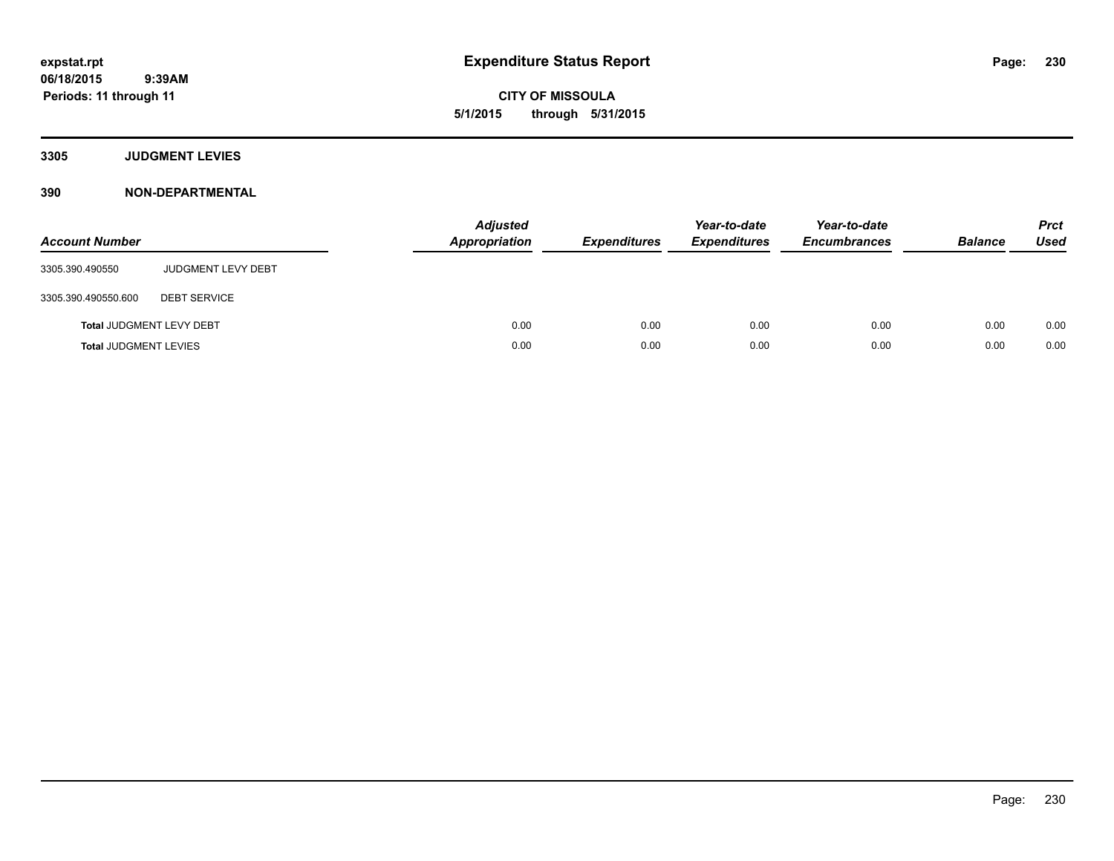**CITY OF MISSOULA 5/1/2015 through 5/31/2015**

**3305 JUDGMENT LEVIES**

| <b>Account Number</b>        |                                 | <b>Adjusted</b><br>Appropriation | <b>Expenditures</b> | Year-to-date<br><b>Expenditures</b> | Year-to-date<br><b>Encumbrances</b> | <b>Balance</b> | <b>Prct</b><br><b>Used</b> |
|------------------------------|---------------------------------|----------------------------------|---------------------|-------------------------------------|-------------------------------------|----------------|----------------------------|
| 3305.390.490550              | <b>JUDGMENT LEVY DEBT</b>       |                                  |                     |                                     |                                     |                |                            |
| 3305.390.490550.600          | <b>DEBT SERVICE</b>             |                                  |                     |                                     |                                     |                |                            |
|                              | <b>Total JUDGMENT LEVY DEBT</b> | 0.00                             | 0.00                | 0.00                                | 0.00                                | 0.00           | 0.00                       |
| <b>Total JUDGMENT LEVIES</b> |                                 | 0.00                             | 0.00                | 0.00                                | 0.00                                | 0.00           | 0.00                       |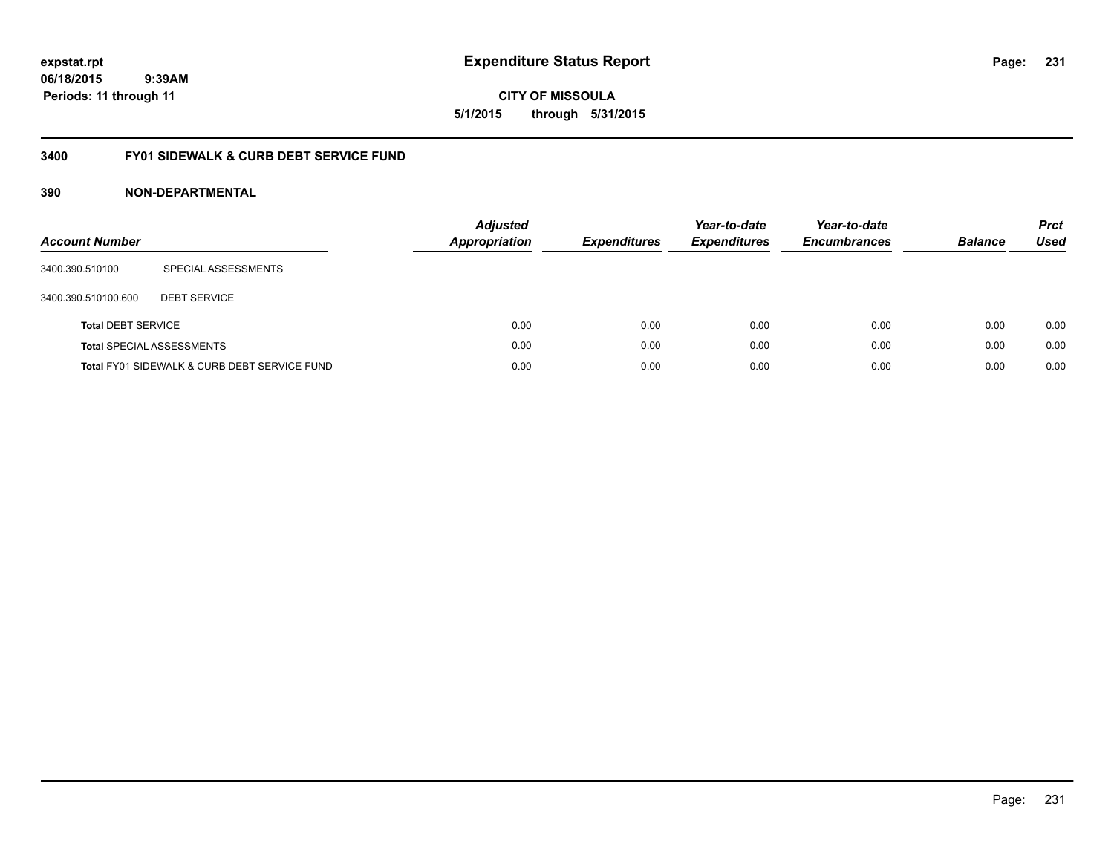**CITY OF MISSOULA 5/1/2015 through 5/31/2015**

# **3400 FY01 SIDEWALK & CURB DEBT SERVICE FUND**

| <b>Account Number</b>     |                                              | <b>Adjusted</b><br><b>Appropriation</b> | <b>Expenditures</b> | Year-to-date<br><b>Expenditures</b> | Year-to-date<br><b>Encumbrances</b> | <b>Balance</b> | <b>Prct</b><br>Used |
|---------------------------|----------------------------------------------|-----------------------------------------|---------------------|-------------------------------------|-------------------------------------|----------------|---------------------|
| 3400.390.510100           | SPECIAL ASSESSMENTS                          |                                         |                     |                                     |                                     |                |                     |
| 3400.390.510100.600       | <b>DEBT SERVICE</b>                          |                                         |                     |                                     |                                     |                |                     |
| <b>Total DEBT SERVICE</b> |                                              | 0.00                                    | 0.00                | 0.00                                | 0.00                                | 0.00           | 0.00                |
|                           | <b>Total SPECIAL ASSESSMENTS</b>             | 0.00                                    | 0.00                | 0.00                                | 0.00                                | 0.00           | 0.00                |
|                           | Total FY01 SIDEWALK & CURB DEBT SERVICE FUND | 0.00                                    | 0.00                | 0.00                                | 0.00                                | 0.00           | 0.00                |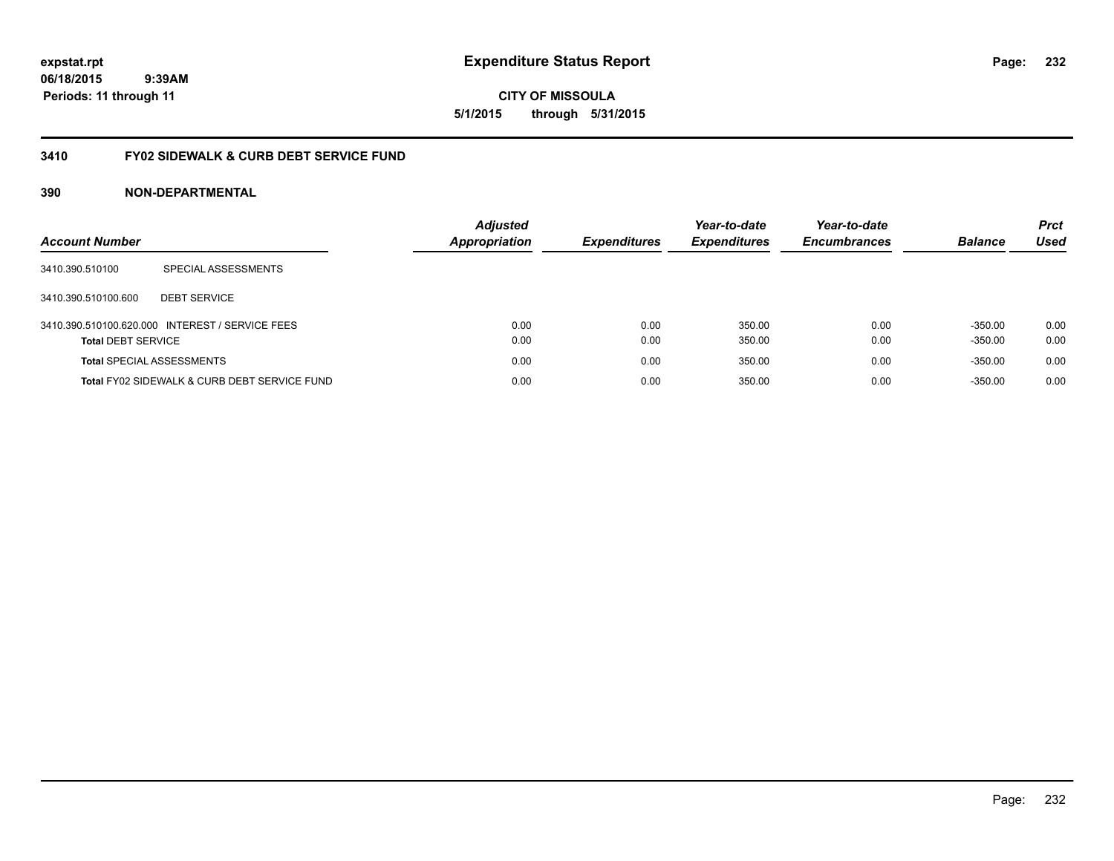**CITY OF MISSOULA 5/1/2015 through 5/31/2015**

# **3410 FY02 SIDEWALK & CURB DEBT SERVICE FUND**

| <b>Account Number</b>            |                                                 | <b>Adjusted</b><br><b>Appropriation</b> | <b>Expenditures</b> | Year-to-date<br><b>Expenditures</b> | Year-to-date<br><b>Encumbrances</b> | <b>Balance</b>         | <b>Prct</b><br>Used |
|----------------------------------|-------------------------------------------------|-----------------------------------------|---------------------|-------------------------------------|-------------------------------------|------------------------|---------------------|
| 3410.390.510100                  | SPECIAL ASSESSMENTS                             |                                         |                     |                                     |                                     |                        |                     |
| 3410.390.510100.600              | <b>DEBT SERVICE</b>                             |                                         |                     |                                     |                                     |                        |                     |
| <b>Total DEBT SERVICE</b>        | 3410.390.510100.620.000 INTEREST / SERVICE FEES | 0.00<br>0.00                            | 0.00<br>0.00        | 350.00<br>350.00                    | 0.00<br>0.00                        | $-350.00$<br>$-350.00$ | 0.00<br>0.00        |
| <b>Total SPECIAL ASSESSMENTS</b> |                                                 | 0.00                                    | 0.00                | 350.00                              | 0.00                                | $-350.00$              | 0.00                |
|                                  | Total FY02 SIDEWALK & CURB DEBT SERVICE FUND    | 0.00                                    | 0.00                | 350.00                              | 0.00                                | $-350.00$              | 0.00                |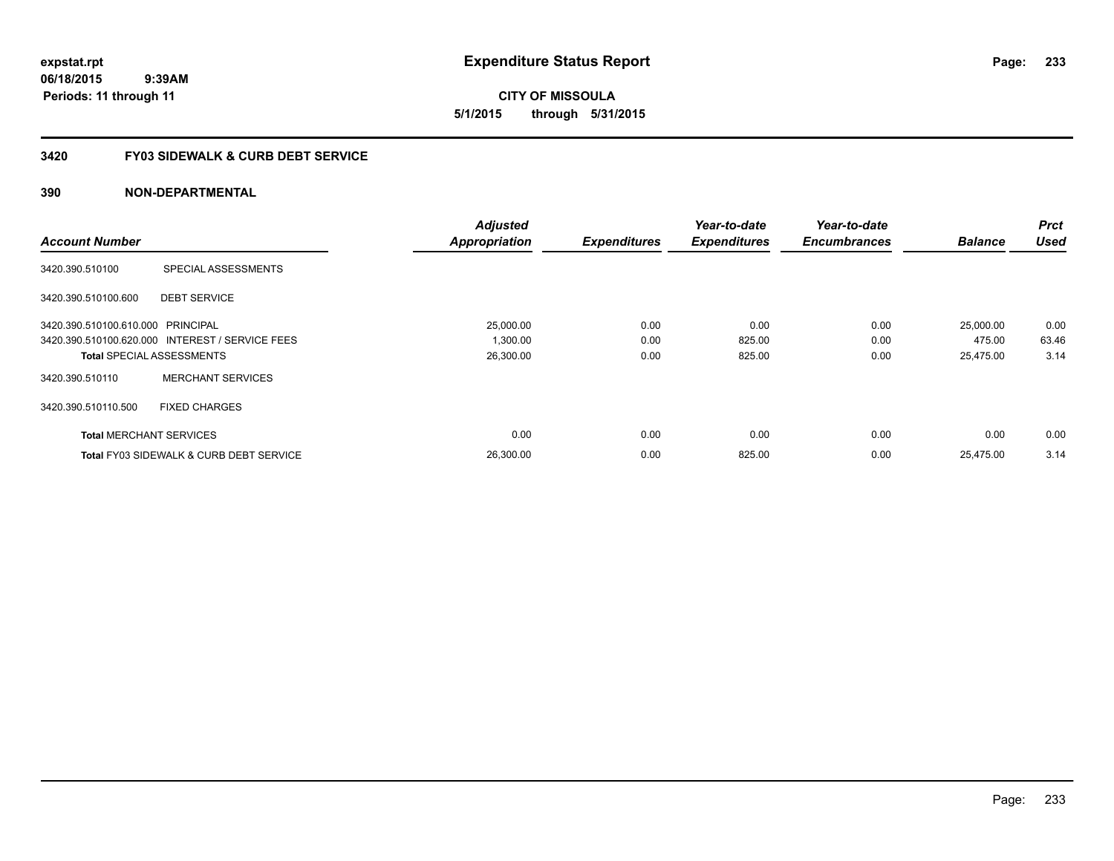**expstat.rpt Expenditure Status Report** 

**06/18/2015 9:39AM Periods: 11 through 11**

**CITY OF MISSOULA 5/1/2015 through 5/31/2015**

# **3420 FY03 SIDEWALK & CURB DEBT SERVICE**

|                                   |                                                    | <b>Adjusted</b>      |                     | Year-to-date        | Year-to-date        |                | <b>Prct</b> |
|-----------------------------------|----------------------------------------------------|----------------------|---------------------|---------------------|---------------------|----------------|-------------|
| <b>Account Number</b>             |                                                    | <b>Appropriation</b> | <b>Expenditures</b> | <b>Expenditures</b> | <b>Encumbrances</b> | <b>Balance</b> | <b>Used</b> |
| 3420.390.510100                   | SPECIAL ASSESSMENTS                                |                      |                     |                     |                     |                |             |
| 3420.390.510100.600               | <b>DEBT SERVICE</b>                                |                      |                     |                     |                     |                |             |
| 3420.390.510100.610.000 PRINCIPAL |                                                    | 25,000.00            | 0.00                | 0.00                | 0.00                | 25,000.00      | 0.00        |
|                                   | 3420.390.510100.620.000 INTEREST / SERVICE FEES    | 1,300.00             | 0.00                | 825.00              | 0.00                | 475.00         | 63.46       |
| <b>Total SPECIAL ASSESSMENTS</b>  |                                                    | 26,300.00            | 0.00                | 825.00              | 0.00                | 25,475.00      | 3.14        |
| 3420.390.510110                   | <b>MERCHANT SERVICES</b>                           |                      |                     |                     |                     |                |             |
| 3420.390.510110.500               | <b>FIXED CHARGES</b>                               |                      |                     |                     |                     |                |             |
| <b>Total MERCHANT SERVICES</b>    |                                                    | 0.00                 | 0.00                | 0.00                | 0.00                | 0.00           | 0.00        |
|                                   | <b>Total FY03 SIDEWALK &amp; CURB DEBT SERVICE</b> | 26,300.00            | 0.00                | 825.00              | 0.00                | 25,475.00      | 3.14        |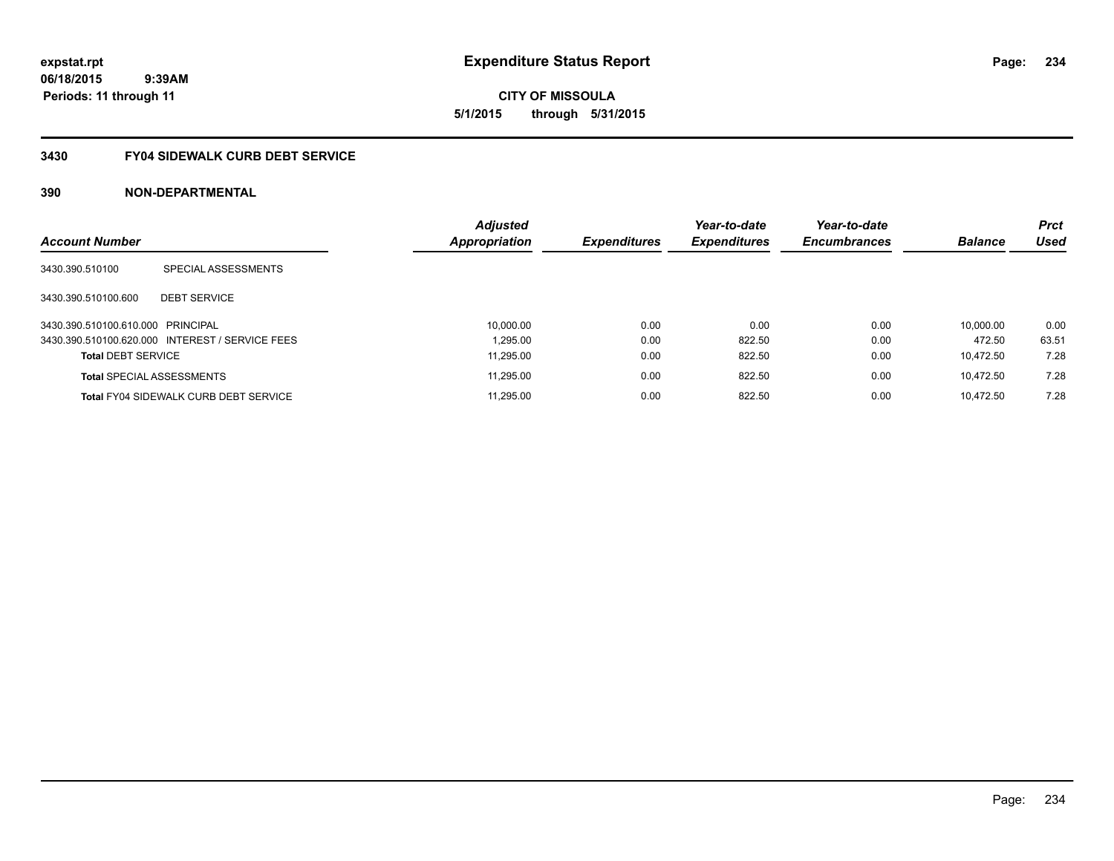**expstat.rpt Expenditure Status Report** 

**06/18/2015 9:39AM Periods: 11 through 11**

**234**

**5/1/2015 through 5/31/2015**

# **3430 FY04 SIDEWALK CURB DEBT SERVICE**

| <b>Account Number</b>             |                                                 | <b>Adjusted</b><br>Appropriation | <b>Expenditures</b> | Year-to-date<br><b>Expenditures</b> | Year-to-date<br><b>Encumbrances</b> | <b>Balance</b> | <b>Prct</b><br>Used |
|-----------------------------------|-------------------------------------------------|----------------------------------|---------------------|-------------------------------------|-------------------------------------|----------------|---------------------|
|                                   |                                                 |                                  |                     |                                     |                                     |                |                     |
| 3430.390.510100                   | SPECIAL ASSESSMENTS                             |                                  |                     |                                     |                                     |                |                     |
| 3430.390.510100.600               | <b>DEBT SERVICE</b>                             |                                  |                     |                                     |                                     |                |                     |
| 3430.390.510100.610.000 PRINCIPAL |                                                 | 10,000.00                        | 0.00                | 0.00                                | 0.00                                | 10.000.00      | 0.00                |
|                                   | 3430.390.510100.620.000 INTEREST / SERVICE FEES | 1.295.00                         | 0.00                | 822.50                              | 0.00                                | 472.50         | 63.51               |
| <b>Total DEBT SERVICE</b>         |                                                 | 11.295.00                        | 0.00                | 822.50                              | 0.00                                | 10.472.50      | 7.28                |
| <b>Total SPECIAL ASSESSMENTS</b>  |                                                 | 11,295.00                        | 0.00                | 822.50                              | 0.00                                | 10.472.50      | 7.28                |
|                                   | <b>Total FY04 SIDEWALK CURB DEBT SERVICE</b>    | 11.295.00                        | 0.00                | 822.50                              | 0.00                                | 10.472.50      | 7.28                |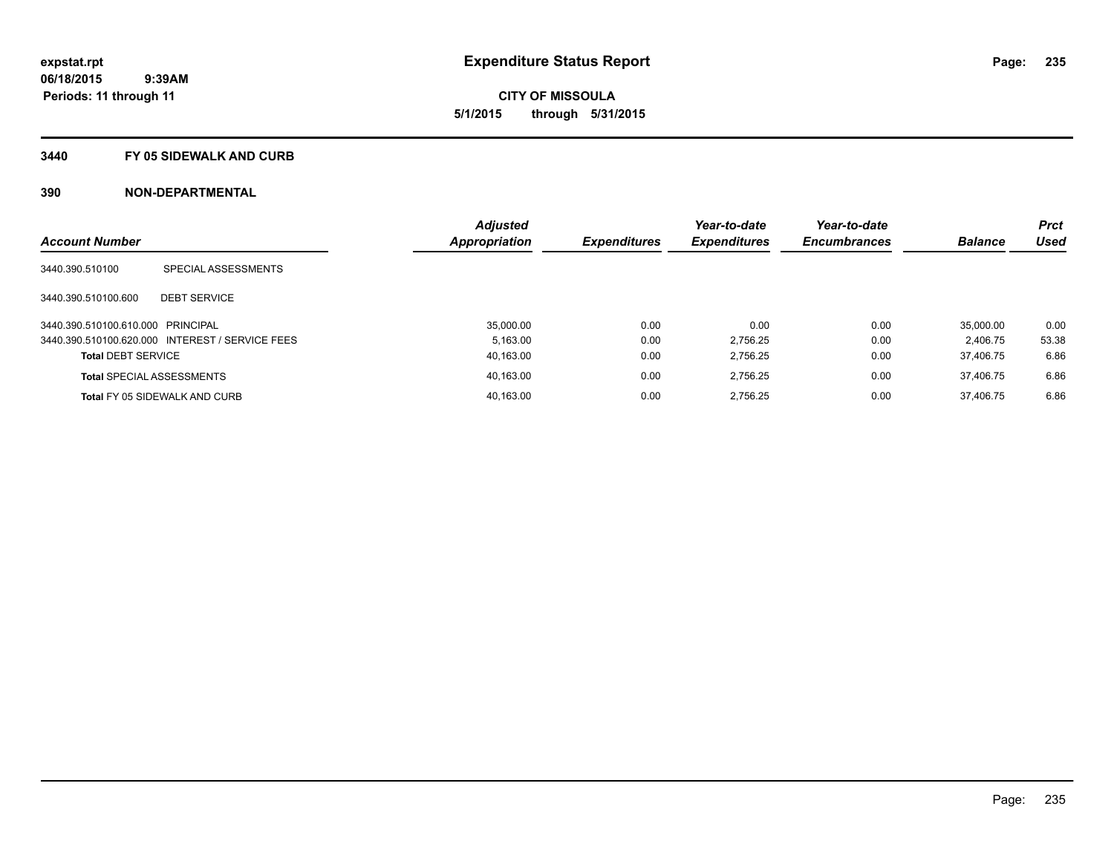**CITY OF MISSOULA 5/1/2015 through 5/31/2015**

### **3440 FY 05 SIDEWALK AND CURB**

| <b>Account Number</b>             |                                                 | <b>Adjusted</b> |                     | Year-to-date        | Year-to-date        | <b>Balance</b> | <b>Prct</b><br>Used |
|-----------------------------------|-------------------------------------------------|-----------------|---------------------|---------------------|---------------------|----------------|---------------------|
|                                   |                                                 | Appropriation   | <b>Expenditures</b> | <b>Expenditures</b> | <b>Encumbrances</b> |                |                     |
| 3440.390.510100                   | SPECIAL ASSESSMENTS                             |                 |                     |                     |                     |                |                     |
| 3440.390.510100.600               | <b>DEBT SERVICE</b>                             |                 |                     |                     |                     |                |                     |
| 3440.390.510100.610.000 PRINCIPAL |                                                 | 35,000.00       | 0.00                | 0.00                | 0.00                | 35,000.00      | 0.00                |
|                                   | 3440.390.510100.620.000 INTEREST / SERVICE FEES | 5.163.00        | 0.00                | 2.756.25            | 0.00                | 2.406.75       | 53.38               |
| <b>Total DEBT SERVICE</b>         |                                                 | 40.163.00       | 0.00                | 2.756.25            | 0.00                | 37.406.75      | 6.86                |
|                                   | <b>Total SPECIAL ASSESSMENTS</b>                | 40,163.00       | 0.00                | 2.756.25            | 0.00                | 37.406.75      | 6.86                |
|                                   | <b>Total FY 05 SIDEWALK AND CURB</b>            | 40.163.00       | 0.00                | 2.756.25            | 0.00                | 37.406.75      | 6.86                |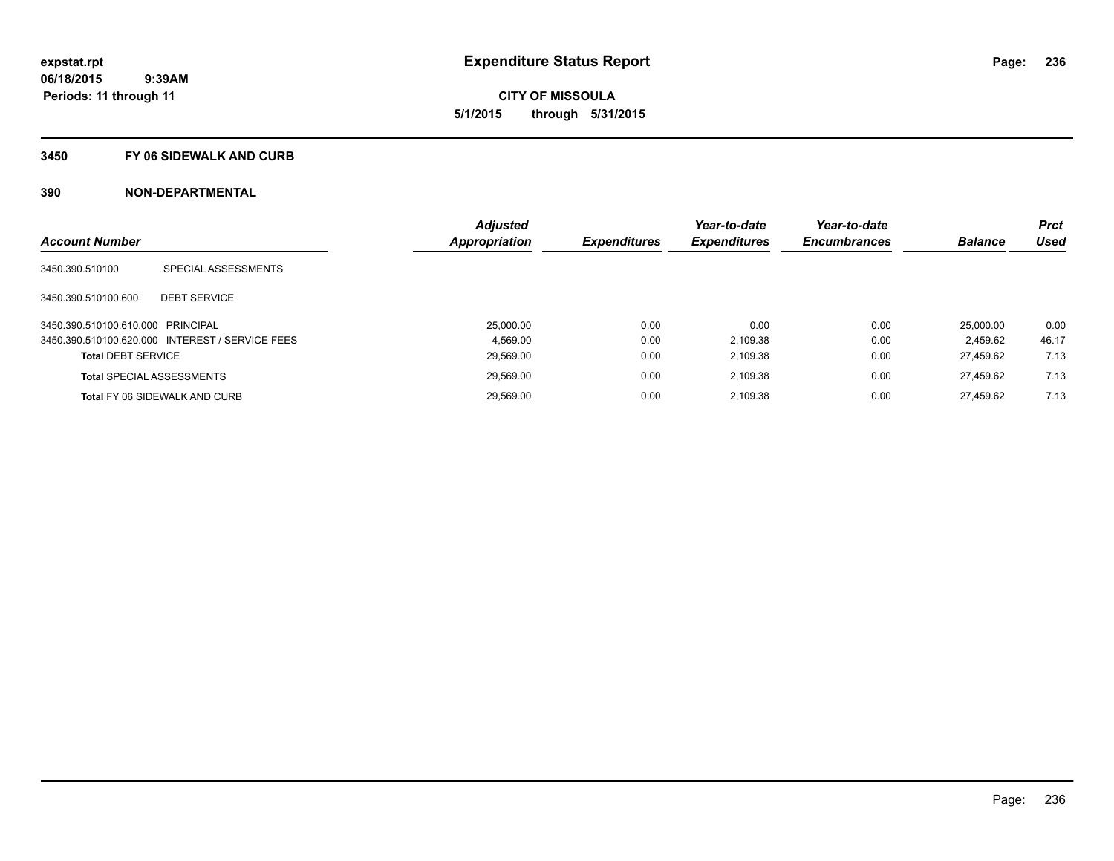**CITY OF MISSOULA 5/1/2015 through 5/31/2015**

### **3450 FY 06 SIDEWALK AND CURB**

|                                   |                                                 | <b>Adjusted</b> |                     | Year-to-date        | Year-to-date        |                | <b>Prct</b> |
|-----------------------------------|-------------------------------------------------|-----------------|---------------------|---------------------|---------------------|----------------|-------------|
| <b>Account Number</b>             |                                                 | Appropriation   | <b>Expenditures</b> | <b>Expenditures</b> | <b>Encumbrances</b> | <b>Balance</b> | <b>Used</b> |
| 3450.390.510100                   | SPECIAL ASSESSMENTS                             |                 |                     |                     |                     |                |             |
| 3450.390.510100.600               | <b>DEBT SERVICE</b>                             |                 |                     |                     |                     |                |             |
| 3450.390.510100.610.000 PRINCIPAL |                                                 | 25,000.00       | 0.00                | 0.00                | 0.00                | 25,000.00      | 0.00        |
|                                   | 3450.390.510100.620.000 INTEREST / SERVICE FEES | 4.569.00        | 0.00                | 2.109.38            | 0.00                | 2.459.62       | 46.17       |
| <b>Total DEBT SERVICE</b>         |                                                 | 29.569.00       | 0.00                | 2.109.38            | 0.00                | 27.459.62      | 7.13        |
|                                   | <b>Total SPECIAL ASSESSMENTS</b>                | 29,569.00       | 0.00                | 2.109.38            | 0.00                | 27.459.62      | 7.13        |
|                                   | <b>Total FY 06 SIDEWALK AND CURB</b>            | 29.569.00       | 0.00                | 2.109.38            | 0.00                | 27.459.62      | 7.13        |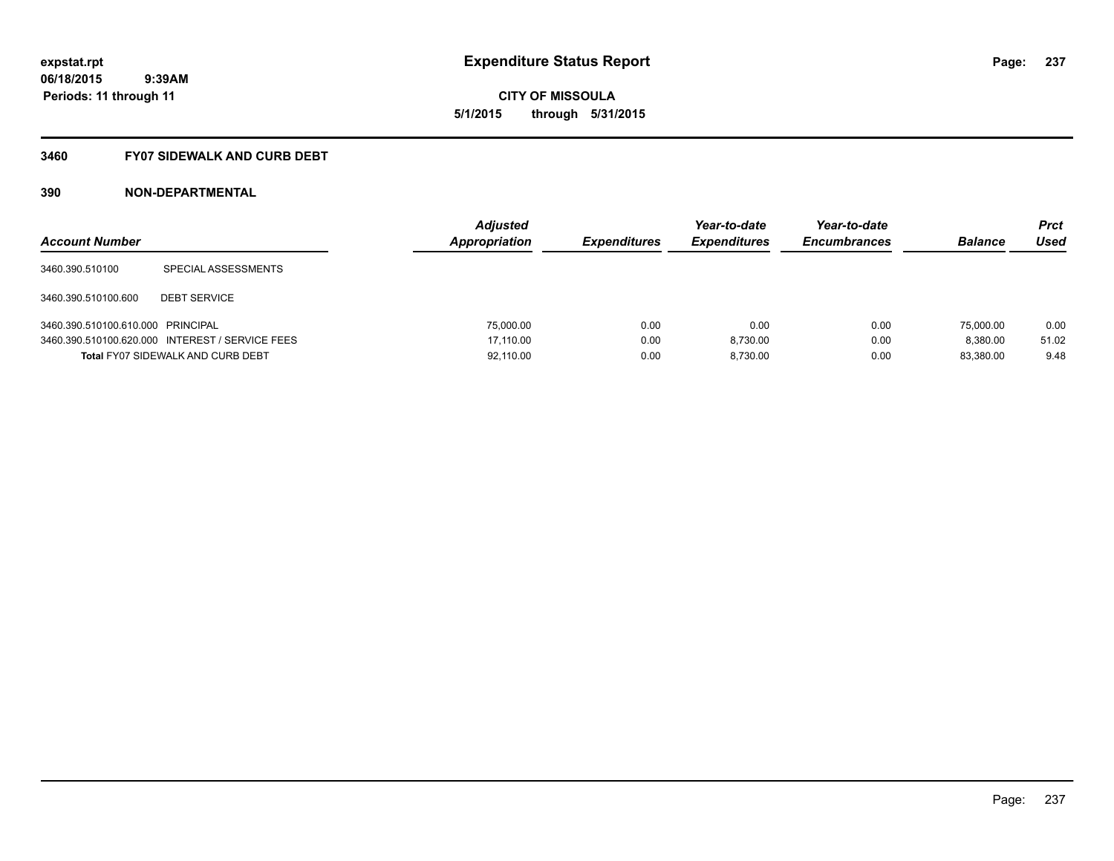**06/18/2015 9:39AM Periods: 11 through 11**

**CITY OF MISSOULA 5/1/2015 through 5/31/2015**

# **3460 FY07 SIDEWALK AND CURB DEBT**

| <b>Account Number</b>             |                                                 | <b>Adjusted</b><br>Appropriation | <b>Expenditures</b> | Year-to-date<br><b>Expenditures</b> | Year-to-date<br><b>Encumbrances</b> | <b>Balance</b> | <b>Prct</b><br>Used |
|-----------------------------------|-------------------------------------------------|----------------------------------|---------------------|-------------------------------------|-------------------------------------|----------------|---------------------|
| 3460.390.510100                   | SPECIAL ASSESSMENTS                             |                                  |                     |                                     |                                     |                |                     |
| 3460.390.510100.600               | <b>DEBT SERVICE</b>                             |                                  |                     |                                     |                                     |                |                     |
| 3460.390.510100.610.000 PRINCIPAL |                                                 | 75,000.00                        | 0.00                | 0.00                                | 0.00                                | 75,000.00      | 0.00                |
|                                   | 3460.390.510100.620.000 INTEREST / SERVICE FEES | 17.110.00                        | 0.00                | 8.730.00                            | 0.00                                | 8.380.00       | 51.02               |
|                                   | <b>Total FY07 SIDEWALK AND CURB DEBT</b>        | 92.110.00                        | 0.00                | 8.730.00                            | 0.00                                | 83.380.00      | 9.48                |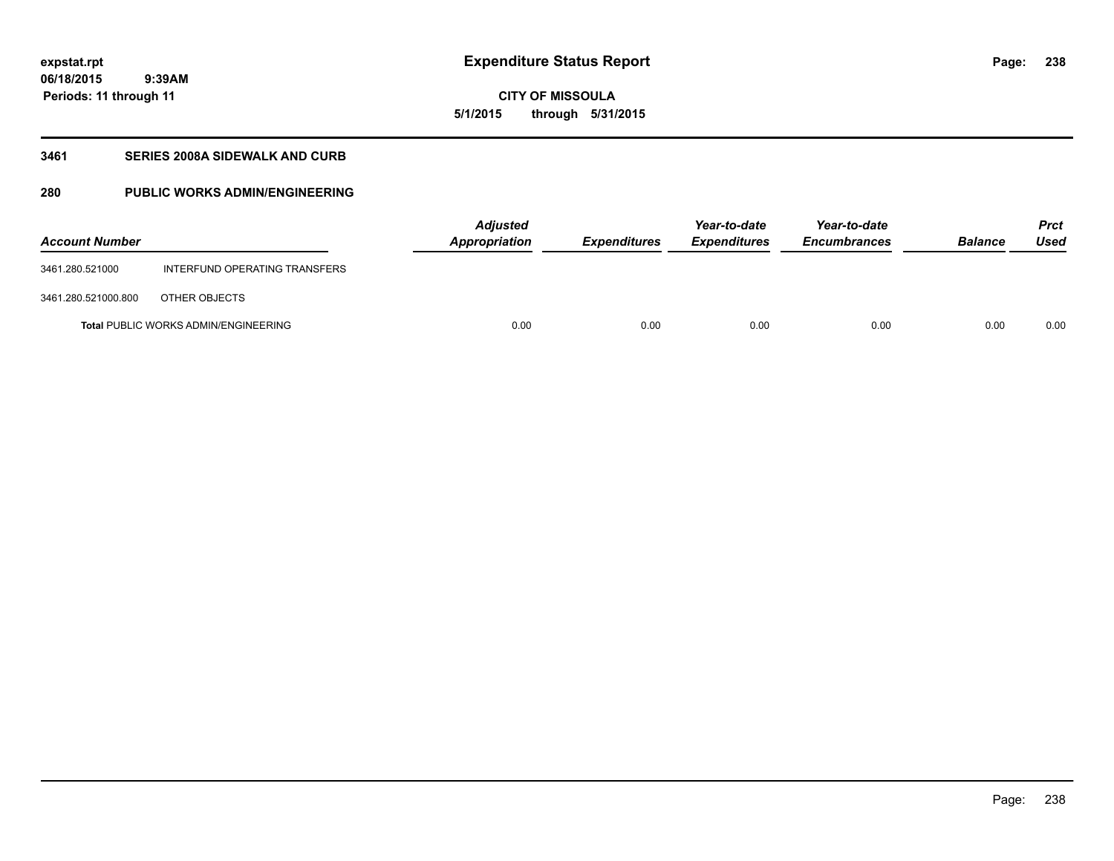**06/18/2015 9:39AM Periods: 11 through 11**

# **CITY OF MISSOULA 5/1/2015 through 5/31/2015**

# **3461 SERIES 2008A SIDEWALK AND CURB**

# **280 PUBLIC WORKS ADMIN/ENGINEERING**

| <b>Account Number</b> |                                             | <b>Adjusted</b><br>Appropriation | <b>Expenditures</b> | Year-to-date<br><i><b>Expenditures</b></i> | Year-to-date<br><b>Encumbrances</b> | <b>Balance</b> | Prct<br>Used |
|-----------------------|---------------------------------------------|----------------------------------|---------------------|--------------------------------------------|-------------------------------------|----------------|--------------|
| 3461.280.521000       | INTERFUND OPERATING TRANSFERS               |                                  |                     |                                            |                                     |                |              |
| 3461.280.521000.800   | OTHER OBJECTS                               |                                  |                     |                                            |                                     |                |              |
|                       | <b>Total PUBLIC WORKS ADMIN/ENGINEERING</b> | 0.00                             | 0.00                | 0.00                                       | 0.00                                | 0.00           | 0.00         |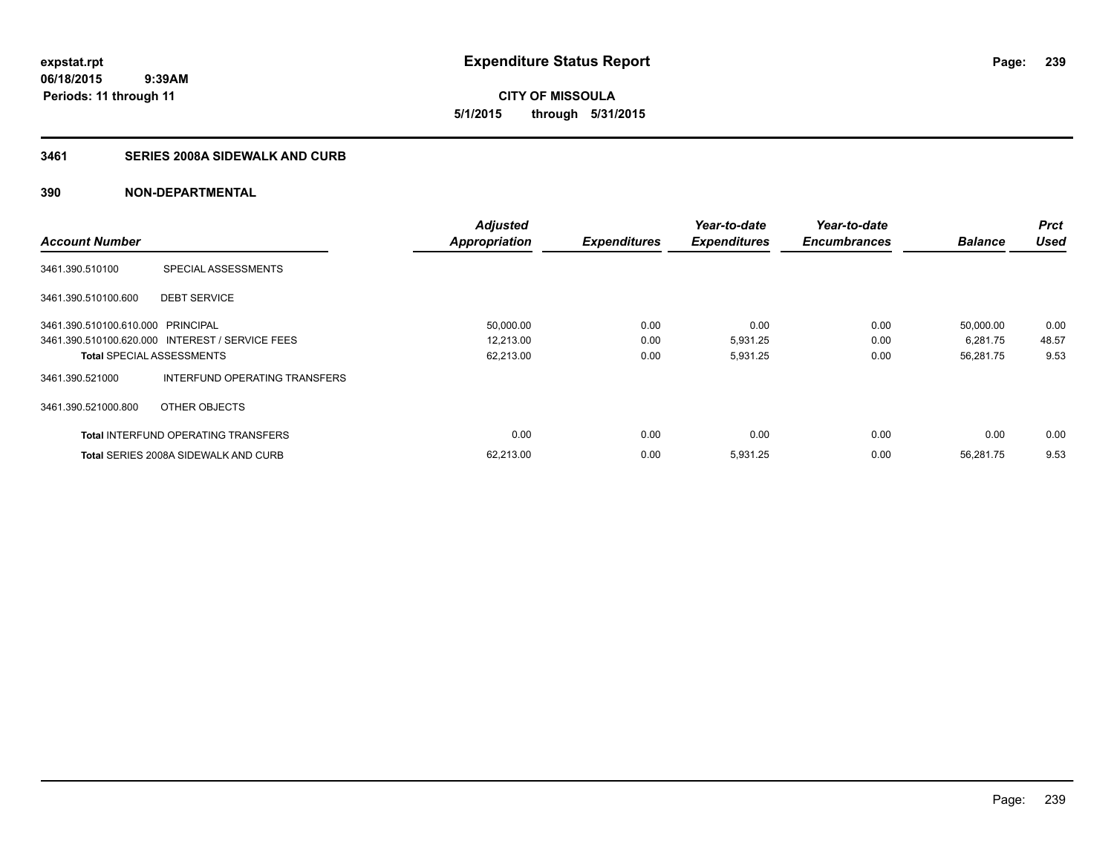**CITY OF MISSOULA 5/1/2015 through 5/31/2015**

# **3461 SERIES 2008A SIDEWALK AND CURB**

|                                   |                                                 | <b>Adjusted</b>      |                     | Year-to-date        | Year-to-date        |                | <b>Prct</b> |
|-----------------------------------|-------------------------------------------------|----------------------|---------------------|---------------------|---------------------|----------------|-------------|
| <b>Account Number</b>             |                                                 | <b>Appropriation</b> | <b>Expenditures</b> | <b>Expenditures</b> | <b>Encumbrances</b> | <b>Balance</b> | <b>Used</b> |
| 3461.390.510100                   | SPECIAL ASSESSMENTS                             |                      |                     |                     |                     |                |             |
| 3461.390.510100.600               | <b>DEBT SERVICE</b>                             |                      |                     |                     |                     |                |             |
| 3461.390.510100.610.000 PRINCIPAL |                                                 | 50,000.00            | 0.00                | 0.00                | 0.00                | 50.000.00      | 0.00        |
|                                   | 3461.390.510100.620.000 INTEREST / SERVICE FEES | 12,213.00            | 0.00                | 5,931.25            | 0.00                | 6,281.75       | 48.57       |
| <b>Total SPECIAL ASSESSMENTS</b>  |                                                 | 62,213.00            | 0.00                | 5,931.25            | 0.00                | 56,281.75      | 9.53        |
| 3461.390.521000                   | INTERFUND OPERATING TRANSFERS                   |                      |                     |                     |                     |                |             |
| 3461.390.521000.800               | OTHER OBJECTS                                   |                      |                     |                     |                     |                |             |
|                                   | <b>Total INTERFUND OPERATING TRANSFERS</b>      | 0.00                 | 0.00                | 0.00                | 0.00                | 0.00           | 0.00        |
|                                   | <b>Total SERIES 2008A SIDEWALK AND CURB</b>     | 62,213.00            | 0.00                | 5,931.25            | 0.00                | 56,281.75      | 9.53        |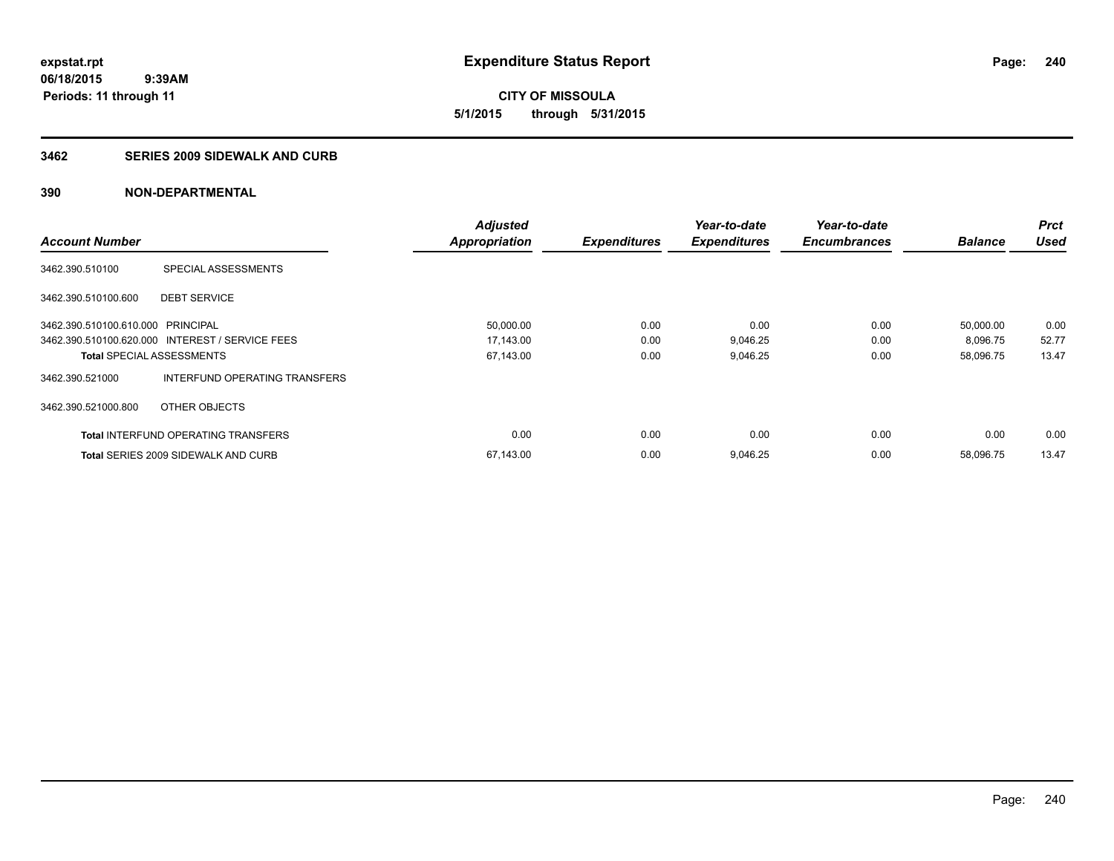**06/18/2015 9:39AM Periods: 11 through 11**

**CITY OF MISSOULA 5/1/2015 through 5/31/2015**

### **3462 SERIES 2009 SIDEWALK AND CURB**

|                                   |                                                 | <b>Adjusted</b>      |                     | Year-to-date        | Year-to-date        |                | <b>Prct</b> |
|-----------------------------------|-------------------------------------------------|----------------------|---------------------|---------------------|---------------------|----------------|-------------|
| <b>Account Number</b>             |                                                 | <b>Appropriation</b> | <b>Expenditures</b> | <b>Expenditures</b> | <b>Encumbrances</b> | <b>Balance</b> | <b>Used</b> |
| 3462.390.510100                   | SPECIAL ASSESSMENTS                             |                      |                     |                     |                     |                |             |
| 3462.390.510100.600               | <b>DEBT SERVICE</b>                             |                      |                     |                     |                     |                |             |
| 3462.390.510100.610.000 PRINCIPAL |                                                 | 50,000.00            | 0.00                | 0.00                | 0.00                | 50,000.00      | 0.00        |
|                                   | 3462.390.510100.620.000 INTEREST / SERVICE FEES | 17,143.00            | 0.00                | 9,046.25            | 0.00                | 8,096.75       | 52.77       |
| <b>Total SPECIAL ASSESSMENTS</b>  |                                                 | 67,143.00            | 0.00                | 9,046.25            | 0.00                | 58,096.75      | 13.47       |
| 3462.390.521000                   | INTERFUND OPERATING TRANSFERS                   |                      |                     |                     |                     |                |             |
| 3462.390.521000.800               | OTHER OBJECTS                                   |                      |                     |                     |                     |                |             |
|                                   | <b>Total INTERFUND OPERATING TRANSFERS</b>      | 0.00                 | 0.00                | 0.00                | 0.00                | 0.00           | 0.00        |
|                                   | <b>Total SERIES 2009 SIDEWALK AND CURB</b>      | 67,143.00            | 0.00                | 9,046.25            | 0.00                | 58,096.75      | 13.47       |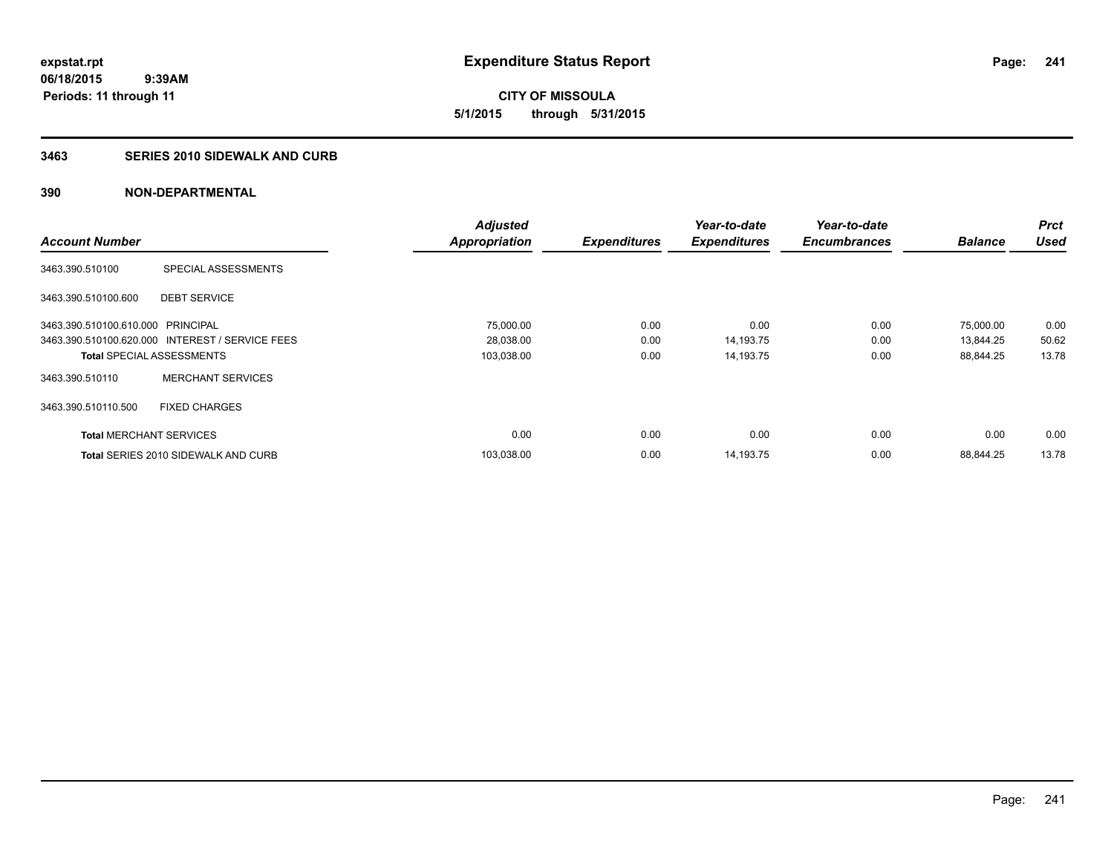**06/18/2015 9:39AM Periods: 11 through 11**

**CITY OF MISSOULA 5/1/2015 through 5/31/2015**

## **3463 SERIES 2010 SIDEWALK AND CURB**

|                                   |                                                 | <b>Adjusted</b>      |                     | Year-to-date        | Year-to-date        |                | <b>Prct</b> |
|-----------------------------------|-------------------------------------------------|----------------------|---------------------|---------------------|---------------------|----------------|-------------|
| <b>Account Number</b>             |                                                 | <b>Appropriation</b> | <b>Expenditures</b> | <b>Expenditures</b> | <b>Encumbrances</b> | <b>Balance</b> | <b>Used</b> |
| 3463.390.510100                   | SPECIAL ASSESSMENTS                             |                      |                     |                     |                     |                |             |
| 3463.390.510100.600               | <b>DEBT SERVICE</b>                             |                      |                     |                     |                     |                |             |
| 3463.390.510100.610.000 PRINCIPAL |                                                 | 75,000.00            | 0.00                | 0.00                | 0.00                | 75,000.00      | 0.00        |
|                                   | 3463.390.510100.620.000 INTEREST / SERVICE FEES | 28,038.00            | 0.00                | 14,193.75           | 0.00                | 13,844.25      | 50.62       |
| <b>Total SPECIAL ASSESSMENTS</b>  |                                                 | 103,038.00           | 0.00                | 14,193.75           | 0.00                | 88,844.25      | 13.78       |
| 3463.390.510110                   | <b>MERCHANT SERVICES</b>                        |                      |                     |                     |                     |                |             |
| 3463.390.510110.500               | <b>FIXED CHARGES</b>                            |                      |                     |                     |                     |                |             |
| <b>Total MERCHANT SERVICES</b>    |                                                 | 0.00                 | 0.00                | 0.00                | 0.00                | 0.00           | 0.00        |
|                                   | Total SERIES 2010 SIDEWALK AND CURB             | 103.038.00           | 0.00                | 14.193.75           | 0.00                | 88.844.25      | 13.78       |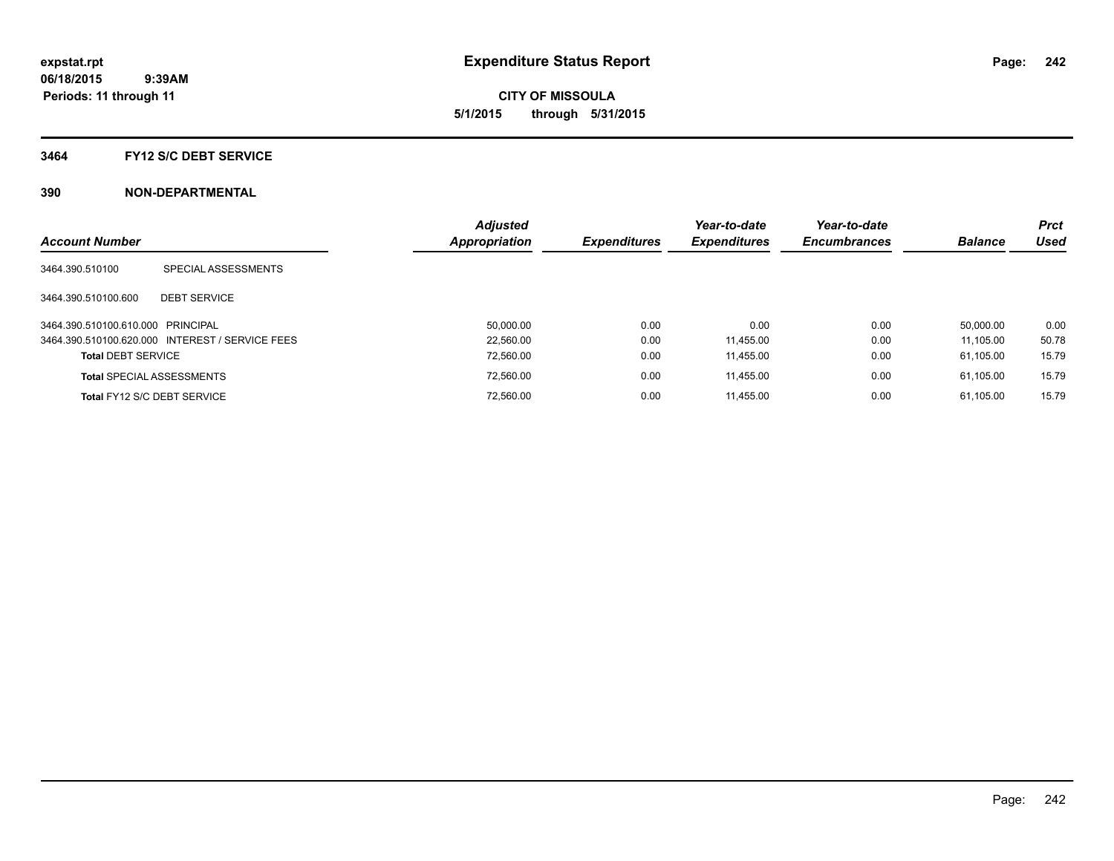**CITY OF MISSOULA 5/1/2015 through 5/31/2015**

### **3464 FY12 S/C DEBT SERVICE**

| <b>Account Number</b>             |                                                 | <b>Adjusted</b><br>Appropriation | <b>Expenditures</b> | Year-to-date<br><b>Expenditures</b> | Year-to-date<br><b>Encumbrances</b> | <b>Balance</b> | <b>Prct</b><br>Used |
|-----------------------------------|-------------------------------------------------|----------------------------------|---------------------|-------------------------------------|-------------------------------------|----------------|---------------------|
|                                   |                                                 |                                  |                     |                                     |                                     |                |                     |
| 3464.390.510100                   | SPECIAL ASSESSMENTS                             |                                  |                     |                                     |                                     |                |                     |
| 3464.390.510100.600               | <b>DEBT SERVICE</b>                             |                                  |                     |                                     |                                     |                |                     |
| 3464.390.510100.610.000 PRINCIPAL |                                                 | 50.000.00                        | 0.00                | 0.00                                | 0.00                                | 50.000.00      | 0.00                |
|                                   | 3464.390.510100.620.000 INTEREST / SERVICE FEES | 22.560.00                        | 0.00                | 11.455.00                           | 0.00                                | 11.105.00      | 50.78               |
| <b>Total DEBT SERVICE</b>         |                                                 | 72,560.00                        | 0.00                | 11.455.00                           | 0.00                                | 61.105.00      | 15.79               |
|                                   | <b>Total SPECIAL ASSESSMENTS</b>                | 72,560.00                        | 0.00                | 11.455.00                           | 0.00                                | 61.105.00      | 15.79               |
|                                   | Total FY12 S/C DEBT SERVICE                     | 72.560.00                        | 0.00                | 11.455.00                           | 0.00                                | 61.105.00      | 15.79               |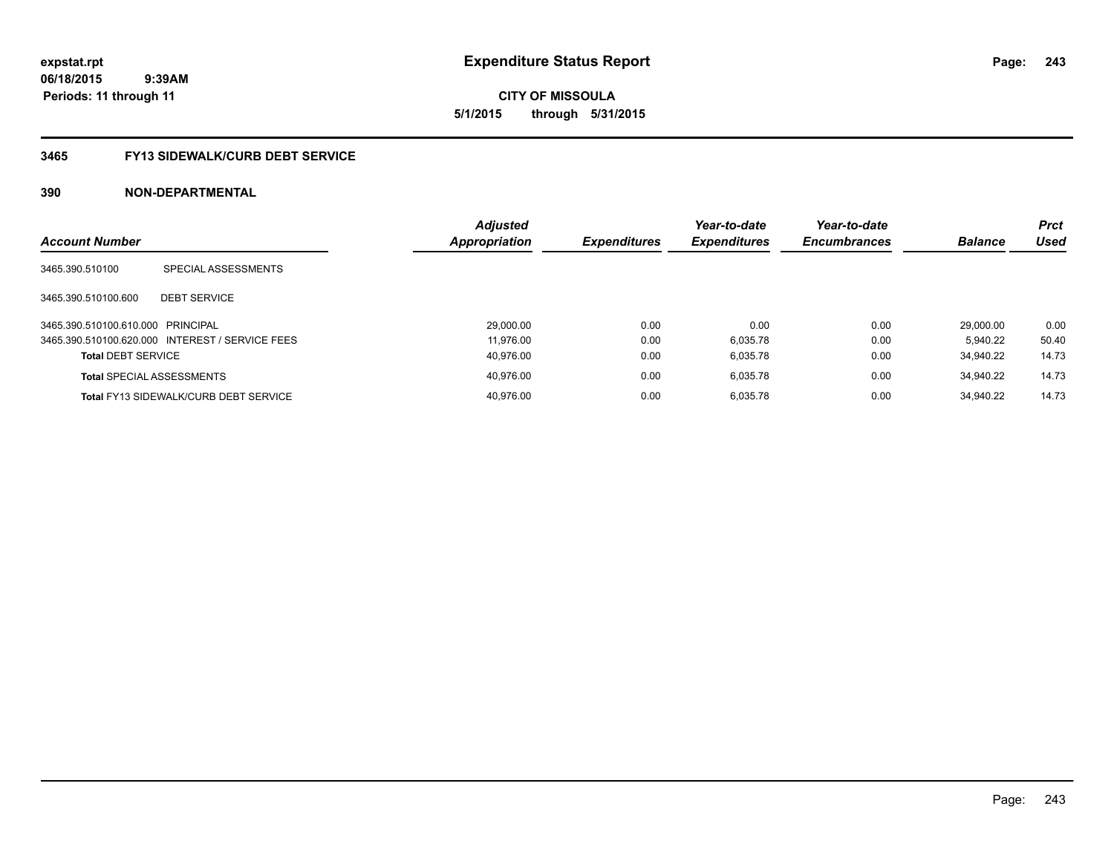**expstat.rpt Expenditure Status Report** 

**06/18/2015 9:39AM Periods: 11 through 11**

**CITY OF MISSOULA 5/1/2015 through 5/31/2015**

# **3465 FY13 SIDEWALK/CURB DEBT SERVICE**

| <b>Account Number</b>             |                                                 | <b>Adjusted</b><br><b>Appropriation</b> | <b>Expenditures</b> | Year-to-date<br><b>Expenditures</b> | Year-to-date<br><b>Encumbrances</b> | <b>Balance</b> | <b>Prct</b><br>Used |
|-----------------------------------|-------------------------------------------------|-----------------------------------------|---------------------|-------------------------------------|-------------------------------------|----------------|---------------------|
| 3465.390.510100                   | SPECIAL ASSESSMENTS                             |                                         |                     |                                     |                                     |                |                     |
| 3465.390.510100.600               | <b>DEBT SERVICE</b>                             |                                         |                     |                                     |                                     |                |                     |
| 3465.390.510100.610.000 PRINCIPAL |                                                 | 29,000.00                               | 0.00                | 0.00                                | 0.00                                | 29.000.00      | 0.00                |
|                                   | 3465.390.510100.620.000 INTEREST / SERVICE FEES | 11.976.00                               | 0.00                | 6,035.78                            | 0.00                                | 5.940.22       | 50.40               |
| <b>Total DEBT SERVICE</b>         |                                                 | 40.976.00                               | 0.00                | 6,035.78                            | 0.00                                | 34.940.22      | 14.73               |
| <b>Total SPECIAL ASSESSMENTS</b>  |                                                 | 40.976.00                               | 0.00                | 6.035.78                            | 0.00                                | 34.940.22      | 14.73               |
|                                   | <b>Total FY13 SIDEWALK/CURB DEBT SERVICE</b>    | 40.976.00                               | 0.00                | 6.035.78                            | 0.00                                | 34.940.22      | 14.73               |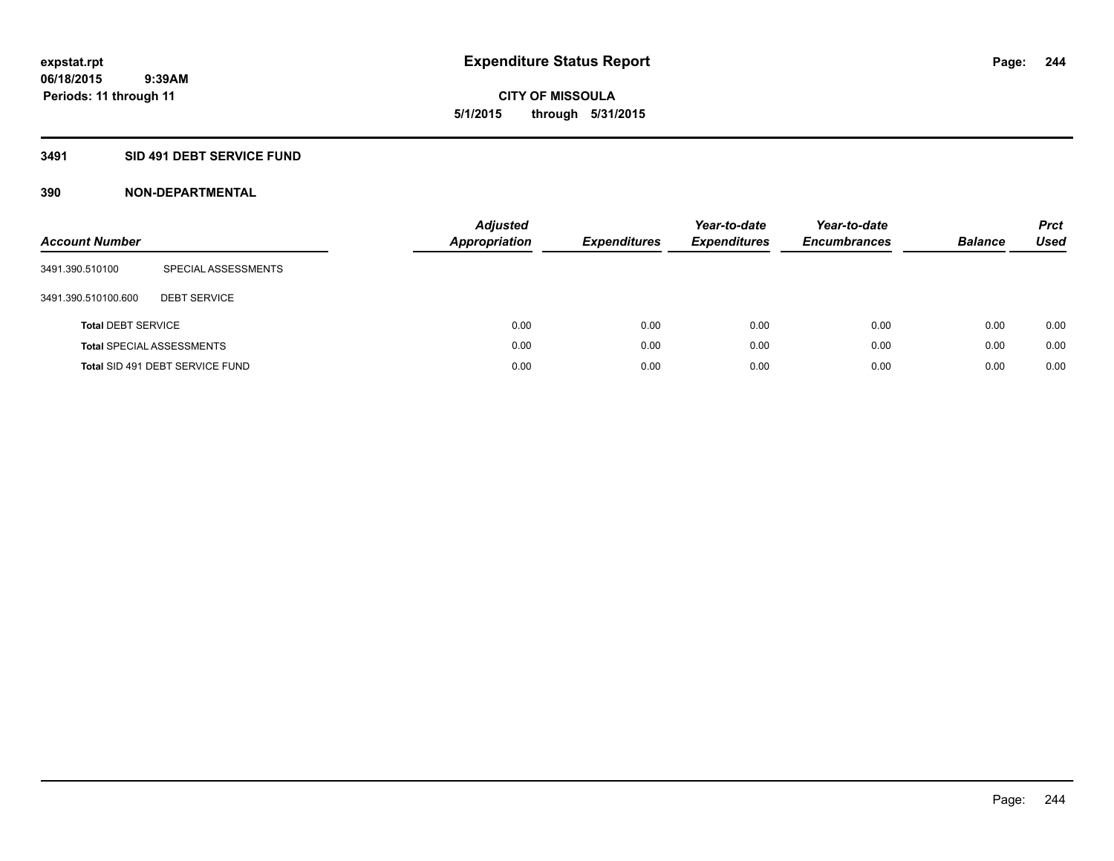**CITY OF MISSOULA 5/1/2015 through 5/31/2015**

# **3491 SID 491 DEBT SERVICE FUND**

| <b>Account Number</b>     |                                  | <b>Adjusted</b><br><b>Appropriation</b> | <b>Expenditures</b> | Year-to-date<br><b>Expenditures</b> | Year-to-date<br><b>Encumbrances</b> | <b>Balance</b> | <b>Prct</b><br>Used |
|---------------------------|----------------------------------|-----------------------------------------|---------------------|-------------------------------------|-------------------------------------|----------------|---------------------|
| 3491.390.510100           | SPECIAL ASSESSMENTS              |                                         |                     |                                     |                                     |                |                     |
| 3491.390.510100.600       | <b>DEBT SERVICE</b>              |                                         |                     |                                     |                                     |                |                     |
| <b>Total DEBT SERVICE</b> |                                  | 0.00                                    | 0.00                | 0.00                                | 0.00                                | 0.00           | 0.00                |
|                           | <b>Total SPECIAL ASSESSMENTS</b> | 0.00                                    | 0.00                | 0.00                                | 0.00                                | 0.00           | 0.00                |
|                           | Total SID 491 DEBT SERVICE FUND  | 0.00                                    | 0.00                | 0.00                                | 0.00                                | 0.00           | 0.00                |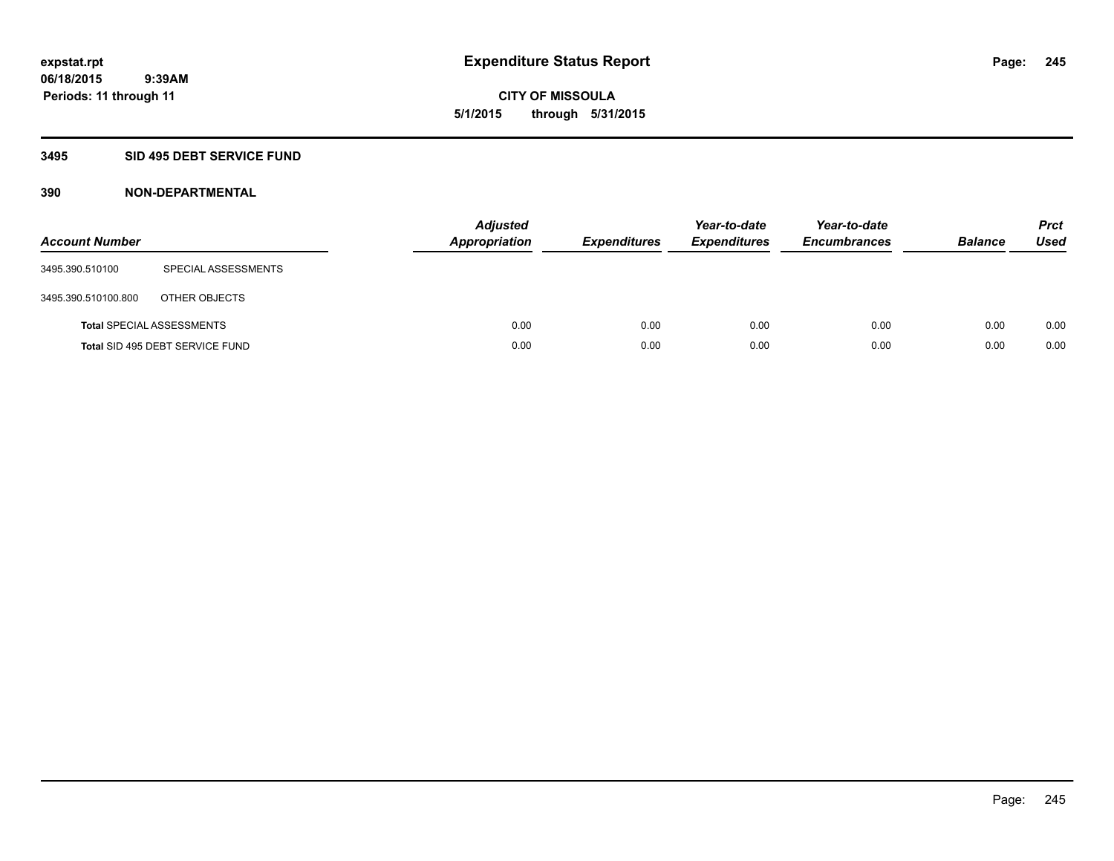**06/18/2015 9:39AM Periods: 11 through 11**

**CITY OF MISSOULA 5/1/2015 through 5/31/2015**

# **3495 SID 495 DEBT SERVICE FUND**

| <b>Account Number</b> |                                  | Adjusted<br><b>Appropriation</b> | <b>Expenditures</b> | Year-to-date<br><b>Expenditures</b> | Year-to-date<br><b>Encumbrances</b> | <b>Balance</b> | <b>Prct</b><br>Used |
|-----------------------|----------------------------------|----------------------------------|---------------------|-------------------------------------|-------------------------------------|----------------|---------------------|
| 3495.390.510100       | SPECIAL ASSESSMENTS              |                                  |                     |                                     |                                     |                |                     |
| 3495.390.510100.800   | OTHER OBJECTS                    |                                  |                     |                                     |                                     |                |                     |
|                       | <b>Total SPECIAL ASSESSMENTS</b> | 0.00                             | 0.00                | 0.00                                | 0.00                                | 0.00           | 0.00                |
|                       | Total SID 495 DEBT SERVICE FUND  | 0.00                             | 0.00                | 0.00                                | 0.00                                | 0.00           | 0.00                |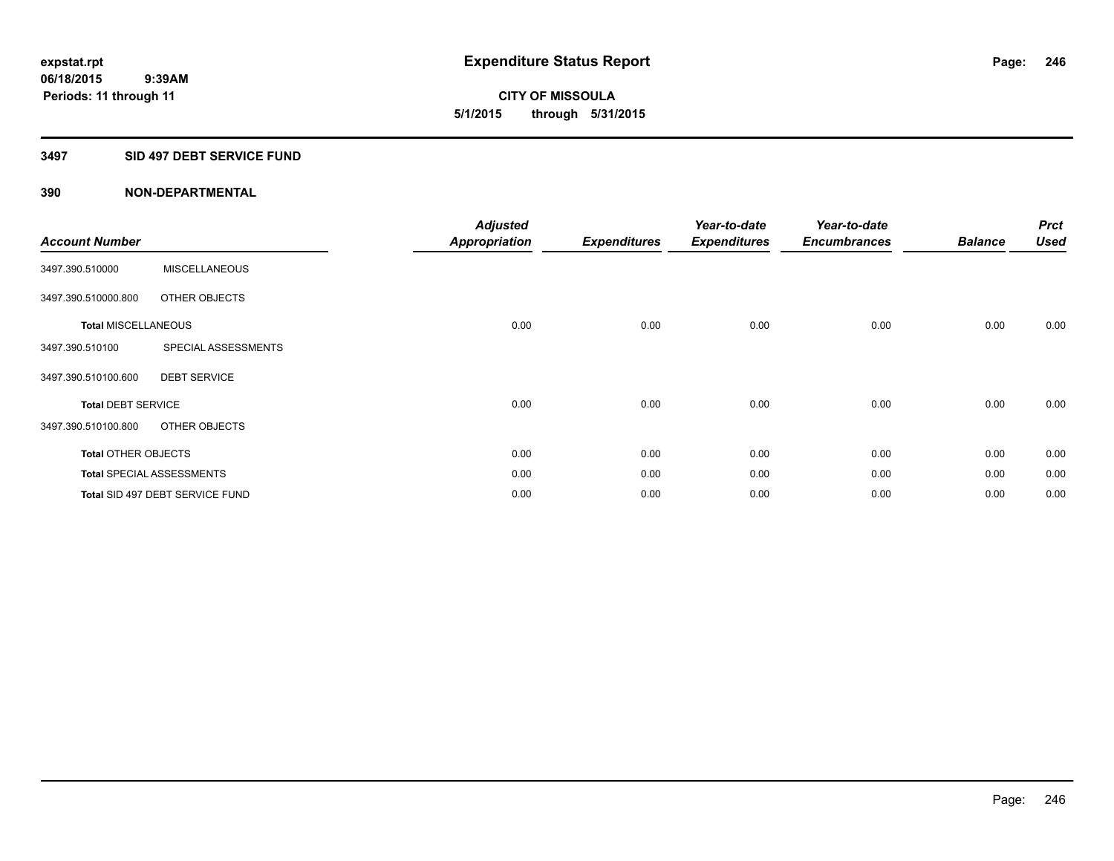**06/18/2015 9:39AM Periods: 11 through 11**

**CITY OF MISSOULA 5/1/2015 through 5/31/2015**

### **3497 SID 497 DEBT SERVICE FUND**

| <b>Account Number</b>      |                                  | <b>Adjusted</b><br><b>Appropriation</b> | <b>Expenditures</b> | Year-to-date<br><b>Expenditures</b> | Year-to-date<br><b>Encumbrances</b> | <b>Balance</b> | <b>Prct</b><br><b>Used</b> |
|----------------------------|----------------------------------|-----------------------------------------|---------------------|-------------------------------------|-------------------------------------|----------------|----------------------------|
| 3497.390.510000            | <b>MISCELLANEOUS</b>             |                                         |                     |                                     |                                     |                |                            |
| 3497.390.510000.800        | OTHER OBJECTS                    |                                         |                     |                                     |                                     |                |                            |
| <b>Total MISCELLANEOUS</b> |                                  | 0.00                                    | 0.00                | 0.00                                | 0.00                                | 0.00           | 0.00                       |
| 3497.390.510100            | SPECIAL ASSESSMENTS              |                                         |                     |                                     |                                     |                |                            |
| 3497.390.510100.600        | <b>DEBT SERVICE</b>              |                                         |                     |                                     |                                     |                |                            |
| <b>Total DEBT SERVICE</b>  |                                  | 0.00                                    | 0.00                | 0.00                                | 0.00                                | 0.00           | 0.00                       |
| 3497.390.510100.800        | OTHER OBJECTS                    |                                         |                     |                                     |                                     |                |                            |
| <b>Total OTHER OBJECTS</b> |                                  | 0.00                                    | 0.00                | 0.00                                | 0.00                                | 0.00           | 0.00                       |
|                            | <b>Total SPECIAL ASSESSMENTS</b> | 0.00                                    | 0.00                | 0.00                                | 0.00                                | 0.00           | 0.00                       |
|                            | Total SID 497 DEBT SERVICE FUND  | 0.00                                    | 0.00                | 0.00                                | 0.00                                | 0.00           | 0.00                       |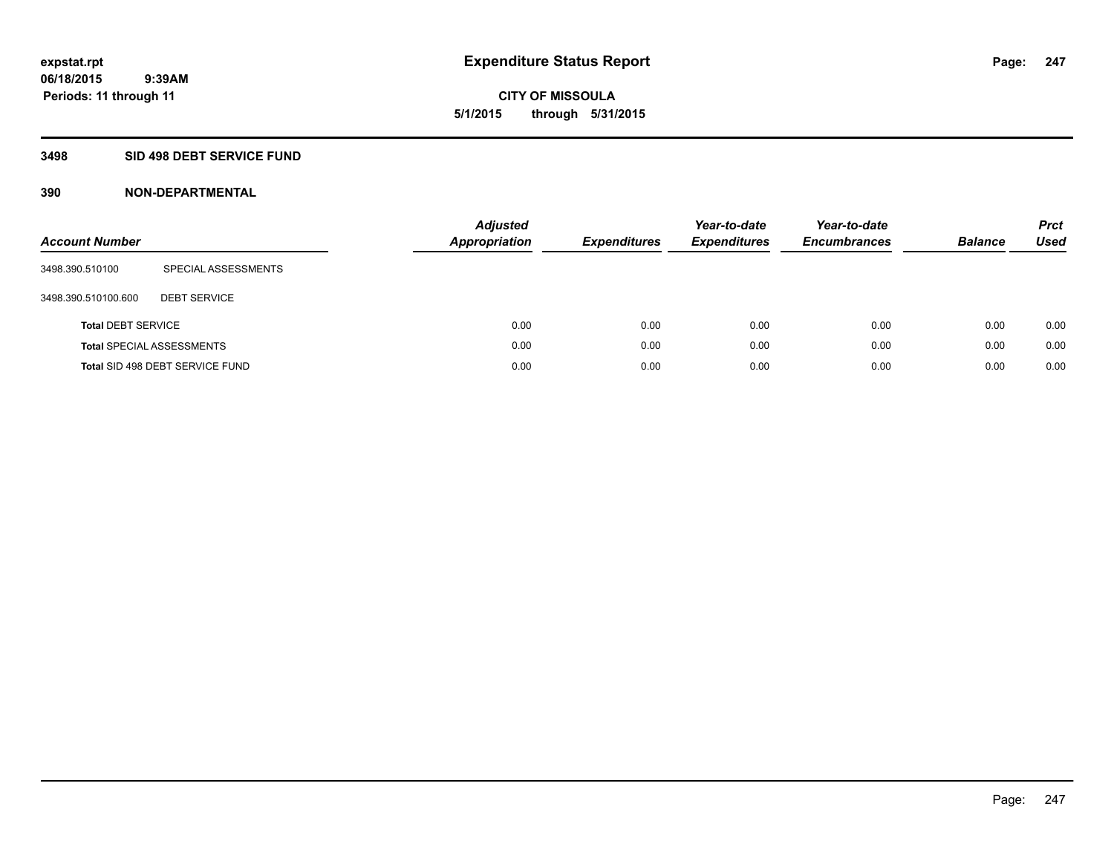**06/18/2015 9:39AM Periods: 11 through 11**

**CITY OF MISSOULA 5/1/2015 through 5/31/2015**

## **3498 SID 498 DEBT SERVICE FUND**

| <b>Account Number</b>     |                                  | <b>Adjusted</b><br><b>Appropriation</b> | <b>Expenditures</b> | Year-to-date<br><b>Expenditures</b> | Year-to-date<br><b>Encumbrances</b> | <b>Balance</b> | <b>Prct</b><br>Used |
|---------------------------|----------------------------------|-----------------------------------------|---------------------|-------------------------------------|-------------------------------------|----------------|---------------------|
| 3498.390.510100           | SPECIAL ASSESSMENTS              |                                         |                     |                                     |                                     |                |                     |
| 3498.390.510100.600       | <b>DEBT SERVICE</b>              |                                         |                     |                                     |                                     |                |                     |
| <b>Total DEBT SERVICE</b> |                                  | 0.00                                    | 0.00                | 0.00                                | 0.00                                | 0.00           | 0.00                |
|                           | <b>Total SPECIAL ASSESSMENTS</b> | 0.00                                    | 0.00                | 0.00                                | 0.00                                | 0.00           | 0.00                |
|                           | Total SID 498 DEBT SERVICE FUND  | 0.00                                    | 0.00                | 0.00                                | 0.00                                | 0.00           | 0.00                |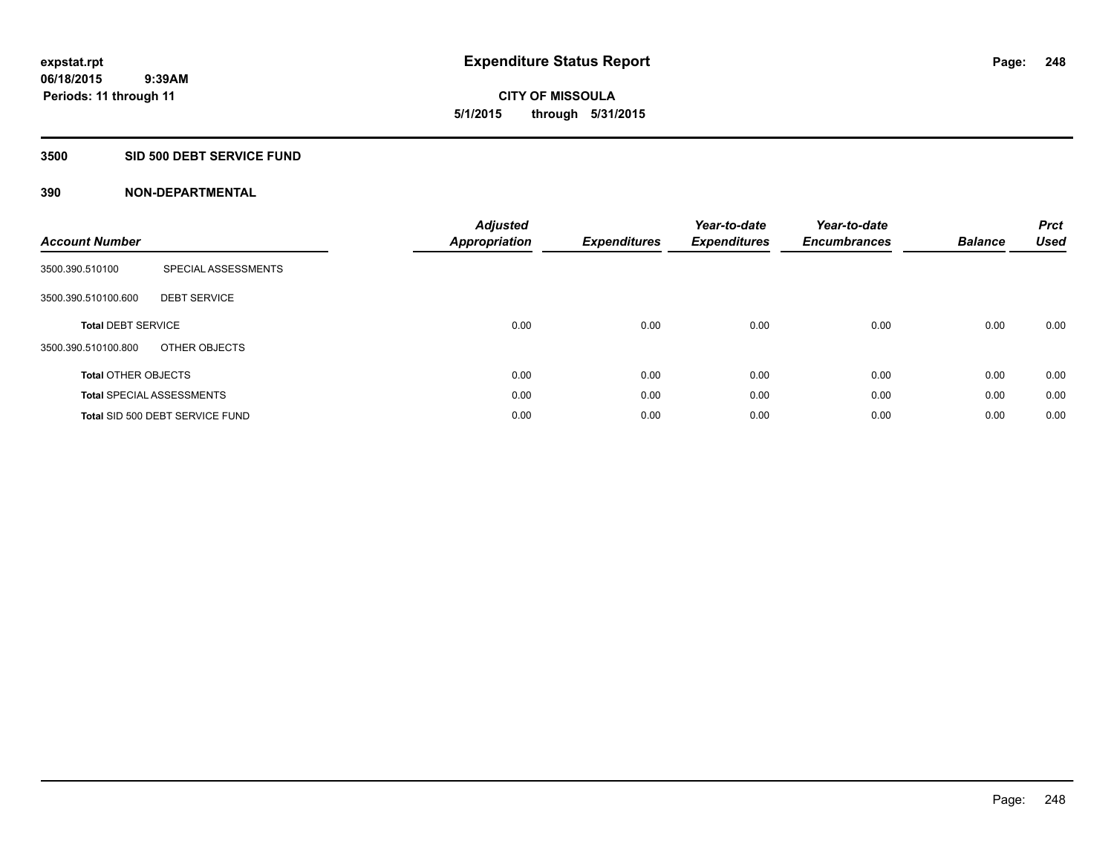**06/18/2015 9:39AM Periods: 11 through 11**

# **CITY OF MISSOULA 5/1/2015 through 5/31/2015**

# **3500 SID 500 DEBT SERVICE FUND**

| <b>Account Number</b>      |                                  | <b>Adjusted</b><br>Appropriation | <b>Expenditures</b> | Year-to-date<br><b>Expenditures</b> | Year-to-date<br><b>Encumbrances</b> | <b>Balance</b> | <b>Prct</b><br><b>Used</b> |
|----------------------------|----------------------------------|----------------------------------|---------------------|-------------------------------------|-------------------------------------|----------------|----------------------------|
| 3500.390.510100            | SPECIAL ASSESSMENTS              |                                  |                     |                                     |                                     |                |                            |
| 3500.390.510100.600        | <b>DEBT SERVICE</b>              |                                  |                     |                                     |                                     |                |                            |
| <b>Total DEBT SERVICE</b>  |                                  | 0.00                             | 0.00                | 0.00                                | 0.00                                | 0.00           | 0.00                       |
| 3500.390.510100.800        | OTHER OBJECTS                    |                                  |                     |                                     |                                     |                |                            |
| <b>Total OTHER OBJECTS</b> |                                  | 0.00                             | 0.00                | 0.00                                | 0.00                                | 0.00           | 0.00                       |
|                            | <b>Total SPECIAL ASSESSMENTS</b> | 0.00                             | 0.00                | 0.00                                | 0.00                                | 0.00           | 0.00                       |
|                            | Total SID 500 DEBT SERVICE FUND  | 0.00                             | 0.00                | 0.00                                | 0.00                                | 0.00           | 0.00                       |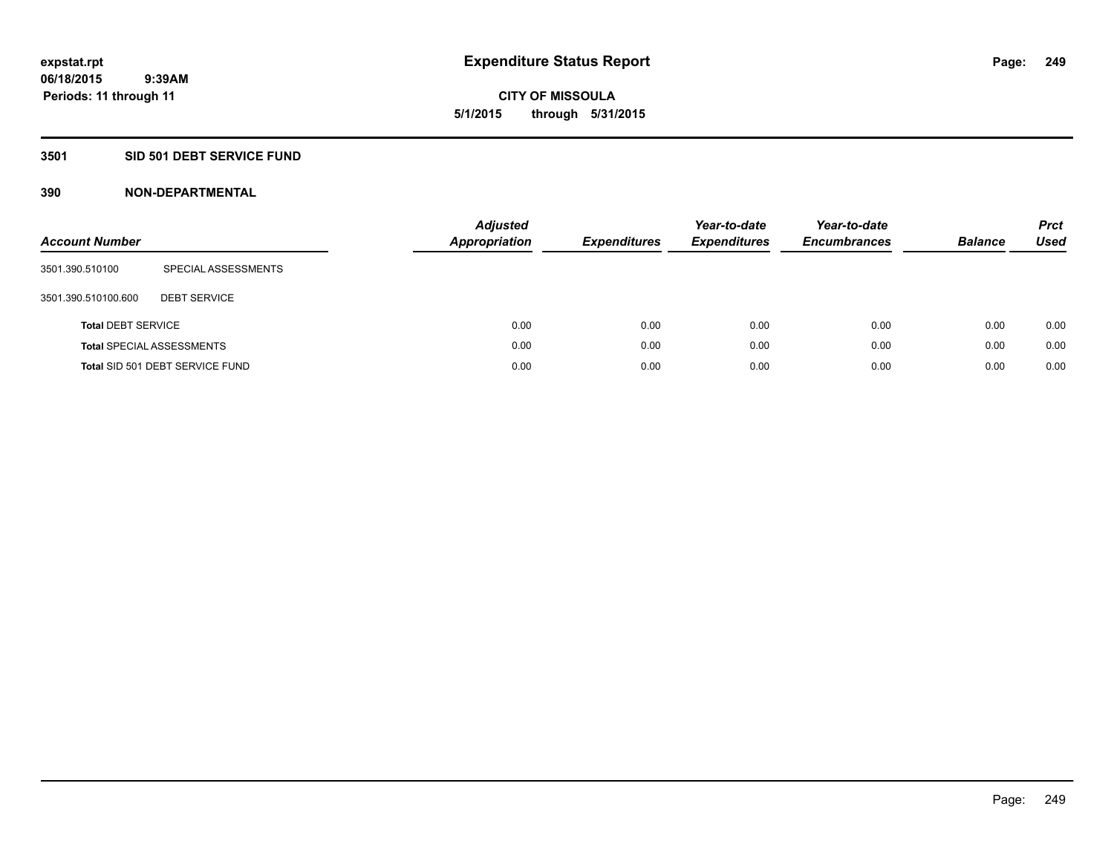**06/18/2015 9:39AM Periods: 11 through 11**

**CITY OF MISSOULA 5/1/2015 through 5/31/2015**

## **3501 SID 501 DEBT SERVICE FUND**

| <b>Account Number</b>     |                                  | <b>Adjusted</b><br><b>Appropriation</b> | <b>Expenditures</b> | Year-to-date<br><b>Expenditures</b> | Year-to-date<br><b>Encumbrances</b> | <b>Balance</b> | <b>Prct</b><br>Used |
|---------------------------|----------------------------------|-----------------------------------------|---------------------|-------------------------------------|-------------------------------------|----------------|---------------------|
| 3501.390.510100           | SPECIAL ASSESSMENTS              |                                         |                     |                                     |                                     |                |                     |
| 3501.390.510100.600       | <b>DEBT SERVICE</b>              |                                         |                     |                                     |                                     |                |                     |
| <b>Total DEBT SERVICE</b> |                                  | 0.00                                    | 0.00                | 0.00                                | 0.00                                | 0.00           | 0.00                |
|                           | <b>Total SPECIAL ASSESSMENTS</b> | 0.00                                    | 0.00                | 0.00                                | 0.00                                | 0.00           | 0.00                |
|                           | Total SID 501 DEBT SERVICE FUND  | 0.00                                    | 0.00                | 0.00                                | 0.00                                | 0.00           | 0.00                |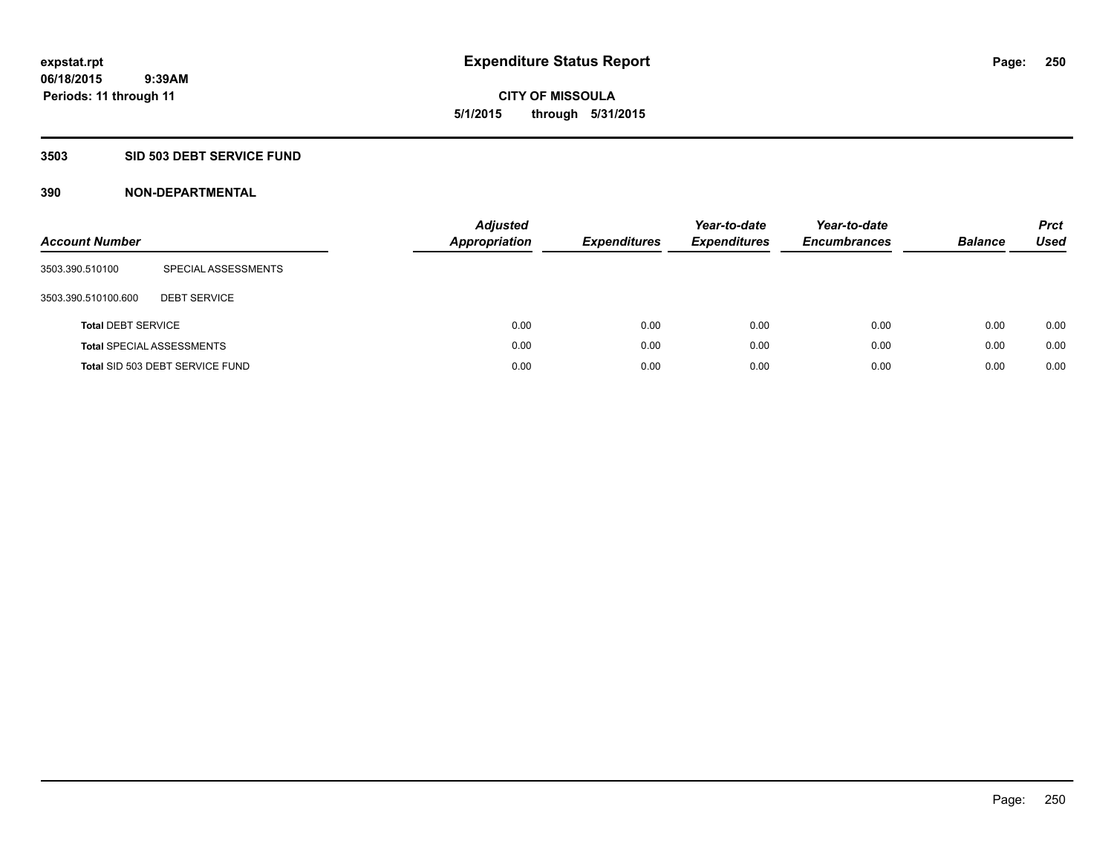**06/18/2015 9:39AM Periods: 11 through 11**

# **CITY OF MISSOULA 5/1/2015 through 5/31/2015**

# **3503 SID 503 DEBT SERVICE FUND**

| <b>Account Number</b>     |                                  | <b>Adjusted</b><br><b>Appropriation</b> | <b>Expenditures</b> | Year-to-date<br><b>Expenditures</b> | Year-to-date<br><b>Encumbrances</b> | <b>Balance</b> | <b>Prct</b><br><b>Used</b> |
|---------------------------|----------------------------------|-----------------------------------------|---------------------|-------------------------------------|-------------------------------------|----------------|----------------------------|
| 3503.390.510100           | SPECIAL ASSESSMENTS              |                                         |                     |                                     |                                     |                |                            |
| 3503.390.510100.600       | <b>DEBT SERVICE</b>              |                                         |                     |                                     |                                     |                |                            |
| <b>Total DEBT SERVICE</b> |                                  | 0.00                                    | 0.00                | 0.00                                | 0.00                                | 0.00           | 0.00                       |
|                           | <b>Total SPECIAL ASSESSMENTS</b> | 0.00                                    | 0.00                | 0.00                                | 0.00                                | 0.00           | 0.00                       |
|                           | Total SID 503 DEBT SERVICE FUND  | 0.00                                    | 0.00                | 0.00                                | 0.00                                | 0.00           | 0.00                       |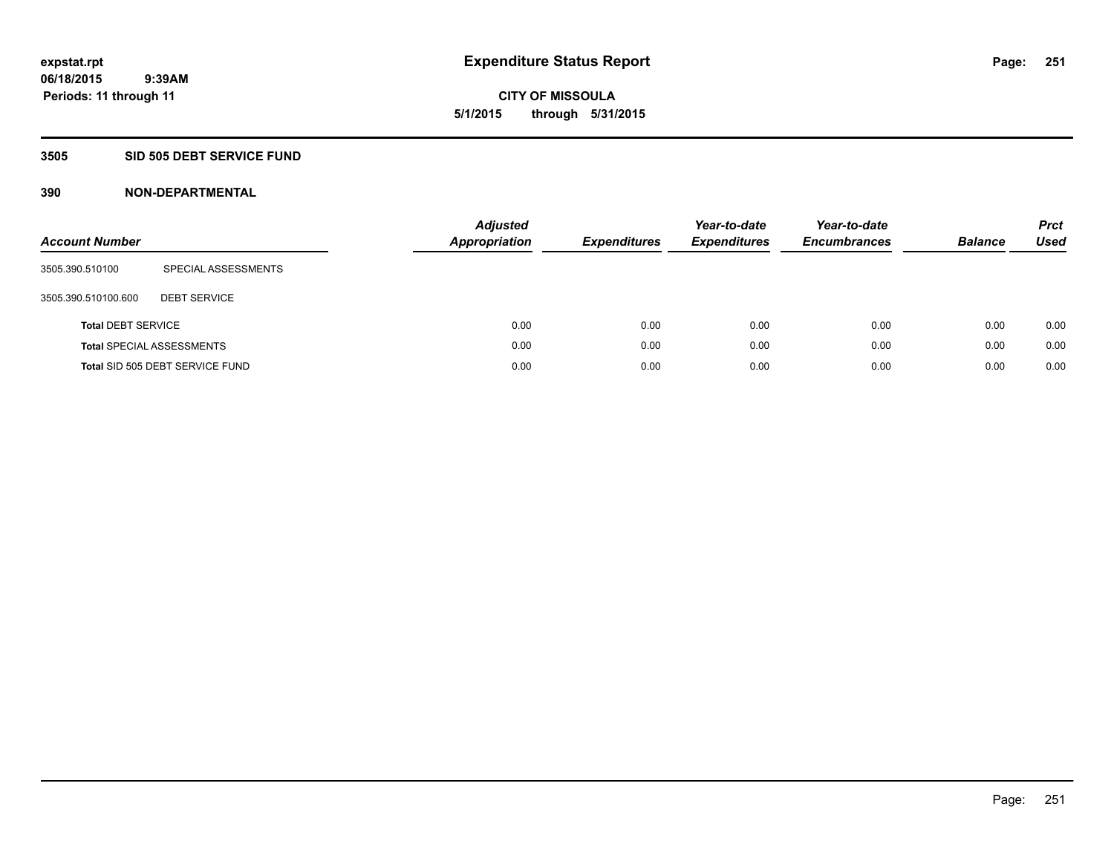**06/18/2015 9:39AM Periods: 11 through 11**

# **CITY OF MISSOULA 5/1/2015 through 5/31/2015**

# **3505 SID 505 DEBT SERVICE FUND**

| <b>Account Number</b>     |                                  | <b>Adjusted</b><br><b>Appropriation</b> | <b>Expenditures</b> | Year-to-date<br><b>Expenditures</b> | Year-to-date<br><b>Encumbrances</b> | <b>Balance</b> | <b>Prct</b><br><b>Used</b> |
|---------------------------|----------------------------------|-----------------------------------------|---------------------|-------------------------------------|-------------------------------------|----------------|----------------------------|
| 3505.390.510100           | SPECIAL ASSESSMENTS              |                                         |                     |                                     |                                     |                |                            |
| 3505.390.510100.600       | <b>DEBT SERVICE</b>              |                                         |                     |                                     |                                     |                |                            |
| <b>Total DEBT SERVICE</b> |                                  | 0.00                                    | 0.00                | 0.00                                | 0.00                                | 0.00           | 0.00                       |
|                           | <b>Total SPECIAL ASSESSMENTS</b> | 0.00                                    | 0.00                | 0.00                                | 0.00                                | 0.00           | 0.00                       |
|                           | Total SID 505 DEBT SERVICE FUND  | 0.00                                    | 0.00                | 0.00                                | 0.00                                | 0.00           | 0.00                       |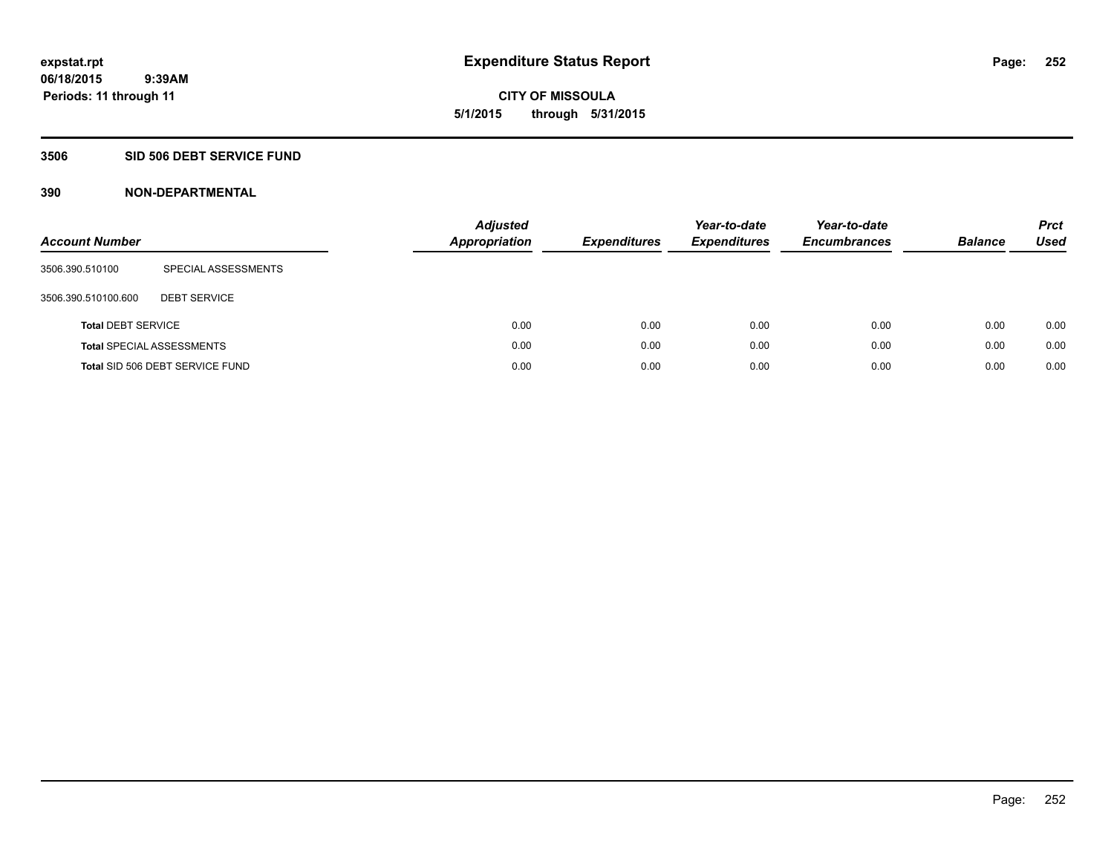**06/18/2015 9:39AM Periods: 11 through 11**

# **CITY OF MISSOULA 5/1/2015 through 5/31/2015**

# **3506 SID 506 DEBT SERVICE FUND**

| <b>Account Number</b>     |                                  | <b>Adjusted</b><br><b>Appropriation</b> | <b>Expenditures</b> | Year-to-date<br><b>Expenditures</b> | Year-to-date<br><b>Encumbrances</b> | <b>Balance</b> | <b>Prct</b><br><b>Used</b> |
|---------------------------|----------------------------------|-----------------------------------------|---------------------|-------------------------------------|-------------------------------------|----------------|----------------------------|
| 3506.390.510100           | SPECIAL ASSESSMENTS              |                                         |                     |                                     |                                     |                |                            |
| 3506.390.510100.600       | <b>DEBT SERVICE</b>              |                                         |                     |                                     |                                     |                |                            |
| <b>Total DEBT SERVICE</b> |                                  | 0.00                                    | 0.00                | 0.00                                | 0.00                                | 0.00           | 0.00                       |
|                           | <b>Total SPECIAL ASSESSMENTS</b> | 0.00                                    | 0.00                | 0.00                                | 0.00                                | 0.00           | 0.00                       |
|                           | Total SID 506 DEBT SERVICE FUND  | 0.00                                    | 0.00                | 0.00                                | 0.00                                | 0.00           | 0.00                       |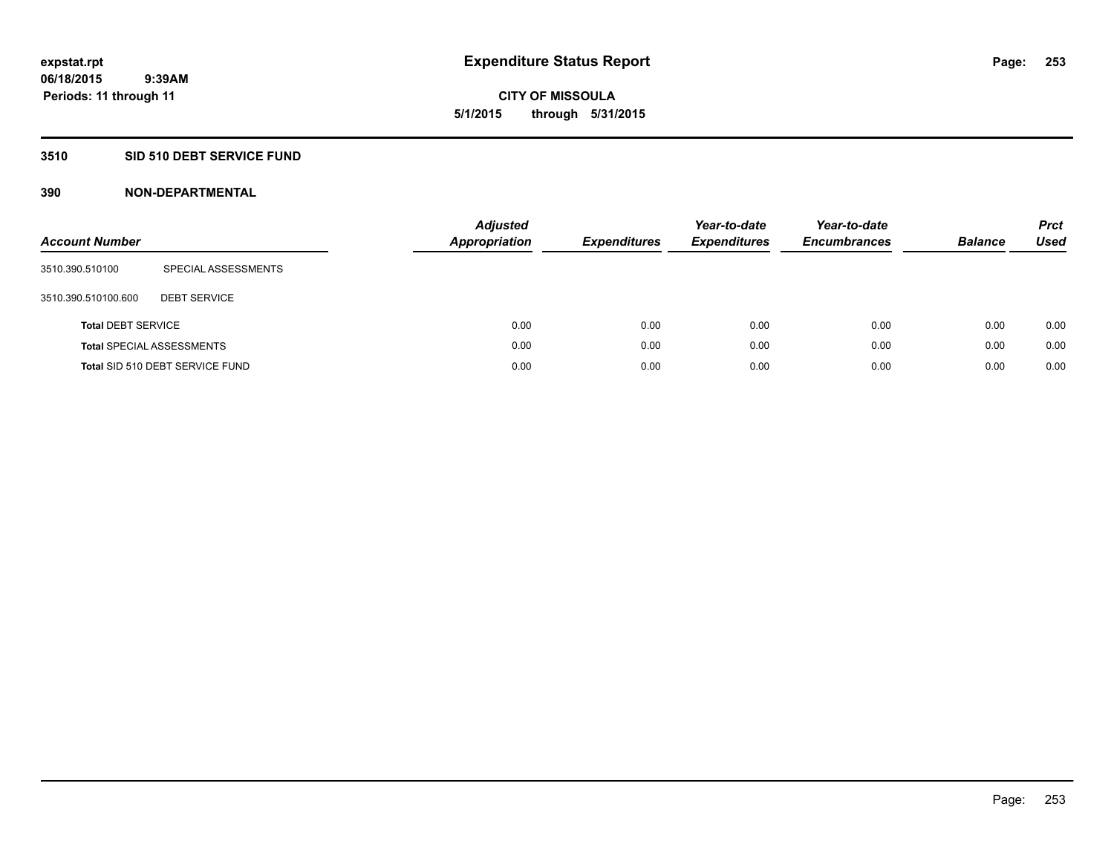**06/18/2015 9:39AM Periods: 11 through 11**

**CITY OF MISSOULA 5/1/2015 through 5/31/2015**

## **3510 SID 510 DEBT SERVICE FUND**

| <b>Account Number</b>     |                                  | <b>Adjusted</b><br><b>Appropriation</b> | <b>Expenditures</b> | Year-to-date<br><b>Expenditures</b> | Year-to-date<br><b>Encumbrances</b> | <b>Balance</b> | <b>Prct</b><br>Used |
|---------------------------|----------------------------------|-----------------------------------------|---------------------|-------------------------------------|-------------------------------------|----------------|---------------------|
| 3510.390.510100           | SPECIAL ASSESSMENTS              |                                         |                     |                                     |                                     |                |                     |
| 3510.390.510100.600       | <b>DEBT SERVICE</b>              |                                         |                     |                                     |                                     |                |                     |
| <b>Total DEBT SERVICE</b> |                                  | 0.00                                    | 0.00                | 0.00                                | 0.00                                | 0.00           | 0.00                |
|                           | <b>Total SPECIAL ASSESSMENTS</b> | 0.00                                    | 0.00                | 0.00                                | 0.00                                | 0.00           | 0.00                |
|                           | Total SID 510 DEBT SERVICE FUND  | 0.00                                    | 0.00                | 0.00                                | 0.00                                | 0.00           | 0.00                |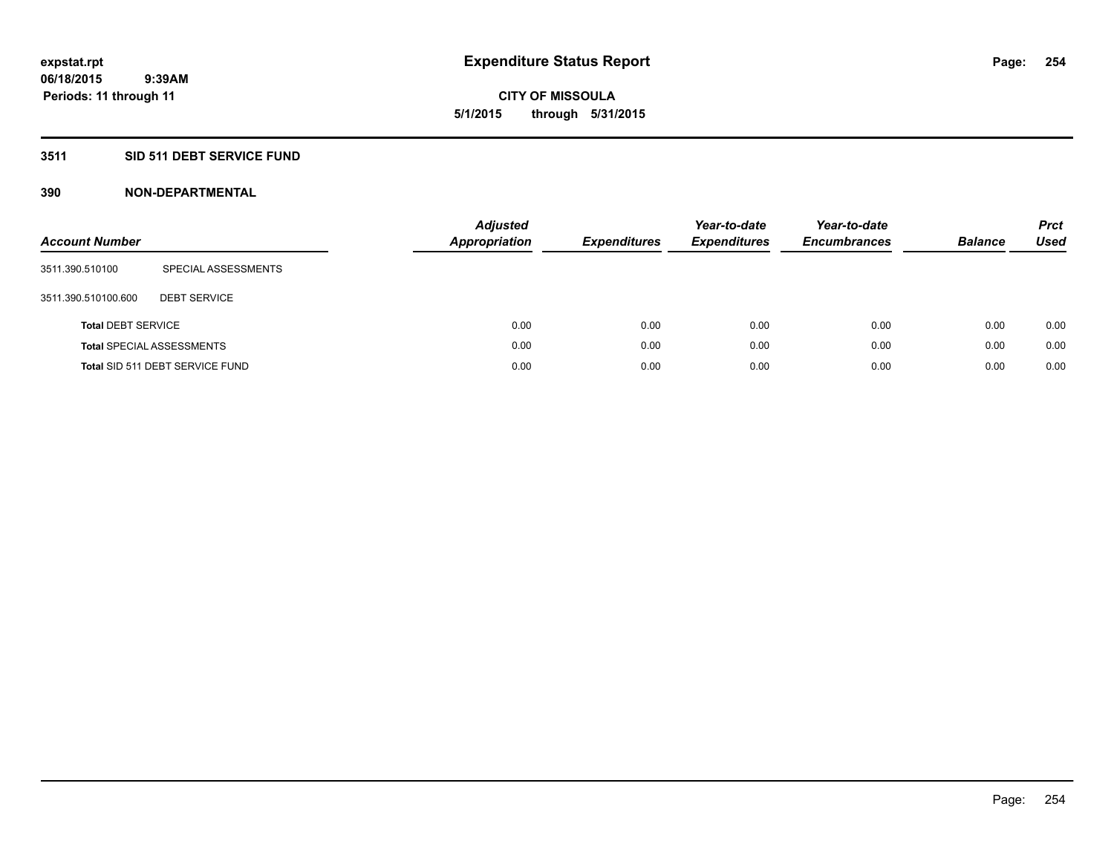**CITY OF MISSOULA 5/1/2015 through 5/31/2015**

# **3511 SID 511 DEBT SERVICE FUND**

| <b>Account Number</b>     |                                  | <b>Adjusted</b><br><b>Appropriation</b> | <b>Expenditures</b> | Year-to-date<br><b>Expenditures</b> | Year-to-date<br><b>Encumbrances</b> | <b>Balance</b> | <b>Prct</b><br>Used |
|---------------------------|----------------------------------|-----------------------------------------|---------------------|-------------------------------------|-------------------------------------|----------------|---------------------|
| 3511.390.510100           | SPECIAL ASSESSMENTS              |                                         |                     |                                     |                                     |                |                     |
| 3511.390.510100.600       | <b>DEBT SERVICE</b>              |                                         |                     |                                     |                                     |                |                     |
| <b>Total DEBT SERVICE</b> |                                  | 0.00                                    | 0.00                | 0.00                                | 0.00                                | 0.00           | 0.00                |
|                           | <b>Total SPECIAL ASSESSMENTS</b> | 0.00                                    | 0.00                | 0.00                                | 0.00                                | 0.00           | 0.00                |
|                           | Total SID 511 DEBT SERVICE FUND  | 0.00                                    | 0.00                | 0.00                                | 0.00                                | 0.00           | 0.00                |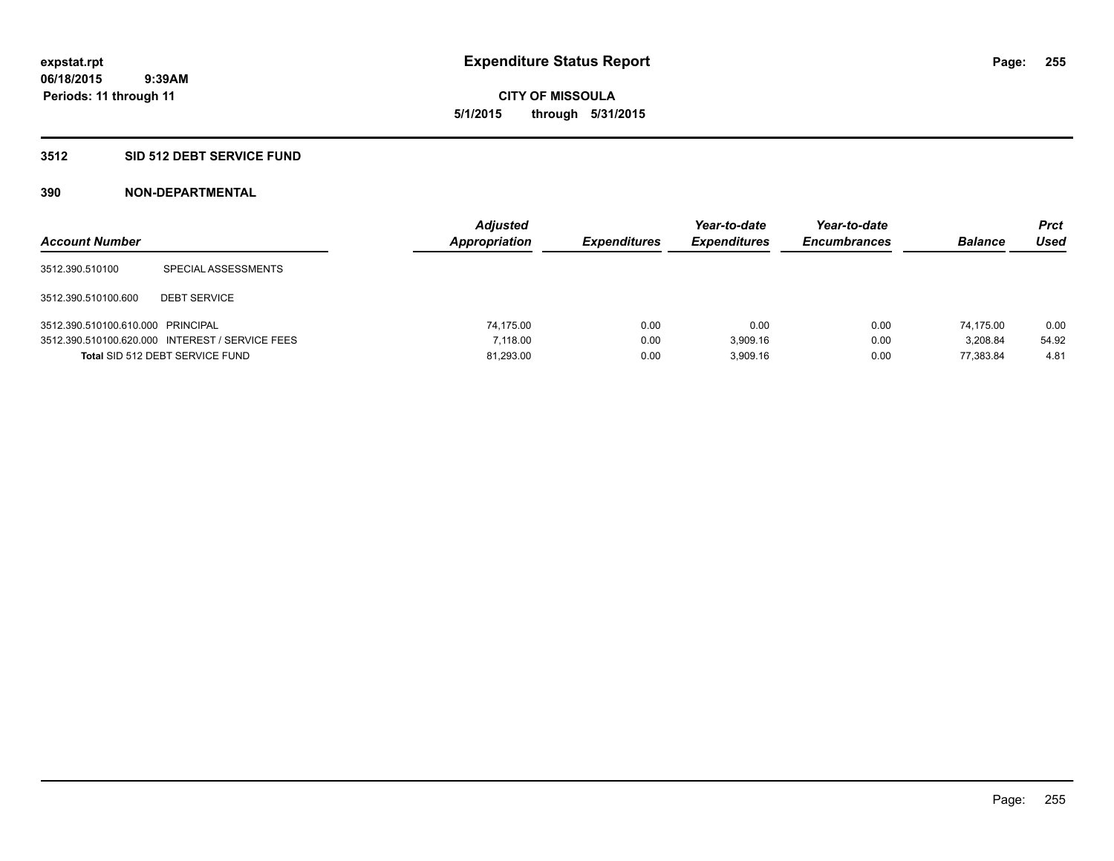**06/18/2015 9:39AM Periods: 11 through 11**

**CITY OF MISSOULA 5/1/2015 through 5/31/2015**

## **3512 SID 512 DEBT SERVICE FUND**

| <b>Account Number</b>             |                                                 | <b>Adjusted</b><br>Appropriation | <b>Expenditures</b> | Year-to-date<br><b>Expenditures</b> | Year-to-date<br><b>Encumbrances</b> | <b>Balance</b> | <b>Prct</b><br>Used |
|-----------------------------------|-------------------------------------------------|----------------------------------|---------------------|-------------------------------------|-------------------------------------|----------------|---------------------|
| 3512.390.510100                   | SPECIAL ASSESSMENTS                             |                                  |                     |                                     |                                     |                |                     |
| 3512.390.510100.600               | <b>DEBT SERVICE</b>                             |                                  |                     |                                     |                                     |                |                     |
| 3512.390.510100.610.000 PRINCIPAL |                                                 | 74.175.00                        | 0.00                | 0.00                                | 0.00                                | 74.175.00      | 0.00                |
|                                   | 3512.390.510100.620.000 INTEREST / SERVICE FEES | 7.118.00                         | 0.00                | 3,909.16                            | 0.00                                | 3.208.84       | 54.92               |
|                                   | Total SID 512 DEBT SERVICE FUND                 | 81,293.00                        | 0.00                | 3.909.16                            | 0.00                                | 77.383.84      | 4.81                |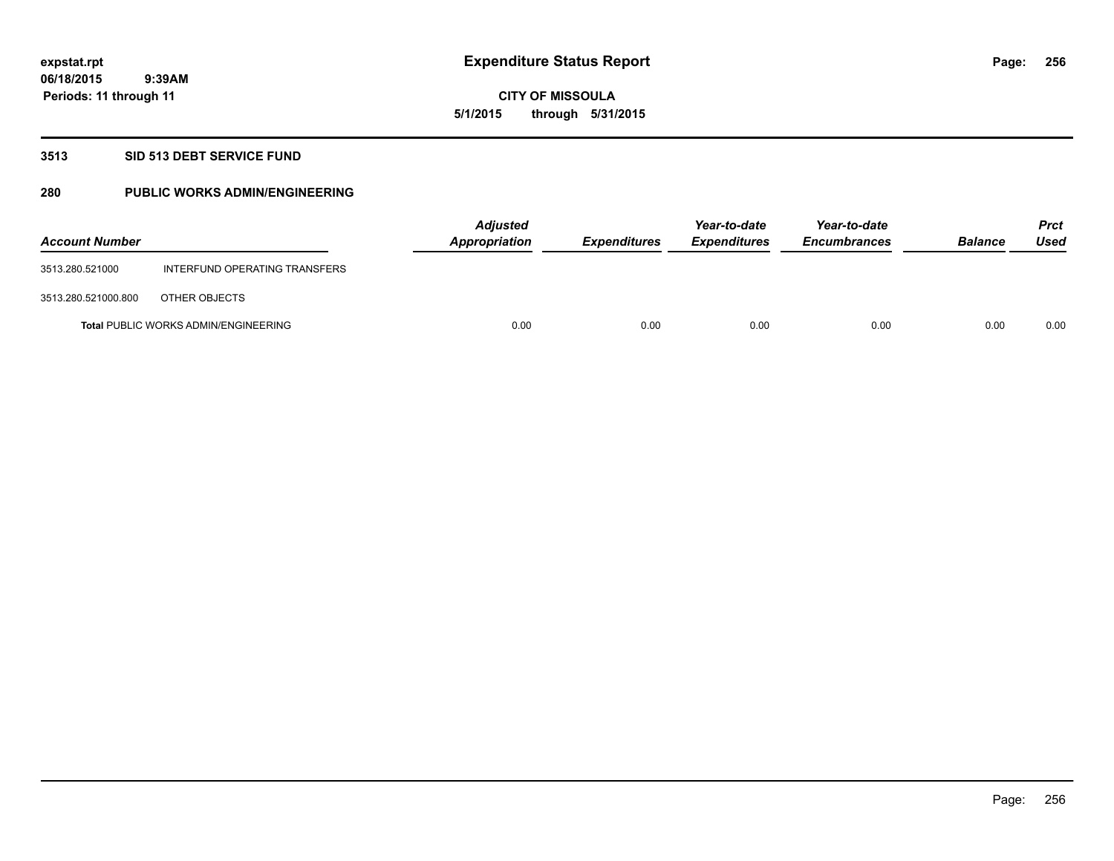# **CITY OF MISSOULA 5/1/2015 through 5/31/2015**

#### **3513 SID 513 DEBT SERVICE FUND**

# **280 PUBLIC WORKS ADMIN/ENGINEERING**

| <b>Account Number</b> |                                             | <b>Adjusted</b><br>Appropriation | <b>Expenditures</b> | Year-to-date<br><b>Expenditures</b> | Year-to-date<br><b>Encumbrances</b> | <b>Balance</b> | Prct<br>Used |
|-----------------------|---------------------------------------------|----------------------------------|---------------------|-------------------------------------|-------------------------------------|----------------|--------------|
| 3513.280.521000       | INTERFUND OPERATING TRANSFERS               |                                  |                     |                                     |                                     |                |              |
| 3513.280.521000.800   | OTHER OBJECTS                               |                                  |                     |                                     |                                     |                |              |
|                       | <b>Total PUBLIC WORKS ADMIN/ENGINEERING</b> | 0.00                             | 0.00                | 0.00                                | 0.00                                | 0.00           | 0.00         |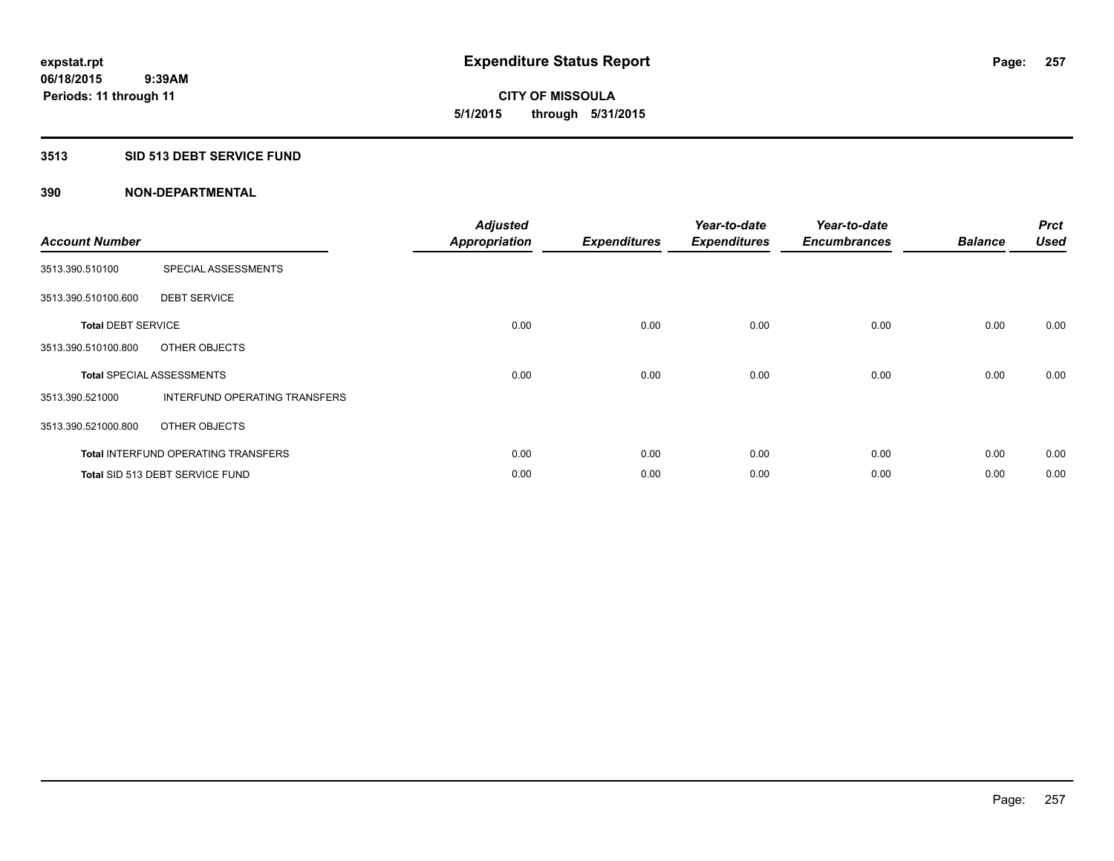**Periods: 11 through 11**

**CITY OF MISSOULA 5/1/2015 through 5/31/2015**

#### **3513 SID 513 DEBT SERVICE FUND**

 **9:39AM**

| <b>Account Number</b>     |                                            | <b>Adjusted</b><br><b>Appropriation</b> | <b>Expenditures</b> | Year-to-date<br><b>Expenditures</b> | Year-to-date<br><b>Encumbrances</b> | <b>Balance</b> | <b>Prct</b><br><b>Used</b> |
|---------------------------|--------------------------------------------|-----------------------------------------|---------------------|-------------------------------------|-------------------------------------|----------------|----------------------------|
| 3513.390.510100           | SPECIAL ASSESSMENTS                        |                                         |                     |                                     |                                     |                |                            |
| 3513.390.510100.600       | <b>DEBT SERVICE</b>                        |                                         |                     |                                     |                                     |                |                            |
| <b>Total DEBT SERVICE</b> |                                            | 0.00                                    | 0.00                | 0.00                                | 0.00                                | 0.00           | 0.00                       |
| 3513.390.510100.800       | OTHER OBJECTS                              |                                         |                     |                                     |                                     |                |                            |
|                           | <b>Total SPECIAL ASSESSMENTS</b>           | 0.00                                    | 0.00                | 0.00                                | 0.00                                | 0.00           | 0.00                       |
| 3513.390.521000           | INTERFUND OPERATING TRANSFERS              |                                         |                     |                                     |                                     |                |                            |
| 3513.390.521000.800       | OTHER OBJECTS                              |                                         |                     |                                     |                                     |                |                            |
|                           | <b>Total INTERFUND OPERATING TRANSFERS</b> | 0.00                                    | 0.00                | 0.00                                | 0.00                                | 0.00           | 0.00                       |
|                           | Total SID 513 DEBT SERVICE FUND            | 0.00                                    | 0.00                | 0.00                                | 0.00                                | 0.00           | 0.00                       |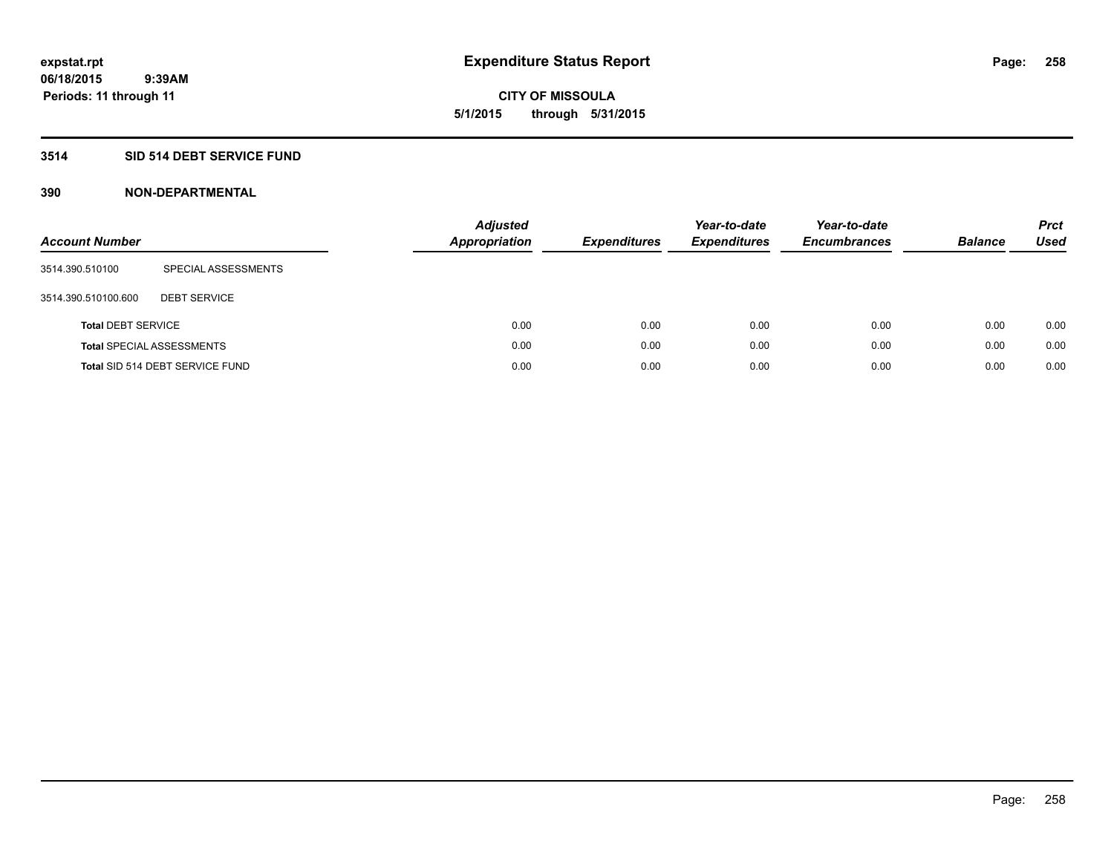# **CITY OF MISSOULA 5/1/2015 through 5/31/2015**

# **3514 SID 514 DEBT SERVICE FUND**

| <b>Account Number</b>     |                                  | <b>Adjusted</b><br>Appropriation | <b>Expenditures</b> | Year-to-date<br><b>Expenditures</b> | Year-to-date<br><b>Encumbrances</b> | <b>Balance</b> | <b>Prct</b><br>Used |
|---------------------------|----------------------------------|----------------------------------|---------------------|-------------------------------------|-------------------------------------|----------------|---------------------|
| 3514.390.510100           | SPECIAL ASSESSMENTS              |                                  |                     |                                     |                                     |                |                     |
| 3514.390.510100.600       | <b>DEBT SERVICE</b>              |                                  |                     |                                     |                                     |                |                     |
| <b>Total DEBT SERVICE</b> |                                  | 0.00                             | 0.00                | 0.00                                | 0.00                                | 0.00           | 0.00                |
|                           | <b>Total SPECIAL ASSESSMENTS</b> | 0.00                             | 0.00                | 0.00                                | 0.00                                | 0.00           | 0.00                |
|                           | Total SID 514 DEBT SERVICE FUND  | 0.00                             | 0.00                | 0.00                                | 0.00                                | 0.00           | 0.00                |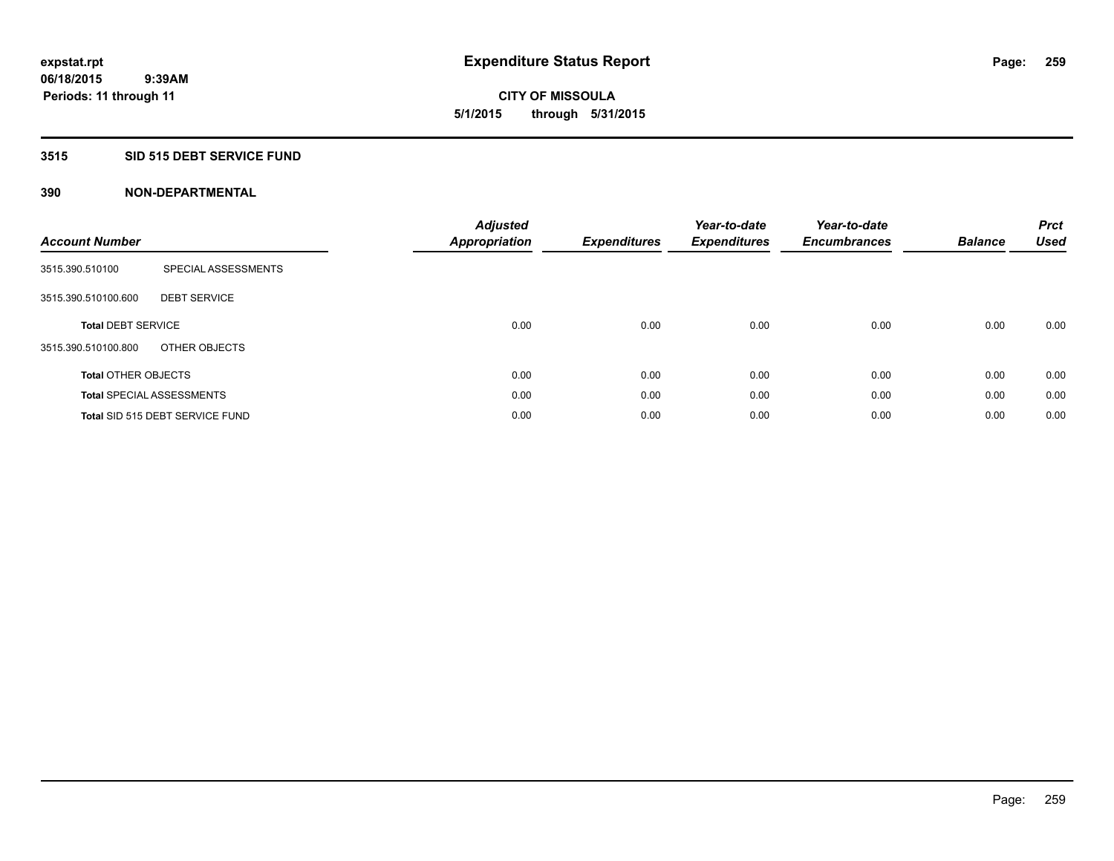**06/18/2015 9:39AM Periods: 11 through 11**

# **CITY OF MISSOULA 5/1/2015 through 5/31/2015**

# **3515 SID 515 DEBT SERVICE FUND**

| <b>Account Number</b>      |                                  | <b>Adjusted</b><br><b>Appropriation</b> | <b>Expenditures</b> | Year-to-date<br><b>Expenditures</b> | Year-to-date<br><b>Encumbrances</b> | <b>Balance</b> | <b>Prct</b><br><b>Used</b> |
|----------------------------|----------------------------------|-----------------------------------------|---------------------|-------------------------------------|-------------------------------------|----------------|----------------------------|
| 3515.390.510100            | SPECIAL ASSESSMENTS              |                                         |                     |                                     |                                     |                |                            |
| 3515.390.510100.600        | <b>DEBT SERVICE</b>              |                                         |                     |                                     |                                     |                |                            |
| <b>Total DEBT SERVICE</b>  |                                  | 0.00                                    | 0.00                | 0.00                                | 0.00                                | 0.00           | 0.00                       |
| 3515.390.510100.800        | OTHER OBJECTS                    |                                         |                     |                                     |                                     |                |                            |
| <b>Total OTHER OBJECTS</b> |                                  | 0.00                                    | 0.00                | 0.00                                | 0.00                                | 0.00           | 0.00                       |
|                            | <b>Total SPECIAL ASSESSMENTS</b> | 0.00                                    | 0.00                | 0.00                                | 0.00                                | 0.00           | 0.00                       |
|                            | Total SID 515 DEBT SERVICE FUND  | 0.00                                    | 0.00                | 0.00                                | 0.00                                | 0.00           | 0.00                       |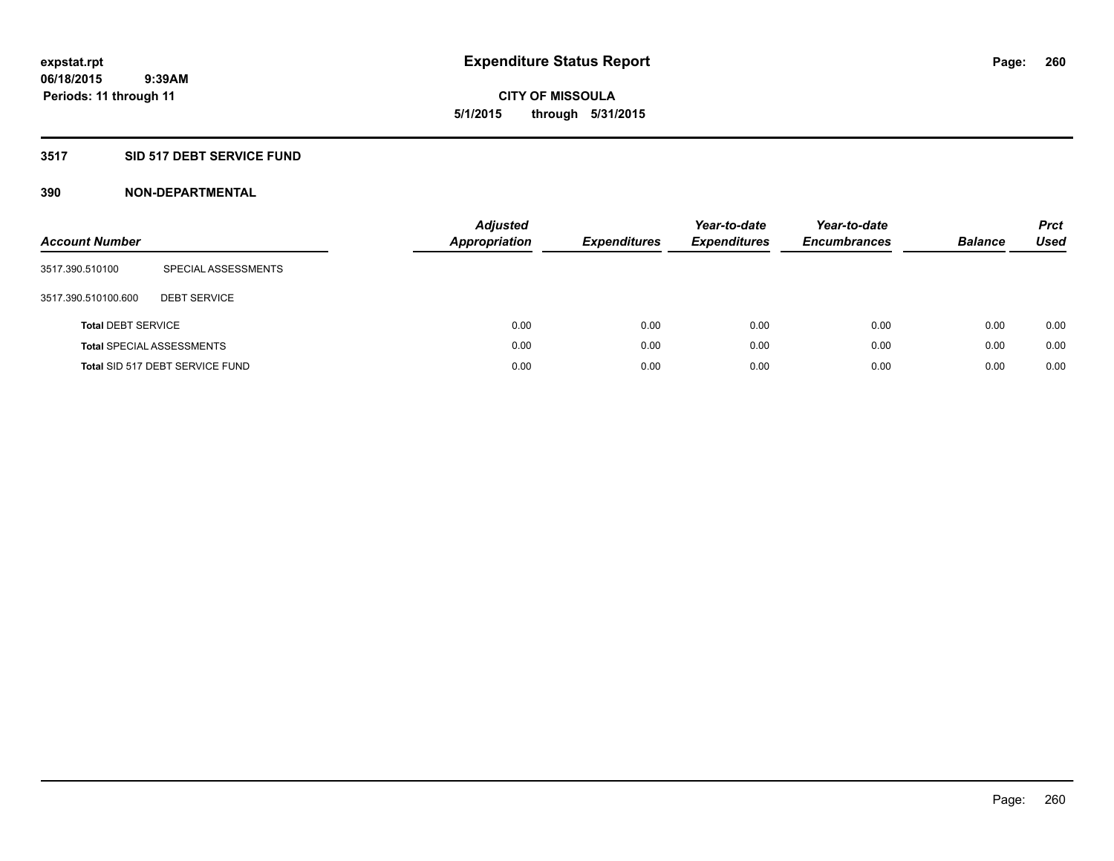**06/18/2015 9:39AM Periods: 11 through 11**

**CITY OF MISSOULA 5/1/2015 through 5/31/2015**

# **3517 SID 517 DEBT SERVICE FUND**

| <b>Account Number</b>     |                                  | <b>Adjusted</b><br>Appropriation | <b>Expenditures</b> | Year-to-date<br><b>Expenditures</b> | Year-to-date<br><b>Encumbrances</b> | <b>Balance</b> | <b>Prct</b><br><b>Used</b> |
|---------------------------|----------------------------------|----------------------------------|---------------------|-------------------------------------|-------------------------------------|----------------|----------------------------|
| 3517.390.510100           | SPECIAL ASSESSMENTS              |                                  |                     |                                     |                                     |                |                            |
| 3517.390.510100.600       | <b>DEBT SERVICE</b>              |                                  |                     |                                     |                                     |                |                            |
| <b>Total DEBT SERVICE</b> |                                  | 0.00                             | 0.00                | 0.00                                | 0.00                                | 0.00           | 0.00                       |
|                           | <b>Total SPECIAL ASSESSMENTS</b> | 0.00                             | 0.00                | 0.00                                | 0.00                                | 0.00           | 0.00                       |
|                           | Total SID 517 DEBT SERVICE FUND  | 0.00                             | 0.00                | 0.00                                | 0.00                                | 0.00           | 0.00                       |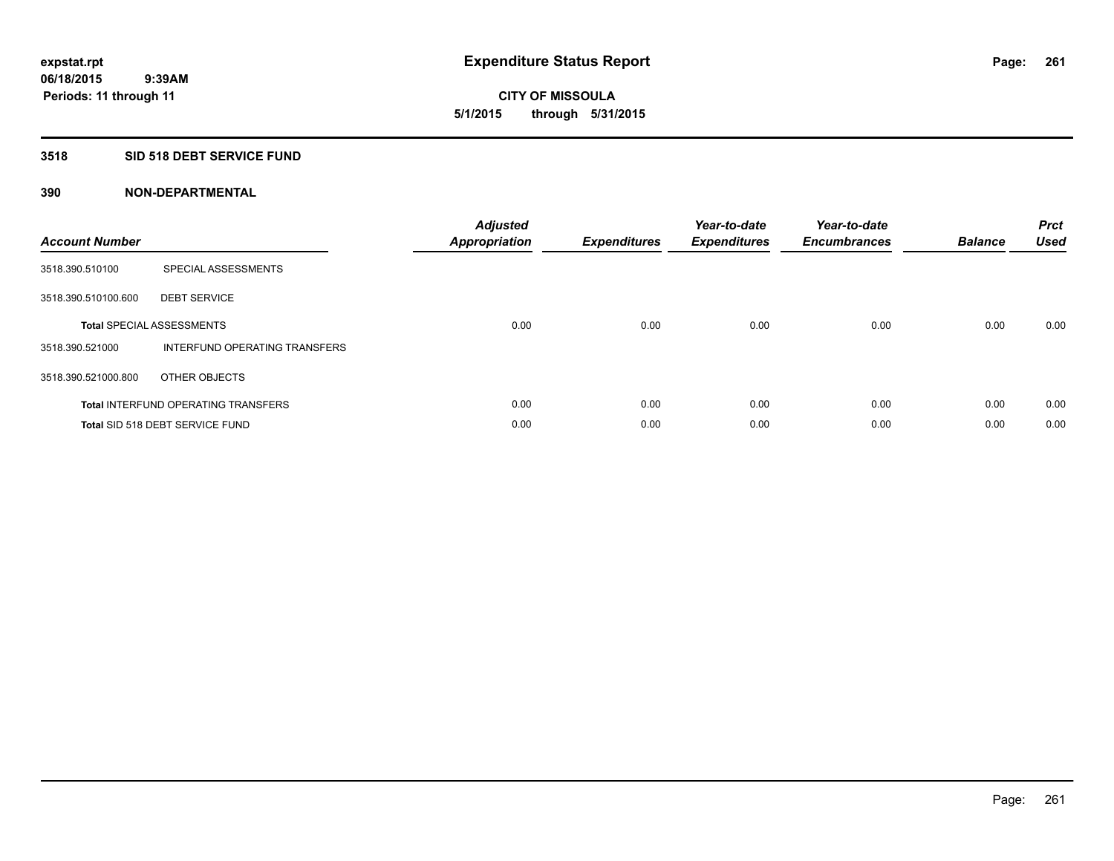# **CITY OF MISSOULA 5/1/2015 through 5/31/2015**

# **3518 SID 518 DEBT SERVICE FUND**

| <b>Account Number</b> |                                            | <b>Adjusted</b><br>Appropriation | <b>Expenditures</b> | Year-to-date<br><b>Expenditures</b> | Year-to-date<br><b>Encumbrances</b> | <b>Balance</b> | <b>Prct</b><br><b>Used</b> |
|-----------------------|--------------------------------------------|----------------------------------|---------------------|-------------------------------------|-------------------------------------|----------------|----------------------------|
| 3518.390.510100       | SPECIAL ASSESSMENTS                        |                                  |                     |                                     |                                     |                |                            |
| 3518.390.510100.600   | <b>DEBT SERVICE</b>                        |                                  |                     |                                     |                                     |                |                            |
|                       | <b>Total SPECIAL ASSESSMENTS</b>           | 0.00                             | 0.00                | 0.00                                | 0.00                                | 0.00           | 0.00                       |
| 3518.390.521000       | INTERFUND OPERATING TRANSFERS              |                                  |                     |                                     |                                     |                |                            |
| 3518.390.521000.800   | OTHER OBJECTS                              |                                  |                     |                                     |                                     |                |                            |
|                       | <b>Total INTERFUND OPERATING TRANSFERS</b> | 0.00                             | 0.00                | 0.00                                | 0.00                                | 0.00           | 0.00                       |
|                       | <b>Total SID 518 DEBT SERVICE FUND</b>     | 0.00                             | 0.00                | 0.00                                | 0.00                                | 0.00           | 0.00                       |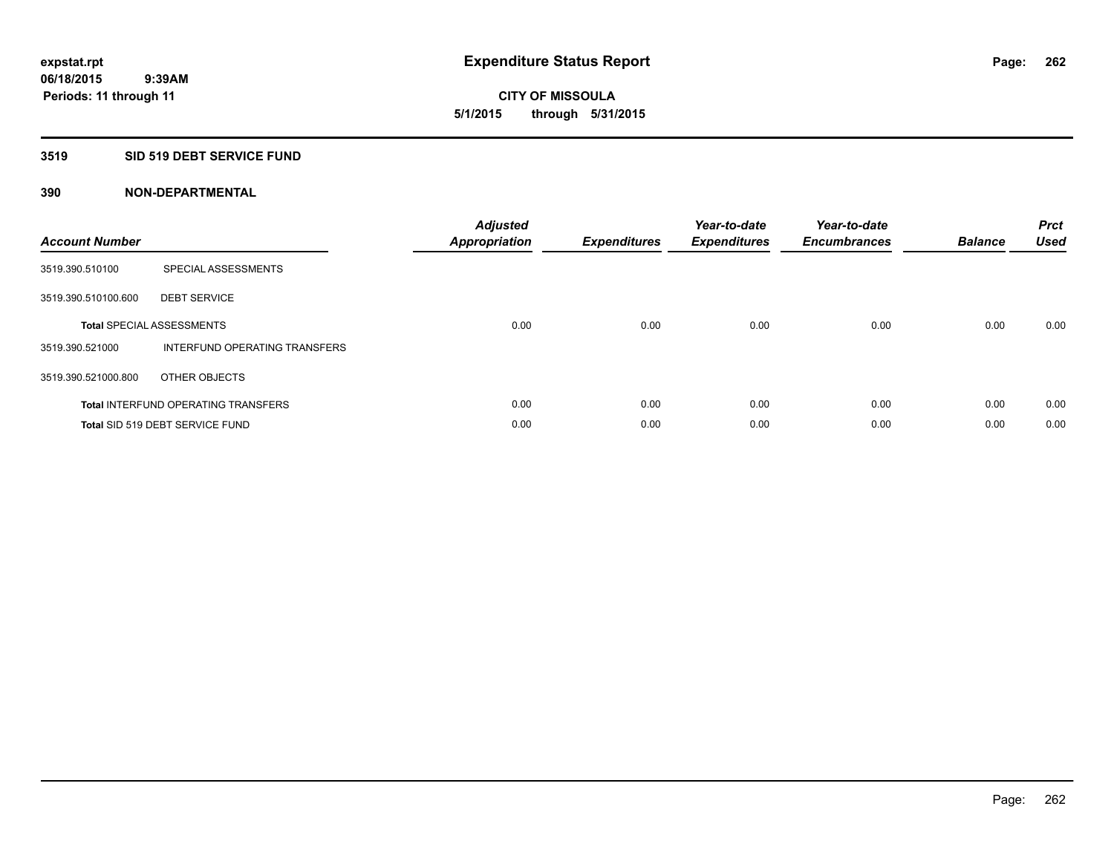**06/18/2015 9:39AM Periods: 11 through 11**

# **CITY OF MISSOULA 5/1/2015 through 5/31/2015**

## **3519 SID 519 DEBT SERVICE FUND**

| <b>Account Number</b> |                                            | <b>Adjusted</b><br>Appropriation | <b>Expenditures</b> | Year-to-date<br><b>Expenditures</b> | Year-to-date<br><b>Encumbrances</b> | <b>Balance</b> | <b>Prct</b><br><b>Used</b> |
|-----------------------|--------------------------------------------|----------------------------------|---------------------|-------------------------------------|-------------------------------------|----------------|----------------------------|
| 3519.390.510100       | SPECIAL ASSESSMENTS                        |                                  |                     |                                     |                                     |                |                            |
| 3519.390.510100.600   | <b>DEBT SERVICE</b>                        |                                  |                     |                                     |                                     |                |                            |
|                       | <b>Total SPECIAL ASSESSMENTS</b>           | 0.00                             | 0.00                | 0.00                                | 0.00                                | 0.00           | 0.00                       |
| 3519.390.521000       | INTERFUND OPERATING TRANSFERS              |                                  |                     |                                     |                                     |                |                            |
| 3519.390.521000.800   | OTHER OBJECTS                              |                                  |                     |                                     |                                     |                |                            |
|                       | <b>Total INTERFUND OPERATING TRANSFERS</b> | 0.00                             | 0.00                | 0.00                                | 0.00                                | 0.00           | 0.00                       |
|                       | Total SID 519 DEBT SERVICE FUND            | 0.00                             | 0.00                | 0.00                                | 0.00                                | 0.00           | 0.00                       |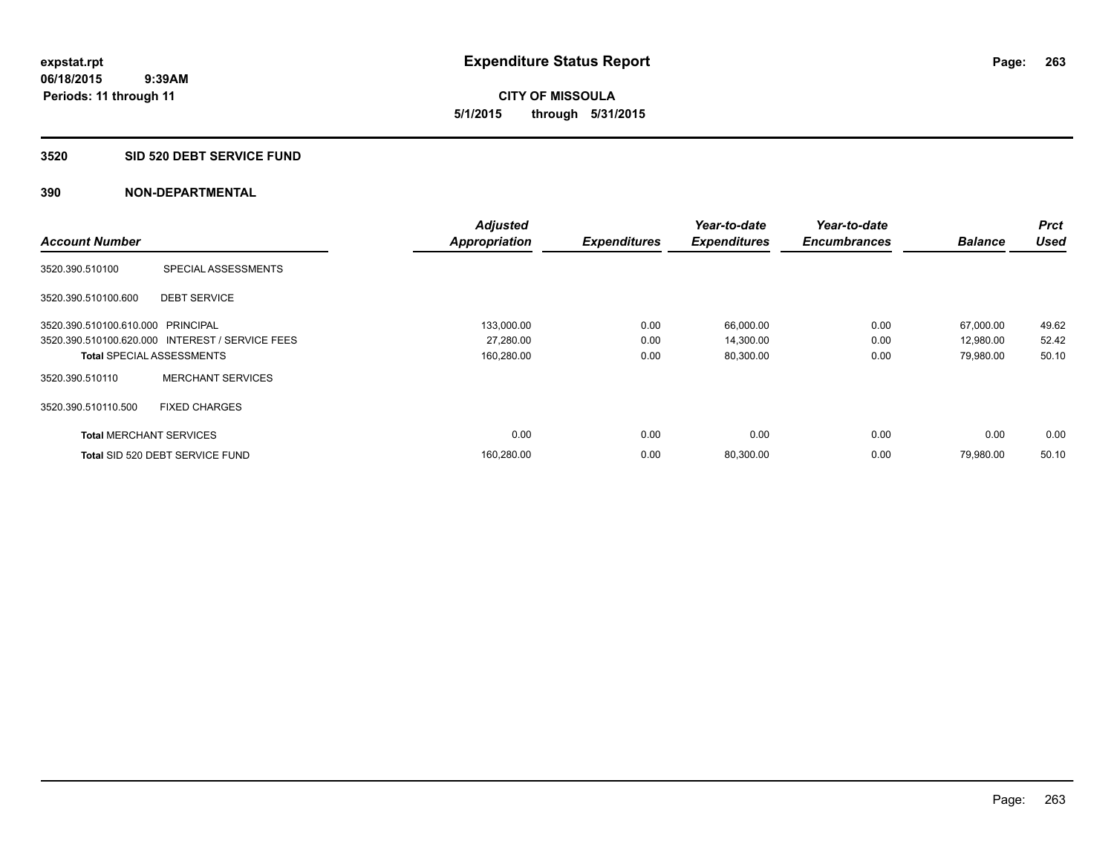**CITY OF MISSOULA 5/1/2015 through 5/31/2015**

#### **3520 SID 520 DEBT SERVICE FUND**

|                                   |                                                 | <b>Adjusted</b>      |                     | Year-to-date        | Year-to-date        |                | <b>Prct</b> |
|-----------------------------------|-------------------------------------------------|----------------------|---------------------|---------------------|---------------------|----------------|-------------|
| <b>Account Number</b>             |                                                 | <b>Appropriation</b> | <b>Expenditures</b> | <b>Expenditures</b> | <b>Encumbrances</b> | <b>Balance</b> | <b>Used</b> |
| 3520.390.510100                   | SPECIAL ASSESSMENTS                             |                      |                     |                     |                     |                |             |
| 3520.390.510100.600               | <b>DEBT SERVICE</b>                             |                      |                     |                     |                     |                |             |
| 3520.390.510100.610.000 PRINCIPAL |                                                 | 133,000.00           | 0.00                | 66,000.00           | 0.00                | 67,000.00      | 49.62       |
|                                   | 3520.390.510100.620.000 INTEREST / SERVICE FEES | 27,280.00            | 0.00                | 14,300.00           | 0.00                | 12,980.00      | 52.42       |
| <b>Total SPECIAL ASSESSMENTS</b>  |                                                 | 160,280.00           | 0.00                | 80,300.00           | 0.00                | 79,980.00      | 50.10       |
| 3520.390.510110                   | <b>MERCHANT SERVICES</b>                        |                      |                     |                     |                     |                |             |
| 3520.390.510110.500               | <b>FIXED CHARGES</b>                            |                      |                     |                     |                     |                |             |
| <b>Total MERCHANT SERVICES</b>    |                                                 | 0.00                 | 0.00                | 0.00                | 0.00                | 0.00           | 0.00        |
|                                   | Total SID 520 DEBT SERVICE FUND                 | 160,280.00           | 0.00                | 80,300.00           | 0.00                | 79,980.00      | 50.10       |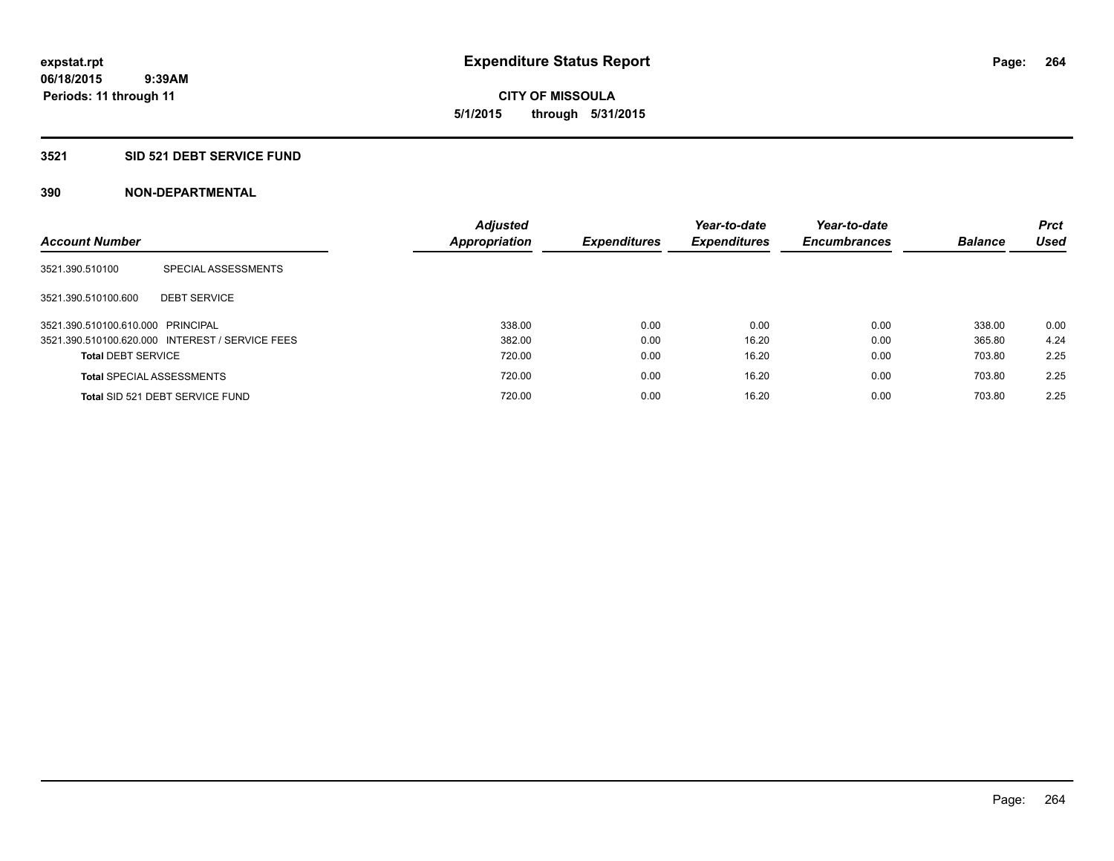**06/18/2015 9:39AM Periods: 11 through 11**

**CITY OF MISSOULA 5/1/2015 through 5/31/2015**

#### **3521 SID 521 DEBT SERVICE FUND**

| <b>Account Number</b>             |                                                 | <b>Adjusted</b><br>Appropriation | <b>Expenditures</b> | Year-to-date<br><b>Expenditures</b> | Year-to-date<br><b>Encumbrances</b> | <b>Balance</b> | <b>Prct</b><br>Used |
|-----------------------------------|-------------------------------------------------|----------------------------------|---------------------|-------------------------------------|-------------------------------------|----------------|---------------------|
| 3521.390.510100                   | SPECIAL ASSESSMENTS                             |                                  |                     |                                     |                                     |                |                     |
| 3521.390.510100.600               | <b>DEBT SERVICE</b>                             |                                  |                     |                                     |                                     |                |                     |
| 3521.390.510100.610.000 PRINCIPAL |                                                 | 338.00                           | 0.00                | 0.00                                | 0.00                                | 338.00         | 0.00                |
|                                   | 3521.390.510100.620.000 INTEREST / SERVICE FEES | 382.00                           | 0.00                | 16.20                               | 0.00                                | 365.80         | 4.24                |
| <b>Total DEBT SERVICE</b>         |                                                 | 720.00                           | 0.00                | 16.20                               | 0.00                                | 703.80         | 2.25                |
|                                   | <b>Total SPECIAL ASSESSMENTS</b>                | 720.00                           | 0.00                | 16.20                               | 0.00                                | 703.80         | 2.25                |
|                                   | Total SID 521 DEBT SERVICE FUND                 | 720.00                           | 0.00                | 16.20                               | 0.00                                | 703.80         | 2.25                |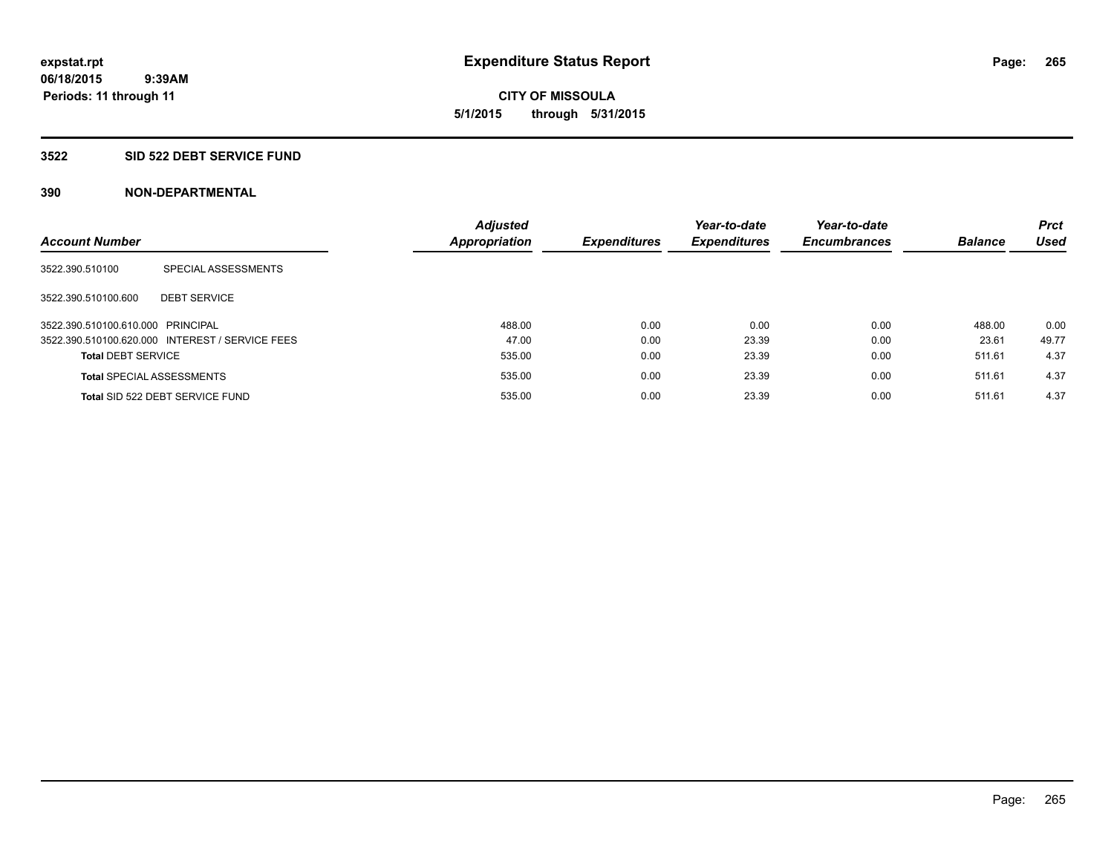**CITY OF MISSOULA 5/1/2015 through 5/31/2015**

#### **3522 SID 522 DEBT SERVICE FUND**

| <b>Account Number</b>             |                                                 | <b>Adjusted</b><br>Appropriation | <b>Expenditures</b> | Year-to-date<br><b>Expenditures</b> | Year-to-date<br><b>Encumbrances</b> | <b>Balance</b> | <b>Prct</b><br><b>Used</b> |
|-----------------------------------|-------------------------------------------------|----------------------------------|---------------------|-------------------------------------|-------------------------------------|----------------|----------------------------|
| 3522.390.510100                   | SPECIAL ASSESSMENTS                             |                                  |                     |                                     |                                     |                |                            |
| 3522.390.510100.600               | <b>DEBT SERVICE</b>                             |                                  |                     |                                     |                                     |                |                            |
| 3522.390.510100.610.000 PRINCIPAL |                                                 | 488.00                           | 0.00                | 0.00                                | 0.00                                | 488.00         | 0.00                       |
|                                   | 3522.390.510100.620.000 INTEREST / SERVICE FEES | 47.00                            | 0.00                | 23.39                               | 0.00                                | 23.61          | 49.77                      |
| <b>Total DEBT SERVICE</b>         |                                                 | 535.00                           | 0.00                | 23.39                               | 0.00                                | 511.61         | 4.37                       |
|                                   | <b>Total SPECIAL ASSESSMENTS</b>                | 535.00                           | 0.00                | 23.39                               | 0.00                                | 511.61         | 4.37                       |
|                                   | Total SID 522 DEBT SERVICE FUND                 | 535.00                           | 0.00                | 23.39                               | 0.00                                | 511.61         | 4.37                       |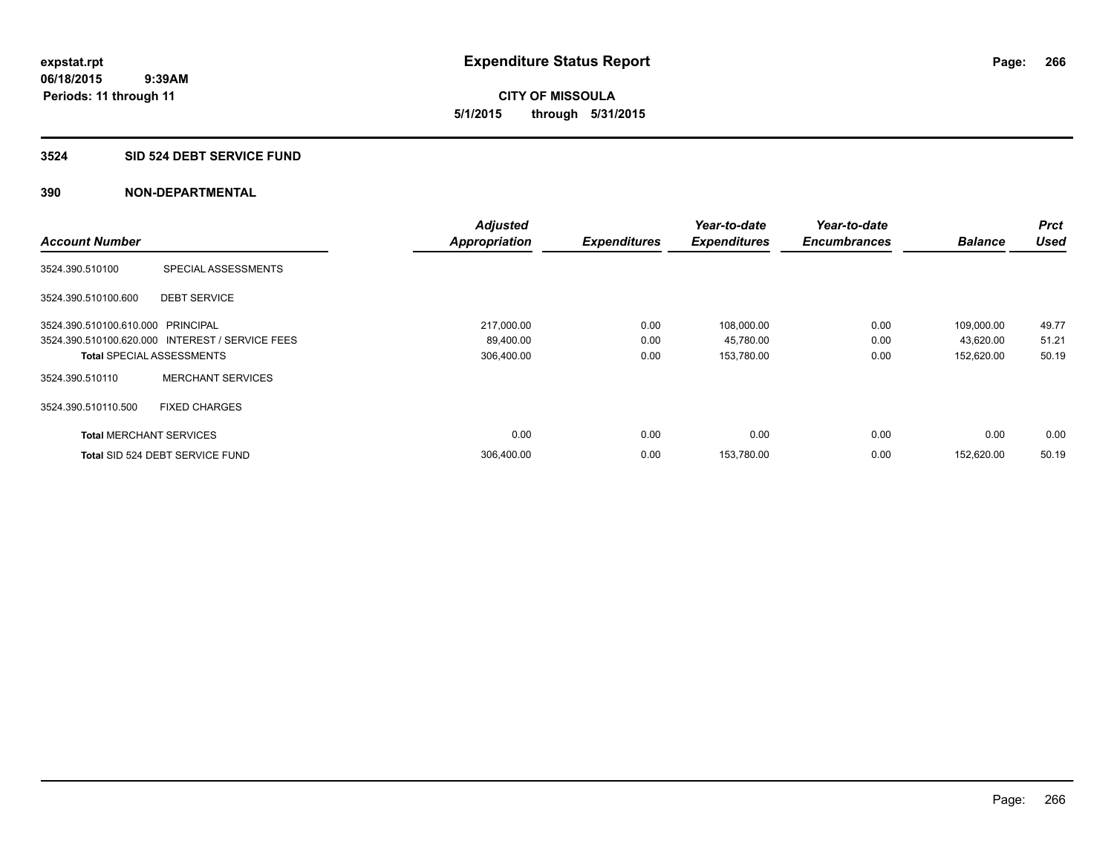#### **3524 SID 524 DEBT SERVICE FUND**

|                                   |                                                 | <b>Adjusted</b>      |                     | Year-to-date        | Year-to-date        |                | <b>Prct</b> |
|-----------------------------------|-------------------------------------------------|----------------------|---------------------|---------------------|---------------------|----------------|-------------|
| <b>Account Number</b>             |                                                 | <b>Appropriation</b> | <b>Expenditures</b> | <b>Expenditures</b> | <b>Encumbrances</b> | <b>Balance</b> | <b>Used</b> |
| 3524.390.510100                   | SPECIAL ASSESSMENTS                             |                      |                     |                     |                     |                |             |
| 3524.390.510100.600               | <b>DEBT SERVICE</b>                             |                      |                     |                     |                     |                |             |
| 3524.390.510100.610.000 PRINCIPAL |                                                 | 217,000.00           | 0.00                | 108,000.00          | 0.00                | 109,000.00     | 49.77       |
|                                   | 3524.390.510100.620.000 INTEREST / SERVICE FEES | 89,400.00            | 0.00                | 45,780.00           | 0.00                | 43,620.00      | 51.21       |
| <b>Total SPECIAL ASSESSMENTS</b>  |                                                 | 306,400.00           | 0.00                | 153,780.00          | 0.00                | 152,620.00     | 50.19       |
| 3524.390.510110                   | <b>MERCHANT SERVICES</b>                        |                      |                     |                     |                     |                |             |
| 3524.390.510110.500               | <b>FIXED CHARGES</b>                            |                      |                     |                     |                     |                |             |
| <b>Total MERCHANT SERVICES</b>    |                                                 | 0.00                 | 0.00                | 0.00                | 0.00                | 0.00           | 0.00        |
|                                   | Total SID 524 DEBT SERVICE FUND                 | 306,400.00           | 0.00                | 153,780.00          | 0.00                | 152.620.00     | 50.19       |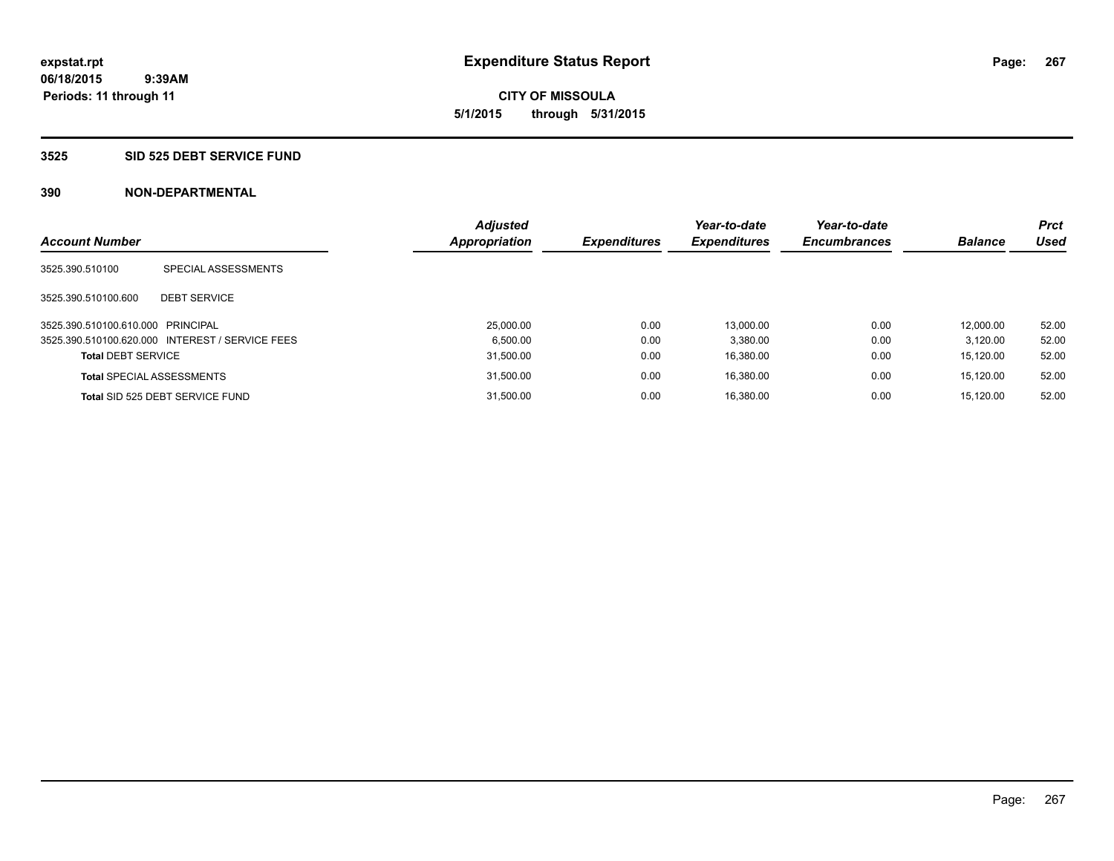#### **3525 SID 525 DEBT SERVICE FUND**

| <b>Account Number</b>             |                                                 | <b>Adjusted</b><br><b>Appropriation</b> | <b>Expenditures</b> | Year-to-date<br><b>Expenditures</b> | Year-to-date<br><b>Encumbrances</b> | <b>Balance</b> | <b>Prct</b><br>Used |
|-----------------------------------|-------------------------------------------------|-----------------------------------------|---------------------|-------------------------------------|-------------------------------------|----------------|---------------------|
| 3525.390.510100                   | SPECIAL ASSESSMENTS                             |                                         |                     |                                     |                                     |                |                     |
| 3525.390.510100.600               | <b>DEBT SERVICE</b>                             |                                         |                     |                                     |                                     |                |                     |
| 3525.390.510100.610.000 PRINCIPAL |                                                 | 25,000.00                               | 0.00                | 13.000.00                           | 0.00                                | 12.000.00      | 52.00               |
|                                   | 3525.390.510100.620.000 INTEREST / SERVICE FEES | 6.500.00                                | 0.00                | 3.380.00                            | 0.00                                | 3.120.00       | 52.00               |
| <b>Total DEBT SERVICE</b>         |                                                 | 31,500.00                               | 0.00                | 16.380.00                           | 0.00                                | 15.120.00      | 52.00               |
| <b>Total SPECIAL ASSESSMENTS</b>  |                                                 | 31,500.00                               | 0.00                | 16.380.00                           | 0.00                                | 15.120.00      | 52.00               |
|                                   | Total SID 525 DEBT SERVICE FUND                 | 31.500.00                               | 0.00                | 16.380.00                           | 0.00                                | 15.120.00      | 52.00               |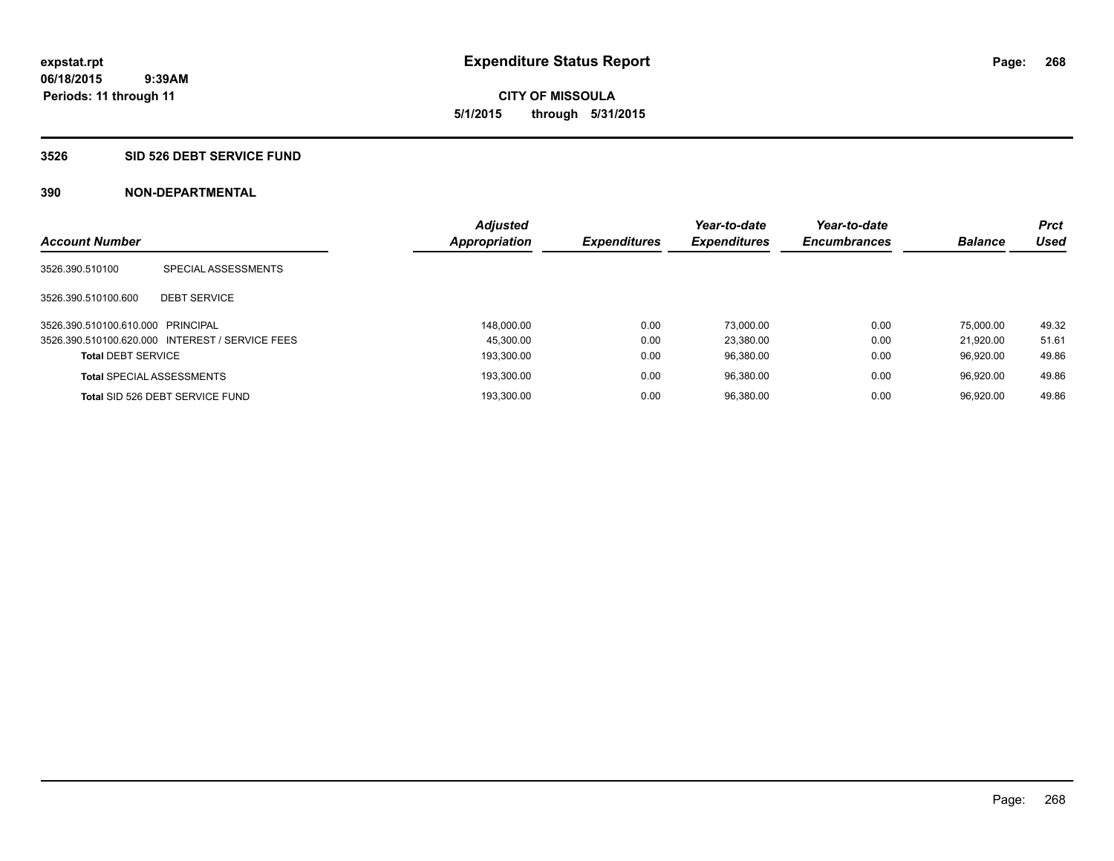#### **3526 SID 526 DEBT SERVICE FUND**

| <b>Account Number</b>             |                                                 | <b>Adjusted</b><br>Appropriation | <b>Expenditures</b> | Year-to-date<br><b>Expenditures</b> | Year-to-date<br><b>Encumbrances</b> | <b>Balance</b> | <b>Prct</b><br>Used |
|-----------------------------------|-------------------------------------------------|----------------------------------|---------------------|-------------------------------------|-------------------------------------|----------------|---------------------|
|                                   |                                                 |                                  |                     |                                     |                                     |                |                     |
| 3526.390.510100                   | SPECIAL ASSESSMENTS                             |                                  |                     |                                     |                                     |                |                     |
| 3526.390.510100.600               | <b>DEBT SERVICE</b>                             |                                  |                     |                                     |                                     |                |                     |
| 3526.390.510100.610.000 PRINCIPAL |                                                 | 148.000.00                       | 0.00                | 73.000.00                           | 0.00                                | 75,000.00      | 49.32               |
|                                   | 3526.390.510100.620.000 INTEREST / SERVICE FEES | 45.300.00                        | 0.00                | 23.380.00                           | 0.00                                | 21.920.00      | 51.61               |
| <b>Total DEBT SERVICE</b>         |                                                 | 193.300.00                       | 0.00                | 96.380.00                           | 0.00                                | 96.920.00      | 49.86               |
| <b>Total SPECIAL ASSESSMENTS</b>  |                                                 | 193,300.00                       | 0.00                | 96,380.00                           | 0.00                                | 96.920.00      | 49.86               |
|                                   | Total SID 526 DEBT SERVICE FUND                 | 193.300.00                       | 0.00                | 96.380.00                           | 0.00                                | 96.920.00      | 49.86               |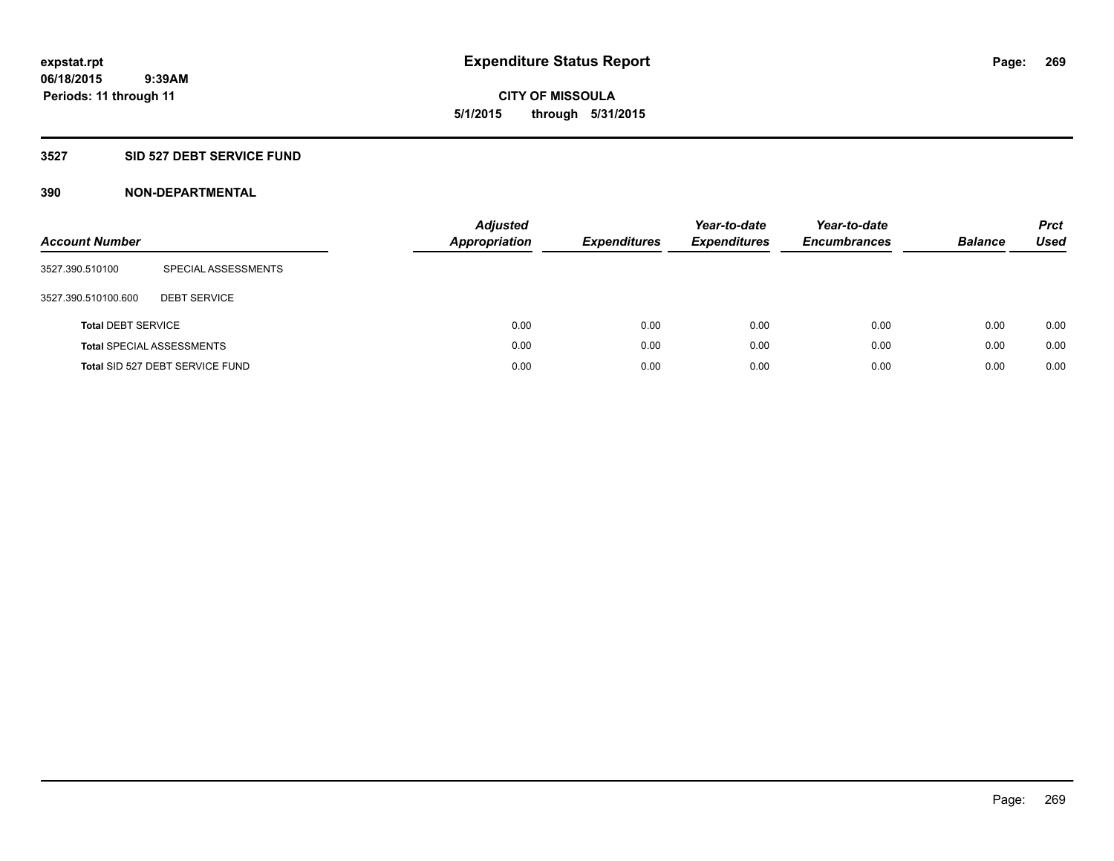**06/18/2015 9:39AM Periods: 11 through 11**

# **CITY OF MISSOULA 5/1/2015 through 5/31/2015**

# **3527 SID 527 DEBT SERVICE FUND**

| <b>Account Number</b>     |                                  | <b>Adjusted</b><br>Appropriation | <b>Expenditures</b> | Year-to-date<br><b>Expenditures</b> | Year-to-date<br><b>Encumbrances</b> | <b>Balance</b> | <b>Prct</b><br><b>Used</b> |
|---------------------------|----------------------------------|----------------------------------|---------------------|-------------------------------------|-------------------------------------|----------------|----------------------------|
| 3527.390.510100           | SPECIAL ASSESSMENTS              |                                  |                     |                                     |                                     |                |                            |
| 3527.390.510100.600       | <b>DEBT SERVICE</b>              |                                  |                     |                                     |                                     |                |                            |
| <b>Total DEBT SERVICE</b> |                                  | 0.00                             | 0.00                | 0.00                                | 0.00                                | 0.00           | 0.00                       |
|                           | <b>Total SPECIAL ASSESSMENTS</b> | 0.00                             | 0.00                | 0.00                                | 0.00                                | 0.00           | 0.00                       |
|                           | Total SID 527 DEBT SERVICE FUND  | 0.00                             | 0.00                | 0.00                                | 0.00                                | 0.00           | 0.00                       |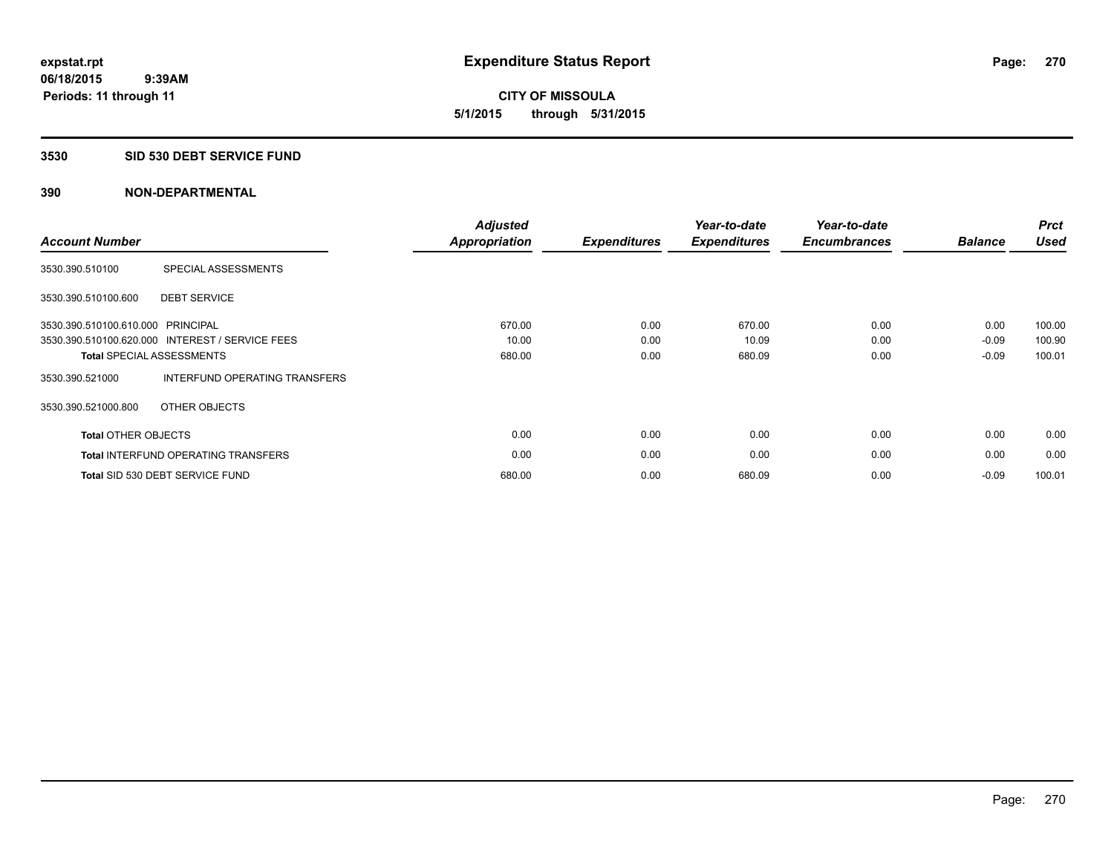**06/18/2015 9:39AM Periods: 11 through 11**

**CITY OF MISSOULA 5/1/2015 through 5/31/2015**

#### **3530 SID 530 DEBT SERVICE FUND**

| <b>Account Number</b>             |                                                 | <b>Adjusted</b><br><b>Appropriation</b> | <b>Expenditures</b> | Year-to-date<br><b>Expenditures</b> | Year-to-date<br><b>Encumbrances</b> | <b>Balance</b> | <b>Prct</b><br><b>Used</b> |
|-----------------------------------|-------------------------------------------------|-----------------------------------------|---------------------|-------------------------------------|-------------------------------------|----------------|----------------------------|
| 3530.390.510100                   | SPECIAL ASSESSMENTS                             |                                         |                     |                                     |                                     |                |                            |
| 3530.390.510100.600               | <b>DEBT SERVICE</b>                             |                                         |                     |                                     |                                     |                |                            |
| 3530.390.510100.610.000 PRINCIPAL |                                                 | 670.00                                  | 0.00                | 670.00                              | 0.00                                | 0.00           | 100.00                     |
|                                   | 3530.390.510100.620.000 INTEREST / SERVICE FEES | 10.00                                   | 0.00                | 10.09                               | 0.00                                | $-0.09$        | 100.90                     |
|                                   | <b>Total SPECIAL ASSESSMENTS</b>                | 680.00                                  | 0.00                | 680.09                              | 0.00                                | $-0.09$        | 100.01                     |
| 3530.390.521000                   | INTERFUND OPERATING TRANSFERS                   |                                         |                     |                                     |                                     |                |                            |
| 3530.390.521000.800               | OTHER OBJECTS                                   |                                         |                     |                                     |                                     |                |                            |
| <b>Total OTHER OBJECTS</b>        |                                                 | 0.00                                    | 0.00                | 0.00                                | 0.00                                | 0.00           | 0.00                       |
|                                   | <b>Total INTERFUND OPERATING TRANSFERS</b>      | 0.00                                    | 0.00                | 0.00                                | 0.00                                | 0.00           | 0.00                       |
|                                   | Total SID 530 DEBT SERVICE FUND                 | 680.00                                  | 0.00                | 680.09                              | 0.00                                | $-0.09$        | 100.01                     |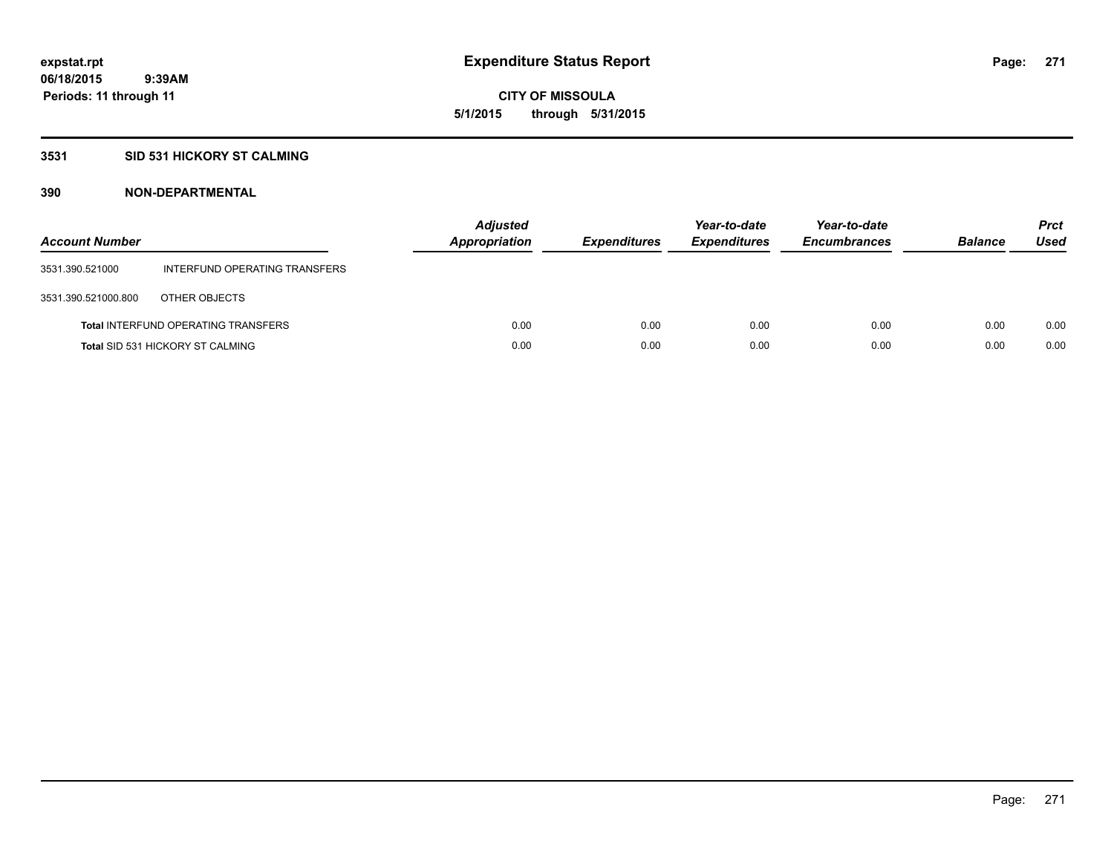# **3531 SID 531 HICKORY ST CALMING**

| <b>Account Number</b> |                                            | <b>Adjusted</b><br><b>Appropriation</b> | <b>Expenditures</b> | Year-to-date<br><b>Expenditures</b> | Year-to-date<br><b>Encumbrances</b> | <b>Balance</b> | <b>Prct</b><br>Used |
|-----------------------|--------------------------------------------|-----------------------------------------|---------------------|-------------------------------------|-------------------------------------|----------------|---------------------|
| 3531.390.521000       | INTERFUND OPERATING TRANSFERS              |                                         |                     |                                     |                                     |                |                     |
| 3531.390.521000.800   | OTHER OBJECTS                              |                                         |                     |                                     |                                     |                |                     |
|                       | <b>Total INTERFUND OPERATING TRANSFERS</b> | 0.00                                    | 0.00                | 0.00                                | 0.00                                | 0.00           | 0.00                |
|                       | <b>Total SID 531 HICKORY ST CALMING</b>    | 0.00                                    | 0.00                | 0.00                                | 0.00                                | 0.00           | 0.00                |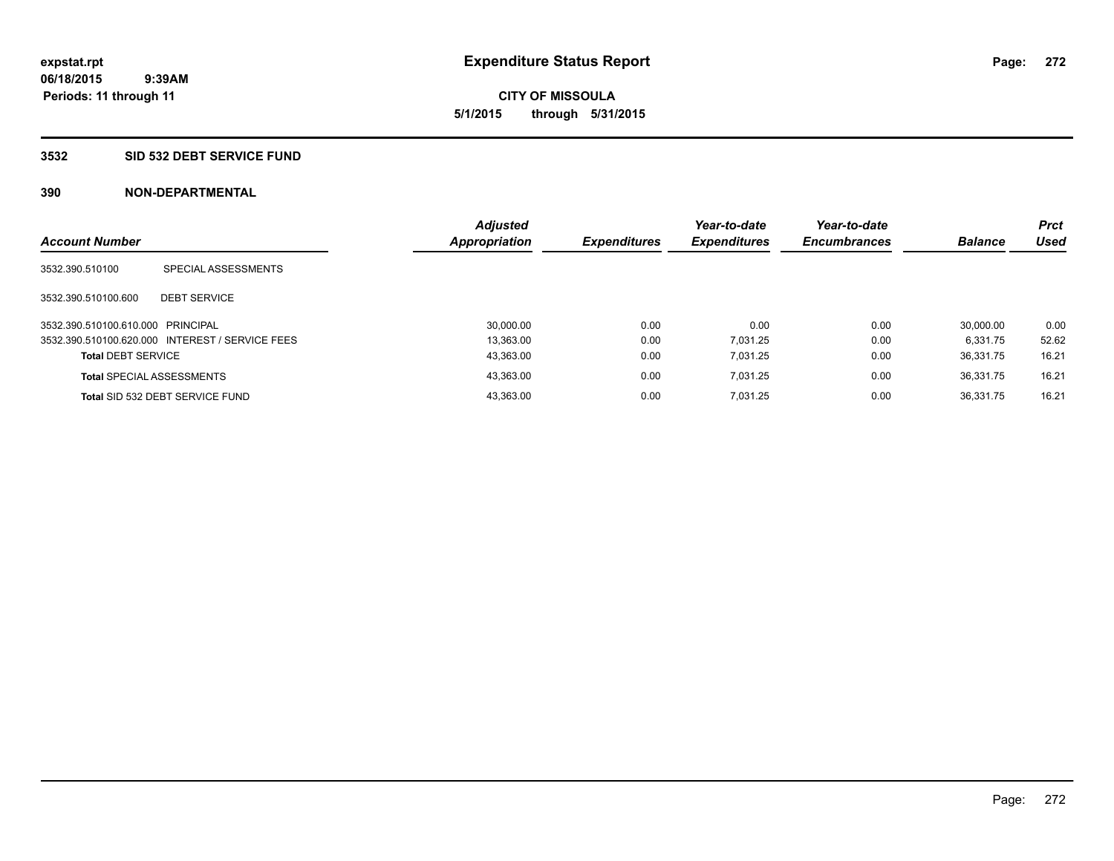**06/18/2015 9:39AM Periods: 11 through 11**

# **CITY OF MISSOULA 5/1/2015 through 5/31/2015**

#### **3532 SID 532 DEBT SERVICE FUND**

| <b>Account Number</b>             |                                                 | <b>Adjusted</b><br><b>Appropriation</b> | <b>Expenditures</b> | Year-to-date<br><b>Expenditures</b> | Year-to-date<br><b>Encumbrances</b> | <b>Balance</b> | <b>Prct</b><br><b>Used</b> |
|-----------------------------------|-------------------------------------------------|-----------------------------------------|---------------------|-------------------------------------|-------------------------------------|----------------|----------------------------|
| 3532.390.510100                   | SPECIAL ASSESSMENTS                             |                                         |                     |                                     |                                     |                |                            |
| 3532.390.510100.600               | <b>DEBT SERVICE</b>                             |                                         |                     |                                     |                                     |                |                            |
| 3532.390.510100.610.000 PRINCIPAL |                                                 | 30.000.00                               | 0.00                | 0.00                                | 0.00                                | 30.000.00      | 0.00                       |
|                                   | 3532.390.510100.620.000 INTEREST / SERVICE FEES | 13.363.00                               | 0.00                | 7.031.25                            | 0.00                                | 6.331.75       | 52.62                      |
| <b>Total DEBT SERVICE</b>         |                                                 | 43,363.00                               | 0.00                | 7.031.25                            | 0.00                                | 36.331.75      | 16.21                      |
|                                   | <b>Total SPECIAL ASSESSMENTS</b>                | 43.363.00                               | 0.00                | 7.031.25                            | 0.00                                | 36.331.75      | 16.21                      |
|                                   | Total SID 532 DEBT SERVICE FUND                 | 43.363.00                               | 0.00                | 7.031.25                            | 0.00                                | 36.331.75      | 16.21                      |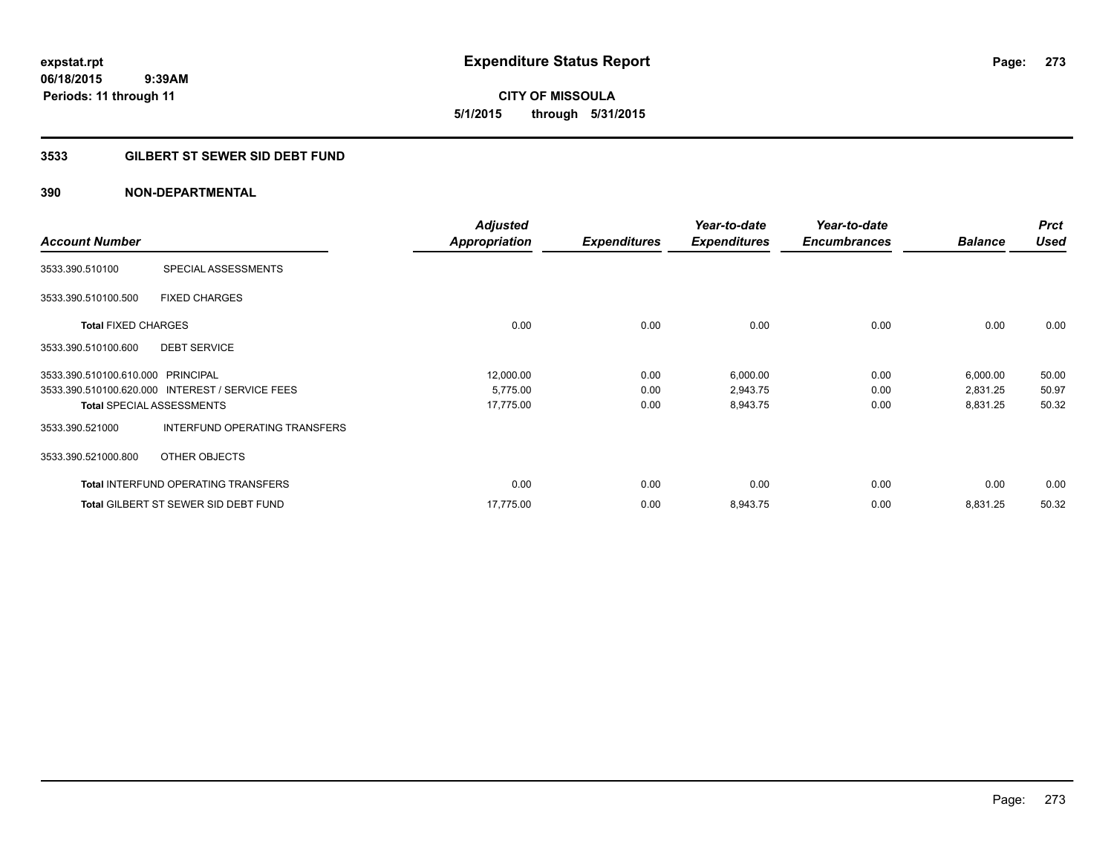**CITY OF MISSOULA 5/1/2015 through 5/31/2015**

# **3533 GILBERT ST SEWER SID DEBT FUND**

| <b>Account Number</b>             |                                                 | <b>Adjusted</b><br><b>Appropriation</b> | <b>Expenditures</b> | Year-to-date<br><b>Expenditures</b> | Year-to-date<br><b>Encumbrances</b> | <b>Balance</b> | <b>Prct</b><br><b>Used</b> |
|-----------------------------------|-------------------------------------------------|-----------------------------------------|---------------------|-------------------------------------|-------------------------------------|----------------|----------------------------|
| 3533.390.510100                   | SPECIAL ASSESSMENTS                             |                                         |                     |                                     |                                     |                |                            |
| 3533.390.510100.500               | <b>FIXED CHARGES</b>                            |                                         |                     |                                     |                                     |                |                            |
| <b>Total FIXED CHARGES</b>        |                                                 | 0.00                                    | 0.00                | 0.00                                | 0.00                                | 0.00           | 0.00                       |
| 3533.390.510100.600               | <b>DEBT SERVICE</b>                             |                                         |                     |                                     |                                     |                |                            |
| 3533.390.510100.610.000 PRINCIPAL |                                                 | 12,000.00                               | 0.00                | 6,000.00                            | 0.00                                | 6,000.00       | 50.00                      |
|                                   | 3533.390.510100.620.000 INTEREST / SERVICE FEES | 5,775.00                                | 0.00                | 2,943.75                            | 0.00                                | 2,831.25       | 50.97                      |
|                                   | <b>Total SPECIAL ASSESSMENTS</b>                | 17,775.00                               | 0.00                | 8,943.75                            | 0.00                                | 8,831.25       | 50.32                      |
| 3533.390.521000                   | INTERFUND OPERATING TRANSFERS                   |                                         |                     |                                     |                                     |                |                            |
| 3533.390.521000.800               | OTHER OBJECTS                                   |                                         |                     |                                     |                                     |                |                            |
|                                   | <b>Total INTERFUND OPERATING TRANSFERS</b>      | 0.00                                    | 0.00                | 0.00                                | 0.00                                | 0.00           | 0.00                       |
|                                   | <b>Total GILBERT ST SEWER SID DEBT FUND</b>     | 17,775.00                               | 0.00                | 8,943.75                            | 0.00                                | 8,831.25       | 50.32                      |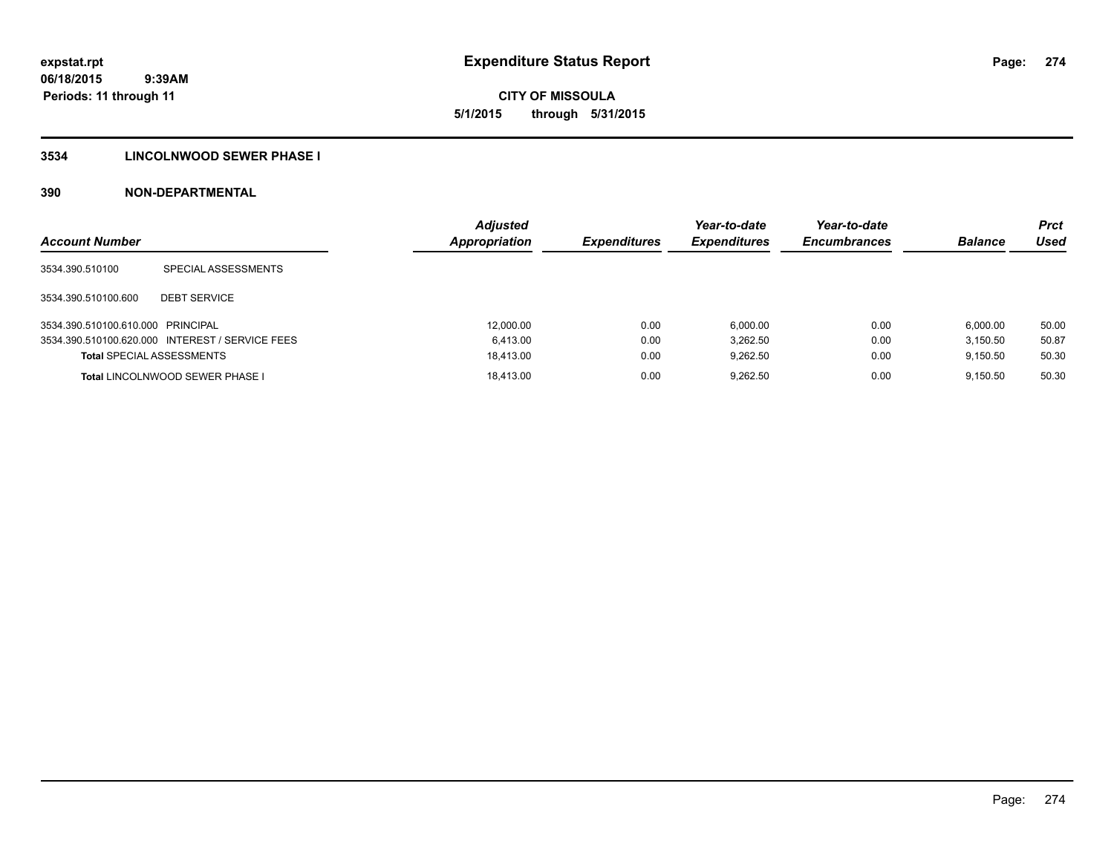**06/18/2015 9:39AM Periods: 11 through 11**

# **CITY OF MISSOULA 5/1/2015 through 5/31/2015**

# **3534 LINCOLNWOOD SEWER PHASE I**

| <b>Account Number</b>             |                                                 | <b>Adjusted</b><br>Appropriation | <b>Expenditures</b> | Year-to-date<br><b>Expenditures</b> | Year-to-date<br><b>Encumbrances</b> | <b>Balance</b> | <b>Prct</b><br>Used |
|-----------------------------------|-------------------------------------------------|----------------------------------|---------------------|-------------------------------------|-------------------------------------|----------------|---------------------|
| 3534.390.510100                   | SPECIAL ASSESSMENTS                             |                                  |                     |                                     |                                     |                |                     |
| 3534.390.510100.600               | <b>DEBT SERVICE</b>                             |                                  |                     |                                     |                                     |                |                     |
| 3534.390.510100.610.000 PRINCIPAL |                                                 | 12,000.00                        | 0.00                | 6.000.00                            | 0.00                                | 6.000.00       | 50.00               |
|                                   | 3534.390.510100.620.000 INTEREST / SERVICE FEES | 6.413.00                         | 0.00                | 3.262.50                            | 0.00                                | 3.150.50       | 50.87               |
| <b>Total SPECIAL ASSESSMENTS</b>  |                                                 | 18.413.00                        | 0.00                | 9.262.50                            | 0.00                                | 9.150.50       | 50.30               |
|                                   | <b>Total LINCOLNWOOD SEWER PHASE I</b>          | 18.413.00                        | 0.00                | 9.262.50                            | 0.00                                | 9.150.50       | 50.30               |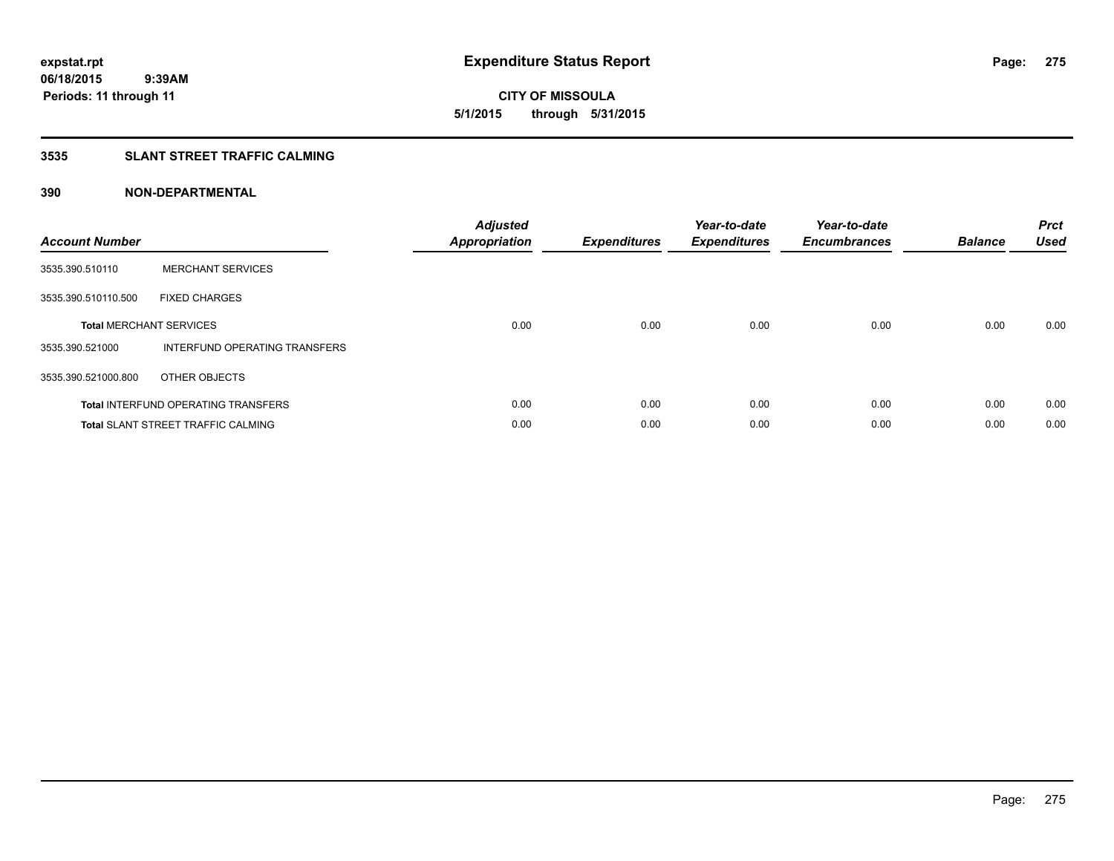**06/18/2015 9:39AM Periods: 11 through 11**

# **CITY OF MISSOULA 5/1/2015 through 5/31/2015**

# **3535 SLANT STREET TRAFFIC CALMING**

| <b>Account Number</b> |                                            | <b>Adjusted</b><br>Appropriation | <b>Expenditures</b> | Year-to-date<br><b>Expenditures</b> | Year-to-date<br><b>Encumbrances</b> | <b>Balance</b> | <b>Prct</b><br><b>Used</b> |
|-----------------------|--------------------------------------------|----------------------------------|---------------------|-------------------------------------|-------------------------------------|----------------|----------------------------|
| 3535.390.510110       | <b>MERCHANT SERVICES</b>                   |                                  |                     |                                     |                                     |                |                            |
| 3535.390.510110.500   | <b>FIXED CHARGES</b>                       |                                  |                     |                                     |                                     |                |                            |
|                       | <b>Total MERCHANT SERVICES</b>             | 0.00                             | 0.00                | 0.00                                | 0.00                                | 0.00           | 0.00                       |
| 3535.390.521000       | INTERFUND OPERATING TRANSFERS              |                                  |                     |                                     |                                     |                |                            |
| 3535.390.521000.800   | OTHER OBJECTS                              |                                  |                     |                                     |                                     |                |                            |
|                       | <b>Total INTERFUND OPERATING TRANSFERS</b> | 0.00                             | 0.00                | 0.00                                | 0.00                                | 0.00           | 0.00                       |
|                       | <b>Total SLANT STREET TRAFFIC CALMING</b>  | 0.00                             | 0.00                | 0.00                                | 0.00                                | 0.00           | 0.00                       |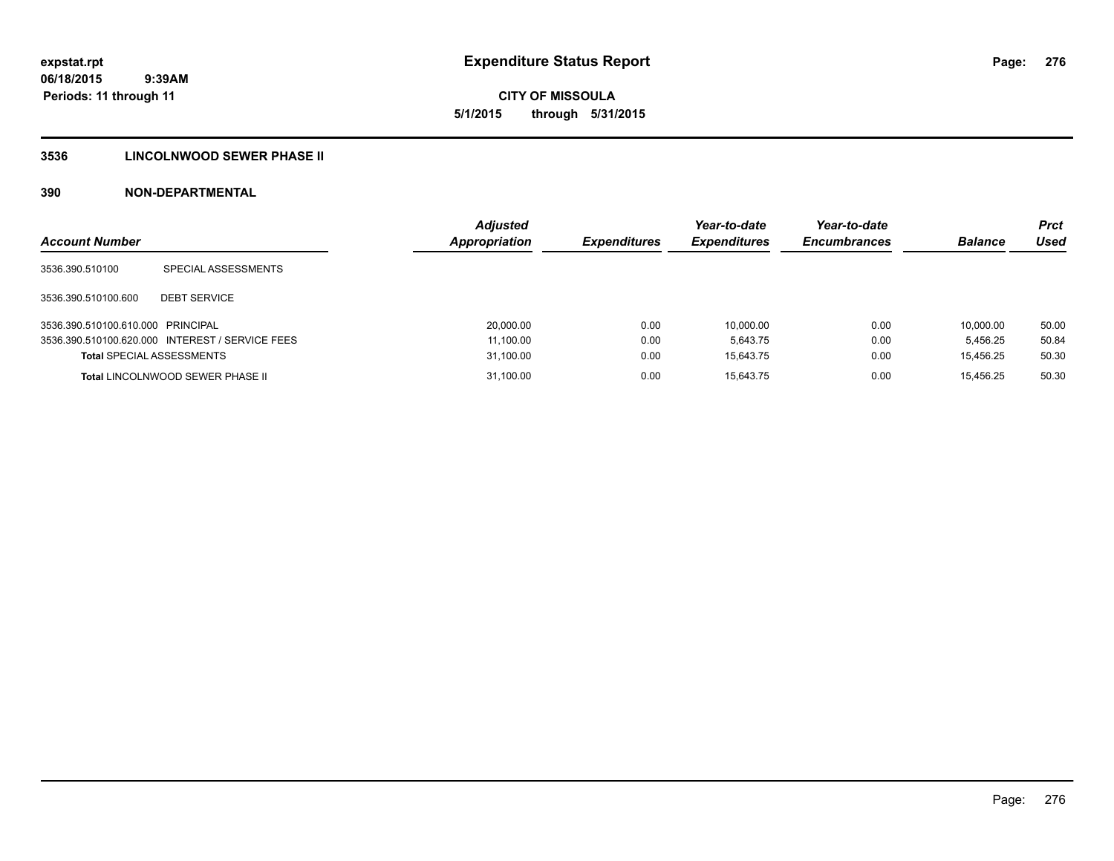**CITY OF MISSOULA 5/1/2015 through 5/31/2015**

# **3536 LINCOLNWOOD SEWER PHASE II**

| <b>Account Number</b>             |                                                 | <b>Adjusted</b><br><b>Appropriation</b> | <b>Expenditures</b> | Year-to-date<br><b>Expenditures</b> | Year-to-date<br><b>Encumbrances</b> | <b>Balance</b> | Prct<br>Used |
|-----------------------------------|-------------------------------------------------|-----------------------------------------|---------------------|-------------------------------------|-------------------------------------|----------------|--------------|
| 3536.390.510100                   | SPECIAL ASSESSMENTS                             |                                         |                     |                                     |                                     |                |              |
| 3536.390.510100.600               | <b>DEBT SERVICE</b>                             |                                         |                     |                                     |                                     |                |              |
| 3536.390.510100.610.000 PRINCIPAL |                                                 | 20,000.00                               | 0.00                | 10.000.00                           | 0.00                                | 10.000.00      | 50.00        |
|                                   | 3536.390.510100.620.000 INTEREST / SERVICE FEES | 11,100.00                               | 0.00                | 5.643.75                            | 0.00                                | 5.456.25       | 50.84        |
| <b>Total SPECIAL ASSESSMENTS</b>  |                                                 | 31,100.00                               | 0.00                | 15.643.75                           | 0.00                                | 15.456.25      | 50.30        |
|                                   | <b>Total LINCOLNWOOD SEWER PHASE II</b>         | 31,100.00                               | 0.00                | 15.643.75                           | 0.00                                | 15.456.25      | 50.30        |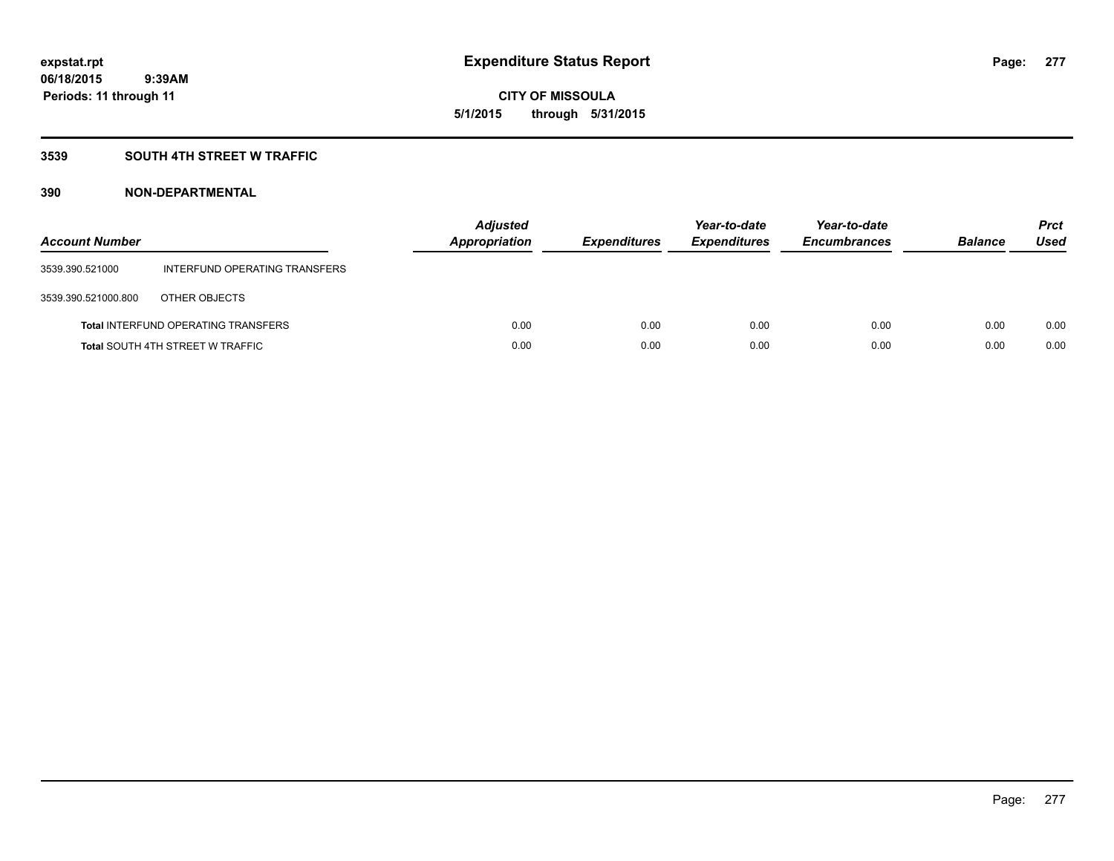# **CITY OF MISSOULA 5/1/2015 through 5/31/2015**

# **3539 SOUTH 4TH STREET W TRAFFIC**

| <b>Account Number</b> |                                            | <b>Adjusted</b><br>Appropriation | <b>Expenditures</b> | Year-to-date<br><b>Expenditures</b> | Year-to-date<br><b>Encumbrances</b> | <b>Balance</b> | <b>Prct</b><br>Used |
|-----------------------|--------------------------------------------|----------------------------------|---------------------|-------------------------------------|-------------------------------------|----------------|---------------------|
| 3539.390.521000       | INTERFUND OPERATING TRANSFERS              |                                  |                     |                                     |                                     |                |                     |
| 3539.390.521000.800   | OTHER OBJECTS                              |                                  |                     |                                     |                                     |                |                     |
|                       | <b>Total INTERFUND OPERATING TRANSFERS</b> | 0.00                             | 0.00                | 0.00                                | 0.00                                | 0.00           | 0.00                |
|                       | <b>Total SOUTH 4TH STREET W TRAFFIC</b>    | 0.00                             | 0.00                | 0.00                                | 0.00                                | 0.00           | 0.00                |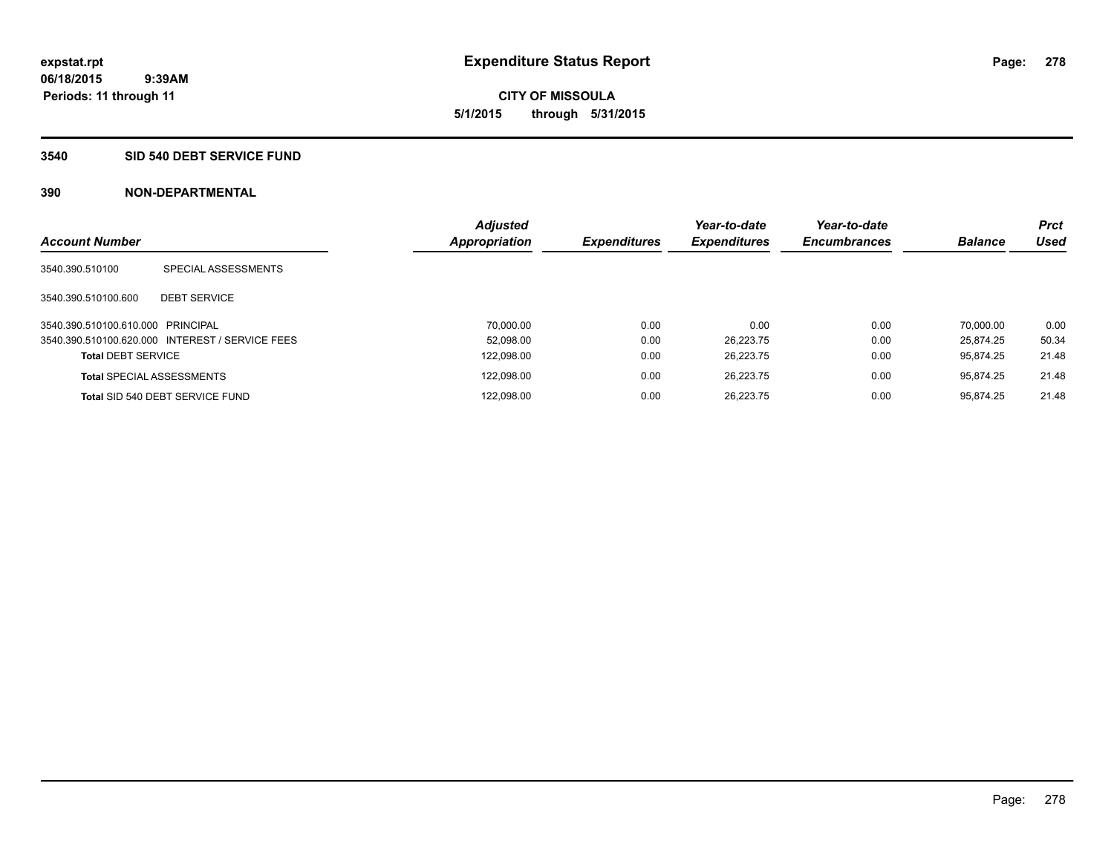#### **3540 SID 540 DEBT SERVICE FUND**

| <b>Account Number</b>             |                                                 | <b>Adjusted</b><br><b>Appropriation</b> | <b>Expenditures</b> | Year-to-date<br><b>Expenditures</b> | Year-to-date<br><b>Encumbrances</b> | <b>Balance</b> | <b>Prct</b><br>Used |
|-----------------------------------|-------------------------------------------------|-----------------------------------------|---------------------|-------------------------------------|-------------------------------------|----------------|---------------------|
| 3540.390.510100                   | SPECIAL ASSESSMENTS                             |                                         |                     |                                     |                                     |                |                     |
| 3540.390.510100.600               | <b>DEBT SERVICE</b>                             |                                         |                     |                                     |                                     |                |                     |
| 3540.390.510100.610.000 PRINCIPAL |                                                 | 70.000.00                               | 0.00                | 0.00                                | 0.00                                | 70.000.00      | 0.00                |
|                                   | 3540.390.510100.620.000 INTEREST / SERVICE FEES | 52.098.00                               | 0.00                | 26.223.75                           | 0.00                                | 25.874.25      | 50.34               |
| <b>Total DEBT SERVICE</b>         |                                                 | 122,098.00                              | 0.00                | 26.223.75                           | 0.00                                | 95.874.25      | 21.48               |
| <b>Total SPECIAL ASSESSMENTS</b>  |                                                 | 122.098.00                              | 0.00                | 26.223.75                           | 0.00                                | 95.874.25      | 21.48               |
|                                   | Total SID 540 DEBT SERVICE FUND                 | 122.098.00                              | 0.00                | 26.223.75                           | 0.00                                | 95.874.25      | 21.48               |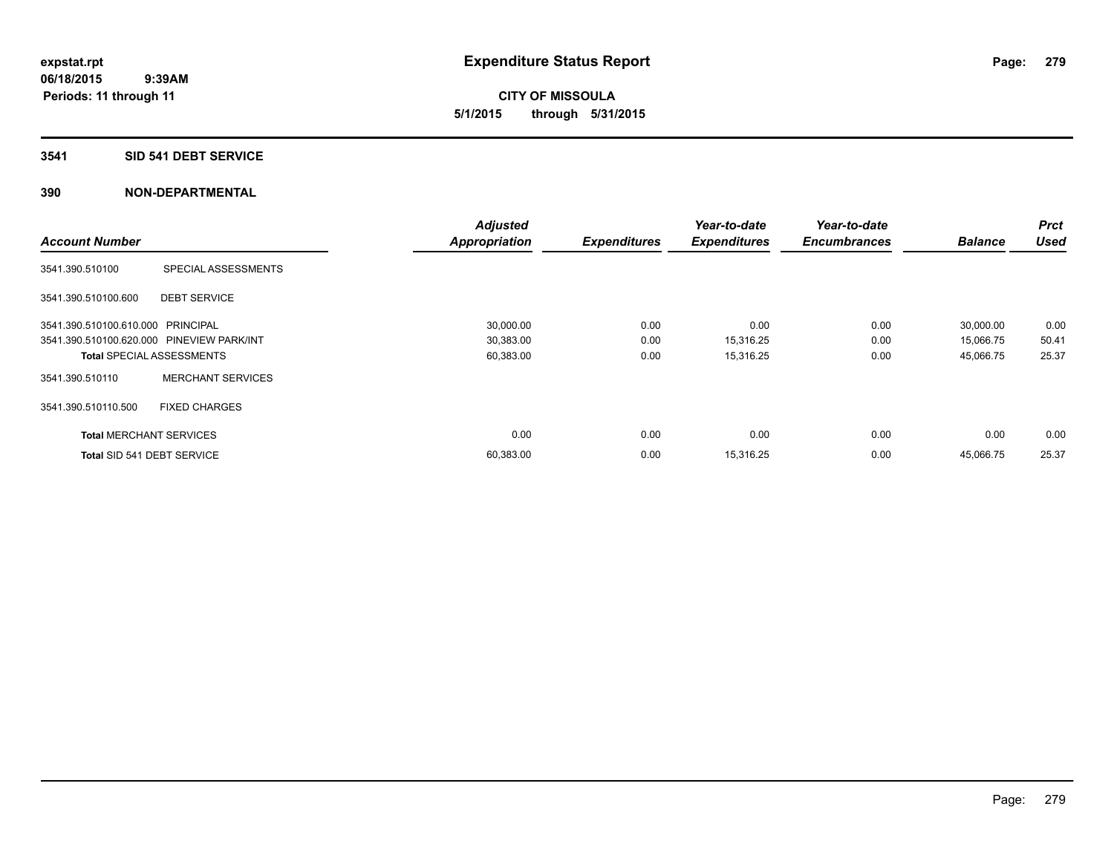**CITY OF MISSOULA 5/1/2015 through 5/31/2015**

#### **3541 SID 541 DEBT SERVICE**

|                                           |                          | <b>Adjusted</b>      |                     | Year-to-date        | Year-to-date        |                | <b>Prct</b> |
|-------------------------------------------|--------------------------|----------------------|---------------------|---------------------|---------------------|----------------|-------------|
| <b>Account Number</b>                     |                          | <b>Appropriation</b> | <b>Expenditures</b> | <b>Expenditures</b> | <b>Encumbrances</b> | <b>Balance</b> | <b>Used</b> |
| 3541.390.510100                           | SPECIAL ASSESSMENTS      |                      |                     |                     |                     |                |             |
| 3541.390.510100.600                       | <b>DEBT SERVICE</b>      |                      |                     |                     |                     |                |             |
| 3541.390.510100.610.000 PRINCIPAL         |                          | 30,000.00            | 0.00                | 0.00                | 0.00                | 30,000.00      | 0.00        |
| 3541.390.510100.620.000 PINEVIEW PARK/INT |                          | 30,383.00            | 0.00                | 15,316.25           | 0.00                | 15,066.75      | 50.41       |
| <b>Total SPECIAL ASSESSMENTS</b>          |                          | 60,383.00            | 0.00                | 15,316.25           | 0.00                | 45,066.75      | 25.37       |
| 3541.390.510110                           | <b>MERCHANT SERVICES</b> |                      |                     |                     |                     |                |             |
| 3541.390.510110.500                       | <b>FIXED CHARGES</b>     |                      |                     |                     |                     |                |             |
| <b>Total MERCHANT SERVICES</b>            |                          | 0.00                 | 0.00                | 0.00                | 0.00                | 0.00           | 0.00        |
| Total SID 541 DEBT SERVICE                |                          | 60,383.00            | 0.00                | 15,316.25           | 0.00                | 45,066.75      | 25.37       |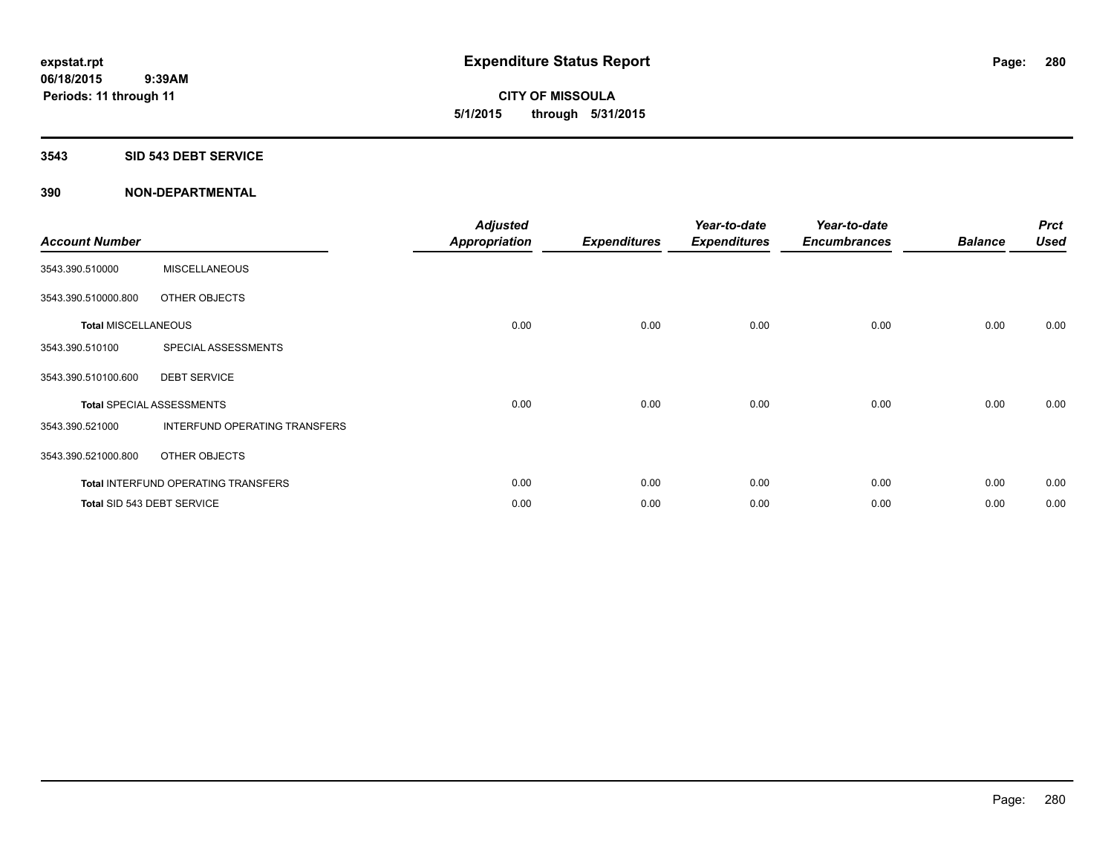**CITY OF MISSOULA 5/1/2015 through 5/31/2015**

#### **3543 SID 543 DEBT SERVICE**

| <b>Account Number</b>      |                                            | <b>Adjusted</b><br><b>Appropriation</b> | <b>Expenditures</b> | Year-to-date<br><b>Expenditures</b> | Year-to-date<br><b>Encumbrances</b> | <b>Balance</b> | <b>Prct</b><br><b>Used</b> |
|----------------------------|--------------------------------------------|-----------------------------------------|---------------------|-------------------------------------|-------------------------------------|----------------|----------------------------|
| 3543.390.510000            | <b>MISCELLANEOUS</b>                       |                                         |                     |                                     |                                     |                |                            |
| 3543.390.510000.800        | OTHER OBJECTS                              |                                         |                     |                                     |                                     |                |                            |
| <b>Total MISCELLANEOUS</b> |                                            | 0.00                                    | 0.00                | 0.00                                | 0.00                                | 0.00           | 0.00                       |
| 3543.390.510100            | SPECIAL ASSESSMENTS                        |                                         |                     |                                     |                                     |                |                            |
| 3543.390.510100.600        | <b>DEBT SERVICE</b>                        |                                         |                     |                                     |                                     |                |                            |
|                            | <b>Total SPECIAL ASSESSMENTS</b>           | 0.00                                    | 0.00                | 0.00                                | 0.00                                | 0.00           | 0.00                       |
| 3543.390.521000            | INTERFUND OPERATING TRANSFERS              |                                         |                     |                                     |                                     |                |                            |
| 3543.390.521000.800        | OTHER OBJECTS                              |                                         |                     |                                     |                                     |                |                            |
|                            | <b>Total INTERFUND OPERATING TRANSFERS</b> | 0.00                                    | 0.00                | 0.00                                | 0.00                                | 0.00           | 0.00                       |
|                            | Total SID 543 DEBT SERVICE                 | 0.00                                    | 0.00                | 0.00                                | 0.00                                | 0.00           | 0.00                       |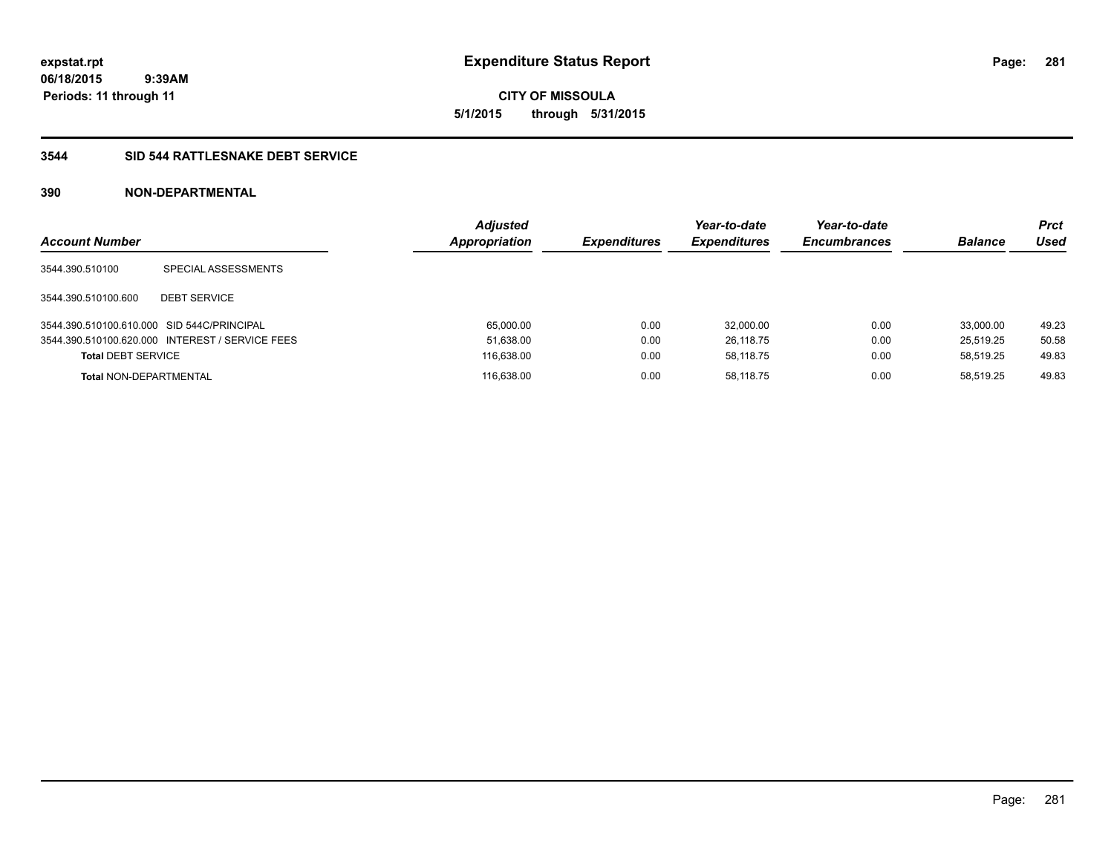**expstat.rpt Expenditure Status Report** 

**06/18/2015 9:39AM Periods: 11 through 11**

# **3544 SID 544 RATTLESNAKE DEBT SERVICE**

| <b>Account Number</b>                      |                                                 | <b>Adjusted</b><br>Appropriation | <b>Expenditures</b> | Year-to-date<br><b>Expenditures</b> | Year-to-date<br><b>Encumbrances</b> | <b>Balance</b> | Prct<br>Used |
|--------------------------------------------|-------------------------------------------------|----------------------------------|---------------------|-------------------------------------|-------------------------------------|----------------|--------------|
| 3544.390.510100                            | SPECIAL ASSESSMENTS                             |                                  |                     |                                     |                                     |                |              |
| 3544.390.510100.600                        | <b>DEBT SERVICE</b>                             |                                  |                     |                                     |                                     |                |              |
| 3544.390.510100.610.000 SID 544C/PRINCIPAL |                                                 | 65,000.00                        | 0.00                | 32.000.00                           | 0.00                                | 33,000.00      | 49.23        |
|                                            | 3544.390.510100.620.000 INTEREST / SERVICE FEES | 51,638.00                        | 0.00                | 26.118.75                           | 0.00                                | 25.519.25      | 50.58        |
| <b>Total DEBT SERVICE</b>                  |                                                 | 116,638.00                       | 0.00                | 58.118.75                           | 0.00                                | 58.519.25      | 49.83        |
| <b>Total NON-DEPARTMENTAL</b>              |                                                 | 116.638.00                       | 0.00                | 58.118.75                           | 0.00                                | 58.519.25      | 49.83        |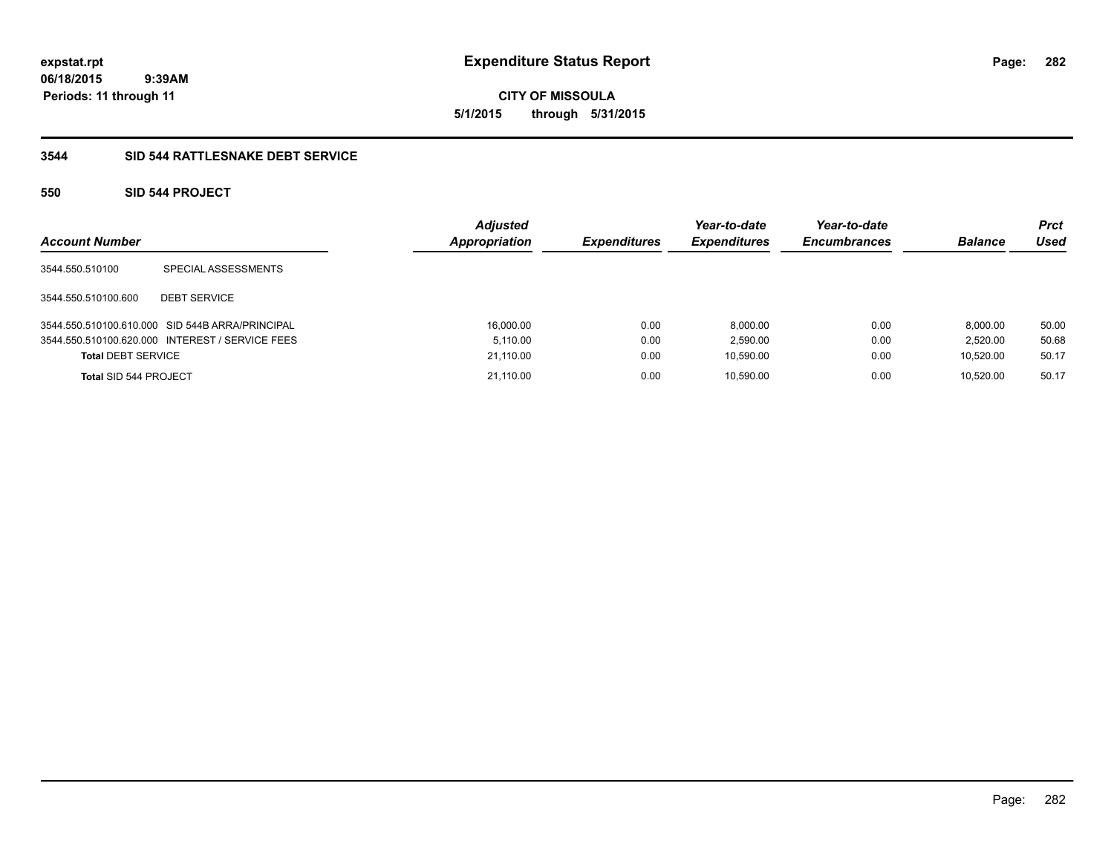**CITY OF MISSOULA 5/1/2015 through 5/31/2015**

# **3544 SID 544 RATTLESNAKE DEBT SERVICE**

# **550 SID 544 PROJECT**

| <b>Account Number</b>     |                                                 | <b>Adjusted</b><br><b>Appropriation</b> | <b>Expenditures</b> | Year-to-date<br><b>Expenditures</b> | Year-to-date<br><b>Encumbrances</b> | <b>Balance</b> | <b>Prct</b><br>Used |
|---------------------------|-------------------------------------------------|-----------------------------------------|---------------------|-------------------------------------|-------------------------------------|----------------|---------------------|
| 3544.550.510100           | SPECIAL ASSESSMENTS                             |                                         |                     |                                     |                                     |                |                     |
| 3544.550.510100.600       | <b>DEBT SERVICE</b>                             |                                         |                     |                                     |                                     |                |                     |
|                           | 3544.550.510100.610.000 SID 544B ARRA/PRINCIPAL | 16,000.00                               | 0.00                | 8.000.00                            | 0.00                                | 8.000.00       | 50.00               |
|                           | 3544.550.510100.620.000 INTEREST / SERVICE FEES | 5.110.00                                | 0.00                | 2,590.00                            | 0.00                                | 2.520.00       | 50.68               |
| <b>Total DEBT SERVICE</b> |                                                 | 21,110.00                               | 0.00                | 10,590.00                           | 0.00                                | 10.520.00      | 50.17               |
| Total SID 544 PROJECT     |                                                 | 21.110.00                               | 0.00                | 10.590.00                           | 0.00                                | 10.520.00      | 50.17               |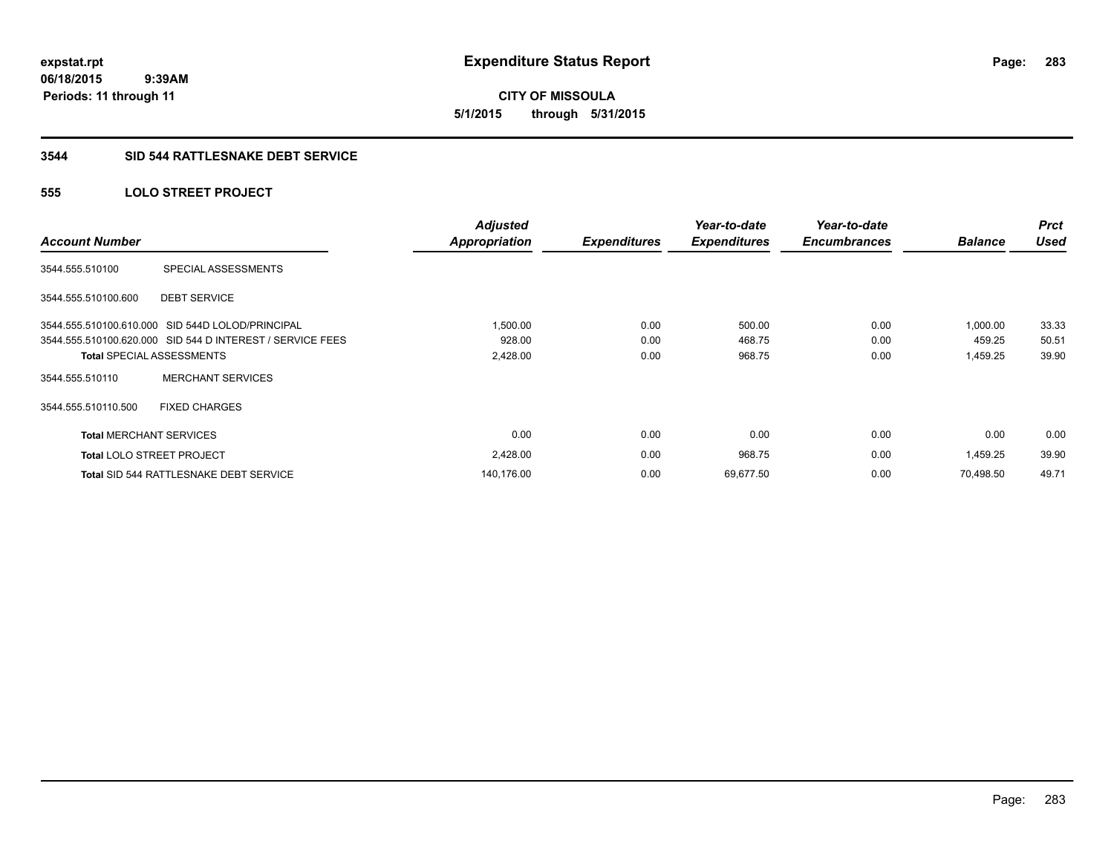# **3544 SID 544 RATTLESNAKE DEBT SERVICE**

# **555 LOLO STREET PROJECT**

| <b>Account Number</b>          |                                                           | <b>Adjusted</b><br><b>Appropriation</b> | <b>Expenditures</b> | Year-to-date<br><b>Expenditures</b> | Year-to-date<br><b>Encumbrances</b> | <b>Balance</b> | <b>Prct</b><br><b>Used</b> |
|--------------------------------|-----------------------------------------------------------|-----------------------------------------|---------------------|-------------------------------------|-------------------------------------|----------------|----------------------------|
|                                |                                                           |                                         |                     |                                     |                                     |                |                            |
| 3544.555.510100                | SPECIAL ASSESSMENTS                                       |                                         |                     |                                     |                                     |                |                            |
| 3544.555.510100.600            | <b>DEBT SERVICE</b>                                       |                                         |                     |                                     |                                     |                |                            |
|                                | 3544.555.510100.610.000 SID 544D LOLOD/PRINCIPAL          | 1,500.00                                | 0.00                | 500.00                              | 0.00                                | 1,000.00       | 33.33                      |
|                                | 3544.555.510100.620.000 SID 544 D INTEREST / SERVICE FEES | 928.00                                  | 0.00                | 468.75                              | 0.00                                | 459.25         | 50.51                      |
|                                | <b>Total SPECIAL ASSESSMENTS</b>                          | 2,428.00                                | 0.00                | 968.75                              | 0.00                                | 1,459.25       | 39.90                      |
| 3544.555.510110                | <b>MERCHANT SERVICES</b>                                  |                                         |                     |                                     |                                     |                |                            |
| 3544.555.510110.500            | <b>FIXED CHARGES</b>                                      |                                         |                     |                                     |                                     |                |                            |
| <b>Total MERCHANT SERVICES</b> |                                                           | 0.00                                    | 0.00                | 0.00                                | 0.00                                | 0.00           | 0.00                       |
|                                | <b>Total LOLO STREET PROJECT</b>                          | 2,428.00                                | 0.00                | 968.75                              | 0.00                                | 1,459.25       | 39.90                      |
|                                | <b>Total SID 544 RATTLESNAKE DEBT SERVICE</b>             | 140,176.00                              | 0.00                | 69,677.50                           | 0.00                                | 70,498.50      | 49.71                      |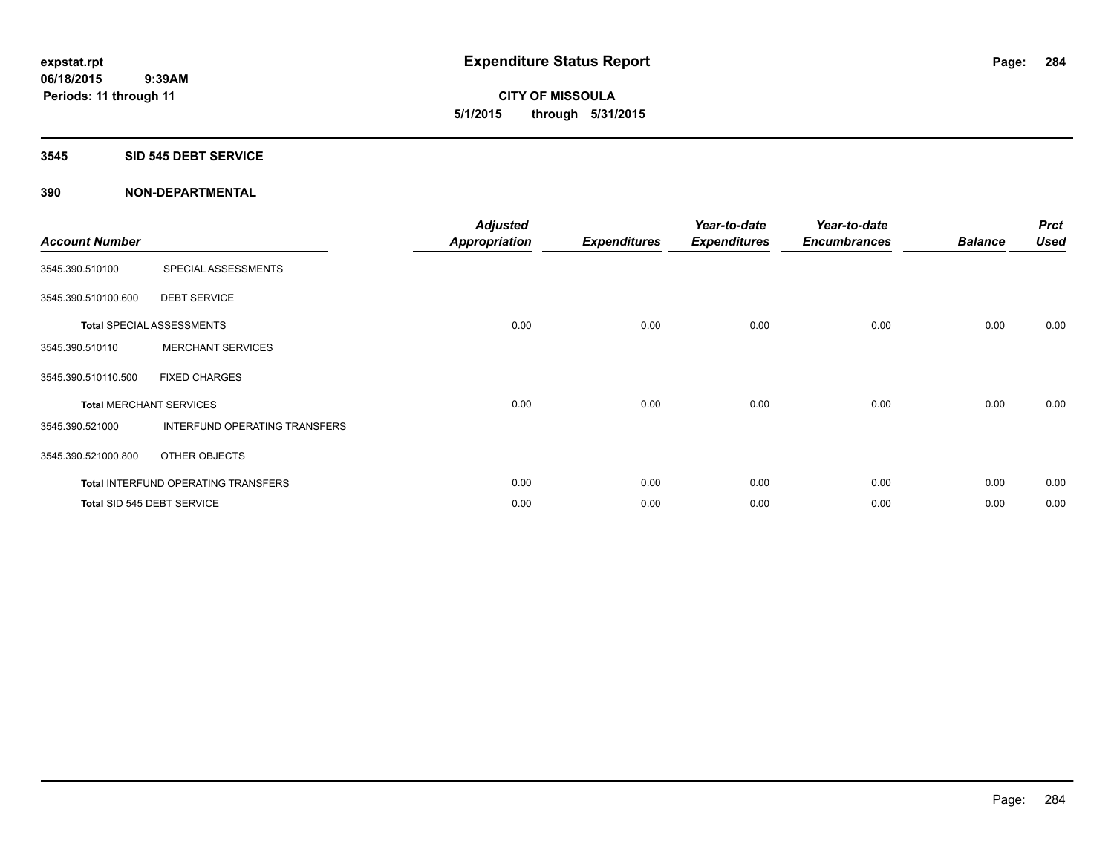**CITY OF MISSOULA 5/1/2015 through 5/31/2015**

#### **3545 SID 545 DEBT SERVICE**

| <b>Account Number</b> |                                            | <b>Adjusted</b><br><b>Appropriation</b> | <b>Expenditures</b> | Year-to-date<br><b>Expenditures</b> | Year-to-date<br><b>Encumbrances</b> | <b>Balance</b> | <b>Prct</b><br><b>Used</b> |
|-----------------------|--------------------------------------------|-----------------------------------------|---------------------|-------------------------------------|-------------------------------------|----------------|----------------------------|
| 3545.390.510100       | SPECIAL ASSESSMENTS                        |                                         |                     |                                     |                                     |                |                            |
| 3545.390.510100.600   | <b>DEBT SERVICE</b>                        |                                         |                     |                                     |                                     |                |                            |
|                       | <b>Total SPECIAL ASSESSMENTS</b>           | 0.00                                    | 0.00                | 0.00                                | 0.00                                | 0.00           | 0.00                       |
| 3545.390.510110       | <b>MERCHANT SERVICES</b>                   |                                         |                     |                                     |                                     |                |                            |
| 3545.390.510110.500   | <b>FIXED CHARGES</b>                       |                                         |                     |                                     |                                     |                |                            |
|                       | <b>Total MERCHANT SERVICES</b>             | 0.00                                    | 0.00                | 0.00                                | 0.00                                | 0.00           | 0.00                       |
| 3545.390.521000       | INTERFUND OPERATING TRANSFERS              |                                         |                     |                                     |                                     |                |                            |
| 3545.390.521000.800   | OTHER OBJECTS                              |                                         |                     |                                     |                                     |                |                            |
|                       | <b>Total INTERFUND OPERATING TRANSFERS</b> | 0.00                                    | 0.00                | 0.00                                | 0.00                                | 0.00           | 0.00                       |
|                       | Total SID 545 DEBT SERVICE                 | 0.00                                    | 0.00                | 0.00                                | 0.00                                | 0.00           | 0.00                       |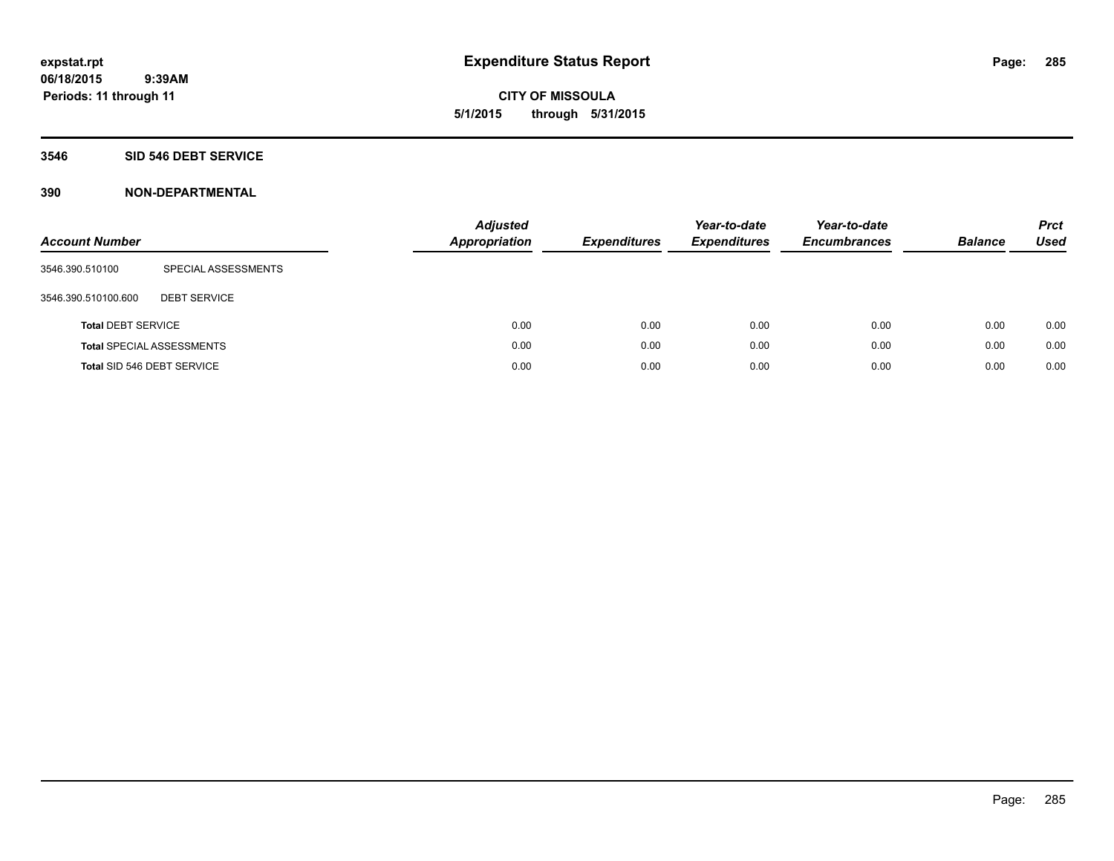#### **3546 SID 546 DEBT SERVICE**

| <b>Account Number</b>      |                                  | <b>Adjusted</b><br>Appropriation | <b>Expenditures</b> | Year-to-date<br><b>Expenditures</b> | Year-to-date<br><b>Encumbrances</b> | <b>Balance</b> | <b>Prct</b><br>Used |
|----------------------------|----------------------------------|----------------------------------|---------------------|-------------------------------------|-------------------------------------|----------------|---------------------|
| 3546.390.510100            | SPECIAL ASSESSMENTS              |                                  |                     |                                     |                                     |                |                     |
| 3546.390.510100.600        | <b>DEBT SERVICE</b>              |                                  |                     |                                     |                                     |                |                     |
| <b>Total DEBT SERVICE</b>  |                                  | 0.00                             | 0.00                | 0.00                                | 0.00                                | 0.00           | 0.00                |
|                            | <b>Total SPECIAL ASSESSMENTS</b> | 0.00                             | 0.00                | 0.00                                | 0.00                                | 0.00           | 0.00                |
| Total SID 546 DEBT SERVICE |                                  | 0.00                             | 0.00                | 0.00                                | 0.00                                | 0.00           | 0.00                |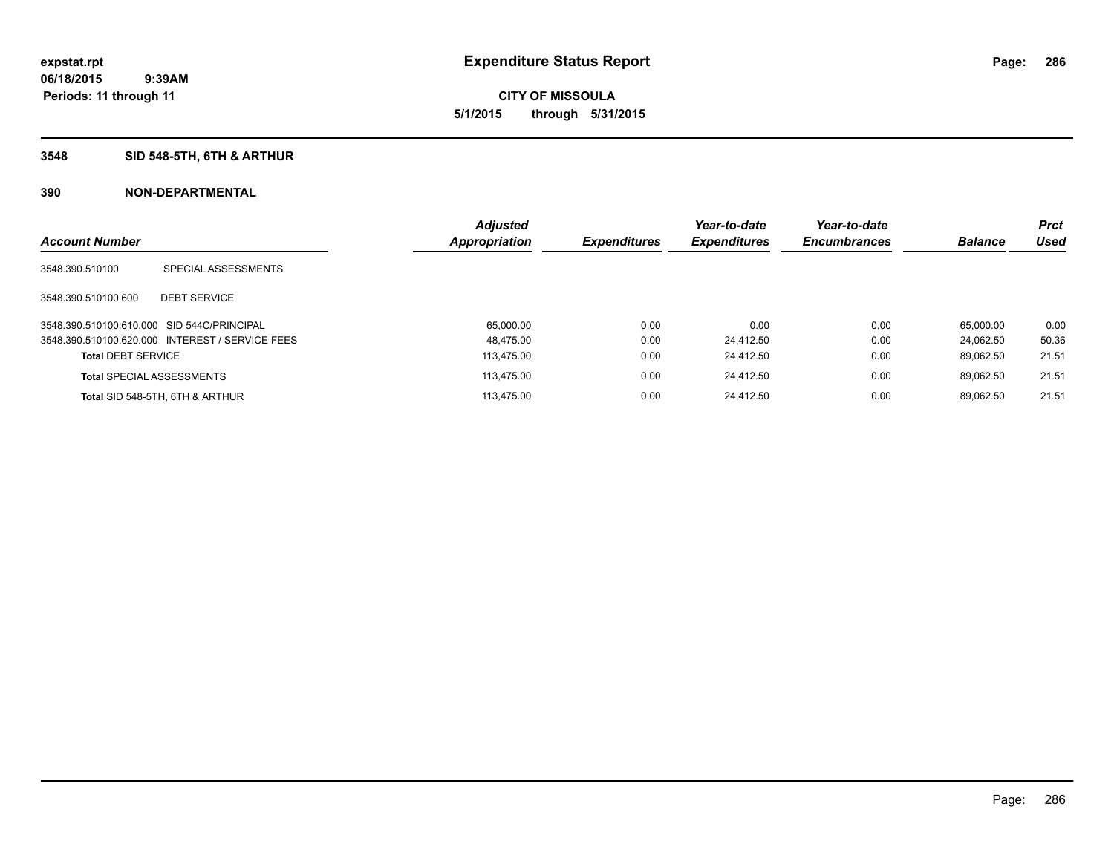# **3548 SID 548-5TH, 6TH & ARTHUR**

|                           |                                                 | <b>Adjusted</b> |                     | Year-to-date        | Year-to-date        |                | <b>Prct</b> |
|---------------------------|-------------------------------------------------|-----------------|---------------------|---------------------|---------------------|----------------|-------------|
| <b>Account Number</b>     |                                                 | Appropriation   | <b>Expenditures</b> | <b>Expenditures</b> | <b>Encumbrances</b> | <b>Balance</b> | <b>Used</b> |
| 3548.390.510100           | SPECIAL ASSESSMENTS                             |                 |                     |                     |                     |                |             |
| 3548.390.510100.600       | <b>DEBT SERVICE</b>                             |                 |                     |                     |                     |                |             |
|                           | 3548.390.510100.610.000 SID 544C/PRINCIPAL      | 65,000.00       | 0.00                | 0.00                | 0.00                | 65.000.00      | 0.00        |
|                           | 3548.390.510100.620.000 INTEREST / SERVICE FEES | 48.475.00       | 0.00                | 24.412.50           | 0.00                | 24.062.50      | 50.36       |
| <b>Total DEBT SERVICE</b> |                                                 | 113.475.00      | 0.00                | 24.412.50           | 0.00                | 89.062.50      | 21.51       |
|                           | <b>Total SPECIAL ASSESSMENTS</b>                | 113.475.00      | 0.00                | 24.412.50           | 0.00                | 89.062.50      | 21.51       |
|                           | Total SID 548-5TH, 6TH & ARTHUR                 | 113.475.00      | 0.00                | 24.412.50           | 0.00                | 89.062.50      | 21.51       |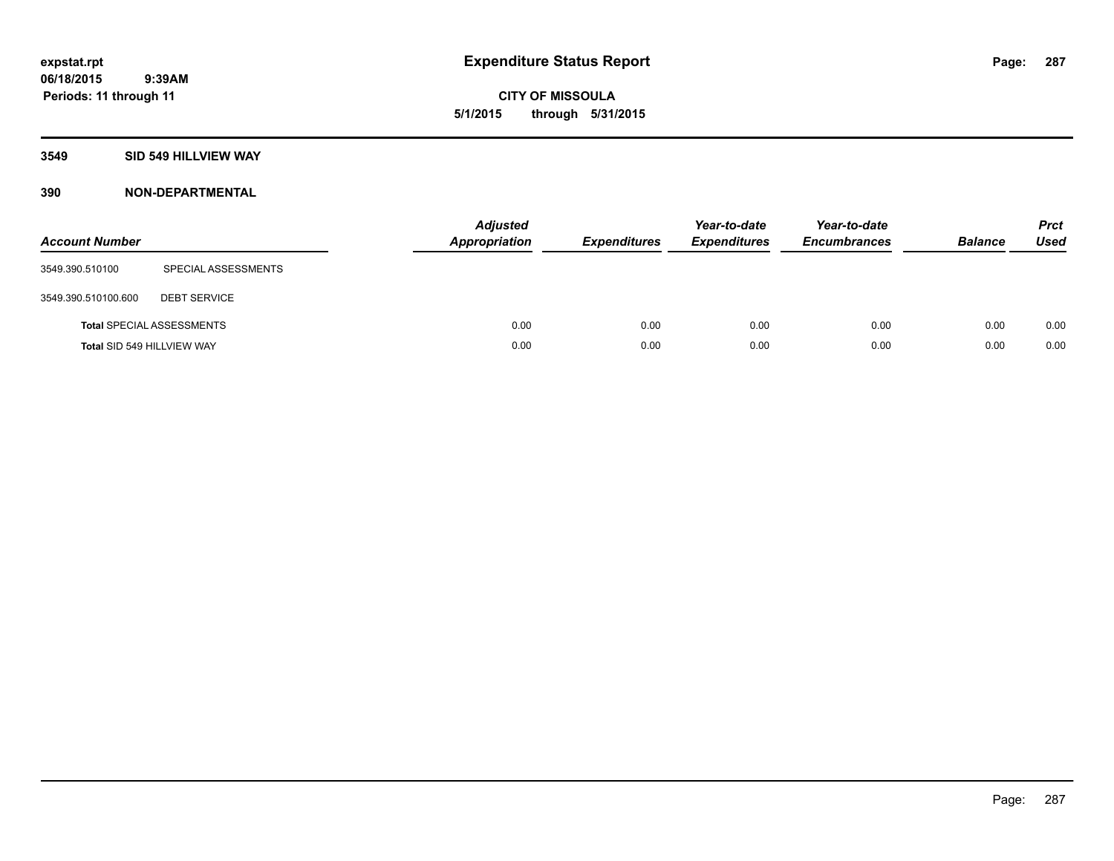**CITY OF MISSOULA 5/1/2015 through 5/31/2015**

#### **3549 SID 549 HILLVIEW WAY**

| <b>Account Number</b>      |                                  | <b>Adjusted</b><br><b>Appropriation</b> | <b>Expenditures</b> | Year-to-date<br><b>Expenditures</b> | Year-to-date<br><b>Encumbrances</b> | <b>Balance</b> | <b>Prct</b><br><b>Used</b> |
|----------------------------|----------------------------------|-----------------------------------------|---------------------|-------------------------------------|-------------------------------------|----------------|----------------------------|
| 3549.390.510100            | SPECIAL ASSESSMENTS              |                                         |                     |                                     |                                     |                |                            |
| 3549.390.510100.600        | <b>DEBT SERVICE</b>              |                                         |                     |                                     |                                     |                |                            |
|                            | <b>Total SPECIAL ASSESSMENTS</b> | 0.00                                    | 0.00                | 0.00                                | 0.00                                | 0.00           | 0.00                       |
| Total SID 549 HILLVIEW WAY |                                  | 0.00                                    | 0.00                | 0.00                                | 0.00                                | 0.00           | 0.00                       |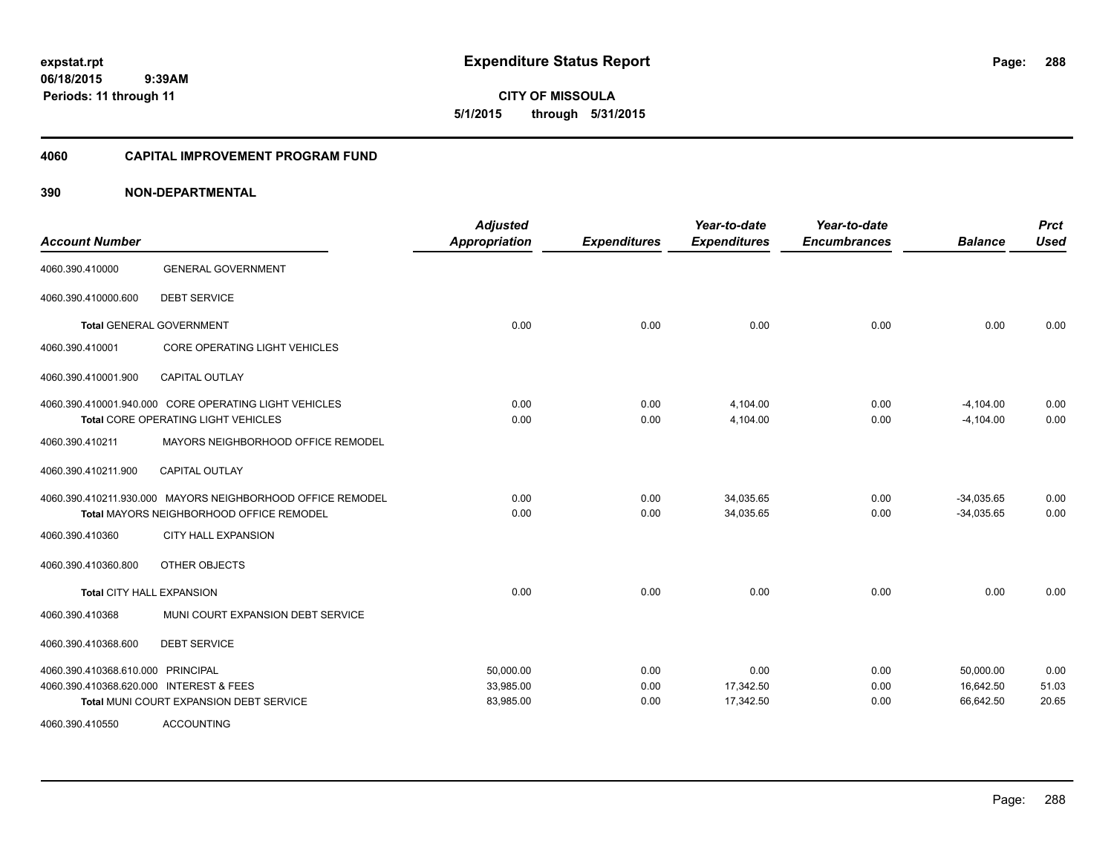**CITY OF MISSOULA 5/1/2015 through 5/31/2015**

#### **4060 CAPITAL IMPROVEMENT PROGRAM FUND**

| <b>Account Number</b>                   |                                                            | <b>Adjusted</b><br><b>Appropriation</b> | <b>Expenditures</b> | Year-to-date<br><b>Expenditures</b> | Year-to-date<br><b>Encumbrances</b> | <b>Balance</b> | <b>Prct</b><br><b>Used</b> |
|-----------------------------------------|------------------------------------------------------------|-----------------------------------------|---------------------|-------------------------------------|-------------------------------------|----------------|----------------------------|
| 4060.390.410000                         | <b>GENERAL GOVERNMENT</b>                                  |                                         |                     |                                     |                                     |                |                            |
| 4060.390.410000.600                     | <b>DEBT SERVICE</b>                                        |                                         |                     |                                     |                                     |                |                            |
|                                         | <b>Total GENERAL GOVERNMENT</b>                            | 0.00                                    | 0.00                | 0.00                                | 0.00                                | 0.00           | 0.00                       |
| 4060.390.410001                         | <b>CORE OPERATING LIGHT VEHICLES</b>                       |                                         |                     |                                     |                                     |                |                            |
| 4060.390.410001.900                     | <b>CAPITAL OUTLAY</b>                                      |                                         |                     |                                     |                                     |                |                            |
|                                         | 4060.390.410001.940.000 CORE OPERATING LIGHT VEHICLES      | 0.00                                    | 0.00                | 4,104.00                            | 0.00                                | $-4,104.00$    | 0.00                       |
|                                         | Total CORE OPERATING LIGHT VEHICLES                        | 0.00                                    | 0.00                | 4,104.00                            | 0.00                                | $-4,104.00$    | 0.00                       |
| 4060.390.410211                         | MAYORS NEIGHBORHOOD OFFICE REMODEL                         |                                         |                     |                                     |                                     |                |                            |
| 4060.390.410211.900                     | <b>CAPITAL OUTLAY</b>                                      |                                         |                     |                                     |                                     |                |                            |
|                                         | 4060.390.410211.930.000 MAYORS NEIGHBORHOOD OFFICE REMODEL | 0.00                                    | 0.00                | 34,035.65                           | 0.00                                | $-34,035.65$   | 0.00                       |
|                                         | Total MAYORS NEIGHBORHOOD OFFICE REMODEL                   | 0.00                                    | 0.00                | 34,035.65                           | 0.00                                | $-34,035.65$   | 0.00                       |
| 4060.390.410360                         | <b>CITY HALL EXPANSION</b>                                 |                                         |                     |                                     |                                     |                |                            |
| 4060.390.410360.800                     | OTHER OBJECTS                                              |                                         |                     |                                     |                                     |                |                            |
| Total CITY HALL EXPANSION               |                                                            | 0.00                                    | 0.00                | 0.00                                | 0.00                                | 0.00           | 0.00                       |
| 4060.390.410368                         | MUNI COURT EXPANSION DEBT SERVICE                          |                                         |                     |                                     |                                     |                |                            |
| 4060.390.410368.600                     | <b>DEBT SERVICE</b>                                        |                                         |                     |                                     |                                     |                |                            |
| 4060.390.410368.610.000 PRINCIPAL       |                                                            | 50,000.00                               | 0.00                | 0.00                                | 0.00                                | 50,000.00      | 0.00                       |
| 4060.390.410368.620.000 INTEREST & FEES |                                                            | 33,985.00                               | 0.00                | 17,342.50                           | 0.00                                | 16,642.50      | 51.03                      |
|                                         | Total MUNI COURT EXPANSION DEBT SERVICE                    | 83,985.00                               | 0.00                | 17,342.50                           | 0.00                                | 66,642.50      | 20.65                      |
| 4060.390.410550                         | <b>ACCOUNTING</b>                                          |                                         |                     |                                     |                                     |                |                            |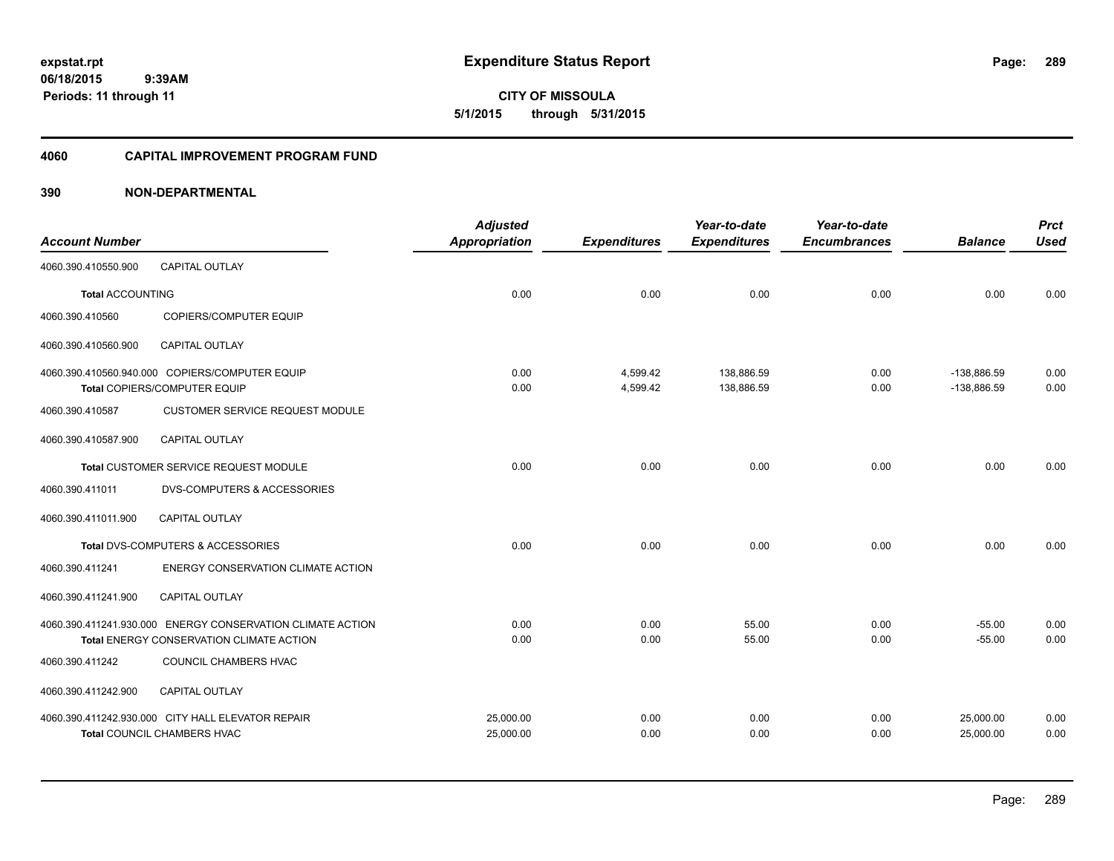**CITY OF MISSOULA 5/1/2015 through 5/31/2015**

### **4060 CAPITAL IMPROVEMENT PROGRAM FUND**

|                         |                                                            | <b>Adjusted</b>      |                     | Year-to-date        | Year-to-date        |                | <b>Prct</b> |
|-------------------------|------------------------------------------------------------|----------------------|---------------------|---------------------|---------------------|----------------|-------------|
| <b>Account Number</b>   |                                                            | <b>Appropriation</b> | <b>Expenditures</b> | <b>Expenditures</b> | <b>Encumbrances</b> | <b>Balance</b> | <b>Used</b> |
| 4060.390.410550.900     | <b>CAPITAL OUTLAY</b>                                      |                      |                     |                     |                     |                |             |
| <b>Total ACCOUNTING</b> |                                                            | 0.00                 | 0.00                | 0.00                | 0.00                | 0.00           | 0.00        |
| 4060.390.410560         | COPIERS/COMPUTER EQUIP                                     |                      |                     |                     |                     |                |             |
| 4060.390.410560.900     | <b>CAPITAL OUTLAY</b>                                      |                      |                     |                     |                     |                |             |
|                         | 4060.390.410560.940.000 COPIERS/COMPUTER EQUIP             | 0.00                 | 4,599.42            | 138,886.59          | 0.00                | $-138,886.59$  | 0.00        |
|                         | Total COPIERS/COMPUTER EQUIP                               | 0.00                 | 4,599.42            | 138,886.59          | 0.00                | -138,886.59    | 0.00        |
| 4060.390.410587         | <b>CUSTOMER SERVICE REQUEST MODULE</b>                     |                      |                     |                     |                     |                |             |
| 4060.390.410587.900     | <b>CAPITAL OUTLAY</b>                                      |                      |                     |                     |                     |                |             |
|                         | Total CUSTOMER SERVICE REQUEST MODULE                      | 0.00                 | 0.00                | 0.00                | 0.00                | 0.00           | 0.00        |
| 4060.390.411011         | <b>DVS-COMPUTERS &amp; ACCESSORIES</b>                     |                      |                     |                     |                     |                |             |
| 4060.390.411011.900     | <b>CAPITAL OUTLAY</b>                                      |                      |                     |                     |                     |                |             |
|                         | Total DVS-COMPUTERS & ACCESSORIES                          | 0.00                 | 0.00                | 0.00                | 0.00                | 0.00           | 0.00        |
| 4060.390.411241         | ENERGY CONSERVATION CLIMATE ACTION                         |                      |                     |                     |                     |                |             |
| 4060.390.411241.900     | CAPITAL OUTLAY                                             |                      |                     |                     |                     |                |             |
|                         | 4060.390.411241.930.000 ENERGY CONSERVATION CLIMATE ACTION | 0.00                 | 0.00                | 55.00               | 0.00                | $-55.00$       | 0.00        |
|                         | Total ENERGY CONSERVATION CLIMATE ACTION                   | 0.00                 | 0.00                | 55.00               | 0.00                | $-55.00$       | 0.00        |
| 4060.390.411242         | COUNCIL CHAMBERS HVAC                                      |                      |                     |                     |                     |                |             |
| 4060.390.411242.900     | <b>CAPITAL OUTLAY</b>                                      |                      |                     |                     |                     |                |             |
|                         | 4060.390.411242.930.000 CITY HALL ELEVATOR REPAIR          | 25,000.00            | 0.00                | 0.00                | 0.00                | 25,000.00      | 0.00        |
|                         | Total COUNCIL CHAMBERS HVAC                                | 25,000.00            | 0.00                | 0.00                | 0.00                | 25,000.00      | 0.00        |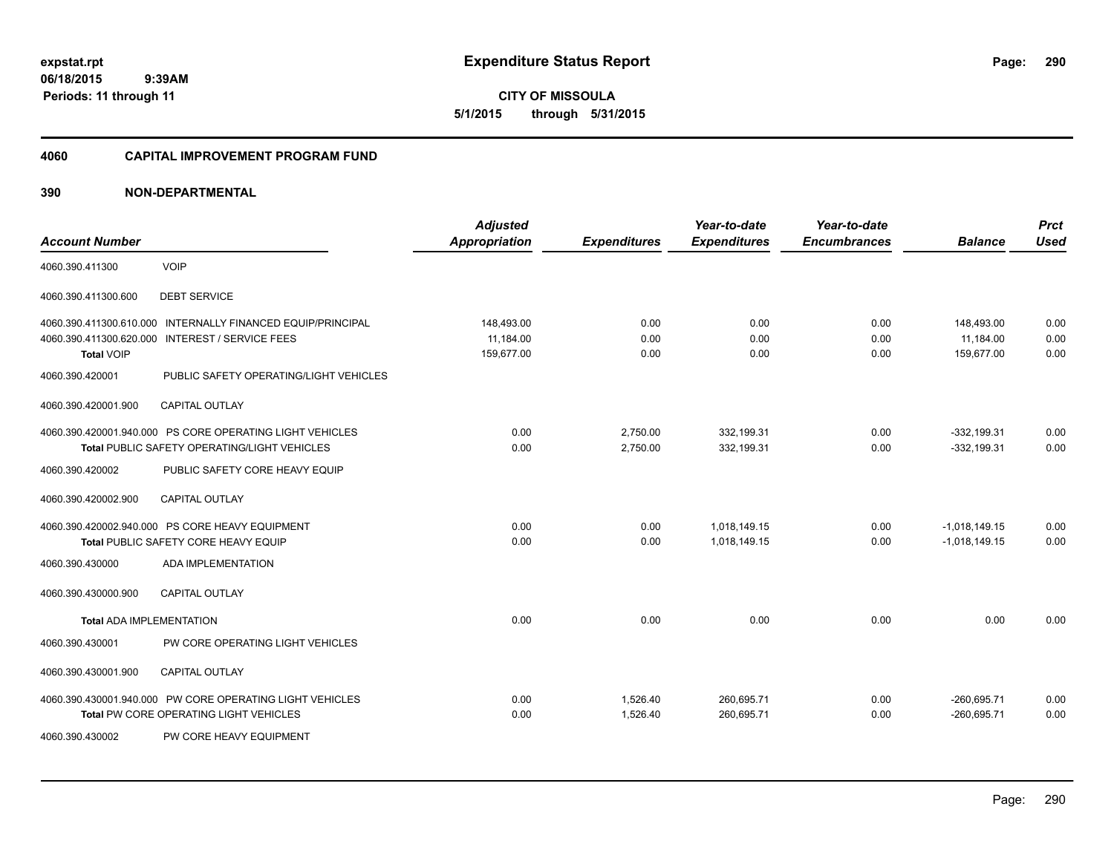**CITY OF MISSOULA 5/1/2015 through 5/31/2015**

# **4060 CAPITAL IMPROVEMENT PROGRAM FUND**

|                                 |                                                             | <b>Adjusted</b>      |                     | Year-to-date        | Year-to-date        |                 | <b>Prct</b> |
|---------------------------------|-------------------------------------------------------------|----------------------|---------------------|---------------------|---------------------|-----------------|-------------|
| <b>Account Number</b>           |                                                             | <b>Appropriation</b> | <b>Expenditures</b> | <b>Expenditures</b> | <b>Encumbrances</b> | <b>Balance</b>  | <b>Used</b> |
| 4060.390.411300                 | <b>VOIP</b>                                                 |                      |                     |                     |                     |                 |             |
| 4060.390.411300.600             | <b>DEBT SERVICE</b>                                         |                      |                     |                     |                     |                 |             |
|                                 | 4060.390.411300.610.000 INTERNALLY FINANCED EQUIP/PRINCIPAL | 148,493.00           | 0.00                | 0.00                | 0.00                | 148,493.00      | 0.00        |
| 4060.390.411300.620.000         | <b>INTEREST / SERVICE FEES</b>                              | 11,184.00            | 0.00                | 0.00                | 0.00                | 11,184.00       | 0.00        |
| <b>Total VOIP</b>               |                                                             | 159,677.00           | 0.00                | 0.00                | 0.00                | 159,677.00      | 0.00        |
| 4060.390.420001                 | PUBLIC SAFETY OPERATING/LIGHT VEHICLES                      |                      |                     |                     |                     |                 |             |
| 4060.390.420001.900             | CAPITAL OUTLAY                                              |                      |                     |                     |                     |                 |             |
|                                 | 4060.390.420001.940.000 PS CORE OPERATING LIGHT VEHICLES    | 0.00                 | 2,750.00            | 332,199.31          | 0.00                | $-332,199.31$   | 0.00        |
|                                 | <b>Total PUBLIC SAFETY OPERATING/LIGHT VEHICLES</b>         | 0.00                 | 2,750.00            | 332,199.31          | 0.00                | $-332, 199.31$  | 0.00        |
| 4060.390.420002                 | PUBLIC SAFETY CORE HEAVY EQUIP                              |                      |                     |                     |                     |                 |             |
| 4060.390.420002.900             | <b>CAPITAL OUTLAY</b>                                       |                      |                     |                     |                     |                 |             |
|                                 | 4060.390.420002.940.000 PS CORE HEAVY EQUIPMENT             | 0.00                 | 0.00                | 1,018,149.15        | 0.00                | $-1,018,149.15$ | 0.00        |
|                                 | <b>Total PUBLIC SAFETY CORE HEAVY EQUIP</b>                 | 0.00                 | 0.00                | 1,018,149.15        | 0.00                | $-1,018,149.15$ | 0.00        |
| 4060.390.430000                 | <b>ADA IMPLEMENTATION</b>                                   |                      |                     |                     |                     |                 |             |
| 4060.390.430000.900             | <b>CAPITAL OUTLAY</b>                                       |                      |                     |                     |                     |                 |             |
| <b>Total ADA IMPLEMENTATION</b> |                                                             | 0.00                 | 0.00                | 0.00                | 0.00                | 0.00            | 0.00        |
| 4060.390.430001                 | PW CORE OPERATING LIGHT VEHICLES                            |                      |                     |                     |                     |                 |             |
| 4060.390.430001.900             | <b>CAPITAL OUTLAY</b>                                       |                      |                     |                     |                     |                 |             |
|                                 | 4060.390.430001.940.000 PW CORE OPERATING LIGHT VEHICLES    | 0.00                 | 1,526.40            | 260,695.71          | 0.00                | $-260,695.71$   | 0.00        |
|                                 | Total PW CORE OPERATING LIGHT VEHICLES                      | 0.00                 | 1,526.40            | 260,695.71          | 0.00                | $-260,695.71$   | 0.00        |
| 4060.390.430002                 | PW CORE HEAVY EQUIPMENT                                     |                      |                     |                     |                     |                 |             |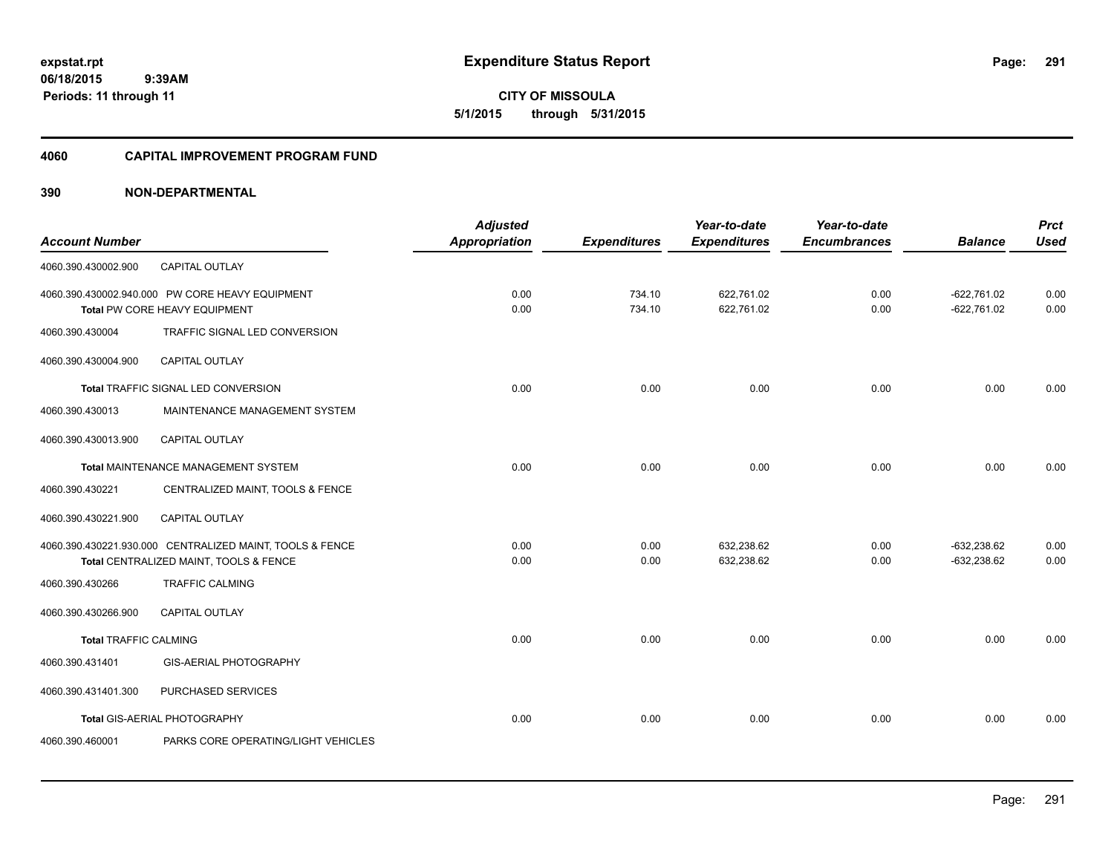**CITY OF MISSOULA 5/1/2015 through 5/31/2015**

# **4060 CAPITAL IMPROVEMENT PROGRAM FUND**

| <b>Account Number</b>        |                                                                                                    | <b>Adjusted</b><br><b>Appropriation</b> | <b>Expenditures</b> | Year-to-date<br><b>Expenditures</b> | Year-to-date<br><b>Encumbrances</b> | <b>Balance</b>                 | <b>Prct</b><br><b>Used</b> |
|------------------------------|----------------------------------------------------------------------------------------------------|-----------------------------------------|---------------------|-------------------------------------|-------------------------------------|--------------------------------|----------------------------|
| 4060.390.430002.900          | <b>CAPITAL OUTLAY</b>                                                                              |                                         |                     |                                     |                                     |                                |                            |
|                              | 4060.390.430002.940.000 PW CORE HEAVY EQUIPMENT<br>Total PW CORE HEAVY EQUIPMENT                   | 0.00<br>0.00                            | 734.10<br>734.10    | 622,761.02<br>622,761.02            | 0.00<br>0.00                        | $-622,761.02$<br>$-622,761.02$ | 0.00<br>0.00               |
| 4060.390.430004              | TRAFFIC SIGNAL LED CONVERSION                                                                      |                                         |                     |                                     |                                     |                                |                            |
| 4060.390.430004.900          | CAPITAL OUTLAY                                                                                     |                                         |                     |                                     |                                     |                                |                            |
|                              | Total TRAFFIC SIGNAL LED CONVERSION                                                                | 0.00                                    | 0.00                | 0.00                                | 0.00                                | 0.00                           | 0.00                       |
| 4060.390.430013              | MAINTENANCE MANAGEMENT SYSTEM                                                                      |                                         |                     |                                     |                                     |                                |                            |
| 4060.390.430013.900          | CAPITAL OUTLAY                                                                                     |                                         |                     |                                     |                                     |                                |                            |
|                              | <b>Total MAINTENANCE MANAGEMENT SYSTEM</b>                                                         | 0.00                                    | 0.00                | 0.00                                | 0.00                                | 0.00                           | 0.00                       |
| 4060.390.430221              | CENTRALIZED MAINT, TOOLS & FENCE                                                                   |                                         |                     |                                     |                                     |                                |                            |
| 4060.390.430221.900          | CAPITAL OUTLAY                                                                                     |                                         |                     |                                     |                                     |                                |                            |
|                              | 4060.390.430221.930.000 CENTRALIZED MAINT, TOOLS & FENCE<br>Total CENTRALIZED MAINT, TOOLS & FENCE | 0.00<br>0.00                            | 0.00<br>0.00        | 632,238.62<br>632,238.62            | 0.00<br>0.00                        | $-632.238.62$<br>$-632,238.62$ | 0.00<br>0.00               |
| 4060.390.430266              | <b>TRAFFIC CALMING</b>                                                                             |                                         |                     |                                     |                                     |                                |                            |
| 4060.390.430266.900          | <b>CAPITAL OUTLAY</b>                                                                              |                                         |                     |                                     |                                     |                                |                            |
| <b>Total TRAFFIC CALMING</b> |                                                                                                    | 0.00                                    | 0.00                | 0.00                                | 0.00                                | 0.00                           | 0.00                       |
| 4060.390.431401              | GIS-AERIAL PHOTOGRAPHY                                                                             |                                         |                     |                                     |                                     |                                |                            |
| 4060.390.431401.300          | PURCHASED SERVICES                                                                                 |                                         |                     |                                     |                                     |                                |                            |
|                              | Total GIS-AERIAL PHOTOGRAPHY                                                                       | 0.00                                    | 0.00                | 0.00                                | 0.00                                | 0.00                           | 0.00                       |
| 4060.390.460001              | PARKS CORE OPERATING/LIGHT VEHICLES                                                                |                                         |                     |                                     |                                     |                                |                            |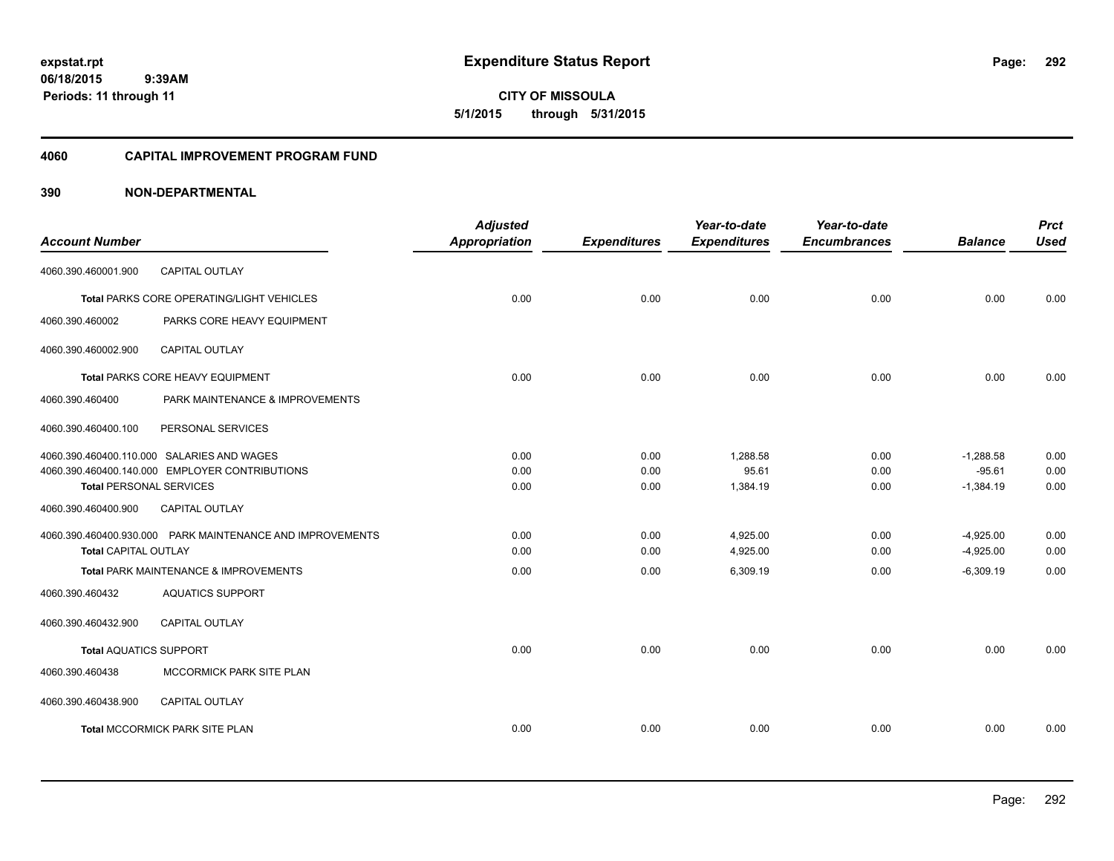**CITY OF MISSOULA 5/1/2015 through 5/31/2015**

## **4060 CAPITAL IMPROVEMENT PROGRAM FUND**

| <b>Account Number</b>          |                                                           | <b>Adjusted</b><br><b>Appropriation</b> | <b>Expenditures</b> | Year-to-date<br><b>Expenditures</b> | Year-to-date<br><b>Encumbrances</b> | <b>Balance</b> | <b>Prct</b><br><b>Used</b> |
|--------------------------------|-----------------------------------------------------------|-----------------------------------------|---------------------|-------------------------------------|-------------------------------------|----------------|----------------------------|
| 4060.390.460001.900            | <b>CAPITAL OUTLAY</b>                                     |                                         |                     |                                     |                                     |                |                            |
|                                | <b>Total PARKS CORE OPERATING/LIGHT VEHICLES</b>          | 0.00                                    | 0.00                | 0.00                                | 0.00                                | 0.00           | 0.00                       |
| 4060.390.460002                | PARKS CORE HEAVY EQUIPMENT                                |                                         |                     |                                     |                                     |                |                            |
| 4060.390.460002.900            | <b>CAPITAL OUTLAY</b>                                     |                                         |                     |                                     |                                     |                |                            |
|                                | Total PARKS CORE HEAVY EQUIPMENT                          | 0.00                                    | 0.00                | 0.00                                | 0.00                                | 0.00           | 0.00                       |
| 4060.390.460400                | PARK MAINTENANCE & IMPROVEMENTS                           |                                         |                     |                                     |                                     |                |                            |
| 4060.390.460400.100            | PERSONAL SERVICES                                         |                                         |                     |                                     |                                     |                |                            |
|                                | 4060.390.460400.110.000 SALARIES AND WAGES                | 0.00                                    | 0.00                | 1,288.58                            | 0.00                                | $-1,288.58$    | 0.00                       |
|                                | 4060.390.460400.140.000 EMPLOYER CONTRIBUTIONS            | 0.00                                    | 0.00                | 95.61                               | 0.00                                | $-95.61$       | 0.00                       |
| <b>Total PERSONAL SERVICES</b> |                                                           | 0.00                                    | 0.00                | 1,384.19                            | 0.00                                | $-1,384.19$    | 0.00                       |
| 4060.390.460400.900            | <b>CAPITAL OUTLAY</b>                                     |                                         |                     |                                     |                                     |                |                            |
|                                | 4060.390.460400.930.000 PARK MAINTENANCE AND IMPROVEMENTS | 0.00                                    | 0.00                | 4,925.00                            | 0.00                                | $-4,925.00$    | 0.00                       |
| <b>Total CAPITAL OUTLAY</b>    |                                                           | 0.00                                    | 0.00                | 4,925.00                            | 0.00                                | $-4,925.00$    | 0.00                       |
|                                | Total PARK MAINTENANCE & IMPROVEMENTS                     | 0.00                                    | 0.00                | 6,309.19                            | 0.00                                | $-6,309.19$    | 0.00                       |
| 4060.390.460432                | <b>AQUATICS SUPPORT</b>                                   |                                         |                     |                                     |                                     |                |                            |
| 4060.390.460432.900            | <b>CAPITAL OUTLAY</b>                                     |                                         |                     |                                     |                                     |                |                            |
| <b>Total AQUATICS SUPPORT</b>  |                                                           | 0.00                                    | 0.00                | 0.00                                | 0.00                                | 0.00           | 0.00                       |
| 4060.390.460438                | MCCORMICK PARK SITE PLAN                                  |                                         |                     |                                     |                                     |                |                            |
| 4060.390.460438.900            | <b>CAPITAL OUTLAY</b>                                     |                                         |                     |                                     |                                     |                |                            |
|                                | <b>Total MCCORMICK PARK SITE PLAN</b>                     | 0.00                                    | 0.00                | 0.00                                | 0.00                                | 0.00           | 0.00                       |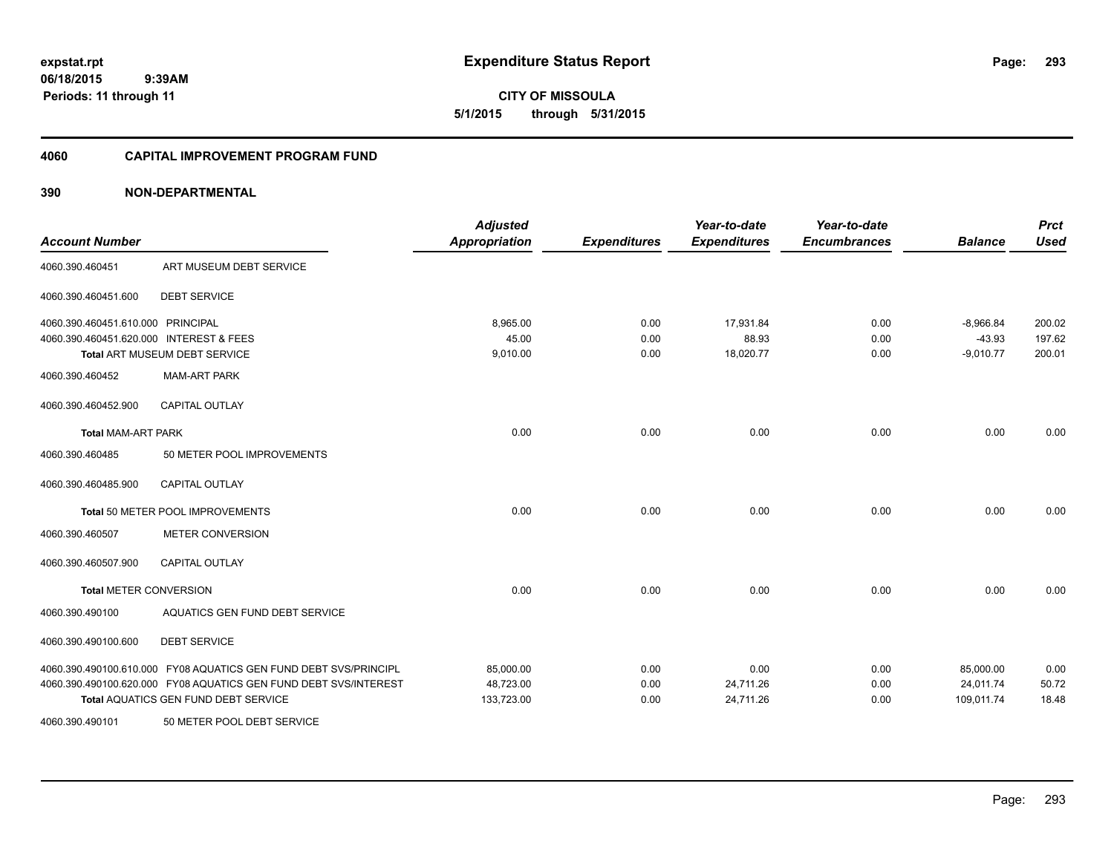**CITY OF MISSOULA 5/1/2015 through 5/31/2015**

### **4060 CAPITAL IMPROVEMENT PROGRAM FUND**

| <b>Account Number</b>                   |                                                                  | <b>Adjusted</b><br><b>Appropriation</b> | <b>Expenditures</b> | Year-to-date<br><b>Expenditures</b> | Year-to-date<br><b>Encumbrances</b> | <b>Balance</b> | <b>Prct</b><br><b>Used</b> |
|-----------------------------------------|------------------------------------------------------------------|-----------------------------------------|---------------------|-------------------------------------|-------------------------------------|----------------|----------------------------|
| 4060.390.460451                         | ART MUSEUM DEBT SERVICE                                          |                                         |                     |                                     |                                     |                |                            |
| 4060.390.460451.600                     | <b>DEBT SERVICE</b>                                              |                                         |                     |                                     |                                     |                |                            |
| 4060.390.460451.610.000 PRINCIPAL       |                                                                  | 8,965.00                                | 0.00                | 17,931.84                           | 0.00                                | $-8,966.84$    | 200.02                     |
| 4060.390.460451.620.000 INTEREST & FEES |                                                                  | 45.00                                   | 0.00                | 88.93                               | 0.00                                | $-43.93$       | 197.62                     |
|                                         | Total ART MUSEUM DEBT SERVICE                                    | 9,010.00                                | 0.00                | 18,020.77                           | 0.00                                | $-9,010.77$    | 200.01                     |
| 4060.390.460452                         | <b>MAM-ART PARK</b>                                              |                                         |                     |                                     |                                     |                |                            |
| 4060.390.460452.900                     | <b>CAPITAL OUTLAY</b>                                            |                                         |                     |                                     |                                     |                |                            |
| <b>Total MAM-ART PARK</b>               |                                                                  | 0.00                                    | 0.00                | 0.00                                | 0.00                                | 0.00           | 0.00                       |
| 4060.390.460485                         | 50 METER POOL IMPROVEMENTS                                       |                                         |                     |                                     |                                     |                |                            |
| 4060.390.460485.900                     | <b>CAPITAL OUTLAY</b>                                            |                                         |                     |                                     |                                     |                |                            |
|                                         | Total 50 METER POOL IMPROVEMENTS                                 | 0.00                                    | 0.00                | 0.00                                | 0.00                                | 0.00           | 0.00                       |
| 4060.390.460507                         | <b>METER CONVERSION</b>                                          |                                         |                     |                                     |                                     |                |                            |
| 4060.390.460507.900                     | <b>CAPITAL OUTLAY</b>                                            |                                         |                     |                                     |                                     |                |                            |
| <b>Total METER CONVERSION</b>           |                                                                  | 0.00                                    | 0.00                | 0.00                                | 0.00                                | 0.00           | 0.00                       |
| 4060.390.490100                         | AQUATICS GEN FUND DEBT SERVICE                                   |                                         |                     |                                     |                                     |                |                            |
| 4060.390.490100.600                     | <b>DEBT SERVICE</b>                                              |                                         |                     |                                     |                                     |                |                            |
|                                         | 4060.390.490100.610.000 FY08 AQUATICS GEN FUND DEBT SVS/PRINCIPL | 85,000.00                               | 0.00                | 0.00                                | 0.00                                | 85,000.00      | 0.00                       |
|                                         | 4060.390.490100.620.000 FY08 AQUATICS GEN FUND DEBT SVS/INTEREST | 48,723.00                               | 0.00                | 24,711.26                           | 0.00                                | 24,011.74      | 50.72                      |
|                                         | <b>Total AQUATICS GEN FUND DEBT SERVICE</b>                      | 133,723.00                              | 0.00                | 24,711.26                           | 0.00                                | 109,011.74     | 18.48                      |
| 4060.390.490101                         | 50 METER POOL DEBT SERVICE                                       |                                         |                     |                                     |                                     |                |                            |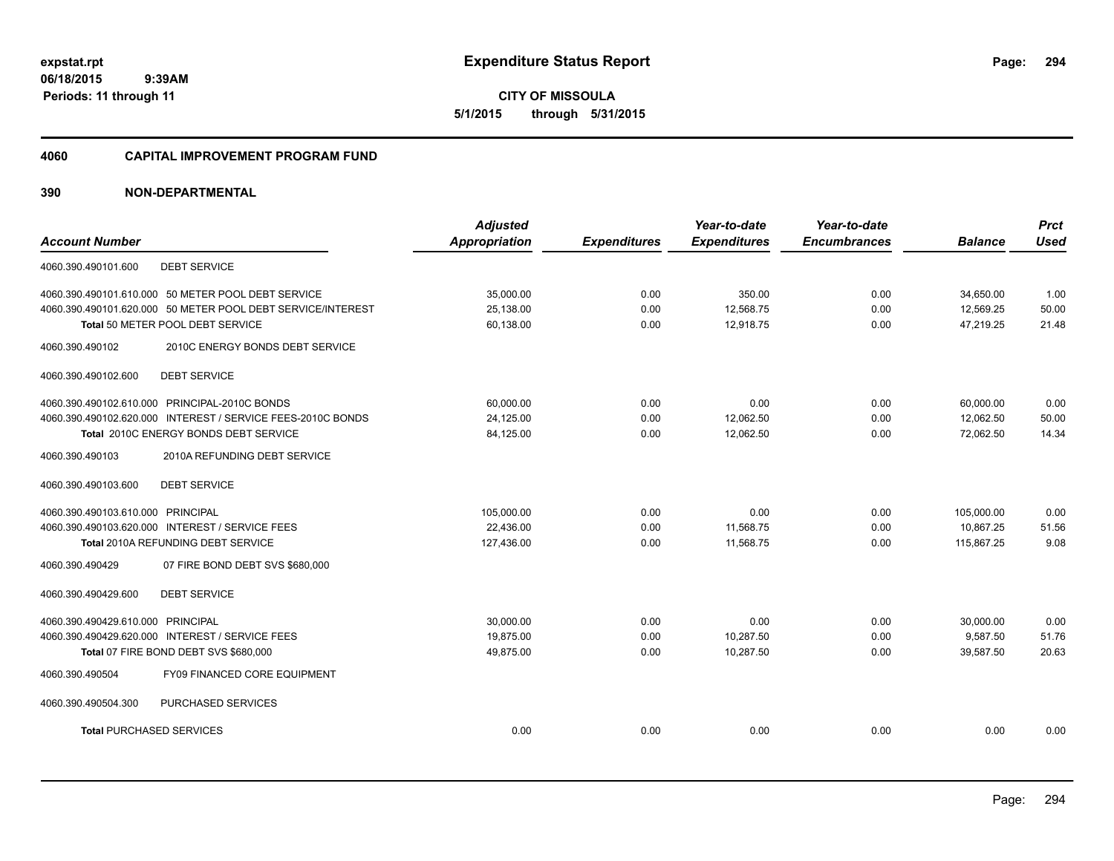**CITY OF MISSOULA 5/1/2015 through 5/31/2015**

## **4060 CAPITAL IMPROVEMENT PROGRAM FUND**

| <b>Account Number</b>                                       | <b>Adjusted</b>      |                     | Year-to-date        | Year-to-date<br><b>Encumbrances</b> | <b>Balance</b> | <b>Prct</b><br><b>Used</b> |
|-------------------------------------------------------------|----------------------|---------------------|---------------------|-------------------------------------|----------------|----------------------------|
|                                                             | <b>Appropriation</b> | <b>Expenditures</b> | <b>Expenditures</b> |                                     |                |                            |
| <b>DEBT SERVICE</b><br>4060.390.490101.600                  |                      |                     |                     |                                     |                |                            |
| 4060.390.490101.610.000 50 METER POOL DEBT SERVICE          | 35,000.00            | 0.00                | 350.00              | 0.00                                | 34,650.00      | 1.00                       |
| 4060.390.490101.620.000 50 METER POOL DEBT SERVICE/INTEREST | 25,138.00            | 0.00                | 12,568.75           | 0.00                                | 12,569.25      | 50.00                      |
| Total 50 METER POOL DEBT SERVICE                            | 60,138.00            | 0.00                | 12,918.75           | 0.00                                | 47,219.25      | 21.48                      |
| 2010C ENERGY BONDS DEBT SERVICE<br>4060.390.490102          |                      |                     |                     |                                     |                |                            |
| 4060.390.490102.600<br><b>DEBT SERVICE</b>                  |                      |                     |                     |                                     |                |                            |
| 4060.390.490102.610.000 PRINCIPAL-2010C BONDS               | 60,000.00            | 0.00                | 0.00                | 0.00                                | 60,000.00      | 0.00                       |
| 4060.390.490102.620.000 INTEREST / SERVICE FEES-2010C BONDS | 24.125.00            | 0.00                | 12,062.50           | 0.00                                | 12.062.50      | 50.00                      |
| Total 2010C ENERGY BONDS DEBT SERVICE                       | 84,125.00            | 0.00                | 12,062.50           | 0.00                                | 72,062.50      | 14.34                      |
| 4060.390.490103<br>2010A REFUNDING DEBT SERVICE             |                      |                     |                     |                                     |                |                            |
| <b>DEBT SERVICE</b><br>4060.390.490103.600                  |                      |                     |                     |                                     |                |                            |
| 4060.390.490103.610.000 PRINCIPAL                           | 105,000.00           | 0.00                | 0.00                | 0.00                                | 105,000.00     | 0.00                       |
| 4060.390.490103.620.000 INTEREST / SERVICE FEES             | 22.436.00            | 0.00                | 11,568.75           | 0.00                                | 10.867.25      | 51.56                      |
| Total 2010A REFUNDING DEBT SERVICE                          | 127,436.00           | 0.00                | 11,568.75           | 0.00                                | 115,867.25     | 9.08                       |
| 4060.390.490429<br>07 FIRE BOND DEBT SVS \$680,000          |                      |                     |                     |                                     |                |                            |
| <b>DEBT SERVICE</b><br>4060.390.490429.600                  |                      |                     |                     |                                     |                |                            |
| 4060.390.490429.610.000 PRINCIPAL                           | 30,000.00            | 0.00                | 0.00                | 0.00                                | 30,000.00      | 0.00                       |
| 4060.390.490429.620.000 INTEREST / SERVICE FEES             | 19,875.00            | 0.00                | 10,287.50           | 0.00                                | 9,587.50       | 51.76                      |
| Total 07 FIRE BOND DEBT SVS \$680,000                       | 49,875.00            | 0.00                | 10,287.50           | 0.00                                | 39,587.50      | 20.63                      |
| 4060.390.490504<br>FY09 FINANCED CORE EQUIPMENT             |                      |                     |                     |                                     |                |                            |
| 4060.390.490504.300<br>PURCHASED SERVICES                   |                      |                     |                     |                                     |                |                            |
| <b>Total PURCHASED SERVICES</b>                             | 0.00                 | 0.00                | 0.00                | 0.00                                | 0.00           | 0.00                       |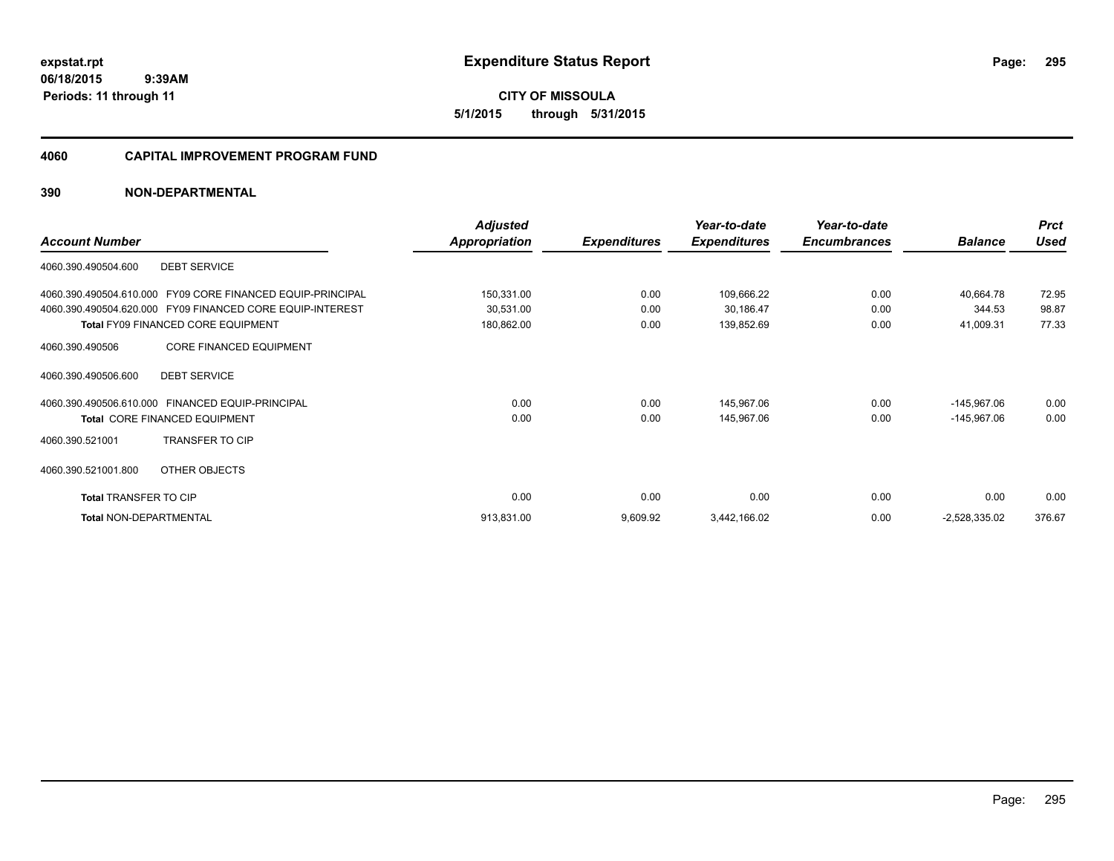**CITY OF MISSOULA 5/1/2015 through 5/31/2015**

## **4060 CAPITAL IMPROVEMENT PROGRAM FUND**

|                                                               | <b>Adjusted</b> |                     | Year-to-date        | Year-to-date        |                 | <b>Prct</b> |
|---------------------------------------------------------------|-----------------|---------------------|---------------------|---------------------|-----------------|-------------|
| <b>Account Number</b>                                         | Appropriation   | <b>Expenditures</b> | <b>Expenditures</b> | <b>Encumbrances</b> | <b>Balance</b>  | <b>Used</b> |
| <b>DEBT SERVICE</b><br>4060.390.490504.600                    |                 |                     |                     |                     |                 |             |
| FY09 CORE FINANCED EQUIP-PRINCIPAL<br>4060.390.490504.610.000 | 150,331.00      | 0.00                | 109,666.22          | 0.00                | 40,664.78       | 72.95       |
| 4060.390.490504.620.000 FY09 FINANCED CORE EQUIP-INTEREST     | 30,531.00       | 0.00                | 30,186.47           | 0.00                | 344.53          | 98.87       |
| <b>Total FY09 FINANCED CORE EQUIPMENT</b>                     | 180,862.00      | 0.00                | 139,852.69          | 0.00                | 41,009.31       | 77.33       |
| <b>CORE FINANCED EQUIPMENT</b><br>4060.390.490506             |                 |                     |                     |                     |                 |             |
| <b>DEBT SERVICE</b><br>4060.390.490506.600                    |                 |                     |                     |                     |                 |             |
| 4060.390.490506.610.000 FINANCED EQUIP-PRINCIPAL              | 0.00            | 0.00                | 145,967.06          | 0.00                | $-145,967.06$   | 0.00        |
| <b>Total CORE FINANCED EQUIPMENT</b>                          | 0.00            | 0.00                | 145,967.06          | 0.00                | $-145,967.06$   | 0.00        |
| <b>TRANSFER TO CIP</b><br>4060.390.521001                     |                 |                     |                     |                     |                 |             |
| 4060.390.521001.800<br>OTHER OBJECTS                          |                 |                     |                     |                     |                 |             |
| <b>Total TRANSFER TO CIP</b>                                  | 0.00            | 0.00                | 0.00                | 0.00                | 0.00            | 0.00        |
| <b>Total NON-DEPARTMENTAL</b>                                 | 913,831.00      | 9,609.92            | 3,442,166.02        | 0.00                | $-2,528,335.02$ | 376.67      |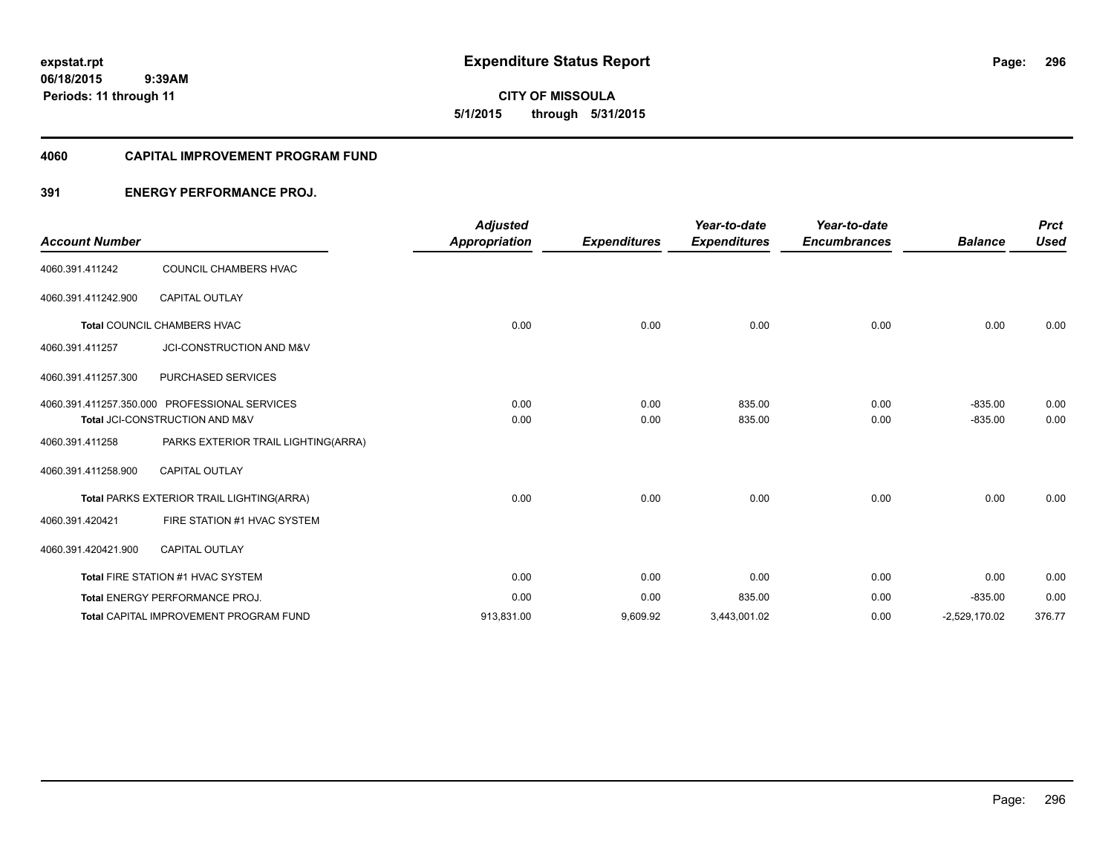**06/18/2015 9:39AM Periods: 11 through 11**

**CITY OF MISSOULA 5/1/2015 through 5/31/2015**

### **4060 CAPITAL IMPROVEMENT PROGRAM FUND**

# **391 ENERGY PERFORMANCE PROJ.**

|                       |                                               | <b>Adjusted</b>      |                     | Year-to-date        | Year-to-date        |                 | <b>Prct</b> |
|-----------------------|-----------------------------------------------|----------------------|---------------------|---------------------|---------------------|-----------------|-------------|
| <b>Account Number</b> |                                               | <b>Appropriation</b> | <b>Expenditures</b> | <b>Expenditures</b> | <b>Encumbrances</b> | <b>Balance</b>  | <b>Used</b> |
| 4060.391.411242       | COUNCIL CHAMBERS HVAC                         |                      |                     |                     |                     |                 |             |
| 4060.391.411242.900   | <b>CAPITAL OUTLAY</b>                         |                      |                     |                     |                     |                 |             |
|                       | <b>Total COUNCIL CHAMBERS HVAC</b>            | 0.00                 | 0.00                | 0.00                | 0.00                | 0.00            | 0.00        |
| 4060.391.411257       | JCI-CONSTRUCTION AND M&V                      |                      |                     |                     |                     |                 |             |
| 4060.391.411257.300   | PURCHASED SERVICES                            |                      |                     |                     |                     |                 |             |
|                       | 4060.391.411257.350.000 PROFESSIONAL SERVICES | 0.00                 | 0.00                | 835.00              | 0.00                | $-835.00$       | 0.00        |
|                       | Total JCI-CONSTRUCTION AND M&V                | 0.00                 | 0.00                | 835.00              | 0.00                | $-835.00$       | 0.00        |
| 4060.391.411258       | PARKS EXTERIOR TRAIL LIGHTING(ARRA)           |                      |                     |                     |                     |                 |             |
| 4060.391.411258.900   | <b>CAPITAL OUTLAY</b>                         |                      |                     |                     |                     |                 |             |
|                       | Total PARKS EXTERIOR TRAIL LIGHTING(ARRA)     | 0.00                 | 0.00                | 0.00                | 0.00                | 0.00            | 0.00        |
| 4060.391.420421       | FIRE STATION #1 HVAC SYSTEM                   |                      |                     |                     |                     |                 |             |
| 4060.391.420421.900   | <b>CAPITAL OUTLAY</b>                         |                      |                     |                     |                     |                 |             |
|                       | Total FIRE STATION #1 HVAC SYSTEM             | 0.00                 | 0.00                | 0.00                | 0.00                | 0.00            | 0.00        |
|                       | <b>Total ENERGY PERFORMANCE PROJ.</b>         | 0.00                 | 0.00                | 835.00              | 0.00                | $-835.00$       | 0.00        |
|                       | Total CAPITAL IMPROVEMENT PROGRAM FUND        | 913,831.00           | 9,609.92            | 3,443,001.02        | 0.00                | $-2,529,170.02$ | 376.77      |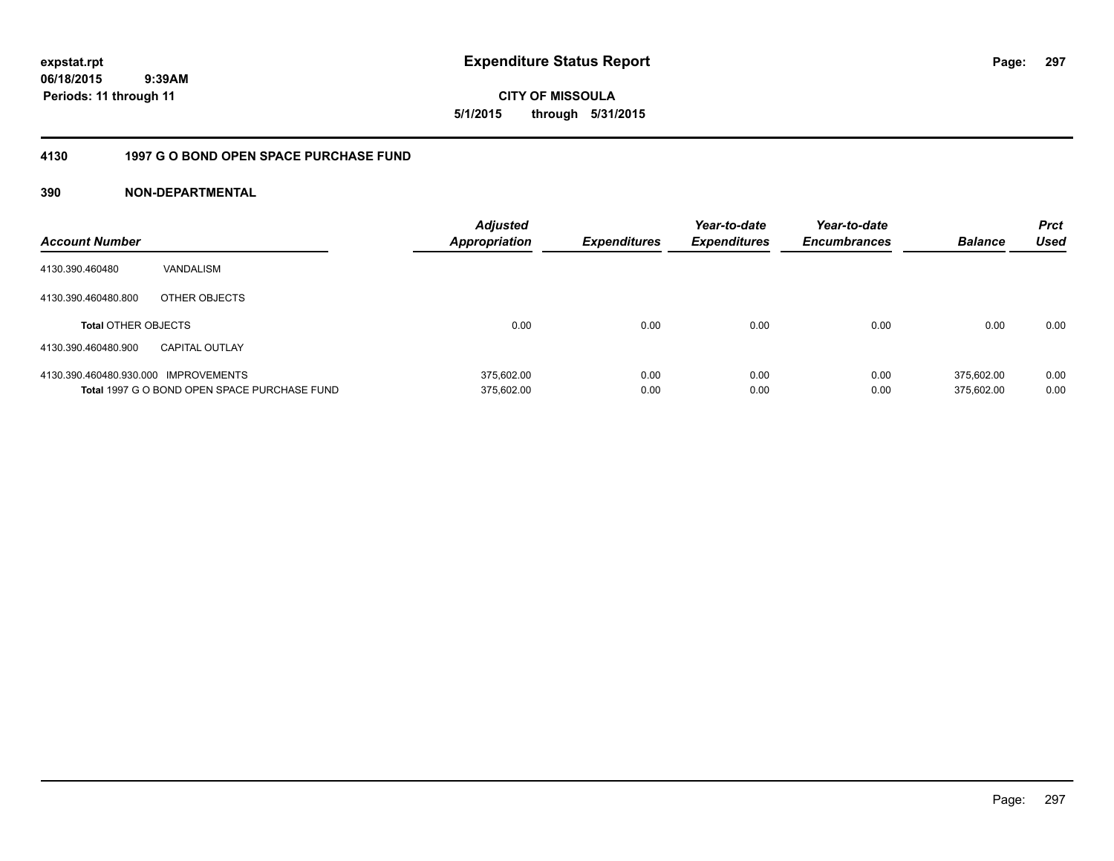**CITY OF MISSOULA 5/1/2015 through 5/31/2015**

# **4130 1997 G O BOND OPEN SPACE PURCHASE FUND**

| <b>Account Number</b>                |                                              | <b>Adjusted</b><br><b>Appropriation</b> | <b>Expenditures</b> | Year-to-date<br><b>Expenditures</b> | Year-to-date<br><b>Encumbrances</b> | <b>Balance</b> | <b>Prct</b><br><b>Used</b> |
|--------------------------------------|----------------------------------------------|-----------------------------------------|---------------------|-------------------------------------|-------------------------------------|----------------|----------------------------|
| 4130.390.460480                      | VANDALISM                                    |                                         |                     |                                     |                                     |                |                            |
| 4130.390.460480.800                  | OTHER OBJECTS                                |                                         |                     |                                     |                                     |                |                            |
| <b>Total OTHER OBJECTS</b>           |                                              | 0.00                                    | 0.00                | 0.00                                | 0.00                                | 0.00           | 0.00                       |
| 4130.390.460480.900                  | <b>CAPITAL OUTLAY</b>                        |                                         |                     |                                     |                                     |                |                            |
| 4130.390.460480.930.000 IMPROVEMENTS |                                              | 375.602.00                              | 0.00                | 0.00                                | 0.00                                | 375.602.00     | 0.00                       |
|                                      | Total 1997 G O BOND OPEN SPACE PURCHASE FUND | 375,602.00                              | 0.00                | 0.00                                | 0.00                                | 375.602.00     | 0.00                       |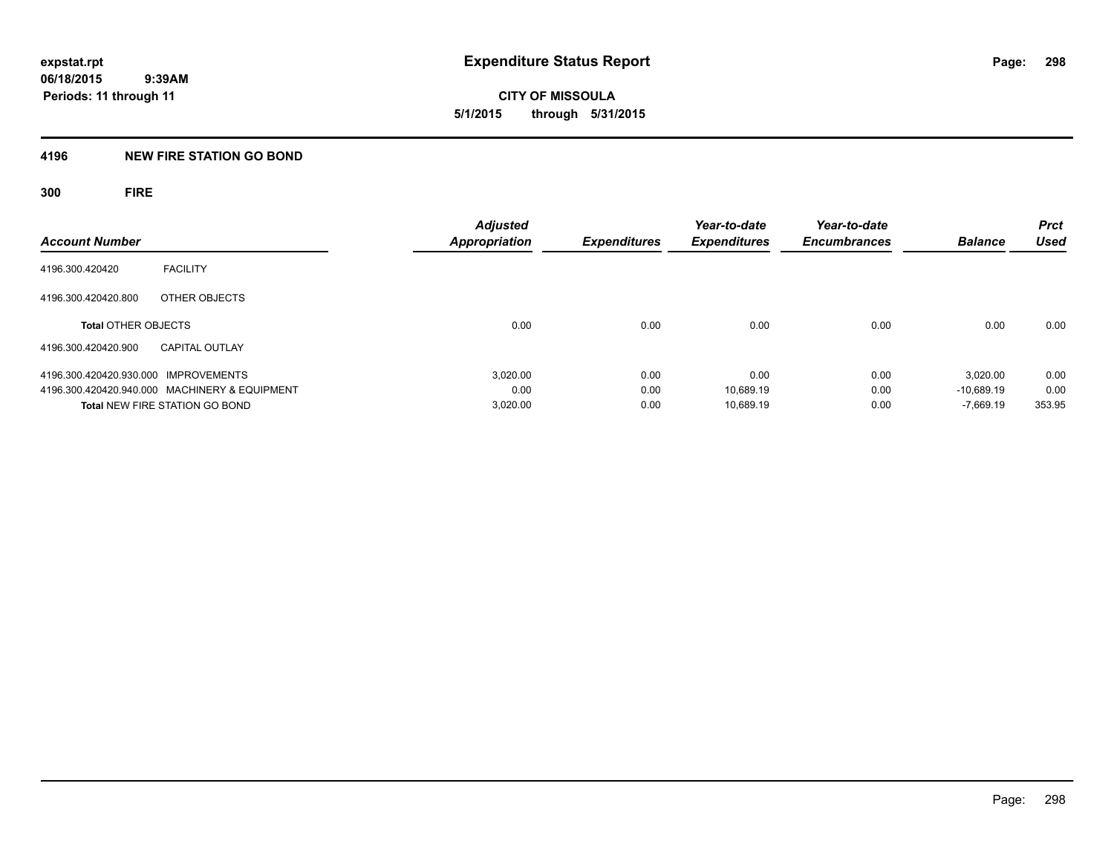**CITY OF MISSOULA 5/1/2015 through 5/31/2015**

# **4196 NEW FIRE STATION GO BOND**

**300 FIRE**

| <b>Account Number</b>                |                                               | <b>Adjusted</b><br><b>Appropriation</b> | <b>Expenditures</b> | Year-to-date<br><b>Expenditures</b> | Year-to-date<br><b>Encumbrances</b> | <b>Balance</b> | <b>Prct</b><br><b>Used</b> |
|--------------------------------------|-----------------------------------------------|-----------------------------------------|---------------------|-------------------------------------|-------------------------------------|----------------|----------------------------|
| 4196.300.420420                      | <b>FACILITY</b>                               |                                         |                     |                                     |                                     |                |                            |
| 4196.300.420420.800                  | OTHER OBJECTS                                 |                                         |                     |                                     |                                     |                |                            |
| <b>Total OTHER OBJECTS</b>           |                                               | 0.00                                    | 0.00                | 0.00                                | 0.00                                | 0.00           | 0.00                       |
| 4196.300.420420.900                  | <b>CAPITAL OUTLAY</b>                         |                                         |                     |                                     |                                     |                |                            |
| 4196.300.420420.930.000 IMPROVEMENTS |                                               | 3,020.00                                | 0.00                | 0.00                                | 0.00                                | 3.020.00       | 0.00                       |
|                                      | 4196.300.420420.940.000 MACHINERY & EQUIPMENT | 0.00                                    | 0.00                | 10.689.19                           | 0.00                                | $-10.689.19$   | 0.00                       |
|                                      | <b>Total NEW FIRE STATION GO BOND</b>         | 3,020.00                                | 0.00                | 10.689.19                           | 0.00                                | $-7.669.19$    | 353.95                     |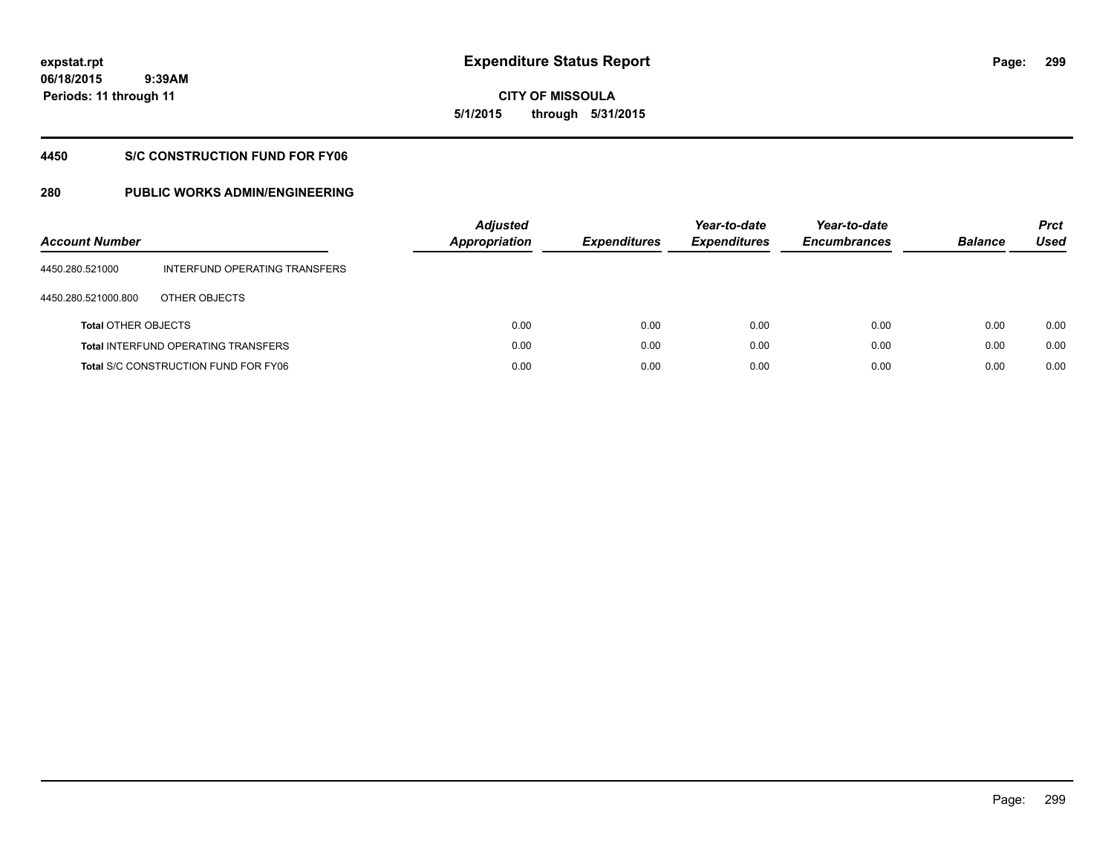**06/18/2015 9:39AM Periods: 11 through 11**

# **CITY OF MISSOULA 5/1/2015 through 5/31/2015**

# **4450 S/C CONSTRUCTION FUND FOR FY06**

| <b>Account Number</b>      |                                             | <b>Adjusted</b><br><b>Appropriation</b> | <b>Expenditures</b> | Year-to-date<br><b>Expenditures</b> | Year-to-date<br><b>Encumbrances</b> | <b>Balance</b> | <b>Prct</b><br>Used |
|----------------------------|---------------------------------------------|-----------------------------------------|---------------------|-------------------------------------|-------------------------------------|----------------|---------------------|
| 4450.280.521000            | INTERFUND OPERATING TRANSFERS               |                                         |                     |                                     |                                     |                |                     |
| 4450.280.521000.800        | OTHER OBJECTS                               |                                         |                     |                                     |                                     |                |                     |
| <b>Total OTHER OBJECTS</b> |                                             | 0.00                                    | 0.00                | 0.00                                | 0.00                                | 0.00           | 0.00                |
|                            | <b>Total INTERFUND OPERATING TRANSFERS</b>  | 0.00                                    | 0.00                | 0.00                                | 0.00                                | 0.00           | 0.00                |
|                            | <b>Total S/C CONSTRUCTION FUND FOR FY06</b> | 0.00                                    | 0.00                | 0.00                                | 0.00                                | 0.00           | 0.00                |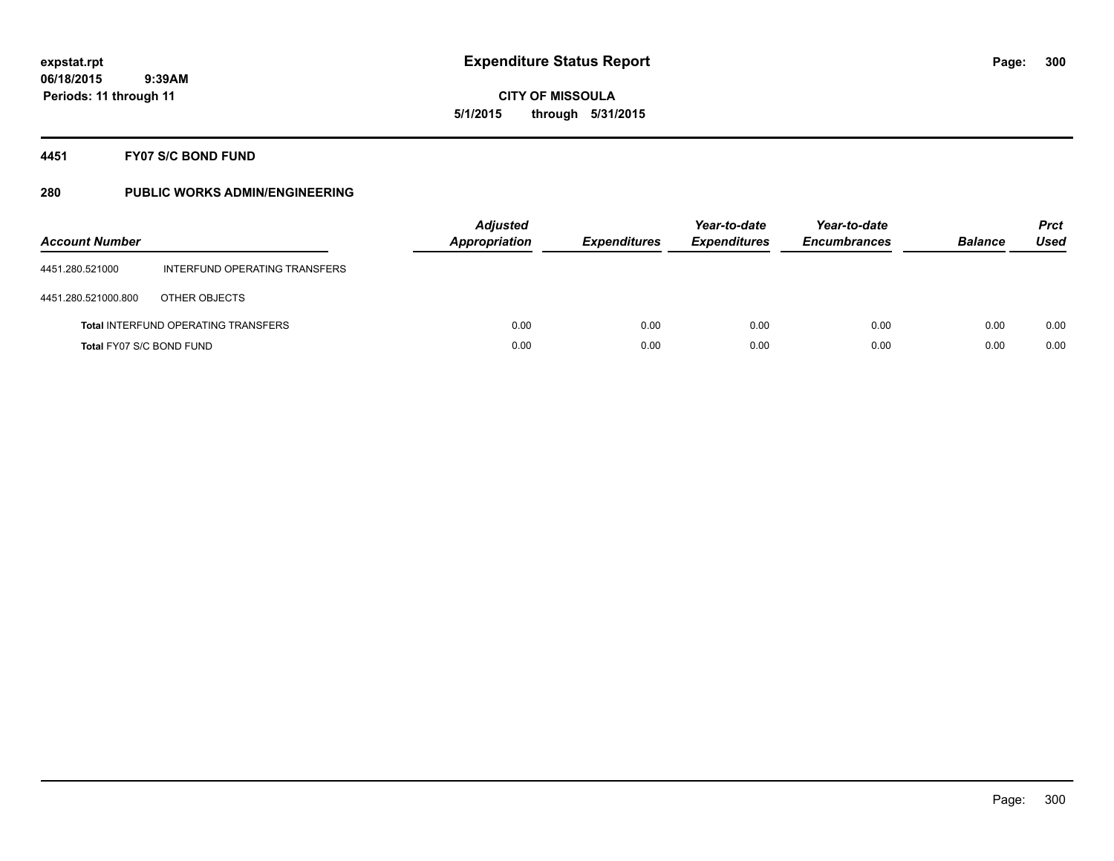# **CITY OF MISSOULA 5/1/2015 through 5/31/2015**

# **4451 FY07 S/C BOND FUND**

| <b>Account Number</b>    |                                            | <b>Adjusted</b><br><b>Appropriation</b> | <b>Expenditures</b> | Year-to-date<br><b>Expenditures</b> | Year-to-date<br><b>Encumbrances</b> | <b>Balance</b> | <b>Prct</b><br>Used |
|--------------------------|--------------------------------------------|-----------------------------------------|---------------------|-------------------------------------|-------------------------------------|----------------|---------------------|
| 4451.280.521000          | INTERFUND OPERATING TRANSFERS              |                                         |                     |                                     |                                     |                |                     |
| 4451.280.521000.800      | OTHER OBJECTS                              |                                         |                     |                                     |                                     |                |                     |
|                          | <b>Total INTERFUND OPERATING TRANSFERS</b> | 0.00                                    | 0.00                | 0.00                                | 0.00                                | 0.00           | 0.00                |
| Total FY07 S/C BOND FUND |                                            | 0.00                                    | 0.00                | 0.00                                | 0.00                                | 0.00           | 0.00                |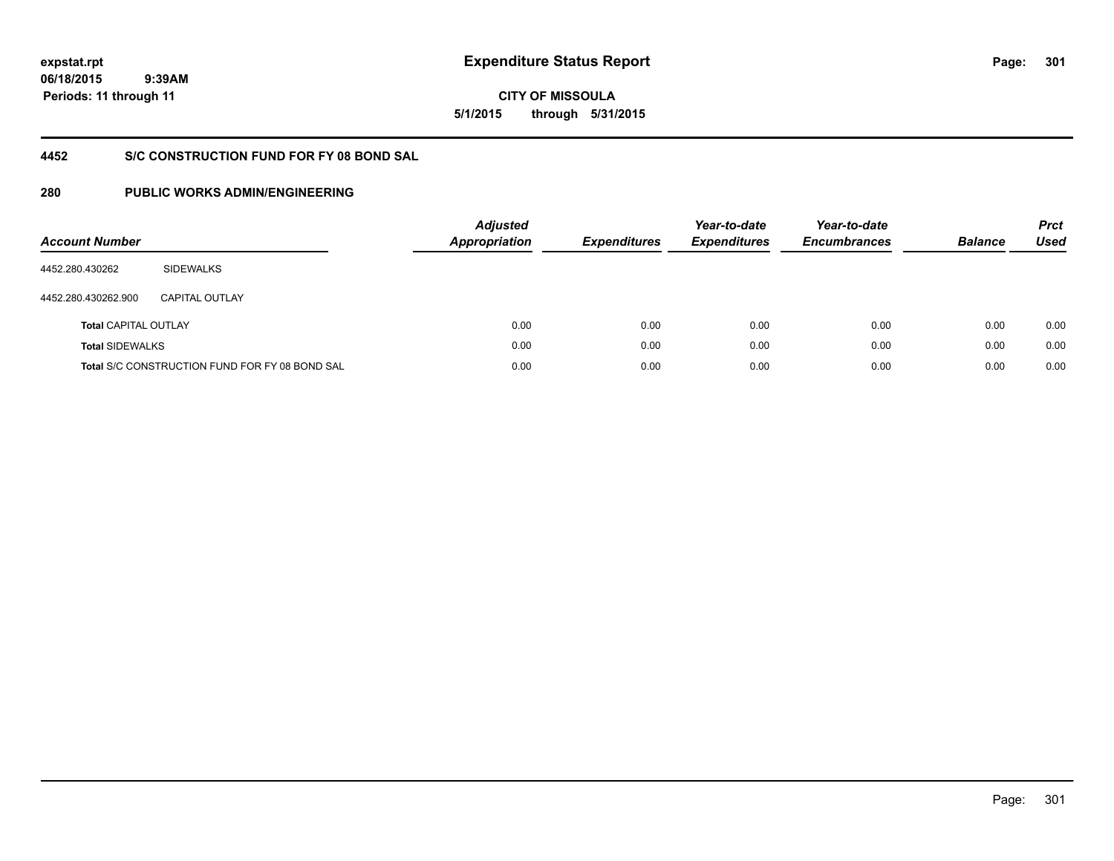**06/18/2015 9:39AM Periods: 11 through 11**

# **CITY OF MISSOULA 5/1/2015 through 5/31/2015**

# **4452 S/C CONSTRUCTION FUND FOR FY 08 BOND SAL**

| <b>Account Number</b>       |                                                       | <b>Adjusted</b><br><b>Appropriation</b> | <b>Expenditures</b> | Year-to-date<br><b>Expenditures</b> | Year-to-date<br><b>Encumbrances</b> | <b>Balance</b> | <b>Prct</b><br>Used |
|-----------------------------|-------------------------------------------------------|-----------------------------------------|---------------------|-------------------------------------|-------------------------------------|----------------|---------------------|
| 4452.280.430262             | <b>SIDEWALKS</b>                                      |                                         |                     |                                     |                                     |                |                     |
| 4452.280.430262.900         | CAPITAL OUTLAY                                        |                                         |                     |                                     |                                     |                |                     |
| <b>Total CAPITAL OUTLAY</b> |                                                       | 0.00                                    | 0.00                | 0.00                                | 0.00                                | 0.00           | 0.00                |
| <b>Total SIDEWALKS</b>      |                                                       | 0.00                                    | 0.00                | 0.00                                | 0.00                                | 0.00           | 0.00                |
|                             | <b>Total S/C CONSTRUCTION FUND FOR FY 08 BOND SAL</b> | 0.00                                    | 0.00                | 0.00                                | 0.00                                | 0.00           | 0.00                |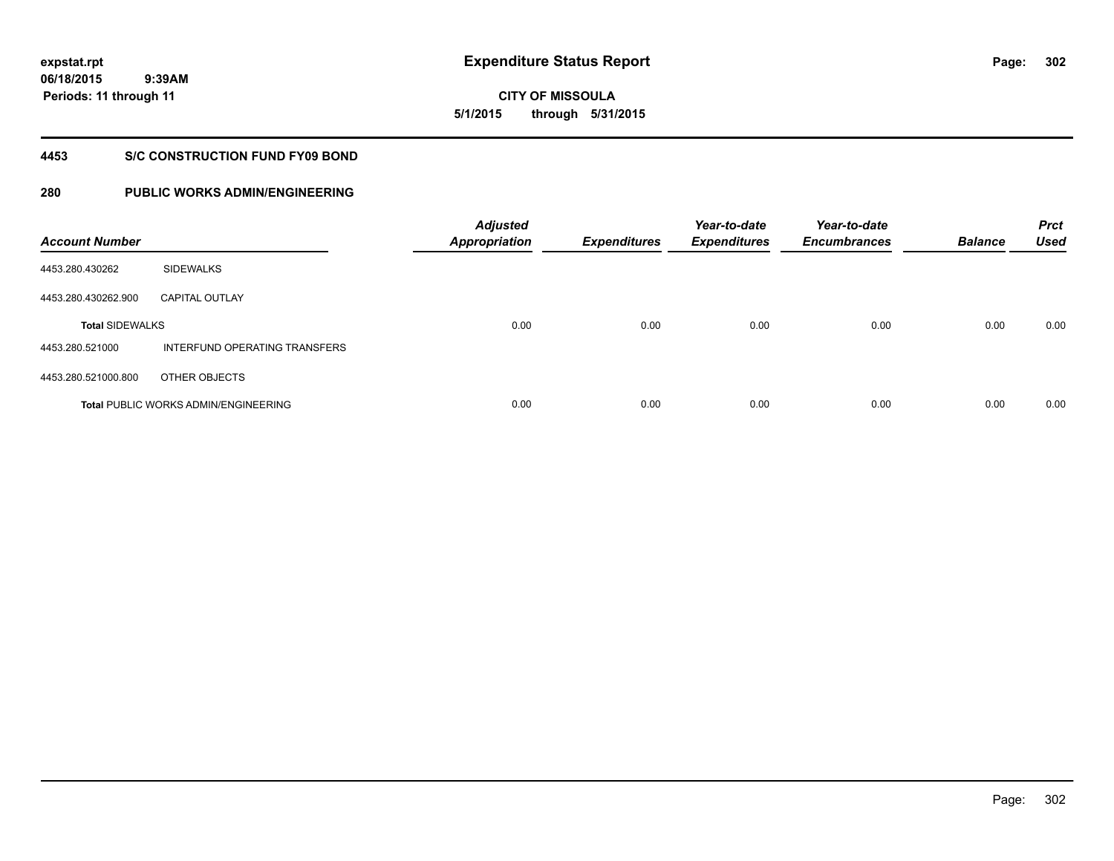**06/18/2015 9:39AM Periods: 11 through 11**

**CITY OF MISSOULA 5/1/2015 through 5/31/2015**

# **4453 S/C CONSTRUCTION FUND FY09 BOND**

| <b>Account Number</b>  |                                             | <b>Adjusted</b><br><b>Appropriation</b> | <b>Expenditures</b> | Year-to-date<br><b>Expenditures</b> | Year-to-date<br><b>Encumbrances</b> | <b>Balance</b> | <b>Prct</b><br><b>Used</b> |
|------------------------|---------------------------------------------|-----------------------------------------|---------------------|-------------------------------------|-------------------------------------|----------------|----------------------------|
| 4453.280.430262        | <b>SIDEWALKS</b>                            |                                         |                     |                                     |                                     |                |                            |
| 4453.280.430262.900    | <b>CAPITAL OUTLAY</b>                       |                                         |                     |                                     |                                     |                |                            |
| <b>Total SIDEWALKS</b> |                                             | 0.00                                    | 0.00                | 0.00                                | 0.00                                | 0.00           | 0.00                       |
| 4453.280.521000        | INTERFUND OPERATING TRANSFERS               |                                         |                     |                                     |                                     |                |                            |
| 4453.280.521000.800    | OTHER OBJECTS                               |                                         |                     |                                     |                                     |                |                            |
|                        | <b>Total PUBLIC WORKS ADMIN/ENGINEERING</b> | 0.00                                    | 0.00                | 0.00                                | 0.00                                | 0.00           | 0.00                       |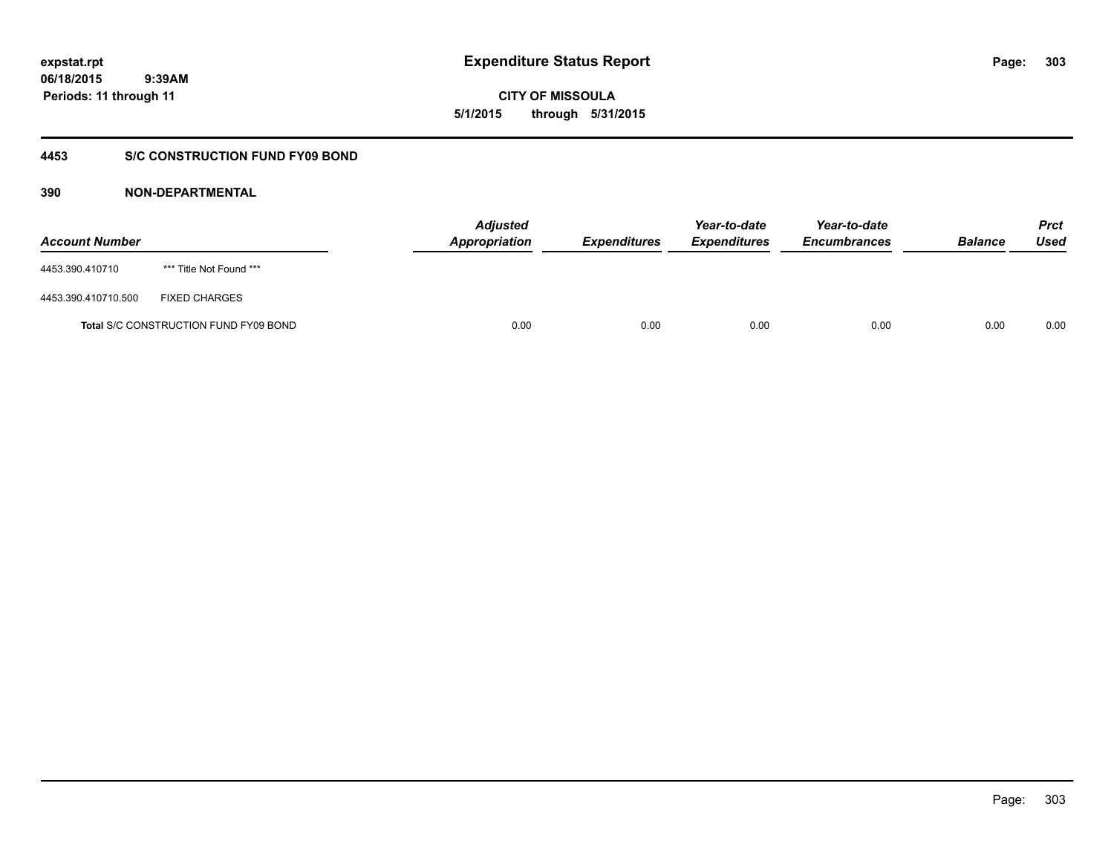**CITY OF MISSOULA 5/1/2015 through 5/31/2015**

# **4453 S/C CONSTRUCTION FUND FY09 BOND**

| <b>Account Number</b> |                                       | <b>Adjusted</b><br>Appropriation | <b>Expenditures</b> | Year-to-date<br><b>Expenditures</b> | Year-to-date<br><b>Encumbrances</b> | <b>Balance</b> | <b>Prct</b><br>Used |
|-----------------------|---------------------------------------|----------------------------------|---------------------|-------------------------------------|-------------------------------------|----------------|---------------------|
| 4453.390.410710       | *** Title Not Found ***               |                                  |                     |                                     |                                     |                |                     |
| 4453.390.410710.500   | <b>FIXED CHARGES</b>                  |                                  |                     |                                     |                                     |                |                     |
|                       | Total S/C CONSTRUCTION FUND FY09 BOND | 0.00                             | 0.00                | 0.00                                | 0.00                                | 0.00           | 0.00                |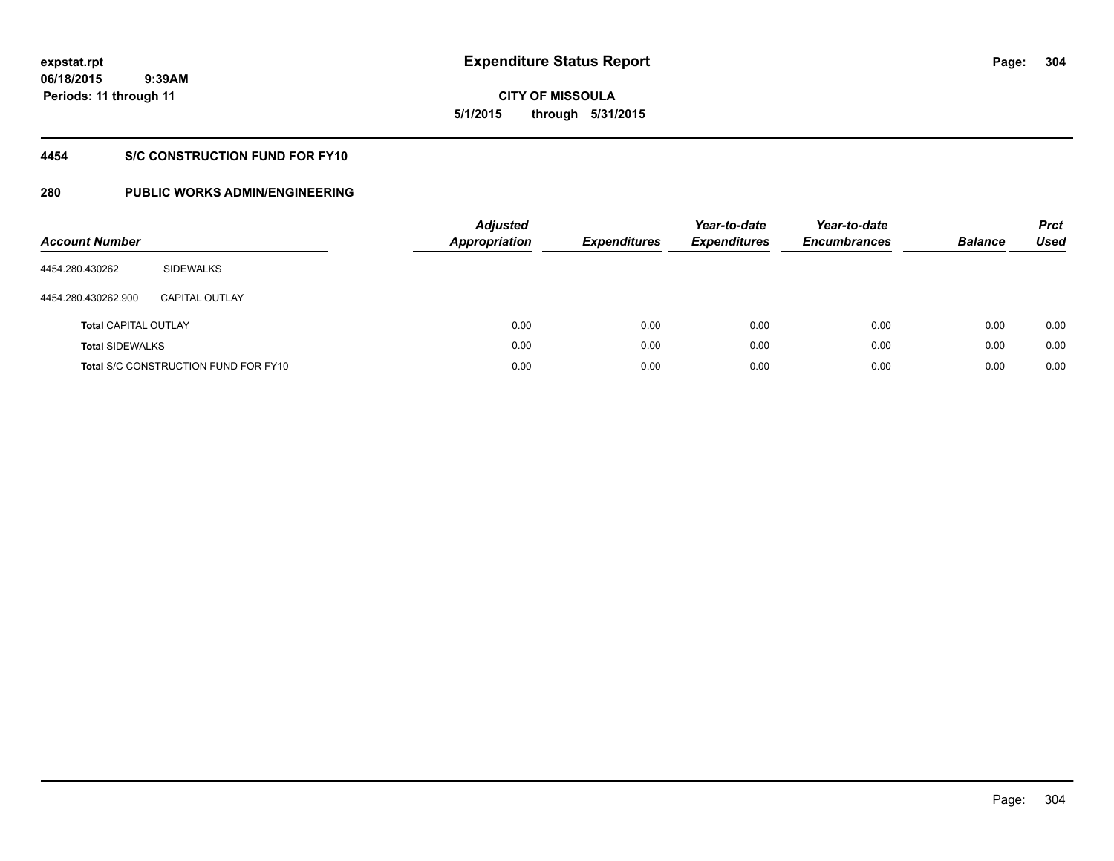**06/18/2015 9:39AM Periods: 11 through 11**

# **CITY OF MISSOULA 5/1/2015 through 5/31/2015**

# **4454 S/C CONSTRUCTION FUND FOR FY10**

| <b>Account Number</b>       |                                             | <b>Adjusted</b><br><b>Appropriation</b> | <b>Expenditures</b> | Year-to-date<br><b>Expenditures</b> | Year-to-date<br><b>Encumbrances</b> | <b>Balance</b> | <b>Prct</b><br>Used |
|-----------------------------|---------------------------------------------|-----------------------------------------|---------------------|-------------------------------------|-------------------------------------|----------------|---------------------|
| 4454.280.430262             | SIDEWALKS                                   |                                         |                     |                                     |                                     |                |                     |
| 4454.280.430262.900         | <b>CAPITAL OUTLAY</b>                       |                                         |                     |                                     |                                     |                |                     |
| <b>Total CAPITAL OUTLAY</b> |                                             | 0.00                                    | 0.00                | 0.00                                | 0.00                                | 0.00           | 0.00                |
| <b>Total SIDEWALKS</b>      |                                             | 0.00                                    | 0.00                | 0.00                                | 0.00                                | 0.00           | 0.00                |
|                             | <b>Total S/C CONSTRUCTION FUND FOR FY10</b> | 0.00                                    | 0.00                | 0.00                                | 0.00                                | 0.00           | 0.00                |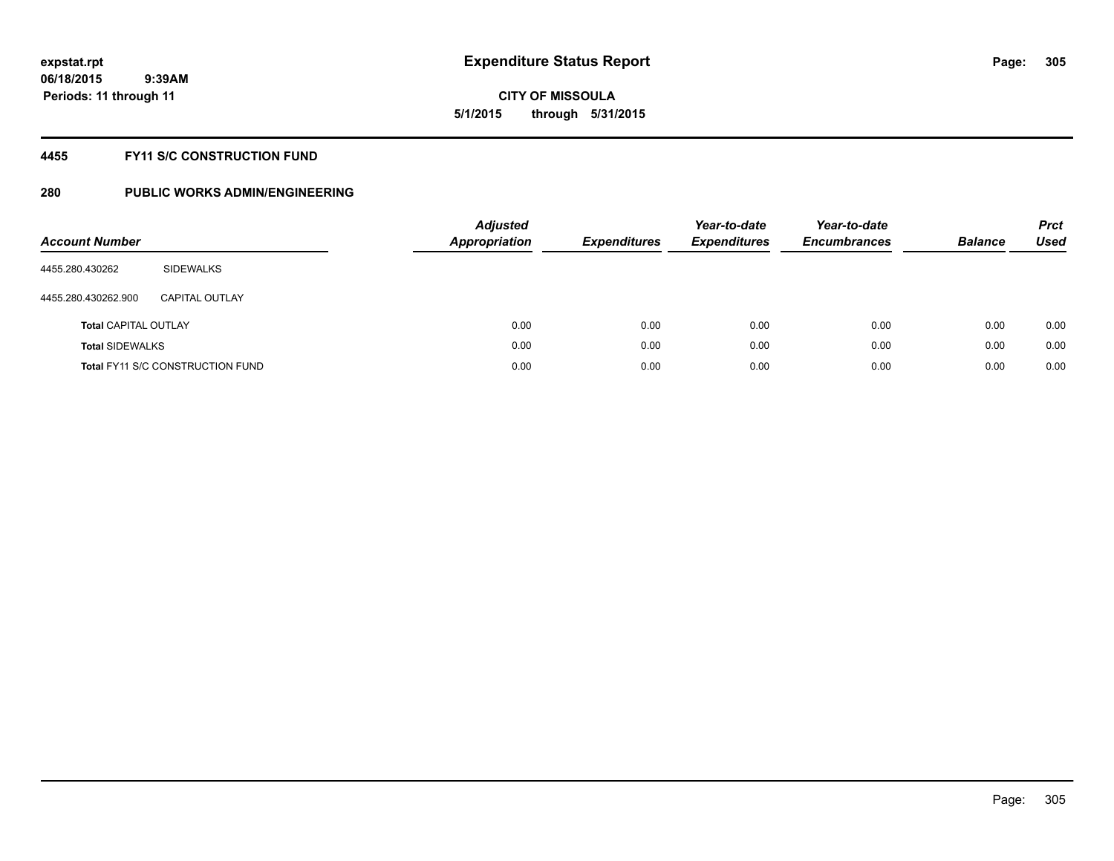# **CITY OF MISSOULA 5/1/2015 through 5/31/2015**

# **4455 FY11 S/C CONSTRUCTION FUND**

| <b>Account Number</b>       |                                         | <b>Adjusted</b><br><b>Appropriation</b> | <b>Expenditures</b> | Year-to-date<br><b>Expenditures</b> | Year-to-date<br><b>Encumbrances</b> | <b>Balance</b> | <b>Prct</b><br>Used |
|-----------------------------|-----------------------------------------|-----------------------------------------|---------------------|-------------------------------------|-------------------------------------|----------------|---------------------|
| 4455.280.430262             | SIDEWALKS                               |                                         |                     |                                     |                                     |                |                     |
| 4455.280.430262.900         | <b>CAPITAL OUTLAY</b>                   |                                         |                     |                                     |                                     |                |                     |
| <b>Total CAPITAL OUTLAY</b> |                                         | 0.00                                    | 0.00                | 0.00                                | 0.00                                | 0.00           | 0.00                |
| <b>Total SIDEWALKS</b>      |                                         | 0.00                                    | 0.00                | 0.00                                | 0.00                                | 0.00           | 0.00                |
|                             | <b>Total FY11 S/C CONSTRUCTION FUND</b> | 0.00                                    | 0.00                | 0.00                                | 0.00                                | 0.00           | 0.00                |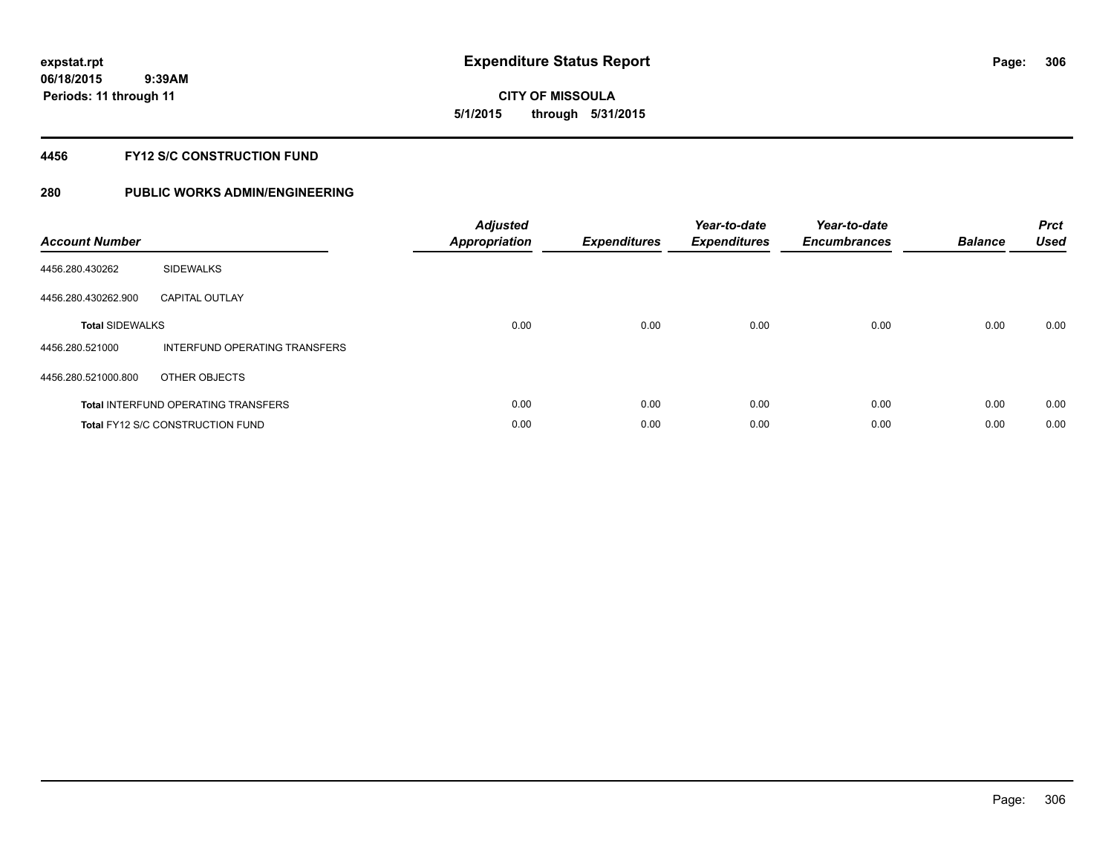# **CITY OF MISSOULA 5/1/2015 through 5/31/2015**

# **4456 FY12 S/C CONSTRUCTION FUND**

| <b>Account Number</b>  |                                            | <b>Adjusted</b><br>Appropriation | <b>Expenditures</b> | Year-to-date<br><b>Expenditures</b> | Year-to-date<br><b>Encumbrances</b> | <b>Balance</b> | <b>Prct</b><br><b>Used</b> |
|------------------------|--------------------------------------------|----------------------------------|---------------------|-------------------------------------|-------------------------------------|----------------|----------------------------|
| 4456.280.430262        | <b>SIDEWALKS</b>                           |                                  |                     |                                     |                                     |                |                            |
| 4456.280.430262.900    | <b>CAPITAL OUTLAY</b>                      |                                  |                     |                                     |                                     |                |                            |
| <b>Total SIDEWALKS</b> |                                            | 0.00                             | 0.00                | 0.00                                | 0.00                                | 0.00           | 0.00                       |
| 4456.280.521000        | INTERFUND OPERATING TRANSFERS              |                                  |                     |                                     |                                     |                |                            |
| 4456.280.521000.800    | OTHER OBJECTS                              |                                  |                     |                                     |                                     |                |                            |
|                        | <b>Total INTERFUND OPERATING TRANSFERS</b> | 0.00                             | 0.00                | 0.00                                | 0.00                                | 0.00           | 0.00                       |
|                        | <b>Total FY12 S/C CONSTRUCTION FUND</b>    | 0.00                             | 0.00                | 0.00                                | 0.00                                | 0.00           | 0.00                       |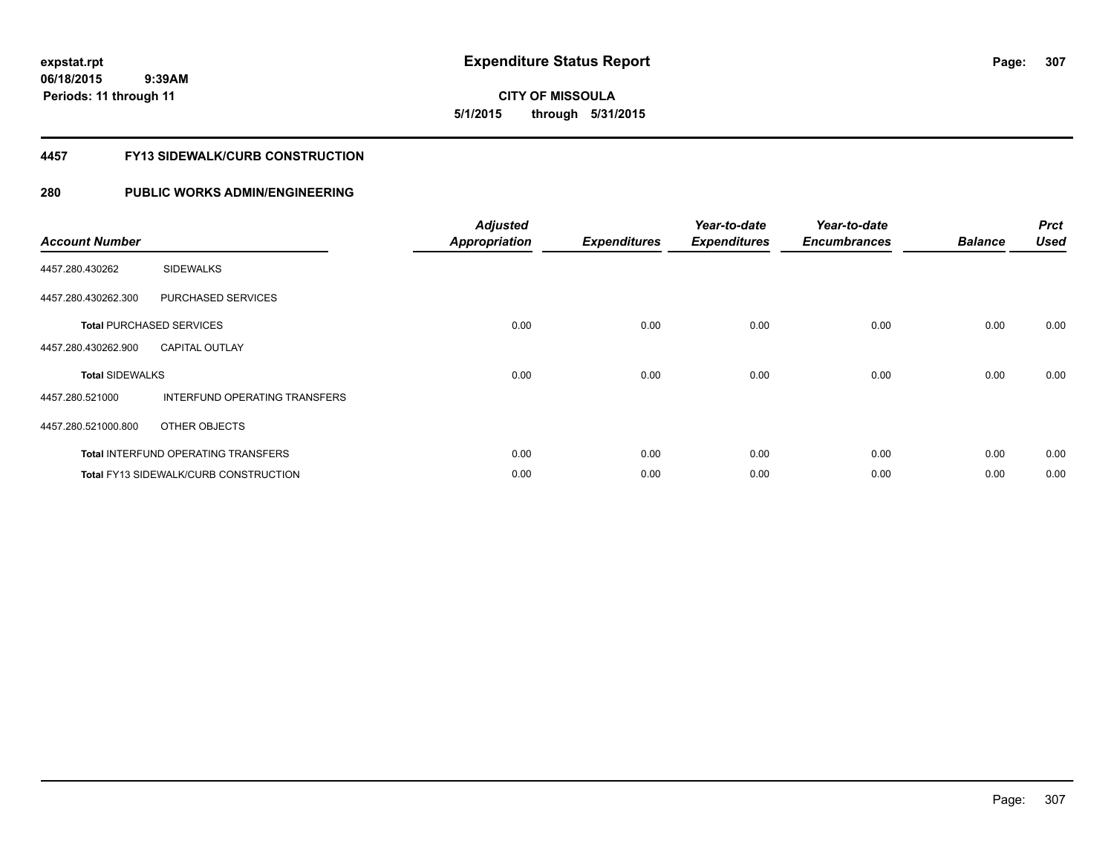**06/18/2015 9:39AM Periods: 11 through 11**

# **CITY OF MISSOULA 5/1/2015 through 5/31/2015**

# **4457 FY13 SIDEWALK/CURB CONSTRUCTION**

| <b>Account Number</b>  |                                              | <b>Adjusted</b><br><b>Appropriation</b> | <b>Expenditures</b> | Year-to-date<br><b>Expenditures</b> | Year-to-date<br><b>Encumbrances</b> | <b>Balance</b> | <b>Prct</b><br><b>Used</b> |
|------------------------|----------------------------------------------|-----------------------------------------|---------------------|-------------------------------------|-------------------------------------|----------------|----------------------------|
| 4457.280.430262        | <b>SIDEWALKS</b>                             |                                         |                     |                                     |                                     |                |                            |
| 4457.280.430262.300    | PURCHASED SERVICES                           |                                         |                     |                                     |                                     |                |                            |
|                        | <b>Total PURCHASED SERVICES</b>              | 0.00                                    | 0.00                | 0.00                                | 0.00                                | 0.00           | 0.00                       |
| 4457.280.430262.900    | <b>CAPITAL OUTLAY</b>                        |                                         |                     |                                     |                                     |                |                            |
| <b>Total SIDEWALKS</b> |                                              | 0.00                                    | 0.00                | 0.00                                | 0.00                                | 0.00           | 0.00                       |
| 4457.280.521000        | <b>INTERFUND OPERATING TRANSFERS</b>         |                                         |                     |                                     |                                     |                |                            |
| 4457.280.521000.800    | OTHER OBJECTS                                |                                         |                     |                                     |                                     |                |                            |
|                        | <b>Total INTERFUND OPERATING TRANSFERS</b>   | 0.00                                    | 0.00                | 0.00                                | 0.00                                | 0.00           | 0.00                       |
|                        | <b>Total FY13 SIDEWALK/CURB CONSTRUCTION</b> | 0.00                                    | 0.00                | 0.00                                | 0.00                                | 0.00           | 0.00                       |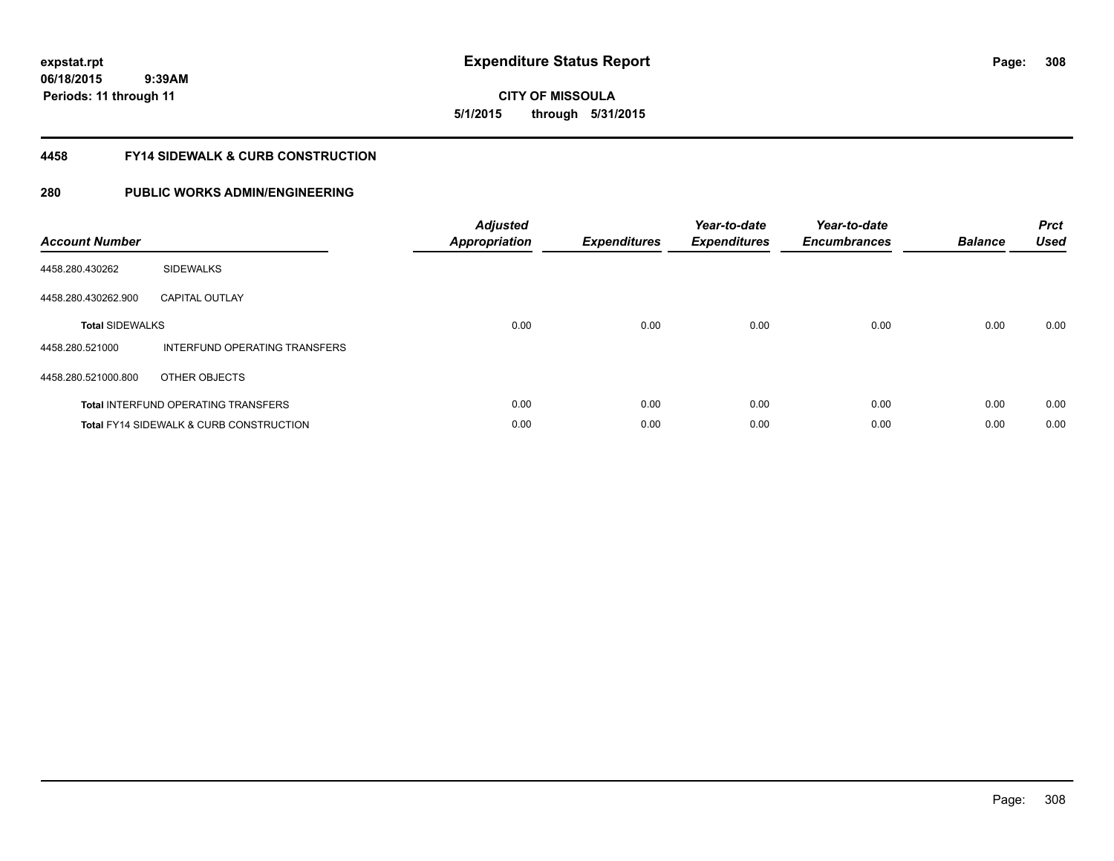# **06/18/2015**

 **9:39AM Periods: 11 through 11**

**CITY OF MISSOULA 5/1/2015 through 5/31/2015**

# **4458 FY14 SIDEWALK & CURB CONSTRUCTION**

| <b>Account Number</b>  |                                                    | <b>Adjusted</b><br>Appropriation | <b>Expenditures</b> | Year-to-date<br><b>Expenditures</b> | Year-to-date<br><b>Encumbrances</b> | <b>Balance</b> | <b>Prct</b><br><b>Used</b> |
|------------------------|----------------------------------------------------|----------------------------------|---------------------|-------------------------------------|-------------------------------------|----------------|----------------------------|
| 4458.280.430262        | <b>SIDEWALKS</b>                                   |                                  |                     |                                     |                                     |                |                            |
| 4458.280.430262.900    | <b>CAPITAL OUTLAY</b>                              |                                  |                     |                                     |                                     |                |                            |
| <b>Total SIDEWALKS</b> |                                                    | 0.00                             | 0.00                | 0.00                                | 0.00                                | 0.00           | 0.00                       |
| 4458.280.521000        | INTERFUND OPERATING TRANSFERS                      |                                  |                     |                                     |                                     |                |                            |
| 4458.280.521000.800    | OTHER OBJECTS                                      |                                  |                     |                                     |                                     |                |                            |
|                        | <b>Total INTERFUND OPERATING TRANSFERS</b>         | 0.00                             | 0.00                | 0.00                                | 0.00                                | 0.00           | 0.00                       |
|                        | <b>Total FY14 SIDEWALK &amp; CURB CONSTRUCTION</b> | 0.00                             | 0.00                | 0.00                                | 0.00                                | 0.00           | 0.00                       |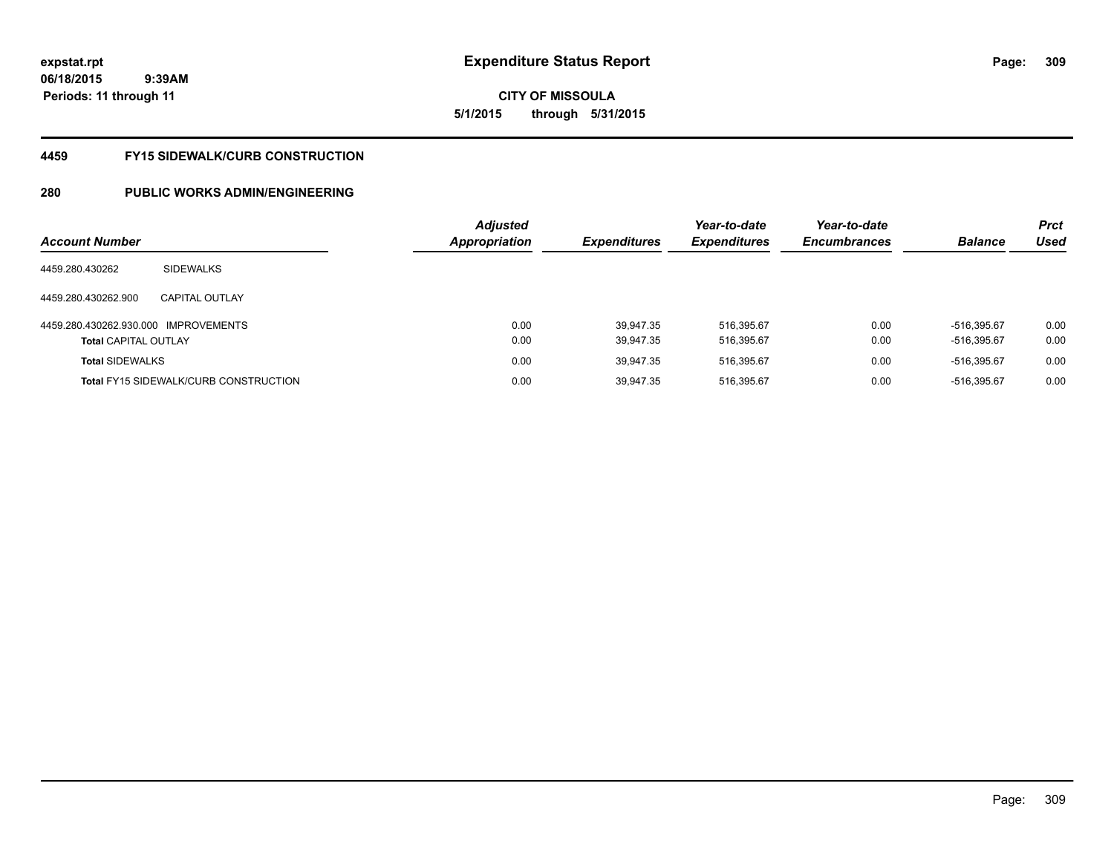# **CITY OF MISSOULA 5/1/2015 through 5/31/2015**

# **4459 FY15 SIDEWALK/CURB CONSTRUCTION**

| <b>Account Number</b>       |                                              | <b>Adjusted</b><br><b>Appropriation</b> | <b>Expenditures</b> | Year-to-date<br><b>Expenditures</b> | Year-to-date<br><b>Encumbrances</b> | <b>Balance</b> | <b>Prct</b><br>Used |
|-----------------------------|----------------------------------------------|-----------------------------------------|---------------------|-------------------------------------|-------------------------------------|----------------|---------------------|
|                             |                                              |                                         |                     |                                     |                                     |                |                     |
| 4459.280.430262             | <b>SIDEWALKS</b>                             |                                         |                     |                                     |                                     |                |                     |
| 4459.280.430262.900         | <b>CAPITAL OUTLAY</b>                        |                                         |                     |                                     |                                     |                |                     |
| 4459.280.430262.930.000     | <b>IMPROVEMENTS</b>                          | 0.00                                    | 39.947.35           | 516,395.67                          | 0.00                                | -516.395.67    | 0.00                |
| <b>Total CAPITAL OUTLAY</b> |                                              | 0.00                                    | 39.947.35           | 516,395.67                          | 0.00                                | $-516,395.67$  | 0.00                |
| <b>Total SIDEWALKS</b>      |                                              | 0.00                                    | 39.947.35           | 516.395.67                          | 0.00                                | -516.395.67    | 0.00                |
|                             | <b>Total FY15 SIDEWALK/CURB CONSTRUCTION</b> | 0.00                                    | 39.947.35           | 516,395.67                          | 0.00                                | -516,395.67    | 0.00                |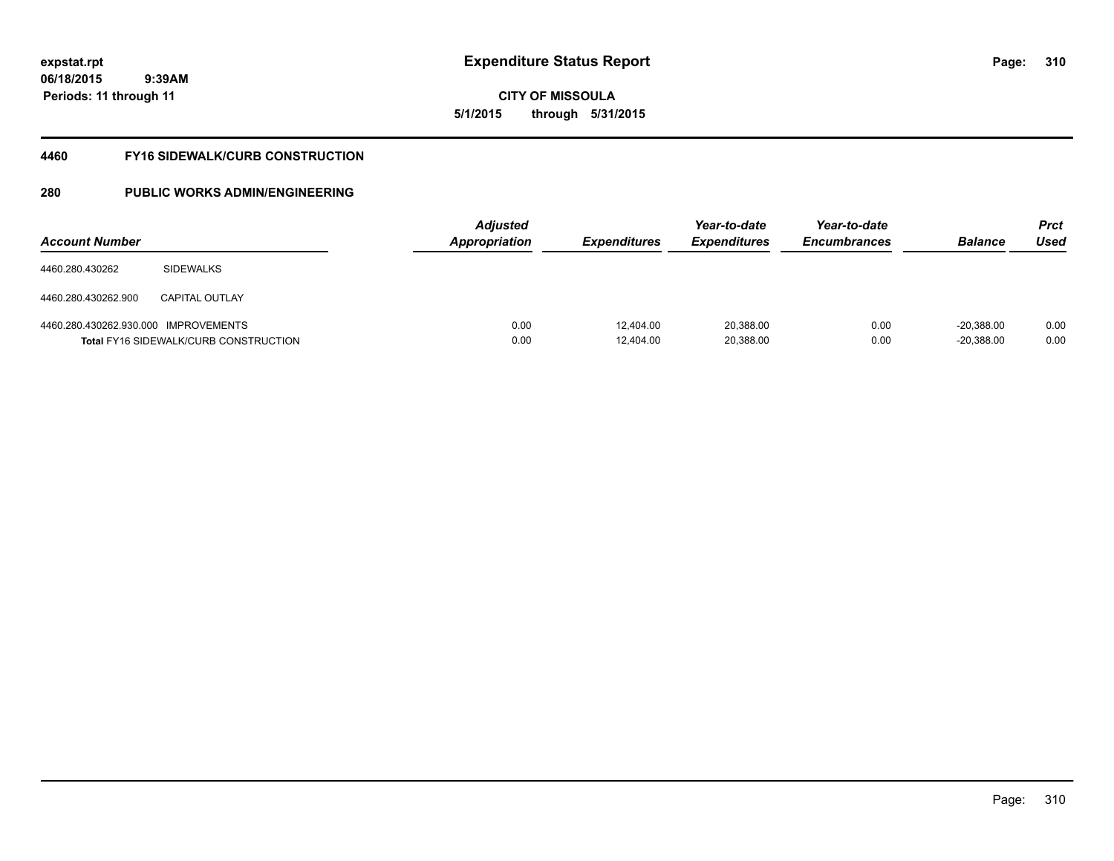# **CITY OF MISSOULA 5/1/2015 through 5/31/2015**

# **4460 FY16 SIDEWALK/CURB CONSTRUCTION**

| <b>Account Number</b>                |                                              | <b>Adjusted</b><br><b>Appropriation</b> | <i><b>Expenditures</b></i> | Year-to-date<br><b>Expenditures</b> | Year-to-date<br><b>Encumbrances</b> | <b>Balance</b>               | <b>Prct</b><br>Used |
|--------------------------------------|----------------------------------------------|-----------------------------------------|----------------------------|-------------------------------------|-------------------------------------|------------------------------|---------------------|
| 4460.280.430262                      | <b>SIDEWALKS</b>                             |                                         |                            |                                     |                                     |                              |                     |
| 4460.280.430262.900                  | <b>CAPITAL OUTLAY</b>                        |                                         |                            |                                     |                                     |                              |                     |
| 4460.280.430262.930.000 IMPROVEMENTS | <b>Total FY16 SIDEWALK/CURB CONSTRUCTION</b> | 0.00<br>0.00                            | 12.404.00<br>12,404.00     | 20,388.00<br>20,388.00              | 0.00<br>0.00                        | $-20.388.00$<br>$-20,388.00$ | 0.00<br>0.00        |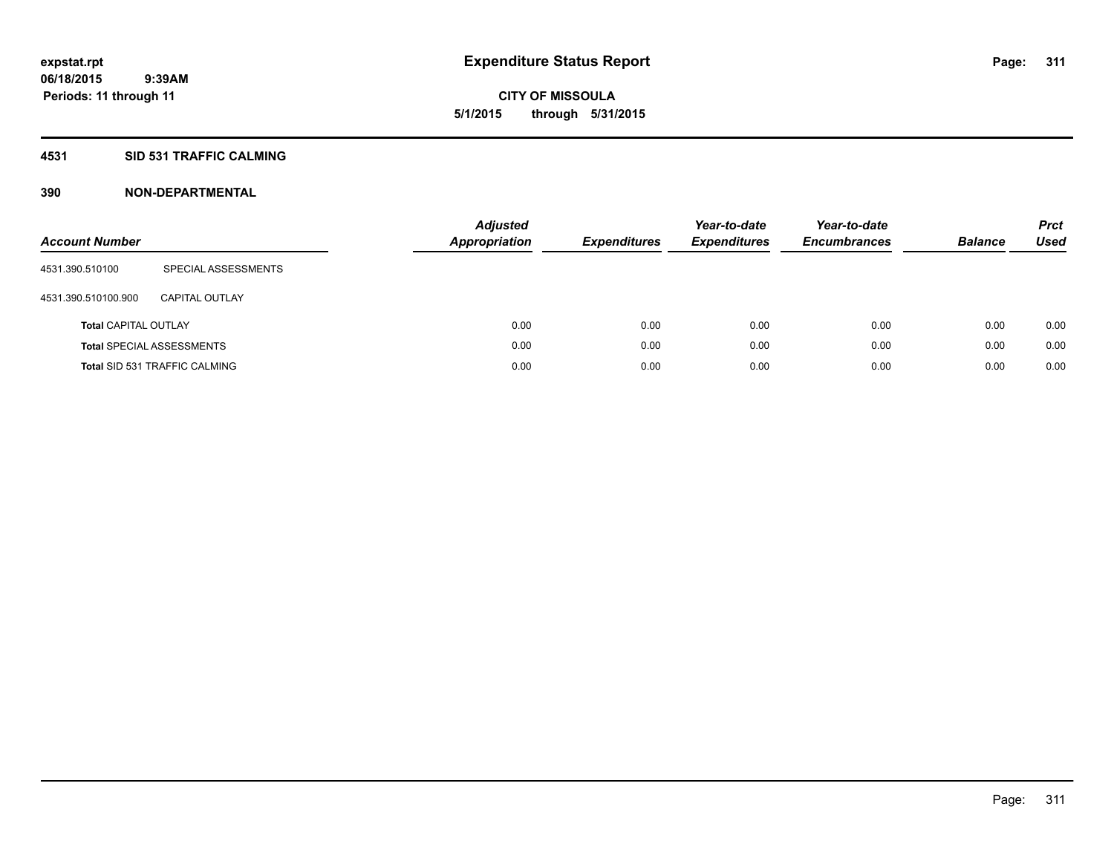**CITY OF MISSOULA 5/1/2015 through 5/31/2015**

# **4531 SID 531 TRAFFIC CALMING**

| <b>Account Number</b>       |                                      | <b>Adjusted</b><br><b>Appropriation</b> | <b>Expenditures</b> | Year-to-date<br><b>Expenditures</b> | Year-to-date<br><b>Encumbrances</b> | <b>Balance</b> | <b>Prct</b><br>Used |
|-----------------------------|--------------------------------------|-----------------------------------------|---------------------|-------------------------------------|-------------------------------------|----------------|---------------------|
| 4531.390.510100             | SPECIAL ASSESSMENTS                  |                                         |                     |                                     |                                     |                |                     |
| 4531.390.510100.900         | CAPITAL OUTLAY                       |                                         |                     |                                     |                                     |                |                     |
| <b>Total CAPITAL OUTLAY</b> |                                      | 0.00                                    | 0.00                | 0.00                                | 0.00                                | 0.00           | 0.00                |
|                             | <b>Total SPECIAL ASSESSMENTS</b>     | 0.00                                    | 0.00                | 0.00                                | 0.00                                | 0.00           | 0.00                |
|                             | <b>Total SID 531 TRAFFIC CALMING</b> | 0.00                                    | 0.00                | 0.00                                | 0.00                                | 0.00           | 0.00                |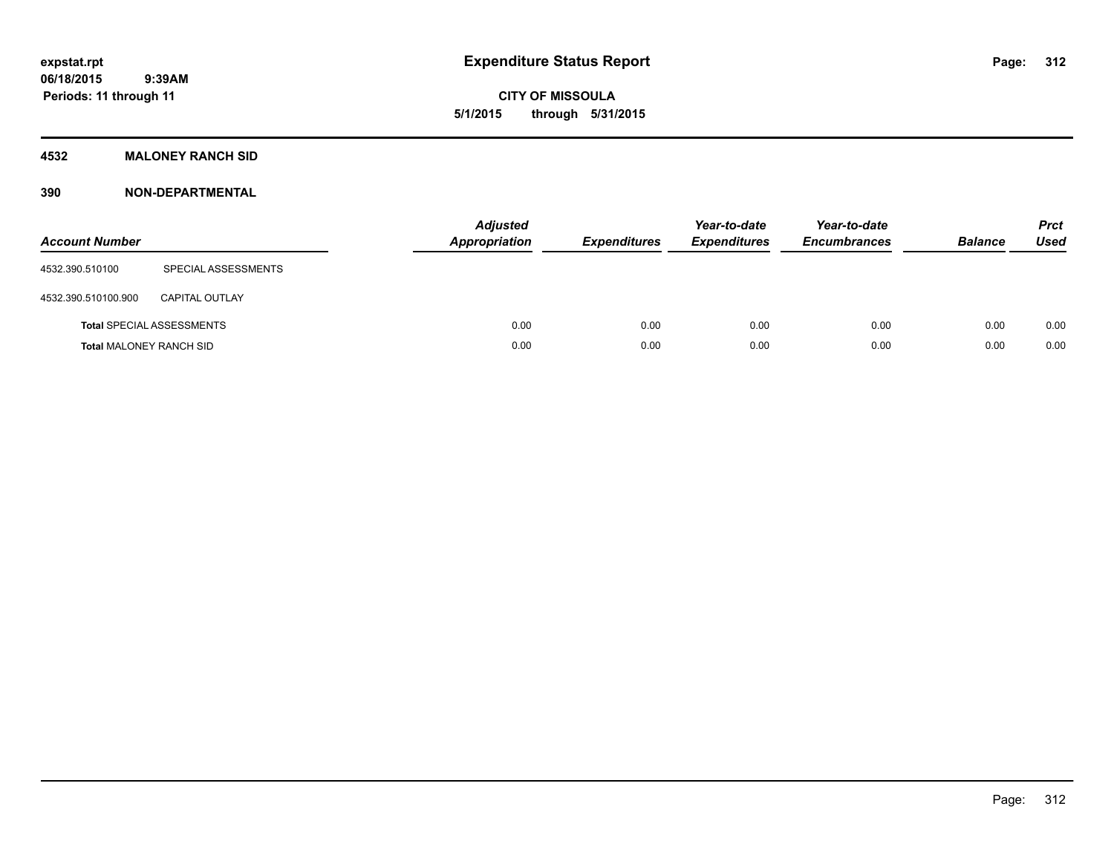**CITY OF MISSOULA 5/1/2015 through 5/31/2015**

# **4532 MALONEY RANCH SID**

| <b>Account Number</b>          |                                  | <b>Adjusted</b><br><b>Appropriation</b> | <b>Expenditures</b> | Year-to-date<br><b>Expenditures</b> | Year-to-date<br><b>Encumbrances</b> | <b>Balance</b> | <b>Prct</b><br><b>Used</b> |
|--------------------------------|----------------------------------|-----------------------------------------|---------------------|-------------------------------------|-------------------------------------|----------------|----------------------------|
| 4532.390.510100                | SPECIAL ASSESSMENTS              |                                         |                     |                                     |                                     |                |                            |
| 4532.390.510100.900            | <b>CAPITAL OUTLAY</b>            |                                         |                     |                                     |                                     |                |                            |
|                                | <b>Total SPECIAL ASSESSMENTS</b> | 0.00                                    | 0.00                | 0.00                                | 0.00                                | 0.00           | 0.00                       |
| <b>Total MALONEY RANCH SID</b> |                                  | 0.00                                    | 0.00                | 0.00                                | 0.00                                | 0.00           | 0.00                       |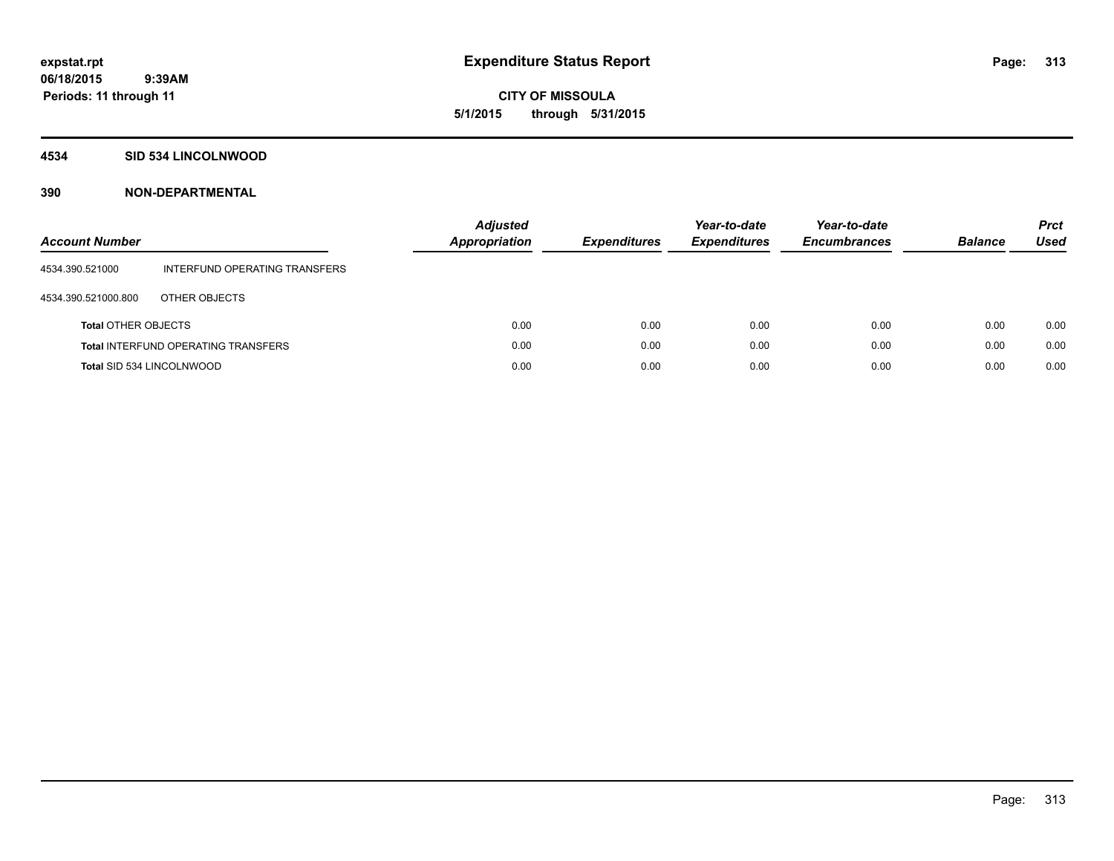**CITY OF MISSOULA 5/1/2015 through 5/31/2015**

## **4534 SID 534 LINCOLNWOOD**

| <b>Account Number</b>            |                                            | <b>Adjusted</b><br><b>Appropriation</b> | <b>Expenditures</b> | Year-to-date<br><b>Expenditures</b> | Year-to-date<br><b>Encumbrances</b> | <b>Balance</b> | <b>Prct</b><br>Used |
|----------------------------------|--------------------------------------------|-----------------------------------------|---------------------|-------------------------------------|-------------------------------------|----------------|---------------------|
| 4534.390.521000                  | INTERFUND OPERATING TRANSFERS              |                                         |                     |                                     |                                     |                |                     |
| 4534.390.521000.800              | OTHER OBJECTS                              |                                         |                     |                                     |                                     |                |                     |
| <b>Total OTHER OBJECTS</b>       |                                            | 0.00                                    | 0.00                | 0.00                                | 0.00                                | 0.00           | 0.00                |
|                                  | <b>Total INTERFUND OPERATING TRANSFERS</b> | 0.00                                    | 0.00                | 0.00                                | 0.00                                | 0.00           | 0.00                |
| <b>Total SID 534 LINCOLNWOOD</b> |                                            | 0.00                                    | 0.00                | 0.00                                | 0.00                                | 0.00           | 0.00                |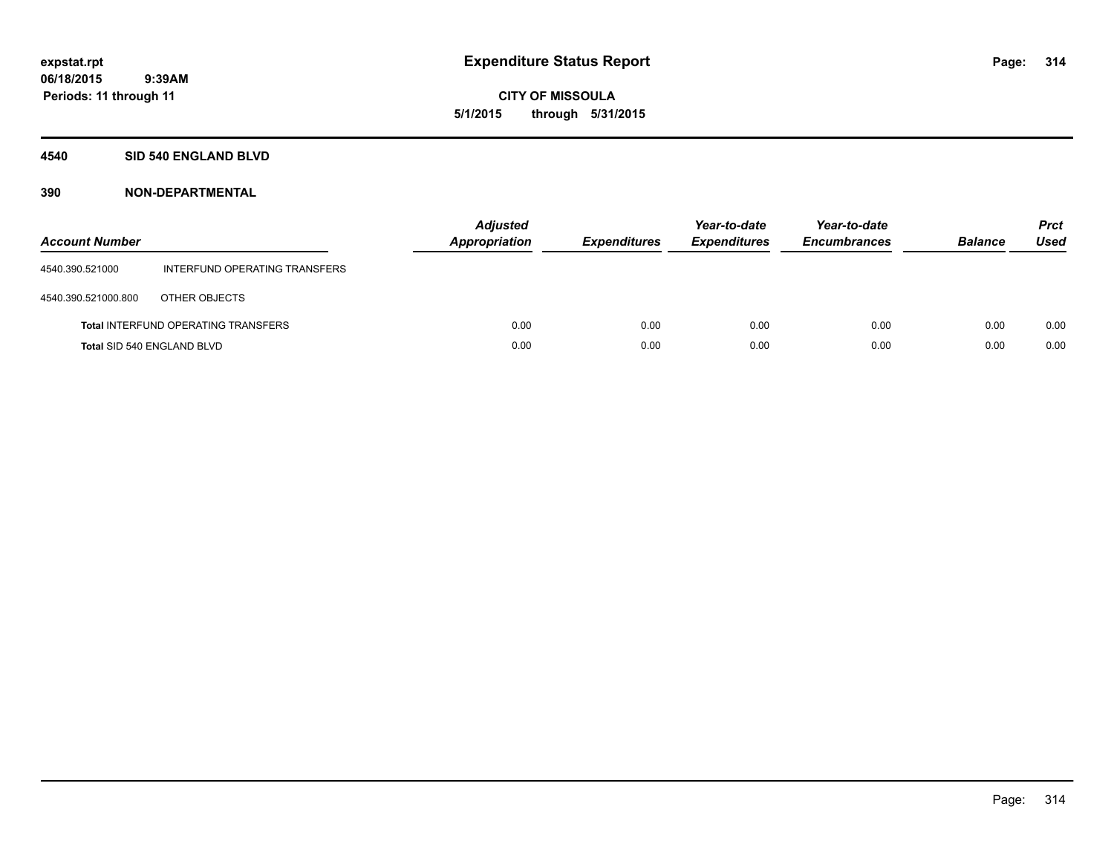**CITY OF MISSOULA 5/1/2015 through 5/31/2015**

# **4540 SID 540 ENGLAND BLVD**

| <b>Account Number</b>      |                                            | <b>Adjusted</b><br><b>Appropriation</b> | <b>Expenditures</b> | Year-to-date<br><b>Expenditures</b> | Year-to-date<br><b>Encumbrances</b> | <b>Balance</b> | <b>Prct</b><br>Used |
|----------------------------|--------------------------------------------|-----------------------------------------|---------------------|-------------------------------------|-------------------------------------|----------------|---------------------|
| 4540.390.521000            | INTERFUND OPERATING TRANSFERS              |                                         |                     |                                     |                                     |                |                     |
| 4540.390.521000.800        | OTHER OBJECTS                              |                                         |                     |                                     |                                     |                |                     |
|                            | <b>Total INTERFUND OPERATING TRANSFERS</b> | 0.00                                    | 0.00                | 0.00                                | 0.00                                | 0.00           | 0.00                |
| Total SID 540 ENGLAND BLVD |                                            | 0.00                                    | 0.00                | 0.00                                | 0.00                                | 0.00           | 0.00                |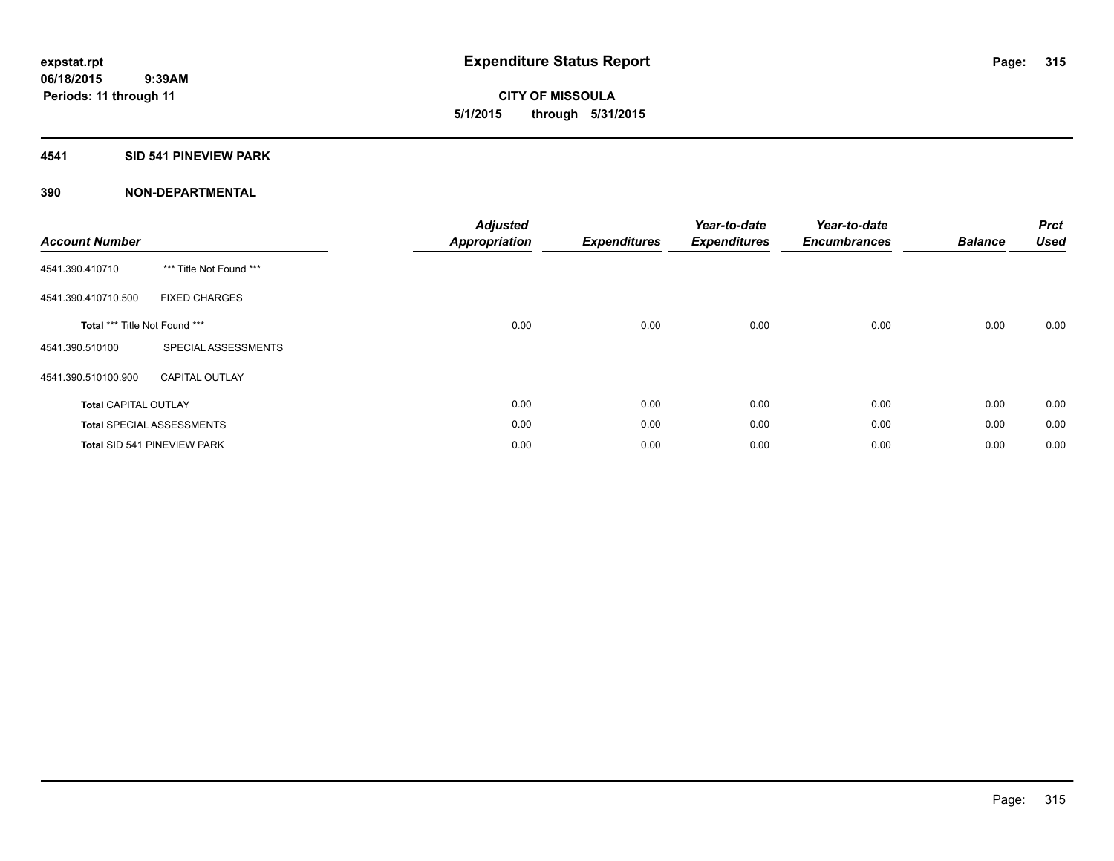**CITY OF MISSOULA 5/1/2015 through 5/31/2015**

# **4541 SID 541 PINEVIEW PARK**

| <b>Account Number</b>         |                                    | <b>Adjusted</b><br><b>Appropriation</b> | <b>Expenditures</b> | Year-to-date<br><b>Expenditures</b> | Year-to-date<br><b>Encumbrances</b> | <b>Balance</b> | <b>Prct</b><br><b>Used</b> |
|-------------------------------|------------------------------------|-----------------------------------------|---------------------|-------------------------------------|-------------------------------------|----------------|----------------------------|
| 4541.390.410710               | *** Title Not Found ***            |                                         |                     |                                     |                                     |                |                            |
| 4541.390.410710.500           | <b>FIXED CHARGES</b>               |                                         |                     |                                     |                                     |                |                            |
| Total *** Title Not Found *** |                                    | 0.00                                    | 0.00                | 0.00                                | 0.00                                | 0.00           | 0.00                       |
| 4541.390.510100               | SPECIAL ASSESSMENTS                |                                         |                     |                                     |                                     |                |                            |
| 4541.390.510100.900           | <b>CAPITAL OUTLAY</b>              |                                         |                     |                                     |                                     |                |                            |
| <b>Total CAPITAL OUTLAY</b>   |                                    | 0.00                                    | 0.00                | 0.00                                | 0.00                                | 0.00           | 0.00                       |
|                               | <b>Total SPECIAL ASSESSMENTS</b>   | 0.00                                    | 0.00                | 0.00                                | 0.00                                | 0.00           | 0.00                       |
|                               | <b>Total SID 541 PINEVIEW PARK</b> | 0.00                                    | 0.00                | 0.00                                | 0.00                                | 0.00           | 0.00                       |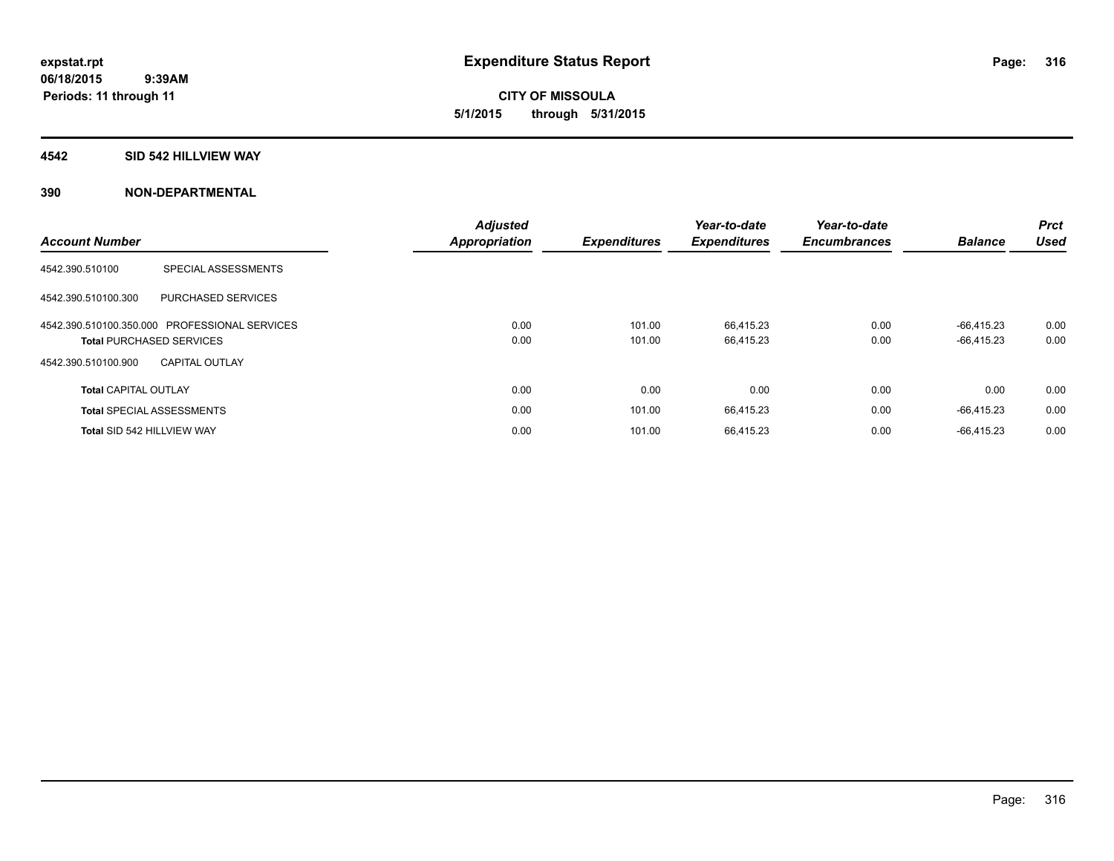**CITY OF MISSOULA 5/1/2015 through 5/31/2015**

## **4542 SID 542 HILLVIEW WAY**

| <b>Account Number</b>       |                                               | <b>Adjusted</b><br>Appropriation | <b>Expenditures</b> | Year-to-date<br><b>Expenditures</b> | Year-to-date<br><b>Encumbrances</b> | <b>Balance</b> | <b>Prct</b><br><b>Used</b> |
|-----------------------------|-----------------------------------------------|----------------------------------|---------------------|-------------------------------------|-------------------------------------|----------------|----------------------------|
| 4542.390.510100             | SPECIAL ASSESSMENTS                           |                                  |                     |                                     |                                     |                |                            |
| 4542.390.510100.300         | PURCHASED SERVICES                            |                                  |                     |                                     |                                     |                |                            |
|                             | 4542.390.510100.350.000 PROFESSIONAL SERVICES | 0.00                             | 101.00              | 66.415.23                           | 0.00                                | $-66.415.23$   | 0.00                       |
|                             | <b>Total PURCHASED SERVICES</b>               | 0.00                             | 101.00              | 66,415.23                           | 0.00                                | $-66,415.23$   | 0.00                       |
| 4542.390.510100.900         | <b>CAPITAL OUTLAY</b>                         |                                  |                     |                                     |                                     |                |                            |
| <b>Total CAPITAL OUTLAY</b> |                                               | 0.00                             | 0.00                | 0.00                                | 0.00                                | 0.00           | 0.00                       |
|                             | <b>Total SPECIAL ASSESSMENTS</b>              | 0.00                             | 101.00              | 66,415.23                           | 0.00                                | $-66,415.23$   | 0.00                       |
| Total SID 542 HILLVIEW WAY  |                                               | 0.00                             | 101.00              | 66,415.23                           | 0.00                                | $-66.415.23$   | 0.00                       |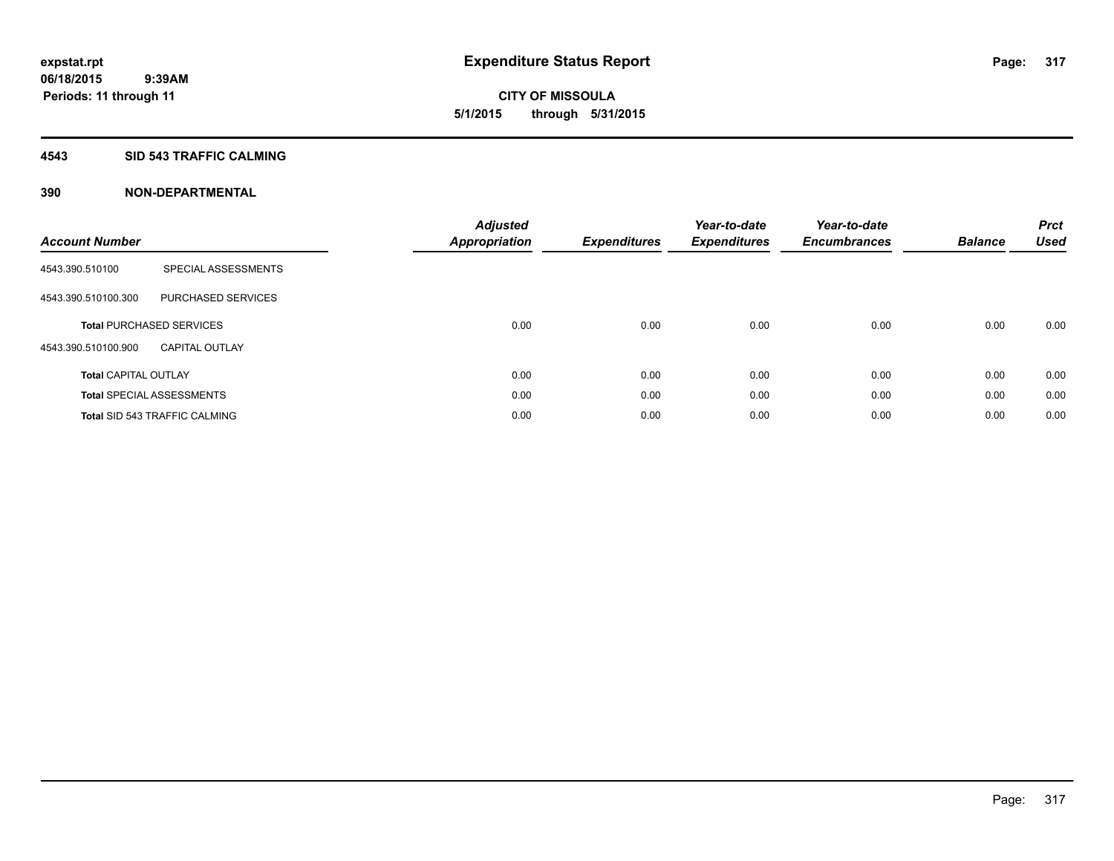**CITY OF MISSOULA 5/1/2015 through 5/31/2015**

# **4543 SID 543 TRAFFIC CALMING**

| <b>Account Number</b>       |                                      | <b>Adjusted</b><br><b>Appropriation</b> | <b>Expenditures</b> | Year-to-date<br><b>Expenditures</b> | Year-to-date<br><b>Encumbrances</b> | <b>Balance</b> | <b>Prct</b><br><b>Used</b> |
|-----------------------------|--------------------------------------|-----------------------------------------|---------------------|-------------------------------------|-------------------------------------|----------------|----------------------------|
| 4543.390.510100             | SPECIAL ASSESSMENTS                  |                                         |                     |                                     |                                     |                |                            |
| 4543.390.510100.300         | <b>PURCHASED SERVICES</b>            |                                         |                     |                                     |                                     |                |                            |
|                             | <b>Total PURCHASED SERVICES</b>      | 0.00                                    | 0.00                | 0.00                                | 0.00                                | 0.00           | 0.00                       |
| 4543.390.510100.900         | <b>CAPITAL OUTLAY</b>                |                                         |                     |                                     |                                     |                |                            |
| <b>Total CAPITAL OUTLAY</b> |                                      | 0.00                                    | 0.00                | 0.00                                | 0.00                                | 0.00           | 0.00                       |
|                             | <b>Total SPECIAL ASSESSMENTS</b>     | 0.00                                    | 0.00                | 0.00                                | 0.00                                | 0.00           | 0.00                       |
|                             | <b>Total SID 543 TRAFFIC CALMING</b> | 0.00                                    | 0.00                | 0.00                                | 0.00                                | 0.00           | 0.00                       |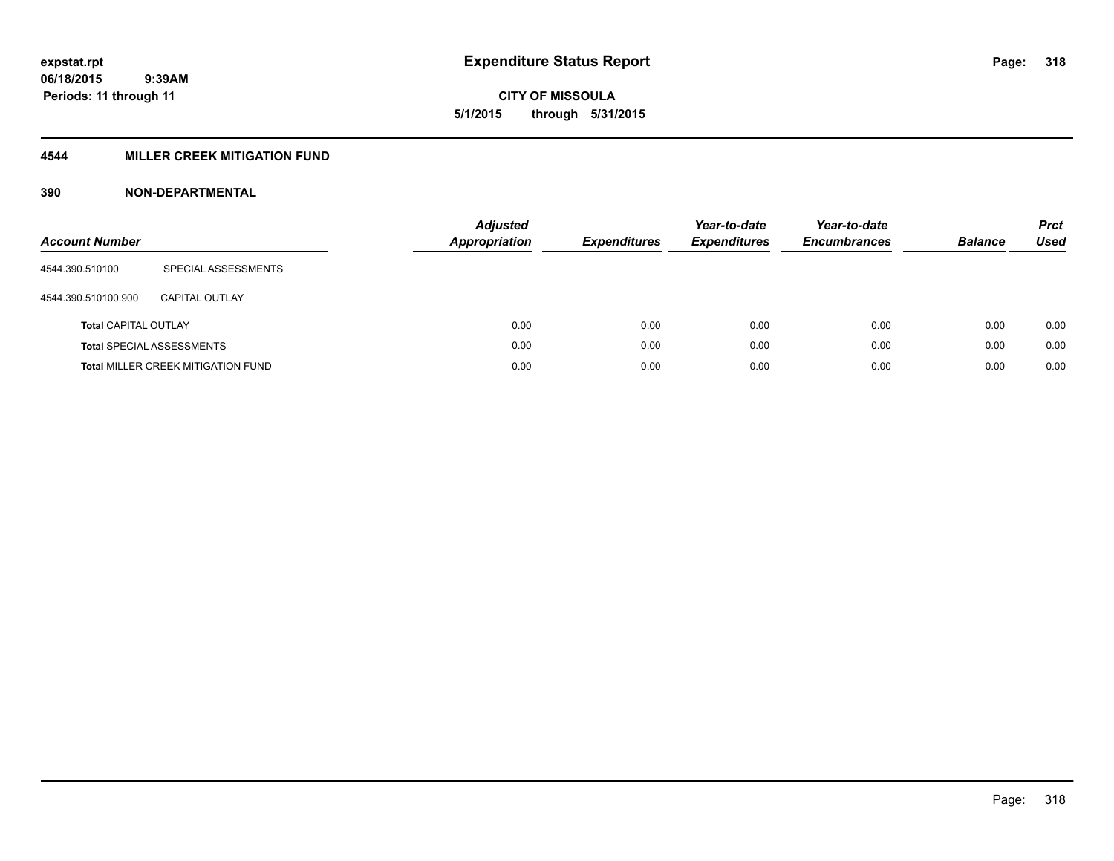**06/18/2015 9:39AM Periods: 11 through 11**

# **CITY OF MISSOULA 5/1/2015 through 5/31/2015**

# **4544 MILLER CREEK MITIGATION FUND**

| <b>Account Number</b>       |                                           | <b>Adjusted</b><br>Appropriation | <b>Expenditures</b> | Year-to-date<br><b>Expenditures</b> | Year-to-date<br><b>Encumbrances</b> | <b>Balance</b> | <b>Prct</b><br><b>Used</b> |
|-----------------------------|-------------------------------------------|----------------------------------|---------------------|-------------------------------------|-------------------------------------|----------------|----------------------------|
| 4544.390.510100             | SPECIAL ASSESSMENTS                       |                                  |                     |                                     |                                     |                |                            |
| 4544.390.510100.900         | CAPITAL OUTLAY                            |                                  |                     |                                     |                                     |                |                            |
| <b>Total CAPITAL OUTLAY</b> |                                           | 0.00                             | 0.00                | 0.00                                | 0.00                                | 0.00           | 0.00                       |
|                             | <b>Total SPECIAL ASSESSMENTS</b>          | 0.00                             | 0.00                | 0.00                                | 0.00                                | 0.00           | 0.00                       |
|                             | <b>Total MILLER CREEK MITIGATION FUND</b> | 0.00                             | 0.00                | 0.00                                | 0.00                                | 0.00           | 0.00                       |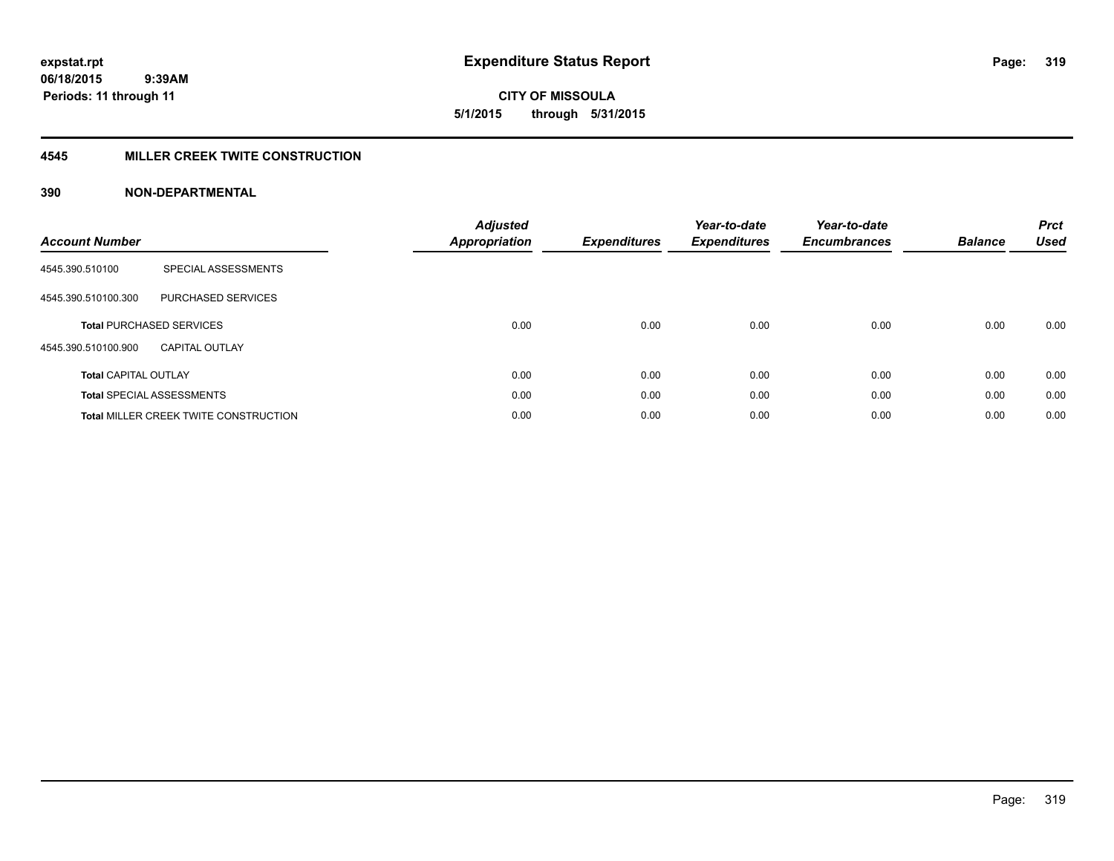**CITY OF MISSOULA 5/1/2015 through 5/31/2015**

# **4545 MILLER CREEK TWITE CONSTRUCTION**

| <b>Account Number</b>       |                                              | <b>Adjusted</b><br><b>Appropriation</b> | <b>Expenditures</b> | Year-to-date<br><b>Expenditures</b> | Year-to-date<br><b>Encumbrances</b> | <b>Balance</b> | <b>Prct</b><br><b>Used</b> |
|-----------------------------|----------------------------------------------|-----------------------------------------|---------------------|-------------------------------------|-------------------------------------|----------------|----------------------------|
| 4545.390.510100             | SPECIAL ASSESSMENTS                          |                                         |                     |                                     |                                     |                |                            |
| 4545.390.510100.300         | <b>PURCHASED SERVICES</b>                    |                                         |                     |                                     |                                     |                |                            |
|                             | <b>Total PURCHASED SERVICES</b>              | 0.00                                    | 0.00                | 0.00                                | 0.00                                | 0.00           | 0.00                       |
| 4545.390.510100.900         | <b>CAPITAL OUTLAY</b>                        |                                         |                     |                                     |                                     |                |                            |
| <b>Total CAPITAL OUTLAY</b> |                                              | 0.00                                    | 0.00                | 0.00                                | 0.00                                | 0.00           | 0.00                       |
|                             | <b>Total SPECIAL ASSESSMENTS</b>             | 0.00                                    | 0.00                | 0.00                                | 0.00                                | 0.00           | 0.00                       |
|                             | <b>Total MILLER CREEK TWITE CONSTRUCTION</b> | 0.00                                    | 0.00                | 0.00                                | 0.00                                | 0.00           | 0.00                       |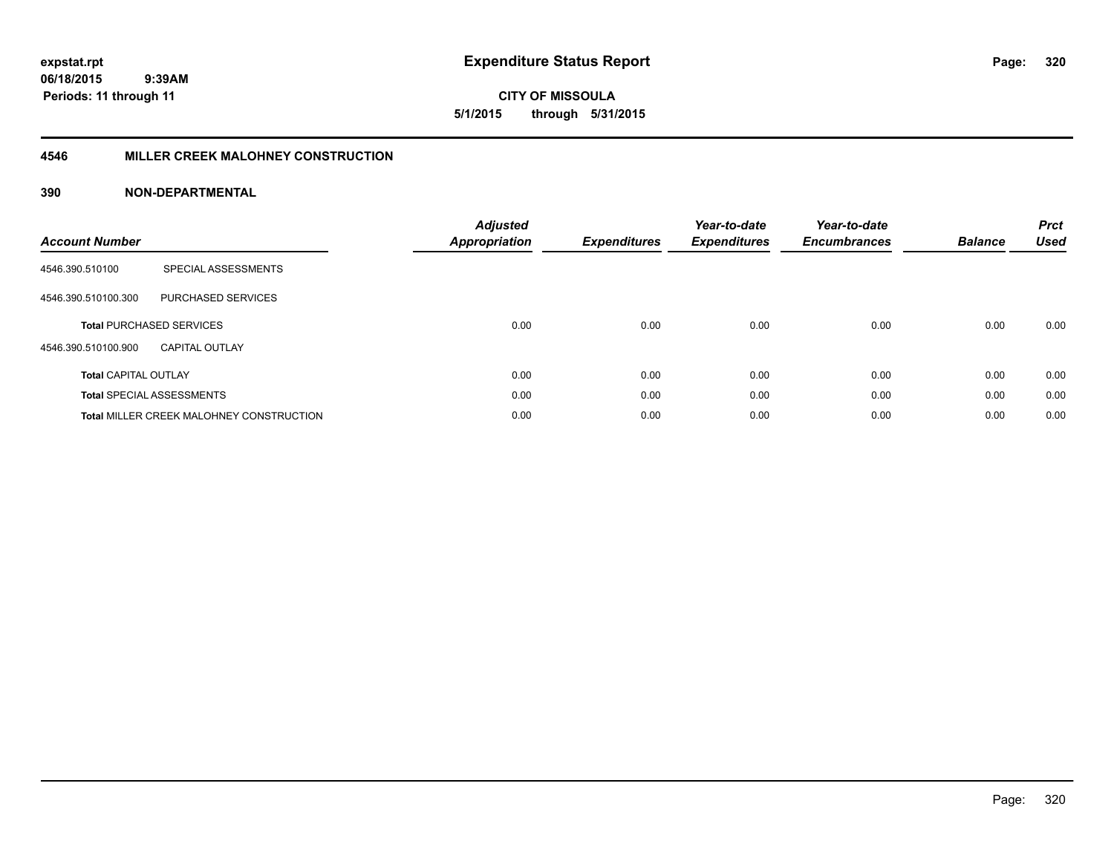**CITY OF MISSOULA 5/1/2015 through 5/31/2015**

# **4546 MILLER CREEK MALOHNEY CONSTRUCTION**

| <b>Account Number</b>       |                                                 | <b>Adjusted</b><br><b>Appropriation</b> | <b>Expenditures</b> | Year-to-date<br><b>Expenditures</b> | Year-to-date<br><b>Encumbrances</b> | <b>Balance</b> | <b>Prct</b><br><b>Used</b> |
|-----------------------------|-------------------------------------------------|-----------------------------------------|---------------------|-------------------------------------|-------------------------------------|----------------|----------------------------|
| 4546.390.510100             | SPECIAL ASSESSMENTS                             |                                         |                     |                                     |                                     |                |                            |
| 4546.390.510100.300         | PURCHASED SERVICES                              |                                         |                     |                                     |                                     |                |                            |
|                             | <b>Total PURCHASED SERVICES</b>                 | 0.00                                    | 0.00                | 0.00                                | 0.00                                | 0.00           | 0.00                       |
| 4546.390.510100.900         | <b>CAPITAL OUTLAY</b>                           |                                         |                     |                                     |                                     |                |                            |
| <b>Total CAPITAL OUTLAY</b> |                                                 | 0.00                                    | 0.00                | 0.00                                | 0.00                                | 0.00           | 0.00                       |
|                             | <b>Total SPECIAL ASSESSMENTS</b>                | 0.00                                    | 0.00                | 0.00                                | 0.00                                | 0.00           | 0.00                       |
|                             | <b>Total MILLER CREEK MALOHNEY CONSTRUCTION</b> | 0.00                                    | 0.00                | 0.00                                | 0.00                                | 0.00           | 0.00                       |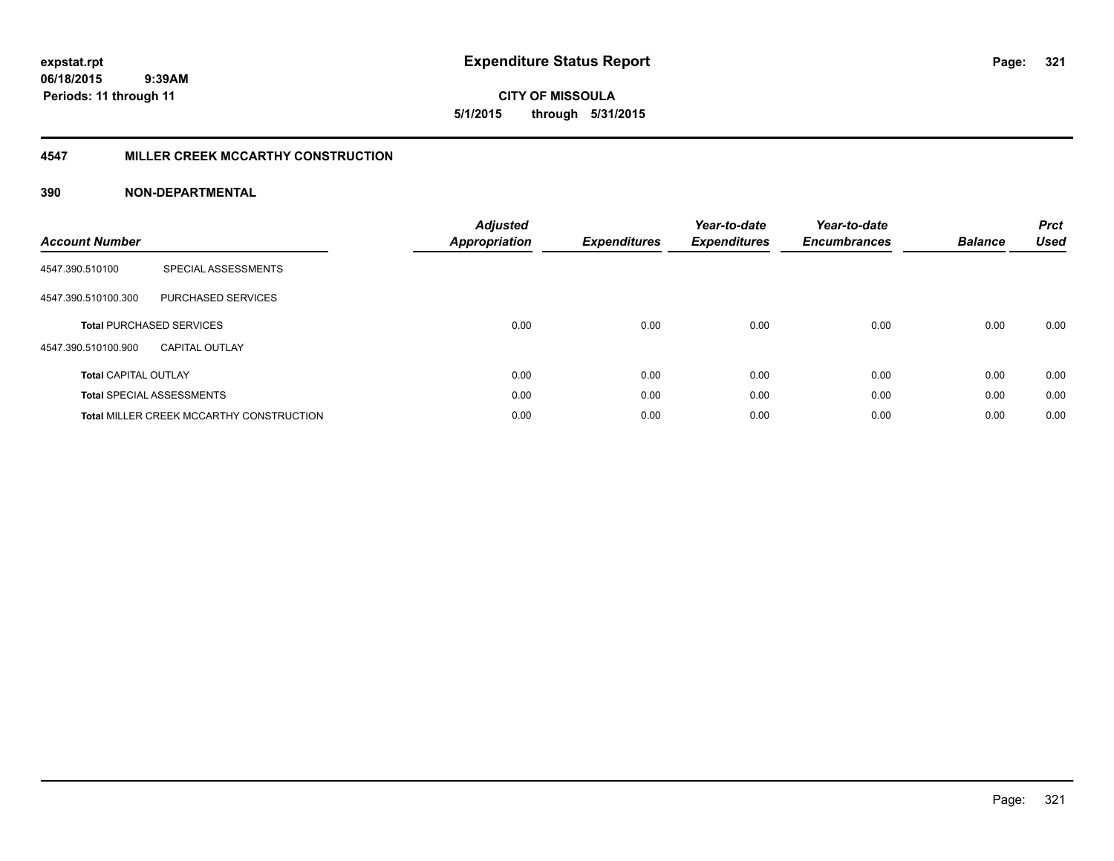**CITY OF MISSOULA 5/1/2015 through 5/31/2015**

# **4547 MILLER CREEK MCCARTHY CONSTRUCTION**

| <b>Account Number</b>       |                                                 | <b>Adjusted</b><br><b>Appropriation</b> | <b>Expenditures</b> | Year-to-date<br><b>Expenditures</b> | Year-to-date<br><b>Encumbrances</b> | <b>Balance</b> | <b>Prct</b><br><b>Used</b> |
|-----------------------------|-------------------------------------------------|-----------------------------------------|---------------------|-------------------------------------|-------------------------------------|----------------|----------------------------|
| 4547.390.510100             | SPECIAL ASSESSMENTS                             |                                         |                     |                                     |                                     |                |                            |
| 4547.390.510100.300         | <b>PURCHASED SERVICES</b>                       |                                         |                     |                                     |                                     |                |                            |
|                             | <b>Total PURCHASED SERVICES</b>                 | 0.00                                    | 0.00                | 0.00                                | 0.00                                | 0.00           | 0.00                       |
| 4547.390.510100.900         | <b>CAPITAL OUTLAY</b>                           |                                         |                     |                                     |                                     |                |                            |
| <b>Total CAPITAL OUTLAY</b> |                                                 | 0.00                                    | 0.00                | 0.00                                | 0.00                                | 0.00           | 0.00                       |
|                             | <b>Total SPECIAL ASSESSMENTS</b>                | 0.00                                    | 0.00                | 0.00                                | 0.00                                | 0.00           | 0.00                       |
|                             | <b>Total MILLER CREEK MCCARTHY CONSTRUCTION</b> | 0.00                                    | 0.00                | 0.00                                | 0.00                                | 0.00           | 0.00                       |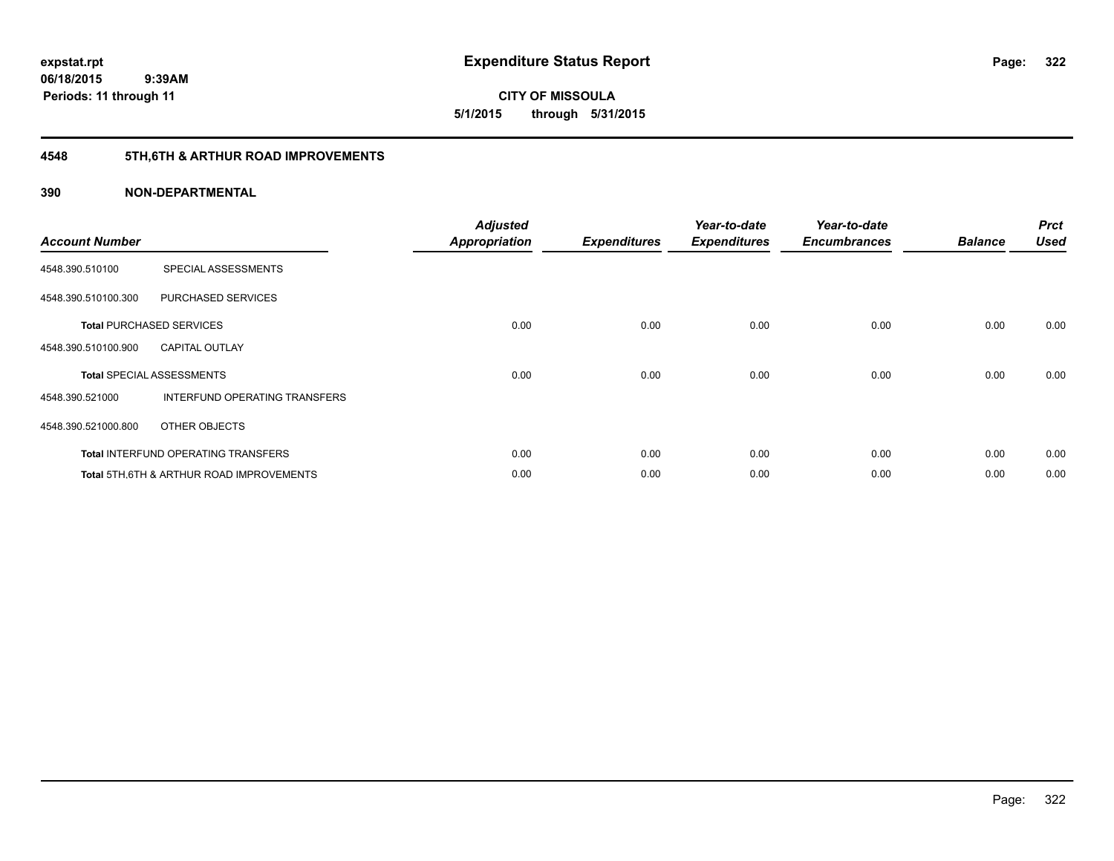**06/18/2015 9:39AM Periods: 11 through 11**

**CITY OF MISSOULA 5/1/2015 through 5/31/2015**

# **4548 5TH,6TH & ARTHUR ROAD IMPROVEMENTS**

| <b>Account Number</b> |                                            | <b>Adjusted</b><br><b>Appropriation</b> | <b>Expenditures</b> | Year-to-date<br><b>Expenditures</b> | Year-to-date<br><b>Encumbrances</b> | <b>Balance</b> | <b>Prct</b><br><b>Used</b> |
|-----------------------|--------------------------------------------|-----------------------------------------|---------------------|-------------------------------------|-------------------------------------|----------------|----------------------------|
| 4548.390.510100       | SPECIAL ASSESSMENTS                        |                                         |                     |                                     |                                     |                |                            |
| 4548.390.510100.300   | PURCHASED SERVICES                         |                                         |                     |                                     |                                     |                |                            |
|                       | <b>Total PURCHASED SERVICES</b>            | 0.00                                    | 0.00                | 0.00                                | 0.00                                | 0.00           | 0.00                       |
| 4548.390.510100.900   | <b>CAPITAL OUTLAY</b>                      |                                         |                     |                                     |                                     |                |                            |
|                       | <b>Total SPECIAL ASSESSMENTS</b>           | 0.00                                    | 0.00                | 0.00                                | 0.00                                | 0.00           | 0.00                       |
| 4548.390.521000       | INTERFUND OPERATING TRANSFERS              |                                         |                     |                                     |                                     |                |                            |
| 4548.390.521000.800   | OTHER OBJECTS                              |                                         |                     |                                     |                                     |                |                            |
|                       | <b>Total INTERFUND OPERATING TRANSFERS</b> | 0.00                                    | 0.00                | 0.00                                | 0.00                                | 0.00           | 0.00                       |
|                       | Total 5TH.6TH & ARTHUR ROAD IMPROVEMENTS   | 0.00                                    | 0.00                | 0.00                                | 0.00                                | 0.00           | 0.00                       |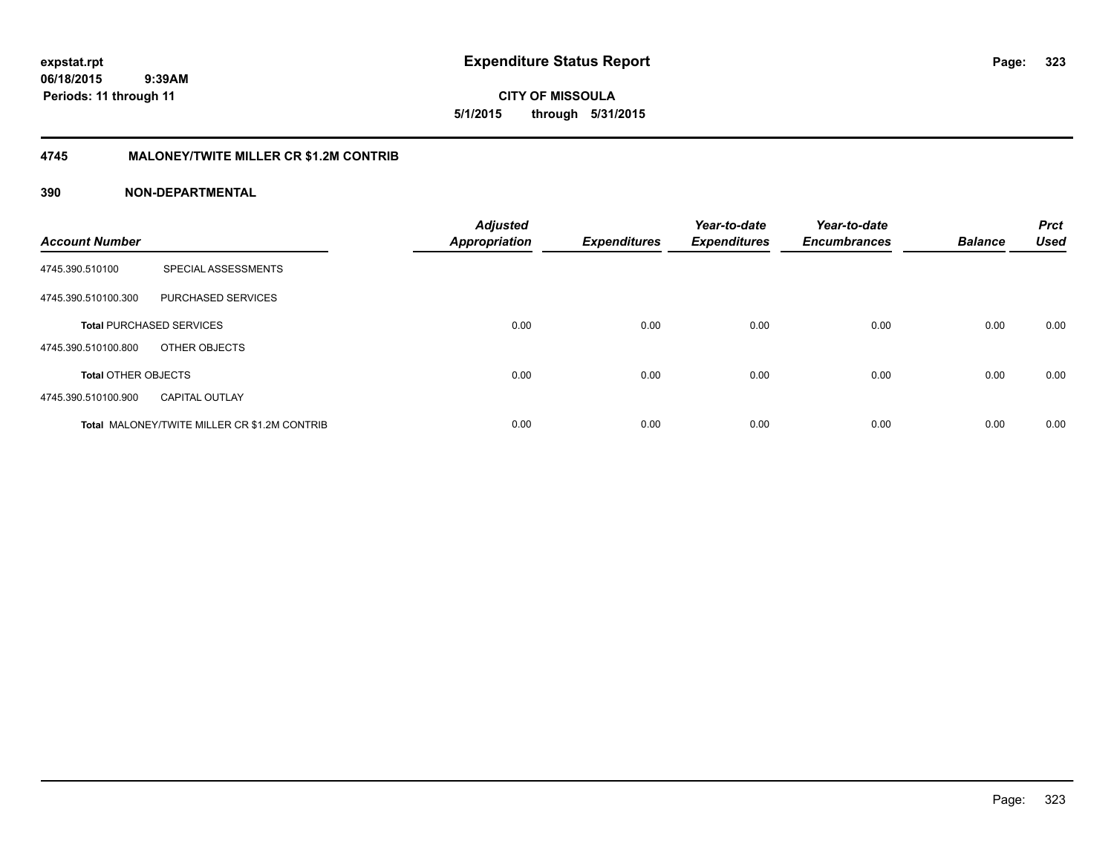**CITY OF MISSOULA 5/1/2015 through 5/31/2015**

# **4745 MALONEY/TWITE MILLER CR \$1.2M CONTRIB**

| <b>Account Number</b>      |                                              | <b>Adjusted</b><br>Appropriation | <b>Expenditures</b> | Year-to-date<br><b>Expenditures</b> | Year-to-date<br><b>Encumbrances</b> | <b>Balance</b> | <b>Prct</b><br><b>Used</b> |
|----------------------------|----------------------------------------------|----------------------------------|---------------------|-------------------------------------|-------------------------------------|----------------|----------------------------|
| 4745.390.510100            | SPECIAL ASSESSMENTS                          |                                  |                     |                                     |                                     |                |                            |
| 4745.390.510100.300        | PURCHASED SERVICES                           |                                  |                     |                                     |                                     |                |                            |
|                            | <b>Total PURCHASED SERVICES</b>              | 0.00                             | 0.00                | 0.00                                | 0.00                                | 0.00           | 0.00                       |
| 4745.390.510100.800        | OTHER OBJECTS                                |                                  |                     |                                     |                                     |                |                            |
| <b>Total OTHER OBJECTS</b> |                                              | 0.00                             | 0.00                | 0.00                                | 0.00                                | 0.00           | 0.00                       |
| 4745.390.510100.900        | <b>CAPITAL OUTLAY</b>                        |                                  |                     |                                     |                                     |                |                            |
|                            | Total MALONEY/TWITE MILLER CR \$1.2M CONTRIB | 0.00                             | 0.00                | 0.00                                | 0.00                                | 0.00           | 0.00                       |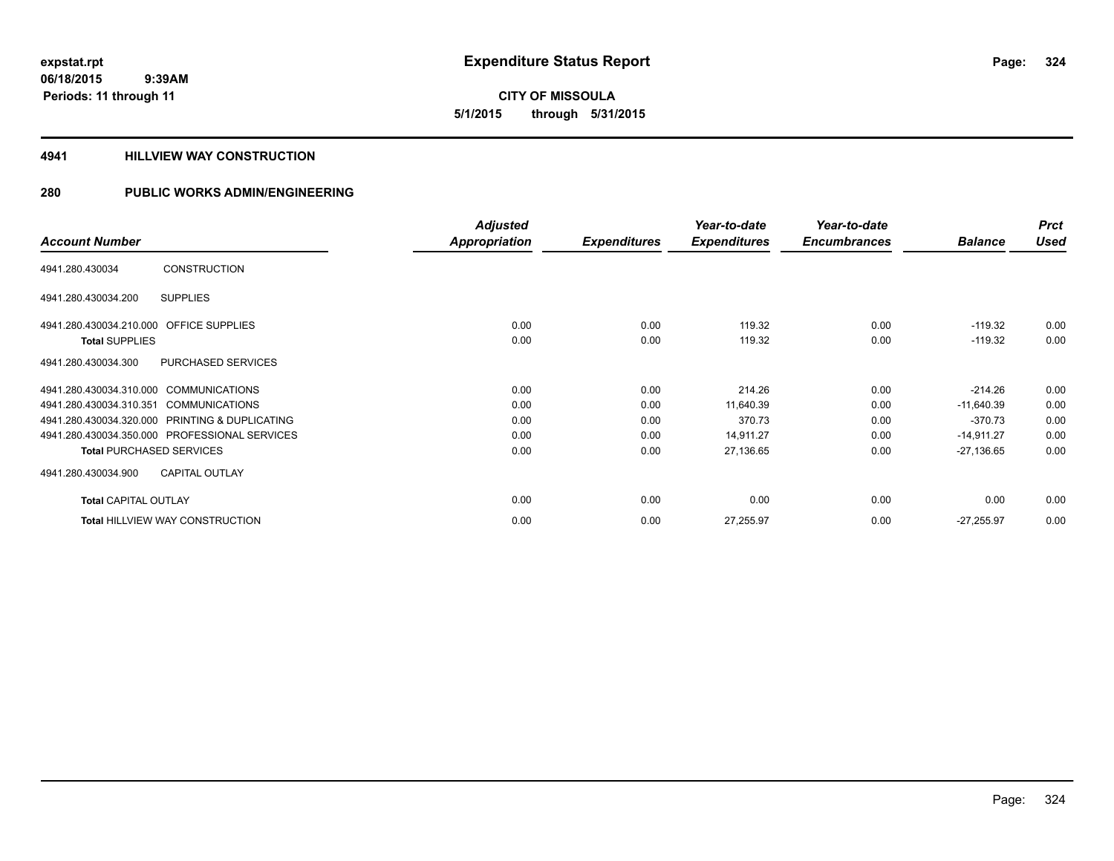**CITY OF MISSOULA 5/1/2015 through 5/31/2015**

# **4941 HILLVIEW WAY CONSTRUCTION**

|                                                  | <b>Adjusted</b> |                     | Year-to-date        | Year-to-date        |                | <b>Prct</b> |
|--------------------------------------------------|-----------------|---------------------|---------------------|---------------------|----------------|-------------|
| <b>Account Number</b>                            | Appropriation   | <b>Expenditures</b> | <b>Expenditures</b> | <b>Encumbrances</b> | <b>Balance</b> | <b>Used</b> |
| <b>CONSTRUCTION</b><br>4941.280.430034           |                 |                     |                     |                     |                |             |
| <b>SUPPLIES</b><br>4941.280.430034.200           |                 |                     |                     |                     |                |             |
| 4941.280.430034.210.000 OFFICE SUPPLIES          | 0.00            | 0.00                | 119.32              | 0.00                | $-119.32$      | 0.00        |
| <b>Total SUPPLIES</b>                            | 0.00            | 0.00                | 119.32              | 0.00                | $-119.32$      | 0.00        |
| PURCHASED SERVICES<br>4941.280.430034.300        |                 |                     |                     |                     |                |             |
| 4941.280.430034.310.000 COMMUNICATIONS           | 0.00            | 0.00                | 214.26              | 0.00                | $-214.26$      | 0.00        |
| 4941.280.430034.310.351<br><b>COMMUNICATIONS</b> | 0.00            | 0.00                | 11,640.39           | 0.00                | $-11,640.39$   | 0.00        |
| 4941.280.430034.320.000 PRINTING & DUPLICATING   | 0.00            | 0.00                | 370.73              | 0.00                | $-370.73$      | 0.00        |
| 4941.280.430034.350.000 PROFESSIONAL SERVICES    | 0.00            | 0.00                | 14,911.27           | 0.00                | $-14,911.27$   | 0.00        |
| <b>Total PURCHASED SERVICES</b>                  | 0.00            | 0.00                | 27,136.65           | 0.00                | $-27,136.65$   | 0.00        |
| 4941.280.430034.900<br><b>CAPITAL OUTLAY</b>     |                 |                     |                     |                     |                |             |
| <b>Total CAPITAL OUTLAY</b>                      | 0.00            | 0.00                | 0.00                | 0.00                | 0.00           | 0.00        |
| <b>Total HILLVIEW WAY CONSTRUCTION</b>           | 0.00            | 0.00                | 27,255.97           | 0.00                | $-27,255.97$   | 0.00        |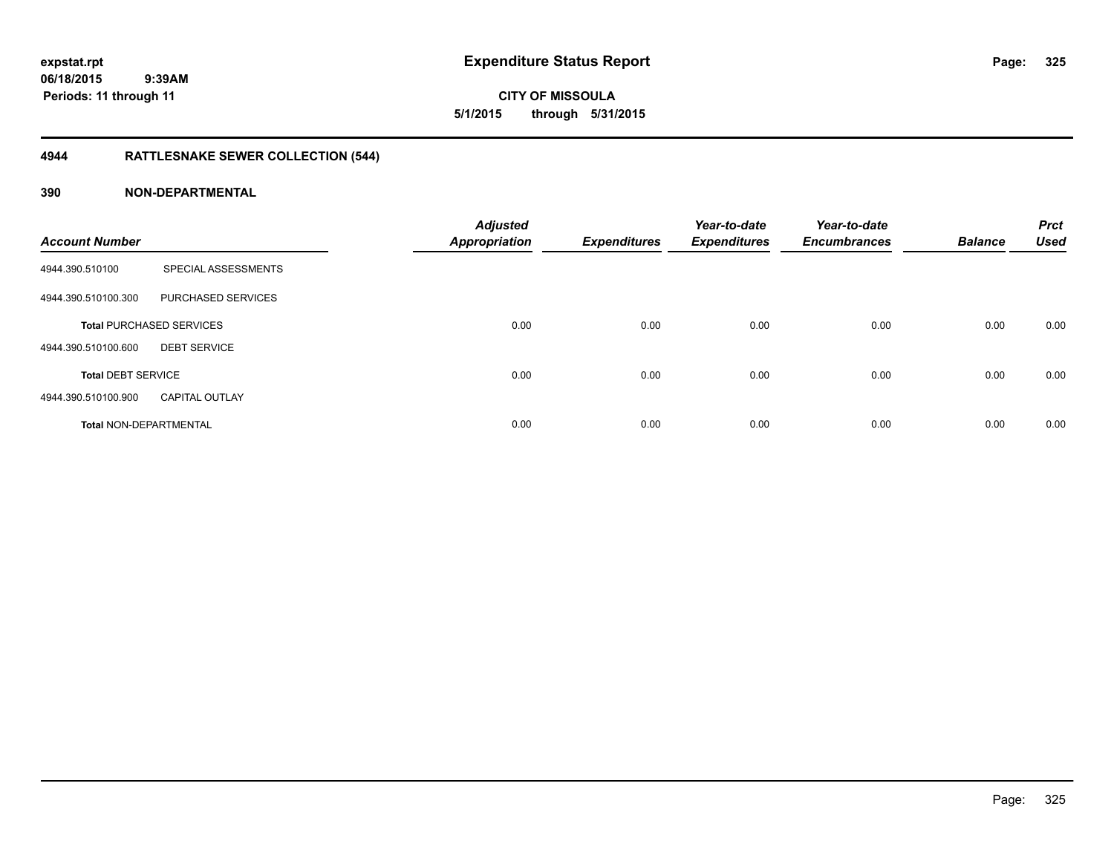**CITY OF MISSOULA 5/1/2015 through 5/31/2015**

# **4944 RATTLESNAKE SEWER COLLECTION (544)**

| <b>Account Number</b>         |                                 | <b>Adjusted</b><br><b>Appropriation</b> | <b>Expenditures</b> | Year-to-date<br><b>Expenditures</b> | Year-to-date<br><b>Encumbrances</b> | <b>Balance</b> | <b>Prct</b><br><b>Used</b> |
|-------------------------------|---------------------------------|-----------------------------------------|---------------------|-------------------------------------|-------------------------------------|----------------|----------------------------|
| 4944.390.510100               | SPECIAL ASSESSMENTS             |                                         |                     |                                     |                                     |                |                            |
| 4944.390.510100.300           | PURCHASED SERVICES              |                                         |                     |                                     |                                     |                |                            |
|                               | <b>Total PURCHASED SERVICES</b> | 0.00                                    | 0.00                | 0.00                                | 0.00                                | 0.00           | 0.00                       |
| 4944.390.510100.600           | <b>DEBT SERVICE</b>             |                                         |                     |                                     |                                     |                |                            |
| <b>Total DEBT SERVICE</b>     |                                 | 0.00                                    | 0.00                | 0.00                                | 0.00                                | 0.00           | 0.00                       |
| 4944.390.510100.900           | <b>CAPITAL OUTLAY</b>           |                                         |                     |                                     |                                     |                |                            |
| <b>Total NON-DEPARTMENTAL</b> |                                 | 0.00                                    | 0.00                | 0.00                                | 0.00                                | 0.00           | 0.00                       |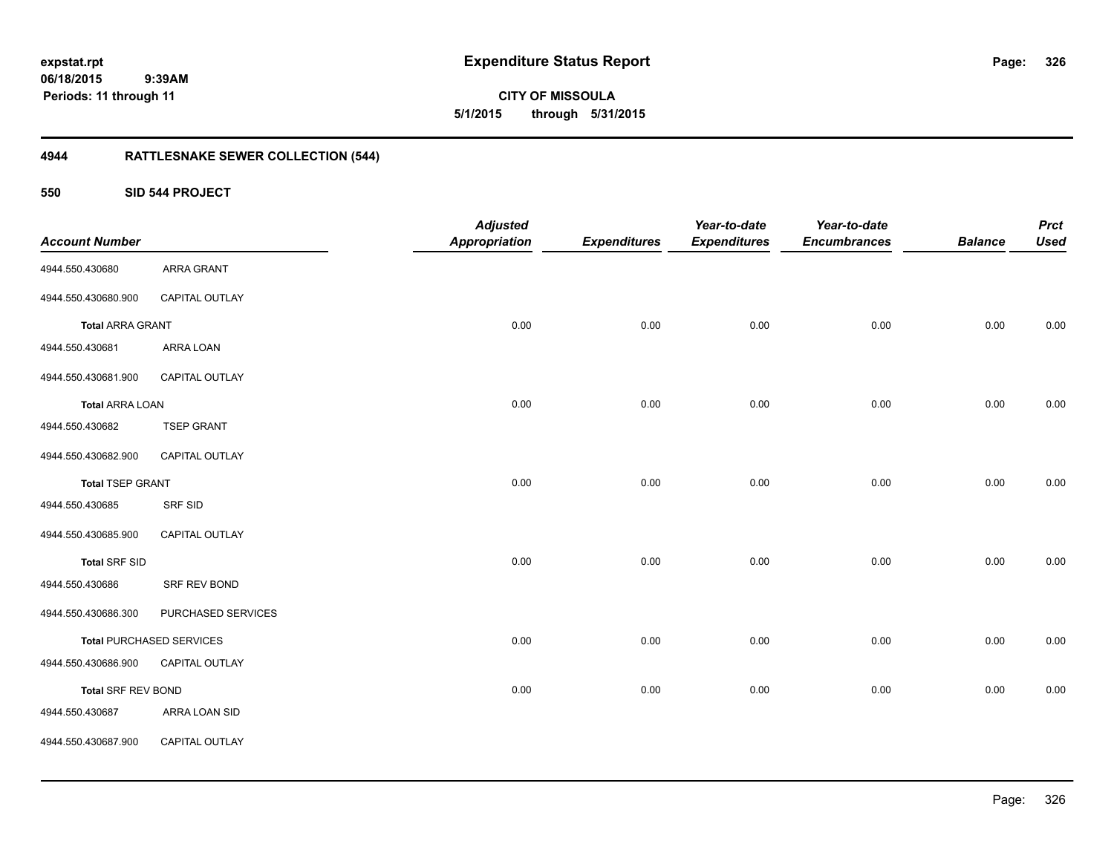**CITY OF MISSOULA 5/1/2015 through 5/31/2015**

# **4944 RATTLESNAKE SEWER COLLECTION (544)**

**550 SID 544 PROJECT**

| <b>Account Number</b>   |                                 | <b>Adjusted</b><br><b>Appropriation</b> | <b>Expenditures</b> | Year-to-date<br><b>Expenditures</b> | Year-to-date<br><b>Encumbrances</b> | <b>Balance</b> | <b>Prct</b><br><b>Used</b> |
|-------------------------|---------------------------------|-----------------------------------------|---------------------|-------------------------------------|-------------------------------------|----------------|----------------------------|
| 4944.550.430680         | <b>ARRA GRANT</b>               |                                         |                     |                                     |                                     |                |                            |
| 4944.550.430680.900     | CAPITAL OUTLAY                  |                                         |                     |                                     |                                     |                |                            |
| <b>Total ARRA GRANT</b> |                                 | 0.00                                    | 0.00                | 0.00                                | 0.00                                | 0.00           | 0.00                       |
| 4944.550.430681         | ARRA LOAN                       |                                         |                     |                                     |                                     |                |                            |
| 4944.550.430681.900     | CAPITAL OUTLAY                  |                                         |                     |                                     |                                     |                |                            |
| <b>Total ARRA LOAN</b>  |                                 | 0.00                                    | 0.00                | 0.00                                | 0.00                                | 0.00           | 0.00                       |
| 4944.550.430682         | <b>TSEP GRANT</b>               |                                         |                     |                                     |                                     |                |                            |
| 4944.550.430682.900     | CAPITAL OUTLAY                  |                                         |                     |                                     |                                     |                |                            |
| <b>Total TSEP GRANT</b> |                                 | 0.00                                    | 0.00                | 0.00                                | 0.00                                | 0.00           | 0.00                       |
| 4944.550.430685         | <b>SRF SID</b>                  |                                         |                     |                                     |                                     |                |                            |
| 4944.550.430685.900     | CAPITAL OUTLAY                  |                                         |                     |                                     |                                     |                |                            |
| <b>Total SRF SID</b>    |                                 | 0.00                                    | 0.00                | 0.00                                | 0.00                                | 0.00           | 0.00                       |
| 4944.550.430686         | SRF REV BOND                    |                                         |                     |                                     |                                     |                |                            |
| 4944.550.430686.300     | PURCHASED SERVICES              |                                         |                     |                                     |                                     |                |                            |
|                         | <b>Total PURCHASED SERVICES</b> | 0.00                                    | 0.00                | 0.00                                | 0.00                                | 0.00           | 0.00                       |
| 4944.550.430686.900     | CAPITAL OUTLAY                  |                                         |                     |                                     |                                     |                |                            |
| Total SRF REV BOND      |                                 | 0.00                                    | 0.00                | 0.00                                | 0.00                                | 0.00           | 0.00                       |
| 4944.550.430687         | ARRA LOAN SID                   |                                         |                     |                                     |                                     |                |                            |
| 4944.550.430687.900     | CAPITAL OUTLAY                  |                                         |                     |                                     |                                     |                |                            |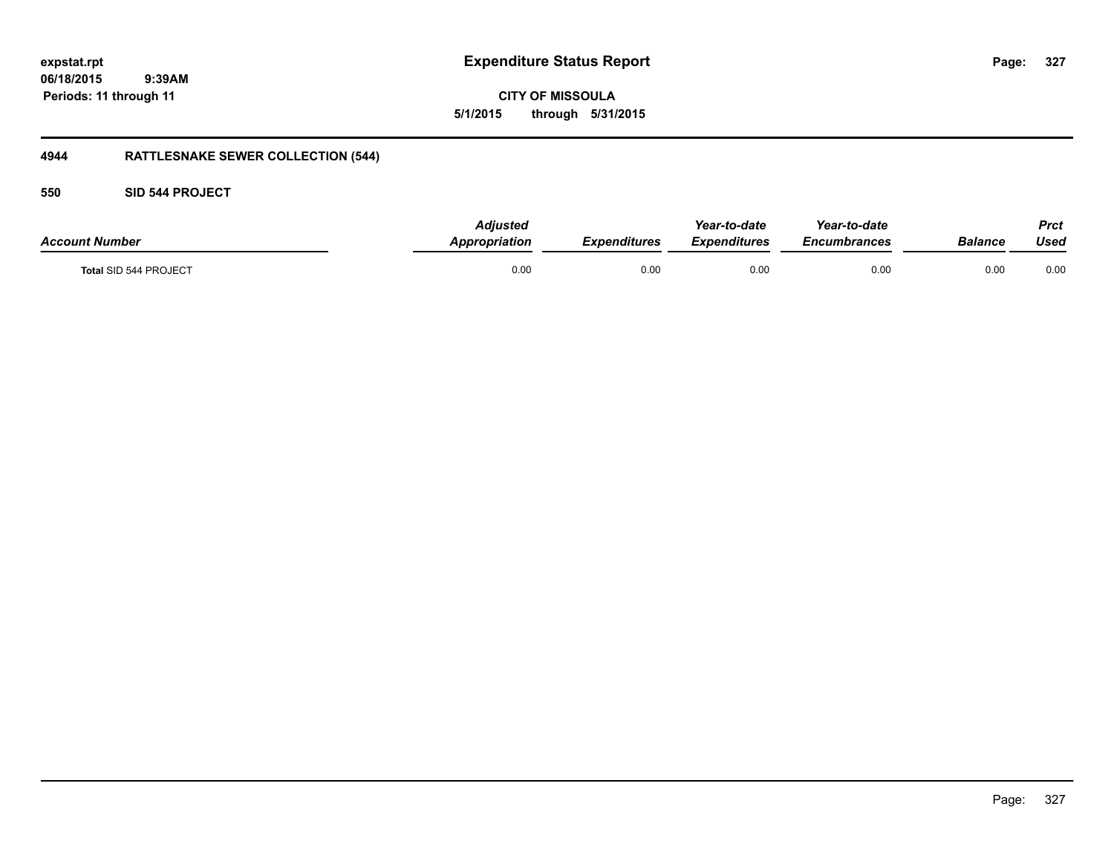**CITY OF MISSOULA 5/1/2015 through 5/31/2015**

# **4944 RATTLESNAKE SEWER COLLECTION (544)**

### **550 SID 544 PROJECT**

| <b>Account Number</b>        | Adiusted<br>Appropriation | Expenditures | Year-to-date<br><b>Expenditures</b> | Year-to-date<br>Encumbrances | <b>Balance</b> | Prct<br>Used |
|------------------------------|---------------------------|--------------|-------------------------------------|------------------------------|----------------|--------------|
| <b>Total SID 544 PROJECT</b> | 0.00                      | 0.00         | 0.00                                | 0.00                         | 0.00           | 0.00         |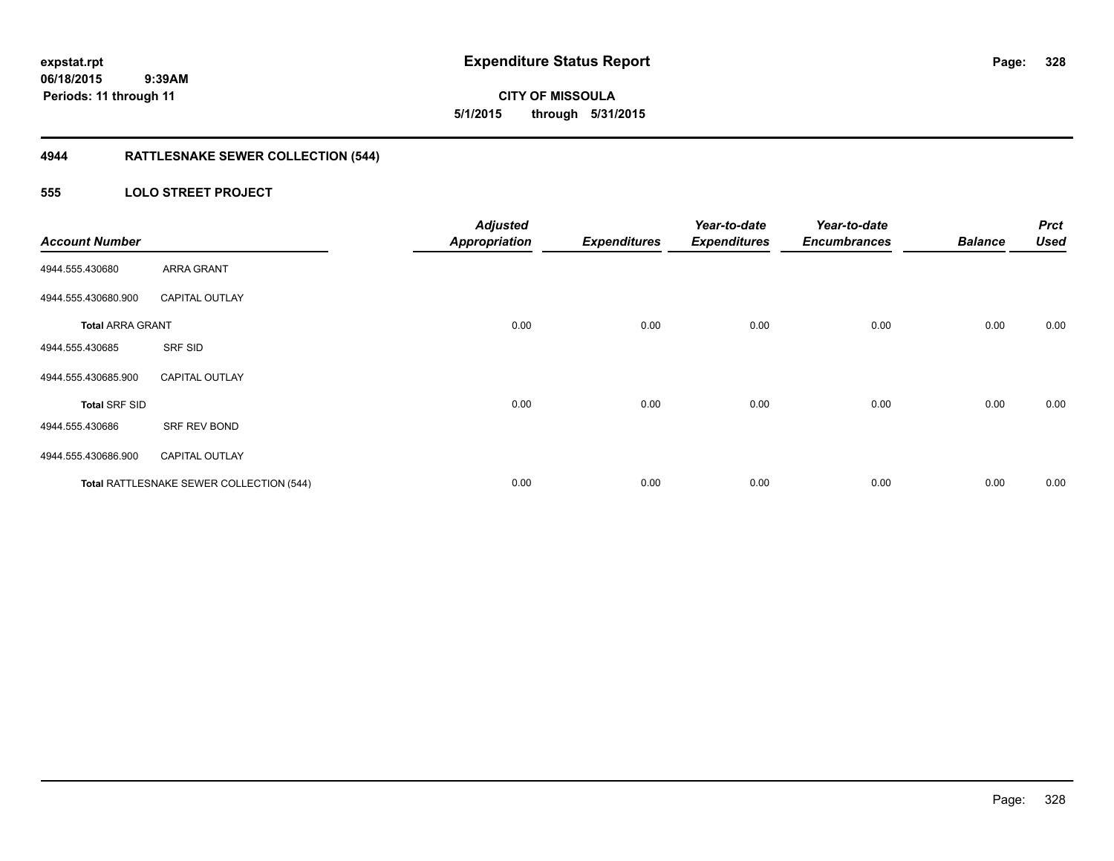**CITY OF MISSOULA 5/1/2015 through 5/31/2015**

# **4944 RATTLESNAKE SEWER COLLECTION (544)**

### **555 LOLO STREET PROJECT**

| <b>Account Number</b>   |                                          | <b>Adjusted</b><br><b>Appropriation</b> | <b>Expenditures</b> | Year-to-date<br><b>Expenditures</b> | Year-to-date<br><b>Encumbrances</b> | <b>Balance</b> | <b>Prct</b><br><b>Used</b> |
|-------------------------|------------------------------------------|-----------------------------------------|---------------------|-------------------------------------|-------------------------------------|----------------|----------------------------|
| 4944.555.430680         | ARRA GRANT                               |                                         |                     |                                     |                                     |                |                            |
| 4944.555.430680.900     | <b>CAPITAL OUTLAY</b>                    |                                         |                     |                                     |                                     |                |                            |
| <b>Total ARRA GRANT</b> |                                          | 0.00                                    | 0.00                | 0.00                                | 0.00                                | 0.00           | 0.00                       |
| 4944.555.430685         | SRF SID                                  |                                         |                     |                                     |                                     |                |                            |
| 4944.555.430685.900     | <b>CAPITAL OUTLAY</b>                    |                                         |                     |                                     |                                     |                |                            |
| <b>Total SRF SID</b>    |                                          | 0.00                                    | 0.00                | 0.00                                | 0.00                                | 0.00           | 0.00                       |
| 4944.555.430686         | SRF REV BOND                             |                                         |                     |                                     |                                     |                |                            |
| 4944.555.430686.900     | <b>CAPITAL OUTLAY</b>                    |                                         |                     |                                     |                                     |                |                            |
|                         | Total RATTLESNAKE SEWER COLLECTION (544) | 0.00                                    | 0.00                | 0.00                                | 0.00                                | 0.00           | 0.00                       |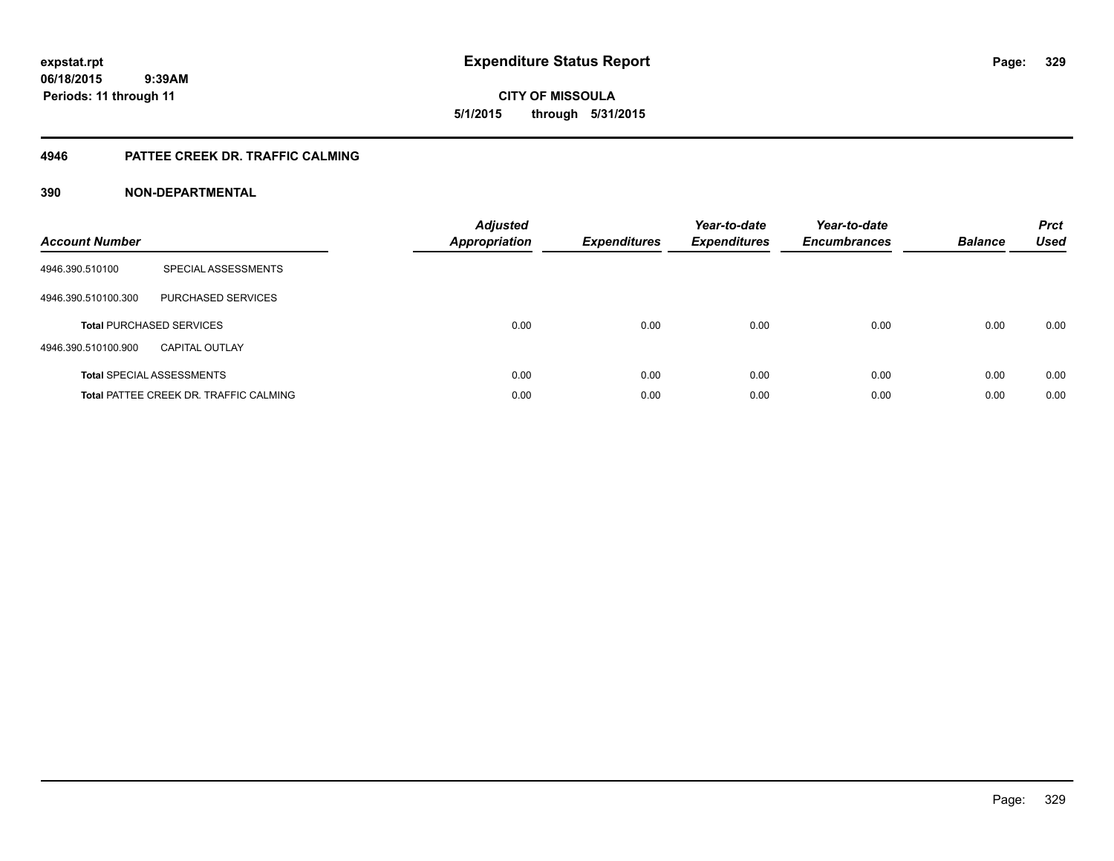**CITY OF MISSOULA 5/1/2015 through 5/31/2015**

### **4946 PATTEE CREEK DR. TRAFFIC CALMING**

| <b>Account Number</b> |                                               | <b>Adjusted</b><br><b>Appropriation</b> | <b>Expenditures</b> | Year-to-date<br><b>Expenditures</b> | Year-to-date<br><b>Encumbrances</b> | <b>Balance</b> | <b>Prct</b><br><b>Used</b> |
|-----------------------|-----------------------------------------------|-----------------------------------------|---------------------|-------------------------------------|-------------------------------------|----------------|----------------------------|
| 4946.390.510100       | SPECIAL ASSESSMENTS                           |                                         |                     |                                     |                                     |                |                            |
| 4946.390.510100.300   | <b>PURCHASED SERVICES</b>                     |                                         |                     |                                     |                                     |                |                            |
|                       | <b>Total PURCHASED SERVICES</b>               | 0.00                                    | 0.00                | 0.00                                | 0.00                                | 0.00           | 0.00                       |
| 4946.390.510100.900   | CAPITAL OUTLAY                                |                                         |                     |                                     |                                     |                |                            |
|                       | <b>Total SPECIAL ASSESSMENTS</b>              | 0.00                                    | 0.00                | 0.00                                | 0.00                                | 0.00           | 0.00                       |
|                       | <b>Total PATTEE CREEK DR. TRAFFIC CALMING</b> | 0.00                                    | 0.00                | 0.00                                | 0.00                                | 0.00           | 0.00                       |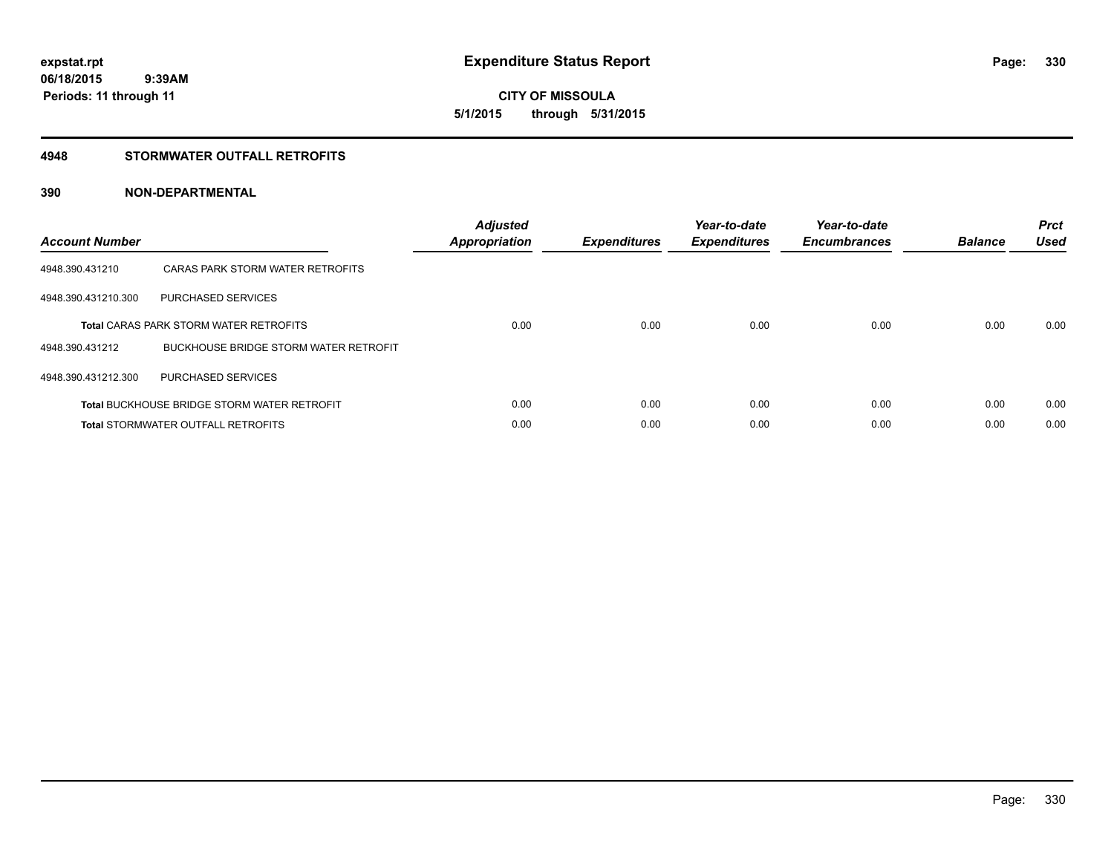**CITY OF MISSOULA 5/1/2015 through 5/31/2015**

### **4948 STORMWATER OUTFALL RETROFITS**

| <b>Account Number</b> |                                                    | <b>Adjusted</b><br>Appropriation | <b>Expenditures</b> | Year-to-date<br><b>Expenditures</b> | Year-to-date<br><b>Encumbrances</b> | <b>Balance</b> | <b>Prct</b><br><b>Used</b> |
|-----------------------|----------------------------------------------------|----------------------------------|---------------------|-------------------------------------|-------------------------------------|----------------|----------------------------|
| 4948.390.431210       | CARAS PARK STORM WATER RETROFITS                   |                                  |                     |                                     |                                     |                |                            |
| 4948.390.431210.300   | PURCHASED SERVICES                                 |                                  |                     |                                     |                                     |                |                            |
|                       | <b>Total CARAS PARK STORM WATER RETROFITS</b>      | 0.00                             | 0.00                | 0.00                                | 0.00                                | 0.00           | 0.00                       |
| 4948.390.431212       | BUCKHOUSE BRIDGE STORM WATER RETROFIT              |                                  |                     |                                     |                                     |                |                            |
| 4948.390.431212.300   | PURCHASED SERVICES                                 |                                  |                     |                                     |                                     |                |                            |
|                       | <b>Total BUCKHOUSE BRIDGE STORM WATER RETROFIT</b> | 0.00                             | 0.00                | 0.00                                | 0.00                                | 0.00           | 0.00                       |
|                       | <b>Total STORMWATER OUTFALL RETROFITS</b>          | 0.00                             | 0.00                | 0.00                                | 0.00                                | 0.00           | 0.00                       |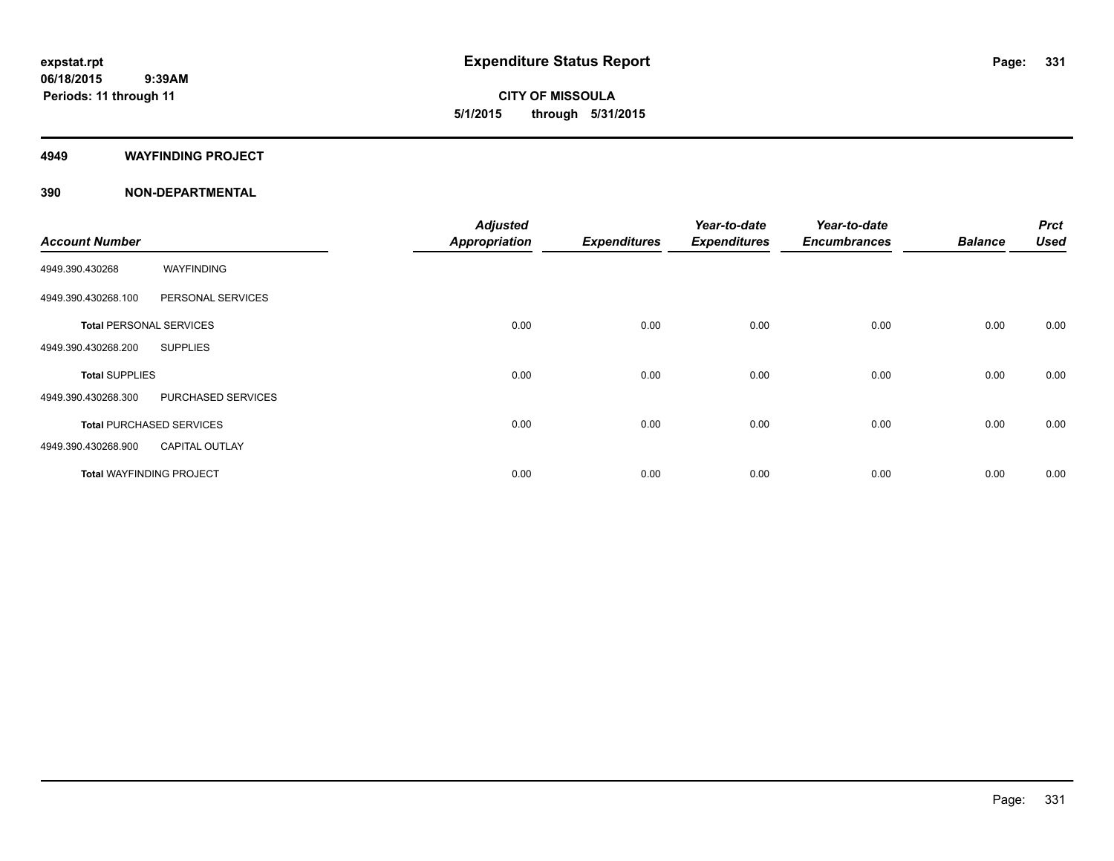**CITY OF MISSOULA 5/1/2015 through 5/31/2015**

#### **4949 WAYFINDING PROJECT**

| <b>Account Number</b>                        | <b>Adjusted</b><br><b>Appropriation</b> | <b>Expenditures</b> | Year-to-date<br><b>Expenditures</b> | Year-to-date<br><b>Encumbrances</b> | <b>Balance</b> | <b>Prct</b><br><b>Used</b> |
|----------------------------------------------|-----------------------------------------|---------------------|-------------------------------------|-------------------------------------|----------------|----------------------------|
| WAYFINDING<br>4949.390.430268                |                                         |                     |                                     |                                     |                |                            |
| PERSONAL SERVICES<br>4949.390.430268.100     |                                         |                     |                                     |                                     |                |                            |
| <b>Total PERSONAL SERVICES</b>               | 0.00                                    | 0.00                | 0.00                                | 0.00                                | 0.00           | 0.00                       |
| 4949.390.430268.200<br><b>SUPPLIES</b>       |                                         |                     |                                     |                                     |                |                            |
| <b>Total SUPPLIES</b>                        | 0.00                                    | 0.00                | 0.00                                | 0.00                                | 0.00           | 0.00                       |
| 4949.390.430268.300<br>PURCHASED SERVICES    |                                         |                     |                                     |                                     |                |                            |
| <b>Total PURCHASED SERVICES</b>              | 0.00                                    | 0.00                | 0.00                                | 0.00                                | 0.00           | 0.00                       |
| 4949.390.430268.900<br><b>CAPITAL OUTLAY</b> |                                         |                     |                                     |                                     |                |                            |
| <b>Total WAYFINDING PROJECT</b>              | 0.00                                    | 0.00                | 0.00                                | 0.00                                | 0.00           | 0.00                       |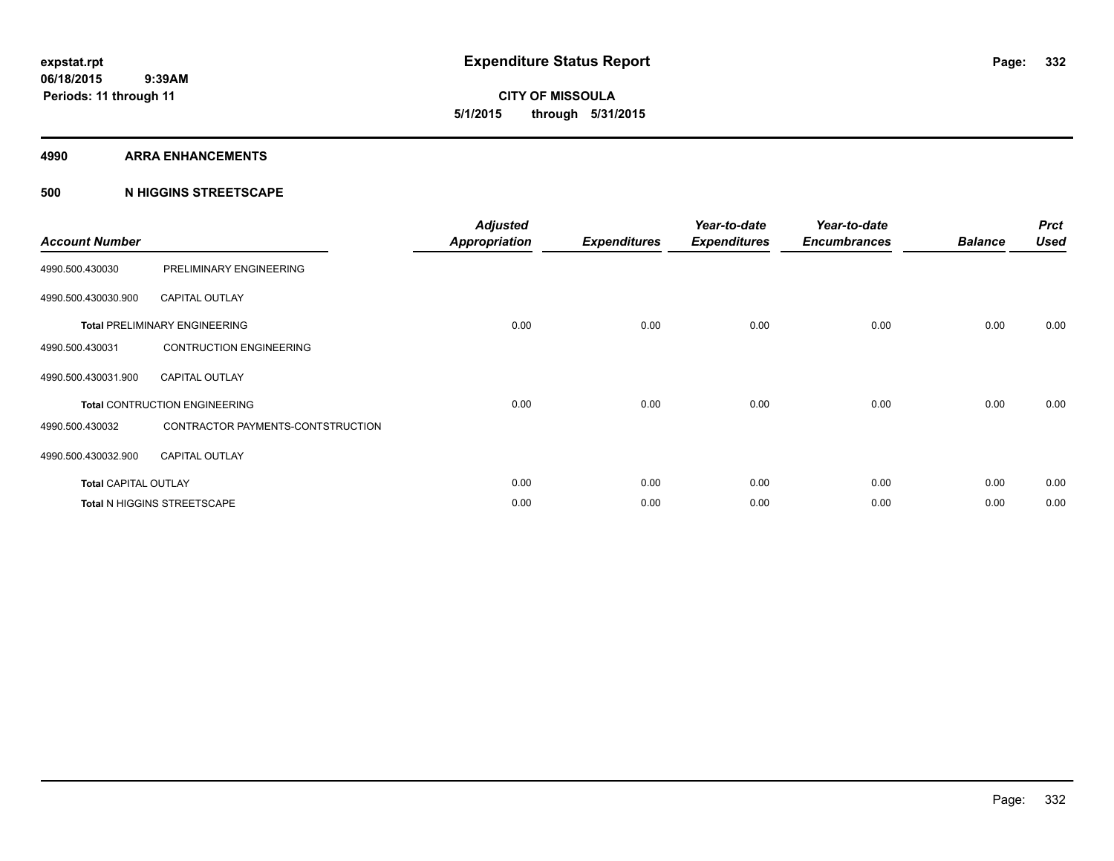**CITY OF MISSOULA 5/1/2015 through 5/31/2015**

#### **4990 ARRA ENHANCEMENTS**

### **500 N HIGGINS STREETSCAPE**

| <b>Account Number</b>       |                                      | <b>Adjusted</b><br><b>Appropriation</b> | <b>Expenditures</b> | Year-to-date<br><b>Expenditures</b> | Year-to-date<br><b>Encumbrances</b> | <b>Balance</b> | <b>Prct</b><br><b>Used</b> |
|-----------------------------|--------------------------------------|-----------------------------------------|---------------------|-------------------------------------|-------------------------------------|----------------|----------------------------|
| 4990.500.430030             | PRELIMINARY ENGINEERING              |                                         |                     |                                     |                                     |                |                            |
| 4990.500.430030.900         | <b>CAPITAL OUTLAY</b>                |                                         |                     |                                     |                                     |                |                            |
|                             | <b>Total PRELIMINARY ENGINEERING</b> | 0.00                                    | 0.00                | 0.00                                | 0.00                                | 0.00           | 0.00                       |
| 4990.500.430031             | <b>CONTRUCTION ENGINEERING</b>       |                                         |                     |                                     |                                     |                |                            |
| 4990.500.430031.900         | <b>CAPITAL OUTLAY</b>                |                                         |                     |                                     |                                     |                |                            |
|                             | <b>Total CONTRUCTION ENGINEERING</b> | 0.00                                    | 0.00                | 0.00                                | 0.00                                | 0.00           | 0.00                       |
| 4990.500.430032             | CONTRACTOR PAYMENTS-CONTSTRUCTION    |                                         |                     |                                     |                                     |                |                            |
| 4990.500.430032.900         | <b>CAPITAL OUTLAY</b>                |                                         |                     |                                     |                                     |                |                            |
| <b>Total CAPITAL OUTLAY</b> |                                      | 0.00                                    | 0.00                | 0.00                                | 0.00                                | 0.00           | 0.00                       |
|                             | Total N HIGGINS STREETSCAPE          | 0.00                                    | 0.00                | 0.00                                | 0.00                                | 0.00           | 0.00                       |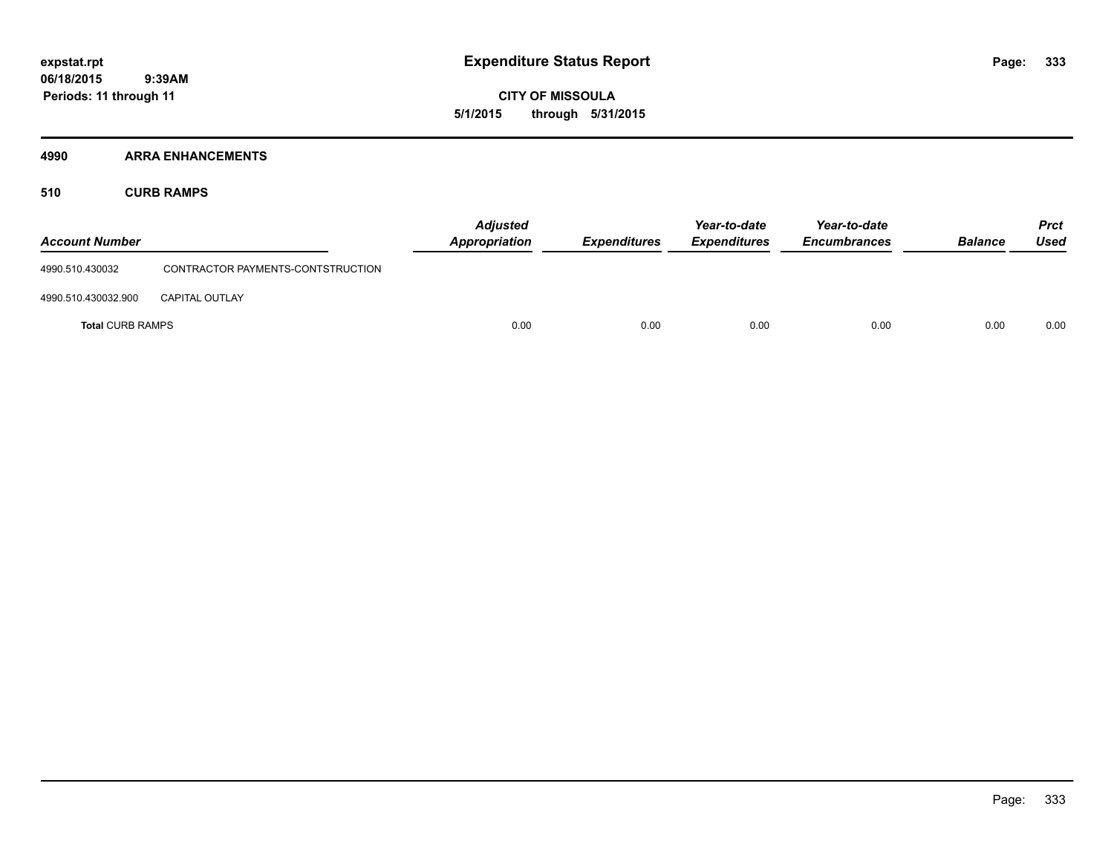**CITY OF MISSOULA 5/1/2015 through 5/31/2015**

### **4990 ARRA ENHANCEMENTS**

**510 CURB RAMPS**

| <b>Account Number</b>   |                                   | <b>Adjusted</b><br><b>Appropriation</b> | <b>Expenditures</b> | Year-to-date<br><b>Expenditures</b> | Year-to-date<br><b>Encumbrances</b> | <b>Balance</b> | <b>Prct</b><br><b>Used</b> |
|-------------------------|-----------------------------------|-----------------------------------------|---------------------|-------------------------------------|-------------------------------------|----------------|----------------------------|
| 4990.510.430032         | CONTRACTOR PAYMENTS-CONTSTRUCTION |                                         |                     |                                     |                                     |                |                            |
| 4990.510.430032.900     | <b>CAPITAL OUTLAY</b>             |                                         |                     |                                     |                                     |                |                            |
| <b>Total CURB RAMPS</b> |                                   | 0.00                                    | 0.00                | 0.00                                | 0.00                                | 0.00           | 0.00                       |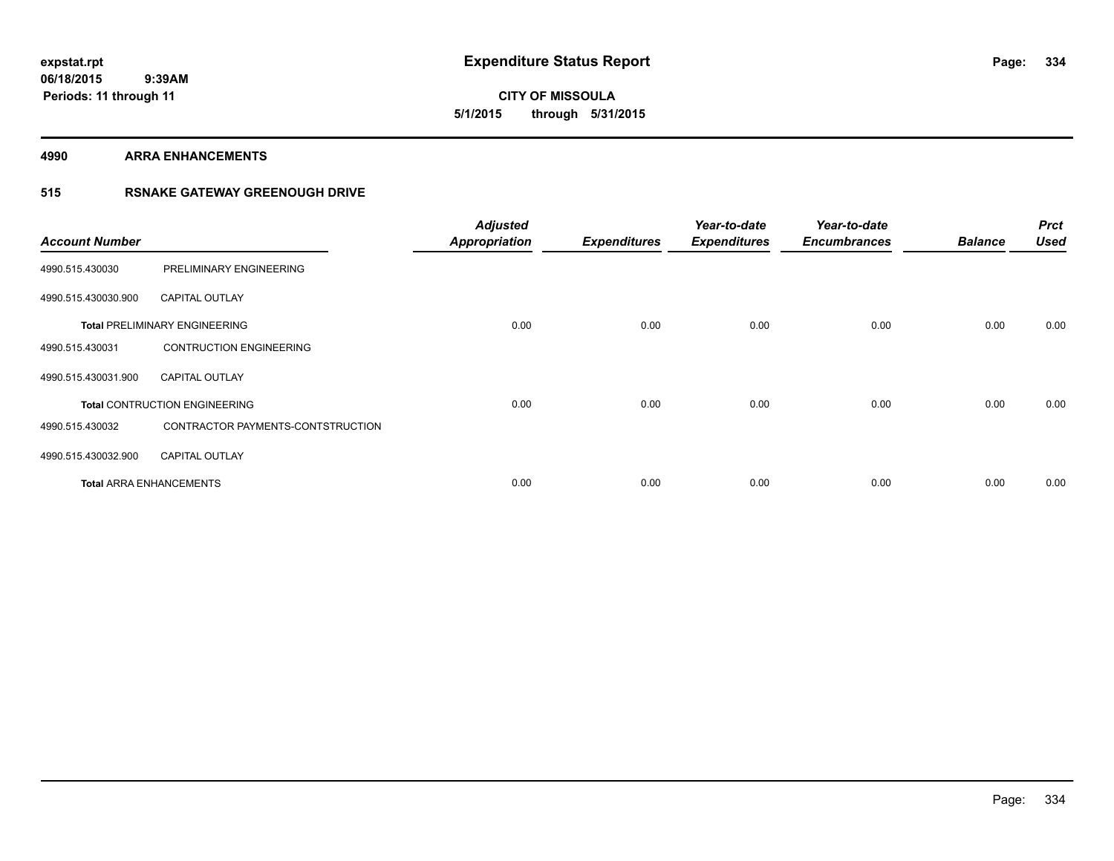**CITY OF MISSOULA 5/1/2015 through 5/31/2015**

**4990 ARRA ENHANCEMENTS**

### **515 RSNAKE GATEWAY GREENOUGH DRIVE**

| <b>Account Number</b> |                                      | <b>Adjusted</b><br><b>Appropriation</b> | <b>Expenditures</b> | Year-to-date<br><b>Expenditures</b> | Year-to-date<br><b>Encumbrances</b> | <b>Balance</b> | <b>Prct</b><br><b>Used</b> |
|-----------------------|--------------------------------------|-----------------------------------------|---------------------|-------------------------------------|-------------------------------------|----------------|----------------------------|
| 4990.515.430030       | PRELIMINARY ENGINEERING              |                                         |                     |                                     |                                     |                |                            |
| 4990.515.430030.900   | <b>CAPITAL OUTLAY</b>                |                                         |                     |                                     |                                     |                |                            |
|                       | <b>Total PRELIMINARY ENGINEERING</b> | 0.00                                    | 0.00                | 0.00                                | 0.00                                | 0.00           | 0.00                       |
| 4990.515.430031       | <b>CONTRUCTION ENGINEERING</b>       |                                         |                     |                                     |                                     |                |                            |
| 4990.515.430031.900   | <b>CAPITAL OUTLAY</b>                |                                         |                     |                                     |                                     |                |                            |
|                       | <b>Total CONTRUCTION ENGINEERING</b> | 0.00                                    | 0.00                | 0.00                                | 0.00                                | 0.00           | 0.00                       |
| 4990.515.430032       | CONTRACTOR PAYMENTS-CONTSTRUCTION    |                                         |                     |                                     |                                     |                |                            |
| 4990.515.430032.900   | <b>CAPITAL OUTLAY</b>                |                                         |                     |                                     |                                     |                |                            |
|                       | <b>Total ARRA ENHANCEMENTS</b>       | 0.00                                    | 0.00                | 0.00                                | 0.00                                | 0.00           | 0.00                       |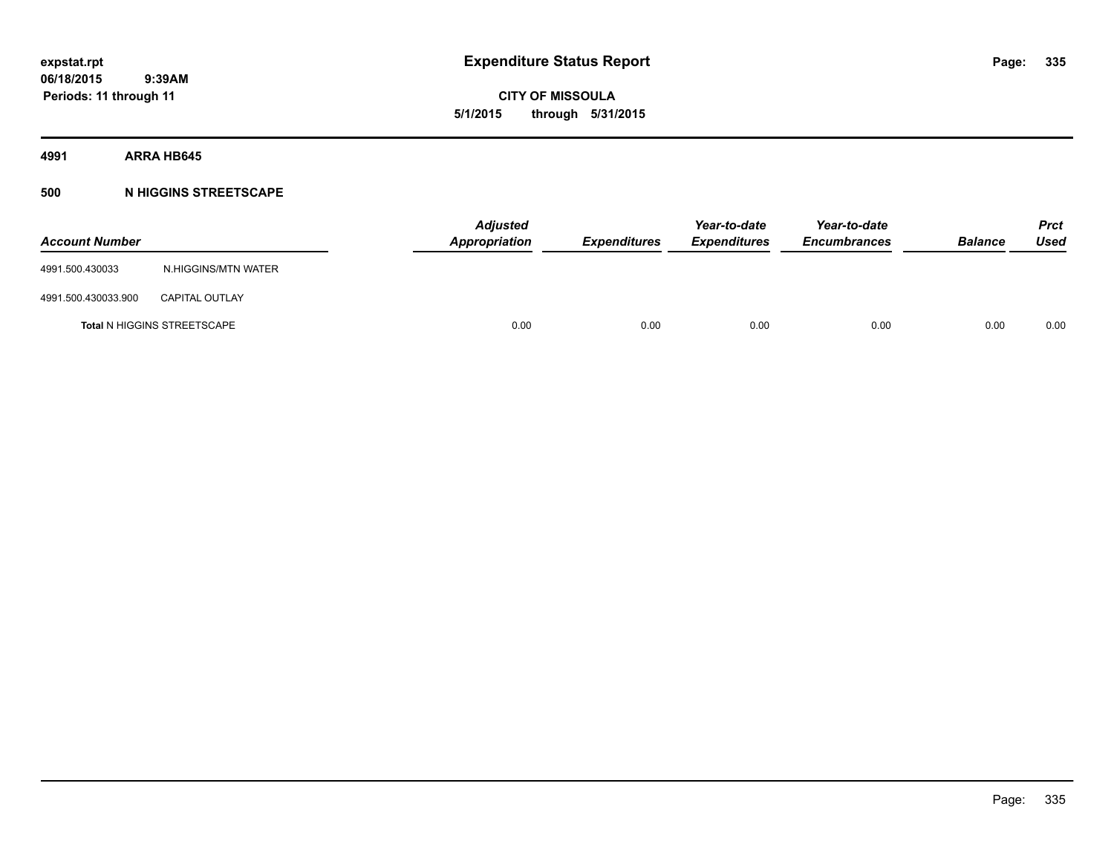**CITY OF MISSOULA 5/1/2015 through 5/31/2015**

**4991 ARRA HB645**

### **500 N HIGGINS STREETSCAPE**

| <b>Account Number</b> |                                    | <b>Adjusted</b><br>Appropriation | Expenditures | Year-to-date<br><b>Expenditures</b> | Year-to-date<br><b>Encumbrances</b> | <b>Balance</b> | <b>Prct</b><br>Used |
|-----------------------|------------------------------------|----------------------------------|--------------|-------------------------------------|-------------------------------------|----------------|---------------------|
| 4991.500.430033       | N.HIGGINS/MTN WATER                |                                  |              |                                     |                                     |                |                     |
| 4991.500.430033.900   | <b>CAPITAL OUTLAY</b>              |                                  |              |                                     |                                     |                |                     |
|                       | <b>Total N HIGGINS STREETSCAPE</b> | 0.00                             | 0.00         | 0.00                                | 0.00                                | 0.00           | 0.00                |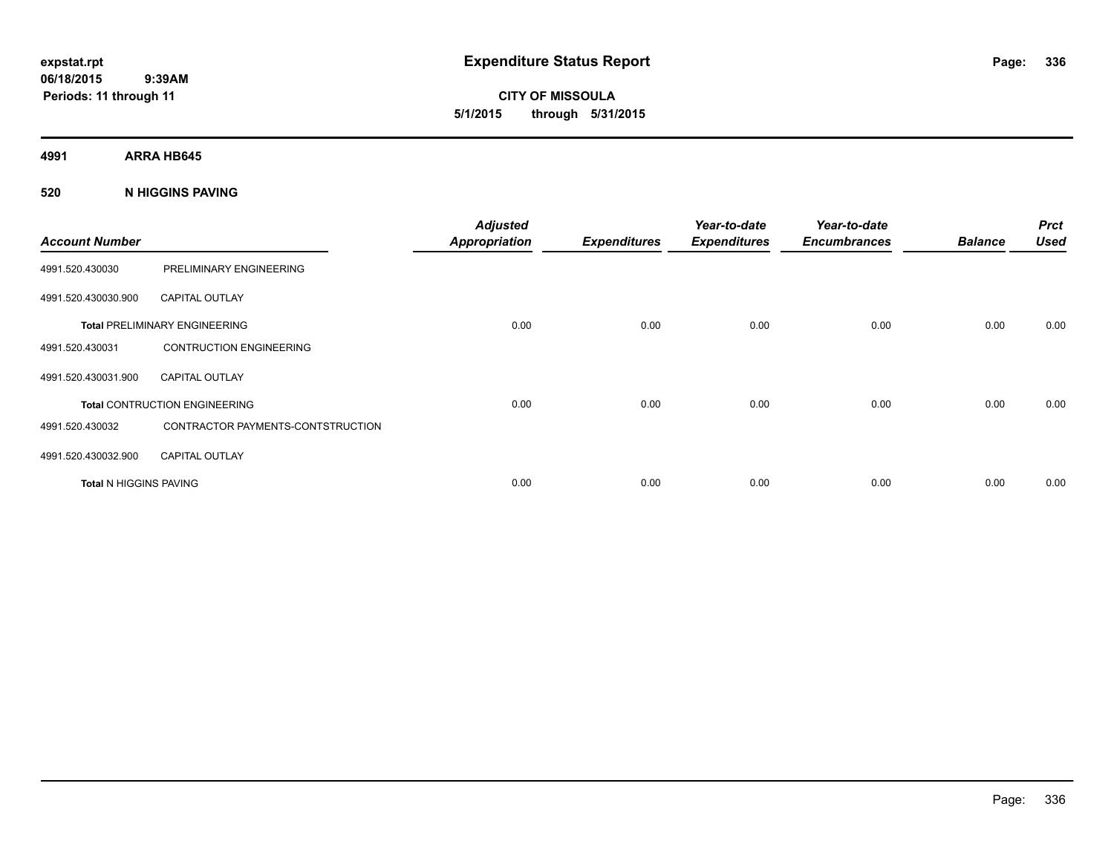**CITY OF MISSOULA 5/1/2015 through 5/31/2015**

**4991 ARRA HB645**

**520 N HIGGINS PAVING**

| <b>Account Number</b>         |                                      | <b>Adjusted</b><br><b>Appropriation</b> | <b>Expenditures</b> | Year-to-date<br><b>Expenditures</b> | Year-to-date<br><b>Encumbrances</b> | <b>Balance</b> | <b>Prct</b><br><b>Used</b> |
|-------------------------------|--------------------------------------|-----------------------------------------|---------------------|-------------------------------------|-------------------------------------|----------------|----------------------------|
| 4991.520.430030               | PRELIMINARY ENGINEERING              |                                         |                     |                                     |                                     |                |                            |
| 4991.520.430030.900           | <b>CAPITAL OUTLAY</b>                |                                         |                     |                                     |                                     |                |                            |
|                               | <b>Total PRELIMINARY ENGINEERING</b> | 0.00                                    | 0.00                | 0.00                                | 0.00                                | 0.00           | 0.00                       |
| 4991.520.430031               | <b>CONTRUCTION ENGINEERING</b>       |                                         |                     |                                     |                                     |                |                            |
| 4991.520.430031.900           | <b>CAPITAL OUTLAY</b>                |                                         |                     |                                     |                                     |                |                            |
|                               | <b>Total CONTRUCTION ENGINEERING</b> | 0.00                                    | 0.00                | 0.00                                | 0.00                                | 0.00           | 0.00                       |
| 4991.520.430032               | CONTRACTOR PAYMENTS-CONTSTRUCTION    |                                         |                     |                                     |                                     |                |                            |
| 4991.520.430032.900           | <b>CAPITAL OUTLAY</b>                |                                         |                     |                                     |                                     |                |                            |
| <b>Total N HIGGINS PAVING</b> |                                      | 0.00                                    | 0.00                | 0.00                                | 0.00                                | 0.00           | 0.00                       |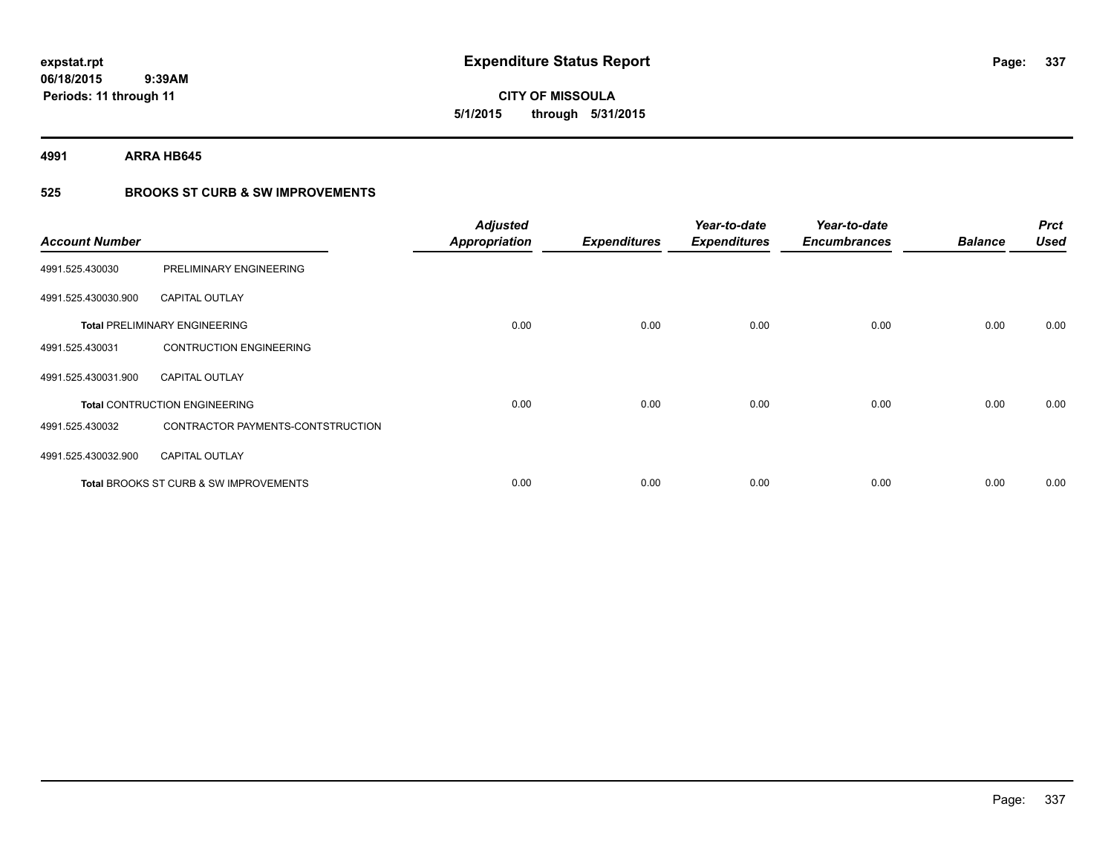**337**

**06/18/2015 9:39AM Periods: 11 through 11**

# **CITY OF MISSOULA 5/1/2015 through 5/31/2015**

**4991 ARRA HB645**

### **525 BROOKS ST CURB & SW IMPROVEMENTS**

| <b>Account Number</b> |                                                   | <b>Adjusted</b><br><b>Appropriation</b> | <b>Expenditures</b> | Year-to-date<br><b>Expenditures</b> | Year-to-date<br><b>Encumbrances</b> | <b>Balance</b> | <b>Prct</b><br><b>Used</b> |
|-----------------------|---------------------------------------------------|-----------------------------------------|---------------------|-------------------------------------|-------------------------------------|----------------|----------------------------|
| 4991.525.430030       | PRELIMINARY ENGINEERING                           |                                         |                     |                                     |                                     |                |                            |
| 4991.525.430030.900   | <b>CAPITAL OUTLAY</b>                             |                                         |                     |                                     |                                     |                |                            |
|                       | <b>Total PRELIMINARY ENGINEERING</b>              | 0.00                                    | 0.00                | 0.00                                | 0.00                                | 0.00           | 0.00                       |
| 4991.525.430031       | <b>CONTRUCTION ENGINEERING</b>                    |                                         |                     |                                     |                                     |                |                            |
| 4991.525.430031.900   | <b>CAPITAL OUTLAY</b>                             |                                         |                     |                                     |                                     |                |                            |
|                       | <b>Total CONTRUCTION ENGINEERING</b>              | 0.00                                    | 0.00                | 0.00                                | 0.00                                | 0.00           | 0.00                       |
| 4991.525.430032       | CONTRACTOR PAYMENTS-CONTSTRUCTION                 |                                         |                     |                                     |                                     |                |                            |
| 4991.525.430032.900   | <b>CAPITAL OUTLAY</b>                             |                                         |                     |                                     |                                     |                |                            |
|                       | <b>Total BROOKS ST CURB &amp; SW IMPROVEMENTS</b> | 0.00                                    | 0.00                | 0.00                                | 0.00                                | 0.00           | 0.00                       |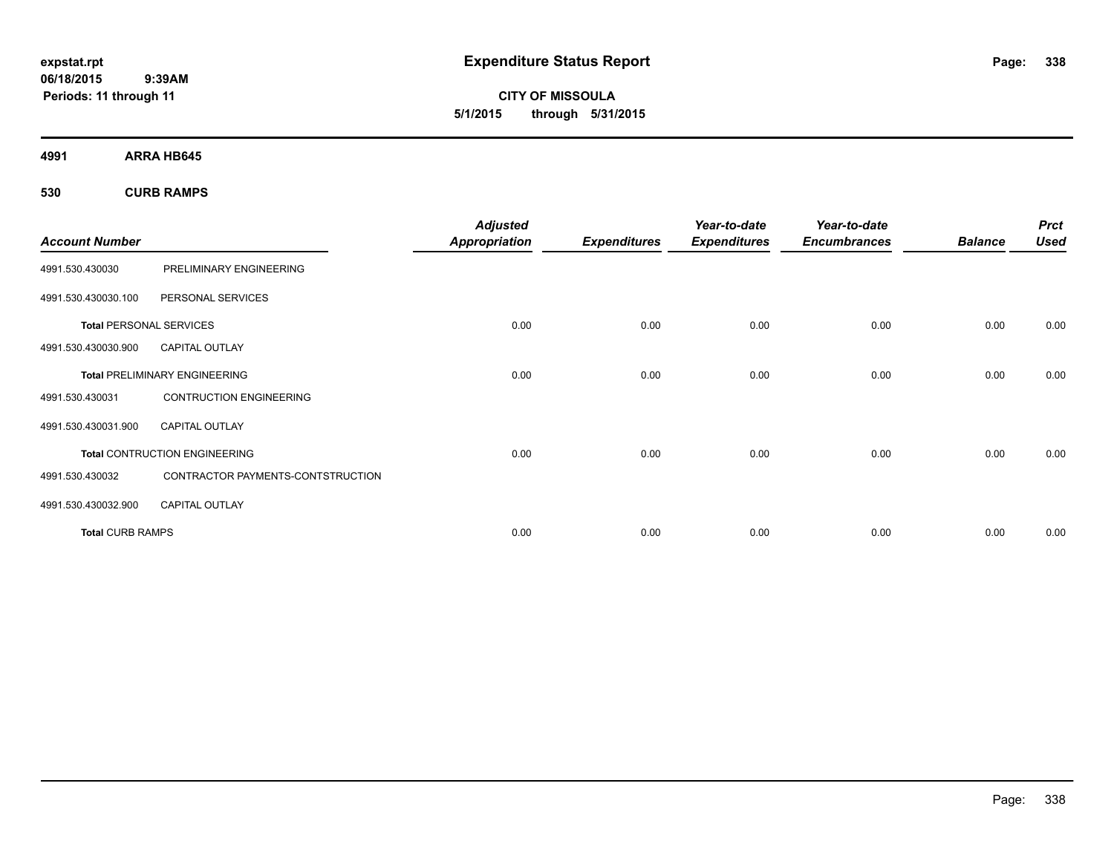**CITY OF MISSOULA 5/1/2015 through 5/31/2015**

**4991 ARRA HB645**

**530 CURB RAMPS**

| <b>Account Number</b>          |                                      | <b>Adjusted</b><br><b>Appropriation</b> | <b>Expenditures</b> | Year-to-date<br><b>Expenditures</b> | Year-to-date<br><b>Encumbrances</b> | <b>Balance</b> | <b>Prct</b><br><b>Used</b> |
|--------------------------------|--------------------------------------|-----------------------------------------|---------------------|-------------------------------------|-------------------------------------|----------------|----------------------------|
| 4991.530.430030                | PRELIMINARY ENGINEERING              |                                         |                     |                                     |                                     |                |                            |
| 4991.530.430030.100            | PERSONAL SERVICES                    |                                         |                     |                                     |                                     |                |                            |
| <b>Total PERSONAL SERVICES</b> |                                      | 0.00                                    | 0.00                | 0.00                                | 0.00                                | 0.00           | 0.00                       |
| 4991.530.430030.900            | <b>CAPITAL OUTLAY</b>                |                                         |                     |                                     |                                     |                |                            |
|                                | <b>Total PRELIMINARY ENGINEERING</b> | 0.00                                    | 0.00                | 0.00                                | 0.00                                | 0.00           | 0.00                       |
| 4991.530.430031                | <b>CONTRUCTION ENGINEERING</b>       |                                         |                     |                                     |                                     |                |                            |
| 4991.530.430031.900            | <b>CAPITAL OUTLAY</b>                |                                         |                     |                                     |                                     |                |                            |
|                                | Total CONTRUCTION ENGINEERING        | 0.00                                    | 0.00                | 0.00                                | 0.00                                | 0.00           | 0.00                       |
| 4991.530.430032                | CONTRACTOR PAYMENTS-CONTSTRUCTION    |                                         |                     |                                     |                                     |                |                            |
| 4991.530.430032.900            | <b>CAPITAL OUTLAY</b>                |                                         |                     |                                     |                                     |                |                            |
| <b>Total CURB RAMPS</b>        |                                      | 0.00                                    | 0.00                | 0.00                                | 0.00                                | 0.00           | 0.00                       |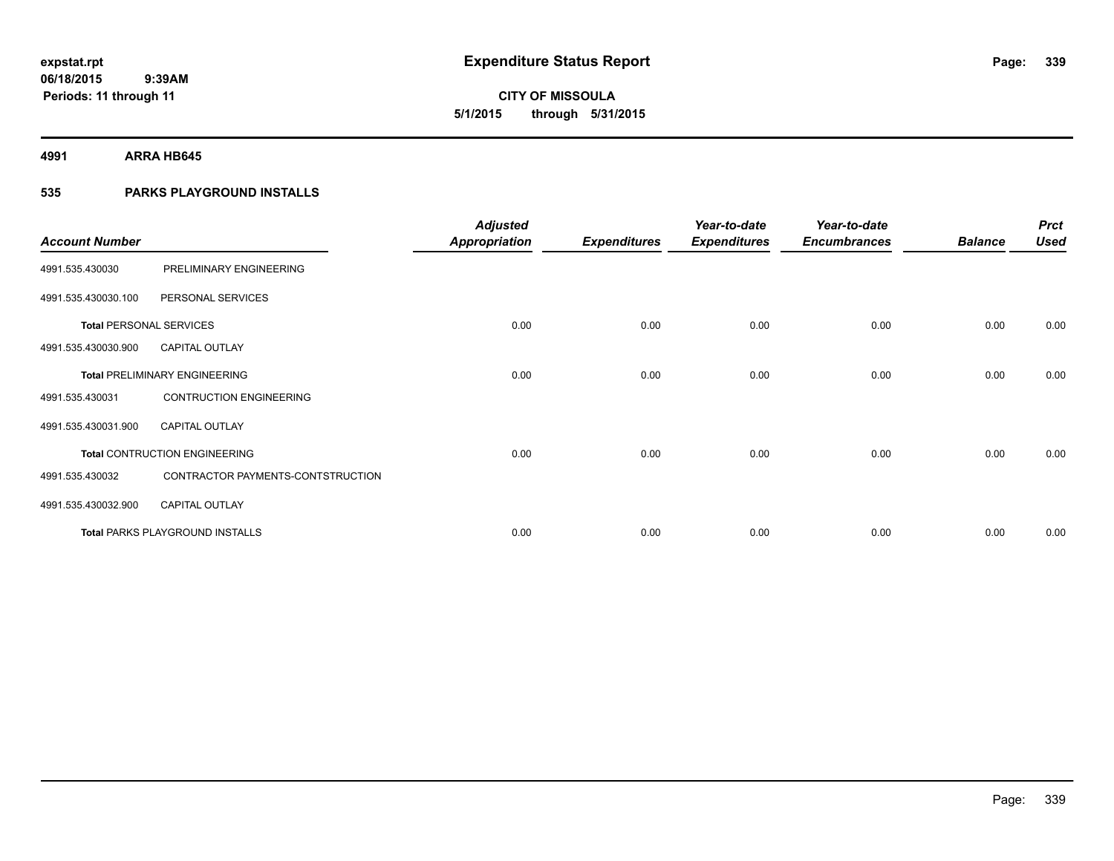**339**

**06/18/2015 9:39AM Periods: 11 through 11**

# **CITY OF MISSOULA 5/1/2015 through 5/31/2015**

**4991 ARRA HB645**

### **535 PARKS PLAYGROUND INSTALLS**

| <b>Account Number</b>          |                                        | <b>Adjusted</b><br><b>Appropriation</b> | <b>Expenditures</b> | Year-to-date<br><b>Expenditures</b> | Year-to-date<br><b>Encumbrances</b> | <b>Balance</b> | <b>Prct</b><br><b>Used</b> |
|--------------------------------|----------------------------------------|-----------------------------------------|---------------------|-------------------------------------|-------------------------------------|----------------|----------------------------|
| 4991.535.430030                | PRELIMINARY ENGINEERING                |                                         |                     |                                     |                                     |                |                            |
| 4991.535.430030.100            | PERSONAL SERVICES                      |                                         |                     |                                     |                                     |                |                            |
| <b>Total PERSONAL SERVICES</b> |                                        | 0.00                                    | 0.00                | 0.00                                | 0.00                                | 0.00           | 0.00                       |
| 4991.535.430030.900            | <b>CAPITAL OUTLAY</b>                  |                                         |                     |                                     |                                     |                |                            |
|                                | <b>Total PRELIMINARY ENGINEERING</b>   | 0.00                                    | 0.00                | 0.00                                | 0.00                                | 0.00           | 0.00                       |
| 4991.535.430031                | <b>CONTRUCTION ENGINEERING</b>         |                                         |                     |                                     |                                     |                |                            |
| 4991.535.430031.900            | <b>CAPITAL OUTLAY</b>                  |                                         |                     |                                     |                                     |                |                            |
|                                | <b>Total CONTRUCTION ENGINEERING</b>   | 0.00                                    | 0.00                | 0.00                                | 0.00                                | 0.00           | 0.00                       |
| 4991.535.430032                | CONTRACTOR PAYMENTS-CONTSTRUCTION      |                                         |                     |                                     |                                     |                |                            |
| 4991.535.430032.900            | <b>CAPITAL OUTLAY</b>                  |                                         |                     |                                     |                                     |                |                            |
|                                | <b>Total PARKS PLAYGROUND INSTALLS</b> | 0.00                                    | 0.00                | 0.00                                | 0.00                                | 0.00           | 0.00                       |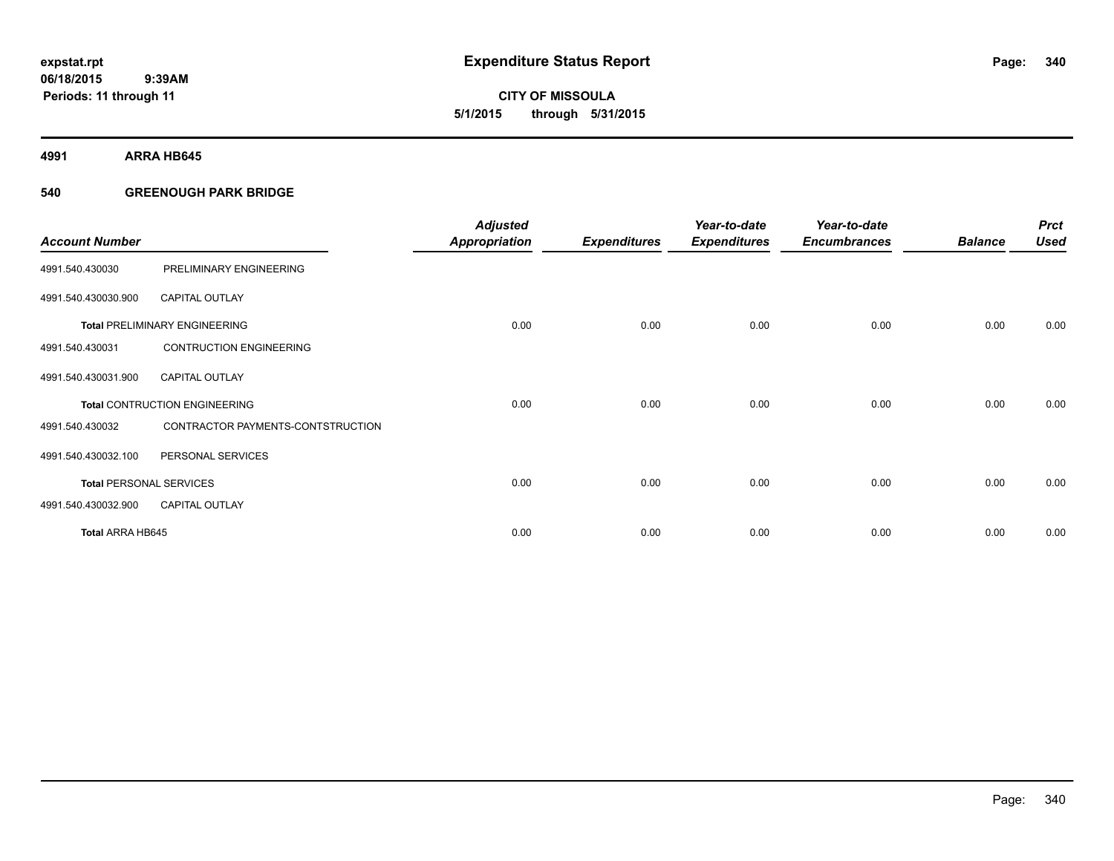**4991 ARRA HB645**

### **540 GREENOUGH PARK BRIDGE**

| <b>Account Number</b>   |                                      | <b>Adjusted</b><br><b>Appropriation</b> | <b>Expenditures</b> | Year-to-date<br><b>Expenditures</b> | Year-to-date<br><b>Encumbrances</b> | <b>Balance</b> | <b>Prct</b><br><b>Used</b> |
|-------------------------|--------------------------------------|-----------------------------------------|---------------------|-------------------------------------|-------------------------------------|----------------|----------------------------|
| 4991.540.430030         | PRELIMINARY ENGINEERING              |                                         |                     |                                     |                                     |                |                            |
| 4991.540.430030.900     | <b>CAPITAL OUTLAY</b>                |                                         |                     |                                     |                                     |                |                            |
|                         | <b>Total PRELIMINARY ENGINEERING</b> | 0.00                                    | 0.00                | 0.00                                | 0.00                                | 0.00           | 0.00                       |
| 4991.540.430031         | <b>CONTRUCTION ENGINEERING</b>       |                                         |                     |                                     |                                     |                |                            |
| 4991.540.430031.900     | <b>CAPITAL OUTLAY</b>                |                                         |                     |                                     |                                     |                |                            |
|                         | <b>Total CONTRUCTION ENGINEERING</b> | 0.00                                    | 0.00                | 0.00                                | 0.00                                | 0.00           | 0.00                       |
| 4991.540.430032         | CONTRACTOR PAYMENTS-CONTSTRUCTION    |                                         |                     |                                     |                                     |                |                            |
| 4991.540.430032.100     | PERSONAL SERVICES                    |                                         |                     |                                     |                                     |                |                            |
|                         | <b>Total PERSONAL SERVICES</b>       | 0.00                                    | 0.00                | 0.00                                | 0.00                                | 0.00           | 0.00                       |
| 4991.540.430032.900     | <b>CAPITAL OUTLAY</b>                |                                         |                     |                                     |                                     |                |                            |
| <b>Total ARRA HB645</b> |                                      | 0.00                                    | 0.00                | 0.00                                | 0.00                                | 0.00           | 0.00                       |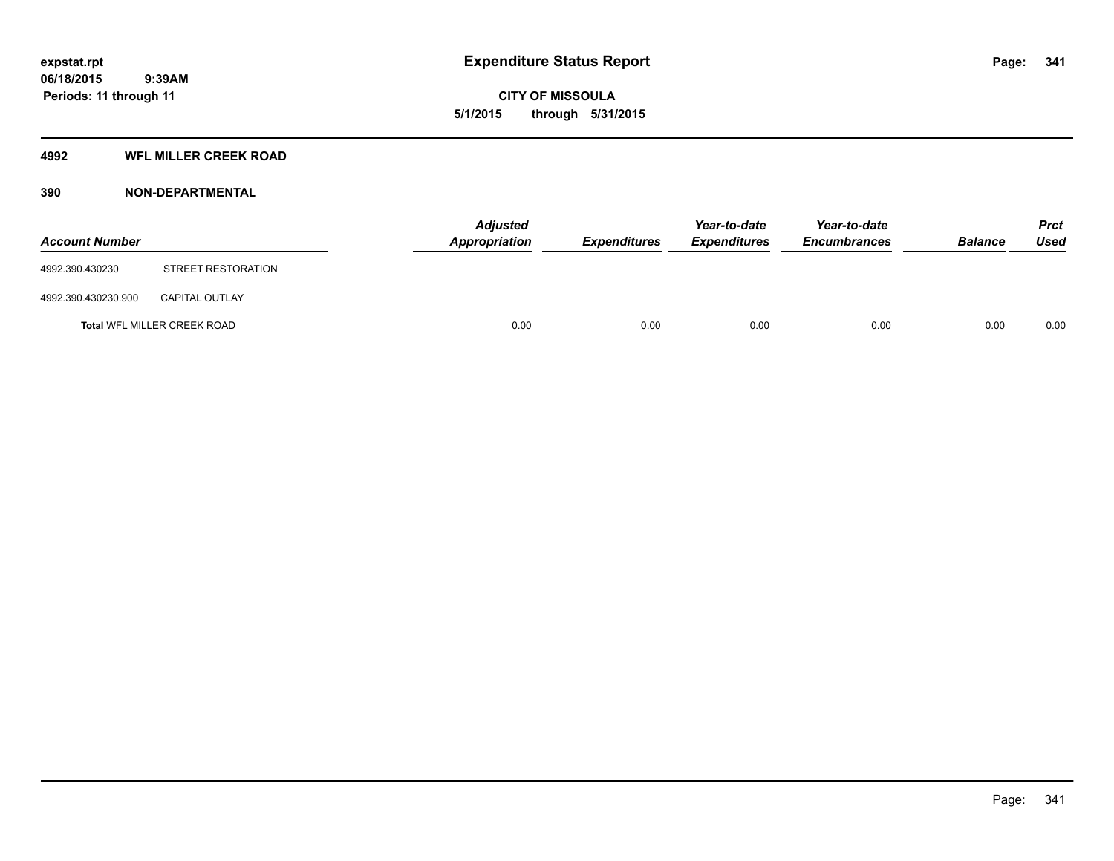### **4992 WFL MILLER CREEK ROAD**

| <b>Account Number</b> |                             | <b>Adjusted</b><br>Appropriation | <b>Expenditures</b> | Year-to-date<br><b>Expenditures</b> | Year-to-date<br><b>Encumbrances</b> | <b>Balance</b> | <b>Prct</b><br>Used |
|-----------------------|-----------------------------|----------------------------------|---------------------|-------------------------------------|-------------------------------------|----------------|---------------------|
| 4992.390.430230       | STREET RESTORATION          |                                  |                     |                                     |                                     |                |                     |
| 4992.390.430230.900   | <b>CAPITAL OUTLAY</b>       |                                  |                     |                                     |                                     |                |                     |
|                       | Total WFL MILLER CREEK ROAD | 0.00                             | 0.00                | 0.00                                | 0.00                                | 0.00           | 0.00                |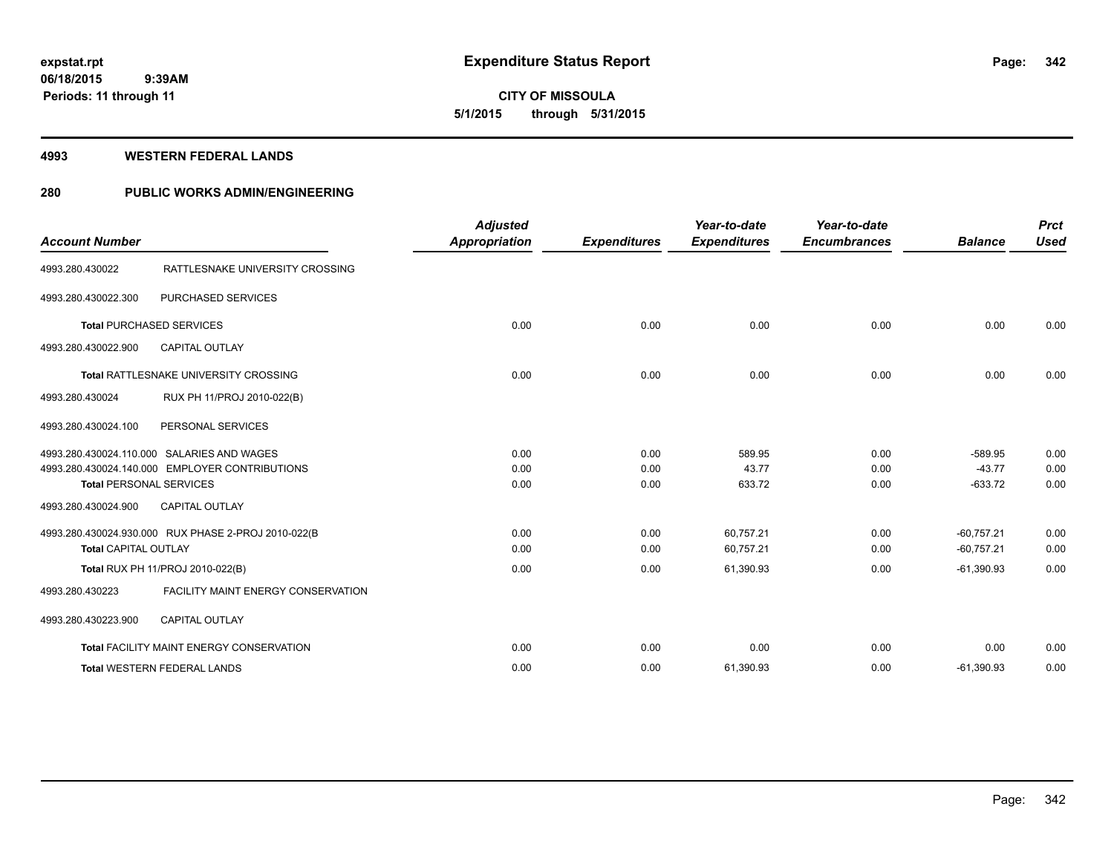# **CITY OF MISSOULA 5/1/2015 through 5/31/2015**

#### **4993 WESTERN FEDERAL LANDS**

### **280 PUBLIC WORKS ADMIN/ENGINEERING**

| <b>Account Number</b>          |                                                                                              | <b>Adjusted</b><br><b>Appropriation</b> | <b>Expenditures</b>  | Year-to-date<br><b>Expenditures</b> | Year-to-date<br><b>Encumbrances</b> | <b>Balance</b>                     | <b>Prct</b><br><b>Used</b> |
|--------------------------------|----------------------------------------------------------------------------------------------|-----------------------------------------|----------------------|-------------------------------------|-------------------------------------|------------------------------------|----------------------------|
| 4993.280.430022                | RATTLESNAKE UNIVERSITY CROSSING                                                              |                                         |                      |                                     |                                     |                                    |                            |
| 4993.280.430022.300            | PURCHASED SERVICES                                                                           |                                         |                      |                                     |                                     |                                    |                            |
|                                | <b>Total PURCHASED SERVICES</b>                                                              | 0.00                                    | 0.00                 | 0.00                                | 0.00                                | 0.00                               | 0.00                       |
| 4993.280.430022.900            | <b>CAPITAL OUTLAY</b>                                                                        |                                         |                      |                                     |                                     |                                    |                            |
|                                | <b>Total RATTLESNAKE UNIVERSITY CROSSING</b>                                                 | 0.00                                    | 0.00                 | 0.00                                | 0.00                                | 0.00                               | 0.00                       |
| 4993.280.430024                | RUX PH 11/PROJ 2010-022(B)                                                                   |                                         |                      |                                     |                                     |                                    |                            |
| 4993.280.430024.100            | PERSONAL SERVICES                                                                            |                                         |                      |                                     |                                     |                                    |                            |
| <b>Total PERSONAL SERVICES</b> | 4993.280.430024.110.000 SALARIES AND WAGES<br>4993.280.430024.140.000 EMPLOYER CONTRIBUTIONS | 0.00<br>0.00<br>0.00                    | 0.00<br>0.00<br>0.00 | 589.95<br>43.77<br>633.72           | 0.00<br>0.00<br>0.00                | $-589.95$<br>$-43.77$<br>$-633.72$ | 0.00<br>0.00<br>0.00       |
| 4993.280.430024.900            | <b>CAPITAL OUTLAY</b>                                                                        |                                         |                      |                                     |                                     |                                    |                            |
| <b>Total CAPITAL OUTLAY</b>    | 4993.280.430024.930.000 RUX PHASE 2-PROJ 2010-022(B                                          | 0.00<br>0.00                            | 0.00<br>0.00         | 60,757.21<br>60,757.21              | 0.00<br>0.00                        | $-60.757.21$<br>$-60,757.21$       | 0.00<br>0.00               |
|                                | Total RUX PH 11/PROJ 2010-022(B)                                                             | 0.00                                    | 0.00                 | 61,390.93                           | 0.00                                | $-61,390.93$                       | 0.00                       |
| 4993.280.430223                | <b>FACILITY MAINT ENERGY CONSERVATION</b>                                                    |                                         |                      |                                     |                                     |                                    |                            |
| 4993.280.430223.900            | <b>CAPITAL OUTLAY</b>                                                                        |                                         |                      |                                     |                                     |                                    |                            |
|                                | Total FACILITY MAINT ENERGY CONSERVATION                                                     | 0.00                                    | 0.00                 | 0.00                                | 0.00                                | 0.00                               | 0.00                       |
|                                | <b>Total WESTERN FEDERAL LANDS</b>                                                           | 0.00                                    | 0.00                 | 61,390.93                           | 0.00                                | $-61,390.93$                       | 0.00                       |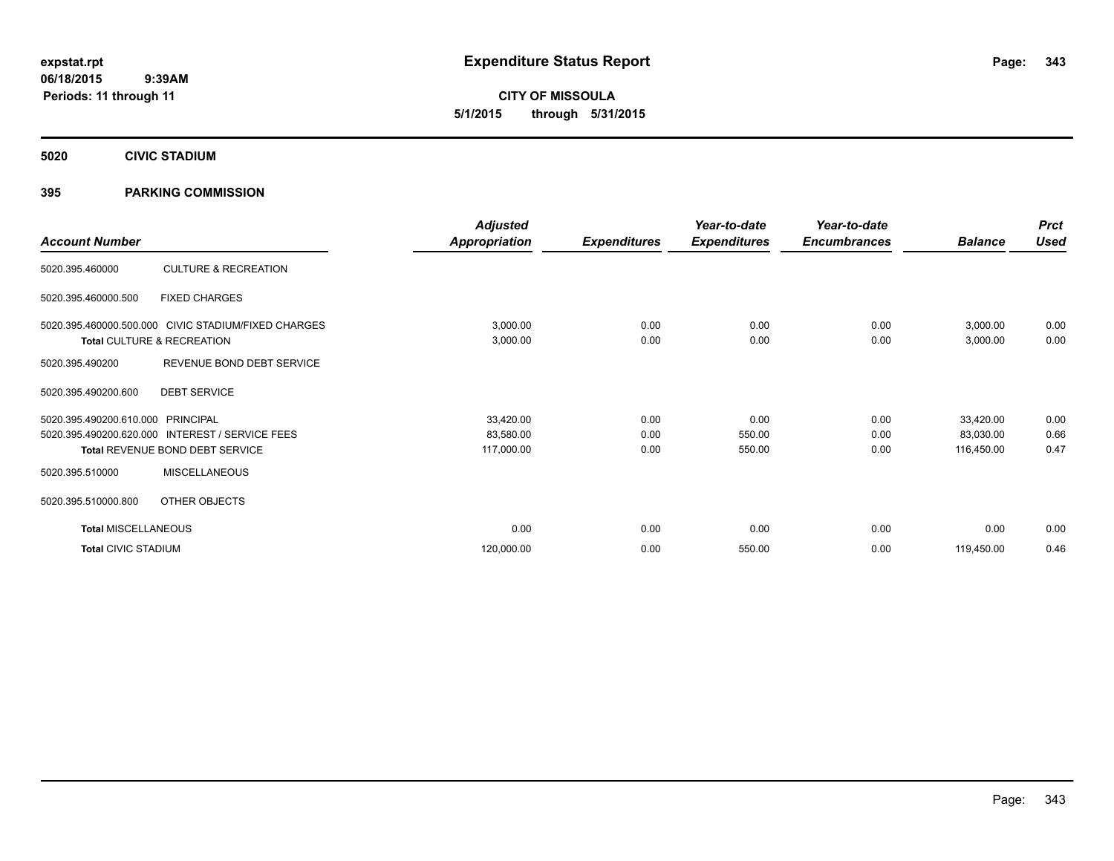**CITY OF MISSOULA 5/1/2015 through 5/31/2015**

**5020 CIVIC STADIUM**

### **395 PARKING COMMISSION**

|                            |                                                     | <b>Adjusted</b> |                     | Year-to-date        | Year-to-date        |                | <b>Prct</b> |
|----------------------------|-----------------------------------------------------|-----------------|---------------------|---------------------|---------------------|----------------|-------------|
| <b>Account Number</b>      |                                                     | Appropriation   | <b>Expenditures</b> | <b>Expenditures</b> | <b>Encumbrances</b> | <b>Balance</b> | <b>Used</b> |
| 5020.395.460000            | <b>CULTURE &amp; RECREATION</b>                     |                 |                     |                     |                     |                |             |
| 5020.395.460000.500        | <b>FIXED CHARGES</b>                                |                 |                     |                     |                     |                |             |
|                            | 5020.395.460000.500.000 CIVIC STADIUM/FIXED CHARGES | 3,000.00        | 0.00                | 0.00                | 0.00                | 3,000.00       | 0.00        |
|                            | Total CULTURE & RECREATION                          | 3,000.00        | 0.00                | 0.00                | 0.00                | 3,000.00       | 0.00        |
| 5020.395.490200            | REVENUE BOND DEBT SERVICE                           |                 |                     |                     |                     |                |             |
| 5020.395.490200.600        | <b>DEBT SERVICE</b>                                 |                 |                     |                     |                     |                |             |
| 5020.395.490200.610.000    | PRINCIPAL                                           | 33,420.00       | 0.00                | 0.00                | 0.00                | 33,420.00      | 0.00        |
| 5020.395.490200.620.000    | <b>INTEREST / SERVICE FEES</b>                      | 83,580.00       | 0.00                | 550.00              | 0.00                | 83,030.00      | 0.66        |
|                            | Total REVENUE BOND DEBT SERVICE                     | 117,000.00      | 0.00                | 550.00              | 0.00                | 116,450.00     | 0.47        |
| 5020.395.510000            | <b>MISCELLANEOUS</b>                                |                 |                     |                     |                     |                |             |
| 5020.395.510000.800        | OTHER OBJECTS                                       |                 |                     |                     |                     |                |             |
| <b>Total MISCELLANEOUS</b> |                                                     | 0.00            | 0.00                | 0.00                | 0.00                | 0.00           | 0.00        |
| <b>Total CIVIC STADIUM</b> |                                                     | 120,000.00      | 0.00                | 550.00              | 0.00                | 119,450.00     | 0.46        |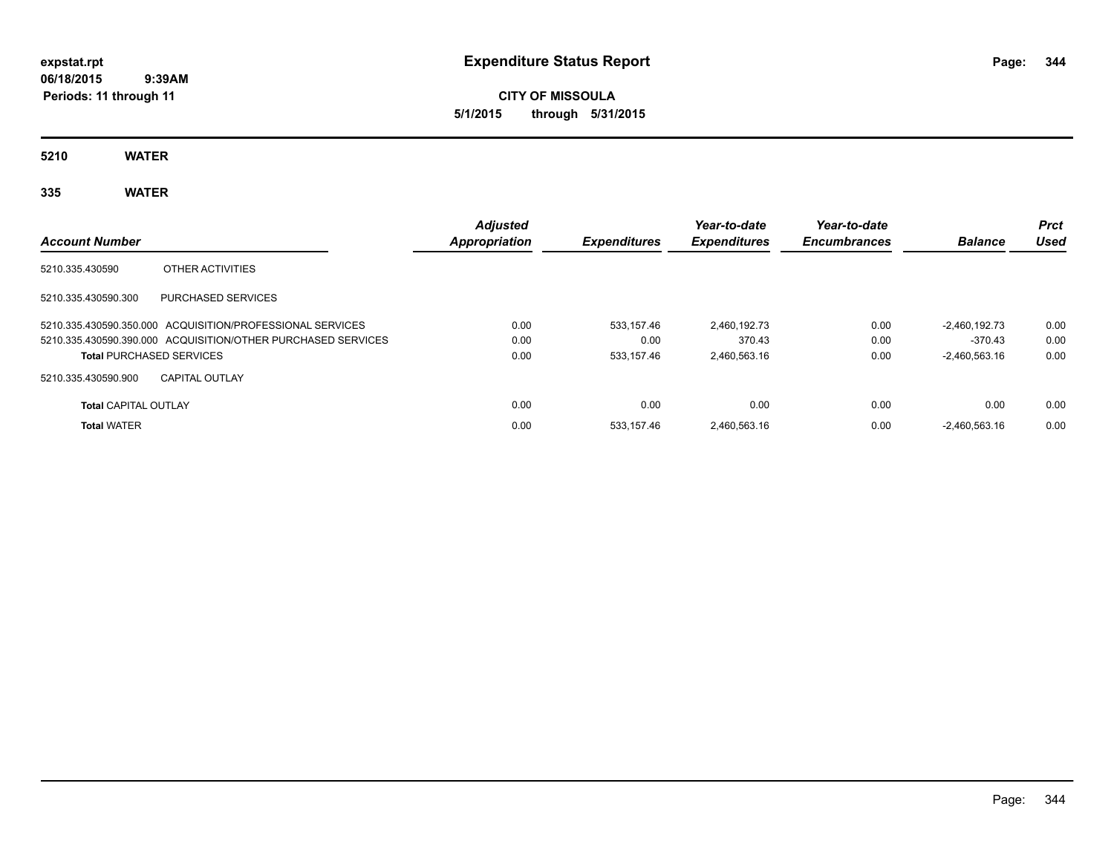**CITY OF MISSOULA 5/1/2015 through 5/31/2015**

**5210 WATER**

# **335 WATER**

| <b>Account Number</b>                                        | <b>Adjusted</b><br>Appropriation | <b>Expenditures</b> | Year-to-date<br><b>Expenditures</b> | Year-to-date<br><b>Encumbrances</b> | <b>Balance</b>  | <b>Prct</b><br>Used |
|--------------------------------------------------------------|----------------------------------|---------------------|-------------------------------------|-------------------------------------|-----------------|---------------------|
| 5210.335.430590<br>OTHER ACTIVITIES                          |                                  |                     |                                     |                                     |                 |                     |
| 5210.335.430590.300<br>PURCHASED SERVICES                    |                                  |                     |                                     |                                     |                 |                     |
| 5210.335.430590.350.000 ACQUISITION/PROFESSIONAL SERVICES    | 0.00                             | 533.157.46          | 2.460.192.73                        | 0.00                                | $-2.460.192.73$ | 0.00                |
| 5210.335.430590.390.000 ACQUISITION/OTHER PURCHASED SERVICES | 0.00                             | 0.00                | 370.43                              | 0.00                                | -370.43         | 0.00                |
| <b>Total PURCHASED SERVICES</b>                              | 0.00                             | 533.157.46          | 2.460.563.16                        | 0.00                                | $-2.460.563.16$ | 0.00                |
| 5210.335.430590.900<br><b>CAPITAL OUTLAY</b>                 |                                  |                     |                                     |                                     |                 |                     |
| <b>Total CAPITAL OUTLAY</b>                                  | 0.00                             | 0.00                | 0.00                                | 0.00                                | 0.00            | 0.00                |
| <b>Total WATER</b>                                           | 0.00                             | 533.157.46          | 2.460.563.16                        | 0.00                                | $-2.460.563.16$ | 0.00                |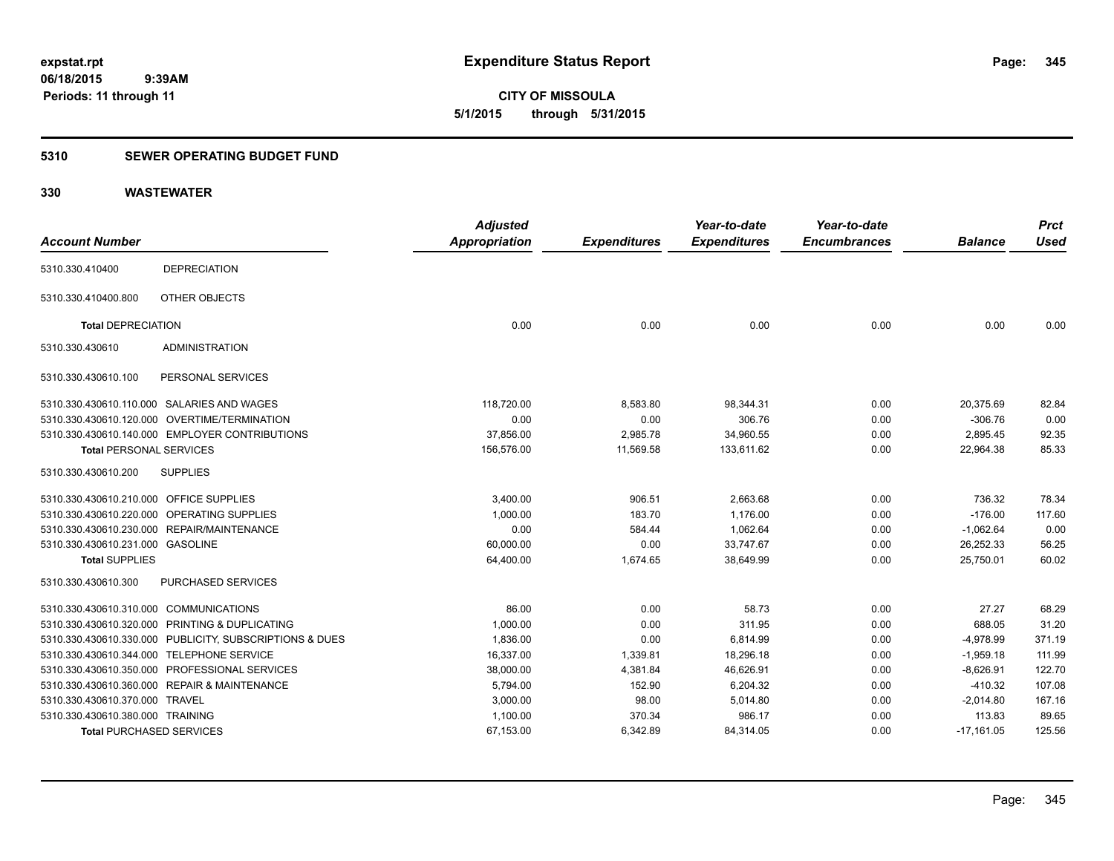**CITY OF MISSOULA 5/1/2015 through 5/31/2015**

### **5310 SEWER OPERATING BUDGET FUND**

| <b>Account Number</b>                   |                                                         | <b>Adjusted</b><br><b>Appropriation</b> | <b>Expenditures</b> | Year-to-date<br><b>Expenditures</b> | Year-to-date<br><b>Encumbrances</b> | <b>Balance</b> | <b>Prct</b><br><b>Used</b> |
|-----------------------------------------|---------------------------------------------------------|-----------------------------------------|---------------------|-------------------------------------|-------------------------------------|----------------|----------------------------|
| 5310.330.410400                         | <b>DEPRECIATION</b>                                     |                                         |                     |                                     |                                     |                |                            |
|                                         |                                                         |                                         |                     |                                     |                                     |                |                            |
| 5310.330.410400.800                     | OTHER OBJECTS                                           |                                         |                     |                                     |                                     |                |                            |
| <b>Total DEPRECIATION</b>               |                                                         | 0.00                                    | 0.00                | 0.00                                | 0.00                                | 0.00           | 0.00                       |
| 5310.330.430610                         | <b>ADMINISTRATION</b>                                   |                                         |                     |                                     |                                     |                |                            |
| 5310.330.430610.100                     | PERSONAL SERVICES                                       |                                         |                     |                                     |                                     |                |                            |
|                                         | 5310.330.430610.110.000 SALARIES AND WAGES              | 118.720.00                              | 8,583.80            | 98,344.31                           | 0.00                                | 20.375.69      | 82.84                      |
|                                         | 5310.330.430610.120.000 OVERTIME/TERMINATION            | 0.00                                    | 0.00                | 306.76                              | 0.00                                | $-306.76$      | 0.00                       |
|                                         | 5310.330.430610.140.000 EMPLOYER CONTRIBUTIONS          | 37,856.00                               | 2,985.78            | 34,960.55                           | 0.00                                | 2,895.45       | 92.35                      |
| <b>Total PERSONAL SERVICES</b>          |                                                         | 156,576.00                              | 11,569.58           | 133,611.62                          | 0.00                                | 22,964.38      | 85.33                      |
| 5310.330.430610.200                     | <b>SUPPLIES</b>                                         |                                         |                     |                                     |                                     |                |                            |
| 5310.330.430610.210.000 OFFICE SUPPLIES |                                                         | 3,400.00                                | 906.51              | 2,663.68                            | 0.00                                | 736.32         | 78.34                      |
|                                         | 5310.330.430610.220.000 OPERATING SUPPLIES              | 1.000.00                                | 183.70              | 1.176.00                            | 0.00                                | $-176.00$      | 117.60                     |
|                                         | 5310.330.430610.230.000 REPAIR/MAINTENANCE              | 0.00                                    | 584.44              | 1.062.64                            | 0.00                                | $-1,062.64$    | 0.00                       |
| 5310.330.430610.231.000 GASOLINE        |                                                         | 60,000.00                               | 0.00                | 33,747.67                           | 0.00                                | 26,252.33      | 56.25                      |
| <b>Total SUPPLIES</b>                   |                                                         | 64,400.00                               | 1,674.65            | 38,649.99                           | 0.00                                | 25,750.01      | 60.02                      |
| 5310.330.430610.300                     | PURCHASED SERVICES                                      |                                         |                     |                                     |                                     |                |                            |
| 5310.330.430610.310.000 COMMUNICATIONS  |                                                         | 86.00                                   | 0.00                | 58.73                               | 0.00                                | 27.27          | 68.29                      |
|                                         | 5310.330.430610.320.000 PRINTING & DUPLICATING          | 1,000.00                                | 0.00                | 311.95                              | 0.00                                | 688.05         | 31.20                      |
|                                         | 5310.330.430610.330.000 PUBLICITY, SUBSCRIPTIONS & DUES | 1,836.00                                | 0.00                | 6,814.99                            | 0.00                                | $-4,978.99$    | 371.19                     |
|                                         | 5310.330.430610.344.000 TELEPHONE SERVICE               | 16,337.00                               | 1,339.81            | 18,296.18                           | 0.00                                | $-1,959.18$    | 111.99                     |
|                                         | 5310.330.430610.350.000 PROFESSIONAL SERVICES           | 38,000.00                               | 4,381.84            | 46,626.91                           | 0.00                                | $-8,626.91$    | 122.70                     |
|                                         | 5310.330.430610.360.000 REPAIR & MAINTENANCE            | 5,794.00                                | 152.90              | 6,204.32                            | 0.00                                | $-410.32$      | 107.08                     |
| 5310.330.430610.370.000 TRAVEL          |                                                         | 3,000.00                                | 98.00               | 5,014.80                            | 0.00                                | $-2,014.80$    | 167.16                     |
| 5310.330.430610.380.000 TRAINING        |                                                         | 1,100.00                                | 370.34              | 986.17                              | 0.00                                | 113.83         | 89.65                      |
| <b>Total PURCHASED SERVICES</b>         |                                                         | 67,153.00                               | 6,342.89            | 84,314.05                           | 0.00                                | $-17,161.05$   | 125.56                     |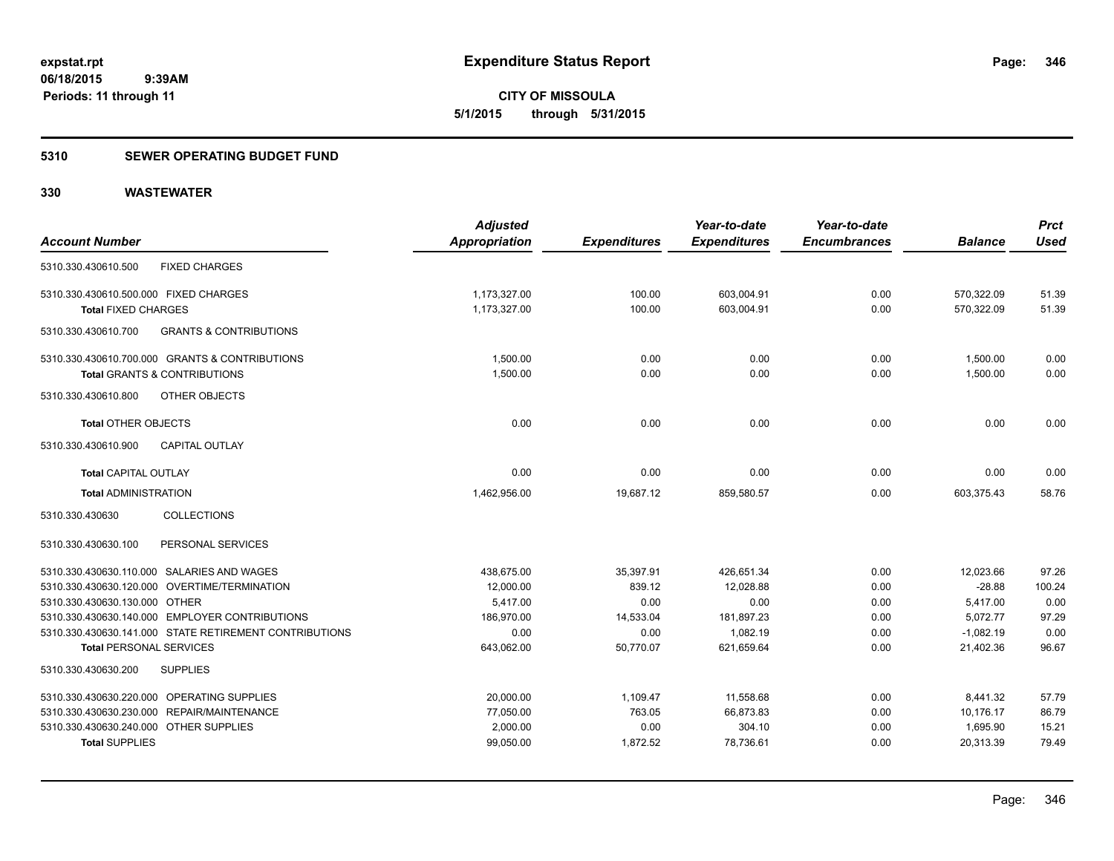### **5310 SEWER OPERATING BUDGET FUND**

|                                                          | <b>Adjusted</b> |                     | Year-to-date        | Year-to-date        |                | <b>Prct</b> |
|----------------------------------------------------------|-----------------|---------------------|---------------------|---------------------|----------------|-------------|
| <b>Account Number</b>                                    | Appropriation   | <b>Expenditures</b> | <b>Expenditures</b> | <b>Encumbrances</b> | <b>Balance</b> | <b>Used</b> |
| <b>FIXED CHARGES</b><br>5310.330.430610.500              |                 |                     |                     |                     |                |             |
| 5310.330.430610.500.000 FIXED CHARGES                    | 1,173,327.00    | 100.00              | 603,004.91          | 0.00                | 570,322.09     | 51.39       |
| <b>Total FIXED CHARGES</b>                               | 1,173,327.00    | 100.00              | 603,004.91          | 0.00                | 570,322.09     | 51.39       |
| 5310.330.430610.700<br><b>GRANTS &amp; CONTRIBUTIONS</b> |                 |                     |                     |                     |                |             |
| 5310.330.430610.700.000 GRANTS & CONTRIBUTIONS           | 1,500.00        | 0.00                | 0.00                | 0.00                | 1,500.00       | 0.00        |
| <b>Total GRANTS &amp; CONTRIBUTIONS</b>                  | 1,500.00        | 0.00                | 0.00                | 0.00                | 1,500.00       | 0.00        |
| 5310.330.430610.800<br>OTHER OBJECTS                     |                 |                     |                     |                     |                |             |
| <b>Total OTHER OBJECTS</b>                               | 0.00            | 0.00                | 0.00                | 0.00                | 0.00           | 0.00        |
| 5310.330.430610.900<br><b>CAPITAL OUTLAY</b>             |                 |                     |                     |                     |                |             |
| <b>Total CAPITAL OUTLAY</b>                              | 0.00            | 0.00                | 0.00                | 0.00                | 0.00           | 0.00        |
| <b>Total ADMINISTRATION</b>                              | 1,462,956.00    | 19,687.12           | 859,580.57          | 0.00                | 603,375.43     | 58.76       |
| <b>COLLECTIONS</b><br>5310.330.430630                    |                 |                     |                     |                     |                |             |
| 5310.330.430630.100<br>PERSONAL SERVICES                 |                 |                     |                     |                     |                |             |
| 5310.330.430630.110.000 SALARIES AND WAGES               | 438,675.00      | 35,397.91           | 426.651.34          | 0.00                | 12,023.66      | 97.26       |
| 5310.330.430630.120.000 OVERTIME/TERMINATION             | 12,000.00       | 839.12              | 12,028.88           | 0.00                | $-28.88$       | 100.24      |
| 5310.330.430630.130.000 OTHER                            | 5,417.00        | 0.00                | 0.00                | 0.00                | 5,417.00       | 0.00        |
| 5310.330.430630.140.000 EMPLOYER CONTRIBUTIONS           | 186,970.00      | 14,533.04           | 181,897.23          | 0.00                | 5,072.77       | 97.29       |
| 5310.330.430630.141.000 STATE RETIREMENT CONTRIBUTIONS   | 0.00            | 0.00                | 1.082.19            | 0.00                | $-1,082.19$    | 0.00        |
| <b>Total PERSONAL SERVICES</b>                           | 643,062.00      | 50,770.07           | 621,659.64          | 0.00                | 21,402.36      | 96.67       |
| 5310.330.430630.200<br><b>SUPPLIES</b>                   |                 |                     |                     |                     |                |             |
| 5310.330.430630.220.000 OPERATING SUPPLIES               | 20,000.00       | 1,109.47            | 11,558.68           | 0.00                | 8,441.32       | 57.79       |
| 5310.330.430630.230.000 REPAIR/MAINTENANCE               | 77,050.00       | 763.05              | 66,873.83           | 0.00                | 10,176.17      | 86.79       |
| 5310.330.430630.240.000 OTHER SUPPLIES                   | 2,000.00        | 0.00                | 304.10              | 0.00                | 1,695.90       | 15.21       |
| <b>Total SUPPLIES</b>                                    | 99,050.00       | 1,872.52            | 78,736.61           | 0.00                | 20.313.39      | 79.49       |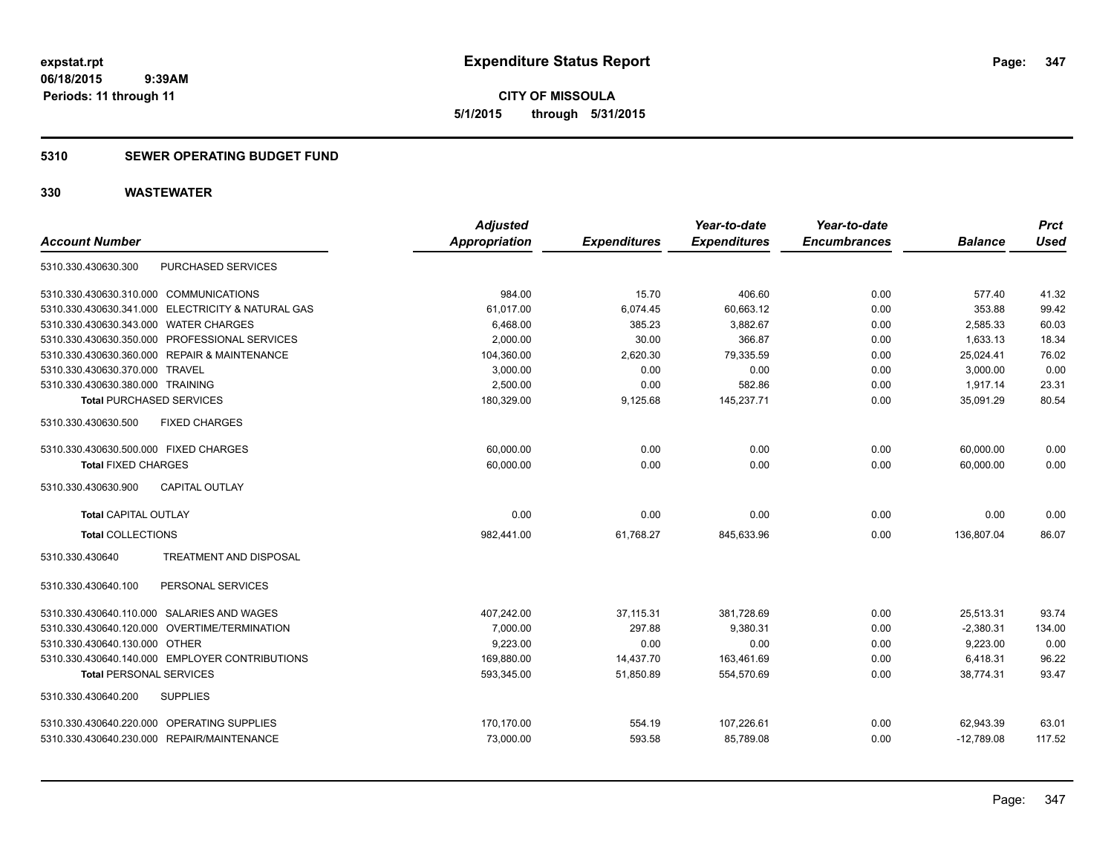### **5310 SEWER OPERATING BUDGET FUND**

| <b>Account Number</b>                             | <b>Adjusted</b><br><b>Appropriation</b> | <b>Expenditures</b> | Year-to-date<br><b>Expenditures</b> | Year-to-date<br><b>Encumbrances</b> | <b>Balance</b> | <b>Prct</b><br><b>Used</b> |
|---------------------------------------------------|-----------------------------------------|---------------------|-------------------------------------|-------------------------------------|----------------|----------------------------|
| PURCHASED SERVICES<br>5310.330.430630.300         |                                         |                     |                                     |                                     |                |                            |
| 5310.330.430630.310.000 COMMUNICATIONS            | 984.00                                  | 15.70               | 406.60                              | 0.00                                | 577.40         | 41.32                      |
| 5310.330.430630.341.000 ELECTRICITY & NATURAL GAS | 61,017.00                               | 6,074.45            | 60,663.12                           | 0.00                                | 353.88         | 99.42                      |
| 5310.330.430630.343.000 WATER CHARGES             | 6,468.00                                | 385.23              | 3,882.67                            | 0.00                                | 2,585.33       | 60.03                      |
| 5310.330.430630.350.000 PROFESSIONAL SERVICES     | 2,000.00                                | 30.00               | 366.87                              | 0.00                                | 1,633.13       | 18.34                      |
| 5310.330.430630.360.000 REPAIR & MAINTENANCE      | 104,360.00                              | 2,620.30            | 79,335.59                           | 0.00                                | 25,024.41      | 76.02                      |
| 5310.330.430630.370.000 TRAVEL                    | 3,000.00                                | 0.00                | 0.00                                | 0.00                                | 3,000.00       | 0.00                       |
| 5310.330.430630.380.000 TRAINING                  | 2.500.00                                | 0.00                | 582.86                              | 0.00                                | 1.917.14       | 23.31                      |
| <b>Total PURCHASED SERVICES</b>                   | 180,329.00                              | 9,125.68            | 145,237.71                          | 0.00                                | 35.091.29      | 80.54                      |
| <b>FIXED CHARGES</b><br>5310.330.430630.500       |                                         |                     |                                     |                                     |                |                            |
| 5310.330.430630.500.000 FIXED CHARGES             | 60,000.00                               | 0.00                | 0.00                                | 0.00                                | 60.000.00      | 0.00                       |
| <b>Total FIXED CHARGES</b>                        | 60.000.00                               | 0.00                | 0.00                                | 0.00                                | 60.000.00      | 0.00                       |
| <b>CAPITAL OUTLAY</b><br>5310.330.430630.900      |                                         |                     |                                     |                                     |                |                            |
| <b>Total CAPITAL OUTLAY</b>                       | 0.00                                    | 0.00                | 0.00                                | 0.00                                | 0.00           | 0.00                       |
| <b>Total COLLECTIONS</b>                          | 982,441.00                              | 61,768.27           | 845,633.96                          | 0.00                                | 136,807.04     | 86.07                      |
| 5310.330.430640<br>TREATMENT AND DISPOSAL         |                                         |                     |                                     |                                     |                |                            |
| PERSONAL SERVICES<br>5310.330.430640.100          |                                         |                     |                                     |                                     |                |                            |
| 5310.330.430640.110.000 SALARIES AND WAGES        | 407,242.00                              | 37,115.31           | 381,728.69                          | 0.00                                | 25,513.31      | 93.74                      |
| 5310.330.430640.120.000 OVERTIME/TERMINATION      | 7,000.00                                | 297.88              | 9,380.31                            | 0.00                                | $-2,380.31$    | 134.00                     |
| 5310.330.430640.130.000 OTHER                     | 9,223.00                                | 0.00                | 0.00                                | 0.00                                | 9,223.00       | 0.00                       |
| 5310.330.430640.140.000 EMPLOYER CONTRIBUTIONS    | 169,880.00                              | 14,437.70           | 163,461.69                          | 0.00                                | 6,418.31       | 96.22                      |
| <b>Total PERSONAL SERVICES</b>                    | 593,345.00                              | 51,850.89           | 554,570.69                          | 0.00                                | 38,774.31      | 93.47                      |
| 5310.330.430640.200<br><b>SUPPLIES</b>            |                                         |                     |                                     |                                     |                |                            |
| 5310.330.430640.220.000 OPERATING SUPPLIES        | 170,170.00                              | 554.19              | 107,226.61                          | 0.00                                | 62,943.39      | 63.01                      |
| 5310.330.430640.230.000 REPAIR/MAINTENANCE        | 73,000.00                               | 593.58              | 85,789.08                           | 0.00                                | $-12,789.08$   | 117.52                     |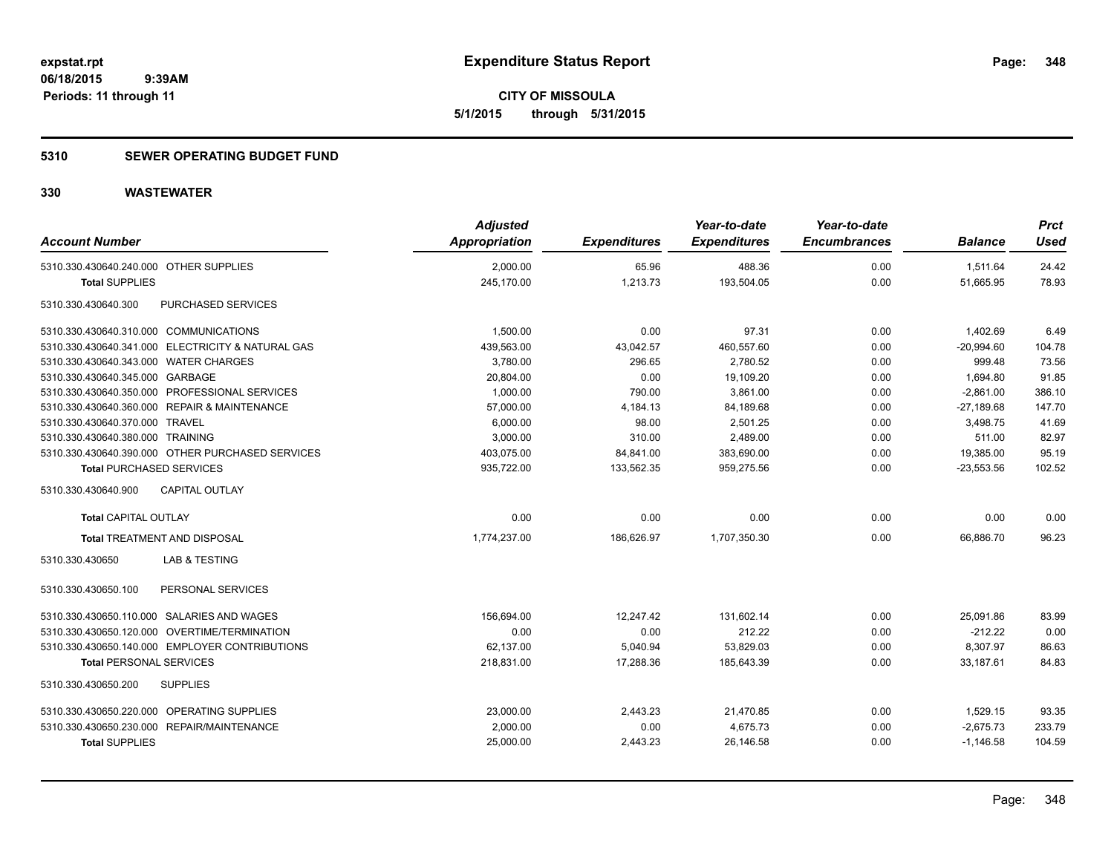### **5310 SEWER OPERATING BUDGET FUND**

| <b>Account Number</b>                      |                                                   | <b>Adjusted</b><br>Appropriation | <b>Expenditures</b> | Year-to-date<br><b>Expenditures</b> | Year-to-date<br><b>Encumbrances</b> | <b>Balance</b> | <b>Prct</b><br>Used |
|--------------------------------------------|---------------------------------------------------|----------------------------------|---------------------|-------------------------------------|-------------------------------------|----------------|---------------------|
| 5310.330.430640.240.000 OTHER SUPPLIES     |                                                   | 2,000.00                         | 65.96               | 488.36                              | 0.00                                | 1,511.64       | 24.42               |
| <b>Total SUPPLIES</b>                      |                                                   | 245,170.00                       | 1,213.73            | 193,504.05                          | 0.00                                | 51,665.95      | 78.93               |
| 5310.330.430640.300                        | PURCHASED SERVICES                                |                                  |                     |                                     |                                     |                |                     |
| 5310.330.430640.310.000 COMMUNICATIONS     |                                                   | 1,500.00                         | 0.00                | 97.31                               | 0.00                                | 1,402.69       | 6.49                |
|                                            | 5310.330.430640.341.000 ELECTRICITY & NATURAL GAS | 439,563.00                       | 43,042.57           | 460,557.60                          | 0.00                                | $-20,994.60$   | 104.78              |
| 5310.330.430640.343.000 WATER CHARGES      |                                                   | 3,780.00                         | 296.65              | 2,780.52                            | 0.00                                | 999.48         | 73.56               |
| 5310.330.430640.345.000 GARBAGE            |                                                   | 20,804.00                        | 0.00                | 19,109.20                           | 0.00                                | 1,694.80       | 91.85               |
|                                            | 5310.330.430640.350.000 PROFESSIONAL SERVICES     | 1,000.00                         | 790.00              | 3,861.00                            | 0.00                                | $-2,861.00$    | 386.10              |
|                                            | 5310.330.430640.360.000 REPAIR & MAINTENANCE      | 57,000.00                        | 4,184.13            | 84,189.68                           | 0.00                                | $-27,189.68$   | 147.70              |
| 5310.330.430640.370.000 TRAVEL             |                                                   | 6,000.00                         | 98.00               | 2.501.25                            | 0.00                                | 3,498.75       | 41.69               |
| 5310.330.430640.380.000 TRAINING           |                                                   | 3,000.00                         | 310.00              | 2,489.00                            | 0.00                                | 511.00         | 82.97               |
|                                            | 5310.330.430640.390.000 OTHER PURCHASED SERVICES  | 403,075.00                       | 84,841.00           | 383,690.00                          | 0.00                                | 19,385.00      | 95.19               |
| <b>Total PURCHASED SERVICES</b>            |                                                   | 935,722.00                       | 133,562.35          | 959,275.56                          | 0.00                                | $-23,553.56$   | 102.52              |
| 5310.330.430640.900                        | CAPITAL OUTLAY                                    |                                  |                     |                                     |                                     |                |                     |
| Total CAPITAL OUTLAY                       |                                                   | 0.00                             | 0.00                | 0.00                                | 0.00                                | 0.00           | 0.00                |
|                                            | Total TREATMENT AND DISPOSAL                      | 1,774,237.00                     | 186,626.97          | 1,707,350.30                        | 0.00                                | 66,886.70      | 96.23               |
| 5310.330.430650                            | LAB & TESTING                                     |                                  |                     |                                     |                                     |                |                     |
| 5310.330.430650.100                        | PERSONAL SERVICES                                 |                                  |                     |                                     |                                     |                |                     |
|                                            | 5310.330.430650.110.000 SALARIES AND WAGES        | 156,694.00                       | 12.247.42           | 131,602.14                          | 0.00                                | 25,091.86      | 83.99               |
|                                            | 5310.330.430650.120.000 OVERTIME/TERMINATION      | 0.00                             | 0.00                | 212.22                              | 0.00                                | $-212.22$      | 0.00                |
|                                            | 5310.330.430650.140.000 EMPLOYER CONTRIBUTIONS    | 62,137.00                        | 5,040.94            | 53,829.03                           | 0.00                                | 8,307.97       | 86.63               |
| <b>Total PERSONAL SERVICES</b>             |                                                   | 218.831.00                       | 17.288.36           | 185.643.39                          | 0.00                                | 33.187.61      | 84.83               |
| 5310.330.430650.200                        | <b>SUPPLIES</b>                                   |                                  |                     |                                     |                                     |                |                     |
| 5310.330.430650.220.000 OPERATING SUPPLIES |                                                   | 23,000.00                        | 2,443.23            | 21,470.85                           | 0.00                                | 1,529.15       | 93.35               |
|                                            | 5310.330.430650.230.000 REPAIR/MAINTENANCE        | 2,000.00                         | 0.00                | 4,675.73                            | 0.00                                | $-2,675.73$    | 233.79              |
| <b>Total SUPPLIES</b>                      |                                                   | 25,000.00                        | 2,443.23            | 26,146.58                           | 0.00                                | $-1,146.58$    | 104.59              |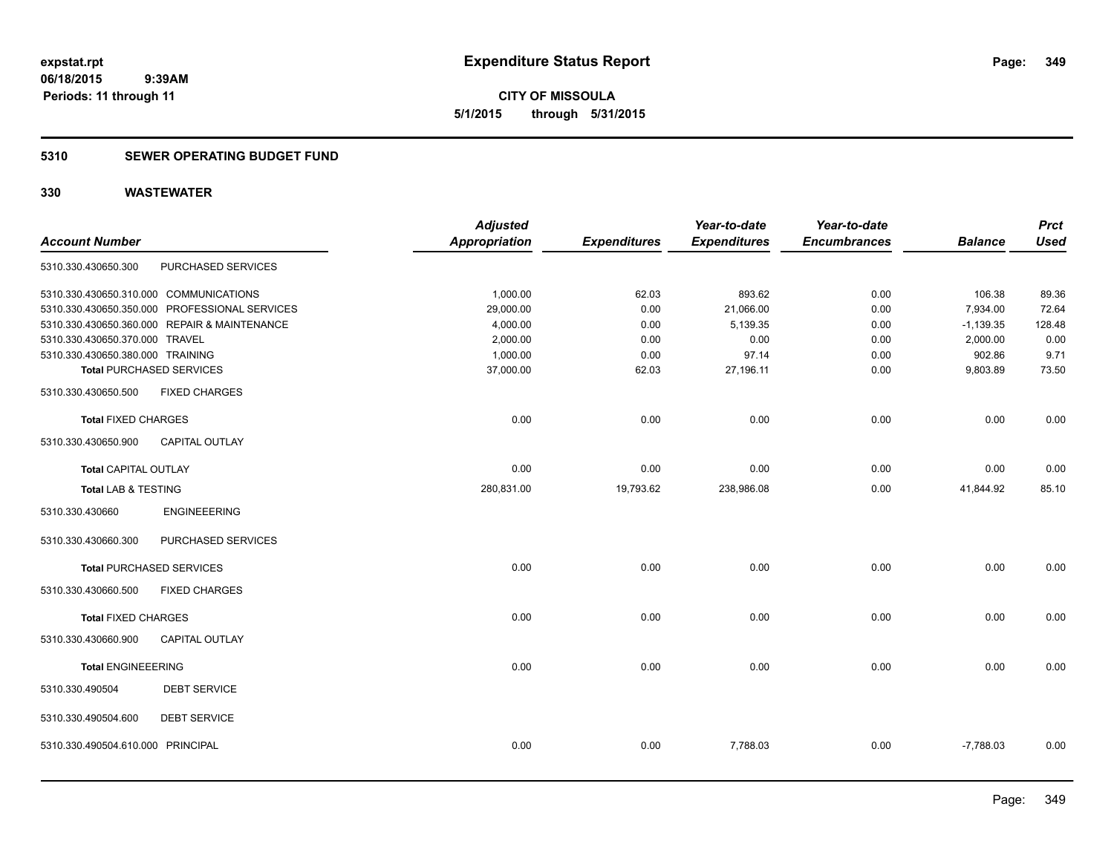### **5310 SEWER OPERATING BUDGET FUND**

| <b>Account Number</b>             |                                               | <b>Adjusted</b><br><b>Appropriation</b> | <b>Expenditures</b> | Year-to-date<br><b>Expenditures</b> | Year-to-date<br><b>Encumbrances</b> | <b>Balance</b> | <b>Prct</b><br><b>Used</b> |
|-----------------------------------|-----------------------------------------------|-----------------------------------------|---------------------|-------------------------------------|-------------------------------------|----------------|----------------------------|
| 5310.330.430650.300               | PURCHASED SERVICES                            |                                         |                     |                                     |                                     |                |                            |
|                                   | 5310.330.430650.310.000 COMMUNICATIONS        | 1,000.00                                | 62.03               | 893.62                              | 0.00                                | 106.38         | 89.36                      |
|                                   | 5310.330.430650.350.000 PROFESSIONAL SERVICES | 29,000.00                               | 0.00                | 21,066.00                           | 0.00                                | 7,934.00       | 72.64                      |
|                                   | 5310.330.430650.360.000 REPAIR & MAINTENANCE  | 4,000.00                                | 0.00                | 5,139.35                            | 0.00                                | $-1,139.35$    | 128.48                     |
| 5310.330.430650.370.000 TRAVEL    |                                               | 2,000.00                                | 0.00                | 0.00                                | 0.00                                | 2,000.00       | 0.00                       |
| 5310.330.430650.380.000 TRAINING  |                                               | 1,000.00                                | 0.00                | 97.14                               | 0.00                                | 902.86         | 9.71                       |
|                                   | <b>Total PURCHASED SERVICES</b>               | 37,000.00                               | 62.03               | 27,196.11                           | 0.00                                | 9,803.89       | 73.50                      |
| 5310.330.430650.500               | <b>FIXED CHARGES</b>                          |                                         |                     |                                     |                                     |                |                            |
| <b>Total FIXED CHARGES</b>        |                                               | 0.00                                    | 0.00                | 0.00                                | 0.00                                | 0.00           | 0.00                       |
| 5310.330.430650.900               | <b>CAPITAL OUTLAY</b>                         |                                         |                     |                                     |                                     |                |                            |
| <b>Total CAPITAL OUTLAY</b>       |                                               | 0.00                                    | 0.00                | 0.00                                | 0.00                                | 0.00           | 0.00                       |
| Total LAB & TESTING               |                                               | 280,831.00                              | 19,793.62           | 238,986.08                          | 0.00                                | 41,844.92      | 85.10                      |
| 5310.330.430660                   | <b>ENGINEEERING</b>                           |                                         |                     |                                     |                                     |                |                            |
| 5310.330.430660.300               | PURCHASED SERVICES                            |                                         |                     |                                     |                                     |                |                            |
|                                   | <b>Total PURCHASED SERVICES</b>               | 0.00                                    | 0.00                | 0.00                                | 0.00                                | 0.00           | 0.00                       |
| 5310.330.430660.500               | <b>FIXED CHARGES</b>                          |                                         |                     |                                     |                                     |                |                            |
| <b>Total FIXED CHARGES</b>        |                                               | 0.00                                    | 0.00                | 0.00                                | 0.00                                | 0.00           | 0.00                       |
| 5310.330.430660.900               | <b>CAPITAL OUTLAY</b>                         |                                         |                     |                                     |                                     |                |                            |
| <b>Total ENGINEEERING</b>         |                                               | 0.00                                    | 0.00                | 0.00                                | 0.00                                | 0.00           | 0.00                       |
| 5310.330.490504                   | <b>DEBT SERVICE</b>                           |                                         |                     |                                     |                                     |                |                            |
| 5310.330.490504.600               | <b>DEBT SERVICE</b>                           |                                         |                     |                                     |                                     |                |                            |
| 5310.330.490504.610.000 PRINCIPAL |                                               | 0.00                                    | 0.00                | 7,788.03                            | 0.00                                | $-7,788.03$    | 0.00                       |
|                                   |                                               |                                         |                     |                                     |                                     |                |                            |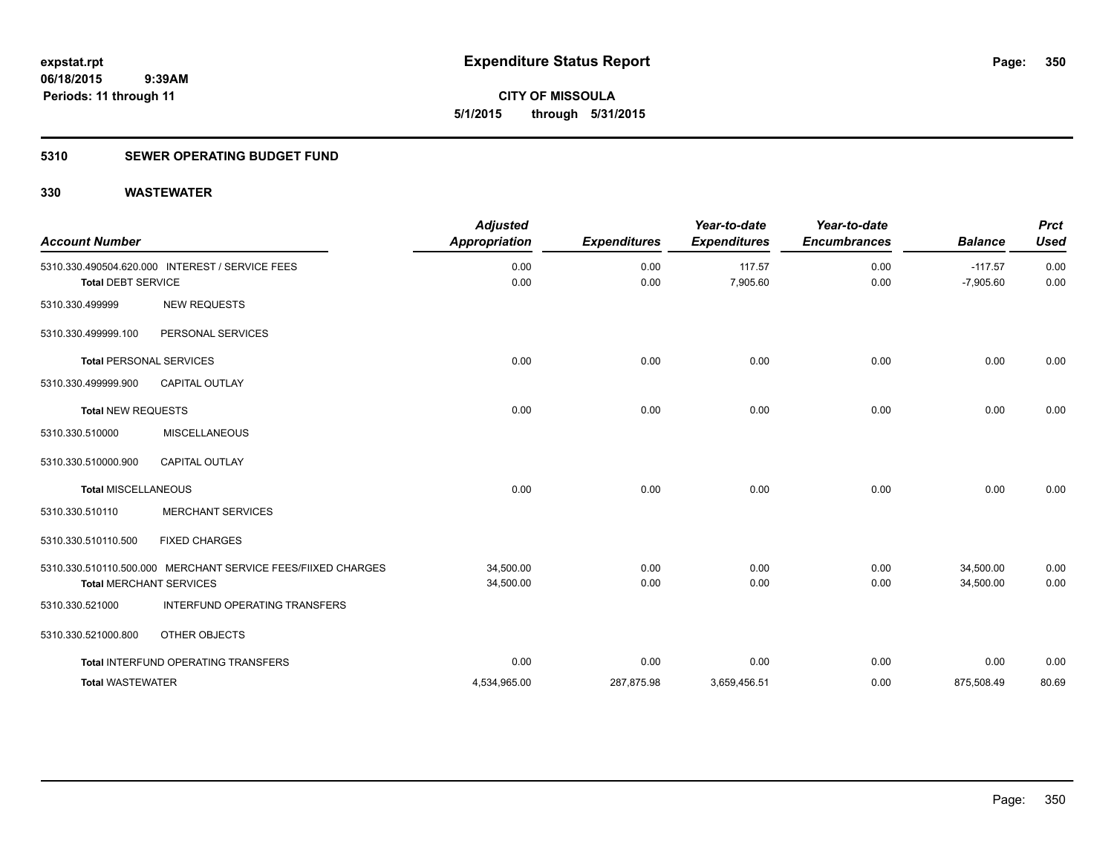**350**

**06/18/2015 9:39AM Periods: 11 through 11**

**CITY OF MISSOULA 5/1/2015 through 5/31/2015**

### **5310 SEWER OPERATING BUDGET FUND**

| <b>Account Number</b>          |                                                                                                | <b>Adjusted</b><br><b>Appropriation</b> | <b>Expenditures</b> | Year-to-date<br><b>Expenditures</b> | Year-to-date<br><b>Encumbrances</b> | <b>Balance</b>           | <b>Prct</b><br><b>Used</b> |
|--------------------------------|------------------------------------------------------------------------------------------------|-----------------------------------------|---------------------|-------------------------------------|-------------------------------------|--------------------------|----------------------------|
| <b>Total DEBT SERVICE</b>      | 5310.330.490504.620.000 INTEREST / SERVICE FEES                                                | 0.00<br>0.00                            | 0.00<br>0.00        | 117.57<br>7,905.60                  | 0.00<br>0.00                        | $-117.57$<br>$-7,905.60$ | 0.00<br>0.00               |
| 5310.330.499999                | <b>NEW REQUESTS</b>                                                                            |                                         |                     |                                     |                                     |                          |                            |
| 5310.330.499999.100            | PERSONAL SERVICES                                                                              |                                         |                     |                                     |                                     |                          |                            |
| <b>Total PERSONAL SERVICES</b> |                                                                                                | 0.00                                    | 0.00                | 0.00                                | 0.00                                | 0.00                     | 0.00                       |
| 5310.330.499999.900            | <b>CAPITAL OUTLAY</b>                                                                          |                                         |                     |                                     |                                     |                          |                            |
| <b>Total NEW REQUESTS</b>      |                                                                                                | 0.00                                    | 0.00                | 0.00                                | 0.00                                | 0.00                     | 0.00                       |
| 5310.330.510000                | <b>MISCELLANEOUS</b>                                                                           |                                         |                     |                                     |                                     |                          |                            |
| 5310.330.510000.900            | <b>CAPITAL OUTLAY</b>                                                                          |                                         |                     |                                     |                                     |                          |                            |
| <b>Total MISCELLANEOUS</b>     |                                                                                                | 0.00                                    | 0.00                | 0.00                                | 0.00                                | 0.00                     | 0.00                       |
| 5310.330.510110                | <b>MERCHANT SERVICES</b>                                                                       |                                         |                     |                                     |                                     |                          |                            |
| 5310.330.510110.500            | <b>FIXED CHARGES</b>                                                                           |                                         |                     |                                     |                                     |                          |                            |
|                                | 5310.330.510110.500.000 MERCHANT SERVICE FEES/FIIXED CHARGES<br><b>Total MERCHANT SERVICES</b> | 34,500.00<br>34,500.00                  | 0.00<br>0.00        | 0.00<br>0.00                        | 0.00<br>0.00                        | 34,500.00<br>34,500.00   | 0.00<br>0.00               |
| 5310.330.521000                | INTERFUND OPERATING TRANSFERS                                                                  |                                         |                     |                                     |                                     |                          |                            |
| 5310.330.521000.800            | OTHER OBJECTS                                                                                  |                                         |                     |                                     |                                     |                          |                            |
|                                | Total INTERFUND OPERATING TRANSFERS                                                            | 0.00                                    | 0.00                | 0.00                                | 0.00                                | 0.00                     | 0.00                       |
| <b>Total WASTEWATER</b>        |                                                                                                | 4,534,965.00                            | 287,875.98          | 3,659,456.51                        | 0.00                                | 875,508.49               | 80.69                      |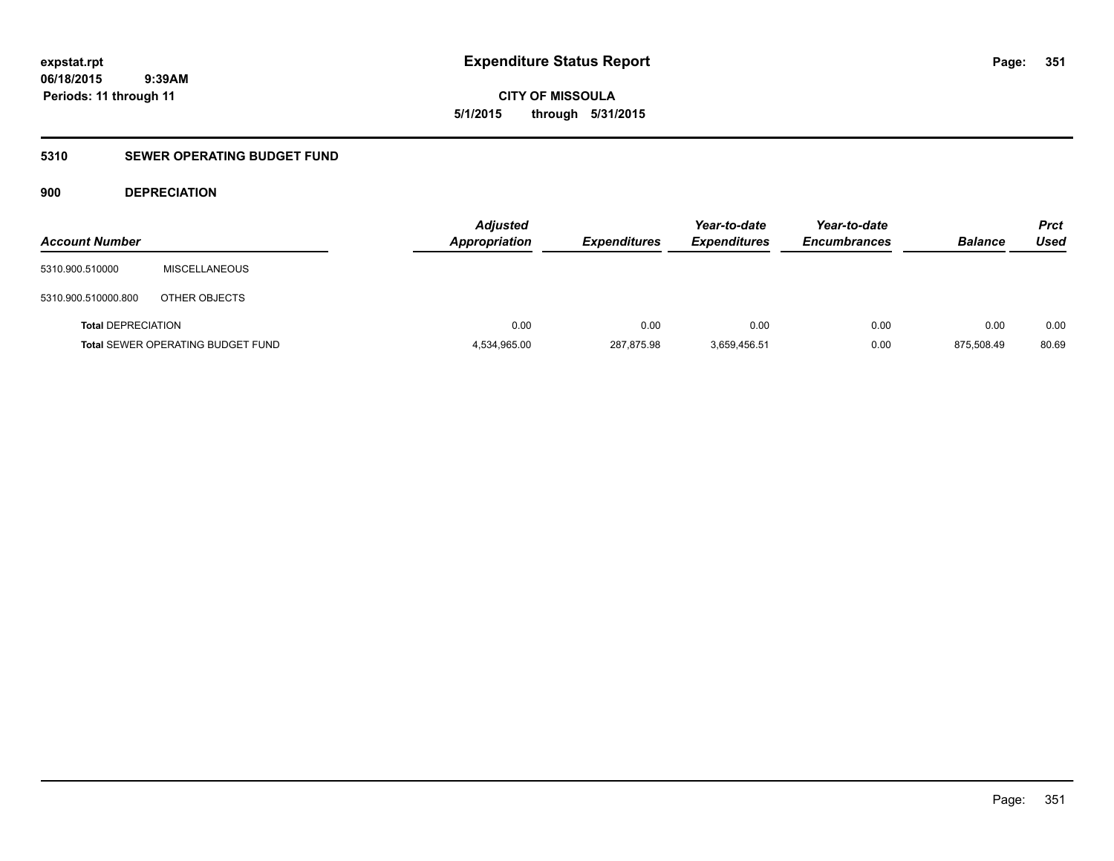**CITY OF MISSOULA 5/1/2015 through 5/31/2015**

### **5310 SEWER OPERATING BUDGET FUND**

### **900 DEPRECIATION**

| <b>Account Number</b>     |                                          | <b>Adjusted</b><br><b>Appropriation</b> | <b>Expenditures</b> | Year-to-date<br><b>Expenditures</b> | Year-to-date<br><b>Encumbrances</b> | <b>Balance</b> | <b>Prct</b><br>Used |
|---------------------------|------------------------------------------|-----------------------------------------|---------------------|-------------------------------------|-------------------------------------|----------------|---------------------|
| 5310.900.510000           | <b>MISCELLANEOUS</b>                     |                                         |                     |                                     |                                     |                |                     |
| 5310.900.510000.800       | OTHER OBJECTS                            |                                         |                     |                                     |                                     |                |                     |
| <b>Total DEPRECIATION</b> |                                          | 0.00                                    | 0.00                | 0.00                                | 0.00                                | 0.00           | 0.00                |
|                           | <b>Total SEWER OPERATING BUDGET FUND</b> | 4,534,965.00                            | 287,875.98          | 3,659,456.51                        | 0.00                                | 875.508.49     | 80.69               |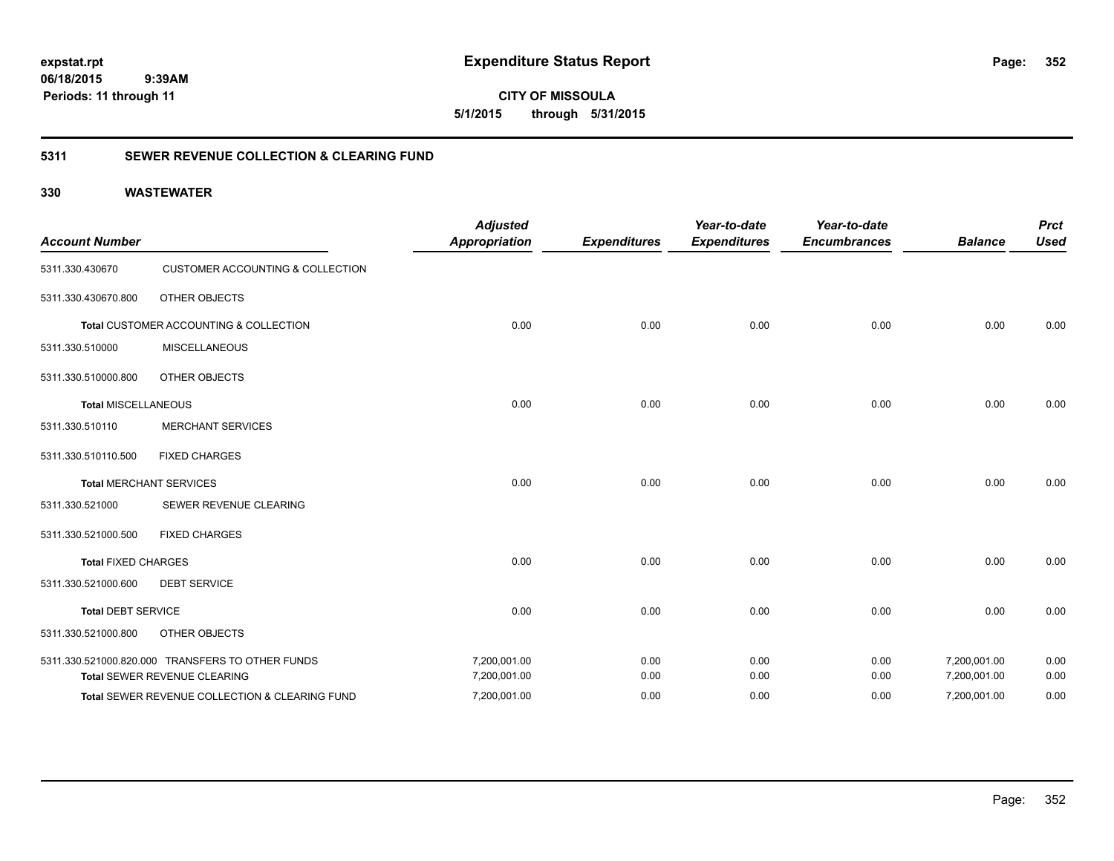**CITY OF MISSOULA 5/1/2015 through 5/31/2015**

### **5311 SEWER REVENUE COLLECTION & CLEARING FUND**

| <b>Account Number</b>      |                                                  | <b>Adjusted</b><br><b>Appropriation</b> | <b>Expenditures</b> | Year-to-date<br><b>Expenditures</b> | Year-to-date<br><b>Encumbrances</b> | <b>Balance</b> | <b>Prct</b><br><b>Used</b> |
|----------------------------|--------------------------------------------------|-----------------------------------------|---------------------|-------------------------------------|-------------------------------------|----------------|----------------------------|
| 5311.330.430670            | <b>CUSTOMER ACCOUNTING &amp; COLLECTION</b>      |                                         |                     |                                     |                                     |                |                            |
| 5311.330.430670.800        | OTHER OBJECTS                                    |                                         |                     |                                     |                                     |                |                            |
|                            | Total CUSTOMER ACCOUNTING & COLLECTION           | 0.00                                    | 0.00                | 0.00                                | 0.00                                | 0.00           | 0.00                       |
| 5311.330.510000            | <b>MISCELLANEOUS</b>                             |                                         |                     |                                     |                                     |                |                            |
| 5311.330.510000.800        | OTHER OBJECTS                                    |                                         |                     |                                     |                                     |                |                            |
| <b>Total MISCELLANEOUS</b> |                                                  | 0.00                                    | 0.00                | 0.00                                | 0.00                                | 0.00           | 0.00                       |
| 5311.330.510110            | <b>MERCHANT SERVICES</b>                         |                                         |                     |                                     |                                     |                |                            |
| 5311.330.510110.500        | <b>FIXED CHARGES</b>                             |                                         |                     |                                     |                                     |                |                            |
|                            | <b>Total MERCHANT SERVICES</b>                   | 0.00                                    | 0.00                | 0.00                                | 0.00                                | 0.00           | 0.00                       |
| 5311.330.521000            | SEWER REVENUE CLEARING                           |                                         |                     |                                     |                                     |                |                            |
| 5311.330.521000.500        | <b>FIXED CHARGES</b>                             |                                         |                     |                                     |                                     |                |                            |
| <b>Total FIXED CHARGES</b> |                                                  | 0.00                                    | 0.00                | 0.00                                | 0.00                                | 0.00           | 0.00                       |
| 5311.330.521000.600        | <b>DEBT SERVICE</b>                              |                                         |                     |                                     |                                     |                |                            |
| <b>Total DEBT SERVICE</b>  |                                                  | 0.00                                    | 0.00                | 0.00                                | 0.00                                | 0.00           | 0.00                       |
| 5311.330.521000.800        | OTHER OBJECTS                                    |                                         |                     |                                     |                                     |                |                            |
|                            | 5311.330.521000.820.000 TRANSFERS TO OTHER FUNDS | 7,200,001.00                            | 0.00                | 0.00                                | 0.00                                | 7,200,001.00   | 0.00                       |
|                            | Total SEWER REVENUE CLEARING                     | 7,200,001.00                            | 0.00                | 0.00                                | 0.00                                | 7,200,001.00   | 0.00                       |
|                            | Total SEWER REVENUE COLLECTION & CLEARING FUND   | 7,200,001.00                            | 0.00                | 0.00                                | 0.00                                | 7,200,001.00   | 0.00                       |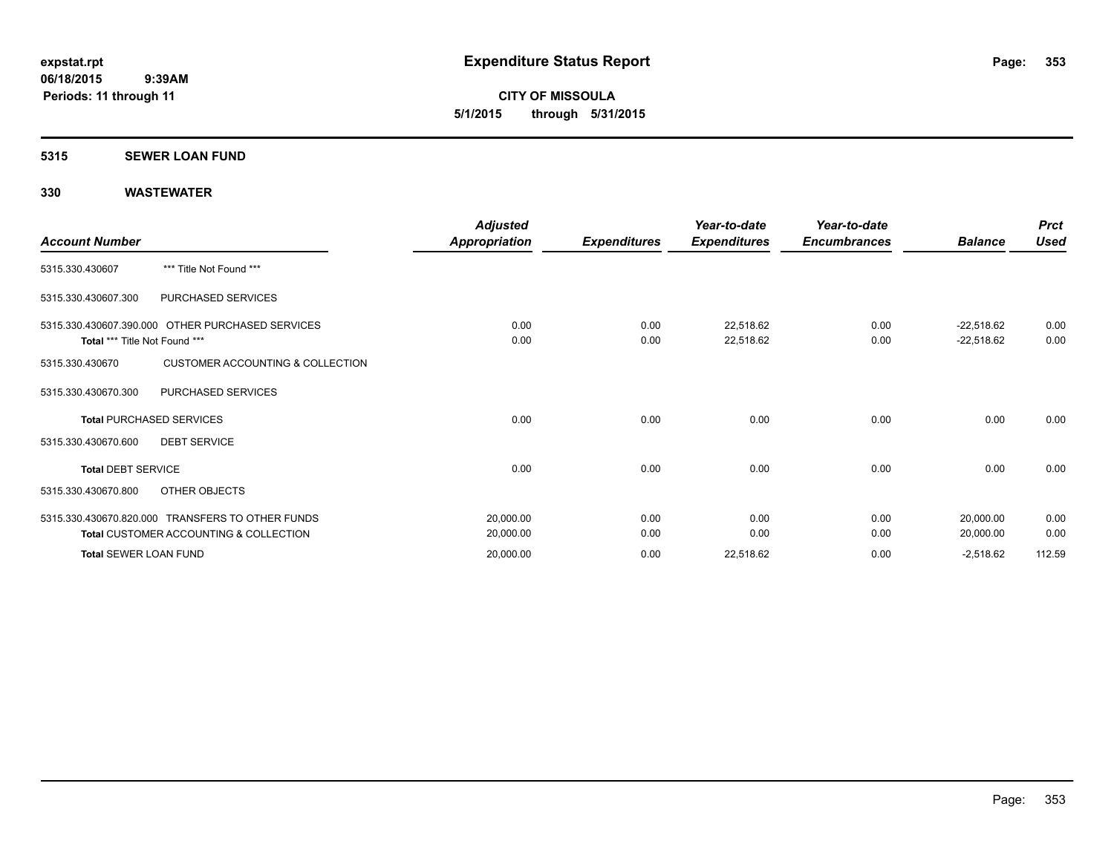**CITY OF MISSOULA 5/1/2015 through 5/31/2015**

#### **5315 SEWER LOAN FUND**

| <b>Account Number</b>           |                                                                                                       | <b>Adjusted</b><br><b>Appropriation</b> | <b>Expenditures</b> | Year-to-date<br><b>Expenditures</b> | Year-to-date<br><b>Encumbrances</b> | <b>Balance</b>               | <b>Prct</b><br><b>Used</b> |
|---------------------------------|-------------------------------------------------------------------------------------------------------|-----------------------------------------|---------------------|-------------------------------------|-------------------------------------|------------------------------|----------------------------|
| 5315.330.430607                 | *** Title Not Found ***                                                                               |                                         |                     |                                     |                                     |                              |                            |
| 5315.330.430607.300             | PURCHASED SERVICES                                                                                    |                                         |                     |                                     |                                     |                              |                            |
| Total *** Title Not Found ***   | 5315.330.430607.390.000 OTHER PURCHASED SERVICES                                                      | 0.00<br>0.00                            | 0.00<br>0.00        | 22,518.62<br>22,518.62              | 0.00<br>0.00                        | $-22,518.62$<br>$-22,518.62$ | 0.00<br>0.00               |
| 5315.330.430670                 | <b>CUSTOMER ACCOUNTING &amp; COLLECTION</b>                                                           |                                         |                     |                                     |                                     |                              |                            |
| 5315.330.430670.300             | PURCHASED SERVICES                                                                                    |                                         |                     |                                     |                                     |                              |                            |
| <b>Total PURCHASED SERVICES</b> |                                                                                                       | 0.00                                    | 0.00                | 0.00                                | 0.00                                | 0.00                         | 0.00                       |
| 5315.330.430670.600             | <b>DEBT SERVICE</b>                                                                                   |                                         |                     |                                     |                                     |                              |                            |
| <b>Total DEBT SERVICE</b>       |                                                                                                       | 0.00                                    | 0.00                | 0.00                                | 0.00                                | 0.00                         | 0.00                       |
| 5315.330.430670.800             | OTHER OBJECTS                                                                                         |                                         |                     |                                     |                                     |                              |                            |
|                                 | 5315.330.430670.820.000 TRANSFERS TO OTHER FUNDS<br><b>Total CUSTOMER ACCOUNTING &amp; COLLECTION</b> | 20,000.00<br>20,000.00                  | 0.00<br>0.00        | 0.00<br>0.00                        | 0.00<br>0.00                        | 20,000.00<br>20,000.00       | 0.00<br>0.00               |
| <b>Total SEWER LOAN FUND</b>    |                                                                                                       | 20,000.00                               | 0.00                | 22,518.62                           | 0.00                                | $-2,518.62$                  | 112.59                     |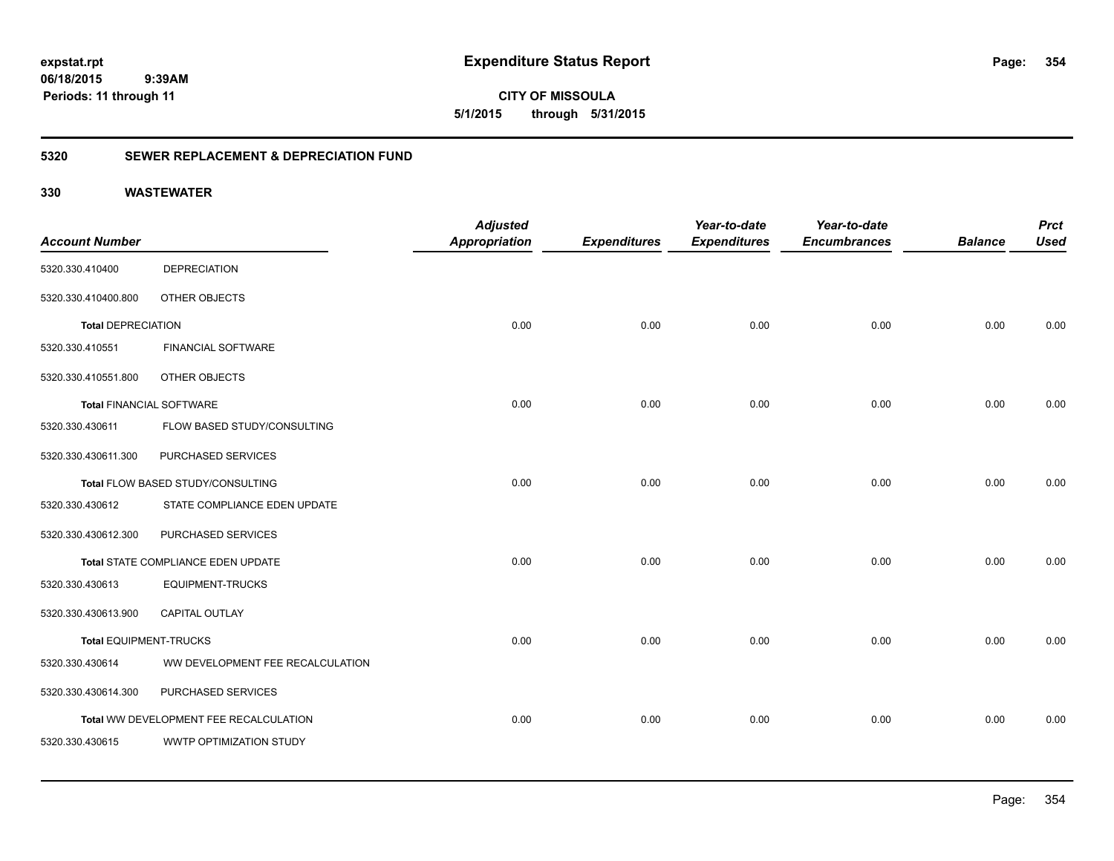**354**

**CITY OF MISSOULA 5/1/2015 through 5/31/2015**

### **5320 SEWER REPLACEMENT & DEPRECIATION FUND**

|                                 |                                        | <b>Adjusted</b>      |                     | Year-to-date        | Year-to-date        |                | <b>Prct</b> |
|---------------------------------|----------------------------------------|----------------------|---------------------|---------------------|---------------------|----------------|-------------|
| <b>Account Number</b>           |                                        | <b>Appropriation</b> | <b>Expenditures</b> | <b>Expenditures</b> | <b>Encumbrances</b> | <b>Balance</b> | <b>Used</b> |
| 5320.330.410400                 | <b>DEPRECIATION</b>                    |                      |                     |                     |                     |                |             |
| 5320.330.410400.800             | OTHER OBJECTS                          |                      |                     |                     |                     |                |             |
| <b>Total DEPRECIATION</b>       |                                        | 0.00                 | 0.00                | 0.00                | 0.00                | 0.00           | 0.00        |
| 5320.330.410551                 | <b>FINANCIAL SOFTWARE</b>              |                      |                     |                     |                     |                |             |
| 5320.330.410551.800             | OTHER OBJECTS                          |                      |                     |                     |                     |                |             |
| <b>Total FINANCIAL SOFTWARE</b> |                                        | 0.00                 | 0.00                | 0.00                | 0.00                | 0.00           | 0.00        |
| 5320.330.430611                 | FLOW BASED STUDY/CONSULTING            |                      |                     |                     |                     |                |             |
| 5320.330.430611.300             | PURCHASED SERVICES                     |                      |                     |                     |                     |                |             |
|                                 | Total FLOW BASED STUDY/CONSULTING      | 0.00                 | 0.00                | 0.00                | 0.00                | 0.00           | 0.00        |
| 5320.330.430612                 | STATE COMPLIANCE EDEN UPDATE           |                      |                     |                     |                     |                |             |
| 5320.330.430612.300             | PURCHASED SERVICES                     |                      |                     |                     |                     |                |             |
|                                 | Total STATE COMPLIANCE EDEN UPDATE     | 0.00                 | 0.00                | 0.00                | 0.00                | 0.00           | 0.00        |
| 5320.330.430613                 | <b>EQUIPMENT-TRUCKS</b>                |                      |                     |                     |                     |                |             |
| 5320.330.430613.900             | <b>CAPITAL OUTLAY</b>                  |                      |                     |                     |                     |                |             |
| Total EQUIPMENT-TRUCKS          |                                        | 0.00                 | 0.00                | 0.00                | 0.00                | 0.00           | 0.00        |
| 5320.330.430614                 | WW DEVELOPMENT FEE RECALCULATION       |                      |                     |                     |                     |                |             |
| 5320.330.430614.300             | PURCHASED SERVICES                     |                      |                     |                     |                     |                |             |
|                                 | Total WW DEVELOPMENT FEE RECALCULATION | 0.00                 | 0.00                | 0.00                | 0.00                | 0.00           | 0.00        |
| 5320.330.430615                 | WWTP OPTIMIZATION STUDY                |                      |                     |                     |                     |                |             |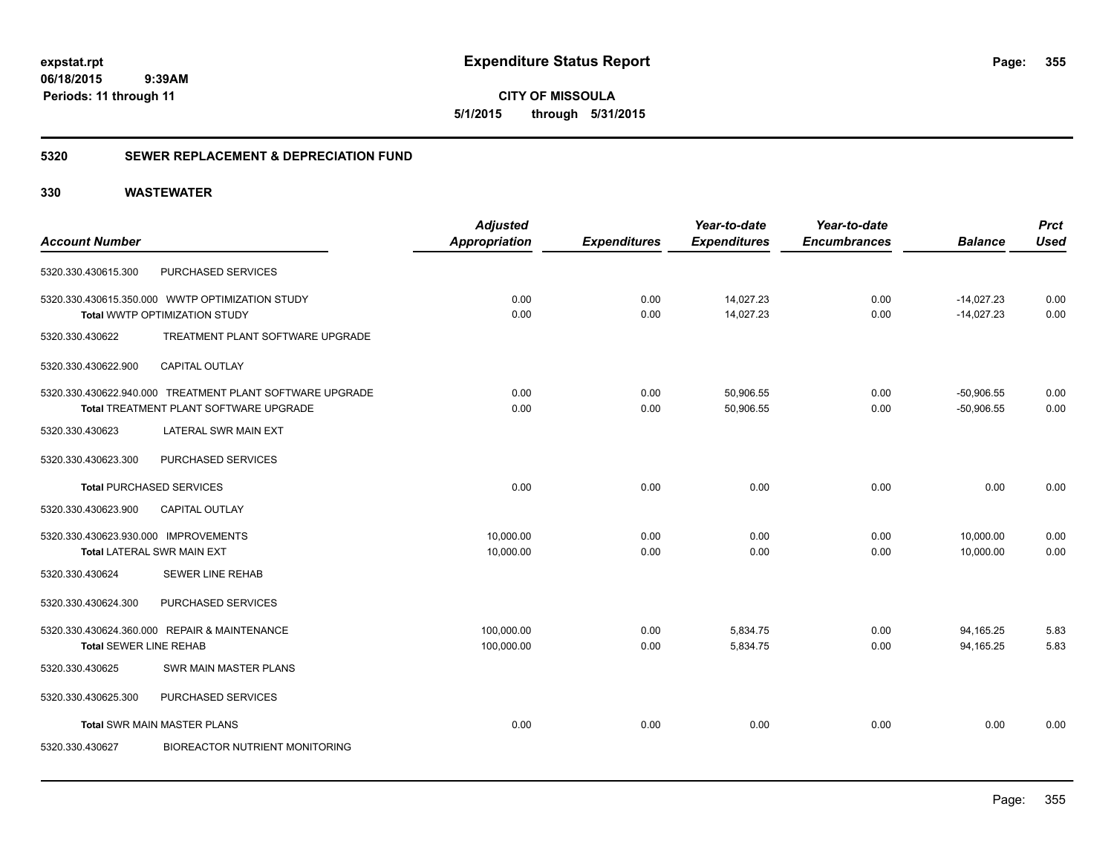**CITY OF MISSOULA 5/1/2015 through 5/31/2015**

### **5320 SEWER REPLACEMENT & DEPRECIATION FUND**

|                                      |                                                          | <b>Adjusted</b>      |                     | Year-to-date        | Year-to-date        |                | <b>Prct</b> |
|--------------------------------------|----------------------------------------------------------|----------------------|---------------------|---------------------|---------------------|----------------|-------------|
| <b>Account Number</b>                |                                                          | <b>Appropriation</b> | <b>Expenditures</b> | <b>Expenditures</b> | <b>Encumbrances</b> | <b>Balance</b> | <b>Used</b> |
| 5320.330.430615.300                  | PURCHASED SERVICES                                       |                      |                     |                     |                     |                |             |
|                                      | 5320.330.430615.350.000 WWTP OPTIMIZATION STUDY          | 0.00                 | 0.00                | 14,027.23           | 0.00                | $-14,027.23$   | 0.00        |
|                                      | Total WWTP OPTIMIZATION STUDY                            | 0.00                 | 0.00                | 14,027.23           | 0.00                | $-14,027.23$   | 0.00        |
| 5320.330.430622                      | TREATMENT PLANT SOFTWARE UPGRADE                         |                      |                     |                     |                     |                |             |
| 5320.330.430622.900                  | <b>CAPITAL OUTLAY</b>                                    |                      |                     |                     |                     |                |             |
|                                      | 5320.330.430622.940.000 TREATMENT PLANT SOFTWARE UPGRADE | 0.00                 | 0.00                | 50,906.55           | 0.00                | $-50,906.55$   | 0.00        |
|                                      | Total TREATMENT PLANT SOFTWARE UPGRADE                   | 0.00                 | 0.00                | 50,906.55           | 0.00                | $-50,906.55$   | 0.00        |
| 5320.330.430623                      | LATERAL SWR MAIN EXT                                     |                      |                     |                     |                     |                |             |
| 5320.330.430623.300                  | PURCHASED SERVICES                                       |                      |                     |                     |                     |                |             |
|                                      | <b>Total PURCHASED SERVICES</b>                          | 0.00                 | 0.00                | 0.00                | 0.00                | 0.00           | 0.00        |
| 5320.330.430623.900                  | <b>CAPITAL OUTLAY</b>                                    |                      |                     |                     |                     |                |             |
| 5320.330.430623.930.000 IMPROVEMENTS |                                                          | 10.000.00            | 0.00                | 0.00                | 0.00                | 10,000.00      | 0.00        |
|                                      | <b>Total LATERAL SWR MAIN EXT</b>                        | 10,000.00            | 0.00                | 0.00                | 0.00                | 10,000.00      | 0.00        |
| 5320.330.430624                      | <b>SEWER LINE REHAB</b>                                  |                      |                     |                     |                     |                |             |
| 5320.330.430624.300                  | PURCHASED SERVICES                                       |                      |                     |                     |                     |                |             |
|                                      | 5320.330.430624.360.000 REPAIR & MAINTENANCE             | 100,000.00           | 0.00                | 5,834.75            | 0.00                | 94,165.25      | 5.83        |
| <b>Total SEWER LINE REHAB</b>        |                                                          | 100,000.00           | 0.00                | 5,834.75            | 0.00                | 94,165.25      | 5.83        |
| 5320.330.430625                      | SWR MAIN MASTER PLANS                                    |                      |                     |                     |                     |                |             |
| 5320.330.430625.300                  | PURCHASED SERVICES                                       |                      |                     |                     |                     |                |             |
|                                      | <b>Total SWR MAIN MASTER PLANS</b>                       | 0.00                 | 0.00                | 0.00                | 0.00                | 0.00           | 0.00        |
| 5320.330.430627                      | <b>BIOREACTOR NUTRIENT MONITORING</b>                    |                      |                     |                     |                     |                |             |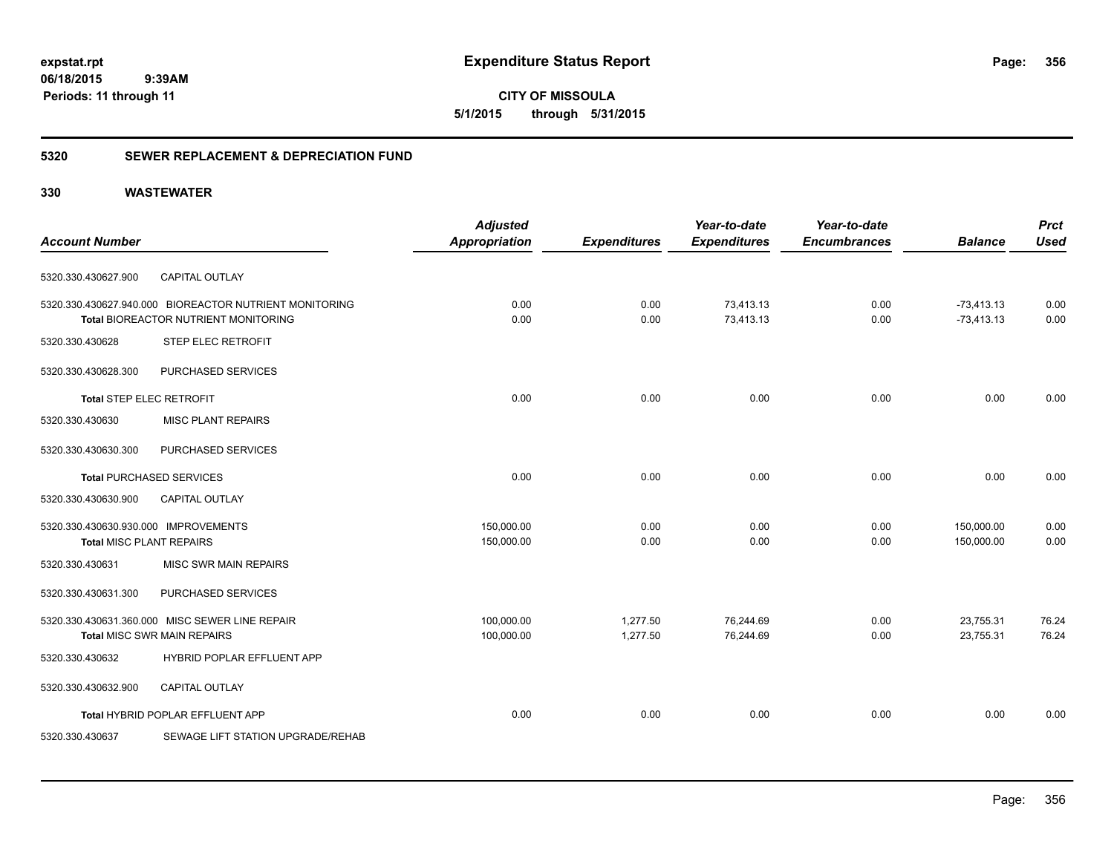**CITY OF MISSOULA 5/1/2015 through 5/31/2015**

### **5320 SEWER REPLACEMENT & DEPRECIATION FUND**

|                                      |                                                        | <b>Adjusted</b>      |                     | Year-to-date        | Year-to-date        |                | <b>Prct</b> |
|--------------------------------------|--------------------------------------------------------|----------------------|---------------------|---------------------|---------------------|----------------|-------------|
| <b>Account Number</b>                |                                                        | <b>Appropriation</b> | <b>Expenditures</b> | <b>Expenditures</b> | <b>Encumbrances</b> | <b>Balance</b> | <b>Used</b> |
| 5320.330.430627.900                  | <b>CAPITAL OUTLAY</b>                                  |                      |                     |                     |                     |                |             |
|                                      | 5320.330.430627.940.000 BIOREACTOR NUTRIENT MONITORING | 0.00                 | 0.00                | 73,413.13           | 0.00                | $-73,413.13$   | 0.00        |
|                                      | Total BIOREACTOR NUTRIENT MONITORING                   | 0.00                 | 0.00                | 73,413.13           | 0.00                | $-73,413.13$   | 0.00        |
| 5320.330.430628                      | STEP ELEC RETROFIT                                     |                      |                     |                     |                     |                |             |
| 5320.330.430628.300                  | PURCHASED SERVICES                                     |                      |                     |                     |                     |                |             |
| <b>Total STEP ELEC RETROFIT</b>      |                                                        | 0.00                 | 0.00                | 0.00                | 0.00                | 0.00           | 0.00        |
| 5320.330.430630                      | <b>MISC PLANT REPAIRS</b>                              |                      |                     |                     |                     |                |             |
| 5320.330.430630.300                  | PURCHASED SERVICES                                     |                      |                     |                     |                     |                |             |
|                                      | <b>Total PURCHASED SERVICES</b>                        | 0.00                 | 0.00                | 0.00                | 0.00                | 0.00           | 0.00        |
| 5320.330.430630.900                  | <b>CAPITAL OUTLAY</b>                                  |                      |                     |                     |                     |                |             |
| 5320.330.430630.930.000 IMPROVEMENTS |                                                        | 150,000.00           | 0.00                | 0.00                | 0.00                | 150,000.00     | 0.00        |
| <b>Total MISC PLANT REPAIRS</b>      |                                                        | 150,000.00           | 0.00                | 0.00                | 0.00                | 150,000.00     | 0.00        |
| 5320.330.430631                      | <b>MISC SWR MAIN REPAIRS</b>                           |                      |                     |                     |                     |                |             |
| 5320.330.430631.300                  | PURCHASED SERVICES                                     |                      |                     |                     |                     |                |             |
|                                      | 5320.330.430631.360.000 MISC SEWER LINE REPAIR         | 100,000.00           | 1,277.50            | 76,244.69           | 0.00                | 23,755.31      | 76.24       |
|                                      | <b>Total MISC SWR MAIN REPAIRS</b>                     | 100,000.00           | 1,277.50            | 76,244.69           | 0.00                | 23,755.31      | 76.24       |
| 5320.330.430632                      | <b>HYBRID POPLAR EFFLUENT APP</b>                      |                      |                     |                     |                     |                |             |
| 5320.330.430632.900                  | <b>CAPITAL OUTLAY</b>                                  |                      |                     |                     |                     |                |             |
|                                      | Total HYBRID POPLAR EFFLUENT APP                       | 0.00                 | 0.00                | 0.00                | 0.00                | 0.00           | 0.00        |
| 5320.330.430637                      | SEWAGE LIFT STATION UPGRADE/REHAB                      |                      |                     |                     |                     |                |             |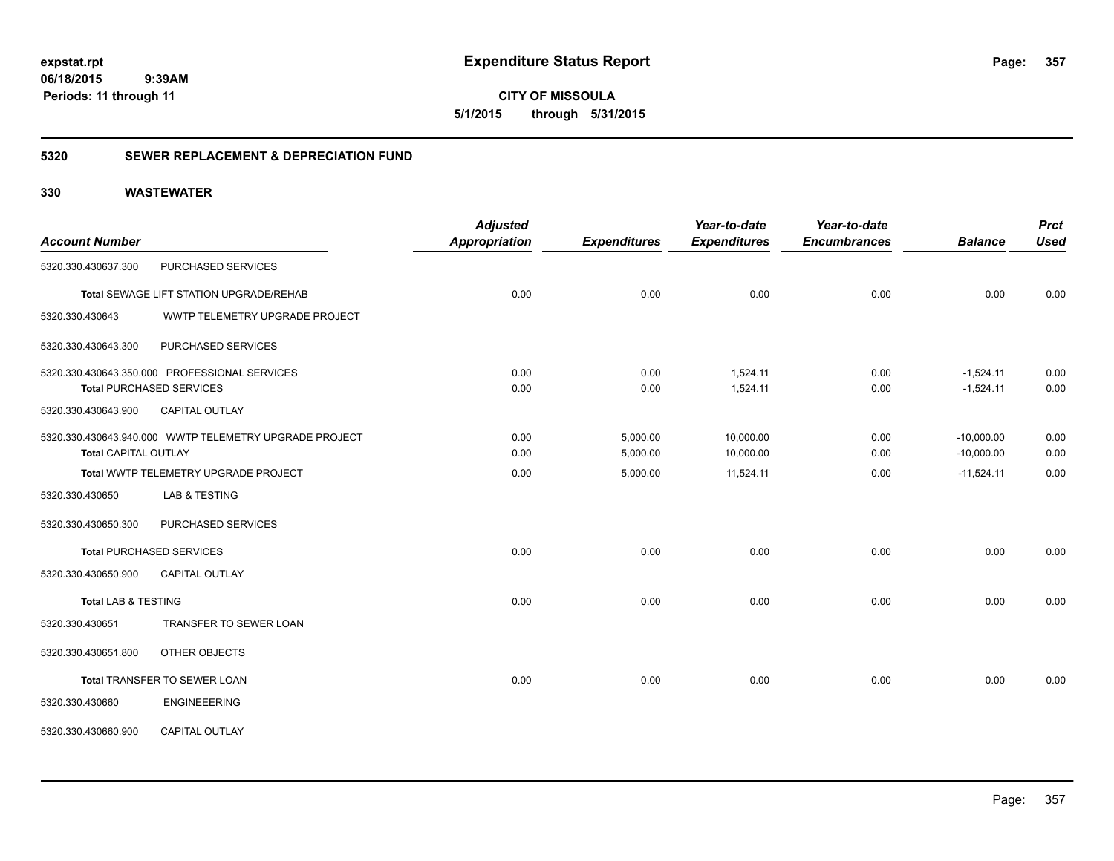**CITY OF MISSOULA 5/1/2015 through 5/31/2015**

### **5320 SEWER REPLACEMENT & DEPRECIATION FUND**

|                                |                                                        | <b>Adjusted</b>      |                     | Year-to-date        | Year-to-date        |                | <b>Prct</b> |
|--------------------------------|--------------------------------------------------------|----------------------|---------------------|---------------------|---------------------|----------------|-------------|
| <b>Account Number</b>          |                                                        | <b>Appropriation</b> | <b>Expenditures</b> | <b>Expenditures</b> | <b>Encumbrances</b> | <b>Balance</b> | <b>Used</b> |
| 5320.330.430637.300            | PURCHASED SERVICES                                     |                      |                     |                     |                     |                |             |
|                                | Total SEWAGE LIFT STATION UPGRADE/REHAB                | 0.00                 | 0.00                | 0.00                | 0.00                | 0.00           | 0.00        |
| 5320.330.430643                | WWTP TELEMETRY UPGRADE PROJECT                         |                      |                     |                     |                     |                |             |
| 5320.330.430643.300            | PURCHASED SERVICES                                     |                      |                     |                     |                     |                |             |
|                                | 5320.330.430643.350.000 PROFESSIONAL SERVICES          | 0.00                 | 0.00                | 1,524.11            | 0.00                | $-1,524.11$    | 0.00        |
|                                | <b>Total PURCHASED SERVICES</b>                        | 0.00                 | 0.00                | 1,524.11            | 0.00                | $-1,524.11$    | 0.00        |
| 5320.330.430643.900            | <b>CAPITAL OUTLAY</b>                                  |                      |                     |                     |                     |                |             |
|                                | 5320.330.430643.940.000 WWTP TELEMETRY UPGRADE PROJECT | 0.00                 | 5,000.00            | 10,000.00           | 0.00                | $-10,000.00$   | 0.00        |
| <b>Total CAPITAL OUTLAY</b>    |                                                        | 0.00                 | 5,000.00            | 10,000.00           | 0.00                | $-10,000.00$   | 0.00        |
|                                | Total WWTP TELEMETRY UPGRADE PROJECT                   | 0.00                 | 5,000.00            | 11,524.11           | 0.00                | $-11,524.11$   | 0.00        |
| 5320.330.430650                | <b>LAB &amp; TESTING</b>                               |                      |                     |                     |                     |                |             |
| 5320.330.430650.300            | PURCHASED SERVICES                                     |                      |                     |                     |                     |                |             |
|                                | <b>Total PURCHASED SERVICES</b>                        | 0.00                 | 0.00                | 0.00                | 0.00                | 0.00           | 0.00        |
| 5320.330.430650.900            | <b>CAPITAL OUTLAY</b>                                  |                      |                     |                     |                     |                |             |
| <b>Total LAB &amp; TESTING</b> |                                                        | 0.00                 | 0.00                | 0.00                | 0.00                | 0.00           | 0.00        |
| 5320.330.430651                | TRANSFER TO SEWER LOAN                                 |                      |                     |                     |                     |                |             |
| 5320.330.430651.800            | OTHER OBJECTS                                          |                      |                     |                     |                     |                |             |
|                                | Total TRANSFER TO SEWER LOAN                           | 0.00                 | 0.00                | 0.00                | 0.00                | 0.00           | 0.00        |
| 5320.330.430660                | <b>ENGINEEERING</b>                                    |                      |                     |                     |                     |                |             |
| 5320.330.430660.900            | <b>CAPITAL OUTLAY</b>                                  |                      |                     |                     |                     |                |             |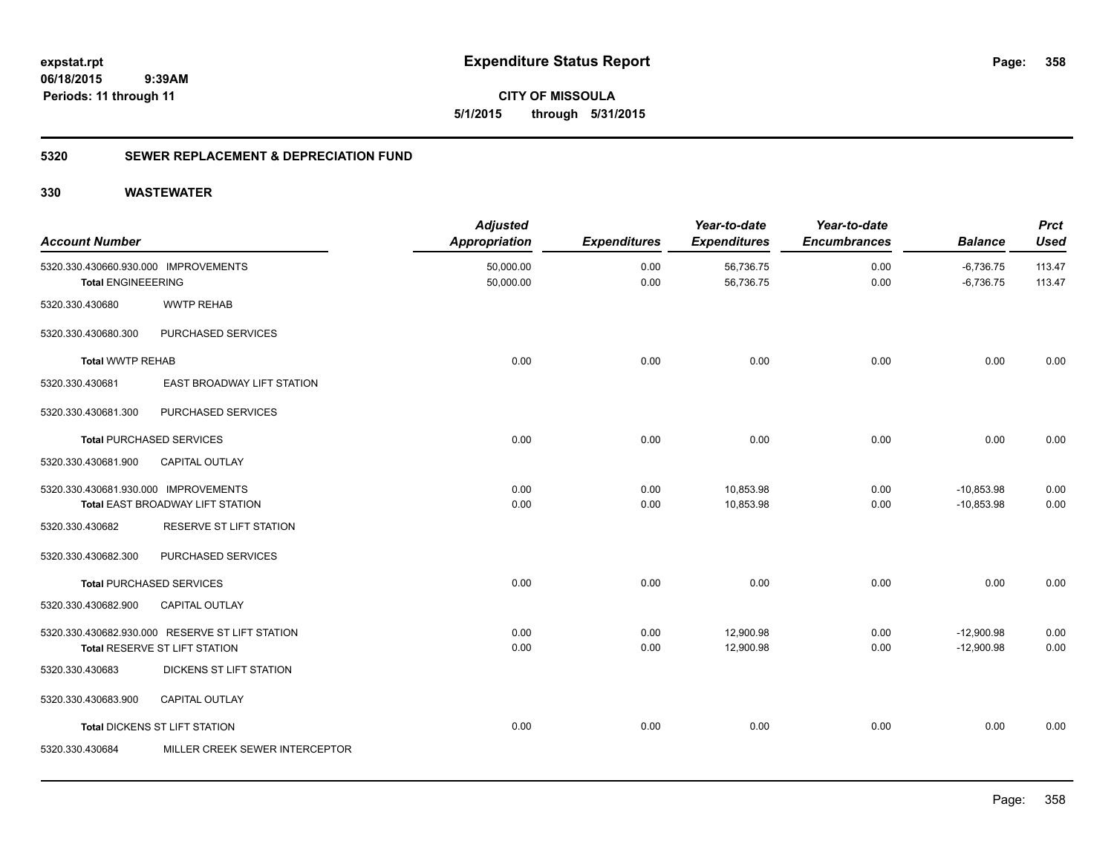**358**

**CITY OF MISSOULA 5/1/2015 through 5/31/2015**

### **5320 SEWER REPLACEMENT & DEPRECIATION FUND**

| <b>Account Number</b>                                             |                                                                                  | <b>Adjusted</b><br><b>Appropriation</b> | <b>Expenditures</b> | Year-to-date<br><b>Expenditures</b> | Year-to-date<br><b>Encumbrances</b> | <b>Balance</b>               | <b>Prct</b><br><b>Used</b> |
|-------------------------------------------------------------------|----------------------------------------------------------------------------------|-----------------------------------------|---------------------|-------------------------------------|-------------------------------------|------------------------------|----------------------------|
| 5320.330.430660.930.000 IMPROVEMENTS<br><b>Total ENGINEEERING</b> |                                                                                  | 50,000.00<br>50,000.00                  | 0.00<br>0.00        | 56,736.75<br>56,736.75              | 0.00<br>0.00                        | $-6,736.75$<br>$-6,736.75$   | 113.47<br>113.47           |
| 5320.330.430680                                                   | <b>WWTP REHAB</b>                                                                |                                         |                     |                                     |                                     |                              |                            |
| 5320.330.430680.300                                               | PURCHASED SERVICES                                                               |                                         |                     |                                     |                                     |                              |                            |
| <b>Total WWTP REHAB</b>                                           |                                                                                  | 0.00                                    | 0.00                | 0.00                                | 0.00                                | 0.00                         | 0.00                       |
| 5320.330.430681                                                   | EAST BROADWAY LIFT STATION                                                       |                                         |                     |                                     |                                     |                              |                            |
| 5320.330.430681.300                                               | PURCHASED SERVICES                                                               |                                         |                     |                                     |                                     |                              |                            |
|                                                                   | <b>Total PURCHASED SERVICES</b>                                                  | 0.00                                    | 0.00                | 0.00                                | 0.00                                | 0.00                         | 0.00                       |
| 5320.330.430681.900                                               | <b>CAPITAL OUTLAY</b>                                                            |                                         |                     |                                     |                                     |                              |                            |
| 5320.330.430681.930.000 IMPROVEMENTS                              | Total EAST BROADWAY LIFT STATION                                                 | 0.00<br>0.00                            | 0.00<br>0.00        | 10,853.98<br>10,853.98              | 0.00<br>0.00                        | $-10,853.98$<br>$-10,853.98$ | 0.00<br>0.00               |
| 5320.330.430682                                                   | <b>RESERVE ST LIFT STATION</b>                                                   |                                         |                     |                                     |                                     |                              |                            |
| 5320.330.430682.300                                               | PURCHASED SERVICES                                                               |                                         |                     |                                     |                                     |                              |                            |
|                                                                   | <b>Total PURCHASED SERVICES</b>                                                  | 0.00                                    | 0.00                | 0.00                                | 0.00                                | 0.00                         | 0.00                       |
| 5320.330.430682.900                                               | <b>CAPITAL OUTLAY</b>                                                            |                                         |                     |                                     |                                     |                              |                            |
|                                                                   | 5320.330.430682.930.000 RESERVE ST LIFT STATION<br>Total RESERVE ST LIFT STATION | 0.00<br>0.00                            | 0.00<br>0.00        | 12,900.98<br>12,900.98              | 0.00<br>0.00                        | $-12,900.98$<br>$-12,900.98$ | 0.00<br>0.00               |
| 5320.330.430683                                                   | DICKENS ST LIFT STATION                                                          |                                         |                     |                                     |                                     |                              |                            |
| 5320.330.430683.900                                               | <b>CAPITAL OUTLAY</b>                                                            |                                         |                     |                                     |                                     |                              |                            |
|                                                                   | Total DICKENS ST LIFT STATION                                                    | 0.00                                    | 0.00                | 0.00                                | 0.00                                | 0.00                         | 0.00                       |
| 5320.330.430684                                                   | MILLER CREEK SEWER INTERCEPTOR                                                   |                                         |                     |                                     |                                     |                              |                            |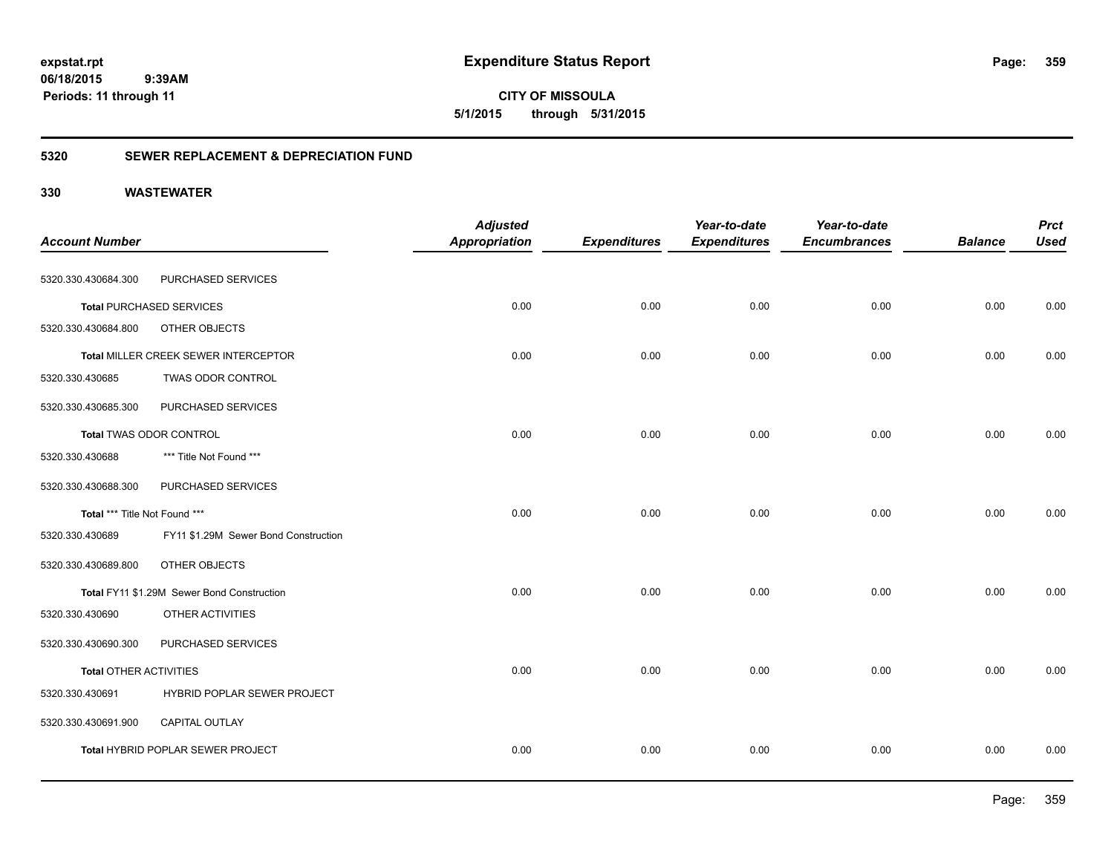**359**

**CITY OF MISSOULA 5/1/2015 through 5/31/2015**

### **5320 SEWER REPLACEMENT & DEPRECIATION FUND**

| <b>Account Number</b>         |                                            | <b>Adjusted</b><br><b>Appropriation</b> | <b>Expenditures</b> | Year-to-date<br><b>Expenditures</b> | Year-to-date<br><b>Encumbrances</b> | <b>Balance</b> | <b>Prct</b><br><b>Used</b> |
|-------------------------------|--------------------------------------------|-----------------------------------------|---------------------|-------------------------------------|-------------------------------------|----------------|----------------------------|
|                               |                                            |                                         |                     |                                     |                                     |                |                            |
| 5320.330.430684.300           | PURCHASED SERVICES                         |                                         |                     |                                     |                                     |                |                            |
|                               | <b>Total PURCHASED SERVICES</b>            | 0.00                                    | 0.00                | 0.00                                | 0.00                                | 0.00           | 0.00                       |
| 5320.330.430684.800           | OTHER OBJECTS                              |                                         |                     |                                     |                                     |                |                            |
|                               | Total MILLER CREEK SEWER INTERCEPTOR       | 0.00                                    | 0.00                | 0.00                                | 0.00                                | 0.00           | 0.00                       |
| 5320.330.430685               | <b>TWAS ODOR CONTROL</b>                   |                                         |                     |                                     |                                     |                |                            |
| 5320.330.430685.300           | PURCHASED SERVICES                         |                                         |                     |                                     |                                     |                |                            |
|                               | Total TWAS ODOR CONTROL                    | 0.00                                    | 0.00                | 0.00                                | 0.00                                | 0.00           | 0.00                       |
| 5320.330.430688               | *** Title Not Found ***                    |                                         |                     |                                     |                                     |                |                            |
| 5320.330.430688.300           | PURCHASED SERVICES                         |                                         |                     |                                     |                                     |                |                            |
| Total *** Title Not Found *** |                                            | 0.00                                    | 0.00                | 0.00                                | 0.00                                | 0.00           | 0.00                       |
| 5320.330.430689               | FY11 \$1.29M Sewer Bond Construction       |                                         |                     |                                     |                                     |                |                            |
| 5320.330.430689.800           | OTHER OBJECTS                              |                                         |                     |                                     |                                     |                |                            |
|                               | Total FY11 \$1.29M Sewer Bond Construction | 0.00                                    | 0.00                | 0.00                                | 0.00                                | 0.00           | 0.00                       |
| 5320.330.430690               | OTHER ACTIVITIES                           |                                         |                     |                                     |                                     |                |                            |
| 5320.330.430690.300           | PURCHASED SERVICES                         |                                         |                     |                                     |                                     |                |                            |
| <b>Total OTHER ACTIVITIES</b> |                                            | 0.00                                    | 0.00                | 0.00                                | 0.00                                | 0.00           | 0.00                       |
| 5320.330.430691               | HYBRID POPLAR SEWER PROJECT                |                                         |                     |                                     |                                     |                |                            |
| 5320.330.430691.900           | CAPITAL OUTLAY                             |                                         |                     |                                     |                                     |                |                            |
|                               | Total HYBRID POPLAR SEWER PROJECT          | 0.00                                    | 0.00                | 0.00                                | 0.00                                | 0.00           | 0.00                       |
|                               |                                            |                                         |                     |                                     |                                     |                |                            |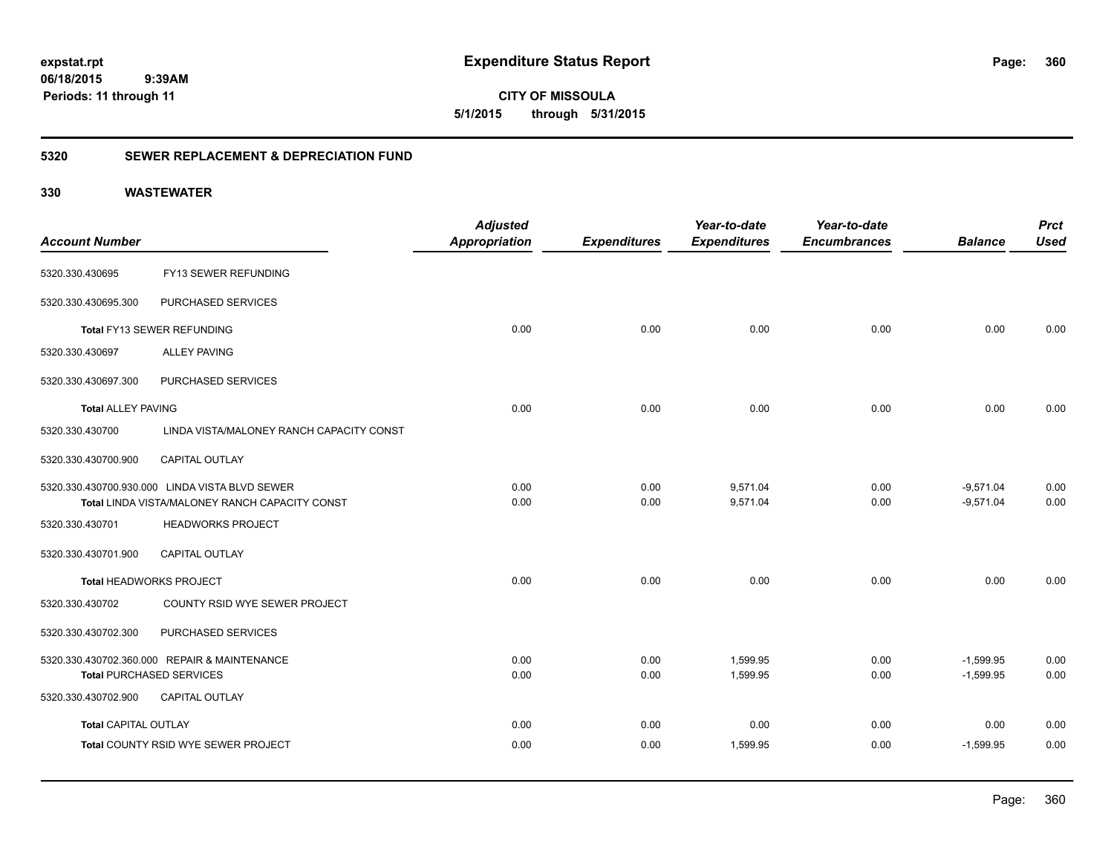**360**

**CITY OF MISSOULA 5/1/2015 through 5/31/2015**

### **5320 SEWER REPLACEMENT & DEPRECIATION FUND**

| <b>Account Number</b>       |                                                | <b>Adjusted</b><br><b>Appropriation</b> | <b>Expenditures</b> | Year-to-date<br><b>Expenditures</b> | Year-to-date<br><b>Encumbrances</b> | <b>Balance</b> | <b>Prct</b><br><b>Used</b> |
|-----------------------------|------------------------------------------------|-----------------------------------------|---------------------|-------------------------------------|-------------------------------------|----------------|----------------------------|
| 5320.330.430695             | FY13 SEWER REFUNDING                           |                                         |                     |                                     |                                     |                |                            |
| 5320.330.430695.300         | PURCHASED SERVICES                             |                                         |                     |                                     |                                     |                |                            |
|                             | Total FY13 SEWER REFUNDING                     | 0.00                                    | 0.00                | 0.00                                | 0.00                                | 0.00           | 0.00                       |
| 5320.330.430697             | <b>ALLEY PAVING</b>                            |                                         |                     |                                     |                                     |                |                            |
| 5320.330.430697.300         | PURCHASED SERVICES                             |                                         |                     |                                     |                                     |                |                            |
| <b>Total ALLEY PAVING</b>   |                                                | 0.00                                    | 0.00                | 0.00                                | 0.00                                | 0.00           | 0.00                       |
| 5320.330.430700             | LINDA VISTA/MALONEY RANCH CAPACITY CONST       |                                         |                     |                                     |                                     |                |                            |
| 5320.330.430700.900         | <b>CAPITAL OUTLAY</b>                          |                                         |                     |                                     |                                     |                |                            |
|                             | 5320.330.430700.930.000 LINDA VISTA BLVD SEWER | 0.00                                    | 0.00                | 9,571.04                            | 0.00                                | $-9,571.04$    | 0.00                       |
|                             |                                                |                                         |                     |                                     |                                     |                | 0.00                       |
| 5320.330.430701             | <b>HEADWORKS PROJECT</b>                       |                                         |                     |                                     |                                     |                |                            |
| 5320.330.430701.900         | CAPITAL OUTLAY                                 |                                         |                     |                                     |                                     |                |                            |
|                             | <b>Total HEADWORKS PROJECT</b>                 | 0.00                                    | 0.00                | 0.00                                | 0.00                                | 0.00           | 0.00                       |
| 5320.330.430702             | COUNTY RSID WYE SEWER PROJECT                  |                                         |                     |                                     |                                     |                |                            |
| 5320.330.430702.300         | PURCHASED SERVICES                             |                                         |                     |                                     |                                     |                |                            |
|                             | 5320.330.430702.360.000 REPAIR & MAINTENANCE   | 0.00                                    | 0.00                | 1,599.95                            | 0.00                                | $-1,599.95$    | 0.00                       |
|                             | <b>Total PURCHASED SERVICES</b>                | 0.00                                    | 0.00                | 1,599.95                            | 0.00                                | $-1,599.95$    | 0.00                       |
| 5320.330.430702.900         | CAPITAL OUTLAY                                 |                                         |                     |                                     |                                     |                |                            |
| <b>Total CAPITAL OUTLAY</b> |                                                | 0.00                                    | 0.00                | 0.00                                | 0.00                                | 0.00           | 0.00                       |
|                             | Total COUNTY RSID WYE SEWER PROJECT            | 0.00                                    | 0.00                | 1,599.95                            | 0.00                                | $-1,599.95$    | 0.00                       |
|                             | Total LINDA VISTA/MALONEY RANCH CAPACITY CONST | 0.00                                    | 0.00                | 9,571.04                            | 0.00                                | $-9,571.04$    |                            |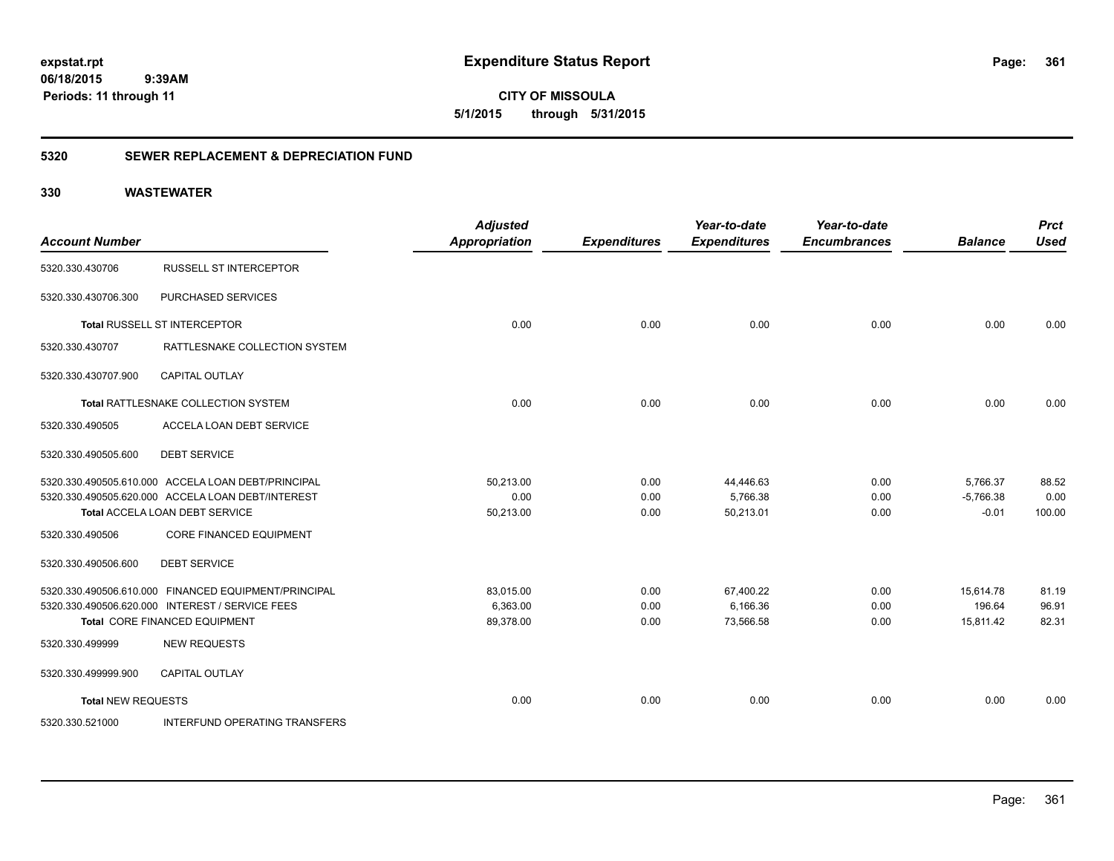**361**

**CITY OF MISSOULA 5/1/2015 through 5/31/2015**

### **5320 SEWER REPLACEMENT & DEPRECIATION FUND**

| <b>Account Number</b>     |                                                      | <b>Adjusted</b><br><b>Appropriation</b> | <b>Expenditures</b> | Year-to-date<br><b>Expenditures</b> | Year-to-date<br><b>Encumbrances</b> | <b>Balance</b> | <b>Prct</b><br><b>Used</b> |
|---------------------------|------------------------------------------------------|-----------------------------------------|---------------------|-------------------------------------|-------------------------------------|----------------|----------------------------|
| 5320.330.430706           | <b>RUSSELL ST INTERCEPTOR</b>                        |                                         |                     |                                     |                                     |                |                            |
| 5320.330.430706.300       | PURCHASED SERVICES                                   |                                         |                     |                                     |                                     |                |                            |
|                           | Total RUSSELL ST INTERCEPTOR                         | 0.00                                    | 0.00                | 0.00                                | 0.00                                | 0.00           | 0.00                       |
| 5320.330.430707           | RATTLESNAKE COLLECTION SYSTEM                        |                                         |                     |                                     |                                     |                |                            |
| 5320.330.430707.900       | <b>CAPITAL OUTLAY</b>                                |                                         |                     |                                     |                                     |                |                            |
|                           | Total RATTLESNAKE COLLECTION SYSTEM                  | 0.00                                    | 0.00                | 0.00                                | 0.00                                | 0.00           | 0.00                       |
| 5320.330.490505           | ACCELA LOAN DEBT SERVICE                             |                                         |                     |                                     |                                     |                |                            |
| 5320.330.490505.600       | <b>DEBT SERVICE</b>                                  |                                         |                     |                                     |                                     |                |                            |
|                           | 5320.330.490505.610.000 ACCELA LOAN DEBT/PRINCIPAL   | 50,213.00                               | 0.00                | 44,446.63                           | 0.00                                | 5,766.37       | 88.52                      |
|                           | 5320.330.490505.620.000 ACCELA LOAN DEBT/INTEREST    | 0.00                                    | 0.00                | 5,766.38                            | 0.00                                | $-5,766.38$    | 0.00                       |
|                           | Total ACCELA LOAN DEBT SERVICE                       | 50,213.00                               | 0.00                | 50,213.01                           | 0.00                                | $-0.01$        | 100.00                     |
| 5320.330.490506           | <b>CORE FINANCED EQUIPMENT</b>                       |                                         |                     |                                     |                                     |                |                            |
| 5320.330.490506.600       | <b>DEBT SERVICE</b>                                  |                                         |                     |                                     |                                     |                |                            |
|                           | 5320.330.490506.610.000 FINANCED EQUIPMENT/PRINCIPAL | 83,015.00                               | 0.00                | 67,400.22                           | 0.00                                | 15,614.78      | 81.19                      |
|                           | 5320.330.490506.620.000 INTEREST / SERVICE FEES      | 6,363.00                                | 0.00                | 6,166.36                            | 0.00                                | 196.64         | 96.91                      |
|                           | <b>Total CORE FINANCED EQUIPMENT</b>                 | 89,378.00                               | 0.00                | 73,566.58                           | 0.00                                | 15,811.42      | 82.31                      |
| 5320.330.499999           | <b>NEW REQUESTS</b>                                  |                                         |                     |                                     |                                     |                |                            |
| 5320.330.499999.900       | CAPITAL OUTLAY                                       |                                         |                     |                                     |                                     |                |                            |
| <b>Total NEW REQUESTS</b> |                                                      | 0.00                                    | 0.00                | 0.00                                | 0.00                                | 0.00           | 0.00                       |
| 5320.330.521000           | <b>INTERFUND OPERATING TRANSFERS</b>                 |                                         |                     |                                     |                                     |                |                            |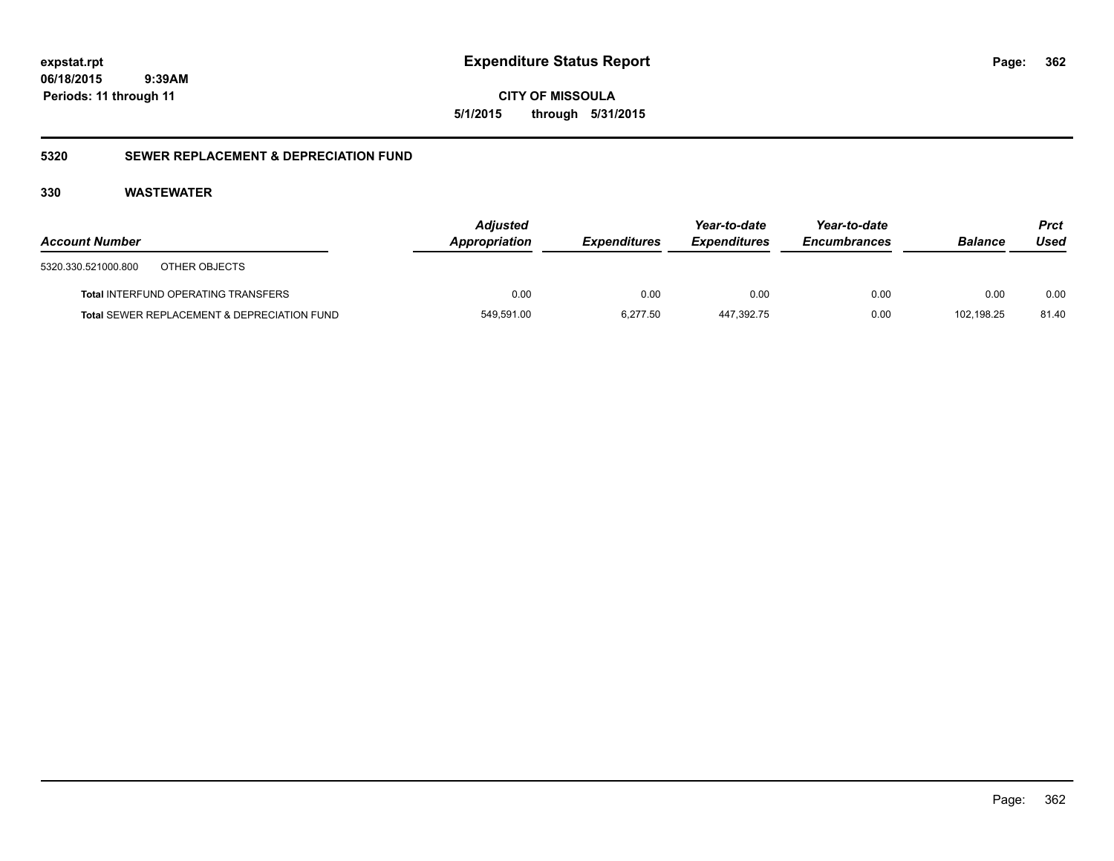**CITY OF MISSOULA 5/1/2015 through 5/31/2015**

### **5320 SEWER REPLACEMENT & DEPRECIATION FUND**

| <b>Account Number</b>                       | <b>Adjusted</b><br>Appropriation | <b>Expenditures</b> | Year-to-date<br><b>Expenditures</b> | Year-to-date<br><b>Encumbrances</b> | <b>Balance</b> | Prct<br>Used |
|---------------------------------------------|----------------------------------|---------------------|-------------------------------------|-------------------------------------|----------------|--------------|
| 5320.330.521000.800<br>OTHER OBJECTS        |                                  |                     |                                     |                                     |                |              |
| <b>Total INTERFUND OPERATING TRANSFERS</b>  | 0.00                             | 0.00                | 0.00                                | 0.00                                | 0.00           | 0.00         |
| Total SEWER REPLACEMENT & DEPRECIATION FUND | 549,591.00                       | 6.277.50            | 447.392.75                          | 0.00                                | 102.198.25     | 81.40        |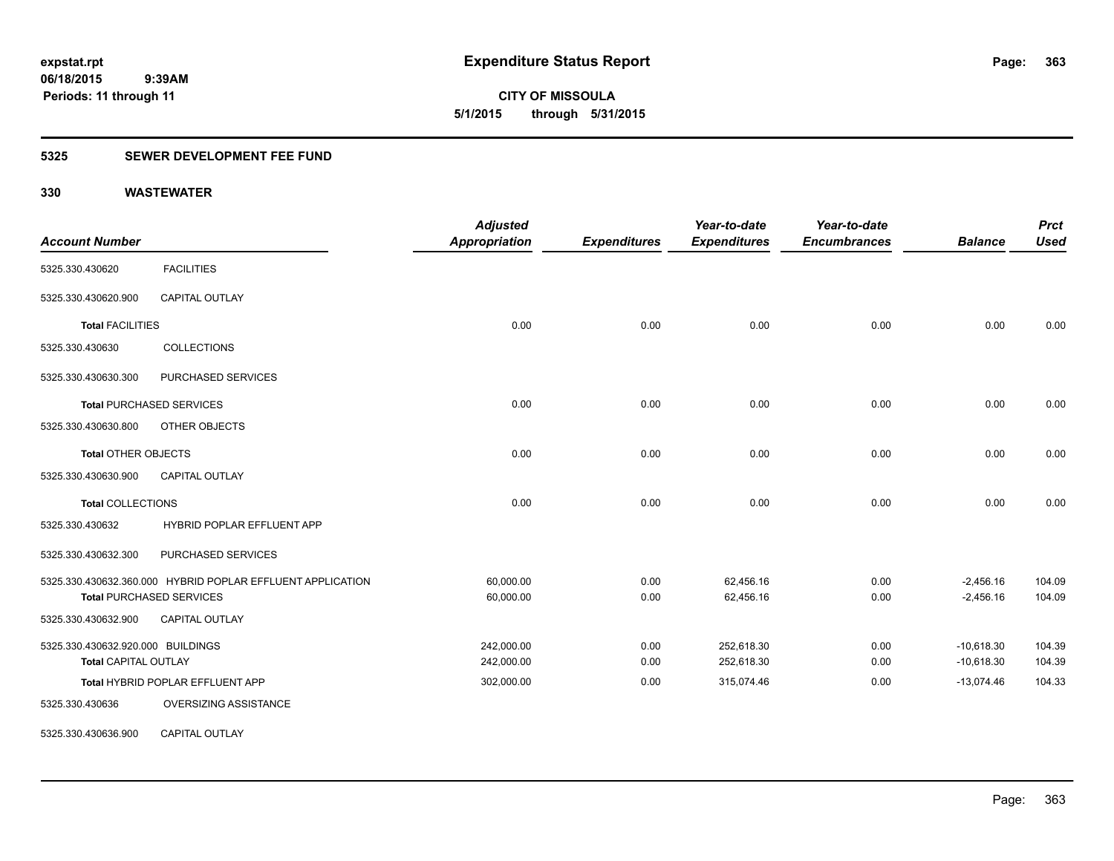**363**

**06/18/2015 9:39AM Periods: 11 through 11**

**CITY OF MISSOULA 5/1/2015 through 5/31/2015**

### **5325 SEWER DEVELOPMENT FEE FUND**

| <b>Account Number</b>             |                                                            | <b>Adjusted</b><br><b>Appropriation</b> | <b>Expenditures</b> | Year-to-date<br><b>Expenditures</b> | Year-to-date<br><b>Encumbrances</b> | <b>Balance</b> | <b>Prct</b><br><b>Used</b> |
|-----------------------------------|------------------------------------------------------------|-----------------------------------------|---------------------|-------------------------------------|-------------------------------------|----------------|----------------------------|
| 5325.330.430620                   | <b>FACILITIES</b>                                          |                                         |                     |                                     |                                     |                |                            |
| 5325.330.430620.900               | <b>CAPITAL OUTLAY</b>                                      |                                         |                     |                                     |                                     |                |                            |
| <b>Total FACILITIES</b>           |                                                            | 0.00                                    | 0.00                | 0.00                                | 0.00                                | 0.00           | 0.00                       |
| 5325.330.430630                   | <b>COLLECTIONS</b>                                         |                                         |                     |                                     |                                     |                |                            |
| 5325.330.430630.300               | PURCHASED SERVICES                                         |                                         |                     |                                     |                                     |                |                            |
|                                   | <b>Total PURCHASED SERVICES</b>                            | 0.00                                    | 0.00                | 0.00                                | 0.00                                | 0.00           | 0.00                       |
| 5325.330.430630.800               | OTHER OBJECTS                                              |                                         |                     |                                     |                                     |                |                            |
| <b>Total OTHER OBJECTS</b>        |                                                            | 0.00                                    | 0.00                | 0.00                                | 0.00                                | 0.00           | 0.00                       |
| 5325.330.430630.900               | <b>CAPITAL OUTLAY</b>                                      |                                         |                     |                                     |                                     |                |                            |
| <b>Total COLLECTIONS</b>          |                                                            | 0.00                                    | 0.00                | 0.00                                | 0.00                                | 0.00           | 0.00                       |
| 5325.330.430632                   | HYBRID POPLAR EFFLUENT APP                                 |                                         |                     |                                     |                                     |                |                            |
| 5325.330.430632.300               | PURCHASED SERVICES                                         |                                         |                     |                                     |                                     |                |                            |
|                                   | 5325.330.430632.360.000 HYBRID POPLAR EFFLUENT APPLICATION | 60,000.00                               | 0.00                | 62,456.16                           | 0.00                                | $-2,456.16$    | 104.09                     |
|                                   | <b>Total PURCHASED SERVICES</b>                            | 60,000.00                               | 0.00                | 62,456.16                           | 0.00                                | $-2,456.16$    | 104.09                     |
| 5325.330.430632.900               | CAPITAL OUTLAY                                             |                                         |                     |                                     |                                     |                |                            |
| 5325.330.430632.920.000 BUILDINGS |                                                            | 242,000.00                              | 0.00                | 252,618.30                          | 0.00                                | $-10,618.30$   | 104.39                     |
| <b>Total CAPITAL OUTLAY</b>       |                                                            | 242,000.00                              | 0.00                | 252,618.30                          | 0.00                                | $-10,618.30$   | 104.39                     |
|                                   | Total HYBRID POPLAR EFFLUENT APP                           | 302,000.00                              | 0.00                | 315,074.46                          | 0.00                                | $-13,074.46$   | 104.33                     |
| 5325.330.430636                   | OVERSIZING ASSISTANCE                                      |                                         |                     |                                     |                                     |                |                            |
| 5325.330.430636.900               | <b>CAPITAL OUTLAY</b>                                      |                                         |                     |                                     |                                     |                |                            |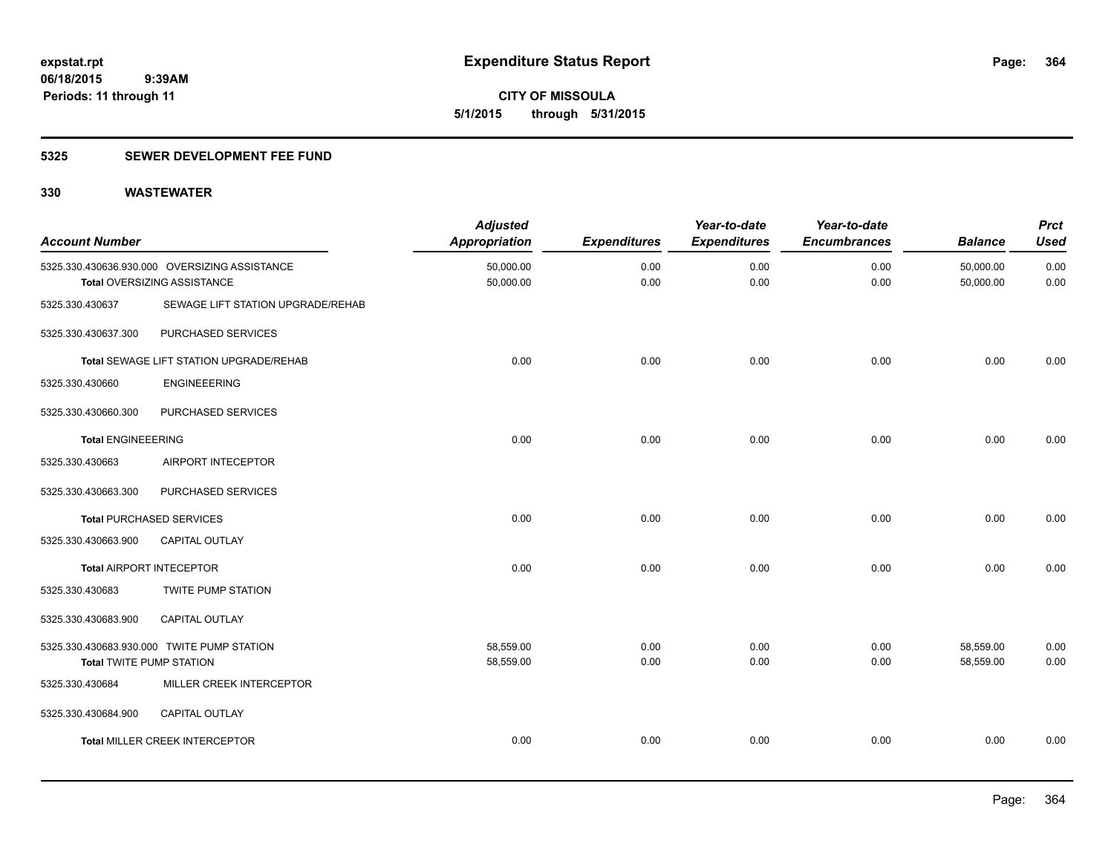**CITY OF MISSOULA 5/1/2015 through 5/31/2015**

### **5325 SEWER DEVELOPMENT FEE FUND**

| <b>Account Number</b>           |                                                                              | <b>Adjusted</b><br><b>Appropriation</b> | <b>Expenditures</b> | Year-to-date<br><b>Expenditures</b> | Year-to-date<br><b>Encumbrances</b> | <b>Balance</b>         | <b>Prct</b><br><b>Used</b> |
|---------------------------------|------------------------------------------------------------------------------|-----------------------------------------|---------------------|-------------------------------------|-------------------------------------|------------------------|----------------------------|
|                                 | 5325.330.430636.930.000 OVERSIZING ASSISTANCE<br>Total OVERSIZING ASSISTANCE | 50,000.00<br>50,000.00                  | 0.00<br>0.00        | 0.00<br>0.00                        | 0.00<br>0.00                        | 50,000.00<br>50,000.00 | 0.00<br>0.00               |
| 5325.330.430637                 | SEWAGE LIFT STATION UPGRADE/REHAB                                            |                                         |                     |                                     |                                     |                        |                            |
| 5325.330.430637.300             | PURCHASED SERVICES                                                           |                                         |                     |                                     |                                     |                        |                            |
|                                 | <b>Total SEWAGE LIFT STATION UPGRADE/REHAB</b>                               | 0.00                                    | 0.00                | 0.00                                | 0.00                                | 0.00                   | 0.00                       |
| 5325.330.430660                 | <b>ENGINEEERING</b>                                                          |                                         |                     |                                     |                                     |                        |                            |
| 5325.330.430660.300             | PURCHASED SERVICES                                                           |                                         |                     |                                     |                                     |                        |                            |
| <b>Total ENGINEEERING</b>       |                                                                              | 0.00                                    | 0.00                | 0.00                                | 0.00                                | 0.00                   | 0.00                       |
| 5325.330.430663                 | AIRPORT INTECEPTOR                                                           |                                         |                     |                                     |                                     |                        |                            |
| 5325.330.430663.300             | PURCHASED SERVICES                                                           |                                         |                     |                                     |                                     |                        |                            |
|                                 | <b>Total PURCHASED SERVICES</b>                                              | 0.00                                    | 0.00                | 0.00                                | 0.00                                | 0.00                   | 0.00                       |
| 5325.330.430663.900             | CAPITAL OUTLAY                                                               |                                         |                     |                                     |                                     |                        |                            |
| <b>Total AIRPORT INTECEPTOR</b> |                                                                              | 0.00                                    | 0.00                | 0.00                                | 0.00                                | 0.00                   | 0.00                       |
| 5325.330.430683                 | <b>TWITE PUMP STATION</b>                                                    |                                         |                     |                                     |                                     |                        |                            |
| 5325.330.430683.900             | CAPITAL OUTLAY                                                               |                                         |                     |                                     |                                     |                        |                            |
| <b>Total TWITE PUMP STATION</b> | 5325.330.430683.930.000 TWITE PUMP STATION                                   | 58,559.00<br>58,559.00                  | 0.00<br>0.00        | 0.00<br>0.00                        | 0.00<br>0.00                        | 58,559.00<br>58,559.00 | 0.00<br>0.00               |
| 5325.330.430684                 | MILLER CREEK INTERCEPTOR                                                     |                                         |                     |                                     |                                     |                        |                            |
| 5325.330.430684.900             | CAPITAL OUTLAY                                                               |                                         |                     |                                     |                                     |                        |                            |
|                                 | <b>Total MILLER CREEK INTERCEPTOR</b>                                        | 0.00                                    | 0.00                | 0.00                                | 0.00                                | 0.00                   | 0.00                       |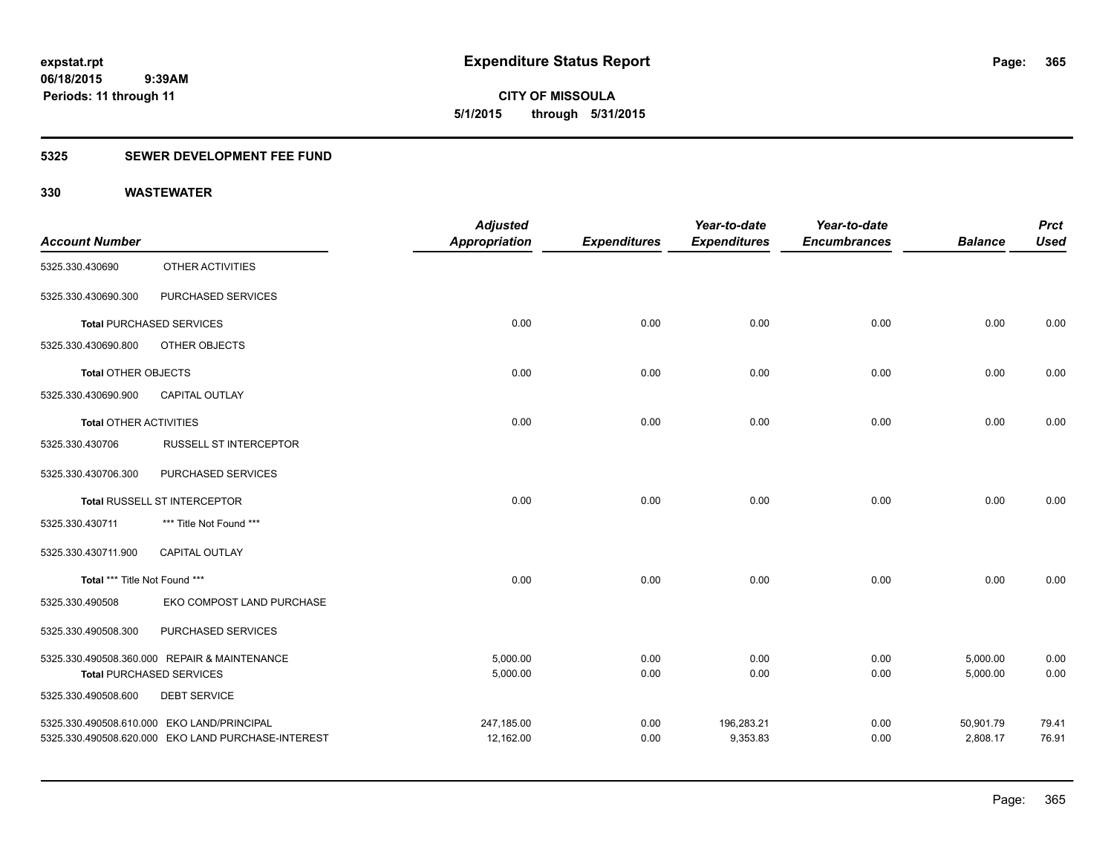**365**

**06/18/2015 9:39AM Periods: 11 through 11**

**CITY OF MISSOULA 5/1/2015 through 5/31/2015**

### **5325 SEWER DEVELOPMENT FEE FUND**

| <b>Account Number</b>         |                                                    | <b>Adjusted</b><br><b>Appropriation</b> | <b>Expenditures</b> | Year-to-date<br><b>Expenditures</b> | Year-to-date<br><b>Encumbrances</b> | <b>Balance</b> | <b>Prct</b><br><b>Used</b> |
|-------------------------------|----------------------------------------------------|-----------------------------------------|---------------------|-------------------------------------|-------------------------------------|----------------|----------------------------|
| 5325.330.430690               | OTHER ACTIVITIES                                   |                                         |                     |                                     |                                     |                |                            |
| 5325.330.430690.300           | PURCHASED SERVICES                                 |                                         |                     |                                     |                                     |                |                            |
|                               | <b>Total PURCHASED SERVICES</b>                    | 0.00                                    | 0.00                | 0.00                                | 0.00                                | 0.00           | 0.00                       |
| 5325.330.430690.800           | OTHER OBJECTS                                      |                                         |                     |                                     |                                     |                |                            |
| <b>Total OTHER OBJECTS</b>    |                                                    | 0.00                                    | 0.00                | 0.00                                | 0.00                                | 0.00           | 0.00                       |
| 5325.330.430690.900           | <b>CAPITAL OUTLAY</b>                              |                                         |                     |                                     |                                     |                |                            |
| <b>Total OTHER ACTIVITIES</b> |                                                    | 0.00                                    | 0.00                | 0.00                                | 0.00                                | 0.00           | 0.00                       |
| 5325.330.430706               | RUSSELL ST INTERCEPTOR                             |                                         |                     |                                     |                                     |                |                            |
| 5325.330.430706.300           | PURCHASED SERVICES                                 |                                         |                     |                                     |                                     |                |                            |
|                               | Total RUSSELL ST INTERCEPTOR                       | 0.00                                    | 0.00                | 0.00                                | 0.00                                | 0.00           | 0.00                       |
| 5325.330.430711               | *** Title Not Found ***                            |                                         |                     |                                     |                                     |                |                            |
| 5325.330.430711.900           | <b>CAPITAL OUTLAY</b>                              |                                         |                     |                                     |                                     |                |                            |
| Total *** Title Not Found *** |                                                    | 0.00                                    | 0.00                | 0.00                                | 0.00                                | 0.00           | 0.00                       |
| 5325.330.490508               | EKO COMPOST LAND PURCHASE                          |                                         |                     |                                     |                                     |                |                            |
| 5325.330.490508.300           | PURCHASED SERVICES                                 |                                         |                     |                                     |                                     |                |                            |
|                               | 5325.330.490508.360.000 REPAIR & MAINTENANCE       | 5,000.00                                | 0.00                | 0.00                                | 0.00                                | 5,000.00       | 0.00                       |
|                               | <b>Total PURCHASED SERVICES</b>                    | 5,000.00                                | 0.00                | 0.00                                | 0.00                                | 5,000.00       | 0.00                       |
| 5325.330.490508.600           | <b>DEBT SERVICE</b>                                |                                         |                     |                                     |                                     |                |                            |
|                               | 5325.330.490508.610.000 EKO LAND/PRINCIPAL         | 247,185.00                              | 0.00                | 196,283.21                          | 0.00                                | 50,901.79      | 79.41                      |
|                               | 5325.330.490508.620.000 EKO LAND PURCHASE-INTEREST | 12,162.00                               | 0.00                | 9,353.83                            | 0.00                                | 2,808.17       | 76.91                      |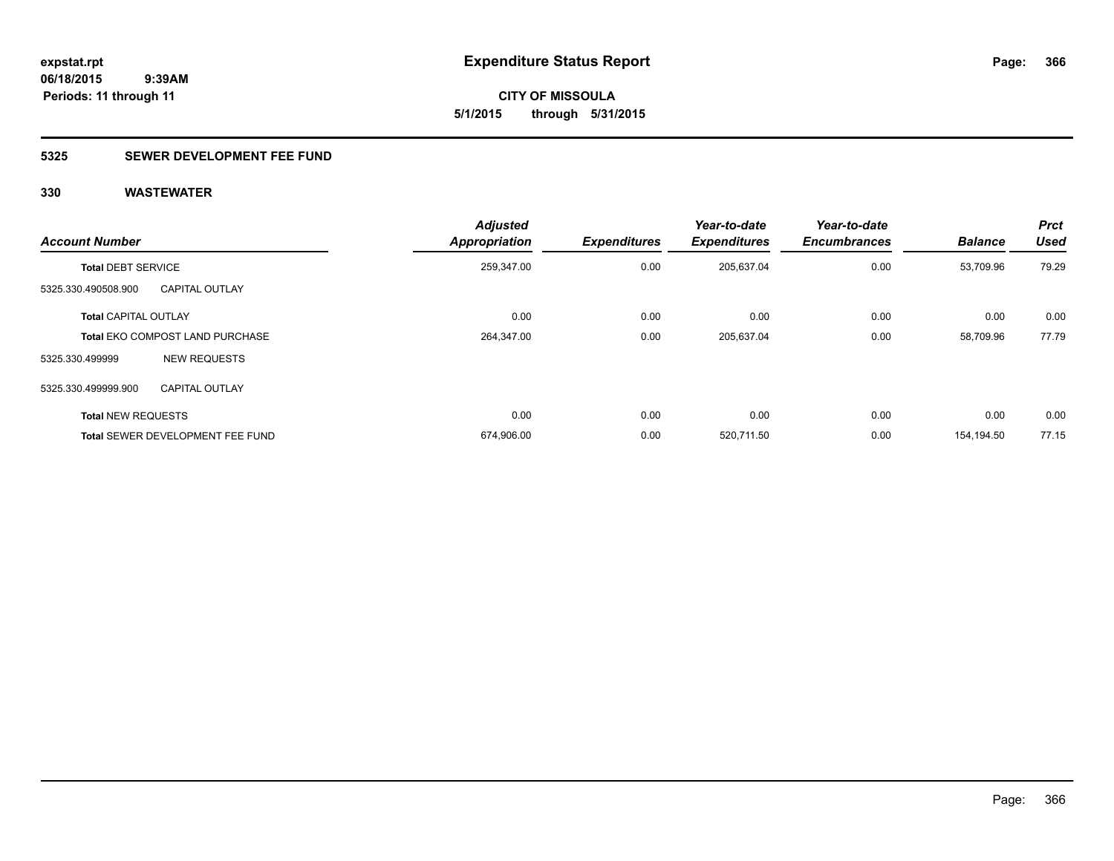**366**

**06/18/2015 9:39AM Periods: 11 through 11**

**CITY OF MISSOULA 5/1/2015 through 5/31/2015**

### **5325 SEWER DEVELOPMENT FEE FUND**

| <b>Account Number</b>       |                                         | <b>Adjusted</b><br><b>Appropriation</b> | <b>Expenditures</b> | Year-to-date<br><b>Expenditures</b> | Year-to-date<br><b>Encumbrances</b> | <b>Balance</b> | <b>Prct</b><br><b>Used</b> |
|-----------------------------|-----------------------------------------|-----------------------------------------|---------------------|-------------------------------------|-------------------------------------|----------------|----------------------------|
| <b>Total DEBT SERVICE</b>   |                                         | 259,347.00                              | 0.00                | 205,637.04                          | 0.00                                | 53,709.96      | 79.29                      |
| 5325.330.490508.900         | <b>CAPITAL OUTLAY</b>                   |                                         |                     |                                     |                                     |                |                            |
| <b>Total CAPITAL OUTLAY</b> |                                         | 0.00                                    | 0.00                | 0.00                                | 0.00                                | 0.00           | 0.00                       |
|                             | <b>Total EKO COMPOST LAND PURCHASE</b>  | 264,347.00                              | 0.00                | 205,637.04                          | 0.00                                | 58.709.96      | 77.79                      |
| 5325.330.499999             | <b>NEW REQUESTS</b>                     |                                         |                     |                                     |                                     |                |                            |
| 5325.330.499999.900         | <b>CAPITAL OUTLAY</b>                   |                                         |                     |                                     |                                     |                |                            |
| <b>Total NEW REQUESTS</b>   |                                         | 0.00                                    | 0.00                | 0.00                                | 0.00                                | 0.00           | 0.00                       |
|                             | <b>Total SEWER DEVELOPMENT FEE FUND</b> | 674,906.00                              | 0.00                | 520,711.50                          | 0.00                                | 154.194.50     | 77.15                      |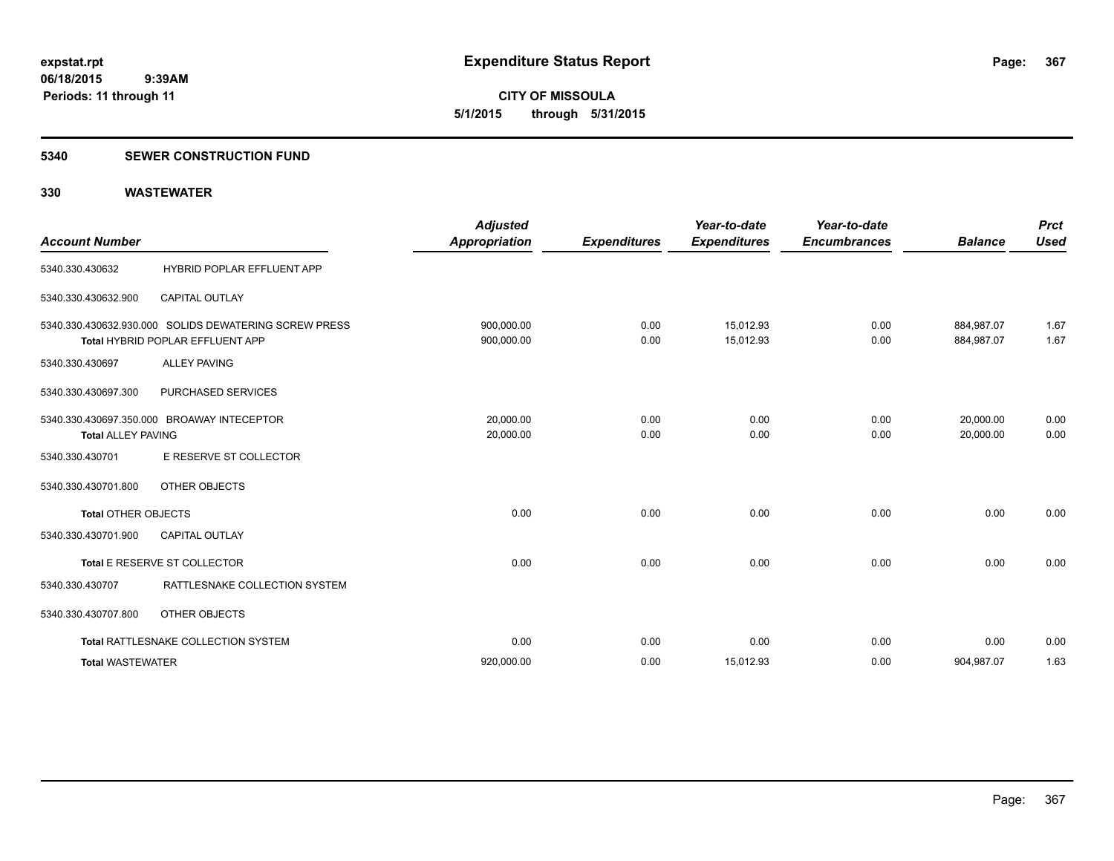**CITY OF MISSOULA 5/1/2015 through 5/31/2015**

### **5340 SEWER CONSTRUCTION FUND**

| <b>Account Number</b>      |                                                                                                  | <b>Adjusted</b><br><b>Appropriation</b> | <b>Expenditures</b> | Year-to-date<br><b>Expenditures</b> | Year-to-date<br><b>Encumbrances</b> | <b>Balance</b>           | <b>Prct</b><br><b>Used</b> |
|----------------------------|--------------------------------------------------------------------------------------------------|-----------------------------------------|---------------------|-------------------------------------|-------------------------------------|--------------------------|----------------------------|
| 5340.330.430632            | HYBRID POPLAR EFFLUENT APP                                                                       |                                         |                     |                                     |                                     |                          |                            |
| 5340.330.430632.900        | <b>CAPITAL OUTLAY</b>                                                                            |                                         |                     |                                     |                                     |                          |                            |
|                            | 5340.330.430632.930.000 SOLIDS DEWATERING SCREW PRESS<br><b>Total HYBRID POPLAR EFFLUENT APP</b> | 900,000.00<br>900,000.00                | 0.00<br>0.00        | 15,012.93<br>15,012.93              | 0.00<br>0.00                        | 884,987.07<br>884,987.07 | 1.67<br>1.67               |
| 5340.330.430697            | <b>ALLEY PAVING</b>                                                                              |                                         |                     |                                     |                                     |                          |                            |
| 5340.330.430697.300        | PURCHASED SERVICES                                                                               |                                         |                     |                                     |                                     |                          |                            |
| <b>Total ALLEY PAVING</b>  | 5340.330.430697.350.000 BROAWAY INTECEPTOR                                                       | 20,000.00<br>20,000.00                  | 0.00<br>0.00        | 0.00<br>0.00                        | 0.00<br>0.00                        | 20,000.00<br>20,000.00   | 0.00<br>0.00               |
| 5340.330.430701            | E RESERVE ST COLLECTOR                                                                           |                                         |                     |                                     |                                     |                          |                            |
| 5340.330.430701.800        | <b>OTHER OBJECTS</b>                                                                             |                                         |                     |                                     |                                     |                          |                            |
| <b>Total OTHER OBJECTS</b> |                                                                                                  | 0.00                                    | 0.00                | 0.00                                | 0.00                                | 0.00                     | 0.00                       |
| 5340.330.430701.900        | <b>CAPITAL OUTLAY</b>                                                                            |                                         |                     |                                     |                                     |                          |                            |
|                            | Total E RESERVE ST COLLECTOR                                                                     | 0.00                                    | 0.00                | 0.00                                | 0.00                                | 0.00                     | 0.00                       |
| 5340.330.430707            | RATTLESNAKE COLLECTION SYSTEM                                                                    |                                         |                     |                                     |                                     |                          |                            |
| 5340.330.430707.800        | OTHER OBJECTS                                                                                    |                                         |                     |                                     |                                     |                          |                            |
|                            | Total RATTLESNAKE COLLECTION SYSTEM                                                              | 0.00                                    | 0.00                | 0.00                                | 0.00                                | 0.00                     | 0.00                       |
| <b>Total WASTEWATER</b>    |                                                                                                  | 920,000.00                              | 0.00                | 15,012.93                           | 0.00                                | 904,987.07               | 1.63                       |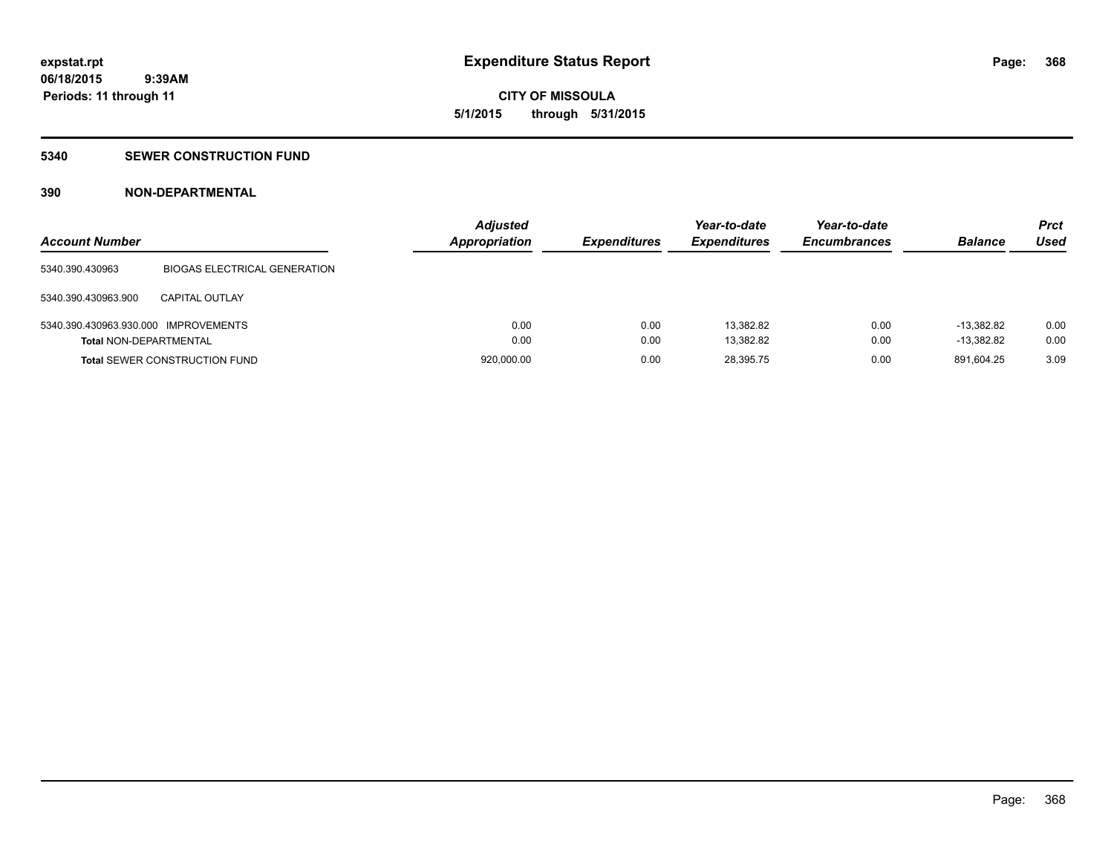# **CITY OF MISSOULA 5/1/2015 through 5/31/2015**

### **5340 SEWER CONSTRUCTION FUND**

### **390 NON-DEPARTMENTAL**

| <b>Account Number</b>                |                                      | <b>Adjusted</b><br><b>Appropriation</b> | <b>Expenditures</b> | Year-to-date<br><b>Expenditures</b> | Year-to-date<br><b>Encumbrances</b> | <b>Balance</b> | <b>Prct</b><br>Used |
|--------------------------------------|--------------------------------------|-----------------------------------------|---------------------|-------------------------------------|-------------------------------------|----------------|---------------------|
| 5340.390.430963                      | <b>BIOGAS ELECTRICAL GENERATION</b>  |                                         |                     |                                     |                                     |                |                     |
| 5340.390.430963.900                  | CAPITAL OUTLAY                       |                                         |                     |                                     |                                     |                |                     |
| 5340.390.430963.930.000 IMPROVEMENTS |                                      | 0.00                                    | 0.00                | 13.382.82                           | 0.00                                | $-13.382.82$   | 0.00                |
| <b>Total NON-DEPARTMENTAL</b>        |                                      | 0.00                                    | 0.00                | 13,382.82                           | 0.00                                | $-13,382.82$   | 0.00                |
|                                      | <b>Total SEWER CONSTRUCTION FUND</b> | 920,000.00                              | 0.00                | 28,395.75                           | 0.00                                | 891,604.25     | 3.09                |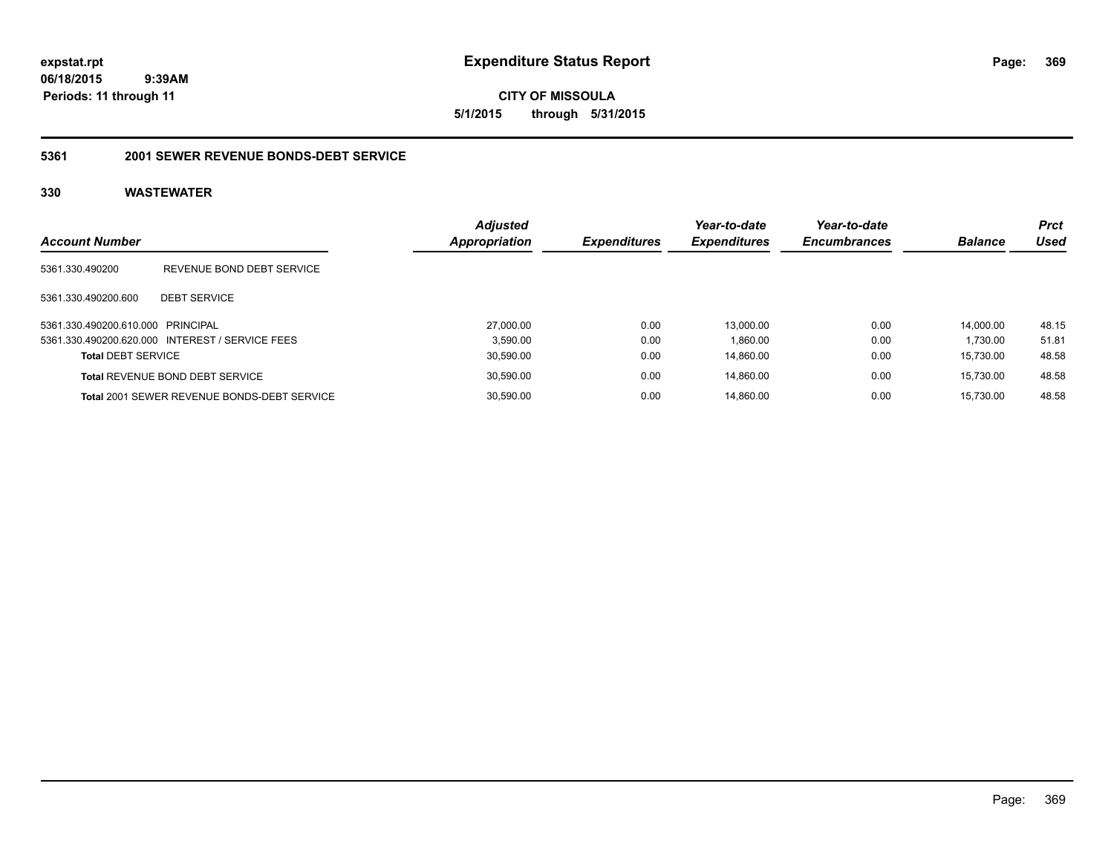**CITY OF MISSOULA 5/1/2015 through 5/31/2015**

### **5361 2001 SEWER REVENUE BONDS-DEBT SERVICE**

| <b>Account Number</b>             |                                                 | <b>Adjusted</b><br><b>Appropriation</b> | <b>Expenditures</b> | Year-to-date<br><b>Expenditures</b> | Year-to-date<br><b>Encumbrances</b> | <b>Balance</b> | <b>Prct</b><br>Used |
|-----------------------------------|-------------------------------------------------|-----------------------------------------|---------------------|-------------------------------------|-------------------------------------|----------------|---------------------|
| 5361.330.490200                   | REVENUE BOND DEBT SERVICE                       |                                         |                     |                                     |                                     |                |                     |
| 5361.330.490200.600               | <b>DEBT SERVICE</b>                             |                                         |                     |                                     |                                     |                |                     |
| 5361.330.490200.610.000 PRINCIPAL |                                                 | 27,000.00                               | 0.00                | 13.000.00                           | 0.00                                | 14.000.00      | 48.15               |
|                                   | 5361.330.490200.620.000 INTEREST / SERVICE FEES |                                         | 3.590.00<br>0.00    | 1,860.00                            | 0.00                                | 1.730.00       | 51.81               |
| <b>Total DEBT SERVICE</b>         |                                                 | 30,590.00                               | 0.00                | 14,860.00                           | 0.00                                | 15.730.00      | 48.58               |
|                                   | <b>Total REVENUE BOND DEBT SERVICE</b>          | 30,590.00                               | 0.00                | 14.860.00                           | 0.00                                | 15.730.00      | 48.58               |
|                                   | Total 2001 SEWER REVENUE BONDS-DEBT SERVICE     | 30,590.00                               | 0.00                | 14.860.00                           | 0.00                                | 15.730.00      | 48.58               |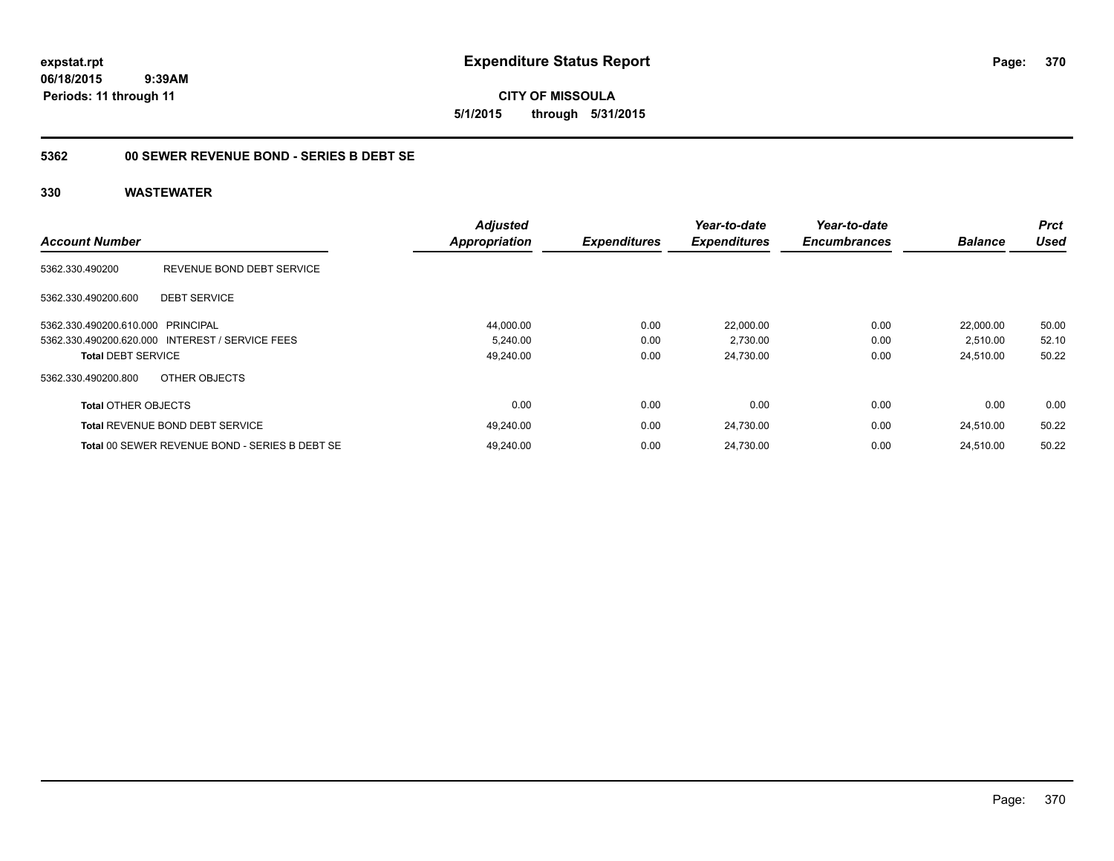**CITY OF MISSOULA 5/1/2015 through 5/31/2015**

### **5362 00 SEWER REVENUE BOND - SERIES B DEBT SE**

|                            |                                                 | <b>Adjusted</b> |                     | Year-to-date        | Year-to-date        |                | <b>Prct</b> |
|----------------------------|-------------------------------------------------|-----------------|---------------------|---------------------|---------------------|----------------|-------------|
| <b>Account Number</b>      |                                                 | Appropriation   | <b>Expenditures</b> | <b>Expenditures</b> | <b>Encumbrances</b> | <b>Balance</b> | Used        |
| 5362.330.490200            | REVENUE BOND DEBT SERVICE                       |                 |                     |                     |                     |                |             |
| 5362.330.490200.600        | <b>DEBT SERVICE</b>                             |                 |                     |                     |                     |                |             |
| 5362.330.490200.610.000    | PRINCIPAL                                       | 44,000.00       | 0.00                | 22.000.00           | 0.00                | 22.000.00      | 50.00       |
|                            | 5362.330.490200.620.000 INTEREST / SERVICE FEES | 5,240.00        | 0.00                | 2,730.00            | 0.00                | 2,510.00       | 52.10       |
| <b>Total DEBT SERVICE</b>  |                                                 | 49,240.00       | 0.00                | 24,730.00           | 0.00                | 24,510.00      | 50.22       |
| 5362.330.490200.800        | OTHER OBJECTS                                   |                 |                     |                     |                     |                |             |
| <b>Total OTHER OBJECTS</b> |                                                 | 0.00            | 0.00                | 0.00                | 0.00                | 0.00           | 0.00        |
|                            | <b>Total REVENUE BOND DEBT SERVICE</b>          | 49.240.00       | 0.00                | 24,730.00           | 0.00                | 24.510.00      | 50.22       |
|                            | Total 00 SEWER REVENUE BOND - SERIES B DEBT SE  | 49.240.00       | 0.00                | 24.730.00           | 0.00                | 24.510.00      | 50.22       |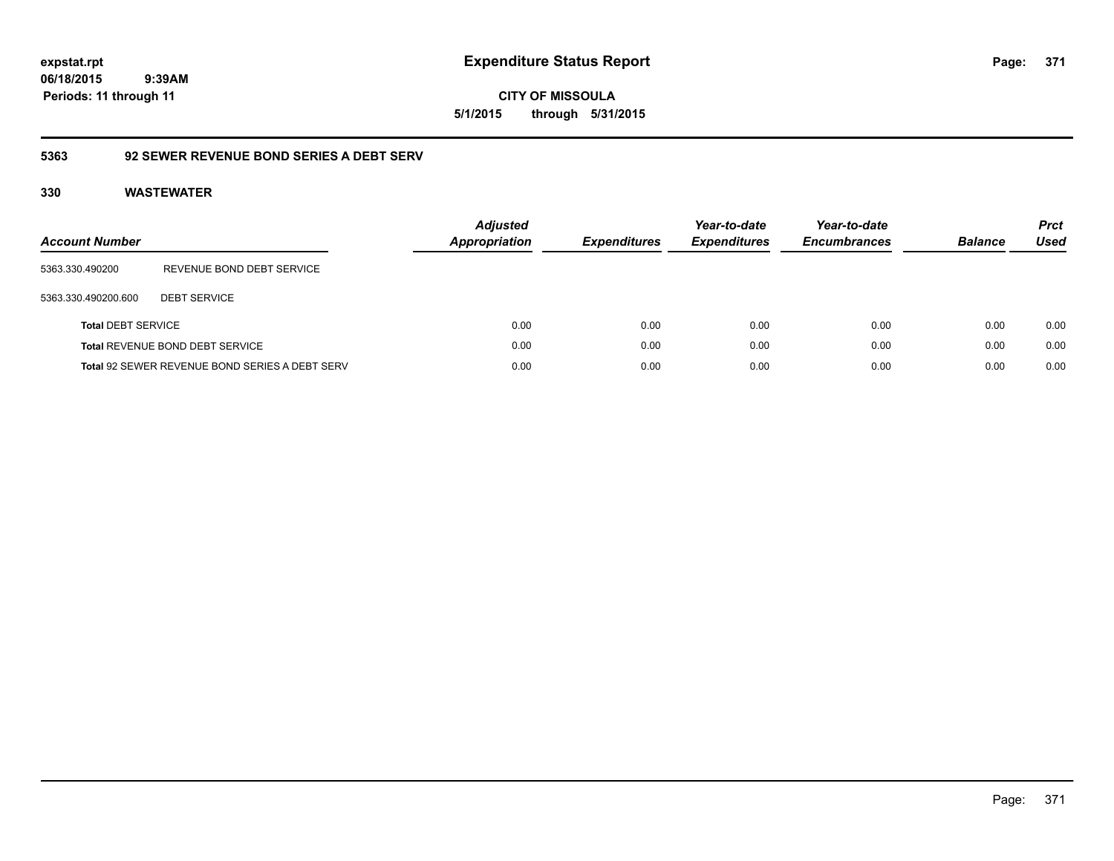**CITY OF MISSOULA 5/1/2015 through 5/31/2015**

### **5363 92 SEWER REVENUE BOND SERIES A DEBT SERV**

| <b>Account Number</b>     |                                                       | <b>Adjusted</b><br>Appropriation | <b>Expenditures</b> | Year-to-date<br><b>Expenditures</b> | Year-to-date<br><b>Encumbrances</b> | <b>Balance</b> | <b>Prct</b><br>Used |
|---------------------------|-------------------------------------------------------|----------------------------------|---------------------|-------------------------------------|-------------------------------------|----------------|---------------------|
| 5363.330.490200           | REVENUE BOND DEBT SERVICE                             |                                  |                     |                                     |                                     |                |                     |
| 5363.330.490200.600       | <b>DEBT SERVICE</b>                                   |                                  |                     |                                     |                                     |                |                     |
| <b>Total DEBT SERVICE</b> |                                                       | 0.00                             | 0.00                | 0.00                                | 0.00                                | 0.00           | 0.00                |
|                           | Total REVENUE BOND DEBT SERVICE                       | 0.00                             | 0.00                | 0.00                                | 0.00                                | 0.00           | 0.00                |
|                           | <b>Total 92 SEWER REVENUE BOND SERIES A DEBT SERV</b> | 0.00                             | 0.00                | 0.00                                | 0.00                                | 0.00           | 0.00                |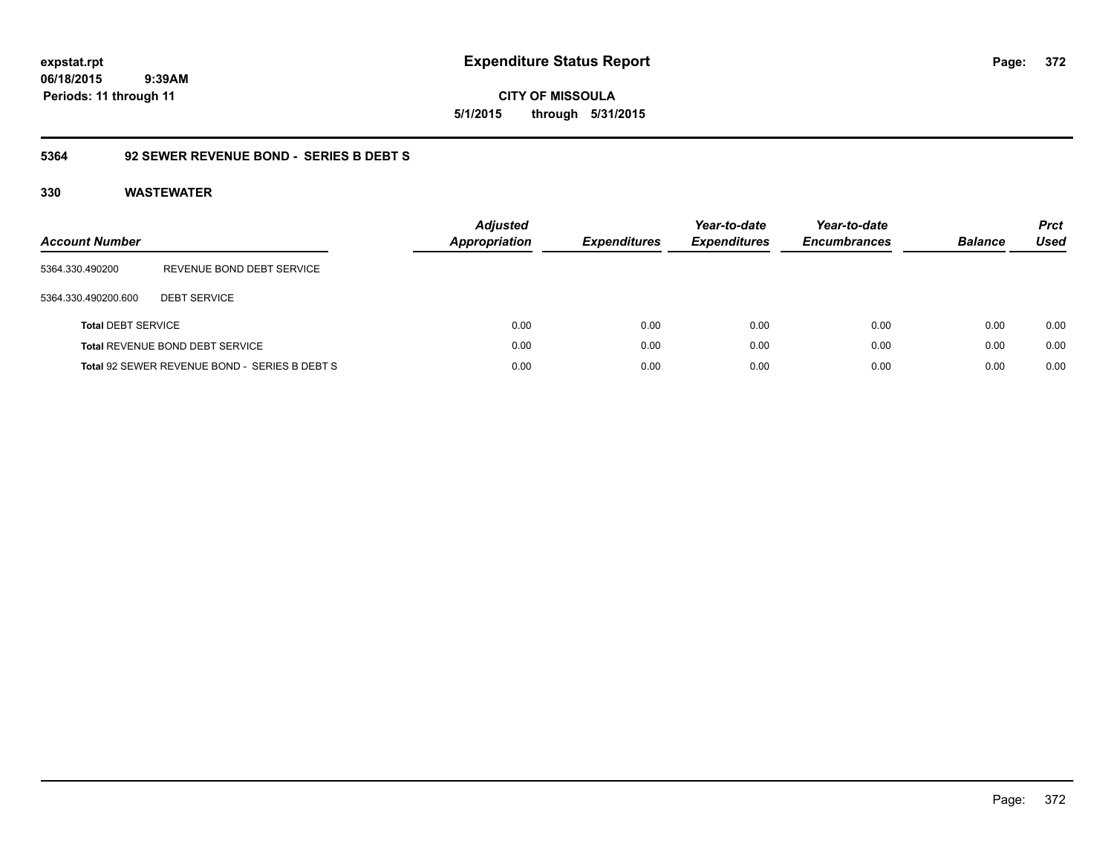**CITY OF MISSOULA 5/1/2015 through 5/31/2015**

### **5364 92 SEWER REVENUE BOND - SERIES B DEBT S**

| <b>Account Number</b>     |                                               | <b>Adjusted</b><br><b>Appropriation</b> | <b>Expenditures</b> | Year-to-date<br><b>Expenditures</b> | Year-to-date<br><b>Encumbrances</b> | <b>Balance</b> | <b>Prct</b><br>Used |
|---------------------------|-----------------------------------------------|-----------------------------------------|---------------------|-------------------------------------|-------------------------------------|----------------|---------------------|
| 5364.330.490200           | REVENUE BOND DEBT SERVICE                     |                                         |                     |                                     |                                     |                |                     |
| 5364.330.490200.600       | <b>DEBT SERVICE</b>                           |                                         |                     |                                     |                                     |                |                     |
| <b>Total DEBT SERVICE</b> |                                               | 0.00                                    | 0.00                | 0.00                                | 0.00                                | 0.00           | 0.00                |
|                           | Total REVENUE BOND DEBT SERVICE               | 0.00                                    | 0.00                | 0.00                                | 0.00                                | 0.00           | 0.00                |
|                           | Total 92 SEWER REVENUE BOND - SERIES B DEBT S | 0.00                                    | 0.00                | 0.00                                | 0.00                                | 0.00           | 0.00                |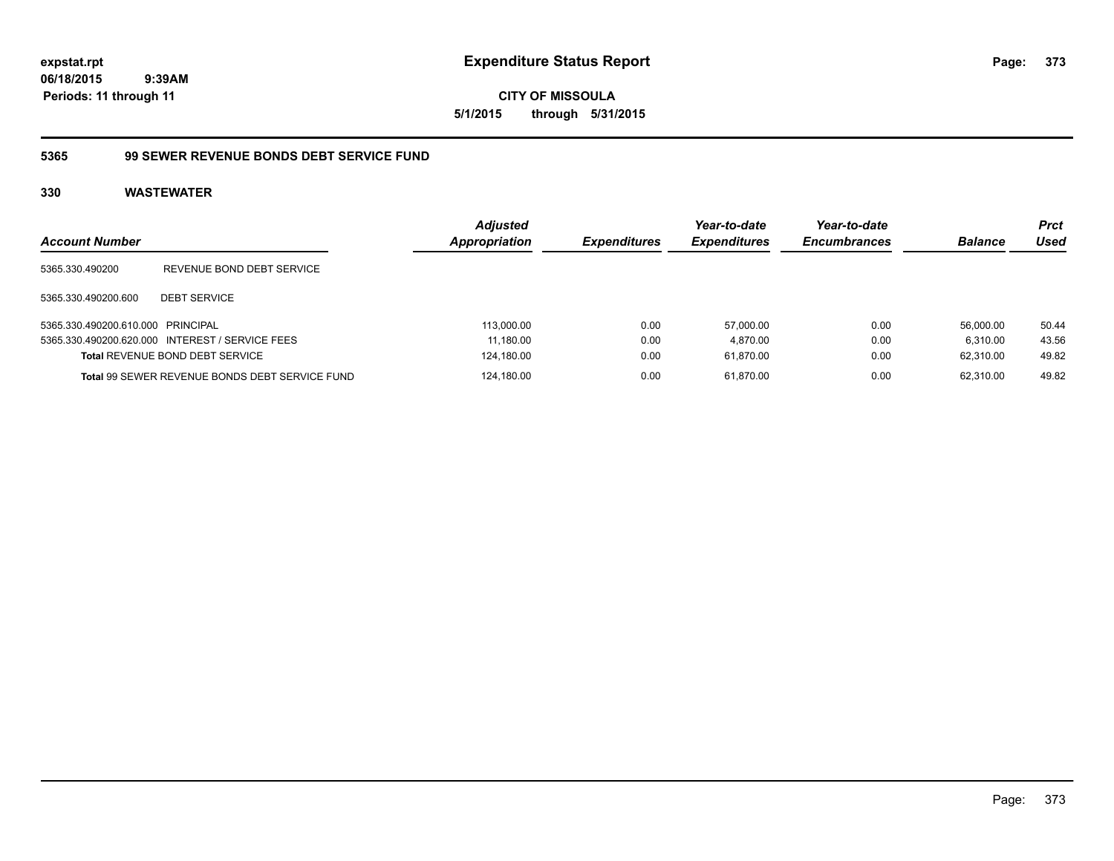**CITY OF MISSOULA 5/1/2015 through 5/31/2015**

### **5365 99 SEWER REVENUE BONDS DEBT SERVICE FUND**

| <b>Account Number</b>             |                                                       | <b>Adjusted</b><br><b>Appropriation</b> | <b>Expenditures</b> | Year-to-date<br><b>Expenditures</b> | Year-to-date<br><b>Encumbrances</b> | <b>Balance</b> | <b>Prct</b><br>Used |
|-----------------------------------|-------------------------------------------------------|-----------------------------------------|---------------------|-------------------------------------|-------------------------------------|----------------|---------------------|
| 5365.330.490200                   | REVENUE BOND DEBT SERVICE                             |                                         |                     |                                     |                                     |                |                     |
| 5365.330.490200.600               | <b>DEBT SERVICE</b>                                   |                                         |                     |                                     |                                     |                |                     |
| 5365.330.490200.610.000 PRINCIPAL |                                                       | 113.000.00                              | 0.00                | 57.000.00                           | 0.00                                | 56.000.00      | 50.44               |
|                                   | 5365.330.490200.620.000 INTEREST / SERVICE FEES       | 11.180.00                               | 0.00                | 4.870.00                            | 0.00                                | 6.310.00       | 43.56               |
|                                   | <b>Total REVENUE BOND DEBT SERVICE</b>                | 124,180.00                              | 0.00                | 61.870.00                           | 0.00                                | 62.310.00      | 49.82               |
|                                   | <b>Total 99 SEWER REVENUE BONDS DEBT SERVICE FUND</b> | 124.180.00                              | 0.00                | 61.870.00                           | 0.00                                | 62.310.00      | 49.82               |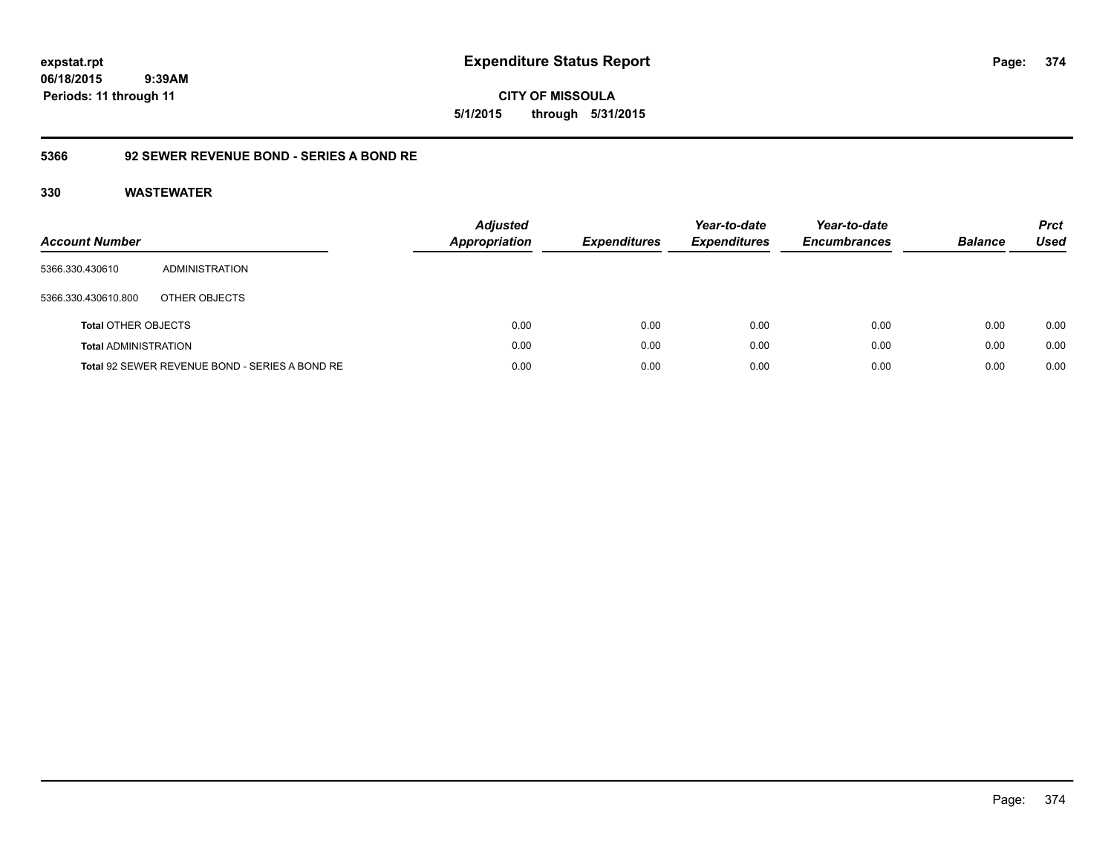**CITY OF MISSOULA 5/1/2015 through 5/31/2015**

### **5366 92 SEWER REVENUE BOND - SERIES A BOND RE**

| <b>Account Number</b>       |                                                | <b>Adjusted</b><br><b>Appropriation</b> | <b>Expenditures</b> | Year-to-date<br><b>Expenditures</b> | Year-to-date<br><b>Encumbrances</b> | <b>Balance</b> | <b>Prct</b><br>Used |
|-----------------------------|------------------------------------------------|-----------------------------------------|---------------------|-------------------------------------|-------------------------------------|----------------|---------------------|
| 5366.330.430610             | ADMINISTRATION                                 |                                         |                     |                                     |                                     |                |                     |
| 5366.330.430610.800         | OTHER OBJECTS                                  |                                         |                     |                                     |                                     |                |                     |
| <b>Total OTHER OBJECTS</b>  |                                                | 0.00                                    | 0.00                | 0.00                                | 0.00                                | 0.00           | 0.00                |
| <b>Total ADMINISTRATION</b> |                                                | 0.00                                    | 0.00                | 0.00                                | 0.00                                | 0.00           | 0.00                |
|                             | Total 92 SEWER REVENUE BOND - SERIES A BOND RE | 0.00                                    | 0.00                | 0.00                                | 0.00                                | 0.00           | 0.00                |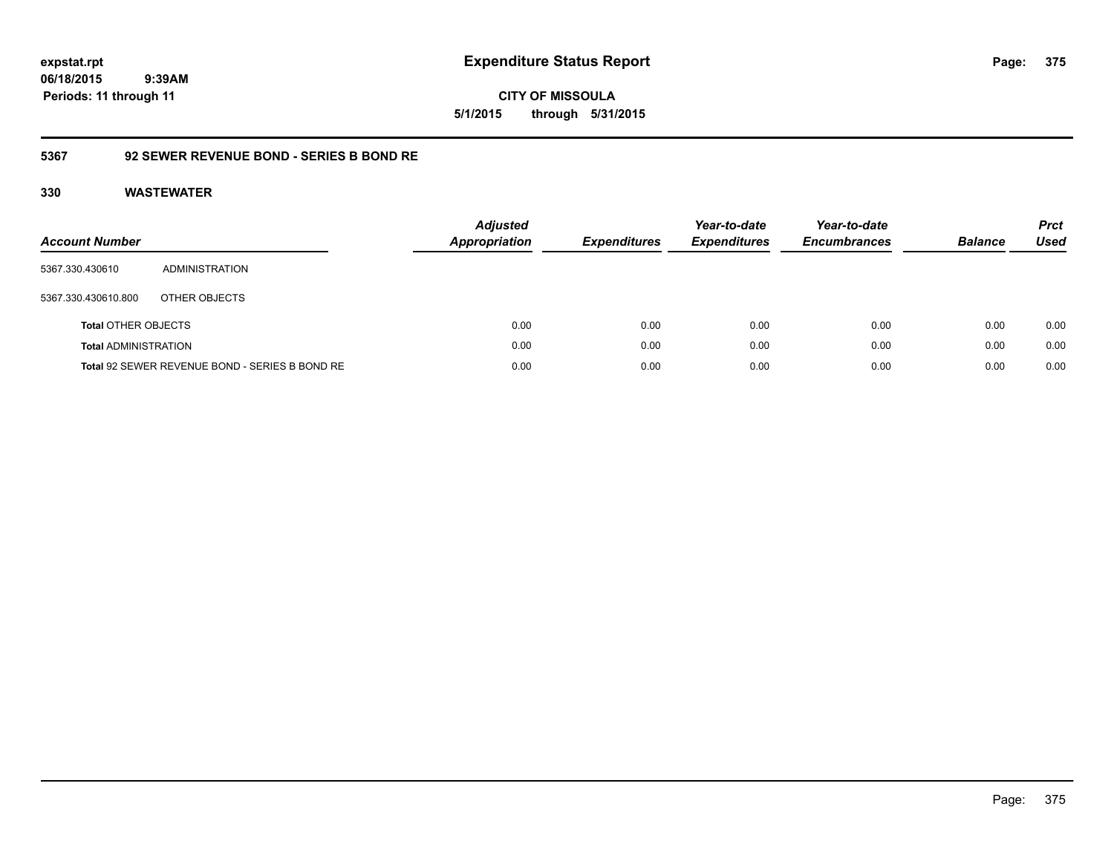**CITY OF MISSOULA 5/1/2015 through 5/31/2015**

### **5367 92 SEWER REVENUE BOND - SERIES B BOND RE**

| <b>Account Number</b>       |                                                | <b>Adjusted</b><br>Appropriation | <b>Expenditures</b> | Year-to-date<br><b>Expenditures</b> | Year-to-date<br><b>Encumbrances</b> | <b>Balance</b> | <b>Prct</b><br><b>Used</b> |
|-----------------------------|------------------------------------------------|----------------------------------|---------------------|-------------------------------------|-------------------------------------|----------------|----------------------------|
| 5367.330.430610             | ADMINISTRATION                                 |                                  |                     |                                     |                                     |                |                            |
| 5367.330.430610.800         | OTHER OBJECTS                                  |                                  |                     |                                     |                                     |                |                            |
| <b>Total OTHER OBJECTS</b>  |                                                | 0.00                             | 0.00                | 0.00                                | 0.00                                | 0.00           | 0.00                       |
| <b>Total ADMINISTRATION</b> |                                                | 0.00                             | 0.00                | 0.00                                | 0.00                                | 0.00           | 0.00                       |
|                             | Total 92 SEWER REVENUE BOND - SERIES B BOND RE | 0.00                             | 0.00                | 0.00                                | 0.00                                | 0.00           | 0.00                       |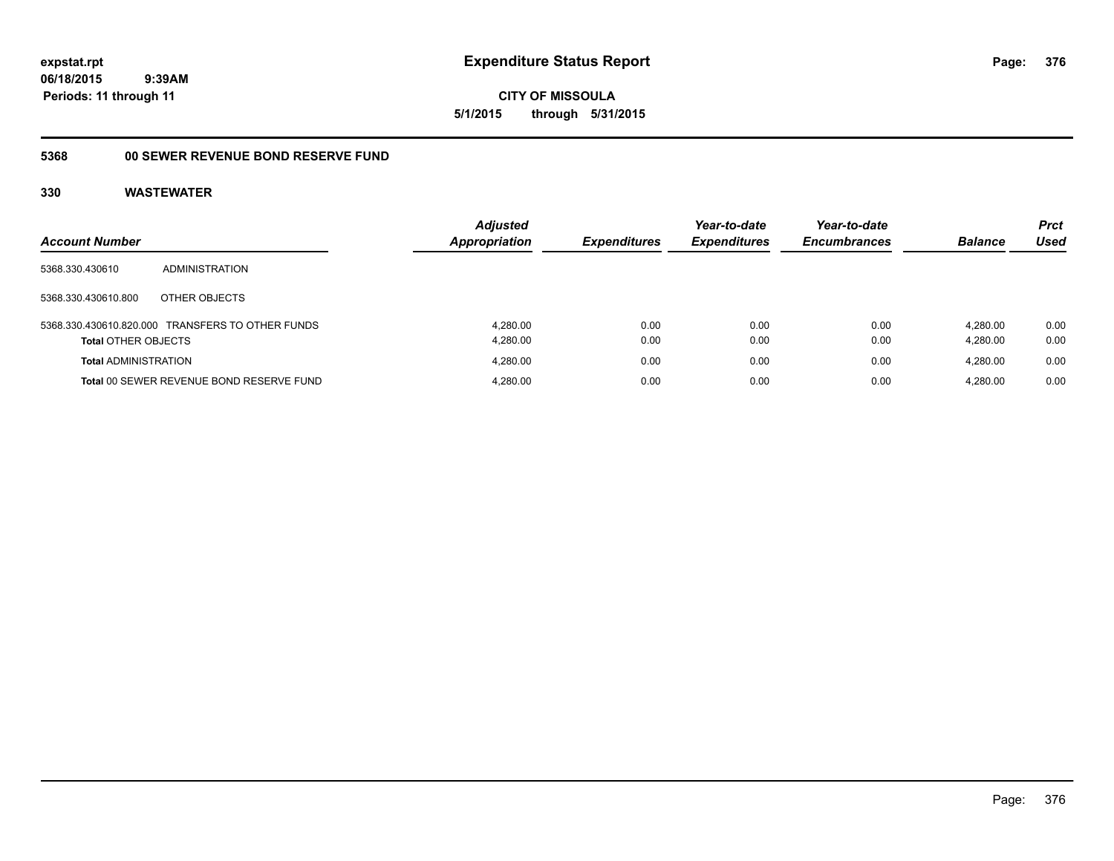**CITY OF MISSOULA 5/1/2015 through 5/31/2015**

## **5368 00 SEWER REVENUE BOND RESERVE FUND**

|                             |                                                  | <b>Adjusted</b>      |                     | Year-to-date        | Year-to-date        |                | <b>Prct</b> |
|-----------------------------|--------------------------------------------------|----------------------|---------------------|---------------------|---------------------|----------------|-------------|
| <b>Account Number</b>       |                                                  | <b>Appropriation</b> | <b>Expenditures</b> | <b>Expenditures</b> | <b>Encumbrances</b> | <b>Balance</b> | Used        |
| 5368.330.430610             | <b>ADMINISTRATION</b>                            |                      |                     |                     |                     |                |             |
| 5368.330.430610.800         | OTHER OBJECTS                                    |                      |                     |                     |                     |                |             |
|                             | 5368.330.430610.820.000 TRANSFERS TO OTHER FUNDS | 4.280.00             | 0.00                | 0.00                | 0.00                | 4.280.00       | 0.00        |
| <b>Total OTHER OBJECTS</b>  |                                                  | 4,280.00             | 0.00                | 0.00                | 0.00                | 4.280.00       | 0.00        |
| <b>Total ADMINISTRATION</b> |                                                  | 4.280.00             | 0.00                | 0.00                | 0.00                | 4.280.00       | 0.00        |
|                             | Total 00 SEWER REVENUE BOND RESERVE FUND         | 4,280.00             | 0.00                | 0.00                | 0.00                | 4.280.00       | 0.00        |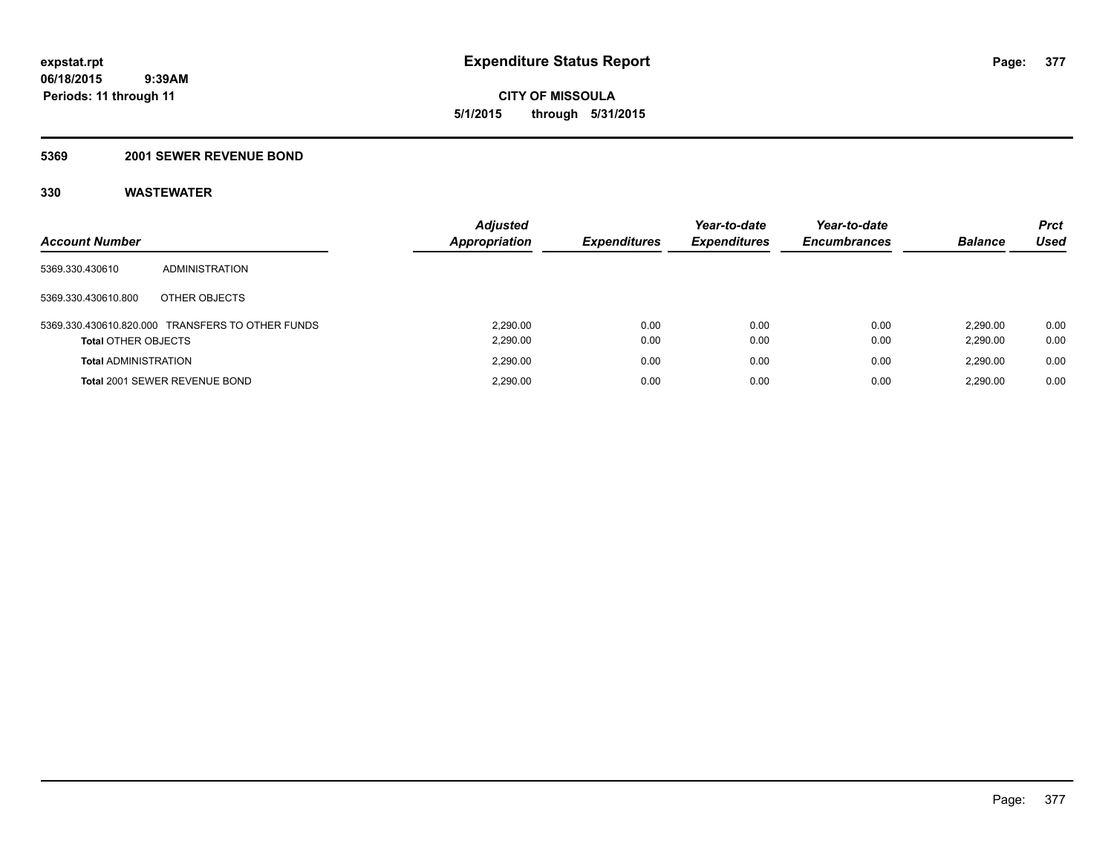**CITY OF MISSOULA 5/1/2015 through 5/31/2015**

### **5369 2001 SEWER REVENUE BOND**

| <b>Account Number</b>       |                                                  | <b>Adjusted</b><br><b>Appropriation</b> | <b>Expenditures</b> | Year-to-date<br><b>Expenditures</b> | Year-to-date<br><b>Encumbrances</b> | <b>Balance</b> | <b>Prct</b><br>Used |
|-----------------------------|--------------------------------------------------|-----------------------------------------|---------------------|-------------------------------------|-------------------------------------|----------------|---------------------|
| 5369.330.430610             | ADMINISTRATION                                   |                                         |                     |                                     |                                     |                |                     |
| 5369.330.430610.800         | OTHER OBJECTS                                    |                                         |                     |                                     |                                     |                |                     |
|                             | 5369.330.430610.820.000 TRANSFERS TO OTHER FUNDS | 2.290.00                                | 0.00                | 0.00                                | 0.00                                | 2.290.00       | 0.00                |
| <b>Total OTHER OBJECTS</b>  |                                                  | 2,290.00                                | 0.00                | 0.00                                | 0.00                                | 2,290.00       | 0.00                |
| <b>Total ADMINISTRATION</b> |                                                  | 2.290.00                                | 0.00                | 0.00                                | 0.00                                | 2.290.00       | 0.00                |
|                             | Total 2001 SEWER REVENUE BOND                    | 2,290.00                                | 0.00                | 0.00                                | 0.00                                | 2.290.00       | 0.00                |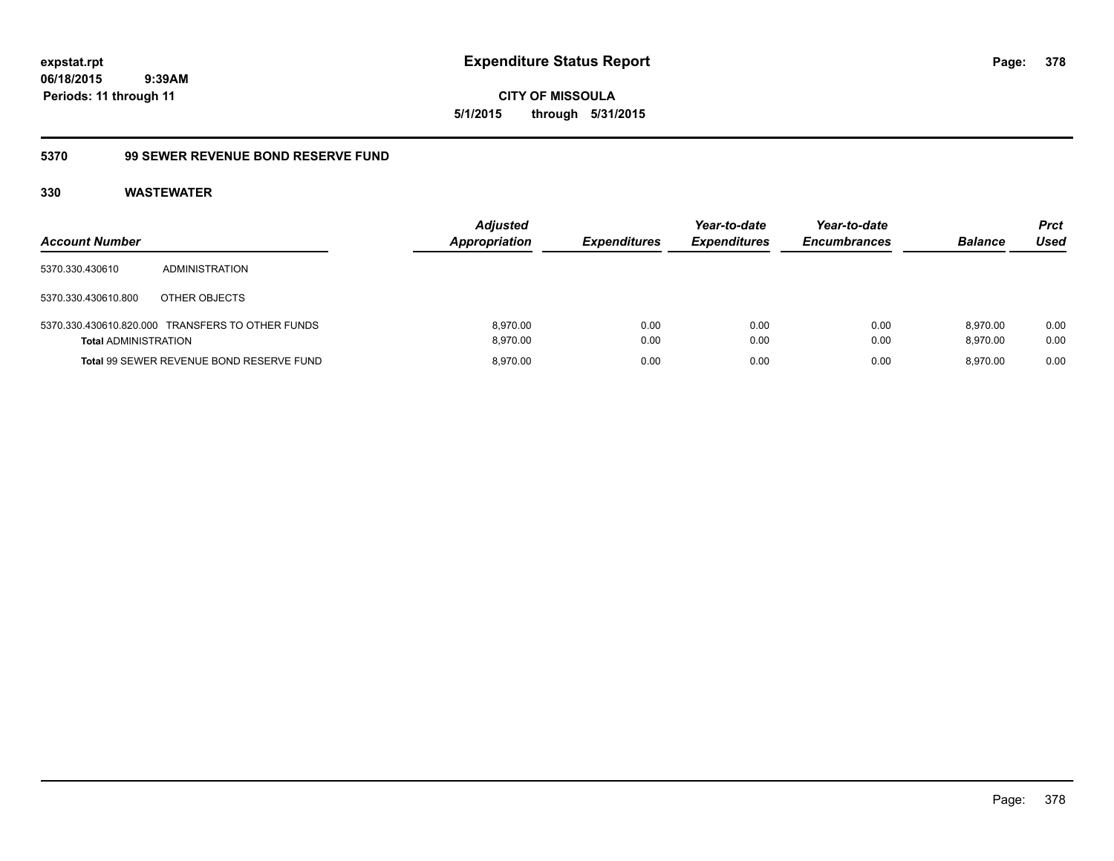**CITY OF MISSOULA 5/1/2015 through 5/31/2015**

## **5370 99 SEWER REVENUE BOND RESERVE FUND**

| <b>Account Number</b>       |                                                  | <b>Adjusted</b><br><b>Appropriation</b> | <b>Expenditures</b> | Year-to-date<br><b>Expenditures</b> | Year-to-date<br><b>Encumbrances</b> | <b>Balance</b>       | <b>Prct</b><br>Used |
|-----------------------------|--------------------------------------------------|-----------------------------------------|---------------------|-------------------------------------|-------------------------------------|----------------------|---------------------|
| 5370.330.430610             | ADMINISTRATION                                   |                                         |                     |                                     |                                     |                      |                     |
| 5370.330.430610.800         | OTHER OBJECTS                                    |                                         |                     |                                     |                                     |                      |                     |
| <b>Total ADMINISTRATION</b> | 5370.330.430610.820.000 TRANSFERS TO OTHER FUNDS | 8.970.00<br>8.970.00                    | 0.00<br>0.00        | 0.00<br>0.00                        | 0.00<br>0.00                        | 8.970.00<br>8.970.00 | 0.00<br>0.00        |
|                             | Total 99 SEWER REVENUE BOND RESERVE FUND         | 8.970.00                                | 0.00                | 0.00                                | 0.00                                | 8.970.00             | 0.00                |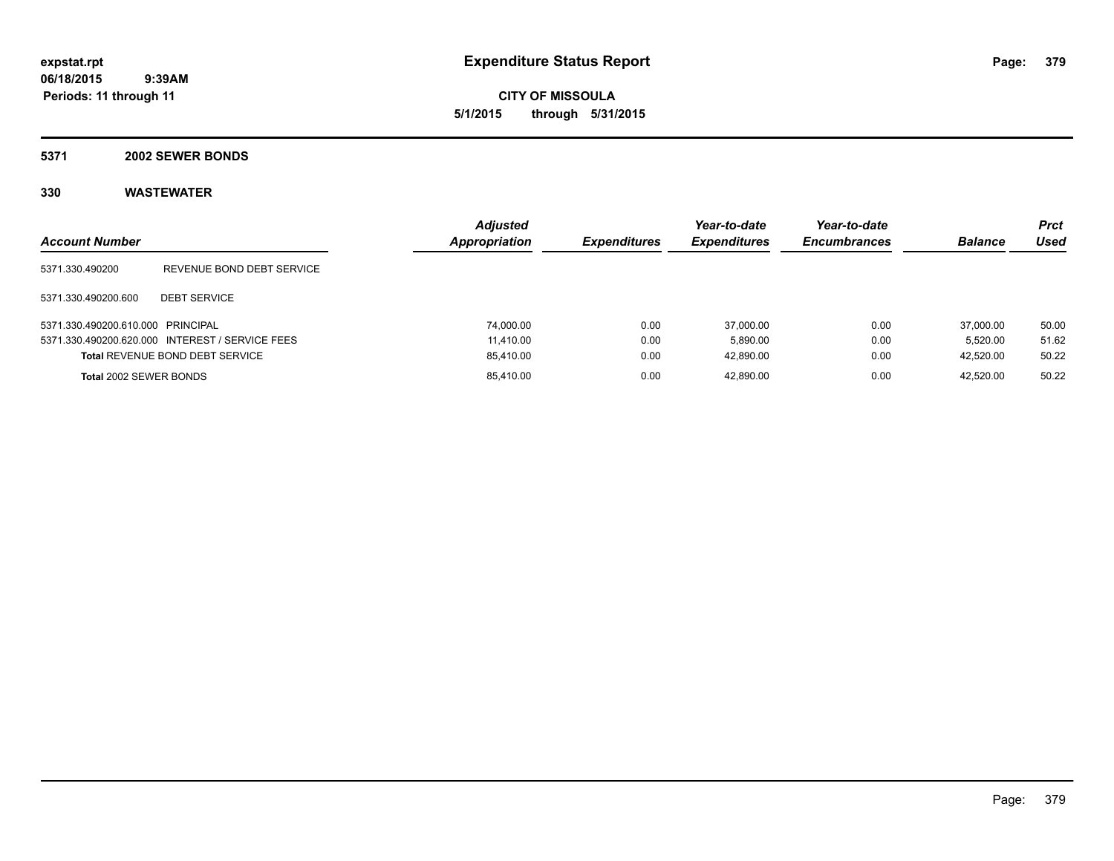**CITY OF MISSOULA 5/1/2015 through 5/31/2015**

### **5371 2002 SEWER BONDS**

| <b>Account Number</b>             |                                                 | <b>Adjusted</b><br>Appropriation | <b>Expenditures</b> | Year-to-date<br><b>Expenditures</b> | Year-to-date<br><b>Encumbrances</b> | <b>Balance</b> | <b>Prct</b><br>Used |
|-----------------------------------|-------------------------------------------------|----------------------------------|---------------------|-------------------------------------|-------------------------------------|----------------|---------------------|
| 5371.330.490200                   | REVENUE BOND DEBT SERVICE                       |                                  |                     |                                     |                                     |                |                     |
| 5371.330.490200.600               | <b>DEBT SERVICE</b>                             |                                  |                     |                                     |                                     |                |                     |
| 5371.330.490200.610.000 PRINCIPAL |                                                 | 74.000.00                        | 0.00                | 37.000.00                           | 0.00                                | 37,000.00      | 50.00               |
|                                   | 5371.330.490200.620.000 INTEREST / SERVICE FEES | 11.410.00                        | 0.00                | 5.890.00                            | 0.00                                | 5.520.00       | 51.62               |
|                                   | <b>Total REVENUE BOND DEBT SERVICE</b>          | 85,410.00                        | 0.00                | 42.890.00                           | 0.00                                | 42.520.00      | 50.22               |
| Total 2002 SEWER BONDS            |                                                 | 85,410.00                        | 0.00                | 42.890.00                           | 0.00                                | 42.520.00      | 50.22               |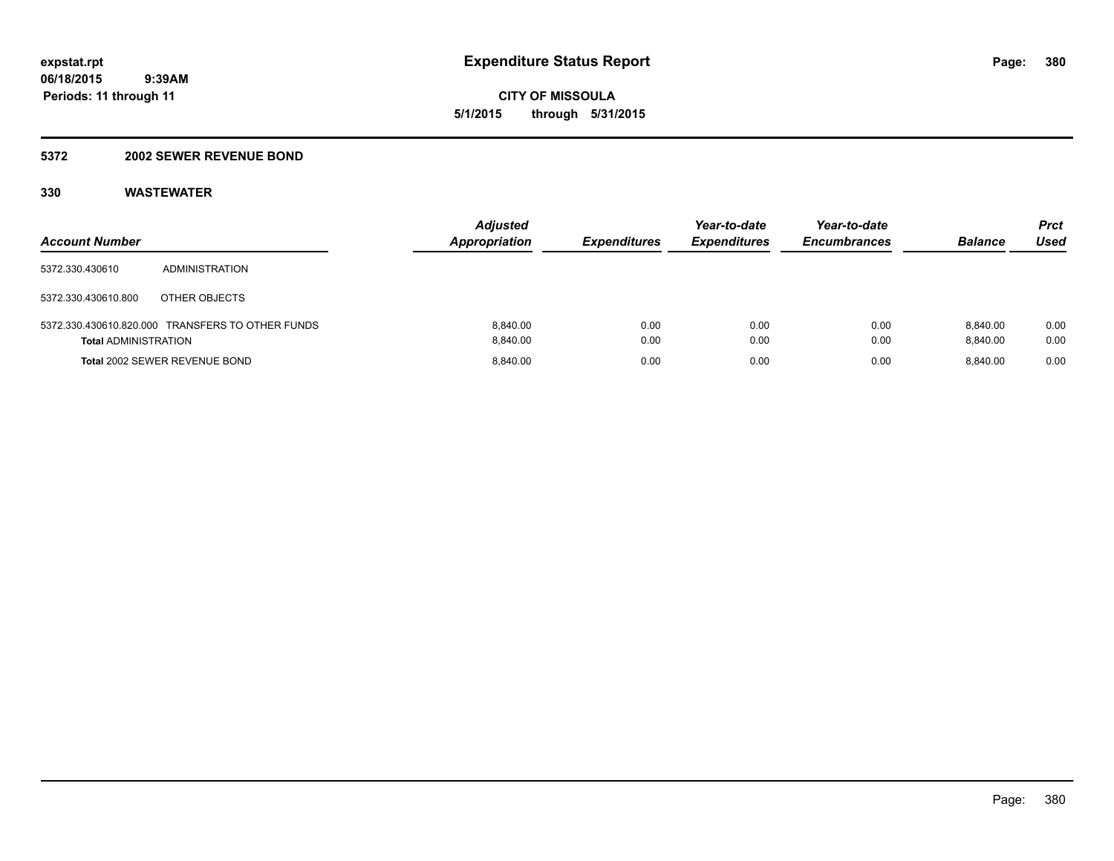**CITY OF MISSOULA 5/1/2015 through 5/31/2015**

### **5372 2002 SEWER REVENUE BOND**

| <b>Account Number</b>       |                                                  | <b>Adjusted</b><br><b>Appropriation</b> | <b>Expenditures</b> | Year-to-date<br><b>Expenditures</b> | Year-to-date<br><b>Encumbrances</b> | <b>Balance</b>       | <b>Prct</b><br>Used |
|-----------------------------|--------------------------------------------------|-----------------------------------------|---------------------|-------------------------------------|-------------------------------------|----------------------|---------------------|
| 5372.330.430610             | <b>ADMINISTRATION</b>                            |                                         |                     |                                     |                                     |                      |                     |
| 5372.330.430610.800         | OTHER OBJECTS                                    |                                         |                     |                                     |                                     |                      |                     |
| <b>Total ADMINISTRATION</b> | 5372.330.430610.820.000 TRANSFERS TO OTHER FUNDS | 8.840.00<br>8.840.00                    | 0.00<br>0.00        | 0.00<br>0.00                        | 0.00<br>0.00                        | 8.840.00<br>8.840.00 | 0.00<br>0.00        |
|                             | Total 2002 SEWER REVENUE BOND                    | 8.840.00                                | 0.00                | 0.00                                | 0.00                                | 8.840.00             | 0.00                |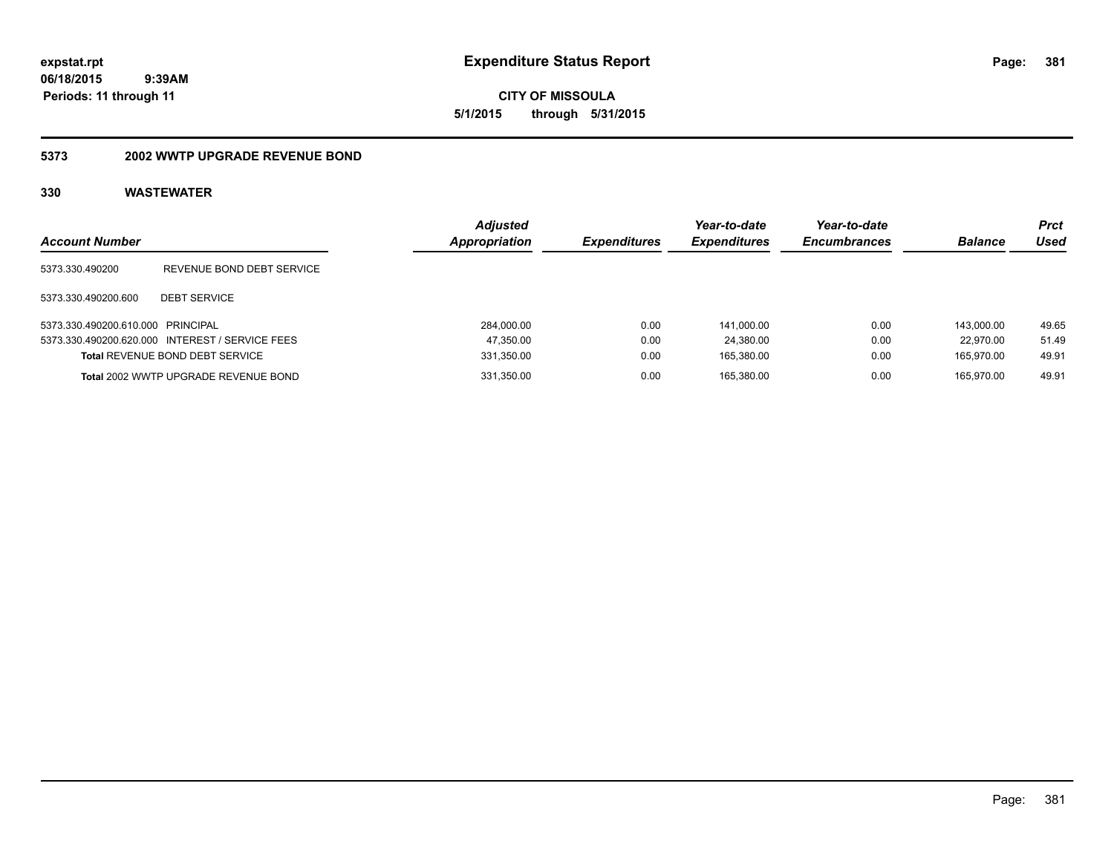**CITY OF MISSOULA 5/1/2015 through 5/31/2015**

### **5373 2002 WWTP UPGRADE REVENUE BOND**

| <b>Account Number</b>             |                                                 | <b>Adjusted</b><br>Appropriation | <b>Expenditures</b> | Year-to-date<br><b>Expenditures</b> | Year-to-date<br><b>Encumbrances</b> | <b>Balance</b> | <b>Prct</b><br>Used |
|-----------------------------------|-------------------------------------------------|----------------------------------|---------------------|-------------------------------------|-------------------------------------|----------------|---------------------|
| 5373.330.490200                   | REVENUE BOND DEBT SERVICE                       |                                  |                     |                                     |                                     |                |                     |
| 5373.330.490200.600               | <b>DEBT SERVICE</b>                             |                                  |                     |                                     |                                     |                |                     |
| 5373.330.490200.610.000 PRINCIPAL |                                                 | 284,000.00                       | 0.00                | 141.000.00                          | 0.00                                | 143.000.00     | 49.65               |
|                                   | 5373.330.490200.620.000 INTEREST / SERVICE FEES | 47,350.00                        | 0.00                | 24.380.00                           | 0.00                                | 22.970.00      | 51.49               |
|                                   | <b>Total REVENUE BOND DEBT SERVICE</b>          | 331,350.00                       | 0.00                | 165,380.00                          | 0.00                                | 165.970.00     | 49.91               |
|                                   | Total 2002 WWTP UPGRADE REVENUE BOND            | 331.350.00                       | 0.00                | 165.380.00                          | 0.00                                | 165.970.00     | 49.91               |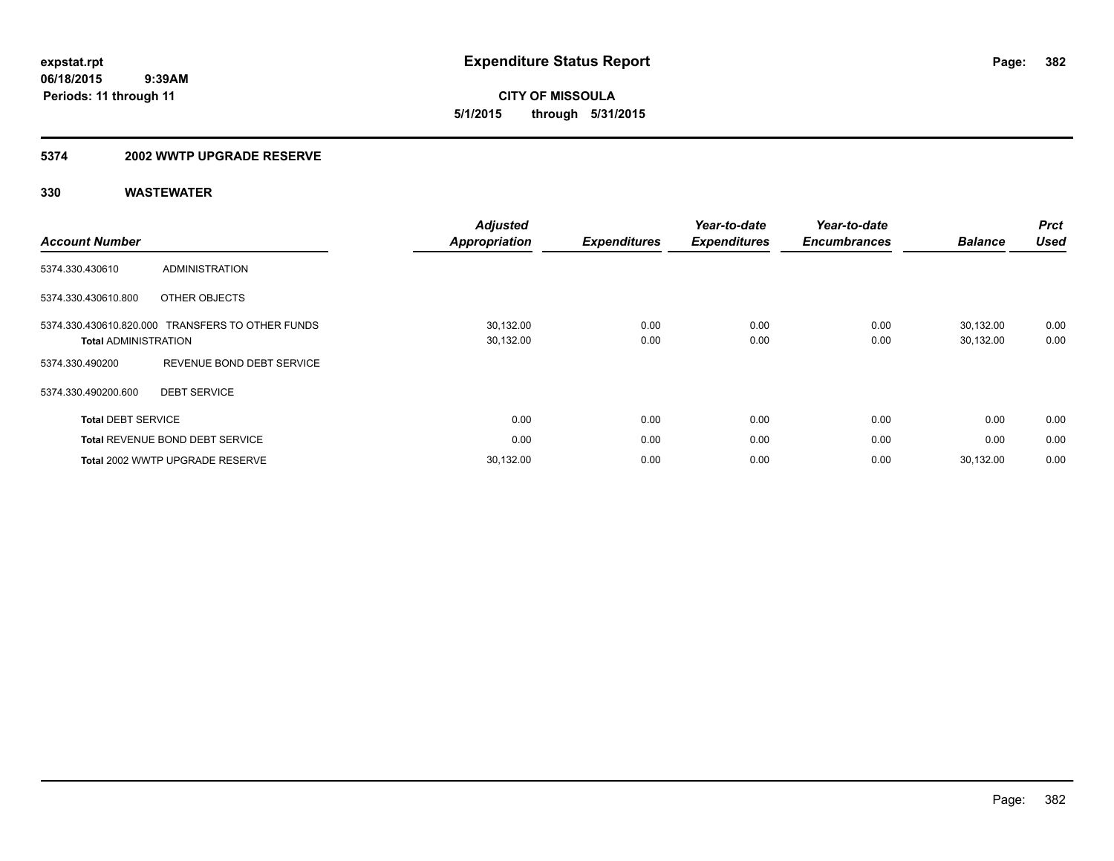**CITY OF MISSOULA 5/1/2015 through 5/31/2015**

### **5374 2002 WWTP UPGRADE RESERVE**

| <b>Account Number</b>       |                                                  | <b>Adjusted</b><br><b>Appropriation</b> | <b>Expenditures</b> | Year-to-date<br><b>Expenditures</b> | Year-to-date<br><b>Encumbrances</b> | <b>Balance</b>         | <b>Prct</b><br><b>Used</b> |
|-----------------------------|--------------------------------------------------|-----------------------------------------|---------------------|-------------------------------------|-------------------------------------|------------------------|----------------------------|
| 5374.330.430610             | ADMINISTRATION                                   |                                         |                     |                                     |                                     |                        |                            |
| 5374.330.430610.800         | OTHER OBJECTS                                    |                                         |                     |                                     |                                     |                        |                            |
| <b>Total ADMINISTRATION</b> | 5374.330.430610.820.000 TRANSFERS TO OTHER FUNDS | 30,132.00<br>30,132.00                  | 0.00<br>0.00        | 0.00<br>0.00                        | 0.00<br>0.00                        | 30,132.00<br>30,132.00 | 0.00<br>0.00               |
| 5374.330.490200             | REVENUE BOND DEBT SERVICE                        |                                         |                     |                                     |                                     |                        |                            |
| 5374.330.490200.600         | <b>DEBT SERVICE</b>                              |                                         |                     |                                     |                                     |                        |                            |
| <b>Total DEBT SERVICE</b>   |                                                  | 0.00                                    | 0.00                | 0.00                                | 0.00                                | 0.00                   | 0.00                       |
|                             | <b>Total REVENUE BOND DEBT SERVICE</b>           | 0.00                                    | 0.00                | 0.00                                | 0.00                                | 0.00                   | 0.00                       |
|                             | Total 2002 WWTP UPGRADE RESERVE                  | 30,132.00                               | 0.00                | 0.00                                | 0.00                                | 30,132.00              | 0.00                       |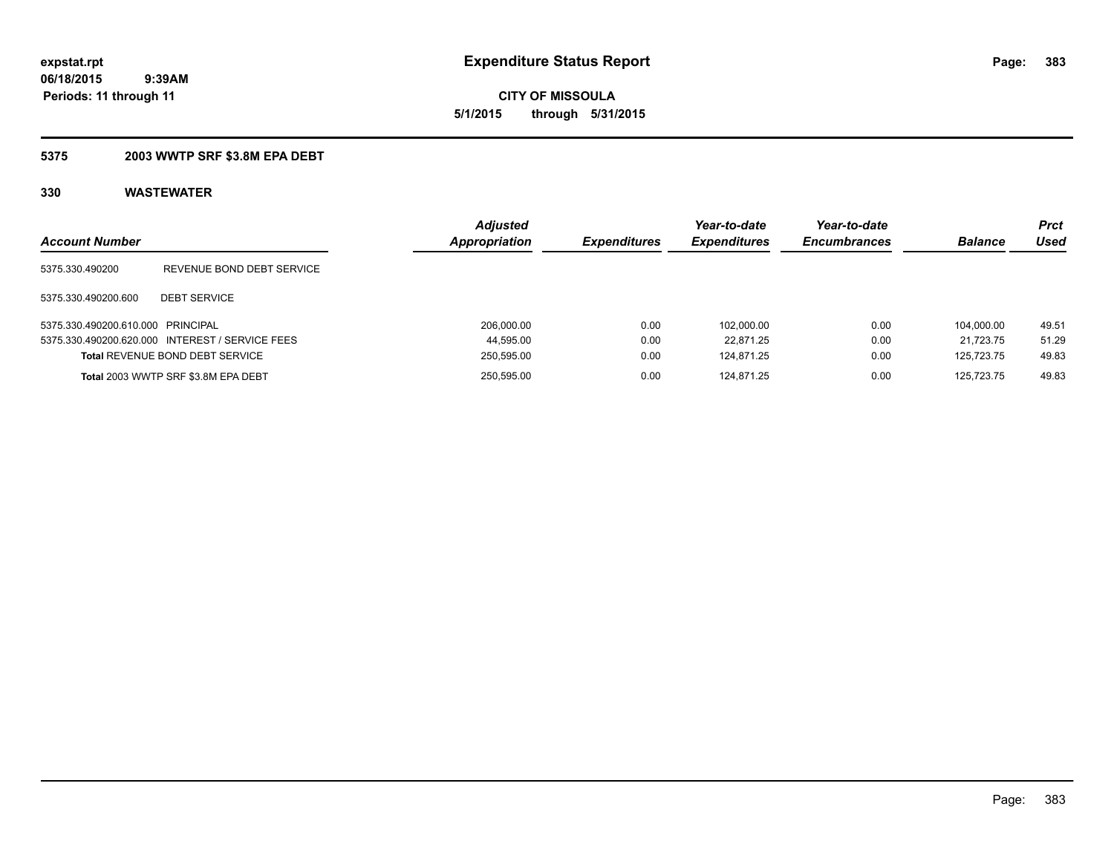**CITY OF MISSOULA 5/1/2015 through 5/31/2015**

### **5375 2003 WWTP SRF \$3.8M EPA DEBT**

| <b>Account Number</b>             |                                                 | <b>Adjusted</b><br><b>Appropriation</b> | <b>Expenditures</b> | Year-to-date<br><b>Expenditures</b> | Year-to-date<br><b>Encumbrances</b> | <b>Balance</b> | <b>Prct</b><br>Used |
|-----------------------------------|-------------------------------------------------|-----------------------------------------|---------------------|-------------------------------------|-------------------------------------|----------------|---------------------|
| 5375.330.490200                   | REVENUE BOND DEBT SERVICE                       |                                         |                     |                                     |                                     |                |                     |
| 5375.330.490200.600               | <b>DEBT SERVICE</b>                             |                                         |                     |                                     |                                     |                |                     |
| 5375.330.490200.610.000 PRINCIPAL |                                                 | 206.000.00                              | 0.00                | 102.000.00                          | 0.00                                | 104.000.00     | 49.51               |
|                                   | 5375.330.490200.620.000 INTEREST / SERVICE FEES | 44,595.00                               | 0.00                | 22.871.25                           | 0.00                                | 21.723.75      | 51.29               |
|                                   | <b>Total REVENUE BOND DEBT SERVICE</b>          | 250,595.00                              | 0.00                | 124.871.25                          | 0.00                                | 125.723.75     | 49.83               |
|                                   | Total 2003 WWTP SRF \$3.8M EPA DEBT             | 250,595.00                              | 0.00                | 124.871.25                          | 0.00                                | 125.723.75     | 49.83               |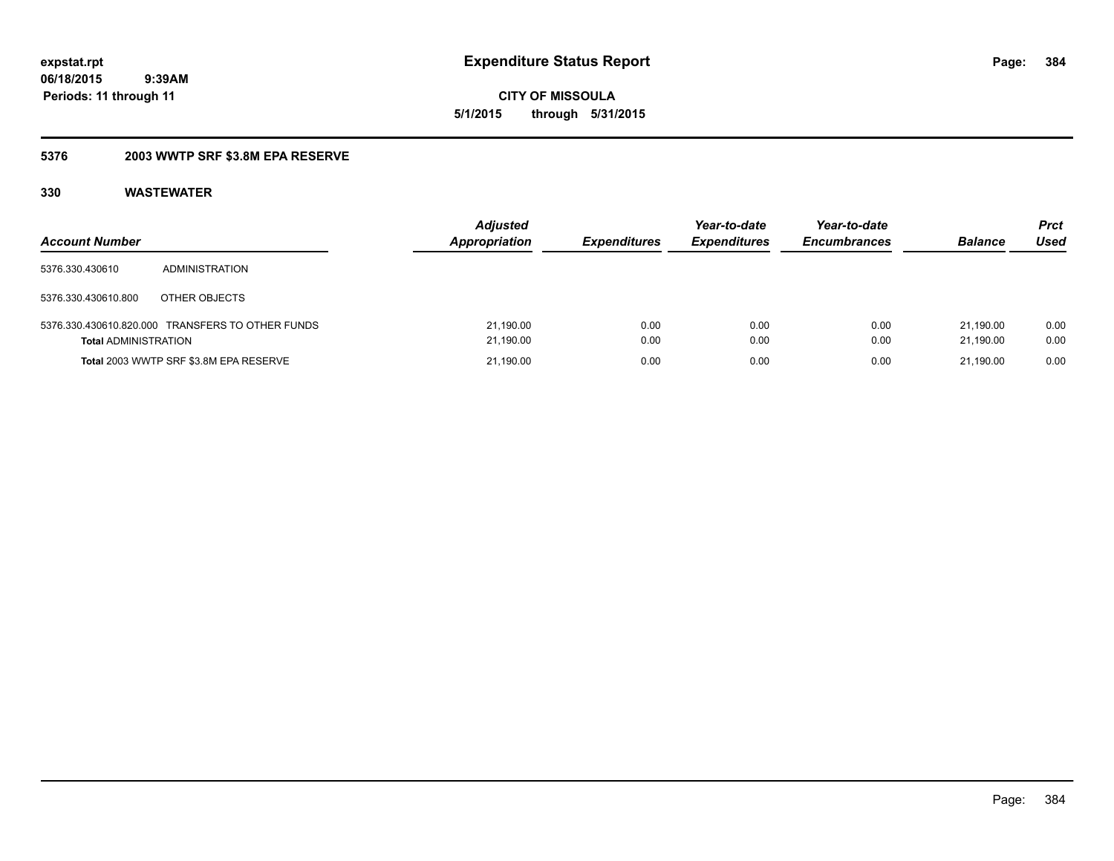**CITY OF MISSOULA 5/1/2015 through 5/31/2015**

### **5376 2003 WWTP SRF \$3.8M EPA RESERVE**

| <b>Account Number</b>       |                                                  | <b>Adjusted</b><br><b>Appropriation</b> | <b>Expenditures</b> | Year-to-date<br><b>Expenditures</b> | Year-to-date<br><b>Encumbrances</b> | <b>Balance</b>         | <b>Prct</b><br>Used |
|-----------------------------|--------------------------------------------------|-----------------------------------------|---------------------|-------------------------------------|-------------------------------------|------------------------|---------------------|
| 5376.330.430610             | <b>ADMINISTRATION</b>                            |                                         |                     |                                     |                                     |                        |                     |
| 5376.330.430610.800         | OTHER OBJECTS                                    |                                         |                     |                                     |                                     |                        |                     |
| <b>Total ADMINISTRATION</b> | 5376.330.430610.820.000 TRANSFERS TO OTHER FUNDS | 21,190.00<br>21,190.00                  | 0.00<br>0.00        | 0.00<br>0.00                        | 0.00<br>0.00                        | 21.190.00<br>21.190.00 | 0.00<br>0.00        |
|                             | Total 2003 WWTP SRF \$3.8M EPA RESERVE           | 21,190.00                               | 0.00                | 0.00                                | 0.00                                | 21.190.00              | 0.00                |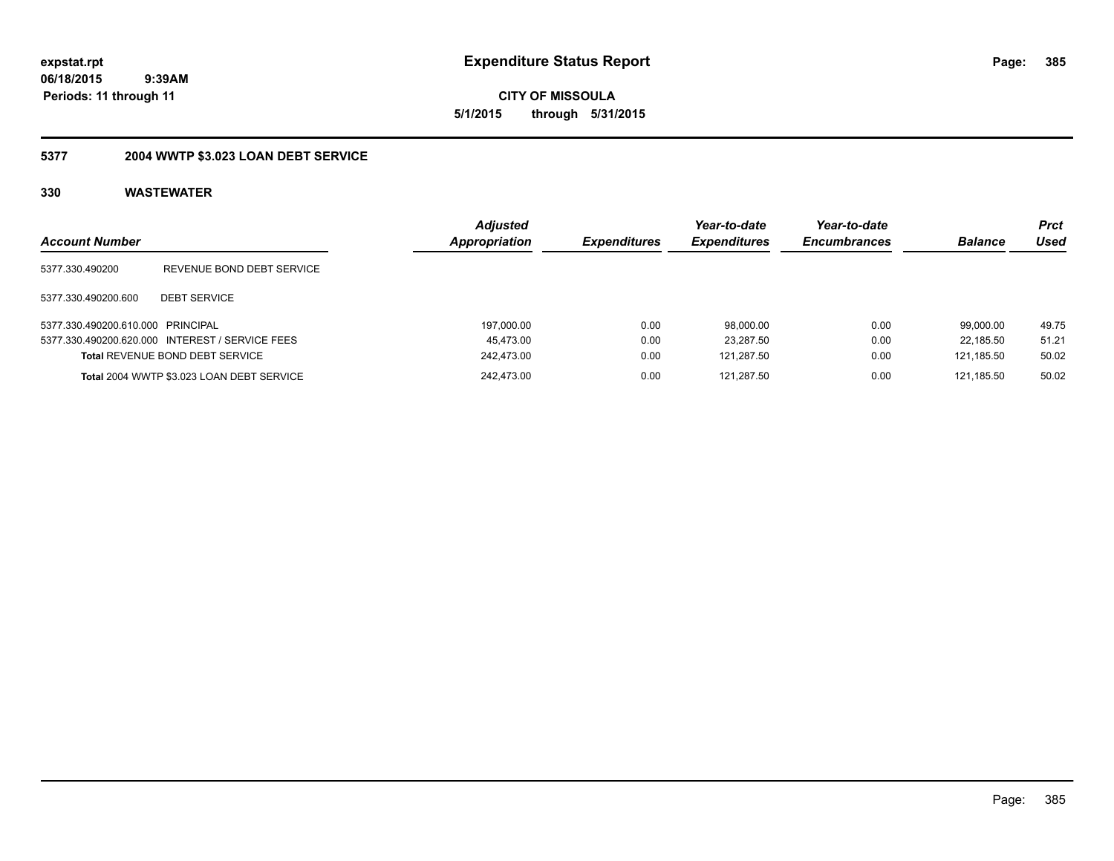**CITY OF MISSOULA 5/1/2015 through 5/31/2015**

## **5377 2004 WWTP \$3.023 LOAN DEBT SERVICE**

| <b>Account Number</b>             |                                                 | <b>Adjusted</b><br>Appropriation | <b>Expenditures</b> | Year-to-date<br><b>Expenditures</b> | Year-to-date<br><b>Encumbrances</b> | <b>Balance</b> | <b>Prct</b><br>Used |
|-----------------------------------|-------------------------------------------------|----------------------------------|---------------------|-------------------------------------|-------------------------------------|----------------|---------------------|
| 5377.330.490200                   | REVENUE BOND DEBT SERVICE                       |                                  |                     |                                     |                                     |                |                     |
| 5377.330.490200.600               | <b>DEBT SERVICE</b>                             |                                  |                     |                                     |                                     |                |                     |
| 5377.330.490200.610.000 PRINCIPAL |                                                 | 197,000.00                       | 0.00                | 98,000.00                           | 0.00                                | 99.000.00      | 49.75               |
|                                   | 5377.330.490200.620.000 INTEREST / SERVICE FEES | 45,473.00                        | 0.00                | 23,287.50                           | 0.00                                | 22.185.50      | 51.21               |
|                                   | <b>Total REVENUE BOND DEBT SERVICE</b>          | 242,473.00                       | 0.00                | 121.287.50                          | 0.00                                | 121.185.50     | 50.02               |
|                                   | Total 2004 WWTP \$3.023 LOAN DEBT SERVICE       | 242.473.00                       | 0.00                | 121.287.50                          | 0.00                                | 121.185.50     | 50.02               |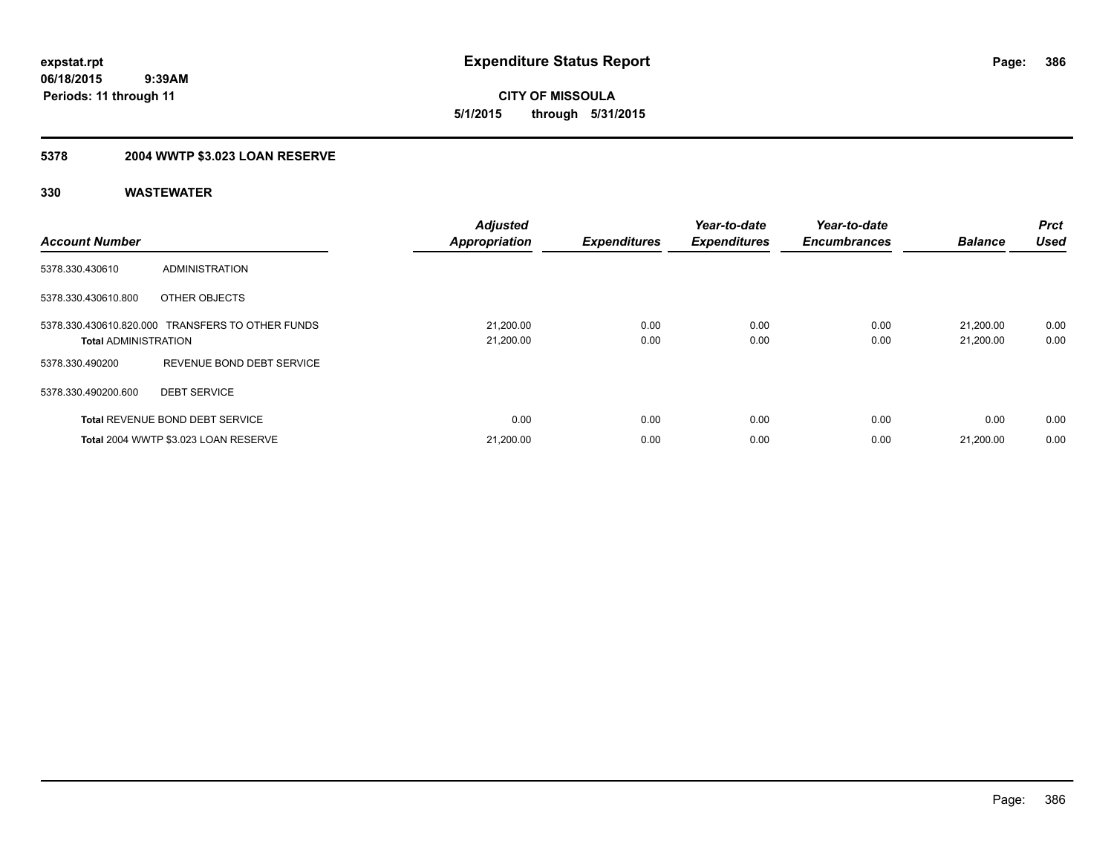**CITY OF MISSOULA 5/1/2015 through 5/31/2015**

## **5378 2004 WWTP \$3.023 LOAN RESERVE**

| <b>Account Number</b>       |                                                  | <b>Adjusted</b><br><b>Appropriation</b> | <b>Expenditures</b> | Year-to-date<br><b>Expenditures</b> | Year-to-date<br><b>Encumbrances</b> | <b>Balance</b>         | <b>Prct</b><br><b>Used</b> |
|-----------------------------|--------------------------------------------------|-----------------------------------------|---------------------|-------------------------------------|-------------------------------------|------------------------|----------------------------|
| 5378.330.430610             | <b>ADMINISTRATION</b>                            |                                         |                     |                                     |                                     |                        |                            |
| 5378.330.430610.800         | OTHER OBJECTS                                    |                                         |                     |                                     |                                     |                        |                            |
| <b>Total ADMINISTRATION</b> | 5378.330.430610.820.000 TRANSFERS TO OTHER FUNDS | 21,200.00<br>21,200.00                  | 0.00<br>0.00        | 0.00<br>0.00                        | 0.00<br>0.00                        | 21.200.00<br>21,200.00 | 0.00<br>0.00               |
| 5378.330.490200             | REVENUE BOND DEBT SERVICE                        |                                         |                     |                                     |                                     |                        |                            |
| 5378.330.490200.600         | <b>DEBT SERVICE</b>                              |                                         |                     |                                     |                                     |                        |                            |
|                             | <b>Total REVENUE BOND DEBT SERVICE</b>           | 0.00                                    | 0.00                | 0.00                                | 0.00                                | 0.00                   | 0.00                       |
|                             | Total 2004 WWTP \$3.023 LOAN RESERVE             | 21.200.00                               | 0.00                | 0.00                                | 0.00                                | 21.200.00              | 0.00                       |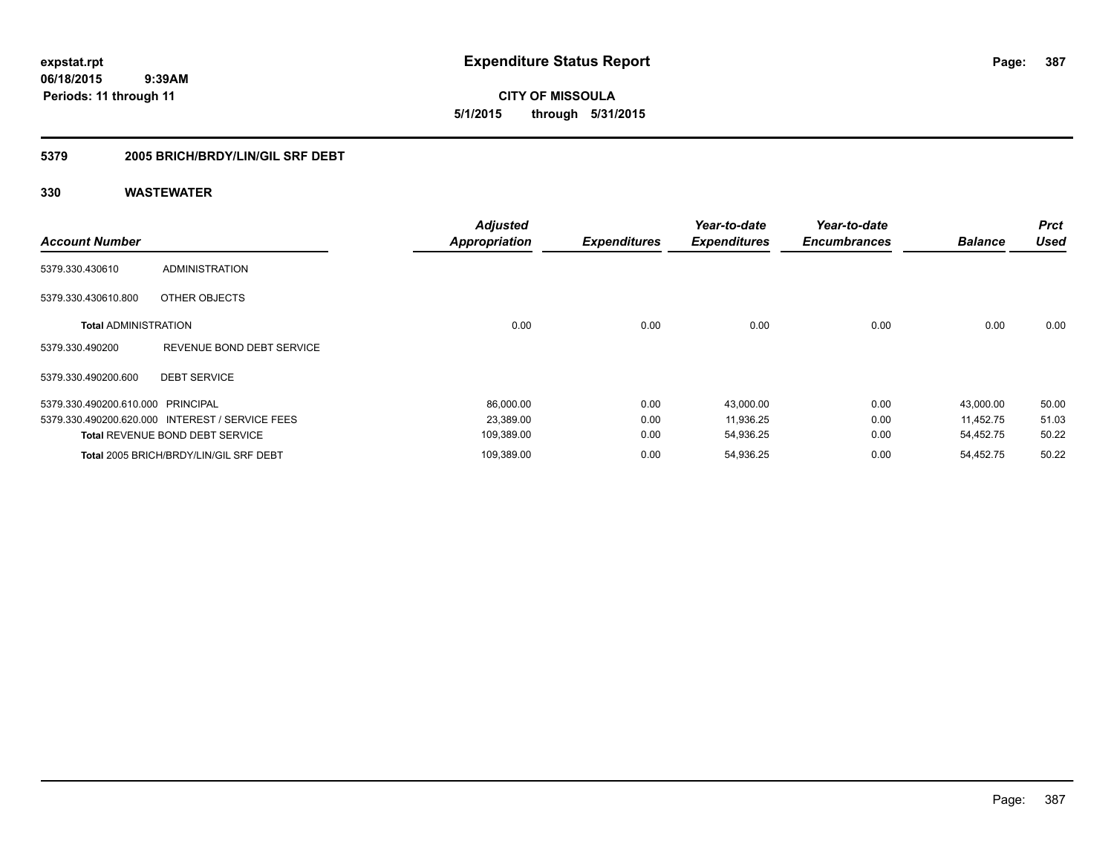**CITY OF MISSOULA 5/1/2015 through 5/31/2015**

### **5379 2005 BRICH/BRDY/LIN/GIL SRF DEBT**

| <b>Account Number</b>             |                                                 | <b>Adjusted</b><br><b>Appropriation</b> | <b>Expenditures</b> | Year-to-date<br><b>Expenditures</b> | Year-to-date<br><b>Encumbrances</b> | <b>Balance</b> | <b>Prct</b><br><b>Used</b> |
|-----------------------------------|-------------------------------------------------|-----------------------------------------|---------------------|-------------------------------------|-------------------------------------|----------------|----------------------------|
| 5379.330.430610                   | <b>ADMINISTRATION</b>                           |                                         |                     |                                     |                                     |                |                            |
| 5379.330.430610.800               | OTHER OBJECTS                                   |                                         |                     |                                     |                                     |                |                            |
| <b>Total ADMINISTRATION</b>       |                                                 | 0.00                                    | 0.00                | 0.00                                | 0.00                                | 0.00           | 0.00                       |
| 5379.330.490200                   | REVENUE BOND DEBT SERVICE                       |                                         |                     |                                     |                                     |                |                            |
| 5379.330.490200.600               | <b>DEBT SERVICE</b>                             |                                         |                     |                                     |                                     |                |                            |
| 5379.330.490200.610.000 PRINCIPAL |                                                 | 86,000.00                               | 0.00                | 43,000.00                           | 0.00                                | 43,000.00      | 50.00                      |
|                                   | 5379.330.490200.620.000 INTEREST / SERVICE FEES | 23,389.00                               | 0.00                | 11,936.25                           | 0.00                                | 11.452.75      | 51.03                      |
|                                   | <b>Total REVENUE BOND DEBT SERVICE</b>          | 109,389.00                              | 0.00                | 54,936.25                           | 0.00                                | 54,452.75      | 50.22                      |
|                                   | Total 2005 BRICH/BRDY/LIN/GIL SRF DEBT          | 109,389.00                              | 0.00                | 54,936.25                           | 0.00                                | 54.452.75      | 50.22                      |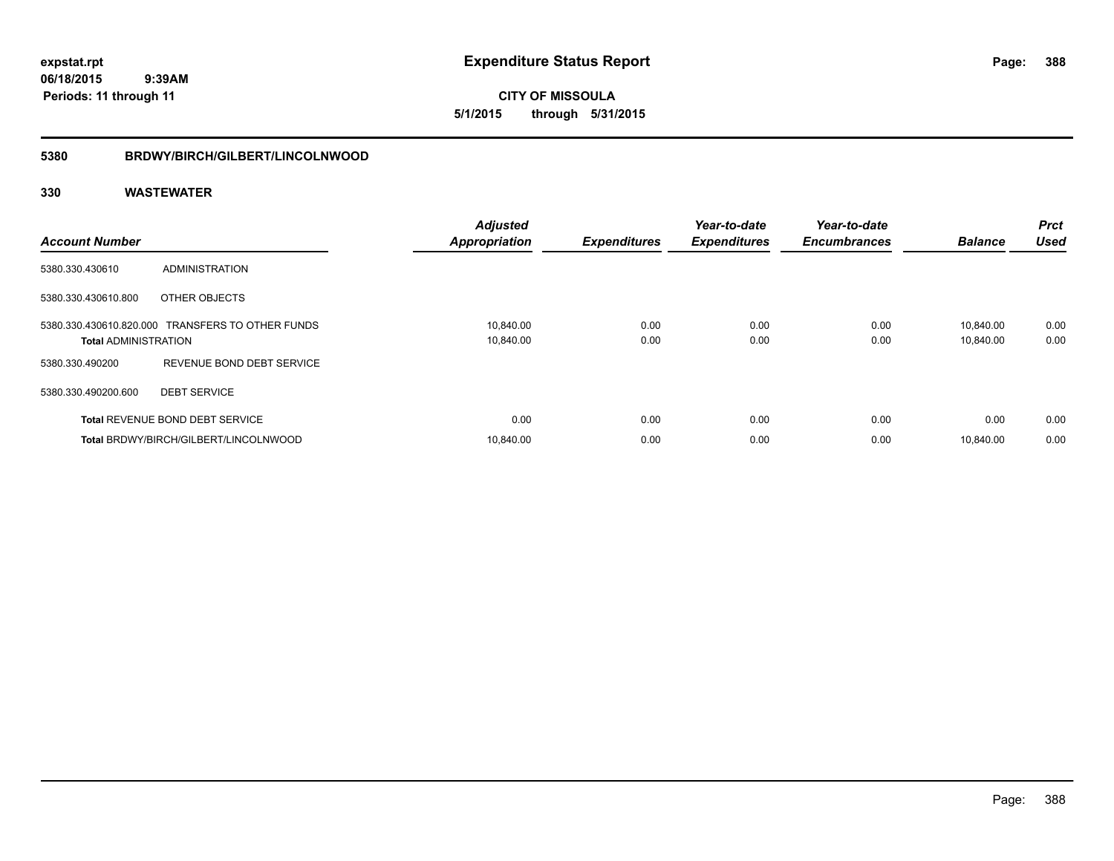**CITY OF MISSOULA 5/1/2015 through 5/31/2015**

### **5380 BRDWY/BIRCH/GILBERT/LINCOLNWOOD**

| <b>Account Number</b>       |                                                  | <b>Adjusted</b><br><b>Appropriation</b> | <b>Expenditures</b> | Year-to-date<br><b>Expenditures</b> | Year-to-date<br><b>Encumbrances</b> | <b>Balance</b>         | <b>Prct</b><br><b>Used</b> |
|-----------------------------|--------------------------------------------------|-----------------------------------------|---------------------|-------------------------------------|-------------------------------------|------------------------|----------------------------|
| 5380.330.430610             | ADMINISTRATION                                   |                                         |                     |                                     |                                     |                        |                            |
| 5380.330.430610.800         | OTHER OBJECTS                                    |                                         |                     |                                     |                                     |                        |                            |
| <b>Total ADMINISTRATION</b> | 5380.330.430610.820.000 TRANSFERS TO OTHER FUNDS | 10,840.00<br>10,840.00                  | 0.00<br>0.00        | 0.00<br>0.00                        | 0.00<br>0.00                        | 10,840.00<br>10,840.00 | 0.00<br>0.00               |
| 5380.330.490200             | REVENUE BOND DEBT SERVICE                        |                                         |                     |                                     |                                     |                        |                            |
| 5380.330.490200.600         | <b>DEBT SERVICE</b>                              |                                         |                     |                                     |                                     |                        |                            |
|                             | Total REVENUE BOND DEBT SERVICE                  | 0.00                                    | 0.00                | 0.00                                | 0.00                                | 0.00                   | 0.00                       |
|                             | Total BRDWY/BIRCH/GILBERT/LINCOLNWOOD            | 10,840.00                               | 0.00                | 0.00                                | 0.00                                | 10.840.00              | 0.00                       |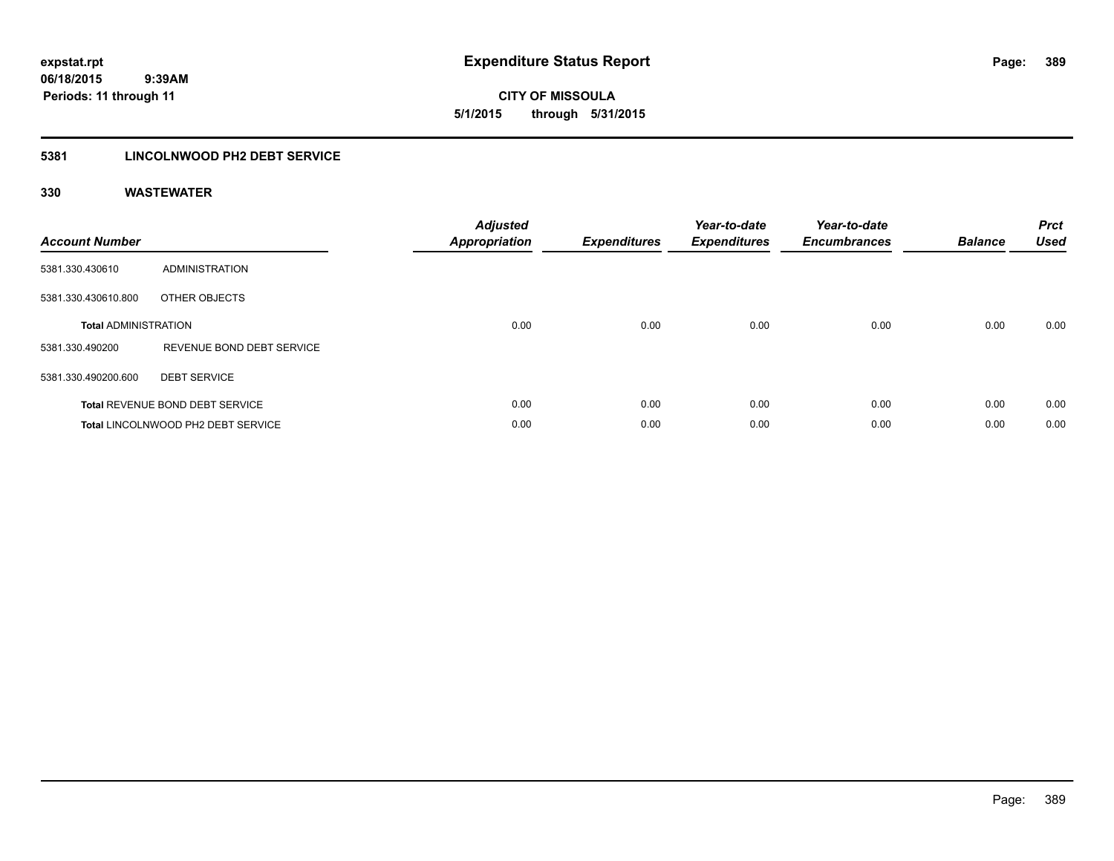**CITY OF MISSOULA 5/1/2015 through 5/31/2015**

### **5381 LINCOLNWOOD PH2 DEBT SERVICE**

| <b>Account Number</b>       |                                        | <b>Adjusted</b><br>Appropriation | <b>Expenditures</b> | Year-to-date<br><b>Expenditures</b> | Year-to-date<br><b>Encumbrances</b> | <b>Balance</b> | <b>Prct</b><br><b>Used</b> |
|-----------------------------|----------------------------------------|----------------------------------|---------------------|-------------------------------------|-------------------------------------|----------------|----------------------------|
| 5381.330.430610             | ADMINISTRATION                         |                                  |                     |                                     |                                     |                |                            |
| 5381.330.430610.800         | OTHER OBJECTS                          |                                  |                     |                                     |                                     |                |                            |
| <b>Total ADMINISTRATION</b> |                                        | 0.00                             | 0.00                | 0.00                                | 0.00                                | 0.00           | 0.00                       |
| 5381.330.490200             | REVENUE BOND DEBT SERVICE              |                                  |                     |                                     |                                     |                |                            |
| 5381.330.490200.600         | <b>DEBT SERVICE</b>                    |                                  |                     |                                     |                                     |                |                            |
|                             | <b>Total REVENUE BOND DEBT SERVICE</b> | 0.00                             | 0.00                | 0.00                                | 0.00                                | 0.00           | 0.00                       |
|                             | Total LINCOLNWOOD PH2 DEBT SERVICE     | 0.00                             | 0.00                | 0.00                                | 0.00                                | 0.00           | 0.00                       |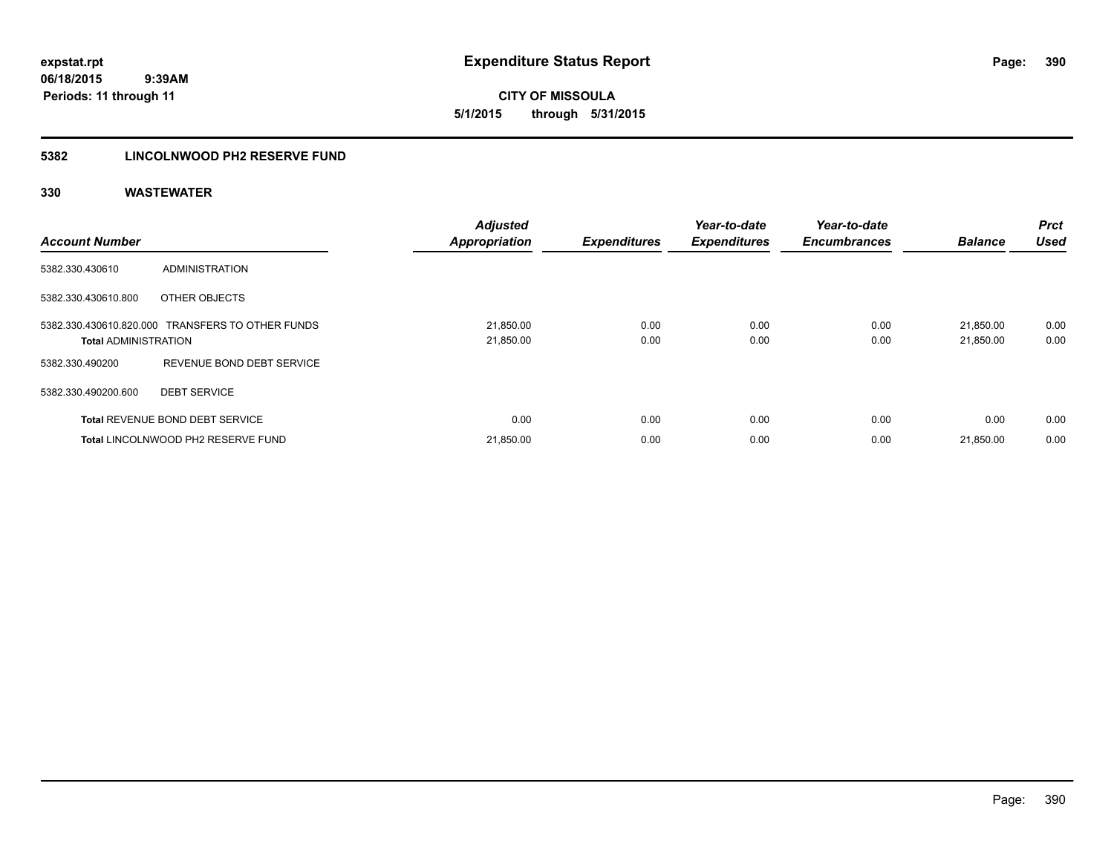**CITY OF MISSOULA 5/1/2015 through 5/31/2015**

### **5382 LINCOLNWOOD PH2 RESERVE FUND**

| <b>Account Number</b>       |                                                  | <b>Adjusted</b><br><b>Appropriation</b> | <b>Expenditures</b> | Year-to-date<br><b>Expenditures</b> | Year-to-date<br><b>Encumbrances</b> | <b>Balance</b>         | <b>Prct</b><br><b>Used</b> |
|-----------------------------|--------------------------------------------------|-----------------------------------------|---------------------|-------------------------------------|-------------------------------------|------------------------|----------------------------|
| 5382.330.430610             | <b>ADMINISTRATION</b>                            |                                         |                     |                                     |                                     |                        |                            |
| 5382.330.430610.800         | OTHER OBJECTS                                    |                                         |                     |                                     |                                     |                        |                            |
| <b>Total ADMINISTRATION</b> | 5382.330.430610.820.000 TRANSFERS TO OTHER FUNDS | 21,850.00<br>21,850.00                  | 0.00<br>0.00        | 0.00<br>0.00                        | 0.00<br>0.00                        | 21.850.00<br>21,850.00 | 0.00<br>0.00               |
| 5382.330.490200             | REVENUE BOND DEBT SERVICE                        |                                         |                     |                                     |                                     |                        |                            |
| 5382.330.490200.600         | <b>DEBT SERVICE</b>                              |                                         |                     |                                     |                                     |                        |                            |
|                             | <b>Total REVENUE BOND DEBT SERVICE</b>           | 0.00                                    | 0.00                | 0.00                                | 0.00                                | 0.00                   | 0.00                       |
|                             | Total LINCOLNWOOD PH2 RESERVE FUND               | 21,850.00                               | 0.00                | 0.00                                | 0.00                                | 21,850.00              | 0.00                       |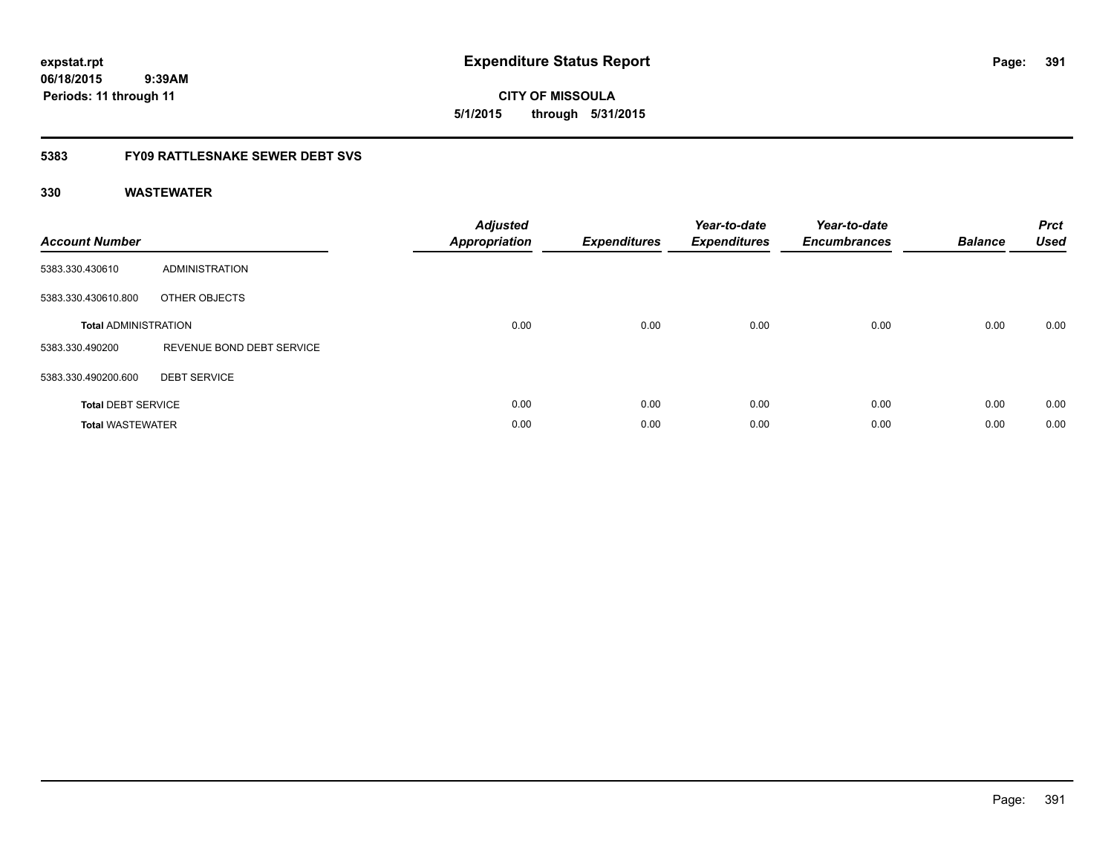**expstat.rpt Expenditure Status Report Page:**

**06/18/2015 9:39AM Periods: 11 through 11**

**CITY OF MISSOULA 5/1/2015 through 5/31/2015**

### **5383 FY09 RATTLESNAKE SEWER DEBT SVS**

| <b>Account Number</b>       |                           | <b>Adjusted</b><br><b>Appropriation</b> | <b>Expenditures</b> | Year-to-date<br><b>Expenditures</b> | Year-to-date<br><b>Encumbrances</b> | <b>Balance</b> | <b>Prct</b><br><b>Used</b> |
|-----------------------------|---------------------------|-----------------------------------------|---------------------|-------------------------------------|-------------------------------------|----------------|----------------------------|
| 5383.330.430610             | ADMINISTRATION            |                                         |                     |                                     |                                     |                |                            |
| 5383.330.430610.800         | OTHER OBJECTS             |                                         |                     |                                     |                                     |                |                            |
| <b>Total ADMINISTRATION</b> |                           | 0.00                                    | 0.00                | 0.00                                | 0.00                                | 0.00           | 0.00                       |
| 5383.330.490200             | REVENUE BOND DEBT SERVICE |                                         |                     |                                     |                                     |                |                            |
| 5383.330.490200.600         | <b>DEBT SERVICE</b>       |                                         |                     |                                     |                                     |                |                            |
| <b>Total DEBT SERVICE</b>   |                           | 0.00                                    | 0.00                | 0.00                                | 0.00                                | 0.00           | 0.00                       |
| <b>Total WASTEWATER</b>     |                           | 0.00                                    | 0.00                | 0.00                                | 0.00                                | 0.00           | 0.00                       |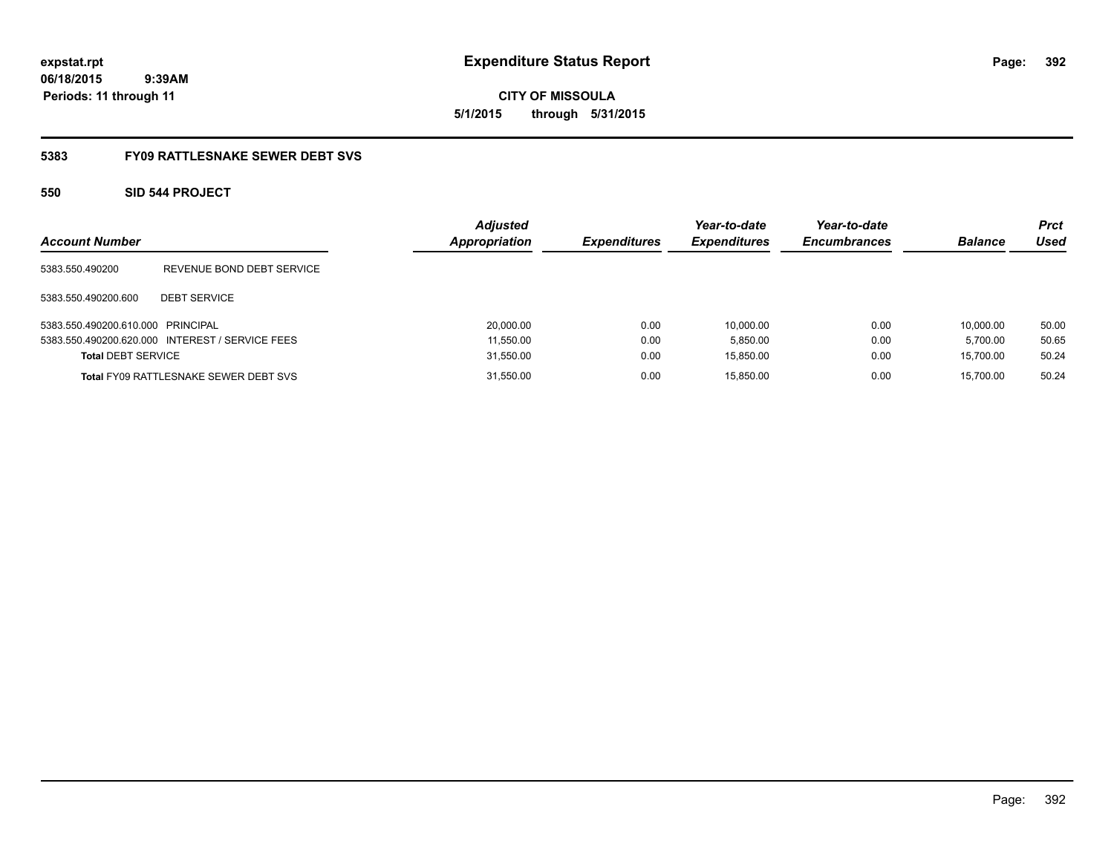**CITY OF MISSOULA 5/1/2015 through 5/31/2015**

### **5383 FY09 RATTLESNAKE SEWER DEBT SVS**

### **550 SID 544 PROJECT**

| <b>Account Number</b>             |                                              | <b>Adjusted</b><br>Appropriation | <b>Expenditures</b> | Year-to-date<br><b>Expenditures</b> | Year-to-date<br><b>Encumbrances</b> | <b>Balance</b> | <b>Prct</b><br>Used |
|-----------------------------------|----------------------------------------------|----------------------------------|---------------------|-------------------------------------|-------------------------------------|----------------|---------------------|
| 5383.550.490200                   | REVENUE BOND DEBT SERVICE                    |                                  |                     |                                     |                                     |                |                     |
| 5383.550.490200.600               | <b>DEBT SERVICE</b>                          |                                  |                     |                                     |                                     |                |                     |
| 5383.550.490200.610.000 PRINCIPAL |                                              | 20,000.00                        | 0.00                | 10.000.00                           | 0.00                                | 10.000.00      | 50.00               |
| 5383.550.490200.620.000           | INTEREST / SERVICE FEES                      | 11,550.00                        | 0.00                | 5,850.00                            | 0.00                                | 5.700.00       | 50.65               |
| <b>Total DEBT SERVICE</b>         |                                              | 31,550.00                        | 0.00                | 15,850.00                           | 0.00                                | 15.700.00      | 50.24               |
|                                   | <b>Total FY09 RATTLESNAKE SEWER DEBT SVS</b> | 31,550.00                        | 0.00                | 15,850.00                           | 0.00                                | 15.700.00      | 50.24               |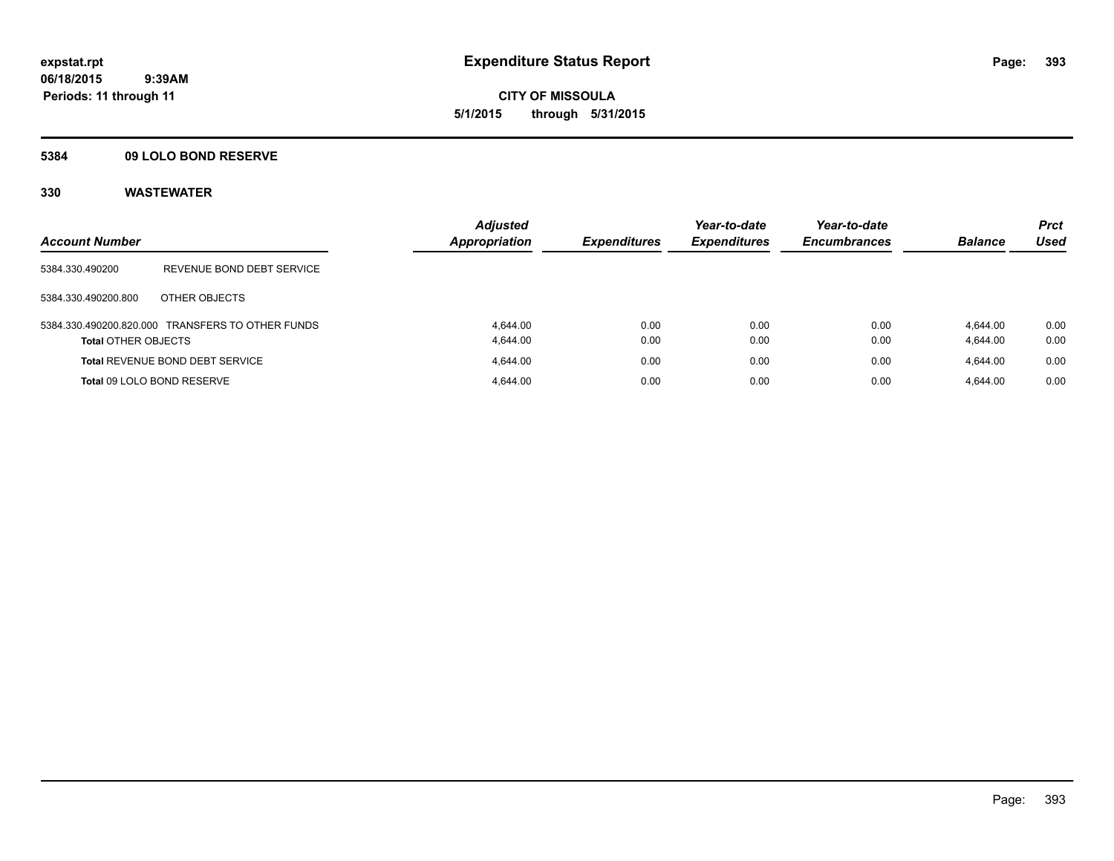**CITY OF MISSOULA 5/1/2015 through 5/31/2015**

### **5384 09 LOLO BOND RESERVE**

| <b>Account Number</b>      |                                                  | <b>Adjusted</b><br><b>Appropriation</b> | <b>Expenditures</b> | Year-to-date<br><b>Expenditures</b> | Year-to-date<br><b>Encumbrances</b> | <b>Balance</b> | <b>Prct</b><br>Used |
|----------------------------|--------------------------------------------------|-----------------------------------------|---------------------|-------------------------------------|-------------------------------------|----------------|---------------------|
|                            |                                                  |                                         |                     |                                     |                                     |                |                     |
| 5384.330.490200            | REVENUE BOND DEBT SERVICE                        |                                         |                     |                                     |                                     |                |                     |
| 5384.330.490200.800        | OTHER OBJECTS                                    |                                         |                     |                                     |                                     |                |                     |
|                            | 5384.330.490200.820.000 TRANSFERS TO OTHER FUNDS | 4.644.00                                | 0.00                | 0.00                                | 0.00                                | 4.644.00       | 0.00                |
| <b>Total OTHER OBJECTS</b> |                                                  | 4.644.00                                | 0.00                | 0.00                                | 0.00                                | 4,644.00       | 0.00                |
|                            | <b>Total REVENUE BOND DEBT SERVICE</b>           | 4.644.00                                | 0.00                | 0.00                                | 0.00                                | 4.644.00       | 0.00                |
| Total 09 LOLO BOND RESERVE |                                                  | 4.644.00                                | 0.00                | 0.00                                | 0.00                                | 4.644.00       | 0.00                |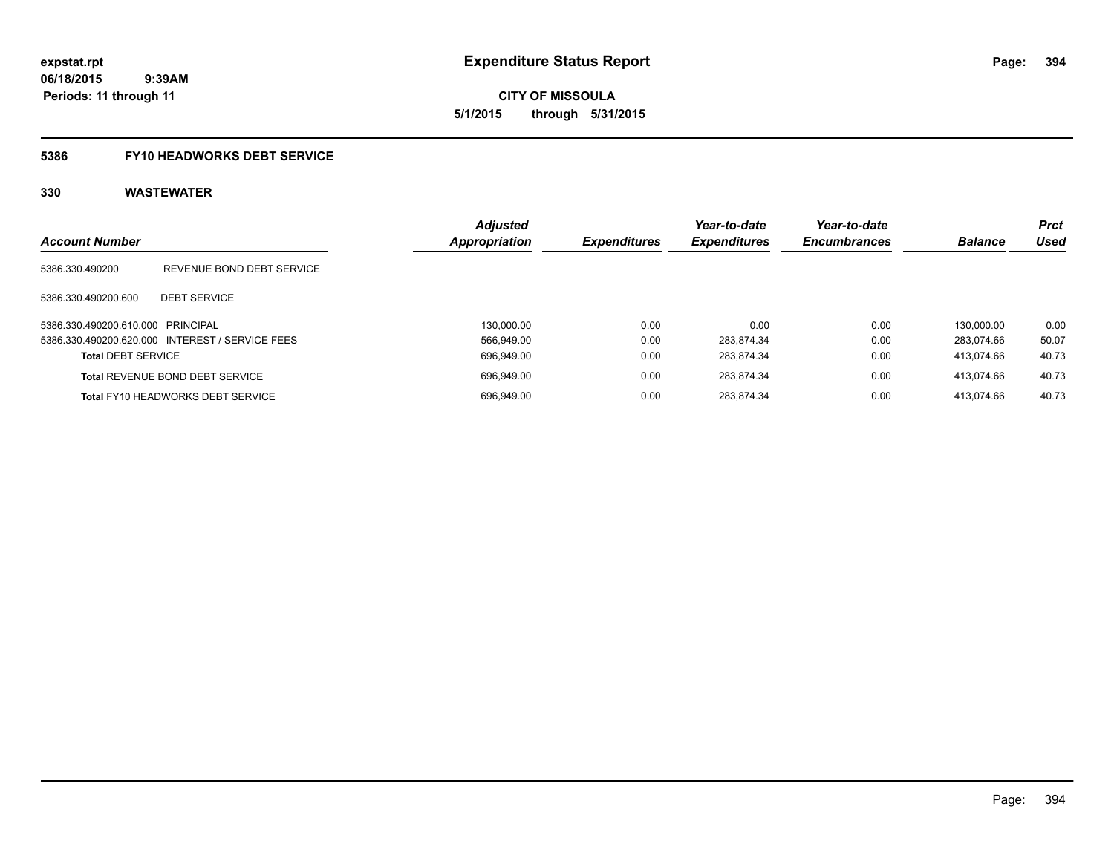**CITY OF MISSOULA 5/1/2015 through 5/31/2015**

### **5386 FY10 HEADWORKS DEBT SERVICE**

| <b>Account Number</b>             |                                                 | <b>Adjusted</b><br><b>Appropriation</b> | <b>Expenditures</b> | Year-to-date<br><b>Expenditures</b> | Year-to-date<br><b>Encumbrances</b> | <b>Balance</b> | <b>Prct</b><br>Used |
|-----------------------------------|-------------------------------------------------|-----------------------------------------|---------------------|-------------------------------------|-------------------------------------|----------------|---------------------|
| 5386.330.490200                   | REVENUE BOND DEBT SERVICE                       |                                         |                     |                                     |                                     |                |                     |
| 5386.330.490200.600               | <b>DEBT SERVICE</b>                             |                                         |                     |                                     |                                     |                |                     |
| 5386.330.490200.610.000 PRINCIPAL |                                                 | 130.000.00                              | 0.00                | 0.00                                | 0.00                                | 130.000.00     | 0.00                |
|                                   | 5386.330.490200.620.000 INTEREST / SERVICE FEES | 566.949.00                              | 0.00                | 283.874.34                          | 0.00                                | 283.074.66     | 50.07               |
| <b>Total DEBT SERVICE</b>         |                                                 | 696.949.00                              | 0.00                | 283.874.34                          | 0.00                                | 413.074.66     | 40.73               |
|                                   | <b>Total REVENUE BOND DEBT SERVICE</b>          | 696.949.00                              | 0.00                | 283.874.34                          | 0.00                                | 413.074.66     | 40.73               |
|                                   | <b>Total FY10 HEADWORKS DEBT SERVICE</b>        | 696.949.00                              | 0.00                | 283.874.34                          | 0.00                                | 413.074.66     | 40.73               |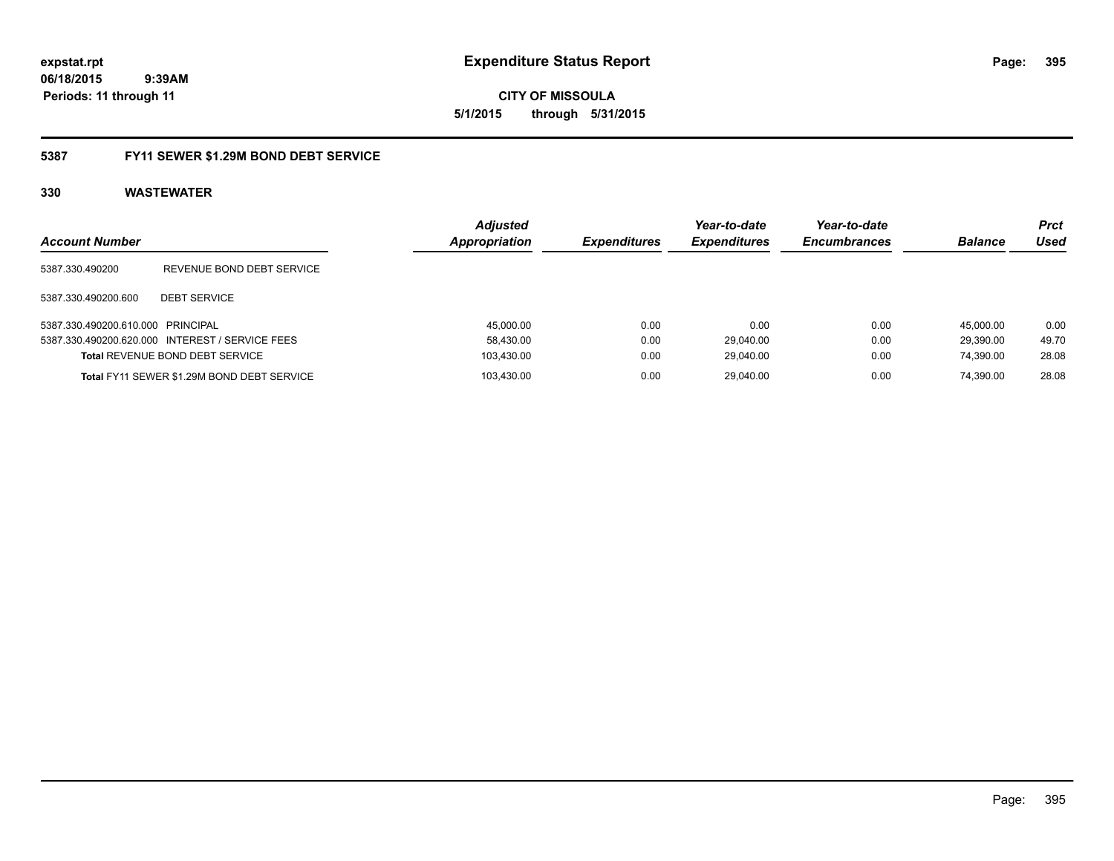**expstat.rpt Expenditure Status Report Page:**

**06/18/2015 9:39AM Periods: 11 through 11**

### **5387 FY11 SEWER \$1.29M BOND DEBT SERVICE**

| <b>Account Number</b>             |                                                 | <b>Adjusted</b><br><b>Appropriation</b> | <b>Expenditures</b> | Year-to-date<br><b>Expenditures</b> | Year-to-date<br><b>Encumbrances</b> | <b>Balance</b> | Prct<br>Used |
|-----------------------------------|-------------------------------------------------|-----------------------------------------|---------------------|-------------------------------------|-------------------------------------|----------------|--------------|
| 5387.330.490200                   | REVENUE BOND DEBT SERVICE                       |                                         |                     |                                     |                                     |                |              |
| 5387.330.490200.600               | <b>DEBT SERVICE</b>                             |                                         |                     |                                     |                                     |                |              |
| 5387.330.490200.610.000 PRINCIPAL |                                                 | 45,000.00                               | 0.00                | 0.00                                | 0.00                                | 45.000.00      | 0.00         |
|                                   | 5387.330.490200.620.000 INTEREST / SERVICE FEES | 58,430.00                               | 0.00                | 29.040.00                           | 0.00                                | 29.390.00      | 49.70        |
|                                   | <b>Total REVENUE BOND DEBT SERVICE</b>          | 103,430.00                              | 0.00                | 29.040.00                           | 0.00                                | 74.390.00      | 28.08        |
|                                   | Total FY11 SEWER \$1.29M BOND DEBT SERVICE      | 103.430.00                              | 0.00                | 29.040.00                           | 0.00                                | 74.390.00      | 28.08        |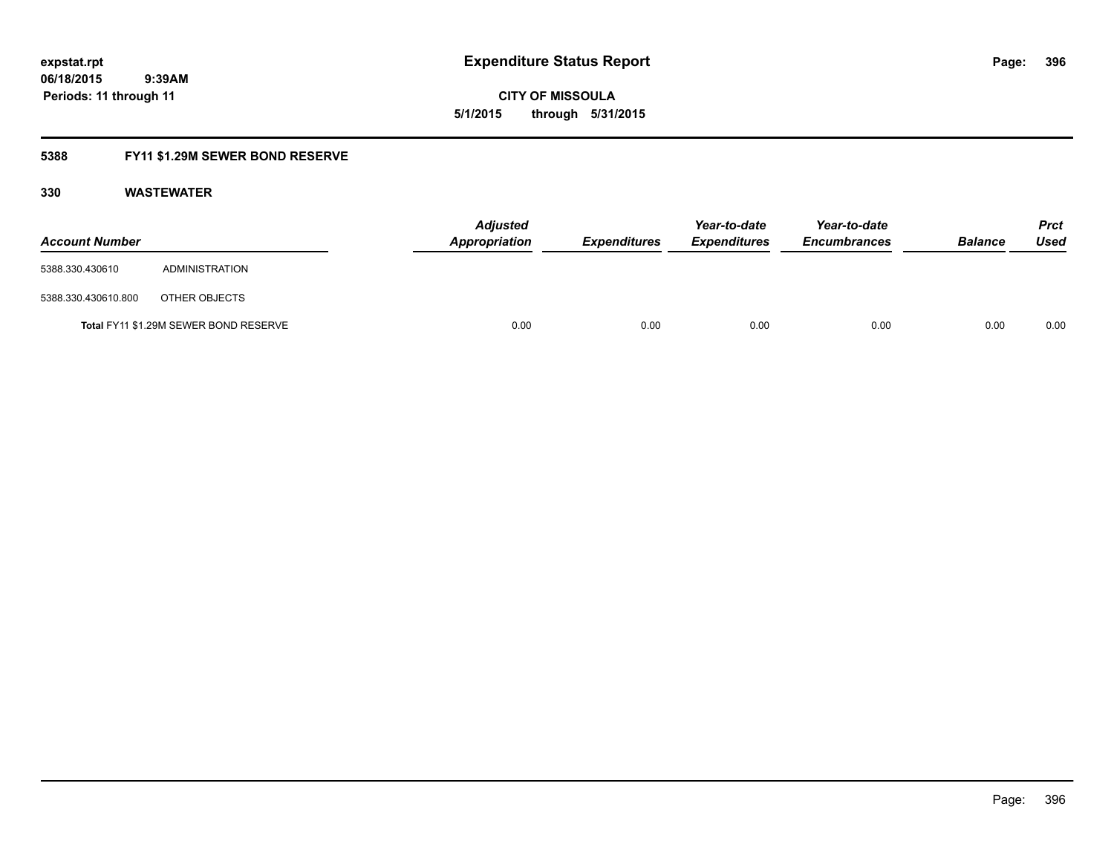**CITY OF MISSOULA 5/1/2015 through 5/31/2015**

### **5388 FY11 \$1.29M SEWER BOND RESERVE**

| <b>Account Number</b> |                                       | <b>Adjusted</b><br>Appropriation | Expenditures | Year-to-date<br><b>Expenditures</b> | Year-to-date<br><b>Encumbrances</b> | <b>Balance</b> | <b>Prct</b><br>Used |
|-----------------------|---------------------------------------|----------------------------------|--------------|-------------------------------------|-------------------------------------|----------------|---------------------|
| 5388.330.430610       | ADMINISTRATION                        |                                  |              |                                     |                                     |                |                     |
| 5388.330.430610.800   | OTHER OBJECTS                         |                                  |              |                                     |                                     |                |                     |
|                       | Total FY11 \$1.29M SEWER BOND RESERVE | 0.00                             | 0.00         | 0.00                                | 0.00                                | 0.00           | 0.00                |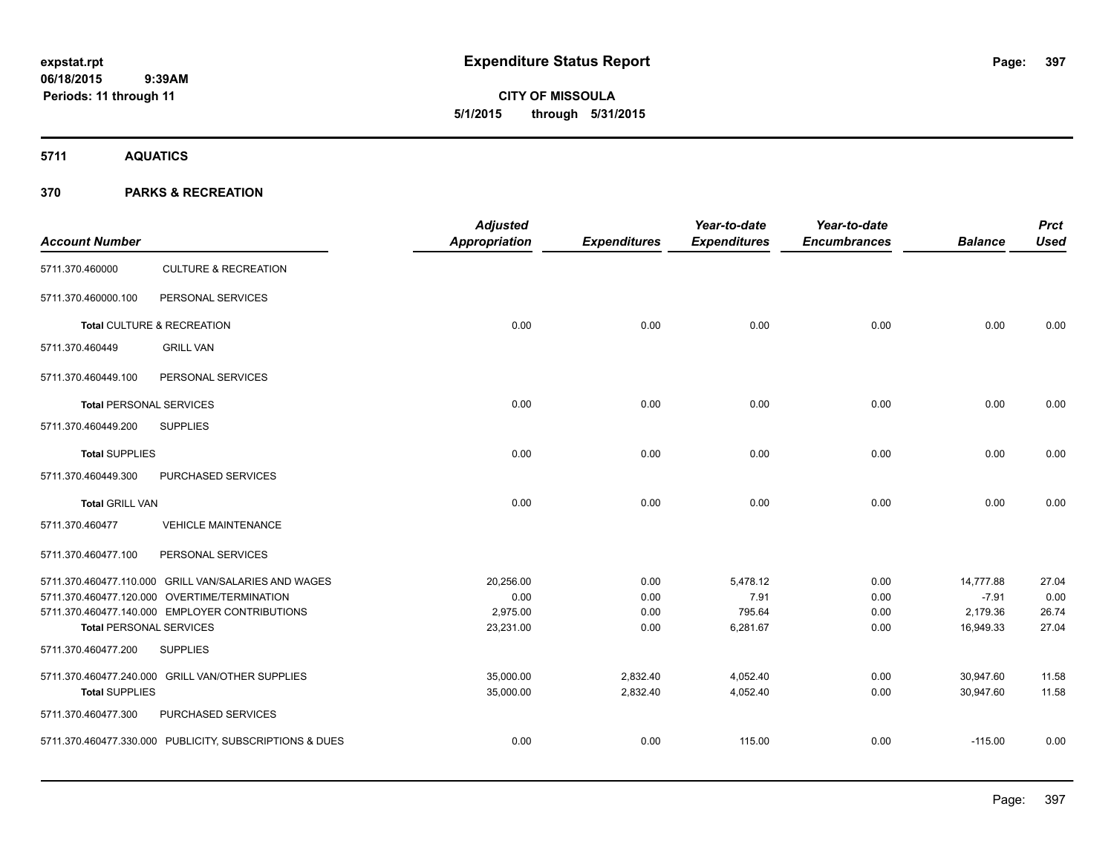**5711 AQUATICS**

| <b>Account Number</b>          |                                                         | <b>Adjusted</b><br>Appropriation | <b>Expenditures</b> | Year-to-date<br><b>Expenditures</b> | Year-to-date<br><b>Encumbrances</b> | <b>Balance</b> | <b>Prct</b><br><b>Used</b> |
|--------------------------------|---------------------------------------------------------|----------------------------------|---------------------|-------------------------------------|-------------------------------------|----------------|----------------------------|
| 5711.370.460000                | <b>CULTURE &amp; RECREATION</b>                         |                                  |                     |                                     |                                     |                |                            |
| 5711.370.460000.100            | PERSONAL SERVICES                                       |                                  |                     |                                     |                                     |                |                            |
|                                | Total CULTURE & RECREATION                              | 0.00                             | 0.00                | 0.00                                | 0.00                                | 0.00           | 0.00                       |
| 5711.370.460449                | <b>GRILL VAN</b>                                        |                                  |                     |                                     |                                     |                |                            |
| 5711.370.460449.100            | PERSONAL SERVICES                                       |                                  |                     |                                     |                                     |                |                            |
| <b>Total PERSONAL SERVICES</b> |                                                         | 0.00                             | 0.00                | 0.00                                | 0.00                                | 0.00           | 0.00                       |
| 5711.370.460449.200            | <b>SUPPLIES</b>                                         |                                  |                     |                                     |                                     |                |                            |
| <b>Total SUPPLIES</b>          |                                                         | 0.00                             | 0.00                | 0.00                                | 0.00                                | 0.00           | 0.00                       |
| 5711.370.460449.300            | PURCHASED SERVICES                                      |                                  |                     |                                     |                                     |                |                            |
| <b>Total GRILL VAN</b>         |                                                         | 0.00                             | 0.00                | 0.00                                | 0.00                                | 0.00           | 0.00                       |
| 5711.370.460477                | <b>VEHICLE MAINTENANCE</b>                              |                                  |                     |                                     |                                     |                |                            |
| 5711.370.460477.100            | PERSONAL SERVICES                                       |                                  |                     |                                     |                                     |                |                            |
|                                | 5711.370.460477.110.000 GRILL VAN/SALARIES AND WAGES    | 20,256.00                        | 0.00                | 5,478.12                            | 0.00                                | 14,777.88      | 27.04                      |
|                                | 5711.370.460477.120.000 OVERTIME/TERMINATION            | 0.00                             | 0.00                | 7.91                                | 0.00                                | $-7.91$        | 0.00                       |
|                                | 5711.370.460477.140.000 EMPLOYER CONTRIBUTIONS          | 2,975.00                         | 0.00                | 795.64                              | 0.00                                | 2,179.36       | 26.74                      |
| <b>Total PERSONAL SERVICES</b> |                                                         | 23,231.00                        | 0.00                | 6,281.67                            | 0.00                                | 16,949.33      | 27.04                      |
| 5711.370.460477.200            | <b>SUPPLIES</b>                                         |                                  |                     |                                     |                                     |                |                            |
|                                | 5711.370.460477.240.000 GRILL VAN/OTHER SUPPLIES        | 35,000.00                        | 2,832.40            | 4,052.40                            | 0.00                                | 30,947.60      | 11.58                      |
| <b>Total SUPPLIES</b>          |                                                         | 35,000.00                        | 2,832.40            | 4,052.40                            | 0.00                                | 30,947.60      | 11.58                      |
| 5711.370.460477.300            | PURCHASED SERVICES                                      |                                  |                     |                                     |                                     |                |                            |
|                                | 5711.370.460477.330.000 PUBLICITY, SUBSCRIPTIONS & DUES | 0.00                             | 0.00                | 115.00                              | 0.00                                | $-115.00$      | 0.00                       |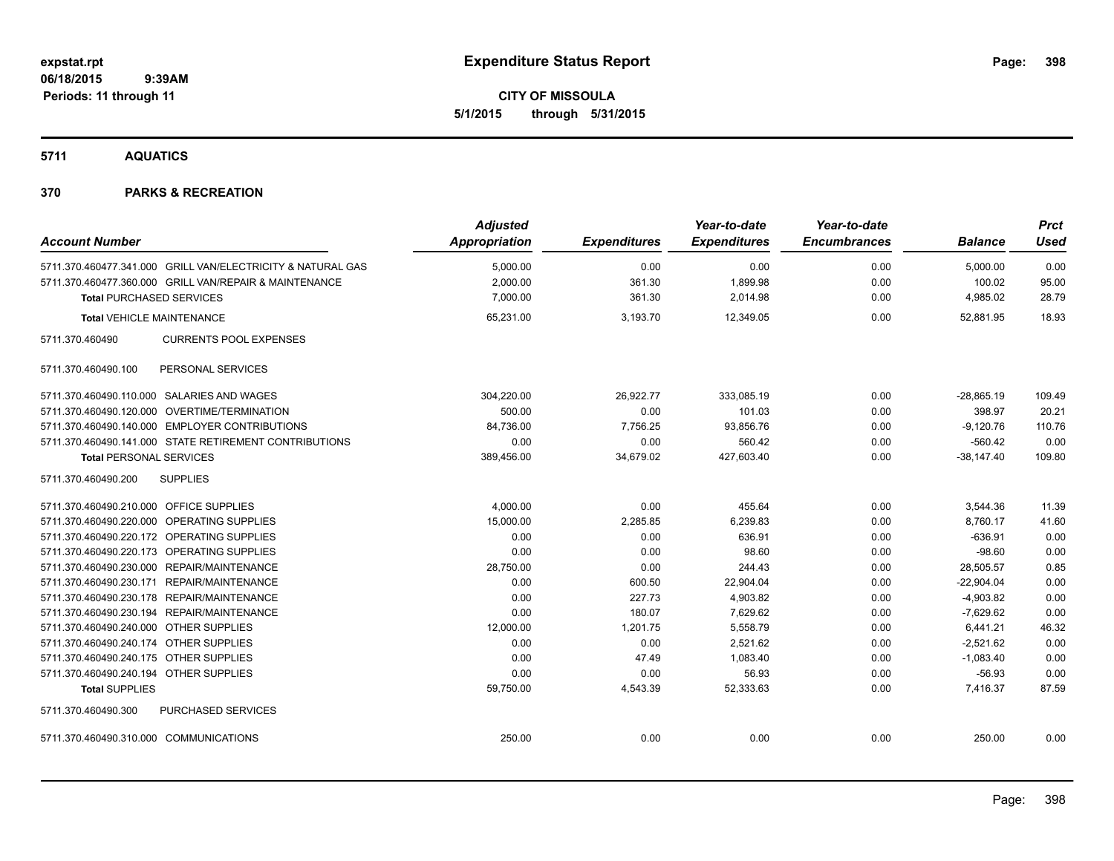# **CITY OF MISSOULA 5/1/2015 through 5/31/2015**

**5711 AQUATICS**

| <b>Account Number</b>                                       | <b>Adjusted</b><br><b>Appropriation</b> | <b>Expenditures</b> | Year-to-date<br><b>Expenditures</b> | Year-to-date<br><b>Encumbrances</b> | <b>Balance</b> | <b>Prct</b><br><b>Used</b> |
|-------------------------------------------------------------|-----------------------------------------|---------------------|-------------------------------------|-------------------------------------|----------------|----------------------------|
|                                                             |                                         |                     |                                     |                                     |                |                            |
| 5711.370.460477.341.000 GRILL VAN/ELECTRICITY & NATURAL GAS | 5,000.00                                | 0.00                | 0.00                                | 0.00                                | 5,000.00       | 0.00                       |
| 5711.370.460477.360.000 GRILL VAN/REPAIR & MAINTENANCE      | 2,000.00                                | 361.30              | 1,899.98                            | 0.00                                | 100.02         | 95.00                      |
| <b>Total PURCHASED SERVICES</b>                             | 7,000.00                                | 361.30              | 2,014.98                            | 0.00                                | 4,985.02       | 28.79                      |
| <b>Total VEHICLE MAINTENANCE</b>                            | 65,231.00                               | 3,193.70            | 12,349.05                           | 0.00                                | 52,881.95      | 18.93                      |
| 5711.370.460490<br><b>CURRENTS POOL EXPENSES</b>            |                                         |                     |                                     |                                     |                |                            |
| PERSONAL SERVICES<br>5711.370.460490.100                    |                                         |                     |                                     |                                     |                |                            |
| 5711.370.460490.110.000 SALARIES AND WAGES                  | 304,220.00                              | 26,922.77           | 333,085.19                          | 0.00                                | $-28,865.19$   | 109.49                     |
| 5711.370.460490.120.000 OVERTIME/TERMINATION                | 500.00                                  | 0.00                | 101.03                              | 0.00                                | 398.97         | 20.21                      |
| 5711.370.460490.140.000 EMPLOYER CONTRIBUTIONS              | 84,736.00                               | 7,756.25            | 93,856.76                           | 0.00                                | $-9,120.76$    | 110.76                     |
| 5711.370.460490.141.000 STATE RETIREMENT CONTRIBUTIONS      | 0.00                                    | 0.00                | 560.42                              | 0.00                                | $-560.42$      | 0.00                       |
| <b>Total PERSONAL SERVICES</b>                              | 389,456.00                              | 34,679.02           | 427,603.40                          | 0.00                                | $-38,147.40$   | 109.80                     |
| <b>SUPPLIES</b><br>5711.370.460490.200                      |                                         |                     |                                     |                                     |                |                            |
| 5711.370.460490.210.000 OFFICE SUPPLIES                     | 4,000.00                                | 0.00                | 455.64                              | 0.00                                | 3,544.36       | 11.39                      |
| 5711.370.460490.220.000 OPERATING SUPPLIES                  | 15,000.00                               | 2,285.85            | 6,239.83                            | 0.00                                | 8,760.17       | 41.60                      |
| 5711.370.460490.220.172 OPERATING SUPPLIES                  | 0.00                                    | 0.00                | 636.91                              | 0.00                                | $-636.91$      | 0.00                       |
| 5711.370.460490.220.173 OPERATING SUPPLIES                  | 0.00                                    | 0.00                | 98.60                               | 0.00                                | $-98.60$       | 0.00                       |
| 5711.370.460490.230.000 REPAIR/MAINTENANCE                  | 28,750.00                               | 0.00                | 244.43                              | 0.00                                | 28,505.57      | 0.85                       |
| 5711.370.460490.230.171 REPAIR/MAINTENANCE                  | 0.00                                    | 600.50              | 22,904.04                           | 0.00                                | $-22,904.04$   | 0.00                       |
| 5711.370.460490.230.178 REPAIR/MAINTENANCE                  | 0.00                                    | 227.73              | 4,903.82                            | 0.00                                | $-4,903.82$    | 0.00                       |
| 5711.370.460490.230.194 REPAIR/MAINTENANCE                  | 0.00                                    | 180.07              | 7,629.62                            | 0.00                                | $-7,629.62$    | 0.00                       |
| 5711.370.460490.240.000 OTHER SUPPLIES                      | 12,000.00                               | 1,201.75            | 5,558.79                            | 0.00                                | 6,441.21       | 46.32                      |
| 5711.370.460490.240.174 OTHER SUPPLIES                      | 0.00                                    | 0.00                | 2,521.62                            | 0.00                                | $-2,521.62$    | 0.00                       |
| 5711.370.460490.240.175 OTHER SUPPLIES                      | 0.00                                    | 47.49               | 1.083.40                            | 0.00                                | $-1,083.40$    | 0.00                       |
| 5711.370.460490.240.194 OTHER SUPPLIES                      | 0.00                                    | 0.00                | 56.93                               | 0.00                                | $-56.93$       | 0.00                       |
| <b>Total SUPPLIES</b>                                       | 59,750.00                               | 4,543.39            | 52,333.63                           | 0.00                                | 7,416.37       | 87.59                      |
| 5711.370.460490.300<br>PURCHASED SERVICES                   |                                         |                     |                                     |                                     |                |                            |
| 5711.370.460490.310.000 COMMUNICATIONS                      | 250.00                                  | 0.00                | 0.00                                | 0.00                                | 250.00         | 0.00                       |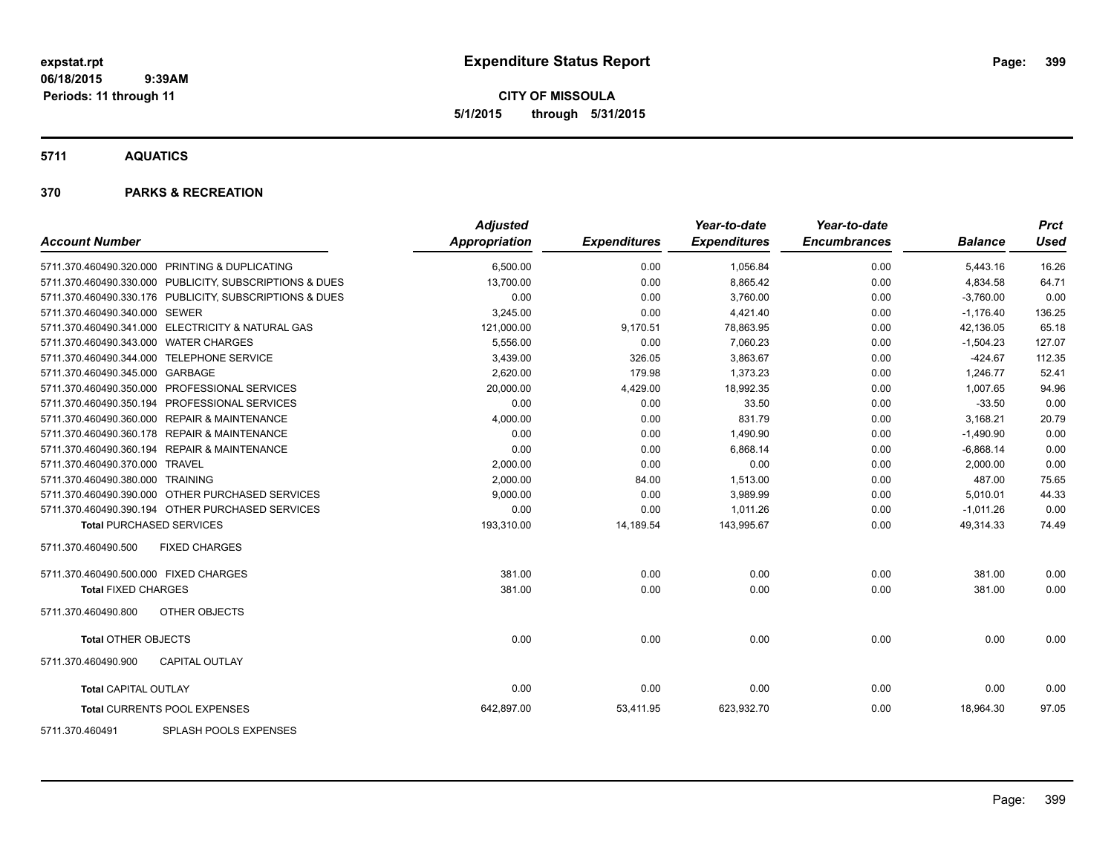**CITY OF MISSOULA 5/1/2015 through 5/31/2015**

**5711 AQUATICS**

#### **370 PARKS & RECREATION**

| <b>Account Number</b>                                   | <b>Adjusted</b><br>Appropriation | <b>Expenditures</b> | Year-to-date<br><b>Expenditures</b> | Year-to-date<br><b>Encumbrances</b> | <b>Balance</b> | <b>Prct</b><br><b>Used</b> |
|---------------------------------------------------------|----------------------------------|---------------------|-------------------------------------|-------------------------------------|----------------|----------------------------|
|                                                         |                                  |                     |                                     |                                     |                |                            |
| 5711.370.460490.320.000 PRINTING & DUPLICATING          | 6,500.00                         | 0.00                | 1,056.84                            | 0.00                                | 5,443.16       | 16.26                      |
| 5711.370.460490.330.000 PUBLICITY, SUBSCRIPTIONS & DUES | 13,700.00                        | 0.00                | 8,865.42                            | 0.00                                | 4,834.58       | 64.71                      |
| 5711.370.460490.330.176 PUBLICITY, SUBSCRIPTIONS & DUES | 0.00                             | 0.00                | 3,760.00                            | 0.00                                | $-3,760.00$    | 0.00                       |
| 5711.370.460490.340.000 SEWER                           | 3,245.00                         | 0.00                | 4,421.40                            | 0.00                                | $-1,176.40$    | 136.25                     |
| 5711.370.460490.341.000 ELECTRICITY & NATURAL GAS       | 121,000.00                       | 9,170.51            | 78,863.95                           | 0.00                                | 42,136.05      | 65.18                      |
| 5711.370.460490.343.000 WATER CHARGES                   | 5,556.00                         | 0.00                | 7,060.23                            | 0.00                                | $-1,504.23$    | 127.07                     |
| 5711.370.460490.344.000 TELEPHONE SERVICE               | 3,439.00                         | 326.05              | 3,863.67                            | 0.00                                | $-424.67$      | 112.35                     |
| 5711.370.460490.345.000 GARBAGE                         | 2,620.00                         | 179.98              | 1,373.23                            | 0.00                                | 1,246.77       | 52.41                      |
| 5711.370.460490.350.000 PROFESSIONAL SERVICES           | 20,000.00                        | 4,429.00            | 18,992.35                           | 0.00                                | 1,007.65       | 94.96                      |
| 5711.370.460490.350.194 PROFESSIONAL SERVICES           | 0.00                             | 0.00                | 33.50                               | 0.00                                | $-33.50$       | 0.00                       |
| 5711.370.460490.360.000 REPAIR & MAINTENANCE            | 4,000.00                         | 0.00                | 831.79                              | 0.00                                | 3,168.21       | 20.79                      |
| 5711.370.460490.360.178 REPAIR & MAINTENANCE            | 0.00                             | 0.00                | 1,490.90                            | 0.00                                | $-1,490.90$    | 0.00                       |
| 5711.370.460490.360.194 REPAIR & MAINTENANCE            | 0.00                             | 0.00                | 6,868.14                            | 0.00                                | $-6,868.14$    | 0.00                       |
| 5711.370.460490.370.000 TRAVEL                          | 2,000.00                         | 0.00                | 0.00                                | 0.00                                | 2,000.00       | 0.00                       |
| 5711.370.460490.380.000 TRAINING                        | 2,000.00                         | 84.00               | 1,513.00                            | 0.00                                | 487.00         | 75.65                      |
| 5711.370.460490.390.000 OTHER PURCHASED SERVICES        | 9,000.00                         | 0.00                | 3,989.99                            | 0.00                                | 5,010.01       | 44.33                      |
| 5711.370.460490.390.194 OTHER PURCHASED SERVICES        | 0.00                             | 0.00                | 1,011.26                            | 0.00                                | $-1,011.26$    | 0.00                       |
| <b>Total PURCHASED SERVICES</b>                         | 193,310.00                       | 14,189.54           | 143,995.67                          | 0.00                                | 49,314.33      | 74.49                      |
| <b>FIXED CHARGES</b><br>5711.370.460490.500             |                                  |                     |                                     |                                     |                |                            |
| 5711.370.460490.500.000 FIXED CHARGES                   | 381.00                           | 0.00                | 0.00                                | 0.00                                | 381.00         | 0.00                       |
| <b>Total FIXED CHARGES</b>                              | 381.00                           | 0.00                | 0.00                                | 0.00                                | 381.00         | 0.00                       |
| OTHER OBJECTS<br>5711.370.460490.800                    |                                  |                     |                                     |                                     |                |                            |
| <b>Total OTHER OBJECTS</b>                              | 0.00                             | 0.00                | 0.00                                | 0.00                                | 0.00           | 0.00                       |
| <b>CAPITAL OUTLAY</b><br>5711.370.460490.900            |                                  |                     |                                     |                                     |                |                            |
| <b>Total CAPITAL OUTLAY</b>                             | 0.00                             | 0.00                | 0.00                                | 0.00                                | 0.00           | 0.00                       |
| Total CURRENTS POOL EXPENSES                            | 642,897.00                       | 53,411.95           | 623,932.70                          | 0.00                                | 18,964.30      | 97.05                      |
| $-0.011$ $-0.011$ $-0.011$ $-0.011$                     |                                  |                     |                                     |                                     |                |                            |

5711.370.460491 SPLASH POOLS EXPENSES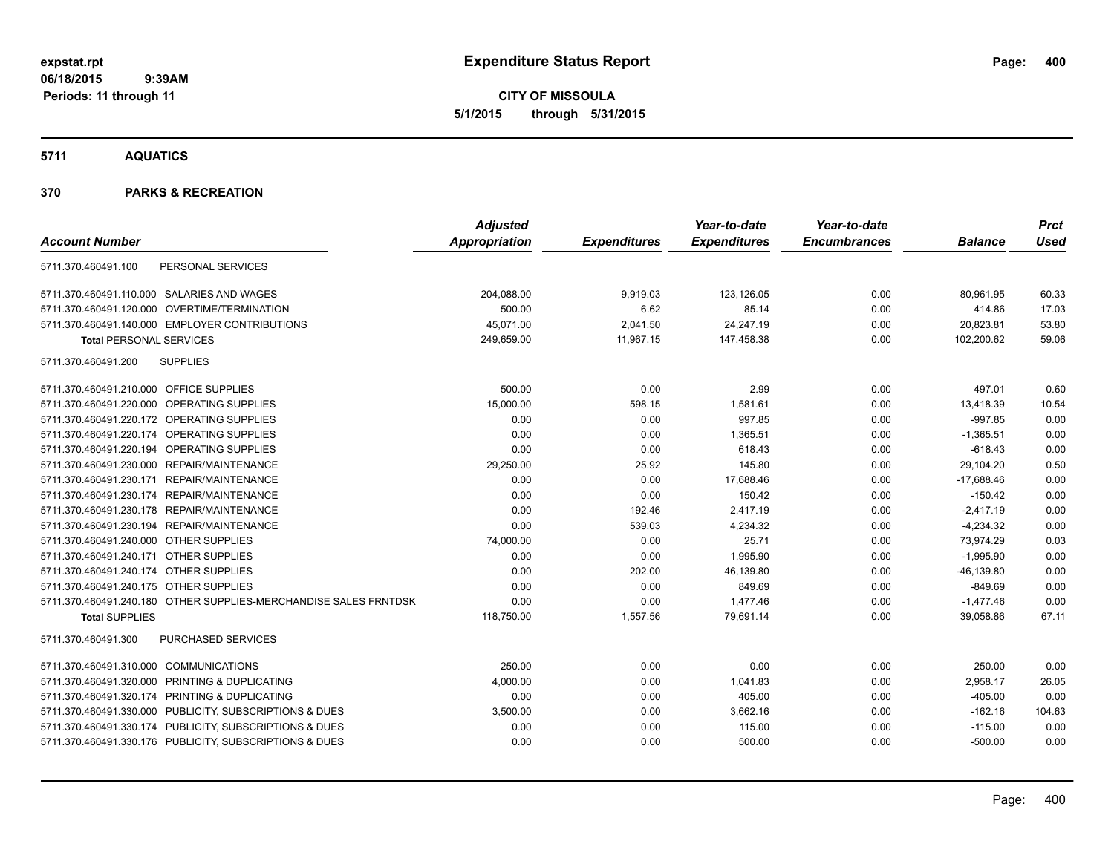**CITY OF MISSOULA 5/1/2015 through 5/31/2015**

**5711 AQUATICS**

|                                                                  | <b>Adjusted</b> |                     | Year-to-date        | Year-to-date        |                | <b>Prct</b> |
|------------------------------------------------------------------|-----------------|---------------------|---------------------|---------------------|----------------|-------------|
| <b>Account Number</b>                                            | Appropriation   | <b>Expenditures</b> | <b>Expenditures</b> | <b>Encumbrances</b> | <b>Balance</b> | <b>Used</b> |
| 5711.370.460491.100<br>PERSONAL SERVICES                         |                 |                     |                     |                     |                |             |
| 5711.370.460491.110.000 SALARIES AND WAGES                       | 204,088.00      | 9,919.03            | 123,126.05          | 0.00                | 80,961.95      | 60.33       |
| 5711.370.460491.120.000 OVERTIME/TERMINATION                     | 500.00          | 6.62                | 85.14               | 0.00                | 414.86         | 17.03       |
| 5711.370.460491.140.000 EMPLOYER CONTRIBUTIONS                   | 45,071.00       | 2,041.50            | 24,247.19           | 0.00                | 20,823.81      | 53.80       |
| <b>Total PERSONAL SERVICES</b>                                   | 249,659.00      | 11,967.15           | 147,458.38          | 0.00                | 102,200.62     | 59.06       |
| <b>SUPPLIES</b><br>5711.370.460491.200                           |                 |                     |                     |                     |                |             |
| 5711.370.460491.210.000 OFFICE SUPPLIES                          | 500.00          | 0.00                | 2.99                | 0.00                | 497.01         | 0.60        |
| 5711.370.460491.220.000 OPERATING SUPPLIES                       | 15,000.00       | 598.15              | 1,581.61            | 0.00                | 13,418.39      | 10.54       |
| 5711.370.460491.220.172 OPERATING SUPPLIES                       | 0.00            | 0.00                | 997.85              | 0.00                | $-997.85$      | 0.00        |
| 5711.370.460491.220.174 OPERATING SUPPLIES                       | 0.00            | 0.00                | 1,365.51            | 0.00                | $-1,365.51$    | 0.00        |
| 5711.370.460491.220.194 OPERATING SUPPLIES                       | 0.00            | 0.00                | 618.43              | 0.00                | $-618.43$      | 0.00        |
| 5711.370.460491.230.000 REPAIR/MAINTENANCE                       | 29,250.00       | 25.92               | 145.80              | 0.00                | 29,104.20      | 0.50        |
| 5711.370.460491.230.171 REPAIR/MAINTENANCE                       | 0.00            | 0.00                | 17,688.46           | 0.00                | $-17,688.46$   | 0.00        |
| 5711.370.460491.230.174 REPAIR/MAINTENANCE                       | 0.00            | 0.00                | 150.42              | 0.00                | $-150.42$      | 0.00        |
| 5711.370.460491.230.178 REPAIR/MAINTENANCE                       | 0.00            | 192.46              | 2,417.19            | 0.00                | $-2,417.19$    | 0.00        |
| 5711.370.460491.230.194 REPAIR/MAINTENANCE                       | 0.00            | 539.03              | 4,234.32            | 0.00                | $-4,234.32$    | 0.00        |
| 5711.370.460491.240.000 OTHER SUPPLIES                           | 74,000.00       | 0.00                | 25.71               | 0.00                | 73,974.29      | 0.03        |
| 5711.370.460491.240.171 OTHER SUPPLIES                           | 0.00            | 0.00                | 1,995.90            | 0.00                | $-1,995.90$    | 0.00        |
| 5711.370.460491.240.174 OTHER SUPPLIES                           | 0.00            | 202.00              | 46,139.80           | 0.00                | $-46, 139.80$  | 0.00        |
| 5711.370.460491.240.175 OTHER SUPPLIES                           | 0.00            | 0.00                | 849.69              | 0.00                | $-849.69$      | 0.00        |
| 5711.370.460491.240.180 OTHER SUPPLIES-MERCHANDISE SALES FRNTDSK | 0.00            | 0.00                | 1,477.46            | 0.00                | $-1,477.46$    | 0.00        |
| <b>Total SUPPLIES</b>                                            | 118,750.00      | 1,557.56            | 79,691.14           | 0.00                | 39,058.86      | 67.11       |
| <b>PURCHASED SERVICES</b><br>5711.370.460491.300                 |                 |                     |                     |                     |                |             |
| 5711.370.460491.310.000 COMMUNICATIONS                           | 250.00          | 0.00                | 0.00                | 0.00                | 250.00         | 0.00        |
| 5711.370.460491.320.000 PRINTING & DUPLICATING                   | 4,000.00        | 0.00                | 1,041.83            | 0.00                | 2,958.17       | 26.05       |
| 5711.370.460491.320.174 PRINTING & DUPLICATING                   | 0.00            | 0.00                | 405.00              | 0.00                | $-405.00$      | 0.00        |
| 5711.370.460491.330.000 PUBLICITY, SUBSCRIPTIONS & DUES          | 3,500.00        | 0.00                | 3,662.16            | 0.00                | $-162.16$      | 104.63      |
| 5711.370.460491.330.174 PUBLICITY, SUBSCRIPTIONS & DUES          | 0.00            | 0.00                | 115.00              | 0.00                | $-115.00$      | 0.00        |
| 5711.370.460491.330.176 PUBLICITY, SUBSCRIPTIONS & DUES          | 0.00            | 0.00                | 500.00              | 0.00                | $-500.00$      | 0.00        |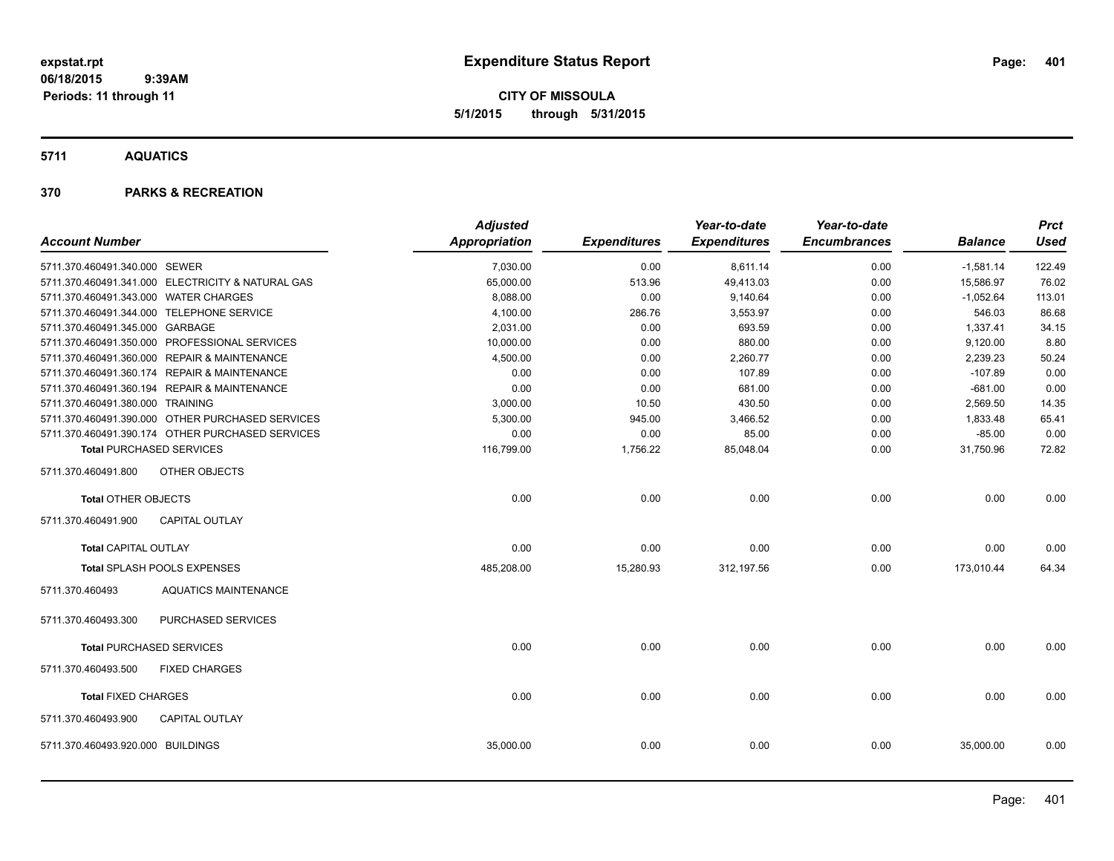**CITY OF MISSOULA 5/1/2015 through 5/31/2015**

**5711 AQUATICS**

|                                       |                                                   | <b>Adjusted</b>      |                     | Year-to-date        | Year-to-date        |                | <b>Prct</b> |
|---------------------------------------|---------------------------------------------------|----------------------|---------------------|---------------------|---------------------|----------------|-------------|
| <b>Account Number</b>                 |                                                   | <b>Appropriation</b> | <b>Expenditures</b> | <b>Expenditures</b> | <b>Encumbrances</b> | <b>Balance</b> | <b>Used</b> |
| 5711.370.460491.340.000 SEWER         |                                                   | 7,030.00             | 0.00                | 8,611.14            | 0.00                | $-1,581.14$    | 122.49      |
|                                       | 5711.370.460491.341.000 ELECTRICITY & NATURAL GAS | 65,000.00            | 513.96              | 49,413.03           | 0.00                | 15,586.97      | 76.02       |
| 5711.370.460491.343.000 WATER CHARGES |                                                   | 8,088.00             | 0.00                | 9,140.64            | 0.00                | $-1,052.64$    | 113.01      |
|                                       | 5711.370.460491.344.000 TELEPHONE SERVICE         | 4,100.00             | 286.76              | 3,553.97            | 0.00                | 546.03         | 86.68       |
| 5711.370.460491.345.000 GARBAGE       |                                                   | 2,031.00             | 0.00                | 693.59              | 0.00                | 1,337.41       | 34.15       |
|                                       | 5711.370.460491.350.000 PROFESSIONAL SERVICES     | 10,000.00            | 0.00                | 880.00              | 0.00                | 9,120.00       | 8.80        |
|                                       | 5711.370.460491.360.000 REPAIR & MAINTENANCE      | 4,500.00             | 0.00                | 2,260.77            | 0.00                | 2,239.23       | 50.24       |
|                                       | 5711.370.460491.360.174 REPAIR & MAINTENANCE      | 0.00                 | 0.00                | 107.89              | 0.00                | $-107.89$      | 0.00        |
|                                       | 5711.370.460491.360.194 REPAIR & MAINTENANCE      | 0.00                 | 0.00                | 681.00              | 0.00                | $-681.00$      | 0.00        |
| 5711.370.460491.380.000 TRAINING      |                                                   | 3,000.00             | 10.50               | 430.50              | 0.00                | 2,569.50       | 14.35       |
|                                       | 5711.370.460491.390.000 OTHER PURCHASED SERVICES  | 5,300.00             | 945.00              | 3,466.52            | 0.00                | 1,833.48       | 65.41       |
|                                       | 5711.370.460491.390.174 OTHER PURCHASED SERVICES  | 0.00                 | 0.00                | 85.00               | 0.00                | $-85.00$       | 0.00        |
|                                       | <b>Total PURCHASED SERVICES</b>                   | 116,799.00           | 1,756.22            | 85.048.04           | 0.00                | 31,750.96      | 72.82       |
| 5711.370.460491.800                   | OTHER OBJECTS                                     |                      |                     |                     |                     |                |             |
| <b>Total OTHER OBJECTS</b>            |                                                   | 0.00                 | 0.00                | 0.00                | 0.00                | 0.00           | 0.00        |
| 5711.370.460491.900                   | <b>CAPITAL OUTLAY</b>                             |                      |                     |                     |                     |                |             |
| <b>Total CAPITAL OUTLAY</b>           |                                                   | 0.00                 | 0.00                | 0.00                | 0.00                | 0.00           | 0.00        |
|                                       | Total SPLASH POOLS EXPENSES                       | 485,208.00           | 15,280.93           | 312,197.56          | 0.00                | 173,010.44     | 64.34       |
| 5711.370.460493                       | <b>AQUATICS MAINTENANCE</b>                       |                      |                     |                     |                     |                |             |
| 5711.370.460493.300                   | PURCHASED SERVICES                                |                      |                     |                     |                     |                |             |
|                                       | <b>Total PURCHASED SERVICES</b>                   | 0.00                 | 0.00                | 0.00                | 0.00                | 0.00           | 0.00        |
| 5711.370.460493.500                   | <b>FIXED CHARGES</b>                              |                      |                     |                     |                     |                |             |
| <b>Total FIXED CHARGES</b>            |                                                   | 0.00                 | 0.00                | 0.00                | 0.00                | 0.00           | 0.00        |
| 5711.370.460493.900                   | <b>CAPITAL OUTLAY</b>                             |                      |                     |                     |                     |                |             |
| 5711.370.460493.920.000 BUILDINGS     |                                                   | 35,000.00            | 0.00                | 0.00                | 0.00                | 35,000.00      | 0.00        |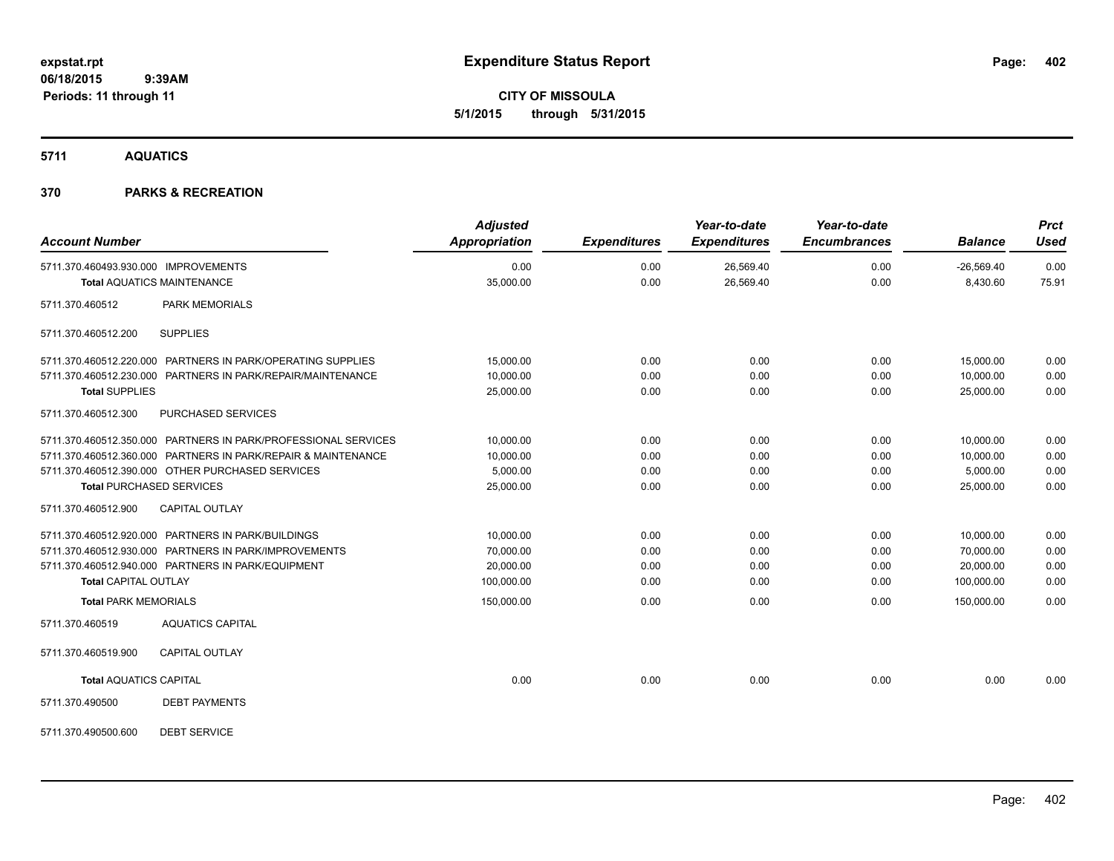**CITY OF MISSOULA 5/1/2015 through 5/31/2015**

**5711 AQUATICS**

| <b>Account Number</b>                                                                                                                                                                                                  | <b>Adjusted</b><br>Appropriation                  | <b>Expenditures</b>          | Year-to-date<br><b>Expenditures</b> | Year-to-date<br><b>Encumbrances</b> | <b>Balance</b>                                    | <b>Prct</b><br><b>Used</b>   |
|------------------------------------------------------------------------------------------------------------------------------------------------------------------------------------------------------------------------|---------------------------------------------------|------------------------------|-------------------------------------|-------------------------------------|---------------------------------------------------|------------------------------|
| 5711.370.460493.930.000 IMPROVEMENTS<br><b>Total AQUATICS MAINTENANCE</b>                                                                                                                                              | 0.00<br>35,000.00                                 | 0.00<br>0.00                 | 26,569.40<br>26,569.40              | 0.00<br>0.00                        | $-26,569.40$<br>8,430.60                          | 0.00<br>75.91                |
| 5711.370.460512<br><b>PARK MEMORIALS</b>                                                                                                                                                                               |                                                   |                              |                                     |                                     |                                                   |                              |
| <b>SUPPLIES</b><br>5711.370.460512.200                                                                                                                                                                                 |                                                   |                              |                                     |                                     |                                                   |                              |
| 5711.370.460512.220.000 PARTNERS IN PARK/OPERATING SUPPLIES<br>5711.370.460512.230.000 PARTNERS IN PARK/REPAIR/MAINTENANCE<br><b>Total SUPPLIES</b>                                                                    | 15,000.00<br>10,000.00<br>25,000.00               | 0.00<br>0.00<br>0.00         | 0.00<br>0.00<br>0.00                | 0.00<br>0.00<br>0.00                | 15,000.00<br>10,000.00<br>25,000.00               | 0.00<br>0.00<br>0.00         |
| 5711.370.460512.300<br><b>PURCHASED SERVICES</b>                                                                                                                                                                       |                                                   |                              |                                     |                                     |                                                   |                              |
| 5711.370.460512.350.000 PARTNERS IN PARK/PROFESSIONAL SERVICES<br>5711.370.460512.360.000 PARTNERS IN PARK/REPAIR & MAINTENANCE<br>5711.370.460512.390.000 OTHER PURCHASED SERVICES<br><b>Total PURCHASED SERVICES</b> | 10,000.00<br>10,000.00<br>5,000.00<br>25,000.00   | 0.00<br>0.00<br>0.00<br>0.00 | 0.00<br>0.00<br>0.00<br>0.00        | 0.00<br>0.00<br>0.00<br>0.00        | 10,000.00<br>10,000.00<br>5,000.00<br>25,000.00   | 0.00<br>0.00<br>0.00<br>0.00 |
| 5711.370.460512.900<br><b>CAPITAL OUTLAY</b>                                                                                                                                                                           |                                                   |                              |                                     |                                     |                                                   |                              |
| 5711.370.460512.920.000 PARTNERS IN PARK/BUILDINGS<br>5711.370.460512.930.000 PARTNERS IN PARK/IMPROVEMENTS<br>5711.370.460512.940.000 PARTNERS IN PARK/EQUIPMENT<br><b>Total CAPITAL OUTLAY</b>                       | 10,000.00<br>70,000.00<br>20,000.00<br>100,000.00 | 0.00<br>0.00<br>0.00<br>0.00 | 0.00<br>0.00<br>0.00<br>0.00        | 0.00<br>0.00<br>0.00<br>0.00        | 10,000.00<br>70,000.00<br>20,000.00<br>100,000.00 | 0.00<br>0.00<br>0.00<br>0.00 |
| <b>Total PARK MEMORIALS</b>                                                                                                                                                                                            | 150,000.00                                        | 0.00                         | 0.00                                | 0.00                                | 150,000.00                                        | 0.00                         |
| 5711.370.460519<br><b>AQUATICS CAPITAL</b>                                                                                                                                                                             |                                                   |                              |                                     |                                     |                                                   |                              |
| 5711.370.460519.900<br><b>CAPITAL OUTLAY</b>                                                                                                                                                                           |                                                   |                              |                                     |                                     |                                                   |                              |
| <b>Total AQUATICS CAPITAL</b>                                                                                                                                                                                          | 0.00                                              | 0.00                         | 0.00                                | 0.00                                | 0.00                                              | 0.00                         |
| 5711.370.490500<br><b>DEBT PAYMENTS</b>                                                                                                                                                                                |                                                   |                              |                                     |                                     |                                                   |                              |
| <b>DEBT SERVICE</b><br>5711.370.490500.600                                                                                                                                                                             |                                                   |                              |                                     |                                     |                                                   |                              |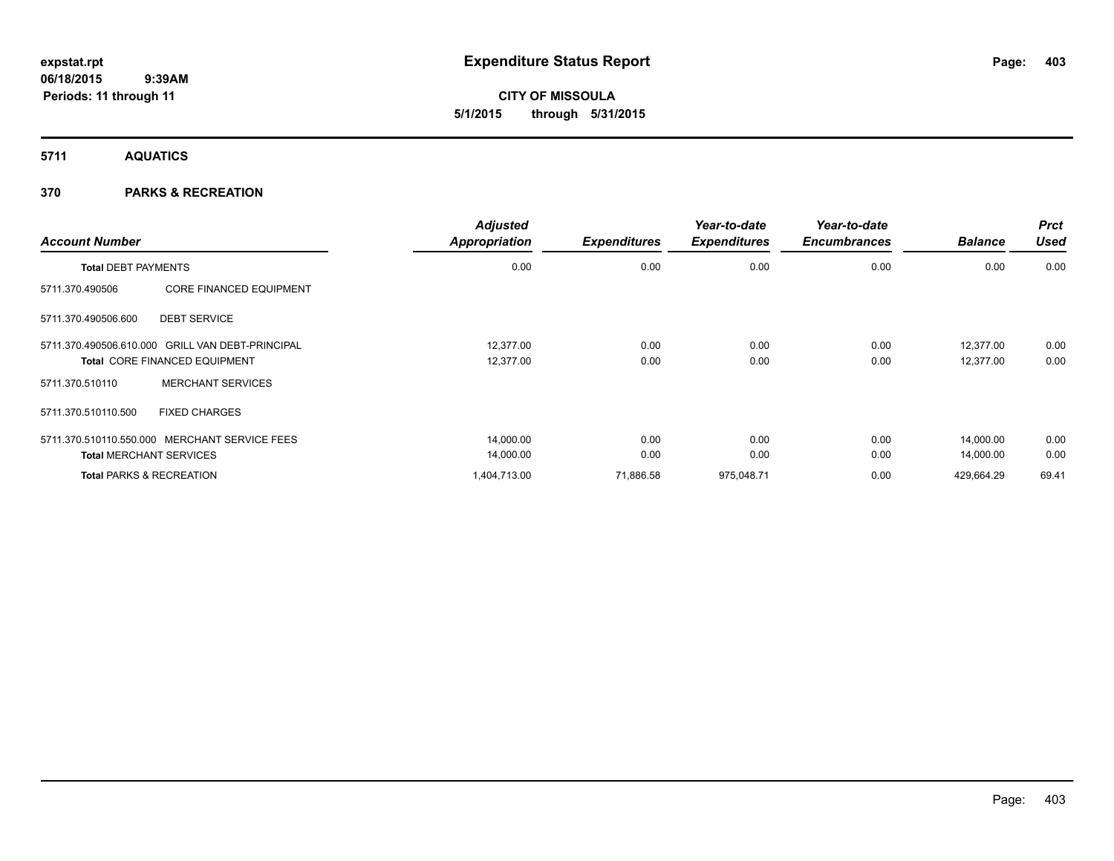**CITY OF MISSOULA 5/1/2015 through 5/31/2015**

**5711 AQUATICS**

|                                                  |                                | <b>Adjusted</b>      |                     | Year-to-date        | Year-to-date        |                | <b>Prct</b> |
|--------------------------------------------------|--------------------------------|----------------------|---------------------|---------------------|---------------------|----------------|-------------|
| <b>Account Number</b>                            |                                | <b>Appropriation</b> | <b>Expenditures</b> | <b>Expenditures</b> | <b>Encumbrances</b> | <b>Balance</b> | <b>Used</b> |
| <b>Total DEBT PAYMENTS</b>                       |                                | 0.00                 | 0.00                | 0.00                | 0.00                | 0.00           | 0.00        |
| 5711.370.490506                                  | <b>CORE FINANCED EQUIPMENT</b> |                      |                     |                     |                     |                |             |
| 5711.370.490506.600                              | <b>DEBT SERVICE</b>            |                      |                     |                     |                     |                |             |
| 5711.370.490506.610.000 GRILL VAN DEBT-PRINCIPAL |                                | 12.377.00            | 0.00                | 0.00                | 0.00                | 12.377.00      | 0.00        |
| <b>Total CORE FINANCED EQUIPMENT</b>             |                                | 12,377.00            | 0.00                | 0.00                | 0.00                | 12,377.00      | 0.00        |
| 5711.370.510110                                  | <b>MERCHANT SERVICES</b>       |                      |                     |                     |                     |                |             |
| 5711.370.510110.500                              | <b>FIXED CHARGES</b>           |                      |                     |                     |                     |                |             |
| 5711.370.510110.550.000 MERCHANT SERVICE FEES    |                                | 14,000.00            | 0.00                | 0.00                | 0.00                | 14,000.00      | 0.00        |
| <b>Total MERCHANT SERVICES</b>                   |                                | 14,000.00            | 0.00                | 0.00                | 0.00                | 14,000.00      | 0.00        |
| <b>Total PARKS &amp; RECREATION</b>              |                                | 1,404,713.00         | 71,886.58           | 975,048.71          | 0.00                | 429,664.29     | 69.41       |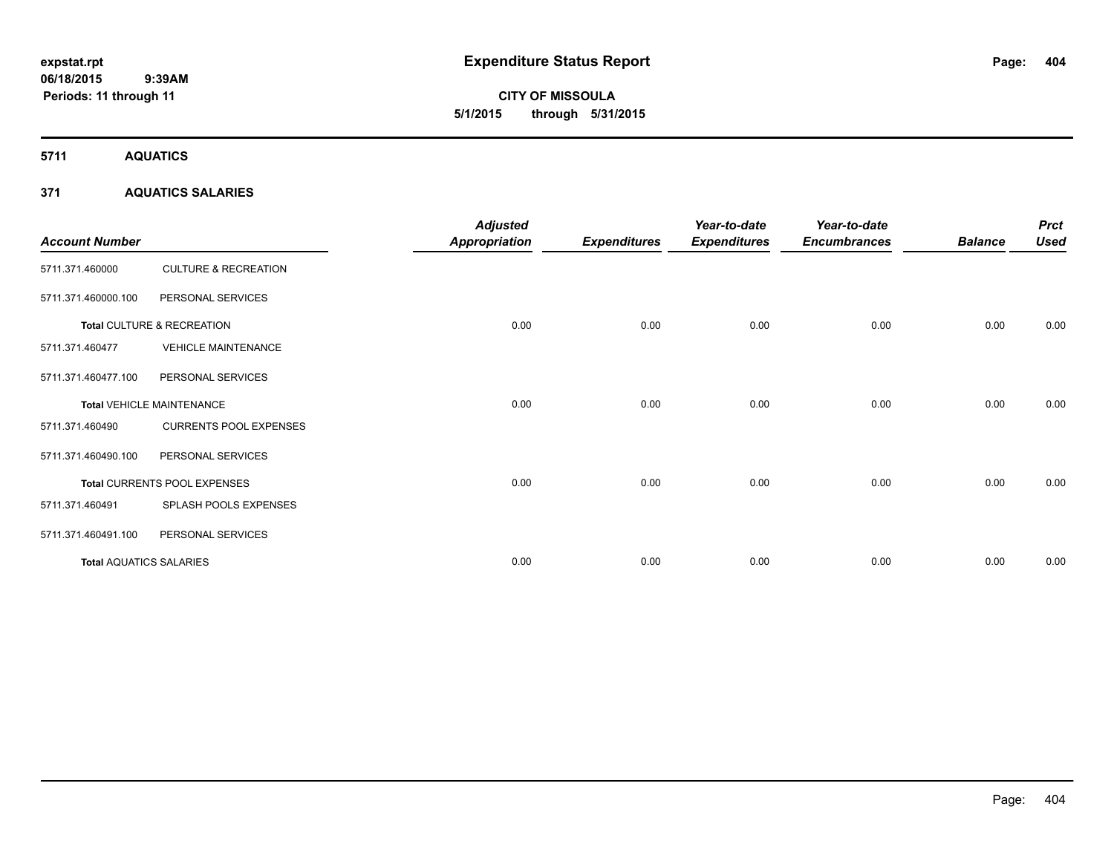**CITY OF MISSOULA 5/1/2015 through 5/31/2015**

**5711 AQUATICS**

### **371 AQUATICS SALARIES**

| <b>Account Number</b>          |                                  | <b>Adjusted</b><br><b>Appropriation</b> | <b>Expenditures</b> | Year-to-date<br><b>Expenditures</b> | Year-to-date<br><b>Encumbrances</b> | <b>Balance</b> | <b>Prct</b><br><b>Used</b> |
|--------------------------------|----------------------------------|-----------------------------------------|---------------------|-------------------------------------|-------------------------------------|----------------|----------------------------|
| 5711.371.460000                | <b>CULTURE &amp; RECREATION</b>  |                                         |                     |                                     |                                     |                |                            |
| 5711.371.460000.100            | PERSONAL SERVICES                |                                         |                     |                                     |                                     |                |                            |
|                                | Total CULTURE & RECREATION       | 0.00                                    | 0.00                | 0.00                                | 0.00                                | 0.00           | 0.00                       |
| 5711.371.460477                | <b>VEHICLE MAINTENANCE</b>       |                                         |                     |                                     |                                     |                |                            |
| 5711.371.460477.100            | PERSONAL SERVICES                |                                         |                     |                                     |                                     |                |                            |
|                                | <b>Total VEHICLE MAINTENANCE</b> | 0.00                                    | 0.00                | 0.00                                | 0.00                                | 0.00           | 0.00                       |
| 5711.371.460490                | <b>CURRENTS POOL EXPENSES</b>    |                                         |                     |                                     |                                     |                |                            |
| 5711.371.460490.100            | PERSONAL SERVICES                |                                         |                     |                                     |                                     |                |                            |
|                                | Total CURRENTS POOL EXPENSES     | 0.00                                    | 0.00                | 0.00                                | 0.00                                | 0.00           | 0.00                       |
| 5711.371.460491                | SPLASH POOLS EXPENSES            |                                         |                     |                                     |                                     |                |                            |
| 5711.371.460491.100            | PERSONAL SERVICES                |                                         |                     |                                     |                                     |                |                            |
| <b>Total AQUATICS SALARIES</b> |                                  | 0.00                                    | 0.00                | 0.00                                | 0.00                                | 0.00           | 0.00                       |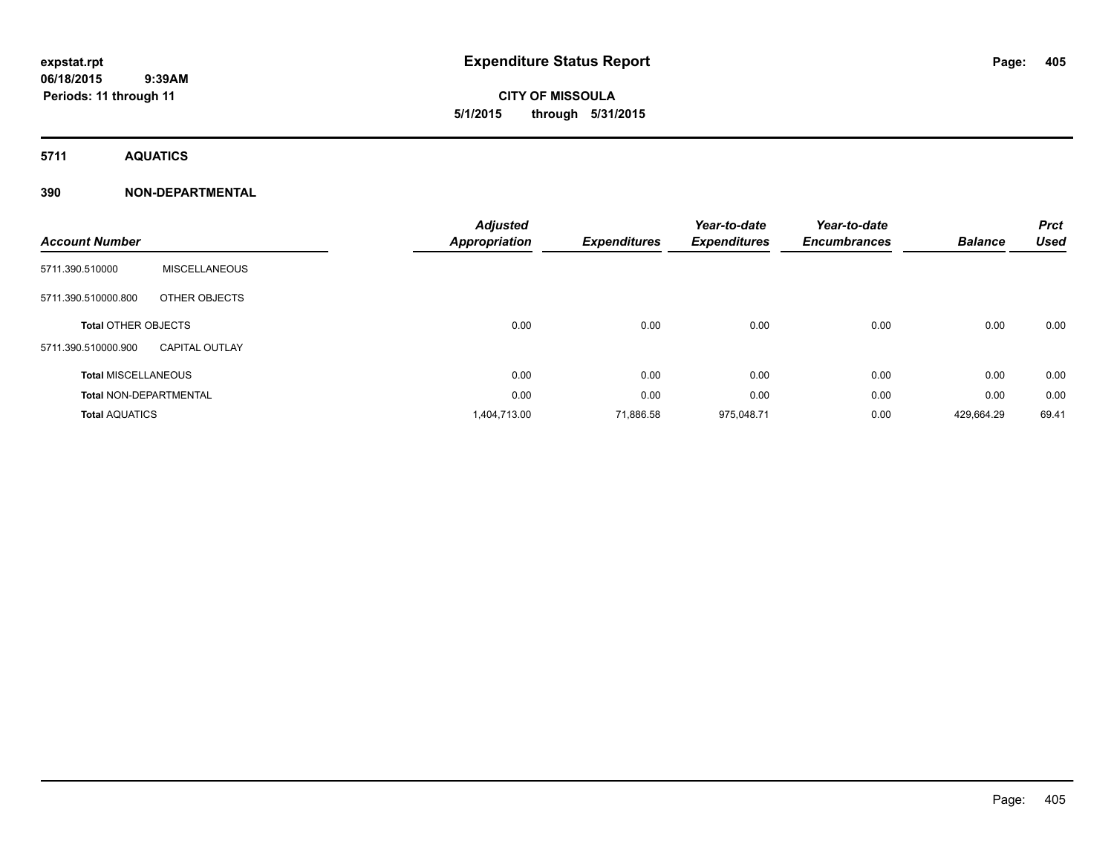**5711 AQUATICS**

### **390 NON-DEPARTMENTAL**

| <b>Account Number</b>         |                       | <b>Adjusted</b><br><b>Appropriation</b> | <b>Expenditures</b> | Year-to-date<br><b>Expenditures</b> | Year-to-date<br><b>Encumbrances</b> | <b>Balance</b> | <b>Prct</b><br><b>Used</b> |
|-------------------------------|-----------------------|-----------------------------------------|---------------------|-------------------------------------|-------------------------------------|----------------|----------------------------|
| 5711.390.510000               | <b>MISCELLANEOUS</b>  |                                         |                     |                                     |                                     |                |                            |
| 5711.390.510000.800           | OTHER OBJECTS         |                                         |                     |                                     |                                     |                |                            |
| <b>Total OTHER OBJECTS</b>    |                       | 0.00                                    | 0.00                | 0.00                                | 0.00                                | 0.00           | 0.00                       |
| 5711.390.510000.900           | <b>CAPITAL OUTLAY</b> |                                         |                     |                                     |                                     |                |                            |
| <b>Total MISCELLANEOUS</b>    |                       | 0.00                                    | 0.00                | 0.00                                | 0.00                                | 0.00           | 0.00                       |
| <b>Total NON-DEPARTMENTAL</b> |                       | 0.00                                    | 0.00                | 0.00                                | 0.00                                | 0.00           | 0.00                       |
| <b>Total AQUATICS</b>         |                       | 1,404,713.00                            | 71,886.58           | 975,048.71                          | 0.00                                | 429,664.29     | 69.41                      |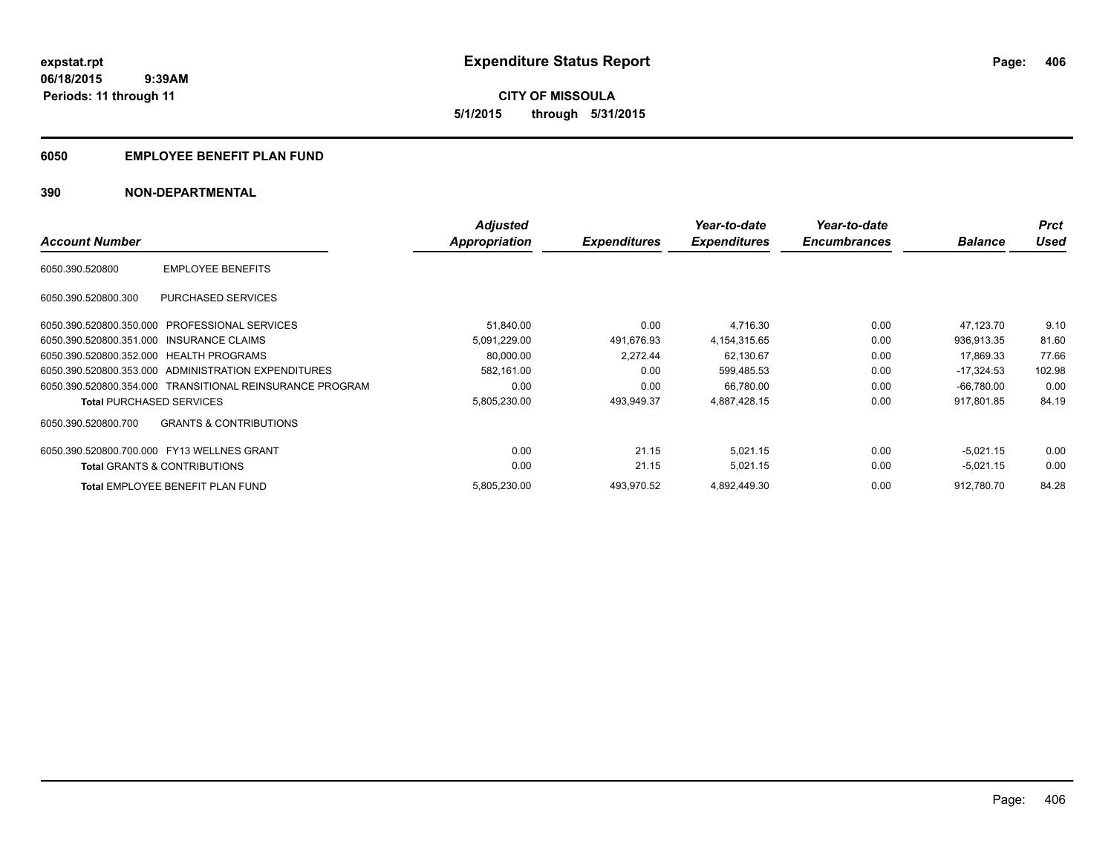### **6050 EMPLOYEE BENEFIT PLAN FUND**

### **390 NON-DEPARTMENTAL**

|                                               |                                                          | <b>Adjusted</b>      |                     | Year-to-date        | Year-to-date        |                | <b>Prct</b> |
|-----------------------------------------------|----------------------------------------------------------|----------------------|---------------------|---------------------|---------------------|----------------|-------------|
| <b>Account Number</b>                         |                                                          | <b>Appropriation</b> | <b>Expenditures</b> | <b>Expenditures</b> | <b>Encumbrances</b> | <b>Balance</b> | Used        |
| 6050.390.520800                               | <b>EMPLOYEE BENEFITS</b>                                 |                      |                     |                     |                     |                |             |
| 6050.390.520800.300                           | PURCHASED SERVICES                                       |                      |                     |                     |                     |                |             |
| 6050.390.520800.350.000 PROFESSIONAL SERVICES |                                                          | 51,840.00            | 0.00                | 4,716.30            | 0.00                | 47.123.70      | 9.10        |
| 6050.390.520800.351.000 INSURANCE CLAIMS      |                                                          | 5,091,229.00         | 491,676.93          | 4,154,315.65        | 0.00                | 936,913.35     | 81.60       |
| 6050.390.520800.352.000 HEALTH PROGRAMS       |                                                          | 80,000.00            | 2.272.44            | 62,130.67           | 0.00                | 17,869.33      | 77.66       |
|                                               | 6050.390.520800.353.000 ADMINISTRATION EXPENDITURES      | 582,161.00           | 0.00                | 599,485.53          | 0.00                | $-17,324.53$   | 102.98      |
|                                               | 6050.390.520800.354.000 TRANSITIONAL REINSURANCE PROGRAM | 0.00                 | 0.00                | 66,780.00           | 0.00                | $-66,780.00$   | 0.00        |
| <b>Total PURCHASED SERVICES</b>               |                                                          | 5,805,230.00         | 493,949.37          | 4.887.428.15        | 0.00                | 917,801.85     | 84.19       |
| 6050.390.520800.700                           | <b>GRANTS &amp; CONTRIBUTIONS</b>                        |                      |                     |                     |                     |                |             |
| 6050.390.520800.700.000 FY13 WELLNES GRANT    |                                                          | 0.00                 | 21.15               | 5,021.15            | 0.00                | $-5,021.15$    | 0.00        |
| <b>Total GRANTS &amp; CONTRIBUTIONS</b>       |                                                          | 0.00                 | 21.15               | 5,021.15            | 0.00                | $-5,021.15$    | 0.00        |
|                                               | <b>Total EMPLOYEE BENEFIT PLAN FUND</b>                  | 5,805,230.00         | 493.970.52          | 4,892,449.30        | 0.00                | 912.780.70     | 84.28       |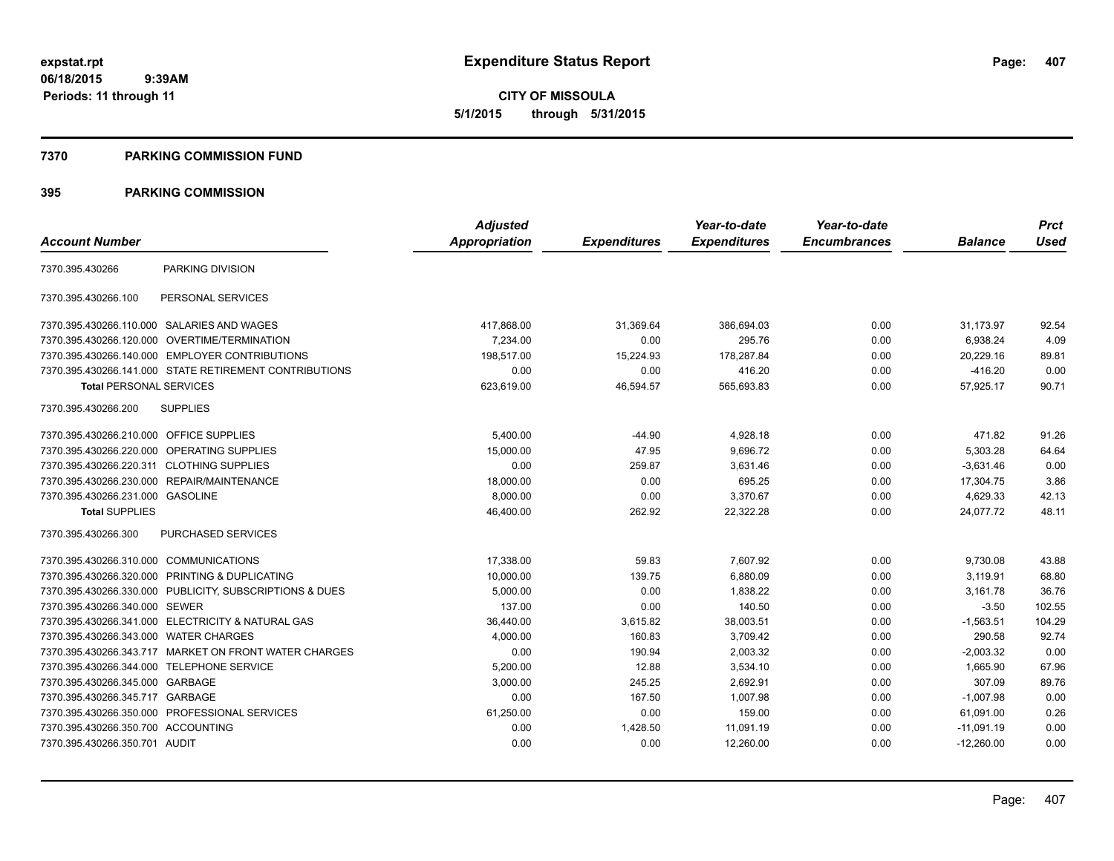#### **7370 PARKING COMMISSION FUND**

|                                           |                                                         | <b>Adjusted</b>      |                     | Year-to-date        | Year-to-date        |                | <b>Prct</b> |
|-------------------------------------------|---------------------------------------------------------|----------------------|---------------------|---------------------|---------------------|----------------|-------------|
| <b>Account Number</b>                     |                                                         | <b>Appropriation</b> | <b>Expenditures</b> | <b>Expenditures</b> | <b>Encumbrances</b> | <b>Balance</b> | <b>Used</b> |
| 7370.395.430266                           | PARKING DIVISION                                        |                      |                     |                     |                     |                |             |
| 7370.395.430266.100                       | PERSONAL SERVICES                                       |                      |                     |                     |                     |                |             |
|                                           | 7370.395.430266.110.000 SALARIES AND WAGES              | 417,868.00           | 31,369.64           | 386,694.03          | 0.00                | 31,173.97      | 92.54       |
|                                           | 7370.395.430266.120.000 OVERTIME/TERMINATION            | 7.234.00             | 0.00                | 295.76              | 0.00                | 6,938.24       | 4.09        |
|                                           | 7370.395.430266.140.000 EMPLOYER CONTRIBUTIONS          | 198.517.00           | 15,224.93           | 178,287.84          | 0.00                | 20,229.16      | 89.81       |
|                                           | 7370.395.430266.141.000 STATE RETIREMENT CONTRIBUTIONS  | 0.00                 | 0.00                | 416.20              | 0.00                | $-416.20$      | 0.00        |
| <b>Total PERSONAL SERVICES</b>            |                                                         | 623,619.00           | 46,594.57           | 565,693.83          | 0.00                | 57,925.17      | 90.71       |
| 7370.395.430266.200                       | <b>SUPPLIES</b>                                         |                      |                     |                     |                     |                |             |
| 7370.395.430266.210.000 OFFICE SUPPLIES   |                                                         | 5.400.00             | $-44.90$            | 4,928.18            | 0.00                | 471.82         | 91.26       |
|                                           | 7370.395.430266.220.000 OPERATING SUPPLIES              | 15.000.00            | 47.95               | 9,696.72            | 0.00                | 5,303.28       | 64.64       |
| 7370.395.430266.220.311 CLOTHING SUPPLIES |                                                         | 0.00                 | 259.87              | 3,631.46            | 0.00                | $-3.631.46$    | 0.00        |
|                                           | 7370.395.430266.230.000 REPAIR/MAINTENANCE              | 18,000.00            | 0.00                | 695.25              | 0.00                | 17,304.75      | 3.86        |
| 7370.395.430266.231.000 GASOLINE          |                                                         | 8,000.00             | 0.00                | 3,370.67            | 0.00                | 4,629.33       | 42.13       |
| <b>Total SUPPLIES</b>                     |                                                         | 46,400.00            | 262.92              | 22,322.28           | 0.00                | 24,077.72      | 48.11       |
| 7370.395.430266.300                       | <b>PURCHASED SERVICES</b>                               |                      |                     |                     |                     |                |             |
| 7370.395.430266.310.000 COMMUNICATIONS    |                                                         | 17,338.00            | 59.83               | 7,607.92            | 0.00                | 9,730.08       | 43.88       |
|                                           | 7370.395.430266.320.000 PRINTING & DUPLICATING          | 10,000.00            | 139.75              | 6,880.09            | 0.00                | 3,119.91       | 68.80       |
|                                           | 7370.395.430266.330.000 PUBLICITY, SUBSCRIPTIONS & DUES | 5,000.00             | 0.00                | 1,838.22            | 0.00                | 3,161.78       | 36.76       |
| 7370.395.430266.340.000 SEWER             |                                                         | 137.00               | 0.00                | 140.50              | 0.00                | $-3.50$        | 102.55      |
|                                           | 7370.395.430266.341.000 ELECTRICITY & NATURAL GAS       | 36,440.00            | 3,615.82            | 38,003.51           | 0.00                | $-1,563.51$    | 104.29      |
| 7370.395.430266.343.000 WATER CHARGES     |                                                         | 4,000.00             | 160.83              | 3,709.42            | 0.00                | 290.58         | 92.74       |
|                                           | 7370.395.430266.343.717 MARKET ON FRONT WATER CHARGES   | 0.00                 | 190.94              | 2,003.32            | 0.00                | $-2,003.32$    | 0.00        |
| 7370.395.430266.344.000 TELEPHONE SERVICE |                                                         | 5,200.00             | 12.88               | 3,534.10            | 0.00                | 1,665.90       | 67.96       |
| 7370.395.430266.345.000 GARBAGE           |                                                         | 3,000.00             | 245.25              | 2,692.91            | 0.00                | 307.09         | 89.76       |
| 7370.395.430266.345.717 GARBAGE           |                                                         | 0.00                 | 167.50              | 1,007.98            | 0.00                | $-1,007.98$    | 0.00        |
|                                           | 7370.395.430266.350.000 PROFESSIONAL SERVICES           | 61,250.00            | 0.00                | 159.00              | 0.00                | 61,091.00      | 0.26        |
| 7370.395.430266.350.700 ACCOUNTING        |                                                         | 0.00                 | 1,428.50            | 11,091.19           | 0.00                | $-11,091.19$   | 0.00        |
| 7370.395.430266.350.701 AUDIT             |                                                         | 0.00                 | 0.00                | 12,260.00           | 0.00                | $-12,260.00$   | 0.00        |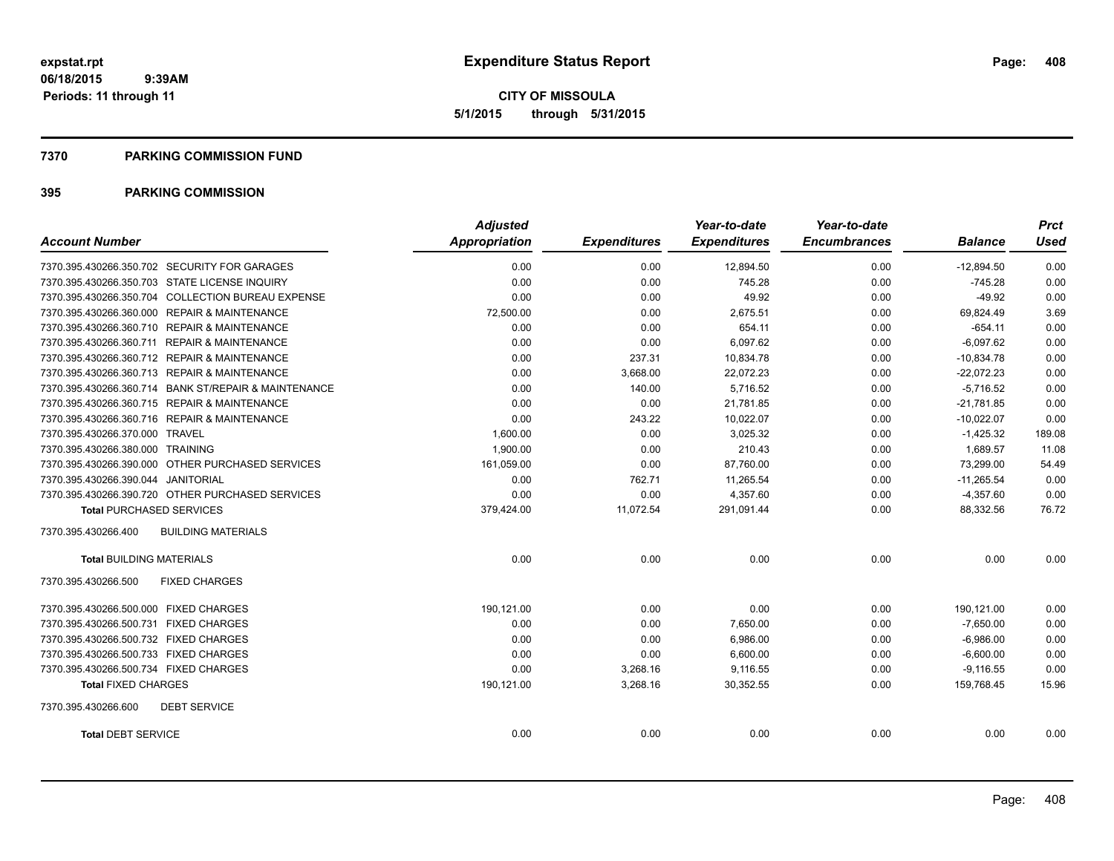**CITY OF MISSOULA 5/1/2015 through 5/31/2015**

#### **7370 PARKING COMMISSION FUND**

| <b>Account Number</b>                                | <b>Adjusted</b><br>Appropriation | <b>Expenditures</b> | Year-to-date<br><b>Expenditures</b> | Year-to-date<br><b>Encumbrances</b> | <b>Balance</b> | <b>Prct</b><br><b>Used</b> |
|------------------------------------------------------|----------------------------------|---------------------|-------------------------------------|-------------------------------------|----------------|----------------------------|
|                                                      |                                  |                     |                                     |                                     |                |                            |
| 7370.395.430266.350.702 SECURITY FOR GARAGES         | 0.00                             | 0.00                | 12,894.50                           | 0.00                                | $-12,894.50$   | 0.00                       |
| 7370.395.430266.350.703 STATE LICENSE INQUIRY        | 0.00                             | 0.00                | 745.28                              | 0.00                                | $-745.28$      | 0.00                       |
| 7370.395.430266.350.704 COLLECTION BUREAU EXPENSE    | 0.00                             | 0.00                | 49.92                               | 0.00                                | $-49.92$       | 0.00                       |
| 7370.395.430266.360.000 REPAIR & MAINTENANCE         | 72,500.00                        | 0.00                | 2,675.51                            | 0.00                                | 69,824.49      | 3.69                       |
| 7370.395.430266.360.710 REPAIR & MAINTENANCE         | 0.00                             | 0.00                | 654.11                              | 0.00                                | $-654.11$      | 0.00                       |
| 7370.395.430266.360.711 REPAIR & MAINTENANCE         | 0.00                             | 0.00                | 6,097.62                            | 0.00                                | $-6,097.62$    | 0.00                       |
| 7370.395.430266.360.712 REPAIR & MAINTENANCE         | 0.00                             | 237.31              | 10,834.78                           | 0.00                                | $-10,834.78$   | 0.00                       |
| 7370.395.430266.360.713 REPAIR & MAINTENANCE         | 0.00                             | 3,668.00            | 22,072.23                           | 0.00                                | $-22,072.23$   | 0.00                       |
| 7370.395.430266.360.714 BANK ST/REPAIR & MAINTENANCE | 0.00                             | 140.00              | 5,716.52                            | 0.00                                | $-5.716.52$    | 0.00                       |
| 7370.395.430266.360.715 REPAIR & MAINTENANCE         | 0.00                             | 0.00                | 21,781.85                           | 0.00                                | $-21,781.85$   | 0.00                       |
| 7370.395.430266.360.716 REPAIR & MAINTENANCE         | 0.00                             | 243.22              | 10,022.07                           | 0.00                                | $-10,022.07$   | 0.00                       |
| 7370.395.430266.370.000 TRAVEL                       | 1,600.00                         | 0.00                | 3,025.32                            | 0.00                                | $-1,425.32$    | 189.08                     |
| 7370.395.430266.380.000 TRAINING                     | 1.900.00                         | 0.00                | 210.43                              | 0.00                                | 1.689.57       | 11.08                      |
| 7370.395.430266.390.000 OTHER PURCHASED SERVICES     | 161,059.00                       | 0.00                | 87,760.00                           | 0.00                                | 73.299.00      | 54.49                      |
| 7370.395.430266.390.044 JANITORIAL                   | 0.00                             | 762.71              | 11,265.54                           | 0.00                                | $-11,265.54$   | 0.00                       |
| 7370.395.430266.390.720 OTHER PURCHASED SERVICES     | 0.00                             | 0.00                | 4,357.60                            | 0.00                                | $-4,357.60$    | 0.00                       |
| <b>Total PURCHASED SERVICES</b>                      | 379,424.00                       | 11,072.54           | 291,091.44                          | 0.00                                | 88,332.56      | 76.72                      |
| <b>BUILDING MATERIALS</b><br>7370.395.430266.400     |                                  |                     |                                     |                                     |                |                            |
| <b>Total BUILDING MATERIALS</b>                      | 0.00                             | 0.00                | 0.00                                | 0.00                                | 0.00           | 0.00                       |
| 7370.395.430266.500<br><b>FIXED CHARGES</b>          |                                  |                     |                                     |                                     |                |                            |
| 7370.395.430266.500.000 FIXED CHARGES                | 190,121.00                       | 0.00                | 0.00                                | 0.00                                | 190,121.00     | 0.00                       |
| 7370.395.430266.500.731 FIXED CHARGES                | 0.00                             | 0.00                | 7,650.00                            | 0.00                                | $-7,650.00$    | 0.00                       |
| 7370.395.430266.500.732 FIXED CHARGES                | 0.00                             | 0.00                | 6,986.00                            | 0.00                                | $-6,986.00$    | 0.00                       |
| 7370.395.430266.500.733 FIXED CHARGES                | 0.00                             | 0.00                | 6,600.00                            | 0.00                                | $-6,600.00$    | 0.00                       |
| 7370.395.430266.500.734 FIXED CHARGES                | 0.00                             | 3,268.16            | 9,116.55                            | 0.00                                | $-9,116.55$    | 0.00                       |
| <b>Total FIXED CHARGES</b>                           | 190,121.00                       | 3,268.16            | 30,352.55                           | 0.00                                | 159,768.45     | 15.96                      |
| <b>DEBT SERVICE</b><br>7370.395.430266.600           |                                  |                     |                                     |                                     |                |                            |
| <b>Total DEBT SERVICE</b>                            | 0.00                             | 0.00                | 0.00                                | 0.00                                | 0.00           | 0.00                       |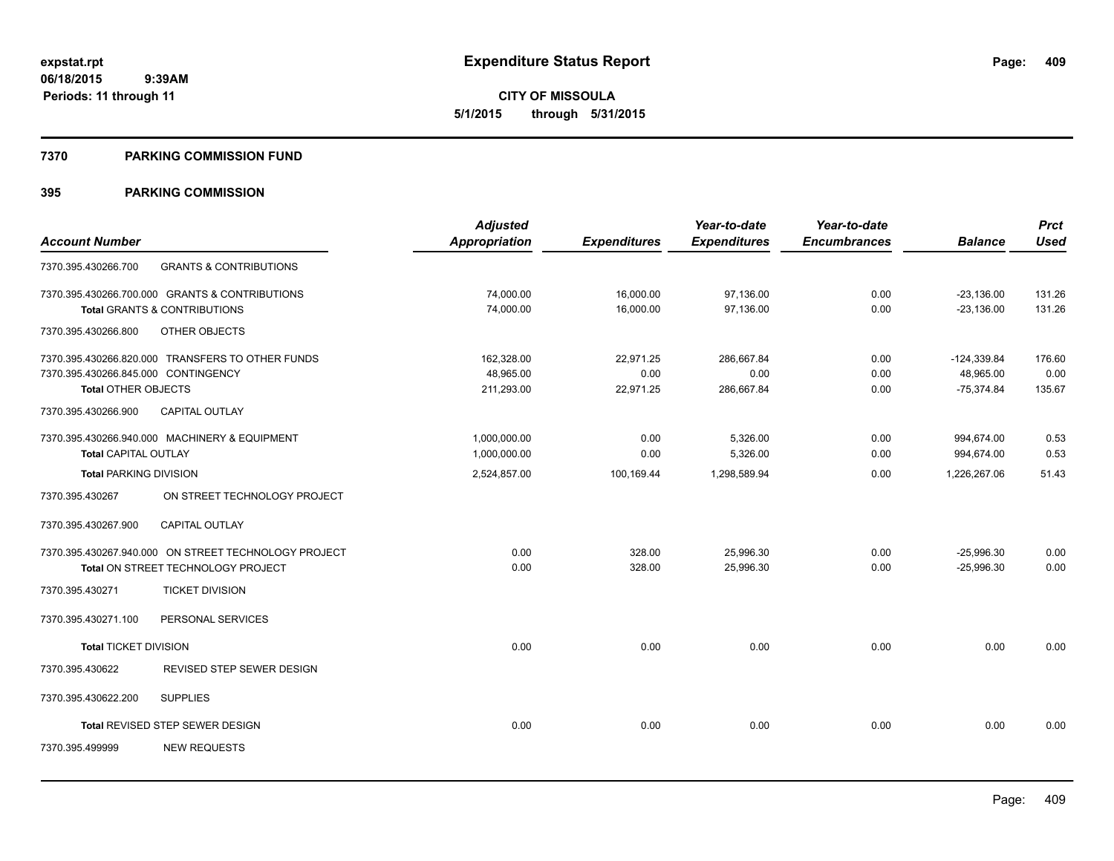#### **7370 PARKING COMMISSION FUND**

|                                     |                                                      | <b>Adjusted</b>      |                     | Year-to-date        | Year-to-date        |                | <b>Prct</b> |
|-------------------------------------|------------------------------------------------------|----------------------|---------------------|---------------------|---------------------|----------------|-------------|
| <b>Account Number</b>               |                                                      | <b>Appropriation</b> | <b>Expenditures</b> | <b>Expenditures</b> | <b>Encumbrances</b> | <b>Balance</b> | <b>Used</b> |
| 7370.395.430266.700                 | <b>GRANTS &amp; CONTRIBUTIONS</b>                    |                      |                     |                     |                     |                |             |
|                                     | 7370.395.430266.700.000 GRANTS & CONTRIBUTIONS       | 74,000.00            | 16,000.00           | 97,136.00           | 0.00                | $-23,136.00$   | 131.26      |
|                                     | Total GRANTS & CONTRIBUTIONS                         | 74,000.00            | 16,000.00           | 97,136.00           | 0.00                | $-23,136.00$   | 131.26      |
| 7370.395.430266.800                 | OTHER OBJECTS                                        |                      |                     |                     |                     |                |             |
|                                     | 7370.395.430266.820.000 TRANSFERS TO OTHER FUNDS     | 162,328.00           | 22,971.25           | 286,667.84          | 0.00                | $-124,339.84$  | 176.60      |
| 7370.395.430266.845.000 CONTINGENCY |                                                      | 48,965.00            | 0.00                | 0.00                | 0.00                | 48,965.00      | 0.00        |
| <b>Total OTHER OBJECTS</b>          |                                                      | 211,293.00           | 22,971.25           | 286,667.84          | 0.00                | $-75,374.84$   | 135.67      |
| 7370.395.430266.900                 | <b>CAPITAL OUTLAY</b>                                |                      |                     |                     |                     |                |             |
|                                     | 7370.395.430266.940.000 MACHINERY & EQUIPMENT        | 1,000,000.00         | 0.00                | 5,326.00            | 0.00                | 994,674.00     | 0.53        |
| <b>Total CAPITAL OUTLAY</b>         |                                                      | 1,000,000.00         | 0.00                | 5,326.00            | 0.00                | 994,674.00     | 0.53        |
| <b>Total PARKING DIVISION</b>       |                                                      | 2,524,857.00         | 100,169.44          | 1,298,589.94        | 0.00                | 1,226,267.06   | 51.43       |
| 7370.395.430267                     | ON STREET TECHNOLOGY PROJECT                         |                      |                     |                     |                     |                |             |
| 7370.395.430267.900                 | CAPITAL OUTLAY                                       |                      |                     |                     |                     |                |             |
|                                     | 7370.395.430267.940.000 ON STREET TECHNOLOGY PROJECT | 0.00                 | 328.00              | 25,996.30           | 0.00                | $-25,996.30$   | 0.00        |
|                                     | Total ON STREET TECHNOLOGY PROJECT                   | 0.00                 | 328.00              | 25,996.30           | 0.00                | $-25,996.30$   | 0.00        |
| 7370.395.430271                     | <b>TICKET DIVISION</b>                               |                      |                     |                     |                     |                |             |
| 7370.395.430271.100                 | PERSONAL SERVICES                                    |                      |                     |                     |                     |                |             |
| <b>Total TICKET DIVISION</b>        |                                                      | 0.00                 | 0.00                | 0.00                | 0.00                | 0.00           | 0.00        |
| 7370.395.430622                     | REVISED STEP SEWER DESIGN                            |                      |                     |                     |                     |                |             |
| 7370.395.430622.200                 | <b>SUPPLIES</b>                                      |                      |                     |                     |                     |                |             |
|                                     | <b>Total REVISED STEP SEWER DESIGN</b>               | 0.00                 | 0.00                | 0.00                | 0.00                | 0.00           | 0.00        |
| 7370.395.499999                     | <b>NEW REQUESTS</b>                                  |                      |                     |                     |                     |                |             |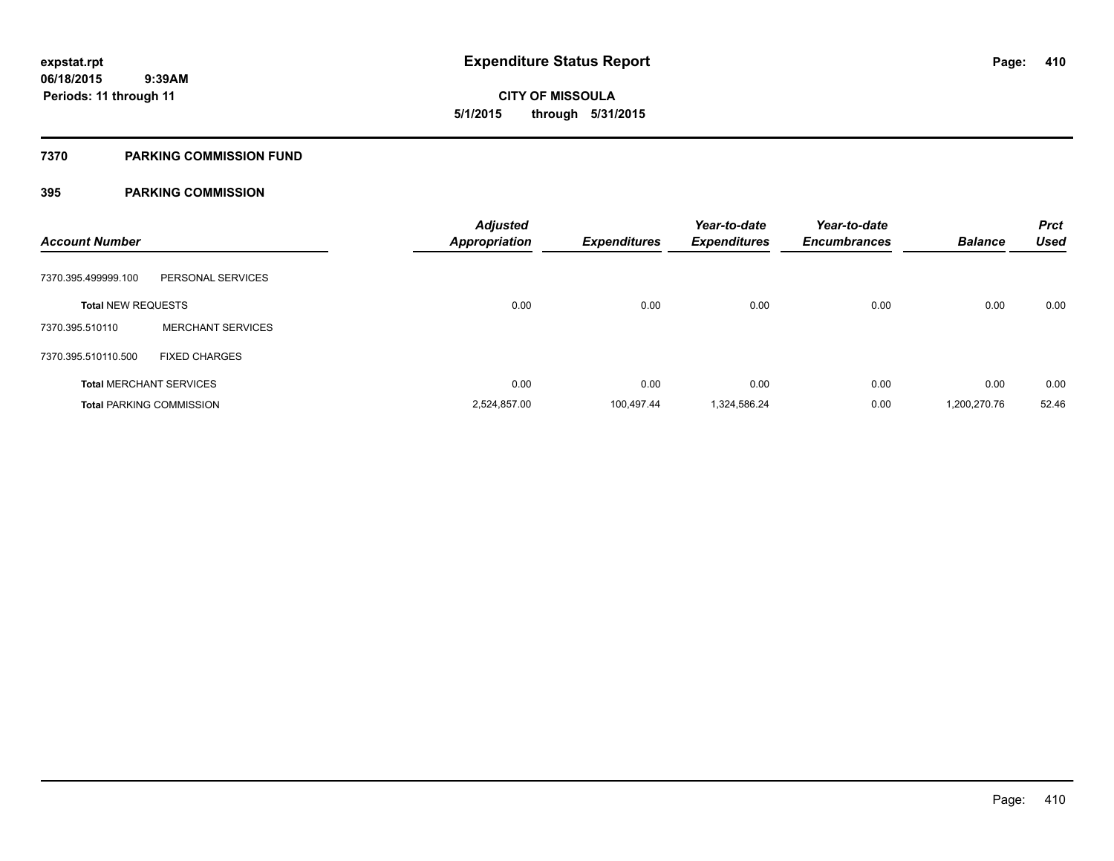**410**

**06/18/2015 9:39AM Periods: 11 through 11**

# **CITY OF MISSOULA 5/1/2015 through 5/31/2015**

#### **7370 PARKING COMMISSION FUND**

| <b>Account Number</b>     |                                 | <b>Adjusted</b><br><b>Appropriation</b> | <b>Expenditures</b> | Year-to-date<br><b>Expenditures</b> | Year-to-date<br><b>Encumbrances</b> | <b>Balance</b> | <b>Prct</b><br><b>Used</b> |
|---------------------------|---------------------------------|-----------------------------------------|---------------------|-------------------------------------|-------------------------------------|----------------|----------------------------|
| 7370.395.499999.100       | PERSONAL SERVICES               |                                         |                     |                                     |                                     |                |                            |
| <b>Total NEW REQUESTS</b> |                                 | 0.00                                    | 0.00                | 0.00                                | 0.00                                | 0.00           | 0.00                       |
| 7370.395.510110           | <b>MERCHANT SERVICES</b>        |                                         |                     |                                     |                                     |                |                            |
| 7370.395.510110.500       | <b>FIXED CHARGES</b>            |                                         |                     |                                     |                                     |                |                            |
|                           | <b>Total MERCHANT SERVICES</b>  | 0.00                                    | 0.00                | 0.00                                | 0.00                                | 0.00           | 0.00                       |
|                           | <b>Total PARKING COMMISSION</b> | 2,524,857.00                            | 100,497.44          | 1,324,586.24                        | 0.00                                | 1,200,270.76   | 52.46                      |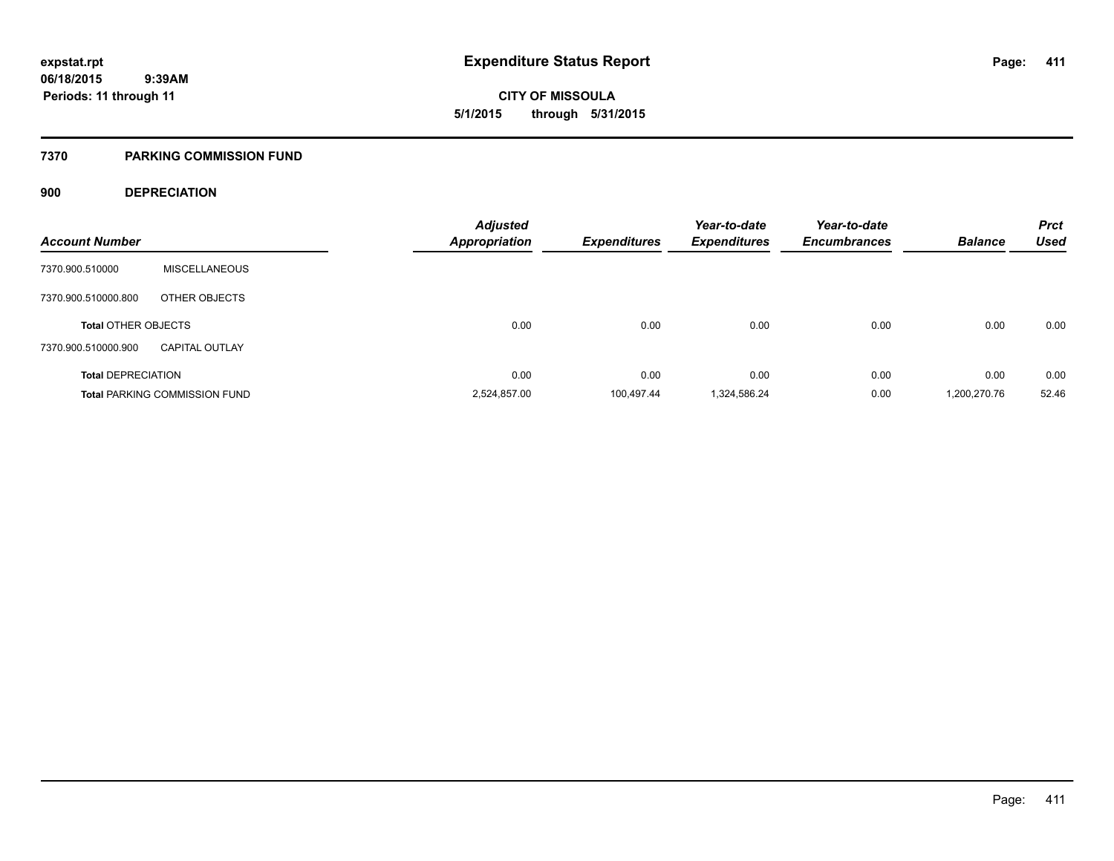#### **7370 PARKING COMMISSION FUND**

### **900 DEPRECIATION**

| <b>Account Number</b>      |                                      | <b>Adjusted</b><br><b>Appropriation</b> | <b>Expenditures</b> | Year-to-date<br><b>Expenditures</b> | Year-to-date<br><b>Encumbrances</b> | <b>Balance</b> | <b>Prct</b><br><b>Used</b> |
|----------------------------|--------------------------------------|-----------------------------------------|---------------------|-------------------------------------|-------------------------------------|----------------|----------------------------|
| 7370.900.510000            | <b>MISCELLANEOUS</b>                 |                                         |                     |                                     |                                     |                |                            |
| 7370.900.510000.800        | OTHER OBJECTS                        |                                         |                     |                                     |                                     |                |                            |
| <b>Total OTHER OBJECTS</b> |                                      | 0.00                                    | 0.00                | 0.00                                | 0.00                                | 0.00           | 0.00                       |
| 7370.900.510000.900        | <b>CAPITAL OUTLAY</b>                |                                         |                     |                                     |                                     |                |                            |
| <b>Total DEPRECIATION</b>  |                                      | 0.00                                    | 0.00                | 0.00                                | 0.00                                | 0.00           | 0.00                       |
|                            | <b>Total PARKING COMMISSION FUND</b> | 2,524,857.00                            | 100.497.44          | 1,324,586.24                        | 0.00                                | 1,200,270.76   | 52.46                      |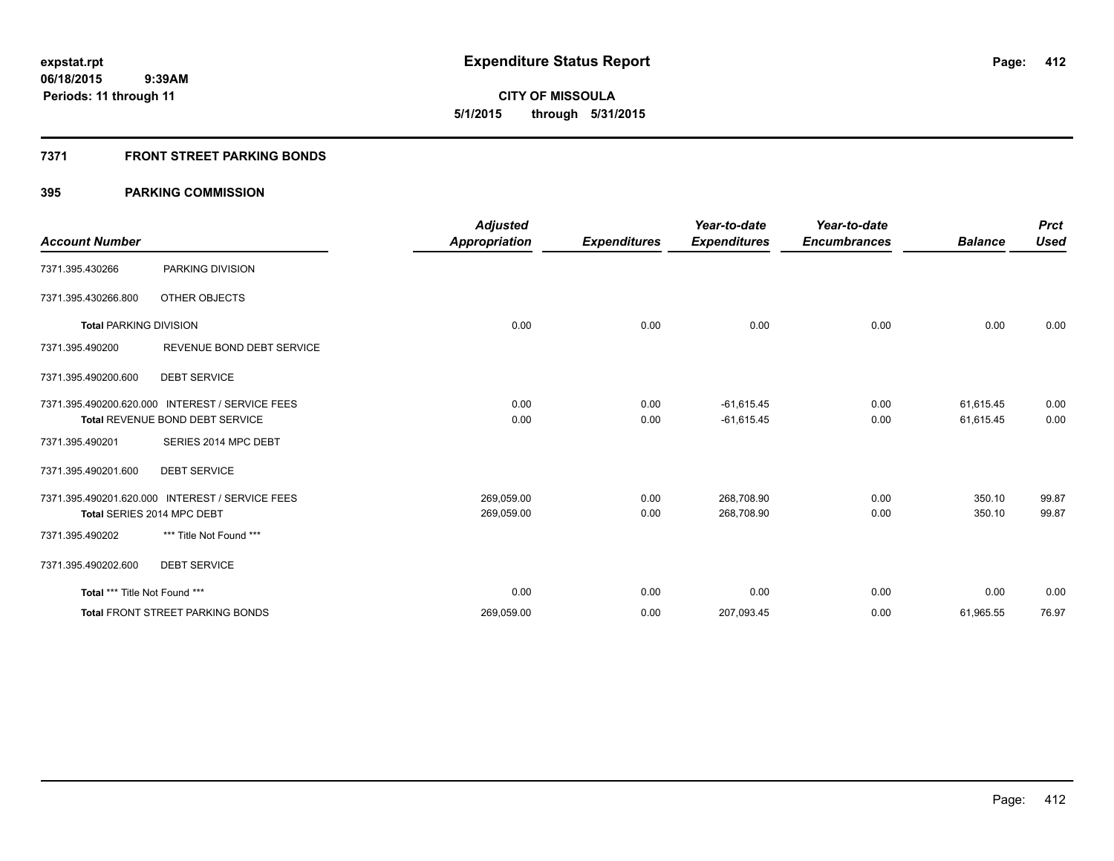**412**

**06/18/2015 9:39AM Periods: 11 through 11**

**CITY OF MISSOULA 5/1/2015 through 5/31/2015**

### **7371 FRONT STREET PARKING BONDS**

|                               |                                                 | <b>Adjusted</b>      |                     | Year-to-date        | Year-to-date        |                | <b>Prct</b> |
|-------------------------------|-------------------------------------------------|----------------------|---------------------|---------------------|---------------------|----------------|-------------|
| <b>Account Number</b>         |                                                 | <b>Appropriation</b> | <b>Expenditures</b> | <b>Expenditures</b> | <b>Encumbrances</b> | <b>Balance</b> | <b>Used</b> |
| 7371.395.430266               | PARKING DIVISION                                |                      |                     |                     |                     |                |             |
| 7371.395.430266.800           | OTHER OBJECTS                                   |                      |                     |                     |                     |                |             |
| <b>Total PARKING DIVISION</b> |                                                 | 0.00                 | 0.00                | 0.00                | 0.00                | 0.00           | 0.00        |
| 7371.395.490200               | REVENUE BOND DEBT SERVICE                       |                      |                     |                     |                     |                |             |
| 7371.395.490200.600           | <b>DEBT SERVICE</b>                             |                      |                     |                     |                     |                |             |
|                               | 7371.395.490200.620.000 INTEREST / SERVICE FEES | 0.00                 | 0.00                | $-61,615.45$        | 0.00                | 61,615.45      | 0.00        |
|                               | Total REVENUE BOND DEBT SERVICE                 | 0.00                 | 0.00                | $-61,615.45$        | 0.00                | 61,615.45      | 0.00        |
| 7371.395.490201               | SERIES 2014 MPC DEBT                            |                      |                     |                     |                     |                |             |
| 7371.395.490201.600           | <b>DEBT SERVICE</b>                             |                      |                     |                     |                     |                |             |
|                               | 7371.395.490201.620.000 INTEREST / SERVICE FEES | 269,059.00           | 0.00                | 268,708.90          | 0.00                | 350.10         | 99.87       |
|                               | Total SERIES 2014 MPC DEBT                      | 269,059.00           | 0.00                | 268,708.90          | 0.00                | 350.10         | 99.87       |
| 7371.395.490202               | *** Title Not Found ***                         |                      |                     |                     |                     |                |             |
| 7371.395.490202.600           | <b>DEBT SERVICE</b>                             |                      |                     |                     |                     |                |             |
| Total *** Title Not Found *** |                                                 | 0.00                 | 0.00                | 0.00                | 0.00                | 0.00           | 0.00        |
|                               | <b>Total FRONT STREET PARKING BONDS</b>         | 269,059.00           | 0.00                | 207,093.45          | 0.00                | 61,965.55      | 76.97       |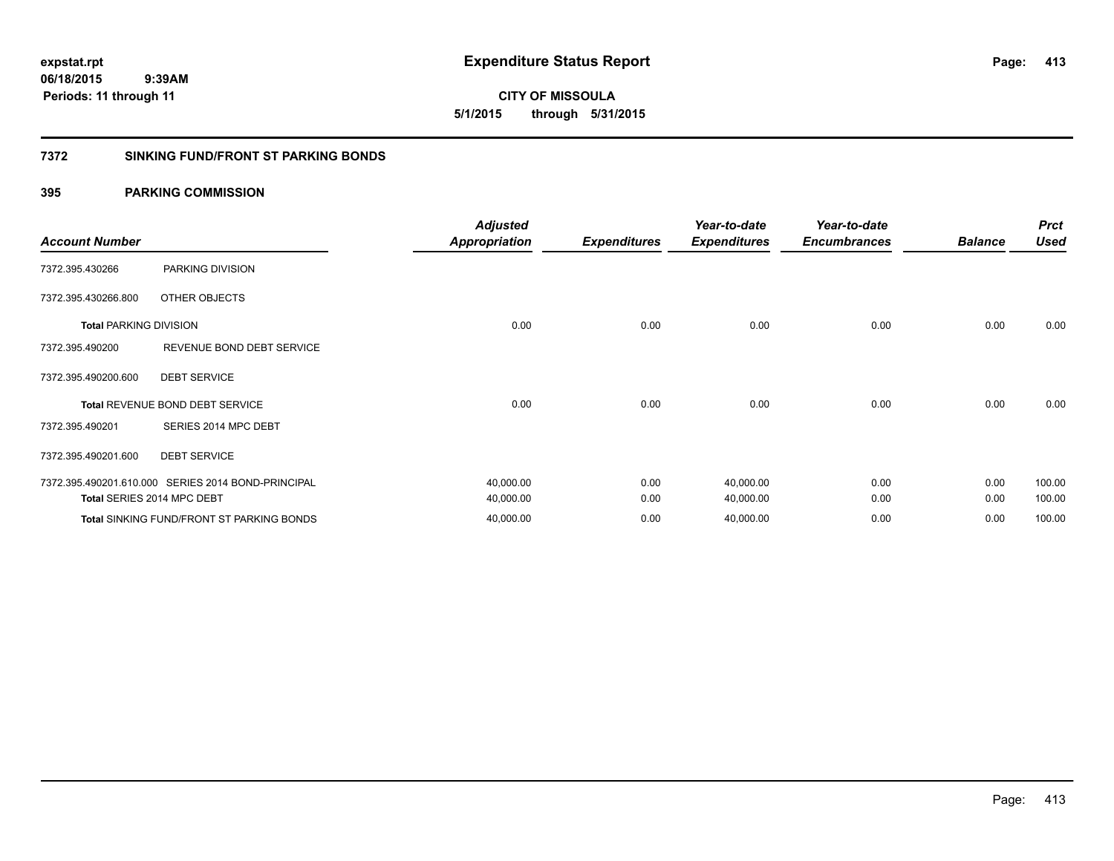**CITY OF MISSOULA 5/1/2015 through 5/31/2015**

#### **7372 SINKING FUND/FRONT ST PARKING BONDS**

| <b>Account Number</b>         |                                                    | <b>Adjusted</b><br><b>Appropriation</b> | <b>Expenditures</b> | Year-to-date<br><b>Expenditures</b> | Year-to-date<br><b>Encumbrances</b> | <b>Balance</b> | <b>Prct</b><br><b>Used</b> |
|-------------------------------|----------------------------------------------------|-----------------------------------------|---------------------|-------------------------------------|-------------------------------------|----------------|----------------------------|
| 7372.395.430266               | PARKING DIVISION                                   |                                         |                     |                                     |                                     |                |                            |
| 7372.395.430266.800           | OTHER OBJECTS                                      |                                         |                     |                                     |                                     |                |                            |
| <b>Total PARKING DIVISION</b> |                                                    | 0.00                                    | 0.00                | 0.00                                | 0.00                                | 0.00           | 0.00                       |
| 7372.395.490200               | REVENUE BOND DEBT SERVICE                          |                                         |                     |                                     |                                     |                |                            |
| 7372.395.490200.600           | <b>DEBT SERVICE</b>                                |                                         |                     |                                     |                                     |                |                            |
|                               | Total REVENUE BOND DEBT SERVICE                    | 0.00                                    | 0.00                | 0.00                                | 0.00                                | 0.00           | 0.00                       |
| 7372.395.490201               | SERIES 2014 MPC DEBT                               |                                         |                     |                                     |                                     |                |                            |
| 7372.395.490201.600           | <b>DEBT SERVICE</b>                                |                                         |                     |                                     |                                     |                |                            |
|                               | 7372.395.490201.610.000 SERIES 2014 BOND-PRINCIPAL | 40,000.00                               | 0.00                | 40,000.00                           | 0.00                                | 0.00           | 100.00                     |
|                               | Total SERIES 2014 MPC DEBT                         | 40,000.00                               | 0.00                | 40,000.00                           | 0.00                                | 0.00           | 100.00                     |
|                               | <b>Total SINKING FUND/FRONT ST PARKING BONDS</b>   | 40,000.00                               | 0.00                | 40,000.00                           | 0.00                                | 0.00           | 100.00                     |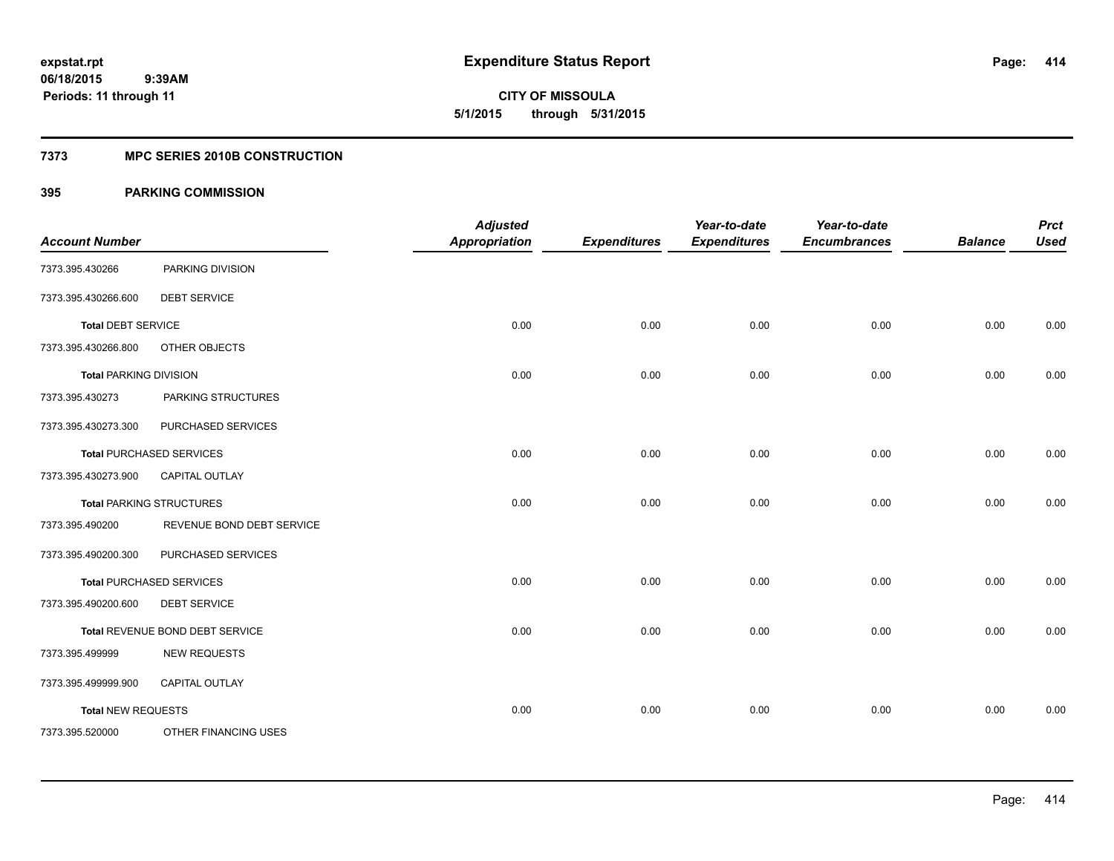**Periods: 11 through 11**

**414**

**CITY OF MISSOULA 5/1/2015 through 5/31/2015**

#### **7373 MPC SERIES 2010B CONSTRUCTION**

### **395 PARKING COMMISSION**

 **9:39AM**

|                               |                                 | <b>Adjusted</b>      |                     | Year-to-date        | Year-to-date        |                | <b>Prct</b> |
|-------------------------------|---------------------------------|----------------------|---------------------|---------------------|---------------------|----------------|-------------|
| <b>Account Number</b>         |                                 | <b>Appropriation</b> | <b>Expenditures</b> | <b>Expenditures</b> | <b>Encumbrances</b> | <b>Balance</b> | <b>Used</b> |
| 7373.395.430266               | PARKING DIVISION                |                      |                     |                     |                     |                |             |
| 7373.395.430266.600           | <b>DEBT SERVICE</b>             |                      |                     |                     |                     |                |             |
| <b>Total DEBT SERVICE</b>     |                                 | 0.00                 | 0.00                | 0.00                | 0.00                | 0.00           | 0.00        |
| 7373.395.430266.800           | OTHER OBJECTS                   |                      |                     |                     |                     |                |             |
| <b>Total PARKING DIVISION</b> |                                 | 0.00                 | 0.00                | 0.00                | 0.00                | 0.00           | 0.00        |
| 7373.395.430273               | PARKING STRUCTURES              |                      |                     |                     |                     |                |             |
| 7373.395.430273.300           | PURCHASED SERVICES              |                      |                     |                     |                     |                |             |
|                               | <b>Total PURCHASED SERVICES</b> | 0.00                 | 0.00                | 0.00                | 0.00                | 0.00           | 0.00        |
| 7373.395.430273.900           | <b>CAPITAL OUTLAY</b>           |                      |                     |                     |                     |                |             |
|                               | <b>Total PARKING STRUCTURES</b> | 0.00                 | 0.00                | 0.00                | 0.00                | 0.00           | 0.00        |
| 7373.395.490200               | REVENUE BOND DEBT SERVICE       |                      |                     |                     |                     |                |             |
| 7373.395.490200.300           | PURCHASED SERVICES              |                      |                     |                     |                     |                |             |
|                               | <b>Total PURCHASED SERVICES</b> | 0.00                 | 0.00                | 0.00                | 0.00                | 0.00           | 0.00        |
| 7373.395.490200.600           | <b>DEBT SERVICE</b>             |                      |                     |                     |                     |                |             |
|                               | Total REVENUE BOND DEBT SERVICE | 0.00                 | 0.00                | 0.00                | 0.00                | 0.00           | 0.00        |
| 7373.395.499999               | <b>NEW REQUESTS</b>             |                      |                     |                     |                     |                |             |
| 7373.395.499999.900           | <b>CAPITAL OUTLAY</b>           |                      |                     |                     |                     |                |             |
| <b>Total NEW REQUESTS</b>     |                                 | 0.00                 | 0.00                | 0.00                | 0.00                | 0.00           | 0.00        |
| 7373.395.520000               | OTHER FINANCING USES            |                      |                     |                     |                     |                |             |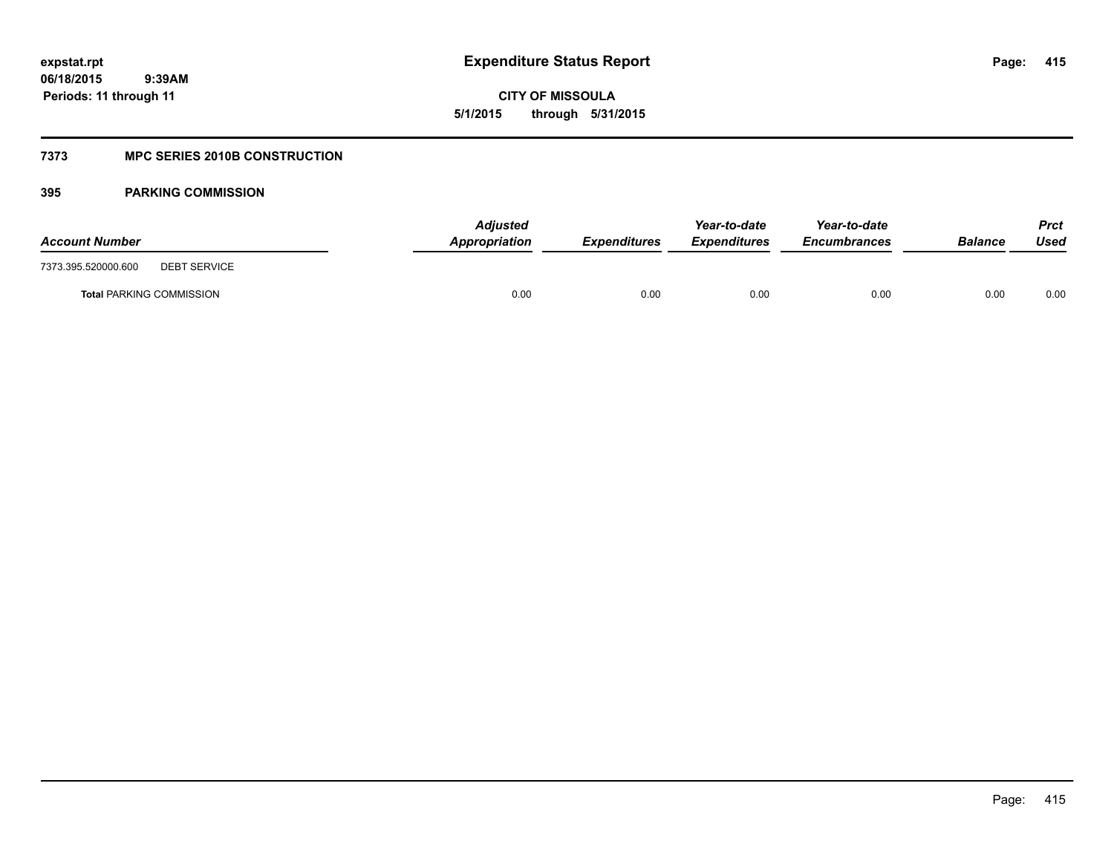**CITY OF MISSOULA 5/1/2015 through 5/31/2015**

### **7373 MPC SERIES 2010B CONSTRUCTION**

| <b>Account Number</b>                      | <b>Adjusted</b><br>Appropriation | <b>Expenditures</b> | Year-to-date<br><b>Expenditures</b> | Year-to-date<br><i><b>Encumbrances</b></i> | <b>Balance</b> | <b>Prct</b><br>Used |
|--------------------------------------------|----------------------------------|---------------------|-------------------------------------|--------------------------------------------|----------------|---------------------|
| 7373.395.520000.600<br><b>DEBT SERVICE</b> |                                  |                     |                                     |                                            |                |                     |
| <b>Total PARKING COMMISSION</b>            | 0.00                             | 0.00                | 0.00                                | 0.00                                       | 0.00           | 0.00                |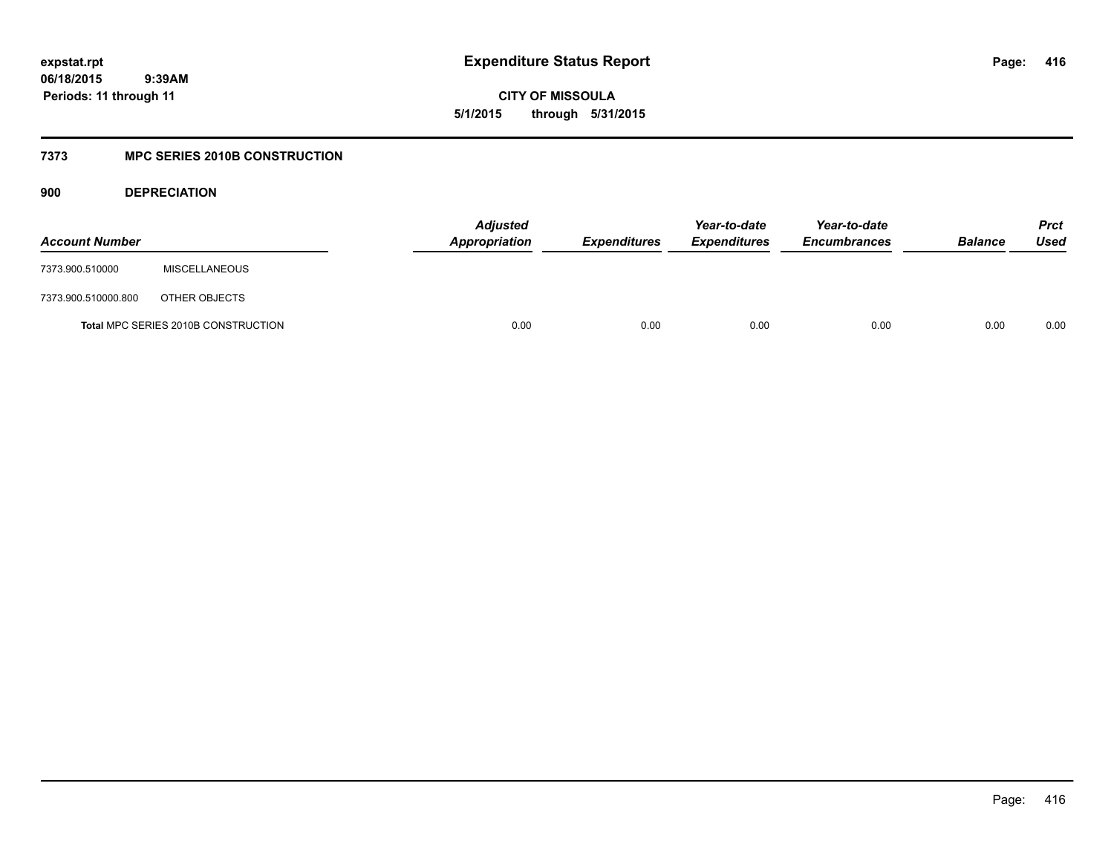**CITY OF MISSOULA 5/1/2015 through 5/31/2015**

### **7373 MPC SERIES 2010B CONSTRUCTION**

**900 DEPRECIATION**

| <b>Account Number</b> |                                     | <b>Adjusted</b><br>Appropriation | <b>Expenditures</b> | Year-to-date<br><b>Expenditures</b> | Year-to-date<br><b>Encumbrances</b> | <b>Balance</b> | <b>Prct</b><br>Used |
|-----------------------|-------------------------------------|----------------------------------|---------------------|-------------------------------------|-------------------------------------|----------------|---------------------|
| 7373.900.510000       | <b>MISCELLANEOUS</b>                |                                  |                     |                                     |                                     |                |                     |
| 7373.900.510000.800   | OTHER OBJECTS                       |                                  |                     |                                     |                                     |                |                     |
|                       | Total MPC SERIES 2010B CONSTRUCTION | 0.00                             | 0.00                | 0.00                                | 0.00                                | 0.00           | 0.00                |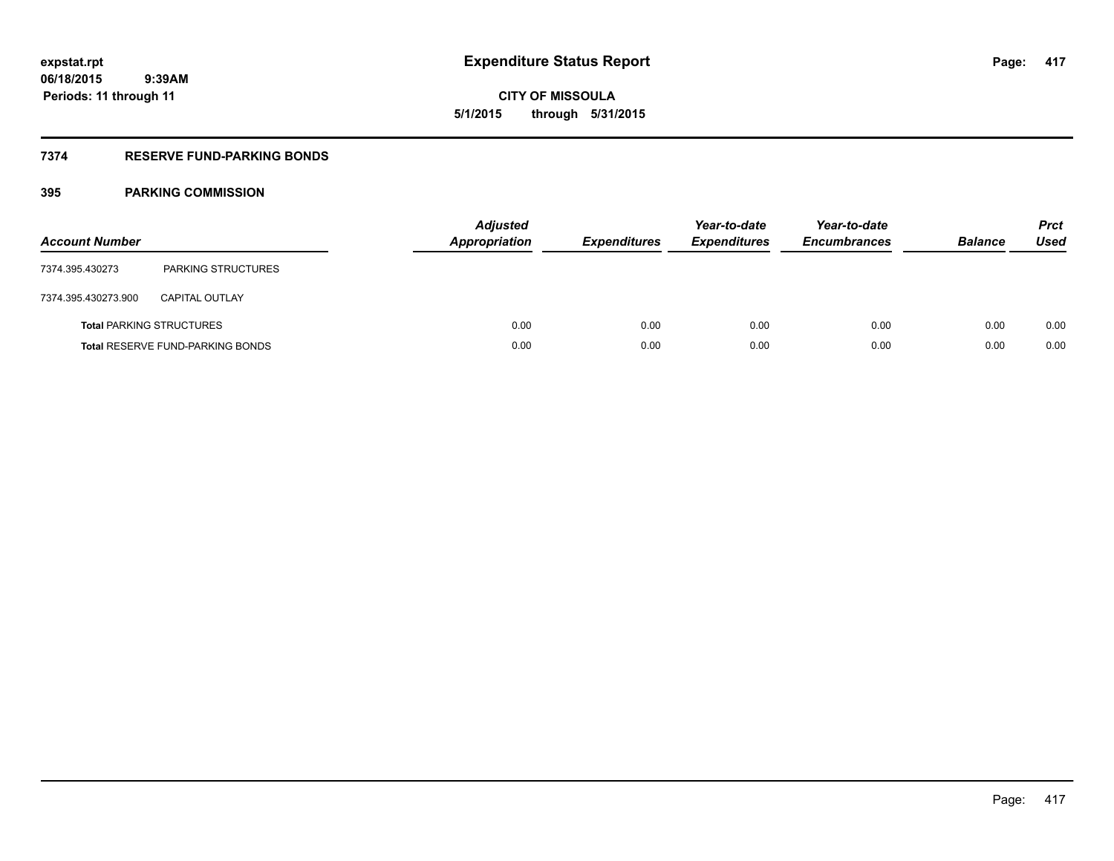**417**

**06/18/2015 9:39AM Periods: 11 through 11**

# **CITY OF MISSOULA 5/1/2015 through 5/31/2015**

### **7374 RESERVE FUND-PARKING BONDS**

| <b>Account Number</b> |                                         | <b>Adjusted</b><br><b>Appropriation</b> | <b>Expenditures</b> | Year-to-date<br><b>Expenditures</b> | Year-to-date<br><b>Encumbrances</b> | <b>Balance</b> | <b>Prct</b><br><b>Used</b> |
|-----------------------|-----------------------------------------|-----------------------------------------|---------------------|-------------------------------------|-------------------------------------|----------------|----------------------------|
| 7374.395.430273       | <b>PARKING STRUCTURES</b>               |                                         |                     |                                     |                                     |                |                            |
| 7374.395.430273.900   | <b>CAPITAL OUTLAY</b>                   |                                         |                     |                                     |                                     |                |                            |
|                       | <b>Total PARKING STRUCTURES</b>         | 0.00                                    | 0.00                | 0.00                                | 0.00                                | 0.00           | 0.00                       |
|                       | <b>Total RESERVE FUND-PARKING BONDS</b> | 0.00                                    | 0.00                | 0.00                                | 0.00                                | 0.00           | 0.00                       |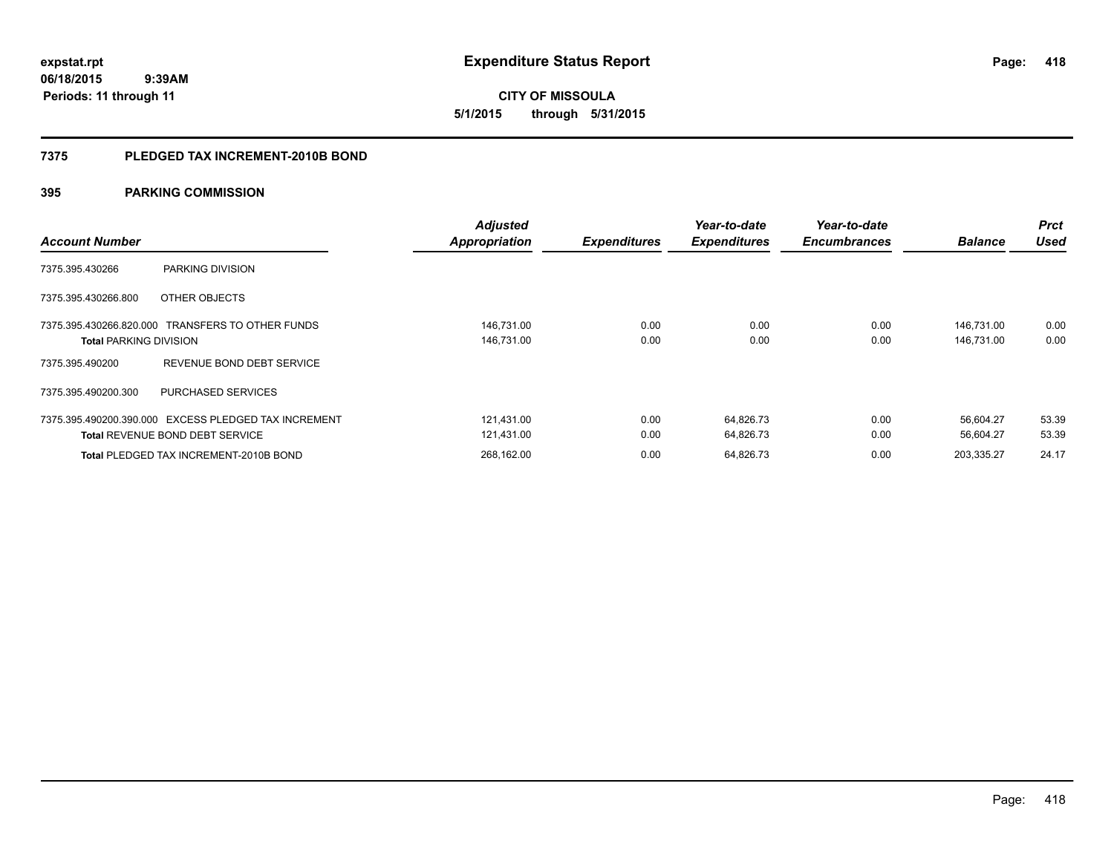**expstat.rpt Expenditure Status Report** 

**06/18/2015 9:39AM Periods: 11 through 11**

**CITY OF MISSOULA 5/1/2015 through 5/31/2015**

#### **7375 PLEDGED TAX INCREMENT-2010B BOND**

| <b>Account Number</b>                                | <b>Adjusted</b><br><b>Appropriation</b> | <b>Expenditures</b> | Year-to-date<br><b>Expenditures</b> | Year-to-date<br><b>Encumbrances</b> | <b>Balance</b> | <b>Prct</b><br><b>Used</b> |
|------------------------------------------------------|-----------------------------------------|---------------------|-------------------------------------|-------------------------------------|----------------|----------------------------|
|                                                      |                                         |                     |                                     |                                     |                |                            |
| 7375.395.430266<br>PARKING DIVISION                  |                                         |                     |                                     |                                     |                |                            |
| 7375.395.430266.800<br>OTHER OBJECTS                 |                                         |                     |                                     |                                     |                |                            |
| 7375.395.430266.820.000 TRANSFERS TO OTHER FUNDS     | 146,731.00                              | 0.00                | 0.00                                | 0.00                                | 146,731.00     | 0.00                       |
| <b>Total PARKING DIVISION</b>                        | 146,731.00                              | 0.00                | 0.00                                | 0.00                                | 146,731.00     | 0.00                       |
| REVENUE BOND DEBT SERVICE<br>7375.395.490200         |                                         |                     |                                     |                                     |                |                            |
| 7375.395.490200.300<br><b>PURCHASED SERVICES</b>     |                                         |                     |                                     |                                     |                |                            |
| 7375.395.490200.390.000 EXCESS PLEDGED TAX INCREMENT | 121.431.00                              | 0.00                | 64,826.73                           | 0.00                                | 56.604.27      | 53.39                      |
| <b>Total REVENUE BOND DEBT SERVICE</b>               | 121,431.00                              | 0.00                | 64,826.73                           | 0.00                                | 56,604.27      | 53.39                      |
| <b>Total PLEDGED TAX INCREMENT-2010B BOND</b>        | 268,162.00                              | 0.00                | 64,826.73                           | 0.00                                | 203,335.27     | 24.17                      |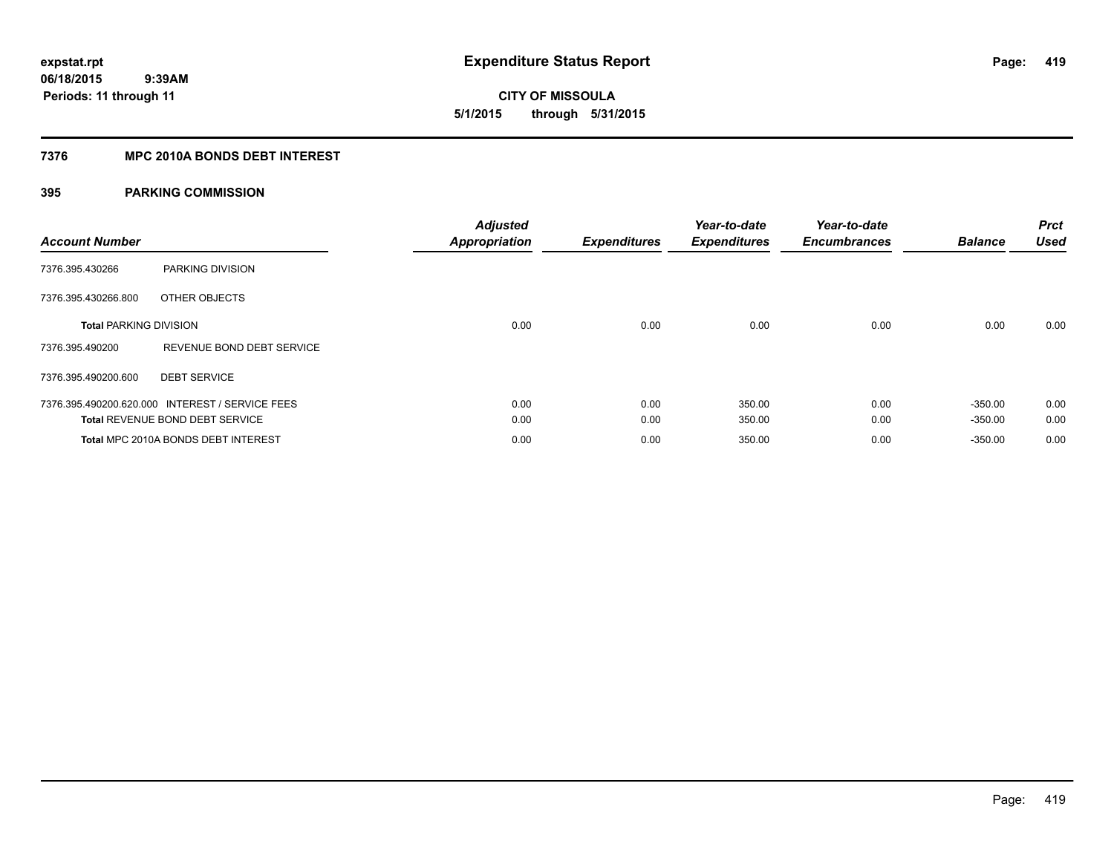**CITY OF MISSOULA 5/1/2015 through 5/31/2015**

#### **7376 MPC 2010A BONDS DEBT INTEREST**

| <b>Account Number</b>         |                                                 | <b>Adjusted</b><br><b>Appropriation</b> | <b>Expenditures</b> | Year-to-date<br><b>Expenditures</b> | Year-to-date<br><b>Encumbrances</b> | <b>Balance</b> | <b>Prct</b><br><b>Used</b> |
|-------------------------------|-------------------------------------------------|-----------------------------------------|---------------------|-------------------------------------|-------------------------------------|----------------|----------------------------|
| 7376.395.430266               | PARKING DIVISION                                |                                         |                     |                                     |                                     |                |                            |
| 7376.395.430266.800           | OTHER OBJECTS                                   |                                         |                     |                                     |                                     |                |                            |
| <b>Total PARKING DIVISION</b> |                                                 | 0.00                                    | 0.00                | 0.00                                | 0.00                                | 0.00           | 0.00                       |
| 7376.395.490200               | REVENUE BOND DEBT SERVICE                       |                                         |                     |                                     |                                     |                |                            |
| 7376.395.490200.600           | <b>DEBT SERVICE</b>                             |                                         |                     |                                     |                                     |                |                            |
|                               | 7376.395.490200.620.000 INTEREST / SERVICE FEES | 0.00                                    | 0.00                | 350.00                              | 0.00                                | $-350.00$      | 0.00                       |
|                               | <b>Total REVENUE BOND DEBT SERVICE</b>          | 0.00                                    | 0.00                | 350.00                              | 0.00                                | $-350.00$      | 0.00                       |
|                               | Total MPC 2010A BONDS DEBT INTEREST             | 0.00                                    | 0.00                | 350.00                              | 0.00                                | $-350.00$      | 0.00                       |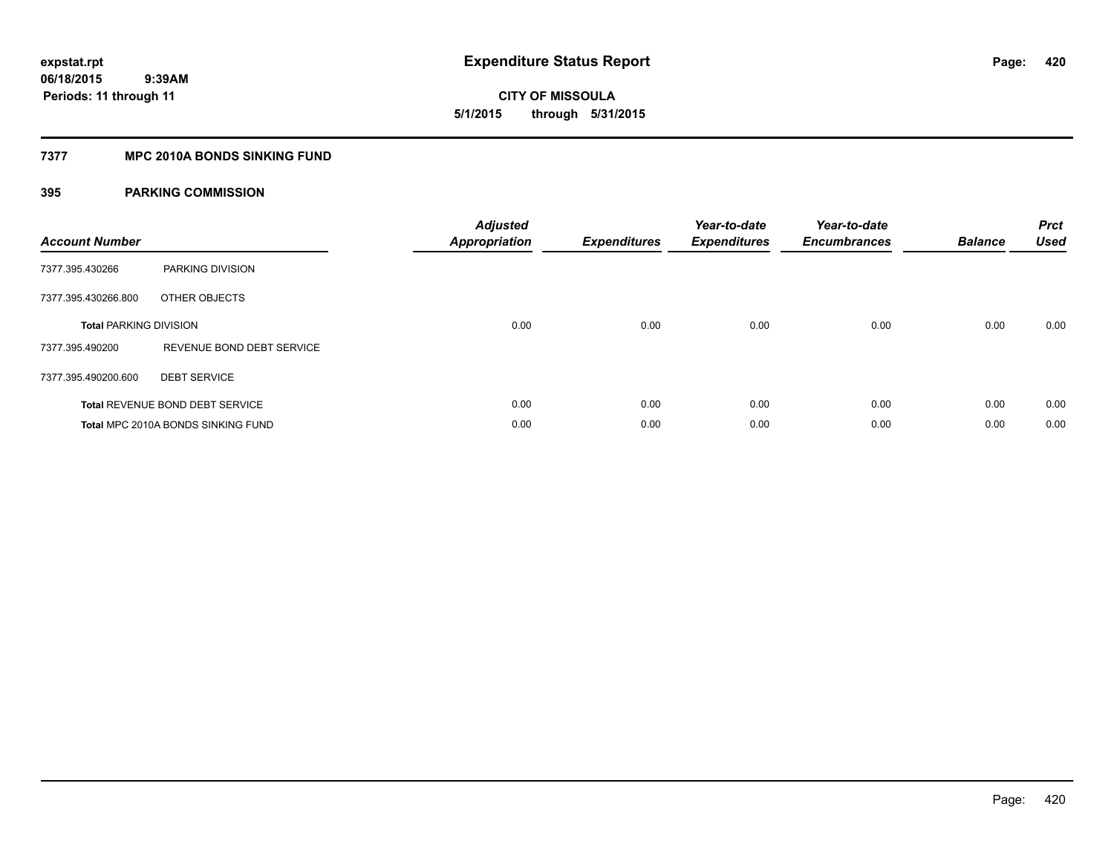**420**

**06/18/2015 9:39AM Periods: 11 through 11**

**CITY OF MISSOULA 5/1/2015 through 5/31/2015**

#### **7377 MPC 2010A BONDS SINKING FUND**

| <b>Account Number</b>         |                                    | <b>Adjusted</b><br><b>Appropriation</b> | <b>Expenditures</b> | Year-to-date<br><b>Expenditures</b> | Year-to-date<br><b>Encumbrances</b> | <b>Balance</b> | <b>Prct</b><br><b>Used</b> |
|-------------------------------|------------------------------------|-----------------------------------------|---------------------|-------------------------------------|-------------------------------------|----------------|----------------------------|
| 7377.395.430266               | PARKING DIVISION                   |                                         |                     |                                     |                                     |                |                            |
| 7377.395.430266.800           | OTHER OBJECTS                      |                                         |                     |                                     |                                     |                |                            |
| <b>Total PARKING DIVISION</b> |                                    | 0.00                                    | 0.00                | 0.00                                | 0.00                                | 0.00           | 0.00                       |
| 7377.395.490200               | REVENUE BOND DEBT SERVICE          |                                         |                     |                                     |                                     |                |                            |
| 7377.395.490200.600           | <b>DEBT SERVICE</b>                |                                         |                     |                                     |                                     |                |                            |
|                               | Total REVENUE BOND DEBT SERVICE    | 0.00                                    | 0.00                | 0.00                                | 0.00                                | 0.00           | 0.00                       |
|                               | Total MPC 2010A BONDS SINKING FUND | 0.00                                    | 0.00                | 0.00                                | 0.00                                | 0.00           | 0.00                       |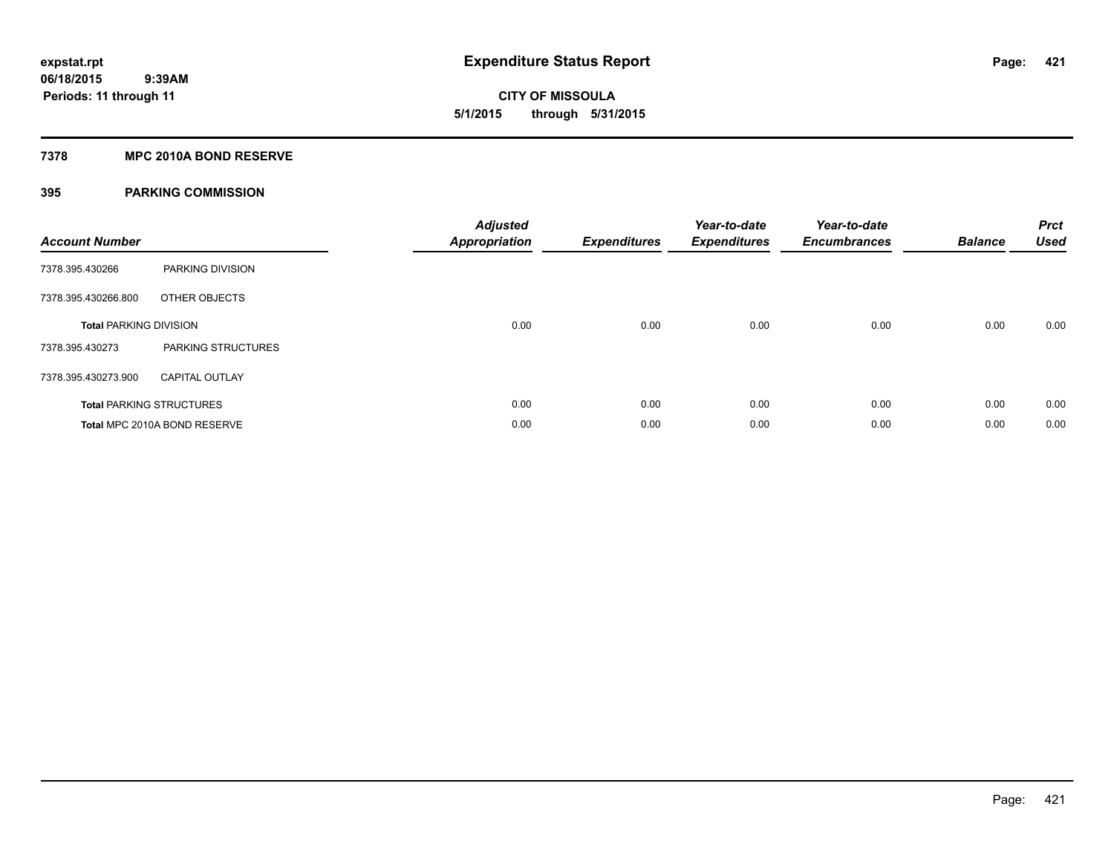**421**

**06/18/2015 9:39AM Periods: 11 through 11**

# **CITY OF MISSOULA 5/1/2015 through 5/31/2015**

#### **7378 MPC 2010A BOND RESERVE**

| <b>Account Number</b>         |                                 | <b>Adjusted</b><br><b>Appropriation</b> | <b>Expenditures</b> | Year-to-date<br><b>Expenditures</b> | Year-to-date<br><b>Encumbrances</b> | <b>Balance</b> | <b>Prct</b><br><b>Used</b> |
|-------------------------------|---------------------------------|-----------------------------------------|---------------------|-------------------------------------|-------------------------------------|----------------|----------------------------|
| 7378.395.430266               | <b>PARKING DIVISION</b>         |                                         |                     |                                     |                                     |                |                            |
| 7378.395.430266.800           | OTHER OBJECTS                   |                                         |                     |                                     |                                     |                |                            |
| <b>Total PARKING DIVISION</b> |                                 | 0.00                                    | 0.00                | 0.00                                | 0.00                                | 0.00           | 0.00                       |
| 7378.395.430273               | <b>PARKING STRUCTURES</b>       |                                         |                     |                                     |                                     |                |                            |
| 7378.395.430273.900           | <b>CAPITAL OUTLAY</b>           |                                         |                     |                                     |                                     |                |                            |
|                               | <b>Total PARKING STRUCTURES</b> | 0.00                                    | 0.00                | 0.00                                | 0.00                                | 0.00           | 0.00                       |
|                               | Total MPC 2010A BOND RESERVE    | 0.00                                    | 0.00                | 0.00                                | 0.00                                | 0.00           | 0.00                       |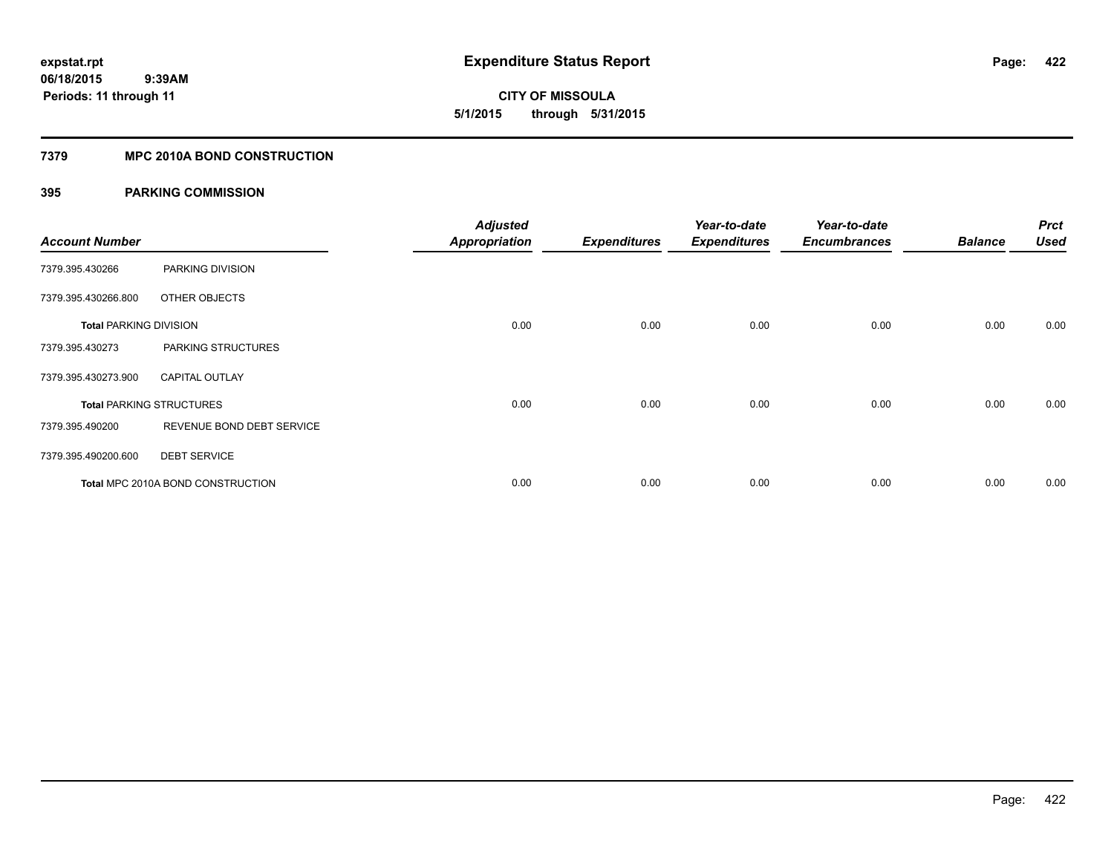**CITY OF MISSOULA 5/1/2015 through 5/31/2015**

#### **7379 MPC 2010A BOND CONSTRUCTION**

| <b>Account Number</b>         |                                          | <b>Adjusted</b><br><b>Appropriation</b> | <b>Expenditures</b> | Year-to-date<br><b>Expenditures</b> | Year-to-date<br><b>Encumbrances</b> | <b>Balance</b> | <b>Prct</b><br><b>Used</b> |
|-------------------------------|------------------------------------------|-----------------------------------------|---------------------|-------------------------------------|-------------------------------------|----------------|----------------------------|
| 7379.395.430266               | PARKING DIVISION                         |                                         |                     |                                     |                                     |                |                            |
| 7379.395.430266.800           | OTHER OBJECTS                            |                                         |                     |                                     |                                     |                |                            |
| <b>Total PARKING DIVISION</b> |                                          | 0.00                                    | 0.00                | 0.00                                | 0.00                                | 0.00           | 0.00                       |
| 7379.395.430273               | PARKING STRUCTURES                       |                                         |                     |                                     |                                     |                |                            |
| 7379.395.430273.900           | <b>CAPITAL OUTLAY</b>                    |                                         |                     |                                     |                                     |                |                            |
|                               | <b>Total PARKING STRUCTURES</b>          | 0.00                                    | 0.00                | 0.00                                | 0.00                                | 0.00           | 0.00                       |
| 7379.395.490200               | REVENUE BOND DEBT SERVICE                |                                         |                     |                                     |                                     |                |                            |
| 7379.395.490200.600           | <b>DEBT SERVICE</b>                      |                                         |                     |                                     |                                     |                |                            |
|                               | <b>Total MPC 2010A BOND CONSTRUCTION</b> | 0.00                                    | 0.00                | 0.00                                | 0.00                                | 0.00           | 0.00                       |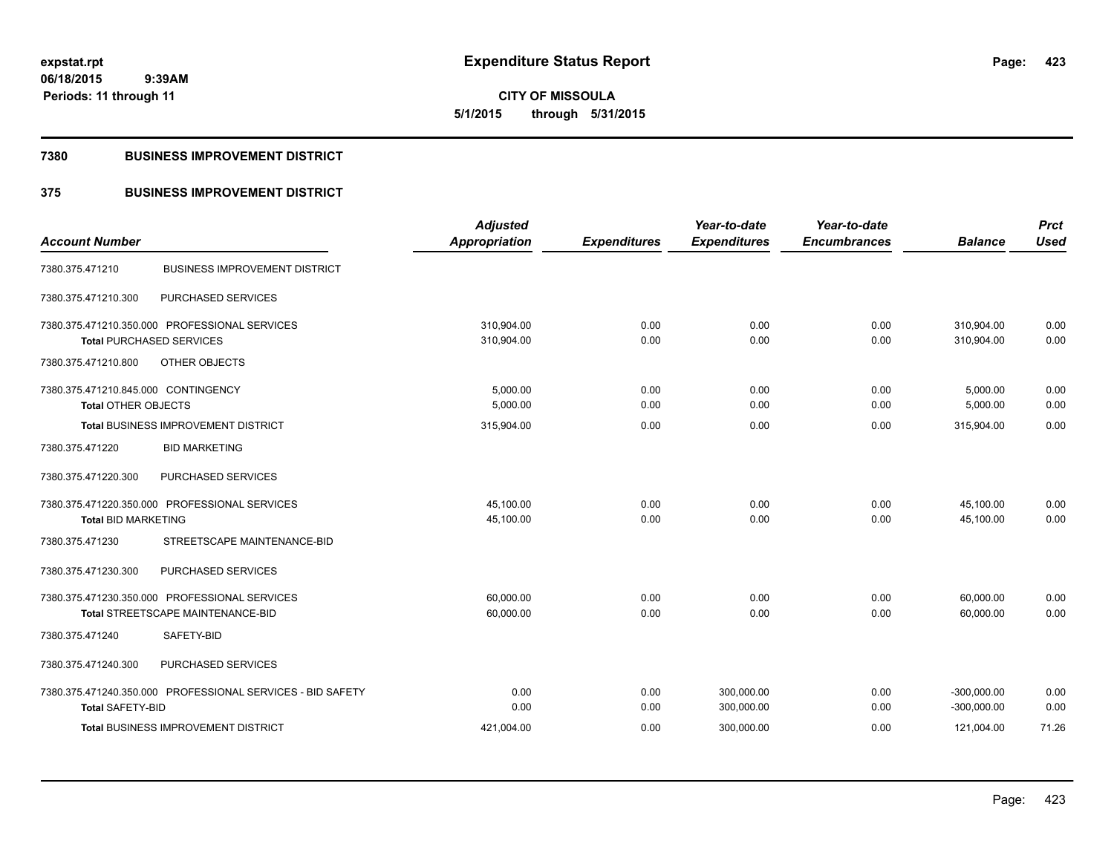#### **7380 BUSINESS IMPROVEMENT DISTRICT**

### **375 BUSINESS IMPROVEMENT DISTRICT**

| <b>Account Number</b>                                      |                                      | <b>Adjusted</b>      |                     | Year-to-date        | Year-to-date<br><b>Encumbrances</b> | <b>Balance</b> | <b>Prct</b><br><b>Used</b> |
|------------------------------------------------------------|--------------------------------------|----------------------|---------------------|---------------------|-------------------------------------|----------------|----------------------------|
|                                                            |                                      | <b>Appropriation</b> | <b>Expenditures</b> | <b>Expenditures</b> |                                     |                |                            |
| 7380.375.471210                                            | <b>BUSINESS IMPROVEMENT DISTRICT</b> |                      |                     |                     |                                     |                |                            |
| PURCHASED SERVICES<br>7380.375.471210.300                  |                                      |                      |                     |                     |                                     |                |                            |
| 7380.375.471210.350.000 PROFESSIONAL SERVICES              |                                      | 310,904.00           | 0.00                | 0.00                | 0.00                                | 310,904.00     | 0.00                       |
| <b>Total PURCHASED SERVICES</b>                            |                                      | 310,904.00           | 0.00                | 0.00                | 0.00                                | 310.904.00     | 0.00                       |
| 7380.375.471210.800<br>OTHER OBJECTS                       |                                      |                      |                     |                     |                                     |                |                            |
| 7380.375.471210.845.000 CONTINGENCY                        |                                      | 5,000.00             | 0.00                | 0.00                | 0.00                                | 5,000.00       | 0.00                       |
| <b>Total OTHER OBJECTS</b>                                 |                                      | 5,000.00             | 0.00                | 0.00                | 0.00                                | 5,000.00       | 0.00                       |
| <b>Total BUSINESS IMPROVEMENT DISTRICT</b>                 |                                      | 315,904.00           | 0.00                | 0.00                | 0.00                                | 315,904.00     | 0.00                       |
| 7380.375.471220<br><b>BID MARKETING</b>                    |                                      |                      |                     |                     |                                     |                |                            |
| PURCHASED SERVICES<br>7380.375.471220.300                  |                                      |                      |                     |                     |                                     |                |                            |
| 7380.375.471220.350.000 PROFESSIONAL SERVICES              |                                      | 45,100.00            | 0.00                | 0.00                | 0.00                                | 45,100.00      | 0.00                       |
| <b>Total BID MARKETING</b>                                 |                                      | 45,100.00            | 0.00                | 0.00                | 0.00                                | 45,100.00      | 0.00                       |
| 7380.375.471230                                            | STREETSCAPE MAINTENANCE-BID          |                      |                     |                     |                                     |                |                            |
| 7380.375.471230.300<br>PURCHASED SERVICES                  |                                      |                      |                     |                     |                                     |                |                            |
| 7380.375.471230.350.000 PROFESSIONAL SERVICES              |                                      | 60.000.00            | 0.00                | 0.00                | 0.00                                | 60,000.00      | 0.00                       |
| Total STREETSCAPE MAINTENANCE-BID                          |                                      | 60,000.00            | 0.00                | 0.00                | 0.00                                | 60,000.00      | 0.00                       |
| SAFETY-BID<br>7380.375.471240                              |                                      |                      |                     |                     |                                     |                |                            |
| 7380.375.471240.300<br>PURCHASED SERVICES                  |                                      |                      |                     |                     |                                     |                |                            |
| 7380.375.471240.350.000 PROFESSIONAL SERVICES - BID SAFETY |                                      | 0.00                 | 0.00                | 300,000.00          | 0.00                                | $-300,000.00$  | 0.00                       |
| <b>Total SAFETY-BID</b>                                    |                                      | 0.00                 | 0.00                | 300,000.00          | 0.00                                | $-300,000.00$  | 0.00                       |
| <b>Total BUSINESS IMPROVEMENT DISTRICT</b>                 |                                      | 421,004.00           | 0.00                | 300,000.00          | 0.00                                | 121,004.00     | 71.26                      |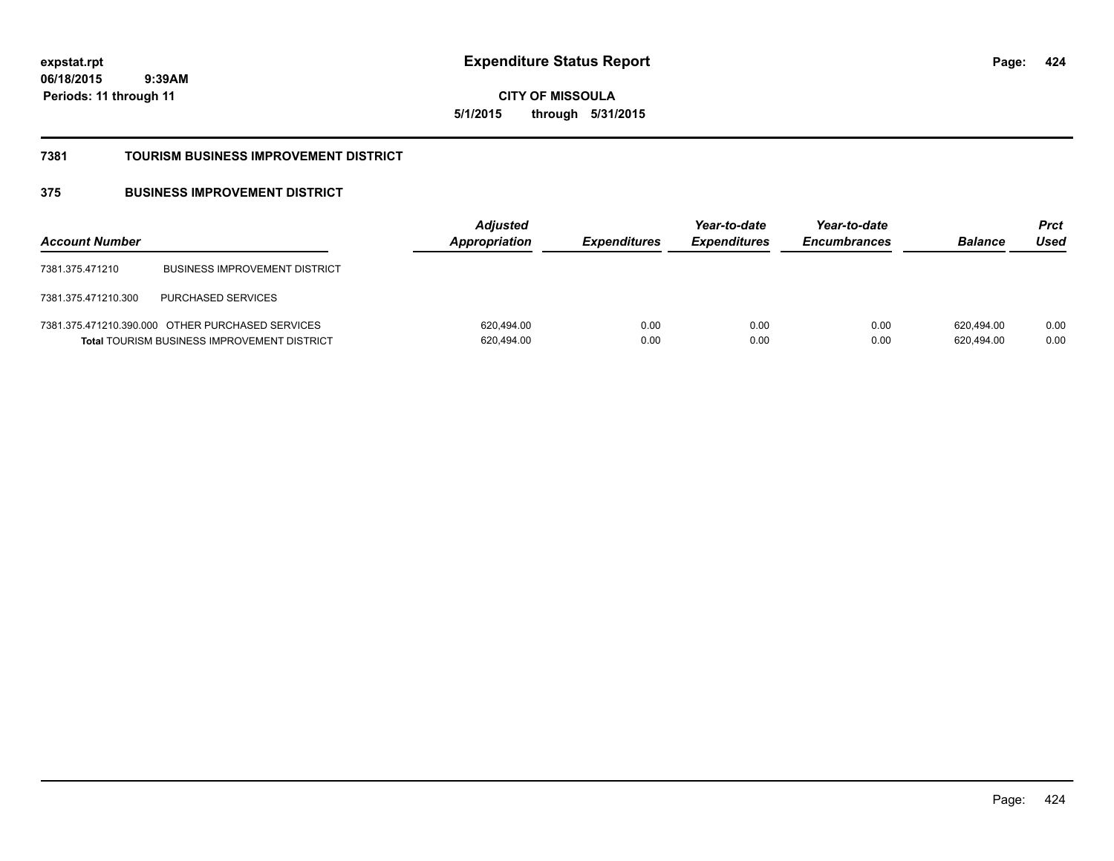**424**

**06/18/2015 9:39AM Periods: 11 through 11**

**CITY OF MISSOULA 5/1/2015 through 5/31/2015**

#### **7381 TOURISM BUSINESS IMPROVEMENT DISTRICT**

### **375 BUSINESS IMPROVEMENT DISTRICT**

| <b>Account Number</b> |                                                                                                        | <b>Adjusted</b><br>Appropriation | <b>Expenditures</b> | Year-to-date<br><b>Expenditures</b> | Year-to-date<br><b>Encumbrances</b> | <b>Balance</b>           | <b>Prct</b><br>Used |
|-----------------------|--------------------------------------------------------------------------------------------------------|----------------------------------|---------------------|-------------------------------------|-------------------------------------|--------------------------|---------------------|
| 7381.375.471210       | <b>BUSINESS IMPROVEMENT DISTRICT</b>                                                                   |                                  |                     |                                     |                                     |                          |                     |
| 7381.375.471210.300   | <b>PURCHASED SERVICES</b>                                                                              |                                  |                     |                                     |                                     |                          |                     |
|                       | 7381.375.471210.390.000 OTHER PURCHASED SERVICES<br><b>Total TOURISM BUSINESS IMPROVEMENT DISTRICT</b> | 620,494.00<br>620,494.00         | 0.00<br>0.00        | 0.00<br>0.00                        | 0.00<br>0.00                        | 620.494.00<br>620,494.00 | 0.00<br>0.00        |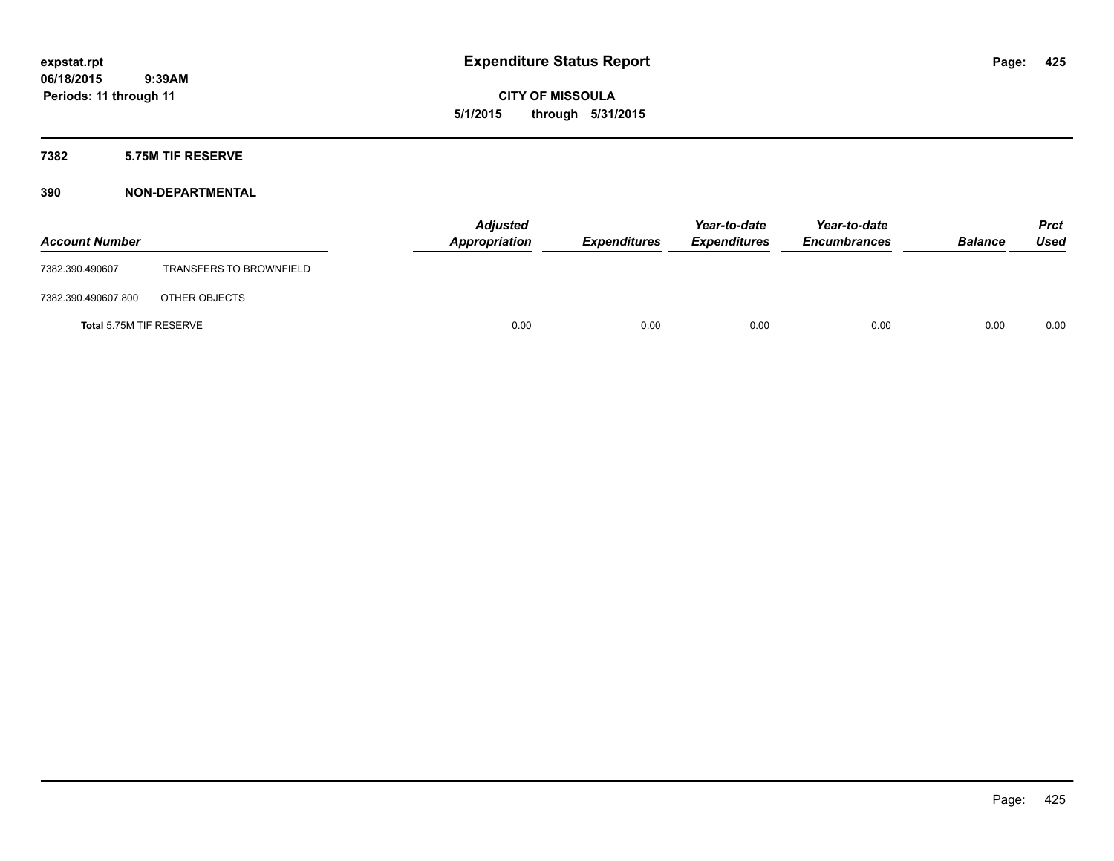**CITY OF MISSOULA 5/1/2015 through 5/31/2015**

#### **7382 5.75M TIF RESERVE**

### **390 NON-DEPARTMENTAL**

| <b>Account Number</b>   |                                | <b>Adjusted</b><br>Appropriation | <b>Expenditures</b> | Year-to-date<br><i><b>Expenditures</b></i> | Year-to-date<br><b>Encumbrances</b> | <b>Balance</b> | <b>Prct</b><br>Used |
|-------------------------|--------------------------------|----------------------------------|---------------------|--------------------------------------------|-------------------------------------|----------------|---------------------|
| 7382.390.490607         | <b>TRANSFERS TO BROWNFIELD</b> |                                  |                     |                                            |                                     |                |                     |
| 7382.390.490607.800     | OTHER OBJECTS                  |                                  |                     |                                            |                                     |                |                     |
| Total 5.75M TIF RESERVE |                                | 0.00                             | 0.00                | 0.00                                       | 0.00                                | 0.00           | 0.00                |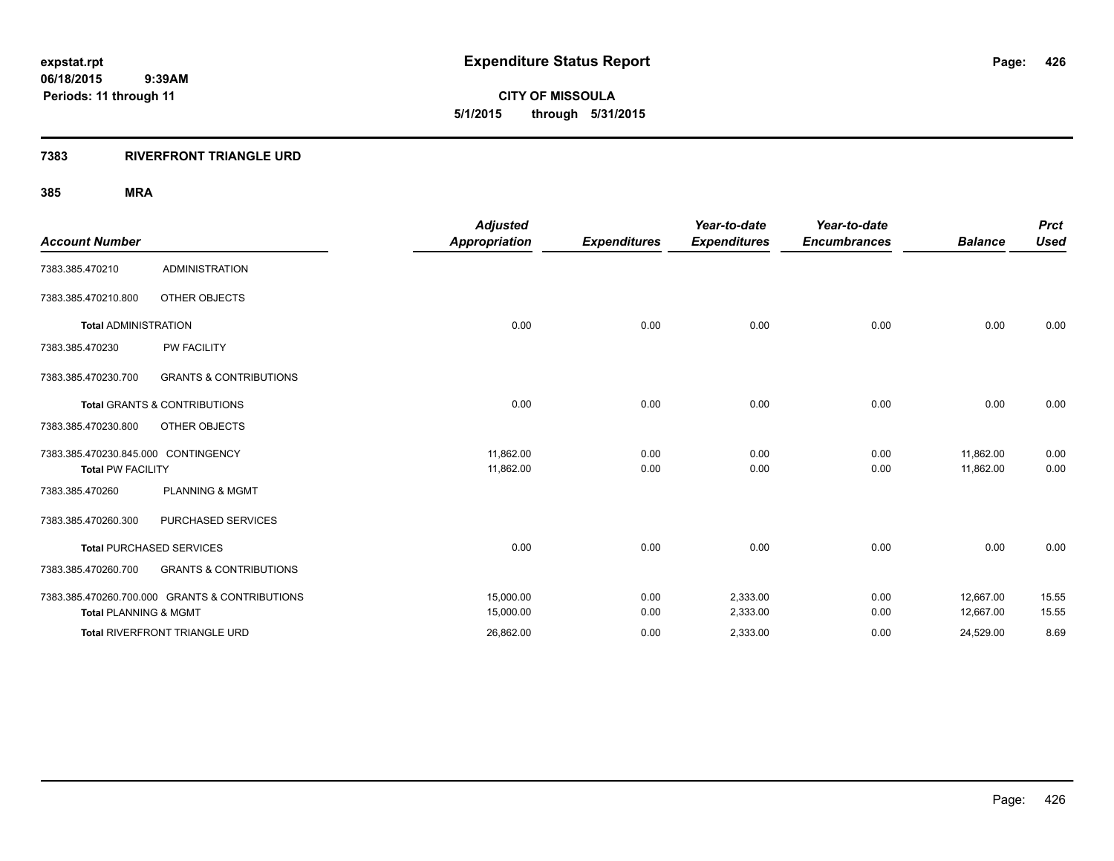#### **7383 RIVERFRONT TRIANGLE URD**

|                                     |                                                | <b>Adjusted</b>      |                     | Year-to-date        | Year-to-date        |                | <b>Prct</b> |
|-------------------------------------|------------------------------------------------|----------------------|---------------------|---------------------|---------------------|----------------|-------------|
| <b>Account Number</b>               |                                                | <b>Appropriation</b> | <b>Expenditures</b> | <b>Expenditures</b> | <b>Encumbrances</b> | <b>Balance</b> | <b>Used</b> |
| 7383.385.470210                     | <b>ADMINISTRATION</b>                          |                      |                     |                     |                     |                |             |
| 7383.385.470210.800                 | OTHER OBJECTS                                  |                      |                     |                     |                     |                |             |
| <b>Total ADMINISTRATION</b>         |                                                | 0.00                 | 0.00                | 0.00                | 0.00                | 0.00           | 0.00        |
| 7383.385.470230                     | <b>PW FACILITY</b>                             |                      |                     |                     |                     |                |             |
| 7383.385.470230.700                 | <b>GRANTS &amp; CONTRIBUTIONS</b>              |                      |                     |                     |                     |                |             |
|                                     | <b>Total GRANTS &amp; CONTRIBUTIONS</b>        | 0.00                 | 0.00                | 0.00                | 0.00                | 0.00           | 0.00        |
| 7383.385.470230.800                 | OTHER OBJECTS                                  |                      |                     |                     |                     |                |             |
| 7383.385.470230.845.000 CONTINGENCY |                                                | 11,862.00            | 0.00                | 0.00                | 0.00                | 11,862.00      | 0.00        |
| <b>Total PW FACILITY</b>            |                                                | 11,862.00            | 0.00                | 0.00                | 0.00                | 11,862.00      | 0.00        |
| 7383.385.470260                     | <b>PLANNING &amp; MGMT</b>                     |                      |                     |                     |                     |                |             |
| 7383.385.470260.300                 | PURCHASED SERVICES                             |                      |                     |                     |                     |                |             |
|                                     | <b>Total PURCHASED SERVICES</b>                | 0.00                 | 0.00                | 0.00                | 0.00                | 0.00           | 0.00        |
| 7383.385.470260.700                 | <b>GRANTS &amp; CONTRIBUTIONS</b>              |                      |                     |                     |                     |                |             |
|                                     | 7383.385.470260.700.000 GRANTS & CONTRIBUTIONS | 15,000.00            | 0.00                | 2,333.00            | 0.00                | 12,667.00      | 15.55       |
| <b>Total PLANNING &amp; MGMT</b>    |                                                | 15,000.00            | 0.00                | 2,333.00            | 0.00                | 12,667.00      | 15.55       |
|                                     | <b>Total RIVERFRONT TRIANGLE URD</b>           | 26,862.00            | 0.00                | 2,333.00            | 0.00                | 24,529.00      | 8.69        |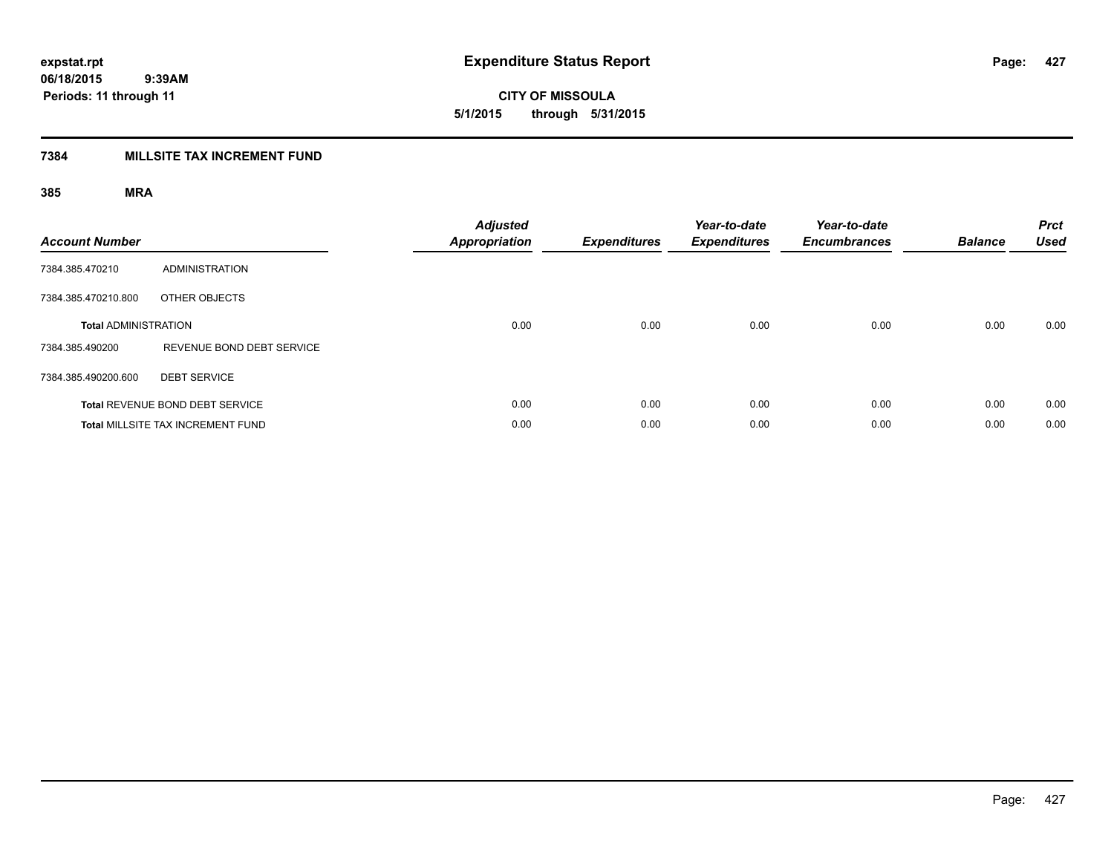**427**

**06/18/2015 9:39AM Periods: 11 through 11**

**CITY OF MISSOULA 5/1/2015 through 5/31/2015**

### **7384 MILLSITE TAX INCREMENT FUND**

| <b>Account Number</b>       |                                          | <b>Adjusted</b><br><b>Appropriation</b> | <b>Expenditures</b> | Year-to-date<br><b>Expenditures</b> | Year-to-date<br><b>Encumbrances</b> | <b>Balance</b> | <b>Prct</b><br><b>Used</b> |
|-----------------------------|------------------------------------------|-----------------------------------------|---------------------|-------------------------------------|-------------------------------------|----------------|----------------------------|
| 7384.385.470210             | ADMINISTRATION                           |                                         |                     |                                     |                                     |                |                            |
| 7384.385.470210.800         | OTHER OBJECTS                            |                                         |                     |                                     |                                     |                |                            |
| <b>Total ADMINISTRATION</b> |                                          | 0.00                                    | 0.00                | 0.00                                | 0.00                                | 0.00           | 0.00                       |
| 7384.385.490200             | REVENUE BOND DEBT SERVICE                |                                         |                     |                                     |                                     |                |                            |
| 7384.385.490200.600         | <b>DEBT SERVICE</b>                      |                                         |                     |                                     |                                     |                |                            |
|                             | Total REVENUE BOND DEBT SERVICE          | 0.00                                    | 0.00                | 0.00                                | 0.00                                | 0.00           | 0.00                       |
|                             | <b>Total MILLSITE TAX INCREMENT FUND</b> | 0.00                                    | 0.00                | 0.00                                | 0.00                                | 0.00           | 0.00                       |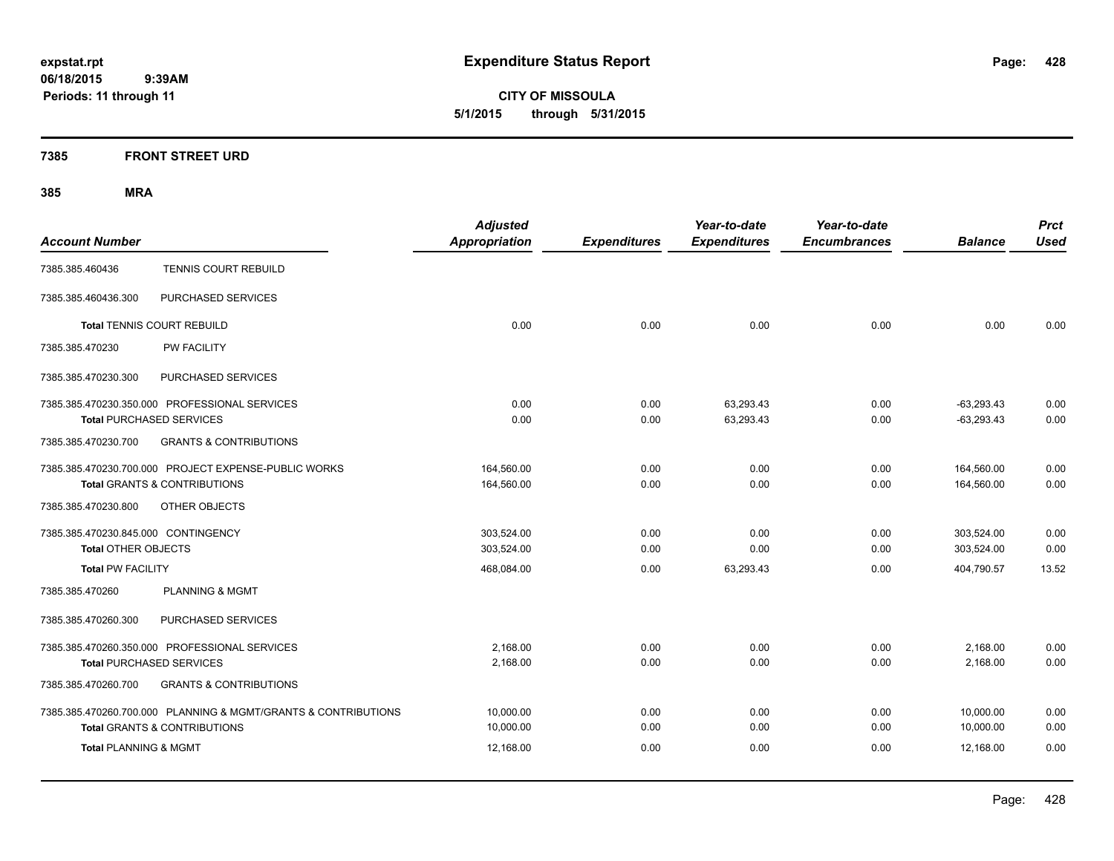**CITY OF MISSOULA 5/1/2015 through 5/31/2015**

### **7385 FRONT STREET URD**

|                                                                | <b>Adjusted</b>      |                     | Year-to-date        | Year-to-date        |                | <b>Prct</b> |
|----------------------------------------------------------------|----------------------|---------------------|---------------------|---------------------|----------------|-------------|
| <b>Account Number</b>                                          | <b>Appropriation</b> | <b>Expenditures</b> | <b>Expenditures</b> | <b>Encumbrances</b> | <b>Balance</b> | <b>Used</b> |
| <b>TENNIS COURT REBUILD</b><br>7385.385.460436                 |                      |                     |                     |                     |                |             |
| 7385.385.460436.300<br>PURCHASED SERVICES                      |                      |                     |                     |                     |                |             |
| <b>Total TENNIS COURT REBUILD</b>                              | 0.00                 | 0.00                | 0.00                | 0.00                | 0.00           | 0.00        |
| PW FACILITY<br>7385.385.470230                                 |                      |                     |                     |                     |                |             |
| PURCHASED SERVICES<br>7385.385.470230.300                      |                      |                     |                     |                     |                |             |
| 7385.385.470230.350.000 PROFESSIONAL SERVICES                  | 0.00                 | 0.00                | 63,293.43           | 0.00                | $-63,293.43$   | 0.00        |
| <b>Total PURCHASED SERVICES</b>                                | 0.00                 | 0.00                | 63,293.43           | 0.00                | $-63,293.43$   | 0.00        |
| 7385.385.470230.700<br><b>GRANTS &amp; CONTRIBUTIONS</b>       |                      |                     |                     |                     |                |             |
| 7385.385.470230.700.000 PROJECT EXPENSE-PUBLIC WORKS           | 164,560.00           | 0.00                | 0.00                | 0.00                | 164,560.00     | 0.00        |
| <b>Total GRANTS &amp; CONTRIBUTIONS</b>                        | 164,560.00           | 0.00                | 0.00                | 0.00                | 164,560.00     | 0.00        |
| 7385.385.470230.800<br>OTHER OBJECTS                           |                      |                     |                     |                     |                |             |
| 7385.385.470230.845.000 CONTINGENCY                            | 303,524.00           | 0.00                | 0.00                | 0.00                | 303,524.00     | 0.00        |
| <b>Total OTHER OBJECTS</b>                                     | 303,524.00           | 0.00                | 0.00                | 0.00                | 303,524.00     | 0.00        |
| <b>Total PW FACILITY</b>                                       | 468,084.00           | 0.00                | 63,293.43           | 0.00                | 404.790.57     | 13.52       |
| 7385.385.470260<br>PLANNING & MGMT                             |                      |                     |                     |                     |                |             |
| 7385.385.470260.300<br>PURCHASED SERVICES                      |                      |                     |                     |                     |                |             |
| 7385.385.470260.350.000 PROFESSIONAL SERVICES                  | 2,168.00             | 0.00                | 0.00                | 0.00                | 2,168.00       | 0.00        |
| <b>Total PURCHASED SERVICES</b>                                | 2,168.00             | 0.00                | 0.00                | 0.00                | 2,168.00       | 0.00        |
| 7385.385.470260.700<br><b>GRANTS &amp; CONTRIBUTIONS</b>       |                      |                     |                     |                     |                |             |
| 7385.385.470260.700.000 PLANNING & MGMT/GRANTS & CONTRIBUTIONS | 10,000.00            | 0.00                | 0.00                | 0.00                | 10,000.00      | 0.00        |
| <b>Total GRANTS &amp; CONTRIBUTIONS</b>                        | 10,000.00            | 0.00                | 0.00                | 0.00                | 10,000.00      | 0.00        |
| <b>Total PLANNING &amp; MGMT</b>                               | 12,168.00            | 0.00                | 0.00                | 0.00                | 12,168.00      | 0.00        |
|                                                                |                      |                     |                     |                     |                |             |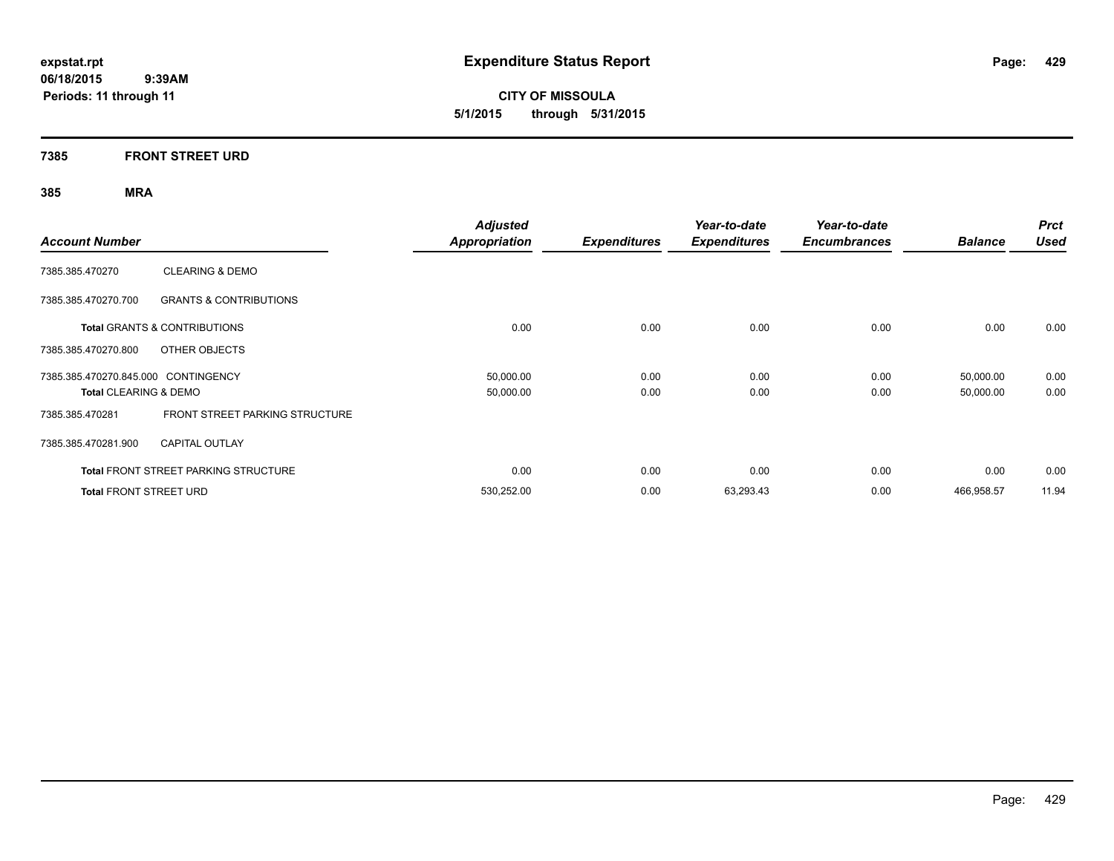**CITY OF MISSOULA 5/1/2015 through 5/31/2015**

### **7385 FRONT STREET URD**

| <b>Account Number</b>                                                   |                                             | <b>Adjusted</b><br><b>Appropriation</b> | <b>Expenditures</b> | Year-to-date<br><b>Expenditures</b> | Year-to-date<br><b>Encumbrances</b> | <b>Balance</b>         | <b>Prct</b><br><b>Used</b> |
|-------------------------------------------------------------------------|---------------------------------------------|-----------------------------------------|---------------------|-------------------------------------|-------------------------------------|------------------------|----------------------------|
| 7385.385.470270                                                         | <b>CLEARING &amp; DEMO</b>                  |                                         |                     |                                     |                                     |                        |                            |
| 7385.385.470270.700                                                     | <b>GRANTS &amp; CONTRIBUTIONS</b>           |                                         |                     |                                     |                                     |                        |                            |
|                                                                         | <b>Total GRANTS &amp; CONTRIBUTIONS</b>     | 0.00                                    | 0.00                | 0.00                                | 0.00                                | 0.00                   | 0.00                       |
| 7385.385.470270.800                                                     | OTHER OBJECTS                               |                                         |                     |                                     |                                     |                        |                            |
| 7385.385.470270.845.000 CONTINGENCY<br><b>Total CLEARING &amp; DEMO</b> |                                             | 50,000.00<br>50,000.00                  | 0.00<br>0.00        | 0.00<br>0.00                        | 0.00<br>0.00                        | 50,000.00<br>50,000.00 | 0.00<br>0.00               |
| 7385.385.470281                                                         | FRONT STREET PARKING STRUCTURE              |                                         |                     |                                     |                                     |                        |                            |
| 7385.385.470281.900                                                     | <b>CAPITAL OUTLAY</b>                       |                                         |                     |                                     |                                     |                        |                            |
|                                                                         | <b>Total FRONT STREET PARKING STRUCTURE</b> | 0.00                                    | 0.00                | 0.00                                | 0.00                                | 0.00                   | 0.00                       |
| <b>Total FRONT STREET URD</b>                                           |                                             | 530,252.00                              | 0.00                | 63,293.43                           | 0.00                                | 466,958.57             | 11.94                      |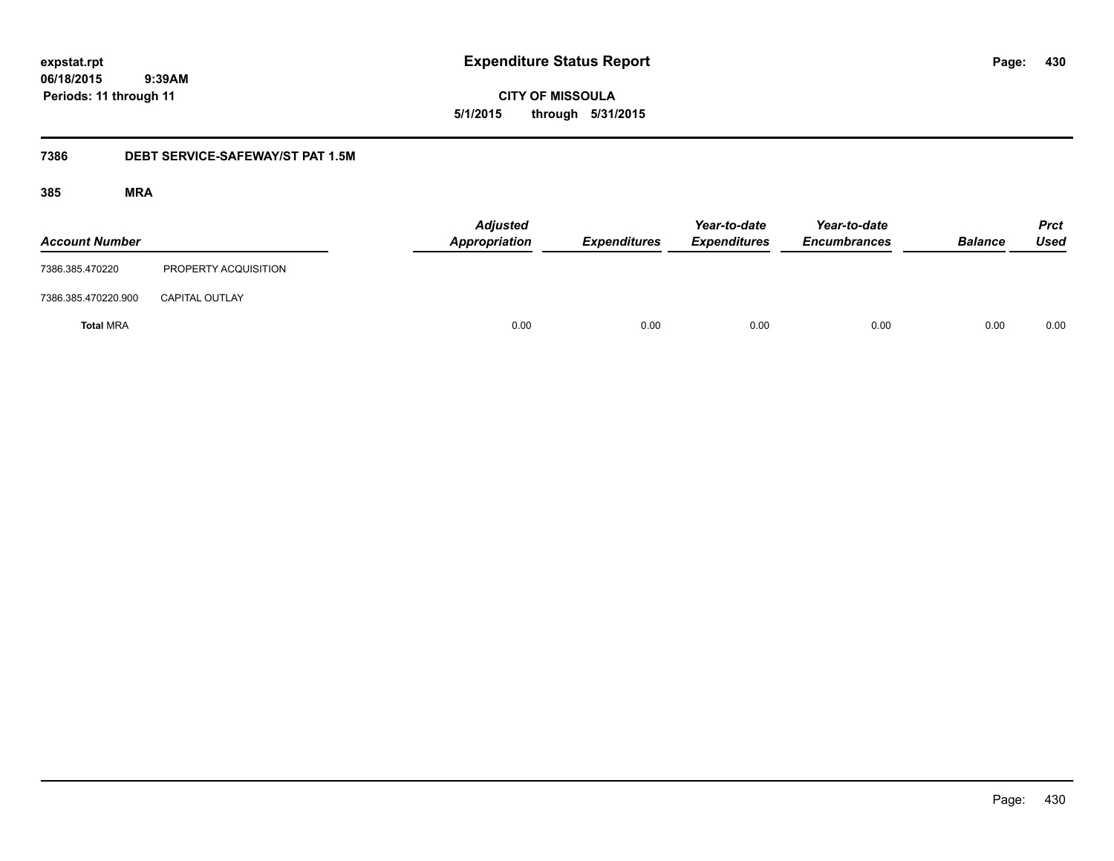**CITY OF MISSOULA 5/1/2015 through 5/31/2015**

### **7386 DEBT SERVICE-SAFEWAY/ST PAT 1.5M**

| <b>Account Number</b> |                       | <b>Adjusted</b><br><b>Appropriation</b> | <b>Expenditures</b> | Year-to-date<br><b>Expenditures</b> | Year-to-date<br><b>Encumbrances</b> | <b>Balance</b> | <b>Prct</b><br><b>Used</b> |
|-----------------------|-----------------------|-----------------------------------------|---------------------|-------------------------------------|-------------------------------------|----------------|----------------------------|
| 7386.385.470220       | PROPERTY ACQUISITION  |                                         |                     |                                     |                                     |                |                            |
| 7386.385.470220.900   | <b>CAPITAL OUTLAY</b> |                                         |                     |                                     |                                     |                |                            |
| <b>Total MRA</b>      |                       | 0.00                                    | 0.00                | 0.00                                | 0.00                                | 0.00           | 0.00                       |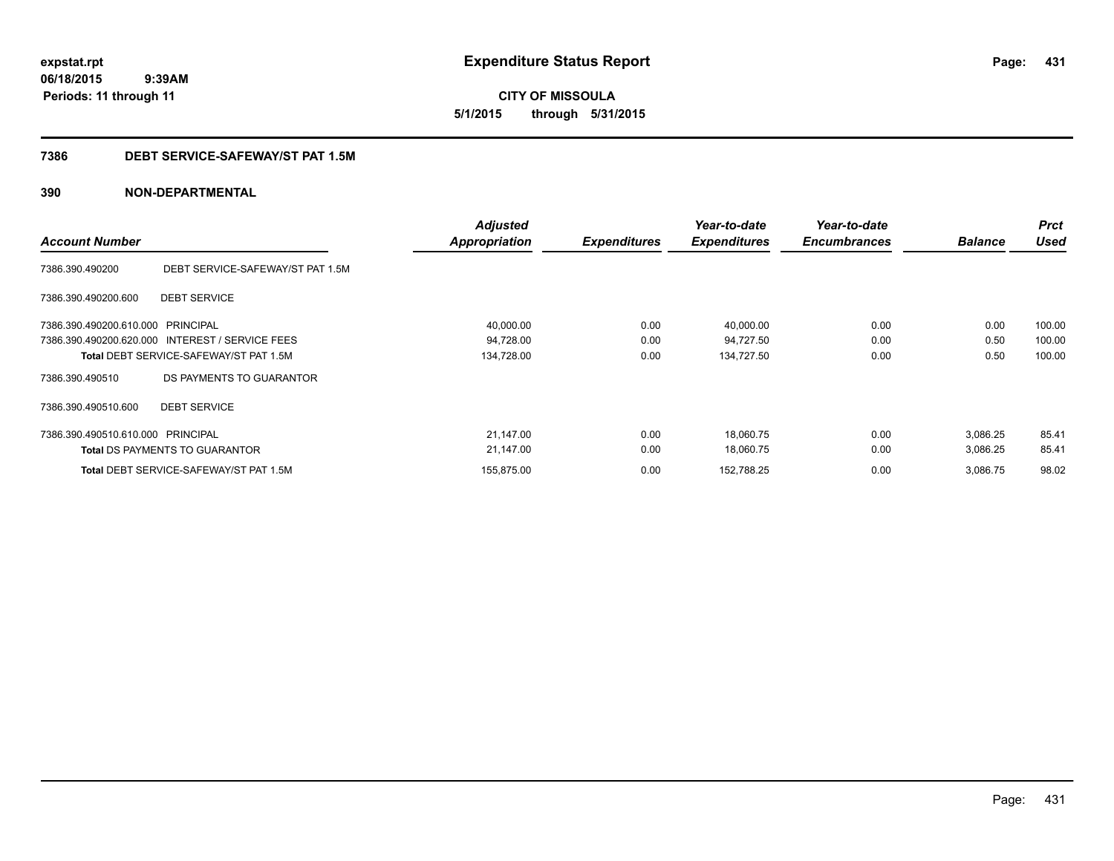**CITY OF MISSOULA 5/1/2015 through 5/31/2015**

#### **7386 DEBT SERVICE-SAFEWAY/ST PAT 1.5M**

### **390 NON-DEPARTMENTAL**

| <b>Account Number</b>             |                                                 | <b>Adjusted</b><br>Appropriation | <b>Expenditures</b> | Year-to-date<br><b>Expenditures</b> | Year-to-date<br><b>Encumbrances</b> | <b>Balance</b> | <b>Prct</b><br><b>Used</b> |
|-----------------------------------|-------------------------------------------------|----------------------------------|---------------------|-------------------------------------|-------------------------------------|----------------|----------------------------|
| 7386.390.490200                   | DEBT SERVICE-SAFEWAY/ST PAT 1.5M                |                                  |                     |                                     |                                     |                |                            |
| 7386.390.490200.600               | <b>DEBT SERVICE</b>                             |                                  |                     |                                     |                                     |                |                            |
| 7386.390.490200.610.000 PRINCIPAL |                                                 | 40,000.00                        | 0.00                | 40,000.00                           | 0.00                                | 0.00           | 100.00                     |
|                                   | 7386.390.490200.620.000 INTEREST / SERVICE FEES | 94,728.00                        | 0.00                | 94,727.50                           | 0.00                                | 0.50           | 100.00                     |
|                                   | <b>Total DEBT SERVICE-SAFEWAY/ST PAT 1.5M</b>   | 134,728.00                       | 0.00                | 134,727.50                          | 0.00                                | 0.50           | 100.00                     |
| 7386.390.490510                   | DS PAYMENTS TO GUARANTOR                        |                                  |                     |                                     |                                     |                |                            |
| 7386.390.490510.600               | <b>DEBT SERVICE</b>                             |                                  |                     |                                     |                                     |                |                            |
| 7386.390.490510.610.000 PRINCIPAL |                                                 | 21,147.00                        | 0.00                | 18,060.75                           | 0.00                                | 3,086.25       | 85.41                      |
|                                   | <b>Total DS PAYMENTS TO GUARANTOR</b>           | 21,147.00                        | 0.00                | 18,060.75                           | 0.00                                | 3,086.25       | 85.41                      |
|                                   | Total DEBT SERVICE-SAFEWAY/ST PAT 1.5M          | 155.875.00                       | 0.00                | 152,788.25                          | 0.00                                | 3,086.75       | 98.02                      |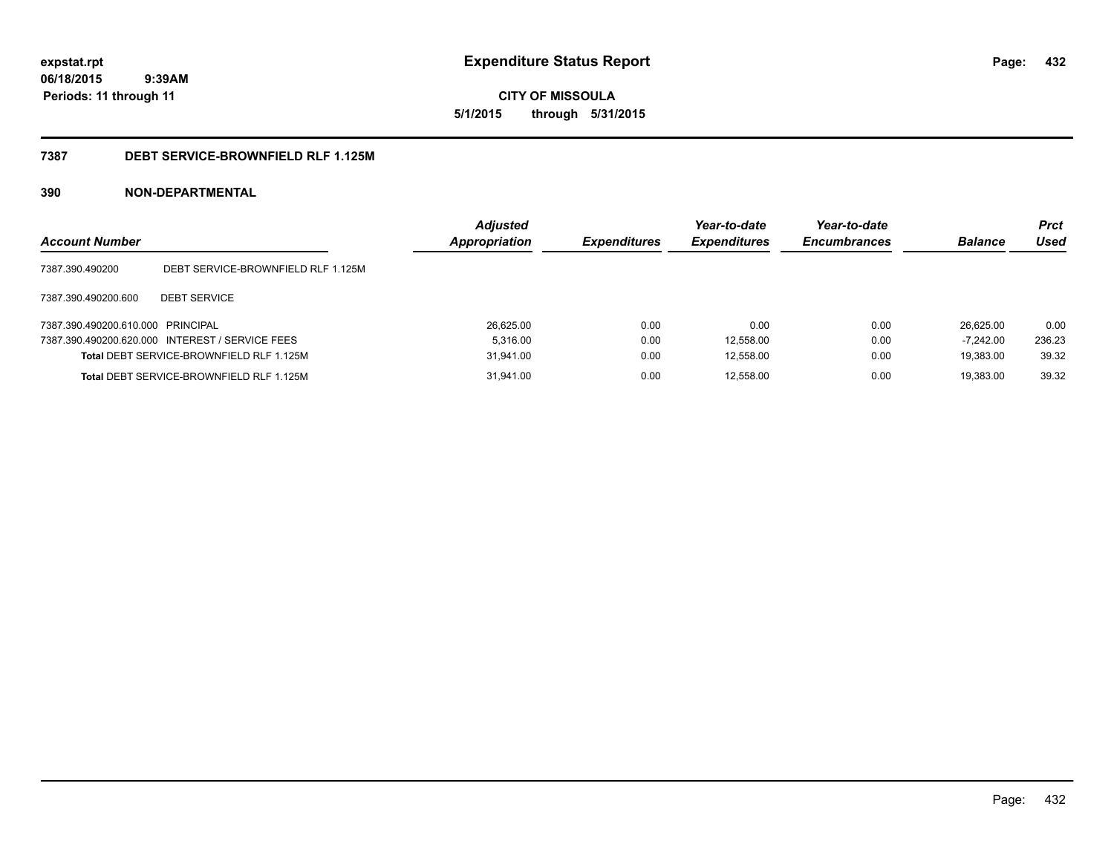**CITY OF MISSOULA 5/1/2015 through 5/31/2015**

#### **7387 DEBT SERVICE-BROWNFIELD RLF 1.125M**

### **390 NON-DEPARTMENTAL**

| <b>Account Number</b>             |                                                 | <b>Adjusted</b><br><b>Appropriation</b> | <b>Expenditures</b> | Year-to-date<br><b>Expenditures</b> | Year-to-date<br><b>Encumbrances</b> | <b>Balance</b> | <b>Prct</b><br>Used |
|-----------------------------------|-------------------------------------------------|-----------------------------------------|---------------------|-------------------------------------|-------------------------------------|----------------|---------------------|
| 7387.390.490200                   | DEBT SERVICE-BROWNFIELD RLF 1.125M              |                                         |                     |                                     |                                     |                |                     |
| 7387.390.490200.600               | <b>DEBT SERVICE</b>                             |                                         |                     |                                     |                                     |                |                     |
| 7387.390.490200.610.000 PRINCIPAL |                                                 | 26.625.00                               | 0.00                | 0.00                                | 0.00                                | 26.625.00      | 0.00                |
|                                   | 7387.390.490200.620.000 INTEREST / SERVICE FEES | 5.316.00                                | 0.00                | 12,558.00                           | 0.00                                | $-7,242.00$    | 236.23              |
|                                   | Total DEBT SERVICE-BROWNFIELD RLF 1.125M        | 31.941.00                               | 0.00                | 12,558.00                           | 0.00                                | 19.383.00      | 39.32               |
|                                   | Total DEBT SERVICE-BROWNFIELD RLF 1.125M        | 31,941.00                               | 0.00                | 12,558.00                           | 0.00                                | 19.383.00      | 39.32               |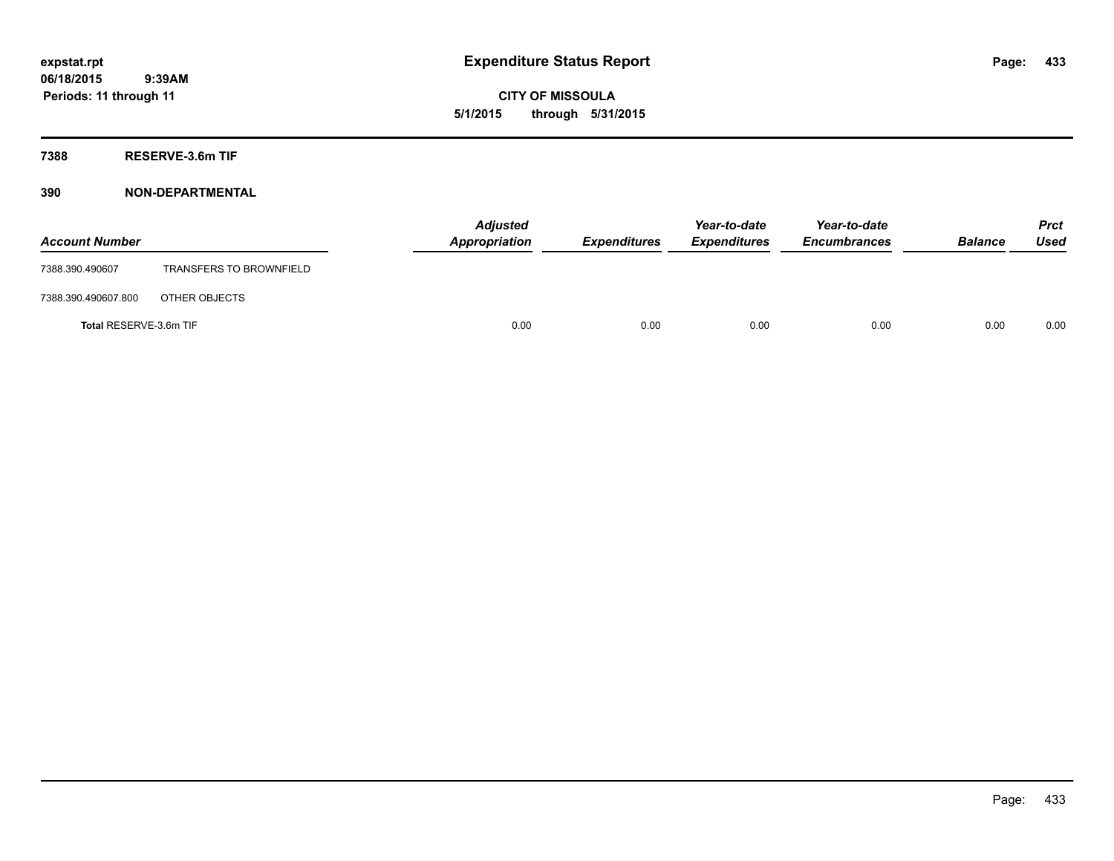**CITY OF MISSOULA 5/1/2015 through 5/31/2015**

**7388 RESERVE-3.6m TIF**

| <b>Account Number</b>  |                                | <b>Adjusted</b><br>Appropriation | <b>Expenditures</b> | Year-to-date<br><b>Expenditures</b> | Year-to-date<br><b>Encumbrances</b> | <b>Balance</b> | Prct<br><b>Used</b> |
|------------------------|--------------------------------|----------------------------------|---------------------|-------------------------------------|-------------------------------------|----------------|---------------------|
| 7388.390.490607        | <b>TRANSFERS TO BROWNFIELD</b> |                                  |                     |                                     |                                     |                |                     |
| 7388.390.490607.800    | OTHER OBJECTS                  |                                  |                     |                                     |                                     |                |                     |
| Total RESERVE-3.6m TIF |                                | 0.00                             | 0.00                | 0.00                                | 0.00                                | 0.00           | 0.00                |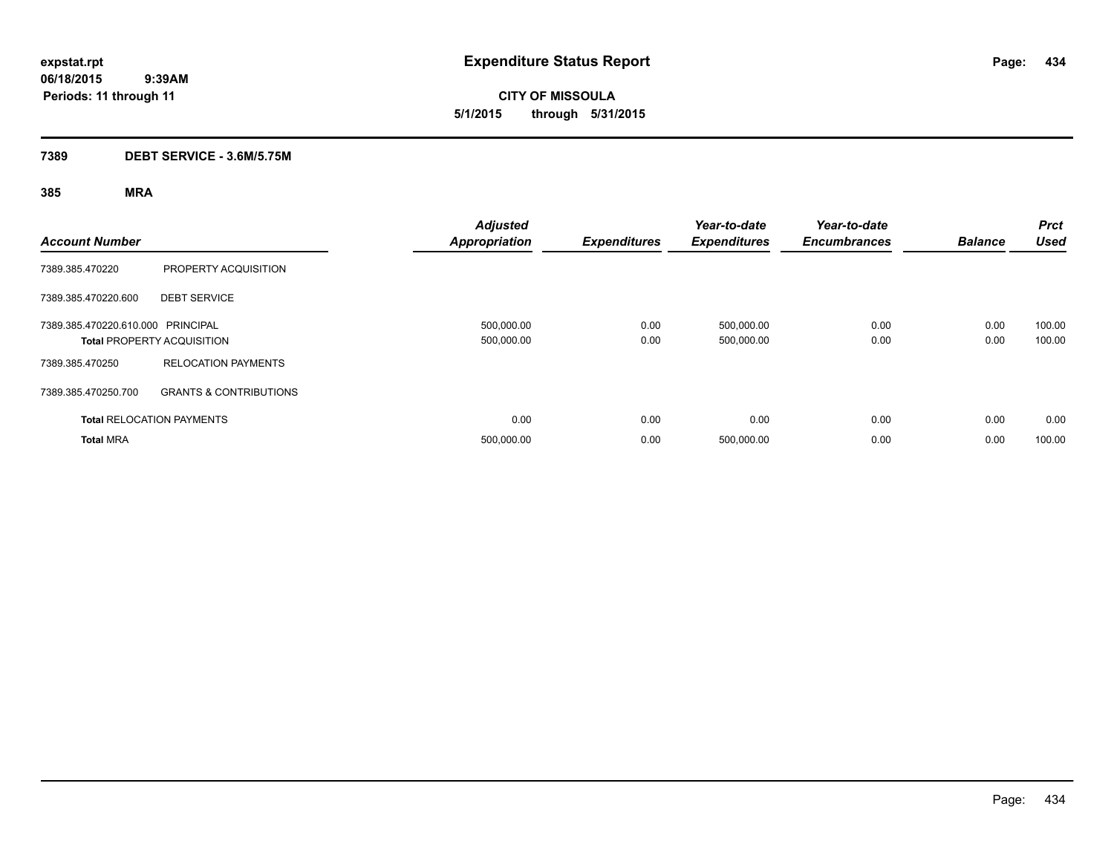**CITY OF MISSOULA 5/1/2015 through 5/31/2015**

# **7389 DEBT SERVICE - 3.6M/5.75M**

| <b>Account Number</b>             |                                   | <b>Adjusted</b><br><b>Appropriation</b> | <b>Expenditures</b> | Year-to-date<br><b>Expenditures</b> | Year-to-date<br><b>Encumbrances</b> | <b>Balance</b> | <b>Prct</b><br><b>Used</b> |
|-----------------------------------|-----------------------------------|-----------------------------------------|---------------------|-------------------------------------|-------------------------------------|----------------|----------------------------|
| 7389.385.470220                   | PROPERTY ACQUISITION              |                                         |                     |                                     |                                     |                |                            |
| 7389.385.470220.600               | <b>DEBT SERVICE</b>               |                                         |                     |                                     |                                     |                |                            |
| 7389.385.470220.610.000 PRINCIPAL | <b>Total PROPERTY ACQUISITION</b> | 500,000.00<br>500,000.00                | 0.00<br>0.00        | 500,000.00<br>500,000.00            | 0.00<br>0.00                        | 0.00<br>0.00   | 100.00<br>100.00           |
| 7389.385.470250                   | <b>RELOCATION PAYMENTS</b>        |                                         |                     |                                     |                                     |                |                            |
| 7389.385.470250.700               | <b>GRANTS &amp; CONTRIBUTIONS</b> |                                         |                     |                                     |                                     |                |                            |
|                                   | <b>Total RELOCATION PAYMENTS</b>  | 0.00                                    | 0.00                | 0.00                                | 0.00                                | 0.00           | 0.00                       |
| <b>Total MRA</b>                  |                                   | 500,000.00                              | 0.00                | 500,000.00                          | 0.00                                | 0.00           | 100.00                     |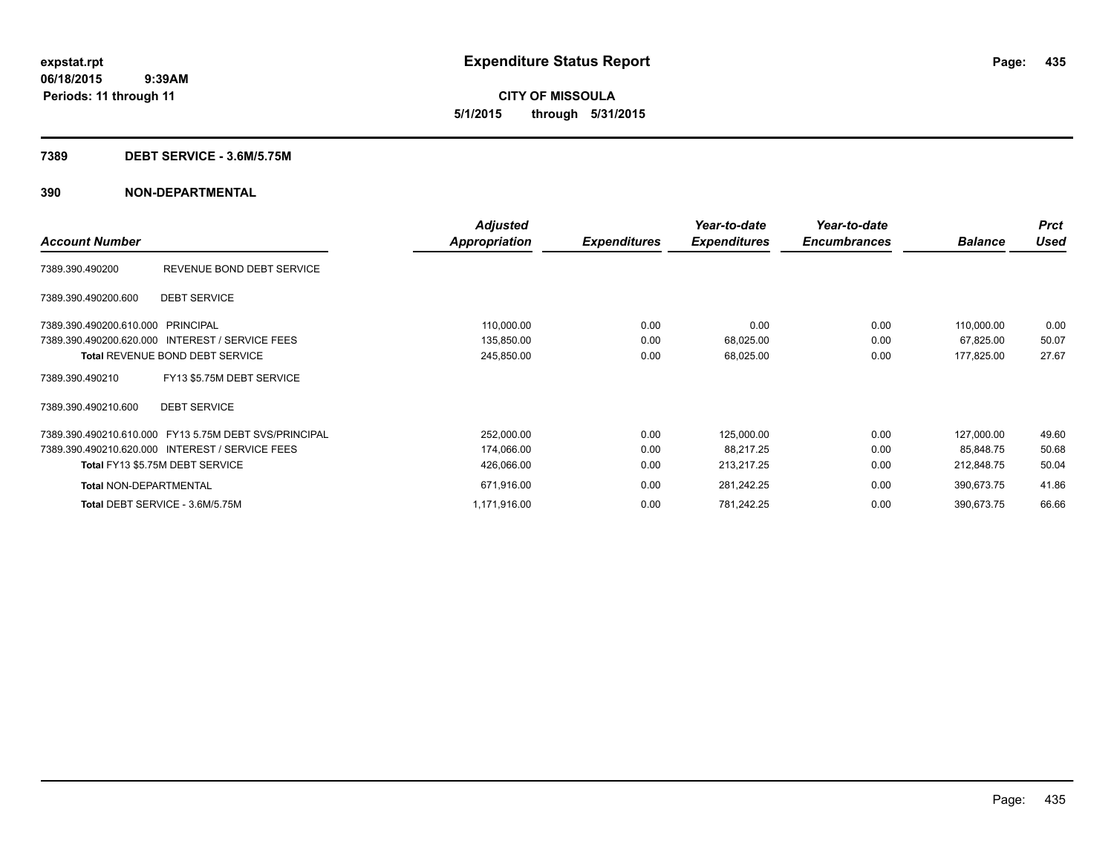**CITY OF MISSOULA 5/1/2015 through 5/31/2015**

## **7389 DEBT SERVICE - 3.6M/5.75M**

|                                                       | <b>Adjusted</b> |                     | Year-to-date        | Year-to-date        |                | <b>Prct</b> |
|-------------------------------------------------------|-----------------|---------------------|---------------------|---------------------|----------------|-------------|
| <b>Account Number</b>                                 | Appropriation   | <b>Expenditures</b> | <b>Expenditures</b> | <b>Encumbrances</b> | <b>Balance</b> | Used        |
| REVENUE BOND DEBT SERVICE<br>7389.390.490200          |                 |                     |                     |                     |                |             |
| <b>DEBT SERVICE</b><br>7389.390.490200.600            |                 |                     |                     |                     |                |             |
| 7389.390.490200.610.000 PRINCIPAL                     | 110,000.00      | 0.00                | 0.00                | 0.00                | 110,000.00     | 0.00        |
| 7389.390.490200.620.000 INTEREST / SERVICE FEES       | 135,850.00      | 0.00                | 68,025.00           | 0.00                | 67,825.00      | 50.07       |
| <b>Total REVENUE BOND DEBT SERVICE</b>                | 245,850.00      | 0.00                | 68,025.00           | 0.00                | 177,825.00     | 27.67       |
| FY13 \$5.75M DEBT SERVICE<br>7389.390.490210          |                 |                     |                     |                     |                |             |
| <b>DEBT SERVICE</b><br>7389.390.490210.600            |                 |                     |                     |                     |                |             |
| 7389.390.490210.610.000 FY13 5.75M DEBT SVS/PRINCIPAL | 252,000.00      | 0.00                | 125,000.00          | 0.00                | 127,000.00     | 49.60       |
| 7389.390.490210.620.000 INTEREST / SERVICE FEES       | 174,066.00      | 0.00                | 88,217.25           | 0.00                | 85,848.75      | 50.68       |
| Total FY13 \$5.75M DEBT SERVICE                       | 426,066.00      | 0.00                | 213,217.25          | 0.00                | 212,848.75     | 50.04       |
| <b>Total NON-DEPARTMENTAL</b>                         | 671,916.00      | 0.00                | 281,242.25          | 0.00                | 390,673.75     | 41.86       |
| Total DEBT SERVICE - 3.6M/5.75M                       | 1,171,916.00    | 0.00                | 781,242.25          | 0.00                | 390,673.75     | 66.66       |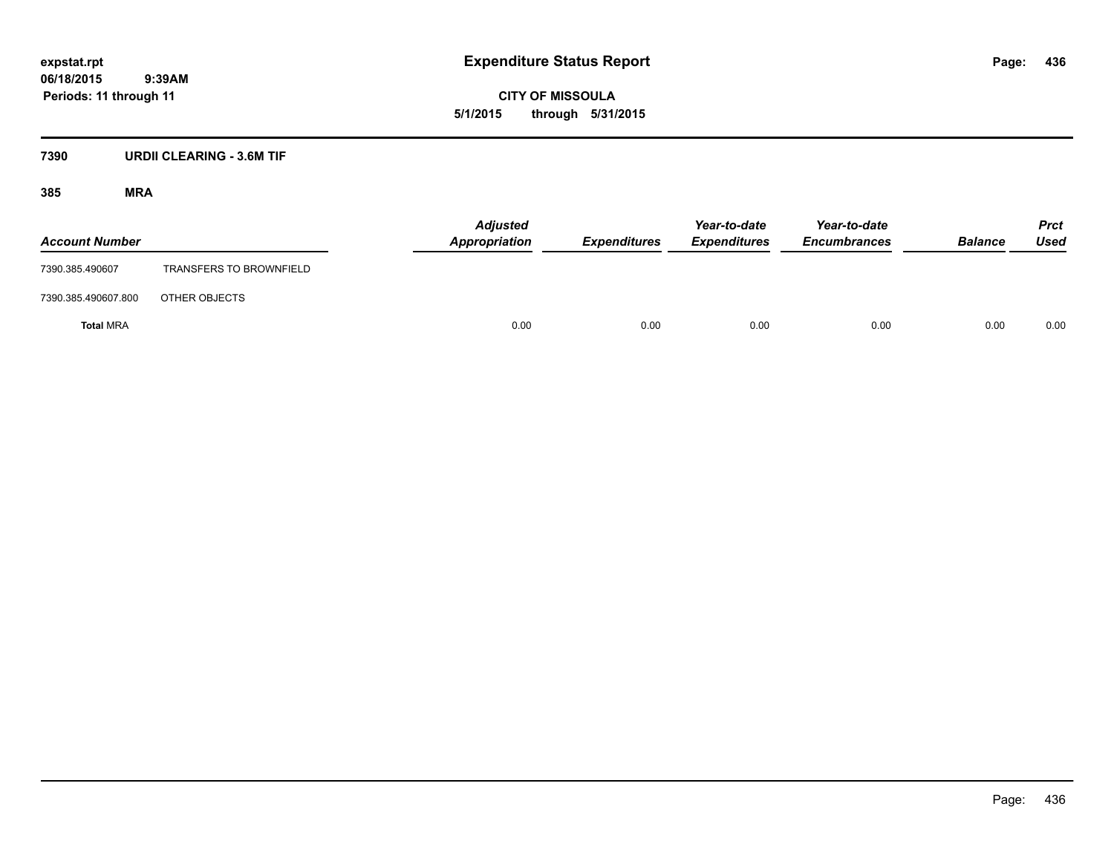**CITY OF MISSOULA 5/1/2015 through 5/31/2015**

# **7390 URDII CLEARING - 3.6M TIF**

| <b>Account Number</b> |                                | <b>Adjusted</b><br>Appropriation | <b>Expenditures</b> | Year-to-date<br><b>Expenditures</b> | Year-to-date<br><b>Encumbrances</b> | <b>Balance</b> | <b>Prct</b><br>Used |
|-----------------------|--------------------------------|----------------------------------|---------------------|-------------------------------------|-------------------------------------|----------------|---------------------|
| 7390.385.490607       | <b>TRANSFERS TO BROWNFIELD</b> |                                  |                     |                                     |                                     |                |                     |
| 7390.385.490607.800   | OTHER OBJECTS                  |                                  |                     |                                     |                                     |                |                     |
| <b>Total MRA</b>      |                                | 0.00                             | 0.00                | 0.00                                | 0.00                                | 0.00           | 0.00                |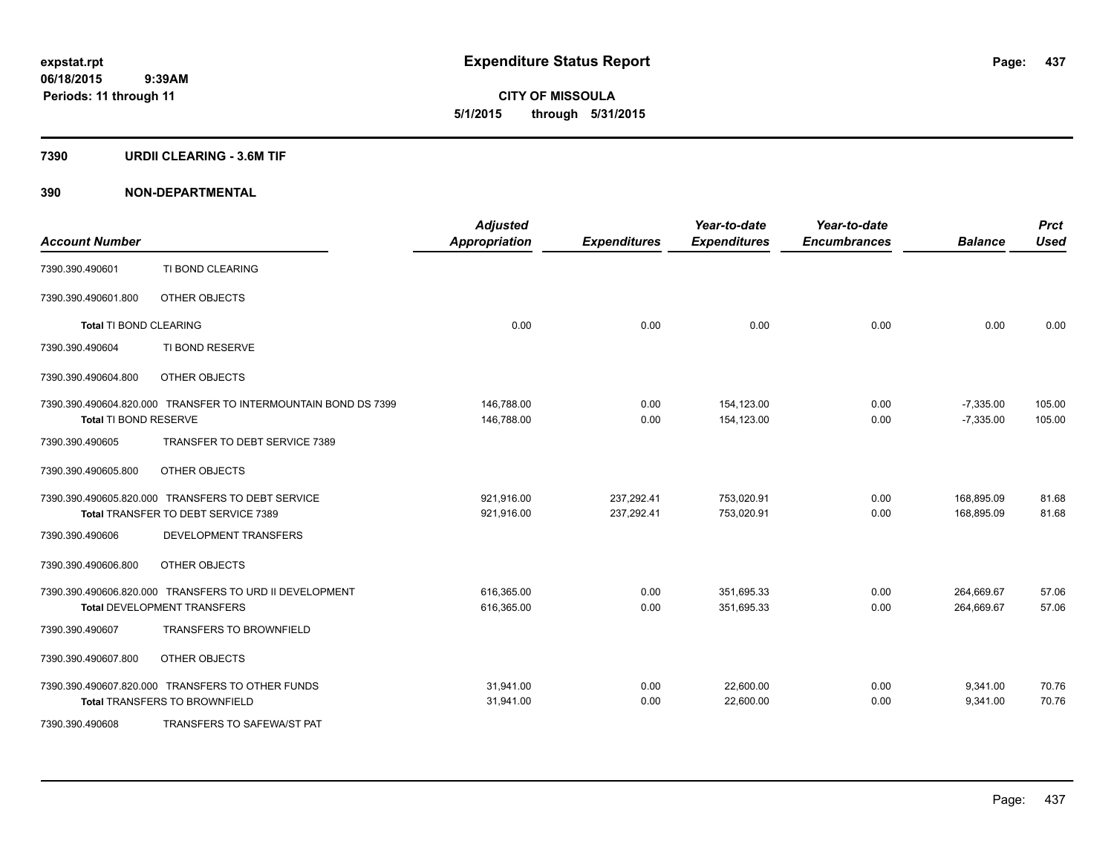**CITY OF MISSOULA 5/1/2015 through 5/31/2015**

## **7390 URDII CLEARING - 3.6M TIF**

| <b>Account Number</b>         |                                                                | <b>Adjusted</b><br><b>Appropriation</b> | <b>Expenditures</b> | Year-to-date<br><b>Expenditures</b> | Year-to-date<br><b>Encumbrances</b> | <b>Balance</b> | <b>Prct</b><br><b>Used</b> |
|-------------------------------|----------------------------------------------------------------|-----------------------------------------|---------------------|-------------------------------------|-------------------------------------|----------------|----------------------------|
| 7390.390.490601               | TI BOND CLEARING                                               |                                         |                     |                                     |                                     |                |                            |
| 7390.390.490601.800           | OTHER OBJECTS                                                  |                                         |                     |                                     |                                     |                |                            |
| <b>Total TI BOND CLEARING</b> |                                                                | 0.00                                    | 0.00                | 0.00                                | 0.00                                | 0.00           | 0.00                       |
| 7390.390.490604               | TI BOND RESERVE                                                |                                         |                     |                                     |                                     |                |                            |
| 7390.390.490604.800           | OTHER OBJECTS                                                  |                                         |                     |                                     |                                     |                |                            |
|                               | 7390.390.490604.820.000 TRANSFER TO INTERMOUNTAIN BOND DS 7399 | 146,788.00                              | 0.00                | 154,123.00                          | 0.00                                | $-7,335.00$    | 105.00                     |
| Total TI BOND RESERVE         |                                                                | 146,788.00                              | 0.00                | 154,123.00                          | 0.00                                | $-7,335.00$    | 105.00                     |
| 7390.390.490605               | TRANSFER TO DEBT SERVICE 7389                                  |                                         |                     |                                     |                                     |                |                            |
| 7390.390.490605.800           | OTHER OBJECTS                                                  |                                         |                     |                                     |                                     |                |                            |
|                               | 7390.390.490605.820.000 TRANSFERS TO DEBT SERVICE              | 921,916.00                              | 237,292.41          | 753,020.91                          | 0.00                                | 168,895.09     | 81.68                      |
|                               | Total TRANSFER TO DEBT SERVICE 7389                            | 921,916.00                              | 237,292.41          | 753,020.91                          | 0.00                                | 168,895.09     | 81.68                      |
| 7390.390.490606               | DEVELOPMENT TRANSFERS                                          |                                         |                     |                                     |                                     |                |                            |
| 7390.390.490606.800           | OTHER OBJECTS                                                  |                                         |                     |                                     |                                     |                |                            |
|                               | 7390.390.490606.820.000 TRANSFERS TO URD II DEVELOPMENT        | 616,365.00                              | 0.00                | 351,695.33                          | 0.00                                | 264,669.67     | 57.06                      |
|                               | <b>Total DEVELOPMENT TRANSFERS</b>                             | 616,365.00                              | 0.00                | 351,695.33                          | 0.00                                | 264,669.67     | 57.06                      |
| 7390.390.490607               | <b>TRANSFERS TO BROWNFIELD</b>                                 |                                         |                     |                                     |                                     |                |                            |
| 7390.390.490607.800           | OTHER OBJECTS                                                  |                                         |                     |                                     |                                     |                |                            |
|                               | 7390.390.490607.820.000 TRANSFERS TO OTHER FUNDS               | 31,941.00                               | 0.00                | 22,600.00                           | 0.00                                | 9,341.00       | 70.76                      |
|                               | <b>Total TRANSFERS TO BROWNFIELD</b>                           | 31,941.00                               | 0.00                | 22,600.00                           | 0.00                                | 9,341.00       | 70.76                      |
| 7390.390.490608               | TRANSFERS TO SAFEWA/ST PAT                                     |                                         |                     |                                     |                                     |                |                            |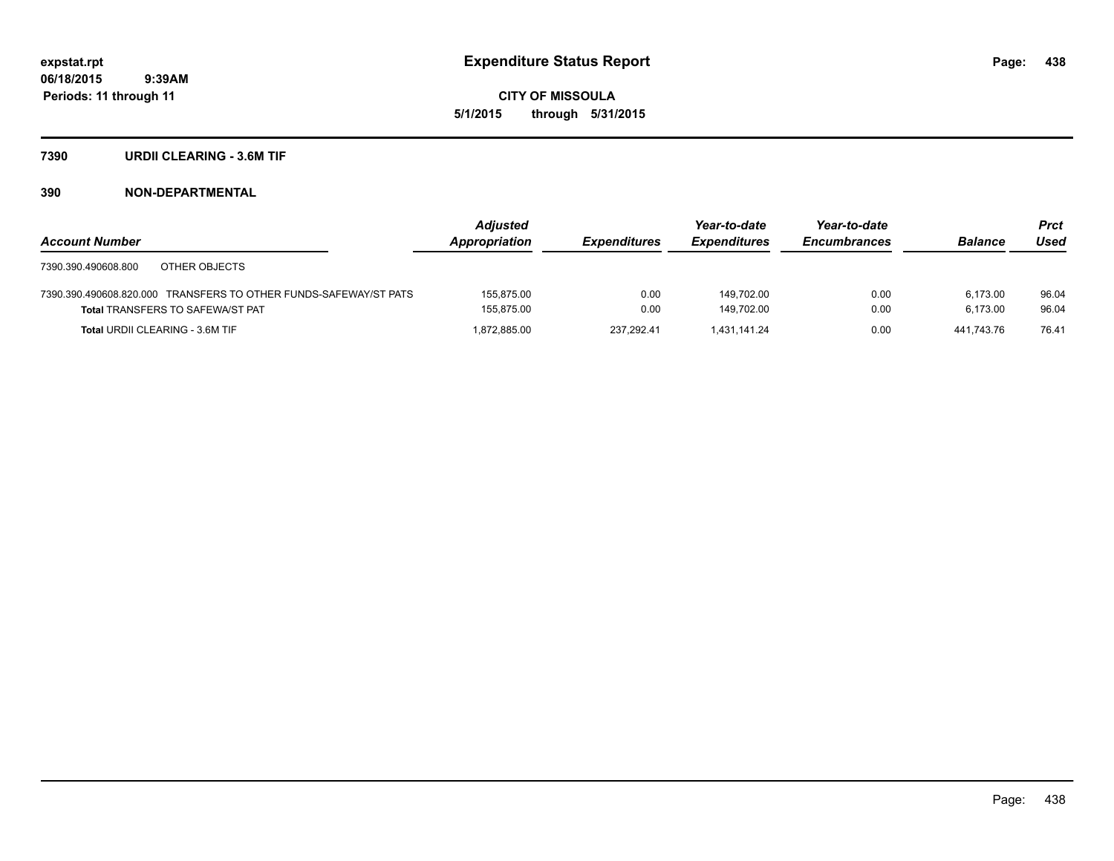**CITY OF MISSOULA 5/1/2015 through 5/31/2015**

## **7390 URDII CLEARING - 3.6M TIF**

|                                                                  | <b>Adjusted</b> |                     | Year-to-date        | Year-to-date        |                | Prct  |
|------------------------------------------------------------------|-----------------|---------------------|---------------------|---------------------|----------------|-------|
| <b>Account Number</b>                                            | Appropriation   | <b>Expenditures</b> | <b>Expenditures</b> | <b>Encumbrances</b> | <b>Balance</b> | Used  |
| 7390.390.490608.800<br>OTHER OBJECTS                             |                 |                     |                     |                     |                |       |
| 7390.390.490608.820.000 TRANSFERS TO OTHER FUNDS-SAFEWAY/ST PATS | 155.875.00      | 0.00                | 149.702.00          | 0.00                | 6.173.00       | 96.04 |
| <b>Total TRANSFERS TO SAFEWA/ST PAT</b>                          | 155.875.00      | 0.00                | 149.702.00          | 0.00                | 6.173.00       | 96.04 |
| <b>Total URDII CLEARING - 3.6M TIF</b>                           | 1.872.885.00    | 237.292.41          | 1.431.141.24        | 0.00                | 441.743.76     | 76.41 |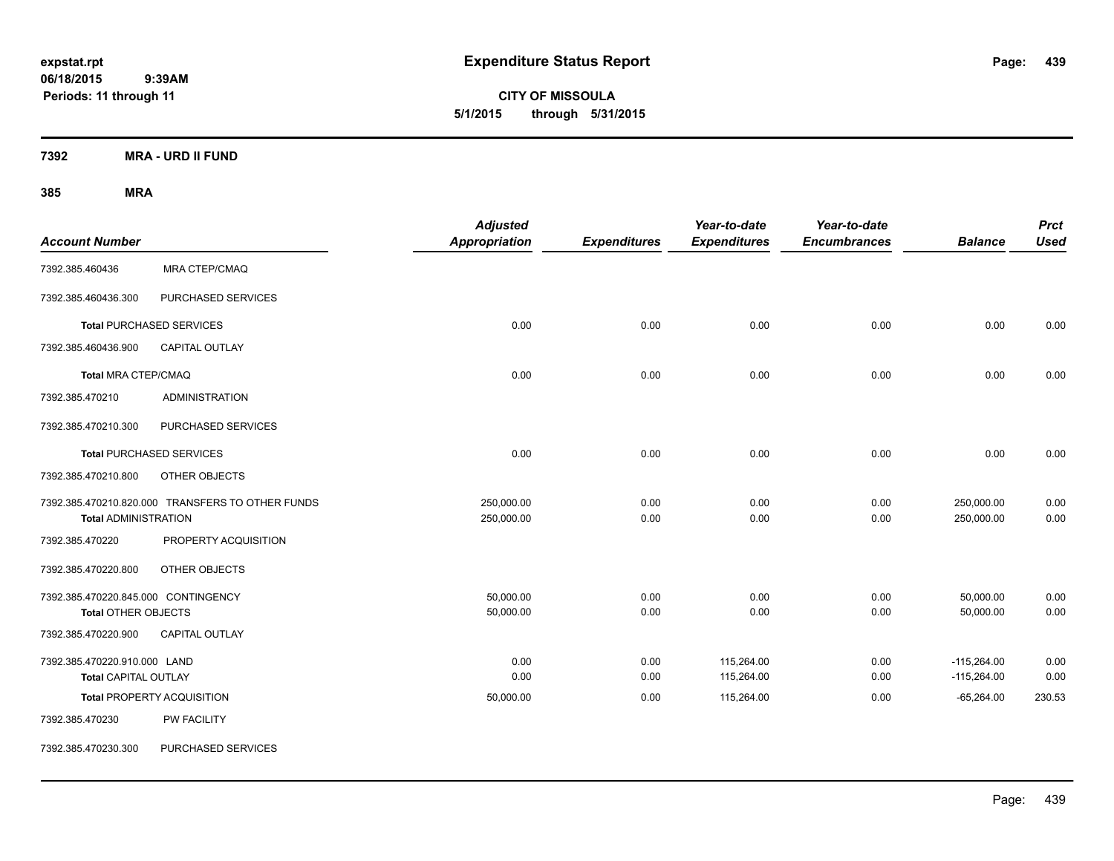**CITY OF MISSOULA 5/1/2015 through 5/31/2015**

**7392 MRA - URD II FUND**

| <b>Account Number</b>                                             |                                                  | <b>Adjusted</b><br><b>Appropriation</b> | <b>Expenditures</b> | Year-to-date<br><b>Expenditures</b> | Year-to-date<br><b>Encumbrances</b> | <b>Balance</b>                 | <b>Prct</b><br><b>Used</b> |
|-------------------------------------------------------------------|--------------------------------------------------|-----------------------------------------|---------------------|-------------------------------------|-------------------------------------|--------------------------------|----------------------------|
| 7392.385.460436                                                   | MRA CTEP/CMAQ                                    |                                         |                     |                                     |                                     |                                |                            |
| 7392.385.460436.300                                               | PURCHASED SERVICES                               |                                         |                     |                                     |                                     |                                |                            |
|                                                                   | <b>Total PURCHASED SERVICES</b>                  | 0.00                                    | 0.00                | 0.00                                | 0.00                                | 0.00                           | 0.00                       |
| 7392.385.460436.900                                               | CAPITAL OUTLAY                                   |                                         |                     |                                     |                                     |                                |                            |
| <b>Total MRA CTEP/CMAQ</b>                                        |                                                  | 0.00                                    | 0.00                | 0.00                                | 0.00                                | 0.00                           | 0.00                       |
| 7392.385.470210                                                   | <b>ADMINISTRATION</b>                            |                                         |                     |                                     |                                     |                                |                            |
| 7392.385.470210.300                                               | PURCHASED SERVICES                               |                                         |                     |                                     |                                     |                                |                            |
|                                                                   | <b>Total PURCHASED SERVICES</b>                  | 0.00                                    | 0.00                | 0.00                                | 0.00                                | 0.00                           | 0.00                       |
| 7392.385.470210.800                                               | OTHER OBJECTS                                    |                                         |                     |                                     |                                     |                                |                            |
| <b>Total ADMINISTRATION</b>                                       | 7392.385.470210.820.000 TRANSFERS TO OTHER FUNDS | 250,000.00<br>250,000.00                | 0.00<br>0.00        | 0.00<br>0.00                        | 0.00<br>0.00                        | 250,000.00<br>250,000.00       | 0.00<br>0.00               |
| 7392.385.470220                                                   | PROPERTY ACQUISITION                             |                                         |                     |                                     |                                     |                                |                            |
| 7392.385.470220.800                                               | OTHER OBJECTS                                    |                                         |                     |                                     |                                     |                                |                            |
| 7392.385.470220.845.000 CONTINGENCY<br><b>Total OTHER OBJECTS</b> |                                                  | 50,000.00<br>50,000.00                  | 0.00<br>0.00        | 0.00<br>0.00                        | 0.00<br>0.00                        | 50,000.00<br>50,000.00         | 0.00<br>0.00               |
| 7392.385.470220.900                                               | <b>CAPITAL OUTLAY</b>                            |                                         |                     |                                     |                                     |                                |                            |
| 7392.385.470220.910.000 LAND<br><b>Total CAPITAL OUTLAY</b>       |                                                  | 0.00<br>0.00                            | 0.00<br>0.00        | 115,264.00<br>115,264.00            | 0.00<br>0.00                        | $-115,264.00$<br>$-115,264.00$ | 0.00<br>0.00               |
|                                                                   | <b>Total PROPERTY ACQUISITION</b>                | 50,000.00                               | 0.00                | 115,264.00                          | 0.00                                | $-65,264.00$                   | 230.53                     |
| 7392.385.470230                                                   | PW FACILITY                                      |                                         |                     |                                     |                                     |                                |                            |
| 7392.385.470230.300                                               | PURCHASED SERVICES                               |                                         |                     |                                     |                                     |                                |                            |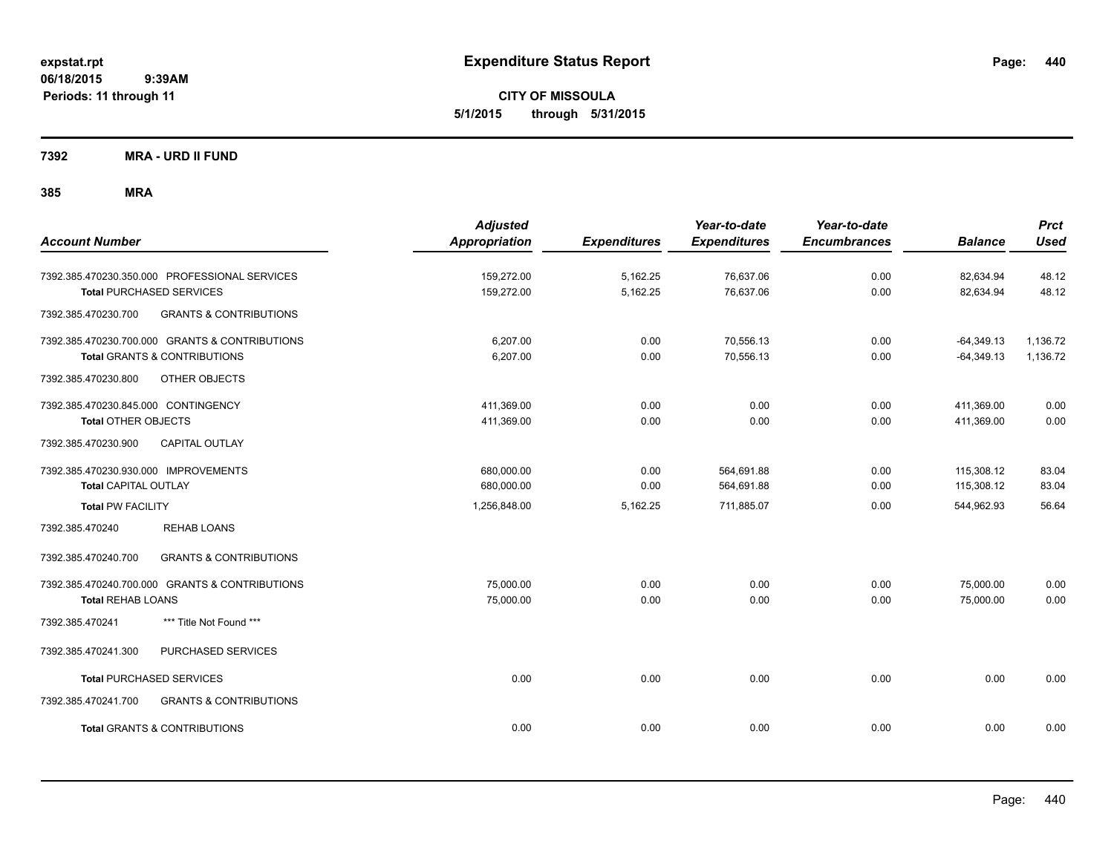**CITY OF MISSOULA 5/1/2015 through 5/31/2015**

**7392 MRA - URD II FUND**

| <b>Account Number</b>                                                                                             | <b>Adjusted</b><br><b>Appropriation</b> | <b>Expenditures</b>  | Year-to-date<br><b>Expenditures</b> | Year-to-date<br><b>Encumbrances</b> | <b>Balance</b>               | <b>Prct</b><br><b>Used</b> |
|-------------------------------------------------------------------------------------------------------------------|-----------------------------------------|----------------------|-------------------------------------|-------------------------------------|------------------------------|----------------------------|
| 7392.385.470230.350.000 PROFESSIONAL SERVICES<br><b>Total PURCHASED SERVICES</b>                                  | 159,272.00<br>159,272.00                | 5,162.25<br>5,162.25 | 76,637.06<br>76,637.06              | 0.00<br>0.00                        | 82,634.94<br>82,634.94       | 48.12<br>48.12             |
| <b>GRANTS &amp; CONTRIBUTIONS</b><br>7392.385.470230.700                                                          |                                         |                      |                                     |                                     |                              |                            |
| 7392.385.470230.700.000 GRANTS & CONTRIBUTIONS<br><b>Total GRANTS &amp; CONTRIBUTIONS</b>                         | 6.207.00<br>6,207.00                    | 0.00<br>0.00         | 70,556.13<br>70,556.13              | 0.00<br>0.00                        | $-64,349.13$<br>$-64,349.13$ | 1,136.72<br>1,136.72       |
| 7392.385.470230.800<br>OTHER OBJECTS                                                                              |                                         |                      |                                     |                                     |                              |                            |
| 7392.385.470230.845.000 CONTINGENCY<br><b>Total OTHER OBJECTS</b><br><b>CAPITAL OUTLAY</b><br>7392.385.470230.900 | 411,369.00<br>411,369.00                | 0.00<br>0.00         | 0.00<br>0.00                        | 0.00<br>0.00                        | 411,369.00<br>411,369.00     | 0.00<br>0.00               |
| 7392.385.470230.930.000 IMPROVEMENTS<br><b>Total CAPITAL OUTLAY</b>                                               | 680,000.00<br>680,000.00                | 0.00<br>0.00         | 564,691.88<br>564,691.88            | 0.00<br>0.00                        | 115,308.12<br>115,308.12     | 83.04<br>83.04             |
| <b>Total PW FACILITY</b>                                                                                          | 1,256,848.00                            | 5,162.25             | 711,885.07                          | 0.00                                | 544,962.93                   | 56.64                      |
| 7392.385.470240<br><b>REHAB LOANS</b>                                                                             |                                         |                      |                                     |                                     |                              |                            |
| <b>GRANTS &amp; CONTRIBUTIONS</b><br>7392.385.470240.700                                                          |                                         |                      |                                     |                                     |                              |                            |
| 7392.385.470240.700.000 GRANTS & CONTRIBUTIONS<br><b>Total REHAB LOANS</b>                                        | 75,000.00<br>75,000.00                  | 0.00<br>0.00         | 0.00<br>0.00                        | 0.00<br>0.00                        | 75,000.00<br>75,000.00       | 0.00<br>0.00               |
| *** Title Not Found ***<br>7392.385.470241                                                                        |                                         |                      |                                     |                                     |                              |                            |
| 7392.385.470241.300<br>PURCHASED SERVICES                                                                         |                                         |                      |                                     |                                     |                              |                            |
| <b>Total PURCHASED SERVICES</b>                                                                                   | 0.00                                    | 0.00                 | 0.00                                | 0.00                                | 0.00                         | 0.00                       |
| 7392.385.470241.700<br><b>GRANTS &amp; CONTRIBUTIONS</b>                                                          |                                         |                      |                                     |                                     |                              |                            |
| <b>Total GRANTS &amp; CONTRIBUTIONS</b>                                                                           | 0.00                                    | 0.00                 | 0.00                                | 0.00                                | 0.00                         | 0.00                       |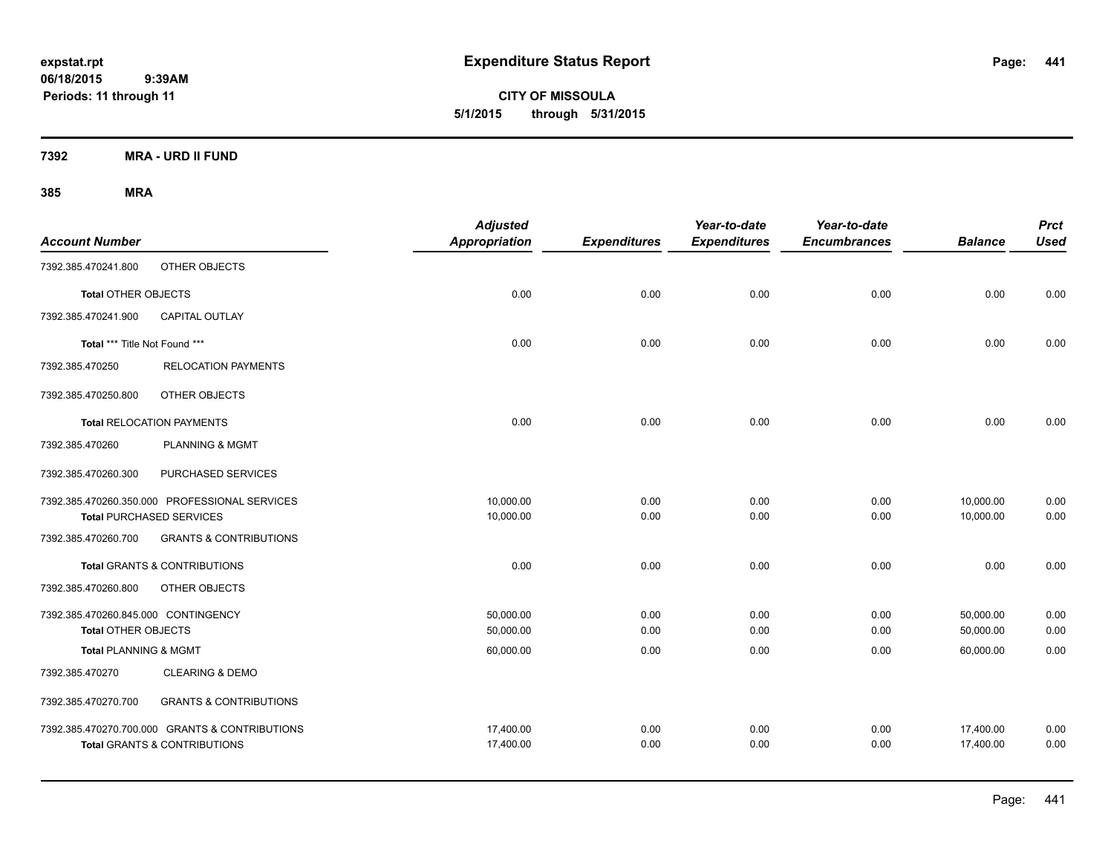**CITY OF MISSOULA 5/1/2015 through 5/31/2015**

**7392 MRA - URD II FUND**

| <b>Account Number</b>               |                                                | <b>Adjusted</b><br>Appropriation | <b>Expenditures</b> | Year-to-date<br><b>Expenditures</b> | Year-to-date<br><b>Encumbrances</b> | <b>Balance</b> | <b>Prct</b><br><b>Used</b> |
|-------------------------------------|------------------------------------------------|----------------------------------|---------------------|-------------------------------------|-------------------------------------|----------------|----------------------------|
| 7392.385.470241.800                 | OTHER OBJECTS                                  |                                  |                     |                                     |                                     |                |                            |
| <b>Total OTHER OBJECTS</b>          |                                                | 0.00                             | 0.00                | 0.00                                | 0.00                                | 0.00           | 0.00                       |
| 7392.385.470241.900                 | CAPITAL OUTLAY                                 |                                  |                     |                                     |                                     |                |                            |
| Total *** Title Not Found ***       |                                                | 0.00                             | 0.00                | 0.00                                | 0.00                                | 0.00           | 0.00                       |
| 7392.385.470250                     | <b>RELOCATION PAYMENTS</b>                     |                                  |                     |                                     |                                     |                |                            |
| 7392.385.470250.800                 | OTHER OBJECTS                                  |                                  |                     |                                     |                                     |                |                            |
|                                     | <b>Total RELOCATION PAYMENTS</b>               | 0.00                             | 0.00                | 0.00                                | 0.00                                | 0.00           | 0.00                       |
| 7392.385.470260                     | <b>PLANNING &amp; MGMT</b>                     |                                  |                     |                                     |                                     |                |                            |
| 7392.385.470260.300                 | PURCHASED SERVICES                             |                                  |                     |                                     |                                     |                |                            |
|                                     | 7392.385.470260.350.000 PROFESSIONAL SERVICES  | 10,000.00                        | 0.00                | 0.00                                | 0.00                                | 10,000.00      | 0.00                       |
|                                     | <b>Total PURCHASED SERVICES</b>                | 10,000.00                        | 0.00                | 0.00                                | 0.00                                | 10,000.00      | 0.00                       |
| 7392.385.470260.700                 | <b>GRANTS &amp; CONTRIBUTIONS</b>              |                                  |                     |                                     |                                     |                |                            |
|                                     | <b>Total GRANTS &amp; CONTRIBUTIONS</b>        | 0.00                             | 0.00                | 0.00                                | 0.00                                | 0.00           | 0.00                       |
| 7392.385.470260.800                 | OTHER OBJECTS                                  |                                  |                     |                                     |                                     |                |                            |
| 7392.385.470260.845.000 CONTINGENCY |                                                | 50,000.00                        | 0.00                | 0.00                                | 0.00                                | 50,000.00      | 0.00                       |
| <b>Total OTHER OBJECTS</b>          |                                                | 50,000.00                        | 0.00                | 0.00                                | 0.00                                | 50,000.00      | 0.00                       |
| <b>Total PLANNING &amp; MGMT</b>    |                                                | 60,000.00                        | 0.00                | 0.00                                | 0.00                                | 60,000.00      | 0.00                       |
| 7392.385.470270                     | <b>CLEARING &amp; DEMO</b>                     |                                  |                     |                                     |                                     |                |                            |
| 7392.385.470270.700                 | <b>GRANTS &amp; CONTRIBUTIONS</b>              |                                  |                     |                                     |                                     |                |                            |
|                                     | 7392.385.470270.700.000 GRANTS & CONTRIBUTIONS | 17,400.00                        | 0.00                | 0.00                                | 0.00                                | 17,400.00      | 0.00                       |
|                                     | <b>Total GRANTS &amp; CONTRIBUTIONS</b>        | 17,400.00                        | 0.00                | 0.00                                | 0.00                                | 17,400.00      | 0.00                       |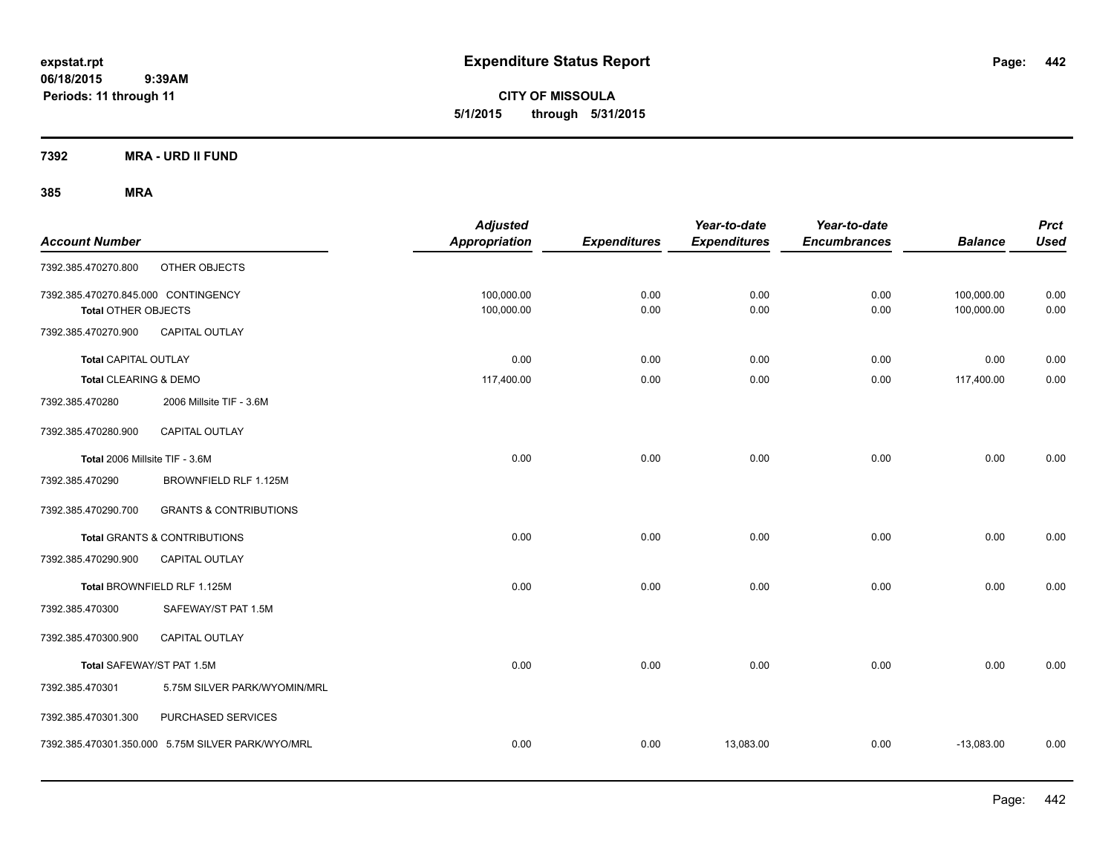**CITY OF MISSOULA 5/1/2015 through 5/31/2015**

**7392 MRA - URD II FUND**

| <b>Account Number</b>                                      |                                                   | <b>Adjusted</b><br><b>Appropriation</b> | <b>Expenditures</b> | Year-to-date<br><b>Expenditures</b> | Year-to-date<br><b>Encumbrances</b> | <b>Balance</b>           | <b>Prct</b><br><b>Used</b> |
|------------------------------------------------------------|---------------------------------------------------|-----------------------------------------|---------------------|-------------------------------------|-------------------------------------|--------------------------|----------------------------|
| 7392.385.470270.800                                        | OTHER OBJECTS                                     |                                         |                     |                                     |                                     |                          |                            |
| 7392.385.470270.845.000 CONTINGENCY<br>Total OTHER OBJECTS |                                                   | 100,000.00<br>100,000.00                | 0.00<br>0.00        | 0.00<br>0.00                        | 0.00<br>0.00                        | 100,000.00<br>100,000.00 | 0.00<br>0.00               |
| 7392.385.470270.900                                        | CAPITAL OUTLAY                                    |                                         |                     |                                     |                                     |                          |                            |
| <b>Total CAPITAL OUTLAY</b>                                |                                                   | 0.00                                    | 0.00                | 0.00                                | 0.00                                | 0.00                     | 0.00                       |
| Total CLEARING & DEMO                                      |                                                   | 117,400.00                              | 0.00                | 0.00                                | 0.00                                | 117,400.00               | 0.00                       |
| 7392.385.470280                                            | 2006 Millsite TIF - 3.6M                          |                                         |                     |                                     |                                     |                          |                            |
| 7392.385.470280.900                                        | <b>CAPITAL OUTLAY</b>                             |                                         |                     |                                     |                                     |                          |                            |
| Total 2006 Millsite TIF - 3.6M                             |                                                   | 0.00                                    | 0.00                | 0.00                                | 0.00                                | 0.00                     | 0.00                       |
| 7392.385.470290                                            | BROWNFIELD RLF 1.125M                             |                                         |                     |                                     |                                     |                          |                            |
| 7392.385.470290.700                                        | <b>GRANTS &amp; CONTRIBUTIONS</b>                 |                                         |                     |                                     |                                     |                          |                            |
|                                                            | <b>Total GRANTS &amp; CONTRIBUTIONS</b>           | 0.00                                    | 0.00                | 0.00                                | 0.00                                | 0.00                     | 0.00                       |
| 7392.385.470290.900                                        | <b>CAPITAL OUTLAY</b>                             |                                         |                     |                                     |                                     |                          |                            |
|                                                            | Total BROWNFIELD RLF 1.125M                       | 0.00                                    | 0.00                | 0.00                                | 0.00                                | 0.00                     | 0.00                       |
| 7392.385.470300                                            | SAFEWAY/ST PAT 1.5M                               |                                         |                     |                                     |                                     |                          |                            |
| 7392.385.470300.900                                        | CAPITAL OUTLAY                                    |                                         |                     |                                     |                                     |                          |                            |
| Total SAFEWAY/ST PAT 1.5M                                  |                                                   | 0.00                                    | 0.00                | 0.00                                | 0.00                                | 0.00                     | 0.00                       |
| 7392.385.470301                                            | 5.75M SILVER PARK/WYOMIN/MRL                      |                                         |                     |                                     |                                     |                          |                            |
| 7392.385.470301.300                                        | PURCHASED SERVICES                                |                                         |                     |                                     |                                     |                          |                            |
|                                                            | 7392.385.470301.350.000 5.75M SILVER PARK/WYO/MRL | 0.00                                    | 0.00                | 13,083.00                           | 0.00                                | $-13,083.00$             | 0.00                       |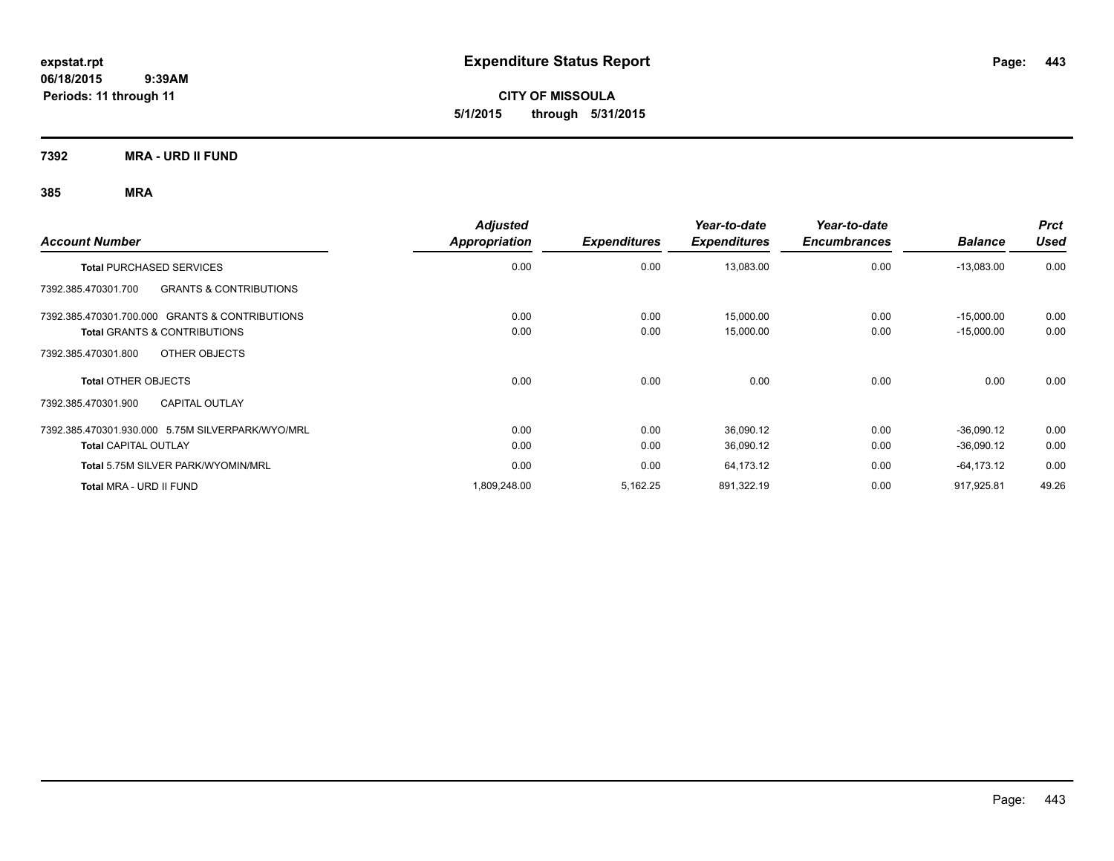**CITY OF MISSOULA 5/1/2015 through 5/31/2015**

**7392 MRA - URD II FUND**

| <b>Account Number</b>                                    | <b>Adjusted</b><br><b>Appropriation</b> | <b>Expenditures</b> | Year-to-date<br><b>Expenditures</b> | Year-to-date<br><b>Encumbrances</b> | <b>Balance</b> | <b>Prct</b><br><b>Used</b> |
|----------------------------------------------------------|-----------------------------------------|---------------------|-------------------------------------|-------------------------------------|----------------|----------------------------|
| <b>Total PURCHASED SERVICES</b>                          | 0.00                                    | 0.00                | 13,083.00                           | 0.00                                | $-13,083.00$   | 0.00                       |
| <b>GRANTS &amp; CONTRIBUTIONS</b><br>7392.385.470301.700 |                                         |                     |                                     |                                     |                |                            |
| 7392.385.470301.700.000 GRANTS & CONTRIBUTIONS           | 0.00                                    | 0.00                | 15,000.00                           | 0.00                                | $-15,000.00$   | 0.00                       |
| <b>Total GRANTS &amp; CONTRIBUTIONS</b>                  | 0.00                                    | 0.00                | 15,000.00                           | 0.00                                | $-15,000.00$   | 0.00                       |
| OTHER OBJECTS<br>7392.385.470301.800                     |                                         |                     |                                     |                                     |                |                            |
| <b>Total OTHER OBJECTS</b>                               | 0.00                                    | 0.00                | 0.00                                | 0.00                                | 0.00           | 0.00                       |
| <b>CAPITAL OUTLAY</b><br>7392.385.470301.900             |                                         |                     |                                     |                                     |                |                            |
| 7392.385.470301.930.000 5.75M SILVERPARK/WYO/MRL         | 0.00                                    | 0.00                | 36,090.12                           | 0.00                                | $-36,090.12$   | 0.00                       |
| <b>Total CAPITAL OUTLAY</b>                              | 0.00                                    | 0.00                | 36,090.12                           | 0.00                                | $-36,090.12$   | 0.00                       |
| Total 5.75M SILVER PARK/WYOMIN/MRL                       | 0.00                                    | 0.00                | 64,173.12                           | 0.00                                | $-64, 173.12$  | 0.00                       |
| Total MRA - URD II FUND                                  | 1.809.248.00                            | 5,162.25            | 891,322.19                          | 0.00                                | 917.925.81     | 49.26                      |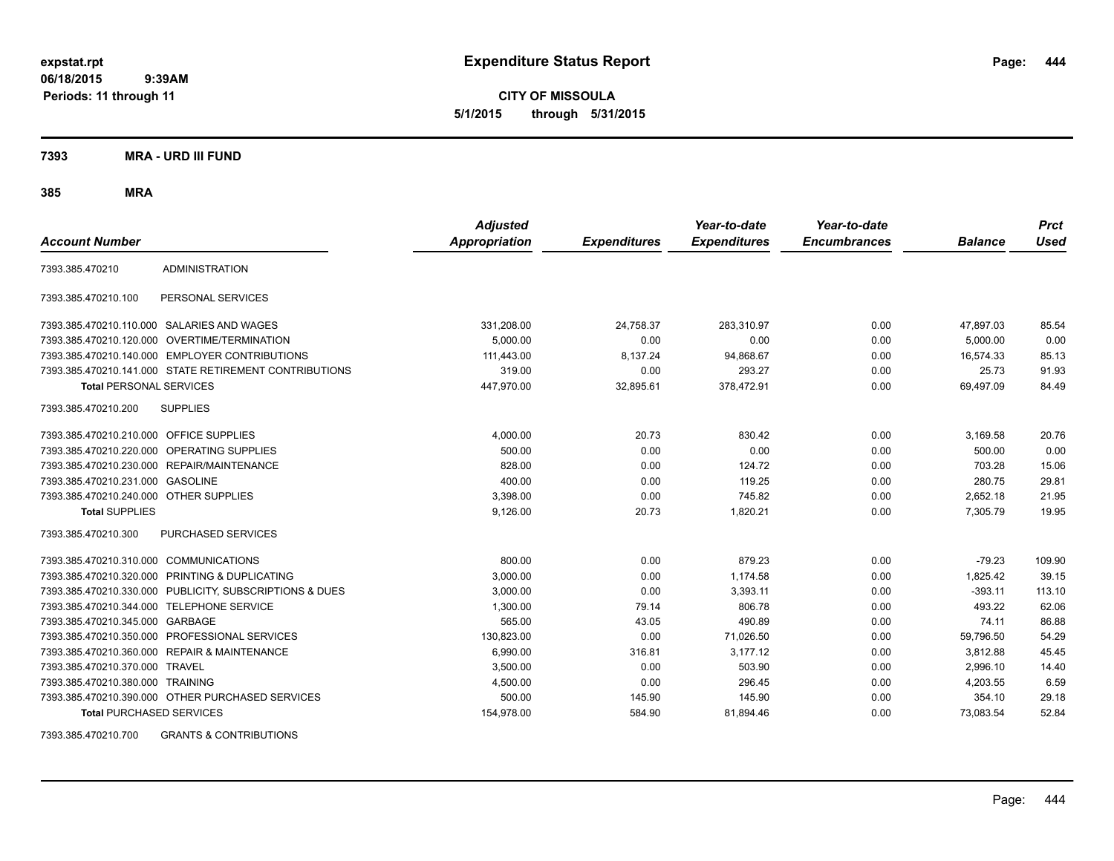**CITY OF MISSOULA 5/1/2015 through 5/31/2015**

**7393 MRA - URD III FUND**

**385 MRA**

| <b>Account Number</b>                   |                                                         | <b>Adjusted</b><br><b>Appropriation</b> | <b>Expenditures</b> | Year-to-date<br><b>Expenditures</b> | Year-to-date<br><b>Encumbrances</b> | <b>Balance</b> | <b>Prct</b><br><b>Used</b> |
|-----------------------------------------|---------------------------------------------------------|-----------------------------------------|---------------------|-------------------------------------|-------------------------------------|----------------|----------------------------|
| 7393.385.470210                         | <b>ADMINISTRATION</b>                                   |                                         |                     |                                     |                                     |                |                            |
| 7393.385.470210.100                     | PERSONAL SERVICES                                       |                                         |                     |                                     |                                     |                |                            |
|                                         | 7393.385.470210.110.000 SALARIES AND WAGES              | 331,208.00                              | 24,758.37           | 283,310.97                          | 0.00                                | 47,897.03      | 85.54                      |
|                                         | 7393.385.470210.120.000 OVERTIME/TERMINATION            | 5.000.00                                | 0.00                | 0.00                                | 0.00                                | 5.000.00       | 0.00                       |
|                                         | 7393.385.470210.140.000 EMPLOYER CONTRIBUTIONS          | 111,443.00                              | 8,137.24            | 94,868.67                           | 0.00                                | 16,574.33      | 85.13                      |
|                                         | 7393.385.470210.141.000 STATE RETIREMENT CONTRIBUTIONS  | 319.00                                  | 0.00                | 293.27                              | 0.00                                | 25.73          | 91.93                      |
| <b>Total PERSONAL SERVICES</b>          |                                                         | 447,970.00                              | 32,895.61           | 378,472.91                          | 0.00                                | 69,497.09      | 84.49                      |
| 7393.385.470210.200                     | <b>SUPPLIES</b>                                         |                                         |                     |                                     |                                     |                |                            |
| 7393.385.470210.210.000 OFFICE SUPPLIES |                                                         | 4,000.00                                | 20.73               | 830.42                              | 0.00                                | 3,169.58       | 20.76                      |
|                                         | 7393.385.470210.220.000 OPERATING SUPPLIES              | 500.00                                  | 0.00                | 0.00                                | 0.00                                | 500.00         | 0.00                       |
| 7393.385.470210.230.000                 | REPAIR/MAINTENANCE                                      | 828.00                                  | 0.00                | 124.72                              | 0.00                                | 703.28         | 15.06                      |
| 7393.385.470210.231.000                 | <b>GASOLINE</b>                                         | 400.00                                  | 0.00                | 119.25                              | 0.00                                | 280.75         | 29.81                      |
| 7393.385.470210.240.000 OTHER SUPPLIES  |                                                         | 3,398.00                                | 0.00                | 745.82                              | 0.00                                | 2,652.18       | 21.95                      |
| <b>Total SUPPLIES</b>                   |                                                         | 9,126.00                                | 20.73               | 1,820.21                            | 0.00                                | 7,305.79       | 19.95                      |
| 7393.385.470210.300                     | <b>PURCHASED SERVICES</b>                               |                                         |                     |                                     |                                     |                |                            |
| 7393.385.470210.310.000 COMMUNICATIONS  |                                                         | 800.00                                  | 0.00                | 879.23                              | 0.00                                | $-79.23$       | 109.90                     |
| 7393.385.470210.320.000                 | PRINTING & DUPLICATING                                  | 3,000.00                                | 0.00                | 1,174.58                            | 0.00                                | 1,825.42       | 39.15                      |
|                                         | 7393.385.470210.330.000 PUBLICITY, SUBSCRIPTIONS & DUES | 3,000.00                                | 0.00                | 3,393.11                            | 0.00                                | $-393.11$      | 113.10                     |
| 7393.385.470210.344.000                 | TELEPHONE SERVICE                                       | 1,300.00                                | 79.14               | 806.78                              | 0.00                                | 493.22         | 62.06                      |
| 7393.385.470210.345.000 GARBAGE         |                                                         | 565.00                                  | 43.05               | 490.89                              | 0.00                                | 74.11          | 86.88                      |
|                                         | 7393.385.470210.350.000 PROFESSIONAL SERVICES           | 130.823.00                              | 0.00                | 71,026.50                           | 0.00                                | 59,796.50      | 54.29                      |
|                                         | 7393.385.470210.360.000 REPAIR & MAINTENANCE            | 6,990.00                                | 316.81              | 3,177.12                            | 0.00                                | 3.812.88       | 45.45                      |
| 7393.385.470210.370.000 TRAVEL          |                                                         | 3,500.00                                | 0.00                | 503.90                              | 0.00                                | 2,996.10       | 14.40                      |
| 7393.385.470210.380.000 TRAINING        |                                                         | 4,500.00                                | 0.00                | 296.45                              | 0.00                                | 4,203.55       | 6.59                       |
|                                         | 7393.385.470210.390.000 OTHER PURCHASED SERVICES        | 500.00                                  | 145.90              | 145.90                              | 0.00                                | 354.10         | 29.18                      |
| <b>Total PURCHASED SERVICES</b>         |                                                         | 154,978.00                              | 584.90              | 81,894.46                           | 0.00                                | 73,083.54      | 52.84                      |

7393.385.470210.700 GRANTS & CONTRIBUTIONS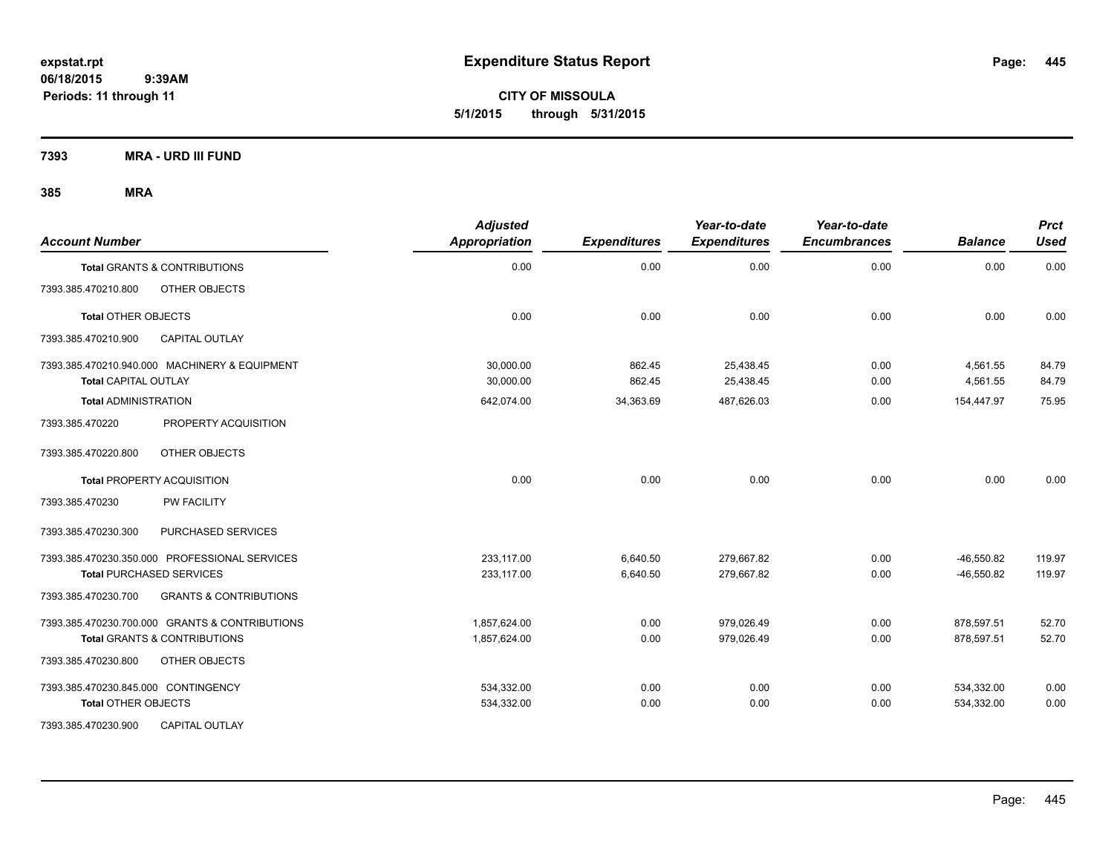**CITY OF MISSOULA 5/1/2015 through 5/31/2015**

**7393 MRA - URD III FUND**

| <b>Account Number</b>                                                        | <b>Adjusted</b><br><b>Appropriation</b> | <b>Expenditures</b> | Year-to-date<br><b>Expenditures</b> | Year-to-date<br><b>Encumbrances</b> | <b>Balance</b>       | <b>Prct</b><br><b>Used</b> |
|------------------------------------------------------------------------------|-----------------------------------------|---------------------|-------------------------------------|-------------------------------------|----------------------|----------------------------|
| Total GRANTS & CONTRIBUTIONS                                                 | 0.00                                    | 0.00                | 0.00                                | 0.00                                | 0.00                 | 0.00                       |
| <b>OTHER OBJECTS</b><br>7393.385.470210.800                                  |                                         |                     |                                     |                                     |                      |                            |
| <b>Total OTHER OBJECTS</b>                                                   | 0.00                                    | 0.00                | 0.00                                | 0.00                                | 0.00                 | 0.00                       |
| CAPITAL OUTLAY<br>7393.385.470210.900                                        |                                         |                     |                                     |                                     |                      |                            |
| 7393.385.470210.940.000 MACHINERY & EQUIPMENT<br><b>Total CAPITAL OUTLAY</b> | 30,000.00<br>30,000.00                  | 862.45<br>862.45    | 25,438.45<br>25,438.45              | 0.00<br>0.00                        | 4,561.55<br>4,561.55 | 84.79<br>84.79             |
| <b>Total ADMINISTRATION</b>                                                  | 642,074.00                              | 34,363.69           | 487,626.03                          | 0.00                                | 154,447.97           | 75.95                      |
| PROPERTY ACQUISITION<br>7393.385.470220                                      |                                         |                     |                                     |                                     |                      |                            |
| OTHER OBJECTS<br>7393.385.470220.800                                         |                                         |                     |                                     |                                     |                      |                            |
| <b>Total PROPERTY ACQUISITION</b>                                            | 0.00                                    | 0.00                | 0.00                                | 0.00                                | 0.00                 | 0.00                       |
| <b>PW FACILITY</b><br>7393.385.470230                                        |                                         |                     |                                     |                                     |                      |                            |
| 7393.385.470230.300<br>PURCHASED SERVICES                                    |                                         |                     |                                     |                                     |                      |                            |
| 7393.385.470230.350.000 PROFESSIONAL SERVICES                                | 233,117.00                              | 6,640.50            | 279,667.82                          | 0.00                                | $-46,550.82$         | 119.97                     |
| <b>Total PURCHASED SERVICES</b>                                              | 233,117.00                              | 6,640.50            | 279,667.82                          | 0.00                                | $-46,550.82$         | 119.97                     |
| 7393.385.470230.700<br><b>GRANTS &amp; CONTRIBUTIONS</b>                     |                                         |                     |                                     |                                     |                      |                            |
| 7393.385.470230.700.000 GRANTS & CONTRIBUTIONS                               | 1,857,624.00                            | 0.00                | 979,026.49                          | 0.00                                | 878,597.51           | 52.70                      |
| <b>Total GRANTS &amp; CONTRIBUTIONS</b>                                      | 1,857,624.00                            | 0.00                | 979.026.49                          | 0.00                                | 878.597.51           | 52.70                      |
| 7393.385.470230.800<br><b>OTHER OBJECTS</b>                                  |                                         |                     |                                     |                                     |                      |                            |
| 7393.385.470230.845.000 CONTINGENCY                                          | 534,332.00                              | 0.00                | 0.00                                | 0.00                                | 534,332.00           | 0.00                       |
| <b>Total OTHER OBJECTS</b>                                                   | 534,332.00                              | 0.00                | 0.00                                | 0.00                                | 534,332.00           | 0.00                       |
| 7393.385.470230.900<br><b>CAPITAL OUTLAY</b>                                 |                                         |                     |                                     |                                     |                      |                            |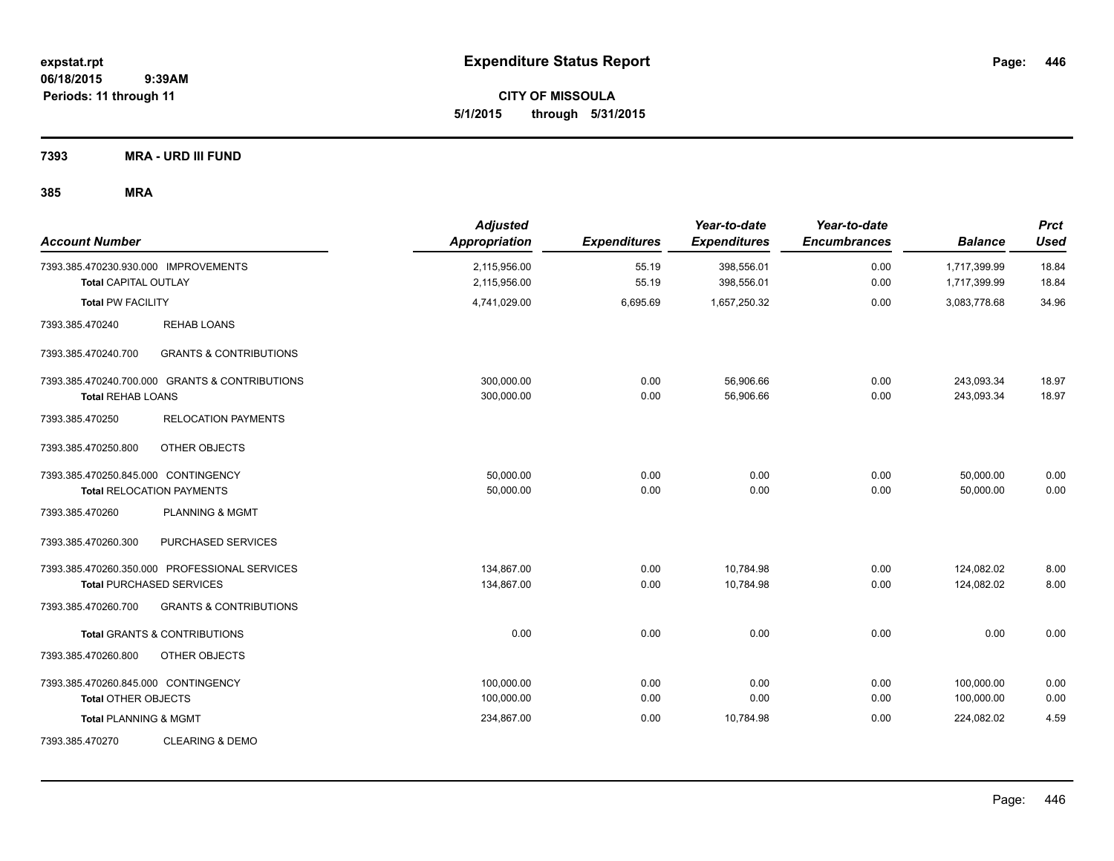**CITY OF MISSOULA 5/1/2015 through 5/31/2015**

**7393 MRA - URD III FUND**

| <b>Account Number</b>                                               |                                                                                  | <b>Adjusted</b><br>Appropriation | <b>Expenditures</b> | Year-to-date<br><b>Expenditures</b> | Year-to-date<br><b>Encumbrances</b> | <b>Balance</b>               | <b>Prct</b><br><b>Used</b> |
|---------------------------------------------------------------------|----------------------------------------------------------------------------------|----------------------------------|---------------------|-------------------------------------|-------------------------------------|------------------------------|----------------------------|
| 7393.385.470230.930.000 IMPROVEMENTS<br><b>Total CAPITAL OUTLAY</b> |                                                                                  | 2,115,956.00<br>2,115,956.00     | 55.19<br>55.19      | 398,556.01<br>398,556.01            | 0.00<br>0.00                        | 1,717,399.99<br>1,717,399.99 | 18.84<br>18.84             |
| <b>Total PW FACILITY</b>                                            |                                                                                  | 4,741,029.00                     | 6,695.69            | 1,657,250.32                        | 0.00                                | 3,083,778.68                 | 34.96                      |
| 7393.385.470240                                                     | <b>REHAB LOANS</b>                                                               |                                  |                     |                                     |                                     |                              |                            |
| 7393.385.470240.700                                                 | <b>GRANTS &amp; CONTRIBUTIONS</b>                                                |                                  |                     |                                     |                                     |                              |                            |
| <b>Total REHAB LOANS</b>                                            | 7393.385.470240.700.000 GRANTS & CONTRIBUTIONS                                   | 300,000.00<br>300,000.00         | 0.00<br>0.00        | 56,906.66<br>56,906.66              | 0.00<br>0.00                        | 243,093.34<br>243,093.34     | 18.97<br>18.97             |
| 7393.385.470250                                                     | <b>RELOCATION PAYMENTS</b>                                                       |                                  |                     |                                     |                                     |                              |                            |
| 7393.385.470250.800                                                 | OTHER OBJECTS                                                                    |                                  |                     |                                     |                                     |                              |                            |
| 7393.385.470250.845.000 CONTINGENCY                                 | <b>Total RELOCATION PAYMENTS</b>                                                 | 50,000.00<br>50,000.00           | 0.00<br>0.00        | 0.00<br>0.00                        | 0.00<br>0.00                        | 50,000.00<br>50,000.00       | 0.00<br>0.00               |
| 7393.385.470260                                                     | <b>PLANNING &amp; MGMT</b>                                                       |                                  |                     |                                     |                                     |                              |                            |
| 7393.385.470260.300                                                 | PURCHASED SERVICES                                                               |                                  |                     |                                     |                                     |                              |                            |
|                                                                     | 7393.385.470260.350.000 PROFESSIONAL SERVICES<br><b>Total PURCHASED SERVICES</b> | 134,867.00<br>134,867.00         | 0.00<br>0.00        | 10,784.98<br>10,784.98              | 0.00<br>0.00                        | 124,082.02<br>124,082.02     | 8.00<br>8.00               |
| 7393.385.470260.700                                                 | <b>GRANTS &amp; CONTRIBUTIONS</b>                                                |                                  |                     |                                     |                                     |                              |                            |
|                                                                     | <b>Total GRANTS &amp; CONTRIBUTIONS</b>                                          | 0.00                             | 0.00                | 0.00                                | 0.00                                | 0.00                         | 0.00                       |
| 7393.385.470260.800                                                 | OTHER OBJECTS                                                                    |                                  |                     |                                     |                                     |                              |                            |
| 7393.385.470260.845.000 CONTINGENCY<br><b>Total OTHER OBJECTS</b>   |                                                                                  | 100.000.00<br>100,000.00         | 0.00<br>0.00        | 0.00<br>0.00                        | 0.00<br>0.00                        | 100,000.00<br>100,000.00     | 0.00<br>0.00               |
| <b>Total PLANNING &amp; MGMT</b>                                    |                                                                                  | 234,867.00                       | 0.00                | 10,784.98                           | 0.00                                | 224,082.02                   | 4.59                       |
| 7393.385.470270                                                     | <b>CLEARING &amp; DEMO</b>                                                       |                                  |                     |                                     |                                     |                              |                            |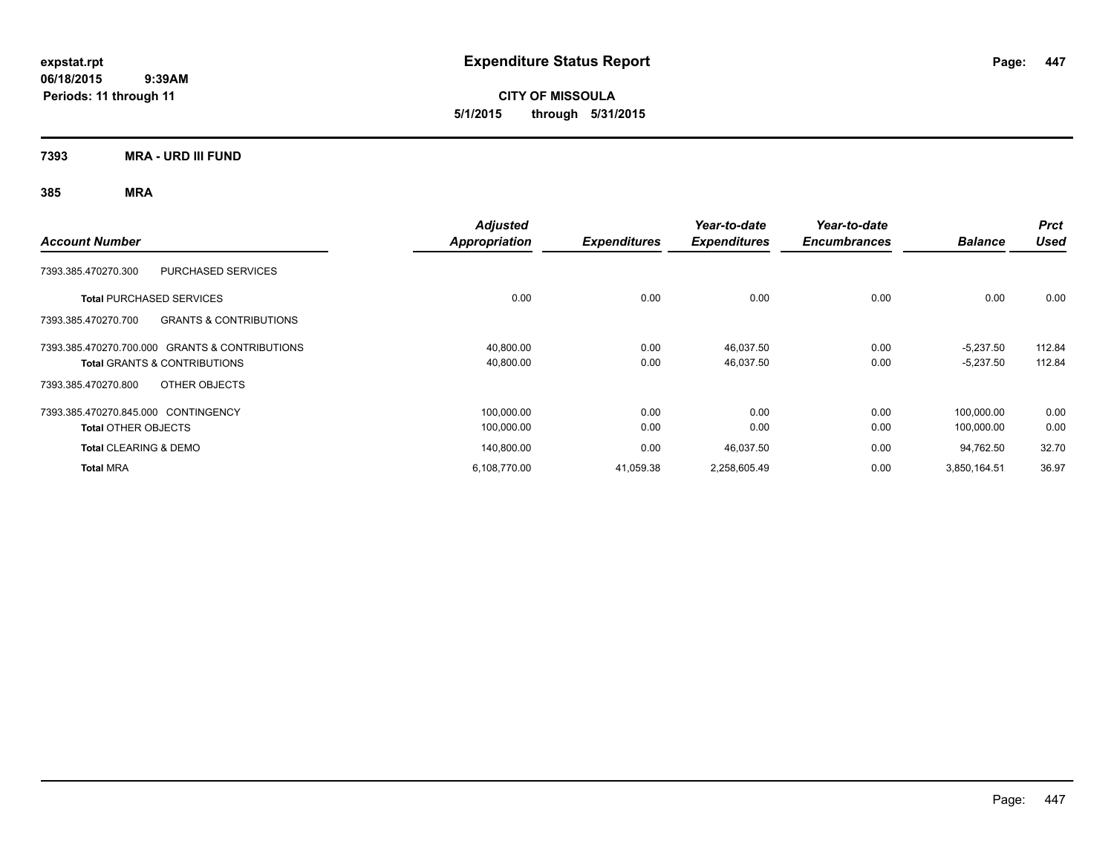**CITY OF MISSOULA 5/1/2015 through 5/31/2015**

**7393 MRA - URD III FUND**

| <b>Account Number</b>                                    | <b>Adjusted</b><br>Appropriation | <b>Expenditures</b> | Year-to-date<br><b>Expenditures</b> | Year-to-date<br><b>Encumbrances</b> | <b>Balance</b> | <b>Prct</b><br><b>Used</b> |
|----------------------------------------------------------|----------------------------------|---------------------|-------------------------------------|-------------------------------------|----------------|----------------------------|
| PURCHASED SERVICES<br>7393.385.470270.300                |                                  |                     |                                     |                                     |                |                            |
| <b>Total PURCHASED SERVICES</b>                          | 0.00                             | 0.00                | 0.00                                | 0.00                                | 0.00           | 0.00                       |
| <b>GRANTS &amp; CONTRIBUTIONS</b><br>7393.385.470270.700 |                                  |                     |                                     |                                     |                |                            |
| 7393.385.470270.700.000 GRANTS & CONTRIBUTIONS           | 40,800.00                        | 0.00                | 46,037.50                           | 0.00                                | $-5,237.50$    | 112.84                     |
| <b>Total GRANTS &amp; CONTRIBUTIONS</b>                  | 40,800.00                        | 0.00                | 46,037.50                           | 0.00                                | $-5,237.50$    | 112.84                     |
| OTHER OBJECTS<br>7393.385.470270.800                     |                                  |                     |                                     |                                     |                |                            |
| 7393.385.470270.845.000 CONTINGENCY                      | 100,000.00                       | 0.00                | 0.00                                | 0.00                                | 100.000.00     | 0.00                       |
| <b>Total OTHER OBJECTS</b>                               | 100,000.00                       | 0.00                | 0.00                                | 0.00                                | 100,000.00     | 0.00                       |
| <b>Total CLEARING &amp; DEMO</b>                         | 140,800.00                       | 0.00                | 46,037.50                           | 0.00                                | 94,762.50      | 32.70                      |
| <b>Total MRA</b>                                         | 6,108,770.00                     | 41,059.38           | 2,258,605.49                        | 0.00                                | 3,850,164.51   | 36.97                      |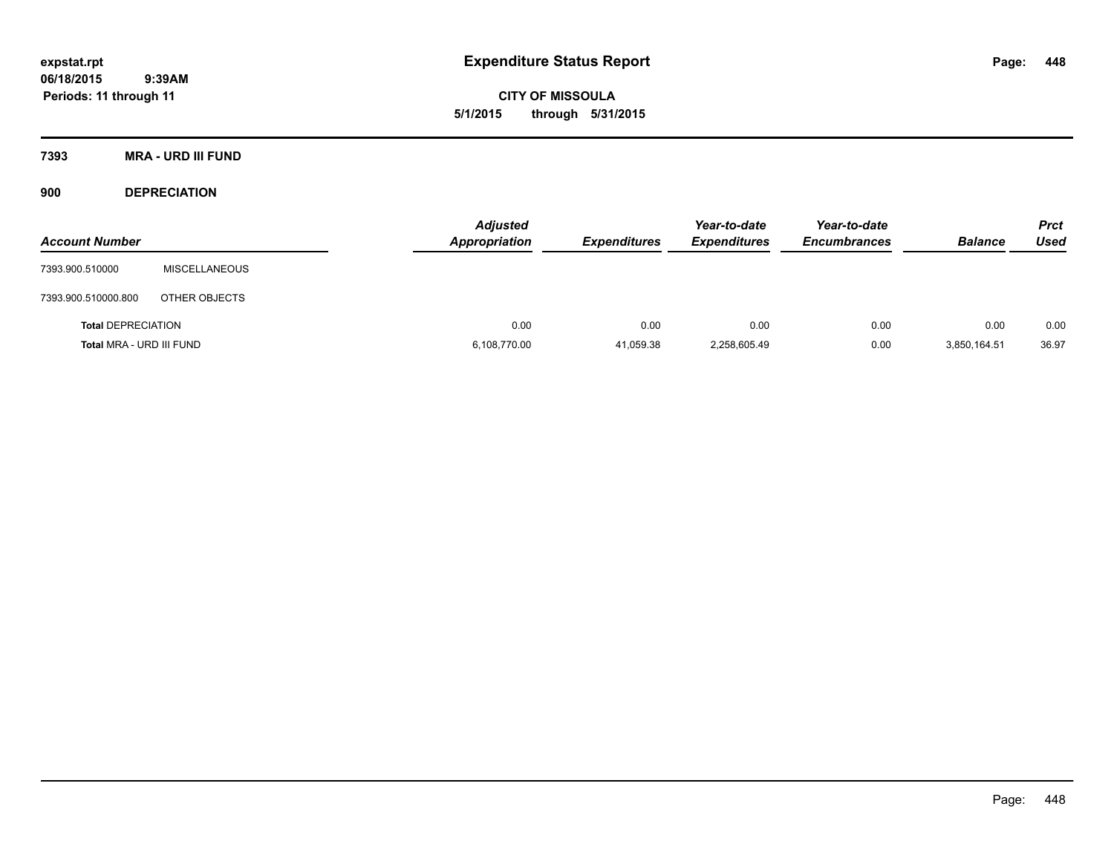**CITY OF MISSOULA 5/1/2015 through 5/31/2015**

**7393 MRA - URD III FUND**

**900 DEPRECIATION**

| <b>Account Number</b>     |                      | <b>Adjusted</b><br><b>Appropriation</b> | <b>Expenditures</b> | Year-to-date<br><b>Expenditures</b> | Year-to-date<br><b>Encumbrances</b> | <b>Balance</b> | <b>Prct</b><br><b>Used</b> |
|---------------------------|----------------------|-----------------------------------------|---------------------|-------------------------------------|-------------------------------------|----------------|----------------------------|
| 7393.900.510000           | <b>MISCELLANEOUS</b> |                                         |                     |                                     |                                     |                |                            |
| 7393.900.510000.800       | OTHER OBJECTS        |                                         |                     |                                     |                                     |                |                            |
| <b>Total DEPRECIATION</b> |                      | 0.00                                    | 0.00                | 0.00                                | 0.00                                | 0.00           | 0.00                       |
| Total MRA - URD III FUND  |                      | 6,108,770.00                            | 41,059.38           | 2,258,605.49                        | 0.00                                | 3,850,164.51   | 36.97                      |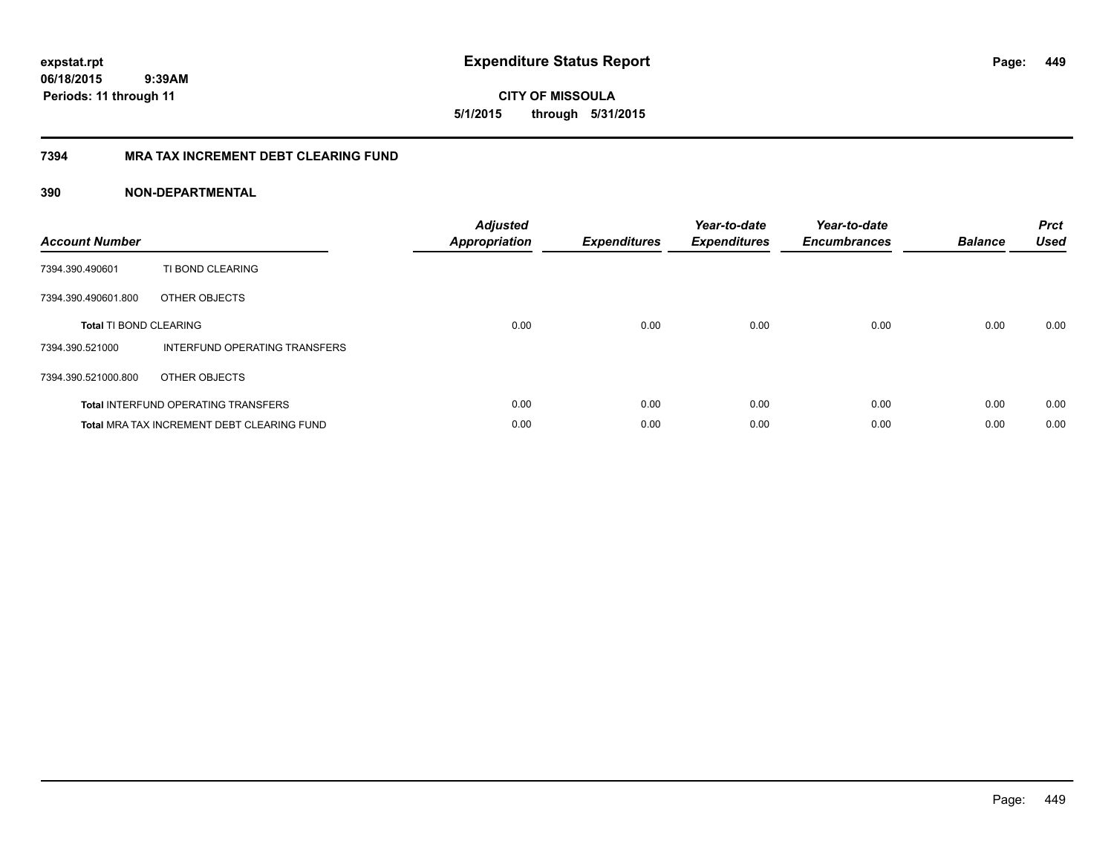**CITY OF MISSOULA 5/1/2015 through 5/31/2015**

# **7394 MRA TAX INCREMENT DEBT CLEARING FUND**

| <b>Account Number</b>         |                                                   | <b>Adjusted</b><br>Appropriation | <b>Expenditures</b> | Year-to-date<br><b>Expenditures</b> | Year-to-date<br><b>Encumbrances</b> | <b>Balance</b> | <b>Prct</b><br><b>Used</b> |
|-------------------------------|---------------------------------------------------|----------------------------------|---------------------|-------------------------------------|-------------------------------------|----------------|----------------------------|
| 7394.390.490601               | TI BOND CLEARING                                  |                                  |                     |                                     |                                     |                |                            |
| 7394.390.490601.800           | OTHER OBJECTS                                     |                                  |                     |                                     |                                     |                |                            |
| <b>Total TI BOND CLEARING</b> |                                                   | 0.00                             | 0.00                | 0.00                                | 0.00                                | 0.00           | 0.00                       |
| 7394.390.521000               | INTERFUND OPERATING TRANSFERS                     |                                  |                     |                                     |                                     |                |                            |
| 7394.390.521000.800           | OTHER OBJECTS                                     |                                  |                     |                                     |                                     |                |                            |
|                               | <b>Total INTERFUND OPERATING TRANSFERS</b>        | 0.00                             | 0.00                | 0.00                                | 0.00                                | 0.00           | 0.00                       |
|                               | <b>Total MRA TAX INCREMENT DEBT CLEARING FUND</b> | 0.00                             | 0.00                | 0.00                                | 0.00                                | 0.00           | 0.00                       |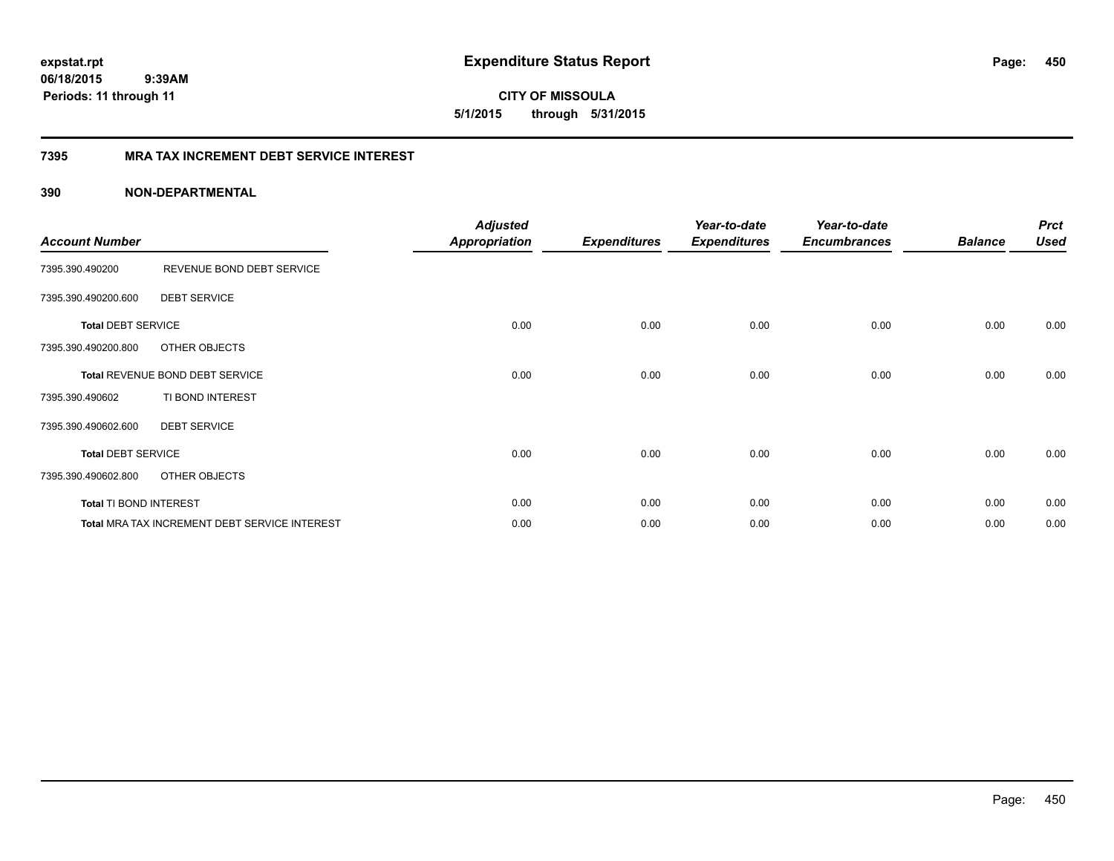**CITY OF MISSOULA 5/1/2015 through 5/31/2015**

# **7395 MRA TAX INCREMENT DEBT SERVICE INTEREST**

| <b>Account Number</b>     |                                                      | <b>Adjusted</b><br>Appropriation | <b>Expenditures</b> | Year-to-date<br><b>Expenditures</b> | Year-to-date<br><b>Encumbrances</b> | <b>Balance</b> | <b>Prct</b><br><b>Used</b> |
|---------------------------|------------------------------------------------------|----------------------------------|---------------------|-------------------------------------|-------------------------------------|----------------|----------------------------|
| 7395.390.490200           | REVENUE BOND DEBT SERVICE                            |                                  |                     |                                     |                                     |                |                            |
| 7395.390.490200.600       | <b>DEBT SERVICE</b>                                  |                                  |                     |                                     |                                     |                |                            |
| <b>Total DEBT SERVICE</b> |                                                      | 0.00                             | 0.00                | 0.00                                | 0.00                                | 0.00           | 0.00                       |
| 7395.390.490200.800       | OTHER OBJECTS                                        |                                  |                     |                                     |                                     |                |                            |
|                           | Total REVENUE BOND DEBT SERVICE                      | 0.00                             | 0.00                | 0.00                                | 0.00                                | 0.00           | 0.00                       |
| 7395.390.490602           | TI BOND INTEREST                                     |                                  |                     |                                     |                                     |                |                            |
| 7395.390.490602.600       | <b>DEBT SERVICE</b>                                  |                                  |                     |                                     |                                     |                |                            |
| <b>Total DEBT SERVICE</b> |                                                      | 0.00                             | 0.00                | 0.00                                | 0.00                                | 0.00           | 0.00                       |
| 7395.390.490602.800       | OTHER OBJECTS                                        |                                  |                     |                                     |                                     |                |                            |
| Total TI BOND INTEREST    |                                                      | 0.00                             | 0.00                | 0.00                                | 0.00                                | 0.00           | 0.00                       |
|                           | <b>Total MRA TAX INCREMENT DEBT SERVICE INTEREST</b> | 0.00                             | 0.00                | 0.00                                | 0.00                                | 0.00           | 0.00                       |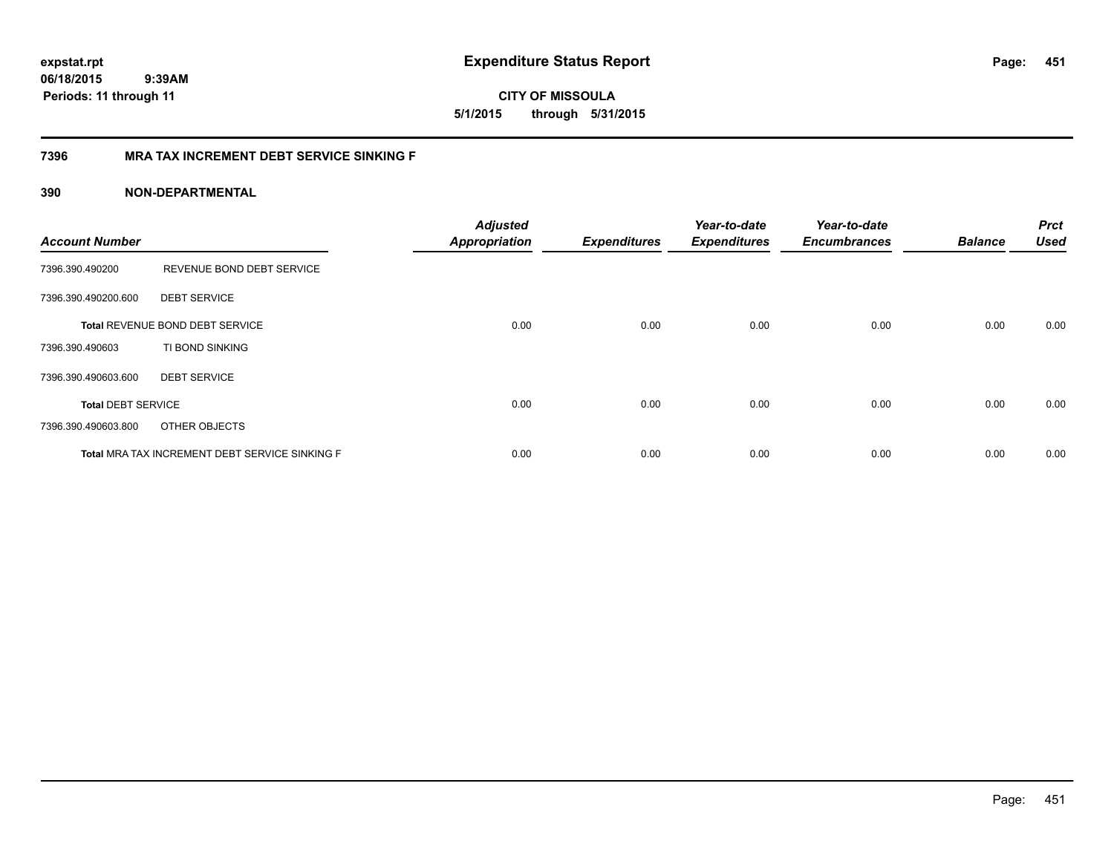**CITY OF MISSOULA 5/1/2015 through 5/31/2015**

# **7396 MRA TAX INCREMENT DEBT SERVICE SINKING F**

| <b>Account Number</b>     |                                                | <b>Adjusted</b><br><b>Appropriation</b> | <b>Expenditures</b> | Year-to-date<br><b>Expenditures</b> | Year-to-date<br><b>Encumbrances</b> | <b>Balance</b> | <b>Prct</b><br><b>Used</b> |
|---------------------------|------------------------------------------------|-----------------------------------------|---------------------|-------------------------------------|-------------------------------------|----------------|----------------------------|
| 7396.390.490200           | REVENUE BOND DEBT SERVICE                      |                                         |                     |                                     |                                     |                |                            |
| 7396.390.490200.600       | <b>DEBT SERVICE</b>                            |                                         |                     |                                     |                                     |                |                            |
|                           | Total REVENUE BOND DEBT SERVICE                | 0.00                                    | 0.00                | 0.00                                | 0.00                                | 0.00           | 0.00                       |
| 7396.390.490603           | TI BOND SINKING                                |                                         |                     |                                     |                                     |                |                            |
| 7396.390.490603.600       | <b>DEBT SERVICE</b>                            |                                         |                     |                                     |                                     |                |                            |
| <b>Total DEBT SERVICE</b> |                                                | 0.00                                    | 0.00                | 0.00                                | 0.00                                | 0.00           | 0.00                       |
| 7396.390.490603.800       | OTHER OBJECTS                                  |                                         |                     |                                     |                                     |                |                            |
|                           | Total MRA TAX INCREMENT DEBT SERVICE SINKING F | 0.00                                    | 0.00                | 0.00                                | 0.00                                | 0.00           | 0.00                       |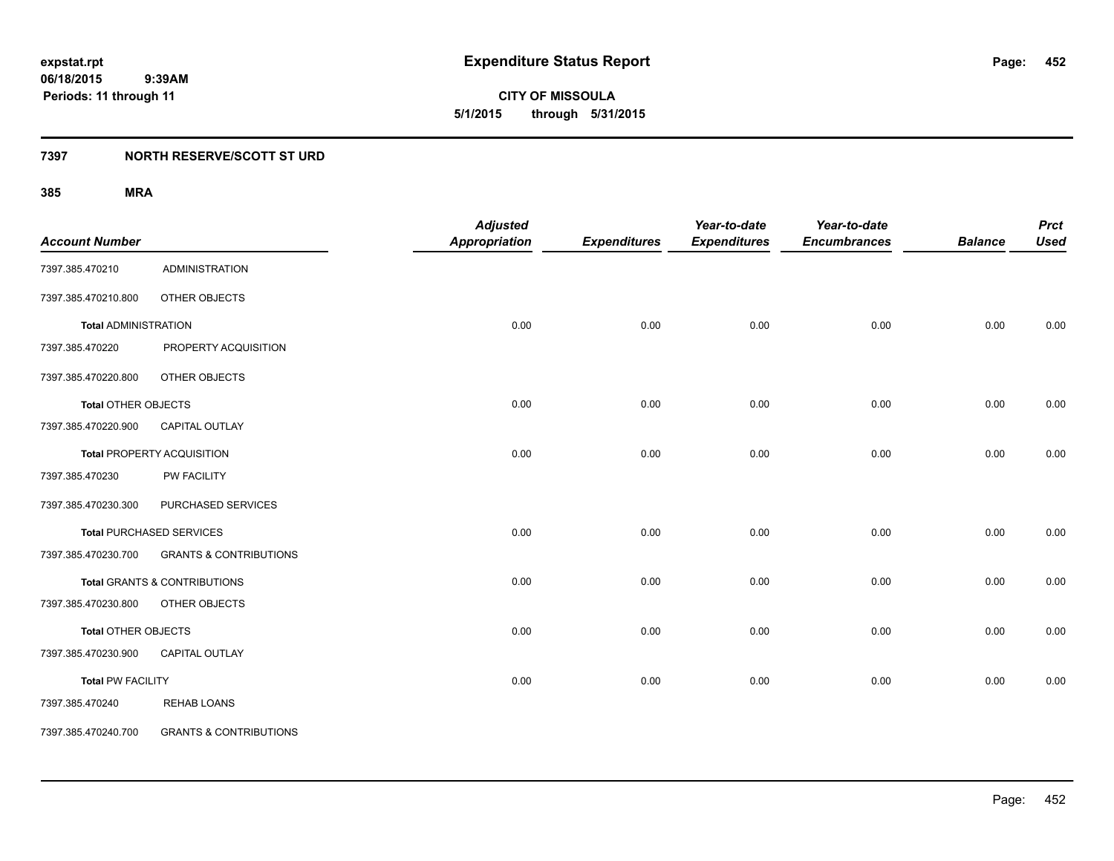**CITY OF MISSOULA 5/1/2015 through 5/31/2015**

# **7397 NORTH RESERVE/SCOTT ST URD**

| <b>Account Number</b>       |                                         | <b>Adjusted</b><br><b>Appropriation</b> | <b>Expenditures</b> | Year-to-date<br><b>Expenditures</b> | Year-to-date<br><b>Encumbrances</b> | <b>Balance</b> | <b>Prct</b><br><b>Used</b> |
|-----------------------------|-----------------------------------------|-----------------------------------------|---------------------|-------------------------------------|-------------------------------------|----------------|----------------------------|
| 7397.385.470210             | <b>ADMINISTRATION</b>                   |                                         |                     |                                     |                                     |                |                            |
| 7397.385.470210.800         | OTHER OBJECTS                           |                                         |                     |                                     |                                     |                |                            |
| <b>Total ADMINISTRATION</b> |                                         | 0.00                                    | 0.00                | 0.00                                | 0.00                                | 0.00           | 0.00                       |
| 7397.385.470220             | PROPERTY ACQUISITION                    |                                         |                     |                                     |                                     |                |                            |
| 7397.385.470220.800         | OTHER OBJECTS                           |                                         |                     |                                     |                                     |                |                            |
| <b>Total OTHER OBJECTS</b>  |                                         | 0.00                                    | 0.00                | 0.00                                | 0.00                                | 0.00           | 0.00                       |
| 7397.385.470220.900         | CAPITAL OUTLAY                          |                                         |                     |                                     |                                     |                |                            |
|                             | <b>Total PROPERTY ACQUISITION</b>       | 0.00                                    | 0.00                | 0.00                                | 0.00                                | 0.00           | 0.00                       |
| 7397.385.470230             | PW FACILITY                             |                                         |                     |                                     |                                     |                |                            |
| 7397.385.470230.300         | PURCHASED SERVICES                      |                                         |                     |                                     |                                     |                |                            |
|                             | <b>Total PURCHASED SERVICES</b>         | 0.00                                    | 0.00                | 0.00                                | 0.00                                | 0.00           | 0.00                       |
| 7397.385.470230.700         | <b>GRANTS &amp; CONTRIBUTIONS</b>       |                                         |                     |                                     |                                     |                |                            |
|                             | <b>Total GRANTS &amp; CONTRIBUTIONS</b> | 0.00                                    | 0.00                | 0.00                                | 0.00                                | 0.00           | 0.00                       |
| 7397.385.470230.800         | OTHER OBJECTS                           |                                         |                     |                                     |                                     |                |                            |
| Total OTHER OBJECTS         |                                         | 0.00                                    | 0.00                | 0.00                                | 0.00                                | 0.00           | 0.00                       |
| 7397.385.470230.900         | <b>CAPITAL OUTLAY</b>                   |                                         |                     |                                     |                                     |                |                            |
| <b>Total PW FACILITY</b>    |                                         | 0.00                                    | 0.00                | 0.00                                | 0.00                                | 0.00           | 0.00                       |
| 7397.385.470240             | <b>REHAB LOANS</b>                      |                                         |                     |                                     |                                     |                |                            |
| 7397.385.470240.700         | <b>GRANTS &amp; CONTRIBUTIONS</b>       |                                         |                     |                                     |                                     |                |                            |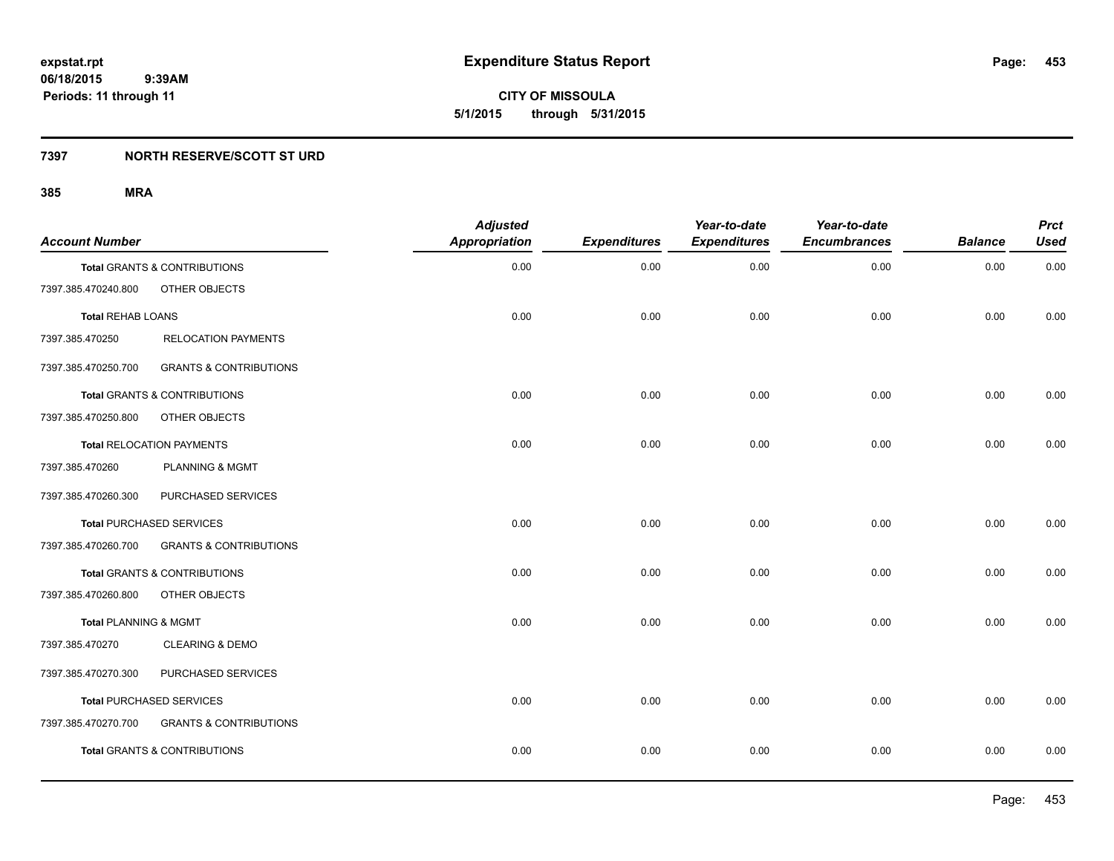**CITY OF MISSOULA 5/1/2015 through 5/31/2015**

# **7397 NORTH RESERVE/SCOTT ST URD**

| <b>Account Number</b>            |                                         | <b>Adjusted</b><br>Appropriation | <b>Expenditures</b> | Year-to-date<br><b>Expenditures</b> | Year-to-date<br><b>Encumbrances</b> | <b>Balance</b> | <b>Prct</b><br><b>Used</b> |
|----------------------------------|-----------------------------------------|----------------------------------|---------------------|-------------------------------------|-------------------------------------|----------------|----------------------------|
|                                  | <b>Total GRANTS &amp; CONTRIBUTIONS</b> | 0.00                             | 0.00                | 0.00                                | 0.00                                | 0.00           | 0.00                       |
| 7397.385.470240.800              | OTHER OBJECTS                           |                                  |                     |                                     |                                     |                |                            |
| <b>Total REHAB LOANS</b>         |                                         | 0.00                             | 0.00                | 0.00                                | 0.00                                | 0.00           | 0.00                       |
| 7397.385.470250                  | <b>RELOCATION PAYMENTS</b>              |                                  |                     |                                     |                                     |                |                            |
| 7397.385.470250.700              | <b>GRANTS &amp; CONTRIBUTIONS</b>       |                                  |                     |                                     |                                     |                |                            |
|                                  | Total GRANTS & CONTRIBUTIONS            | 0.00                             | 0.00                | 0.00                                | 0.00                                | 0.00           | 0.00                       |
| 7397.385.470250.800              | OTHER OBJECTS                           |                                  |                     |                                     |                                     |                |                            |
|                                  | <b>Total RELOCATION PAYMENTS</b>        | 0.00                             | 0.00                | 0.00                                | 0.00                                | 0.00           | 0.00                       |
| 7397.385.470260                  | <b>PLANNING &amp; MGMT</b>              |                                  |                     |                                     |                                     |                |                            |
| 7397.385.470260.300              | PURCHASED SERVICES                      |                                  |                     |                                     |                                     |                |                            |
|                                  | <b>Total PURCHASED SERVICES</b>         | 0.00                             | 0.00                | 0.00                                | 0.00                                | 0.00           | 0.00                       |
| 7397.385.470260.700              | <b>GRANTS &amp; CONTRIBUTIONS</b>       |                                  |                     |                                     |                                     |                |                            |
|                                  | Total GRANTS & CONTRIBUTIONS            | 0.00                             | 0.00                | 0.00                                | 0.00                                | 0.00           | 0.00                       |
| 7397.385.470260.800              | OTHER OBJECTS                           |                                  |                     |                                     |                                     |                |                            |
| <b>Total PLANNING &amp; MGMT</b> |                                         | 0.00                             | 0.00                | 0.00                                | 0.00                                | 0.00           | 0.00                       |
| 7397.385.470270                  | <b>CLEARING &amp; DEMO</b>              |                                  |                     |                                     |                                     |                |                            |
| 7397.385.470270.300              | PURCHASED SERVICES                      |                                  |                     |                                     |                                     |                |                            |
|                                  | <b>Total PURCHASED SERVICES</b>         | 0.00                             | 0.00                | 0.00                                | 0.00                                | 0.00           | 0.00                       |
| 7397.385.470270.700              | <b>GRANTS &amp; CONTRIBUTIONS</b>       |                                  |                     |                                     |                                     |                |                            |
|                                  | <b>Total GRANTS &amp; CONTRIBUTIONS</b> | 0.00                             | 0.00                | 0.00                                | 0.00                                | 0.00           | 0.00                       |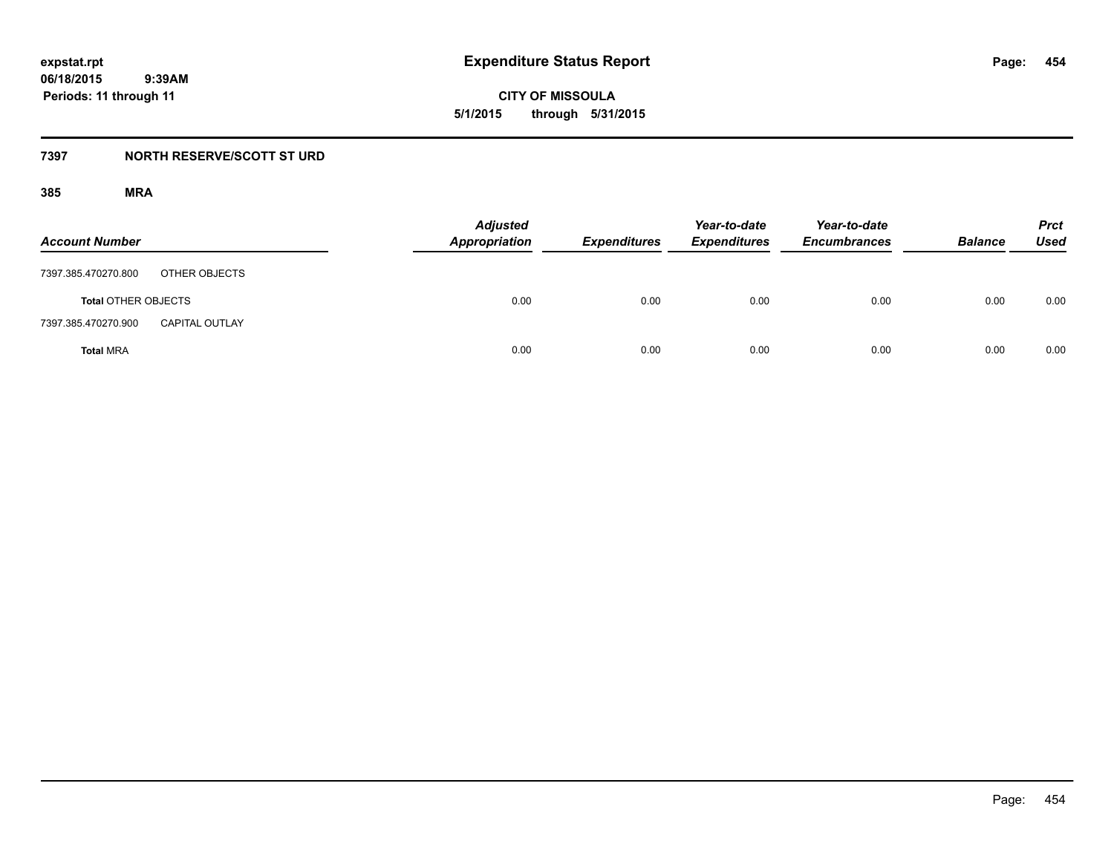**CITY OF MISSOULA 5/1/2015 through 5/31/2015**

# **7397 NORTH RESERVE/SCOTT ST URD**

| <b>Account Number</b>                        | <b>Adjusted</b><br><b>Appropriation</b> | <b>Expenditures</b> | Year-to-date<br><b>Expenditures</b> | Year-to-date<br><b>Encumbrances</b> | <b>Balance</b> | <b>Prct</b><br>Used |
|----------------------------------------------|-----------------------------------------|---------------------|-------------------------------------|-------------------------------------|----------------|---------------------|
| OTHER OBJECTS<br>7397.385.470270.800         |                                         |                     |                                     |                                     |                |                     |
| <b>Total OTHER OBJECTS</b>                   | 0.00                                    | 0.00                | 0.00                                | 0.00                                | 0.00           | 0.00                |
| 7397.385.470270.900<br><b>CAPITAL OUTLAY</b> |                                         |                     |                                     |                                     |                |                     |
| <b>Total MRA</b>                             | 0.00                                    | 0.00                | 0.00                                | 0.00                                | 0.00           | 0.00                |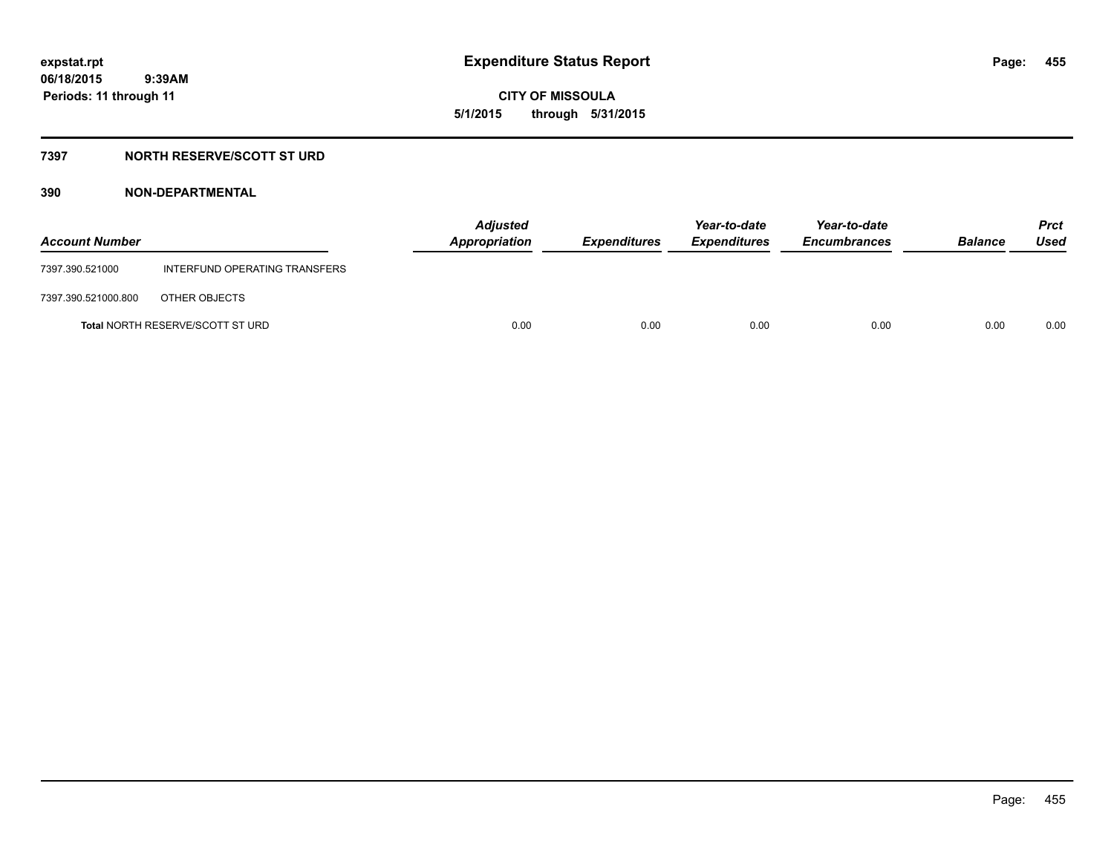**455**

**06/18/2015 9:39AM Periods: 11 through 11**

# **CITY OF MISSOULA 5/1/2015 through 5/31/2015**

# **7397 NORTH RESERVE/SCOTT ST URD**

| <b>Account Number</b> |                                         | <b>Adjusted</b><br><b>Appropriation</b> | Expenditures | Year-to-date<br><b>Expenditures</b> | Year-to-date<br><b>Encumbrances</b> | <b>Balance</b> | <b>Prct</b><br>Used |
|-----------------------|-----------------------------------------|-----------------------------------------|--------------|-------------------------------------|-------------------------------------|----------------|---------------------|
| 7397.390.521000       | INTERFUND OPERATING TRANSFERS           |                                         |              |                                     |                                     |                |                     |
| 7397.390.521000.800   | OTHER OBJECTS                           |                                         |              |                                     |                                     |                |                     |
|                       | <b>Total NORTH RESERVE/SCOTT ST URD</b> | 0.00                                    | 0.00         | 0.00                                | 0.00                                | 0.00           | 0.00                |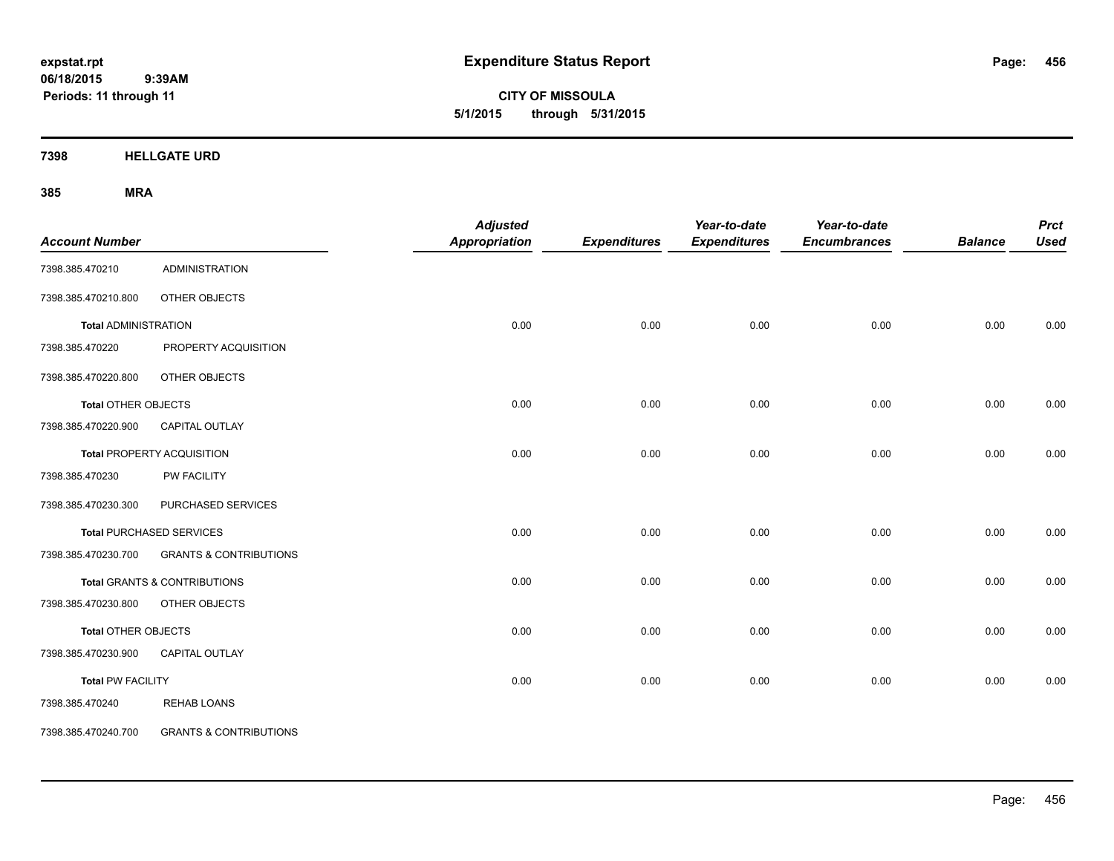**CITY OF MISSOULA 5/1/2015 through 5/31/2015**

**7398 HELLGATE URD**

| <b>Account Number</b>       |                                   | <b>Adjusted</b><br><b>Appropriation</b> | <b>Expenditures</b> | Year-to-date<br><b>Expenditures</b> | Year-to-date<br><b>Encumbrances</b> | <b>Balance</b> | <b>Prct</b><br><b>Used</b> |
|-----------------------------|-----------------------------------|-----------------------------------------|---------------------|-------------------------------------|-------------------------------------|----------------|----------------------------|
| 7398.385.470210             | <b>ADMINISTRATION</b>             |                                         |                     |                                     |                                     |                |                            |
| 7398.385.470210.800         | OTHER OBJECTS                     |                                         |                     |                                     |                                     |                |                            |
| <b>Total ADMINISTRATION</b> |                                   | 0.00                                    | 0.00                | 0.00                                | 0.00                                | 0.00           | 0.00                       |
| 7398.385.470220             | PROPERTY ACQUISITION              |                                         |                     |                                     |                                     |                |                            |
| 7398.385.470220.800         | OTHER OBJECTS                     |                                         |                     |                                     |                                     |                |                            |
| <b>Total OTHER OBJECTS</b>  |                                   | 0.00                                    | 0.00                | 0.00                                | 0.00                                | 0.00           | 0.00                       |
| 7398.385.470220.900         | <b>CAPITAL OUTLAY</b>             |                                         |                     |                                     |                                     |                |                            |
|                             | <b>Total PROPERTY ACQUISITION</b> | 0.00                                    | 0.00                | 0.00                                | 0.00                                | 0.00           | 0.00                       |
| 7398.385.470230             | <b>PW FACILITY</b>                |                                         |                     |                                     |                                     |                |                            |
| 7398.385.470230.300         | PURCHASED SERVICES                |                                         |                     |                                     |                                     |                |                            |
|                             | Total PURCHASED SERVICES          | 0.00                                    | 0.00                | 0.00                                | 0.00                                | 0.00           | 0.00                       |
| 7398.385.470230.700         | <b>GRANTS &amp; CONTRIBUTIONS</b> |                                         |                     |                                     |                                     |                |                            |
|                             | Total GRANTS & CONTRIBUTIONS      | 0.00                                    | 0.00                | 0.00                                | 0.00                                | 0.00           | 0.00                       |
| 7398.385.470230.800         | OTHER OBJECTS                     |                                         |                     |                                     |                                     |                |                            |
| <b>Total OTHER OBJECTS</b>  |                                   | 0.00                                    | 0.00                | 0.00                                | 0.00                                | 0.00           | 0.00                       |
| 7398.385.470230.900         | <b>CAPITAL OUTLAY</b>             |                                         |                     |                                     |                                     |                |                            |
| <b>Total PW FACILITY</b>    |                                   | 0.00                                    | 0.00                | 0.00                                | 0.00                                | 0.00           | 0.00                       |
| 7398.385.470240             | <b>REHAB LOANS</b>                |                                         |                     |                                     |                                     |                |                            |
| 7398.385.470240.700         | <b>GRANTS &amp; CONTRIBUTIONS</b> |                                         |                     |                                     |                                     |                |                            |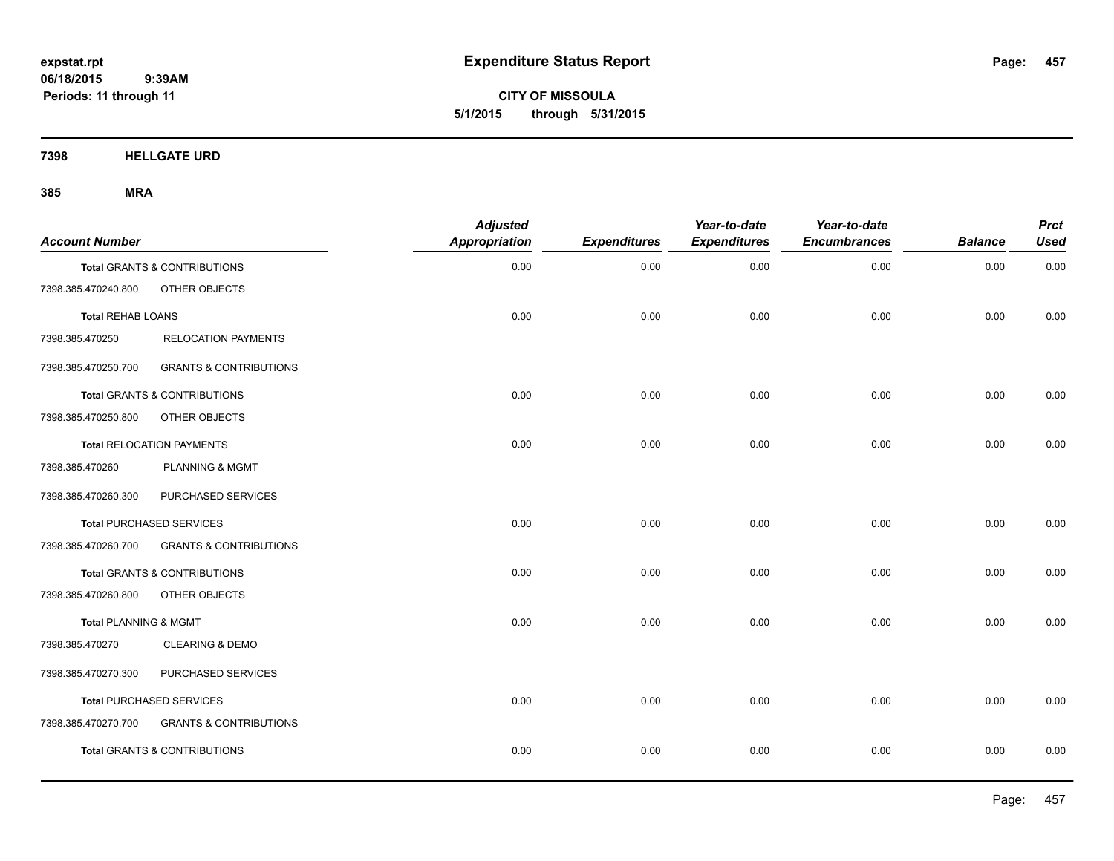**CITY OF MISSOULA 5/1/2015 through 5/31/2015**

**7398 HELLGATE URD**

| <b>Account Number</b>            |                                         | <b>Adjusted</b><br><b>Appropriation</b> | <b>Expenditures</b> | Year-to-date<br><b>Expenditures</b> | Year-to-date<br><b>Encumbrances</b> | <b>Balance</b> | <b>Prct</b><br><b>Used</b> |
|----------------------------------|-----------------------------------------|-----------------------------------------|---------------------|-------------------------------------|-------------------------------------|----------------|----------------------------|
|                                  | <b>Total GRANTS &amp; CONTRIBUTIONS</b> | 0.00                                    | 0.00                | 0.00                                | 0.00                                | 0.00           | 0.00                       |
| 7398.385.470240.800              | OTHER OBJECTS                           |                                         |                     |                                     |                                     |                |                            |
| <b>Total REHAB LOANS</b>         |                                         | 0.00                                    | 0.00                | 0.00                                | 0.00                                | 0.00           | 0.00                       |
| 7398.385.470250                  | <b>RELOCATION PAYMENTS</b>              |                                         |                     |                                     |                                     |                |                            |
| 7398.385.470250.700              | <b>GRANTS &amp; CONTRIBUTIONS</b>       |                                         |                     |                                     |                                     |                |                            |
|                                  | Total GRANTS & CONTRIBUTIONS            | 0.00                                    | 0.00                | 0.00                                | 0.00                                | 0.00           | 0.00                       |
| 7398.385.470250.800              | OTHER OBJECTS                           |                                         |                     |                                     |                                     |                |                            |
|                                  | <b>Total RELOCATION PAYMENTS</b>        | 0.00                                    | 0.00                | 0.00                                | 0.00                                | 0.00           | 0.00                       |
| 7398.385.470260                  | PLANNING & MGMT                         |                                         |                     |                                     |                                     |                |                            |
| 7398.385.470260.300              | PURCHASED SERVICES                      |                                         |                     |                                     |                                     |                |                            |
|                                  | <b>Total PURCHASED SERVICES</b>         | 0.00                                    | 0.00                | 0.00                                | 0.00                                | 0.00           | 0.00                       |
| 7398.385.470260.700              | <b>GRANTS &amp; CONTRIBUTIONS</b>       |                                         |                     |                                     |                                     |                |                            |
|                                  | <b>Total GRANTS &amp; CONTRIBUTIONS</b> | 0.00                                    | 0.00                | 0.00                                | 0.00                                | 0.00           | 0.00                       |
| 7398.385.470260.800              | OTHER OBJECTS                           |                                         |                     |                                     |                                     |                |                            |
| <b>Total PLANNING &amp; MGMT</b> |                                         | 0.00                                    | 0.00                | 0.00                                | 0.00                                | 0.00           | 0.00                       |
| 7398.385.470270                  | <b>CLEARING &amp; DEMO</b>              |                                         |                     |                                     |                                     |                |                            |
| 7398.385.470270.300              | PURCHASED SERVICES                      |                                         |                     |                                     |                                     |                |                            |
|                                  | Total PURCHASED SERVICES                | 0.00                                    | 0.00                | 0.00                                | 0.00                                | 0.00           | 0.00                       |
| 7398.385.470270.700              | <b>GRANTS &amp; CONTRIBUTIONS</b>       |                                         |                     |                                     |                                     |                |                            |
|                                  | <b>Total GRANTS &amp; CONTRIBUTIONS</b> | 0.00                                    | 0.00                | 0.00                                | 0.00                                | 0.00           | 0.00                       |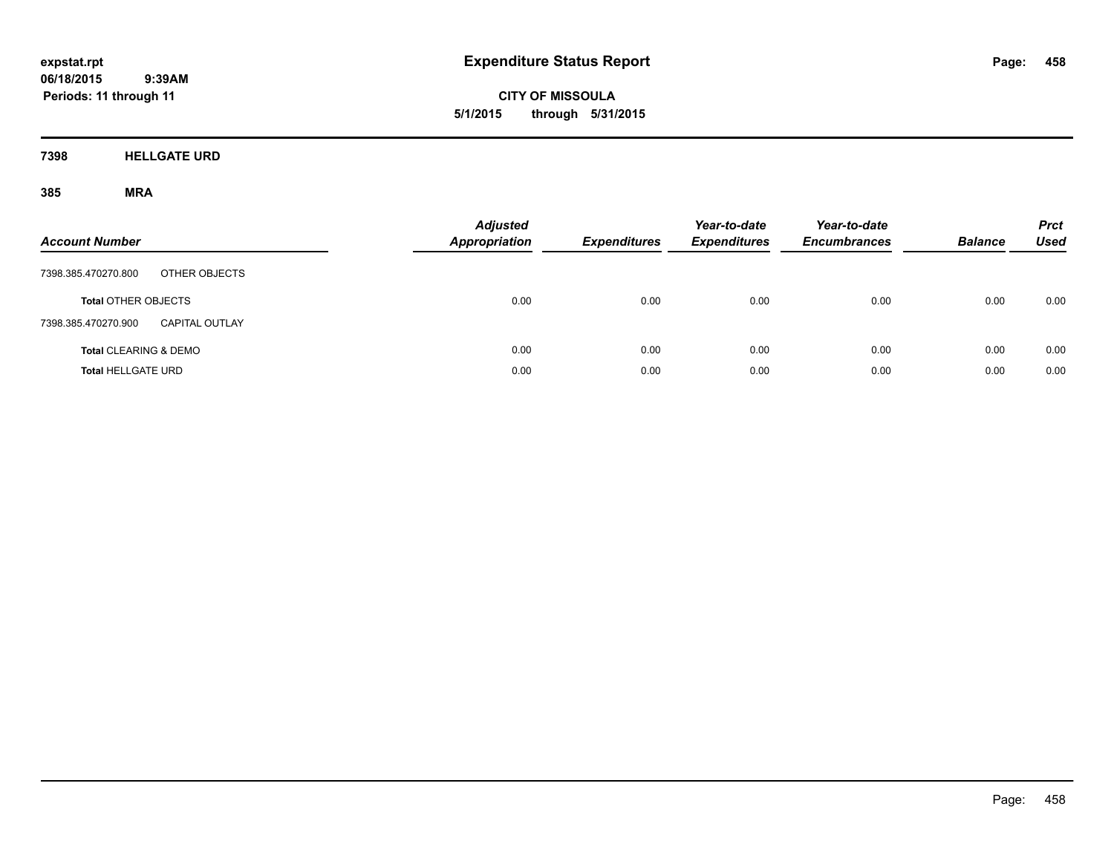**CITY OF MISSOULA 5/1/2015 through 5/31/2015**

**7398 HELLGATE URD**

| <b>Account Number</b>                 | <b>Adjusted</b><br><b>Appropriation</b> | <b>Expenditures</b> | Year-to-date<br><b>Expenditures</b> | Year-to-date<br><b>Encumbrances</b> | <b>Balance</b> | <b>Prct</b><br><b>Used</b> |
|---------------------------------------|-----------------------------------------|---------------------|-------------------------------------|-------------------------------------|----------------|----------------------------|
| 7398.385.470270.800<br>OTHER OBJECTS  |                                         |                     |                                     |                                     |                |                            |
| <b>Total OTHER OBJECTS</b>            | 0.00                                    | 0.00                | 0.00                                | 0.00                                | 0.00           | 0.00                       |
| 7398.385.470270.900<br>CAPITAL OUTLAY |                                         |                     |                                     |                                     |                |                            |
| <b>Total CLEARING &amp; DEMO</b>      | 0.00                                    | 0.00                | 0.00                                | 0.00                                | 0.00           | 0.00                       |
| <b>Total HELLGATE URD</b>             | 0.00                                    | 0.00                | 0.00                                | 0.00                                | 0.00           | 0.00                       |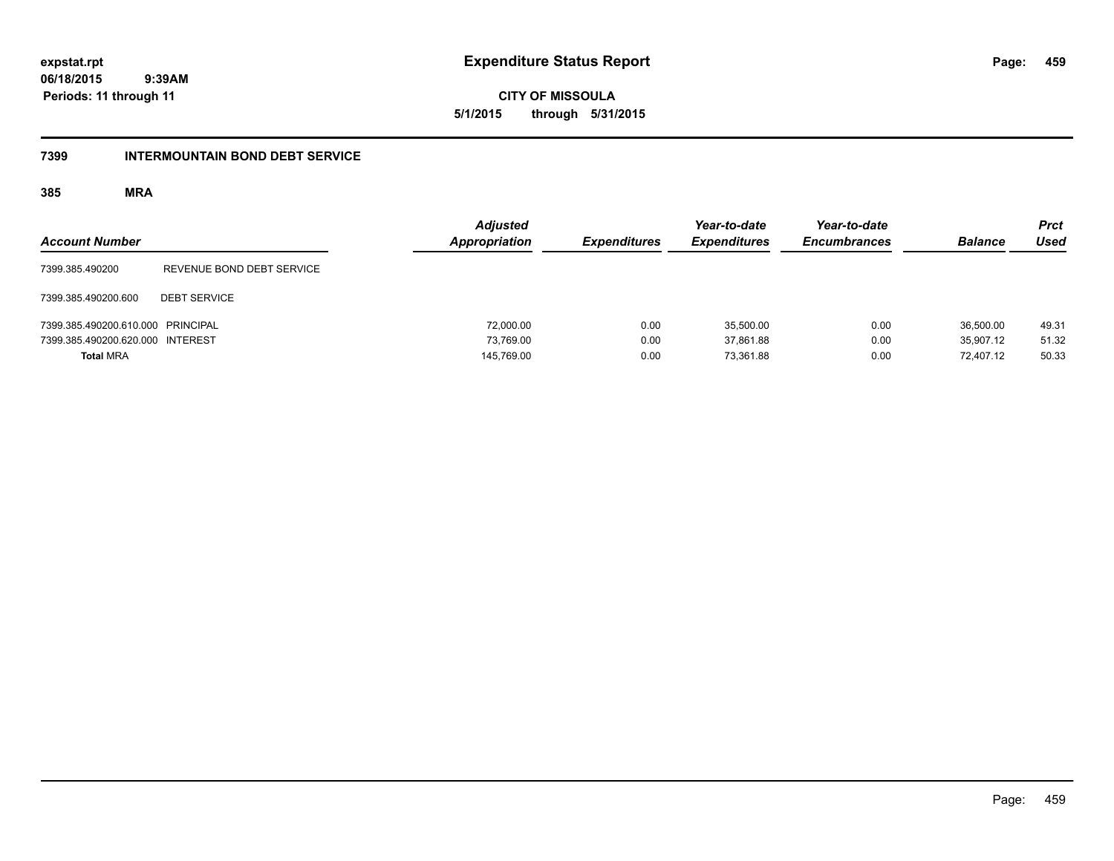**expstat.rpt Expenditure Status Report** 

**06/18/2015 9:39AM Periods: 11 through 11**

**CITY OF MISSOULA 5/1/2015 through 5/31/2015**

## **7399 INTERMOUNTAIN BOND DEBT SERVICE**

| <b>Account Number</b>             |                           | <b>Adjusted</b><br>Appropriation | <b>Expenditures</b> | Year-to-date<br><b>Expenditures</b> | Year-to-date<br><b>Encumbrances</b> | <b>Balance</b> | <b>Prct</b><br><b>Used</b> |
|-----------------------------------|---------------------------|----------------------------------|---------------------|-------------------------------------|-------------------------------------|----------------|----------------------------|
| 7399.385.490200                   | REVENUE BOND DEBT SERVICE |                                  |                     |                                     |                                     |                |                            |
| 7399.385.490200.600               | <b>DEBT SERVICE</b>       |                                  |                     |                                     |                                     |                |                            |
| 7399.385.490200.610.000 PRINCIPAL |                           | 72,000.00                        | 0.00                | 35.500.00                           | 0.00                                | 36,500.00      | 49.31                      |
| 7399.385.490200.620.000 INTEREST  |                           | 73.769.00                        | 0.00                | 37.861.88                           | 0.00                                | 35.907.12      | 51.32                      |
| <b>Total MRA</b>                  |                           | 145,769.00                       | 0.00                | 73.361.88                           | 0.00                                | 72.407.12      | 50.33                      |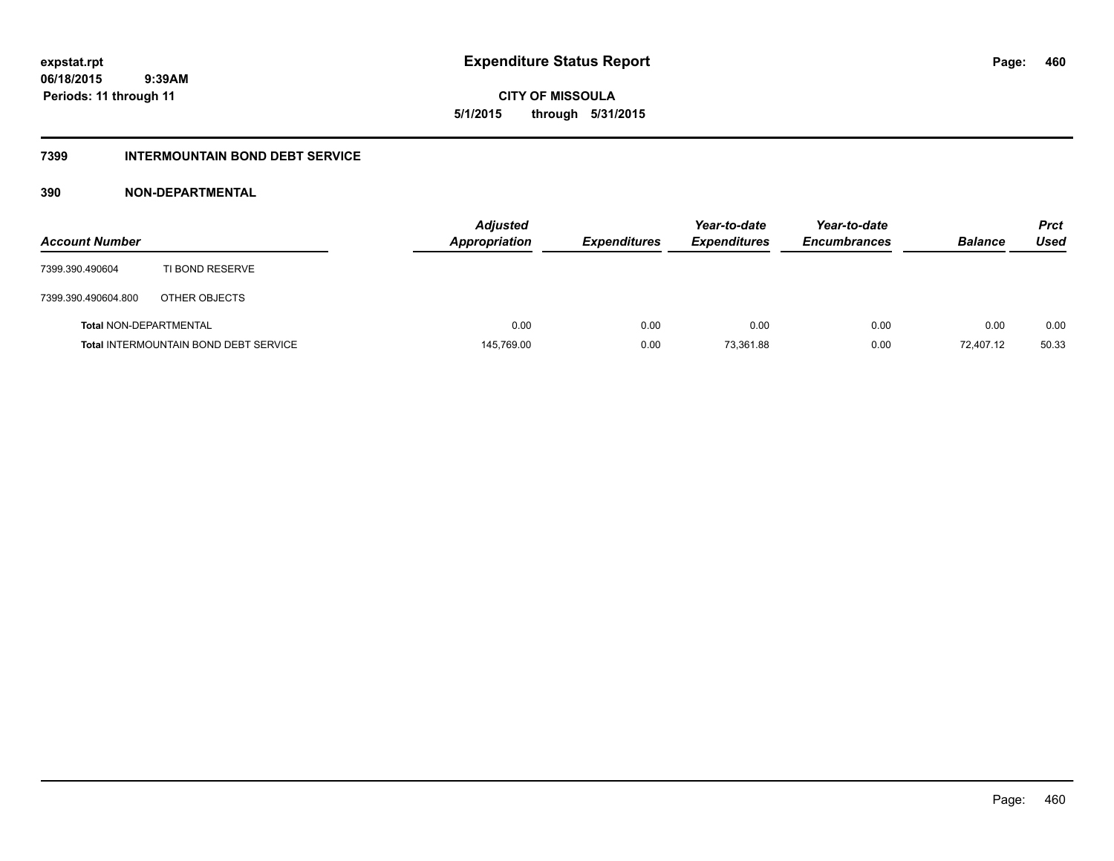**CITY OF MISSOULA 5/1/2015 through 5/31/2015**

# **7399 INTERMOUNTAIN BOND DEBT SERVICE**

| <b>Account Number</b>         |                                              | <b>Adjusted</b><br>Appropriation | <b>Expenditures</b> | Year-to-date<br><b>Expenditures</b> | Year-to-date<br><b>Encumbrances</b> | <b>Balance</b> | <b>Prct</b><br>Used |
|-------------------------------|----------------------------------------------|----------------------------------|---------------------|-------------------------------------|-------------------------------------|----------------|---------------------|
| 7399.390.490604               | TI BOND RESERVE                              |                                  |                     |                                     |                                     |                |                     |
| 7399.390.490604.800           | OTHER OBJECTS                                |                                  |                     |                                     |                                     |                |                     |
| <b>Total NON-DEPARTMENTAL</b> |                                              | 0.00                             | 0.00                | 0.00                                | 0.00                                | 0.00           | 0.00                |
|                               | <b>Total INTERMOUNTAIN BOND DEBT SERVICE</b> | 145,769.00                       | 0.00                | 73,361.88                           | 0.00                                | 72.407.12      | 50.33               |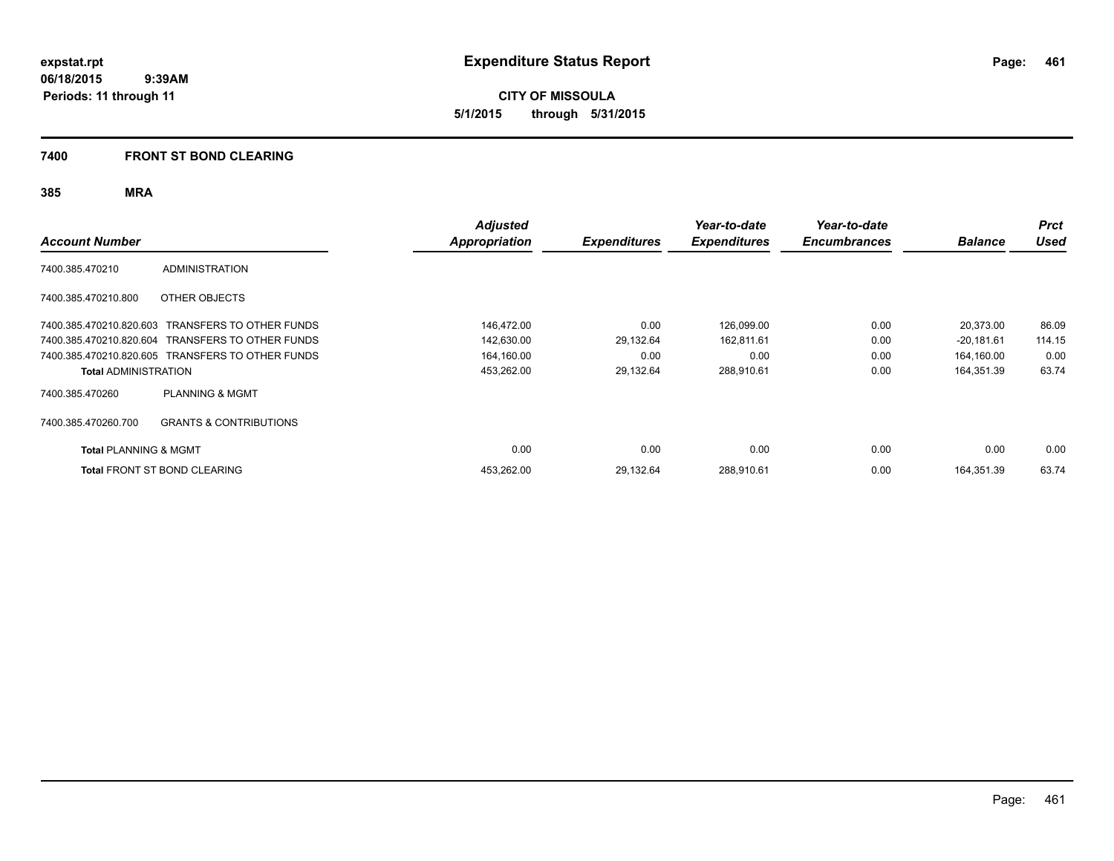**CITY OF MISSOULA 5/1/2015 through 5/31/2015**

# **7400 FRONT ST BOND CLEARING**

| <b>Account Number</b>            |                                                  | <b>Adjusted</b><br>Appropriation | <b>Expenditures</b> | Year-to-date<br><b>Expenditures</b> | Year-to-date<br><b>Encumbrances</b> | <b>Balance</b> | <b>Prct</b><br><b>Used</b> |
|----------------------------------|--------------------------------------------------|----------------------------------|---------------------|-------------------------------------|-------------------------------------|----------------|----------------------------|
| 7400.385.470210                  | <b>ADMINISTRATION</b>                            |                                  |                     |                                     |                                     |                |                            |
| 7400.385.470210.800              | OTHER OBJECTS                                    |                                  |                     |                                     |                                     |                |                            |
|                                  | 7400.385.470210.820.603 TRANSFERS TO OTHER FUNDS | 146,472.00                       | 0.00                | 126,099.00                          | 0.00                                | 20,373.00      | 86.09                      |
|                                  | 7400.385.470210.820.604 TRANSFERS TO OTHER FUNDS | 142,630.00                       | 29,132.64           | 162,811.61                          | 0.00                                | $-20,181.61$   | 114.15                     |
|                                  | 7400.385.470210.820.605 TRANSFERS TO OTHER FUNDS | 164,160.00                       | 0.00                | 0.00                                | 0.00                                | 164,160.00     | 0.00                       |
| <b>Total ADMINISTRATION</b>      |                                                  | 453,262.00                       | 29,132.64           | 288,910.61                          | 0.00                                | 164,351.39     | 63.74                      |
| 7400.385.470260                  | <b>PLANNING &amp; MGMT</b>                       |                                  |                     |                                     |                                     |                |                            |
| 7400.385.470260.700              | <b>GRANTS &amp; CONTRIBUTIONS</b>                |                                  |                     |                                     |                                     |                |                            |
| <b>Total PLANNING &amp; MGMT</b> |                                                  | 0.00                             | 0.00                | 0.00                                | 0.00                                | 0.00           | 0.00                       |
|                                  | <b>Total FRONT ST BOND CLEARING</b>              | 453,262.00                       | 29,132.64           | 288,910.61                          | 0.00                                | 164,351.39     | 63.74                      |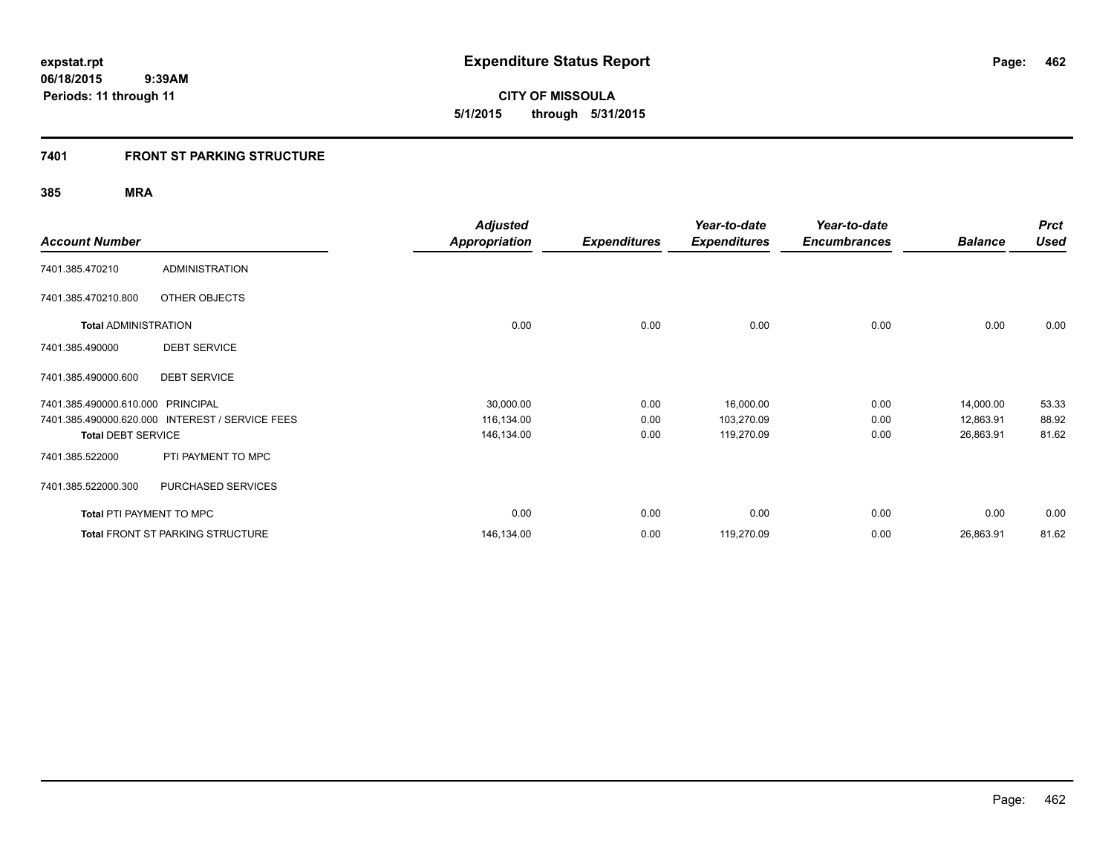**462**

**06/18/2015 9:39AM Periods: 11 through 11**

**CITY OF MISSOULA 5/1/2015 through 5/31/2015**

# **7401 FRONT ST PARKING STRUCTURE**

| <b>Account Number</b>             |                                                 | <b>Adjusted</b><br><b>Appropriation</b> | <b>Expenditures</b> | Year-to-date<br><b>Expenditures</b> | Year-to-date<br><b>Encumbrances</b> | <b>Balance</b> | <b>Prct</b><br>Used |
|-----------------------------------|-------------------------------------------------|-----------------------------------------|---------------------|-------------------------------------|-------------------------------------|----------------|---------------------|
| 7401.385.470210                   | <b>ADMINISTRATION</b>                           |                                         |                     |                                     |                                     |                |                     |
| 7401.385.470210.800               | OTHER OBJECTS                                   |                                         |                     |                                     |                                     |                |                     |
| <b>Total ADMINISTRATION</b>       |                                                 | 0.00                                    | 0.00                | 0.00                                | 0.00                                | 0.00           | 0.00                |
| 7401.385.490000                   | <b>DEBT SERVICE</b>                             |                                         |                     |                                     |                                     |                |                     |
| 7401.385.490000.600               | <b>DEBT SERVICE</b>                             |                                         |                     |                                     |                                     |                |                     |
| 7401.385.490000.610.000 PRINCIPAL |                                                 | 30,000.00                               | 0.00                | 16,000.00                           | 0.00                                | 14,000.00      | 53.33               |
|                                   | 7401.385.490000.620.000 INTEREST / SERVICE FEES | 116,134.00                              | 0.00                | 103,270.09                          | 0.00                                | 12,863.91      | 88.92               |
| <b>Total DEBT SERVICE</b>         |                                                 | 146,134.00                              | 0.00                | 119,270.09                          | 0.00                                | 26,863.91      | 81.62               |
| 7401.385.522000                   | PTI PAYMENT TO MPC                              |                                         |                     |                                     |                                     |                |                     |
| 7401.385.522000.300               | PURCHASED SERVICES                              |                                         |                     |                                     |                                     |                |                     |
| <b>Total PTI PAYMENT TO MPC</b>   |                                                 | 0.00                                    | 0.00                | 0.00                                | 0.00                                | 0.00           | 0.00                |
|                                   | <b>Total FRONT ST PARKING STRUCTURE</b>         | 146,134.00                              | 0.00                | 119,270.09                          | 0.00                                | 26,863.91      | 81.62               |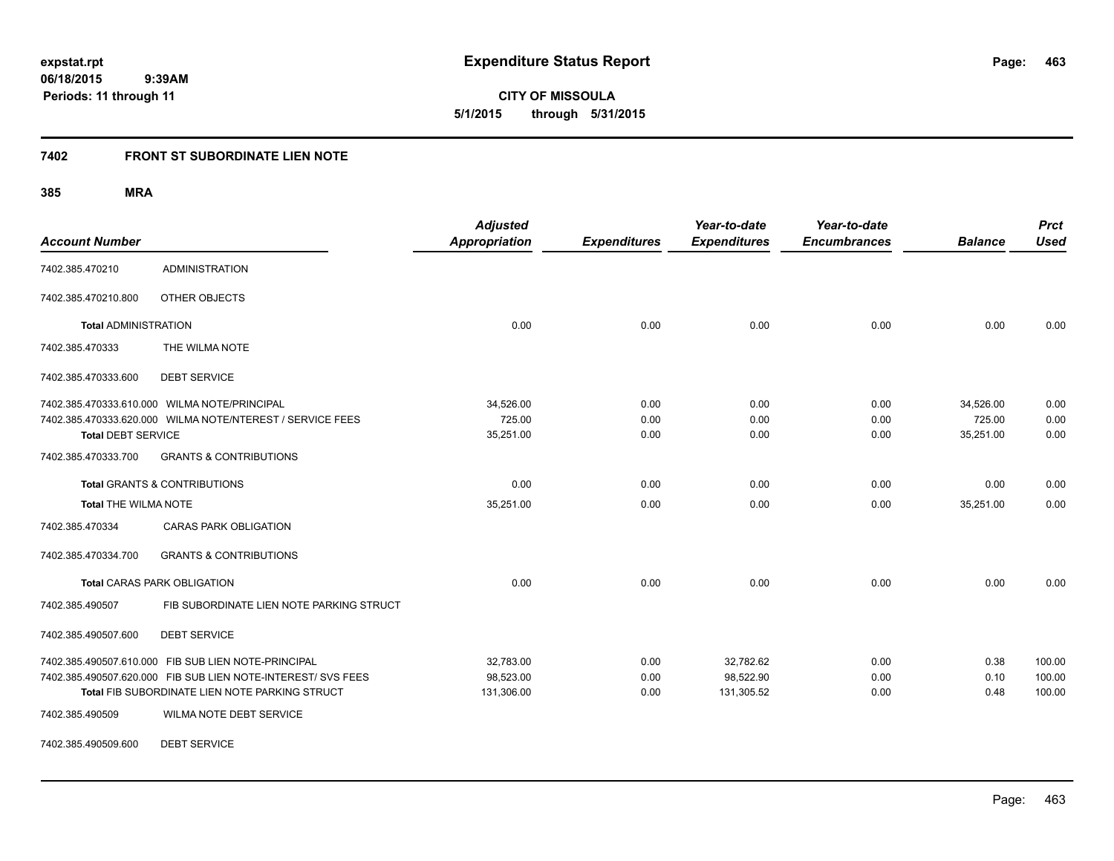**463**

**CITY OF MISSOULA 5/1/2015 through 5/31/2015**

# **7402 FRONT ST SUBORDINATE LIEN NOTE**

**385 MRA**

| <b>Account Number</b>       |                                                              | <b>Adjusted</b><br><b>Appropriation</b> | <b>Expenditures</b> | Year-to-date<br><b>Expenditures</b> | Year-to-date<br><b>Encumbrances</b> | <b>Balance</b> | <b>Prct</b><br><b>Used</b> |
|-----------------------------|--------------------------------------------------------------|-----------------------------------------|---------------------|-------------------------------------|-------------------------------------|----------------|----------------------------|
| 7402.385.470210             | <b>ADMINISTRATION</b>                                        |                                         |                     |                                     |                                     |                |                            |
| 7402.385.470210.800         | OTHER OBJECTS                                                |                                         |                     |                                     |                                     |                |                            |
| <b>Total ADMINISTRATION</b> |                                                              | 0.00                                    | 0.00                | 0.00                                | 0.00                                | 0.00           | 0.00                       |
| 7402.385.470333             | THE WILMA NOTE                                               |                                         |                     |                                     |                                     |                |                            |
| 7402.385.470333.600         | <b>DEBT SERVICE</b>                                          |                                         |                     |                                     |                                     |                |                            |
|                             | 7402.385.470333.610.000 WILMA NOTE/PRINCIPAL                 | 34,526.00                               | 0.00                | 0.00                                | 0.00                                | 34,526.00      | 0.00                       |
|                             | 7402.385.470333.620.000 WILMA NOTE/NTEREST / SERVICE FEES    | 725.00                                  | 0.00                | 0.00                                | 0.00                                | 725.00         | 0.00                       |
| <b>Total DEBT SERVICE</b>   |                                                              | 35,251.00                               | 0.00                | 0.00                                | 0.00                                | 35,251.00      | 0.00                       |
| 7402.385.470333.700         | <b>GRANTS &amp; CONTRIBUTIONS</b>                            |                                         |                     |                                     |                                     |                |                            |
|                             | <b>Total GRANTS &amp; CONTRIBUTIONS</b>                      | 0.00                                    | 0.00                | 0.00                                | 0.00                                | 0.00           | 0.00                       |
| <b>Total THE WILMA NOTE</b> |                                                              | 35,251.00                               | 0.00                | 0.00                                | 0.00                                | 35,251.00      | 0.00                       |
| 7402.385.470334             | <b>CARAS PARK OBLIGATION</b>                                 |                                         |                     |                                     |                                     |                |                            |
| 7402.385.470334.700         | <b>GRANTS &amp; CONTRIBUTIONS</b>                            |                                         |                     |                                     |                                     |                |                            |
|                             | <b>Total CARAS PARK OBLIGATION</b>                           | 0.00                                    | 0.00                | 0.00                                | 0.00                                | 0.00           | 0.00                       |
| 7402.385.490507             | FIB SUBORDINATE LIEN NOTE PARKING STRUCT                     |                                         |                     |                                     |                                     |                |                            |
| 7402.385.490507.600         | <b>DEBT SERVICE</b>                                          |                                         |                     |                                     |                                     |                |                            |
|                             | 7402.385.490507.610.000 FIB SUB LIEN NOTE-PRINCIPAL          | 32,783.00                               | 0.00                | 32,782.62                           | 0.00                                | 0.38           | 100.00                     |
|                             | 7402.385.490507.620.000 FIB SUB LIEN NOTE-INTEREST/ SVS FEES | 98,523.00                               | 0.00                | 98,522.90                           | 0.00                                | 0.10           | 100.00                     |
|                             | Total FIB SUBORDINATE LIEN NOTE PARKING STRUCT               | 131,306.00                              | 0.00                | 131,305.52                          | 0.00                                | 0.48           | 100.00                     |
| 7402.385.490509             | WILMA NOTE DEBT SERVICE                                      |                                         |                     |                                     |                                     |                |                            |

7402.385.490509.600 DEBT SERVICE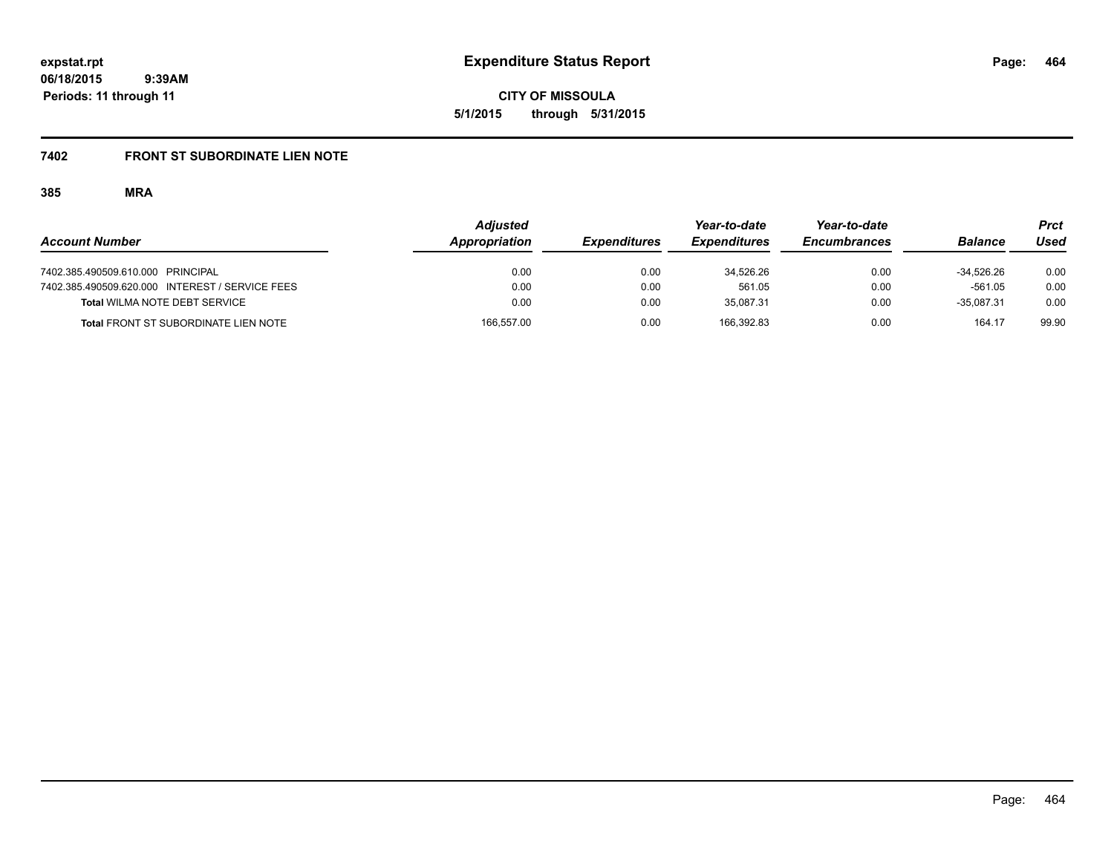**464**

**06/18/2015 9:39AM Periods: 11 through 11**

**CITY OF MISSOULA 5/1/2015 through 5/31/2015**

# **7402 FRONT ST SUBORDINATE LIEN NOTE**

|                                                 | <b>Adjusted</b> |                     | Year-to-date        | Year-to-date        |                | Prct  |
|-------------------------------------------------|-----------------|---------------------|---------------------|---------------------|----------------|-------|
| <b>Account Number</b>                           | Appropriation   | <b>Expenditures</b> | <b>Expenditures</b> | <b>Encumbrances</b> | <b>Balance</b> | Used  |
| 7402.385.490509.610.000 PRINCIPAL               | 0.00            | 0.00                | 34.526.26           | 0.00                | -34.526.26     | 0.00  |
| 7402.385.490509.620.000 INTEREST / SERVICE FEES | 0.00            | 0.00                | 561.05              | 0.00                | $-561.05$      | 0.00  |
| Total WILMA NOTE DEBT SERVICE                   | 0.00            | 0.00                | 35.087.31           | 0.00                | $-35.087.31$   | 0.00  |
| <b>Total FRONT ST SUBORDINATE LIEN NOTE</b>     | 166,557.00      | 0.00                | 166.392.83          | 0.00                | 164.17         | 99.90 |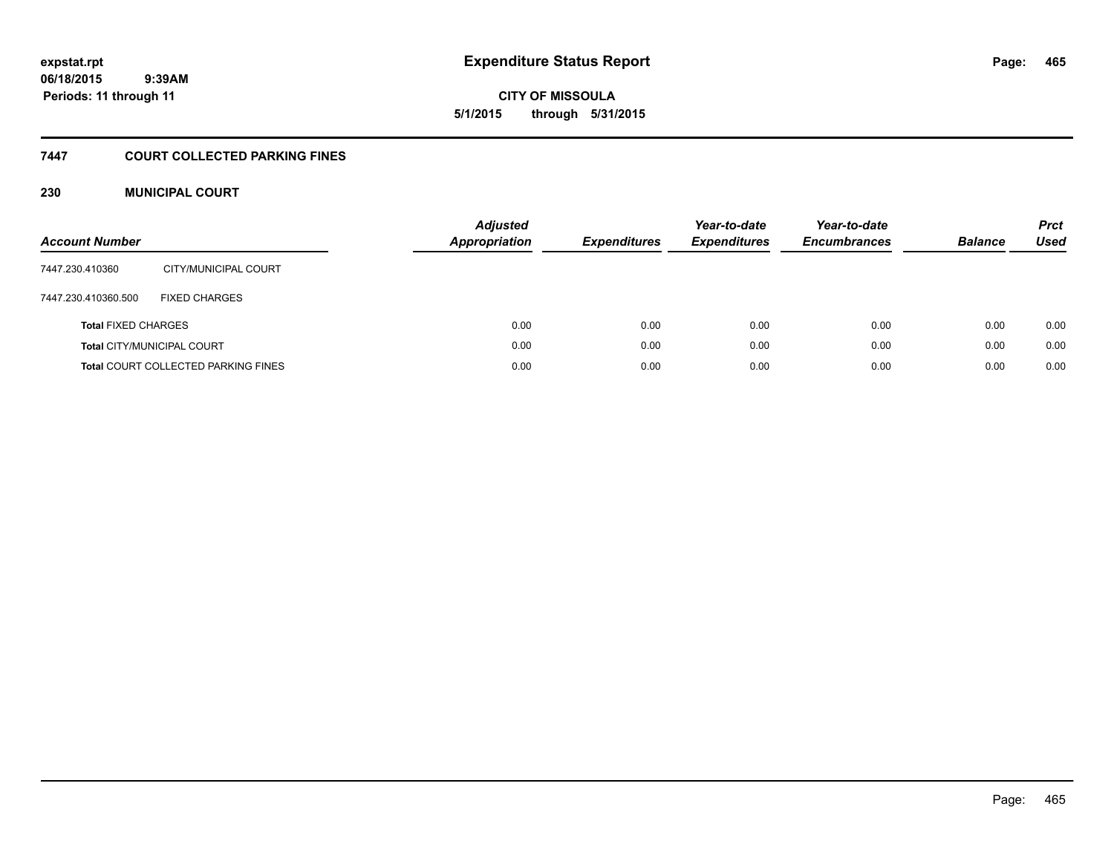**CITY OF MISSOULA 5/1/2015 through 5/31/2015**

# **7447 COURT COLLECTED PARKING FINES**

# **230 MUNICIPAL COURT**

| <b>Account Number</b>      |                                            | <b>Adjusted</b><br><b>Appropriation</b> | <b>Expenditures</b> | Year-to-date<br><b>Expenditures</b> | Year-to-date<br><b>Encumbrances</b> | <b>Balance</b> | <b>Prct</b><br>Used |
|----------------------------|--------------------------------------------|-----------------------------------------|---------------------|-------------------------------------|-------------------------------------|----------------|---------------------|
| 7447.230.410360            | CITY/MUNICIPAL COURT                       |                                         |                     |                                     |                                     |                |                     |
| 7447.230.410360.500        | <b>FIXED CHARGES</b>                       |                                         |                     |                                     |                                     |                |                     |
| <b>Total FIXED CHARGES</b> |                                            | 0.00                                    | 0.00                | 0.00                                | 0.00                                | 0.00           | 0.00                |
|                            | <b>Total CITY/MUNICIPAL COURT</b>          | 0.00                                    | 0.00                | 0.00                                | 0.00                                | 0.00           | 0.00                |
|                            | <b>Total COURT COLLECTED PARKING FINES</b> | 0.00                                    | 0.00                | 0.00                                | 0.00                                | 0.00           | 0.00                |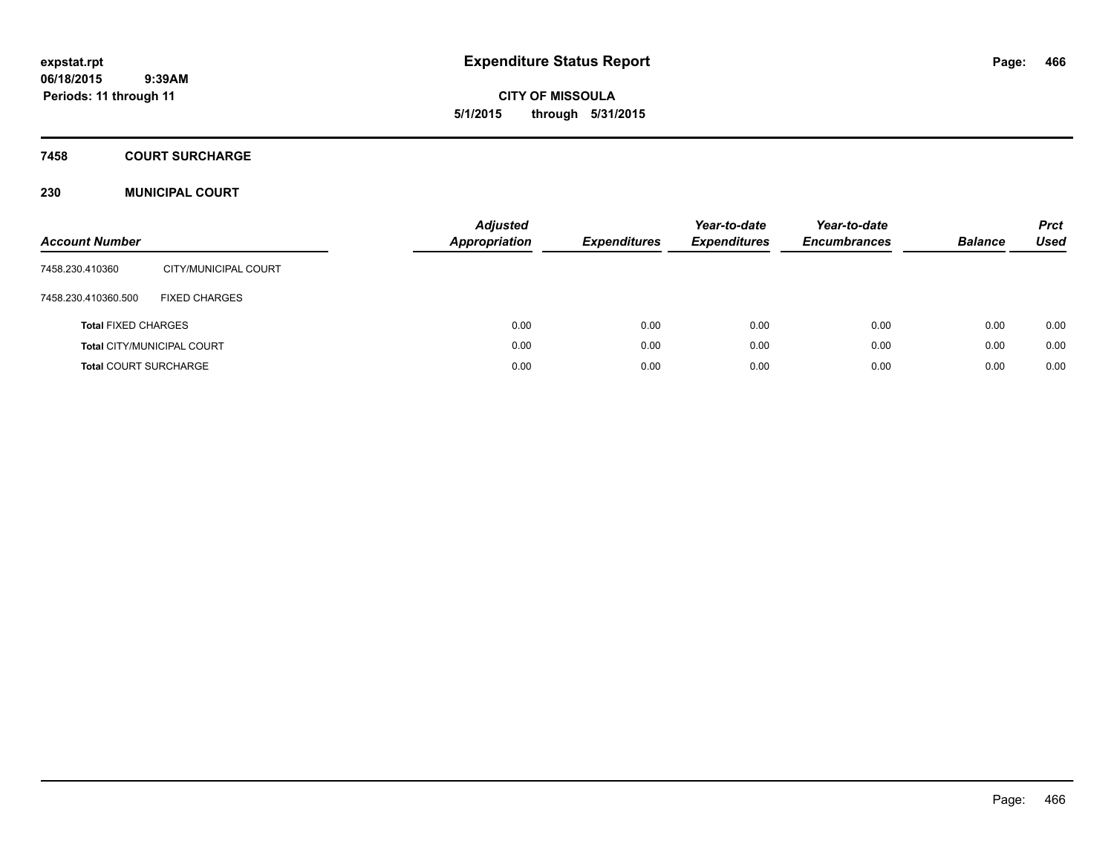**CITY OF MISSOULA 5/1/2015 through 5/31/2015**

## **7458 COURT SURCHARGE**

# **230 MUNICIPAL COURT**

| <b>Account Number</b>        |                                   | <b>Adjusted</b><br>Appropriation | <b>Expenditures</b> | Year-to-date<br><b>Expenditures</b> | Year-to-date<br><b>Encumbrances</b> | <b>Balance</b> | <b>Prct</b><br>Used |
|------------------------------|-----------------------------------|----------------------------------|---------------------|-------------------------------------|-------------------------------------|----------------|---------------------|
| 7458.230.410360              | CITY/MUNICIPAL COURT              |                                  |                     |                                     |                                     |                |                     |
| 7458.230.410360.500          | <b>FIXED CHARGES</b>              |                                  |                     |                                     |                                     |                |                     |
| <b>Total FIXED CHARGES</b>   |                                   | 0.00                             | 0.00                | 0.00                                | 0.00                                | 0.00           | 0.00                |
|                              | <b>Total CITY/MUNICIPAL COURT</b> | 0.00                             | 0.00                | 0.00                                | 0.00                                | 0.00           | 0.00                |
| <b>Total COURT SURCHARGE</b> |                                   | 0.00                             | 0.00                | 0.00                                | 0.00                                | 0.00           | 0.00                |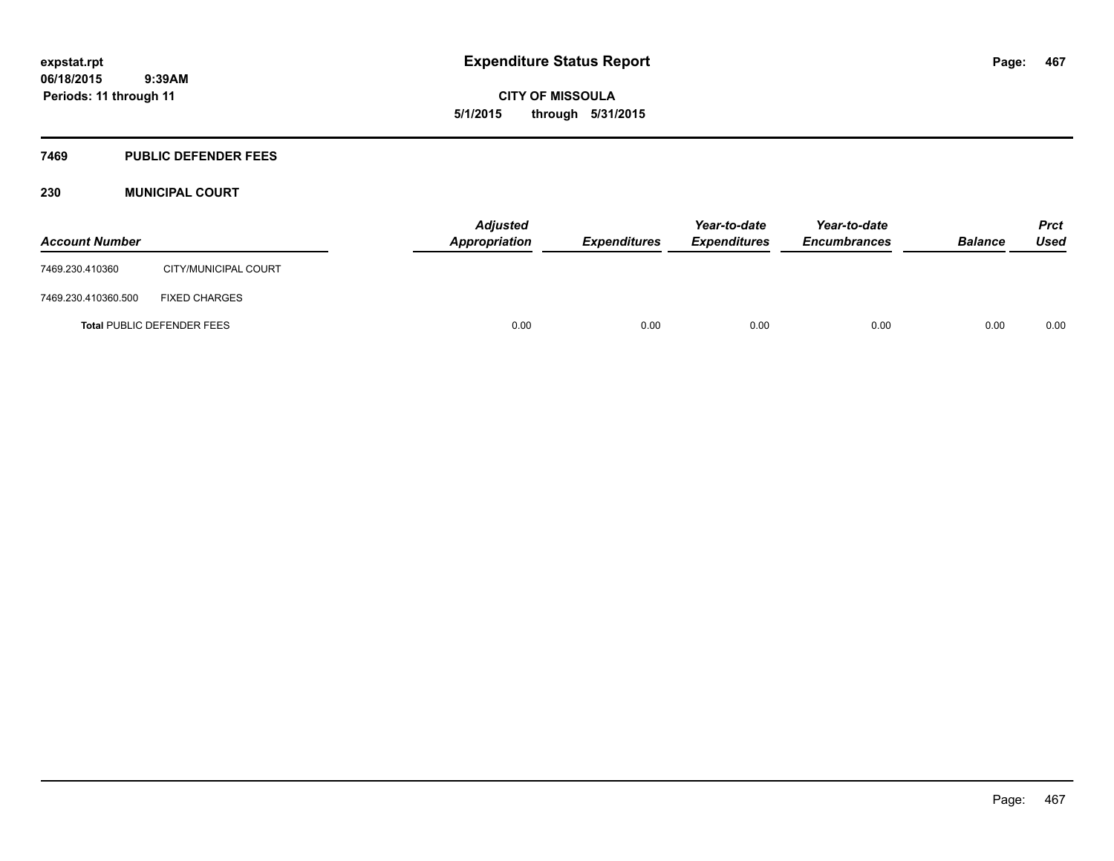**CITY OF MISSOULA 5/1/2015 through 5/31/2015**

# **7469 PUBLIC DEFENDER FEES**

# **230 MUNICIPAL COURT**

| <b>Account Number</b> |                                   | Appropriation | <b>Adjusted</b> | <i><b>Expenditures</b></i> | Year-to-date<br><i><b>Expenditures</b></i> | Year-to-date<br><b>Encumbrances</b> | <b>Balance</b> | <b>Prct</b><br>Used |
|-----------------------|-----------------------------------|---------------|-----------------|----------------------------|--------------------------------------------|-------------------------------------|----------------|---------------------|
| 7469.230.410360       | CITY/MUNICIPAL COURT              |               |                 |                            |                                            |                                     |                |                     |
| 7469.230.410360.500   | <b>FIXED CHARGES</b>              |               |                 |                            |                                            |                                     |                |                     |
|                       | <b>Total PUBLIC DEFENDER FEES</b> |               | 0.00            | 0.00                       | 0.00                                       | 0.00                                | 0.00           | 0.00                |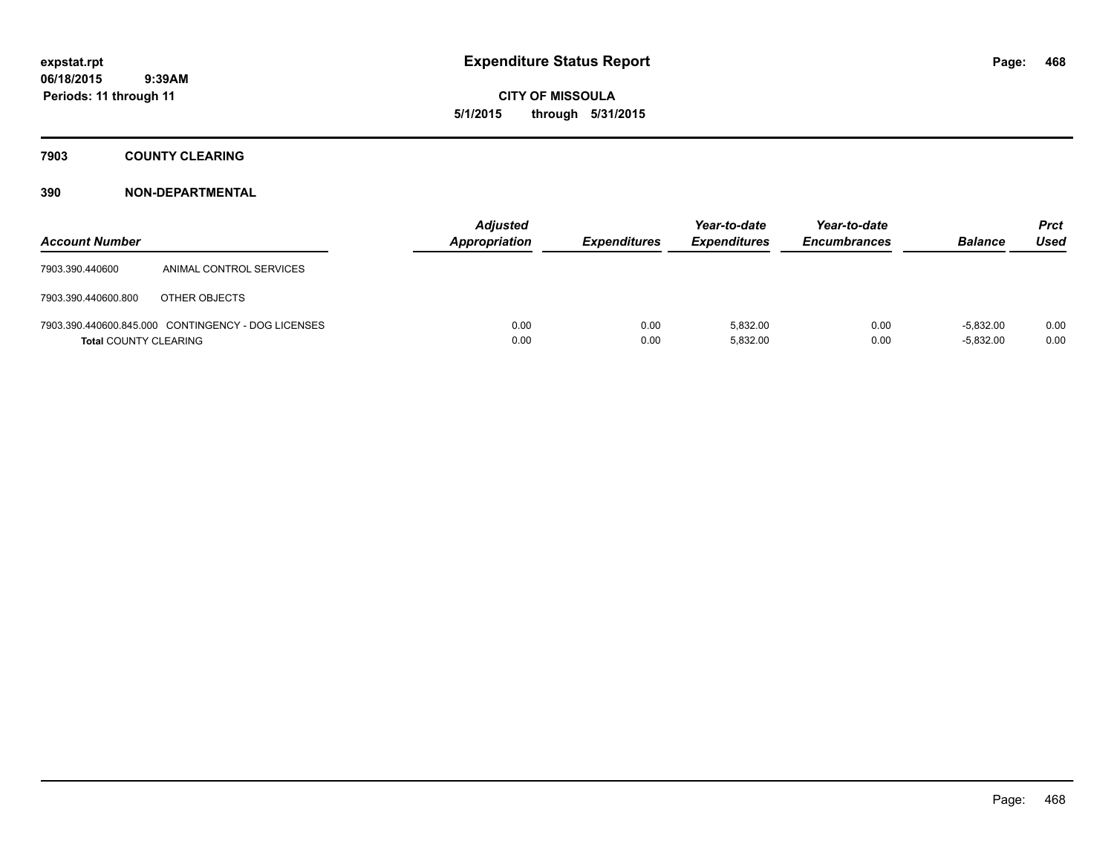**CITY OF MISSOULA 5/1/2015 through 5/31/2015**

# **7903 COUNTY CLEARING**

| <b>Account Number</b>        |                                                    | <b>Adjusted</b><br><b>Appropriation</b> | <b>Expenditures</b> | Year-to-date<br><b>Expenditures</b> | Year-to-date<br><b>Encumbrances</b> | <b>Balance</b>             | Prct<br>Used |
|------------------------------|----------------------------------------------------|-----------------------------------------|---------------------|-------------------------------------|-------------------------------------|----------------------------|--------------|
| 7903.390.440600              | ANIMAL CONTROL SERVICES                            |                                         |                     |                                     |                                     |                            |              |
| 7903.390.440600.800          | OTHER OBJECTS                                      |                                         |                     |                                     |                                     |                            |              |
| <b>Total COUNTY CLEARING</b> | 7903.390.440600.845.000 CONTINGENCY - DOG LICENSES | 0.00<br>0.00                            | 0.00<br>0.00        | 5.832.00<br>5,832.00                | 0.00<br>0.00                        | $-5.832.00$<br>$-5,832.00$ | 0.00<br>0.00 |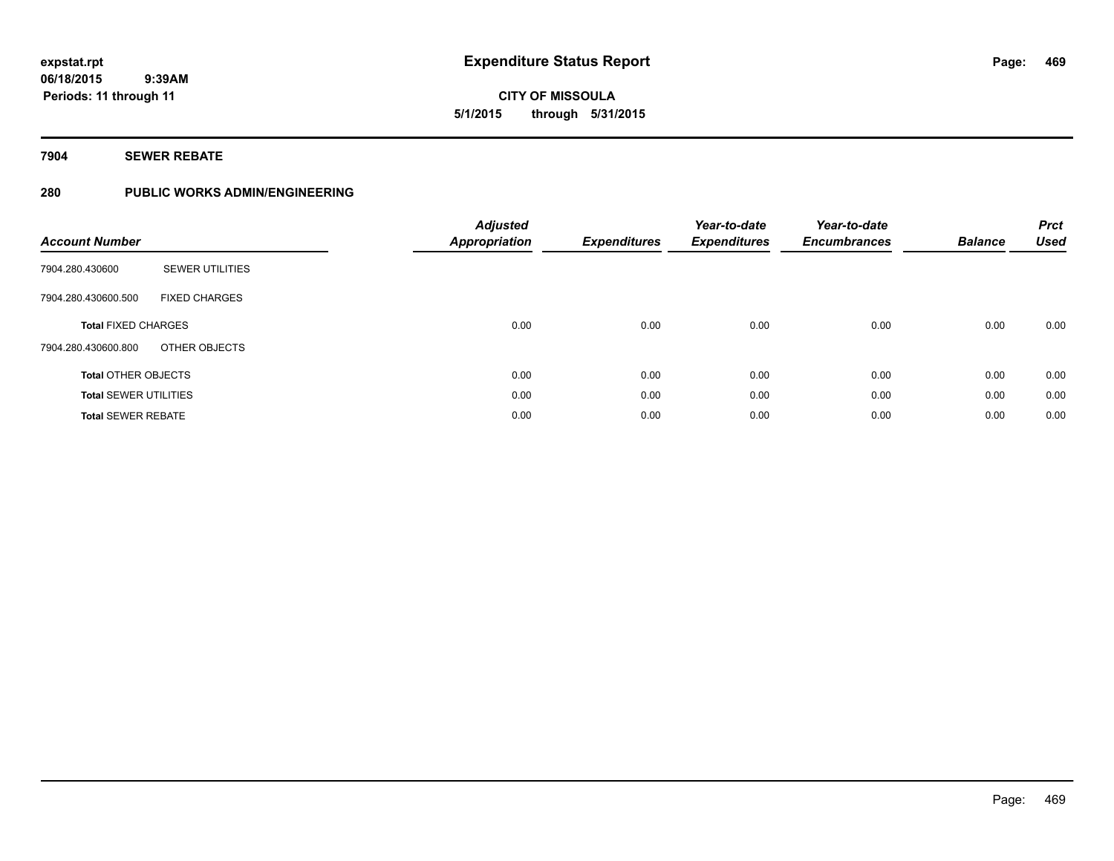**469**

**06/18/2015 9:39AM Periods: 11 through 11**

**CITY OF MISSOULA 5/1/2015 through 5/31/2015**

**7904 SEWER REBATE**

## **280 PUBLIC WORKS ADMIN/ENGINEERING**

| <b>Account Number</b>                       | <b>Adjusted</b><br><b>Appropriation</b> | <b>Expenditures</b> | Year-to-date<br><b>Expenditures</b> | Year-to-date<br><b>Encumbrances</b> | <b>Balance</b> | <b>Prct</b><br><b>Used</b> |
|---------------------------------------------|-----------------------------------------|---------------------|-------------------------------------|-------------------------------------|----------------|----------------------------|
| <b>SEWER UTILITIES</b><br>7904.280.430600   |                                         |                     |                                     |                                     |                |                            |
| <b>FIXED CHARGES</b><br>7904.280.430600.500 |                                         |                     |                                     |                                     |                |                            |
| <b>Total FIXED CHARGES</b>                  | 0.00                                    | 0.00                | 0.00                                | 0.00                                | 0.00           | 0.00                       |
| OTHER OBJECTS<br>7904.280.430600.800        |                                         |                     |                                     |                                     |                |                            |
| <b>Total OTHER OBJECTS</b>                  | 0.00                                    | 0.00                | 0.00                                | 0.00                                | 0.00           | 0.00                       |
| <b>Total SEWER UTILITIES</b>                | 0.00                                    | 0.00                | 0.00                                | 0.00                                | 0.00           | 0.00                       |
| <b>Total SEWER REBATE</b>                   | 0.00                                    | 0.00                | 0.00                                | 0.00                                | 0.00           | 0.00                       |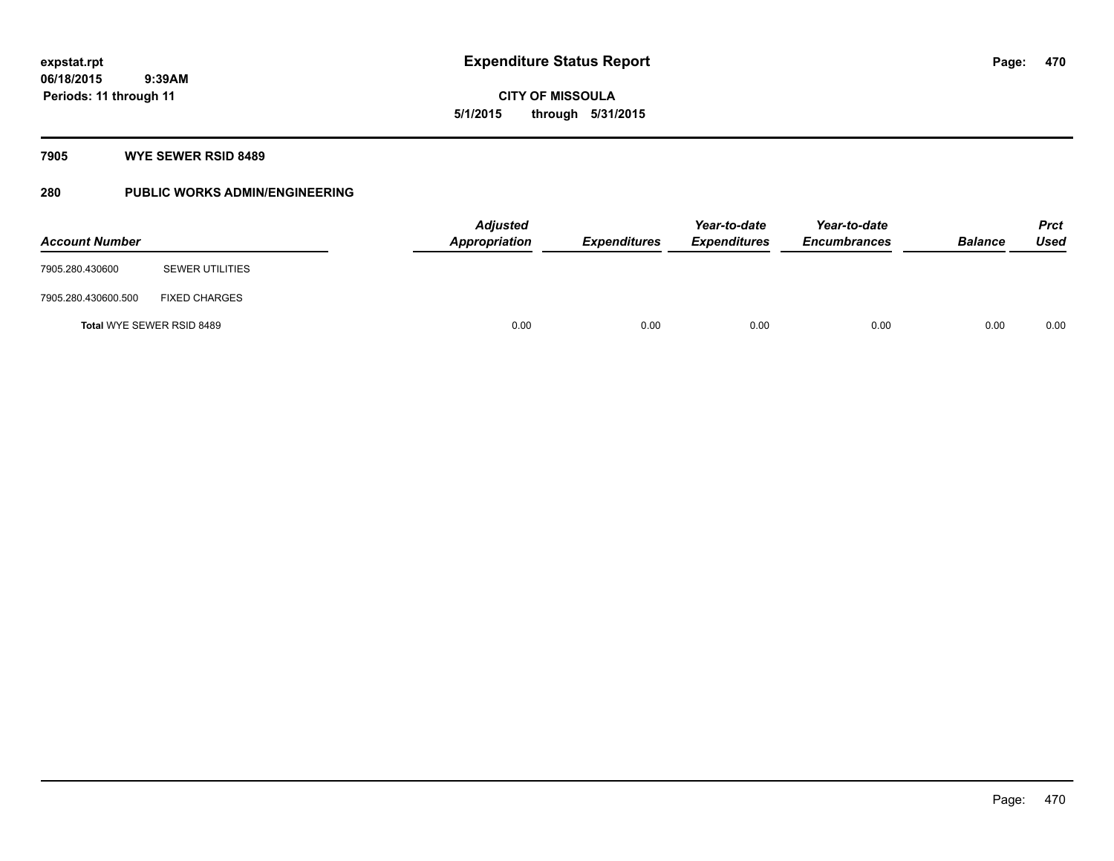**06/18/2015 9:39AM Periods: 11 through 11**

# **CITY OF MISSOULA 5/1/2015 through 5/31/2015**

### **7905 WYE SEWER RSID 8489**

## **280 PUBLIC WORKS ADMIN/ENGINEERING**

| <b>Account Number</b> |                           | <b>Adjusted</b><br>Appropriation | <b>Expenditures</b> | Year-to-date<br><b>Expenditures</b> | Year-to-date<br><b>Encumbrances</b> | <b>Balance</b> | Prct<br><b>Used</b> |
|-----------------------|---------------------------|----------------------------------|---------------------|-------------------------------------|-------------------------------------|----------------|---------------------|
| 7905.280.430600       | <b>SEWER UTILITIES</b>    |                                  |                     |                                     |                                     |                |                     |
| 7905.280.430600.500   | <b>FIXED CHARGES</b>      |                                  |                     |                                     |                                     |                |                     |
|                       | Total WYE SEWER RSID 8489 | 0.00                             | 0.00                | 0.00                                | 0.00                                | 0.00           | 0.00                |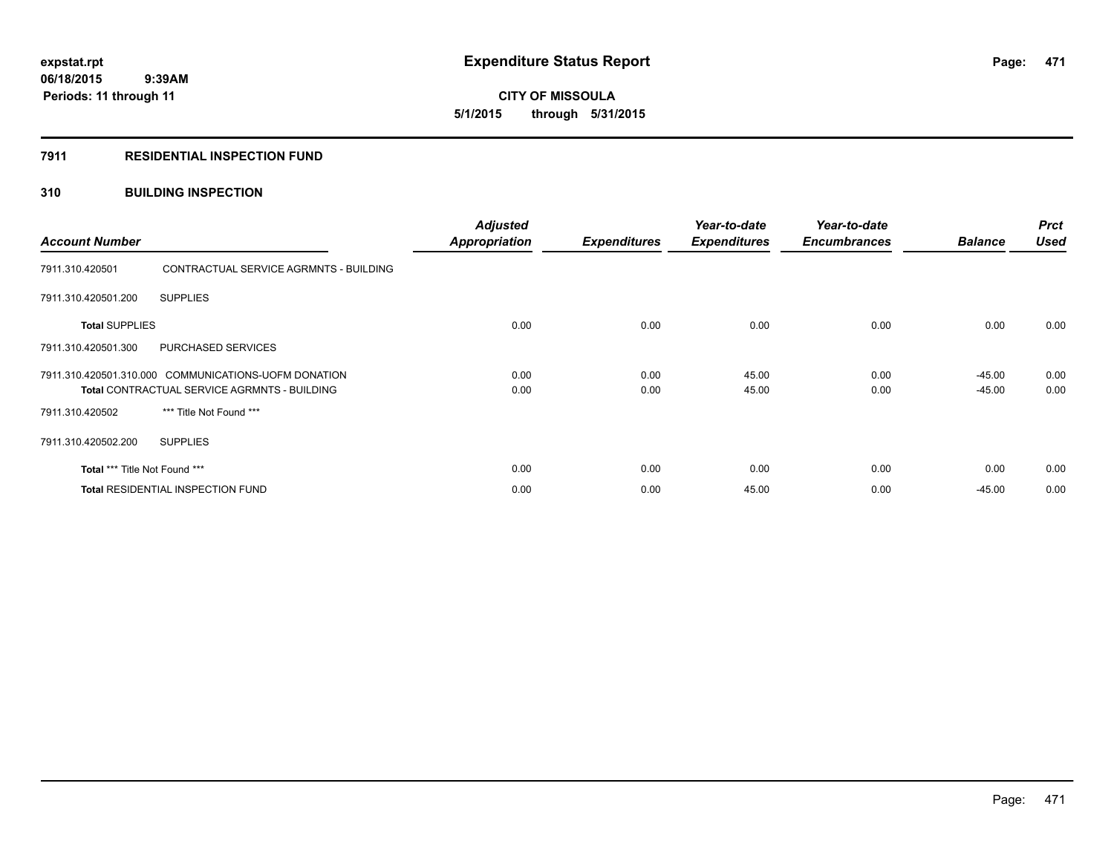**06/18/2015 9:39AM Periods: 11 through 11**

# **CITY OF MISSOULA 5/1/2015 through 5/31/2015**

### **7911 RESIDENTIAL INSPECTION FUND**

## **310 BUILDING INSPECTION**

| <b>Account Number</b>                    |                                                                                                             | <b>Adjusted</b><br><b>Appropriation</b> | <b>Expenditures</b> | Year-to-date<br><b>Expenditures</b> | Year-to-date<br><b>Encumbrances</b> | <b>Balance</b>     | <b>Prct</b><br><b>Used</b> |
|------------------------------------------|-------------------------------------------------------------------------------------------------------------|-----------------------------------------|---------------------|-------------------------------------|-------------------------------------|--------------------|----------------------------|
| 7911.310.420501                          | CONTRACTUAL SERVICE AGRMNTS - BUILDING                                                                      |                                         |                     |                                     |                                     |                    |                            |
| 7911.310.420501.200                      | <b>SUPPLIES</b>                                                                                             |                                         |                     |                                     |                                     |                    |                            |
| <b>Total SUPPLIES</b>                    |                                                                                                             | 0.00                                    | 0.00                | 0.00                                | 0.00                                | 0.00               | 0.00                       |
| 7911.310.420501.300                      | PURCHASED SERVICES                                                                                          |                                         |                     |                                     |                                     |                    |                            |
|                                          | 7911.310.420501.310.000 COMMUNICATIONS-UOFM DONATION<br><b>Total CONTRACTUAL SERVICE AGRMNTS - BUILDING</b> | 0.00<br>0.00                            | 0.00<br>0.00        | 45.00<br>45.00                      | 0.00<br>0.00                        | -45.00<br>$-45.00$ | 0.00<br>0.00               |
| 7911.310.420502                          | *** Title Not Found ***                                                                                     |                                         |                     |                                     |                                     |                    |                            |
| 7911.310.420502.200                      | <b>SUPPLIES</b>                                                                                             |                                         |                     |                                     |                                     |                    |                            |
| Total *** Title Not Found ***            |                                                                                                             | 0.00                                    | 0.00                | 0.00                                | 0.00                                | 0.00               | 0.00                       |
| <b>Total RESIDENTIAL INSPECTION FUND</b> |                                                                                                             | 0.00                                    | 0.00                | 45.00                               | 0.00                                | $-45.00$           | 0.00                       |